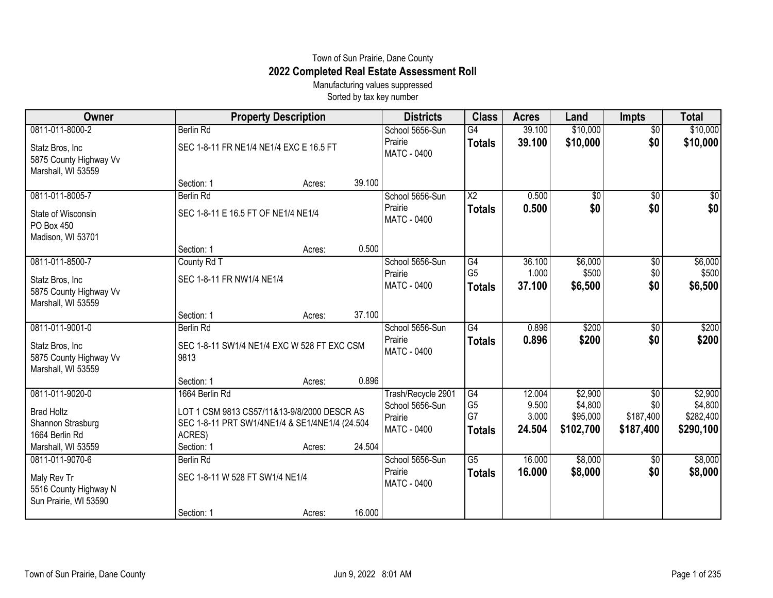## Town of Sun Prairie, Dane County **2022 Completed Real Estate Assessment Roll**

Manufacturing values suppressed Sorted by tax key number

| Owner                                                                                             |                                                                                                                                         | <b>Property Description</b> |        | <b>Districts</b>                                                | <b>Class</b>                                | <b>Acres</b>                       | Land                                        | <b>Impts</b>                         | <b>Total</b>                                 |
|---------------------------------------------------------------------------------------------------|-----------------------------------------------------------------------------------------------------------------------------------------|-----------------------------|--------|-----------------------------------------------------------------|---------------------------------------------|------------------------------------|---------------------------------------------|--------------------------------------|----------------------------------------------|
| 0811-011-8000-2                                                                                   | <b>Berlin Rd</b>                                                                                                                        |                             |        | School 5656-Sun                                                 | $\overline{G4}$                             | 39.100                             | \$10,000                                    | $\overline{60}$                      | \$10,000                                     |
| Statz Bros, Inc<br>5875 County Highway Vv<br>Marshall, WI 53559                                   | SEC 1-8-11 FR NE1/4 NE1/4 EXC E 16.5 FT                                                                                                 |                             |        | Prairie<br>MATC - 0400                                          | <b>Totals</b>                               | 39.100                             | \$10,000                                    | \$0                                  | \$10,000                                     |
|                                                                                                   | Section: 1                                                                                                                              | Acres:                      | 39.100 |                                                                 |                                             |                                    |                                             |                                      |                                              |
| 0811-011-8005-7                                                                                   | <b>Berlin Rd</b>                                                                                                                        |                             |        | School 5656-Sun                                                 | $\overline{X2}$                             | 0.500                              | $\sqrt{$0}$                                 | $\overline{50}$                      | \$0                                          |
| State of Wisconsin<br>PO Box 450<br>Madison, WI 53701                                             | SEC 1-8-11 E 16.5 FT OF NE1/4 NE1/4                                                                                                     |                             |        | Prairie<br>MATC - 0400                                          | <b>Totals</b>                               | 0.500                              | \$0                                         | \$0                                  | \$0                                          |
|                                                                                                   | Section: 1                                                                                                                              | Acres:                      | 0.500  |                                                                 |                                             |                                    |                                             |                                      |                                              |
| 0811-011-8500-7<br>Statz Bros, Inc<br>5875 County Highway Vv<br>Marshall, WI 53559                | County Rd T<br>SEC 1-8-11 FR NW1/4 NE1/4                                                                                                |                             |        | School 5656-Sun<br>Prairie<br>MATC - 0400                       | G4<br>G <sub>5</sub><br><b>Totals</b>       | 36.100<br>1.000<br>37.100          | \$6,000<br>\$500<br>\$6,500                 | $\overline{50}$<br>\$0<br>\$0        | \$6,000<br>\$500<br>\$6,500                  |
|                                                                                                   | Section: 1                                                                                                                              | Acres:                      | 37.100 |                                                                 |                                             |                                    |                                             |                                      |                                              |
| 0811-011-9001-0<br>Statz Bros, Inc<br>5875 County Highway Vv<br>Marshall, WI 53559                | <b>Berlin Rd</b><br>SEC 1-8-11 SW1/4 NE1/4 EXC W 528 FT EXC CSM<br>9813                                                                 |                             |        | School 5656-Sun<br>Prairie<br>MATC - 0400                       | $\overline{G4}$<br><b>Totals</b>            | 0.896<br>0.896                     | \$200<br>\$200                              | $\overline{50}$<br>\$0               | \$200<br>\$200                               |
|                                                                                                   | Section: 1                                                                                                                              | Acres:                      | 0.896  |                                                                 |                                             |                                    |                                             |                                      |                                              |
| 0811-011-9020-0<br><b>Brad Holtz</b><br>Shannon Strasburg<br>1664 Berlin Rd<br>Marshall, WI 53559 | 1664 Berlin Rd<br>LOT 1 CSM 9813 CS57/11&13-9/8/2000 DESCR AS<br>SEC 1-8-11 PRT SW1/4NE1/4 & SE1/4NE1/4 (24.504<br>ACRES)<br>Section: 1 | Acres:                      | 24.504 | Trash/Recycle 2901<br>School 5656-Sun<br>Prairie<br>MATC - 0400 | G4<br>G <sub>5</sub><br>G7<br><b>Totals</b> | 12.004<br>9.500<br>3.000<br>24.504 | \$2,900<br>\$4,800<br>\$95,000<br>\$102,700 | \$0<br>\$0<br>\$187,400<br>\$187,400 | \$2,900<br>\$4,800<br>\$282,400<br>\$290,100 |
| 0811-011-9070-6                                                                                   | <b>Berlin Rd</b>                                                                                                                        |                             |        | School 5656-Sun                                                 | $\overline{G5}$                             | 16.000                             | \$8,000                                     | $\sqrt[6]{3}$                        | \$8,000                                      |
| Maly Rev Tr<br>5516 County Highway N<br>Sun Prairie, WI 53590                                     | SEC 1-8-11 W 528 FT SW1/4 NE1/4                                                                                                         |                             |        | Prairie<br>MATC - 0400                                          | <b>Totals</b>                               | 16.000                             | \$8,000                                     | \$0                                  | \$8,000                                      |
|                                                                                                   | Section: 1                                                                                                                              | Acres:                      | 16.000 |                                                                 |                                             |                                    |                                             |                                      |                                              |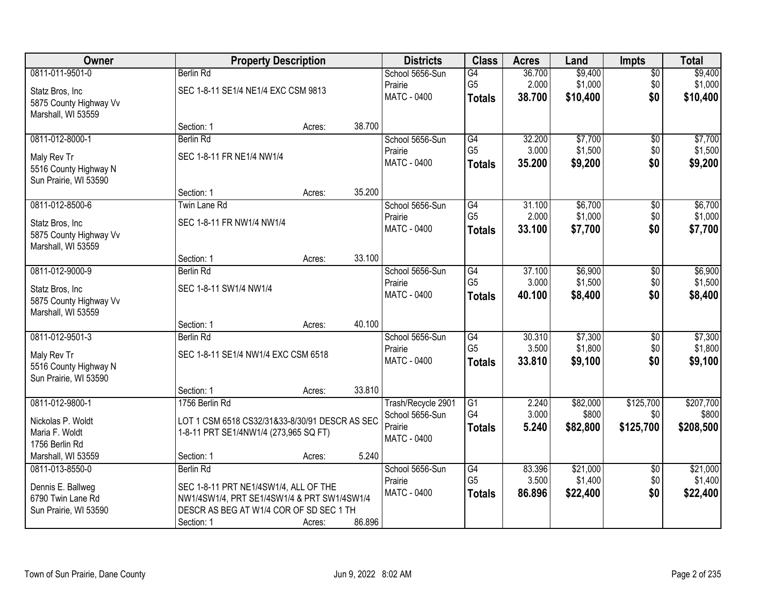| Owner                  |                                                | <b>Property Description</b> |        | <b>Districts</b>   | <b>Class</b>    | <b>Acres</b> | Land     | <b>Impts</b>    | <b>Total</b> |
|------------------------|------------------------------------------------|-----------------------------|--------|--------------------|-----------------|--------------|----------|-----------------|--------------|
| 0811-011-9501-0        | <b>Berlin Rd</b>                               |                             |        | School 5656-Sun    | G4              | 36.700       | \$9,400  | $\overline{$0}$ | \$9,400      |
| Statz Bros, Inc        | SEC 1-8-11 SE1/4 NE1/4 EXC CSM 9813            |                             |        | Prairie            | G <sub>5</sub>  | 2.000        | \$1,000  | \$0             | \$1,000      |
| 5875 County Highway Vv |                                                |                             |        | MATC - 0400        | <b>Totals</b>   | 38.700       | \$10,400 | \$0             | \$10,400     |
| Marshall, WI 53559     |                                                |                             |        |                    |                 |              |          |                 |              |
|                        | Section: 1                                     | Acres:                      | 38.700 |                    |                 |              |          |                 |              |
| 0811-012-8000-1        | Berlin Rd                                      |                             |        | School 5656-Sun    | G4              | 32.200       | \$7,700  | $\overline{50}$ | \$7,700      |
| Maly Rev Tr            | SEC 1-8-11 FR NE1/4 NW1/4                      |                             |        | Prairie            | G <sub>5</sub>  | 3.000        | \$1,500  | \$0             | \$1,500      |
| 5516 County Highway N  |                                                |                             |        | MATC - 0400        | <b>Totals</b>   | 35.200       | \$9,200  | \$0             | \$9,200      |
| Sun Prairie, WI 53590  |                                                |                             |        |                    |                 |              |          |                 |              |
|                        | Section: 1                                     | Acres:                      | 35.200 |                    |                 |              |          |                 |              |
| 0811-012-8500-6        | Twin Lane Rd                                   |                             |        | School 5656-Sun    | G4              | 31.100       | \$6,700  | $\sqrt[6]{3}$   | \$6,700      |
| Statz Bros, Inc.       | SEC 1-8-11 FR NW1/4 NW1/4                      |                             |        | Prairie            | G <sub>5</sub>  | 2.000        | \$1,000  | \$0             | \$1,000      |
| 5875 County Highway Vv |                                                |                             |        | MATC - 0400        | <b>Totals</b>   | 33.100       | \$7,700  | \$0             | \$7,700      |
| Marshall, WI 53559     |                                                |                             |        |                    |                 |              |          |                 |              |
|                        | Section: 1                                     | Acres:                      | 33.100 |                    |                 |              |          |                 |              |
| 0811-012-9000-9        | <b>Berlin Rd</b>                               |                             |        | School 5656-Sun    | $\overline{G4}$ | 37.100       | \$6,900  | \$0             | \$6,900      |
| Statz Bros, Inc        | SEC 1-8-11 SW1/4 NW1/4                         |                             |        | Prairie            | G <sub>5</sub>  | 3.000        | \$1,500  | \$0             | \$1,500      |
| 5875 County Highway Vv |                                                |                             |        | <b>MATC - 0400</b> | <b>Totals</b>   | 40.100       | \$8,400  | \$0             | \$8,400      |
| Marshall, WI 53559     |                                                |                             |        |                    |                 |              |          |                 |              |
|                        | Section: 1                                     | Acres:                      | 40.100 |                    |                 |              |          |                 |              |
| 0811-012-9501-3        | <b>Berlin Rd</b>                               |                             |        | School 5656-Sun    | G4              | 30.310       | \$7,300  | \$0             | \$7,300      |
| Maly Rev Tr            | SEC 1-8-11 SE1/4 NW1/4 EXC CSM 6518            |                             |        | Prairie            | G <sub>5</sub>  | 3.500        | \$1,800  | \$0             | \$1,800      |
| 5516 County Highway N  |                                                |                             |        | MATC - 0400        | <b>Totals</b>   | 33.810       | \$9,100  | \$0             | \$9,100      |
| Sun Prairie, WI 53590  |                                                |                             |        |                    |                 |              |          |                 |              |
|                        | Section: 1                                     | Acres:                      | 33.810 |                    |                 |              |          |                 |              |
| 0811-012-9800-1        | 1756 Berlin Rd                                 |                             |        | Trash/Recycle 2901 | $\overline{G1}$ | 2.240        | \$82,000 | \$125,700       | \$207,700    |
| Nickolas P. Woldt      | LOT 1 CSM 6518 CS32/31&33-8/30/91 DESCR AS SEC |                             |        | School 5656-Sun    | G4              | 3.000        | \$800    | \$0             | \$800        |
| Maria F. Woldt         | 1-8-11 PRT SE1/4NW1/4 (273,965 SQ FT)          |                             |        | Prairie            | <b>Totals</b>   | 5.240        | \$82,800 | \$125,700       | \$208,500    |
| 1756 Berlin Rd         |                                                |                             |        | <b>MATC - 0400</b> |                 |              |          |                 |              |
| Marshall, WI 53559     | Section: 1                                     | Acres:                      | 5.240  |                    |                 |              |          |                 |              |
| 0811-013-8550-0        | <b>Berlin Rd</b>                               |                             |        | School 5656-Sun    | G4              | 83.396       | \$21,000 | $\overline{60}$ | \$21,000     |
| Dennis E. Ballweg      | SEC 1-8-11 PRT NE1/4SW1/4, ALL OF THE          |                             |        | Prairie            | G <sub>5</sub>  | 3.500        | \$1,400  | \$0             | \$1,400      |
| 6790 Twin Lane Rd      | NW1/4SW1/4, PRT SE1/4SW1/4 & PRT SW1/4SW1/4    |                             |        | <b>MATC - 0400</b> | <b>Totals</b>   | 86.896       | \$22,400 | \$0             | \$22,400     |
| Sun Prairie, WI 53590  | DESCR AS BEG AT W1/4 COR OF SD SEC 1 TH        |                             |        |                    |                 |              |          |                 |              |
|                        | Section: 1                                     | Acres:                      | 86.896 |                    |                 |              |          |                 |              |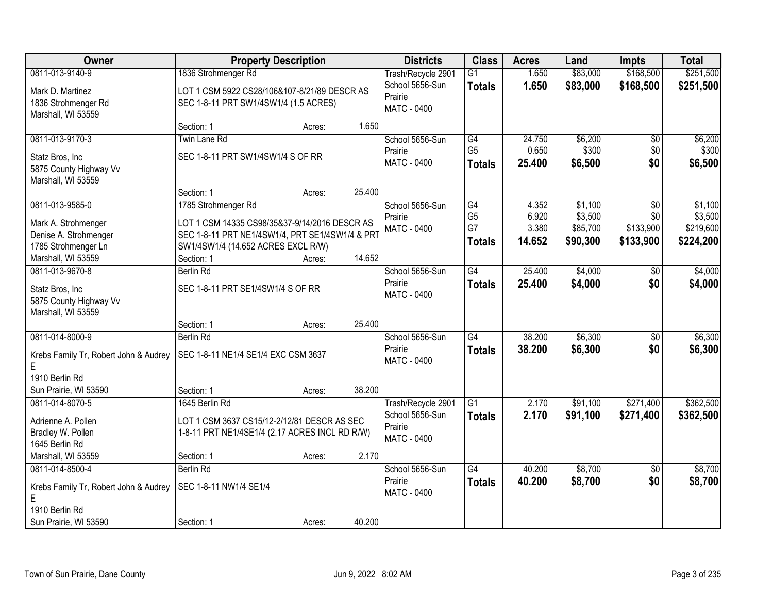| Owner                                 | <b>Property Description</b>                     |        |        | <b>Districts</b>       | <b>Class</b>         | <b>Acres</b> | Land     | <b>Impts</b>    | <b>Total</b> |
|---------------------------------------|-------------------------------------------------|--------|--------|------------------------|----------------------|--------------|----------|-----------------|--------------|
| 0811-013-9140-9                       | 1836 Strohmenger Rd                             |        |        | Trash/Recycle 2901     | $\overline{G1}$      | 1.650        | \$83,000 | \$168,500       | \$251,500    |
| Mark D. Martinez                      | LOT 1 CSM 5922 CS28/106&107-8/21/89 DESCR AS    |        |        | School 5656-Sun        | <b>Totals</b>        | 1.650        | \$83,000 | \$168,500       | \$251,500    |
| 1836 Strohmenger Rd                   | SEC 1-8-11 PRT SW1/4SW1/4 (1.5 ACRES)           |        |        | Prairie                |                      |              |          |                 |              |
| Marshall, WI 53559                    |                                                 |        |        | MATC - 0400            |                      |              |          |                 |              |
|                                       | Section: 1                                      | Acres: | 1.650  |                        |                      |              |          |                 |              |
| 0811-013-9170-3                       | <b>Twin Lane Rd</b>                             |        |        | School 5656-Sun        | G4                   | 24.750       | \$6,200  | \$0             | \$6,200      |
| Statz Bros, Inc                       | SEC 1-8-11 PRT SW1/4SW1/4 S OF RR               |        |        | Prairie                | G <sub>5</sub>       | 0.650        | \$300    | \$0             | \$300        |
| 5875 County Highway Vv                |                                                 |        |        | <b>MATC - 0400</b>     | <b>Totals</b>        | 25.400       | \$6,500  | \$0             | \$6,500      |
| Marshall, WI 53559                    |                                                 |        |        |                        |                      |              |          |                 |              |
|                                       | Section: 1                                      | Acres: | 25.400 |                        |                      |              |          |                 |              |
| 0811-013-9585-0                       | 1785 Strohmenger Rd                             |        |        | School 5656-Sun        | G4                   | 4.352        | \$1,100  | \$0             | \$1,100      |
| Mark A. Strohmenger                   | LOT 1 CSM 14335 CS98/35&37-9/14/2016 DESCR AS   |        |        | Prairie                | G <sub>5</sub><br>G7 | 6.920        | \$3,500  | \$0             | \$3,500      |
| Denise A. Strohmenger                 | SEC 1-8-11 PRT NE1/4SW1/4, PRT SE1/4SW1/4 & PRT |        |        | MATC - 0400            |                      | 3.380        | \$85,700 | \$133,900       | \$219,600    |
| 1785 Strohmenger Ln                   | SW1/4SW1/4 (14.652 ACRES EXCL R/W)              |        |        |                        | <b>Totals</b>        | 14.652       | \$90,300 | \$133,900       | \$224,200    |
| Marshall, WI 53559                    | Section: 1                                      | Acres: | 14.652 |                        |                      |              |          |                 |              |
| 0811-013-9670-8                       | <b>Berlin Rd</b>                                |        |        | School 5656-Sun        | G4                   | 25.400       | \$4,000  | \$0             | \$4,000      |
| Statz Bros, Inc                       | SEC 1-8-11 PRT SE1/4SW1/4 S OF RR               |        |        | Prairie                | <b>Totals</b>        | 25.400       | \$4,000  | \$0             | \$4,000      |
| 5875 County Highway Vv                |                                                 |        |        | <b>MATC - 0400</b>     |                      |              |          |                 |              |
| Marshall, WI 53559                    |                                                 |        |        |                        |                      |              |          |                 |              |
|                                       | Section: 1                                      | Acres: | 25.400 |                        |                      |              |          |                 |              |
| 0811-014-8000-9                       | Berlin Rd                                       |        |        | School 5656-Sun        | $\overline{G4}$      | 38.200       | \$6,300  | $\overline{50}$ | \$6,300      |
| Krebs Family Tr, Robert John & Audrey | SEC 1-8-11 NE1/4 SE1/4 EXC CSM 3637             |        |        | Prairie                | <b>Totals</b>        | 38.200       | \$6,300  | \$0             | \$6,300      |
| E                                     |                                                 |        |        | <b>MATC - 0400</b>     |                      |              |          |                 |              |
| 1910 Berlin Rd                        |                                                 |        |        |                        |                      |              |          |                 |              |
| Sun Prairie, WI 53590                 | Section: 1                                      | Acres: | 38.200 |                        |                      |              |          |                 |              |
| 0811-014-8070-5                       | 1645 Berlin Rd                                  |        |        | Trash/Recycle 2901     | $\overline{G1}$      | 2.170        | \$91,100 | \$271,400       | \$362,500    |
| Adrienne A. Pollen                    | LOT 1 CSM 3637 CS15/12-2/12/81 DESCR AS SEC     |        |        | School 5656-Sun        | <b>Totals</b>        | 2.170        | \$91,100 | \$271,400       | \$362,500    |
| Bradley W. Pollen                     | 1-8-11 PRT NE1/4SE1/4 (2.17 ACRES INCL RD R/W)  |        |        | Prairie<br>MATC - 0400 |                      |              |          |                 |              |
| 1645 Berlin Rd                        |                                                 |        |        |                        |                      |              |          |                 |              |
| Marshall, WI 53559                    | Section: 1                                      | Acres: | 2.170  |                        |                      |              |          |                 |              |
| 0811-014-8500-4                       | <b>Berlin Rd</b>                                |        |        | School 5656-Sun        | G4                   | 40.200       | \$8,700  | $\overline{30}$ | \$8,700      |
| Krebs Family Tr, Robert John & Audrey | SEC 1-8-11 NW1/4 SE1/4                          |        |        | Prairie                | <b>Totals</b>        | 40.200       | \$8,700  | \$0             | \$8,700      |
| E                                     |                                                 |        |        | MATC - 0400            |                      |              |          |                 |              |
| 1910 Berlin Rd                        |                                                 |        |        |                        |                      |              |          |                 |              |
| Sun Prairie, WI 53590                 | Section: 1                                      | Acres: | 40.200 |                        |                      |              |          |                 |              |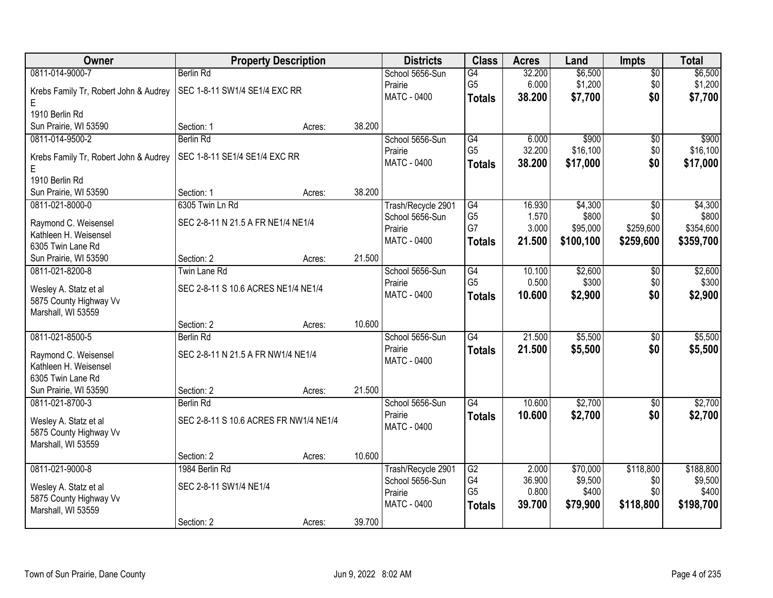| Owner                                         | <b>Property Description</b>            |        |        | <b>Districts</b>                      | <b>Class</b>         | <b>Acres</b> | Land      | <b>Impts</b>    | <b>Total</b> |
|-----------------------------------------------|----------------------------------------|--------|--------|---------------------------------------|----------------------|--------------|-----------|-----------------|--------------|
| 0811-014-9000-7                               | <b>Berlin Rd</b>                       |        |        | School 5656-Sun                       | G4                   | 32.200       | \$6,500   | $\overline{$0}$ | \$6,500      |
| Krebs Family Tr, Robert John & Audrey         | SEC 1-8-11 SW1/4 SE1/4 EXC RR          |        |        | Prairie                               | G <sub>5</sub>       | 6.000        | \$1,200   | \$0             | \$1,200      |
| Е                                             |                                        |        |        | MATC - 0400                           | <b>Totals</b>        | 38.200       | \$7,700   | \$0             | \$7,700      |
| 1910 Berlin Rd                                |                                        |        |        |                                       |                      |              |           |                 |              |
| Sun Prairie, WI 53590                         | Section: 1                             | Acres: | 38.200 |                                       |                      |              |           |                 |              |
| 0811-014-9500-2                               | <b>Berlin Rd</b>                       |        |        | School 5656-Sun                       | G4                   | 6.000        | \$900     | \$0             | \$900        |
|                                               |                                        |        |        | Prairie                               | G <sub>5</sub>       | 32.200       | \$16,100  | \$0             | \$16,100     |
| Krebs Family Tr, Robert John & Audrey         | SEC 1-8-11 SE1/4 SE1/4 EXC RR          |        |        | MATC - 0400                           | <b>Totals</b>        | 38.200       | \$17,000  | \$0             | \$17,000     |
| Е<br>1910 Berlin Rd                           |                                        |        |        |                                       |                      |              |           |                 |              |
| Sun Prairie, WI 53590                         | Section: 1                             | Acres: | 38.200 |                                       |                      |              |           |                 |              |
| 0811-021-8000-0                               | 6305 Twin Ln Rd                        |        |        |                                       | G4                   | 16.930       | \$4,300   | \$0             | \$4,300      |
|                                               |                                        |        |        | Trash/Recycle 2901<br>School 5656-Sun | G <sub>5</sub>       | 1.570        | \$800     | \$0             | \$800        |
| Raymond C. Weisensel                          | SEC 2-8-11 N 21.5 A FR NE1/4 NE1/4     |        |        | Prairie                               | G7                   | 3.000        | \$95,000  | \$259,600       | \$354,600    |
| Kathleen H. Weisensel                         |                                        |        |        | MATC - 0400                           | <b>Totals</b>        | 21.500       | \$100,100 | \$259,600       | \$359,700    |
| 6305 Twin Lane Rd                             |                                        |        |        |                                       |                      |              |           |                 |              |
| Sun Prairie, WI 53590                         | Section: 2                             | Acres: | 21.500 |                                       |                      |              |           |                 |              |
| 0811-021-8200-8                               | <b>Twin Lane Rd</b>                    |        |        | School 5656-Sun                       | G4                   | 10.100       | \$2,600   | $\sqrt[6]{3}$   | \$2,600      |
| Wesley A. Statz et al                         | SEC 2-8-11 S 10.6 ACRES NE1/4 NE1/4    |        |        | Prairie                               | G <sub>5</sub>       | 0.500        | \$300     | \$0             | \$300        |
| 5875 County Highway Vv                        |                                        |        |        | <b>MATC - 0400</b>                    | <b>Totals</b>        | 10.600       | \$2,900   | \$0             | \$2,900      |
| Marshall, WI 53559                            |                                        |        |        |                                       |                      |              |           |                 |              |
|                                               | Section: 2                             | Acres: | 10.600 |                                       |                      |              |           |                 |              |
| 0811-021-8500-5                               | <b>Berlin Rd</b>                       |        |        | School 5656-Sun                       | $\overline{G4}$      | 21.500       | \$5,500   | \$0             | \$5,500      |
|                                               | SEC 2-8-11 N 21.5 A FR NW1/4 NE1/4     |        |        | Prairie                               | <b>Totals</b>        | 21.500       | \$5,500   | \$0             | \$5,500      |
| Raymond C. Weisensel<br>Kathleen H. Weisensel |                                        |        |        | MATC - 0400                           |                      |              |           |                 |              |
| 6305 Twin Lane Rd                             |                                        |        |        |                                       |                      |              |           |                 |              |
| Sun Prairie, WI 53590                         | Section: 2                             | Acres: | 21.500 |                                       |                      |              |           |                 |              |
| 0811-021-8700-3                               | <b>Berlin Rd</b>                       |        |        | School 5656-Sun                       | G4                   | 10.600       | \$2,700   | \$0             | \$2,700      |
|                                               |                                        |        |        | Prairie                               | <b>Totals</b>        | 10.600       | \$2,700   | \$0             | \$2,700      |
| Wesley A. Statz et al                         | SEC 2-8-11 S 10.6 ACRES FR NW1/4 NE1/4 |        |        | <b>MATC - 0400</b>                    |                      |              |           |                 |              |
| 5875 County Highway Vv                        |                                        |        |        |                                       |                      |              |           |                 |              |
| Marshall, WI 53559                            |                                        |        |        |                                       |                      |              |           |                 |              |
|                                               | Section: 2                             | Acres: | 10.600 |                                       |                      |              |           |                 |              |
| 0811-021-9000-8                               | 1984 Berlin Rd                         |        |        | Trash/Recycle 2901                    | G2                   | 2.000        | \$70,000  | \$118,800       | \$188,800    |
| Wesley A. Statz et al                         | SEC 2-8-11 SW1/4 NE1/4                 |        |        | School 5656-Sun                       | G4<br>G <sub>5</sub> | 36.900       | \$9,500   | \$0             | \$9,500      |
| 5875 County Highway Vv                        |                                        |        |        | Prairie                               |                      | 0.800        | \$400     | \$0             | \$400        |
| Marshall, WI 53559                            |                                        |        |        | MATC - 0400                           | <b>Totals</b>        | 39.700       | \$79,900  | \$118,800       | \$198,700    |
|                                               | Section: 2                             | Acres: | 39.700 |                                       |                      |              |           |                 |              |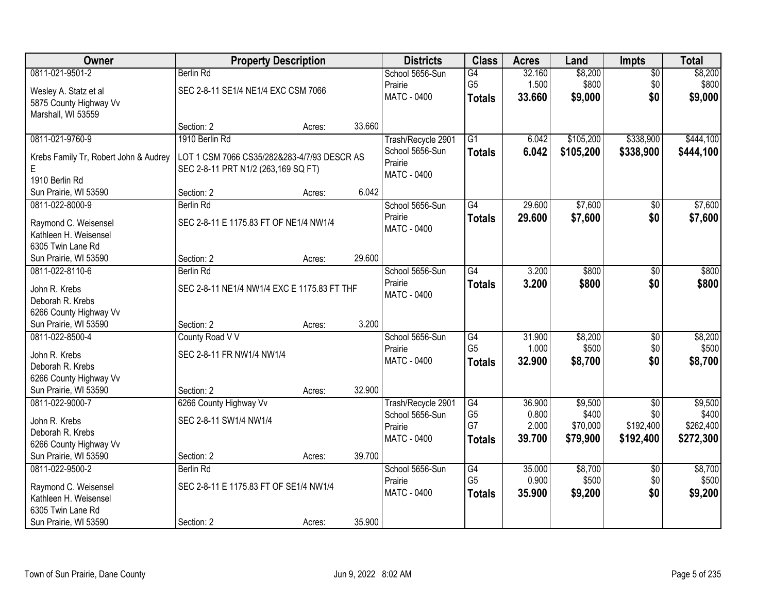| Owner                                         |                                             | <b>Property Description</b> |        | <b>Districts</b>   | <b>Class</b>    | <b>Acres</b> | Land      | <b>Impts</b>    | <b>Total</b> |
|-----------------------------------------------|---------------------------------------------|-----------------------------|--------|--------------------|-----------------|--------------|-----------|-----------------|--------------|
| 0811-021-9501-2                               | <b>Berlin Rd</b>                            |                             |        | School 5656-Sun    | G4              | 32.160       | \$8,200   | $\overline{50}$ | \$8,200      |
| Wesley A. Statz et al                         | SEC 2-8-11 SE1/4 NE1/4 EXC CSM 7066         |                             |        | Prairie            | G <sub>5</sub>  | 1.500        | \$800     | \$0             | \$800        |
| 5875 County Highway Vv                        |                                             |                             |        | <b>MATC - 0400</b> | <b>Totals</b>   | 33.660       | \$9,000   | \$0             | \$9,000      |
| Marshall, WI 53559                            |                                             |                             |        |                    |                 |              |           |                 |              |
|                                               | Section: 2                                  | Acres:                      | 33.660 |                    |                 |              |           |                 |              |
| 0811-021-9760-9                               | 1910 Berlin Rd                              |                             |        | Trash/Recycle 2901 | $\overline{G1}$ | 6.042        | \$105,200 | \$338,900       | \$444,100    |
| Krebs Family Tr, Robert John & Audrey         | LOT 1 CSM 7066 CS35/282&283-4/7/93 DESCR AS |                             |        | School 5656-Sun    | <b>Totals</b>   | 6.042        | \$105,200 | \$338,900       | \$444,100    |
| E                                             | SEC 2-8-11 PRT N1/2 (263,169 SQ FT)         |                             |        | Prairie            |                 |              |           |                 |              |
| 1910 Berlin Rd                                |                                             |                             |        | <b>MATC - 0400</b> |                 |              |           |                 |              |
| Sun Prairie, WI 53590                         | Section: 2                                  | Acres:                      | 6.042  |                    |                 |              |           |                 |              |
| 0811-022-8000-9                               | <b>Berlin Rd</b>                            |                             |        | School 5656-Sun    | G4              | 29.600       | \$7,600   | \$0             | \$7,600      |
| Raymond C. Weisensel                          | SEC 2-8-11 E 1175.83 FT OF NE1/4 NW1/4      |                             |        | Prairie            | <b>Totals</b>   | 29.600       | \$7,600   | \$0             | \$7,600      |
| Kathleen H. Weisensel                         |                                             |                             |        | <b>MATC - 0400</b> |                 |              |           |                 |              |
| 6305 Twin Lane Rd                             |                                             |                             |        |                    |                 |              |           |                 |              |
| Sun Prairie, WI 53590                         | Section: 2                                  | Acres:                      | 29.600 |                    |                 |              |           |                 |              |
| 0811-022-8110-6                               | <b>Berlin Rd</b>                            |                             |        | School 5656-Sun    | G4              | 3.200        | \$800     | \$0             | \$800        |
| John R. Krebs                                 | SEC 2-8-11 NE1/4 NW1/4 EXC E 1175.83 FT THF |                             |        | Prairie            | <b>Totals</b>   | 3.200        | \$800     | \$0             | \$800        |
| Deborah R. Krebs                              |                                             |                             |        | <b>MATC - 0400</b> |                 |              |           |                 |              |
| 6266 County Highway Vv                        |                                             |                             |        |                    |                 |              |           |                 |              |
| Sun Prairie, WI 53590                         | Section: 2                                  | Acres:                      | 3.200  |                    |                 |              |           |                 |              |
| 0811-022-8500-4                               | County Road V V                             |                             |        | School 5656-Sun    | G4              | 31.900       | \$8,200   | $\overline{50}$ | \$8,200      |
| John R. Krebs                                 | SEC 2-8-11 FR NW1/4 NW1/4                   |                             |        | Prairie            | G <sub>5</sub>  | 1.000        | \$500     | \$0             | \$500        |
| Deborah R. Krebs                              |                                             |                             |        | MATC - 0400        | <b>Totals</b>   | 32.900       | \$8,700   | \$0             | \$8,700      |
| 6266 County Highway Vv                        |                                             |                             |        |                    |                 |              |           |                 |              |
| Sun Prairie, WI 53590                         | Section: 2                                  | Acres:                      | 32.900 |                    |                 |              |           |                 |              |
| 0811-022-9000-7                               | 6266 County Highway Vv                      |                             |        | Trash/Recycle 2901 | G4              | 36.900       | \$9,500   | $\sqrt{6}$      | \$9,500      |
| John R. Krebs                                 | SEC 2-8-11 SW1/4 NW1/4                      |                             |        | School 5656-Sun    | G <sub>5</sub>  | 0.800        | \$400     | \$0             | \$400        |
| Deborah R. Krebs                              |                                             |                             |        | Prairie            | G7              | 2.000        | \$70,000  | \$192,400       | \$262,400    |
| 6266 County Highway Vv                        |                                             |                             |        | <b>MATC - 0400</b> | <b>Totals</b>   | 39.700       | \$79,900  | \$192,400       | \$272,300    |
| Sun Prairie, WI 53590                         | Section: 2                                  | Acres:                      | 39.700 |                    |                 |              |           |                 |              |
| 0811-022-9500-2                               | <b>Berlin Rd</b>                            |                             |        | School 5656-Sun    | G4              | 35.000       | \$8,700   | $\overline{30}$ | \$8,700      |
|                                               | SEC 2-8-11 E 1175.83 FT OF SE1/4 NW1/4      |                             |        | Prairie            | G <sub>5</sub>  | 0.900        | \$500     | \$0             | \$500        |
| Raymond C. Weisensel<br>Kathleen H. Weisensel |                                             |                             |        | <b>MATC - 0400</b> | <b>Totals</b>   | 35.900       | \$9,200   | \$0             | \$9,200      |
| 6305 Twin Lane Rd                             |                                             |                             |        |                    |                 |              |           |                 |              |
| Sun Prairie, WI 53590                         | Section: 2                                  | Acres:                      | 35.900 |                    |                 |              |           |                 |              |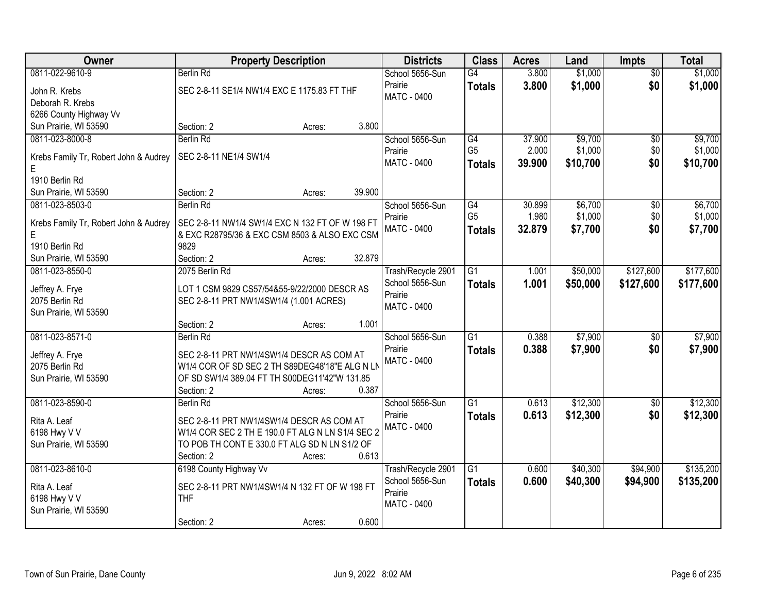| Owner                                      | <b>Property Description</b>                                                                      |        | <b>Districts</b>           | <b>Class</b>    | <b>Acres</b> | Land     | <b>Impts</b>    | <b>Total</b> |
|--------------------------------------------|--------------------------------------------------------------------------------------------------|--------|----------------------------|-----------------|--------------|----------|-----------------|--------------|
| 0811-022-9610-9                            | <b>Berlin Rd</b>                                                                                 |        | School 5656-Sun            | G4              | 3.800        | \$1,000  | $\overline{50}$ | \$1,000      |
| John R. Krebs                              | SEC 2-8-11 SE1/4 NW1/4 EXC E 1175.83 FT THF                                                      |        | Prairie                    | <b>Totals</b>   | 3.800        | \$1,000  | \$0             | \$1,000      |
| Deborah R. Krebs                           |                                                                                                  |        | <b>MATC - 0400</b>         |                 |              |          |                 |              |
| 6266 County Highway Vv                     |                                                                                                  |        |                            |                 |              |          |                 |              |
| Sun Prairie, WI 53590                      | Section: 2<br>Acres:                                                                             | 3.800  |                            |                 |              |          |                 |              |
| 0811-023-8000-8                            | <b>Berlin Rd</b>                                                                                 |        | School 5656-Sun            | G4              | 37.900       | \$9,700  | $\overline{50}$ | \$9,700      |
| Krebs Family Tr, Robert John & Audrey      | SEC 2-8-11 NE1/4 SW1/4                                                                           |        | Prairie                    | G <sub>5</sub>  | 2.000        | \$1,000  | \$0             | \$1,000      |
| E                                          |                                                                                                  |        | <b>MATC - 0400</b>         | <b>Totals</b>   | 39.900       | \$10,700 | \$0             | \$10,700     |
| 1910 Berlin Rd                             |                                                                                                  |        |                            |                 |              |          |                 |              |
| Sun Prairie, WI 53590                      | Section: 2<br>Acres:                                                                             | 39.900 |                            |                 |              |          |                 |              |
| 0811-023-8503-0                            | <b>Berlin Rd</b>                                                                                 |        | School 5656-Sun            | G4              | 30.899       | \$6,700  | \$0             | \$6,700      |
|                                            |                                                                                                  |        | Prairie                    | G <sub>5</sub>  | 1.980        | \$1,000  | \$0             | \$1,000      |
| Krebs Family Tr, Robert John & Audrey<br>E | SEC 2-8-11 NW1/4 SW1/4 EXC N 132 FT OF W 198 FT<br>& EXC R28795/36 & EXC CSM 8503 & ALSO EXC CSM |        | <b>MATC - 0400</b>         | <b>Totals</b>   | 32.879       | \$7,700  | \$0             | \$7,700      |
| 1910 Berlin Rd                             | 9829                                                                                             |        |                            |                 |              |          |                 |              |
| Sun Prairie, WI 53590                      | Section: 2<br>Acres:                                                                             | 32.879 |                            |                 |              |          |                 |              |
| 0811-023-8550-0                            | 2075 Berlin Rd                                                                                   |        | Trash/Recycle 2901         | $\overline{G1}$ | 1.001        | \$50,000 | \$127,600       | \$177,600    |
|                                            |                                                                                                  |        | School 5656-Sun            | <b>Totals</b>   | 1.001        | \$50,000 | \$127,600       | \$177,600    |
| Jeffrey A. Frye                            | LOT 1 CSM 9829 CS57/54&55-9/22/2000 DESCR AS                                                     |        | Prairie                    |                 |              |          |                 |              |
| 2075 Berlin Rd                             | SEC 2-8-11 PRT NW1/4SW1/4 (1.001 ACRES)                                                          |        | <b>MATC - 0400</b>         |                 |              |          |                 |              |
| Sun Prairie, WI 53590                      | Section: 2<br>Acres:                                                                             | 1.001  |                            |                 |              |          |                 |              |
| 0811-023-8571-0                            | <b>Berlin Rd</b>                                                                                 |        | School 5656-Sun            | $\overline{G1}$ | 0.388        | \$7,900  | \$0             | \$7,900      |
|                                            |                                                                                                  |        | Prairie                    | <b>Totals</b>   | 0.388        | \$7,900  | \$0             | \$7,900      |
| Jeffrey A. Frye                            | SEC 2-8-11 PRT NW1/4SW1/4 DESCR AS COM AT                                                        |        | MATC - 0400                |                 |              |          |                 |              |
| 2075 Berlin Rd                             | W1/4 COR OF SD SEC 2 TH S89DEG48'18"E ALG N LN                                                   |        |                            |                 |              |          |                 |              |
| Sun Prairie, WI 53590                      | OF SD SW1/4 389.04 FT TH S00DEG11'42"W 131.85                                                    |        |                            |                 |              |          |                 |              |
|                                            | Section: 2<br>Acres:                                                                             | 0.387  |                            |                 |              |          |                 |              |
| 0811-023-8590-0                            | <b>Berlin Rd</b>                                                                                 |        | School 5656-Sun<br>Prairie | $\overline{G1}$ | 0.613        | \$12,300 | $\sqrt{6}$      | \$12,300     |
| Rita A. Leaf                               | SEC 2-8-11 PRT NW1/4SW1/4 DESCR AS COM AT                                                        |        | <b>MATC - 0400</b>         | <b>Totals</b>   | 0.613        | \$12,300 | \$0             | \$12,300     |
| 6198 Hwy V V                               | W1/4 COR SEC 2 TH E 190.0 FT ALG N LN S1/4 SEC 2                                                 |        |                            |                 |              |          |                 |              |
| Sun Prairie, WI 53590                      | TO POB TH CONT E 330.0 FT ALG SD N LN S1/2 OF                                                    |        |                            |                 |              |          |                 |              |
|                                            | Section: 2<br>Acres:                                                                             | 0.613  |                            |                 |              |          |                 |              |
| 0811-023-8610-0                            | 6198 County Highway Vv                                                                           |        | Trash/Recycle 2901         | $\overline{G1}$ | 0.600        | \$40,300 | \$94,900        | \$135,200    |
| Rita A. Leaf                               | SEC 2-8-11 PRT NW1/4SW1/4 N 132 FT OF W 198 FT                                                   |        | School 5656-Sun            | <b>Totals</b>   | 0.600        | \$40,300 | \$94,900        | \$135,200    |
| 6198 Hwy V V                               | <b>THF</b>                                                                                       |        | Prairie<br>MATC - 0400     |                 |              |          |                 |              |
| Sun Prairie, WI 53590                      |                                                                                                  |        |                            |                 |              |          |                 |              |
|                                            | Section: 2<br>Acres:                                                                             | 0.600  |                            |                 |              |          |                 |              |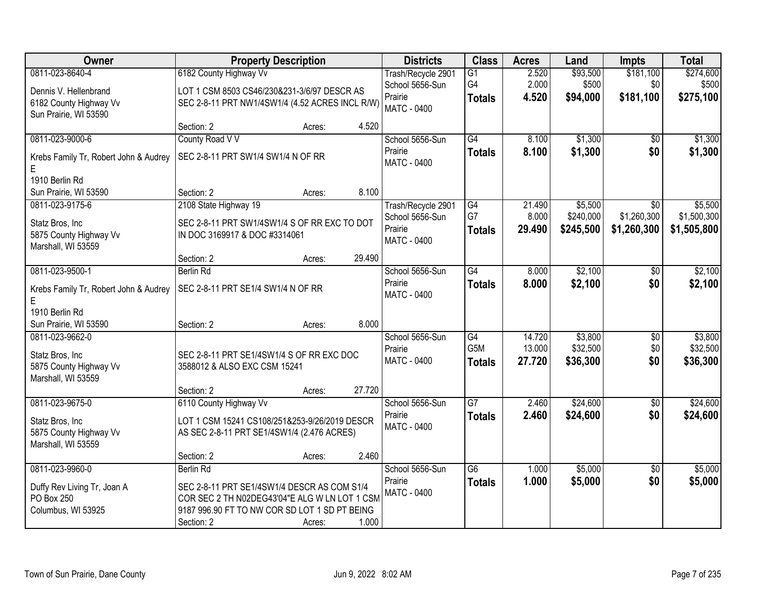| Owner                                      | <b>Property Description</b>                     |                  | <b>Districts</b>              | <b>Class</b>     | <b>Acres</b> | Land      | <b>Impts</b>    | <b>Total</b> |
|--------------------------------------------|-------------------------------------------------|------------------|-------------------------------|------------------|--------------|-----------|-----------------|--------------|
| 0811-023-8640-4                            | 6182 County Highway Vv                          |                  | Trash/Recycle 2901            | G1               | 2.520        | \$93,500  | \$181,100       | \$274,600    |
| Dennis V. Hellenbrand                      | LOT 1 CSM 8503 CS46/230&231-3/6/97 DESCR AS     |                  | School 5656-Sun               | G4               | 2.000        | \$500     | \$0             | \$500        |
| 6182 County Highway Vv                     | SEC 2-8-11 PRT NW1/4SW1/4 (4.52 ACRES INCL R/W) |                  | Prairie<br>MATC - 0400        | <b>Totals</b>    | 4.520        | \$94,000  | \$181,100       | \$275,100    |
| Sun Prairie, WI 53590                      |                                                 |                  |                               |                  |              |           |                 |              |
|                                            | Section: 2                                      | 4.520<br>Acres:  |                               |                  |              |           |                 |              |
| 0811-023-9000-6                            | County Road V V                                 |                  | School 5656-Sun               | $\overline{G4}$  | 8.100        | \$1,300   | \$0             | \$1,300      |
| Krebs Family Tr, Robert John & Audrey<br>Е | SEC 2-8-11 PRT SW1/4 SW1/4 N OF RR              |                  | Prairie<br><b>MATC - 0400</b> | <b>Totals</b>    | 8.100        | \$1,300   | \$0             | \$1,300      |
| 1910 Berlin Rd                             |                                                 |                  |                               |                  |              |           |                 |              |
| Sun Prairie, WI 53590                      | Section: 2                                      | 8.100<br>Acres:  |                               |                  |              |           |                 |              |
| 0811-023-9175-6                            | 2108 State Highway 19                           |                  | Trash/Recycle 2901            | $\overline{G4}$  | 21.490       | \$5,500   | $\overline{50}$ | \$5,500      |
| Statz Bros, Inc                            | SEC 2-8-11 PRT SW1/4SW1/4 S OF RR EXC TO DOT    |                  | School 5656-Sun               | G7               | 8.000        | \$240,000 | \$1,260,300     | \$1,500,300  |
| 5875 County Highway Vv                     | IN DOC 3169917 & DOC #3314061                   |                  | Prairie                       | <b>Totals</b>    | 29.490       | \$245,500 | \$1,260,300     | \$1,505,800  |
| Marshall, WI 53559                         |                                                 |                  | <b>MATC - 0400</b>            |                  |              |           |                 |              |
|                                            | Section: 2                                      | 29.490<br>Acres: |                               |                  |              |           |                 |              |
| 0811-023-9500-1                            | <b>Berlin Rd</b>                                |                  | School 5656-Sun               | $\overline{G4}$  | 8.000        | \$2,100   | $\frac{1}{20}$  | \$2,100      |
| Krebs Family Tr, Robert John & Audrey<br>E | SEC 2-8-11 PRT SE1/4 SW1/4 N OF RR              |                  | Prairie<br><b>MATC - 0400</b> | <b>Totals</b>    | 8.000        | \$2,100   | \$0             | \$2,100      |
| 1910 Berlin Rd                             |                                                 |                  |                               |                  |              |           |                 |              |
| Sun Prairie, WI 53590                      | Section: 2                                      | 8.000<br>Acres:  |                               |                  |              |           |                 |              |
| 0811-023-9662-0                            |                                                 |                  | School 5656-Sun               | $\overline{G4}$  | 14.720       | \$3,800   | \$0             | \$3,800      |
| Statz Bros, Inc                            | SEC 2-8-11 PRT SE1/4SW1/4 S OF RR EXC DOC       |                  | Prairie                       | G <sub>5</sub> M | 13.000       | \$32,500  | \$0             | \$32,500     |
| 5875 County Highway Vv                     | 3588012 & ALSO EXC CSM 15241                    |                  | MATC - 0400                   | <b>Totals</b>    | 27.720       | \$36,300  | \$0             | \$36,300     |
| Marshall, WI 53559                         |                                                 |                  |                               |                  |              |           |                 |              |
|                                            | Section: 2                                      | 27.720<br>Acres: |                               |                  |              |           |                 |              |
| 0811-023-9675-0                            | 6110 County Highway Vv                          |                  | School 5656-Sun               | $\overline{G7}$  | 2.460        | \$24,600  | $\overline{60}$ | \$24,600     |
| Statz Bros, Inc                            | LOT 1 CSM 15241 CS108/251&253-9/26/2019 DESCR   |                  | Prairie                       | <b>Totals</b>    | 2.460        | \$24,600  | \$0             | \$24,600     |
| 5875 County Highway Vv                     | AS SEC 2-8-11 PRT SE1/4SW1/4 (2.476 ACRES)      |                  | <b>MATC - 0400</b>            |                  |              |           |                 |              |
| Marshall, WI 53559                         |                                                 |                  |                               |                  |              |           |                 |              |
|                                            | Section: 2                                      | 2.460<br>Acres:  |                               |                  |              |           |                 |              |
| 0811-023-9960-0                            | <b>Berlin Rd</b>                                |                  | School 5656-Sun               | $\overline{G6}$  | 1.000        | \$5,000   | $\overline{50}$ | \$5,000      |
| Duffy Rev Living Tr, Joan A                | SEC 2-8-11 PRT SE1/4SW1/4 DESCR AS COM S1/4     |                  | Prairie                       | <b>Totals</b>    | 1.000        | \$5,000   | \$0             | \$5,000      |
| PO Box 250                                 | COR SEC 2 TH N02DEG43'04"E ALG W LN LOT 1 CSM   |                  | MATC - 0400                   |                  |              |           |                 |              |
| Columbus, WI 53925                         | 9187 996.90 FT TO NW COR SD LOT 1 SD PT BEING   |                  |                               |                  |              |           |                 |              |
|                                            | Section: 2                                      | 1.000<br>Acres:  |                               |                  |              |           |                 |              |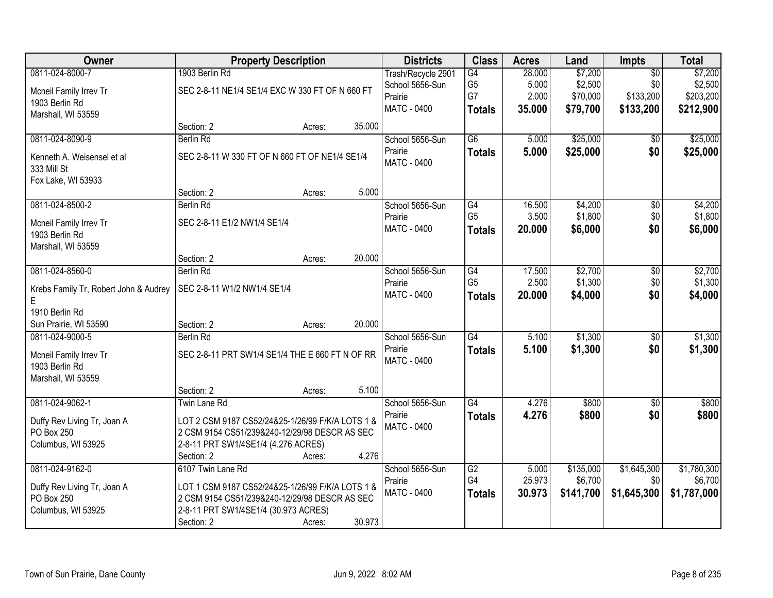| Owner                                 |                                                  | <b>Property Description</b> |        | <b>Districts</b>   | <b>Class</b>    | <b>Acres</b> | Land      | <b>Impts</b>    | <b>Total</b> |
|---------------------------------------|--------------------------------------------------|-----------------------------|--------|--------------------|-----------------|--------------|-----------|-----------------|--------------|
| 0811-024-8000-7                       | 1903 Berlin Rd                                   |                             |        | Trash/Recycle 2901 | G4              | 28.000       | \$7,200   | $\overline{50}$ | \$7,200      |
| Mcneil Family Irrev Tr                | SEC 2-8-11 NE1/4 SE1/4 EXC W 330 FT OF N 660 FT  |                             |        | School 5656-Sun    | G <sub>5</sub>  | 5.000        | \$2,500   | \$0             | \$2,500      |
| 1903 Berlin Rd                        |                                                  |                             |        | Prairie            | G7              | 2.000        | \$70,000  | \$133,200       | \$203,200    |
| Marshall, WI 53559                    |                                                  |                             |        | MATC - 0400        | <b>Totals</b>   | 35.000       | \$79,700  | \$133,200       | \$212,900    |
|                                       | Section: 2                                       | Acres:                      | 35.000 |                    |                 |              |           |                 |              |
| 0811-024-8090-9                       | <b>Berlin Rd</b>                                 |                             |        | School 5656-Sun    | $\overline{G6}$ | 5.000        | \$25,000  | \$0             | \$25,000     |
| Kenneth A. Weisensel et al.           | SEC 2-8-11 W 330 FT OF N 660 FT OF NE1/4 SE1/4   |                             |        | Prairie            | <b>Totals</b>   | 5.000        | \$25,000  | \$0             | \$25,000     |
| 333 Mill St                           |                                                  |                             |        | <b>MATC - 0400</b> |                 |              |           |                 |              |
| Fox Lake, WI 53933                    |                                                  |                             |        |                    |                 |              |           |                 |              |
|                                       | Section: 2                                       | Acres:                      | 5.000  |                    |                 |              |           |                 |              |
| 0811-024-8500-2                       | <b>Berlin Rd</b>                                 |                             |        | School 5656-Sun    | G4              | 16.500       | \$4,200   | $\overline{50}$ | \$4,200      |
| Mcneil Family Irrev Tr                | SEC 2-8-11 E1/2 NW1/4 SE1/4                      |                             |        | Prairie            | G <sub>5</sub>  | 3.500        | \$1,800   | \$0             | \$1,800      |
| 1903 Berlin Rd                        |                                                  |                             |        | MATC - 0400        | <b>Totals</b>   | 20,000       | \$6,000   | \$0             | \$6,000      |
| Marshall, WI 53559                    |                                                  |                             |        |                    |                 |              |           |                 |              |
|                                       | Section: 2                                       | Acres:                      | 20.000 |                    |                 |              |           |                 |              |
| 0811-024-8560-0                       | <b>Berlin Rd</b>                                 |                             |        | School 5656-Sun    | G4              | 17.500       | \$2,700   | \$0             | \$2,700      |
| Krebs Family Tr, Robert John & Audrey | SEC 2-8-11 W1/2 NW1/4 SE1/4                      |                             |        | Prairie            | G <sub>5</sub>  | 2.500        | \$1,300   | \$0             | \$1,300      |
| E                                     |                                                  |                             |        | <b>MATC - 0400</b> | <b>Totals</b>   | 20.000       | \$4,000   | \$0             | \$4,000      |
| 1910 Berlin Rd                        |                                                  |                             |        |                    |                 |              |           |                 |              |
| Sun Prairie, WI 53590                 | Section: 2                                       | Acres:                      | 20.000 |                    |                 |              |           |                 |              |
| 0811-024-9000-5                       | <b>Berlin Rd</b>                                 |                             |        | School 5656-Sun    | $\overline{G4}$ | 5.100        | \$1,300   | $\overline{50}$ | \$1,300      |
| Mcneil Family Irrev Tr                | SEC 2-8-11 PRT SW1/4 SE1/4 THE E 660 FT N OF RR  |                             |        | Prairie            | <b>Totals</b>   | 5.100        | \$1,300   | \$0             | \$1,300      |
| 1903 Berlin Rd                        |                                                  |                             |        | MATC - 0400        |                 |              |           |                 |              |
| Marshall, WI 53559                    |                                                  |                             |        |                    |                 |              |           |                 |              |
|                                       | Section: 2                                       | Acres:                      | 5.100  |                    |                 |              |           |                 |              |
| 0811-024-9062-1                       | Twin Lane Rd                                     |                             |        | School 5656-Sun    | G4              | 4.276        | \$800     | $\sqrt{6}$      | \$800        |
| Duffy Rev Living Tr, Joan A           | LOT 2 CSM 9187 CS52/24&25-1/26/99 F/K/A LOTS 1 & |                             |        | Prairie            | <b>Totals</b>   | 4.276        | \$800     | \$0             | \$800        |
| PO Box 250                            | 2 CSM 9154 CS51/239&240-12/29/98 DESCR AS SEC    |                             |        | <b>MATC - 0400</b> |                 |              |           |                 |              |
| Columbus, WI 53925                    | 2-8-11 PRT SW1/4SE1/4 (4.276 ACRES)              |                             |        |                    |                 |              |           |                 |              |
|                                       | Section: 2                                       | Acres:                      | 4.276  |                    |                 |              |           |                 |              |
| 0811-024-9162-0                       | 6107 Twin Lane Rd                                |                             |        | School 5656-Sun    | G2              | 5.000        | \$135,000 | \$1,645,300     | \$1,780,300  |
| Duffy Rev Living Tr, Joan A           | LOT 1 CSM 9187 CS52/24&25-1/26/99 F/K/A LOTS 1 & |                             |        | Prairie            | G4              | 25.973       | \$6,700   | \$0             | \$6,700      |
| PO Box 250                            | 2 CSM 9154 CS51/239&240-12/29/98 DESCR AS SEC    |                             |        | MATC - 0400        | <b>Totals</b>   | 30.973       | \$141,700 | \$1,645,300     | \$1,787,000  |
| Columbus, WI 53925                    | 2-8-11 PRT SW1/4SE1/4 (30.973 ACRES)             |                             |        |                    |                 |              |           |                 |              |
|                                       | Section: 2                                       | Acres:                      | 30.973 |                    |                 |              |           |                 |              |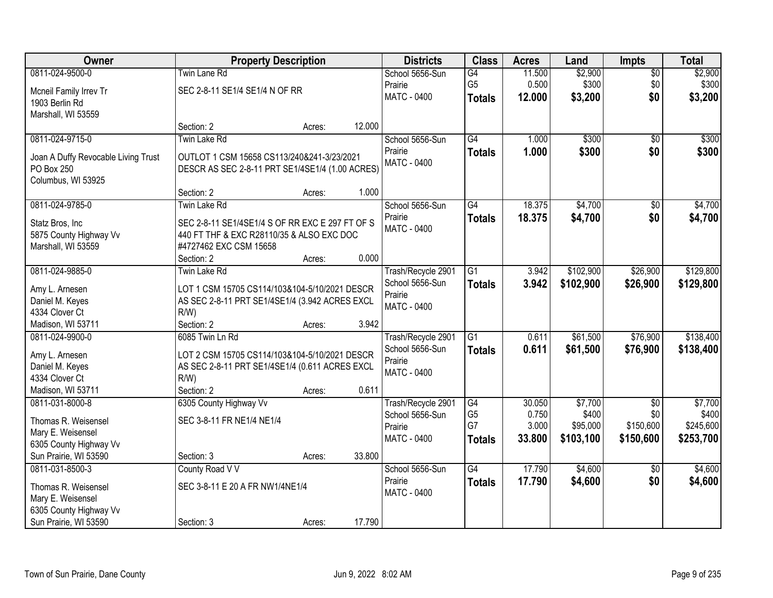| Owner                                    | <b>Property Description</b>                               |        |        | <b>Districts</b>   | <b>Class</b>    | <b>Acres</b> | Land      | <b>Impts</b>    | <b>Total</b> |
|------------------------------------------|-----------------------------------------------------------|--------|--------|--------------------|-----------------|--------------|-----------|-----------------|--------------|
| 0811-024-9500-0                          | <b>Twin Lane Rd</b>                                       |        |        | School 5656-Sun    | G4              | 11.500       | \$2,900   | $\sqrt{$0}$     | \$2,900      |
| Mcneil Family Irrev Tr                   | SEC 2-8-11 SE1/4 SE1/4 N OF RR                            |        |        | Prairie            | G <sub>5</sub>  | 0.500        | \$300     | \$0             | \$300        |
| 1903 Berlin Rd                           |                                                           |        |        | <b>MATC - 0400</b> | <b>Totals</b>   | 12.000       | \$3,200   | \$0             | \$3,200      |
| Marshall, WI 53559                       |                                                           |        |        |                    |                 |              |           |                 |              |
|                                          | Section: 2                                                | Acres: | 12.000 |                    |                 |              |           |                 |              |
| 0811-024-9715-0                          | <b>Twin Lake Rd</b>                                       |        |        | School 5656-Sun    | G4              | 1.000        | \$300     | \$0             | \$300        |
| Joan A Duffy Revocable Living Trust      | OUTLOT 1 CSM 15658 CS113/240&241-3/23/2021                |        |        | Prairie            | <b>Totals</b>   | 1.000        | \$300     | \$0             | \$300        |
| PO Box 250                               | DESCR AS SEC 2-8-11 PRT SE1/4SE1/4 (1.00 ACRES)           |        |        | <b>MATC - 0400</b> |                 |              |           |                 |              |
| Columbus, WI 53925                       |                                                           |        |        |                    |                 |              |           |                 |              |
|                                          | Section: 2                                                | Acres: | 1.000  |                    |                 |              |           |                 |              |
| 0811-024-9785-0                          | Twin Lake Rd                                              |        |        | School 5656-Sun    | G4              | 18.375       | \$4,700   | \$0             | \$4,700      |
| Statz Bros, Inc                          | SEC 2-8-11 SE1/4SE1/4 S OF RR EXC E 297 FT OF S           |        |        | Prairie            | <b>Totals</b>   | 18.375       | \$4,700   | \$0             | \$4,700      |
| 5875 County Highway Vv                   | 440 FT THF & EXC R28110/35 & ALSO EXC DOC                 |        |        | <b>MATC - 0400</b> |                 |              |           |                 |              |
| Marshall, WI 53559                       | #4727462 EXC CSM 15658                                    |        |        |                    |                 |              |           |                 |              |
|                                          | Section: 2                                                | Acres: | 0.000  |                    |                 |              |           |                 |              |
| 0811-024-9885-0                          | <b>Twin Lake Rd</b>                                       |        |        | Trash/Recycle 2901 | $\overline{G1}$ | 3.942        | \$102,900 | \$26,900        | \$129,800    |
|                                          | LOT 1 CSM 15705 CS114/103&104-5/10/2021 DESCR             |        |        | School 5656-Sun    | <b>Totals</b>   | 3.942        | \$102,900 | \$26,900        | \$129,800    |
| Amy L. Arnesen<br>Daniel M. Keyes        | AS SEC 2-8-11 PRT SE1/4SE1/4 (3.942 ACRES EXCL            |        |        | Prairie            |                 |              |           |                 |              |
| 4334 Clover Ct                           | $R/W$ )                                                   |        |        | <b>MATC - 0400</b> |                 |              |           |                 |              |
| Madison, WI 53711                        | Section: 2                                                | Acres: | 3.942  |                    |                 |              |           |                 |              |
| 0811-024-9900-0                          | 6085 Twin Ln Rd                                           |        |        | Trash/Recycle 2901 | $\overline{G1}$ | 0.611        | \$61,500  | \$76,900        | \$138,400    |
|                                          |                                                           |        |        | School 5656-Sun    | <b>Totals</b>   | 0.611        | \$61,500  | \$76,900        | \$138,400    |
| Amy L. Arnesen                           | LOT 2 CSM 15705 CS114/103&104-5/10/2021 DESCR             |        |        | Prairie            |                 |              |           |                 |              |
| Daniel M. Keyes<br>4334 Clover Ct        | AS SEC 2-8-11 PRT SE1/4SE1/4 (0.611 ACRES EXCL<br>$R/W$ ) |        |        | MATC - 0400        |                 |              |           |                 |              |
| Madison, WI 53711                        | Section: 2                                                | Acres: | 0.611  |                    |                 |              |           |                 |              |
| 0811-031-8000-8                          | 6305 County Highway Vv                                    |        |        | Trash/Recycle 2901 | G4              | 30.050       | \$7,700   | $\overline{50}$ | \$7,700      |
|                                          |                                                           |        |        | School 5656-Sun    | G <sub>5</sub>  | 0.750        | \$400     | \$0             | \$400        |
| Thomas R. Weisensel                      | SEC 3-8-11 FR NE1/4 NE1/4                                 |        |        | Prairie            | G7              | 3.000        | \$95,000  | \$150,600       | \$245,600    |
| Mary E. Weisensel                        |                                                           |        |        | MATC - 0400        | <b>Totals</b>   | 33.800       | \$103,100 | \$150,600       | \$253,700    |
| 6305 County Highway Vv                   |                                                           |        |        |                    |                 |              |           |                 |              |
| Sun Prairie, WI 53590<br>0811-031-8500-3 | Section: 3<br>County Road V V                             | Acres: | 33.800 | School 5656-Sun    | G4              | 17.790       | \$4,600   |                 | \$4,600      |
|                                          |                                                           |        |        | Prairie            |                 | 17.790       |           | \$0<br>\$0      |              |
| Thomas R. Weisensel                      | SEC 3-8-11 E 20 A FR NW1/4NE1/4                           |        |        | MATC - 0400        | <b>Totals</b>   |              | \$4,600   |                 | \$4,600      |
| Mary E. Weisensel                        |                                                           |        |        |                    |                 |              |           |                 |              |
| 6305 County Highway Vv                   |                                                           |        |        |                    |                 |              |           |                 |              |
| Sun Prairie, WI 53590                    | Section: 3                                                | Acres: | 17.790 |                    |                 |              |           |                 |              |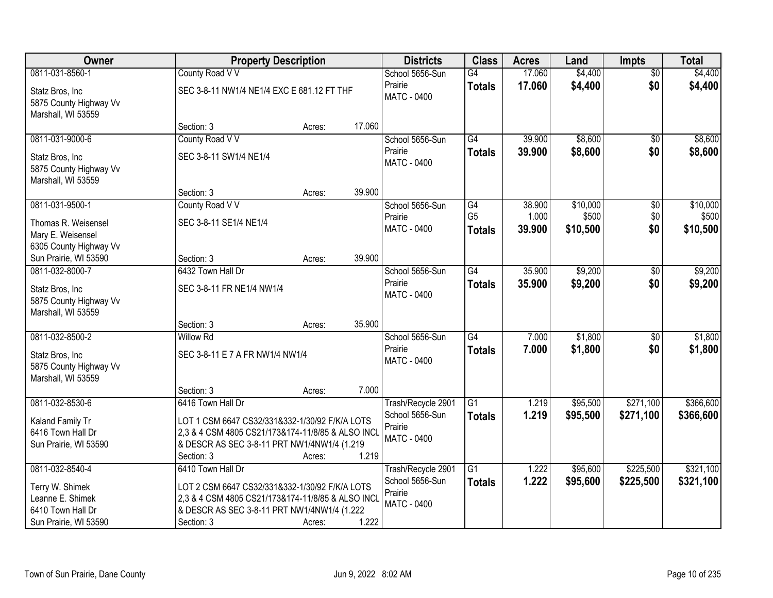| Owner                                                                                 |                                                                                                                                                                                       | <b>Property Description</b> |        | <b>Districts</b>                                                | <b>Class</b>                          | <b>Acres</b>              | Land                          | <b>Impts</b>           | <b>Total</b>                  |
|---------------------------------------------------------------------------------------|---------------------------------------------------------------------------------------------------------------------------------------------------------------------------------------|-----------------------------|--------|-----------------------------------------------------------------|---------------------------------------|---------------------------|-------------------------------|------------------------|-------------------------------|
| 0811-031-8560-1                                                                       | County Road V V                                                                                                                                                                       |                             |        | School 5656-Sun                                                 | $\overline{G4}$                       | 17.060                    | \$4,400                       | $\overline{50}$        | \$4,400                       |
| Statz Bros, Inc<br>5875 County Highway Vv<br>Marshall, WI 53559                       | SEC 3-8-11 NW1/4 NE1/4 EXC E 681.12 FT THF                                                                                                                                            |                             |        | Prairie<br>MATC - 0400                                          | <b>Totals</b>                         | 17.060                    | \$4,400                       | \$0                    | \$4,400                       |
|                                                                                       | Section: 3                                                                                                                                                                            | Acres:                      | 17.060 |                                                                 |                                       |                           |                               |                        |                               |
| 0811-031-9000-6                                                                       | County Road V V                                                                                                                                                                       |                             |        | School 5656-Sun                                                 | G4                                    | 39.900                    | \$8,600                       | $\overline{50}$        | \$8,600                       |
| Statz Bros, Inc<br>5875 County Highway Vv<br>Marshall, WI 53559                       | SEC 3-8-11 SW1/4 NE1/4                                                                                                                                                                |                             |        | Prairie<br>MATC - 0400                                          | <b>Totals</b>                         | 39.900                    | \$8,600                       | \$0                    | \$8,600                       |
|                                                                                       | Section: 3                                                                                                                                                                            | Acres:                      | 39.900 |                                                                 |                                       |                           |                               |                        |                               |
| 0811-031-9500-1<br>Thomas R. Weisensel<br>Mary E. Weisensel<br>6305 County Highway Vv | County Road V V<br>SEC 3-8-11 SE1/4 NE1/4                                                                                                                                             |                             |        | School 5656-Sun<br>Prairie<br>MATC - 0400                       | G4<br>G <sub>5</sub><br><b>Totals</b> | 38.900<br>1.000<br>39.900 | \$10,000<br>\$500<br>\$10,500 | \$0<br>\$0<br>\$0      | \$10,000<br>\$500<br>\$10,500 |
| Sun Prairie, WI 53590                                                                 | Section: 3                                                                                                                                                                            | Acres:                      | 39.900 |                                                                 |                                       |                           |                               |                        |                               |
| 0811-032-8000-7<br>Statz Bros, Inc<br>5875 County Highway Vv<br>Marshall, WI 53559    | 6432 Town Hall Dr<br>SEC 3-8-11 FR NE1/4 NW1/4                                                                                                                                        |                             |        | School 5656-Sun<br>Prairie<br>MATC - 0400                       | $\overline{G4}$<br><b>Totals</b>      | 35.900<br>35.900          | \$9,200<br>\$9,200            | \$0<br>\$0             | \$9,200<br>\$9,200            |
|                                                                                       | Section: 3                                                                                                                                                                            | Acres:                      | 35.900 |                                                                 |                                       |                           |                               |                        |                               |
| 0811-032-8500-2<br>Statz Bros, Inc<br>5875 County Highway Vv<br>Marshall, WI 53559    | <b>Willow Rd</b><br>SEC 3-8-11 E 7 A FR NW1/4 NW1/4                                                                                                                                   |                             |        | School 5656-Sun<br>Prairie<br>MATC - 0400                       | G4<br><b>Totals</b>                   | 7.000<br>7.000            | \$1,800<br>\$1,800            | $\overline{50}$<br>\$0 | \$1,800<br>\$1,800            |
|                                                                                       | Section: 3                                                                                                                                                                            | Acres:                      | 7.000  |                                                                 |                                       |                           |                               |                        |                               |
| 0811-032-8530-6<br>Kaland Family Tr<br>6416 Town Hall Dr<br>Sun Prairie, WI 53590     | 6416 Town Hall Dr<br>LOT 1 CSM 6647 CS32/331&332-1/30/92 F/K/A LOTS<br>2,3 & 4 CSM 4805 CS21/173&174-11/8/85 & ALSO INCL<br>& DESCR AS SEC 3-8-11 PRT NW1/4NW1/4 (1.219<br>Section: 3 | Acres:                      | 1.219  | Trash/Recycle 2901<br>School 5656-Sun<br>Prairie<br>MATC - 0400 | $\overline{G1}$<br><b>Totals</b>      | 1.219<br>1.219            | \$95,500<br>\$95,500          | \$271,100<br>\$271,100 | \$366,600<br>\$366,600        |
| 0811-032-8540-4                                                                       | 6410 Town Hall Dr                                                                                                                                                                     |                             |        | Trash/Recycle 2901                                              | $\overline{G1}$                       | 1.222                     | \$95,600                      | \$225,500              | \$321,100                     |
| Terry W. Shimek<br>Leanne E. Shimek<br>6410 Town Hall Dr<br>Sun Prairie, WI 53590     | LOT 2 CSM 6647 CS32/331&332-1/30/92 F/K/A LOTS<br>2.3 & 4 CSM 4805 CS21/173&174-11/8/85 & ALSO INCL<br>& DESCR AS SEC 3-8-11 PRT NW1/4NW1/4 (1.222)<br>Section: 3                     | Acres:                      | 1.222  | School 5656-Sun<br>Prairie<br>MATC - 0400                       | <b>Totals</b>                         | 1.222                     | \$95,600                      | \$225,500              | \$321,100                     |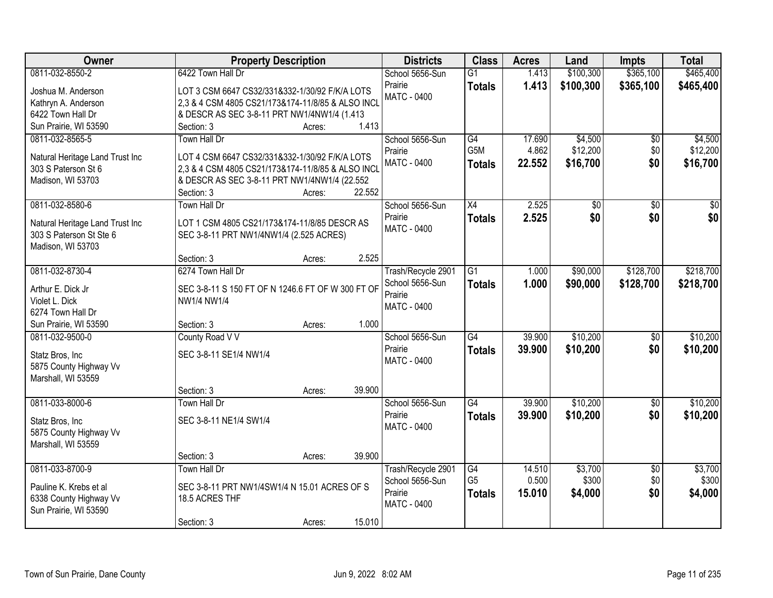| Owner                                           | <b>Property Description</b>                       |        | <b>Districts</b>              | <b>Class</b>     | <b>Acres</b> | Land      | <b>Impts</b>    | <b>Total</b>    |
|-------------------------------------------------|---------------------------------------------------|--------|-------------------------------|------------------|--------------|-----------|-----------------|-----------------|
| 0811-032-8550-2                                 | 6422 Town Hall Dr                                 |        | School 5656-Sun               | $\overline{G1}$  | 1.413        | \$100,300 | \$365,100       | \$465,400       |
| Joshua M. Anderson                              | LOT 3 CSM 6647 CS32/331&332-1/30/92 F/K/A LOTS    |        | Prairie                       | <b>Totals</b>    | 1.413        | \$100,300 | \$365,100       | \$465,400       |
| Kathryn A. Anderson                             | 2,3 & 4 CSM 4805 CS21/173&174-11/8/85 & ALSO INCL |        | <b>MATC - 0400</b>            |                  |              |           |                 |                 |
| 6422 Town Hall Dr                               | & DESCR AS SEC 3-8-11 PRT NW1/4NW1/4 (1.413       |        |                               |                  |              |           |                 |                 |
| Sun Prairie, WI 53590                           | Section: 3<br>Acres:                              | 1.413  |                               |                  |              |           |                 |                 |
| 0811-032-8565-5                                 | Town Hall Dr                                      |        | School 5656-Sun               | G4               | 17.690       | \$4,500   | \$0             | \$4,500         |
|                                                 |                                                   |        | Prairie                       | G <sub>5</sub> M | 4.862        | \$12,200  | \$0             | \$12,200        |
| Natural Heritage Land Trust Inc                 | LOT 4 CSM 6647 CS32/331&332-1/30/92 F/K/A LOTS    |        | <b>MATC - 0400</b>            | <b>Totals</b>    | 22.552       | \$16,700  | \$0             | \$16,700        |
| 303 S Paterson St 6                             | 2,3 & 4 CSM 4805 CS21/173&174-11/8/85 & ALSO INCL |        |                               |                  |              |           |                 |                 |
| Madison, WI 53703                               | & DESCR AS SEC 3-8-11 PRT NW1/4NW1/4 (22.552      | 22.552 |                               |                  |              |           |                 |                 |
| 0811-032-8580-6                                 | Section: 3<br>Acres:<br>Town Hall Dr              |        |                               | $\overline{X4}$  | 2.525        |           |                 |                 |
|                                                 |                                                   |        | School 5656-Sun               |                  |              | \$0       | $\overline{50}$ | $\overline{50}$ |
| Natural Heritage Land Trust Inc                 | LOT 1 CSM 4805 CS21/173&174-11/8/85 DESCR AS      |        | Prairie<br><b>MATC - 0400</b> | <b>Totals</b>    | 2.525        | \$0       | \$0             | \$0             |
| 303 S Paterson St Ste 6                         | SEC 3-8-11 PRT NW1/4NW1/4 (2.525 ACRES)           |        |                               |                  |              |           |                 |                 |
| Madison, WI 53703                               |                                                   |        |                               |                  |              |           |                 |                 |
|                                                 | Section: 3<br>Acres:                              | 2.525  |                               |                  |              |           |                 |                 |
| 0811-032-8730-4                                 | 6274 Town Hall Dr                                 |        | Trash/Recycle 2901            | $\overline{G1}$  | 1.000        | \$90,000  | \$128,700       | \$218,700       |
| Arthur E. Dick Jr                               | SEC 3-8-11 S 150 FT OF N 1246.6 FT OF W 300 FT OF |        | School 5656-Sun               | <b>Totals</b>    | 1.000        | \$90,000  | \$128,700       | \$218,700       |
| Violet L. Dick                                  | NW1/4 NW1/4                                       |        | Prairie                       |                  |              |           |                 |                 |
| 6274 Town Hall Dr                               |                                                   |        | MATC - 0400                   |                  |              |           |                 |                 |
| Sun Prairie, WI 53590                           | Section: 3<br>Acres:                              | 1.000  |                               |                  |              |           |                 |                 |
| 0811-032-9500-0                                 | County Road V V                                   |        | School 5656-Sun               | G4               | 39.900       | \$10,200  | $\overline{50}$ | \$10,200        |
|                                                 |                                                   |        | Prairie                       | <b>Totals</b>    | 39.900       | \$10,200  | \$0             | \$10,200        |
| Statz Bros, Inc                                 | SEC 3-8-11 SE1/4 NW1/4                            |        | MATC - 0400                   |                  |              |           |                 |                 |
| 5875 County Highway Vv                          |                                                   |        |                               |                  |              |           |                 |                 |
| Marshall, WI 53559                              |                                                   |        |                               |                  |              |           |                 |                 |
|                                                 | Section: 3<br>Acres:                              | 39.900 |                               |                  |              |           |                 |                 |
| 0811-033-8000-6                                 | Town Hall Dr                                      |        | School 5656-Sun               | G4               | 39.900       | \$10,200  | $\sqrt{6}$      | \$10,200        |
| Statz Bros, Inc                                 | SEC 3-8-11 NE1/4 SW1/4                            |        | Prairie                       | <b>Totals</b>    | 39.900       | \$10,200  | \$0             | \$10,200        |
| 5875 County Highway Vv                          |                                                   |        | MATC - 0400                   |                  |              |           |                 |                 |
| Marshall, WI 53559                              |                                                   |        |                               |                  |              |           |                 |                 |
|                                                 | Section: 3<br>Acres:                              | 39.900 |                               |                  |              |           |                 |                 |
| 0811-033-8700-9                                 | Town Hall Dr                                      |        | Trash/Recycle 2901            | G4               | 14.510       | \$3,700   | $\overline{50}$ | \$3,700         |
|                                                 |                                                   |        | School 5656-Sun               | G <sub>5</sub>   | 0.500        | \$300     | \$0             | \$300           |
| Pauline K. Krebs et al                          | SEC 3-8-11 PRT NW1/4SW1/4 N 15.01 ACRES OF S      |        | Prairie                       | <b>Totals</b>    | 15.010       | \$4,000   | \$0             | \$4,000         |
| 6338 County Highway Vv<br>Sun Prairie, WI 53590 | 18.5 ACRES THF                                    |        | <b>MATC - 0400</b>            |                  |              |           |                 |                 |
|                                                 | Section: 3<br>Acres:                              | 15.010 |                               |                  |              |           |                 |                 |
|                                                 |                                                   |        |                               |                  |              |           |                 |                 |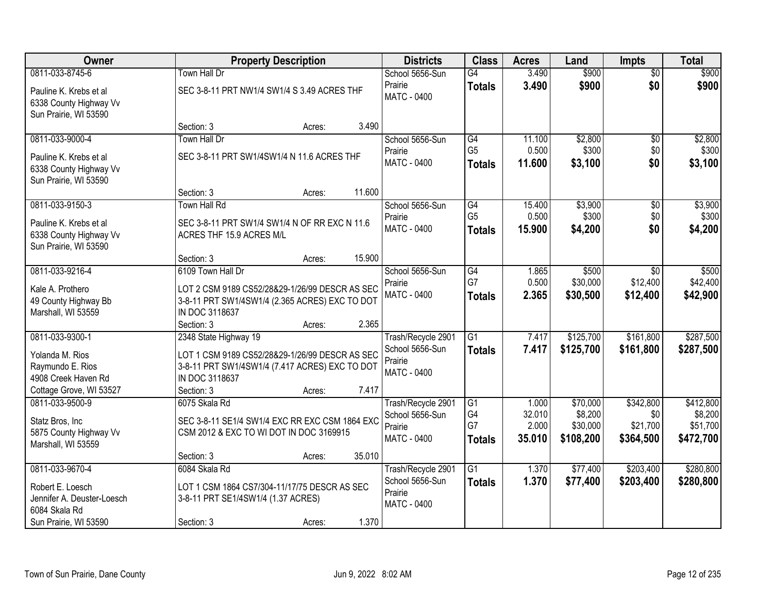| Owner                                                                                                       |                                                                                                                                             | <b>Property Description</b> |        | <b>Districts</b>                                                       | <b>Class</b>                           | <b>Acres</b>              | Land                             | <b>Impts</b>                       | <b>Total</b>                     |
|-------------------------------------------------------------------------------------------------------------|---------------------------------------------------------------------------------------------------------------------------------------------|-----------------------------|--------|------------------------------------------------------------------------|----------------------------------------|---------------------------|----------------------------------|------------------------------------|----------------------------------|
| 0811-033-8745-6                                                                                             | Town Hall Dr                                                                                                                                |                             |        | School 5656-Sun                                                        | G4                                     | 3.490                     | \$900                            | $\overline{50}$                    | \$900                            |
| Pauline K. Krebs et al<br>6338 County Highway Vv<br>Sun Prairie, WI 53590                                   | SEC 3-8-11 PRT NW1/4 SW1/4 S 3.49 ACRES THF                                                                                                 |                             |        | Prairie<br>MATC - 0400                                                 | <b>Totals</b>                          | 3.490                     | \$900                            | \$0                                | \$900                            |
|                                                                                                             | Section: 3                                                                                                                                  | Acres:                      | 3.490  |                                                                        |                                        |                           |                                  |                                    |                                  |
| 0811-033-9000-4                                                                                             | Town Hall Dr                                                                                                                                |                             |        | School 5656-Sun                                                        | G4                                     | 11.100                    | \$2,800                          | \$0                                | \$2,800                          |
| Pauline K. Krebs et al<br>6338 County Highway Vv<br>Sun Prairie, WI 53590                                   | SEC 3-8-11 PRT SW1/4SW1/4 N 11.6 ACRES THF                                                                                                  |                             |        | Prairie<br>MATC - 0400                                                 | G <sub>5</sub><br><b>Totals</b>        | 0.500<br>11.600           | \$300<br>\$3,100                 | \$0<br>\$0                         | \$300<br>\$3,100                 |
|                                                                                                             | Section: 3                                                                                                                                  | Acres:                      | 11.600 |                                                                        |                                        |                           |                                  |                                    |                                  |
| 0811-033-9150-3<br>Pauline K. Krebs et al<br>6338 County Highway Vv<br>Sun Prairie, WI 53590                | <b>Town Hall Rd</b><br>SEC 3-8-11 PRT SW1/4 SW1/4 N OF RR EXC N 11.6<br>ACRES THF 15.9 ACRES M/L                                            |                             |        | School 5656-Sun<br>Prairie<br><b>MATC - 0400</b>                       | G4<br>G <sub>5</sub><br><b>Totals</b>  | 15.400<br>0.500<br>15.900 | \$3,900<br>\$300<br>\$4,200      | \$0<br>\$0<br>\$0                  | \$3,900<br>\$300<br>\$4,200      |
|                                                                                                             | Section: 3                                                                                                                                  | Acres:                      | 15.900 |                                                                        |                                        |                           |                                  |                                    |                                  |
| 0811-033-9216-4<br>Kale A. Prothero<br>49 County Highway Bb<br>Marshall, WI 53559                           | 6109 Town Hall Dr<br>LOT 2 CSM 9189 CS52/28&29-1/26/99 DESCR AS SEC<br>3-8-11 PRT SW1/4SW1/4 (2.365 ACRES) EXC TO DOT<br>IN DOC 3118637     |                             |        | School 5656-Sun<br>Prairie<br>MATC - 0400                              | $\overline{G4}$<br>G7<br><b>Totals</b> | 1.865<br>0.500<br>2.365   | \$500<br>\$30,000<br>\$30,500    | $\sqrt{6}$<br>\$12,400<br>\$12,400 | \$500<br>\$42,400<br>\$42,900    |
|                                                                                                             | Section: 3                                                                                                                                  | Acres:                      | 2.365  |                                                                        |                                        |                           |                                  |                                    |                                  |
| 0811-033-9300-1<br>Yolanda M. Rios<br>Raymundo E. Rios<br>4908 Creek Haven Rd                               | 2348 State Highway 19<br>LOT 1 CSM 9189 CS52/28&29-1/26/99 DESCR AS SEC<br>3-8-11 PRT SW1/4SW1/4 (7.417 ACRES) EXC TO DOT<br>IN DOC 3118637 |                             |        | Trash/Recycle 2901<br>School 5656-Sun<br>Prairie<br><b>MATC - 0400</b> | $\overline{G1}$<br>Totals              | 7.417<br>7.417            | \$125,700<br>\$125,700           | \$161,800<br>\$161,800             | \$287,500<br>\$287,500           |
| Cottage Grove, WI 53527<br>0811-033-9500-9                                                                  | Section: 3<br>6075 Skala Rd                                                                                                                 | Acres:                      | 7.417  | Trash/Recycle 2901                                                     | G1                                     | 1.000                     | \$70,000                         | \$342,800                          | \$412,800                        |
| Statz Bros, Inc<br>5875 County Highway Vv<br>Marshall, WI 53559                                             | SEC 3-8-11 SE1/4 SW1/4 EXC RR EXC CSM 1864 EXC<br>CSM 2012 & EXC TO WI DOT IN DOC 3169915                                                   |                             |        | School 5656-Sun<br>Prairie<br><b>MATC - 0400</b>                       | G4<br>G7<br><b>Totals</b>              | 32.010<br>2.000<br>35.010 | \$8,200<br>\$30,000<br>\$108,200 | \$0<br>\$21,700<br>\$364,500       | \$8,200<br>\$51,700<br>\$472,700 |
|                                                                                                             | Section: 3                                                                                                                                  | Acres:                      | 35.010 |                                                                        |                                        |                           |                                  |                                    |                                  |
| 0811-033-9670-4<br>Robert E. Loesch<br>Jennifer A. Deuster-Loesch<br>6084 Skala Rd<br>Sun Prairie, WI 53590 | 6084 Skala Rd<br>LOT 1 CSM 1864 CS7/304-11/17/75 DESCR AS SEC<br>3-8-11 PRT SE1/4SW1/4 (1.37 ACRES)<br>Section: 3                           | Acres:                      | 1.370  | Trash/Recycle 2901<br>School 5656-Sun<br>Prairie<br>MATC - 0400        | $\overline{G1}$<br><b>Totals</b>       | 1.370<br>1.370            | \$77,400<br>\$77,400             | \$203,400<br>\$203,400             | \$280,800<br>\$280,800           |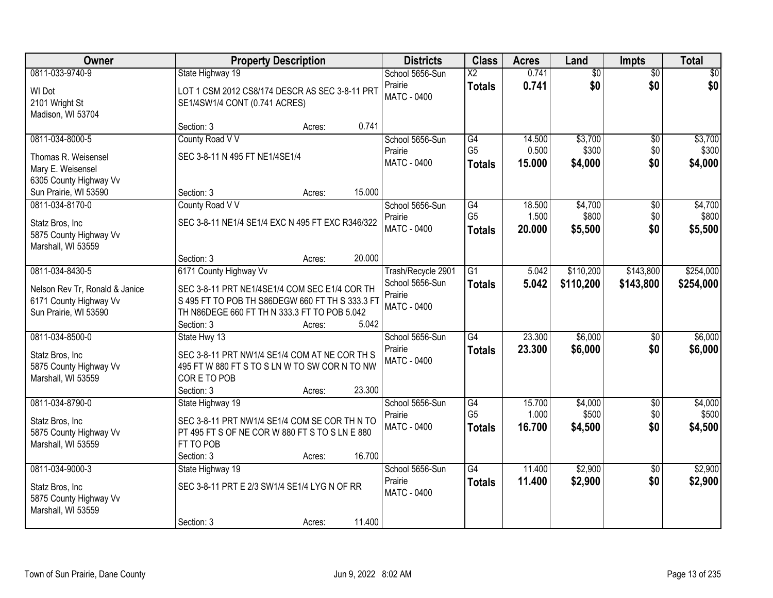| Owner                                                                             | <b>Property Description</b>                                                                                                                                    |        |        | <b>Districts</b>                                 | <b>Class</b>                    | <b>Acres</b>    | Land             | <b>Impts</b>    | <b>Total</b>     |
|-----------------------------------------------------------------------------------|----------------------------------------------------------------------------------------------------------------------------------------------------------------|--------|--------|--------------------------------------------------|---------------------------------|-----------------|------------------|-----------------|------------------|
| 0811-033-9740-9                                                                   | State Highway 19                                                                                                                                               |        |        | School 5656-Sun                                  | $\overline{X2}$                 | 0.741           | $\overline{60}$  | $\overline{50}$ | \$0              |
| WI Dot<br>2101 Wright St<br>Madison, WI 53704                                     | LOT 1 CSM 2012 CS8/174 DESCR AS SEC 3-8-11 PRT<br>SE1/4SW1/4 CONT (0.741 ACRES)                                                                                |        |        | Prairie<br>MATC - 0400                           | <b>Totals</b>                   | 0.741           | \$0              | \$0             | \$0              |
|                                                                                   | Section: 3                                                                                                                                                     | Acres: | 0.741  |                                                  |                                 |                 |                  |                 |                  |
| 0811-034-8000-5                                                                   | County Road V V                                                                                                                                                |        |        | School 5656-Sun                                  | G4                              | 14.500          | \$3,700          | $\overline{50}$ | \$3,700          |
| Thomas R. Weisensel<br>Mary E. Weisensel                                          | SEC 3-8-11 N 495 FT NE1/4SE1/4                                                                                                                                 |        |        | Prairie<br><b>MATC - 0400</b>                    | G <sub>5</sub><br><b>Totals</b> | 0.500<br>15.000 | \$300<br>\$4,000 | \$0<br>\$0      | \$300<br>\$4,000 |
| 6305 County Highway Vv<br>Sun Prairie, WI 53590                                   | Section: 3                                                                                                                                                     | Acres: | 15.000 |                                                  |                                 |                 |                  |                 |                  |
| 0811-034-8170-0                                                                   | County Road V V                                                                                                                                                |        |        | School 5656-Sun                                  | G4                              | 18.500          | \$4,700          | $\overline{50}$ | \$4,700          |
| Statz Bros, Inc.<br>5875 County Highway Vv<br>Marshall, WI 53559                  | SEC 3-8-11 NE1/4 SE1/4 EXC N 495 FT EXC R346/322                                                                                                               |        |        | Prairie<br>MATC - 0400                           | G <sub>5</sub><br><b>Totals</b> | 1.500<br>20.000 | \$800<br>\$5,500 | \$0<br>\$0      | \$800<br>\$5,500 |
|                                                                                   | Section: 3                                                                                                                                                     | Acres: | 20.000 |                                                  |                                 |                 |                  |                 |                  |
| 0811-034-8430-5                                                                   | 6171 County Highway Vv                                                                                                                                         |        |        | Trash/Recycle 2901                               | $\overline{G1}$                 | 5.042           | \$110,200        | \$143,800       | \$254,000        |
| Nelson Rev Tr, Ronald & Janice<br>6171 County Highway Vv<br>Sun Prairie, WI 53590 | SEC 3-8-11 PRT NE1/4SE1/4 COM SEC E1/4 COR TH<br>S 495 FT TO POB TH S86DEGW 660 FT TH S 333.3 FT<br>TH N86DEGE 660 FT TH N 333.3 FT TO POB 5.042<br>Section: 3 | Acres: | 5.042  | School 5656-Sun<br>Prairie<br><b>MATC - 0400</b> | <b>Totals</b>                   | 5.042           | \$110,200        | \$143,800       | \$254,000        |
| 0811-034-8500-0                                                                   | State Hwy 13                                                                                                                                                   |        |        | School 5656-Sun                                  | $\overline{G4}$                 | 23.300          | \$6,000          | $\overline{50}$ | \$6,000          |
| Statz Bros, Inc<br>5875 County Highway Vv<br>Marshall, WI 53559                   | SEC 3-8-11 PRT NW1/4 SE1/4 COM AT NE COR TH S<br>495 FT W 880 FT S TO S LN W TO SW COR N TO NW<br>CORE TO POB<br>Section: 3                                    | Acres: | 23.300 | Prairie<br><b>MATC - 0400</b>                    | <b>Totals</b>                   | 23.300          | \$6,000          | \$0             | \$6,000          |
| 0811-034-8790-0                                                                   | State Highway 19                                                                                                                                               |        |        | School 5656-Sun                                  | G4                              | 15.700          | \$4,000          | $\overline{50}$ | \$4,000          |
| Statz Bros, Inc<br>5875 County Highway Vv<br>Marshall, WI 53559                   | SEC 3-8-11 PRT NW1/4 SE1/4 COM SE COR TH N TO<br>PT 495 FT S OF NE COR W 880 FT S TO S LN E 880<br>FT TO POB<br>Section: 3                                     | Acres: | 16.700 | Prairie<br><b>MATC - 0400</b>                    | G <sub>5</sub><br><b>Totals</b> | 1.000<br>16.700 | \$500<br>\$4,500 | \$0<br>\$0      | \$500<br>\$4,500 |
| 0811-034-9000-3                                                                   | State Highway 19                                                                                                                                               |        |        | School 5656-Sun                                  | G4                              | 11.400          | \$2,900          | $\overline{50}$ | \$2,900          |
| Statz Bros, Inc.<br>5875 County Highway Vv<br>Marshall, WI 53559                  | SEC 3-8-11 PRT E 2/3 SW1/4 SE1/4 LYG N OF RR                                                                                                                   |        |        | Prairie<br>MATC - 0400                           | <b>Totals</b>                   | 11.400          | \$2,900          | \$0             | \$2,900          |
|                                                                                   | Section: 3                                                                                                                                                     | Acres: | 11.400 |                                                  |                                 |                 |                  |                 |                  |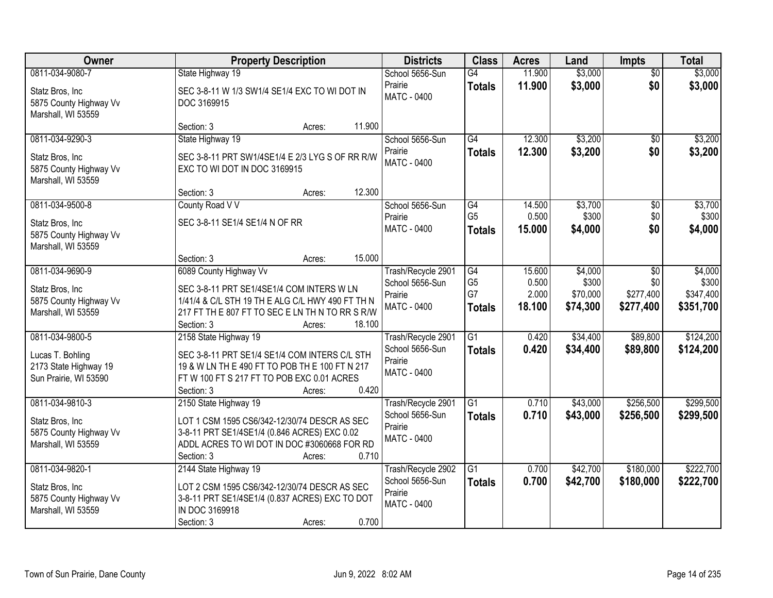| Owner                                                                                 | <b>Property Description</b>                                                                                                                                                                                  | <b>Districts</b>                                                       | <b>Class</b>                                | <b>Acres</b>                       | Land                                     | <b>Impts</b>                                  | <b>Total</b>                               |
|---------------------------------------------------------------------------------------|--------------------------------------------------------------------------------------------------------------------------------------------------------------------------------------------------------------|------------------------------------------------------------------------|---------------------------------------------|------------------------------------|------------------------------------------|-----------------------------------------------|--------------------------------------------|
| 0811-034-9080-7<br>Statz Bros, Inc<br>5875 County Highway Vv<br>Marshall, WI 53559    | State Highway 19<br>SEC 3-8-11 W 1/3 SW1/4 SE1/4 EXC TO WI DOT IN<br>DOC 3169915                                                                                                                             | School 5656-Sun<br>Prairie<br>MATC - 0400                              | G4<br><b>Totals</b>                         | 11.900<br>11.900                   | \$3,000<br>\$3,000                       | $\overline{50}$<br>\$0                        | \$3,000<br>\$3,000                         |
|                                                                                       | 11.900<br>Section: 3<br>Acres:                                                                                                                                                                               |                                                                        |                                             |                                    |                                          |                                               |                                            |
| 0811-034-9290-3<br>Statz Bros, Inc.<br>5875 County Highway Vv<br>Marshall, WI 53559   | State Highway 19<br>SEC 3-8-11 PRT SW1/4SE1/4 E 2/3 LYG S OF RR R/W<br>EXC TO WI DOT IN DOC 3169915                                                                                                          | School 5656-Sun<br>Prairie<br>MATC - 0400                              | $\overline{G4}$<br><b>Totals</b>            | 12.300<br>12.300                   | \$3,200<br>\$3,200                       | \$0<br>\$0                                    | \$3,200<br>\$3,200                         |
| 0811-034-9500-8                                                                       | 12.300<br>Section: 3<br>Acres:<br>County Road V V                                                                                                                                                            | School 5656-Sun                                                        | G4                                          | 14.500                             | \$3,700                                  | \$0                                           | \$3,700                                    |
| Statz Bros, Inc<br>5875 County Highway Vv<br>Marshall, WI 53559                       | SEC 3-8-11 SE1/4 SE1/4 N OF RR                                                                                                                                                                               | Prairie<br>MATC - 0400                                                 | G <sub>5</sub><br><b>Totals</b>             | 0.500<br>15,000                    | \$300<br>\$4,000                         | \$0<br>\$0                                    | \$300<br>\$4,000                           |
|                                                                                       | 15.000<br>Section: 3<br>Acres:                                                                                                                                                                               |                                                                        |                                             |                                    |                                          |                                               |                                            |
| 0811-034-9690-9<br>Statz Bros, Inc<br>5875 County Highway Vv<br>Marshall, WI 53559    | 6089 County Highway Vv<br>SEC 3-8-11 PRT SE1/4SE1/4 COM INTERS W LN<br>1/41/4 & C/L STH 19 TH E ALG C/L HWY 490 FT TH N<br>217 FT TH E 807 FT TO SEC E LN TH N TO RR S R/W<br>Section: 3<br>18.100<br>Acres: | Trash/Recycle 2901<br>School 5656-Sun<br>Prairie<br>MATC - 0400        | G4<br>G <sub>5</sub><br>G7<br><b>Totals</b> | 15.600<br>0.500<br>2.000<br>18.100 | \$4,000<br>\$300<br>\$70,000<br>\$74,300 | $\sqrt[6]{}$<br>\$0<br>\$277,400<br>\$277,400 | \$4,000<br>\$300<br>\$347,400<br>\$351,700 |
| 0811-034-9800-5<br>Lucas T. Bohling<br>2173 State Highway 19<br>Sun Prairie, WI 53590 | 2158 State Highway 19<br>SEC 3-8-11 PRT SE1/4 SE1/4 COM INTERS C/L STH<br>19 & W LN TH E 490 FT TO POB TH E 100 FT N 217<br>FT W 100 FT S 217 FT TO POB EXC 0.01 ACRES<br>0.420<br>Section: 3<br>Acres:      | Trash/Recycle 2901<br>School 5656-Sun<br>Prairie<br><b>MATC - 0400</b> | $\overline{G1}$<br><b>Totals</b>            | 0.420<br>0.420                     | \$34,400<br>\$34,400                     | \$89,800<br>\$89,800                          | \$124,200<br>\$124,200                     |
| 0811-034-9810-3<br>Statz Bros, Inc<br>5875 County Highway Vv<br>Marshall, WI 53559    | 2150 State Highway 19<br>LOT 1 CSM 1595 CS6/342-12/30/74 DESCR AS SEC<br>3-8-11 PRT SE1/4SE1/4 (0.846 ACRES) EXC 0.02<br>ADDL ACRES TO WI DOT IN DOC #3060668 FOR RD<br>0.710<br>Section: 3<br>Acres:        | Trash/Recycle 2901<br>School 5656-Sun<br>Prairie<br>MATC - 0400        | $\overline{G1}$<br><b>Totals</b>            | 0.710<br>0.710                     | \$43,000<br>\$43,000                     | \$256,500<br>\$256,500                        | \$299,500<br>\$299,500                     |
| 0811-034-9820-1<br>Statz Bros, Inc<br>5875 County Highway Vv<br>Marshall, WI 53559    | 2144 State Highway 19<br>LOT 2 CSM 1595 CS6/342-12/30/74 DESCR AS SEC<br>3-8-11 PRT SE1/4SE1/4 (0.837 ACRES) EXC TO DOT<br>IN DOC 3169918<br>0.700<br>Section: 3<br>Acres:                                   | Trash/Recycle 2902<br>School 5656-Sun<br>Prairie<br>MATC - 0400        | $\overline{G1}$<br><b>Totals</b>            | 0.700<br>0.700                     | \$42,700<br>\$42,700                     | \$180,000<br>\$180,000                        | \$222,700<br>\$222,700                     |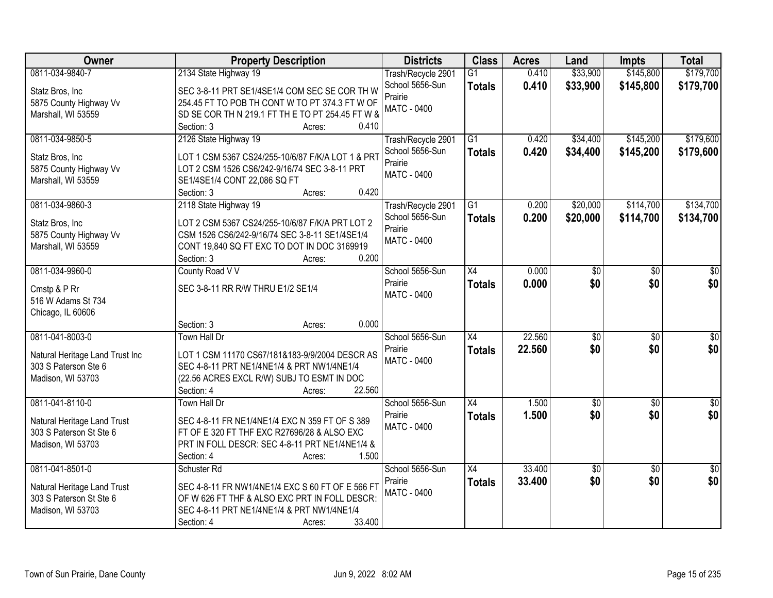| <b>Owner</b>                    | <b>Property Description</b>                                                  | <b>Districts</b>   | <b>Class</b>    | <b>Acres</b> | Land             | <b>Impts</b>    | <b>Total</b>     |
|---------------------------------|------------------------------------------------------------------------------|--------------------|-----------------|--------------|------------------|-----------------|------------------|
| 0811-034-9840-7                 | 2134 State Highway 19                                                        | Trash/Recycle 2901 | $\overline{G1}$ | 0.410        | \$33,900         | \$145,800       | \$179,700        |
| Statz Bros, Inc                 | SEC 3-8-11 PRT SE1/4SE1/4 COM SEC SE COR TH W                                | School 5656-Sun    | <b>Totals</b>   | 0.410        | \$33,900         | \$145,800       | \$179,700        |
| 5875 County Highway Vv          | 254.45 FT TO POB TH CONT W TO PT 374.3 FT W OF                               | Prairie            |                 |              |                  |                 |                  |
| Marshall, WI 53559              | SD SE COR TH N 219.1 FT TH E TO PT 254.45 FT W &                             | <b>MATC - 0400</b> |                 |              |                  |                 |                  |
|                                 | Section: 3<br>0.410<br>Acres:                                                |                    |                 |              |                  |                 |                  |
| 0811-034-9850-5                 | 2126 State Highway 19                                                        | Trash/Recycle 2901 | $\overline{G1}$ | 0.420        | \$34,400         | \$145,200       | \$179,600        |
|                                 |                                                                              | School 5656-Sun    | <b>Totals</b>   | 0.420        | \$34,400         | \$145,200       | \$179,600        |
| Statz Bros, Inc                 | LOT 1 CSM 5367 CS24/255-10/6/87 F/K/A LOT 1 & PRT                            | Prairie            |                 |              |                  |                 |                  |
| 5875 County Highway Vv          | LOT 2 CSM 1526 CS6/242-9/16/74 SEC 3-8-11 PRT                                | <b>MATC - 0400</b> |                 |              |                  |                 |                  |
| Marshall, WI 53559              | SE1/4SE1/4 CONT 22,086 SQ FT<br>0.420<br>Section: 3<br>Acres:                |                    |                 |              |                  |                 |                  |
| 0811-034-9860-3                 | 2118 State Highway 19                                                        | Trash/Recycle 2901 | G1              | 0.200        | \$20,000         | \$114,700       | \$134,700        |
|                                 |                                                                              | School 5656-Sun    |                 | 0.200        | \$20,000         | \$114,700       | \$134,700        |
| Statz Bros, Inc                 | LOT 2 CSM 5367 CS24/255-10/6/87 F/K/A PRT LOT 2                              | Prairie            | <b>Totals</b>   |              |                  |                 |                  |
| 5875 County Highway Vv          | CSM 1526 CS6/242-9/16/74 SEC 3-8-11 SE1/4SE1/4                               | MATC - 0400        |                 |              |                  |                 |                  |
| Marshall, WI 53559              | CONT 19,840 SQ FT EXC TO DOT IN DOC 3169919                                  |                    |                 |              |                  |                 |                  |
|                                 | 0.200<br>Section: 3<br>Acres:                                                |                    |                 |              |                  |                 |                  |
| 0811-034-9960-0                 | County Road V V                                                              | School 5656-Sun    | X4              | 0.000        | \$0              | \$0             | \$0              |
| Cmstp & P Rr                    | SEC 3-8-11 RR R/W THRU E1/2 SE1/4                                            | Prairie            | <b>Totals</b>   | 0.000        | \$0              | \$0             | \$0              |
| 516 W Adams St 734              |                                                                              | <b>MATC - 0400</b> |                 |              |                  |                 |                  |
| Chicago, IL 60606               |                                                                              |                    |                 |              |                  |                 |                  |
|                                 | 0.000<br>Section: 3<br>Acres:                                                |                    |                 |              |                  |                 |                  |
| 0811-041-8003-0                 | <b>Town Hall Dr</b>                                                          | School 5656-Sun    | $\overline{X4}$ | 22.560       | $\overline{\$0}$ | $\overline{50}$ | $\overline{\$0}$ |
|                                 |                                                                              | Prairie            | <b>Totals</b>   | 22.560       | \$0              | \$0             | \$0              |
| Natural Heritage Land Trust Inc | LOT 1 CSM 11170 CS67/181&183-9/9/2004 DESCR AS                               | <b>MATC - 0400</b> |                 |              |                  |                 |                  |
| 303 S Paterson Ste 6            | SEC 4-8-11 PRT NE1/4NE1/4 & PRT NW1/4NE1/4                                   |                    |                 |              |                  |                 |                  |
| Madison, WI 53703               | (22.56 ACRES EXCL R/W) SUBJ TO ESMT IN DOC<br>22.560<br>Section: 4<br>Acres: |                    |                 |              |                  |                 |                  |
| 0811-041-8110-0                 | Town Hall Dr                                                                 | School 5656-Sun    | X4              | 1.500        | $\sqrt{6}$       | $\sqrt{6}$      | $\frac{1}{6}$    |
|                                 |                                                                              | Prairie            |                 | 1.500        | \$0              | \$0             | \$0              |
| Natural Heritage Land Trust     | SEC 4-8-11 FR NE1/4NE1/4 EXC N 359 FT OF S 389                               | <b>MATC - 0400</b> | <b>Totals</b>   |              |                  |                 |                  |
| 303 S Paterson St Ste 6         | FT OF E 320 FT THF EXC R27696/28 & ALSO EXC                                  |                    |                 |              |                  |                 |                  |
| Madison, WI 53703               | PRT IN FOLL DESCR: SEC 4-8-11 PRT NE1/4NE1/4 &                               |                    |                 |              |                  |                 |                  |
|                                 | 1.500<br>Section: 4<br>Acres:                                                |                    |                 |              |                  |                 |                  |
| 0811-041-8501-0                 | Schuster <sub>Rd</sub>                                                       | School 5656-Sun    | $\overline{X4}$ | 33.400       | \$0              | $\overline{50}$ | $\overline{50}$  |
| Natural Heritage Land Trust     | SEC 4-8-11 FR NW1/4NE1/4 EXC S 60 FT OF E 566 FT                             | Prairie            | <b>Totals</b>   | 33.400       | \$0              | \$0             | \$0              |
| 303 S Paterson St Ste 6         | OF W 626 FT THF & ALSO EXC PRT IN FOLL DESCR:                                | <b>MATC - 0400</b> |                 |              |                  |                 |                  |
| Madison, WI 53703               | SEC 4-8-11 PRT NE1/4NE1/4 & PRT NW1/4NE1/4                                   |                    |                 |              |                  |                 |                  |
|                                 | 33.400<br>Section: 4<br>Acres:                                               |                    |                 |              |                  |                 |                  |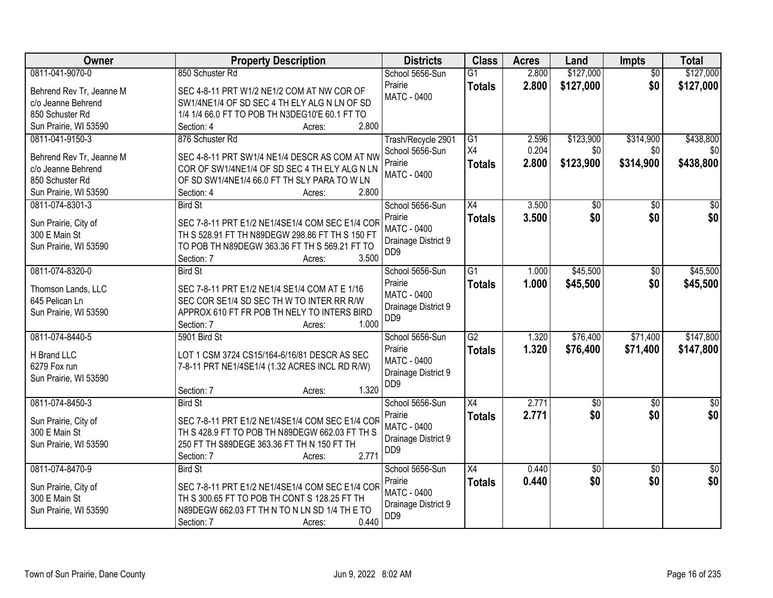| Owner                    | <b>Property Description</b>                           | <b>Districts</b>                       | <b>Class</b>    | <b>Acres</b> | Land            | <b>Impts</b>    | <b>Total</b>    |
|--------------------------|-------------------------------------------------------|----------------------------------------|-----------------|--------------|-----------------|-----------------|-----------------|
| 0811-041-9070-0          | 850 Schuster Rd                                       | School 5656-Sun                        | $\overline{G1}$ | 2.800        | \$127,000       | $\overline{30}$ | \$127,000       |
| Behrend Rev Tr, Jeanne M | SEC 4-8-11 PRT W1/2 NE1/2 COM AT NW COR OF            | Prairie                                | <b>Totals</b>   | 2.800        | \$127,000       | \$0             | \$127,000       |
| c/o Jeanne Behrend       | SW1/4NE1/4 OF SD SEC 4 TH ELY ALG N LN OF SD          | <b>MATC - 0400</b>                     |                 |              |                 |                 |                 |
| 850 Schuster Rd          | 1/4 1/4 66.0 FT TO POB TH N3DEG10'E 60.1 FT TO        |                                        |                 |              |                 |                 |                 |
| Sun Prairie, WI 53590    | 2.800<br>Section: 4<br>Acres:                         |                                        |                 |              |                 |                 |                 |
| 0811-041-9150-3          | 876 Schuster Rd                                       | Trash/Recycle 2901                     | G1              | 2.596        | \$123,900       | \$314,900       | \$438,800       |
|                          |                                                       | School 5656-Sun                        | X4              | 0.204        | \$0             | \$0             | \$0             |
| Behrend Rev Tr, Jeanne M | SEC 4-8-11 PRT SW1/4 NE1/4 DESCR AS COM AT NW         | Prairie                                | <b>Totals</b>   | 2.800        | \$123,900       | \$314,900       | \$438,800       |
| c/o Jeanne Behrend       | COR OF SW1/4NE1/4 OF SD SEC 4 TH ELY ALG N LN         | <b>MATC - 0400</b>                     |                 |              |                 |                 |                 |
| 850 Schuster Rd          | OF SD SW1/4NE1/4 66.0 FT TH SLY PARA TO W LN<br>2.800 |                                        |                 |              |                 |                 |                 |
| Sun Prairie, WI 53590    | Section: 4<br>Acres:                                  |                                        |                 |              |                 |                 |                 |
| 0811-074-8301-3          | <b>Bird St</b>                                        | School 5656-Sun                        | $\overline{X4}$ | 3.500        | $\overline{50}$ | \$0             | $\overline{30}$ |
| Sun Prairie, City of     | SEC 7-8-11 PRT E1/2 NE1/4SE1/4 COM SEC E1/4 COR       | Prairie                                | <b>Totals</b>   | 3.500        | \$0             | \$0             | \$0             |
| 300 E Main St            | TH S 528.91 FT TH N89DEGW 298.86 FT TH S 150 FT       | <b>MATC - 0400</b>                     |                 |              |                 |                 |                 |
| Sun Prairie, WI 53590    | TO POB TH N89DEGW 363.36 FT TH S 569.21 FT TO         | Drainage District 9                    |                 |              |                 |                 |                 |
|                          | 3.500<br>Section: 7<br>Acres:                         | D <sub>D</sub> <sub>9</sub>            |                 |              |                 |                 |                 |
| 0811-074-8320-0          | <b>Bird St</b>                                        | School 5656-Sun                        | $\overline{G1}$ | 1.000        | \$45,500        | \$0             | \$45,500        |
|                          |                                                       | Prairie                                | <b>Totals</b>   | 1.000        | \$45,500        | \$0             | \$45,500        |
| Thomson Lands, LLC       | SEC 7-8-11 PRT E1/2 NE1/4 SE1/4 COM AT E 1/16         | <b>MATC - 0400</b>                     |                 |              |                 |                 |                 |
| 645 Pelican Ln           | SEC COR SE1/4 SD SEC TH W TO INTER RR R/W             | Drainage District 9                    |                 |              |                 |                 |                 |
| Sun Prairie, WI 53590    | APPROX 610 FT FR POB TH NELY TO INTERS BIRD<br>1.000  | D <sub>D</sub> <sub>9</sub>            |                 |              |                 |                 |                 |
| 0811-074-8440-5          | Section: 7<br>Acres:<br>5901 Bird St                  |                                        | $\overline{G2}$ | 1.320        | \$76,400        | \$71,400        | \$147,800       |
|                          |                                                       | School 5656-Sun                        |                 |              |                 |                 |                 |
| H Brand LLC              | LOT 1 CSM 3724 CS15/164-6/16/81 DESCR AS SEC          | Prairie<br>MATC - 0400                 | <b>Totals</b>   | 1.320        | \$76,400        | \$71,400        | \$147,800       |
| 6279 Fox run             | 7-8-11 PRT NE1/4SE1/4 (1.32 ACRES INCL RD R/W)        |                                        |                 |              |                 |                 |                 |
| Sun Prairie, WI 53590    |                                                       | Drainage District 9<br>DD <sub>9</sub> |                 |              |                 |                 |                 |
|                          | 1.320<br>Section: 7<br>Acres:                         |                                        |                 |              |                 |                 |                 |
| 0811-074-8450-3          | <b>Bird St</b>                                        | School 5656-Sun                        | X4              | 2.771        | $\sqrt{$0}$     | $\sqrt{6}$      | $\frac{1}{6}$   |
| Sun Prairie, City of     | SEC 7-8-11 PRT E1/2 NE1/4SE1/4 COM SEC E1/4 COR       | Prairie                                | <b>Totals</b>   | 2.771        | \$0             | \$0             | \$0             |
| 300 E Main St            | TH S 428.9 FT TO POB TH N89DEGW 662.03 FT TH S        | <b>MATC - 0400</b>                     |                 |              |                 |                 |                 |
| Sun Prairie, WI 53590    | 250 FT TH S89DEGE 363.36 FT TH N 150 FT TH            | Drainage District 9                    |                 |              |                 |                 |                 |
|                          | 2.771<br>Section: 7<br>Acres:                         | D <sub>D</sub> <sub>9</sub>            |                 |              |                 |                 |                 |
| 0811-074-8470-9          | <b>Bird St</b>                                        | School 5656-Sun                        | X4              | 0.440        | $\overline{50}$ | $\overline{50}$ | $\frac{1}{2}$   |
|                          |                                                       | Prairie                                | <b>Totals</b>   | 0.440        | \$0             | \$0             | \$0             |
| Sun Prairie, City of     | SEC 7-8-11 PRT E1/2 NE1/4SE1/4 COM SEC E1/4 COR       | <b>MATC - 0400</b>                     |                 |              |                 |                 |                 |
| 300 E Main St            | TH S 300.65 FT TO POB TH CONT S 128.25 FT TH          | Drainage District 9                    |                 |              |                 |                 |                 |
| Sun Prairie, WI 53590    | N89DEGW 662.03 FT TH N TO N LN SD 1/4 TH E TO         | D <sub>D</sub> <sub>9</sub>            |                 |              |                 |                 |                 |
|                          | 0.440<br>Section: 7<br>Acres:                         |                                        |                 |              |                 |                 |                 |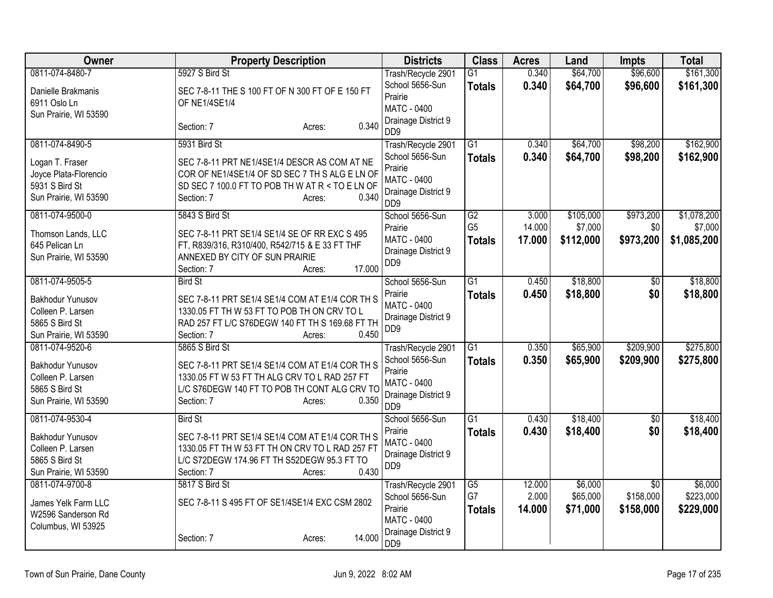| Owner                                                                                   | <b>Property Description</b>                                                                                                                                                        | <b>Districts</b>                                                                                       | <b>Class</b>          | <b>Acres</b>    | Land                 | <b>Impts</b>                 | <b>Total</b>           |
|-----------------------------------------------------------------------------------------|------------------------------------------------------------------------------------------------------------------------------------------------------------------------------------|--------------------------------------------------------------------------------------------------------|-----------------------|-----------------|----------------------|------------------------------|------------------------|
| 0811-074-8480-7                                                                         | 5927 S Bird St                                                                                                                                                                     | Trash/Recycle 2901<br>School 5656-Sun                                                                  | G1<br><b>Totals</b>   | 0.340<br>0.340  | \$64,700<br>\$64,700 | \$96,600<br>\$96,600         | \$161,300<br>\$161,300 |
| Danielle Brakmanis<br>6911 Oslo Ln<br>Sun Prairie, WI 53590                             | SEC 7-8-11 THE S 100 FT OF N 300 FT OF E 150 FT<br><b>OF NE1/4SE1/4</b>                                                                                                            | Prairie<br>MATC - 0400<br>Drainage District 9                                                          |                       |                 |                      |                              |                        |
|                                                                                         | 0.340<br>Section: 7<br>Acres:                                                                                                                                                      | DD <sub>9</sub>                                                                                        |                       |                 |                      |                              |                        |
| 0811-074-8490-5                                                                         | 5931 Bird St                                                                                                                                                                       | Trash/Recycle 2901                                                                                     | $\overline{G1}$       | 0.340           | \$64,700             | \$98,200                     | \$162,900              |
| Logan T. Fraser<br>Joyce Plata-Florencio<br>5931 S Bird St<br>Sun Prairie, WI 53590     | SEC 7-8-11 PRT NE1/4SE1/4 DESCR AS COM AT NE<br>COR OF NE1/4SE1/4 OF SD SEC 7 TH S ALG E LN OF<br>SD SEC 7 100.0 FT TO POB TH W AT R < TO E LN OF<br>0.340<br>Section: 7<br>Acres: | School 5656-Sun<br>Prairie<br><b>MATC - 0400</b><br>Drainage District 9<br>D <sub>D</sub> <sub>9</sub> | <b>Totals</b>         | 0.340           | \$64,700             | \$98,200                     | \$162,900              |
| 0811-074-9500-0                                                                         | 5843 S Bird St                                                                                                                                                                     | School 5656-Sun<br>Prairie                                                                             | G2<br>G <sub>5</sub>  | 3.000<br>14.000 | \$105,000<br>\$7,000 | \$973,200<br>\$0             | \$1,078,200<br>\$7,000 |
| Thomson Lands, LLC<br>645 Pelican Ln<br>Sun Prairie, WI 53590                           | SEC 7-8-11 PRT SE1/4 SE1/4 SE OF RR EXC S 495<br>FT, R839/316, R310/400, R542/715 & E33 FT THF<br>ANNEXED BY CITY OF SUN PRAIRIE<br>17.000<br>Section: 7<br>Acres:                 | <b>MATC - 0400</b><br>Drainage District 9<br>DD <sub>9</sub>                                           | <b>Totals</b>         | 17.000          | \$112,000            | \$973,200                    | \$1,085,200            |
| 0811-074-9505-5                                                                         | <b>Bird St</b>                                                                                                                                                                     | School 5656-Sun                                                                                        | $\overline{G1}$       | 0.450           | \$18,800             | $\overline{30}$              | \$18,800               |
| Bakhodur Yunusov<br>Colleen P. Larsen<br>5865 S Bird St<br>Sun Prairie, WI 53590        | SEC 7-8-11 PRT SE1/4 SE1/4 COM AT E1/4 COR TH S<br>1330.05 FT TH W 53 FT TO POB TH ON CRV TO L<br>RAD 257 FT L/C S76DEGW 140 FT TH S 169.68 FT TH<br>0.450<br>Section: 7<br>Acres: | Prairie<br>MATC - 0400<br>Drainage District 9<br>DD <sub>9</sub>                                       | <b>Totals</b>         | 0.450           | \$18,800             | \$0                          | \$18,800               |
| 0811-074-9520-6                                                                         | 5865 S Bird St                                                                                                                                                                     | Trash/Recycle 2901                                                                                     | $\overline{G1}$       | 0.350           | \$65,900             | \$209,900                    | \$275,800              |
| Bakhodur Yunusov<br>Colleen P. Larsen<br>5865 S Bird St<br>Sun Prairie, WI 53590        | SEC 7-8-11 PRT SE1/4 SE1/4 COM AT E1/4 COR TH S<br>1330.05 FT W 53 FT TH ALG CRV TO L RAD 257 FT<br>L/C S76DEGW 140 FT TO POB TH CONT ALG CRV TO<br>Section: 7<br>0.350<br>Acres:  | School 5656-Sun<br>Prairie<br><b>MATC - 0400</b><br>Drainage District 9<br>DD <sub>9</sub>             | <b>Totals</b>         | 0.350           | \$65,900             | \$209,900                    | \$275,800              |
| 0811-074-9530-4                                                                         | <b>Bird St</b>                                                                                                                                                                     | School 5656-Sun                                                                                        | $\overline{G1}$       | 0.430           | \$18,400             | \$0                          | \$18,400               |
| <b>Bakhodur Yunusov</b><br>Colleen P. Larsen<br>5865 S Bird St<br>Sun Prairie, WI 53590 | SEC 7-8-11 PRT SE1/4 SE1/4 COM AT E1/4 COR TH S<br>1330.05 FT TH W 53 FT TH ON CRV TO L RAD 257 FT<br>L/C S72DEGW 174.96 FT TH S52DEGW 95.3 FT TO<br>0.430<br>Section: 7<br>Acres: | Prairie<br><b>MATC - 0400</b><br>Drainage District 9<br>DD <sub>9</sub>                                | <b>Totals</b>         | 0.430           | \$18,400             | \$0                          | \$18,400               |
| 0811-074-9700-8                                                                         | 5817 S Bird St                                                                                                                                                                     | Trash/Recycle 2901<br>School 5656-Sun                                                                  | $\overline{G5}$<br>G7 | 12.000<br>2.000 | \$6,000<br>\$65,000  | $\overline{50}$<br>\$158,000 | \$6,000<br>\$223,000   |
| James Yelk Farm LLC<br>W2596 Sanderson Rd<br>Columbus, WI 53925                         | SEC 7-8-11 S 495 FT OF SE1/4SE1/4 EXC CSM 2802                                                                                                                                     | Prairie<br>MATC - 0400                                                                                 | <b>Totals</b>         | 14.000          | \$71,000             | \$158,000                    | \$229,000              |
|                                                                                         | 14.000<br>Section: 7<br>Acres:                                                                                                                                                     | Drainage District 9<br>DD <sub>9</sub>                                                                 |                       |                 |                      |                              |                        |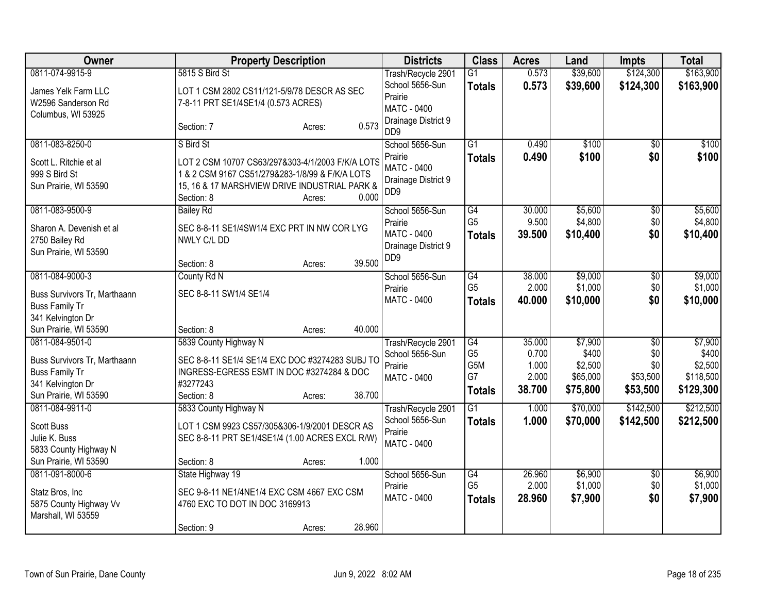| <b>Owner</b>                                                                                        | <b>Property Description</b>                                                                                                                                                           | <b>Districts</b>                                                 | <b>Class</b>                                 | <b>Acres</b>                      | Land                                     | <b>Impts</b>                       | <b>Total</b>                               |
|-----------------------------------------------------------------------------------------------------|---------------------------------------------------------------------------------------------------------------------------------------------------------------------------------------|------------------------------------------------------------------|----------------------------------------------|-----------------------------------|------------------------------------------|------------------------------------|--------------------------------------------|
| 0811-074-9915-9                                                                                     | 5815 S Bird St                                                                                                                                                                        | Trash/Recycle 2901                                               | $\overline{G1}$                              | 0.573                             | \$39,600                                 | \$124,300                          | \$163,900                                  |
| James Yelk Farm LLC<br>W2596 Sanderson Rd<br>Columbus, WI 53925                                     | LOT 1 CSM 2802 CS11/121-5/9/78 DESCR AS SEC<br>7-8-11 PRT SE1/4SE1/4 (0.573 ACRES)                                                                                                    | School 5656-Sun<br>Prairie<br>MATC - 0400<br>Drainage District 9 | <b>Totals</b>                                | 0.573                             | \$39,600                                 | \$124,300                          | \$163,900                                  |
|                                                                                                     | 0.573<br>Section: 7<br>Acres:                                                                                                                                                         | D <sub>D</sub> <sub>9</sub>                                      |                                              |                                   |                                          |                                    |                                            |
| 0811-083-8250-0                                                                                     | S Bird St                                                                                                                                                                             | School 5656-Sun                                                  | $\overline{G1}$                              | 0.490                             | \$100                                    | \$0                                | \$100                                      |
| Scott L. Ritchie et al<br>999 S Bird St<br>Sun Prairie, WI 53590                                    | LOT 2 CSM 10707 CS63/297&303-4/1/2003 F/K/A LOTS<br>1 & 2 CSM 9167 CS51/279&283-1/8/99 & F/K/A LOTS<br>15, 16 & 17 MARSHVIEW DRIVE INDUSTRIAL PARK &<br>Section: 8<br>0.000<br>Acres: | Prairie<br>MATC - 0400<br>Drainage District 9<br>DD <sub>9</sub> | <b>Totals</b>                                | 0.490                             | \$100                                    | \$0                                | \$100                                      |
| 0811-083-9500-9                                                                                     | <b>Bailey Rd</b>                                                                                                                                                                      | School 5656-Sun                                                  | $\overline{G4}$                              | 30.000                            | \$5,600                                  | $\overline{50}$                    | \$5,600                                    |
| Sharon A. Devenish et al<br>2750 Bailey Rd<br>Sun Prairie, WI 53590                                 | SEC 8-8-11 SE1/4SW1/4 EXC PRT IN NW COR LYG<br>NWLY C/L DD                                                                                                                            | Prairie<br>MATC - 0400<br>Drainage District 9                    | G <sub>5</sub><br><b>Totals</b>              | 9.500<br>39.500                   | \$4,800<br>\$10,400                      | \$0<br>\$0                         | \$4,800<br>\$10,400                        |
|                                                                                                     | 39.500<br>Section: 8<br>Acres:                                                                                                                                                        | D <sub>D</sub> <sub>9</sub>                                      |                                              |                                   |                                          |                                    |                                            |
| 0811-084-9000-3                                                                                     | County Rd N                                                                                                                                                                           | School 5656-Sun                                                  | G4                                           | 38.000                            | \$9,000                                  | $\overline{60}$                    | \$9,000                                    |
| Buss Survivors Tr, Marthaann<br><b>Buss Family Tr</b>                                               | SEC 8-8-11 SW1/4 SE1/4                                                                                                                                                                | Prairie<br><b>MATC - 0400</b>                                    | G <sub>5</sub><br><b>Totals</b>              | 2.000<br>40.000                   | \$1,000<br>\$10,000                      | \$0<br>\$0                         | \$1,000<br>\$10,000                        |
| 341 Kelvington Dr                                                                                   |                                                                                                                                                                                       |                                                                  |                                              |                                   |                                          |                                    |                                            |
| Sun Prairie, WI 53590<br>0811-084-9501-0                                                            | 40.000<br>Section: 8<br>Acres:<br>5839 County Highway N                                                                                                                               | Trash/Recycle 2901                                               | G4                                           | 35.000                            | \$7,900                                  | \$0                                | \$7,900                                    |
| Buss Survivors Tr, Marthaann<br><b>Buss Family Tr</b><br>341 Kelvington Dr<br>Sun Prairie, WI 53590 | SEC 8-8-11 SE1/4 SE1/4 EXC DOC #3274283 SUBJ TO<br>INGRESS-EGRESS ESMT IN DOC #3274284 & DOC<br>#3277243<br>38.700<br>Section: 8<br>Acres:                                            | School 5656-Sun<br>Prairie<br>MATC - 0400                        | G <sub>5</sub><br>G5M<br>G7<br><b>Totals</b> | 0.700<br>1.000<br>2.000<br>38.700 | \$400<br>\$2,500<br>\$65,000<br>\$75,800 | \$0<br>\$0<br>\$53,500<br>\$53,500 | \$400<br>\$2,500<br>\$118,500<br>\$129,300 |
| 0811-084-9911-0                                                                                     | 5833 County Highway N                                                                                                                                                                 | Trash/Recycle 2901                                               | $\overline{G1}$                              | 1.000                             | \$70,000                                 | \$142,500                          | \$212,500                                  |
| <b>Scott Buss</b><br>Julie K. Buss<br>5833 County Highway N                                         | LOT 1 CSM 9923 CS57/305&306-1/9/2001 DESCR AS<br>SEC 8-8-11 PRT SE1/4SE1/4 (1.00 ACRES EXCL R/W)                                                                                      | School 5656-Sun<br>Prairie<br>MATC - 0400                        | <b>Totals</b>                                | 1.000                             | \$70,000                                 | \$142,500                          | \$212,500                                  |
| Sun Prairie, WI 53590                                                                               | 1.000<br>Section: 8<br>Acres:                                                                                                                                                         |                                                                  |                                              |                                   |                                          |                                    |                                            |
| 0811-091-8000-6<br>Statz Bros, Inc.<br>5875 County Highway Vv<br>Marshall, WI 53559                 | State Highway 19<br>SEC 9-8-11 NE1/4NE1/4 EXC CSM 4667 EXC CSM<br>4760 EXC TO DOT IN DOC 3169913                                                                                      | School 5656-Sun<br>Prairie<br>MATC - 0400                        | G4<br>G <sub>5</sub><br><b>Totals</b>        | 26.960<br>2.000<br>28.960         | \$6,900<br>\$1,000<br>\$7,900            | \$0<br>\$0<br>\$0                  | \$6,900<br>\$1,000<br>\$7,900              |
|                                                                                                     | 28.960<br>Section: 9<br>Acres:                                                                                                                                                        |                                                                  |                                              |                                   |                                          |                                    |                                            |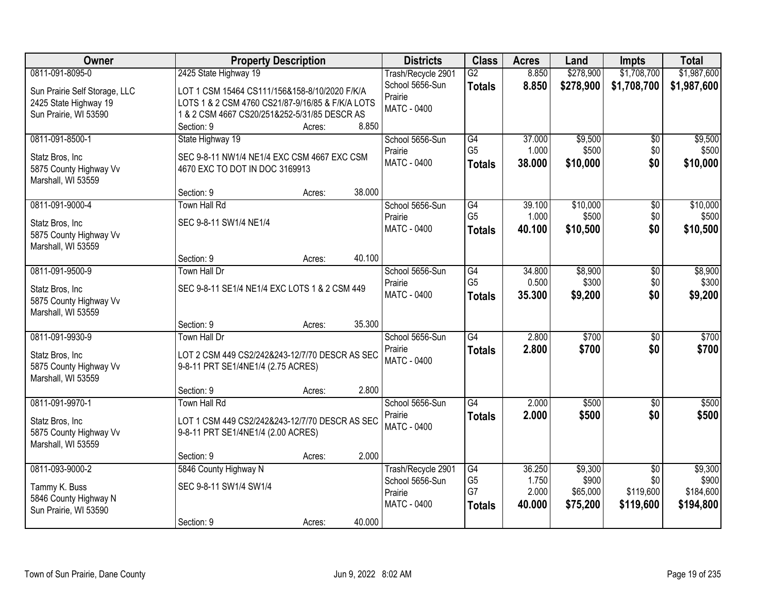| Owner                         | <b>Property Description</b>                      |        |        | <b>Districts</b>   | <b>Class</b>    | <b>Acres</b> | Land      | <b>Impts</b>    | <b>Total</b> |
|-------------------------------|--------------------------------------------------|--------|--------|--------------------|-----------------|--------------|-----------|-----------------|--------------|
| 0811-091-8095-0               | 2425 State Highway 19                            |        |        | Trash/Recycle 2901 | $\overline{G2}$ | 8.850        | \$278,900 | \$1,708,700     | \$1,987,600  |
| Sun Prairie Self Storage, LLC | LOT 1 CSM 15464 CS111/156&158-8/10/2020 F/K/A    |        |        | School 5656-Sun    | <b>Totals</b>   | 8.850        | \$278,900 | \$1,708,700     | \$1,987,600  |
| 2425 State Highway 19         | LOTS 1 & 2 CSM 4760 CS21/87-9/16/85 & F/K/A LOTS |        |        | Prairie            |                 |              |           |                 |              |
| Sun Prairie, WI 53590         | 1 & 2 CSM 4667 CS20/251&252-5/31/85 DESCR AS     |        |        | <b>MATC - 0400</b> |                 |              |           |                 |              |
|                               | Section: 9                                       | Acres: | 8.850  |                    |                 |              |           |                 |              |
| 0811-091-8500-1               | State Highway 19                                 |        |        | School 5656-Sun    | G4              | 37.000       | \$9,500   | \$0             | \$9,500      |
| Statz Bros, Inc.              | SEC 9-8-11 NW1/4 NE1/4 EXC CSM 4667 EXC CSM      |        |        | Prairie            | G <sub>5</sub>  | 1.000        | \$500     | \$0             | \$500        |
| 5875 County Highway Vv        | 4670 EXC TO DOT IN DOC 3169913                   |        |        | MATC - 0400        | <b>Totals</b>   | 38.000       | \$10,000  | \$0             | \$10,000     |
| Marshall, WI 53559            |                                                  |        |        |                    |                 |              |           |                 |              |
|                               | Section: 9                                       | Acres: | 38.000 |                    |                 |              |           |                 |              |
| 0811-091-9000-4               | Town Hall Rd                                     |        |        | School 5656-Sun    | G4              | 39.100       | \$10,000  | $\overline{50}$ | \$10,000     |
| Statz Bros, Inc               | SEC 9-8-11 SW1/4 NE1/4                           |        |        | Prairie            | G <sub>5</sub>  | 1.000        | \$500     | \$0             | \$500        |
| 5875 County Highway Vv        |                                                  |        |        | MATC - 0400        | <b>Totals</b>   | 40.100       | \$10,500  | \$0             | \$10,500     |
| Marshall, WI 53559            |                                                  |        |        |                    |                 |              |           |                 |              |
|                               | Section: 9                                       | Acres: | 40.100 |                    |                 |              |           |                 |              |
| 0811-091-9500-9               | Town Hall Dr                                     |        |        | School 5656-Sun    | $\overline{G4}$ | 34.800       | \$8,900   | \$0             | \$8,900      |
| Statz Bros, Inc               | SEC 9-8-11 SE1/4 NE1/4 EXC LOTS 1 & 2 CSM 449    |        |        | Prairie            | G <sub>5</sub>  | 0.500        | \$300     | \$0             | \$300        |
| 5875 County Highway Vv        |                                                  |        |        | <b>MATC - 0400</b> | <b>Totals</b>   | 35.300       | \$9,200   | \$0             | \$9,200      |
| Marshall, WI 53559            |                                                  |        |        |                    |                 |              |           |                 |              |
|                               | Section: 9                                       | Acres: | 35.300 |                    |                 |              |           |                 |              |
| 0811-091-9930-9               | Town Hall Dr                                     |        |        | School 5656-Sun    | $\overline{G4}$ | 2.800        | \$700     | $\overline{30}$ | \$700        |
| Statz Bros, Inc.              | LOT 2 CSM 449 CS2/242&243-12/7/70 DESCR AS SEC   |        |        | Prairie            | <b>Totals</b>   | 2.800        | \$700     | \$0             | \$700        |
| 5875 County Highway Vv        | 9-8-11 PRT SE1/4NE1/4 (2.75 ACRES)               |        |        | MATC - 0400        |                 |              |           |                 |              |
| Marshall, WI 53559            |                                                  |        |        |                    |                 |              |           |                 |              |
|                               | Section: 9                                       | Acres: | 2.800  |                    |                 |              |           |                 |              |
| 0811-091-9970-1               | Town Hall Rd                                     |        |        | School 5656-Sun    | $\overline{G4}$ | 2.000        | \$500     | $\sqrt{6}$      | \$500        |
| Statz Bros, Inc               | LOT 1 CSM 449 CS2/242&243-12/7/70 DESCR AS SEC   |        |        | Prairie            | <b>Totals</b>   | 2.000        | \$500     | \$0             | \$500        |
| 5875 County Highway Vv        | 9-8-11 PRT SE1/4NE1/4 (2.00 ACRES)               |        |        | <b>MATC - 0400</b> |                 |              |           |                 |              |
| Marshall, WI 53559            |                                                  |        |        |                    |                 |              |           |                 |              |
|                               | Section: 9                                       | Acres: | 2.000  |                    |                 |              |           |                 |              |
| 0811-093-9000-2               | 5846 County Highway N                            |        |        | Trash/Recycle 2901 | $\overline{G4}$ | 36.250       | \$9,300   | $\overline{50}$ | \$9,300      |
| Tammy K. Buss                 | SEC 9-8-11 SW1/4 SW1/4                           |        |        | School 5656-Sun    | G <sub>5</sub>  | 1.750        | \$900     | \$0             | \$900        |
| 5846 County Highway N         |                                                  |        |        | Prairie            | G7              | 2.000        | \$65,000  | \$119,600       | \$184,600    |
| Sun Prairie, WI 53590         |                                                  |        |        | MATC - 0400        | <b>Totals</b>   | 40.000       | \$75,200  | \$119,600       | \$194,800    |
|                               | Section: 9                                       | Acres: | 40.000 |                    |                 |              |           |                 |              |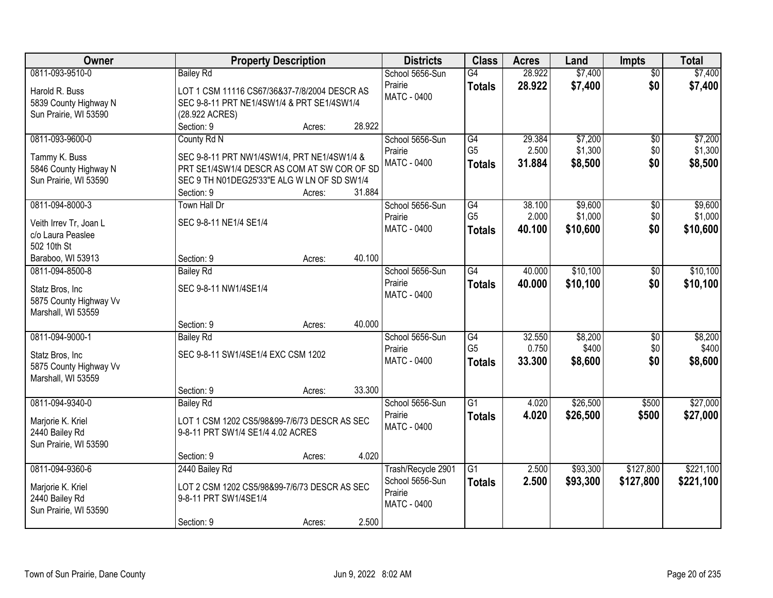| Owner                                                                                              | <b>Property Description</b>                                                                                                                              |                  |                  | <b>Districts</b>                                                | <b>Class</b>                                       | <b>Acres</b>              | Land                           | <b>Impts</b>                  | <b>Total</b>                   |
|----------------------------------------------------------------------------------------------------|----------------------------------------------------------------------------------------------------------------------------------------------------------|------------------|------------------|-----------------------------------------------------------------|----------------------------------------------------|---------------------------|--------------------------------|-------------------------------|--------------------------------|
| 0811-093-9510-0<br>Harold R. Buss<br>5839 County Highway N                                         | <b>Bailey Rd</b><br>LOT 1 CSM 11116 CS67/36&37-7/8/2004 DESCR AS<br>SEC 9-8-11 PRT NE1/4SW1/4 & PRT SE1/4SW1/4                                           |                  |                  | School 5656-Sun<br>Prairie<br>MATC - 0400                       | $\overline{G4}$<br><b>Totals</b>                   | 28.922<br>28.922          | \$7,400<br>\$7,400             | $\overline{50}$<br>\$0        | \$7,400<br>\$7,400             |
| Sun Prairie, WI 53590                                                                              | (28.922 ACRES)<br>Section: 9                                                                                                                             | Acres:           | 28.922           |                                                                 |                                                    |                           |                                |                               |                                |
| 0811-093-9600-0<br>Tammy K. Buss<br>5846 County Highway N<br>Sun Prairie, WI 53590                 | County Rd N<br>SEC 9-8-11 PRT NW1/4SW1/4, PRT NE1/4SW1/4 &<br>PRT SE1/4SW1/4 DESCR AS COM AT SW COR OF SD<br>SEC 9 TH N01DEG25'33"E ALG W LN OF SD SW1/4 |                  |                  | School 5656-Sun<br>Prairie<br>MATC - 0400                       | G4<br>G <sub>5</sub><br><b>Totals</b>              | 29.384<br>2.500<br>31.884 | \$7,200<br>\$1,300<br>\$8,500  | $\overline{50}$<br>\$0<br>\$0 | \$7,200<br>\$1,300<br>\$8,500  |
| 0811-094-8000-3<br>Veith Irrev Tr, Joan L<br>c/o Laura Peaslee<br>502 10th St<br>Baraboo, WI 53913 | Section: 9<br><b>Town Hall Dr</b><br>SEC 9-8-11 NE1/4 SE1/4<br>Section: 9                                                                                | Acres:<br>Acres: | 31.884<br>40.100 | School 5656-Sun<br>Prairie<br>MATC - 0400                       | G4<br>G <sub>5</sub><br><b>Totals</b>              | 38.100<br>2.000<br>40.100 | \$9,600<br>\$1,000<br>\$10,600 | \$0<br>\$0<br>\$0             | \$9,600<br>\$1,000<br>\$10,600 |
| 0811-094-8500-8<br>Statz Bros, Inc<br>5875 County Highway Vv<br>Marshall, WI 53559                 | <b>Bailey Rd</b><br>SEC 9-8-11 NW1/4SE1/4                                                                                                                |                  |                  | School 5656-Sun<br>Prairie<br>MATC - 0400                       | $\overline{G4}$<br><b>Totals</b>                   | 40.000<br>40.000          | \$10,100<br>\$10,100           | $\sqrt[6]{3}$<br>\$0          | \$10,100<br>\$10,100           |
| 0811-094-9000-1<br>Statz Bros, Inc<br>5875 County Highway Vv<br>Marshall, WI 53559                 | Section: 9<br><b>Bailey Rd</b><br>SEC 9-8-11 SW1/4SE1/4 EXC CSM 1202<br>Section: 9                                                                       | Acres:<br>Acres: | 40.000<br>33.300 | School 5656-Sun<br>Prairie<br><b>MATC - 0400</b>                | $\overline{G4}$<br>G <sub>5</sub><br><b>Totals</b> | 32.550<br>0.750<br>33.300 | \$8,200<br>\$400<br>\$8,600    | $\overline{50}$<br>\$0<br>\$0 | \$8,200<br>\$400<br>\$8,600    |
| 0811-094-9340-0<br>Marjorie K. Kriel<br>2440 Bailey Rd<br>Sun Prairie, WI 53590                    | <b>Bailey Rd</b><br>LOT 1 CSM 1202 CS5/98&99-7/6/73 DESCR AS SEC<br>9-8-11 PRT SW1/4 SE1/4 4.02 ACRES<br>Section: 9                                      | Acres:           | 4.020            | School 5656-Sun<br>Prairie<br><b>MATC - 0400</b>                | $\overline{G1}$<br><b>Totals</b>                   | 4.020<br>4.020            | \$26,500<br>\$26,500           | \$500<br>\$500                | \$27,000<br>\$27,000           |
| 0811-094-9360-6<br>Marjorie K. Kriel<br>2440 Bailey Rd<br>Sun Prairie, WI 53590                    | 2440 Bailey Rd<br>LOT 2 CSM 1202 CS5/98&99-7/6/73 DESCR AS SEC<br>9-8-11 PRT SW1/4SE1/4<br>Section: 9                                                    | Acres:           | 2.500            | Trash/Recycle 2901<br>School 5656-Sun<br>Prairie<br>MATC - 0400 | G1<br><b>Totals</b>                                | 2.500<br>2.500            | \$93,300<br>\$93,300           | \$127,800<br>\$127,800        | \$221,100<br>\$221,100         |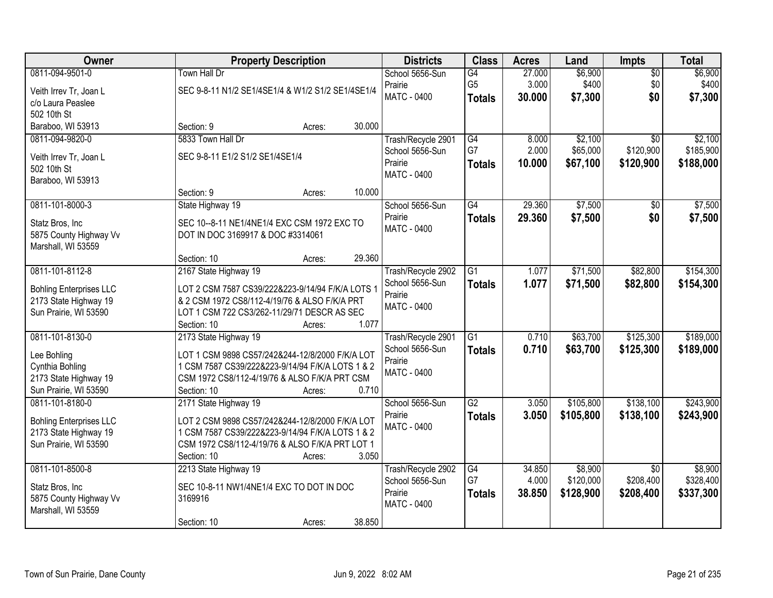| Owner                          | <b>Property Description</b>                       | <b>Districts</b>   | <b>Class</b>    | <b>Acres</b> | Land      | Impts           | <b>Total</b> |
|--------------------------------|---------------------------------------------------|--------------------|-----------------|--------------|-----------|-----------------|--------------|
| 0811-094-9501-0                | Town Hall Dr                                      | School 5656-Sun    | G4              | 27.000       | \$6,900   | $\overline{50}$ | \$6,900      |
| Veith Irrev Tr, Joan L         | SEC 9-8-11 N1/2 SE1/4SE1/4 & W1/2 S1/2 SE1/4SE1/4 | Prairie            | G <sub>5</sub>  | 3.000        | \$400     | \$0             | \$400        |
| c/o Laura Peaslee              |                                                   | <b>MATC - 0400</b> | <b>Totals</b>   | 30.000       | \$7,300   | \$0             | \$7,300      |
| 502 10th St                    |                                                   |                    |                 |              |           |                 |              |
| Baraboo, WI 53913              | Section: 9<br>30.000<br>Acres:                    |                    |                 |              |           |                 |              |
| 0811-094-9820-0                | 5833 Town Hall Dr                                 | Trash/Recycle 2901 | G4              | 8.000        | \$2,100   | $\overline{50}$ | \$2,100      |
| Veith Irrev Tr, Joan L         | SEC 9-8-11 E1/2 S1/2 SE1/4SE1/4                   | School 5656-Sun    | G7              | 2.000        | \$65,000  | \$120,900       | \$185,900    |
| 502 10th St                    |                                                   | Prairie            | <b>Totals</b>   | 10.000       | \$67,100  | \$120,900       | \$188,000    |
| Baraboo, WI 53913              |                                                   | <b>MATC - 0400</b> |                 |              |           |                 |              |
|                                | 10.000<br>Section: 9<br>Acres:                    |                    |                 |              |           |                 |              |
| 0811-101-8000-3                | State Highway 19                                  | School 5656-Sun    | G4              | 29.360       | \$7,500   | \$0             | \$7,500      |
| Statz Bros, Inc                | SEC 10--8-11 NE1/4NE1/4 EXC CSM 1972 EXC TO       | Prairie            | <b>Totals</b>   | 29.360       | \$7,500   | \$0             | \$7,500      |
| 5875 County Highway Vv         | DOT IN DOC 3169917 & DOC #3314061                 | MATC - 0400        |                 |              |           |                 |              |
| Marshall, WI 53559             |                                                   |                    |                 |              |           |                 |              |
|                                | 29.360<br>Section: 10<br>Acres:                   |                    |                 |              |           |                 |              |
| 0811-101-8112-8                | 2167 State Highway 19                             | Trash/Recycle 2902 | G1              | 1.077        | \$71,500  | \$82,800        | \$154,300    |
| <b>Bohling Enterprises LLC</b> | LOT 2 CSM 7587 CS39/222&223-9/14/94 F/K/A LOTS 1  | School 5656-Sun    | <b>Totals</b>   | 1.077        | \$71,500  | \$82,800        | \$154,300    |
| 2173 State Highway 19          | & 2 CSM 1972 CS8/112-4/19/76 & ALSO F/K/A PRT     | Prairie            |                 |              |           |                 |              |
| Sun Prairie, WI 53590          | LOT 1 CSM 722 CS3/262-11/29/71 DESCR AS SEC       | MATC - 0400        |                 |              |           |                 |              |
|                                | 1.077<br>Section: 10<br>Acres:                    |                    |                 |              |           |                 |              |
| 0811-101-8130-0                | 2173 State Highway 19                             | Trash/Recycle 2901 | $\overline{G1}$ | 0.710        | \$63,700  | \$125,300       | \$189,000    |
| Lee Bohling                    | LOT 1 CSM 9898 CS57/242&244-12/8/2000 F/K/A LOT   | School 5656-Sun    | <b>Totals</b>   | 0.710        | \$63,700  | \$125,300       | \$189,000    |
| Cynthia Bohling                | 1 CSM 7587 CS39/222&223-9/14/94 F/K/A LOTS 1 & 2  | Prairie            |                 |              |           |                 |              |
| 2173 State Highway 19          | CSM 1972 CS8/112-4/19/76 & ALSO F/K/A PRT CSM     | <b>MATC - 0400</b> |                 |              |           |                 |              |
| Sun Prairie, WI 53590          | 0.710<br>Section: 10<br>Acres:                    |                    |                 |              |           |                 |              |
| 0811-101-8180-0                | 2171 State Highway 19                             | School 5656-Sun    | $\overline{G2}$ | 3.050        | \$105,800 | \$138,100       | \$243,900    |
| <b>Bohling Enterprises LLC</b> | LOT 2 CSM 9898 CS57/242&244-12/8/2000 F/K/A LOT   | Prairie            | <b>Totals</b>   | 3.050        | \$105,800 | \$138,100       | \$243,900    |
| 2173 State Highway 19          | 1 CSM 7587 CS39/222&223-9/14/94 F/K/A LOTS 1 & 2  | <b>MATC - 0400</b> |                 |              |           |                 |              |
| Sun Prairie, WI 53590          | CSM 1972 CS8/112-4/19/76 & ALSO F/K/A PRT LOT 1   |                    |                 |              |           |                 |              |
|                                | 3.050<br>Section: 10<br>Acres:                    |                    |                 |              |           |                 |              |
| 0811-101-8500-8                | 2213 State Highway 19                             | Trash/Recycle 2902 | G4              | 34.850       | \$8,900   | $\overline{30}$ | \$8,900      |
| Statz Bros, Inc                | SEC 10-8-11 NW1/4NE1/4 EXC TO DOT IN DOC          | School 5656-Sun    | G7              | 4.000        | \$120,000 | \$208,400       | \$328,400    |
| 5875 County Highway Vv         | 3169916                                           | Prairie            | <b>Totals</b>   | 38.850       | \$128,900 | \$208,400       | \$337,300    |
| Marshall, WI 53559             |                                                   | MATC - 0400        |                 |              |           |                 |              |
|                                | 38.850<br>Section: 10<br>Acres:                   |                    |                 |              |           |                 |              |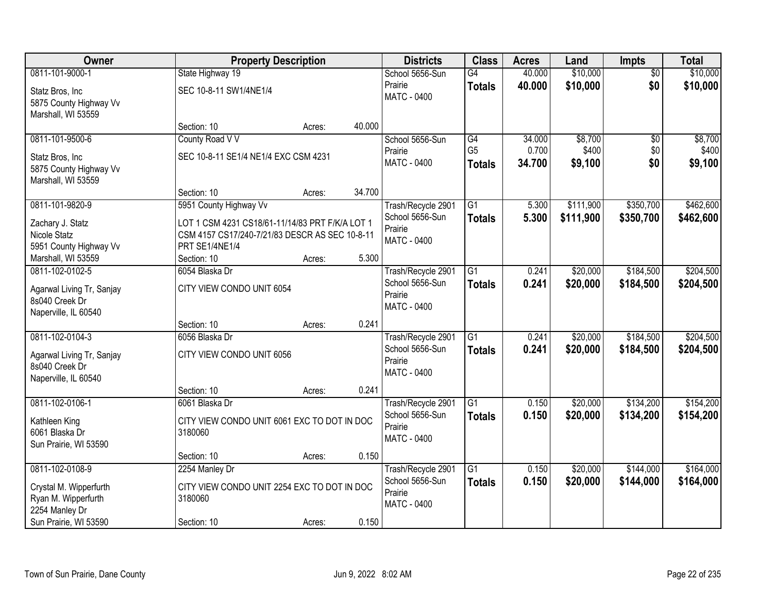| Owner                     |                                                 | <b>Property Description</b> |        | <b>Districts</b>              | <b>Class</b>    | <b>Acres</b> | Land      | <b>Impts</b>    | <b>Total</b> |
|---------------------------|-------------------------------------------------|-----------------------------|--------|-------------------------------|-----------------|--------------|-----------|-----------------|--------------|
| 0811-101-9000-1           | State Highway 19                                |                             |        | School 5656-Sun               | $\overline{G4}$ | 40.000       | \$10,000  | $\overline{50}$ | \$10,000     |
| Statz Bros, Inc           | SEC 10-8-11 SW1/4NE1/4                          |                             |        | Prairie                       | <b>Totals</b>   | 40.000       | \$10,000  | \$0             | \$10,000     |
| 5875 County Highway Vv    |                                                 |                             |        | MATC - 0400                   |                 |              |           |                 |              |
| Marshall, WI 53559        |                                                 |                             |        |                               |                 |              |           |                 |              |
|                           | Section: 10                                     | Acres:                      | 40.000 |                               |                 |              |           |                 |              |
| 0811-101-9500-6           | County Road V V                                 |                             |        | School 5656-Sun               | G4              | 34.000       | \$8,700   | \$0             | \$8,700      |
| Statz Bros, Inc           | SEC 10-8-11 SE1/4 NE1/4 EXC CSM 4231            |                             |        | Prairie                       | G <sub>5</sub>  | 0.700        | \$400     | \$0             | \$400        |
| 5875 County Highway Vv    |                                                 |                             |        | <b>MATC - 0400</b>            | <b>Totals</b>   | 34.700       | \$9,100   | \$0             | \$9,100      |
| Marshall, WI 53559        |                                                 |                             |        |                               |                 |              |           |                 |              |
|                           | Section: 10                                     | Acres:                      | 34.700 |                               |                 |              |           |                 |              |
| 0811-101-9820-9           | 5951 County Highway Vv                          |                             |        | Trash/Recycle 2901            | $\overline{G1}$ | 5.300        | \$111,900 | \$350,700       | \$462,600    |
| Zachary J. Statz          | LOT 1 CSM 4231 CS18/61-11/14/83 PRT F/K/A LOT 1 |                             |        | School 5656-Sun               | Totals          | 5.300        | \$111,900 | \$350,700       | \$462,600    |
| Nicole Statz              | CSM 4157 CS17/240-7/21/83 DESCR AS SEC 10-8-11  |                             |        | Prairie<br>MATC - 0400        |                 |              |           |                 |              |
| 5951 County Highway Vv    | PRT SE1/4NE1/4                                  |                             |        |                               |                 |              |           |                 |              |
| Marshall, WI 53559        | Section: 10                                     | Acres:                      | 5.300  |                               |                 |              |           |                 |              |
| 0811-102-0102-5           | 6054 Blaska Dr                                  |                             |        | Trash/Recycle 2901            | $\overline{G1}$ | 0.241        | \$20,000  | \$184,500       | \$204,500    |
| Agarwal Living Tr, Sanjay | CITY VIEW CONDO UNIT 6054                       |                             |        | School 5656-Sun               | <b>Totals</b>   | 0.241        | \$20,000  | \$184,500       | \$204,500    |
| 8s040 Creek Dr            |                                                 |                             |        | Prairie<br>MATC - 0400        |                 |              |           |                 |              |
| Naperville, IL 60540      |                                                 |                             |        |                               |                 |              |           |                 |              |
|                           | Section: 10                                     | Acres:                      | 0.241  |                               |                 |              |           |                 |              |
| 0811-102-0104-3           | 6056 Blaska Dr                                  |                             |        | Trash/Recycle 2901            | $\overline{G1}$ | 0.241        | \$20,000  | \$184,500       | \$204,500    |
| Agarwal Living Tr, Sanjay | CITY VIEW CONDO UNIT 6056                       |                             |        | School 5656-Sun               | Totals          | 0.241        | \$20,000  | \$184,500       | \$204,500    |
| 8s040 Creek Dr            |                                                 |                             |        | Prairie<br><b>MATC - 0400</b> |                 |              |           |                 |              |
| Naperville, IL 60540      |                                                 |                             |        |                               |                 |              |           |                 |              |
|                           | Section: 10                                     | Acres:                      | 0.241  |                               |                 |              |           |                 |              |
| 0811-102-0106-1           | 6061 Blaska Dr                                  |                             |        | Trash/Recycle 2901            | $\overline{G1}$ | 0.150        | \$20,000  | \$134,200       | \$154,200    |
| Kathleen King             | CITY VIEW CONDO UNIT 6061 EXC TO DOT IN DOC     |                             |        | School 5656-Sun<br>Prairie    | <b>Totals</b>   | 0.150        | \$20,000  | \$134,200       | \$154,200    |
| 6061 Blaska Dr            | 3180060                                         |                             |        | <b>MATC - 0400</b>            |                 |              |           |                 |              |
| Sun Prairie, WI 53590     |                                                 |                             |        |                               |                 |              |           |                 |              |
|                           | Section: 10                                     | Acres:                      | 0.150  |                               |                 |              |           |                 |              |
| 0811-102-0108-9           | 2254 Manley Dr                                  |                             |        | Trash/Recycle 2901            | $\overline{G1}$ | 0.150        | \$20,000  | \$144,000       | \$164,000    |
| Crystal M. Wipperfurth    | CITY VIEW CONDO UNIT 2254 EXC TO DOT IN DOC     |                             |        | School 5656-Sun               | <b>Totals</b>   | 0.150        | \$20,000  | \$144,000       | \$164,000    |
| Ryan M. Wipperfurth       | 3180060                                         |                             |        | Prairie<br>MATC - 0400        |                 |              |           |                 |              |
| 2254 Manley Dr            |                                                 |                             |        |                               |                 |              |           |                 |              |
| Sun Prairie, WI 53590     | Section: 10                                     | Acres:                      | 0.150  |                               |                 |              |           |                 |              |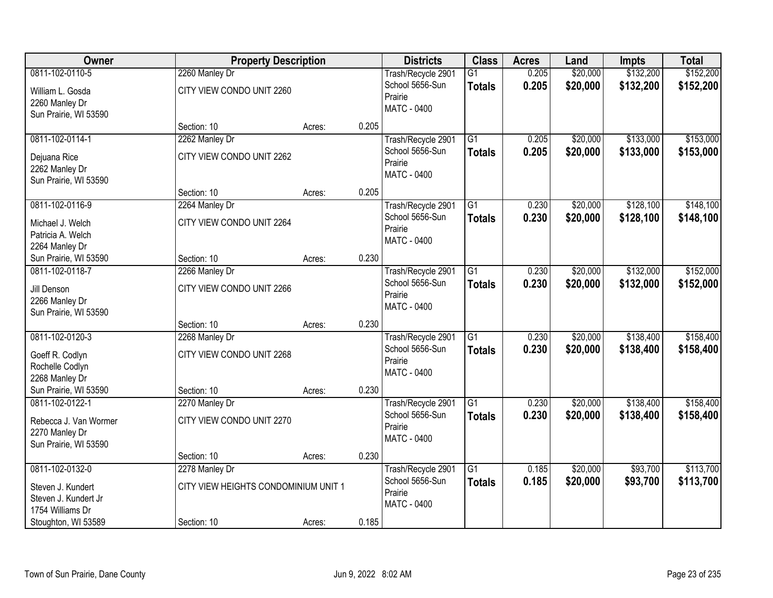| Owner                 | <b>Property Description</b>          |        |       | <b>Districts</b>              | <b>Class</b>    | <b>Acres</b> | Land     | Impts     | <b>Total</b> |
|-----------------------|--------------------------------------|--------|-------|-------------------------------|-----------------|--------------|----------|-----------|--------------|
| 0811-102-0110-5       | 2260 Manley Dr                       |        |       | Trash/Recycle 2901            | $\overline{G1}$ | 0.205        | \$20,000 | \$132,200 | \$152,200    |
| William L. Gosda      | CITY VIEW CONDO UNIT 2260            |        |       | School 5656-Sun               | <b>Totals</b>   | 0.205        | \$20,000 | \$132,200 | \$152,200    |
| 2260 Manley Dr        |                                      |        |       | Prairie                       |                 |              |          |           |              |
| Sun Prairie, WI 53590 |                                      |        |       | <b>MATC - 0400</b>            |                 |              |          |           |              |
|                       | Section: 10                          | Acres: | 0.205 |                               |                 |              |          |           |              |
| 0811-102-0114-1       | 2262 Manley Dr                       |        |       | Trash/Recycle 2901            | $\overline{G1}$ | 0.205        | \$20,000 | \$133,000 | \$153,000    |
| Dejuana Rice          | CITY VIEW CONDO UNIT 2262            |        |       | School 5656-Sun               | <b>Totals</b>   | 0.205        | \$20,000 | \$133,000 | \$153,000    |
| 2262 Manley Dr        |                                      |        |       | Prairie                       |                 |              |          |           |              |
| Sun Prairie, WI 53590 |                                      |        |       | <b>MATC - 0400</b>            |                 |              |          |           |              |
|                       | Section: 10                          | Acres: | 0.205 |                               |                 |              |          |           |              |
| 0811-102-0116-9       | 2264 Manley Dr                       |        |       | Trash/Recycle 2901            | $\overline{G1}$ | 0.230        | \$20,000 | \$128,100 | \$148,100    |
| Michael J. Welch      | CITY VIEW CONDO UNIT 2264            |        |       | School 5656-Sun               | <b>Totals</b>   | 0.230        | \$20,000 | \$128,100 | \$148,100    |
| Patricia A. Welch     |                                      |        |       | Prairie<br><b>MATC - 0400</b> |                 |              |          |           |              |
| 2264 Manley Dr        |                                      |        |       |                               |                 |              |          |           |              |
| Sun Prairie, WI 53590 | Section: 10                          | Acres: | 0.230 |                               |                 |              |          |           |              |
| 0811-102-0118-7       | 2266 Manley Dr                       |        |       | Trash/Recycle 2901            | $\overline{G1}$ | 0.230        | \$20,000 | \$132,000 | \$152,000    |
| Jill Denson           | CITY VIEW CONDO UNIT 2266            |        |       | School 5656-Sun               | <b>Totals</b>   | 0.230        | \$20,000 | \$132,000 | \$152,000    |
| 2266 Manley Dr        |                                      |        |       | Prairie<br>MATC - 0400        |                 |              |          |           |              |
| Sun Prairie, WI 53590 |                                      |        |       |                               |                 |              |          |           |              |
|                       | Section: 10                          | Acres: | 0.230 |                               |                 |              |          |           |              |
| 0811-102-0120-3       | 2268 Manley Dr                       |        |       | Trash/Recycle 2901            | $\overline{G1}$ | 0.230        | \$20,000 | \$138,400 | \$158,400    |
| Goeff R. Codlyn       | CITY VIEW CONDO UNIT 2268            |        |       | School 5656-Sun               | <b>Totals</b>   | 0.230        | \$20,000 | \$138,400 | \$158,400    |
| Rochelle Codlyn       |                                      |        |       | Prairie<br>MATC - 0400        |                 |              |          |           |              |
| 2268 Manley Dr        |                                      |        |       |                               |                 |              |          |           |              |
| Sun Prairie, WI 53590 | Section: 10                          | Acres: | 0.230 |                               |                 |              |          |           |              |
| 0811-102-0122-1       | 2270 Manley Dr                       |        |       | Trash/Recycle 2901            | $\overline{G1}$ | 0.230        | \$20,000 | \$138,400 | \$158,400    |
| Rebecca J. Van Wormer | CITY VIEW CONDO UNIT 2270            |        |       | School 5656-Sun<br>Prairie    | <b>Totals</b>   | 0.230        | \$20,000 | \$138,400 | \$158,400    |
| 2270 Manley Dr        |                                      |        |       | MATC - 0400                   |                 |              |          |           |              |
| Sun Prairie, WI 53590 |                                      |        |       |                               |                 |              |          |           |              |
|                       | Section: 10                          | Acres: | 0.230 |                               |                 |              |          |           |              |
| 0811-102-0132-0       | 2278 Manley Dr                       |        |       | Trash/Recycle 2901            | $\overline{G1}$ | 0.185        | \$20,000 | \$93,700  | \$113,700    |
| Steven J. Kundert     | CITY VIEW HEIGHTS CONDOMINIUM UNIT 1 |        |       | School 5656-Sun<br>Prairie    | <b>Totals</b>   | 0.185        | \$20,000 | \$93,700  | \$113,700    |
| Steven J. Kundert Jr  |                                      |        |       | <b>MATC - 0400</b>            |                 |              |          |           |              |
| 1754 Williams Dr      |                                      |        |       |                               |                 |              |          |           |              |
| Stoughton, WI 53589   | Section: 10                          | Acres: | 0.185 |                               |                 |              |          |           |              |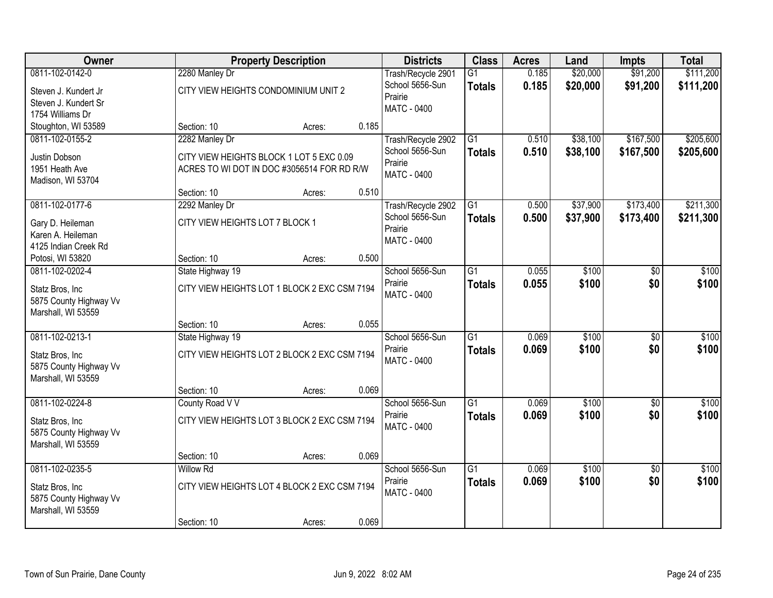| Owner                                                                               |                                                                                                          | <b>Property Description</b> | <b>Districts</b>                                                       | <b>Class</b>                                                    | <b>Acres</b>                     | Land                 | <b>Impts</b>         | <b>Total</b>           |                        |
|-------------------------------------------------------------------------------------|----------------------------------------------------------------------------------------------------------|-----------------------------|------------------------------------------------------------------------|-----------------------------------------------------------------|----------------------------------|----------------------|----------------------|------------------------|------------------------|
| 0811-102-0142-0<br>Steven J. Kundert Jr<br>Steven J. Kundert Sr<br>1754 Williams Dr | 2280 Manley Dr<br>CITY VIEW HEIGHTS CONDOMINIUM UNIT 2                                                   |                             | Trash/Recycle 2901<br>School 5656-Sun<br>Prairie<br><b>MATC - 0400</b> | $\overline{G1}$<br><b>Totals</b>                                | 0.185<br>0.185                   | \$20,000<br>\$20,000 | \$91,200<br>\$91,200 | \$111,200<br>\$111,200 |                        |
| Stoughton, WI 53589                                                                 | Section: 10                                                                                              | Acres:                      | 0.185                                                                  |                                                                 |                                  |                      |                      |                        |                        |
| 0811-102-0155-2<br>Justin Dobson<br>1951 Heath Ave<br>Madison, WI 53704             | 2282 Manley Dr<br>CITY VIEW HEIGHTS BLOCK 1 LOT 5 EXC 0.09<br>ACRES TO WI DOT IN DOC #3056514 FOR RD R/W |                             |                                                                        | Trash/Recycle 2902<br>School 5656-Sun<br>Prairie<br>MATC - 0400 | $\overline{G1}$<br><b>Totals</b> | 0.510<br>0.510       | \$38,100<br>\$38,100 | \$167,500<br>\$167,500 | \$205,600<br>\$205,600 |
|                                                                                     | Section: 10                                                                                              | Acres:                      | 0.510                                                                  |                                                                 |                                  |                      |                      |                        |                        |
| 0811-102-0177-6<br>Gary D. Heileman<br>Karen A. Heileman<br>4125 Indian Creek Rd    | 2292 Manley Dr<br>CITY VIEW HEIGHTS LOT 7 BLOCK 1                                                        |                             |                                                                        | Trash/Recycle 2902<br>School 5656-Sun<br>Prairie<br>MATC - 0400 | $\overline{G1}$<br><b>Totals</b> | 0.500<br>0.500       | \$37,900<br>\$37,900 | \$173,400<br>\$173,400 | \$211,300<br>\$211,300 |
| Potosi, WI 53820                                                                    | Section: 10                                                                                              | Acres:                      | 0.500                                                                  |                                                                 |                                  |                      |                      |                        |                        |
| 0811-102-0202-4<br>Statz Bros, Inc<br>5875 County Highway Vv<br>Marshall, WI 53559  | State Highway 19<br>CITY VIEW HEIGHTS LOT 1 BLOCK 2 EXC CSM 7194                                         |                             |                                                                        | School 5656-Sun<br>Prairie<br>MATC - 0400                       | $\overline{G1}$<br><b>Totals</b> | 0.055<br>0.055       | \$100<br>\$100       | \$0<br>\$0             | \$100<br>\$100         |
|                                                                                     | Section: 10                                                                                              | Acres:                      | 0.055                                                                  |                                                                 |                                  |                      |                      |                        |                        |
| 0811-102-0213-1<br>Statz Bros, Inc<br>5875 County Highway Vv<br>Marshall, WI 53559  | State Highway 19<br>CITY VIEW HEIGHTS LOT 2 BLOCK 2 EXC CSM 7194<br>Section: 10                          |                             | 0.069                                                                  | School 5656-Sun<br>Prairie<br>MATC - 0400                       | $\overline{G1}$<br><b>Totals</b> | 0.069<br>0.069       | \$100<br>\$100       | $\overline{50}$<br>\$0 | \$100<br>\$100         |
| 0811-102-0224-8                                                                     | County Road V V                                                                                          | Acres:                      |                                                                        | School 5656-Sun                                                 | $\overline{G1}$                  | 0.069                | \$100                | $\overline{50}$        | \$100                  |
| Statz Bros, Inc<br>5875 County Highway Vv<br>Marshall, WI 53559                     | CITY VIEW HEIGHTS LOT 3 BLOCK 2 EXC CSM 7194                                                             |                             |                                                                        | Prairie<br>MATC - 0400                                          | <b>Totals</b>                    | 0.069                | \$100                | \$0                    | \$100                  |
|                                                                                     | Section: 10                                                                                              | Acres:                      | 0.069                                                                  |                                                                 |                                  |                      |                      |                        |                        |
| 0811-102-0235-5<br>Statz Bros, Inc<br>5875 County Highway Vv<br>Marshall, WI 53559  | <b>Willow Rd</b><br>CITY VIEW HEIGHTS LOT 4 BLOCK 2 EXC CSM 7194<br>Section: 10                          | Acres:                      | 0.069                                                                  | School 5656-Sun<br>Prairie<br>MATC - 0400                       | $\overline{G1}$<br><b>Totals</b> | 0.069<br>0.069       | \$100<br>\$100       | $\overline{30}$<br>\$0 | \$100<br>\$100         |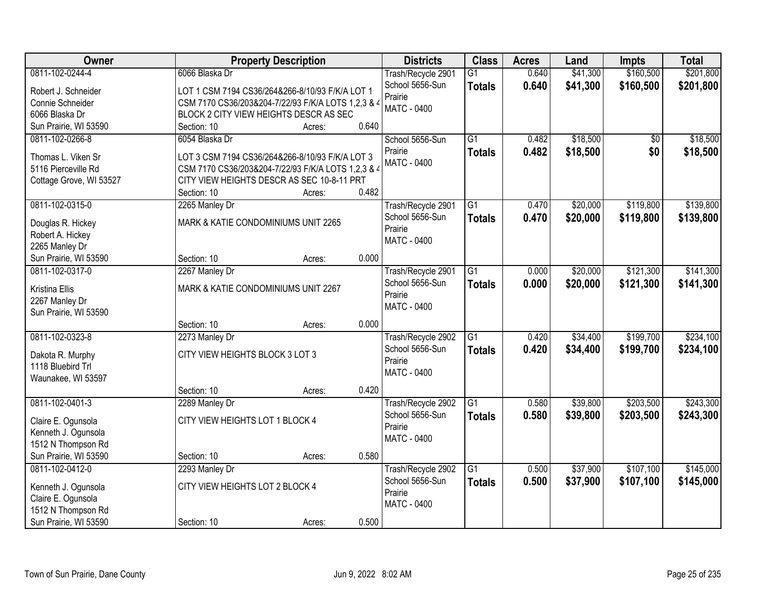| \$160,500<br>0811-102-0244-4<br>6066 Blaska Dr<br>0.640<br>\$41,300<br>Trash/Recycle 2901<br>$\overline{G1}$<br>School 5656-Sun<br>0.640<br>\$41,300<br>\$160,500<br><b>Totals</b><br>Robert J. Schneider<br>LOT 1 CSM 7194 CS36/264&266-8/10/93 F/K/A LOT 1<br>Prairie<br>Connie Schneider<br>CSM 7170 CS36/203&204-7/22/93 F/K/A LOTS 1,2,3 & 4<br><b>MATC - 0400</b><br>BLOCK 2 CITY VIEW HEIGHTS DESCR AS SEC<br>6066 Blaska Dr<br>0.640<br>Sun Prairie, WI 53590<br>Section: 10<br>Acres:<br>\$18,500<br>\$18,500<br>0811-102-0266-8<br>$\overline{G1}$<br>0.482<br>6054 Blaska Dr<br>School 5656-Sun<br>\$0<br>0.482<br>\$18,500<br>\$0<br>Prairie<br>\$18,500<br><b>Totals</b><br>Thomas L. Viken Sr<br>LOT 3 CSM 7194 CS36/264&266-8/10/93 F/K/A LOT 3<br><b>MATC - 0400</b><br>5116 Pierceville Rd<br>CSM 7170 CS36/203&204-7/22/93 F/K/A LOTS 1,2,3 & 4<br>CITY VIEW HEIGHTS DESCR AS SEC 10-8-11 PRT<br>Cottage Grove, WI 53527<br>0.482<br>Section: 10<br>Acres: | Owner | <b>Property Description</b> | <b>Districts</b> | <b>Class</b> | <b>Acres</b> | Land | <b>Impts</b> | <b>Total</b> |
|------------------------------------------------------------------------------------------------------------------------------------------------------------------------------------------------------------------------------------------------------------------------------------------------------------------------------------------------------------------------------------------------------------------------------------------------------------------------------------------------------------------------------------------------------------------------------------------------------------------------------------------------------------------------------------------------------------------------------------------------------------------------------------------------------------------------------------------------------------------------------------------------------------------------------------------------------------------------------|-------|-----------------------------|------------------|--------------|--------------|------|--------------|--------------|
|                                                                                                                                                                                                                                                                                                                                                                                                                                                                                                                                                                                                                                                                                                                                                                                                                                                                                                                                                                              |       |                             |                  |              |              |      |              | \$201,800    |
|                                                                                                                                                                                                                                                                                                                                                                                                                                                                                                                                                                                                                                                                                                                                                                                                                                                                                                                                                                              |       |                             |                  |              |              |      |              | \$201,800    |
|                                                                                                                                                                                                                                                                                                                                                                                                                                                                                                                                                                                                                                                                                                                                                                                                                                                                                                                                                                              |       |                             |                  |              |              |      |              |              |
|                                                                                                                                                                                                                                                                                                                                                                                                                                                                                                                                                                                                                                                                                                                                                                                                                                                                                                                                                                              |       |                             |                  |              |              |      |              |              |
|                                                                                                                                                                                                                                                                                                                                                                                                                                                                                                                                                                                                                                                                                                                                                                                                                                                                                                                                                                              |       |                             |                  |              |              |      |              |              |
|                                                                                                                                                                                                                                                                                                                                                                                                                                                                                                                                                                                                                                                                                                                                                                                                                                                                                                                                                                              |       |                             |                  |              |              |      |              |              |
|                                                                                                                                                                                                                                                                                                                                                                                                                                                                                                                                                                                                                                                                                                                                                                                                                                                                                                                                                                              |       |                             |                  |              |              |      |              |              |
|                                                                                                                                                                                                                                                                                                                                                                                                                                                                                                                                                                                                                                                                                                                                                                                                                                                                                                                                                                              |       |                             |                  |              |              |      |              |              |
|                                                                                                                                                                                                                                                                                                                                                                                                                                                                                                                                                                                                                                                                                                                                                                                                                                                                                                                                                                              |       |                             |                  |              |              |      |              |              |
|                                                                                                                                                                                                                                                                                                                                                                                                                                                                                                                                                                                                                                                                                                                                                                                                                                                                                                                                                                              |       |                             |                  |              |              |      |              |              |
| \$119,800<br>0811-102-0315-0<br>0.470                                                                                                                                                                                                                                                                                                                                                                                                                                                                                                                                                                                                                                                                                                                                                                                                                                                                                                                                        |       |                             |                  |              |              |      |              | \$139,800    |
| G1<br>\$20,000<br>2265 Manley Dr<br>Trash/Recycle 2901                                                                                                                                                                                                                                                                                                                                                                                                                                                                                                                                                                                                                                                                                                                                                                                                                                                                                                                       |       |                             |                  |              |              |      |              |              |
| School 5656-Sun<br>0.470<br>\$20,000<br>\$119,800<br><b>Totals</b><br>MARK & KATIE CONDOMINIUMS UNIT 2265<br>Douglas R. Hickey<br>Prairie                                                                                                                                                                                                                                                                                                                                                                                                                                                                                                                                                                                                                                                                                                                                                                                                                                    |       |                             |                  |              |              |      |              | \$139,800    |
| Robert A. Hickey<br>MATC - 0400                                                                                                                                                                                                                                                                                                                                                                                                                                                                                                                                                                                                                                                                                                                                                                                                                                                                                                                                              |       |                             |                  |              |              |      |              |              |
| 2265 Manley Dr                                                                                                                                                                                                                                                                                                                                                                                                                                                                                                                                                                                                                                                                                                                                                                                                                                                                                                                                                               |       |                             |                  |              |              |      |              |              |
| 0.000<br>Section: 10<br>Sun Prairie, WI 53590<br>Acres:                                                                                                                                                                                                                                                                                                                                                                                                                                                                                                                                                                                                                                                                                                                                                                                                                                                                                                                      |       |                             |                  |              |              |      |              |              |
| 0811-102-0317-0<br>$\overline{G1}$<br>\$20,000<br>\$121,300<br>2267 Manley Dr<br>Trash/Recycle 2901<br>0.000                                                                                                                                                                                                                                                                                                                                                                                                                                                                                                                                                                                                                                                                                                                                                                                                                                                                 |       |                             |                  |              |              |      |              | \$141,300    |
| School 5656-Sun<br>0.000<br>\$20,000<br>\$121,300<br><b>Totals</b><br>MARK & KATIE CONDOMINIUMS UNIT 2267<br>Kristina Ellis                                                                                                                                                                                                                                                                                                                                                                                                                                                                                                                                                                                                                                                                                                                                                                                                                                                  |       |                             |                  |              |              |      |              | \$141,300    |
| Prairie<br>2267 Manley Dr                                                                                                                                                                                                                                                                                                                                                                                                                                                                                                                                                                                                                                                                                                                                                                                                                                                                                                                                                    |       |                             |                  |              |              |      |              |              |
| MATC - 0400<br>Sun Prairie, WI 53590                                                                                                                                                                                                                                                                                                                                                                                                                                                                                                                                                                                                                                                                                                                                                                                                                                                                                                                                         |       |                             |                  |              |              |      |              |              |
| 0.000<br>Section: 10<br>Acres:                                                                                                                                                                                                                                                                                                                                                                                                                                                                                                                                                                                                                                                                                                                                                                                                                                                                                                                                               |       |                             |                  |              |              |      |              |              |
| 0811-102-0323-8<br>$\overline{G1}$<br>\$199,700<br>0.420<br>\$34,400<br>2273 Manley Dr<br>Trash/Recycle 2902                                                                                                                                                                                                                                                                                                                                                                                                                                                                                                                                                                                                                                                                                                                                                                                                                                                                 |       |                             |                  |              |              |      |              | \$234,100    |
| School 5656-Sun<br>0.420<br>\$34,400<br>\$199,700<br><b>Totals</b>                                                                                                                                                                                                                                                                                                                                                                                                                                                                                                                                                                                                                                                                                                                                                                                                                                                                                                           |       |                             |                  |              |              |      |              | \$234,100    |
| CITY VIEW HEIGHTS BLOCK 3 LOT 3<br>Dakota R. Murphy<br>Prairie                                                                                                                                                                                                                                                                                                                                                                                                                                                                                                                                                                                                                                                                                                                                                                                                                                                                                                               |       |                             |                  |              |              |      |              |              |
| 1118 Bluebird Trl<br><b>MATC - 0400</b>                                                                                                                                                                                                                                                                                                                                                                                                                                                                                                                                                                                                                                                                                                                                                                                                                                                                                                                                      |       |                             |                  |              |              |      |              |              |
| Waunakee, WI 53597                                                                                                                                                                                                                                                                                                                                                                                                                                                                                                                                                                                                                                                                                                                                                                                                                                                                                                                                                           |       |                             |                  |              |              |      |              |              |
| 0.420<br>Section: 10<br>Acres:                                                                                                                                                                                                                                                                                                                                                                                                                                                                                                                                                                                                                                                                                                                                                                                                                                                                                                                                               |       |                             |                  |              |              |      |              |              |
| 0811-102-0401-3<br>G1<br>\$39,800<br>\$203,500<br>Trash/Recycle 2902<br>0.580<br>2289 Manley Dr                                                                                                                                                                                                                                                                                                                                                                                                                                                                                                                                                                                                                                                                                                                                                                                                                                                                              |       |                             |                  |              |              |      |              | \$243,300    |
| School 5656-Sun<br>\$39,800<br>0.580<br>\$203,500<br><b>Totals</b><br>CITY VIEW HEIGHTS LOT 1 BLOCK 4<br>Claire E. Ogunsola                                                                                                                                                                                                                                                                                                                                                                                                                                                                                                                                                                                                                                                                                                                                                                                                                                                  |       |                             |                  |              |              |      |              | \$243,300    |
| Prairie<br>Kenneth J. Ogunsola                                                                                                                                                                                                                                                                                                                                                                                                                                                                                                                                                                                                                                                                                                                                                                                                                                                                                                                                               |       |                             |                  |              |              |      |              |              |
| MATC - 0400<br>1512 N Thompson Rd                                                                                                                                                                                                                                                                                                                                                                                                                                                                                                                                                                                                                                                                                                                                                                                                                                                                                                                                            |       |                             |                  |              |              |      |              |              |
| Sun Prairie, WI 53590<br>0.580<br>Section: 10<br>Acres:                                                                                                                                                                                                                                                                                                                                                                                                                                                                                                                                                                                                                                                                                                                                                                                                                                                                                                                      |       |                             |                  |              |              |      |              |              |
| \$107,100<br>0811-102-0412-0<br>2293 Manley Dr<br>\$37,900<br>Trash/Recycle 2902<br>$\overline{G1}$<br>0.500                                                                                                                                                                                                                                                                                                                                                                                                                                                                                                                                                                                                                                                                                                                                                                                                                                                                 |       |                             |                  |              |              |      |              | \$145,000    |
| School 5656-Sun<br>0.500<br>\$37,900<br>\$107,100<br><b>Totals</b><br>CITY VIEW HEIGHTS LOT 2 BLOCK 4<br>Kenneth J. Ogunsola                                                                                                                                                                                                                                                                                                                                                                                                                                                                                                                                                                                                                                                                                                                                                                                                                                                 |       |                             |                  |              |              |      |              | \$145,000    |
| Prairie<br>Claire E. Ogunsola                                                                                                                                                                                                                                                                                                                                                                                                                                                                                                                                                                                                                                                                                                                                                                                                                                                                                                                                                |       |                             |                  |              |              |      |              |              |
| <b>MATC - 0400</b><br>1512 N Thompson Rd                                                                                                                                                                                                                                                                                                                                                                                                                                                                                                                                                                                                                                                                                                                                                                                                                                                                                                                                     |       |                             |                  |              |              |      |              |              |
| 0.500<br>Sun Prairie, WI 53590<br>Section: 10<br>Acres:                                                                                                                                                                                                                                                                                                                                                                                                                                                                                                                                                                                                                                                                                                                                                                                                                                                                                                                      |       |                             |                  |              |              |      |              |              |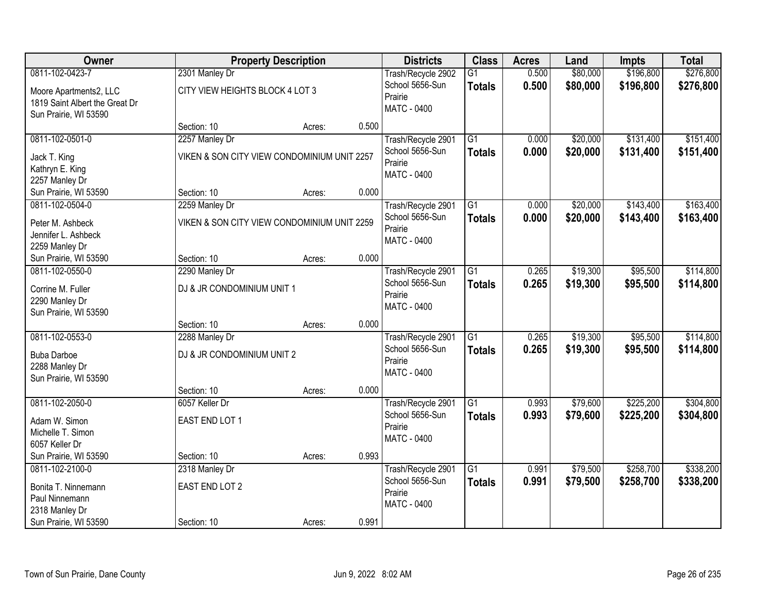| Owner                          |                                             | <b>Property Description</b> |       | <b>Districts</b>   | <b>Class</b>    | <b>Acres</b> | Land     | <b>Impts</b> | <b>Total</b> |
|--------------------------------|---------------------------------------------|-----------------------------|-------|--------------------|-----------------|--------------|----------|--------------|--------------|
| 0811-102-0423-7                | 2301 Manley Dr                              |                             |       | Trash/Recycle 2902 | $\overline{G1}$ | 0.500        | \$80,000 | \$196,800    | \$276,800    |
| Moore Apartments2, LLC         | CITY VIEW HEIGHTS BLOCK 4 LOT 3             |                             |       | School 5656-Sun    | <b>Totals</b>   | 0.500        | \$80,000 | \$196,800    | \$276,800    |
| 1819 Saint Albert the Great Dr |                                             |                             |       | Prairie            |                 |              |          |              |              |
| Sun Prairie, WI 53590          |                                             |                             |       | <b>MATC - 0400</b> |                 |              |          |              |              |
|                                | Section: 10                                 | Acres:                      | 0.500 |                    |                 |              |          |              |              |
| 0811-102-0501-0                | 2257 Manley Dr                              |                             |       | Trash/Recycle 2901 | $\overline{G1}$ | 0.000        | \$20,000 | \$131,400    | \$151,400    |
| Jack T. King                   | VIKEN & SON CITY VIEW CONDOMINIUM UNIT 2257 |                             |       | School 5656-Sun    | <b>Totals</b>   | 0.000        | \$20,000 | \$131,400    | \$151,400    |
| Kathryn E. King                |                                             |                             |       | Prairie            |                 |              |          |              |              |
| 2257 Manley Dr                 |                                             |                             |       | <b>MATC - 0400</b> |                 |              |          |              |              |
| Sun Prairie, WI 53590          | Section: 10                                 | Acres:                      | 0.000 |                    |                 |              |          |              |              |
| 0811-102-0504-0                | 2259 Manley Dr                              |                             |       | Trash/Recycle 2901 | G1              | 0.000        | \$20,000 | \$143,400    | \$163,400    |
| Peter M. Ashbeck               | VIKEN & SON CITY VIEW CONDOMINIUM UNIT 2259 |                             |       | School 5656-Sun    | <b>Totals</b>   | 0.000        | \$20,000 | \$143,400    | \$163,400    |
| Jennifer L. Ashbeck            |                                             |                             |       | Prairie            |                 |              |          |              |              |
| 2259 Manley Dr                 |                                             |                             |       | MATC - 0400        |                 |              |          |              |              |
| Sun Prairie, WI 53590          | Section: 10                                 | Acres:                      | 0.000 |                    |                 |              |          |              |              |
| 0811-102-0550-0                | 2290 Manley Dr                              |                             |       | Trash/Recycle 2901 | $\overline{G1}$ | 0.265        | \$19,300 | \$95,500     | \$114,800    |
| Corrine M. Fuller              | DJ & JR CONDOMINIUM UNIT 1                  |                             |       | School 5656-Sun    | <b>Totals</b>   | 0.265        | \$19,300 | \$95,500     | \$114,800    |
| 2290 Manley Dr                 |                                             |                             |       | Prairie            |                 |              |          |              |              |
| Sun Prairie, WI 53590          |                                             |                             |       | <b>MATC - 0400</b> |                 |              |          |              |              |
|                                | Section: 10                                 | Acres:                      | 0.000 |                    |                 |              |          |              |              |
| 0811-102-0553-0                | 2288 Manley Dr                              |                             |       | Trash/Recycle 2901 | $\overline{G1}$ | 0.265        | \$19,300 | \$95,500     | \$114,800    |
| <b>Buba Darboe</b>             | DJ & JR CONDOMINIUM UNIT 2                  |                             |       | School 5656-Sun    | <b>Totals</b>   | 0.265        | \$19,300 | \$95,500     | \$114,800    |
| 2288 Manley Dr                 |                                             |                             |       | Prairie            |                 |              |          |              |              |
| Sun Prairie, WI 53590          |                                             |                             |       | <b>MATC - 0400</b> |                 |              |          |              |              |
|                                | Section: 10                                 | Acres:                      | 0.000 |                    |                 |              |          |              |              |
| 0811-102-2050-0                | 6057 Keller Dr                              |                             |       | Trash/Recycle 2901 | $\overline{G1}$ | 0.993        | \$79,600 | \$225,200    | \$304,800    |
| Adam W. Simon                  | EAST END LOT 1                              |                             |       | School 5656-Sun    | <b>Totals</b>   | 0.993        | \$79,600 | \$225,200    | \$304,800    |
| Michelle T. Simon              |                                             |                             |       | Prairie            |                 |              |          |              |              |
| 6057 Keller Dr                 |                                             |                             |       | MATC - 0400        |                 |              |          |              |              |
| Sun Prairie, WI 53590          | Section: 10                                 | Acres:                      | 0.993 |                    |                 |              |          |              |              |
| 0811-102-2100-0                | 2318 Manley Dr                              |                             |       | Trash/Recycle 2901 | $\overline{G1}$ | 0.991        | \$79,500 | \$258,700    | \$338,200    |
| Bonita T. Ninnemann            | EAST END LOT 2                              |                             |       | School 5656-Sun    | <b>Totals</b>   | 0.991        | \$79,500 | \$258,700    | \$338,200    |
| Paul Ninnemann                 |                                             |                             |       | Prairie            |                 |              |          |              |              |
| 2318 Manley Dr                 |                                             |                             |       | <b>MATC - 0400</b> |                 |              |          |              |              |
| Sun Prairie, WI 53590          | Section: 10                                 | Acres:                      | 0.991 |                    |                 |              |          |              |              |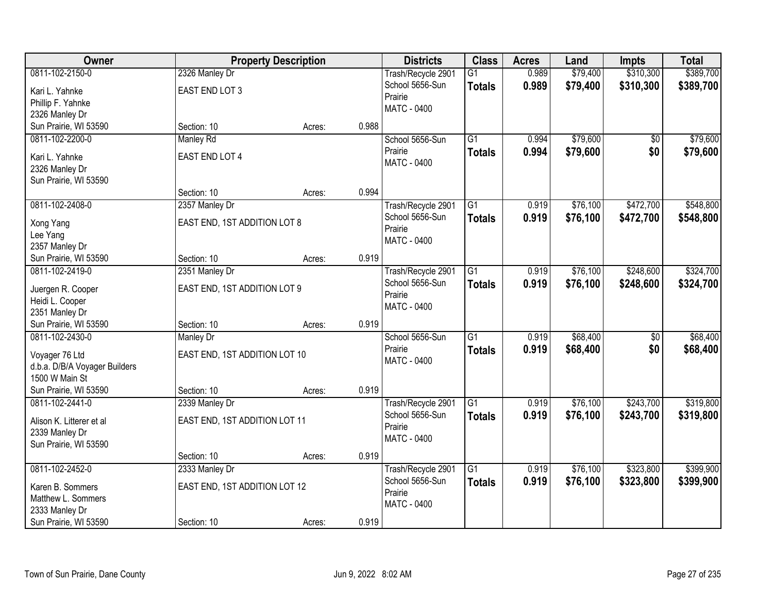| \$310,300<br>0811-102-2150-0<br>0.989<br>\$79,400<br>2326 Manley Dr<br>Trash/Recycle 2901<br>$\overline{G1}$<br>School 5656-Sun<br>0.989<br>\$79,400<br>\$310,300<br><b>Totals</b><br>EAST END LOT 3<br>Kari L. Yahnke<br>Prairie |                   |  |  |  |  |           |
|-----------------------------------------------------------------------------------------------------------------------------------------------------------------------------------------------------------------------------------|-------------------|--|--|--|--|-----------|
|                                                                                                                                                                                                                                   |                   |  |  |  |  | \$389,700 |
|                                                                                                                                                                                                                                   |                   |  |  |  |  | \$389,700 |
|                                                                                                                                                                                                                                   | Phillip F. Yahnke |  |  |  |  |           |
| <b>MATC - 0400</b><br>2326 Manley Dr                                                                                                                                                                                              |                   |  |  |  |  |           |
| 0.988<br>Sun Prairie, WI 53590<br>Section: 10<br>Acres:                                                                                                                                                                           |                   |  |  |  |  |           |
| \$79,600<br>$\overline{G1}$<br>0811-102-2200-0<br><b>Manley Rd</b><br>School 5656-Sun<br>0.994<br>\$0                                                                                                                             |                   |  |  |  |  | \$79,600  |
| 0.994<br>\$79,600<br>\$0<br>Prairie<br><b>Totals</b><br>EAST END LOT 4<br>Kari L. Yahnke                                                                                                                                          |                   |  |  |  |  | \$79,600  |
| MATC - 0400                                                                                                                                                                                                                       |                   |  |  |  |  |           |
| 2326 Manley Dr<br>Sun Prairie, WI 53590                                                                                                                                                                                           |                   |  |  |  |  |           |
| 0.994<br>Section: 10<br>Acres:                                                                                                                                                                                                    |                   |  |  |  |  |           |
| \$76,100<br>\$472,700<br>0811-102-2408-0<br>G1<br>0.919<br>2357 Manley Dr<br>Trash/Recycle 2901                                                                                                                                   |                   |  |  |  |  | \$548,800 |
| School 5656-Sun<br>\$76,100<br>0.919<br>\$472,700<br><b>Totals</b>                                                                                                                                                                |                   |  |  |  |  | \$548,800 |
| EAST END, 1ST ADDITION LOT 8<br>Xong Yang<br>Prairie                                                                                                                                                                              |                   |  |  |  |  |           |
| Lee Yang<br>MATC - 0400                                                                                                                                                                                                           |                   |  |  |  |  |           |
| 2357 Manley Dr                                                                                                                                                                                                                    |                   |  |  |  |  |           |
| 0.919<br>Sun Prairie, WI 53590<br>Section: 10<br>Acres:                                                                                                                                                                           |                   |  |  |  |  |           |
| 2351 Manley Dr<br>\$76,100<br>\$248,600<br>0811-102-2419-0<br>Trash/Recycle 2901<br>G1<br>0.919                                                                                                                                   |                   |  |  |  |  | \$324,700 |
| School 5656-Sun<br>0.919<br>\$76,100<br>\$248,600<br><b>Totals</b><br>EAST END, 1ST ADDITION LOT 9<br>Juergen R. Cooper                                                                                                           |                   |  |  |  |  | \$324,700 |
| Prairie<br>Heidi L. Cooper                                                                                                                                                                                                        |                   |  |  |  |  |           |
| MATC - 0400<br>2351 Manley Dr                                                                                                                                                                                                     |                   |  |  |  |  |           |
| 0.919<br>Sun Prairie, WI 53590<br>Section: 10<br>Acres:                                                                                                                                                                           |                   |  |  |  |  |           |
| \$68,400<br>0811-102-2430-0<br>$\overline{G1}$<br>0.919<br>$\overline{50}$<br><b>Manley Dr</b><br>School 5656-Sun                                                                                                                 |                   |  |  |  |  | \$68,400  |
| 0.919<br>Prairie<br>\$68,400<br>\$0<br><b>Totals</b>                                                                                                                                                                              |                   |  |  |  |  | \$68,400  |
| EAST END, 1ST ADDITION LOT 10<br>Voyager 76 Ltd<br>MATC - 0400                                                                                                                                                                    |                   |  |  |  |  |           |
| d.b.a. D/B/A Voyager Builders                                                                                                                                                                                                     |                   |  |  |  |  |           |
| 1500 W Main St                                                                                                                                                                                                                    |                   |  |  |  |  |           |
| Sun Prairie, WI 53590<br>0.919<br>Section: 10<br>Acres:                                                                                                                                                                           |                   |  |  |  |  |           |
| $\overline{G1}$<br>\$76,100<br>\$243,700<br>0811-102-2441-0<br>0.919<br>2339 Manley Dr<br>Trash/Recycle 2901                                                                                                                      |                   |  |  |  |  | \$319,800 |
| School 5656-Sun<br>\$76,100<br>0.919<br>\$243,700<br><b>Totals</b><br>EAST END, 1ST ADDITION LOT 11<br>Alison K. Litterer et al                                                                                                   |                   |  |  |  |  | \$319,800 |
| Prairie<br>2339 Manley Dr                                                                                                                                                                                                         |                   |  |  |  |  |           |
| MATC - 0400<br>Sun Prairie, WI 53590                                                                                                                                                                                              |                   |  |  |  |  |           |
| 0.919<br>Section: 10<br>Acres:                                                                                                                                                                                                    |                   |  |  |  |  |           |
| \$323,800<br>0811-102-2452-0<br>$\overline{G1}$<br>0.919<br>\$76,100<br>2333 Manley Dr<br>Trash/Recycle 2901                                                                                                                      |                   |  |  |  |  | \$399,900 |
| School 5656-Sun<br>0.919<br>\$76,100<br>\$323,800<br><b>Totals</b><br>EAST END, 1ST ADDITION LOT 12<br>Karen B. Sommers                                                                                                           |                   |  |  |  |  | \$399,900 |
| Prairie<br>Matthew L. Sommers                                                                                                                                                                                                     |                   |  |  |  |  |           |
| MATC - 0400<br>2333 Manley Dr                                                                                                                                                                                                     |                   |  |  |  |  |           |
| Sun Prairie, WI 53590<br>0.919<br>Section: 10<br>Acres:                                                                                                                                                                           |                   |  |  |  |  |           |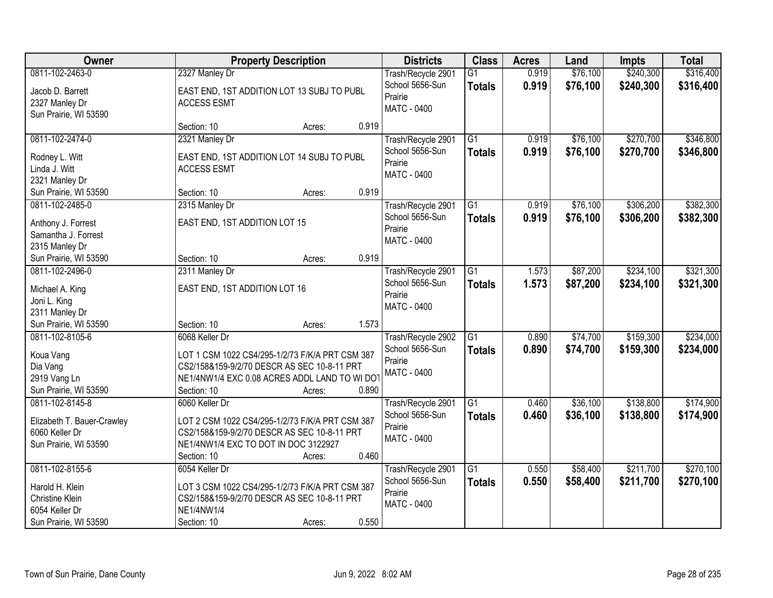| <b>Owner</b>                                 |                                                 | <b>Property Description</b> |       | <b>Districts</b>                      | <b>Class</b>    | <b>Acres</b>   | Land                 | <b>Impts</b>           | <b>Total</b> |
|----------------------------------------------|-------------------------------------------------|-----------------------------|-------|---------------------------------------|-----------------|----------------|----------------------|------------------------|--------------|
| 0811-102-2463-0                              | 2327 Manley Dr                                  |                             |       | Trash/Recycle 2901<br>School 5656-Sun | $\overline{G1}$ | 0.919<br>0.919 | \$76,100<br>\$76,100 | \$240,300<br>\$240,300 | \$316,400    |
| Jacob D. Barrett                             | EAST END, 1ST ADDITION LOT 13 SUBJ TO PUBL      |                             |       | Prairie                               | <b>Totals</b>   |                |                      |                        | \$316,400    |
| 2327 Manley Dr                               | <b>ACCESS ESMT</b>                              |                             |       | <b>MATC - 0400</b>                    |                 |                |                      |                        |              |
| Sun Prairie, WI 53590                        |                                                 |                             | 0.919 |                                       |                 |                |                      |                        |              |
| 0811-102-2474-0                              | Section: 10<br>2321 Manley Dr                   | Acres:                      |       | Trash/Recycle 2901                    | G1              | 0.919          | \$76,100             | \$270,700              | \$346,800    |
|                                              |                                                 |                             |       | School 5656-Sun                       | <b>Totals</b>   | 0.919          | \$76,100             | \$270,700              | \$346,800    |
| Rodney L. Witt                               | EAST END, 1ST ADDITION LOT 14 SUBJ TO PUBL      |                             |       | Prairie                               |                 |                |                      |                        |              |
| Linda J. Witt                                | <b>ACCESS ESMT</b>                              |                             |       | <b>MATC - 0400</b>                    |                 |                |                      |                        |              |
| 2321 Manley Dr                               |                                                 |                             |       |                                       |                 |                |                      |                        |              |
| Sun Prairie, WI 53590                        | Section: 10                                     | Acres:                      | 0.919 |                                       |                 |                |                      |                        |              |
| 0811-102-2485-0                              | 2315 Manley Dr                                  |                             |       | Trash/Recycle 2901                    | G1              | 0.919          | \$76,100             | \$306,200              | \$382,300    |
| Anthony J. Forrest                           | EAST END, 1ST ADDITION LOT 15                   |                             |       | School 5656-Sun<br>Prairie            | <b>Totals</b>   | 0.919          | \$76,100             | \$306,200              | \$382,300    |
| Samantha J. Forrest                          |                                                 |                             |       | MATC - 0400                           |                 |                |                      |                        |              |
| 2315 Manley Dr                               |                                                 |                             |       |                                       |                 |                |                      |                        |              |
| Sun Prairie, WI 53590                        | Section: 10                                     | Acres:                      | 0.919 |                                       |                 |                |                      |                        |              |
| 0811-102-2496-0                              | 2311 Manley Dr                                  |                             |       | Trash/Recycle 2901                    | G1              | 1.573          | \$87,200             | \$234,100              | \$321,300    |
| Michael A. King                              | EAST END, 1ST ADDITION LOT 16                   |                             |       | School 5656-Sun                       | <b>Totals</b>   | 1.573          | \$87,200             | \$234,100              | \$321,300    |
| Joni L. King                                 |                                                 |                             |       | Prairie                               |                 |                |                      |                        |              |
| 2311 Manley Dr                               |                                                 |                             |       | MATC - 0400                           |                 |                |                      |                        |              |
| Sun Prairie, WI 53590                        | Section: 10                                     | Acres:                      | 1.573 |                                       |                 |                |                      |                        |              |
| 0811-102-8105-6                              | 6068 Keller Dr                                  |                             |       | Trash/Recycle 2902                    | $\overline{G1}$ | 0.890          | \$74,700             | \$159,300              | \$234,000    |
| Koua Vang                                    | LOT 1 CSM 1022 CS4/295-1/2/73 F/K/A PRT CSM 387 |                             |       | School 5656-Sun                       | <b>Totals</b>   | 0.890          | \$74,700             | \$159,300              | \$234,000    |
| Dia Vang                                     | CS2/158&159-9/2/70 DESCR AS SEC 10-8-11 PRT     |                             |       | Prairie                               |                 |                |                      |                        |              |
| 2919 Vang Ln                                 | NE1/4NW1/4 EXC 0.08 ACRES ADDL LAND TO WI DO    |                             |       | <b>MATC - 0400</b>                    |                 |                |                      |                        |              |
| Sun Prairie, WI 53590                        | Section: 10                                     | Acres:                      | 0.890 |                                       |                 |                |                      |                        |              |
| 0811-102-8145-8                              | 6060 Keller Dr                                  |                             |       | Trash/Recycle 2901                    | G1              | 0.460          | \$36,100             | \$138,800              | \$174,900    |
|                                              | LOT 2 CSM 1022 CS4/295-1/2/73 F/K/A PRT CSM 387 |                             |       | School 5656-Sun                       | <b>Totals</b>   | 0.460          | \$36,100             | \$138,800              | \$174,900    |
| Elizabeth T. Bauer-Crawley<br>6060 Keller Dr | CS2/158&159-9/2/70 DESCR AS SEC 10-8-11 PRT     |                             |       | Prairie                               |                 |                |                      |                        |              |
| Sun Prairie, WI 53590                        | NE1/4NW1/4 EXC TO DOT IN DOC 3122927            |                             |       | MATC - 0400                           |                 |                |                      |                        |              |
|                                              | Section: 10                                     | Acres:                      | 0.460 |                                       |                 |                |                      |                        |              |
| 0811-102-8155-6                              | 6054 Keller Dr                                  |                             |       | Trash/Recycle 2901                    | $\overline{G1}$ | 0.550          | \$58,400             | \$211,700              | \$270,100    |
|                                              |                                                 |                             |       | School 5656-Sun                       | <b>Totals</b>   | 0.550          | \$58,400             | \$211,700              | \$270,100    |
| Harold H. Klein                              | LOT 3 CSM 1022 CS4/295-1/2/73 F/K/A PRT CSM 387 |                             |       | Prairie                               |                 |                |                      |                        |              |
| Christine Klein                              | CS2/158&159-9/2/70 DESCR AS SEC 10-8-11 PRT     |                             |       | MATC - 0400                           |                 |                |                      |                        |              |
| 6054 Keller Dr                               | NE1/4NW1/4                                      |                             |       |                                       |                 |                |                      |                        |              |
| Sun Prairie, WI 53590                        | Section: 10                                     | Acres:                      | 0.550 |                                       |                 |                |                      |                        |              |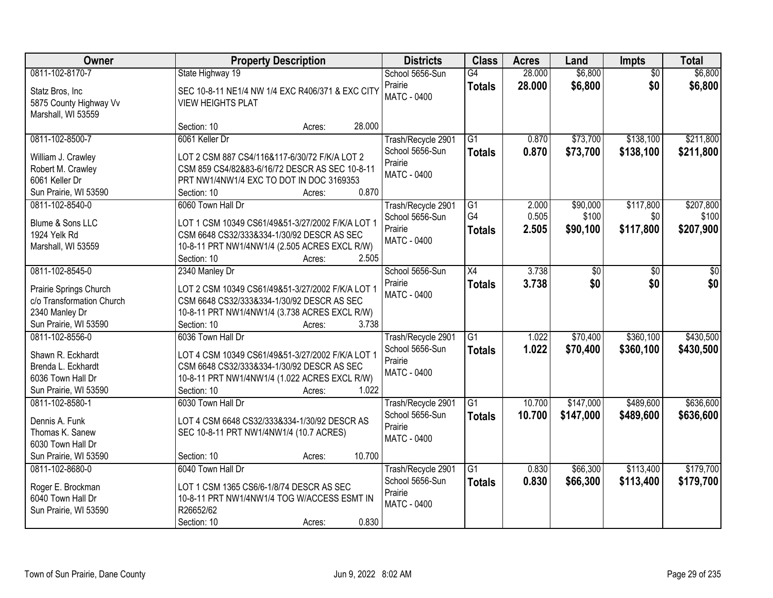| Owner                                               | <b>Property Description</b>                                                                    | <b>Districts</b>                      | <b>Class</b>    | <b>Acres</b> | Land      | <b>Impts</b>    | <b>Total</b> |
|-----------------------------------------------------|------------------------------------------------------------------------------------------------|---------------------------------------|-----------------|--------------|-----------|-----------------|--------------|
| 0811-102-8170-7                                     | State Highway 19                                                                               | School 5656-Sun                       | G4              | 28.000       | \$6,800   | $\overline{50}$ | \$6,800      |
| Statz Bros, Inc                                     | SEC 10-8-11 NE1/4 NW 1/4 EXC R406/371 & EXC CITY                                               | Prairie                               | <b>Totals</b>   | 28.000       | \$6,800   | \$0             | \$6,800      |
| 5875 County Highway Vv                              | <b>VIEW HEIGHTS PLAT</b>                                                                       | <b>MATC - 0400</b>                    |                 |              |           |                 |              |
| Marshall, WI 53559                                  |                                                                                                |                                       |                 |              |           |                 |              |
|                                                     | 28.000<br>Section: 10<br>Acres:                                                                |                                       |                 |              |           |                 |              |
| 0811-102-8500-7                                     | 6061 Keller Dr                                                                                 | Trash/Recycle 2901                    | $\overline{G1}$ | 0.870        | \$73,700  | \$138,100       | \$211,800    |
| William J. Crawley                                  | LOT 2 CSM 887 CS4/116&117-6/30/72 F/K/A LOT 2                                                  | School 5656-Sun                       | <b>Totals</b>   | 0.870        | \$73,700  | \$138,100       | \$211,800    |
| Robert M. Crawley                                   | CSM 859 CS4/82&83-6/16/72 DESCR AS SEC 10-8-11                                                 | Prairie                               |                 |              |           |                 |              |
| 6061 Keller Dr                                      | PRT NW1/4NW1/4 EXC TO DOT IN DOC 3169353                                                       | MATC - 0400                           |                 |              |           |                 |              |
| Sun Prairie, WI 53590                               | 0.870<br>Section: 10<br>Acres:                                                                 |                                       |                 |              |           |                 |              |
| 0811-102-8540-0                                     | 6060 Town Hall Dr                                                                              | Trash/Recycle 2901                    | G <sub>1</sub>  | 2.000        | \$90,000  | \$117,800       | \$207,800    |
| Blume & Sons LLC                                    | LOT 1 CSM 10349 CS61/49&51-3/27/2002 F/K/A LOT 1                                               | School 5656-Sun                       | G4              | 0.505        | \$100     | \$0             | \$100        |
| 1924 Yelk Rd                                        | CSM 6648 CS32/333&334-1/30/92 DESCR AS SEC                                                     | Prairie                               | <b>Totals</b>   | 2.505        | \$90,100  | \$117,800       | \$207,900    |
| Marshall, WI 53559                                  | 10-8-11 PRT NW1/4NW1/4 (2.505 ACRES EXCL R/W)                                                  | MATC - 0400                           |                 |              |           |                 |              |
|                                                     | Section: 10<br>2.505<br>Acres:                                                                 |                                       |                 |              |           |                 |              |
| 0811-102-8545-0                                     | 2340 Manley Dr                                                                                 | School 5656-Sun                       | X4              | 3.738        | \$0       | \$0             | \$0          |
|                                                     |                                                                                                | Prairie                               | <b>Totals</b>   | 3.738        | \$0       | \$0             | \$0          |
| Prairie Springs Church<br>c/o Transformation Church | LOT 2 CSM 10349 CS61/49&51-3/27/2002 F/K/A LOT 1<br>CSM 6648 CS32/333&334-1/30/92 DESCR AS SEC | MATC - 0400                           |                 |              |           |                 |              |
| 2340 Manley Dr                                      | 10-8-11 PRT NW1/4NW1/4 (3.738 ACRES EXCL R/W)                                                  |                                       |                 |              |           |                 |              |
| Sun Prairie, WI 53590                               | 3.738<br>Section: 10<br>Acres:                                                                 |                                       |                 |              |           |                 |              |
| 0811-102-8556-0                                     | 6036 Town Hall Dr                                                                              | Trash/Recycle 2901                    | $\overline{G1}$ | 1.022        | \$70,400  | \$360,100       | \$430,500    |
|                                                     |                                                                                                | School 5656-Sun                       | <b>Totals</b>   | 1.022        | \$70,400  | \$360,100       | \$430,500    |
| Shawn R. Eckhardt                                   | LOT 4 CSM 10349 CS61/49&51-3/27/2002 F/K/A LOT 1                                               | Prairie                               |                 |              |           |                 |              |
| Brenda L. Eckhardt                                  | CSM 6648 CS32/333&334-1/30/92 DESCR AS SEC                                                     | <b>MATC - 0400</b>                    |                 |              |           |                 |              |
| 6036 Town Hall Dr<br>Sun Prairie, WI 53590          | 10-8-11 PRT NW1/4NW1/4 (1.022 ACRES EXCL R/W)<br>1.022<br>Section: 10<br>Acres:                |                                       |                 |              |           |                 |              |
| 0811-102-8580-1                                     | 6030 Town Hall Dr                                                                              | Trash/Recycle 2901                    | $\overline{G1}$ | 10.700       | \$147,000 | \$489,600       | \$636,600    |
|                                                     |                                                                                                | School 5656-Sun                       | <b>Totals</b>   | 10.700       | \$147,000 | \$489,600       | \$636,600    |
| Dennis A. Funk                                      | LOT 4 CSM 6648 CS32/333&334-1/30/92 DESCR AS                                                   | Prairie                               |                 |              |           |                 |              |
| Thomas K. Sanew                                     | SEC 10-8-11 PRT NW1/4NW1/4 (10.7 ACRES)                                                        | MATC - 0400                           |                 |              |           |                 |              |
| 6030 Town Hall Dr                                   |                                                                                                |                                       |                 |              |           |                 |              |
| Sun Prairie, WI 53590<br>0811-102-8680-0            | 10.700<br>Section: 10<br>Acres:<br>6040 Town Hall Dr                                           |                                       | G1              | 0.830        | \$66,300  | \$113,400       | \$179,700    |
|                                                     |                                                                                                | Trash/Recycle 2901<br>School 5656-Sun |                 | 0.830        | \$66,300  |                 |              |
| Roger E. Brockman                                   | LOT 1 CSM 1365 CS6/6-1/8/74 DESCR AS SEC                                                       | Prairie                               | <b>Totals</b>   |              |           | \$113,400       | \$179,700    |
| 6040 Town Hall Dr                                   | 10-8-11 PRT NW1/4NW1/4 TOG W/ACCESS ESMT IN                                                    | MATC - 0400                           |                 |              |           |                 |              |
| Sun Prairie, WI 53590                               | R26652/62                                                                                      |                                       |                 |              |           |                 |              |
|                                                     | 0.830<br>Section: 10<br>Acres:                                                                 |                                       |                 |              |           |                 |              |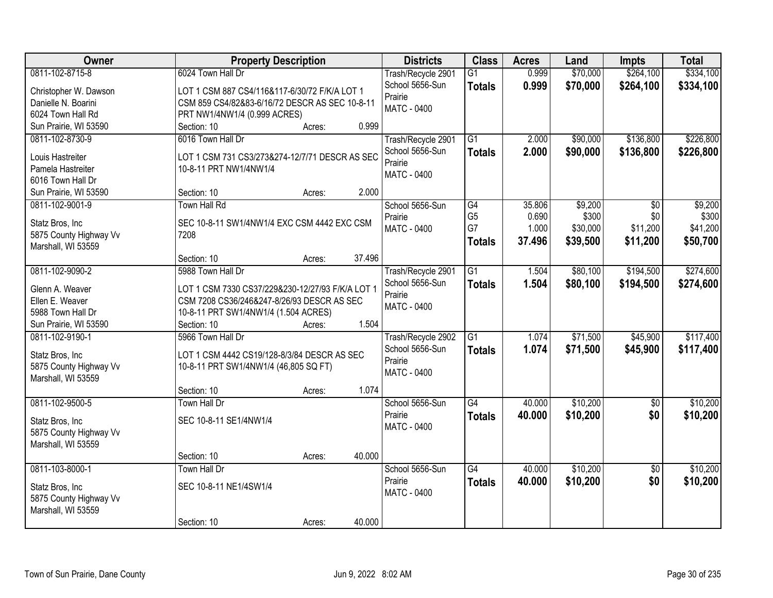| Owner                                     | <b>Property Description</b>                                  | <b>Districts</b>   | <b>Class</b>    | <b>Acres</b> | Land     | Impts           | <b>Total</b> |
|-------------------------------------------|--------------------------------------------------------------|--------------------|-----------------|--------------|----------|-----------------|--------------|
| 0811-102-8715-8                           | 6024 Town Hall Dr                                            | Trash/Recycle 2901 | $\overline{G1}$ | 0.999        | \$70,000 | \$264,100       | \$334,100    |
| Christopher W. Dawson                     | LOT 1 CSM 887 CS4/116&117-6/30/72 F/K/A LOT 1                | School 5656-Sun    | <b>Totals</b>   | 0.999        | \$70,000 | \$264,100       | \$334,100    |
| Danielle N. Boarini                       | CSM 859 CS4/82&83-6/16/72 DESCR AS SEC 10-8-11               | Prairie            |                 |              |          |                 |              |
| 6024 Town Hall Rd                         | PRT NW1/4NW1/4 (0.999 ACRES)                                 | <b>MATC - 0400</b> |                 |              |          |                 |              |
| Sun Prairie, WI 53590                     | 0.999<br>Section: 10<br>Acres:                               |                    |                 |              |          |                 |              |
| 0811-102-8730-9                           | 6016 Town Hall Dr                                            | Trash/Recycle 2901 | $\overline{G1}$ | 2.000        | \$90,000 | \$136,800       | \$226,800    |
| Louis Hastreiter                          | LOT 1 CSM 731 CS3/273&274-12/7/71 DESCR AS SEC               | School 5656-Sun    | <b>Totals</b>   | 2.000        | \$90,000 | \$136,800       | \$226,800    |
| Pamela Hastreiter                         | 10-8-11 PRT NW1/4NW1/4                                       | Prairie            |                 |              |          |                 |              |
| 6016 Town Hall Dr                         |                                                              | <b>MATC - 0400</b> |                 |              |          |                 |              |
| Sun Prairie, WI 53590                     | 2.000<br>Section: 10<br>Acres:                               |                    |                 |              |          |                 |              |
| 0811-102-9001-9                           | Town Hall Rd                                                 | School 5656-Sun    | G4              | 35.806       | \$9,200  | \$0             | \$9,200      |
|                                           |                                                              | Prairie            | G <sub>5</sub>  | 0.690        | \$300    | \$0             | \$300        |
| Statz Bros, Inc<br>5875 County Highway Vv | SEC 10-8-11 SW1/4NW1/4 EXC CSM 4442 EXC CSM<br>7208          | <b>MATC - 0400</b> | G7              | 1.000        | \$30,000 | \$11,200        | \$41,200     |
| Marshall, WI 53559                        |                                                              |                    | <b>Totals</b>   | 37.496       | \$39,500 | \$11,200        | \$50,700     |
|                                           | 37.496<br>Section: 10<br>Acres:                              |                    |                 |              |          |                 |              |
| 0811-102-9090-2                           | 5988 Town Hall Dr                                            | Trash/Recycle 2901 | G1              | 1.504        | \$80,100 | \$194,500       | \$274,600    |
|                                           |                                                              | School 5656-Sun    | <b>Totals</b>   | 1.504        | \$80,100 | \$194,500       | \$274,600    |
| Glenn A. Weaver                           | LOT 1 CSM 7330 CS37/229&230-12/27/93 F/K/A LOT 1             | Prairie            |                 |              |          |                 |              |
| Ellen E. Weaver                           | CSM 7208 CS36/246&247-8/26/93 DESCR AS SEC                   | MATC - 0400        |                 |              |          |                 |              |
| 5988 Town Hall Dr                         | 10-8-11 PRT SW1/4NW1/4 (1.504 ACRES)<br>1.504<br>Section: 10 |                    |                 |              |          |                 |              |
| Sun Prairie, WI 53590<br>0811-102-9190-1  | Acres:<br>5966 Town Hall Dr                                  | Trash/Recycle 2902 | $\overline{G1}$ | 1.074        | \$71,500 | \$45,900        | \$117,400    |
|                                           |                                                              | School 5656-Sun    |                 | 1.074        | \$71,500 | \$45,900        | \$117,400    |
| Statz Bros, Inc                           | LOT 1 CSM 4442 CS19/128-8/3/84 DESCR AS SEC                  | Prairie            | <b>Totals</b>   |              |          |                 |              |
| 5875 County Highway Vv                    | 10-8-11 PRT SW1/4NW1/4 (46,805 SQ FT)                        | MATC - 0400        |                 |              |          |                 |              |
| Marshall, WI 53559                        |                                                              |                    |                 |              |          |                 |              |
|                                           | 1.074<br>Section: 10<br>Acres:                               |                    |                 |              |          |                 |              |
| 0811-102-9500-5                           | <b>Town Hall Dr</b>                                          | School 5656-Sun    | $\overline{G4}$ | 40.000       | \$10,200 | $\overline{50}$ | \$10,200     |
| Statz Bros, Inc                           | SEC 10-8-11 SE1/4NW1/4                                       | Prairie            | <b>Totals</b>   | 40.000       | \$10,200 | \$0             | \$10,200     |
| 5875 County Highway Vv                    |                                                              | MATC - 0400        |                 |              |          |                 |              |
| Marshall, WI 53559                        |                                                              |                    |                 |              |          |                 |              |
|                                           | 40.000<br>Section: 10<br>Acres:                              |                    |                 |              |          |                 |              |
| 0811-103-8000-1                           | Town Hall Dr                                                 | School 5656-Sun    | $\overline{G4}$ | 40.000       | \$10,200 | $\overline{50}$ | \$10,200     |
| Statz Bros, Inc.                          | SEC 10-8-11 NE1/4SW1/4                                       | Prairie            | <b>Totals</b>   | 40.000       | \$10,200 | \$0             | \$10,200     |
| 5875 County Highway Vv                    |                                                              | MATC - 0400        |                 |              |          |                 |              |
| Marshall, WI 53559                        |                                                              |                    |                 |              |          |                 |              |
|                                           | 40.000<br>Section: 10<br>Acres:                              |                    |                 |              |          |                 |              |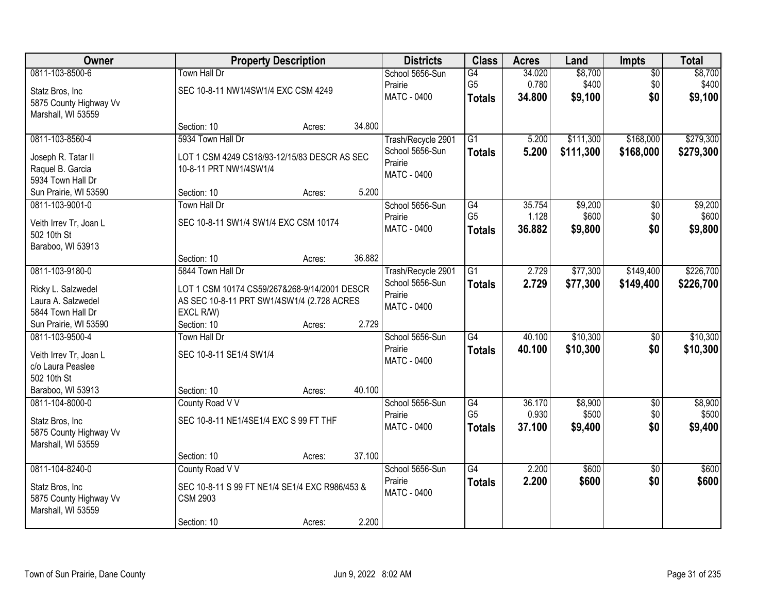| Owner                  |                                                | <b>Property Description</b> |        | <b>Districts</b>       | <b>Class</b>    | <b>Acres</b> | Land      | <b>Impts</b>    | <b>Total</b> |
|------------------------|------------------------------------------------|-----------------------------|--------|------------------------|-----------------|--------------|-----------|-----------------|--------------|
| 0811-103-8500-6        | <b>Town Hall Dr</b>                            |                             |        | School 5656-Sun        | G4              | 34.020       | \$8,700   | $\overline{50}$ | \$8,700      |
| Statz Bros, Inc        | SEC 10-8-11 NW1/4SW1/4 EXC CSM 4249            |                             |        | Prairie                | G <sub>5</sub>  | 0.780        | \$400     | \$0             | \$400        |
| 5875 County Highway Vv |                                                |                             |        | MATC - 0400            | <b>Totals</b>   | 34.800       | \$9,100   | \$0             | \$9,100      |
| Marshall, WI 53559     |                                                |                             |        |                        |                 |              |           |                 |              |
|                        | Section: 10                                    | Acres:                      | 34.800 |                        |                 |              |           |                 |              |
| 0811-103-8560-4        | 5934 Town Hall Dr                              |                             |        | Trash/Recycle 2901     | G1              | 5.200        | \$111,300 | \$168,000       | \$279,300    |
| Joseph R. Tatar II     | LOT 1 CSM 4249 CS18/93-12/15/83 DESCR AS SEC   |                             |        | School 5656-Sun        | <b>Totals</b>   | 5.200        | \$111,300 | \$168,000       | \$279,300    |
| Raquel B. Garcia       | 10-8-11 PRT NW1/4SW1/4                         |                             |        | Prairie<br>MATC - 0400 |                 |              |           |                 |              |
| 5934 Town Hall Dr      |                                                |                             |        |                        |                 |              |           |                 |              |
| Sun Prairie, WI 53590  | Section: 10                                    | Acres:                      | 5.200  |                        |                 |              |           |                 |              |
| 0811-103-9001-0        | Town Hall Dr                                   |                             |        | School 5656-Sun        | G4              | 35.754       | \$9,200   | $\overline{50}$ | \$9,200      |
| Veith Irrev Tr, Joan L | SEC 10-8-11 SW1/4 SW1/4 EXC CSM 10174          |                             |        | Prairie                | G <sub>5</sub>  | 1.128        | \$600     | \$0             | \$600        |
| 502 10th St            |                                                |                             |        | MATC - 0400            | <b>Totals</b>   | 36.882       | \$9,800   | \$0             | \$9,800      |
| Baraboo, WI 53913      |                                                |                             |        |                        |                 |              |           |                 |              |
|                        | Section: 10                                    | Acres:                      | 36.882 |                        |                 |              |           |                 |              |
| 0811-103-9180-0        | 5844 Town Hall Dr                              |                             |        | Trash/Recycle 2901     | $\overline{G1}$ | 2.729        | \$77,300  | \$149,400       | \$226,700    |
| Ricky L. Salzwedel     | LOT 1 CSM 10174 CS59/267&268-9/14/2001 DESCR   |                             |        | School 5656-Sun        | <b>Totals</b>   | 2.729        | \$77,300  | \$149,400       | \$226,700    |
| Laura A. Salzwedel     | AS SEC 10-8-11 PRT SW1/4SW1/4 (2.728 ACRES     |                             |        | Prairie                |                 |              |           |                 |              |
| 5844 Town Hall Dr      | EXCL R/W)                                      |                             |        | MATC - 0400            |                 |              |           |                 |              |
| Sun Prairie, WI 53590  | Section: 10                                    | Acres:                      | 2.729  |                        |                 |              |           |                 |              |
| 0811-103-9500-4        | <b>Town Hall Dr</b>                            |                             |        | School 5656-Sun        | $\overline{G4}$ | 40.100       | \$10,300  | $\overline{50}$ | \$10,300     |
| Veith Irrev Tr, Joan L | SEC 10-8-11 SE1/4 SW1/4                        |                             |        | Prairie                | <b>Totals</b>   | 40.100       | \$10,300  | \$0             | \$10,300     |
| c/o Laura Peaslee      |                                                |                             |        | MATC - 0400            |                 |              |           |                 |              |
| 502 10th St            |                                                |                             |        |                        |                 |              |           |                 |              |
| Baraboo, WI 53913      | Section: 10                                    | Acres:                      | 40.100 |                        |                 |              |           |                 |              |
| 0811-104-8000-0        | County Road V V                                |                             |        | School 5656-Sun        | G4              | 36.170       | \$8,900   | $\sqrt{$0}$     | \$8,900      |
| Statz Bros, Inc        | SEC 10-8-11 NE1/4SE1/4 EXC S 99 FT THF         |                             |        | Prairie                | G <sub>5</sub>  | 0.930        | \$500     | \$0             | \$500        |
| 5875 County Highway Vv |                                                |                             |        | MATC - 0400            | <b>Totals</b>   | 37.100       | \$9,400   | \$0             | \$9,400      |
| Marshall, WI 53559     |                                                |                             |        |                        |                 |              |           |                 |              |
|                        | Section: 10                                    | Acres:                      | 37.100 |                        |                 |              |           |                 |              |
| 0811-104-8240-0        | County Road V V                                |                             |        | School 5656-Sun        | G4              | 2.200        | \$600     | $\overline{50}$ | \$600        |
| Statz Bros, Inc        | SEC 10-8-11 S 99 FT NE1/4 SE1/4 EXC R986/453 & |                             |        | Prairie                | <b>Totals</b>   | 2.200        | \$600     | \$0             | \$600        |
| 5875 County Highway Vv | <b>CSM 2903</b>                                |                             |        | MATC - 0400            |                 |              |           |                 |              |
| Marshall, WI 53559     |                                                |                             |        |                        |                 |              |           |                 |              |
|                        | Section: 10                                    | Acres:                      | 2.200  |                        |                 |              |           |                 |              |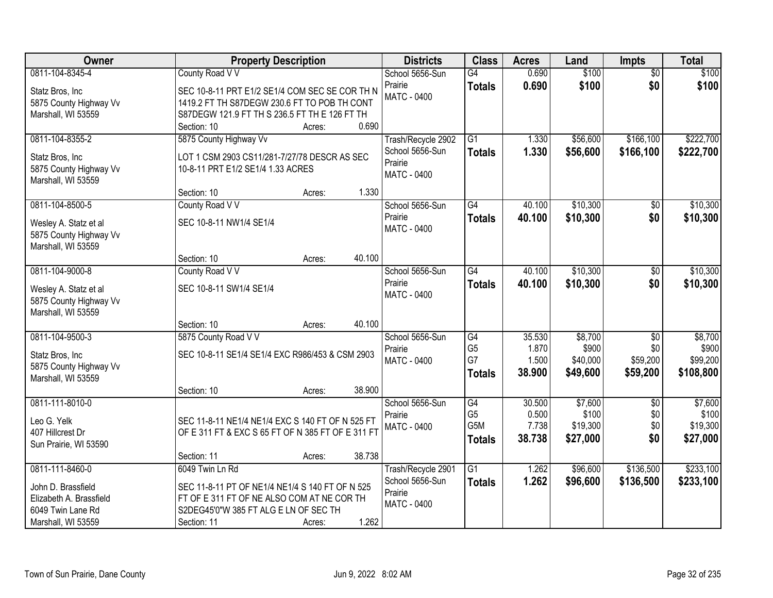| Owner                                        | <b>Property Description</b>                                       | <b>Districts</b>              | <b>Class</b>         | <b>Acres</b>   | Land              | <b>Impts</b>           | <b>Total</b>      |
|----------------------------------------------|-------------------------------------------------------------------|-------------------------------|----------------------|----------------|-------------------|------------------------|-------------------|
| 0811-104-8345-4<br>Statz Bros, Inc           | County Road V V<br>SEC 10-8-11 PRT E1/2 SE1/4 COM SEC SE COR TH N | School 5656-Sun<br>Prairie    | G4<br><b>Totals</b>  | 0.690<br>0.690 | \$100<br>\$100    | $\overline{50}$<br>\$0 | \$100<br>\$100    |
| 5875 County Highway Vv                       | 1419.2 FT TH S87DEGW 230.6 FT TO POB TH CONT                      | <b>MATC - 0400</b>            |                      |                |                   |                        |                   |
| Marshall, WI 53559                           | S87DEGW 121.9 FT TH S 236.5 FT TH E 126 FT TH                     |                               |                      |                |                   |                        |                   |
|                                              | 0.690<br>Section: 10<br>Acres:                                    |                               |                      |                |                   |                        |                   |
| 0811-104-8355-2                              | 5875 County Highway Vv                                            | Trash/Recycle 2902            | $\overline{G1}$      | 1.330          | \$56,600          | \$166,100              | \$222,700         |
| Statz Bros, Inc                              | LOT 1 CSM 2903 CS11/281-7/27/78 DESCR AS SEC                      | School 5656-Sun<br>Prairie    | <b>Totals</b>        | 1.330          | \$56,600          | \$166,100              | \$222,700         |
| 5875 County Highway Vv<br>Marshall, WI 53559 | 10-8-11 PRT E1/2 SE1/4 1.33 ACRES                                 | <b>MATC - 0400</b>            |                      |                |                   |                        |                   |
|                                              | 1.330<br>Section: 10<br>Acres:                                    |                               |                      |                |                   |                        |                   |
| 0811-104-8500-5                              | County Road V V                                                   | School 5656-Sun               | $\overline{G4}$      | 40.100         | \$10,300          | $\overline{50}$        | \$10,300          |
| Wesley A. Statz et al                        | SEC 10-8-11 NW1/4 SE1/4                                           | Prairie<br><b>MATC - 0400</b> | <b>Totals</b>        | 40.100         | \$10,300          | \$0                    | \$10,300          |
| 5875 County Highway Vv                       |                                                                   |                               |                      |                |                   |                        |                   |
| Marshall, WI 53559                           | 40.100<br>Section: 10<br>Acres:                                   |                               |                      |                |                   |                        |                   |
| 0811-104-9000-8                              | County Road V V                                                   | School 5656-Sun               | $\overline{G4}$      | 40.100         | \$10,300          | \$0                    | \$10,300          |
| Wesley A. Statz et al                        | SEC 10-8-11 SW1/4 SE1/4                                           | Prairie                       | <b>Totals</b>        | 40.100         | \$10,300          | \$0                    | \$10,300          |
| 5875 County Highway Vv                       |                                                                   | MATC - 0400                   |                      |                |                   |                        |                   |
| Marshall, WI 53559                           |                                                                   |                               |                      |                |                   |                        |                   |
|                                              | 40.100<br>Section: 10<br>Acres:                                   |                               |                      |                |                   |                        |                   |
| 0811-104-9500-3                              | 5875 County Road V V                                              | School 5656-Sun               | $\overline{G4}$      | 35.530         | \$8,700           | $\overline{50}$        | \$8,700           |
| Statz Bros, Inc                              | SEC 10-8-11 SE1/4 SE1/4 EXC R986/453 & CSM 2903                   | Prairie<br><b>MATC - 0400</b> | G <sub>5</sub><br>G7 | 1.870<br>1.500 | \$900<br>\$40,000 | \$0<br>\$59,200        | \$900<br>\$99,200 |
| 5875 County Highway Vv                       |                                                                   |                               | <b>Totals</b>        | 38.900         | \$49,600          | \$59,200               | \$108,800         |
| Marshall, WI 53559                           |                                                                   |                               |                      |                |                   |                        |                   |
| 0811-111-8010-0                              | 38.900<br>Section: 10<br>Acres:                                   | School 5656-Sun               | $\overline{G4}$      | 30.500         | \$7,600           | $\overline{30}$        | \$7,600           |
|                                              |                                                                   | Prairie                       | G <sub>5</sub>       | 0.500          | \$100             | \$0                    | \$100             |
| Leo G. Yelk                                  | SEC 11-8-11 NE1/4 NE1/4 EXC S 140 FT OF N 525 FT                  | <b>MATC - 0400</b>            | G <sub>5</sub> M     | 7.738          | \$19,300          | \$0                    | \$19,300          |
| 407 Hillcrest Dr<br>Sun Prairie, WI 53590    | OF E 311 FT & EXC S 65 FT OF N 385 FT OF E 311 FT                 |                               | <b>Totals</b>        | 38.738         | \$27,000          | \$0                    | \$27,000          |
|                                              | 38.738<br>Section: 11<br>Acres:                                   |                               |                      |                |                   |                        |                   |
| 0811-111-8460-0                              | 6049 Twin Ln Rd                                                   | Trash/Recycle 2901            | $\overline{G1}$      | 1.262          | \$96,600          | \$136,500              | \$233,100         |
| John D. Brassfield                           | SEC 11-8-11 PT OF NE1/4 NE1/4 S 140 FT OF N 525                   | School 5656-Sun               | <b>Totals</b>        | 1.262          | \$96,600          | \$136,500              | \$233,100         |
| Elizabeth A. Brassfield                      | FT OF E 311 FT OF NE ALSO COM AT NE COR TH                        | Prairie                       |                      |                |                   |                        |                   |
| 6049 Twin Lane Rd                            | S2DEG45'0"W 385 FT ALG E LN OF SEC TH                             | MATC - 0400                   |                      |                |                   |                        |                   |
| Marshall, WI 53559                           | 1.262<br>Section: 11<br>Acres:                                    |                               |                      |                |                   |                        |                   |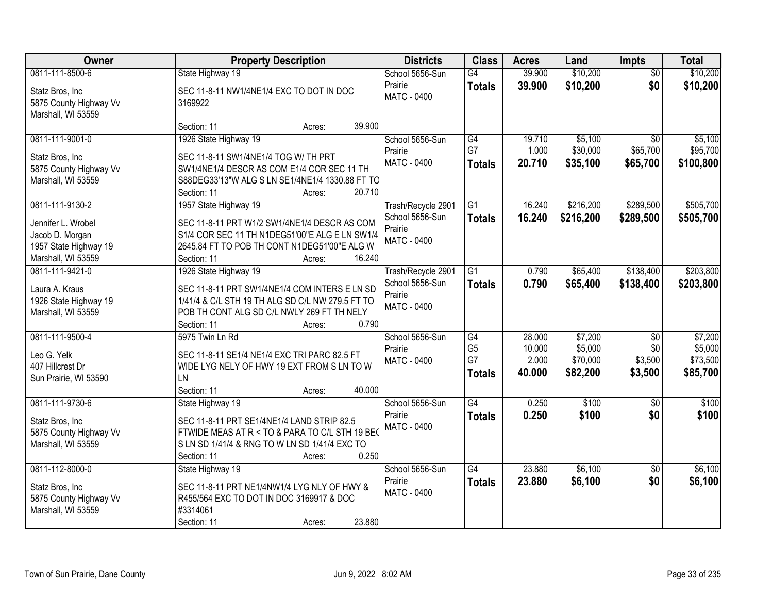| Owner                                                           | <b>Property Description</b>                                                                                                                                                                                | <b>Districts</b>                                                       | <b>Class</b>                          | <b>Acres</b>              | Land                            | <b>Impts</b>                | <b>Total</b>                    |
|-----------------------------------------------------------------|------------------------------------------------------------------------------------------------------------------------------------------------------------------------------------------------------------|------------------------------------------------------------------------|---------------------------------------|---------------------------|---------------------------------|-----------------------------|---------------------------------|
| 0811-111-8500-6                                                 | State Highway 19                                                                                                                                                                                           | School 5656-Sun                                                        | $\overline{G4}$                       | 39.900                    | \$10,200                        | $\overline{50}$             | \$10,200                        |
| Statz Bros, Inc<br>5875 County Highway Vv<br>Marshall, WI 53559 | SEC 11-8-11 NW1/4NE1/4 EXC TO DOT IN DOC<br>3169922                                                                                                                                                        | Prairie<br><b>MATC - 0400</b>                                          | <b>Totals</b>                         | 39.900                    | \$10,200                        | \$0                         | \$10,200                        |
|                                                                 | 39.900<br>Section: 11<br>Acres:                                                                                                                                                                            |                                                                        |                                       |                           |                                 |                             |                                 |
| 0811-111-9001-0                                                 | 1926 State Highway 19                                                                                                                                                                                      | School 5656-Sun<br>Prairie                                             | G4<br>G7                              | 19.710<br>1.000           | \$5,100<br>\$30,000             | $\overline{50}$<br>\$65,700 | \$5,100<br>\$95,700             |
| Statz Bros, Inc.<br>5875 County Highway Vv                      | SEC 11-8-11 SW1/4NE1/4 TOG W/ TH PRT<br>SW1/4NE1/4 DESCR AS COM E1/4 COR SEC 11 TH                                                                                                                         | MATC - 0400                                                            | <b>Totals</b>                         | 20.710                    | \$35,100                        | \$65,700                    | \$100,800                       |
| Marshall, WI 53559                                              | S88DEG33'13"W ALG S LN SE1/4NE1/4 1330.88 FT TO<br>20.710<br>Section: 11<br>Acres:                                                                                                                         |                                                                        |                                       |                           |                                 |                             |                                 |
| 0811-111-9130-2                                                 | 1957 State Highway 19                                                                                                                                                                                      | Trash/Recycle 2901                                                     | G1                                    | 16.240                    | \$216,200                       | \$289,500                   | \$505,700                       |
| Jennifer L. Wrobel<br>Jacob D. Morgan                           | SEC 11-8-11 PRT W1/2 SW1/4NE1/4 DESCR AS COM<br>S1/4 COR SEC 11 TH N1DEG51'00"E ALG E LN SW1/4                                                                                                             | School 5656-Sun<br>Prairie<br>MATC - 0400                              | <b>Totals</b>                         | 16.240                    | \$216,200                       | \$289,500                   | \$505,700                       |
| 1957 State Highway 19                                           | 2645.84 FT TO POB TH CONT N1DEG51'00"E ALG W                                                                                                                                                               |                                                                        |                                       |                           |                                 |                             |                                 |
| Marshall, WI 53559<br>0811-111-9421-0                           | Section: 11<br>16.240<br>Acres:                                                                                                                                                                            |                                                                        |                                       | 0.790                     | \$65,400                        | \$138,400                   | \$203,800                       |
| Laura A. Kraus<br>1926 State Highway 19<br>Marshall, WI 53559   | 1926 State Highway 19<br>SEC 11-8-11 PRT SW1/4NE1/4 COM INTERS E LN SD<br>1/41/4 & C/L STH 19 TH ALG SD C/L NW 279.5 FT TO<br>POB TH CONT ALG SD C/L NWLY 269 FT TH NELY<br>0.790<br>Section: 11<br>Acres: | Trash/Recycle 2901<br>School 5656-Sun<br>Prairie<br><b>MATC - 0400</b> | G1<br><b>Totals</b>                   | 0.790                     | \$65,400                        | \$138,400                   | \$203,800                       |
| 0811-111-9500-4                                                 | 5975 Twin Ln Rd                                                                                                                                                                                            | School 5656-Sun                                                        | $\overline{G4}$                       | 28.000                    | \$7,200                         | $\overline{50}$             | \$7,200                         |
| Leo G. Yelk<br>407 Hillcrest Dr<br>Sun Prairie, WI 53590        | SEC 11-8-11 SE1/4 NE1/4 EXC TRI PARC 82.5 FT<br>WIDE LYG NELY OF HWY 19 EXT FROM S LN TO W<br>LN<br>Section: 11<br>40.000<br>Acres:                                                                        | Prairie<br>MATC - 0400                                                 | G <sub>5</sub><br>G7<br><b>Totals</b> | 10.000<br>2.000<br>40.000 | \$5,000<br>\$70,000<br>\$82,200 | \$0<br>\$3,500<br>\$3,500   | \$5,000<br>\$73,500<br>\$85,700 |
| 0811-111-9730-6                                                 | State Highway 19                                                                                                                                                                                           | School 5656-Sun                                                        | $\overline{G4}$                       | 0.250                     | \$100                           | $\overline{50}$             | \$100                           |
| Statz Bros, Inc<br>5875 County Highway Vv<br>Marshall, WI 53559 | SEC 11-8-11 PRT SE1/4NE1/4 LAND STRIP 82.5<br>FTWIDE MEAS AT R < TO & PARA TO C/L STH 19 BEG<br>S LN SD 1/41/4 & RNG TO W LN SD 1/41/4 EXC TO<br>0.250<br>Section: 11<br>Acres:                            | Prairie<br>MATC - 0400                                                 | <b>Totals</b>                         | 0.250                     | \$100                           | \$0                         | \$100                           |
| 0811-112-8000-0                                                 | State Highway 19                                                                                                                                                                                           | School 5656-Sun                                                        | $\overline{G4}$                       | 23,880                    | \$6,100                         | $\overline{50}$             | \$6,100                         |
| Statz Bros, Inc<br>5875 County Highway Vv<br>Marshall, WI 53559 | SEC 11-8-11 PRT NE1/4NW1/4 LYG NLY OF HWY &<br>R455/564 EXC TO DOT IN DOC 3169917 & DOC<br>#3314061<br>23.880<br>Section: 11<br>Acres:                                                                     | Prairie<br><b>MATC - 0400</b>                                          | <b>Totals</b>                         | 23.880                    | \$6,100                         | \$0                         | \$6,100                         |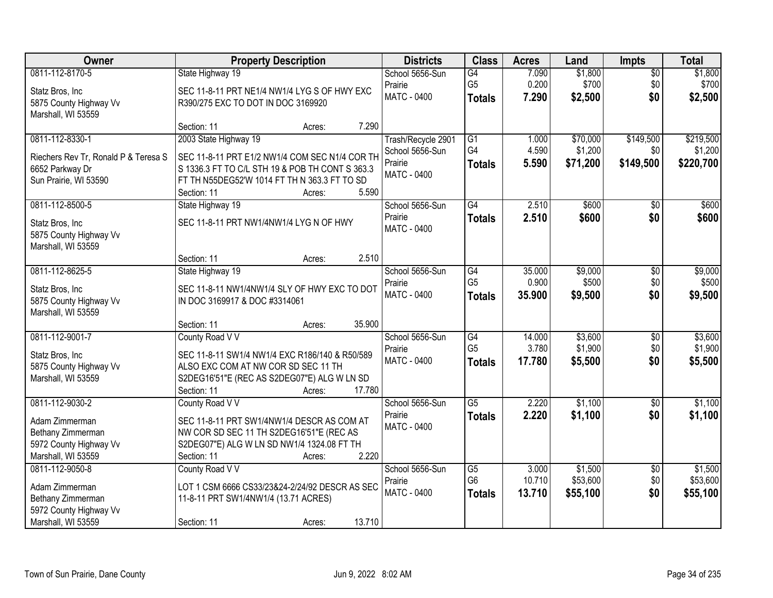| Owner                                | <b>Property Description</b>                     | <b>Districts</b>   | <b>Class</b>    | <b>Acres</b> | Land     | <b>Impts</b>    | <b>Total</b> |
|--------------------------------------|-------------------------------------------------|--------------------|-----------------|--------------|----------|-----------------|--------------|
| 0811-112-8170-5                      | State Highway 19                                | School 5656-Sun    | G4              | 7.090        | \$1,800  | $\overline{50}$ | \$1,800      |
| Statz Bros, Inc                      | SEC 11-8-11 PRT NE1/4 NW1/4 LYG S OF HWY EXC    | Prairie            | G <sub>5</sub>  | 0.200        | \$700    | \$0             | \$700        |
| 5875 County Highway Vv               | R390/275 EXC TO DOT IN DOC 3169920              | <b>MATC - 0400</b> | <b>Totals</b>   | 7.290        | \$2,500  | \$0             | \$2,500      |
| Marshall, WI 53559                   |                                                 |                    |                 |              |          |                 |              |
|                                      | 7.290<br>Section: 11<br>Acres:                  |                    |                 |              |          |                 |              |
| 0811-112-8330-1                      | 2003 State Highway 19                           | Trash/Recycle 2901 | $\overline{G1}$ | 1.000        | \$70,000 | \$149,500       | \$219,500    |
| Riechers Rev Tr, Ronald P & Teresa S | SEC 11-8-11 PRT E1/2 NW1/4 COM SEC N1/4 COR TH  | School 5656-Sun    | G4              | 4.590        | \$1,200  | \$0             | \$1,200      |
| 6652 Parkway Dr                      | S 1336.3 FT TO C/L STH 19 & POB TH CONT S 363.3 | Prairie            | <b>Totals</b>   | 5.590        | \$71,200 | \$149,500       | \$220,700    |
| Sun Prairie, WI 53590                | FT TH N55DEG52'W 1014 FT TH N 363.3 FT TO SD    | <b>MATC - 0400</b> |                 |              |          |                 |              |
|                                      | 5.590<br>Section: 11<br>Acres:                  |                    |                 |              |          |                 |              |
| 0811-112-8500-5                      | State Highway 19                                | School 5656-Sun    | G4              | 2.510        | \$600    | $\sqrt{6}$      | \$600        |
| Statz Bros, Inc                      | SEC 11-8-11 PRT NW1/4NW1/4 LYG N OF HWY         | Prairie            | <b>Totals</b>   | 2.510        | \$600    | \$0             | \$600        |
| 5875 County Highway Vv               |                                                 | MATC - 0400        |                 |              |          |                 |              |
| Marshall, WI 53559                   |                                                 |                    |                 |              |          |                 |              |
|                                      | 2.510<br>Section: 11<br>Acres:                  |                    |                 |              |          |                 |              |
| 0811-112-8625-5                      | State Highway 19                                | School 5656-Sun    | G4              | 35.000       | \$9,000  | \$0             | \$9,000      |
| Statz Bros, Inc                      | SEC 11-8-11 NW1/4NW1/4 SLY OF HWY EXC TO DOT    | Prairie            | G <sub>5</sub>  | 0.900        | \$500    | \$0             | \$500        |
| 5875 County Highway Vv               | IN DOC 3169917 & DOC #3314061                   | MATC - 0400        | <b>Totals</b>   | 35.900       | \$9,500  | \$0             | \$9,500      |
| Marshall, WI 53559                   |                                                 |                    |                 |              |          |                 |              |
|                                      | 35.900<br>Section: 11<br>Acres:                 |                    |                 |              |          |                 |              |
| 0811-112-9001-7                      | County Road V V                                 | School 5656-Sun    | G4              | 14.000       | \$3,600  | $\overline{50}$ | \$3,600      |
| Statz Bros, Inc                      | SEC 11-8-11 SW1/4 NW1/4 EXC R186/140 & R50/589  | Prairie            | G <sub>5</sub>  | 3.780        | \$1,900  | \$0             | \$1,900      |
| 5875 County Highway Vv               | ALSO EXC COM AT NW COR SD SEC 11 TH             | MATC - 0400        | <b>Totals</b>   | 17.780       | \$5,500  | \$0             | \$5,500      |
| Marshall, WI 53559                   | S2DEG16'51"E (REC AS S2DEG07"E) ALG W LN SD     |                    |                 |              |          |                 |              |
|                                      | 17.780<br>Section: 11<br>Acres:                 |                    |                 |              |          |                 |              |
| 0811-112-9030-2                      | County Road V V                                 | School 5656-Sun    | $\overline{G5}$ | 2.220        | \$1,100  | $\sqrt{6}$      | \$1,100      |
| Adam Zimmerman                       | SEC 11-8-11 PRT SW1/4NW1/4 DESCR AS COM AT      | Prairie            | <b>Totals</b>   | 2.220        | \$1,100  | \$0             | \$1,100      |
| Bethany Zimmerman                    | NW COR SD SEC 11 TH S2DEG16'51"E (REC AS        | MATC - 0400        |                 |              |          |                 |              |
| 5972 County Highway Vv               | S2DEG07"E) ALG W LN SD NW1/4 1324.08 FT TH      |                    |                 |              |          |                 |              |
| Marshall, WI 53559                   | 2.220<br>Section: 11<br>Acres:                  |                    |                 |              |          |                 |              |
| 0811-112-9050-8                      | County Road V V                                 | School 5656-Sun    | G5              | 3.000        | \$1,500  | $\overline{30}$ | \$1,500      |
| Adam Zimmerman                       | LOT 1 CSM 6666 CS33/23&24-2/24/92 DESCR AS SEC  | Prairie            | G <sub>6</sub>  | 10.710       | \$53,600 | \$0             | \$53,600     |
| Bethany Zimmerman                    | 11-8-11 PRT SW1/4NW1/4 (13.71 ACRES)            | MATC - 0400        | <b>Totals</b>   | 13.710       | \$55,100 | \$0             | \$55,100     |
| 5972 County Highway Vv               |                                                 |                    |                 |              |          |                 |              |
| Marshall, WI 53559                   | 13.710<br>Section: 11<br>Acres:                 |                    |                 |              |          |                 |              |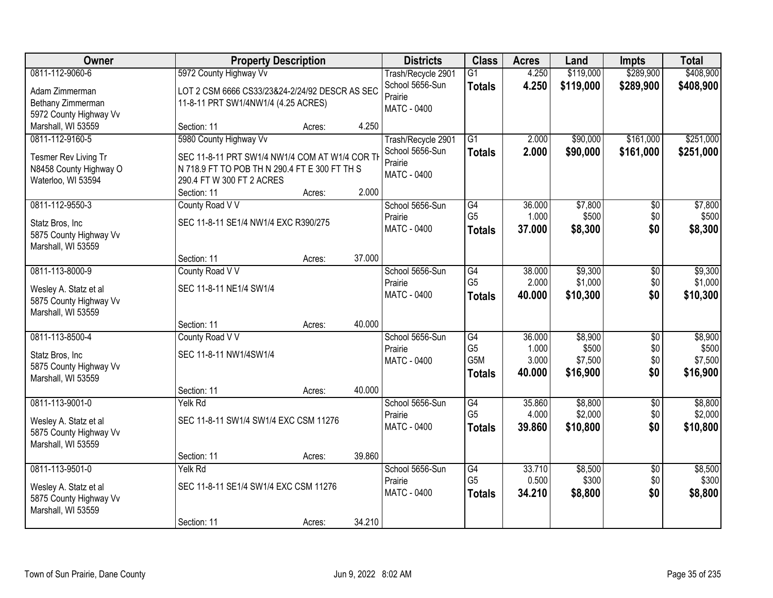| Owner                  |                                                | <b>Property Description</b> |        | <b>Districts</b>   | <b>Class</b>    | <b>Acres</b> | Land      | Impts           | <b>Total</b> |
|------------------------|------------------------------------------------|-----------------------------|--------|--------------------|-----------------|--------------|-----------|-----------------|--------------|
| 0811-112-9060-6        | 5972 County Highway Vv                         |                             |        | Trash/Recycle 2901 | $\overline{G1}$ | 4.250        | \$119,000 | \$289,900       | \$408,900    |
| Adam Zimmerman         | LOT 2 CSM 6666 CS33/23&24-2/24/92 DESCR AS SEC |                             |        | School 5656-Sun    | <b>Totals</b>   | 4.250        | \$119,000 | \$289,900       | \$408,900    |
| Bethany Zimmerman      | 11-8-11 PRT SW1/4NW1/4 (4.25 ACRES)            |                             |        | Prairie            |                 |              |           |                 |              |
| 5972 County Highway Vv |                                                |                             |        | <b>MATC - 0400</b> |                 |              |           |                 |              |
| Marshall, WI 53559     | Section: 11                                    | Acres:                      | 4.250  |                    |                 |              |           |                 |              |
| 0811-112-9160-5        | 5980 County Highway Vv                         |                             |        | Trash/Recycle 2901 | $\overline{G1}$ | 2.000        | \$90,000  | \$161,000       | \$251,000    |
| Tesmer Rev Living Tr   | SEC 11-8-11 PRT SW1/4 NW1/4 COM AT W1/4 COR T  |                             |        | School 5656-Sun    | <b>Totals</b>   | 2.000        | \$90,000  | \$161,000       | \$251,000    |
| N8458 County Highway O | N 718.9 FT TO POB TH N 290.4 FT E 300 FT TH S  |                             |        | Prairie            |                 |              |           |                 |              |
| Waterloo, WI 53594     | 290.4 FT W 300 FT 2 ACRES                      |                             |        | <b>MATC - 0400</b> |                 |              |           |                 |              |
|                        | Section: 11                                    | Acres:                      | 2.000  |                    |                 |              |           |                 |              |
| 0811-112-9550-3        | County Road V V                                |                             |        | School 5656-Sun    | $\overline{G4}$ | 36.000       | \$7,800   | $\overline{50}$ | \$7,800      |
| Statz Bros, Inc        | SEC 11-8-11 SE1/4 NW1/4 EXC R390/275           |                             |        | Prairie            | G <sub>5</sub>  | 1.000        | \$500     | \$0             | \$500        |
| 5875 County Highway Vv |                                                |                             |        | MATC - 0400        | <b>Totals</b>   | 37.000       | \$8,300   | \$0             | \$8,300      |
| Marshall, WI 53559     |                                                |                             |        |                    |                 |              |           |                 |              |
|                        | Section: 11                                    | Acres:                      | 37.000 |                    |                 |              |           |                 |              |
| 0811-113-8000-9        | County Road V V                                |                             |        | School 5656-Sun    | $\overline{G4}$ | 38.000       | \$9,300   | \$0             | \$9,300      |
| Wesley A. Statz et al  | SEC 11-8-11 NE1/4 SW1/4                        |                             |        | Prairie            | G <sub>5</sub>  | 2.000        | \$1,000   | \$0             | \$1,000      |
| 5875 County Highway Vv |                                                |                             |        | MATC - 0400        | <b>Totals</b>   | 40.000       | \$10,300  | \$0             | \$10,300     |
| Marshall, WI 53559     |                                                |                             |        |                    |                 |              |           |                 |              |
|                        | Section: 11                                    | Acres:                      | 40.000 |                    |                 |              |           |                 |              |
| 0811-113-8500-4        | County Road V V                                |                             |        | School 5656-Sun    | $\overline{G4}$ | 36.000       | \$8,900   | $\overline{50}$ | \$8,900      |
| Statz Bros, Inc.       | SEC 11-8-11 NW1/4SW1/4                         |                             |        | Prairie            | G <sub>5</sub>  | 1.000        | \$500     | \$0             | \$500        |
| 5875 County Highway Vv |                                                |                             |        | MATC - 0400        | G5M             | 3.000        | \$7,500   | \$0             | \$7,500      |
| Marshall, WI 53559     |                                                |                             |        |                    | <b>Totals</b>   | 40.000       | \$16,900  | \$0             | \$16,900     |
|                        | Section: 11                                    | Acres:                      | 40.000 |                    |                 |              |           |                 |              |
| 0811-113-9001-0        | Yelk Rd                                        |                             |        | School 5656-Sun    | G4              | 35.860       | \$8,800   | $\overline{50}$ | \$8,800      |
| Wesley A. Statz et al  | SEC 11-8-11 SW1/4 SW1/4 EXC CSM 11276          |                             |        | Prairie            | G <sub>5</sub>  | 4.000        | \$2,000   | \$0             | \$2,000      |
| 5875 County Highway Vv |                                                |                             |        | MATC - 0400        | <b>Totals</b>   | 39,860       | \$10,800  | \$0             | \$10,800     |
| Marshall, WI 53559     |                                                |                             |        |                    |                 |              |           |                 |              |
|                        | Section: 11                                    | Acres:                      | 39.860 |                    |                 |              |           |                 |              |
| 0811-113-9501-0        | Yelk Rd                                        |                             |        | School 5656-Sun    | $\overline{G4}$ | 33.710       | \$8,500   | $\overline{50}$ | \$8,500      |
| Wesley A. Statz et al  | SEC 11-8-11 SE1/4 SW1/4 EXC CSM 11276          |                             |        | Prairie            | G <sub>5</sub>  | 0.500        | \$300     | \$0             | \$300        |
| 5875 County Highway Vv |                                                |                             |        | MATC - 0400        | <b>Totals</b>   | 34.210       | \$8,800   | \$0             | \$8,800      |
| Marshall, WI 53559     |                                                |                             |        |                    |                 |              |           |                 |              |
|                        | Section: 11                                    | Acres:                      | 34.210 |                    |                 |              |           |                 |              |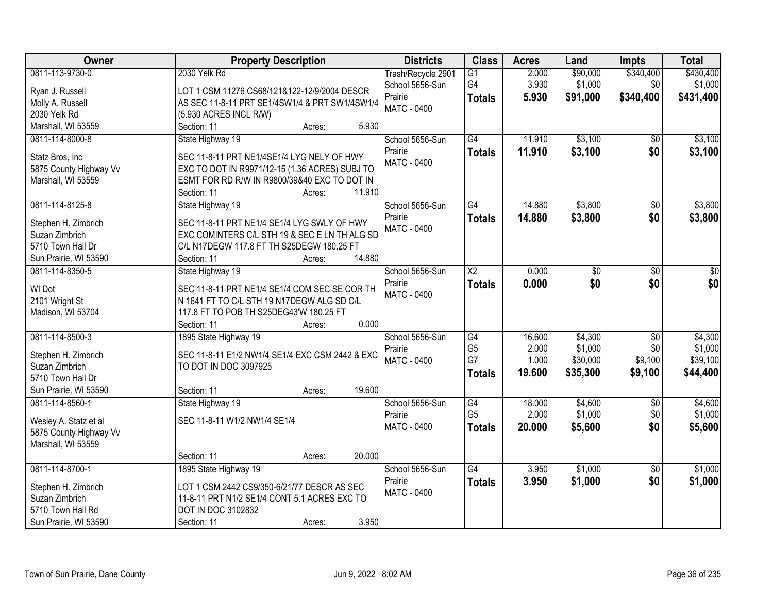| Owner                                                                                                  | <b>Property Description</b>                                                                                                                                                                         | <b>Districts</b>                                                       | <b>Class</b>                                             | <b>Acres</b>                       | Land                                       | <b>Impts</b>                                 | <b>Total</b>                               |
|--------------------------------------------------------------------------------------------------------|-----------------------------------------------------------------------------------------------------------------------------------------------------------------------------------------------------|------------------------------------------------------------------------|----------------------------------------------------------|------------------------------------|--------------------------------------------|----------------------------------------------|--------------------------------------------|
| 0811-113-9730-0<br>Ryan J. Russell<br>Molly A. Russell                                                 | 2030 Yelk Rd<br>LOT 1 CSM 11276 CS68/121&122-12/9/2004 DESCR<br>AS SEC 11-8-11 PRT SE1/4SW1/4 & PRT SW1/4SW1/4                                                                                      | Trash/Recycle 2901<br>School 5656-Sun<br>Prairie<br><b>MATC - 0400</b> | $\overline{G1}$<br>G4<br><b>Totals</b>                   | 2.000<br>3.930<br>5.930            | \$90,000<br>\$1,000<br>\$91,000            | \$340,400<br>\$0<br>\$340,400                | \$430,400<br>\$1,000<br>\$431,400          |
| 2030 Yelk Rd<br>Marshall, WI 53559                                                                     | (5.930 ACRES INCL R/W)<br>5.930<br>Section: 11<br>Acres:                                                                                                                                            |                                                                        |                                                          |                                    |                                            |                                              |                                            |
| 0811-114-8000-8<br>Statz Bros, Inc<br>5875 County Highway Vv<br>Marshall, WI 53559                     | State Highway 19<br>SEC 11-8-11 PRT NE1/4SE1/4 LYG NELY OF HWY<br>EXC TO DOT IN R9971/12-15 (1.36 ACRES) SUBJ TO<br>ESMT FOR RD R/W IN R9800/39&40 EXC TO DOT IN<br>11.910<br>Section: 11<br>Acres: | School 5656-Sun<br>Prairie<br><b>MATC - 0400</b>                       | G4<br><b>Totals</b>                                      | 11.910<br>11.910                   | \$3,100<br>\$3,100                         | \$0<br>\$0                                   | \$3,100<br>\$3,100                         |
| 0811-114-8125-8<br>Stephen H. Zimbrich<br>Suzan Zimbrich<br>5710 Town Hall Dr<br>Sun Prairie, WI 53590 | State Highway 19<br>SEC 11-8-11 PRT NE1/4 SE1/4 LYG SWLY OF HWY<br>EXC COMINTERS C/L STH 19 & SEC E LN TH ALG SD<br>C/L N17DEGW 117.8 FT TH S25DEGW 180.25 FT<br>14.880<br>Section: 11<br>Acres:    | School 5656-Sun<br>Prairie<br><b>MATC - 0400</b>                       | $\overline{G4}$<br><b>Totals</b>                         | 14.880<br>14.880                   | \$3,800<br>\$3,800                         | $\overline{50}$<br>\$0                       | \$3,800<br>\$3,800                         |
| 0811-114-8350-5<br>WI Dot<br>2101 Wright St<br>Madison, WI 53704                                       | State Highway 19<br>SEC 11-8-11 PRT NE1/4 SE1/4 COM SEC SE COR TH<br>N 1641 FT TO C/L STH 19 N17DEGW ALG SD C/L<br>117.8 FT TO POB TH S25DEG43'W 180.25 FT<br>Section: 11<br>0.000<br>Acres:        | School 5656-Sun<br>Prairie<br>MATC - 0400                              | $\overline{\text{X2}}$<br><b>Totals</b>                  | 0.000<br>0.000                     | \$0<br>\$0                                 | \$0<br>\$0                                   | \$0<br>\$0                                 |
| 0811-114-8500-3<br>Stephen H. Zimbrich<br>Suzan Zimbrich<br>5710 Town Hall Dr<br>Sun Prairie, WI 53590 | 1895 State Highway 19<br>SEC 11-8-11 E1/2 NW1/4 SE1/4 EXC CSM 2442 & EXC<br>TO DOT IN DOC 3097925<br>19.600<br>Section: 11<br>Acres:                                                                | School 5656-Sun<br>Prairie<br>MATC - 0400                              | $\overline{G4}$<br>G <sub>5</sub><br>G7<br><b>Totals</b> | 16.600<br>2.000<br>1.000<br>19.600 | \$4,300<br>\$1,000<br>\$30,000<br>\$35,300 | $\overline{50}$<br>\$0<br>\$9,100<br>\$9,100 | \$4,300<br>\$1,000<br>\$39,100<br>\$44,400 |
| 0811-114-8560-1<br>Wesley A. Statz et al<br>5875 County Highway Vv<br>Marshall, WI 53559               | State Highway 19<br>SEC 11-8-11 W1/2 NW1/4 SE1/4<br>20.000<br>Section: 11<br>Acres:                                                                                                                 | School 5656-Sun<br>Prairie<br>MATC - 0400                              | $\overline{G4}$<br>G <sub>5</sub><br><b>Totals</b>       | 18.000<br>2.000<br>20.000          | \$4,600<br>\$1,000<br>\$5,600              | $\overline{50}$<br>\$0<br>\$0                | \$4,600<br>\$1,000<br>\$5,600              |
| 0811-114-8700-1<br>Stephen H. Zimbrich<br>Suzan Zimbrich<br>5710 Town Hall Rd<br>Sun Prairie, WI 53590 | 1895 State Highway 19<br>LOT 1 CSM 2442 CS9/350-6/21/77 DESCR AS SEC<br>11-8-11 PRT N1/2 SE1/4 CONT 5.1 ACRES EXC TO<br>DOT IN DOC 3102832<br>3.950<br>Section: 11<br>Acres:                        | School 5656-Sun<br>Prairie<br>MATC - 0400                              | $\overline{G4}$<br><b>Totals</b>                         | 3.950<br>3.950                     | \$1,000<br>\$1,000                         | $\overline{50}$<br>\$0                       | \$1,000<br>\$1,000                         |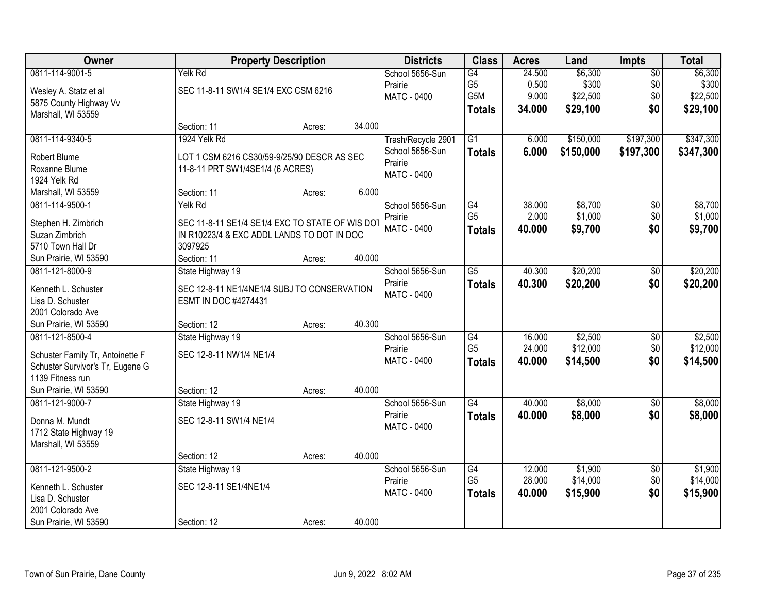| 0811-114-9001-5<br>\$6,300<br>$\overline{50}$<br>\$6,300<br>Yelk Rd<br>School 5656-Sun<br>G4<br>24.500<br>G <sub>5</sub><br>\$300<br>\$0<br>\$300<br>Prairie<br>0.500<br>SEC 11-8-11 SW1/4 SE1/4 EXC CSM 6216<br>Wesley A. Statz et al<br>G5M<br>9.000<br>\$22,500<br>\$0<br>\$22,500<br><b>MATC - 0400</b><br>5875 County Highway Vv<br>\$0<br>34.000<br>\$29,100<br>\$29,100<br><b>Totals</b><br>Marshall, WI 53559<br>34.000<br>Section: 11<br>Acres:<br>\$347,300<br>0811-114-9340-5<br>1924 Yelk Rd<br>$\overline{G1}$<br>\$150,000<br>\$197,300<br>Trash/Recycle 2901<br>6.000<br>6.000<br>\$150,000<br>\$197,300<br>School 5656-Sun<br>\$347,300<br><b>Totals</b><br>Robert Blume<br>LOT 1 CSM 6216 CS30/59-9/25/90 DESCR AS SEC<br>Prairie<br>Roxanne Blume<br>11-8-11 PRT SW1/4SE1/4 (6 ACRES)<br>MATC - 0400<br>1924 Yelk Rd<br>6.000<br>Marshall, WI 53559<br>Section: 11<br>Acres:<br>\$8,700<br>0811-114-9500-1<br>Yelk Rd<br>School 5656-Sun<br>G4<br>38.000<br>$\overline{50}$<br>\$8,700<br>G <sub>5</sub><br>\$0<br>2.000<br>\$1,000<br>\$1,000<br>Prairie<br>SEC 11-8-11 SE1/4 SE1/4 EXC TO STATE OF WIS DOT<br>Stephen H. Zimbrich<br>MATC - 0400<br>40.000<br>\$9,700<br>\$0<br>\$9,700<br><b>Totals</b><br>Suzan Zimbrich<br>IN R10223/4 & EXC ADDL LANDS TO DOT IN DOC<br>3097925<br>5710 Town Hall Dr<br>40.000<br>Section: 11<br>Sun Prairie, WI 53590<br>Acres:<br>\$20,200<br>State Highway 19<br>School 5656-Sun<br>$\overline{G5}$<br>40.300<br>\$20,200<br>0811-121-8000-9<br>\$0<br>Prairie<br>\$0<br>40.300<br>\$20,200<br>\$20,200<br><b>Totals</b><br>Kenneth L. Schuster<br>SEC 12-8-11 NE1/4NE1/4 SUBJ TO CONSERVATION<br><b>MATC - 0400</b><br>Lisa D. Schuster<br>ESMT IN DOC #4274431<br>2001 Colorado Ave<br>40.300<br>Sun Prairie, WI 53590<br>Section: 12<br>Acres:<br>\$2,500<br>\$2,500<br>0811-121-8500-4<br>State Highway 19<br>$\overline{G4}$<br>16.000<br>$\overline{50}$<br>School 5656-Sun<br>G <sub>5</sub><br>\$12,000<br>24.000<br>\$0<br>Prairie<br>SEC 12-8-11 NW1/4 NE1/4<br>Schuster Family Tr, Antoinette F<br>\$0<br>40.000<br>\$14,500<br>\$14,500<br>MATC - 0400<br><b>Totals</b><br>Schuster Survivor's Tr, Eugene G<br>1139 Fitness run | Owner                 | <b>Property Description</b> |        |        | <b>Districts</b> | <b>Class</b> | <b>Acres</b> | Land | Impts | <b>Total</b> |
|--------------------------------------------------------------------------------------------------------------------------------------------------------------------------------------------------------------------------------------------------------------------------------------------------------------------------------------------------------------------------------------------------------------------------------------------------------------------------------------------------------------------------------------------------------------------------------------------------------------------------------------------------------------------------------------------------------------------------------------------------------------------------------------------------------------------------------------------------------------------------------------------------------------------------------------------------------------------------------------------------------------------------------------------------------------------------------------------------------------------------------------------------------------------------------------------------------------------------------------------------------------------------------------------------------------------------------------------------------------------------------------------------------------------------------------------------------------------------------------------------------------------------------------------------------------------------------------------------------------------------------------------------------------------------------------------------------------------------------------------------------------------------------------------------------------------------------------------------------------------------------------------------------------------------------------------------------------------------------------------------------------------------------------------------------------------------------------------------------------------------------------------------------------------------------------------------------|-----------------------|-----------------------------|--------|--------|------------------|--------------|--------------|------|-------|--------------|
|                                                                                                                                                                                                                                                                                                                                                                                                                                                                                                                                                                                                                                                                                                                                                                                                                                                                                                                                                                                                                                                                                                                                                                                                                                                                                                                                                                                                                                                                                                                                                                                                                                                                                                                                                                                                                                                                                                                                                                                                                                                                                                                                                                                                        |                       |                             |        |        |                  |              |              |      |       |              |
|                                                                                                                                                                                                                                                                                                                                                                                                                                                                                                                                                                                                                                                                                                                                                                                                                                                                                                                                                                                                                                                                                                                                                                                                                                                                                                                                                                                                                                                                                                                                                                                                                                                                                                                                                                                                                                                                                                                                                                                                                                                                                                                                                                                                        |                       |                             |        |        |                  |              |              |      |       |              |
|                                                                                                                                                                                                                                                                                                                                                                                                                                                                                                                                                                                                                                                                                                                                                                                                                                                                                                                                                                                                                                                                                                                                                                                                                                                                                                                                                                                                                                                                                                                                                                                                                                                                                                                                                                                                                                                                                                                                                                                                                                                                                                                                                                                                        |                       |                             |        |        |                  |              |              |      |       |              |
|                                                                                                                                                                                                                                                                                                                                                                                                                                                                                                                                                                                                                                                                                                                                                                                                                                                                                                                                                                                                                                                                                                                                                                                                                                                                                                                                                                                                                                                                                                                                                                                                                                                                                                                                                                                                                                                                                                                                                                                                                                                                                                                                                                                                        |                       |                             |        |        |                  |              |              |      |       |              |
|                                                                                                                                                                                                                                                                                                                                                                                                                                                                                                                                                                                                                                                                                                                                                                                                                                                                                                                                                                                                                                                                                                                                                                                                                                                                                                                                                                                                                                                                                                                                                                                                                                                                                                                                                                                                                                                                                                                                                                                                                                                                                                                                                                                                        |                       |                             |        |        |                  |              |              |      |       |              |
|                                                                                                                                                                                                                                                                                                                                                                                                                                                                                                                                                                                                                                                                                                                                                                                                                                                                                                                                                                                                                                                                                                                                                                                                                                                                                                                                                                                                                                                                                                                                                                                                                                                                                                                                                                                                                                                                                                                                                                                                                                                                                                                                                                                                        |                       |                             |        |        |                  |              |              |      |       |              |
|                                                                                                                                                                                                                                                                                                                                                                                                                                                                                                                                                                                                                                                                                                                                                                                                                                                                                                                                                                                                                                                                                                                                                                                                                                                                                                                                                                                                                                                                                                                                                                                                                                                                                                                                                                                                                                                                                                                                                                                                                                                                                                                                                                                                        |                       |                             |        |        |                  |              |              |      |       |              |
|                                                                                                                                                                                                                                                                                                                                                                                                                                                                                                                                                                                                                                                                                                                                                                                                                                                                                                                                                                                                                                                                                                                                                                                                                                                                                                                                                                                                                                                                                                                                                                                                                                                                                                                                                                                                                                                                                                                                                                                                                                                                                                                                                                                                        |                       |                             |        |        |                  |              |              |      |       |              |
|                                                                                                                                                                                                                                                                                                                                                                                                                                                                                                                                                                                                                                                                                                                                                                                                                                                                                                                                                                                                                                                                                                                                                                                                                                                                                                                                                                                                                                                                                                                                                                                                                                                                                                                                                                                                                                                                                                                                                                                                                                                                                                                                                                                                        |                       |                             |        |        |                  |              |              |      |       |              |
|                                                                                                                                                                                                                                                                                                                                                                                                                                                                                                                                                                                                                                                                                                                                                                                                                                                                                                                                                                                                                                                                                                                                                                                                                                                                                                                                                                                                                                                                                                                                                                                                                                                                                                                                                                                                                                                                                                                                                                                                                                                                                                                                                                                                        |                       |                             |        |        |                  |              |              |      |       |              |
|                                                                                                                                                                                                                                                                                                                                                                                                                                                                                                                                                                                                                                                                                                                                                                                                                                                                                                                                                                                                                                                                                                                                                                                                                                                                                                                                                                                                                                                                                                                                                                                                                                                                                                                                                                                                                                                                                                                                                                                                                                                                                                                                                                                                        |                       |                             |        |        |                  |              |              |      |       |              |
|                                                                                                                                                                                                                                                                                                                                                                                                                                                                                                                                                                                                                                                                                                                                                                                                                                                                                                                                                                                                                                                                                                                                                                                                                                                                                                                                                                                                                                                                                                                                                                                                                                                                                                                                                                                                                                                                                                                                                                                                                                                                                                                                                                                                        |                       |                             |        |        |                  |              |              |      |       |              |
|                                                                                                                                                                                                                                                                                                                                                                                                                                                                                                                                                                                                                                                                                                                                                                                                                                                                                                                                                                                                                                                                                                                                                                                                                                                                                                                                                                                                                                                                                                                                                                                                                                                                                                                                                                                                                                                                                                                                                                                                                                                                                                                                                                                                        |                       |                             |        |        |                  |              |              |      |       |              |
|                                                                                                                                                                                                                                                                                                                                                                                                                                                                                                                                                                                                                                                                                                                                                                                                                                                                                                                                                                                                                                                                                                                                                                                                                                                                                                                                                                                                                                                                                                                                                                                                                                                                                                                                                                                                                                                                                                                                                                                                                                                                                                                                                                                                        |                       |                             |        |        |                  |              |              |      |       |              |
|                                                                                                                                                                                                                                                                                                                                                                                                                                                                                                                                                                                                                                                                                                                                                                                                                                                                                                                                                                                                                                                                                                                                                                                                                                                                                                                                                                                                                                                                                                                                                                                                                                                                                                                                                                                                                                                                                                                                                                                                                                                                                                                                                                                                        |                       |                             |        |        |                  |              |              |      |       |              |
|                                                                                                                                                                                                                                                                                                                                                                                                                                                                                                                                                                                                                                                                                                                                                                                                                                                                                                                                                                                                                                                                                                                                                                                                                                                                                                                                                                                                                                                                                                                                                                                                                                                                                                                                                                                                                                                                                                                                                                                                                                                                                                                                                                                                        |                       |                             |        |        |                  |              |              |      |       |              |
|                                                                                                                                                                                                                                                                                                                                                                                                                                                                                                                                                                                                                                                                                                                                                                                                                                                                                                                                                                                                                                                                                                                                                                                                                                                                                                                                                                                                                                                                                                                                                                                                                                                                                                                                                                                                                                                                                                                                                                                                                                                                                                                                                                                                        |                       |                             |        |        |                  |              |              |      |       |              |
|                                                                                                                                                                                                                                                                                                                                                                                                                                                                                                                                                                                                                                                                                                                                                                                                                                                                                                                                                                                                                                                                                                                                                                                                                                                                                                                                                                                                                                                                                                                                                                                                                                                                                                                                                                                                                                                                                                                                                                                                                                                                                                                                                                                                        |                       |                             |        |        |                  |              |              |      |       |              |
|                                                                                                                                                                                                                                                                                                                                                                                                                                                                                                                                                                                                                                                                                                                                                                                                                                                                                                                                                                                                                                                                                                                                                                                                                                                                                                                                                                                                                                                                                                                                                                                                                                                                                                                                                                                                                                                                                                                                                                                                                                                                                                                                                                                                        |                       |                             |        |        |                  |              |              |      |       |              |
| \$12,000                                                                                                                                                                                                                                                                                                                                                                                                                                                                                                                                                                                                                                                                                                                                                                                                                                                                                                                                                                                                                                                                                                                                                                                                                                                                                                                                                                                                                                                                                                                                                                                                                                                                                                                                                                                                                                                                                                                                                                                                                                                                                                                                                                                               |                       |                             |        |        |                  |              |              |      |       |              |
|                                                                                                                                                                                                                                                                                                                                                                                                                                                                                                                                                                                                                                                                                                                                                                                                                                                                                                                                                                                                                                                                                                                                                                                                                                                                                                                                                                                                                                                                                                                                                                                                                                                                                                                                                                                                                                                                                                                                                                                                                                                                                                                                                                                                        |                       |                             |        |        |                  |              |              |      |       |              |
|                                                                                                                                                                                                                                                                                                                                                                                                                                                                                                                                                                                                                                                                                                                                                                                                                                                                                                                                                                                                                                                                                                                                                                                                                                                                                                                                                                                                                                                                                                                                                                                                                                                                                                                                                                                                                                                                                                                                                                                                                                                                                                                                                                                                        |                       |                             |        |        |                  |              |              |      |       |              |
|                                                                                                                                                                                                                                                                                                                                                                                                                                                                                                                                                                                                                                                                                                                                                                                                                                                                                                                                                                                                                                                                                                                                                                                                                                                                                                                                                                                                                                                                                                                                                                                                                                                                                                                                                                                                                                                                                                                                                                                                                                                                                                                                                                                                        |                       |                             |        |        |                  |              |              |      |       |              |
|                                                                                                                                                                                                                                                                                                                                                                                                                                                                                                                                                                                                                                                                                                                                                                                                                                                                                                                                                                                                                                                                                                                                                                                                                                                                                                                                                                                                                                                                                                                                                                                                                                                                                                                                                                                                                                                                                                                                                                                                                                                                                                                                                                                                        |                       |                             |        |        |                  |              |              |      |       |              |
|                                                                                                                                                                                                                                                                                                                                                                                                                                                                                                                                                                                                                                                                                                                                                                                                                                                                                                                                                                                                                                                                                                                                                                                                                                                                                                                                                                                                                                                                                                                                                                                                                                                                                                                                                                                                                                                                                                                                                                                                                                                                                                                                                                                                        |                       |                             |        |        |                  |              |              |      |       |              |
|                                                                                                                                                                                                                                                                                                                                                                                                                                                                                                                                                                                                                                                                                                                                                                                                                                                                                                                                                                                                                                                                                                                                                                                                                                                                                                                                                                                                                                                                                                                                                                                                                                                                                                                                                                                                                                                                                                                                                                                                                                                                                                                                                                                                        | Sun Prairie, WI 53590 | Section: 12                 | Acres: | 40.000 |                  |              |              |      |       |              |
| $\overline{G4}$<br>\$8,000<br>School 5656-Sun<br>\$8,000<br>0811-121-9000-7<br>State Highway 19<br>40.000<br>$\sqrt{6}$                                                                                                                                                                                                                                                                                                                                                                                                                                                                                                                                                                                                                                                                                                                                                                                                                                                                                                                                                                                                                                                                                                                                                                                                                                                                                                                                                                                                                                                                                                                                                                                                                                                                                                                                                                                                                                                                                                                                                                                                                                                                                |                       |                             |        |        |                  |              |              |      |       |              |
| \$0<br>Prairie<br>40.000<br>\$8,000<br>\$8,000<br><b>Totals</b><br>SEC 12-8-11 SW1/4 NE1/4<br>Donna M. Mundt                                                                                                                                                                                                                                                                                                                                                                                                                                                                                                                                                                                                                                                                                                                                                                                                                                                                                                                                                                                                                                                                                                                                                                                                                                                                                                                                                                                                                                                                                                                                                                                                                                                                                                                                                                                                                                                                                                                                                                                                                                                                                           |                       |                             |        |        |                  |              |              |      |       |              |
| MATC - 0400<br>1712 State Highway 19                                                                                                                                                                                                                                                                                                                                                                                                                                                                                                                                                                                                                                                                                                                                                                                                                                                                                                                                                                                                                                                                                                                                                                                                                                                                                                                                                                                                                                                                                                                                                                                                                                                                                                                                                                                                                                                                                                                                                                                                                                                                                                                                                                   |                       |                             |        |        |                  |              |              |      |       |              |
| Marshall, WI 53559                                                                                                                                                                                                                                                                                                                                                                                                                                                                                                                                                                                                                                                                                                                                                                                                                                                                                                                                                                                                                                                                                                                                                                                                                                                                                                                                                                                                                                                                                                                                                                                                                                                                                                                                                                                                                                                                                                                                                                                                                                                                                                                                                                                     |                       |                             |        |        |                  |              |              |      |       |              |
| 40.000<br>Section: 12<br>Acres:                                                                                                                                                                                                                                                                                                                                                                                                                                                                                                                                                                                                                                                                                                                                                                                                                                                                                                                                                                                                                                                                                                                                                                                                                                                                                                                                                                                                                                                                                                                                                                                                                                                                                                                                                                                                                                                                                                                                                                                                                                                                                                                                                                        |                       |                             |        |        |                  |              |              |      |       |              |
| \$1,900<br>0811-121-9500-2<br>School 5656-Sun<br>12.000<br>\$1,900<br>State Highway 19<br>G4<br>$\overline{50}$                                                                                                                                                                                                                                                                                                                                                                                                                                                                                                                                                                                                                                                                                                                                                                                                                                                                                                                                                                                                                                                                                                                                                                                                                                                                                                                                                                                                                                                                                                                                                                                                                                                                                                                                                                                                                                                                                                                                                                                                                                                                                        |                       |                             |        |        |                  |              |              |      |       |              |
| G <sub>5</sub><br>28.000<br>\$14,000<br>\$0<br>\$14,000<br>Prairie<br>SEC 12-8-11 SE1/4NE1/4<br>Kenneth L. Schuster                                                                                                                                                                                                                                                                                                                                                                                                                                                                                                                                                                                                                                                                                                                                                                                                                                                                                                                                                                                                                                                                                                                                                                                                                                                                                                                                                                                                                                                                                                                                                                                                                                                                                                                                                                                                                                                                                                                                                                                                                                                                                    |                       |                             |        |        |                  |              |              |      |       |              |
| <b>MATC - 0400</b><br>\$15,900<br>\$0<br>\$15,900<br>40.000<br><b>Totals</b><br>Lisa D. Schuster                                                                                                                                                                                                                                                                                                                                                                                                                                                                                                                                                                                                                                                                                                                                                                                                                                                                                                                                                                                                                                                                                                                                                                                                                                                                                                                                                                                                                                                                                                                                                                                                                                                                                                                                                                                                                                                                                                                                                                                                                                                                                                       |                       |                             |        |        |                  |              |              |      |       |              |
| 2001 Colorado Ave                                                                                                                                                                                                                                                                                                                                                                                                                                                                                                                                                                                                                                                                                                                                                                                                                                                                                                                                                                                                                                                                                                                                                                                                                                                                                                                                                                                                                                                                                                                                                                                                                                                                                                                                                                                                                                                                                                                                                                                                                                                                                                                                                                                      |                       |                             |        |        |                  |              |              |      |       |              |
| 40.000<br>Sun Prairie, WI 53590<br>Section: 12<br>Acres:                                                                                                                                                                                                                                                                                                                                                                                                                                                                                                                                                                                                                                                                                                                                                                                                                                                                                                                                                                                                                                                                                                                                                                                                                                                                                                                                                                                                                                                                                                                                                                                                                                                                                                                                                                                                                                                                                                                                                                                                                                                                                                                                               |                       |                             |        |        |                  |              |              |      |       |              |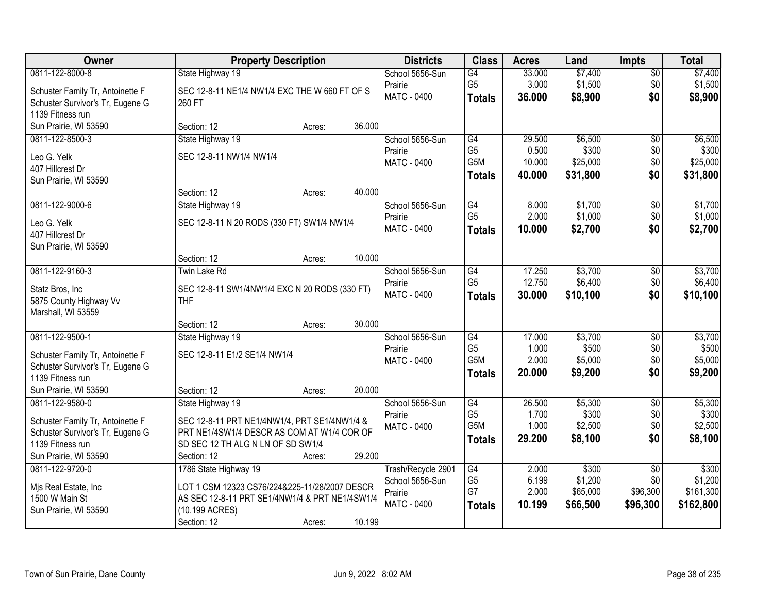| Owner                            | <b>Property Description</b>                    | <b>Districts</b>   | <b>Class</b>     | <b>Acres</b> | Land     | <b>Impts</b>    | <b>Total</b> |
|----------------------------------|------------------------------------------------|--------------------|------------------|--------------|----------|-----------------|--------------|
| 0811-122-8000-8                  | State Highway 19                               | School 5656-Sun    | G4               | 33.000       | \$7,400  | $\overline{50}$ | \$7,400      |
| Schuster Family Tr, Antoinette F | SEC 12-8-11 NE1/4 NW1/4 EXC THE W 660 FT OF S  | Prairie            | G <sub>5</sub>   | 3.000        | \$1,500  | \$0             | \$1,500      |
| Schuster Survivor's Tr, Eugene G | 260 FT                                         | <b>MATC - 0400</b> | <b>Totals</b>    | 36.000       | \$8,900  | \$0             | \$8,900      |
| 1139 Fitness run                 |                                                |                    |                  |              |          |                 |              |
| Sun Prairie, WI 53590            | Section: 12<br>36.000<br>Acres:                |                    |                  |              |          |                 |              |
| 0811-122-8500-3                  | State Highway 19                               | School 5656-Sun    | G4               | 29.500       | \$6,500  | $\overline{50}$ | \$6,500      |
| Leo G. Yelk                      | SEC 12-8-11 NW1/4 NW1/4                        | Prairie            | G <sub>5</sub>   | 0.500        | \$300    | \$0             | \$300        |
| 407 Hillcrest Dr                 |                                                | MATC - 0400        | G5M              | 10.000       | \$25,000 | \$0             | \$25,000     |
| Sun Prairie, WI 53590            |                                                |                    | <b>Totals</b>    | 40.000       | \$31,800 | \$0             | \$31,800     |
|                                  | 40.000<br>Section: 12<br>Acres:                |                    |                  |              |          |                 |              |
| 0811-122-9000-6                  | State Highway 19                               | School 5656-Sun    | $\overline{G4}$  | 8.000        | \$1,700  | \$0             | \$1,700      |
| Leo G. Yelk                      | SEC 12-8-11 N 20 RODS (330 FT) SW1/4 NW1/4     | Prairie            | G <sub>5</sub>   | 2.000        | \$1,000  | \$0             | \$1,000      |
| 407 Hillcrest Dr                 |                                                | <b>MATC - 0400</b> | <b>Totals</b>    | 10.000       | \$2,700  | \$0             | \$2,700      |
| Sun Prairie, WI 53590            |                                                |                    |                  |              |          |                 |              |
|                                  | 10.000<br>Section: 12<br>Acres:                |                    |                  |              |          |                 |              |
| 0811-122-9160-3                  | <b>Twin Lake Rd</b>                            | School 5656-Sun    | G4               | 17.250       | \$3,700  | $\sqrt[6]{3}$   | \$3,700      |
| Statz Bros, Inc                  | SEC 12-8-11 SW1/4NW1/4 EXC N 20 RODS (330 FT)  | Prairie            | G <sub>5</sub>   | 12.750       | \$6,400  | \$0             | \$6,400      |
| 5875 County Highway Vv           | <b>THF</b>                                     | MATC - 0400        | <b>Totals</b>    | 30.000       | \$10,100 | \$0             | \$10,100     |
| Marshall, WI 53559               |                                                |                    |                  |              |          |                 |              |
|                                  | 30.000<br>Section: 12<br>Acres:                |                    |                  |              |          |                 |              |
| 0811-122-9500-1                  | State Highway 19                               | School 5656-Sun    | $\overline{G4}$  | 17.000       | \$3,700  | $\overline{50}$ | \$3,700      |
| Schuster Family Tr, Antoinette F | SEC 12-8-11 E1/2 SE1/4 NW1/4                   | Prairie            | G <sub>5</sub>   | 1.000        | \$500    | \$0             | \$500        |
| Schuster Survivor's Tr, Eugene G |                                                | MATC - 0400        | G <sub>5</sub> M | 2.000        | \$5,000  | \$0             | \$5,000      |
| 1139 Fitness run                 |                                                |                    | <b>Totals</b>    | 20.000       | \$9,200  | \$0             | \$9,200      |
| Sun Prairie, WI 53590            | 20.000<br>Section: 12<br>Acres:                |                    |                  |              |          |                 |              |
| 0811-122-9580-0                  | State Highway 19                               | School 5656-Sun    | G4               | 26.500       | \$5,300  | $\sqrt{6}$      | \$5,300      |
| Schuster Family Tr, Antoinette F | SEC 12-8-11 PRT NE1/4NW1/4, PRT SE1/4NW1/4 &   | Prairie            | G <sub>5</sub>   | 1.700        | \$300    | \$0             | \$300        |
| Schuster Survivor's Tr, Eugene G | PRT NE1/4SW1/4 DESCR AS COM AT W1/4 COR OF     | MATC - 0400        | G5M              | 1.000        | \$2,500  | \$0             | \$2,500      |
| 1139 Fitness run                 | SD SEC 12 TH ALG N LN OF SD SW1/4              |                    | <b>Totals</b>    | 29.200       | \$8,100  | \$0             | \$8,100      |
| Sun Prairie, WI 53590            | 29.200<br>Section: 12<br>Acres:                |                    |                  |              |          |                 |              |
| 0811-122-9720-0                  | 1786 State Highway 19                          | Trash/Recycle 2901 | G4               | 2.000        | \$300    | $\overline{50}$ | \$300        |
| Mjs Real Estate, Inc             | LOT 1 CSM 12323 CS76/224&225-11/28/2007 DESCR  | School 5656-Sun    | G <sub>5</sub>   | 6.199        | \$1,200  | \$0             | \$1,200      |
| 1500 W Main St                   | AS SEC 12-8-11 PRT SE1/4NW1/4 & PRT NE1/4SW1/4 | Prairie            | G7               | 2.000        | \$65,000 | \$96,300        | \$161,300    |
| Sun Prairie, WI 53590            | (10.199 ACRES)                                 | MATC - 0400        | <b>Totals</b>    | 10.199       | \$66,500 | \$96,300        | \$162,800    |
|                                  | 10.199<br>Section: 12<br>Acres:                |                    |                  |              |          |                 |              |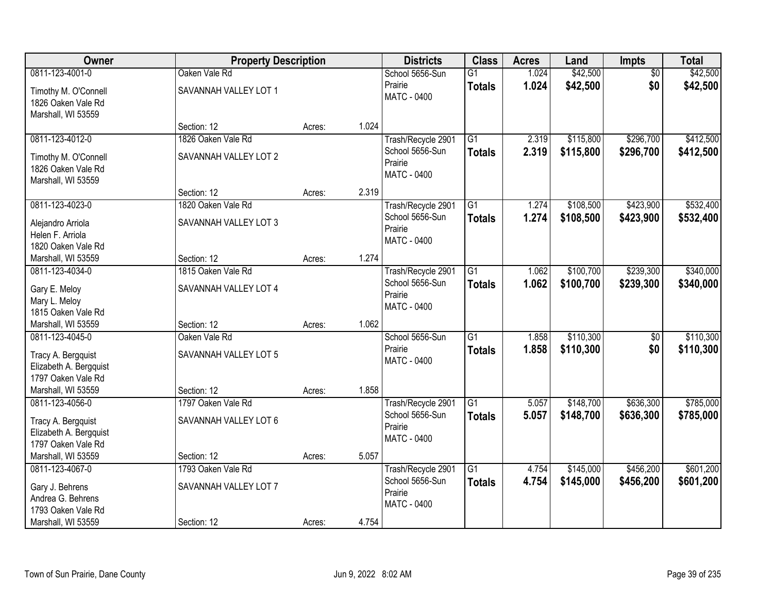| Owner                                                                         | <b>Property Description</b>                 |        |       | <b>Districts</b>                                                | <b>Class</b>                     | <b>Acres</b>   | Land                   | <b>Impts</b>           | <b>Total</b>           |
|-------------------------------------------------------------------------------|---------------------------------------------|--------|-------|-----------------------------------------------------------------|----------------------------------|----------------|------------------------|------------------------|------------------------|
| 0811-123-4001-0                                                               | Oaken Vale Rd                               |        |       | School 5656-Sun                                                 | $\overline{G1}$                  | 1.024          | \$42,500               | $\overline{60}$        | \$42,500               |
| Timothy M. O'Connell<br>1826 Oaken Vale Rd<br>Marshall, WI 53559              | SAVANNAH VALLEY LOT 1                       |        |       | Prairie<br>MATC - 0400                                          | <b>Totals</b>                    | 1.024          | \$42,500               | \$0                    | \$42,500               |
|                                                                               | Section: 12                                 | Acres: | 1.024 |                                                                 |                                  |                |                        |                        |                        |
| 0811-123-4012-0                                                               | 1826 Oaken Vale Rd                          |        |       | Trash/Recycle 2901                                              | $\overline{G1}$                  | 2.319          | \$115,800              | \$296,700              | \$412,500              |
| Timothy M. O'Connell<br>1826 Oaken Vale Rd<br>Marshall, WI 53559              | SAVANNAH VALLEY LOT 2                       |        |       | School 5656-Sun<br>Prairie<br>MATC - 0400                       | Totals                           | 2.319          | \$115,800              | \$296,700              | \$412,500              |
|                                                                               | Section: 12                                 | Acres: | 2.319 |                                                                 |                                  |                |                        |                        |                        |
| 0811-123-4023-0                                                               | 1820 Oaken Vale Rd                          |        |       | Trash/Recycle 2901                                              | $\overline{G1}$                  | 1.274          | \$108,500              | \$423,900              | \$532,400              |
| Alejandro Arriola<br>Helen F. Arriola<br>1820 Oaken Vale Rd                   | SAVANNAH VALLEY LOT 3                       |        |       | School 5656-Sun<br>Prairie<br>MATC - 0400                       | <b>Totals</b>                    | 1.274          | \$108,500              | \$423,900              | \$532,400              |
| Marshall, WI 53559                                                            | Section: 12                                 | Acres: | 1.274 |                                                                 |                                  |                |                        |                        |                        |
| 0811-123-4034-0                                                               | 1815 Oaken Vale Rd                          |        |       | Trash/Recycle 2901                                              | $\overline{G1}$                  | 1.062          | \$100,700              | \$239,300              | \$340,000              |
| Gary E. Meloy<br>Mary L. Meloy<br>1815 Oaken Vale Rd                          | SAVANNAH VALLEY LOT 4                       |        |       | School 5656-Sun<br>Prairie<br>MATC - 0400                       | <b>Totals</b>                    | 1.062          | \$100,700              | \$239,300              | \$340,000              |
| Marshall, WI 53559                                                            | Section: 12                                 | Acres: | 1.062 |                                                                 |                                  |                |                        |                        |                        |
| 0811-123-4045-0                                                               | Oaken Vale Rd                               |        |       | School 5656-Sun<br>Prairie                                      | $\overline{G1}$<br><b>Totals</b> | 1.858<br>1.858 | \$110,300<br>\$110,300 | \$0<br>\$0             | \$110,300<br>\$110,300 |
| Tracy A. Bergquist<br>Elizabeth A. Bergquist<br>1797 Oaken Vale Rd            | SAVANNAH VALLEY LOT 5                       |        |       | MATC - 0400                                                     |                                  |                |                        |                        |                        |
| Marshall, WI 53559                                                            | Section: 12                                 | Acres: | 1.858 |                                                                 |                                  |                |                        |                        |                        |
| 0811-123-4056-0                                                               | 1797 Oaken Vale Rd                          |        |       | Trash/Recycle 2901                                              | $\overline{G1}$                  | 5.057          | \$148,700              | \$636,300              | \$785,000              |
| Tracy A. Bergquist<br>Elizabeth A. Bergquist<br>1797 Oaken Vale Rd            | SAVANNAH VALLEY LOT 6                       |        |       | School 5656-Sun<br>Prairie<br><b>MATC - 0400</b>                | <b>Totals</b>                    | 5.057          | \$148,700              | \$636,300              | \$785,000              |
| Marshall, WI 53559                                                            | Section: 12                                 | Acres: | 5.057 |                                                                 |                                  |                |                        |                        |                        |
| 0811-123-4067-0<br>Gary J. Behrens<br>Andrea G. Behrens<br>1793 Oaken Vale Rd | 1793 Oaken Vale Rd<br>SAVANNAH VALLEY LOT 7 |        |       | Trash/Recycle 2901<br>School 5656-Sun<br>Prairie<br>MATC - 0400 | $\overline{G1}$<br><b>Totals</b> | 4.754<br>4.754 | \$145,000<br>\$145,000 | \$456,200<br>\$456,200 | \$601,200<br>\$601,200 |
| Marshall, WI 53559                                                            | Section: 12                                 | Acres: | 4.754 |                                                                 |                                  |                |                        |                        |                        |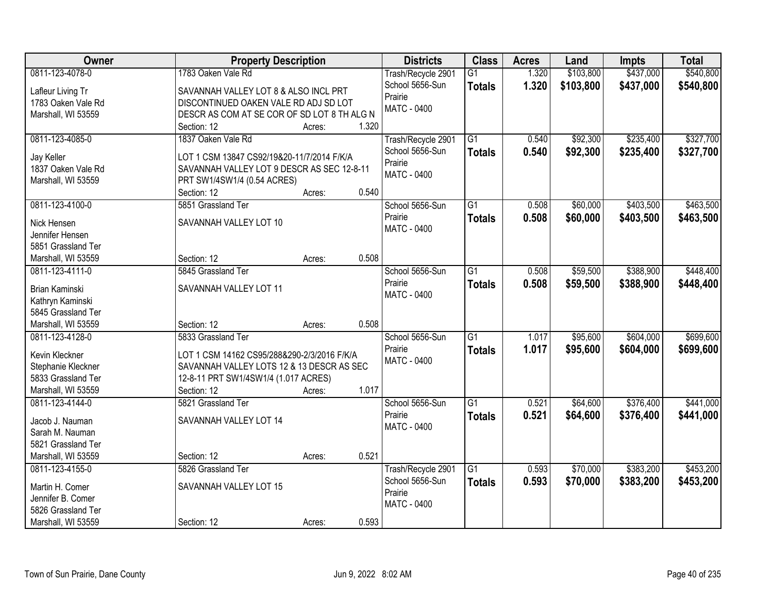| Owner                                 | <b>Property Description</b>                 |       | <b>Districts</b>           | <b>Class</b>    | <b>Acres</b> | Land      | <b>Impts</b> | <b>Total</b> |
|---------------------------------------|---------------------------------------------|-------|----------------------------|-----------------|--------------|-----------|--------------|--------------|
| 0811-123-4078-0                       | 1783 Oaken Vale Rd                          |       | Trash/Recycle 2901         | $\overline{G1}$ | 1.320        | \$103,800 | \$437,000    | \$540,800    |
| Lafleur Living Tr                     | SAVANNAH VALLEY LOT 8 & ALSO INCL PRT       |       | School 5656-Sun            | <b>Totals</b>   | 1.320        | \$103,800 | \$437,000    | \$540,800    |
| 1783 Oaken Vale Rd                    | DISCONTINUED OAKEN VALE RD ADJ SD LOT       |       | Prairie                    |                 |              |           |              |              |
| Marshall, WI 53559                    | DESCR AS COM AT SE COR OF SD LOT 8 TH ALG N |       | <b>MATC - 0400</b>         |                 |              |           |              |              |
|                                       | Section: 12<br>Acres:                       | 1.320 |                            |                 |              |           |              |              |
| 0811-123-4085-0                       | 1837 Oaken Vale Rd                          |       | Trash/Recycle 2901         | $\overline{G1}$ | 0.540        | \$92,300  | \$235,400    | \$327,700    |
|                                       |                                             |       | School 5656-Sun            | <b>Totals</b>   | 0.540        | \$92,300  | \$235,400    | \$327,700    |
| Jay Keller                            | LOT 1 CSM 13847 CS92/19&20-11/7/2014 F/K/A  |       | Prairie                    |                 |              |           |              |              |
| 1837 Oaken Vale Rd                    | SAVANNAH VALLEY LOT 9 DESCR AS SEC 12-8-11  |       | MATC - 0400                |                 |              |           |              |              |
| Marshall, WI 53559                    | PRT SW1/4SW1/4 (0.54 ACRES)                 |       |                            |                 |              |           |              |              |
|                                       | Section: 12<br>Acres:                       | 0.540 |                            |                 |              |           |              |              |
| 0811-123-4100-0                       | 5851 Grassland Ter                          |       | School 5656-Sun            | G1              | 0.508        | \$60,000  | \$403,500    | \$463,500    |
| Nick Hensen                           | SAVANNAH VALLEY LOT 10                      |       | Prairie                    | <b>Totals</b>   | 0.508        | \$60,000  | \$403,500    | \$463,500    |
| Jennifer Hensen                       |                                             |       | MATC - 0400                |                 |              |           |              |              |
| 5851 Grassland Ter                    |                                             |       |                            |                 |              |           |              |              |
| Marshall, WI 53559                    | Section: 12<br>Acres:                       | 0.508 |                            |                 |              |           |              |              |
| 0811-123-4111-0                       | 5845 Grassland Ter                          |       | School 5656-Sun            | $\overline{G1}$ | 0.508        | \$59,500  | \$388,900    | \$448,400    |
|                                       |                                             |       | Prairie                    | <b>Totals</b>   | 0.508        | \$59,500  | \$388,900    | \$448,400    |
| Brian Kaminski                        | SAVANNAH VALLEY LOT 11                      |       | MATC - 0400                |                 |              |           |              |              |
| Kathryn Kaminski                      |                                             |       |                            |                 |              |           |              |              |
| 5845 Grassland Ter                    |                                             |       |                            |                 |              |           |              |              |
| Marshall, WI 53559                    | Section: 12<br>Acres:                       | 0.508 |                            |                 |              |           |              |              |
| 0811-123-4128-0                       | 5833 Grassland Ter                          |       | School 5656-Sun            | $\overline{G1}$ | 1.017        | \$95,600  | \$604,000    | \$699,600    |
| Kevin Kleckner                        | LOT 1 CSM 14162 CS95/288&290-2/3/2016 F/K/A |       | Prairie                    | <b>Totals</b>   | 1.017        | \$95,600  | \$604,000    | \$699,600    |
| Stephanie Kleckner                    | SAVANNAH VALLEY LOTS 12 & 13 DESCR AS SEC   |       | <b>MATC - 0400</b>         |                 |              |           |              |              |
| 5833 Grassland Ter                    | 12-8-11 PRT SW1/4SW1/4 (1.017 ACRES)        |       |                            |                 |              |           |              |              |
| Marshall, WI 53559                    | Section: 12<br>Acres:                       | 1.017 |                            |                 |              |           |              |              |
| 0811-123-4144-0                       | 5821 Grassland Ter                          |       | School 5656-Sun            | $\overline{G1}$ | 0.521        | \$64,600  | \$376,400    | \$441,000    |
|                                       |                                             |       | Prairie                    | <b>Totals</b>   | 0.521        | \$64,600  | \$376,400    | \$441,000    |
| Jacob J. Nauman                       | SAVANNAH VALLEY LOT 14                      |       | <b>MATC - 0400</b>         |                 |              |           |              |              |
| Sarah M. Nauman                       |                                             |       |                            |                 |              |           |              |              |
| 5821 Grassland Ter                    |                                             | 0.521 |                            |                 |              |           |              |              |
| Marshall, WI 53559<br>0811-123-4155-0 | Section: 12<br>Acres:<br>5826 Grassland Ter |       |                            | $\overline{G1}$ | 0.593        | \$70,000  | \$383,200    | \$453,200    |
|                                       |                                             |       | Trash/Recycle 2901         |                 |              |           |              |              |
| Martin H. Comer                       | SAVANNAH VALLEY LOT 15                      |       | School 5656-Sun<br>Prairie | <b>Totals</b>   | 0.593        | \$70,000  | \$383,200    | \$453,200    |
| Jennifer B. Comer                     |                                             |       | MATC - 0400                |                 |              |           |              |              |
| 5826 Grassland Ter                    |                                             |       |                            |                 |              |           |              |              |
| Marshall, WI 53559                    | Section: 12<br>Acres:                       | 0.593 |                            |                 |              |           |              |              |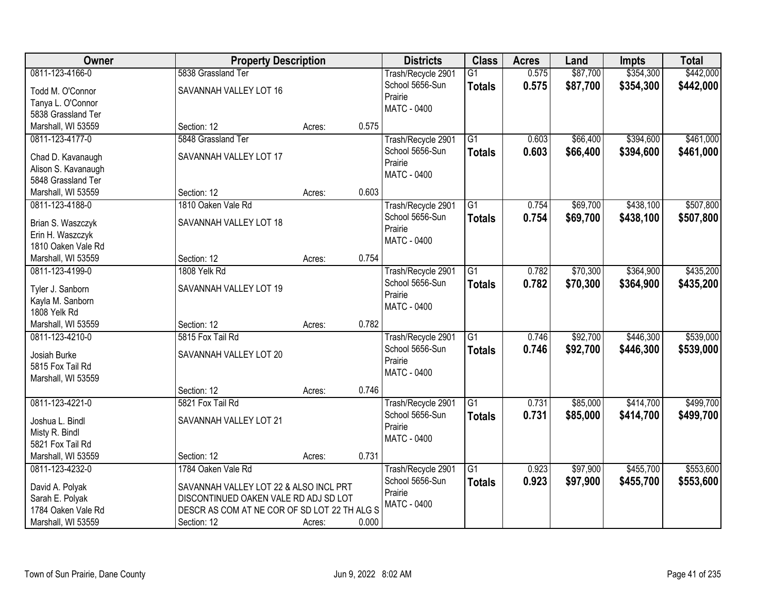| Owner                                                                                             | <b>Property Description</b>                                                                                                                                          |        |       | <b>Districts</b>                                                | <b>Class</b>                     | <b>Acres</b>   | Land                 | <b>Impts</b>           | <b>Total</b>           |
|---------------------------------------------------------------------------------------------------|----------------------------------------------------------------------------------------------------------------------------------------------------------------------|--------|-------|-----------------------------------------------------------------|----------------------------------|----------------|----------------------|------------------------|------------------------|
| 0811-123-4166-0<br>Todd M. O'Connor<br>Tanya L. O'Connor<br>5838 Grassland Ter                    | 5838 Grassland Ter<br>SAVANNAH VALLEY LOT 16                                                                                                                         |        |       | Trash/Recycle 2901<br>School 5656-Sun<br>Prairie<br>MATC - 0400 | $\overline{G1}$<br><b>Totals</b> | 0.575<br>0.575 | \$87,700<br>\$87,700 | \$354,300<br>\$354,300 | \$442,000<br>\$442,000 |
| Marshall, WI 53559                                                                                | Section: 12                                                                                                                                                          | Acres: | 0.575 |                                                                 |                                  |                |                      |                        |                        |
| 0811-123-4177-0<br>Chad D. Kavanaugh<br>Alison S. Kavanaugh<br>5848 Grassland Ter                 | 5848 Grassland Ter<br>SAVANNAH VALLEY LOT 17                                                                                                                         |        |       | Trash/Recycle 2901<br>School 5656-Sun<br>Prairie<br>MATC - 0400 | $\overline{G1}$<br><b>Totals</b> | 0.603<br>0.603 | \$66,400<br>\$66,400 | \$394,600<br>\$394,600 | \$461,000<br>\$461,000 |
| Marshall, WI 53559                                                                                | Section: 12                                                                                                                                                          | Acres: | 0.603 |                                                                 |                                  |                |                      |                        |                        |
| 0811-123-4188-0<br>Brian S. Waszczyk<br>Erin H. Waszczyk<br>1810 Oaken Vale Rd                    | 1810 Oaken Vale Rd<br>SAVANNAH VALLEY LOT 18                                                                                                                         |        |       | Trash/Recycle 2901<br>School 5656-Sun<br>Prairie<br>MATC - 0400 | G1<br><b>Totals</b>              | 0.754<br>0.754 | \$69,700<br>\$69,700 | \$438,100<br>\$438,100 | \$507,800<br>\$507,800 |
| Marshall, WI 53559                                                                                | Section: 12                                                                                                                                                          | Acres: | 0.754 |                                                                 |                                  |                |                      |                        |                        |
| 0811-123-4199-0<br>Tyler J. Sanborn<br>Kayla M. Sanborn<br>1808 Yelk Rd                           | 1808 Yelk Rd<br>SAVANNAH VALLEY LOT 19                                                                                                                               |        |       | Trash/Recycle 2901<br>School 5656-Sun<br>Prairie<br>MATC - 0400 | $\overline{G1}$<br><b>Totals</b> | 0.782<br>0.782 | \$70,300<br>\$70,300 | \$364,900<br>\$364,900 | \$435,200<br>\$435,200 |
| Marshall, WI 53559                                                                                | Section: 12                                                                                                                                                          | Acres: | 0.782 |                                                                 |                                  |                |                      |                        |                        |
| 0811-123-4210-0<br>Josiah Burke<br>5815 Fox Tail Rd<br>Marshall, WI 53559                         | 5815 Fox Tail Rd<br>SAVANNAH VALLEY LOT 20                                                                                                                           |        |       | Trash/Recycle 2901<br>School 5656-Sun<br>Prairie<br>MATC - 0400 | $\overline{G1}$<br><b>Totals</b> | 0.746<br>0.746 | \$92,700<br>\$92,700 | \$446,300<br>\$446,300 | \$539,000<br>\$539,000 |
|                                                                                                   | Section: 12                                                                                                                                                          | Acres: | 0.746 |                                                                 |                                  |                |                      |                        |                        |
| 0811-123-4221-0<br>Joshua L. Bindl<br>Misty R. Bindl<br>5821 Fox Tail Rd                          | 5821 Fox Tail Rd<br>SAVANNAH VALLEY LOT 21                                                                                                                           |        |       | Trash/Recycle 2901<br>School 5656-Sun<br>Prairie<br>MATC - 0400 | $\overline{G1}$<br><b>Totals</b> | 0.731<br>0.731 | \$85,000<br>\$85,000 | \$414,700<br>\$414,700 | \$499,700<br>\$499,700 |
| Marshall, WI 53559                                                                                | Section: 12                                                                                                                                                          | Acres: | 0.731 |                                                                 |                                  |                |                      |                        |                        |
| 0811-123-4232-0<br>David A. Polyak<br>Sarah E. Polyak<br>1784 Oaken Vale Rd<br>Marshall, WI 53559 | 1784 Oaken Vale Rd<br>SAVANNAH VALLEY LOT 22 & ALSO INCL PRT<br>DISCONTINUED OAKEN VALE RD ADJ SD LOT<br>DESCR AS COM AT NE COR OF SD LOT 22 TH ALG S<br>Section: 12 | Acres: | 0.000 | Trash/Recycle 2901<br>School 5656-Sun<br>Prairie<br>MATC - 0400 | $\overline{G1}$<br><b>Totals</b> | 0.923<br>0.923 | \$97,900<br>\$97,900 | \$455,700<br>\$455,700 | \$553,600<br>\$553,600 |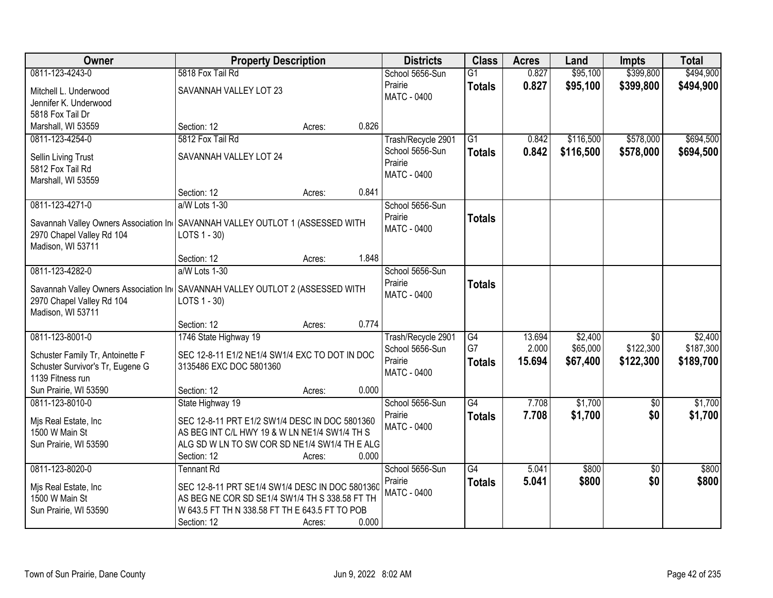| <b>Owner</b>                                                                    | <b>Property Description</b>                     |        |       | <b>Districts</b>   | <b>Class</b>    | <b>Acres</b> | Land      | <b>Impts</b>    | <b>Total</b> |
|---------------------------------------------------------------------------------|-------------------------------------------------|--------|-------|--------------------|-----------------|--------------|-----------|-----------------|--------------|
| 0811-123-4243-0                                                                 | 5818 Fox Tail Rd                                |        |       | School 5656-Sun    | $\overline{G1}$ | 0.827        | \$95,100  | \$399,800       | \$494,900    |
| Mitchell L. Underwood                                                           | SAVANNAH VALLEY LOT 23                          |        |       | Prairie            | <b>Totals</b>   | 0.827        | \$95,100  | \$399,800       | \$494,900    |
| Jennifer K. Underwood                                                           |                                                 |        |       | <b>MATC - 0400</b> |                 |              |           |                 |              |
| 5818 Fox Tail Dr                                                                |                                                 |        |       |                    |                 |              |           |                 |              |
| Marshall, WI 53559                                                              | Section: 12                                     | Acres: | 0.826 |                    |                 |              |           |                 |              |
| 0811-123-4254-0                                                                 | 5812 Fox Tail Rd                                |        |       | Trash/Recycle 2901 | $\overline{G1}$ | 0.842        | \$116,500 | \$578,000       | \$694,500    |
| <b>Sellin Living Trust</b>                                                      | SAVANNAH VALLEY LOT 24                          |        |       | School 5656-Sun    | <b>Totals</b>   | 0.842        | \$116,500 | \$578,000       | \$694,500    |
| 5812 Fox Tail Rd                                                                |                                                 |        |       | Prairie            |                 |              |           |                 |              |
| Marshall, WI 53559                                                              |                                                 |        |       | <b>MATC - 0400</b> |                 |              |           |                 |              |
|                                                                                 | Section: 12                                     | Acres: | 0.841 |                    |                 |              |           |                 |              |
| 0811-123-4271-0                                                                 | a/W Lots 1-30                                   |        |       | School 5656-Sun    |                 |              |           |                 |              |
| Savannah Valley Owners Association In   SAVANNAH VALLEY OUTLOT 1 (ASSESSED WITH |                                                 |        |       | Prairie            | <b>Totals</b>   |              |           |                 |              |
| 2970 Chapel Valley Rd 104                                                       | LOTS 1 - 30)                                    |        |       | MATC - 0400        |                 |              |           |                 |              |
| Madison, WI 53711                                                               |                                                 |        |       |                    |                 |              |           |                 |              |
|                                                                                 | Section: 12                                     | Acres: | 1.848 |                    |                 |              |           |                 |              |
| 0811-123-4282-0                                                                 | a/W Lots 1-30                                   |        |       | School 5656-Sun    |                 |              |           |                 |              |
| Savannah Valley Owners Association In   SAVANNAH VALLEY OUTLOT 2 (ASSESSED WITH |                                                 |        |       | Prairie            | <b>Totals</b>   |              |           |                 |              |
| 2970 Chapel Valley Rd 104                                                       | LOTS 1 - 30)                                    |        |       | MATC - 0400        |                 |              |           |                 |              |
| Madison, WI 53711                                                               |                                                 |        |       |                    |                 |              |           |                 |              |
|                                                                                 | Section: 12                                     | Acres: | 0.774 |                    |                 |              |           |                 |              |
| 0811-123-8001-0                                                                 | 1746 State Highway 19                           |        |       | Trash/Recycle 2901 | $\overline{G4}$ | 13.694       | \$2,400   | $\overline{50}$ | \$2,400      |
| Schuster Family Tr, Antoinette F                                                | SEC 12-8-11 E1/2 NE1/4 SW1/4 EXC TO DOT IN DOC  |        |       | School 5656-Sun    | G7              | 2.000        | \$65,000  | \$122,300       | \$187,300    |
| Schuster Survivor's Tr, Eugene G                                                | 3135486 EXC DOC 5801360                         |        |       | Prairie            | <b>Totals</b>   | 15.694       | \$67,400  | \$122,300       | \$189,700    |
| 1139 Fitness run                                                                |                                                 |        |       | MATC - 0400        |                 |              |           |                 |              |
| Sun Prairie, WI 53590                                                           | Section: 12                                     | Acres: | 0.000 |                    |                 |              |           |                 |              |
| 0811-123-8010-0                                                                 | State Highway 19                                |        |       | School 5656-Sun    | $\overline{G4}$ | 7.708        | \$1,700   | $\overline{60}$ | \$1,700      |
| Mis Real Estate, Inc                                                            | SEC 12-8-11 PRT E1/2 SW1/4 DESC IN DOC 5801360  |        |       | Prairie            | <b>Totals</b>   | 7.708        | \$1,700   | \$0             | \$1,700      |
| 1500 W Main St                                                                  | AS BEG INT C/L HWY 19 & W LN NE1/4 SW1/4 TH S   |        |       | <b>MATC - 0400</b> |                 |              |           |                 |              |
| Sun Prairie, WI 53590                                                           | ALG SD W LN TO SW COR SD NE1/4 SW1/4 TH E ALG   |        |       |                    |                 |              |           |                 |              |
|                                                                                 | Section: 12                                     | Acres: | 0.000 |                    |                 |              |           |                 |              |
| 0811-123-8020-0                                                                 | <b>Tennant Rd</b>                               |        |       | School 5656-Sun    | $\overline{G4}$ | 5.041        | \$800     | $\overline{50}$ | \$800        |
| Mjs Real Estate, Inc                                                            | SEC 12-8-11 PRT SE1/4 SW1/4 DESC IN DOC 5801360 |        |       | Prairie            | <b>Totals</b>   | 5.041        | \$800     | \$0             | \$800        |
| 1500 W Main St                                                                  | AS BEG NE COR SD SE1/4 SW1/4 TH S 338.58 FT TH  |        |       | <b>MATC - 0400</b> |                 |              |           |                 |              |
| Sun Prairie, WI 53590                                                           | W 643.5 FT TH N 338.58 FT TH E 643.5 FT TO POB  |        |       |                    |                 |              |           |                 |              |
|                                                                                 | Section: 12                                     | Acres: | 0.000 |                    |                 |              |           |                 |              |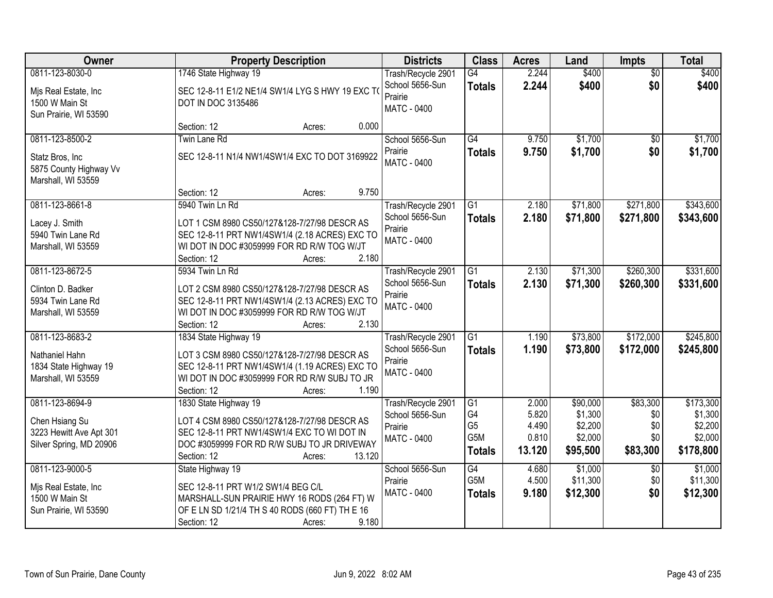| <b>Owner</b>                                                                                               | <b>Property Description</b>                                                                                                                                                                                                | <b>Districts</b>                                                                   | <b>Class</b>                                                          | <b>Acres</b>                                        | Land                                                             | Impts                                                        | <b>Total</b>                                                       |
|------------------------------------------------------------------------------------------------------------|----------------------------------------------------------------------------------------------------------------------------------------------------------------------------------------------------------------------------|------------------------------------------------------------------------------------|-----------------------------------------------------------------------|-----------------------------------------------------|------------------------------------------------------------------|--------------------------------------------------------------|--------------------------------------------------------------------|
| 0811-123-8030-0                                                                                            | 1746 State Highway 19                                                                                                                                                                                                      | Trash/Recycle 2901                                                                 | G4                                                                    | 2.244                                               | \$400                                                            | $\overline{50}$                                              | \$400                                                              |
| Mis Real Estate, Inc<br>1500 W Main St<br>Sun Prairie, WI 53590                                            | SEC 12-8-11 E1/2 NE1/4 SW1/4 LYG S HWY 19 EXC TO<br>DOT IN DOC 3135486                                                                                                                                                     | School 5656-Sun<br>Prairie<br><b>MATC - 0400</b>                                   | <b>Totals</b>                                                         | 2.244                                               | \$400                                                            | \$0                                                          | \$400                                                              |
|                                                                                                            | 0.000<br>Section: 12<br>Acres:                                                                                                                                                                                             |                                                                                    |                                                                       |                                                     |                                                                  |                                                              |                                                                    |
| 0811-123-8500-2<br>Statz Bros, Inc.<br>5875 County Highway Vv<br>Marshall, WI 53559                        | Twin Lane Rd<br>SEC 12-8-11 N1/4 NW1/4SW1/4 EXC TO DOT 3169922                                                                                                                                                             | School 5656-Sun<br>Prairie<br><b>MATC - 0400</b>                                   | $\overline{G4}$<br><b>Totals</b>                                      | 9.750<br>9.750                                      | \$1,700<br>\$1,700                                               | \$0<br>\$0                                                   | \$1,700<br>\$1,700                                                 |
| 0811-123-8661-8                                                                                            | 9.750<br>Section: 12<br>Acres:<br>5940 Twin Ln Rd                                                                                                                                                                          | Trash/Recycle 2901                                                                 | G1                                                                    | 2.180                                               | \$71,800                                                         | \$271,800                                                    | \$343,600                                                          |
| Lacey J. Smith<br>5940 Twin Lane Rd<br>Marshall, WI 53559                                                  | LOT 1 CSM 8980 CS50/127&128-7/27/98 DESCR AS<br>SEC 12-8-11 PRT NW1/4SW1/4 (2.18 ACRES) EXC TO<br>WI DOT IN DOC #3059999 FOR RD R/W TOG W/JT<br>2.180<br>Section: 12<br>Acres:                                             | School 5656-Sun<br>Prairie<br><b>MATC - 0400</b>                                   | <b>Totals</b>                                                         | 2.180                                               | \$71,800                                                         | \$271,800                                                    | \$343,600                                                          |
| 0811-123-8672-5                                                                                            | 5934 Twin Ln Rd                                                                                                                                                                                                            | Trash/Recycle 2901                                                                 | G1                                                                    | 2.130                                               | \$71,300                                                         | \$260,300                                                    | \$331,600                                                          |
| Clinton D. Badker<br>5934 Twin Lane Rd<br>Marshall, WI 53559                                               | LOT 2 CSM 8980 CS50/127&128-7/27/98 DESCR AS<br>SEC 12-8-11 PRT NW1/4SW1/4 (2.13 ACRES) EXC TO<br>WI DOT IN DOC #3059999 FOR RD R/W TOG W/JT<br>2.130<br>Section: 12<br>Acres:                                             | School 5656-Sun<br>Prairie<br><b>MATC - 0400</b>                                   | <b>Totals</b>                                                         | 2.130                                               | \$71,300                                                         | \$260,300                                                    | \$331,600                                                          |
| 0811-123-8683-2<br>Nathaniel Hahn<br>1834 State Highway 19<br>Marshall, WI 53559                           | 1834 State Highway 19<br>LOT 3 CSM 8980 CS50/127&128-7/27/98 DESCR AS<br>SEC 12-8-11 PRT NW1/4SW1/4 (1.19 ACRES) EXC TO<br>WI DOT IN DOC #3059999 FOR RD R/W SUBJ TO JR<br>1.190<br>Section: 12<br>Acres:                  | Trash/Recycle 2901<br>School 5656-Sun<br>Prairie<br><b>MATC - 0400</b>             | $\overline{G1}$<br><b>Totals</b>                                      | 1.190<br>1.190                                      | \$73,800<br>\$73,800                                             | \$172,000<br>\$172,000                                       | \$245,800<br>\$245,800                                             |
| 0811-123-8694-9<br>Chen Hsiang Su<br>3223 Hewitt Ave Apt 301<br>Silver Spring, MD 20906<br>0811-123-9000-5 | 1830 State Highway 19<br>LOT 4 CSM 8980 CS50/127&128-7/27/98 DESCR AS<br>SEC 12-8-11 PRT NW1/4SW1/4 EXC TO WI DOT IN<br>DOC #3059999 FOR RD R/W SUBJ TO JR DRIVEWAY<br>13.120<br>Section: 12<br>Acres:<br>State Highway 19 | Trash/Recycle 2901<br>School 5656-Sun<br>Prairie<br>MATC - 0400<br>School 5656-Sun | G1<br>G4<br>G <sub>5</sub><br>G <sub>5</sub> M<br><b>Totals</b><br>G4 | 2.000<br>5.820<br>4.490<br>0.810<br>13.120<br>4.680 | \$90,000<br>\$1,300<br>\$2,200<br>\$2,000<br>\$95,500<br>\$1,000 | \$83,300<br>\$0<br>\$0<br>\$0<br>\$83,300<br>$\overline{50}$ | \$173,300<br>\$1,300<br>\$2,200<br>\$2,000<br>\$178,800<br>\$1,000 |
| Mis Real Estate, Inc<br>1500 W Main St<br>Sun Prairie, WI 53590                                            | SEC 12-8-11 PRT W1/2 SW1/4 BEG C/L<br>MARSHALL-SUN PRAIRIE HWY 16 RODS (264 FT) W<br>OF E LN SD 1/21/4 TH S 40 RODS (660 FT) TH E 16<br>9.180<br>Section: 12<br>Acres:                                                     | Prairie<br><b>MATC - 0400</b>                                                      | G5M<br><b>Totals</b>                                                  | 4.500<br>9.180                                      | \$11,300<br>\$12,300                                             | \$0<br>\$0                                                   | \$11,300<br>\$12,300                                               |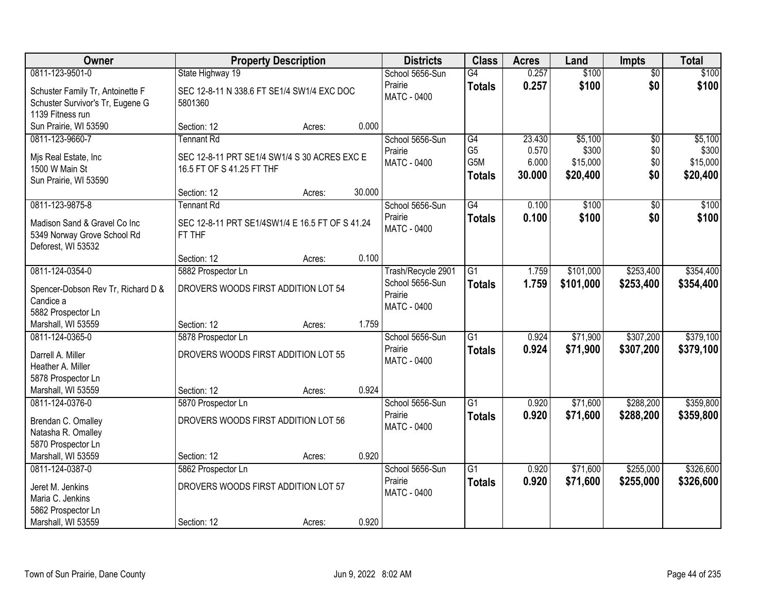| Owner                                                                                    | <b>Property Description</b>                                                                                   |                  | <b>Districts</b>                                 | <b>Class</b>                                 | <b>Acres</b>                       | Land                                     | <b>Impts</b>             | <b>Total</b>                             |
|------------------------------------------------------------------------------------------|---------------------------------------------------------------------------------------------------------------|------------------|--------------------------------------------------|----------------------------------------------|------------------------------------|------------------------------------------|--------------------------|------------------------------------------|
| 0811-123-9501-0                                                                          | State Highway 19                                                                                              |                  | School 5656-Sun                                  | G4                                           | 0.257                              | \$100                                    | $\overline{60}$          | \$100                                    |
| Schuster Family Tr, Antoinette F<br>Schuster Survivor's Tr, Eugene G<br>1139 Fitness run | SEC 12-8-11 N 338.6 FT SE1/4 SW1/4 EXC DOC<br>5801360                                                         |                  | Prairie<br><b>MATC - 0400</b>                    | <b>Totals</b>                                | 0.257                              | \$100                                    | \$0                      | \$100                                    |
| Sun Prairie, WI 53590                                                                    | Section: 12                                                                                                   | 0.000<br>Acres:  |                                                  |                                              |                                    |                                          |                          |                                          |
| 0811-123-9660-7<br>Mjs Real Estate, Inc<br>1500 W Main St<br>Sun Prairie, WI 53590       | <b>Tennant Rd</b><br>SEC 12-8-11 PRT SE1/4 SW1/4 S 30 ACRES EXC E<br>16.5 FT OF S 41.25 FT THF<br>Section: 12 | 30.000<br>Acres: | School 5656-Sun<br>Prairie<br><b>MATC - 0400</b> | G4<br>G <sub>5</sub><br>G5M<br><b>Totals</b> | 23.430<br>0.570<br>6.000<br>30.000 | \$5,100<br>\$300<br>\$15,000<br>\$20,400 | \$0<br>\$0<br>\$0<br>\$0 | \$5,100<br>\$300<br>\$15,000<br>\$20,400 |
| 0811-123-9875-8                                                                          | <b>Tennant Rd</b>                                                                                             |                  | School 5656-Sun                                  | G4                                           | 0.100                              | \$100                                    | \$0                      | \$100                                    |
| Madison Sand & Gravel Co Inc<br>5349 Norway Grove School Rd<br>Deforest, WI 53532        | SEC 12-8-11 PRT SE1/4SW1/4 E 16.5 FT OF S 41.24<br>FT THF                                                     |                  | Prairie<br><b>MATC - 0400</b>                    | <b>Totals</b>                                | 0.100                              | \$100                                    | \$0                      | \$100                                    |
|                                                                                          | Section: 12                                                                                                   | 0.100<br>Acres:  |                                                  |                                              |                                    |                                          |                          |                                          |
| 0811-124-0354-0<br>Spencer-Dobson Rev Tr, Richard D &                                    | 5882 Prospector Ln<br>DROVERS WOODS FIRST ADDITION LOT 54                                                     |                  | Trash/Recycle 2901<br>School 5656-Sun            | $\overline{G1}$<br><b>Totals</b>             | 1.759<br>1.759                     | \$101,000<br>\$101,000                   | \$253,400<br>\$253,400   | \$354,400<br>\$354,400                   |
| Candice a<br>5882 Prospector Ln                                                          |                                                                                                               |                  | Prairie<br>MATC - 0400                           |                                              |                                    |                                          |                          |                                          |
| Marshall, WI 53559                                                                       | Section: 12                                                                                                   | 1.759<br>Acres:  |                                                  |                                              |                                    |                                          |                          |                                          |
| 0811-124-0365-0<br>Darrell A. Miller<br>Heather A. Miller<br>5878 Prospector Ln          | 5878 Prospector Ln<br>DROVERS WOODS FIRST ADDITION LOT 55                                                     |                  | School 5656-Sun<br>Prairie<br>MATC - 0400        | $\overline{G1}$<br><b>Totals</b>             | 0.924<br>0.924                     | \$71,900<br>\$71,900                     | \$307,200<br>\$307,200   | \$379,100<br>\$379,100                   |
| Marshall, WI 53559                                                                       | Section: 12                                                                                                   | 0.924<br>Acres:  |                                                  |                                              |                                    |                                          |                          |                                          |
| 0811-124-0376-0<br>Brendan C. Omalley<br>Natasha R. Omalley<br>5870 Prospector Ln        | 5870 Prospector Ln<br>DROVERS WOODS FIRST ADDITION LOT 56                                                     |                  | School 5656-Sun<br>Prairie<br><b>MATC - 0400</b> | $\overline{G1}$<br><b>Totals</b>             | 0.920<br>0.920                     | \$71,600<br>\$71,600                     | \$288,200<br>\$288,200   | \$359,800<br>\$359,800                   |
| Marshall, WI 53559                                                                       | Section: 12                                                                                                   | 0.920<br>Acres:  |                                                  |                                              |                                    |                                          |                          |                                          |
| 0811-124-0387-0<br>Jeret M. Jenkins<br>Maria C. Jenkins                                  | 5862 Prospector Ln<br>DROVERS WOODS FIRST ADDITION LOT 57                                                     |                  | School 5656-Sun<br>Prairie<br>MATC - 0400        | $\overline{G1}$<br><b>Totals</b>             | 0.920<br>0.920                     | \$71,600<br>\$71,600                     | \$255,000<br>\$255,000   | \$326,600<br>\$326,600                   |
| 5862 Prospector Ln<br>Marshall, WI 53559                                                 | Section: 12                                                                                                   | 0.920<br>Acres:  |                                                  |                                              |                                    |                                          |                          |                                          |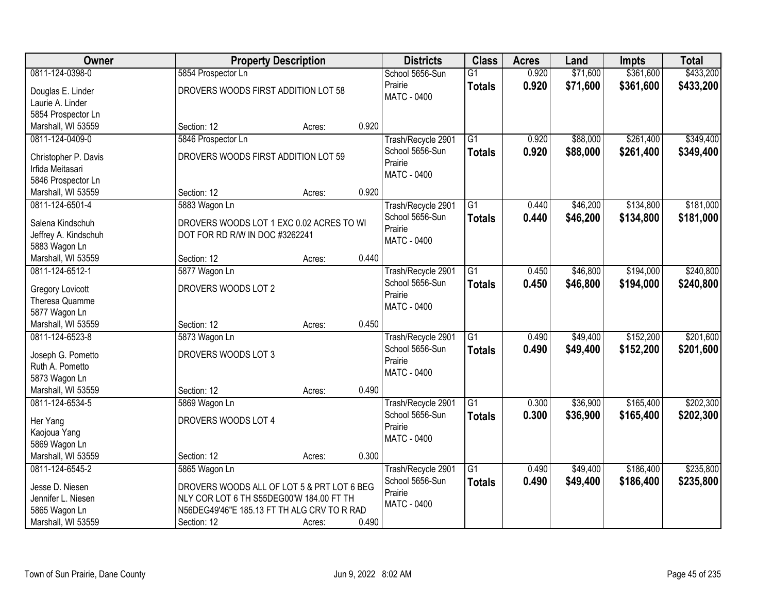| Owner                   | <b>Property Description</b>                 |        |       | <b>Districts</b>              | <b>Class</b>    | <b>Acres</b> | Land     | <b>Impts</b> | <b>Total</b> |
|-------------------------|---------------------------------------------|--------|-------|-------------------------------|-----------------|--------------|----------|--------------|--------------|
| 0811-124-0398-0         | 5854 Prospector Ln                          |        |       | School 5656-Sun               | $\overline{G1}$ | 0.920        | \$71,600 | \$361,600    | \$433,200    |
| Douglas E. Linder       | DROVERS WOODS FIRST ADDITION LOT 58         |        |       | Prairie                       | <b>Totals</b>   | 0.920        | \$71,600 | \$361,600    | \$433,200    |
| Laurie A. Linder        |                                             |        |       | <b>MATC - 0400</b>            |                 |              |          |              |              |
| 5854 Prospector Ln      |                                             |        |       |                               |                 |              |          |              |              |
| Marshall, WI 53559      | Section: 12                                 | Acres: | 0.920 |                               |                 |              |          |              |              |
| 0811-124-0409-0         | 5846 Prospector Ln                          |        |       | Trash/Recycle 2901            | $\overline{G1}$ | 0.920        | \$88,000 | \$261,400    | \$349,400    |
|                         |                                             |        |       | School 5656-Sun               | <b>Totals</b>   | 0.920        | \$88,000 | \$261,400    | \$349,400    |
| Christopher P. Davis    | DROVERS WOODS FIRST ADDITION LOT 59         |        |       | Prairie                       |                 |              |          |              |              |
| Irfida Meitasari        |                                             |        |       | MATC - 0400                   |                 |              |          |              |              |
| 5846 Prospector Ln      |                                             |        |       |                               |                 |              |          |              |              |
| Marshall, WI 53559      | Section: 12                                 | Acres: | 0.920 |                               |                 |              |          |              |              |
| 0811-124-6501-4         | 5883 Wagon Ln                               |        |       | Trash/Recycle 2901            | $\overline{G1}$ | 0.440        | \$46,200 | \$134,800    | \$181,000    |
| Salena Kindschuh        | DROVERS WOODS LOT 1 EXC 0.02 ACRES TO WI    |        |       | School 5656-Sun               | <b>Totals</b>   | 0.440        | \$46,200 | \$134,800    | \$181,000    |
| Jeffrey A. Kindschuh    | DOT FOR RD R/W IN DOC #3262241              |        |       | Prairie                       |                 |              |          |              |              |
| 5883 Wagon Ln           |                                             |        |       | MATC - 0400                   |                 |              |          |              |              |
| Marshall, WI 53559      | Section: 12                                 | Acres: | 0.440 |                               |                 |              |          |              |              |
| 0811-124-6512-1         | 5877 Wagon Ln                               |        |       | Trash/Recycle 2901            | $\overline{G1}$ | 0.450        | \$46,800 | \$194,000    | \$240,800    |
|                         |                                             |        |       | School 5656-Sun               | <b>Totals</b>   | 0.450        | \$46,800 | \$194,000    | \$240,800    |
| <b>Gregory Lovicott</b> | DROVERS WOODS LOT 2                         |        |       | Prairie                       |                 |              |          |              |              |
| Theresa Quamme          |                                             |        |       | <b>MATC - 0400</b>            |                 |              |          |              |              |
| 5877 Wagon Ln           |                                             |        | 0.450 |                               |                 |              |          |              |              |
| Marshall, WI 53559      | Section: 12                                 | Acres: |       |                               |                 |              |          |              |              |
| 0811-124-6523-8         | 5873 Wagon Ln                               |        |       | Trash/Recycle 2901            | $\overline{G1}$ | 0.490        | \$49,400 | \$152,200    | \$201,600    |
| Joseph G. Pometto       | DROVERS WOODS LOT 3                         |        |       | School 5656-Sun               | <b>Totals</b>   | 0.490        | \$49,400 | \$152,200    | \$201,600    |
| Ruth A. Pometto         |                                             |        |       | Prairie<br><b>MATC - 0400</b> |                 |              |          |              |              |
| 5873 Wagon Ln           |                                             |        |       |                               |                 |              |          |              |              |
| Marshall, WI 53559      | Section: 12                                 | Acres: | 0.490 |                               |                 |              |          |              |              |
| 0811-124-6534-5         | 5869 Wagon Ln                               |        |       | Trash/Recycle 2901            | $\overline{G1}$ | 0.300        | \$36,900 | \$165,400    | \$202,300    |
| Her Yang                | DROVERS WOODS LOT 4                         |        |       | School 5656-Sun               | <b>Totals</b>   | 0.300        | \$36,900 | \$165,400    | \$202,300    |
| Kaojoua Yang            |                                             |        |       | Prairie                       |                 |              |          |              |              |
| 5869 Wagon Ln           |                                             |        |       | MATC - 0400                   |                 |              |          |              |              |
| Marshall, WI 53559      | Section: 12                                 | Acres: | 0.300 |                               |                 |              |          |              |              |
| 0811-124-6545-2         | 5865 Wagon Ln                               |        |       | Trash/Recycle 2901            | $\overline{G1}$ | 0.490        | \$49,400 | \$186,400    | \$235,800    |
|                         |                                             |        |       | School 5656-Sun               | <b>Totals</b>   | 0.490        | \$49,400 | \$186,400    | \$235,800    |
| Jesse D. Niesen         | DROVERS WOODS ALL OF LOT 5 & PRT LOT 6 BEG  |        |       | Prairie                       |                 |              |          |              |              |
| Jennifer L. Niesen      | NLY COR LOT 6 TH S55DEG00'W 184.00 FT TH    |        |       | MATC - 0400                   |                 |              |          |              |              |
| 5865 Wagon Ln           | N56DEG49'46"E 185.13 FT TH ALG CRV TO R RAD |        |       |                               |                 |              |          |              |              |
| Marshall, WI 53559      | Section: 12                                 | Acres: | 0.490 |                               |                 |              |          |              |              |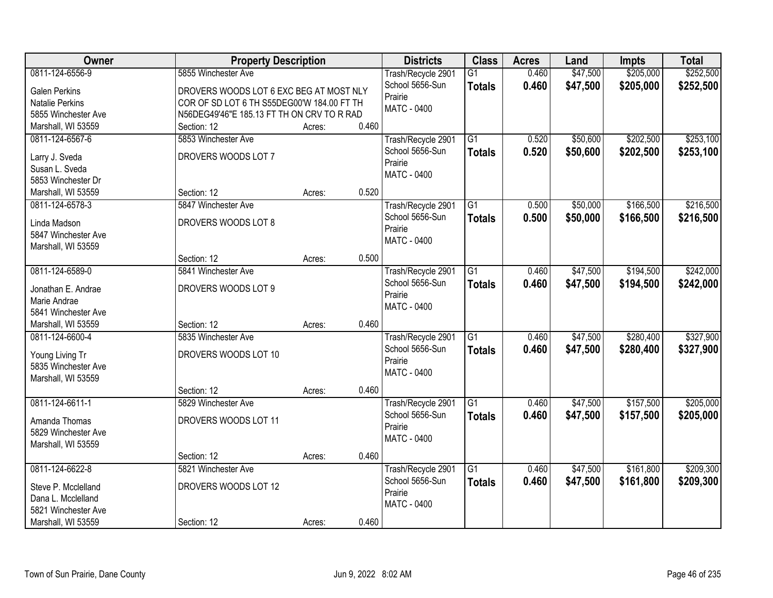| Owner                  | <b>Property Description</b>                |        |       | <b>Districts</b>   | <b>Class</b>    | <b>Acres</b> | Land     | <b>Impts</b> | <b>Total</b> |
|------------------------|--------------------------------------------|--------|-------|--------------------|-----------------|--------------|----------|--------------|--------------|
| 0811-124-6556-9        | 5855 Winchester Ave                        |        |       | Trash/Recycle 2901 | $\overline{G1}$ | 0.460        | \$47,500 | \$205,000    | \$252,500    |
| <b>Galen Perkins</b>   | DROVERS WOODS LOT 6 EXC BEG AT MOST NLY    |        |       | School 5656-Sun    | <b>Totals</b>   | 0.460        | \$47,500 | \$205,000    | \$252,500    |
| <b>Natalie Perkins</b> | COR OF SD LOT 6 TH S55DEG00'W 184.00 FT TH |        |       | Prairie            |                 |              |          |              |              |
| 5855 Winchester Ave    | N56DEG49'46"E 185.13 FT TH ON CRV TO R RAD |        |       | MATC - 0400        |                 |              |          |              |              |
| Marshall, WI 53559     | Section: 12                                | Acres: | 0.460 |                    |                 |              |          |              |              |
| 0811-124-6567-6        | 5853 Winchester Ave                        |        |       | Trash/Recycle 2901 | $\overline{G1}$ | 0.520        | \$50,600 | \$202,500    | \$253,100    |
|                        |                                            |        |       | School 5656-Sun    | <b>Totals</b>   | 0.520        | \$50,600 | \$202,500    | \$253,100    |
| Larry J. Sveda         | DROVERS WOODS LOT 7                        |        |       | Prairie            |                 |              |          |              |              |
| Susan L. Sveda         |                                            |        |       | MATC - 0400        |                 |              |          |              |              |
| 5853 Winchester Dr     |                                            |        |       |                    |                 |              |          |              |              |
| Marshall, WI 53559     | Section: 12                                | Acres: | 0.520 |                    |                 |              |          |              |              |
| 0811-124-6578-3        | 5847 Winchester Ave                        |        |       | Trash/Recycle 2901 | G1              | 0.500        | \$50,000 | \$166,500    | \$216,500    |
| Linda Madson           | DROVERS WOODS LOT 8                        |        |       | School 5656-Sun    | <b>Totals</b>   | 0.500        | \$50,000 | \$166,500    | \$216,500    |
| 5847 Winchester Ave    |                                            |        |       | Prairie            |                 |              |          |              |              |
| Marshall, WI 53559     |                                            |        |       | <b>MATC - 0400</b> |                 |              |          |              |              |
|                        | Section: 12                                | Acres: | 0.500 |                    |                 |              |          |              |              |
| 0811-124-6589-0        | 5841 Winchester Ave                        |        |       | Trash/Recycle 2901 | $\overline{G1}$ | 0.460        | \$47,500 | \$194,500    | \$242,000    |
|                        |                                            |        |       | School 5656-Sun    | <b>Totals</b>   | 0.460        | \$47,500 | \$194,500    | \$242,000    |
| Jonathan E. Andrae     | DROVERS WOODS LOT 9                        |        |       | Prairie            |                 |              |          |              |              |
| Marie Andrae           |                                            |        |       | MATC - 0400        |                 |              |          |              |              |
| 5841 Winchester Ave    |                                            |        |       |                    |                 |              |          |              |              |
| Marshall, WI 53559     | Section: 12                                | Acres: | 0.460 |                    |                 |              |          |              |              |
| 0811-124-6600-4        | 5835 Winchester Ave                        |        |       | Trash/Recycle 2901 | $\overline{G1}$ | 0.460        | \$47,500 | \$280,400    | \$327,900    |
| Young Living Tr        | DROVERS WOODS LOT 10                       |        |       | School 5656-Sun    | <b>Totals</b>   | 0.460        | \$47,500 | \$280,400    | \$327,900    |
| 5835 Winchester Ave    |                                            |        |       | Prairie            |                 |              |          |              |              |
| Marshall, WI 53559     |                                            |        |       | MATC - 0400        |                 |              |          |              |              |
|                        | Section: 12                                | Acres: | 0.460 |                    |                 |              |          |              |              |
| 0811-124-6611-1        | 5829 Winchester Ave                        |        |       | Trash/Recycle 2901 | $\overline{G1}$ | 0.460        | \$47,500 | \$157,500    | \$205,000    |
|                        |                                            |        |       | School 5656-Sun    | <b>Totals</b>   | 0.460        | \$47,500 | \$157,500    | \$205,000    |
| Amanda Thomas          | DROVERS WOODS LOT 11                       |        |       | Prairie            |                 |              |          |              |              |
| 5829 Winchester Ave    |                                            |        |       | MATC - 0400        |                 |              |          |              |              |
| Marshall, WI 53559     |                                            |        |       |                    |                 |              |          |              |              |
|                        | Section: 12                                | Acres: | 0.460 |                    |                 |              |          |              |              |
| 0811-124-6622-8        | 5821 Winchester Ave                        |        |       | Trash/Recycle 2901 | $\overline{G1}$ | 0.460        | \$47,500 | \$161,800    | \$209,300    |
| Steve P. Mcclelland    | DROVERS WOODS LOT 12                       |        |       | School 5656-Sun    | <b>Totals</b>   | 0.460        | \$47,500 | \$161,800    | \$209,300    |
| Dana L. Mcclelland     |                                            |        |       | Prairie            |                 |              |          |              |              |
| 5821 Winchester Ave    |                                            |        |       | MATC - 0400        |                 |              |          |              |              |
| Marshall, WI 53559     | Section: 12                                | Acres: | 0.460 |                    |                 |              |          |              |              |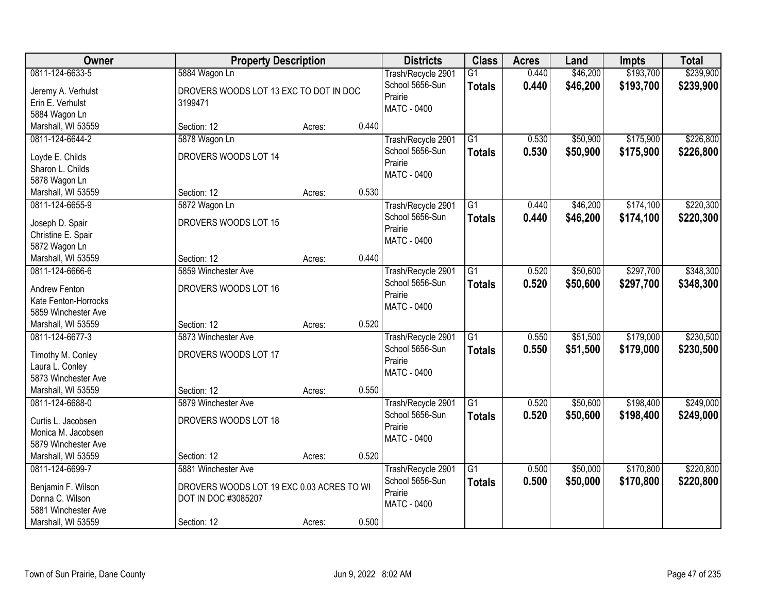| 0811-124-6633-5<br>\$193,700<br>\$239,900<br>5884 Wagon Ln<br>$\overline{G1}$<br>0.440<br>\$46,200<br>Trash/Recycle 2901<br>0.440<br>School 5656-Sun<br>\$46,200<br>\$193,700<br>\$239,900<br><b>Totals</b><br>Jeremy A. Verhulst<br>DROVERS WOODS LOT 13 EXC TO DOT IN DOC<br>Prairie<br>Erin E. Verhulst<br>3199471<br><b>MATC - 0400</b><br>5884 Wagon Ln<br>Marshall, WI 53559<br>0.440<br>Section: 12<br>Acres:<br>$\overline{G1}$<br>\$175,900<br>0811-124-6644-2<br>5878 Wagon Ln<br>Trash/Recycle 2901<br>0.530<br>\$50,900<br>0.530<br>\$50,900<br>\$175,900<br>\$226,800<br>School 5656-Sun<br><b>Totals</b><br>DROVERS WOODS LOT 14<br>Loyde E. Childs<br>Prairie<br>Sharon L. Childs<br>MATC - 0400<br>5878 Wagon Ln<br>0.530<br>Section: 12<br>Marshall, WI 53559<br>Acres:<br>\$174,100<br>0811-124-6655-9<br>5872 Wagon Ln<br>G1<br>0.440<br>\$46,200<br>Trash/Recycle 2901<br>School 5656-Sun<br>\$46,200<br>\$174,100<br>0.440<br><b>Totals</b><br>DROVERS WOODS LOT 15<br>Joseph D. Spair<br>Prairie<br>Christine E. Spair<br><b>MATC - 0400</b><br>5872 Wagon Ln<br>0.440<br>Marshall, WI 53559<br>Section: 12<br>Acres:<br>5859 Winchester Ave<br>$\overline{G1}$<br>0.520<br>\$50,600<br>\$297,700<br>0811-124-6666-6<br>Trash/Recycle 2901<br>School 5656-Sun<br>0.520<br>\$50,600<br>\$297,700<br>\$348,300<br><b>Totals</b><br>DROVERS WOODS LOT 16<br>Andrew Fenton<br>Prairie<br>Kate Fenton-Horrocks<br><b>MATC - 0400</b><br>5859 Winchester Ave<br>0.520<br>Section: 12<br>Marshall, WI 53559<br>Acres:<br>$\overline{G1}$<br>\$179,000<br>0.550<br>\$51,500<br>0811-124-6677-3<br>5873 Winchester Ave<br>Trash/Recycle 2901<br>School 5656-Sun<br>0.550<br>\$51,500<br>\$179,000<br>\$230,500<br><b>Totals</b><br>DROVERS WOODS LOT 17<br>Timothy M. Conley<br>Prairie<br>Laura L. Conley<br>MATC - 0400<br>5873 Winchester Ave<br>Marshall, WI 53559<br>0.550<br>Section: 12<br>Acres:<br>$\overline{G1}$<br>\$198,400<br>0811-124-6688-0<br>0.520<br>\$50,600<br>5879 Winchester Ave<br>Trash/Recycle 2901<br>School 5656-Sun<br>0.520<br>\$50,600<br>\$198,400<br><b>Totals</b><br>DROVERS WOODS LOT 18<br>Curtis L. Jacobsen<br>Prairie<br>Monica M. Jacobsen<br><b>MATC - 0400</b><br>5879 Winchester Ave<br>0.520<br>Marshall, WI 53559<br>Section: 12<br>Acres:<br>\$170,800<br>$\overline{G1}$<br>\$50,000<br>0811-124-6699-7<br>5881 Winchester Ave<br>Trash/Recycle 2901<br>0.500<br>School 5656-Sun<br>0.500<br>\$50,000<br>\$170,800<br>\$220,800<br><b>Totals</b><br>Benjamin F. Wilson<br>DROVERS WOODS LOT 19 EXC 0.03 ACRES TO WI<br>Prairie<br>Donna C. Wilson<br>DOT IN DOC #3085207 | Owner | <b>Property Description</b> |  | <b>Districts</b>   | <b>Class</b> | <b>Acres</b> | Land | <b>Impts</b> | <b>Total</b> |
|--------------------------------------------------------------------------------------------------------------------------------------------------------------------------------------------------------------------------------------------------------------------------------------------------------------------------------------------------------------------------------------------------------------------------------------------------------------------------------------------------------------------------------------------------------------------------------------------------------------------------------------------------------------------------------------------------------------------------------------------------------------------------------------------------------------------------------------------------------------------------------------------------------------------------------------------------------------------------------------------------------------------------------------------------------------------------------------------------------------------------------------------------------------------------------------------------------------------------------------------------------------------------------------------------------------------------------------------------------------------------------------------------------------------------------------------------------------------------------------------------------------------------------------------------------------------------------------------------------------------------------------------------------------------------------------------------------------------------------------------------------------------------------------------------------------------------------------------------------------------------------------------------------------------------------------------------------------------------------------------------------------------------------------------------------------------------------------------------------------------------------------------------------------------------------------------------------------------------------------------------------------------------------------------------------------------------------------------------------------------------------------------------------------------------------------------------------------------------------------------------------------------------------------------------------------------------------------------------------------------------------------|-------|-----------------------------|--|--------------------|--------------|--------------|------|--------------|--------------|
|                                                                                                                                                                                                                                                                                                                                                                                                                                                                                                                                                                                                                                                                                                                                                                                                                                                                                                                                                                                                                                                                                                                                                                                                                                                                                                                                                                                                                                                                                                                                                                                                                                                                                                                                                                                                                                                                                                                                                                                                                                                                                                                                                                                                                                                                                                                                                                                                                                                                                                                                                                                                                                      |       |                             |  |                    |              |              |      |              |              |
|                                                                                                                                                                                                                                                                                                                                                                                                                                                                                                                                                                                                                                                                                                                                                                                                                                                                                                                                                                                                                                                                                                                                                                                                                                                                                                                                                                                                                                                                                                                                                                                                                                                                                                                                                                                                                                                                                                                                                                                                                                                                                                                                                                                                                                                                                                                                                                                                                                                                                                                                                                                                                                      |       |                             |  |                    |              |              |      |              |              |
|                                                                                                                                                                                                                                                                                                                                                                                                                                                                                                                                                                                                                                                                                                                                                                                                                                                                                                                                                                                                                                                                                                                                                                                                                                                                                                                                                                                                                                                                                                                                                                                                                                                                                                                                                                                                                                                                                                                                                                                                                                                                                                                                                                                                                                                                                                                                                                                                                                                                                                                                                                                                                                      |       |                             |  |                    |              |              |      |              |              |
|                                                                                                                                                                                                                                                                                                                                                                                                                                                                                                                                                                                                                                                                                                                                                                                                                                                                                                                                                                                                                                                                                                                                                                                                                                                                                                                                                                                                                                                                                                                                                                                                                                                                                                                                                                                                                                                                                                                                                                                                                                                                                                                                                                                                                                                                                                                                                                                                                                                                                                                                                                                                                                      |       |                             |  |                    |              |              |      |              |              |
| \$226,800                                                                                                                                                                                                                                                                                                                                                                                                                                                                                                                                                                                                                                                                                                                                                                                                                                                                                                                                                                                                                                                                                                                                                                                                                                                                                                                                                                                                                                                                                                                                                                                                                                                                                                                                                                                                                                                                                                                                                                                                                                                                                                                                                                                                                                                                                                                                                                                                                                                                                                                                                                                                                            |       |                             |  |                    |              |              |      |              |              |
| \$220,300<br>\$220,300<br>\$348,300<br>\$230,500<br>\$249,000<br>\$249,000<br>\$220,800                                                                                                                                                                                                                                                                                                                                                                                                                                                                                                                                                                                                                                                                                                                                                                                                                                                                                                                                                                                                                                                                                                                                                                                                                                                                                                                                                                                                                                                                                                                                                                                                                                                                                                                                                                                                                                                                                                                                                                                                                                                                                                                                                                                                                                                                                                                                                                                                                                                                                                                                              |       |                             |  |                    |              |              |      |              |              |
|                                                                                                                                                                                                                                                                                                                                                                                                                                                                                                                                                                                                                                                                                                                                                                                                                                                                                                                                                                                                                                                                                                                                                                                                                                                                                                                                                                                                                                                                                                                                                                                                                                                                                                                                                                                                                                                                                                                                                                                                                                                                                                                                                                                                                                                                                                                                                                                                                                                                                                                                                                                                                                      |       |                             |  |                    |              |              |      |              |              |
|                                                                                                                                                                                                                                                                                                                                                                                                                                                                                                                                                                                                                                                                                                                                                                                                                                                                                                                                                                                                                                                                                                                                                                                                                                                                                                                                                                                                                                                                                                                                                                                                                                                                                                                                                                                                                                                                                                                                                                                                                                                                                                                                                                                                                                                                                                                                                                                                                                                                                                                                                                                                                                      |       |                             |  |                    |              |              |      |              |              |
|                                                                                                                                                                                                                                                                                                                                                                                                                                                                                                                                                                                                                                                                                                                                                                                                                                                                                                                                                                                                                                                                                                                                                                                                                                                                                                                                                                                                                                                                                                                                                                                                                                                                                                                                                                                                                                                                                                                                                                                                                                                                                                                                                                                                                                                                                                                                                                                                                                                                                                                                                                                                                                      |       |                             |  |                    |              |              |      |              |              |
|                                                                                                                                                                                                                                                                                                                                                                                                                                                                                                                                                                                                                                                                                                                                                                                                                                                                                                                                                                                                                                                                                                                                                                                                                                                                                                                                                                                                                                                                                                                                                                                                                                                                                                                                                                                                                                                                                                                                                                                                                                                                                                                                                                                                                                                                                                                                                                                                                                                                                                                                                                                                                                      |       |                             |  |                    |              |              |      |              |              |
|                                                                                                                                                                                                                                                                                                                                                                                                                                                                                                                                                                                                                                                                                                                                                                                                                                                                                                                                                                                                                                                                                                                                                                                                                                                                                                                                                                                                                                                                                                                                                                                                                                                                                                                                                                                                                                                                                                                                                                                                                                                                                                                                                                                                                                                                                                                                                                                                                                                                                                                                                                                                                                      |       |                             |  |                    |              |              |      |              |              |
|                                                                                                                                                                                                                                                                                                                                                                                                                                                                                                                                                                                                                                                                                                                                                                                                                                                                                                                                                                                                                                                                                                                                                                                                                                                                                                                                                                                                                                                                                                                                                                                                                                                                                                                                                                                                                                                                                                                                                                                                                                                                                                                                                                                                                                                                                                                                                                                                                                                                                                                                                                                                                                      |       |                             |  |                    |              |              |      |              |              |
|                                                                                                                                                                                                                                                                                                                                                                                                                                                                                                                                                                                                                                                                                                                                                                                                                                                                                                                                                                                                                                                                                                                                                                                                                                                                                                                                                                                                                                                                                                                                                                                                                                                                                                                                                                                                                                                                                                                                                                                                                                                                                                                                                                                                                                                                                                                                                                                                                                                                                                                                                                                                                                      |       |                             |  |                    |              |              |      |              |              |
|                                                                                                                                                                                                                                                                                                                                                                                                                                                                                                                                                                                                                                                                                                                                                                                                                                                                                                                                                                                                                                                                                                                                                                                                                                                                                                                                                                                                                                                                                                                                                                                                                                                                                                                                                                                                                                                                                                                                                                                                                                                                                                                                                                                                                                                                                                                                                                                                                                                                                                                                                                                                                                      |       |                             |  |                    |              |              |      |              |              |
|                                                                                                                                                                                                                                                                                                                                                                                                                                                                                                                                                                                                                                                                                                                                                                                                                                                                                                                                                                                                                                                                                                                                                                                                                                                                                                                                                                                                                                                                                                                                                                                                                                                                                                                                                                                                                                                                                                                                                                                                                                                                                                                                                                                                                                                                                                                                                                                                                                                                                                                                                                                                                                      |       |                             |  |                    |              |              |      |              |              |
|                                                                                                                                                                                                                                                                                                                                                                                                                                                                                                                                                                                                                                                                                                                                                                                                                                                                                                                                                                                                                                                                                                                                                                                                                                                                                                                                                                                                                                                                                                                                                                                                                                                                                                                                                                                                                                                                                                                                                                                                                                                                                                                                                                                                                                                                                                                                                                                                                                                                                                                                                                                                                                      |       |                             |  |                    |              |              |      |              |              |
|                                                                                                                                                                                                                                                                                                                                                                                                                                                                                                                                                                                                                                                                                                                                                                                                                                                                                                                                                                                                                                                                                                                                                                                                                                                                                                                                                                                                                                                                                                                                                                                                                                                                                                                                                                                                                                                                                                                                                                                                                                                                                                                                                                                                                                                                                                                                                                                                                                                                                                                                                                                                                                      |       |                             |  |                    |              |              |      |              |              |
|                                                                                                                                                                                                                                                                                                                                                                                                                                                                                                                                                                                                                                                                                                                                                                                                                                                                                                                                                                                                                                                                                                                                                                                                                                                                                                                                                                                                                                                                                                                                                                                                                                                                                                                                                                                                                                                                                                                                                                                                                                                                                                                                                                                                                                                                                                                                                                                                                                                                                                                                                                                                                                      |       |                             |  |                    |              |              |      |              |              |
|                                                                                                                                                                                                                                                                                                                                                                                                                                                                                                                                                                                                                                                                                                                                                                                                                                                                                                                                                                                                                                                                                                                                                                                                                                                                                                                                                                                                                                                                                                                                                                                                                                                                                                                                                                                                                                                                                                                                                                                                                                                                                                                                                                                                                                                                                                                                                                                                                                                                                                                                                                                                                                      |       |                             |  |                    |              |              |      |              |              |
|                                                                                                                                                                                                                                                                                                                                                                                                                                                                                                                                                                                                                                                                                                                                                                                                                                                                                                                                                                                                                                                                                                                                                                                                                                                                                                                                                                                                                                                                                                                                                                                                                                                                                                                                                                                                                                                                                                                                                                                                                                                                                                                                                                                                                                                                                                                                                                                                                                                                                                                                                                                                                                      |       |                             |  |                    |              |              |      |              |              |
|                                                                                                                                                                                                                                                                                                                                                                                                                                                                                                                                                                                                                                                                                                                                                                                                                                                                                                                                                                                                                                                                                                                                                                                                                                                                                                                                                                                                                                                                                                                                                                                                                                                                                                                                                                                                                                                                                                                                                                                                                                                                                                                                                                                                                                                                                                                                                                                                                                                                                                                                                                                                                                      |       |                             |  |                    |              |              |      |              |              |
|                                                                                                                                                                                                                                                                                                                                                                                                                                                                                                                                                                                                                                                                                                                                                                                                                                                                                                                                                                                                                                                                                                                                                                                                                                                                                                                                                                                                                                                                                                                                                                                                                                                                                                                                                                                                                                                                                                                                                                                                                                                                                                                                                                                                                                                                                                                                                                                                                                                                                                                                                                                                                                      |       |                             |  |                    |              |              |      |              |              |
|                                                                                                                                                                                                                                                                                                                                                                                                                                                                                                                                                                                                                                                                                                                                                                                                                                                                                                                                                                                                                                                                                                                                                                                                                                                                                                                                                                                                                                                                                                                                                                                                                                                                                                                                                                                                                                                                                                                                                                                                                                                                                                                                                                                                                                                                                                                                                                                                                                                                                                                                                                                                                                      |       |                             |  |                    |              |              |      |              |              |
|                                                                                                                                                                                                                                                                                                                                                                                                                                                                                                                                                                                                                                                                                                                                                                                                                                                                                                                                                                                                                                                                                                                                                                                                                                                                                                                                                                                                                                                                                                                                                                                                                                                                                                                                                                                                                                                                                                                                                                                                                                                                                                                                                                                                                                                                                                                                                                                                                                                                                                                                                                                                                                      |       |                             |  |                    |              |              |      |              |              |
|                                                                                                                                                                                                                                                                                                                                                                                                                                                                                                                                                                                                                                                                                                                                                                                                                                                                                                                                                                                                                                                                                                                                                                                                                                                                                                                                                                                                                                                                                                                                                                                                                                                                                                                                                                                                                                                                                                                                                                                                                                                                                                                                                                                                                                                                                                                                                                                                                                                                                                                                                                                                                                      |       |                             |  |                    |              |              |      |              |              |
|                                                                                                                                                                                                                                                                                                                                                                                                                                                                                                                                                                                                                                                                                                                                                                                                                                                                                                                                                                                                                                                                                                                                                                                                                                                                                                                                                                                                                                                                                                                                                                                                                                                                                                                                                                                                                                                                                                                                                                                                                                                                                                                                                                                                                                                                                                                                                                                                                                                                                                                                                                                                                                      |       |                             |  |                    |              |              |      |              |              |
|                                                                                                                                                                                                                                                                                                                                                                                                                                                                                                                                                                                                                                                                                                                                                                                                                                                                                                                                                                                                                                                                                                                                                                                                                                                                                                                                                                                                                                                                                                                                                                                                                                                                                                                                                                                                                                                                                                                                                                                                                                                                                                                                                                                                                                                                                                                                                                                                                                                                                                                                                                                                                                      |       |                             |  |                    |              |              |      |              |              |
|                                                                                                                                                                                                                                                                                                                                                                                                                                                                                                                                                                                                                                                                                                                                                                                                                                                                                                                                                                                                                                                                                                                                                                                                                                                                                                                                                                                                                                                                                                                                                                                                                                                                                                                                                                                                                                                                                                                                                                                                                                                                                                                                                                                                                                                                                                                                                                                                                                                                                                                                                                                                                                      |       |                             |  |                    |              |              |      |              |              |
|                                                                                                                                                                                                                                                                                                                                                                                                                                                                                                                                                                                                                                                                                                                                                                                                                                                                                                                                                                                                                                                                                                                                                                                                                                                                                                                                                                                                                                                                                                                                                                                                                                                                                                                                                                                                                                                                                                                                                                                                                                                                                                                                                                                                                                                                                                                                                                                                                                                                                                                                                                                                                                      |       |                             |  |                    |              |              |      |              |              |
|                                                                                                                                                                                                                                                                                                                                                                                                                                                                                                                                                                                                                                                                                                                                                                                                                                                                                                                                                                                                                                                                                                                                                                                                                                                                                                                                                                                                                                                                                                                                                                                                                                                                                                                                                                                                                                                                                                                                                                                                                                                                                                                                                                                                                                                                                                                                                                                                                                                                                                                                                                                                                                      |       |                             |  |                    |              |              |      |              |              |
|                                                                                                                                                                                                                                                                                                                                                                                                                                                                                                                                                                                                                                                                                                                                                                                                                                                                                                                                                                                                                                                                                                                                                                                                                                                                                                                                                                                                                                                                                                                                                                                                                                                                                                                                                                                                                                                                                                                                                                                                                                                                                                                                                                                                                                                                                                                                                                                                                                                                                                                                                                                                                                      |       |                             |  |                    |              |              |      |              |              |
|                                                                                                                                                                                                                                                                                                                                                                                                                                                                                                                                                                                                                                                                                                                                                                                                                                                                                                                                                                                                                                                                                                                                                                                                                                                                                                                                                                                                                                                                                                                                                                                                                                                                                                                                                                                                                                                                                                                                                                                                                                                                                                                                                                                                                                                                                                                                                                                                                                                                                                                                                                                                                                      |       |                             |  |                    |              |              |      |              |              |
|                                                                                                                                                                                                                                                                                                                                                                                                                                                                                                                                                                                                                                                                                                                                                                                                                                                                                                                                                                                                                                                                                                                                                                                                                                                                                                                                                                                                                                                                                                                                                                                                                                                                                                                                                                                                                                                                                                                                                                                                                                                                                                                                                                                                                                                                                                                                                                                                                                                                                                                                                                                                                                      |       |                             |  |                    |              |              |      |              |              |
|                                                                                                                                                                                                                                                                                                                                                                                                                                                                                                                                                                                                                                                                                                                                                                                                                                                                                                                                                                                                                                                                                                                                                                                                                                                                                                                                                                                                                                                                                                                                                                                                                                                                                                                                                                                                                                                                                                                                                                                                                                                                                                                                                                                                                                                                                                                                                                                                                                                                                                                                                                                                                                      |       |                             |  |                    |              |              |      |              |              |
|                                                                                                                                                                                                                                                                                                                                                                                                                                                                                                                                                                                                                                                                                                                                                                                                                                                                                                                                                                                                                                                                                                                                                                                                                                                                                                                                                                                                                                                                                                                                                                                                                                                                                                                                                                                                                                                                                                                                                                                                                                                                                                                                                                                                                                                                                                                                                                                                                                                                                                                                                                                                                                      |       |                             |  |                    |              |              |      |              |              |
| 5881 Winchester Ave                                                                                                                                                                                                                                                                                                                                                                                                                                                                                                                                                                                                                                                                                                                                                                                                                                                                                                                                                                                                                                                                                                                                                                                                                                                                                                                                                                                                                                                                                                                                                                                                                                                                                                                                                                                                                                                                                                                                                                                                                                                                                                                                                                                                                                                                                                                                                                                                                                                                                                                                                                                                                  |       |                             |  | <b>MATC - 0400</b> |              |              |      |              |              |
| 0.500<br>Marshall, WI 53559<br>Section: 12<br>Acres:                                                                                                                                                                                                                                                                                                                                                                                                                                                                                                                                                                                                                                                                                                                                                                                                                                                                                                                                                                                                                                                                                                                                                                                                                                                                                                                                                                                                                                                                                                                                                                                                                                                                                                                                                                                                                                                                                                                                                                                                                                                                                                                                                                                                                                                                                                                                                                                                                                                                                                                                                                                 |       |                             |  |                    |              |              |      |              |              |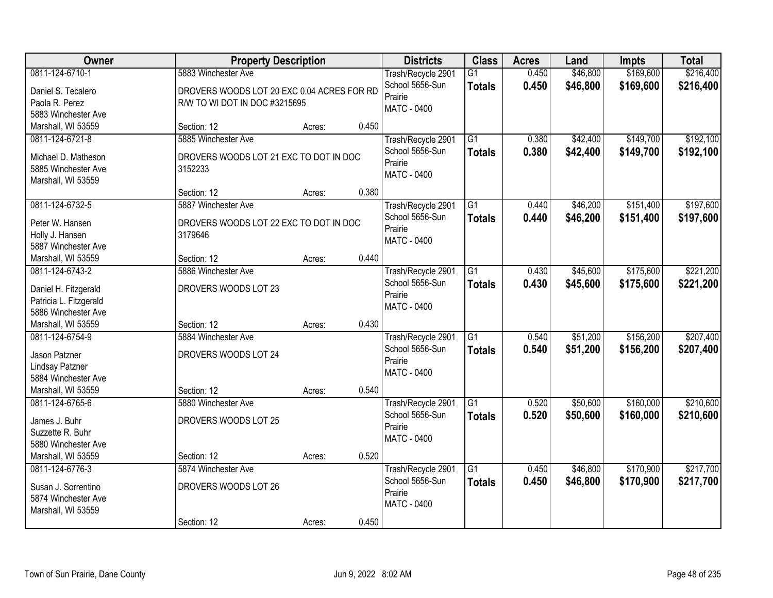| Owner                  | <b>Property Description</b>                |        |       | <b>Districts</b>           | <b>Class</b>    | <b>Acres</b> | Land     | <b>Impts</b> | <b>Total</b> |
|------------------------|--------------------------------------------|--------|-------|----------------------------|-----------------|--------------|----------|--------------|--------------|
| 0811-124-6710-1        | 5883 Winchester Ave                        |        |       | Trash/Recycle 2901         | $\overline{G1}$ | 0.450        | \$46,800 | \$169,600    | \$216,400    |
| Daniel S. Tecalero     | DROVERS WOODS LOT 20 EXC 0.04 ACRES FOR RD |        |       | School 5656-Sun            | <b>Totals</b>   | 0.450        | \$46,800 | \$169,600    | \$216,400    |
| Paola R. Perez         | R/W TO WI DOT IN DOC #3215695              |        |       | Prairie                    |                 |              |          |              |              |
| 5883 Winchester Ave    |                                            |        |       | <b>MATC - 0400</b>         |                 |              |          |              |              |
| Marshall, WI 53559     | Section: 12                                | Acres: | 0.450 |                            |                 |              |          |              |              |
| 0811-124-6721-8        | 5885 Winchester Ave                        |        |       | Trash/Recycle 2901         | $\overline{G1}$ | 0.380        | \$42,400 | \$149,700    | \$192,100    |
| Michael D. Matheson    | DROVERS WOODS LOT 21 EXC TO DOT IN DOC     |        |       | School 5656-Sun            | <b>Totals</b>   | 0.380        | \$42,400 | \$149,700    | \$192,100    |
| 5885 Winchester Ave    | 3152233                                    |        |       | Prairie                    |                 |              |          |              |              |
| Marshall, WI 53559     |                                            |        |       | <b>MATC - 0400</b>         |                 |              |          |              |              |
|                        | Section: 12                                | Acres: | 0.380 |                            |                 |              |          |              |              |
| 0811-124-6732-5        | 5887 Winchester Ave                        |        |       | Trash/Recycle 2901         | G1              | 0.440        | \$46,200 | \$151,400    | \$197,600    |
| Peter W. Hansen        | DROVERS WOODS LOT 22 EXC TO DOT IN DOC     |        |       | School 5656-Sun            | <b>Totals</b>   | 0.440        | \$46,200 | \$151,400    | \$197,600    |
| Holly J. Hansen        | 3179646                                    |        |       | Prairie                    |                 |              |          |              |              |
| 5887 Winchester Ave    |                                            |        |       | MATC - 0400                |                 |              |          |              |              |
| Marshall, WI 53559     | Section: 12                                | Acres: | 0.440 |                            |                 |              |          |              |              |
| 0811-124-6743-2        | 5886 Winchester Ave                        |        |       | Trash/Recycle 2901         | G1              | 0.430        | \$45,600 | \$175,600    | \$221,200    |
|                        |                                            |        |       | School 5656-Sun            | <b>Totals</b>   | 0.430        | \$45,600 | \$175,600    | \$221,200    |
| Daniel H. Fitzgerald   | DROVERS WOODS LOT 23                       |        |       | Prairie                    |                 |              |          |              |              |
| Patricia L. Fitzgerald |                                            |        |       | MATC - 0400                |                 |              |          |              |              |
| 5886 Winchester Ave    |                                            |        |       |                            |                 |              |          |              |              |
| Marshall, WI 53559     | Section: 12                                | Acres: | 0.430 |                            |                 |              |          |              |              |
| 0811-124-6754-9        | 5884 Winchester Ave                        |        |       | Trash/Recycle 2901         | $\overline{G1}$ | 0.540        | \$51,200 | \$156,200    | \$207,400    |
| Jason Patzner          | DROVERS WOODS LOT 24                       |        |       | School 5656-Sun<br>Prairie | <b>Totals</b>   | 0.540        | \$51,200 | \$156,200    | \$207,400    |
| Lindsay Patzner        |                                            |        |       | MATC - 0400                |                 |              |          |              |              |
| 5884 Winchester Ave    |                                            |        |       |                            |                 |              |          |              |              |
| Marshall, WI 53559     | Section: 12                                | Acres: | 0.540 |                            |                 |              |          |              |              |
| 0811-124-6765-6        | 5880 Winchester Ave                        |        |       | Trash/Recycle 2901         | $\overline{G1}$ | 0.520        | \$50,600 | \$160,000    | \$210,600    |
| James J. Buhr          | DROVERS WOODS LOT 25                       |        |       | School 5656-Sun            | <b>Totals</b>   | 0.520        | \$50,600 | \$160,000    | \$210,600    |
| Suzzette R. Buhr       |                                            |        |       | Prairie                    |                 |              |          |              |              |
| 5880 Winchester Ave    |                                            |        |       | MATC - 0400                |                 |              |          |              |              |
| Marshall, WI 53559     | Section: 12                                | Acres: | 0.520 |                            |                 |              |          |              |              |
| 0811-124-6776-3        | 5874 Winchester Ave                        |        |       | Trash/Recycle 2901         | $\overline{G1}$ | 0.450        | \$46,800 | \$170,900    | \$217,700    |
| Susan J. Sorrentino    | DROVERS WOODS LOT 26                       |        |       | School 5656-Sun            | <b>Totals</b>   | 0.450        | \$46,800 | \$170,900    | \$217,700    |
| 5874 Winchester Ave    |                                            |        |       | Prairie                    |                 |              |          |              |              |
| Marshall, WI 53559     |                                            |        |       | MATC - 0400                |                 |              |          |              |              |
|                        | Section: 12                                | Acres: | 0.450 |                            |                 |              |          |              |              |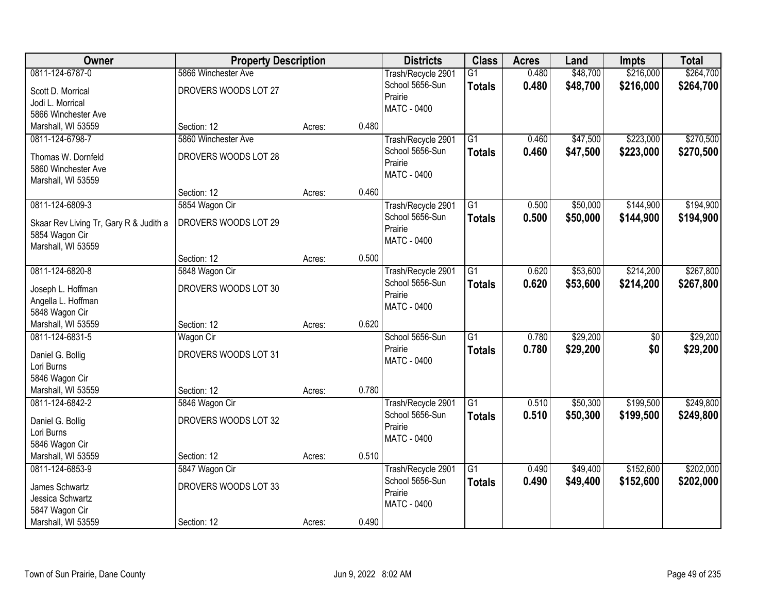| <b>Owner</b>                           | <b>Property Description</b> |        |       | <b>Districts</b>   | <b>Class</b>    | <b>Acres</b> | Land     | <b>Impts</b>    | <b>Total</b> |
|----------------------------------------|-----------------------------|--------|-------|--------------------|-----------------|--------------|----------|-----------------|--------------|
| 0811-124-6787-0                        | 5866 Winchester Ave         |        |       | Trash/Recycle 2901 | $\overline{G1}$ | 0.480        | \$48,700 | \$216,000       | \$264,700    |
| Scott D. Morrical                      | DROVERS WOODS LOT 27        |        |       | School 5656-Sun    | <b>Totals</b>   | 0.480        | \$48,700 | \$216,000       | \$264,700    |
| Jodi L. Morrical                       |                             |        |       | Prairie            |                 |              |          |                 |              |
| 5866 Winchester Ave                    |                             |        |       | <b>MATC - 0400</b> |                 |              |          |                 |              |
| Marshall, WI 53559                     | Section: 12                 | Acres: | 0.480 |                    |                 |              |          |                 |              |
| 0811-124-6798-7                        | 5860 Winchester Ave         |        |       | Trash/Recycle 2901 | G1              | 0.460        | \$47,500 | \$223,000       | \$270,500    |
| Thomas W. Dornfeld                     | DROVERS WOODS LOT 28        |        |       | School 5656-Sun    | <b>Totals</b>   | 0.460        | \$47,500 | \$223,000       | \$270,500    |
| 5860 Winchester Ave                    |                             |        |       | Prairie            |                 |              |          |                 |              |
| Marshall, WI 53559                     |                             |        |       | MATC - 0400        |                 |              |          |                 |              |
|                                        | Section: 12                 | Acres: | 0.460 |                    |                 |              |          |                 |              |
| 0811-124-6809-3                        | 5854 Wagon Cir              |        |       | Trash/Recycle 2901 | $\overline{G1}$ | 0.500        | \$50,000 | \$144,900       | \$194,900    |
| Skaar Rev Living Tr, Gary R & Judith a | DROVERS WOODS LOT 29        |        |       | School 5656-Sun    | <b>Totals</b>   | 0.500        | \$50,000 | \$144,900       | \$194,900    |
| 5854 Wagon Cir                         |                             |        |       | Prairie            |                 |              |          |                 |              |
| Marshall, WI 53559                     |                             |        |       | <b>MATC - 0400</b> |                 |              |          |                 |              |
|                                        | Section: 12                 | Acres: | 0.500 |                    |                 |              |          |                 |              |
| 0811-124-6820-8                        | 5848 Wagon Cir              |        |       | Trash/Recycle 2901 | $\overline{G1}$ | 0.620        | \$53,600 | \$214,200       | \$267,800    |
| Joseph L. Hoffman                      | DROVERS WOODS LOT 30        |        |       | School 5656-Sun    | <b>Totals</b>   | 0.620        | \$53,600 | \$214,200       | \$267,800    |
| Angella L. Hoffman                     |                             |        |       | Prairie            |                 |              |          |                 |              |
| 5848 Wagon Cir                         |                             |        |       | MATC - 0400        |                 |              |          |                 |              |
| Marshall, WI 53559                     | Section: 12                 | Acres: | 0.620 |                    |                 |              |          |                 |              |
| 0811-124-6831-5                        | <b>Wagon Cir</b>            |        |       | School 5656-Sun    | $\overline{G1}$ | 0.780        | \$29,200 | $\overline{30}$ | \$29,200     |
| Daniel G. Bollig                       | DROVERS WOODS LOT 31        |        |       | Prairie            | <b>Totals</b>   | 0.780        | \$29,200 | \$0             | \$29,200     |
| Lori Burns                             |                             |        |       | MATC - 0400        |                 |              |          |                 |              |
| 5846 Wagon Cir                         |                             |        |       |                    |                 |              |          |                 |              |
| Marshall, WI 53559                     | Section: 12                 | Acres: | 0.780 |                    |                 |              |          |                 |              |
| 0811-124-6842-2                        | 5846 Wagon Cir              |        |       | Trash/Recycle 2901 | $\overline{G1}$ | 0.510        | \$50,300 | \$199,500       | \$249,800    |
| Daniel G. Bollig                       | DROVERS WOODS LOT 32        |        |       | School 5656-Sun    | <b>Totals</b>   | 0.510        | \$50,300 | \$199,500       | \$249,800    |
| Lori Burns                             |                             |        |       | Prairie            |                 |              |          |                 |              |
| 5846 Wagon Cir                         |                             |        |       | MATC - 0400        |                 |              |          |                 |              |
| Marshall, WI 53559                     | Section: 12                 | Acres: | 0.510 |                    |                 |              |          |                 |              |
| 0811-124-6853-9                        | 5847 Wagon Cir              |        |       | Trash/Recycle 2901 | $\overline{G1}$ | 0.490        | \$49,400 | \$152,600       | \$202,000    |
| James Schwartz                         | DROVERS WOODS LOT 33        |        |       | School 5656-Sun    | <b>Totals</b>   | 0.490        | \$49,400 | \$152,600       | \$202,000    |
| Jessica Schwartz                       |                             |        |       | Prairie            |                 |              |          |                 |              |
| 5847 Wagon Cir                         |                             |        |       | <b>MATC - 0400</b> |                 |              |          |                 |              |
| Marshall, WI 53559                     | Section: 12                 | Acres: | 0.490 |                    |                 |              |          |                 |              |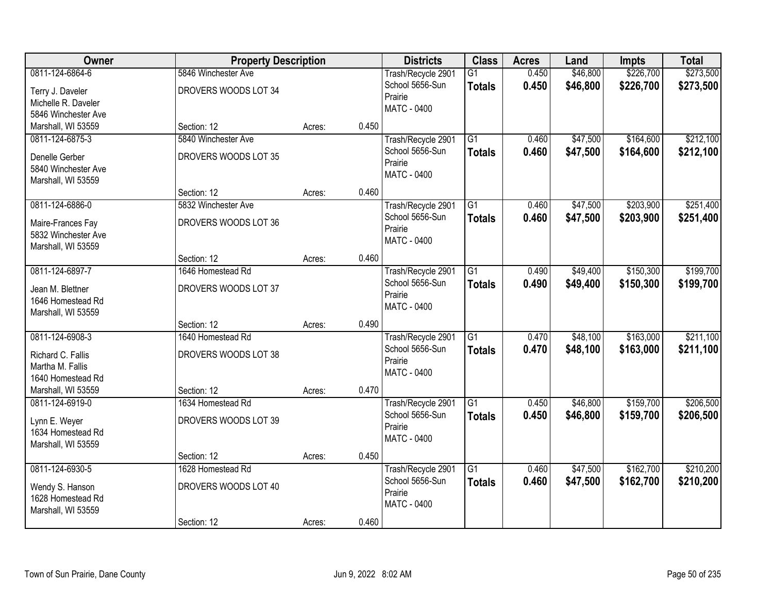| Owner                                                                             | <b>Property Description</b>                              |        |       | <b>Districts</b>                                                       | <b>Class</b>                     | <b>Acres</b>   | Land                 | <b>Impts</b>           | <b>Total</b>           |
|-----------------------------------------------------------------------------------|----------------------------------------------------------|--------|-------|------------------------------------------------------------------------|----------------------------------|----------------|----------------------|------------------------|------------------------|
| 0811-124-6864-6<br>Terry J. Daveler<br>Michelle R. Daveler<br>5846 Winchester Ave | 5846 Winchester Ave<br>DROVERS WOODS LOT 34              |        |       | Trash/Recycle 2901<br>School 5656-Sun<br>Prairie<br>MATC - 0400        | $\overline{G1}$<br><b>Totals</b> | 0.450<br>0.450 | \$46,800<br>\$46,800 | \$226,700<br>\$226,700 | \$273,500<br>\$273,500 |
| Marshall, WI 53559                                                                | Section: 12                                              | Acres: | 0.450 |                                                                        |                                  |                |                      |                        |                        |
| 0811-124-6875-3<br>Denelle Gerber<br>5840 Winchester Ave<br>Marshall, WI 53559    | 5840 Winchester Ave<br>DROVERS WOODS LOT 35              |        |       | Trash/Recycle 2901<br>School 5656-Sun<br>Prairie<br>MATC - 0400        | $\overline{G1}$<br><b>Totals</b> | 0.460<br>0.460 | \$47,500<br>\$47,500 | \$164,600<br>\$164,600 | \$212,100<br>\$212,100 |
|                                                                                   | Section: 12                                              | Acres: | 0.460 |                                                                        |                                  |                |                      |                        |                        |
| 0811-124-6886-0<br>Maire-Frances Fay<br>5832 Winchester Ave<br>Marshall, WI 53559 | 5832 Winchester Ave<br>DROVERS WOODS LOT 36              |        |       | Trash/Recycle 2901<br>School 5656-Sun<br>Prairie<br>MATC - 0400        | $\overline{G1}$<br><b>Totals</b> | 0.460<br>0.460 | \$47,500<br>\$47,500 | \$203,900<br>\$203,900 | \$251,400<br>\$251,400 |
|                                                                                   | Section: 12                                              | Acres: | 0.460 |                                                                        |                                  |                |                      |                        |                        |
| 0811-124-6897-7<br>Jean M. Blettner<br>1646 Homestead Rd<br>Marshall, WI 53559    | 1646 Homestead Rd<br>DROVERS WOODS LOT 37                |        |       | Trash/Recycle 2901<br>School 5656-Sun<br>Prairie<br>MATC - 0400        | $\overline{G1}$<br><b>Totals</b> | 0.490<br>0.490 | \$49,400<br>\$49,400 | \$150,300<br>\$150,300 | \$199,700<br>\$199,700 |
|                                                                                   | Section: 12                                              | Acres: | 0.490 |                                                                        |                                  |                |                      |                        |                        |
| 0811-124-6908-3<br>Richard C. Fallis<br>Martha M. Fallis<br>1640 Homestead Rd     | 1640 Homestead Rd<br>DROVERS WOODS LOT 38                |        |       | Trash/Recycle 2901<br>School 5656-Sun<br>Prairie<br>MATC - 0400        | $\overline{G1}$<br><b>Totals</b> | 0.470<br>0.470 | \$48,100<br>\$48,100 | \$163,000<br>\$163,000 | \$211,100<br>\$211,100 |
| Marshall, WI 53559                                                                | Section: 12                                              | Acres: | 0.470 |                                                                        |                                  |                |                      |                        |                        |
| 0811-124-6919-0<br>Lynn E. Weyer<br>1634 Homestead Rd<br>Marshall, WI 53559       | 1634 Homestead Rd<br>DROVERS WOODS LOT 39                |        |       | Trash/Recycle 2901<br>School 5656-Sun<br>Prairie<br><b>MATC - 0400</b> | $\overline{G1}$<br><b>Totals</b> | 0.450<br>0.450 | \$46,800<br>\$46,800 | \$159,700<br>\$159,700 | \$206,500<br>\$206,500 |
|                                                                                   | Section: 12                                              | Acres: | 0.450 |                                                                        |                                  |                |                      |                        |                        |
| 0811-124-6930-5<br>Wendy S. Hanson<br>1628 Homestead Rd<br>Marshall, WI 53559     | 1628 Homestead Rd<br>DROVERS WOODS LOT 40<br>Section: 12 | Acres: | 0.460 | Trash/Recycle 2901<br>School 5656-Sun<br>Prairie<br>MATC - 0400        | $\overline{G1}$<br><b>Totals</b> | 0.460<br>0.460 | \$47,500<br>\$47,500 | \$162,700<br>\$162,700 | \$210,200<br>\$210,200 |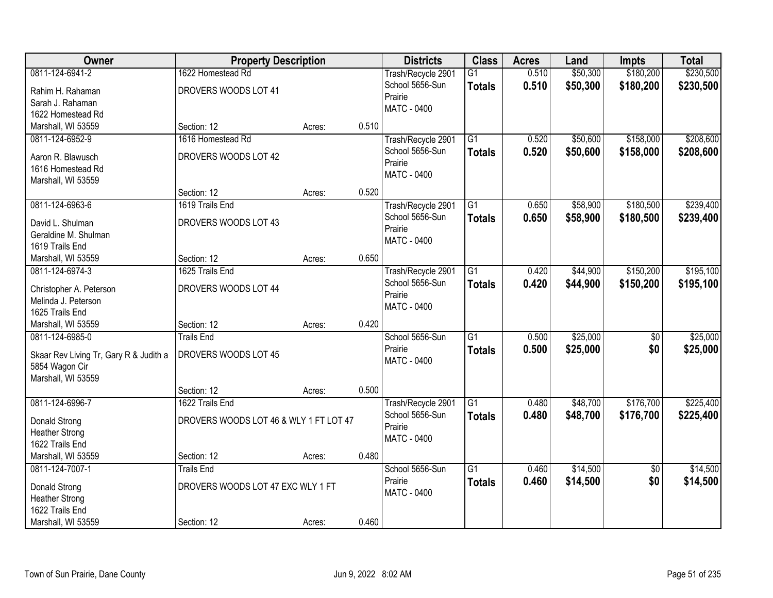| Owner                                  | <b>Property Description</b>            |        |       | <b>Districts</b>   | <b>Class</b>    | <b>Acres</b> | Land     | <b>Impts</b>    | <b>Total</b> |
|----------------------------------------|----------------------------------------|--------|-------|--------------------|-----------------|--------------|----------|-----------------|--------------|
| 0811-124-6941-2                        | 1622 Homestead Rd                      |        |       | Trash/Recycle 2901 | $\overline{G1}$ | 0.510        | \$50,300 | \$180,200       | \$230,500    |
| Rahim H. Rahaman                       | DROVERS WOODS LOT 41                   |        |       | School 5656-Sun    | <b>Totals</b>   | 0.510        | \$50,300 | \$180,200       | \$230,500    |
| Sarah J. Rahaman                       |                                        |        |       | Prairie            |                 |              |          |                 |              |
| 1622 Homestead Rd                      |                                        |        |       | <b>MATC - 0400</b> |                 |              |          |                 |              |
| Marshall, WI 53559                     | Section: 12                            | Acres: | 0.510 |                    |                 |              |          |                 |              |
| 0811-124-6952-9                        | 1616 Homestead Rd                      |        |       | Trash/Recycle 2901 | $\overline{G1}$ | 0.520        | \$50,600 | \$158,000       | \$208,600    |
| Aaron R. Blawusch                      | DROVERS WOODS LOT 42                   |        |       | School 5656-Sun    | <b>Totals</b>   | 0.520        | \$50,600 | \$158,000       | \$208,600    |
| 1616 Homestead Rd                      |                                        |        |       | Prairie            |                 |              |          |                 |              |
| Marshall, WI 53559                     |                                        |        |       | <b>MATC - 0400</b> |                 |              |          |                 |              |
|                                        | Section: 12                            | Acres: | 0.520 |                    |                 |              |          |                 |              |
| 0811-124-6963-6                        | 1619 Trails End                        |        |       | Trash/Recycle 2901 | $\overline{G1}$ | 0.650        | \$58,900 | \$180,500       | \$239,400    |
| David L. Shulman                       | DROVERS WOODS LOT 43                   |        |       | School 5656-Sun    | <b>Totals</b>   | 0.650        | \$58,900 | \$180,500       | \$239,400    |
| Geraldine M. Shulman                   |                                        |        |       | Prairie            |                 |              |          |                 |              |
| 1619 Trails End                        |                                        |        |       | MATC - 0400        |                 |              |          |                 |              |
| Marshall, WI 53559                     | Section: 12                            | Acres: | 0.650 |                    |                 |              |          |                 |              |
| 0811-124-6974-3                        | 1625 Trails End                        |        |       | Trash/Recycle 2901 | $\overline{G1}$ | 0.420        | \$44,900 | \$150,200       | \$195,100    |
|                                        |                                        |        |       | School 5656-Sun    | <b>Totals</b>   | 0.420        | \$44,900 | \$150,200       | \$195,100    |
| Christopher A. Peterson                | DROVERS WOODS LOT 44                   |        |       | Prairie            |                 |              |          |                 |              |
| Melinda J. Peterson                    |                                        |        |       | <b>MATC - 0400</b> |                 |              |          |                 |              |
| 1625 Trails End                        |                                        |        |       |                    |                 |              |          |                 |              |
| Marshall, WI 53559                     | Section: 12                            | Acres: | 0.420 |                    |                 |              |          |                 |              |
| 0811-124-6985-0                        | <b>Trails End</b>                      |        |       | School 5656-Sun    | $\overline{G1}$ | 0.500        | \$25,000 | \$0             | \$25,000     |
| Skaar Rev Living Tr, Gary R & Judith a | DROVERS WOODS LOT 45                   |        |       | Prairie            | <b>Totals</b>   | 0.500        | \$25,000 | \$0             | \$25,000     |
| 5854 Wagon Cir                         |                                        |        |       | MATC - 0400        |                 |              |          |                 |              |
| Marshall, WI 53559                     |                                        |        |       |                    |                 |              |          |                 |              |
|                                        | Section: 12                            | Acres: | 0.500 |                    |                 |              |          |                 |              |
| 0811-124-6996-7                        | 1622 Trails End                        |        |       | Trash/Recycle 2901 | $\overline{G1}$ | 0.480        | \$48,700 | \$176,700       | \$225,400    |
| Donald Strong                          | DROVERS WOODS LOT 46 & WLY 1 FT LOT 47 |        |       | School 5656-Sun    | <b>Totals</b>   | 0.480        | \$48,700 | \$176,700       | \$225,400    |
| <b>Heather Strong</b>                  |                                        |        |       | Prairie            |                 |              |          |                 |              |
| 1622 Trails End                        |                                        |        |       | MATC - 0400        |                 |              |          |                 |              |
| Marshall, WI 53559                     | Section: 12                            | Acres: | 0.480 |                    |                 |              |          |                 |              |
| 0811-124-7007-1                        | <b>Trails End</b>                      |        |       | School 5656-Sun    | $\overline{G1}$ | 0.460        | \$14,500 | $\overline{50}$ | \$14,500     |
| Donald Strong                          | DROVERS WOODS LOT 47 EXC WLY 1 FT      |        |       | Prairie            | <b>Totals</b>   | 0.460        | \$14,500 | \$0             | \$14,500     |
| <b>Heather Strong</b>                  |                                        |        |       | MATC - 0400        |                 |              |          |                 |              |
| 1622 Trails End                        |                                        |        |       |                    |                 |              |          |                 |              |
| Marshall, WI 53559                     | Section: 12                            | Acres: | 0.460 |                    |                 |              |          |                 |              |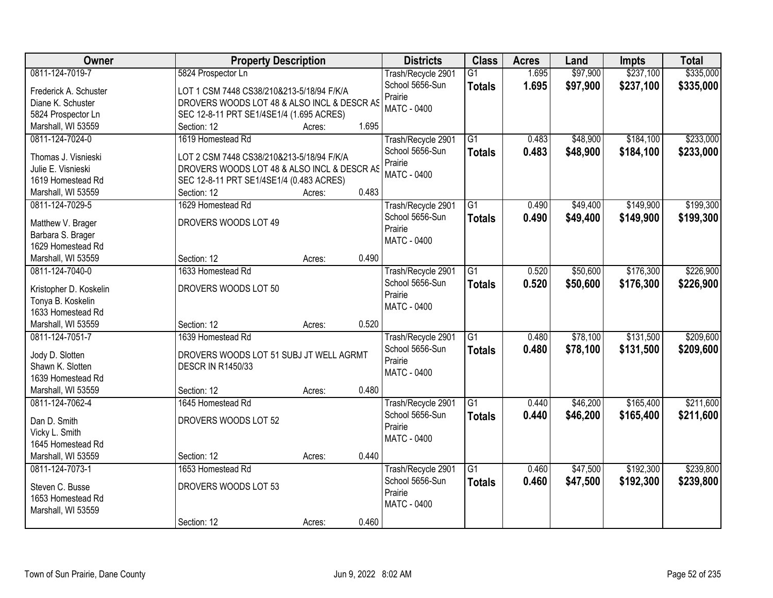| Owner                                  | <b>Property Description</b>                 |                 | <b>Districts</b>                      | <b>Class</b>    | <b>Acres</b> | Land     | <b>Impts</b> | <b>Total</b> |
|----------------------------------------|---------------------------------------------|-----------------|---------------------------------------|-----------------|--------------|----------|--------------|--------------|
| 0811-124-7019-7                        | 5824 Prospector Ln                          |                 | Trash/Recycle 2901                    | $\overline{G1}$ | 1.695        | \$97,900 | \$237,100    | \$335,000    |
| Frederick A. Schuster                  | LOT 1 CSM 7448 CS38/210&213-5/18/94 F/K/A   |                 | School 5656-Sun                       | <b>Totals</b>   | 1.695        | \$97,900 | \$237,100    | \$335,000    |
| Diane K. Schuster                      | DROVERS WOODS LOT 48 & ALSO INCL & DESCR AS |                 | Prairie                               |                 |              |          |              |              |
| 5824 Prospector Ln                     | SEC 12-8-11 PRT SE1/4SE1/4 (1.695 ACRES)    |                 | <b>MATC - 0400</b>                    |                 |              |          |              |              |
| Marshall, WI 53559                     | Section: 12                                 | 1.695<br>Acres: |                                       |                 |              |          |              |              |
| 0811-124-7024-0                        | 1619 Homestead Rd                           |                 | Trash/Recycle 2901                    | $\overline{G1}$ | 0.483        | \$48,900 | \$184,100    | \$233,000    |
|                                        |                                             |                 | School 5656-Sun                       | <b>Totals</b>   | 0.483        | \$48,900 | \$184,100    | \$233,000    |
| Thomas J. Visnieski                    | LOT 2 CSM 7448 CS38/210&213-5/18/94 F/K/A   |                 | Prairie                               |                 |              |          |              |              |
| Julie E. Visnieski                     | DROVERS WOODS LOT 48 & ALSO INCL & DESCR AS |                 | <b>MATC - 0400</b>                    |                 |              |          |              |              |
| 1619 Homestead Rd                      | SEC 12-8-11 PRT SE1/4SE1/4 (0.483 ACRES)    |                 |                                       |                 |              |          |              |              |
| Marshall, WI 53559                     | Section: 12                                 | 0.483<br>Acres: |                                       |                 |              |          |              |              |
| 0811-124-7029-5                        | 1629 Homestead Rd                           |                 | Trash/Recycle 2901                    | G1              | 0.490        | \$49,400 | \$149,900    | \$199,300    |
| Matthew V. Brager                      | DROVERS WOODS LOT 49                        |                 | School 5656-Sun                       | <b>Totals</b>   | 0.490        | \$49,400 | \$149,900    | \$199,300    |
| Barbara S. Brager                      |                                             |                 | Prairie                               |                 |              |          |              |              |
| 1629 Homestead Rd                      |                                             |                 | MATC - 0400                           |                 |              |          |              |              |
| Marshall, WI 53559                     | Section: 12                                 | 0.490<br>Acres: |                                       |                 |              |          |              |              |
| 0811-124-7040-0                        | 1633 Homestead Rd                           |                 | Trash/Recycle 2901                    | G1              | 0.520        | \$50,600 | \$176,300    | \$226,900    |
|                                        |                                             |                 | School 5656-Sun                       | <b>Totals</b>   | 0.520        | \$50,600 | \$176,300    | \$226,900    |
| Kristopher D. Koskelin                 | DROVERS WOODS LOT 50                        |                 | Prairie                               |                 |              |          |              |              |
| Tonya B. Koskelin<br>1633 Homestead Rd |                                             |                 | MATC - 0400                           |                 |              |          |              |              |
| Marshall, WI 53559                     | Section: 12                                 | 0.520           |                                       |                 |              |          |              |              |
| 0811-124-7051-7                        | 1639 Homestead Rd                           | Acres:          |                                       | $\overline{G1}$ | 0.480        | \$78,100 | \$131,500    | \$209,600    |
|                                        |                                             |                 | Trash/Recycle 2901<br>School 5656-Sun |                 |              |          |              |              |
| Jody D. Slotten                        | DROVERS WOODS LOT 51 SUBJ JT WELL AGRMT     |                 | Prairie                               | <b>Totals</b>   | 0.480        | \$78,100 | \$131,500    | \$209,600    |
| Shawn K. Slotten                       | <b>DESCR IN R1450/33</b>                    |                 | MATC - 0400                           |                 |              |          |              |              |
| 1639 Homestead Rd                      |                                             |                 |                                       |                 |              |          |              |              |
| Marshall, WI 53559                     | Section: 12                                 | 0.480<br>Acres: |                                       |                 |              |          |              |              |
| 0811-124-7062-4                        | 1645 Homestead Rd                           |                 | Trash/Recycle 2901                    | $\overline{G1}$ | 0.440        | \$46,200 | \$165,400    | \$211,600    |
| Dan D. Smith                           | DROVERS WOODS LOT 52                        |                 | School 5656-Sun                       | <b>Totals</b>   | 0.440        | \$46,200 | \$165,400    | \$211,600    |
| Vicky L. Smith                         |                                             |                 | Prairie                               |                 |              |          |              |              |
| 1645 Homestead Rd                      |                                             |                 | MATC - 0400                           |                 |              |          |              |              |
| Marshall, WI 53559                     | Section: 12                                 | 0.440<br>Acres: |                                       |                 |              |          |              |              |
| 0811-124-7073-1                        | 1653 Homestead Rd                           |                 | Trash/Recycle 2901                    | $\overline{G1}$ | 0.460        | \$47,500 | \$192,300    | \$239,800    |
|                                        |                                             |                 | School 5656-Sun                       | <b>Totals</b>   | 0.460        | \$47,500 | \$192,300    | \$239,800    |
| Steven C. Busse                        | DROVERS WOODS LOT 53                        |                 | Prairie                               |                 |              |          |              |              |
| 1653 Homestead Rd                      |                                             |                 | MATC - 0400                           |                 |              |          |              |              |
| Marshall, WI 53559                     |                                             |                 |                                       |                 |              |          |              |              |
|                                        | Section: 12                                 | 0.460<br>Acres: |                                       |                 |              |          |              |              |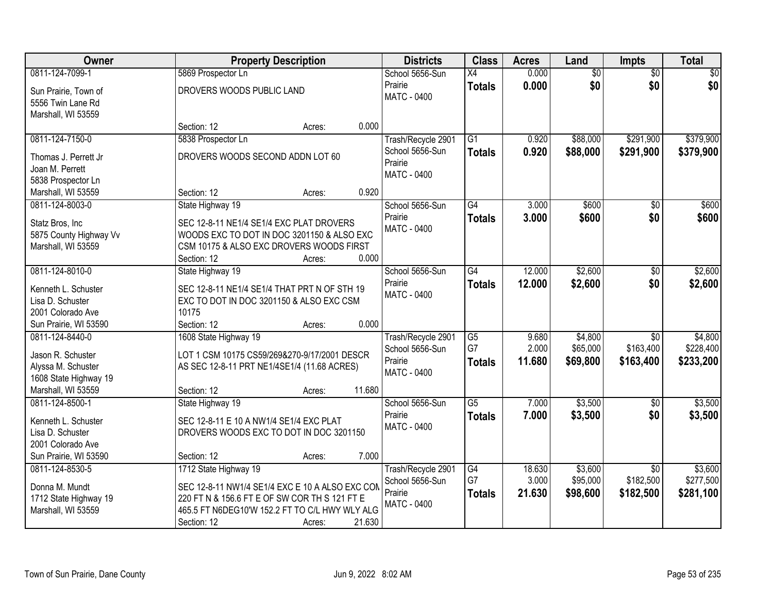| <b>Owner</b>                            | <b>Property Description</b>                                                                 |                  | <b>Districts</b>   | <b>Class</b>    | <b>Acres</b> | Land            | <b>Impts</b>    | <b>Total</b>    |
|-----------------------------------------|---------------------------------------------------------------------------------------------|------------------|--------------------|-----------------|--------------|-----------------|-----------------|-----------------|
| 0811-124-7099-1                         | 5869 Prospector Ln                                                                          |                  | School 5656-Sun    | $\overline{X4}$ | 0.000        | $\overline{50}$ | $\overline{50}$ | $\overline{30}$ |
| Sun Prairie, Town of                    | DROVERS WOODS PUBLIC LAND                                                                   |                  | Prairie            | <b>Totals</b>   | 0.000        | \$0             | \$0             | \$0             |
| 5556 Twin Lane Rd                       |                                                                                             |                  | <b>MATC - 0400</b> |                 |              |                 |                 |                 |
| Marshall, WI 53559                      |                                                                                             |                  |                    |                 |              |                 |                 |                 |
|                                         | Section: 12                                                                                 | 0.000<br>Acres:  |                    |                 |              |                 |                 |                 |
| 0811-124-7150-0                         | 5838 Prospector Ln                                                                          |                  | Trash/Recycle 2901 | $\overline{G1}$ | 0.920        | \$88,000        | \$291,900       | \$379,900       |
| Thomas J. Perrett Jr                    | DROVERS WOODS SECOND ADDN LOT 60                                                            |                  | School 5656-Sun    | Totals          | 0.920        | \$88,000        | \$291,900       | \$379,900       |
| Joan M. Perrett                         |                                                                                             |                  | Prairie            |                 |              |                 |                 |                 |
| 5838 Prospector Ln                      |                                                                                             |                  | <b>MATC - 0400</b> |                 |              |                 |                 |                 |
| Marshall, WI 53559                      | Section: 12                                                                                 | 0.920<br>Acres:  |                    |                 |              |                 |                 |                 |
| 0811-124-8003-0                         | State Highway 19                                                                            |                  | School 5656-Sun    | G4              | 3.000        | \$600           | \$0             | \$600           |
| Statz Bros, Inc.                        | SEC 12-8-11 NE1/4 SE1/4 EXC PLAT DROVERS                                                    |                  | Prairie            | <b>Totals</b>   | 3.000        | \$600           | \$0             | \$600           |
| 5875 County Highway Vv                  | WOODS EXC TO DOT IN DOC 3201150 & ALSO EXC                                                  |                  | <b>MATC - 0400</b> |                 |              |                 |                 |                 |
| Marshall, WI 53559                      | CSM 10175 & ALSO EXC DROVERS WOODS FIRST                                                    |                  |                    |                 |              |                 |                 |                 |
|                                         | Section: 12                                                                                 | 0.000<br>Acres:  |                    |                 |              |                 |                 |                 |
| 0811-124-8010-0                         | State Highway 19                                                                            |                  | School 5656-Sun    | $\overline{G4}$ | 12.000       | \$2,600         | \$0             | \$2,600         |
| Kenneth L. Schuster                     | SEC 12-8-11 NE1/4 SE1/4 THAT PRT N OF STH 19                                                |                  | Prairie            | <b>Totals</b>   | 12.000       | \$2,600         | \$0             | \$2,600         |
| Lisa D. Schuster                        | EXC TO DOT IN DOC 3201150 & ALSO EXC CSM                                                    |                  | MATC - 0400        |                 |              |                 |                 |                 |
| 2001 Colorado Ave                       | 10175                                                                                       |                  |                    |                 |              |                 |                 |                 |
| Sun Prairie, WI 53590                   | Section: 12                                                                                 | 0.000<br>Acres:  |                    |                 |              |                 |                 |                 |
| 0811-124-8440-0                         | 1608 State Highway 19                                                                       |                  | Trash/Recycle 2901 | $\overline{G5}$ | 9.680        | \$4,800         | $\overline{50}$ | \$4,800         |
|                                         |                                                                                             |                  | School 5656-Sun    | G7              | 2.000        | \$65,000        | \$163,400       | \$228,400       |
| Jason R. Schuster<br>Alyssa M. Schuster | LOT 1 CSM 10175 CS59/269&270-9/17/2001 DESCR<br>AS SEC 12-8-11 PRT NE1/4SE1/4 (11.68 ACRES) |                  | Prairie            | <b>Totals</b>   | 11.680       | \$69,800        | \$163,400       | \$233,200       |
| 1608 State Highway 19                   |                                                                                             |                  | MATC - 0400        |                 |              |                 |                 |                 |
| Marshall, WI 53559                      | Section: 12                                                                                 | 11.680<br>Acres: |                    |                 |              |                 |                 |                 |
| 0811-124-8500-1                         | State Highway 19                                                                            |                  | School 5656-Sun    | $\overline{G5}$ | 7.000        | \$3,500         | \$0             | \$3,500         |
|                                         |                                                                                             |                  | Prairie            | <b>Totals</b>   | 7.000        | \$3,500         | \$0             | \$3,500         |
| Kenneth L. Schuster                     | SEC 12-8-11 E 10 A NW1/4 SE1/4 EXC PLAT                                                     |                  | <b>MATC - 0400</b> |                 |              |                 |                 |                 |
| Lisa D. Schuster<br>2001 Colorado Ave   | DROVERS WOODS EXC TO DOT IN DOC 3201150                                                     |                  |                    |                 |              |                 |                 |                 |
| Sun Prairie, WI 53590                   | Section: 12                                                                                 | 7.000<br>Acres:  |                    |                 |              |                 |                 |                 |
| 0811-124-8530-5                         | 1712 State Highway 19                                                                       |                  | Trash/Recycle 2901 | G4              | 18.630       | \$3,600         | $\overline{30}$ | \$3,600         |
|                                         |                                                                                             |                  | School 5656-Sun    | G7              | 3.000        | \$95,000        | \$182,500       | \$277,500       |
| Donna M. Mundt                          | SEC 12-8-11 NW1/4 SE1/4 EXC E 10 A ALSO EXC CON                                             |                  | Prairie            | <b>Totals</b>   | 21.630       | \$98,600        | \$182,500       | \$281,100       |
| 1712 State Highway 19                   | 220 FT N & 156.6 FT E OF SW COR TH S 121 FT E                                               |                  | <b>MATC - 0400</b> |                 |              |                 |                 |                 |
| Marshall, WI 53559                      | 465.5 FT N6DEG10'W 152.2 FT TO C/L HWY WLY ALG                                              | 21.630           |                    |                 |              |                 |                 |                 |
|                                         | Section: 12                                                                                 | Acres:           |                    |                 |              |                 |                 |                 |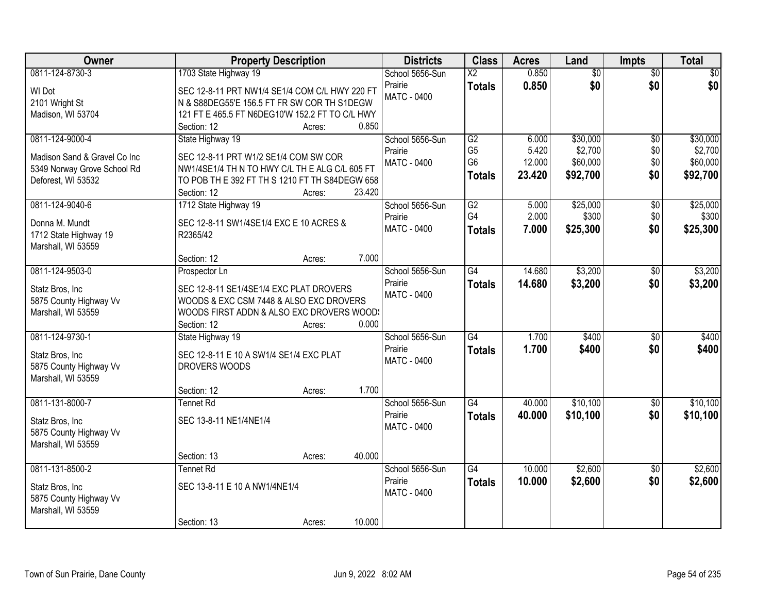| 0811-124-8730-3<br>1703 State Highway 19<br>0.850<br>$\overline{60}$<br>$\overline{30}$<br>School 5656-Sun<br>$\overline{X2}$<br>0.850<br>\$0<br>\$0<br>Prairie<br><b>Totals</b><br>WI Dot<br>SEC 12-8-11 PRT NW1/4 SE1/4 COM C/L HWY 220 FT<br><b>MATC - 0400</b><br>2101 Wright St<br>N & S88DEG55'E 156.5 FT FR SW COR TH S1DEGW<br>121 FT E 465.5 FT N6DEG10'W 152.2 FT TO C/L HWY<br>Madison, WI 53704<br>0.850<br>Section: 12<br>Acres:<br>0811-124-9000-4<br>State Highway 19<br>\$30,000<br>$\overline{50}$<br>School 5656-Sun<br>G2<br>6.000<br>G <sub>5</sub><br>\$2,700<br>5.420<br>\$0<br>Prairie<br>Madison Sand & Gravel Co Inc<br>SEC 12-8-11 PRT W1/2 SE1/4 COM SW COR<br>G <sub>6</sub><br>\$0<br>12.000<br>\$60,000<br>MATC - 0400<br>5349 Norway Grove School Rd<br>NW1/4SE1/4 TH N TO HWY C/L TH E ALG C/L 605 FT<br>\$0<br>\$92,700<br>23.420<br><b>Totals</b><br>TO POB TH E 392 FT TH S 1210 FT TH S84DEGW 658<br>Deforest, WI 53532<br>23.420<br>Section: 12<br>Acres: | <b>Owner</b> | <b>Property Description</b> | <b>Districts</b> | <b>Class</b> | <b>Acres</b> | Land | Impts | <b>Total</b> |
|------------------------------------------------------------------------------------------------------------------------------------------------------------------------------------------------------------------------------------------------------------------------------------------------------------------------------------------------------------------------------------------------------------------------------------------------------------------------------------------------------------------------------------------------------------------------------------------------------------------------------------------------------------------------------------------------------------------------------------------------------------------------------------------------------------------------------------------------------------------------------------------------------------------------------------------------------------------------------------------------|--------------|-----------------------------|------------------|--------------|--------------|------|-------|--------------|
|                                                                                                                                                                                                                                                                                                                                                                                                                                                                                                                                                                                                                                                                                                                                                                                                                                                                                                                                                                                                |              |                             |                  |              |              |      |       | \$0          |
|                                                                                                                                                                                                                                                                                                                                                                                                                                                                                                                                                                                                                                                                                                                                                                                                                                                                                                                                                                                                |              |                             |                  |              |              |      |       | \$0          |
|                                                                                                                                                                                                                                                                                                                                                                                                                                                                                                                                                                                                                                                                                                                                                                                                                                                                                                                                                                                                |              |                             |                  |              |              |      |       |              |
|                                                                                                                                                                                                                                                                                                                                                                                                                                                                                                                                                                                                                                                                                                                                                                                                                                                                                                                                                                                                |              |                             |                  |              |              |      |       |              |
|                                                                                                                                                                                                                                                                                                                                                                                                                                                                                                                                                                                                                                                                                                                                                                                                                                                                                                                                                                                                |              |                             |                  |              |              |      |       |              |
|                                                                                                                                                                                                                                                                                                                                                                                                                                                                                                                                                                                                                                                                                                                                                                                                                                                                                                                                                                                                |              |                             |                  |              |              |      |       | \$30,000     |
|                                                                                                                                                                                                                                                                                                                                                                                                                                                                                                                                                                                                                                                                                                                                                                                                                                                                                                                                                                                                |              |                             |                  |              |              |      |       | \$2,700      |
|                                                                                                                                                                                                                                                                                                                                                                                                                                                                                                                                                                                                                                                                                                                                                                                                                                                                                                                                                                                                |              |                             |                  |              |              |      |       | \$60,000     |
|                                                                                                                                                                                                                                                                                                                                                                                                                                                                                                                                                                                                                                                                                                                                                                                                                                                                                                                                                                                                |              |                             |                  |              |              |      |       | \$92,700     |
|                                                                                                                                                                                                                                                                                                                                                                                                                                                                                                                                                                                                                                                                                                                                                                                                                                                                                                                                                                                                |              |                             |                  |              |              |      |       |              |
| 0811-124-9040-6<br>G2<br>\$25,000<br>$\overline{50}$<br>1712 State Highway 19<br>School 5656-Sun<br>5.000                                                                                                                                                                                                                                                                                                                                                                                                                                                                                                                                                                                                                                                                                                                                                                                                                                                                                      |              |                             |                  |              |              |      |       | \$25,000     |
| G4<br>\$0<br>2.000<br>\$300<br>Prairie                                                                                                                                                                                                                                                                                                                                                                                                                                                                                                                                                                                                                                                                                                                                                                                                                                                                                                                                                         |              |                             |                  |              |              |      |       | \$300        |
| Donna M. Mundt<br>SEC 12-8-11 SW1/4SE1/4 EXC E 10 ACRES &<br>MATC - 0400<br>\$25,300<br>\$0<br>7.000<br><b>Totals</b>                                                                                                                                                                                                                                                                                                                                                                                                                                                                                                                                                                                                                                                                                                                                                                                                                                                                          |              |                             |                  |              |              |      |       | \$25,300     |
| R2365/42<br>1712 State Highway 19                                                                                                                                                                                                                                                                                                                                                                                                                                                                                                                                                                                                                                                                                                                                                                                                                                                                                                                                                              |              |                             |                  |              |              |      |       |              |
| Marshall, WI 53559<br>7.000<br>Section: 12<br>Acres:                                                                                                                                                                                                                                                                                                                                                                                                                                                                                                                                                                                                                                                                                                                                                                                                                                                                                                                                           |              |                             |                  |              |              |      |       |              |
| \$3,200<br>0811-124-9503-0<br>School 5656-Sun<br>G4<br>14.680<br>\$0<br>Prospector Ln                                                                                                                                                                                                                                                                                                                                                                                                                                                                                                                                                                                                                                                                                                                                                                                                                                                                                                          |              |                             |                  |              |              |      |       | \$3,200      |
| Prairie<br>14.680<br>\$3,200<br>\$0                                                                                                                                                                                                                                                                                                                                                                                                                                                                                                                                                                                                                                                                                                                                                                                                                                                                                                                                                            |              |                             |                  |              |              |      |       | \$3,200      |
| <b>Totals</b><br>Statz Bros, Inc<br>SEC 12-8-11 SE1/4SE1/4 EXC PLAT DROVERS<br>MATC - 0400                                                                                                                                                                                                                                                                                                                                                                                                                                                                                                                                                                                                                                                                                                                                                                                                                                                                                                     |              |                             |                  |              |              |      |       |              |
| WOODS & EXC CSM 7448 & ALSO EXC DROVERS<br>5875 County Highway Vv                                                                                                                                                                                                                                                                                                                                                                                                                                                                                                                                                                                                                                                                                                                                                                                                                                                                                                                              |              |                             |                  |              |              |      |       |              |
| Marshall, WI 53559<br>WOODS FIRST ADDN & ALSO EXC DROVERS WOOD!                                                                                                                                                                                                                                                                                                                                                                                                                                                                                                                                                                                                                                                                                                                                                                                                                                                                                                                                |              |                             |                  |              |              |      |       |              |
| 0.000<br>Section: 12<br>Acres:                                                                                                                                                                                                                                                                                                                                                                                                                                                                                                                                                                                                                                                                                                                                                                                                                                                                                                                                                                 |              |                             |                  |              |              |      |       |              |
| 0811-124-9730-1<br>$\overline{G4}$<br>1.700<br>\$400<br>$\overline{30}$<br>School 5656-Sun<br>State Highway 19                                                                                                                                                                                                                                                                                                                                                                                                                                                                                                                                                                                                                                                                                                                                                                                                                                                                                 |              |                             |                  |              |              |      |       | \$400        |
| 1.700<br>\$400<br>Prairie<br>\$0<br><b>Totals</b><br>Statz Bros, Inc.<br>SEC 12-8-11 E 10 A SW1/4 SE1/4 EXC PLAT                                                                                                                                                                                                                                                                                                                                                                                                                                                                                                                                                                                                                                                                                                                                                                                                                                                                               |              |                             |                  |              |              |      |       | \$400        |
| <b>MATC - 0400</b><br>5875 County Highway Vv<br>DROVERS WOODS                                                                                                                                                                                                                                                                                                                                                                                                                                                                                                                                                                                                                                                                                                                                                                                                                                                                                                                                  |              |                             |                  |              |              |      |       |              |
| Marshall, WI 53559                                                                                                                                                                                                                                                                                                                                                                                                                                                                                                                                                                                                                                                                                                                                                                                                                                                                                                                                                                             |              |                             |                  |              |              |      |       |              |
| 1.700<br>Section: 12<br>Acres:                                                                                                                                                                                                                                                                                                                                                                                                                                                                                                                                                                                                                                                                                                                                                                                                                                                                                                                                                                 |              |                             |                  |              |              |      |       |              |
| $\overline{G4}$<br>\$10,100<br>0811-131-8000-7<br>School 5656-Sun<br>40.000<br>$\overline{60}$<br><b>Tennet Rd</b>                                                                                                                                                                                                                                                                                                                                                                                                                                                                                                                                                                                                                                                                                                                                                                                                                                                                             |              |                             |                  |              |              |      |       | \$10,100     |
| Prairie<br>\$10,100<br>\$0<br>40.000<br><b>Totals</b><br>SEC 13-8-11 NE1/4NE1/4<br>Statz Bros, Inc                                                                                                                                                                                                                                                                                                                                                                                                                                                                                                                                                                                                                                                                                                                                                                                                                                                                                             |              |                             |                  |              |              |      |       | \$10,100     |
| <b>MATC - 0400</b><br>5875 County Highway Vv                                                                                                                                                                                                                                                                                                                                                                                                                                                                                                                                                                                                                                                                                                                                                                                                                                                                                                                                                   |              |                             |                  |              |              |      |       |              |
| Marshall, WI 53559                                                                                                                                                                                                                                                                                                                                                                                                                                                                                                                                                                                                                                                                                                                                                                                                                                                                                                                                                                             |              |                             |                  |              |              |      |       |              |
| 40.000<br>Section: 13<br>Acres:                                                                                                                                                                                                                                                                                                                                                                                                                                                                                                                                                                                                                                                                                                                                                                                                                                                                                                                                                                |              |                             |                  |              |              |      |       |              |
| 0811-131-8500-2<br>10.000<br>\$2,600<br><b>Tennet Rd</b><br>School 5656-Sun<br>G4<br>$\overline{30}$                                                                                                                                                                                                                                                                                                                                                                                                                                                                                                                                                                                                                                                                                                                                                                                                                                                                                           |              |                             |                  |              |              |      |       | \$2,600      |
| \$0<br>Prairie<br>10.000<br>\$2,600<br><b>Totals</b>                                                                                                                                                                                                                                                                                                                                                                                                                                                                                                                                                                                                                                                                                                                                                                                                                                                                                                                                           |              |                             |                  |              |              |      |       | \$2,600      |
| SEC 13-8-11 E 10 A NW1/4NE1/4<br>Statz Bros, Inc<br><b>MATC - 0400</b><br>5875 County Highway Vv                                                                                                                                                                                                                                                                                                                                                                                                                                                                                                                                                                                                                                                                                                                                                                                                                                                                                               |              |                             |                  |              |              |      |       |              |
| Marshall, WI 53559                                                                                                                                                                                                                                                                                                                                                                                                                                                                                                                                                                                                                                                                                                                                                                                                                                                                                                                                                                             |              |                             |                  |              |              |      |       |              |
| 10.000<br>Section: 13<br>Acres:                                                                                                                                                                                                                                                                                                                                                                                                                                                                                                                                                                                                                                                                                                                                                                                                                                                                                                                                                                |              |                             |                  |              |              |      |       |              |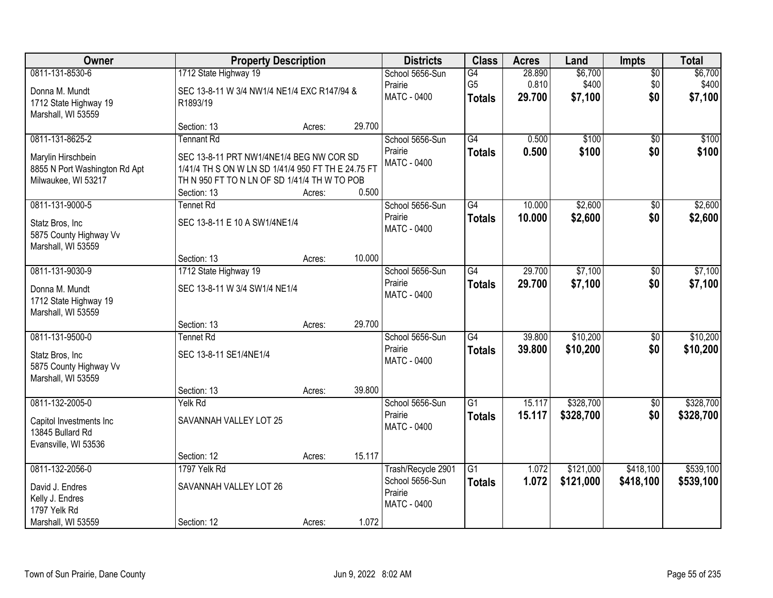| Owner                                                                                         |                                                                                                                                                                                    | <b>Property Description</b> |        | <b>Districts</b>                                                | <b>Class</b>                          | <b>Acres</b>              | Land                        | Impts                         | <b>Total</b>                |
|-----------------------------------------------------------------------------------------------|------------------------------------------------------------------------------------------------------------------------------------------------------------------------------------|-----------------------------|--------|-----------------------------------------------------------------|---------------------------------------|---------------------------|-----------------------------|-------------------------------|-----------------------------|
| 0811-131-8530-6<br>Donna M. Mundt<br>1712 State Highway 19<br>Marshall, WI 53559              | 1712 State Highway 19<br>SEC 13-8-11 W 3/4 NW1/4 NE1/4 EXC R147/94 &<br>R1893/19                                                                                                   |                             |        | School 5656-Sun<br>Prairie<br><b>MATC - 0400</b>                | G4<br>G <sub>5</sub><br><b>Totals</b> | 28.890<br>0.810<br>29.700 | \$6,700<br>\$400<br>\$7,100 | $\overline{50}$<br>\$0<br>\$0 | \$6,700<br>\$400<br>\$7,100 |
|                                                                                               | Section: 13                                                                                                                                                                        | Acres:                      | 29.700 |                                                                 |                                       |                           |                             |                               |                             |
| 0811-131-8625-2<br>Marylin Hirschbein<br>8855 N Port Washington Rd Apt<br>Milwaukee, WI 53217 | <b>Tennant Rd</b><br>SEC 13-8-11 PRT NW1/4NE1/4 BEG NW COR SD<br>1/41/4 TH S ON W LN SD 1/41/4 950 FT TH E 24.75 FT<br>TH N 950 FT TO N LN OF SD 1/41/4 TH W TO POB<br>Section: 13 | Acres:                      | 0.500  | School 5656-Sun<br>Prairie<br>MATC - 0400                       | G4<br><b>Totals</b>                   | 0.500<br>0.500            | \$100<br>\$100              | $\overline{50}$<br>\$0        | \$100<br>\$100              |
| 0811-131-9000-5<br>Statz Bros, Inc<br>5875 County Highway Vv                                  | Tennet Rd<br>SEC 13-8-11 E 10 A SW1/4NE1/4                                                                                                                                         |                             |        | School 5656-Sun<br>Prairie<br><b>MATC - 0400</b>                | G4<br><b>Totals</b>                   | 10.000<br>10.000          | \$2,600<br>\$2,600          | \$0<br>\$0                    | \$2,600<br>\$2,600          |
| Marshall, WI 53559                                                                            | Section: 13                                                                                                                                                                        | Acres:                      | 10.000 |                                                                 |                                       |                           |                             |                               |                             |
| 0811-131-9030-9                                                                               | 1712 State Highway 19                                                                                                                                                              |                             |        | School 5656-Sun                                                 | $\overline{G4}$                       | 29.700                    | \$7,100                     | \$0                           | \$7,100                     |
| Donna M. Mundt<br>1712 State Highway 19<br>Marshall, WI 53559                                 | SEC 13-8-11 W 3/4 SW1/4 NE1/4                                                                                                                                                      |                             |        | Prairie<br><b>MATC - 0400</b>                                   | <b>Totals</b>                         | 29.700                    | \$7,100                     | \$0                           | \$7,100                     |
|                                                                                               | Section: 13                                                                                                                                                                        | Acres:                      | 29.700 |                                                                 |                                       |                           |                             |                               |                             |
| 0811-131-9500-0<br>Statz Bros, Inc<br>5875 County Highway Vv<br>Marshall, WI 53559            | <b>Tennet Rd</b><br>SEC 13-8-11 SE1/4NE1/4<br>Section: 13                                                                                                                          | Acres:                      | 39.800 | School 5656-Sun<br>Prairie<br><b>MATC - 0400</b>                | $\overline{G4}$<br><b>Totals</b>      | 39.800<br>39.800          | \$10,200<br>\$10,200        | $\overline{50}$<br>\$0        | \$10,200<br>\$10,200        |
| 0811-132-2005-0                                                                               | Yelk Rd                                                                                                                                                                            |                             |        | School 5656-Sun                                                 | $\overline{G1}$                       | 15.117                    | \$328,700                   | $\overline{50}$               | \$328,700                   |
| Capitol Investments Inc<br>13845 Bullard Rd<br>Evansville, WI 53536                           | SAVANNAH VALLEY LOT 25                                                                                                                                                             |                             |        | Prairie<br>MATC - 0400                                          | <b>Totals</b>                         | 15.117                    | \$328,700                   | \$0                           | \$328,700                   |
|                                                                                               | Section: 12                                                                                                                                                                        | Acres:                      | 15.117 |                                                                 |                                       |                           |                             |                               |                             |
| 0811-132-2056-0<br>David J. Endres<br>Kelly J. Endres<br>1797 Yelk Rd<br>Marshall, WI 53559   | 1797 Yelk Rd<br>SAVANNAH VALLEY LOT 26<br>Section: 12                                                                                                                              | Acres:                      | 1.072  | Trash/Recycle 2901<br>School 5656-Sun<br>Prairie<br>MATC - 0400 | $\overline{G1}$<br><b>Totals</b>      | 1.072<br>1.072            | \$121,000<br>\$121,000      | \$418,100<br>\$418,100        | \$539,100<br>\$539,100      |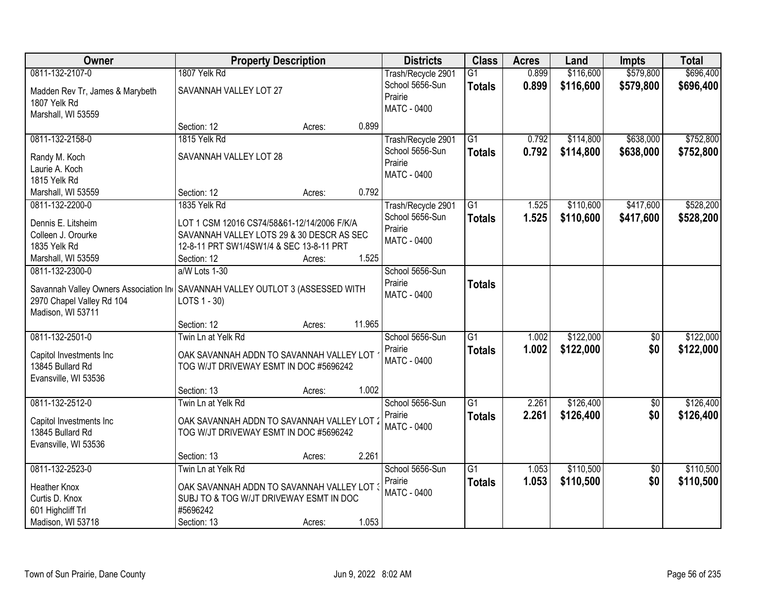| Owner                                    | <b>Property Description</b>                                                              |                  | <b>Districts</b>   | <b>Class</b>    | <b>Acres</b> | Land      | <b>Impts</b>    | <b>Total</b> |
|------------------------------------------|------------------------------------------------------------------------------------------|------------------|--------------------|-----------------|--------------|-----------|-----------------|--------------|
| 0811-132-2107-0                          | 1807 Yelk Rd                                                                             |                  | Trash/Recycle 2901 | $\overline{G1}$ | 0.899        | \$116,600 | \$579,800       | \$696,400    |
| Madden Rev Tr, James & Marybeth          | SAVANNAH VALLEY LOT 27                                                                   |                  | School 5656-Sun    | <b>Totals</b>   | 0.899        | \$116,600 | \$579,800       | \$696,400    |
| 1807 Yelk Rd                             |                                                                                          |                  | Prairie            |                 |              |           |                 |              |
| Marshall, WI 53559                       |                                                                                          |                  | <b>MATC - 0400</b> |                 |              |           |                 |              |
|                                          | Section: 12                                                                              | Acres:           | 0.899              |                 |              |           |                 |              |
| 0811-132-2158-0                          | 1815 Yelk Rd                                                                             |                  | Trash/Recycle 2901 | $\overline{G1}$ | 0.792        | \$114,800 | \$638,000       | \$752,800    |
| Randy M. Koch                            | SAVANNAH VALLEY LOT 28                                                                   |                  | School 5656-Sun    | <b>Totals</b>   | 0.792        | \$114,800 | \$638,000       | \$752,800    |
| Laurie A. Koch                           |                                                                                          |                  | Prairie            |                 |              |           |                 |              |
| 1815 Yelk Rd                             |                                                                                          |                  | MATC - 0400        |                 |              |           |                 |              |
| Marshall, WI 53559                       | Section: 12                                                                              | Acres:           | 0.792              |                 |              |           |                 |              |
| 0811-132-2200-0                          | 1835 Yelk Rd                                                                             |                  | Trash/Recycle 2901 | G1              | 1.525        | \$110,600 | \$417,600       | \$528,200    |
|                                          |                                                                                          |                  | School 5656-Sun    | <b>Totals</b>   | 1.525        | \$110,600 | \$417,600       | \$528,200    |
| Dennis E. Litsheim<br>Colleen J. Orourke | LOT 1 CSM 12016 CS74/58&61-12/14/2006 F/K/A<br>SAVANNAH VALLEY LOTS 29 & 30 DESCR AS SEC |                  | Prairie            |                 |              |           |                 |              |
| 1835 Yelk Rd                             | 12-8-11 PRT SW1/4SW1/4 & SEC 13-8-11 PRT                                                 |                  | MATC - 0400        |                 |              |           |                 |              |
| Marshall, WI 53559                       | Section: 12                                                                              | Acres:           | 1.525              |                 |              |           |                 |              |
| 0811-132-2300-0                          | a/W Lots 1-30                                                                            |                  | School 5656-Sun    |                 |              |           |                 |              |
|                                          |                                                                                          |                  | Prairie            |                 |              |           |                 |              |
| Savannah Valley Owners Association In    | SAVANNAH VALLEY OUTLOT 3 (ASSESSED WITH                                                  |                  | MATC - 0400        | <b>Totals</b>   |              |           |                 |              |
| 2970 Chapel Valley Rd 104                | LOTS 1 - 30)                                                                             |                  |                    |                 |              |           |                 |              |
| Madison, WI 53711                        |                                                                                          |                  |                    |                 |              |           |                 |              |
|                                          | Section: 12                                                                              | 11.965<br>Acres: |                    |                 |              |           |                 |              |
| 0811-132-2501-0                          | Twin Ln at Yelk Rd                                                                       |                  | School 5656-Sun    | $\overline{G1}$ | 1.002        | \$122,000 | \$0             | \$122,000    |
| Capitol Investments Inc                  | OAK SAVANNAH ADDN TO SAVANNAH VALLEY LOT                                                 |                  | Prairie            | <b>Totals</b>   | 1.002        | \$122,000 | \$0             | \$122,000    |
| 13845 Bullard Rd                         | TOG W/JT DRIVEWAY ESMT IN DOC #5696242                                                   |                  | MATC - 0400        |                 |              |           |                 |              |
| Evansville, WI 53536                     |                                                                                          |                  |                    |                 |              |           |                 |              |
|                                          | Section: 13                                                                              | Acres:           | 1.002              |                 |              |           |                 |              |
| 0811-132-2512-0                          | Twin Ln at Yelk Rd                                                                       |                  | School 5656-Sun    | $\overline{G1}$ | 2.261        | \$126,400 | $\overline{50}$ | \$126,400    |
| Capitol Investments Inc                  | OAK SAVANNAH ADDN TO SAVANNAH VALLEY LOT :                                               |                  | Prairie            | <b>Totals</b>   | 2.261        | \$126,400 | \$0             | \$126,400    |
| 13845 Bullard Rd                         | TOG W/JT DRIVEWAY ESMT IN DOC #5696242                                                   |                  | <b>MATC - 0400</b> |                 |              |           |                 |              |
| Evansville, WI 53536                     |                                                                                          |                  |                    |                 |              |           |                 |              |
|                                          | Section: 13                                                                              | Acres:           | 2.261              |                 |              |           |                 |              |
| 0811-132-2523-0                          | Twin Ln at Yelk Rd                                                                       |                  | School 5656-Sun    | $\overline{G1}$ | 1.053        | \$110,500 | $\overline{50}$ | \$110,500    |
|                                          |                                                                                          |                  | Prairie            | <b>Totals</b>   | 1.053        | \$110,500 | \$0             | \$110,500    |
| <b>Heather Knox</b>                      | OAK SAVANNAH ADDN TO SAVANNAH VALLEY LOT (                                               |                  | MATC - 0400        |                 |              |           |                 |              |
| Curtis D. Knox                           | SUBJ TO & TOG W/JT DRIVEWAY ESMT IN DOC                                                  |                  |                    |                 |              |           |                 |              |
| 601 Highcliff Trl                        | #5696242                                                                                 |                  |                    |                 |              |           |                 |              |
| Madison, WI 53718                        | Section: 13                                                                              | Acres:           | 1.053              |                 |              |           |                 |              |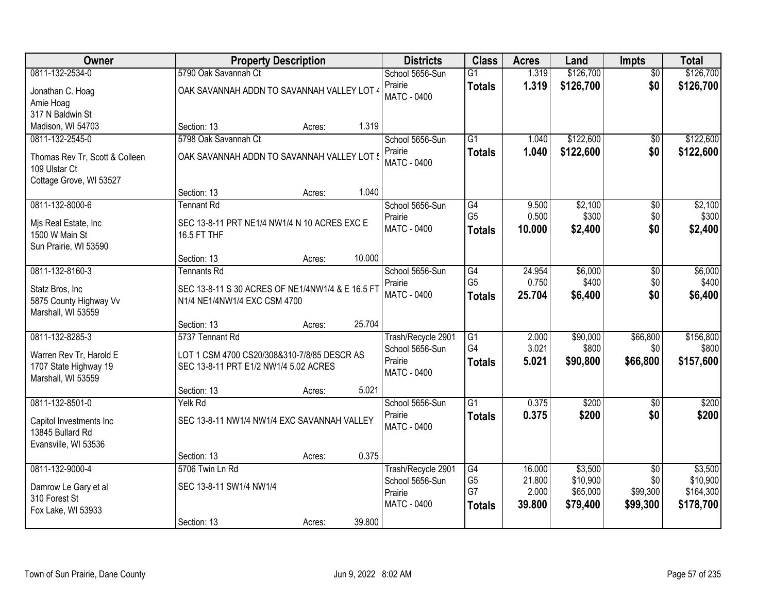| Owner                          |                                                  | <b>Property Description</b> |        | <b>Districts</b>       | <b>Class</b>    | <b>Acres</b> | Land      | Impts           | <b>Total</b> |
|--------------------------------|--------------------------------------------------|-----------------------------|--------|------------------------|-----------------|--------------|-----------|-----------------|--------------|
| 0811-132-2534-0                | 5790 Oak Savannah Ct                             |                             |        | School 5656-Sun        | $\overline{G1}$ | 1.319        | \$126,700 | $\overline{50}$ | \$126,700    |
| Jonathan C. Hoag               | OAK SAVANNAH ADDN TO SAVANNAH VALLEY LOT 4       |                             |        | Prairie                | <b>Totals</b>   | 1.319        | \$126,700 | \$0             | \$126,700    |
| Amie Hoag                      |                                                  |                             |        | <b>MATC - 0400</b>     |                 |              |           |                 |              |
| 317 N Baldwin St               |                                                  |                             |        |                        |                 |              |           |                 |              |
| Madison, WI 54703              | Section: 13                                      | Acres:                      | 1.319  |                        |                 |              |           |                 |              |
| 0811-132-2545-0                | 5798 Oak Savannah Ct                             |                             |        | School 5656-Sun        | $\overline{G1}$ | 1.040        | \$122,600 | $\overline{50}$ | \$122,600    |
| Thomas Rev Tr, Scott & Colleen | OAK SAVANNAH ADDN TO SAVANNAH VALLEY LOT !       |                             |        | Prairie                | <b>Totals</b>   | 1.040        | \$122,600 | \$0             | \$122,600    |
| 109 Ulstar Ct                  |                                                  |                             |        | <b>MATC - 0400</b>     |                 |              |           |                 |              |
| Cottage Grove, WI 53527        |                                                  |                             |        |                        |                 |              |           |                 |              |
|                                | Section: 13                                      | Acres:                      | 1.040  |                        |                 |              |           |                 |              |
| 0811-132-8000-6                | <b>Tennant Rd</b>                                |                             |        | School 5656-Sun        | $\overline{G4}$ | 9.500        | \$2,100   | $\overline{50}$ | \$2,100      |
| Mjs Real Estate, Inc           | SEC 13-8-11 PRT NE1/4 NW1/4 N 10 ACRES EXC E     |                             |        | Prairie                | G <sub>5</sub>  | 0.500        | \$300     | \$0             | \$300        |
| 1500 W Main St                 | 16.5 FT THF                                      |                             |        | MATC - 0400            | <b>Totals</b>   | 10.000       | \$2,400   | \$0             | \$2,400      |
| Sun Prairie, WI 53590          |                                                  |                             |        |                        |                 |              |           |                 |              |
|                                | Section: 13                                      | Acres:                      | 10.000 |                        |                 |              |           |                 |              |
| 0811-132-8160-3                | <b>Tennants Rd</b>                               |                             |        | School 5656-Sun        | G4              | 24.954       | \$6,000   | \$0             | \$6,000      |
| Statz Bros, Inc                | SEC 13-8-11 S 30 ACRES OF NE1/4NW1/4 & E 16.5 FT |                             |        | Prairie                | G <sub>5</sub>  | 0.750        | \$400     | \$0             | \$400        |
| 5875 County Highway Vv         | N1/4 NE1/4NW1/4 EXC CSM 4700                     |                             |        | <b>MATC - 0400</b>     | <b>Totals</b>   | 25.704       | \$6,400   | \$0             | \$6,400      |
| Marshall, WI 53559             |                                                  |                             |        |                        |                 |              |           |                 |              |
|                                | Section: 13                                      | Acres:                      | 25.704 |                        |                 |              |           |                 |              |
| 0811-132-8285-3                | 5737 Tennant Rd                                  |                             |        | Trash/Recycle 2901     | $\overline{G1}$ | 2.000        | \$90,000  | \$66,800        | \$156,800    |
| Warren Rev Tr, Harold E        | LOT 1 CSM 4700 CS20/308&310-7/8/85 DESCR AS      |                             |        | School 5656-Sun        | G <sub>4</sub>  | 3.021        | \$800     | \$0             | \$800        |
| 1707 State Highway 19          | SEC 13-8-11 PRT E1/2 NW1/4 5.02 ACRES            |                             |        | Prairie<br>MATC - 0400 | <b>Totals</b>   | 5.021        | \$90,800  | \$66,800        | \$157,600    |
| Marshall, WI 53559             |                                                  |                             |        |                        |                 |              |           |                 |              |
|                                | Section: 13                                      | Acres:                      | 5.021  |                        |                 |              |           |                 |              |
| 0811-132-8501-0                | Yelk Rd                                          |                             |        | School 5656-Sun        | $\overline{G1}$ | 0.375        | \$200     | $\overline{50}$ | \$200        |
| Capitol Investments Inc        | SEC 13-8-11 NW1/4 NW1/4 EXC SAVANNAH VALLEY      |                             |        | Prairie                | <b>Totals</b>   | 0.375        | \$200     | \$0             | \$200        |
| 13845 Bullard Rd               |                                                  |                             |        | MATC - 0400            |                 |              |           |                 |              |
| Evansville, WI 53536           |                                                  |                             |        |                        |                 |              |           |                 |              |
|                                | Section: 13                                      | Acres:                      | 0.375  |                        |                 |              |           |                 |              |
| 0811-132-9000-4                | 5706 Twin Ln Rd                                  |                             |        | Trash/Recycle 2901     | G4              | 16.000       | \$3,500   | $\overline{50}$ | \$3,500      |
| Damrow Le Gary et al           | SEC 13-8-11 SW1/4 NW1/4                          |                             |        | School 5656-Sun        | G <sub>5</sub>  | 21.800       | \$10,900  | \$0             | \$10,900     |
| 310 Forest St                  |                                                  |                             |        | Prairie<br>MATC - 0400 | G7              | 2.000        | \$65,000  | \$99,300        | \$164,300    |
| Fox Lake, WI 53933             |                                                  |                             |        |                        | <b>Totals</b>   | 39.800       | \$79,400  | \$99,300        | \$178,700    |
|                                | Section: 13                                      | Acres:                      | 39.800 |                        |                 |              |           |                 |              |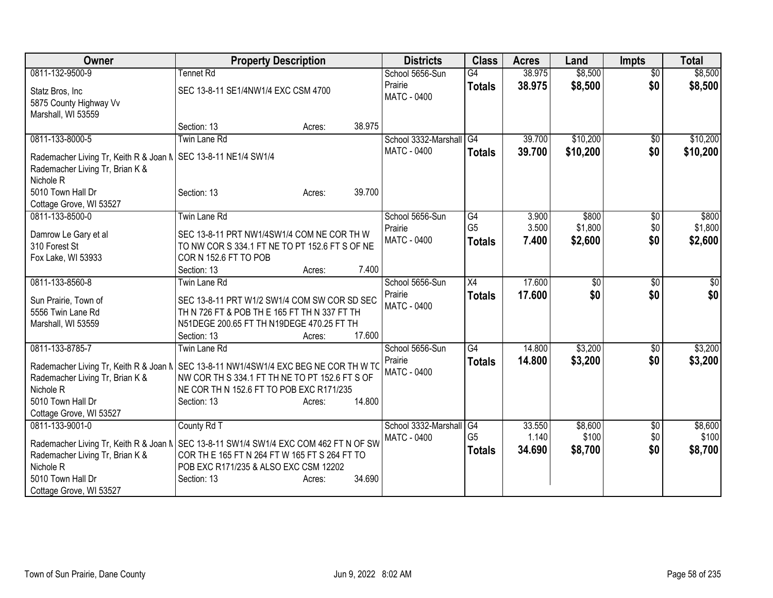| Owner                                                            | <b>Property Description</b>                                                             | <b>Districts</b>     | <b>Class</b>   | <b>Acres</b> | Land            | <b>Impts</b>    | <b>Total</b> |
|------------------------------------------------------------------|-----------------------------------------------------------------------------------------|----------------------|----------------|--------------|-----------------|-----------------|--------------|
| 0811-132-9500-9                                                  | <b>Tennet Rd</b>                                                                        | School 5656-Sun      | G4             | 38.975       | \$8,500         | $\overline{50}$ | \$8,500      |
| Statz Bros, Inc.                                                 | SEC 13-8-11 SE1/4NW1/4 EXC CSM 4700                                                     | Prairie              | <b>Totals</b>  | 38.975       | \$8,500         | \$0             | \$8,500      |
| 5875 County Highway Vv                                           |                                                                                         | MATC - 0400          |                |              |                 |                 |              |
| Marshall, WI 53559                                               |                                                                                         |                      |                |              |                 |                 |              |
|                                                                  | 38.975<br>Section: 13<br>Acres:                                                         |                      |                |              |                 |                 |              |
| 0811-133-8000-5                                                  | <b>Twin Lane Rd</b>                                                                     | School 3332-Marshall | G4             | 39.700       | \$10,200        | \$0             | \$10,200     |
| Rademacher Living Tr, Keith R & Joan N   SEC 13-8-11 NE1/4 SW1/4 |                                                                                         | MATC - 0400          | <b>Totals</b>  | 39.700       | \$10,200        | \$0             | \$10,200     |
| Rademacher Living Tr, Brian K &                                  |                                                                                         |                      |                |              |                 |                 |              |
| Nichole <sub>R</sub>                                             |                                                                                         |                      |                |              |                 |                 |              |
| 5010 Town Hall Dr                                                | 39.700<br>Section: 13<br>Acres:                                                         |                      |                |              |                 |                 |              |
| Cottage Grove, WI 53527                                          |                                                                                         |                      |                |              |                 |                 |              |
| 0811-133-8500-0                                                  | <b>Twin Lane Rd</b>                                                                     | School 5656-Sun      | G4             | 3.900        | \$800           | $\sqrt{6}$      | \$800        |
|                                                                  |                                                                                         | Prairie              | G <sub>5</sub> | 3.500        | \$1,800         | \$0             | \$1,800      |
| Damrow Le Gary et al                                             | SEC 13-8-11 PRT NW1/4SW1/4 COM NE COR TH W                                              | MATC - 0400          | <b>Totals</b>  | 7.400        | \$2,600         | \$0             | \$2,600      |
| 310 Forest St                                                    | TO NW COR S 334.1 FT NE TO PT 152.6 FT S OF NE                                          |                      |                |              |                 |                 |              |
| Fox Lake, WI 53933                                               | COR N 152.6 FT TO POB<br>7.400<br>Section: 13                                           |                      |                |              |                 |                 |              |
| 0811-133-8560-8                                                  | Acres:<br>Twin Lane Rd                                                                  | School 5656-Sun      | X4             | 17.600       | $\overline{50}$ | \$0             | \$0          |
|                                                                  |                                                                                         | Prairie              |                |              | \$0             | \$0             |              |
| Sun Prairie, Town of                                             | SEC 13-8-11 PRT W1/2 SW1/4 COM SW COR SD SEC                                            | MATC - 0400          | <b>Totals</b>  | 17.600       |                 |                 | \$0          |
| 5556 Twin Lane Rd                                                | TH N 726 FT & POB TH E 165 FT TH N 337 FT TH                                            |                      |                |              |                 |                 |              |
| Marshall, WI 53559                                               | N51DEGE 200.65 FT TH N19DEGE 470.25 FT TH                                               |                      |                |              |                 |                 |              |
|                                                                  | 17.600<br>Section: 13<br>Acres:                                                         |                      |                |              |                 |                 |              |
| 0811-133-8785-7                                                  | <b>Twin Lane Rd</b>                                                                     | School 5656-Sun      | G4             | 14.800       | \$3,200         | \$0             | \$3,200      |
|                                                                  | Rademacher Living Tr, Keith R & Joan N   SEC 13-8-11 NW1/4SW1/4 EXC BEG NE COR TH W TO  | Prairie              | <b>Totals</b>  | 14.800       | \$3,200         | \$0             | \$3,200      |
| Rademacher Living Tr, Brian K &                                  | NW COR TH S 334.1 FT TH NE TO PT 152.6 FT S OF                                          | MATC - 0400          |                |              |                 |                 |              |
| Nichole R                                                        | NE COR TH N 152.6 FT TO POB EXC R171/235                                                |                      |                |              |                 |                 |              |
| 5010 Town Hall Dr                                                | 14.800<br>Section: 13<br>Acres:                                                         |                      |                |              |                 |                 |              |
| Cottage Grove, WI 53527                                          |                                                                                         |                      |                |              |                 |                 |              |
| 0811-133-9001-0                                                  | County Rd T                                                                             | School 3332-Marshall | G4             | 33.550       | \$8,600         | \$0             | \$8,600      |
|                                                                  | Rademacher Living Tr, Keith R & Joan N   SEC 13-8-11 SW1/4 SW1/4 EXC COM 462 FT N OF SW | <b>MATC - 0400</b>   | G <sub>5</sub> | 1.140        | \$100           | \$0             | \$100        |
| Rademacher Living Tr, Brian K &                                  | COR TH E 165 FT N 264 FT W 165 FT S 264 FT TO                                           |                      | <b>Totals</b>  | 34.690       | \$8,700         | \$0             | \$8,700      |
| Nichole <sub>R</sub>                                             | POB EXC R171/235 & ALSO EXC CSM 12202                                                   |                      |                |              |                 |                 |              |
| 5010 Town Hall Dr                                                | 34.690<br>Section: 13<br>Acres:                                                         |                      |                |              |                 |                 |              |
| Cottage Grove, WI 53527                                          |                                                                                         |                      |                |              |                 |                 |              |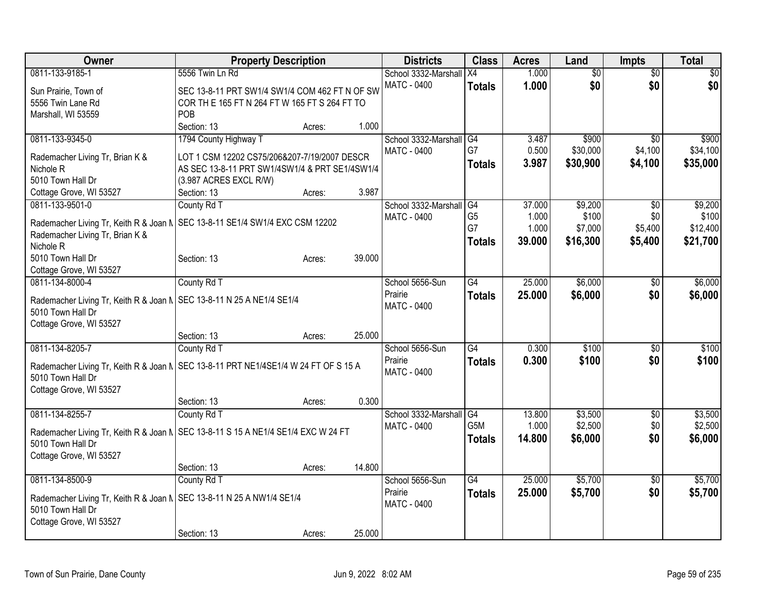| Owner                                                                               | <b>Property Description</b>                    |        |        | <b>Districts</b>     | <b>Class</b>    | <b>Acres</b> | Land            | <b>Impts</b>    | <b>Total</b> |
|-------------------------------------------------------------------------------------|------------------------------------------------|--------|--------|----------------------|-----------------|--------------|-----------------|-----------------|--------------|
| 0811-133-9185-1                                                                     | 5556 Twin Ln Rd                                |        |        | School 3332-Marshall | X4              | 1.000        | $\overline{50}$ | $\overline{50}$ | \$0          |
| Sun Prairie, Town of                                                                | SEC 13-8-11 PRT SW1/4 SW1/4 COM 462 FT N OF SW |        |        | <b>MATC - 0400</b>   | <b>Totals</b>   | 1.000        | \$0             | \$0             | \$0          |
| 5556 Twin Lane Rd                                                                   | COR TH E 165 FT N 264 FT W 165 FT S 264 FT TO  |        |        |                      |                 |              |                 |                 |              |
| Marshall, WI 53559                                                                  | <b>POB</b>                                     |        |        |                      |                 |              |                 |                 |              |
|                                                                                     | Section: 13                                    | Acres: | 1.000  |                      |                 |              |                 |                 |              |
| 0811-133-9345-0                                                                     | 1794 County Highway T                          |        |        | School 3332-Marshall | G4              | 3.487        | \$900           | $\overline{30}$ | \$900        |
| Rademacher Living Tr, Brian K &                                                     | LOT 1 CSM 12202 CS75/206&207-7/19/2007 DESCR   |        |        | MATC - 0400          | G7              | 0.500        | \$30,000        | \$4,100         | \$34,100     |
| Nichole <sub>R</sub>                                                                | AS SEC 13-8-11 PRT SW1/4SW1/4 & PRT SE1/4SW1/4 |        |        |                      | <b>Totals</b>   | 3.987        | \$30,900        | \$4,100         | \$35,000     |
| 5010 Town Hall Dr                                                                   | (3.987 ACRES EXCL R/W)                         |        |        |                      |                 |              |                 |                 |              |
| Cottage Grove, WI 53527                                                             | Section: 13                                    | Acres: | 3.987  |                      |                 |              |                 |                 |              |
| 0811-133-9501-0                                                                     | County Rd T                                    |        |        | School 3332-Marshall | G4              | 37.000       | \$9,200         | \$0             | \$9,200      |
|                                                                                     |                                                |        |        | MATC - 0400          | G <sub>5</sub>  | 1.000        | \$100           | \$0             | \$100        |
| Rademacher Living Tr, Keith R & Joan N   SEC 13-8-11 SE1/4 SW1/4 EXC CSM 12202      |                                                |        |        |                      | G7              | 1.000        | \$7,000         | \$5,400         | \$12,400     |
| Rademacher Living Tr, Brian K &                                                     |                                                |        |        |                      | <b>Totals</b>   | 39.000       | \$16,300        | \$5,400         | \$21,700     |
| Nichole <sub>R</sub><br>5010 Town Hall Dr                                           | Section: 13                                    |        | 39.000 |                      |                 |              |                 |                 |              |
| Cottage Grove, WI 53527                                                             |                                                | Acres: |        |                      |                 |              |                 |                 |              |
| 0811-134-8000-4                                                                     | County Rd T                                    |        |        | School 5656-Sun      | G4              | 25.000       | \$6,000         | \$0             | \$6,000      |
|                                                                                     |                                                |        |        | Prairie              | <b>Totals</b>   | 25.000       | \$6,000         | \$0             | \$6,000      |
| Rademacher Living Tr, Keith R & Joan N   SEC 13-8-11 N 25 A NE1/4 SE1/4             |                                                |        |        | MATC - 0400          |                 |              |                 |                 |              |
| 5010 Town Hall Dr                                                                   |                                                |        |        |                      |                 |              |                 |                 |              |
| Cottage Grove, WI 53527                                                             |                                                |        |        |                      |                 |              |                 |                 |              |
|                                                                                     | Section: 13                                    | Acres: | 25.000 |                      |                 |              |                 |                 |              |
| 0811-134-8205-7                                                                     | County Rd T                                    |        |        | School 5656-Sun      | $\overline{G4}$ | 0.300        | \$100           | $\sqrt[6]{}$    | \$100        |
| Rademacher Living Tr, Keith R & Joan N SEC 13-8-11 PRT NE1/4SE1/4 W 24 FT OF S 15 A |                                                |        |        | Prairie              | <b>Totals</b>   | 0.300        | \$100           | \$0             | \$100        |
| 5010 Town Hall Dr                                                                   |                                                |        |        | <b>MATC - 0400</b>   |                 |              |                 |                 |              |
| Cottage Grove, WI 53527                                                             |                                                |        |        |                      |                 |              |                 |                 |              |
|                                                                                     | Section: 13                                    | Acres: | 0.300  |                      |                 |              |                 |                 |              |
| 0811-134-8255-7                                                                     | County Rd T                                    |        |        | School 3332-Marshall | G4              | 13.800       | \$3,500         | $\sqrt{6}$      | \$3,500      |
| Rademacher Living Tr, Keith R & Joan N   SEC 13-8-11 S 15 A NE1/4 SE1/4 EXC W 24 FT |                                                |        |        | <b>MATC - 0400</b>   | G5M             | 1.000        | \$2,500         | \$0             | \$2,500      |
| 5010 Town Hall Dr                                                                   |                                                |        |        |                      | <b>Totals</b>   | 14.800       | \$6,000         | \$0             | \$6,000      |
| Cottage Grove, WI 53527                                                             |                                                |        |        |                      |                 |              |                 |                 |              |
|                                                                                     | Section: 13                                    | Acres: | 14.800 |                      |                 |              |                 |                 |              |
| 0811-134-8500-9                                                                     | County Rd T                                    |        |        | School 5656-Sun      | $\overline{G4}$ | 25,000       | \$5,700         | $\overline{50}$ | \$5,700      |
|                                                                                     |                                                |        |        | Prairie              | <b>Totals</b>   | 25.000       | \$5,700         | \$0             | \$5,700      |
| Rademacher Living Tr, Keith R & Joan N   SEC 13-8-11 N 25 A NW1/4 SE1/4             |                                                |        |        | <b>MATC - 0400</b>   |                 |              |                 |                 |              |
| 5010 Town Hall Dr                                                                   |                                                |        |        |                      |                 |              |                 |                 |              |
| Cottage Grove, WI 53527                                                             | Section: 13                                    |        | 25.000 |                      |                 |              |                 |                 |              |
|                                                                                     |                                                | Acres: |        |                      |                 |              |                 |                 |              |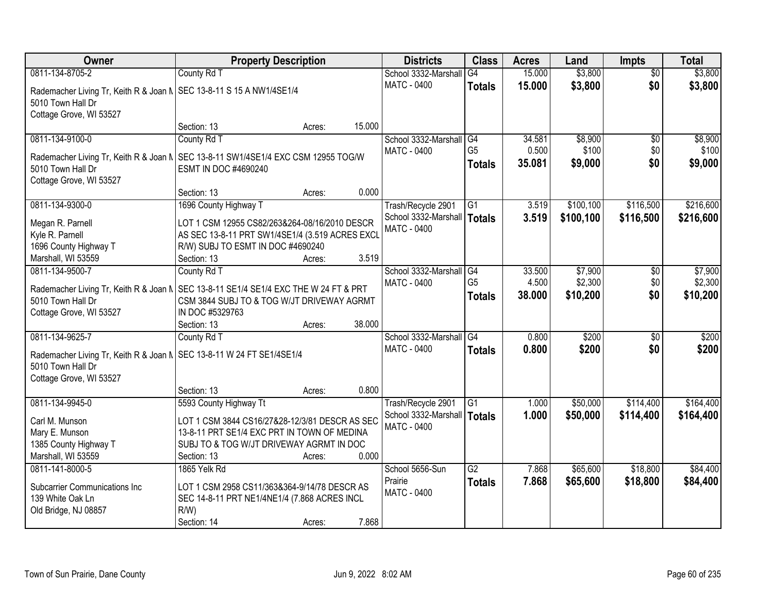| <b>Owner</b>                                                                           | <b>Property Description</b>                     |        |        | <b>Districts</b>              | <b>Class</b>    | <b>Acres</b> | Land      | <b>Impts</b>    | <b>Total</b> |
|----------------------------------------------------------------------------------------|-------------------------------------------------|--------|--------|-------------------------------|-----------------|--------------|-----------|-----------------|--------------|
| 0811-134-8705-2                                                                        | County Rd T                                     |        |        | School 3332-Marshall          | G4              | 15.000       | \$3,800   | $\overline{50}$ | \$3,800      |
| Rademacher Living Tr, Keith R & Joan N   SEC 13-8-11 S 15 A NW1/4SE1/4                 |                                                 |        |        | <b>MATC - 0400</b>            | <b>Totals</b>   | 15.000       | \$3,800   | \$0             | \$3,800      |
| 5010 Town Hall Dr                                                                      |                                                 |        |        |                               |                 |              |           |                 |              |
| Cottage Grove, WI 53527                                                                |                                                 |        |        |                               |                 |              |           |                 |              |
|                                                                                        | Section: 13                                     | Acres: | 15.000 |                               |                 |              |           |                 |              |
| 0811-134-9100-0                                                                        | County Rd T                                     |        |        | School 3332-Marshall          | G4              | 34.581       | \$8,900   | $\overline{50}$ | \$8,900      |
|                                                                                        |                                                 |        |        | <b>MATC - 0400</b>            | G <sub>5</sub>  | 0.500        | \$100     | \$0             | \$100        |
| Rademacher Living Tr, Keith R & Joan N   SEC 13-8-11 SW1/4SE1/4 EXC CSM 12955 TOG/W    |                                                 |        |        |                               | <b>Totals</b>   | 35.081       | \$9,000   | \$0             | \$9,000      |
| 5010 Town Hall Dr                                                                      | ESMT IN DOC #4690240                            |        |        |                               |                 |              |           |                 |              |
| Cottage Grove, WI 53527                                                                |                                                 |        |        |                               |                 |              |           |                 |              |
|                                                                                        | Section: 13                                     | Acres: | 0.000  |                               |                 |              |           |                 |              |
| 0811-134-9300-0                                                                        | 1696 County Highway T                           |        |        | Trash/Recycle 2901            | G1              | 3.519        | \$100,100 | \$116,500       | \$216,600    |
| Megan R. Parnell                                                                       | LOT 1 CSM 12955 CS82/263&264-08/16/2010 DESCR   |        |        | School 3332-Marshall   Totals |                 | 3.519        | \$100,100 | \$116,500       | \$216,600    |
| Kyle R. Parnell                                                                        | AS SEC 13-8-11 PRT SW1/4SE1/4 (3.519 ACRES EXCL |        |        | <b>MATC - 0400</b>            |                 |              |           |                 |              |
| 1696 County Highway T                                                                  | R/W) SUBJ TO ESMT IN DOC #4690240               |        |        |                               |                 |              |           |                 |              |
| Marshall, WI 53559                                                                     | Section: 13                                     | Acres: | 3.519  |                               |                 |              |           |                 |              |
| 0811-134-9500-7                                                                        | County Rd T                                     |        |        | School 3332-Marshall          | G4              | 33.500       | \$7,900   | \$0             | \$7,900      |
| Rademacher Living Tr, Keith R & Joan N   SEC 13-8-11 SE1/4 SE1/4 EXC THE W 24 FT & PRT |                                                 |        |        | <b>MATC - 0400</b>            | G <sub>5</sub>  | 4.500        | \$2,300   | \$0             | \$2,300      |
| 5010 Town Hall Dr                                                                      | CSM 3844 SUBJ TO & TOG W/JT DRIVEWAY AGRMT      |        |        |                               | <b>Totals</b>   | 38.000       | \$10,200  | \$0             | \$10,200     |
| Cottage Grove, WI 53527                                                                | IN DOC #5329763                                 |        |        |                               |                 |              |           |                 |              |
|                                                                                        | Section: 13                                     | Acres: | 38.000 |                               |                 |              |           |                 |              |
| 0811-134-9625-7                                                                        | County Rd T                                     |        |        | School 3332-Marshall          | G4              | 0.800        | \$200     | $\overline{50}$ | \$200        |
|                                                                                        |                                                 |        |        | <b>MATC - 0400</b>            | <b>Totals</b>   | 0.800        | \$200     | \$0             | \$200        |
| Rademacher Living Tr, Keith R & Joan N   SEC 13-8-11 W 24 FT SE1/4SE1/4                |                                                 |        |        |                               |                 |              |           |                 |              |
| 5010 Town Hall Dr                                                                      |                                                 |        |        |                               |                 |              |           |                 |              |
| Cottage Grove, WI 53527                                                                |                                                 |        |        |                               |                 |              |           |                 |              |
|                                                                                        | Section: 13                                     | Acres: | 0.800  |                               |                 |              |           |                 |              |
| 0811-134-9945-0                                                                        | 5593 County Highway Tt                          |        |        | Trash/Recycle 2901            | $\overline{G1}$ | 1.000        | \$50,000  | \$114,400       | \$164,400    |
| Carl M. Munson                                                                         | LOT 1 CSM 3844 CS16/27&28-12/3/81 DESCR AS SEC  |        |        | School 3332-Marshall   Totals |                 | 1.000        | \$50,000  | \$114,400       | \$164,400    |
| Mary E. Munson                                                                         | 13-8-11 PRT SE1/4 EXC PRT IN TOWN OF MEDINA     |        |        | MATC - 0400                   |                 |              |           |                 |              |
| 1385 County Highway T                                                                  | SUBJ TO & TOG W/JT DRIVEWAY AGRMT IN DOC        |        |        |                               |                 |              |           |                 |              |
| Marshall, WI 53559                                                                     | Section: 13                                     | Acres: | 0.000  |                               |                 |              |           |                 |              |
| 0811-141-8000-5                                                                        | 1865 Yelk Rd                                    |        |        | School 5656-Sun               | G2              | 7.868        | \$65,600  | \$18,800        | \$84,400     |
| <b>Subcarrier Communications Inc</b>                                                   | LOT 1 CSM 2958 CS11/363&364-9/14/78 DESCR AS    |        |        | Prairie                       | <b>Totals</b>   | 7.868        | \$65,600  | \$18,800        | \$84,400     |
| 139 White Oak Ln                                                                       | SEC 14-8-11 PRT NE1/4NE1/4 (7.868 ACRES INCL    |        |        | MATC - 0400                   |                 |              |           |                 |              |
| Old Bridge, NJ 08857                                                                   | R/W                                             |        |        |                               |                 |              |           |                 |              |
|                                                                                        | Section: 14                                     | Acres: | 7.868  |                               |                 |              |           |                 |              |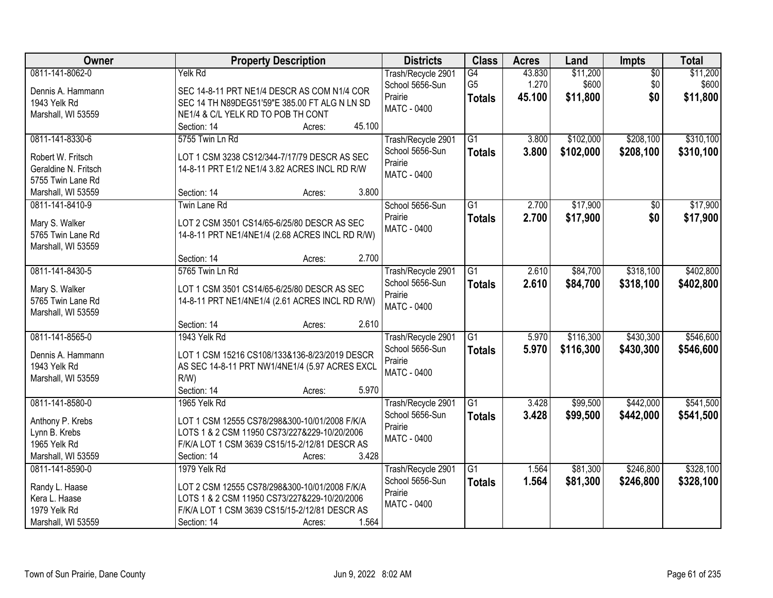| <b>Owner</b>                                                                             | <b>Property Description</b>                                                                                                                                                                      | <b>Districts</b>                                                       | <b>Class</b>                          | <b>Acres</b>              | Land                          | Impts                         | <b>Total</b>                  |
|------------------------------------------------------------------------------------------|--------------------------------------------------------------------------------------------------------------------------------------------------------------------------------------------------|------------------------------------------------------------------------|---------------------------------------|---------------------------|-------------------------------|-------------------------------|-------------------------------|
| 0811-141-8062-0<br>Dennis A. Hammann<br>1943 Yelk Rd<br>Marshall, WI 53559               | Yelk Rd<br>SEC 14-8-11 PRT NE1/4 DESCR AS COM N1/4 COR<br>SEC 14 TH N89DEG51'59"E 385.00 FT ALG N LN SD<br>NE1/4 & C/L YELK RD TO POB TH CONT                                                    | Trash/Recycle 2901<br>School 5656-Sun<br>Prairie<br><b>MATC - 0400</b> | G4<br>G <sub>5</sub><br><b>Totals</b> | 43.830<br>1.270<br>45.100 | \$11,200<br>\$600<br>\$11,800 | $\overline{60}$<br>\$0<br>\$0 | \$11,200<br>\$600<br>\$11,800 |
|                                                                                          | 45.100<br>Section: 14<br>Acres:                                                                                                                                                                  |                                                                        |                                       |                           |                               |                               |                               |
| 0811-141-8330-6<br>Robert W. Fritsch<br>Geraldine N. Fritsch<br>5755 Twin Lane Rd        | 5755 Twin Ln Rd<br>LOT 1 CSM 3238 CS12/344-7/17/79 DESCR AS SEC<br>14-8-11 PRT E1/2 NE1/4 3.82 ACRES INCL RD R/W                                                                                 | Trash/Recycle 2901<br>School 5656-Sun<br>Prairie<br><b>MATC - 0400</b> | G1<br><b>Totals</b>                   | 3.800<br>3.800            | \$102,000<br>\$102,000        | \$208,100<br>\$208,100        | \$310,100<br>\$310,100        |
| Marshall, WI 53559                                                                       | 3.800<br>Section: 14<br>Acres:                                                                                                                                                                   |                                                                        |                                       |                           |                               |                               |                               |
| 0811-141-8410-9<br>Mary S. Walker<br>5765 Twin Lane Rd<br>Marshall, WI 53559             | <b>Twin Lane Rd</b><br>LOT 2 CSM 3501 CS14/65-6/25/80 DESCR AS SEC<br>14-8-11 PRT NE1/4NE1/4 (2.68 ACRES INCL RD R/W)                                                                            | School 5656-Sun<br>Prairie<br><b>MATC - 0400</b>                       | $\overline{G1}$<br><b>Totals</b>      | 2.700<br>2.700            | \$17,900<br>\$17,900          | $\overline{50}$<br>\$0        | \$17,900<br>\$17,900          |
|                                                                                          | 2.700<br>Section: 14<br>Acres:                                                                                                                                                                   |                                                                        |                                       |                           |                               |                               |                               |
| 0811-141-8430-5<br>Mary S. Walker<br>5765 Twin Lane Rd<br>Marshall, WI 53559             | 5765 Twin Ln Rd<br>LOT 1 CSM 3501 CS14/65-6/25/80 DESCR AS SEC<br>14-8-11 PRT NE1/4NE1/4 (2.61 ACRES INCL RD R/W)                                                                                | Trash/Recycle 2901<br>School 5656-Sun<br>Prairie<br><b>MATC - 0400</b> | $\overline{G1}$<br><b>Totals</b>      | 2.610<br>2.610            | \$84,700<br>\$84,700          | \$318,100<br>\$318,100        | \$402,800<br>\$402,800        |
|                                                                                          | 2.610<br>Section: 14<br>Acres:                                                                                                                                                                   |                                                                        |                                       |                           |                               |                               |                               |
| 0811-141-8565-0<br>Dennis A. Hammann<br>1943 Yelk Rd<br>Marshall, WI 53559               | 1943 Yelk Rd<br>LOT 1 CSM 15216 CS108/133&136-8/23/2019 DESCR<br>AS SEC 14-8-11 PRT NW1/4NE1/4 (5.97 ACRES EXCL<br>$R/W$ )<br>Section: 14<br>5.970<br>Acres:                                     | Trash/Recycle 2901<br>School 5656-Sun<br>Prairie<br><b>MATC - 0400</b> | $\overline{G1}$<br><b>Totals</b>      | 5.970<br>5.970            | \$116,300<br>\$116,300        | \$430,300<br>\$430,300        | \$546,600<br>\$546,600        |
| 0811-141-8580-0                                                                          | 1965 Yelk Rd                                                                                                                                                                                     | Trash/Recycle 2901                                                     | $\overline{G1}$                       | 3.428                     | \$99,500                      | \$442,000                     | \$541,500                     |
| Anthony P. Krebs<br>Lynn B. Krebs<br>1965 Yelk Rd<br>Marshall, WI 53559                  | LOT 1 CSM 12555 CS78/298&300-10/01/2008 F/K/A<br>LOTS 1 & 2 CSM 11950 CS73/227&229-10/20/2006<br>F/K/A LOT 1 CSM 3639 CS15/15-2/12/81 DESCR AS<br>3.428<br>Section: 14<br>Acres:                 | School 5656-Sun<br>Prairie<br>MATC - 0400                              | <b>Totals</b>                         | 3.428                     | \$99,500                      | \$442,000                     | \$541,500                     |
| 0811-141-8590-0<br>Randy L. Haase<br>Kera L. Haase<br>1979 Yelk Rd<br>Marshall, WI 53559 | 1979 Yelk Rd<br>LOT 2 CSM 12555 CS78/298&300-10/01/2008 F/K/A<br>LOTS 1 & 2 CSM 11950 CS73/227&229-10/20/2006<br>F/K/A LOT 1 CSM 3639 CS15/15-2/12/81 DESCR AS<br>1.564<br>Section: 14<br>Acres: | Trash/Recycle 2901<br>School 5656-Sun<br>Prairie<br><b>MATC - 0400</b> | $\overline{G1}$<br><b>Totals</b>      | 1.564<br>1.564            | \$81,300<br>\$81,300          | \$246,800<br>\$246,800        | \$328,100<br>\$328,100        |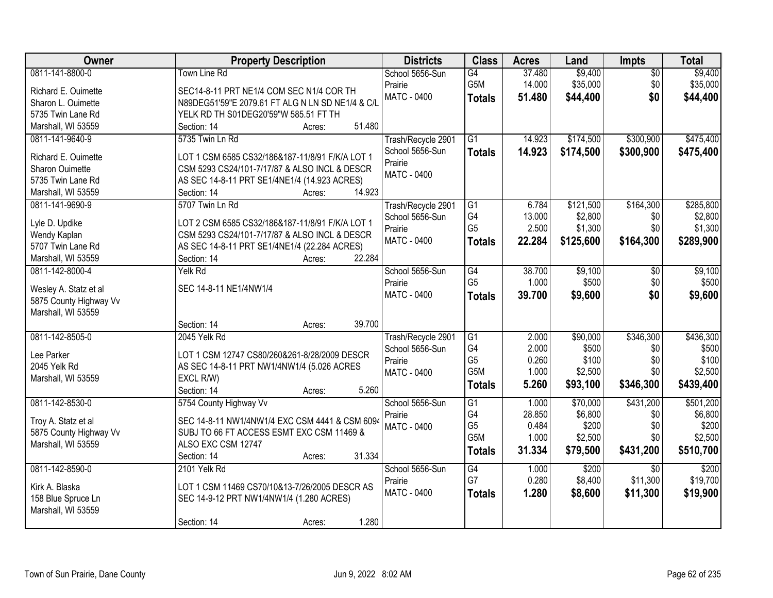| Owner                  | <b>Property Description</b>                      | <b>Districts</b>   | <b>Class</b>          | <b>Acres</b>    | Land             | Impts           | <b>Total</b>     |
|------------------------|--------------------------------------------------|--------------------|-----------------------|-----------------|------------------|-----------------|------------------|
| 0811-141-8800-0        | <b>Town Line Rd</b>                              | School 5656-Sun    | G4                    | 37.480          | \$9,400          | $\overline{50}$ | \$9,400          |
| Richard E. Ouimette    | SEC14-8-11 PRT NE1/4 COM SEC N1/4 COR TH         | Prairie            | G5M                   | 14.000          | \$35,000         | \$0             | \$35,000         |
| Sharon L. Ouimette     | N89DEG51'59"E 2079.61 FT ALG N LN SD NE1/4 & C/L | <b>MATC - 0400</b> | <b>Totals</b>         | 51.480          | \$44,400         | \$0             | \$44,400         |
| 5735 Twin Lane Rd      | YELK RD TH S01DEG20'59"W 585.51 FT TH            |                    |                       |                 |                  |                 |                  |
| Marshall, WI 53559     | 51.480<br>Section: 14<br>Acres:                  |                    |                       |                 |                  |                 |                  |
| 0811-141-9640-9        | 5735 Twin Ln Rd                                  | Trash/Recycle 2901 | $\overline{G1}$       | 14.923          | \$174,500        | \$300,900       | \$475,400        |
|                        |                                                  | School 5656-Sun    | <b>Totals</b>         | 14.923          | \$174,500        | \$300,900       | \$475,400        |
| Richard E. Ouimette    | LOT 1 CSM 6585 CS32/186&187-11/8/91 F/K/A LOT 1  | Prairie            |                       |                 |                  |                 |                  |
| Sharon Ouimette        | CSM 5293 CS24/101-7/17/87 & ALSO INCL & DESCR    | MATC - 0400        |                       |                 |                  |                 |                  |
| 5735 Twin Lane Rd      | AS SEC 14-8-11 PRT SE1/4NE1/4 (14.923 ACRES)     |                    |                       |                 |                  |                 |                  |
| Marshall, WI 53559     | 14.923<br>Section: 14<br>Acres:                  |                    |                       |                 |                  |                 |                  |
| 0811-141-9690-9        | 5707 Twin Ln Rd                                  | Trash/Recycle 2901 | G1                    | 6.784           | \$121,500        | \$164,300       | \$285,800        |
| Lyle D. Updike         | LOT 2 CSM 6585 CS32/186&187-11/8/91 F/K/A LOT 1  | School 5656-Sun    | G4                    | 13.000          | \$2,800          | \$0             | \$2,800          |
| Wendy Kaplan           | CSM 5293 CS24/101-7/17/87 & ALSO INCL & DESCR    | Prairie            | G <sub>5</sub>        | 2.500           | \$1,300          | \$0             | \$1,300          |
| 5707 Twin Lane Rd      | AS SEC 14-8-11 PRT SE1/4NE1/4 (22.284 ACRES)     | MATC - 0400        | <b>Totals</b>         | 22.284          | \$125,600        | \$164,300       | \$289,900        |
| Marshall, WI 53559     | 22.284<br>Section: 14<br>Acres:                  |                    |                       |                 |                  |                 |                  |
| 0811-142-8000-4        | Yelk Rd                                          | School 5656-Sun    | $\overline{G4}$       | 38.700          | \$9,100          | \$0             | \$9,100          |
|                        |                                                  | Prairie            | G <sub>5</sub>        | 1.000           | \$500            | \$0             | \$500            |
| Wesley A. Statz et al  | SEC 14-8-11 NE1/4NW1/4                           | MATC - 0400        |                       | 39.700          |                  | \$0             |                  |
| 5875 County Highway Vv |                                                  |                    | <b>Totals</b>         |                 | \$9,600          |                 | \$9,600          |
| Marshall, WI 53559     |                                                  |                    |                       |                 |                  |                 |                  |
|                        | 39.700<br>Section: 14<br>Acres:                  |                    |                       |                 |                  |                 |                  |
| 0811-142-8505-0        | 2045 Yelk Rd                                     | Trash/Recycle 2901 | G1                    | 2.000           | \$90,000         | \$346,300       | \$436,300        |
| Lee Parker             | LOT 1 CSM 12747 CS80/260&261-8/28/2009 DESCR     | School 5656-Sun    | G4                    | 2.000           | \$500            | \$0             | \$500            |
| 2045 Yelk Rd           |                                                  | Prairie            | G <sub>5</sub>        | 0.260           | \$100            | \$0             | \$100            |
|                        | AS SEC 14-8-11 PRT NW1/4NW1/4 (5.026 ACRES       | MATC - 0400        | G5M                   | 1.000           | \$2,500          | \$0             | \$2,500          |
| Marshall, WI 53559     | EXCL R/W)<br>5.260<br>Section: 14                |                    | <b>Totals</b>         | 5.260           | \$93,100         | \$346,300       | \$439,400        |
|                        | Acres:                                           |                    |                       |                 |                  |                 |                  |
| 0811-142-8530-0        | 5754 County Highway Vv                           | School 5656-Sun    | $\overline{G1}$<br>G4 | 1.000           | \$70,000         | \$431,200       | \$501,200        |
| Troy A. Statz et al    | SEC 14-8-11 NW1/4NW1/4 EXC CSM 4441 & CSM 6094   | Prairie            | G <sub>5</sub>        | 28.850<br>0.484 | \$6,800<br>\$200 | \$0<br>\$0      | \$6,800<br>\$200 |
| 5875 County Highway Vv | SUBJ TO 66 FT ACCESS ESMT EXC CSM 11469 &        | <b>MATC - 0400</b> | G <sub>5</sub> M      | 1.000           | \$2,500          | \$0             | \$2,500          |
| Marshall, WI 53559     | ALSO EXC CSM 12747                               |                    |                       |                 |                  |                 |                  |
|                        | 31.334<br>Section: 14<br>Acres:                  |                    | <b>Totals</b>         | 31.334          | \$79,500         | \$431,200       | \$510,700        |
| 0811-142-8590-0        | 2101 Yelk Rd                                     | School 5656-Sun    | $\overline{G4}$       | 1.000           | \$200            | $\overline{50}$ | \$200            |
|                        |                                                  | Prairie            | G7                    | 0.280           | \$8,400          | \$11,300        | \$19,700         |
| Kirk A. Blaska         | LOT 1 CSM 11469 CS70/10&13-7/26/2005 DESCR AS    | MATC - 0400        | <b>Totals</b>         | 1.280           | \$8,600          | \$11,300        | \$19,900         |
| 158 Blue Spruce Ln     | SEC 14-9-12 PRT NW1/4NW1/4 (1.280 ACRES)         |                    |                       |                 |                  |                 |                  |
| Marshall, WI 53559     |                                                  |                    |                       |                 |                  |                 |                  |
|                        | 1.280<br>Section: 14<br>Acres:                   |                    |                       |                 |                  |                 |                  |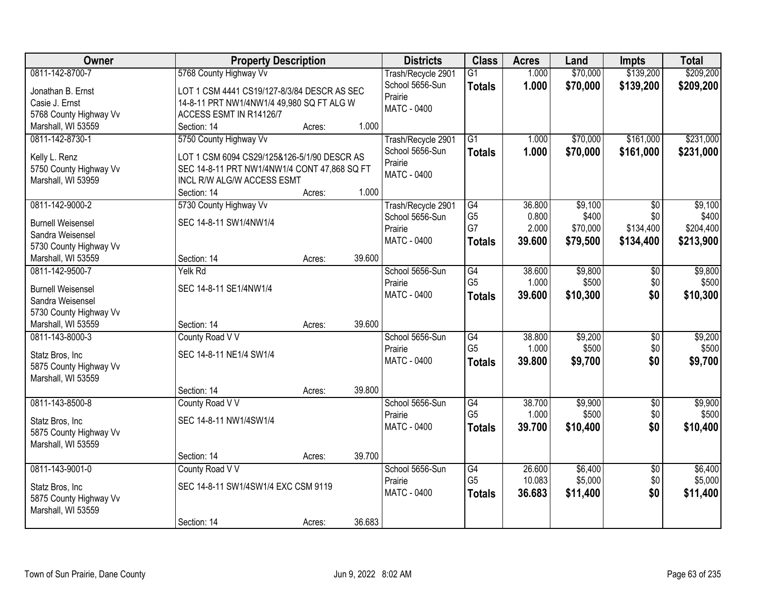| Owner                                        | <b>Property Description</b>                  |        |        | <b>Districts</b>   | <b>Class</b>         | <b>Acres</b>   | Land              | <b>Impts</b>    | <b>Total</b> |
|----------------------------------------------|----------------------------------------------|--------|--------|--------------------|----------------------|----------------|-------------------|-----------------|--------------|
| 0811-142-8700-7                              | 5768 County Highway Vv                       |        |        | Trash/Recycle 2901 | $\overline{G1}$      | 1.000          | \$70,000          | \$139,200       | \$209,200    |
| Jonathan B. Ernst                            | LOT 1 CSM 4441 CS19/127-8/3/84 DESCR AS SEC  |        |        | School 5656-Sun    | <b>Totals</b>        | 1.000          | \$70,000          | \$139,200       | \$209,200    |
| Casie J. Ernst                               | 14-8-11 PRT NW1/4NW1/4 49,980 SQ FT ALG W    |        |        | Prairie            |                      |                |                   |                 |              |
| 5768 County Highway Vv                       | ACCESS ESMT IN R14126/7                      |        |        | MATC - 0400        |                      |                |                   |                 |              |
| Marshall, WI 53559                           | Section: 14                                  | Acres: | 1.000  |                    |                      |                |                   |                 |              |
| 0811-142-8730-1                              | 5750 County Highway Vv                       |        |        | Trash/Recycle 2901 | $\overline{G1}$      | 1.000          | \$70,000          | \$161,000       | \$231,000    |
|                                              |                                              |        |        | School 5656-Sun    | <b>Totals</b>        | 1.000          | \$70,000          | \$161,000       | \$231,000    |
| Kelly L. Renz                                | LOT 1 CSM 6094 CS29/125&126-5/1/90 DESCR AS  |        |        | Prairie            |                      |                |                   |                 |              |
| 5750 County Highway Vv                       | SEC 14-8-11 PRT NW1/4NW1/4 CONT 47,868 SQ FT |        |        | <b>MATC - 0400</b> |                      |                |                   |                 |              |
| Marshall, WI 53959                           | INCL R/W ALG/W ACCESS ESMT                   |        |        |                    |                      |                |                   |                 |              |
|                                              | Section: 14                                  | Acres: | 1.000  |                    |                      |                |                   |                 |              |
| 0811-142-9000-2                              | 5730 County Highway Vv                       |        |        | Trash/Recycle 2901 | G4                   | 36.800         | \$9,100           | $\overline{50}$ | \$9,100      |
| <b>Burnell Weisensel</b>                     | SEC 14-8-11 SW1/4NW1/4                       |        |        | School 5656-Sun    | G <sub>5</sub><br>G7 | 0.800<br>2.000 | \$400<br>\$70,000 | \$0             | \$400        |
| Sandra Weisensel                             |                                              |        |        | Prairie            |                      |                |                   | \$134,400       | \$204,400    |
| 5730 County Highway Vv                       |                                              |        |        | <b>MATC - 0400</b> | <b>Totals</b>        | 39.600         | \$79,500          | \$134,400       | \$213,900    |
| Marshall, WI 53559                           | Section: 14                                  | Acres: | 39.600 |                    |                      |                |                   |                 |              |
| 0811-142-9500-7                              | Yelk Rd                                      |        |        | School 5656-Sun    | G4                   | 38.600         | \$9,800           | \$0             | \$9,800      |
|                                              | SEC 14-8-11 SE1/4NW1/4                       |        |        | Prairie            | G <sub>5</sub>       | 1.000          | \$500             | \$0             | \$500        |
| <b>Burnell Weisensel</b><br>Sandra Weisensel |                                              |        |        | <b>MATC - 0400</b> | <b>Totals</b>        | 39.600         | \$10,300          | \$0             | \$10,300     |
| 5730 County Highway Vv                       |                                              |        |        |                    |                      |                |                   |                 |              |
| Marshall, WI 53559                           | Section: 14                                  | Acres: | 39.600 |                    |                      |                |                   |                 |              |
| 0811-143-8000-3                              | County Road V V                              |        |        | School 5656-Sun    | $\overline{G4}$      | 38.800         | \$9,200           | $\overline{50}$ | \$9,200      |
|                                              |                                              |        |        | Prairie            | G <sub>5</sub>       | 1.000          | \$500             | \$0             | \$500        |
| Statz Bros, Inc                              | SEC 14-8-11 NE1/4 SW1/4                      |        |        | MATC - 0400        | <b>Totals</b>        | 39.800         | \$9,700           | \$0             | \$9,700      |
| 5875 County Highway Vv                       |                                              |        |        |                    |                      |                |                   |                 |              |
| Marshall, WI 53559                           |                                              |        |        |                    |                      |                |                   |                 |              |
|                                              | Section: 14                                  | Acres: | 39.800 |                    |                      |                |                   |                 |              |
| 0811-143-8500-8                              | County Road V V                              |        |        | School 5656-Sun    | G4                   | 38.700         | \$9,900           | $\overline{60}$ | \$9,900      |
| Statz Bros, Inc                              | SEC 14-8-11 NW1/4SW1/4                       |        |        | Prairie            | G <sub>5</sub>       | 1.000          | \$500             | \$0             | \$500        |
| 5875 County Highway Vv                       |                                              |        |        | MATC - 0400        | <b>Totals</b>        | 39.700         | \$10,400          | \$0             | \$10,400     |
| Marshall, WI 53559                           |                                              |        |        |                    |                      |                |                   |                 |              |
|                                              | Section: 14                                  | Acres: | 39.700 |                    |                      |                |                   |                 |              |
| 0811-143-9001-0                              | County Road V V                              |        |        | School 5656-Sun    | G4                   | 26.600         | \$6,400           | $\overline{50}$ | \$6,400      |
|                                              |                                              |        |        | Prairie            | G <sub>5</sub>       | 10.083         | \$5,000           | \$0             | \$5,000      |
| Statz Bros, Inc                              | SEC 14-8-11 SW1/4SW1/4 EXC CSM 9119          |        |        | <b>MATC - 0400</b> | <b>Totals</b>        | 36.683         | \$11,400          | \$0             | \$11,400     |
| 5875 County Highway Vv                       |                                              |        |        |                    |                      |                |                   |                 |              |
| Marshall, WI 53559                           |                                              |        |        |                    |                      |                |                   |                 |              |
|                                              | Section: 14                                  | Acres: | 36.683 |                    |                      |                |                   |                 |              |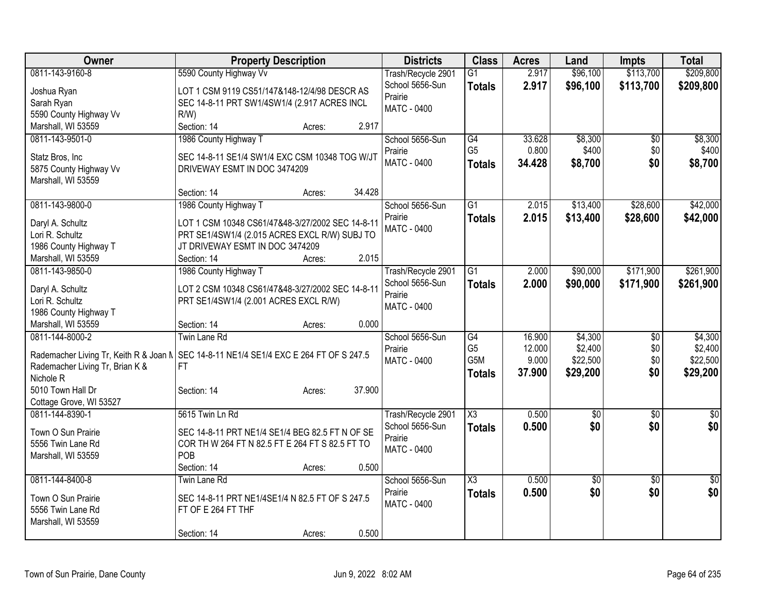| Owner                                  | <b>Property Description</b>                      |        |        | <b>Districts</b>   | <b>Class</b>           | <b>Acres</b>    | Land                | <b>Impts</b>    | <b>Total</b>        |
|----------------------------------------|--------------------------------------------------|--------|--------|--------------------|------------------------|-----------------|---------------------|-----------------|---------------------|
| 0811-143-9160-8                        | 5590 County Highway Vv                           |        |        | Trash/Recycle 2901 | $\overline{G1}$        | 2.917           | \$96,100            | \$113,700       | \$209,800           |
| Joshua Ryan                            | LOT 1 CSM 9119 CS51/147&148-12/4/98 DESCR AS     |        |        | School 5656-Sun    | <b>Totals</b>          | 2.917           | \$96,100            | \$113,700       | \$209,800           |
| Sarah Ryan                             | SEC 14-8-11 PRT SW1/4SW1/4 (2.917 ACRES INCL     |        |        | Prairie            |                        |                 |                     |                 |                     |
| 5590 County Highway Vv                 | R/W                                              |        |        | <b>MATC - 0400</b> |                        |                 |                     |                 |                     |
| Marshall, WI 53559                     | Section: 14                                      | Acres: | 2.917  |                    |                        |                 |                     |                 |                     |
| 0811-143-9501-0                        | 1986 County Highway T                            |        |        | School 5656-Sun    | G4                     | 33.628          | \$8,300             | $\overline{50}$ | \$8,300             |
|                                        |                                                  |        |        | Prairie            | G <sub>5</sub>         | 0.800           | \$400               | \$0             | \$400               |
| Statz Bros, Inc                        | SEC 14-8-11 SE1/4 SW1/4 EXC CSM 10348 TOG W/JT   |        |        | <b>MATC - 0400</b> | <b>Totals</b>          | 34.428          | \$8,700             | \$0             | \$8,700             |
| 5875 County Highway Vv                 | DRIVEWAY ESMT IN DOC 3474209                     |        |        |                    |                        |                 |                     |                 |                     |
| Marshall, WI 53559                     |                                                  |        |        |                    |                        |                 |                     |                 |                     |
|                                        | Section: 14                                      | Acres: | 34.428 |                    |                        |                 |                     |                 |                     |
| 0811-143-9800-0                        | 1986 County Highway T                            |        |        | School 5656-Sun    | $\overline{G1}$        | 2.015           | \$13,400            | \$28,600        | \$42,000            |
| Daryl A. Schultz                       | LOT 1 CSM 10348 CS61/47&48-3/27/2002 SEC 14-8-11 |        |        | Prairie            | <b>Totals</b>          | 2.015           | \$13,400            | \$28,600        | \$42,000            |
| Lori R. Schultz                        | PRT SE1/4SW1/4 (2.015 ACRES EXCL R/W) SUBJ TO    |        |        | MATC - 0400        |                        |                 |                     |                 |                     |
| 1986 County Highway T                  | JT DRIVEWAY ESMT IN DOC 3474209                  |        |        |                    |                        |                 |                     |                 |                     |
| Marshall, WI 53559                     | Section: 14                                      | Acres: | 2.015  |                    |                        |                 |                     |                 |                     |
| 0811-143-9850-0                        | 1986 County Highway T                            |        |        | Trash/Recycle 2901 | $\overline{G1}$        | 2.000           | \$90,000            | \$171,900       | \$261,900           |
|                                        |                                                  |        |        | School 5656-Sun    | <b>Totals</b>          | 2.000           | \$90,000            | \$171,900       | \$261,900           |
| Daryl A. Schultz                       | LOT 2 CSM 10348 CS61/47&48-3/27/2002 SEC 14-8-11 |        |        | Prairie            |                        |                 |                     |                 |                     |
| Lori R. Schultz                        | PRT SE1/4SW1/4 (2.001 ACRES EXCL R/W)            |        |        | MATC - 0400        |                        |                 |                     |                 |                     |
| 1986 County Highway T                  |                                                  |        |        |                    |                        |                 |                     |                 |                     |
| Marshall, WI 53559                     | Section: 14                                      | Acres: | 0.000  |                    |                        |                 |                     |                 |                     |
| 0811-144-8000-2                        | <b>Twin Lane Rd</b>                              |        |        | School 5656-Sun    | G4                     | 16.900          | \$4,300             | \$0             | \$4,300             |
| Rademacher Living Tr, Keith R & Joan N | SEC 14-8-11 NE1/4 SE1/4 EXC E 264 FT OF S 247.5  |        |        | Prairie            | G <sub>5</sub><br>G5M  | 12.000<br>9.000 | \$2,400<br>\$22,500 | \$0<br>\$0      | \$2,400<br>\$22,500 |
| Rademacher Living Tr, Brian K &        | FT                                               |        |        | <b>MATC - 0400</b> |                        |                 |                     |                 |                     |
| Nichole R                              |                                                  |        |        |                    | <b>Totals</b>          | 37.900          | \$29,200            | \$0             | \$29,200            |
| 5010 Town Hall Dr                      | Section: 14                                      | Acres: | 37.900 |                    |                        |                 |                     |                 |                     |
| Cottage Grove, WI 53527                |                                                  |        |        |                    |                        |                 |                     |                 |                     |
| 0811-144-8390-1                        | 5615 Twin Ln Rd                                  |        |        | Trash/Recycle 2901 | $\overline{\chi_3}$    | 0.500           | $\overline{60}$     | $\overline{30}$ | $\overline{50}$     |
| Town O Sun Prairie                     | SEC 14-8-11 PRT NE1/4 SE1/4 BEG 82.5 FT N OF SE  |        |        | School 5656-Sun    | <b>Totals</b>          | 0.500           | \$0                 | \$0             | \$0                 |
| 5556 Twin Lane Rd                      | COR TH W 264 FT N 82.5 FT E 264 FT S 82.5 FT TO  |        |        | Prairie            |                        |                 |                     |                 |                     |
| Marshall, WI 53559                     | POB                                              |        |        | <b>MATC - 0400</b> |                        |                 |                     |                 |                     |
|                                        | Section: 14                                      | Acres: | 0.500  |                    |                        |                 |                     |                 |                     |
| 0811-144-8400-8                        | <b>Twin Lane Rd</b>                              |        |        | School 5656-Sun    | $\overline{\text{X3}}$ | 0.500           | $\overline{50}$     | $\overline{50}$ | $\frac{1}{30}$      |
|                                        |                                                  |        |        | Prairie            | <b>Totals</b>          | 0.500           | \$0                 | \$0             | \$0                 |
| Town O Sun Prairie                     | SEC 14-8-11 PRT NE1/4SE1/4 N 82.5 FT OF S 247.5  |        |        | <b>MATC - 0400</b> |                        |                 |                     |                 |                     |
| 5556 Twin Lane Rd                      | FT OF E 264 FT THF                               |        |        |                    |                        |                 |                     |                 |                     |
| Marshall, WI 53559                     |                                                  |        |        |                    |                        |                 |                     |                 |                     |
|                                        | Section: 14                                      | Acres: | 0.500  |                    |                        |                 |                     |                 |                     |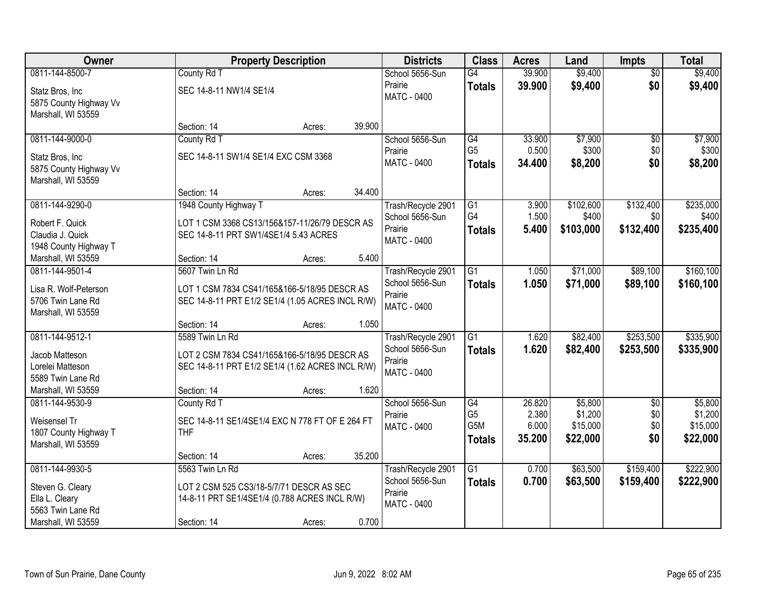| Owner                  | <b>Property Description</b>                      |                  | <b>Districts</b>              | <b>Class</b>     | <b>Acres</b> | Land      | <b>Impts</b>    | <b>Total</b> |
|------------------------|--------------------------------------------------|------------------|-------------------------------|------------------|--------------|-----------|-----------------|--------------|
| 0811-144-8500-7        | County Rd T                                      |                  | School 5656-Sun               | G4               | 39.900       | \$9,400   | $\overline{50}$ | \$9,400      |
| Statz Bros, Inc        | SEC 14-8-11 NW1/4 SE1/4                          |                  | Prairie                       | <b>Totals</b>    | 39.900       | \$9,400   | \$0             | \$9,400      |
| 5875 County Highway Vv |                                                  |                  | <b>MATC - 0400</b>            |                  |              |           |                 |              |
| Marshall, WI 53559     |                                                  |                  |                               |                  |              |           |                 |              |
|                        | Section: 14                                      | 39.900<br>Acres: |                               |                  |              |           |                 |              |
| 0811-144-9000-0        | County Rd T                                      |                  | School 5656-Sun               | G4               | 33.900       | \$7,900   | \$0             | \$7,900      |
| Statz Bros, Inc.       | SEC 14-8-11 SW1/4 SE1/4 EXC CSM 3368             |                  | Prairie                       | G <sub>5</sub>   | 0.500        | \$300     | \$0             | \$300        |
| 5875 County Highway Vv |                                                  |                  | MATC - 0400                   | <b>Totals</b>    | 34.400       | \$8,200   | \$0             | \$8,200      |
| Marshall, WI 53559     |                                                  |                  |                               |                  |              |           |                 |              |
|                        | Section: 14                                      | 34.400<br>Acres: |                               |                  |              |           |                 |              |
| 0811-144-9290-0        | 1948 County Highway T                            |                  | Trash/Recycle 2901            | G1               | 3.900        | \$102,600 | \$132,400       | \$235,000    |
| Robert F. Quick        | LOT 1 CSM 3368 CS13/156&157-11/26/79 DESCR AS    |                  | School 5656-Sun               | G4               | 1.500        | \$400     | \$0             | \$400        |
| Claudia J. Quick       | SEC 14-8-11 PRT SW1/4SE1/4 5.43 ACRES            |                  | Prairie<br><b>MATC - 0400</b> | <b>Totals</b>    | 5.400        | \$103,000 | \$132,400       | \$235,400    |
| 1948 County Highway T  |                                                  |                  |                               |                  |              |           |                 |              |
| Marshall, WI 53559     | Section: 14                                      | 5.400<br>Acres:  |                               |                  |              |           |                 |              |
| 0811-144-9501-4        | 5607 Twin Ln Rd                                  |                  | Trash/Recycle 2901            | G1               | 1.050        | \$71,000  | \$89,100        | \$160, 100   |
| Lisa R. Wolf-Peterson  | LOT 1 CSM 7834 CS41/165&166-5/18/95 DESCR AS     |                  | School 5656-Sun               | <b>Totals</b>    | 1.050        | \$71,000  | \$89,100        | \$160,100    |
| 5706 Twin Lane Rd      | SEC 14-8-11 PRT E1/2 SE1/4 (1.05 ACRES INCL R/W) |                  | Prairie                       |                  |              |           |                 |              |
| Marshall, WI 53559     |                                                  |                  | <b>MATC - 0400</b>            |                  |              |           |                 |              |
|                        | Section: 14                                      | 1.050<br>Acres:  |                               |                  |              |           |                 |              |
| 0811-144-9512-1        | 5589 Twin Ln Rd                                  |                  | Trash/Recycle 2901            | $\overline{G1}$  | 1.620        | \$82,400  | \$253,500       | \$335,900    |
| Jacob Matteson         | LOT 2 CSM 7834 CS41/165&166-5/18/95 DESCR AS     |                  | School 5656-Sun               | <b>Totals</b>    | 1.620        | \$82,400  | \$253,500       | \$335,900    |
| Lorelei Matteson       | SEC 14-8-11 PRT E1/2 SE1/4 (1.62 ACRES INCL R/W) |                  | Prairie                       |                  |              |           |                 |              |
| 5589 Twin Lane Rd      |                                                  |                  | MATC - 0400                   |                  |              |           |                 |              |
| Marshall, WI 53559     | Section: 14                                      | 1.620<br>Acres:  |                               |                  |              |           |                 |              |
| 0811-144-9530-9        | County Rd T                                      |                  | School 5656-Sun               | G4               | 26.820       | \$5,800   | $\overline{50}$ | \$5,800      |
| Weisensel Tr           | SEC 14-8-11 SE1/4SE1/4 EXC N 778 FT OF E 264 FT  |                  | Prairie                       | G <sub>5</sub>   | 2.380        | \$1,200   | \$0             | \$1,200      |
| 1807 County Highway T  | <b>THF</b>                                       |                  | MATC - 0400                   | G <sub>5</sub> M | 6.000        | \$15,000  | \$0             | \$15,000     |
| Marshall, WI 53559     |                                                  |                  |                               | <b>Totals</b>    | 35.200       | \$22,000  | \$0             | \$22,000     |
|                        | Section: 14                                      | 35.200<br>Acres: |                               |                  |              |           |                 |              |
| 0811-144-9930-5        | 5563 Twin Ln Rd                                  |                  | Trash/Recycle 2901            | $\overline{G1}$  | 0.700        | \$63,500  | \$159,400       | \$222,900    |
| Steven G. Cleary       | LOT 2 CSM 525 CS3/18-5/7/71 DESCR AS SEC         |                  | School 5656-Sun               | <b>Totals</b>    | 0.700        | \$63,500  | \$159,400       | \$222,900    |
| Ella L. Cleary         | 14-8-11 PRT SE1/4SE1/4 (0.788 ACRES INCL R/W)    |                  | Prairie                       |                  |              |           |                 |              |
| 5563 Twin Lane Rd      |                                                  |                  | <b>MATC - 0400</b>            |                  |              |           |                 |              |
| Marshall, WI 53559     | Section: 14                                      | 0.700<br>Acres:  |                               |                  |              |           |                 |              |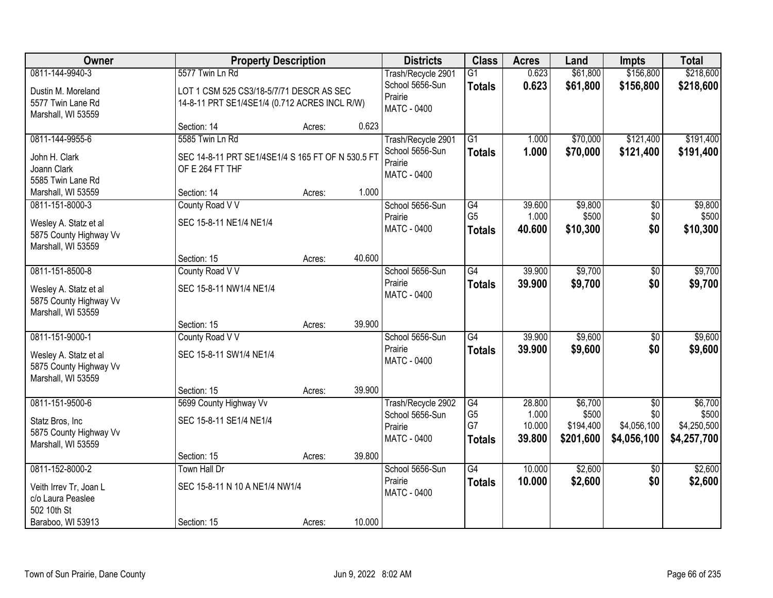| <b>Owner</b>           | <b>Property Description</b>                       |        |        | <b>Districts</b>              | <b>Class</b>         | <b>Acres</b>     | Land             | <b>Impts</b>           | <b>Total</b>     |
|------------------------|---------------------------------------------------|--------|--------|-------------------------------|----------------------|------------------|------------------|------------------------|------------------|
| 0811-144-9940-3        | 5577 Twin Ln Rd                                   |        |        | Trash/Recycle 2901            | $\overline{G1}$      | 0.623            | \$61,800         | \$156,800              | \$218,600        |
| Dustin M. Moreland     | LOT 1 CSM 525 CS3/18-5/7/71 DESCR AS SEC          |        |        | School 5656-Sun               | <b>Totals</b>        | 0.623            | \$61,800         | \$156,800              | \$218,600        |
| 5577 Twin Lane Rd      | 14-8-11 PRT SE1/4SE1/4 (0.712 ACRES INCL R/W)     |        |        | Prairie                       |                      |                  |                  |                        |                  |
| Marshall, WI 53559     |                                                   |        |        | <b>MATC - 0400</b>            |                      |                  |                  |                        |                  |
|                        | Section: 14                                       | Acres: | 0.623  |                               |                      |                  |                  |                        |                  |
| 0811-144-9955-6        | 5585 Twin Ln Rd                                   |        |        | Trash/Recycle 2901            | $\overline{G1}$      | 1.000            | \$70,000         | \$121,400              | \$191,400        |
| John H. Clark          | SEC 14-8-11 PRT SE1/4SE1/4 S 165 FT OF N 530.5 FT |        |        | School 5656-Sun               | <b>Totals</b>        | 1.000            | \$70,000         | \$121,400              | \$191,400        |
| Joann Clark            | OF E 264 FT THF                                   |        |        | Prairie<br><b>MATC - 0400</b> |                      |                  |                  |                        |                  |
| 5585 Twin Lane Rd      |                                                   |        |        |                               |                      |                  |                  |                        |                  |
| Marshall, WI 53559     | Section: 14                                       | Acres: | 1.000  |                               |                      |                  |                  |                        |                  |
| 0811-151-8000-3        | County Road V V                                   |        |        | School 5656-Sun               | G4                   | 39.600           | \$9,800          | $\overline{50}$        | \$9,800          |
| Wesley A. Statz et al  | SEC 15-8-11 NE1/4 NE1/4                           |        |        | Prairie                       | G <sub>5</sub>       | 1.000            | \$500            | \$0                    | \$500            |
| 5875 County Highway Vv |                                                   |        |        | <b>MATC - 0400</b>            | <b>Totals</b>        | 40.600           | \$10,300         | \$0                    | \$10,300         |
| Marshall, WI 53559     |                                                   |        |        |                               |                      |                  |                  |                        |                  |
|                        | Section: 15                                       | Acres: | 40.600 |                               |                      |                  |                  |                        |                  |
| 0811-151-8500-8        | County Road V V                                   |        |        | School 5656-Sun               | $\overline{G4}$      | 39.900           | \$9,700          | \$0                    | \$9,700          |
| Wesley A. Statz et al  | SEC 15-8-11 NW1/4 NE1/4                           |        |        | Prairie                       | <b>Totals</b>        | 39,900           | \$9,700          | \$0                    | \$9,700          |
| 5875 County Highway Vv |                                                   |        |        | <b>MATC - 0400</b>            |                      |                  |                  |                        |                  |
| Marshall, WI 53559     |                                                   |        |        |                               |                      |                  |                  |                        |                  |
|                        | Section: 15                                       | Acres: | 39.900 |                               |                      |                  |                  |                        |                  |
| 0811-151-9000-1        | County Road V V                                   |        |        | School 5656-Sun               | $\overline{G4}$      | 39.900           | \$9,600          | $\overline{50}$        | \$9,600          |
| Wesley A. Statz et al  | SEC 15-8-11 SW1/4 NE1/4                           |        |        | Prairie<br>MATC - 0400        | <b>Totals</b>        | 39.900           | \$9,600          | \$0                    | \$9,600          |
| 5875 County Highway Vv |                                                   |        |        |                               |                      |                  |                  |                        |                  |
| Marshall, WI 53559     |                                                   |        |        |                               |                      |                  |                  |                        |                  |
|                        | Section: 15                                       | Acres: | 39.900 |                               |                      |                  |                  |                        |                  |
| 0811-151-9500-6        | 5699 County Highway Vv                            |        |        | Trash/Recycle 2902            | G4<br>G <sub>5</sub> | 28.800<br>1.000  | \$6,700<br>\$500 | $\overline{50}$<br>\$0 | \$6,700<br>\$500 |
| Statz Bros, Inc        | SEC 15-8-11 SE1/4 NE1/4                           |        |        | School 5656-Sun<br>Prairie    | G7                   | 10.000           | \$194,400        | \$4,056,100            | \$4,250,500      |
| 5875 County Highway Vv |                                                   |        |        | MATC - 0400                   | <b>Totals</b>        | 39.800           | \$201,600        | \$4,056,100            | \$4,257,700      |
| Marshall, WI 53559     |                                                   |        |        |                               |                      |                  |                  |                        |                  |
|                        | Section: 15                                       | Acres: | 39.800 |                               |                      |                  |                  |                        |                  |
| 0811-152-8000-2        | Town Hall Dr                                      |        |        | School 5656-Sun<br>Prairie    | $\overline{G4}$      | 10.000<br>10.000 | \$2,600          | $\overline{50}$<br>\$0 | \$2,600          |
| Veith Irrev Tr, Joan L | SEC 15-8-11 N 10 A NE1/4 NW1/4                    |        |        | <b>MATC - 0400</b>            | <b>Totals</b>        |                  | \$2,600          |                        | \$2,600          |
| c/o Laura Peaslee      |                                                   |        |        |                               |                      |                  |                  |                        |                  |
| 502 10th St            |                                                   |        |        |                               |                      |                  |                  |                        |                  |
| Baraboo, WI 53913      | Section: 15                                       | Acres: | 10.000 |                               |                      |                  |                  |                        |                  |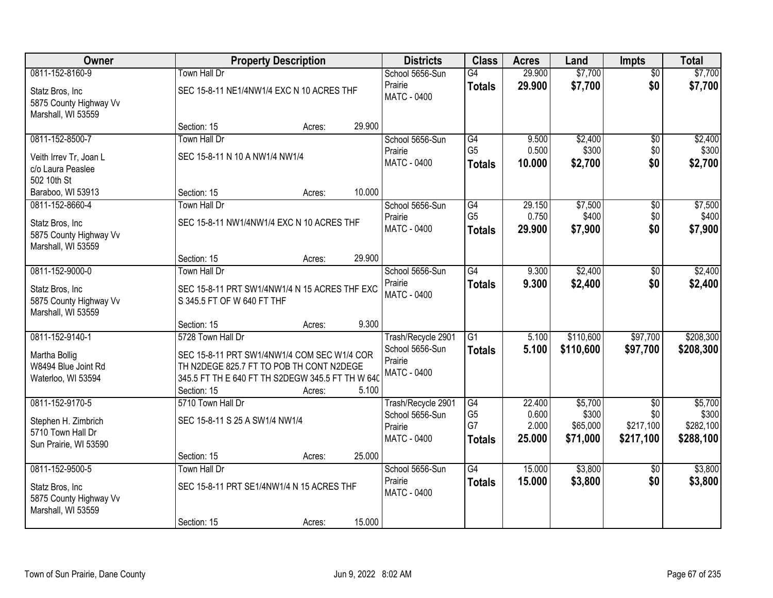| Owner                                                                                |                                                                                                                                                                                 | <b>Property Description</b> |        | <b>Districts</b>                                                       | <b>Class</b>                                | <b>Acres</b>                       | Land                                     | <b>Impts</b>                                     | <b>Total</b>                               |
|--------------------------------------------------------------------------------------|---------------------------------------------------------------------------------------------------------------------------------------------------------------------------------|-----------------------------|--------|------------------------------------------------------------------------|---------------------------------------------|------------------------------------|------------------------------------------|--------------------------------------------------|--------------------------------------------|
| 0811-152-8160-9<br>Statz Bros, Inc<br>5875 County Highway Vv<br>Marshall, WI 53559   | <b>Town Hall Dr</b><br>SEC 15-8-11 NE1/4NW1/4 EXC N 10 ACRES THF                                                                                                                |                             |        | School 5656-Sun<br>Prairie<br>MATC - 0400                              | $\overline{G4}$<br><b>Totals</b>            | 29.900<br>29.900                   | \$7,700<br>\$7,700                       | $\overline{50}$<br>\$0                           | \$7,700<br>\$7,700                         |
|                                                                                      | Section: 15                                                                                                                                                                     | Acres:                      | 29.900 |                                                                        |                                             |                                    |                                          |                                                  |                                            |
| 0811-152-8500-7<br>Veith Irrev Tr, Joan L<br>c/o Laura Peaslee<br>502 10th St        | <b>Town Hall Dr</b><br>SEC 15-8-11 N 10 A NW1/4 NW1/4                                                                                                                           |                             |        | School 5656-Sun<br>Prairie<br><b>MATC - 0400</b>                       | G4<br>G <sub>5</sub><br><b>Totals</b>       | 9.500<br>0.500<br>10,000           | \$2,400<br>\$300<br>\$2,700              | $\overline{50}$<br>\$0<br>\$0                    | \$2,400<br>\$300<br>\$2,700                |
| Baraboo, WI 53913                                                                    | Section: 15                                                                                                                                                                     | Acres:                      | 10.000 |                                                                        |                                             |                                    |                                          |                                                  |                                            |
| 0811-152-8660-4<br>Statz Bros, Inc<br>5875 County Highway Vv<br>Marshall, WI 53559   | <b>Town Hall Dr</b><br>SEC 15-8-11 NW1/4NW1/4 EXC N 10 ACRES THF                                                                                                                |                             |        | School 5656-Sun<br>Prairie<br><b>MATC - 0400</b>                       | G4<br>G <sub>5</sub><br><b>Totals</b>       | 29.150<br>0.750<br>29.900          | \$7,500<br>\$400<br>\$7,900              | \$0<br>\$0<br>\$0                                | \$7,500<br>\$400<br>\$7,900                |
|                                                                                      | Section: 15                                                                                                                                                                     | Acres:                      | 29.900 |                                                                        |                                             |                                    |                                          |                                                  |                                            |
| 0811-152-9000-0<br>Statz Bros, Inc<br>5875 County Highway Vv<br>Marshall, WI 53559   | <b>Town Hall Dr</b><br>SEC 15-8-11 PRT SW1/4NW1/4 N 15 ACRES THF EXC<br>S 345.5 FT OF W 640 FT THF                                                                              |                             |        | School 5656-Sun<br>Prairie<br><b>MATC - 0400</b>                       | $\overline{G4}$<br><b>Totals</b>            | 9.300<br>9.300                     | \$2,400<br>\$2,400                       | \$0<br>\$0                                       | \$2,400<br>\$2,400                         |
|                                                                                      | Section: 15                                                                                                                                                                     | Acres:                      | 9.300  |                                                                        |                                             |                                    |                                          |                                                  |                                            |
| 0811-152-9140-1<br>Martha Bollig<br>W8494 Blue Joint Rd<br>Waterloo, WI 53594        | 5728 Town Hall Dr<br>SEC 15-8-11 PRT SW1/4NW1/4 COM SEC W1/4 COR<br>TH N2DEGE 825.7 FT TO POB TH CONT N2DEGE<br>345.5 FT TH E 640 FT TH S2DEGW 345.5 FT TH W 640<br>Section: 15 | Acres:                      | 5.100  | Trash/Recycle 2901<br>School 5656-Sun<br>Prairie<br><b>MATC - 0400</b> | $\overline{G1}$<br>Totals                   | 5.100<br>5.100                     | \$110,600<br>\$110,600                   | \$97,700<br>\$97,700                             | \$208,300<br>\$208,300                     |
| 0811-152-9170-5<br>Stephen H. Zimbrich<br>5710 Town Hall Dr<br>Sun Prairie, WI 53590 | 5710 Town Hall Dr<br>SEC 15-8-11 S 25 A SW1/4 NW1/4<br>Section: 15                                                                                                              | Acres:                      | 25.000 | Trash/Recycle 2901<br>School 5656-Sun<br>Prairie<br><b>MATC - 0400</b> | G4<br>G <sub>5</sub><br>G7<br><b>Totals</b> | 22.400<br>0.600<br>2.000<br>25.000 | \$5,700<br>\$300<br>\$65,000<br>\$71,000 | $\overline{30}$<br>\$0<br>\$217,100<br>\$217,100 | \$5,700<br>\$300<br>\$282,100<br>\$288,100 |
| 0811-152-9500-5<br>Statz Bros, Inc<br>5875 County Highway Vv<br>Marshall, WI 53559   | <b>Town Hall Dr</b><br>SEC 15-8-11 PRT SE1/4NW1/4 N 15 ACRES THF<br>Section: 15                                                                                                 | Acres:                      | 15.000 | School 5656-Sun<br>Prairie<br>MATC - 0400                              | G4<br><b>Totals</b>                         | 15,000<br>15.000                   | \$3,800<br>\$3,800                       | $\overline{50}$<br>\$0                           | \$3,800<br>\$3,800                         |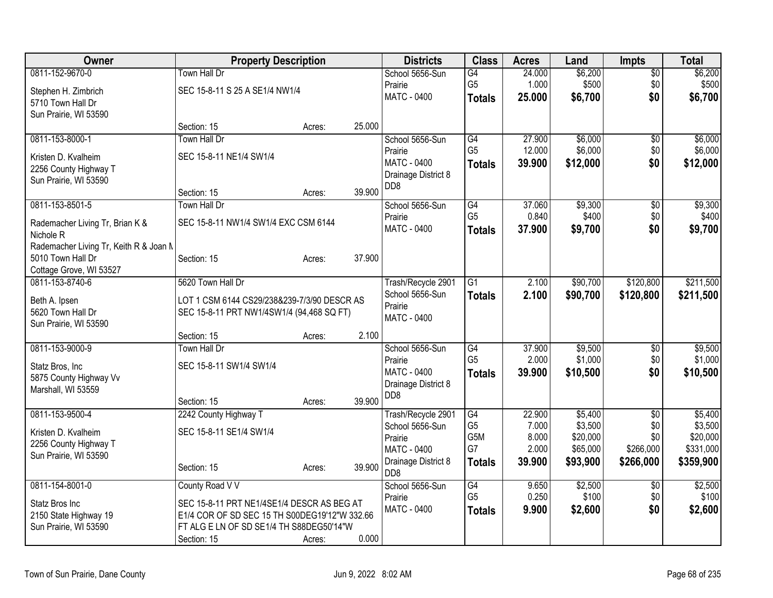| Owner                                      | <b>Property Description</b>                   |        |        | <b>Districts</b>                          | <b>Class</b>     | <b>Acres</b>    | Land     | <b>Impts</b>    | <b>Total</b> |
|--------------------------------------------|-----------------------------------------------|--------|--------|-------------------------------------------|------------------|-----------------|----------|-----------------|--------------|
| 0811-152-9670-0                            | Town Hall Dr                                  |        |        | School 5656-Sun                           | G4               | 24.000          | \$6,200  | $\overline{50}$ | \$6,200      |
| Stephen H. Zimbrich                        | SEC 15-8-11 S 25 A SE1/4 NW1/4                |        |        | Prairie                                   | G <sub>5</sub>   | 1.000           | \$500    | \$0             | \$500        |
| 5710 Town Hall Dr                          |                                               |        |        | <b>MATC - 0400</b>                        | <b>Totals</b>    | 25.000          | \$6,700  | \$0             | \$6,700      |
| Sun Prairie, WI 53590                      |                                               |        |        |                                           |                  |                 |          |                 |              |
|                                            | Section: 15                                   | Acres: | 25.000 |                                           |                  |                 |          |                 |              |
| 0811-153-8000-1                            | <b>Town Hall Dr</b>                           |        |        | School 5656-Sun                           | G4               | 27.900          | \$6,000  | $\sqrt{6}$      | \$6,000      |
| Kristen D. Kvalheim                        | SEC 15-8-11 NE1/4 SW1/4                       |        |        | Prairie                                   | G <sub>5</sub>   | 12.000          | \$6,000  | \$0             | \$6,000      |
| 2256 County Highway T                      |                                               |        |        | <b>MATC - 0400</b><br>Drainage District 8 | <b>Totals</b>    | 39.900          | \$12,000 | \$0             | \$12,000     |
| Sun Prairie, WI 53590                      |                                               |        |        | D <sub>D</sub> 8                          |                  |                 |          |                 |              |
|                                            | Section: 15                                   | Acres: | 39.900 |                                           |                  |                 |          |                 |              |
| 0811-153-8501-5                            | <b>Town Hall Dr</b>                           |        |        | School 5656-Sun                           | G4               | 37.060          | \$9,300  | \$0             | \$9,300      |
| Rademacher Living Tr, Brian K &            | SEC 15-8-11 NW1/4 SW1/4 EXC CSM 6144          |        |        | Prairie<br><b>MATC - 0400</b>             | G <sub>5</sub>   | 0.840<br>37,900 | \$400    | \$0             | \$400        |
| Nichole <sub>R</sub>                       |                                               |        |        |                                           | <b>Totals</b>    |                 | \$9,700  | \$0             | \$9,700      |
| Rademacher Living Tr, Keith R & Joan N     |                                               |        |        |                                           |                  |                 |          |                 |              |
| 5010 Town Hall Dr                          | Section: 15                                   | Acres: | 37.900 |                                           |                  |                 |          |                 |              |
| Cottage Grove, WI 53527<br>0811-153-8740-6 | 5620 Town Hall Dr                             |        |        |                                           | $\overline{G1}$  | 2.100           | \$90,700 | \$120,800       | \$211,500    |
|                                            |                                               |        |        | Trash/Recycle 2901<br>School 5656-Sun     | <b>Totals</b>    | 2.100           | \$90,700 | \$120,800       | \$211,500    |
| Beth A. Ipsen                              | LOT 1 CSM 6144 CS29/238&239-7/3/90 DESCR AS   |        |        | Prairie                                   |                  |                 |          |                 |              |
| 5620 Town Hall Dr                          | SEC 15-8-11 PRT NW1/4SW1/4 (94,468 SQ FT)     |        |        | <b>MATC - 0400</b>                        |                  |                 |          |                 |              |
| Sun Prairie, WI 53590                      |                                               |        | 2.100  |                                           |                  |                 |          |                 |              |
| 0811-153-9000-9                            | Section: 15<br><b>Town Hall Dr</b>            | Acres: |        | School 5656-Sun                           | $\overline{G4}$  | 37.900          | \$9,500  | \$0             | \$9,500      |
|                                            |                                               |        |        | Prairie                                   | G <sub>5</sub>   | 2.000           | \$1,000  | \$0             | \$1,000      |
| Statz Bros, Inc                            | SEC 15-8-11 SW1/4 SW1/4                       |        |        | <b>MATC - 0400</b>                        | <b>Totals</b>    | 39.900          | \$10,500 | \$0             | \$10,500     |
| 5875 County Highway Vv                     |                                               |        |        | Drainage District 8                       |                  |                 |          |                 |              |
| Marshall, WI 53559                         | Section: 15                                   |        | 39.900 | DD <sub>8</sub>                           |                  |                 |          |                 |              |
| 0811-153-9500-4                            | 2242 County Highway T                         | Acres: |        | Trash/Recycle 2901                        | G4               | 22.900          | \$5,400  | $\overline{30}$ | \$5,400      |
|                                            |                                               |        |        | School 5656-Sun                           | G <sub>5</sub>   | 7.000           | \$3,500  | \$0             | \$3,500      |
| Kristen D. Kvalheim                        | SEC 15-8-11 SE1/4 SW1/4                       |        |        | Prairie                                   | G <sub>5</sub> M | 8.000           | \$20,000 | \$0             | \$20,000     |
| 2256 County Highway T                      |                                               |        |        | <b>MATC - 0400</b>                        | G7               | 2.000           | \$65,000 | \$266,000       | \$331,000    |
| Sun Prairie, WI 53590                      | Section: 15                                   | Acres: | 39.900 | Drainage District 8                       | <b>Totals</b>    | 39.900          | \$93,900 | \$266,000       | \$359,900    |
|                                            |                                               |        |        | D <sub>D</sub> 8                          |                  |                 |          |                 |              |
| 0811-154-8001-0                            | County Road V V                               |        |        | School 5656-Sun                           | G4               | 9.650           | \$2,500  | $\sqrt{6}$      | \$2,500      |
| Statz Bros Inc                             | SEC 15-8-11 PRT NE1/4SE1/4 DESCR AS BEG AT    |        |        | Prairie                                   | G <sub>5</sub>   | 0.250           | \$100    | \$0             | \$100        |
| 2150 State Highway 19                      | E1/4 COR OF SD SEC 15 TH S00DEG19'12"W 332.66 |        |        | <b>MATC - 0400</b>                        | <b>Totals</b>    | 9.900           | \$2,600  | \$0             | \$2,600      |
| Sun Prairie, WI 53590                      | FT ALG E LN OF SD SE1/4 TH S88DEG50'14"W      |        |        |                                           |                  |                 |          |                 |              |
|                                            | Section: 15                                   | Acres: | 0.000  |                                           |                  |                 |          |                 |              |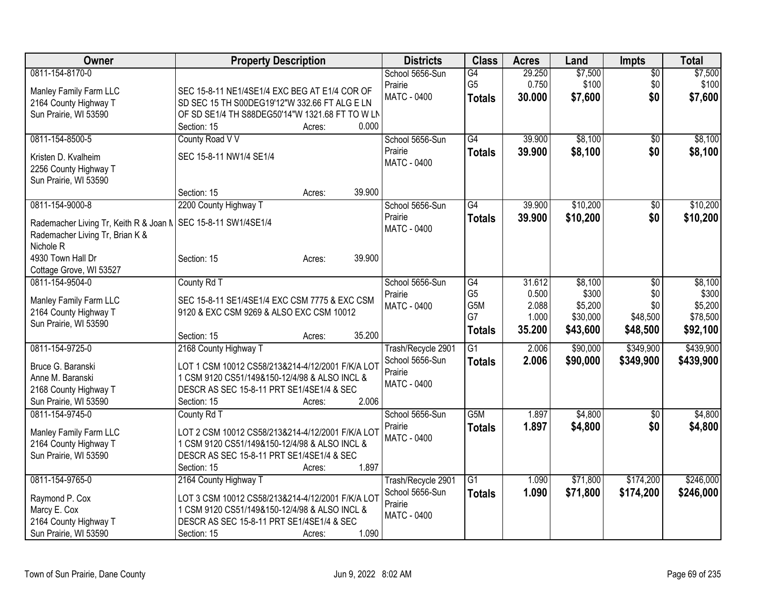| <b>Owner</b>                                                                                       | <b>Property Description</b>                      |        |        | <b>Districts</b>           | <b>Class</b>    | <b>Acres</b> | Land     | <b>Impts</b>    | <b>Total</b> |
|----------------------------------------------------------------------------------------------------|--------------------------------------------------|--------|--------|----------------------------|-----------------|--------------|----------|-----------------|--------------|
| 0811-154-8170-0                                                                                    |                                                  |        |        | School 5656-Sun            | G4              | 29.250       | \$7,500  | $\overline{50}$ | \$7,500      |
| Manley Family Farm LLC                                                                             | SEC 15-8-11 NE1/4SE1/4 EXC BEG AT E1/4 COR OF    |        |        | Prairie                    | G <sub>5</sub>  | 0.750        | \$100    | \$0             | \$100        |
| 2164 County Highway T                                                                              | SD SEC 15 TH S00DEG19'12"W 332.66 FT ALG E LN    |        |        | <b>MATC - 0400</b>         | <b>Totals</b>   | 30.000       | \$7,600  | \$0             | \$7,600      |
| Sun Prairie, WI 53590                                                                              | OF SD SE1/4 TH S88DEG50'14"W 1321.68 FT TO W LN  |        |        |                            |                 |              |          |                 |              |
|                                                                                                    | Section: 15                                      | Acres: | 0.000  |                            |                 |              |          |                 |              |
| 0811-154-8500-5                                                                                    | County Road V V                                  |        |        | School 5656-Sun            | G4              | 39.900       | \$8,100  | $\overline{30}$ | \$8,100      |
| Kristen D. Kvalheim                                                                                | SEC 15-8-11 NW1/4 SE1/4                          |        |        | Prairie                    | <b>Totals</b>   | 39.900       | \$8,100  | \$0             | \$8,100      |
| 2256 County Highway T                                                                              |                                                  |        |        | <b>MATC - 0400</b>         |                 |              |          |                 |              |
| Sun Prairie, WI 53590                                                                              |                                                  |        |        |                            |                 |              |          |                 |              |
|                                                                                                    | Section: 15                                      | Acres: | 39.900 |                            |                 |              |          |                 |              |
| 0811-154-9000-8                                                                                    | 2200 County Highway T                            |        |        | School 5656-Sun            | $\overline{G4}$ | 39.900       | \$10,200 | \$0             | \$10,200     |
|                                                                                                    |                                                  |        |        | Prairie                    | <b>Totals</b>   | 39.900       | \$10,200 | \$0             | \$10,200     |
| Rademacher Living Tr, Keith R & Joan N   SEC 15-8-11 SW1/4SE1/4<br>Rademacher Living Tr, Brian K & |                                                  |        |        | <b>MATC - 0400</b>         |                 |              |          |                 |              |
| Nichole R                                                                                          |                                                  |        |        |                            |                 |              |          |                 |              |
| 4930 Town Hall Dr                                                                                  | Section: 15                                      | Acres: | 39.900 |                            |                 |              |          |                 |              |
| Cottage Grove, WI 53527                                                                            |                                                  |        |        |                            |                 |              |          |                 |              |
| 0811-154-9504-0                                                                                    | County Rd T                                      |        |        | School 5656-Sun            | G4              | 31.612       | \$8,100  | \$0             | \$8,100      |
|                                                                                                    |                                                  |        |        | Prairie                    | G <sub>5</sub>  | 0.500        | \$300    | \$0             | \$300        |
| Manley Family Farm LLC                                                                             | SEC 15-8-11 SE1/4SE1/4 EXC CSM 7775 & EXC CSM    |        |        | <b>MATC - 0400</b>         | G5M             | 2.088        | \$5,200  | \$0             | \$5,200      |
| 2164 County Highway T<br>Sun Prairie, WI 53590                                                     | 9120 & EXC CSM 9269 & ALSO EXC CSM 10012         |        |        |                            | G7              | 1.000        | \$30,000 | \$48,500        | \$78,500     |
|                                                                                                    | Section: 15                                      | Acres: | 35.200 |                            | <b>Totals</b>   | 35.200       | \$43,600 | \$48,500        | \$92,100     |
| 0811-154-9725-0                                                                                    | 2168 County Highway T                            |        |        | Trash/Recycle 2901         | $\overline{G1}$ | 2.006        | \$90,000 | \$349,900       | \$439,900    |
|                                                                                                    |                                                  |        |        | School 5656-Sun            | <b>Totals</b>   | 2.006        | \$90,000 | \$349,900       | \$439,900    |
| Bruce G. Baranski                                                                                  | LOT 1 CSM 10012 CS58/213&214-4/12/2001 F/K/A LOT |        |        | Prairie                    |                 |              |          |                 |              |
| Anne M. Baranski                                                                                   | 1 CSM 9120 CS51/149&150-12/4/98 & ALSO INCL &    |        |        | <b>MATC - 0400</b>         |                 |              |          |                 |              |
| 2168 County Highway T                                                                              | DESCR AS SEC 15-8-11 PRT SE1/4SE1/4 & SEC        |        |        |                            |                 |              |          |                 |              |
| Sun Prairie, WI 53590                                                                              | Section: 15                                      | Acres: | 2.006  |                            |                 |              |          |                 |              |
| 0811-154-9745-0                                                                                    | County Rd T                                      |        |        | School 5656-Sun<br>Prairie | G5M             | 1.897        | \$4,800  | $\overline{50}$ | \$4,800      |
| Manley Family Farm LLC                                                                             | LOT 2 CSM 10012 CS58/213&214-4/12/2001 F/K/A LOT |        |        | <b>MATC - 0400</b>         | <b>Totals</b>   | 1.897        | \$4,800  | \$0             | \$4,800      |
| 2164 County Highway T                                                                              | 1 CSM 9120 CS51/149&150-12/4/98 & ALSO INCL &    |        |        |                            |                 |              |          |                 |              |
| Sun Prairie, WI 53590                                                                              | DESCR AS SEC 15-8-11 PRT SE1/4SE1/4 & SEC        |        |        |                            |                 |              |          |                 |              |
|                                                                                                    | Section: 15                                      | Acres: | 1.897  |                            |                 |              |          |                 |              |
| 0811-154-9765-0                                                                                    | 2164 County Highway T                            |        |        | Trash/Recycle 2901         | $\overline{G1}$ | 1.090        | \$71,800 | \$174,200       | \$246,000    |
| Raymond P. Cox                                                                                     | LOT 3 CSM 10012 CS58/213&214-4/12/2001 F/K/A LOT |        |        | School 5656-Sun            | <b>Totals</b>   | 1.090        | \$71,800 | \$174,200       | \$246,000    |
| Marcy E. Cox                                                                                       | 1 CSM 9120 CS51/149&150-12/4/98 & ALSO INCL &    |        |        | Prairie                    |                 |              |          |                 |              |
| 2164 County Highway T                                                                              | DESCR AS SEC 15-8-11 PRT SE1/4SE1/4 & SEC        |        |        | <b>MATC - 0400</b>         |                 |              |          |                 |              |
| Sun Prairie, WI 53590                                                                              | Section: 15                                      | Acres: | 1.090  |                            |                 |              |          |                 |              |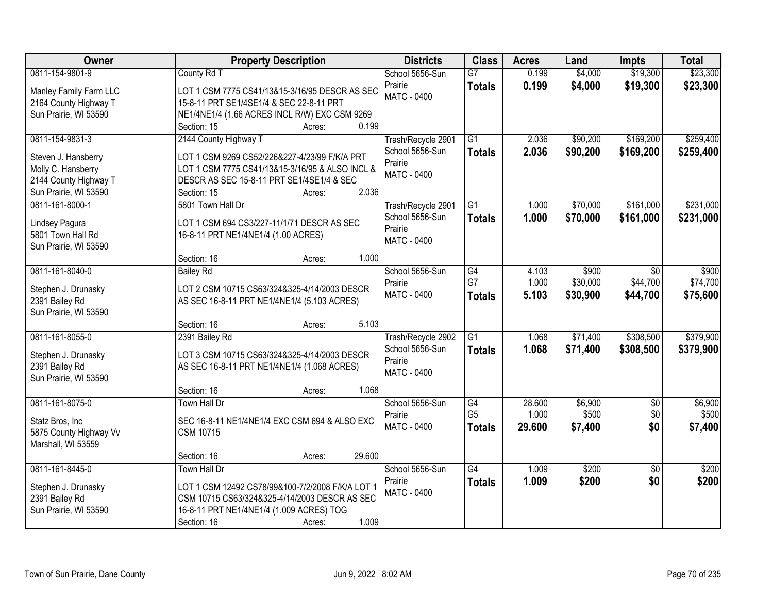| <b>Owner</b>                                                                                                   | <b>Property Description</b>                                                                                                                                                                              | <b>Districts</b>                                                       | <b>Class</b>                          | <b>Acres</b>              | Land                          | <b>Impts</b>                       | <b>Total</b>                  |
|----------------------------------------------------------------------------------------------------------------|----------------------------------------------------------------------------------------------------------------------------------------------------------------------------------------------------------|------------------------------------------------------------------------|---------------------------------------|---------------------------|-------------------------------|------------------------------------|-------------------------------|
| 0811-154-9801-9<br>Manley Family Farm LLC<br>2164 County Highway T                                             | County Rd T<br>LOT 1 CSM 7775 CS41/13&15-3/16/95 DESCR AS SEC<br>15-8-11 PRT SE1/4SE1/4 & SEC 22-8-11 PRT                                                                                                | School 5656-Sun<br>Prairie<br><b>MATC - 0400</b>                       | $\overline{G}$<br><b>Totals</b>       | 0.199<br>0.199            | \$4,000<br>\$4,000            | \$19,300<br>\$19,300               | \$23,300<br>\$23,300          |
| Sun Prairie, WI 53590                                                                                          | NE1/4NE1/4 (1.66 ACRES INCL R/W) EXC CSM 9269<br>0.199<br>Section: 15<br>Acres:                                                                                                                          |                                                                        |                                       |                           |                               |                                    |                               |
| 0811-154-9831-3<br>Steven J. Hansberry<br>Molly C. Hansberry<br>2144 County Highway T<br>Sun Prairie, WI 53590 | 2144 County Highway T<br>LOT 1 CSM 9269 CS52/226&227-4/23/99 F/K/A PRT<br>LOT 1 CSM 7775 CS41/13&15-3/16/95 & ALSO INCL &<br>DESCR AS SEC 15-8-11 PRT SE1/4SE1/4 & SEC<br>2.036<br>Section: 15<br>Acres: | Trash/Recycle 2901<br>School 5656-Sun<br>Prairie<br><b>MATC - 0400</b> | $\overline{G1}$<br><b>Totals</b>      | 2.036<br>2.036            | \$90,200<br>\$90,200          | \$169,200<br>\$169,200             | \$259,400<br>\$259,400        |
| 0811-161-8000-1<br>Lindsey Pagura<br>5801 Town Hall Rd<br>Sun Prairie, WI 53590                                | 5801 Town Hall Dr<br>LOT 1 CSM 694 CS3/227-11/1/71 DESCR AS SEC<br>16-8-11 PRT NE1/4NE1/4 (1.00 ACRES)<br>1.000<br>Section: 16<br>Acres:                                                                 | Trash/Recycle 2901<br>School 5656-Sun<br>Prairie<br>MATC - 0400        | G1<br><b>Totals</b>                   | 1.000<br>1.000            | \$70,000<br>\$70,000          | \$161,000<br>\$161,000             | \$231,000<br>\$231,000        |
| 0811-161-8040-0<br>Stephen J. Drunasky<br>2391 Bailey Rd<br>Sun Prairie, WI 53590                              | <b>Bailey Rd</b><br>LOT 2 CSM 10715 CS63/324&325-4/14/2003 DESCR<br>AS SEC 16-8-11 PRT NE1/4NE1/4 (5.103 ACRES)<br>5.103<br>Section: 16<br>Acres:                                                        | School 5656-Sun<br>Prairie<br><b>MATC - 0400</b>                       | G4<br>G7<br><b>Totals</b>             | 4.103<br>1.000<br>5.103   | \$900<br>\$30,000<br>\$30,900 | $\sqrt{6}$<br>\$44,700<br>\$44,700 | \$900<br>\$74,700<br>\$75,600 |
| 0811-161-8055-0<br>Stephen J. Drunasky<br>2391 Bailey Rd<br>Sun Prairie, WI 53590                              | 2391 Bailey Rd<br>LOT 3 CSM 10715 CS63/324&325-4/14/2003 DESCR<br>AS SEC 16-8-11 PRT NE1/4NE1/4 (1.068 ACRES)<br>1.068<br>Section: 16<br>Acres:                                                          | Trash/Recycle 2902<br>School 5656-Sun<br>Prairie<br><b>MATC - 0400</b> | $\overline{G1}$<br><b>Totals</b>      | 1.068<br>1.068            | \$71,400<br>\$71,400          | \$308,500<br>\$308,500             | \$379,900<br>\$379,900        |
| 0811-161-8075-0<br>Statz Bros, Inc<br>5875 County Highway Vv<br>Marshall, WI 53559                             | Town Hall Dr<br>SEC 16-8-11 NE1/4NE1/4 EXC CSM 694 & ALSO EXC<br><b>CSM 10715</b><br>29.600<br>Section: 16<br>Acres:                                                                                     | School 5656-Sun<br>Prairie<br>MATC - 0400                              | G4<br>G <sub>5</sub><br><b>Totals</b> | 28.600<br>1.000<br>29.600 | \$6,900<br>\$500<br>\$7,400   | $\sqrt{6}$<br>\$0<br>\$0           | \$6,900<br>\$500<br>\$7,400   |
| 0811-161-8445-0<br>Stephen J. Drunasky<br>2391 Bailey Rd<br>Sun Prairie, WI 53590                              | Town Hall Dr<br>LOT 1 CSM 12492 CS78/99&100-7/2/2008 F/K/A LOT 1<br>CSM 10715 CS63/324&325-4/14/2003 DESCR AS SEC<br>16-8-11 PRT NE1/4NE1/4 (1.009 ACRES) TOG<br>1.009<br>Section: 16<br>Acres:          | School 5656-Sun<br>Prairie<br><b>MATC - 0400</b>                       | $\overline{G4}$<br><b>Totals</b>      | 1.009<br>1.009            | \$200<br>\$200                | $\overline{50}$<br>\$0             | \$200<br>\$200                |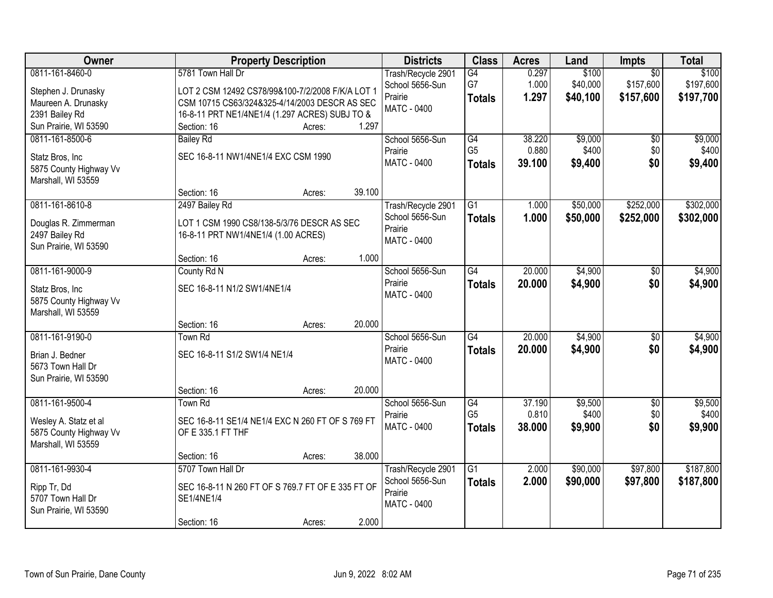| Owner                                   | <b>Property Description</b>                       | <b>Districts</b>           | <b>Class</b>    | <b>Acres</b> | Land     | Impts           | <b>Total</b> |
|-----------------------------------------|---------------------------------------------------|----------------------------|-----------------|--------------|----------|-----------------|--------------|
| 0811-161-8460-0                         | 5781 Town Hall Dr                                 | Trash/Recycle 2901         | G4              | 0.297        | \$100    | $\overline{50}$ | \$100        |
| Stephen J. Drunasky                     | LOT 2 CSM 12492 CS78/99&100-7/2/2008 F/K/A LOT 1  | School 5656-Sun            | G7              | 1.000        | \$40,000 | \$157,600       | \$197,600    |
| Maureen A. Drunasky                     | CSM 10715 CS63/324&325-4/14/2003 DESCR AS SEC     | Prairie                    | <b>Totals</b>   | 1.297        | \$40,100 | \$157,600       | \$197,700    |
| 2391 Bailey Rd                          | 16-8-11 PRT NE1/4NE1/4 (1.297 ACRES) SUBJ TO &    | <b>MATC - 0400</b>         |                 |              |          |                 |              |
| Sun Prairie, WI 53590                   | 1.297<br>Section: 16<br>Acres:                    |                            |                 |              |          |                 |              |
| 0811-161-8500-6                         | <b>Bailey Rd</b>                                  | School 5656-Sun            | G4              | 38.220       | \$9,000  | \$0             | \$9,000      |
| Statz Bros, Inc                         | SEC 16-8-11 NW1/4NE1/4 EXC CSM 1990               | Prairie                    | G <sub>5</sub>  | 0.880        | \$400    | \$0             | \$400        |
| 5875 County Highway Vv                  |                                                   | MATC - 0400                | <b>Totals</b>   | 39.100       | \$9,400  | \$0             | \$9,400      |
| Marshall, WI 53559                      |                                                   |                            |                 |              |          |                 |              |
|                                         | 39.100<br>Section: 16<br>Acres:                   |                            |                 |              |          |                 |              |
| 0811-161-8610-8                         | 2497 Bailey Rd                                    | Trash/Recycle 2901         | G1              | 1.000        | \$50,000 | \$252,000       | \$302,000    |
|                                         |                                                   | School 5656-Sun            | <b>Totals</b>   | 1.000        | \$50,000 | \$252,000       | \$302,000    |
| Douglas R. Zimmerman                    | LOT 1 CSM 1990 CS8/138-5/3/76 DESCR AS SEC        | Prairie                    |                 |              |          |                 |              |
| 2497 Bailey Rd<br>Sun Prairie, WI 53590 | 16-8-11 PRT NW1/4NE1/4 (1.00 ACRES)               | MATC - 0400                |                 |              |          |                 |              |
|                                         | 1.000<br>Section: 16<br>Acres:                    |                            |                 |              |          |                 |              |
| 0811-161-9000-9                         | County Rd N                                       | School 5656-Sun            | $\overline{G4}$ | 20.000       | \$4,900  | $\sqrt[6]{3}$   | \$4,900      |
|                                         |                                                   | Prairie                    | <b>Totals</b>   | 20.000       | \$4,900  | \$0             | \$4,900      |
| Statz Bros, Inc                         | SEC 16-8-11 N1/2 SW1/4NE1/4                       | <b>MATC - 0400</b>         |                 |              |          |                 |              |
| 5875 County Highway Vv                  |                                                   |                            |                 |              |          |                 |              |
| Marshall, WI 53559                      |                                                   |                            |                 |              |          |                 |              |
|                                         | 20.000<br>Section: 16<br>Acres:                   |                            | G4              | 20.000       |          |                 | \$4,900      |
| 0811-161-9190-0                         | <b>Town Rd</b>                                    | School 5656-Sun<br>Prairie |                 |              | \$4,900  | $\overline{50}$ |              |
| Brian J. Bedner                         | SEC 16-8-11 S1/2 SW1/4 NE1/4                      | <b>MATC - 0400</b>         | <b>Totals</b>   | 20,000       | \$4,900  | \$0             | \$4,900      |
| 5673 Town Hall Dr                       |                                                   |                            |                 |              |          |                 |              |
| Sun Prairie, WI 53590                   |                                                   |                            |                 |              |          |                 |              |
|                                         | 20.000<br>Section: 16<br>Acres:                   |                            |                 |              |          |                 |              |
| 0811-161-9500-4                         | Town Rd                                           | School 5656-Sun            | G4              | 37.190       | \$9,500  | $\sqrt{6}$      | \$9,500      |
| Wesley A. Statz et al                   | SEC 16-8-11 SE1/4 NE1/4 EXC N 260 FT OF S 769 FT  | Prairie                    | G <sub>5</sub>  | 0.810        | \$400    | \$0             | \$400        |
| 5875 County Highway Vv                  | OF E 335.1 FT THF                                 | MATC - 0400                | <b>Totals</b>   | 38.000       | \$9,900  | \$0             | \$9,900      |
| Marshall, WI 53559                      |                                                   |                            |                 |              |          |                 |              |
|                                         | 38.000<br>Section: 16<br>Acres:                   |                            |                 |              |          |                 |              |
| 0811-161-9930-4                         | 5707 Town Hall Dr                                 | Trash/Recycle 2901         | $\overline{G1}$ | 2.000        | \$90,000 | \$97,800        | \$187,800    |
| Ripp Tr, Dd                             | SEC 16-8-11 N 260 FT OF S 769.7 FT OF E 335 FT OF | School 5656-Sun            | <b>Totals</b>   | 2.000        | \$90,000 | \$97,800        | \$187,800    |
| 5707 Town Hall Dr                       | SE1/4NE1/4                                        | Prairie                    |                 |              |          |                 |              |
| Sun Prairie, WI 53590                   |                                                   | MATC - 0400                |                 |              |          |                 |              |
|                                         | 2.000<br>Section: 16<br>Acres:                    |                            |                 |              |          |                 |              |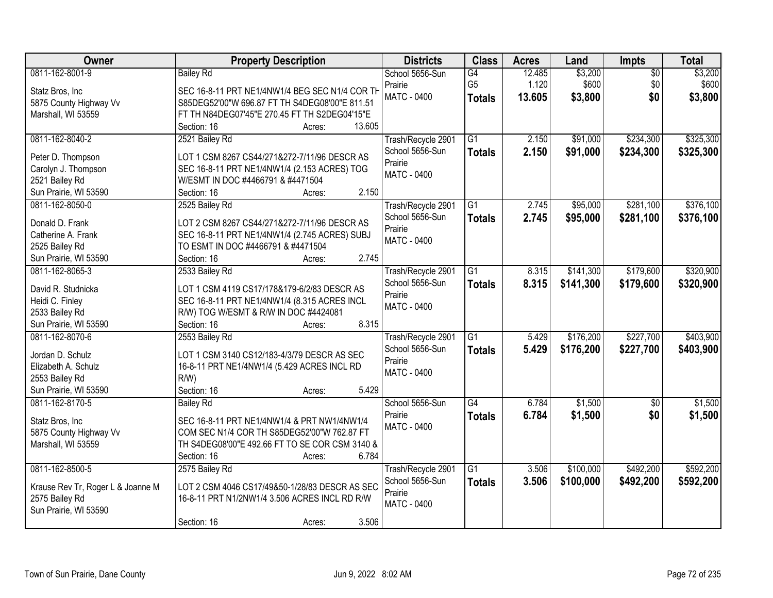| Owner                             | <b>Property Description</b>                    | <b>Districts</b>              | <b>Class</b>    | <b>Acres</b> | Land      | <b>Impts</b>    | <b>Total</b> |
|-----------------------------------|------------------------------------------------|-------------------------------|-----------------|--------------|-----------|-----------------|--------------|
| 0811-162-8001-9                   | <b>Bailey Rd</b>                               | School 5656-Sun               | G4              | 12.485       | \$3,200   | $\overline{50}$ | \$3,200      |
| Statz Bros, Inc                   | SEC 16-8-11 PRT NE1/4NW1/4 BEG SEC N1/4 COR TH | Prairie                       | G <sub>5</sub>  | 1.120        | \$600     | \$0             | \$600        |
| 5875 County Highway Vv            | S85DEG52'00"W 696.87 FT TH S4DEG08'00"E 811.51 | MATC - 0400                   | <b>Totals</b>   | 13.605       | \$3,800   | \$0             | \$3,800      |
| Marshall, WI 53559                | FT TH N84DEG07'45"E 270.45 FT TH S2DEG04'15"E  |                               |                 |              |           |                 |              |
|                                   | 13.605<br>Section: 16<br>Acres:                |                               |                 |              |           |                 |              |
| 0811-162-8040-2                   | 2521 Bailey Rd                                 | Trash/Recycle 2901            | $\overline{G1}$ | 2.150        | \$91,000  | \$234,300       | \$325,300    |
| Peter D. Thompson                 | LOT 1 CSM 8267 CS44/271&272-7/11/96 DESCR AS   | School 5656-Sun               | <b>Totals</b>   | 2.150        | \$91,000  | \$234,300       | \$325,300    |
| Carolyn J. Thompson               | SEC 16-8-11 PRT NE1/4NW1/4 (2.153 ACRES) TOG   | Prairie                       |                 |              |           |                 |              |
| 2521 Bailey Rd                    | W/ESMT IN DOC #4466791 & #4471504              | <b>MATC - 0400</b>            |                 |              |           |                 |              |
| Sun Prairie, WI 53590             | 2.150<br>Section: 16<br>Acres:                 |                               |                 |              |           |                 |              |
| 0811-162-8050-0                   | 2525 Bailey Rd                                 | Trash/Recycle 2901            | G1              | 2.745        | \$95,000  | \$281,100       | \$376,100    |
|                                   |                                                | School 5656-Sun               | <b>Totals</b>   | 2.745        | \$95,000  | \$281,100       | \$376,100    |
| Donald D. Frank                   | LOT 2 CSM 8267 CS44/271&272-7/11/96 DESCR AS   | Prairie                       |                 |              |           |                 |              |
| Catherine A. Frank                | SEC 16-8-11 PRT NE1/4NW1/4 (2.745 ACRES) SUBJ  | MATC - 0400                   |                 |              |           |                 |              |
| 2525 Bailey Rd                    | TO ESMT IN DOC #4466791 & #4471504             |                               |                 |              |           |                 |              |
| Sun Prairie, WI 53590             | 2.745<br>Section: 16<br>Acres:                 |                               |                 |              |           |                 |              |
| 0811-162-8065-3                   | 2533 Bailey Rd                                 | Trash/Recycle 2901            | G1              | 8.315        | \$141,300 | \$179,600       | \$320,900    |
| David R. Studnicka                | LOT 1 CSM 4119 CS17/178&179-6/2/83 DESCR AS    | School 5656-Sun               | <b>Totals</b>   | 8.315        | \$141,300 | \$179,600       | \$320,900    |
| Heidi C. Finley                   | SEC 16-8-11 PRT NE1/4NW1/4 (8.315 ACRES INCL   | Prairie<br>MATC - 0400        |                 |              |           |                 |              |
| 2533 Bailey Rd                    | R/W) TOG W/ESMT & R/W IN DOC #4424081          |                               |                 |              |           |                 |              |
| Sun Prairie, WI 53590             | 8.315<br>Section: 16<br>Acres:                 |                               |                 |              |           |                 |              |
| 0811-162-8070-6                   | 2553 Bailey Rd                                 | Trash/Recycle 2901            | $\overline{G1}$ | 5.429        | \$176,200 | \$227,700       | \$403,900    |
| Jordan D. Schulz                  | LOT 1 CSM 3140 CS12/183-4/3/79 DESCR AS SEC    | School 5656-Sun               | <b>Totals</b>   | 5.429        | \$176,200 | \$227,700       | \$403,900    |
| Elizabeth A. Schulz               | 16-8-11 PRT NE1/4NW1/4 (5.429 ACRES INCL RD    | Prairie                       |                 |              |           |                 |              |
| 2553 Bailey Rd                    | $R/W$ )                                        | <b>MATC - 0400</b>            |                 |              |           |                 |              |
| Sun Prairie, WI 53590             | 5.429<br>Section: 16<br>Acres:                 |                               |                 |              |           |                 |              |
| 0811-162-8170-5                   | <b>Bailey Rd</b>                               | School 5656-Sun               | G4              | 6.784        | \$1,500   | $\overline{50}$ | \$1,500      |
|                                   |                                                | Prairie                       | <b>Totals</b>   | 6.784        | \$1,500   | \$0             | \$1,500      |
| Statz Bros, Inc                   | SEC 16-8-11 PRT NE1/4NW1/4 & PRT NW1/4NW1/4    | MATC - 0400                   |                 |              |           |                 |              |
| 5875 County Highway Vv            | COM SEC N1/4 COR TH S85DEG52'00"W 762.87 FT    |                               |                 |              |           |                 |              |
| Marshall, WI 53559                | TH S4DEG08'00"E 492.66 FT TO SE COR CSM 3140 & |                               |                 |              |           |                 |              |
|                                   | 6.784<br>Section: 16<br>Acres:                 |                               |                 |              |           |                 |              |
| 0811-162-8500-5                   | 2575 Bailey Rd                                 | Trash/Recycle 2901            | $\overline{G1}$ | 3.506        | \$100,000 | \$492,200       | \$592,200    |
| Krause Rev Tr, Roger L & Joanne M | LOT 2 CSM 4046 CS17/49&50-1/28/83 DESCR AS SEC | School 5656-Sun               | <b>Totals</b>   | 3.506        | \$100,000 | \$492,200       | \$592,200    |
| 2575 Bailey Rd                    | 16-8-11 PRT N1/2NW1/4 3.506 ACRES INCL RD R/W  | Prairie<br><b>MATC - 0400</b> |                 |              |           |                 |              |
| Sun Prairie, WI 53590             |                                                |                               |                 |              |           |                 |              |
|                                   | 3.506<br>Section: 16<br>Acres:                 |                               |                 |              |           |                 |              |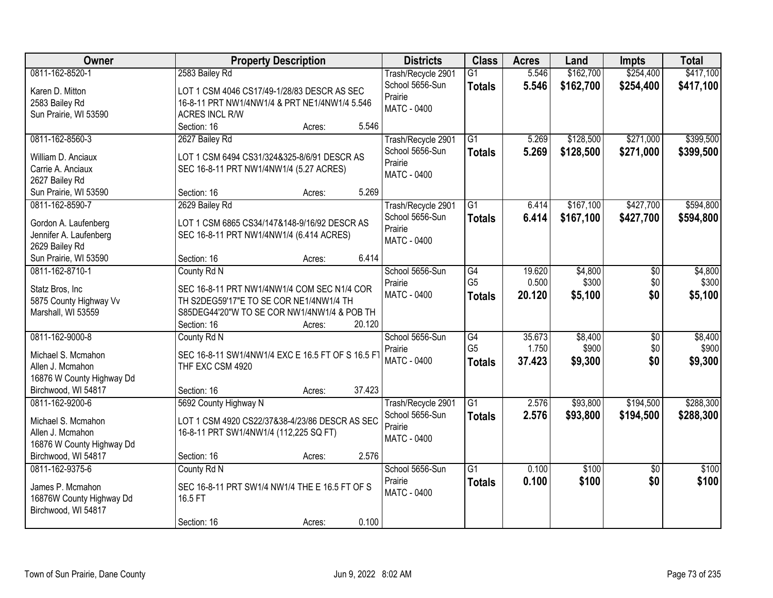| Owner                                            | <b>Property Description</b>                       | <b>Districts</b>   | <b>Class</b>    | <b>Acres</b> | Land      | <b>Impts</b>    | <b>Total</b> |
|--------------------------------------------------|---------------------------------------------------|--------------------|-----------------|--------------|-----------|-----------------|--------------|
| 0811-162-8520-1                                  | 2583 Bailey Rd                                    | Trash/Recycle 2901 | $\overline{G1}$ | 5.546        | \$162,700 | \$254,400       | \$417,100    |
| Karen D. Mitton                                  | LOT 1 CSM 4046 CS17/49-1/28/83 DESCR AS SEC       | School 5656-Sun    | <b>Totals</b>   | 5.546        | \$162,700 | \$254,400       | \$417,100    |
| 2583 Bailey Rd                                   | 16-8-11 PRT NW1/4NW1/4 & PRT NE1/4NW1/4 5.546     | Prairie            |                 |              |           |                 |              |
| Sun Prairie, WI 53590                            | <b>ACRES INCL R/W</b>                             | <b>MATC - 0400</b> |                 |              |           |                 |              |
|                                                  | 5.546<br>Section: 16<br>Acres:                    |                    |                 |              |           |                 |              |
| 0811-162-8560-3                                  | 2627 Bailey Rd                                    | Trash/Recycle 2901 | $\overline{G1}$ | 5.269        | \$128,500 | \$271,000       | \$399,500    |
|                                                  |                                                   | School 5656-Sun    | <b>Totals</b>   | 5.269        | \$128,500 | \$271,000       | \$399,500    |
| William D. Anciaux                               | LOT 1 CSM 6494 CS31/324&325-8/6/91 DESCR AS       | Prairie            |                 |              |           |                 |              |
| Carrie A. Anciaux                                | SEC 16-8-11 PRT NW1/4NW1/4 (5.27 ACRES)           | <b>MATC - 0400</b> |                 |              |           |                 |              |
| 2627 Bailey Rd                                   |                                                   |                    |                 |              |           |                 |              |
| Sun Prairie, WI 53590                            | 5.269<br>Section: 16<br>Acres:                    |                    |                 |              |           |                 |              |
| 0811-162-8590-7                                  | 2629 Bailey Rd                                    | Trash/Recycle 2901 | G1              | 6.414        | \$167,100 | \$427,700       | \$594,800    |
| Gordon A. Laufenberg                             | LOT 1 CSM 6865 CS34/147&148-9/16/92 DESCR AS      | School 5656-Sun    | <b>Totals</b>   | 6.414        | \$167,100 | \$427,700       | \$594,800    |
| Jennifer A. Laufenberg                           | SEC 16-8-11 PRT NW1/4NW1/4 (6.414 ACRES)          | Prairie            |                 |              |           |                 |              |
| 2629 Bailey Rd                                   |                                                   | MATC - 0400        |                 |              |           |                 |              |
| Sun Prairie, WI 53590                            | 6.414<br>Section: 16<br>Acres:                    |                    |                 |              |           |                 |              |
| 0811-162-8710-1                                  | County Rd N                                       | School 5656-Sun    | G4              | 19.620       | \$4,800   | \$0             | \$4,800      |
|                                                  |                                                   | Prairie            | G <sub>5</sub>  | 0.500        | \$300     | \$0             | \$300        |
| Statz Bros, Inc                                  | SEC 16-8-11 PRT NW1/4NW1/4 COM SEC N1/4 COR       | MATC - 0400        | <b>Totals</b>   | 20.120       | \$5,100   | \$0             | \$5,100      |
| 5875 County Highway Vv                           | TH S2DEG59'17"E TO SE COR NE1/4NW1/4 TH           |                    |                 |              |           |                 |              |
| Marshall, WI 53559                               | S85DEG44'20"W TO SE COR NW1/4NW1/4 & POB TH       |                    |                 |              |           |                 |              |
|                                                  | Section: 16<br>20.120<br>Acres:                   |                    |                 |              |           |                 |              |
| 0811-162-9000-8                                  | County Rd N                                       | School 5656-Sun    | $\overline{G4}$ | 35.673       | \$8,400   | $\overline{50}$ | \$8,400      |
| Michael S. Mcmahon                               | SEC 16-8-11 SW1/4NW1/4 EXC E 16.5 FT OF S 16.5 FT | Prairie            | G <sub>5</sub>  | 1.750        | \$900     | \$0             | \$900        |
| Allen J. Mcmahon                                 | THF EXC CSM 4920                                  | MATC - 0400        | <b>Totals</b>   | 37.423       | \$9,300   | \$0             | \$9,300      |
| 16876 W County Highway Dd                        |                                                   |                    |                 |              |           |                 |              |
| Birchwood, WI 54817                              | 37.423<br>Section: 16<br>Acres:                   |                    |                 |              |           |                 |              |
| 0811-162-9200-6                                  | 5692 County Highway N                             | Trash/Recycle 2901 | G1              | 2.576        | \$93,800  | \$194,500       | \$288,300    |
| Michael S. Mcmahon                               | LOT 1 CSM 4920 CS22/37&38-4/23/86 DESCR AS SEC    | School 5656-Sun    | <b>Totals</b>   | 2.576        | \$93,800  | \$194,500       | \$288,300    |
| Allen J. Mcmahon                                 | 16-8-11 PRT SW1/4NW1/4 (112,225 SQ FT)            | Prairie            |                 |              |           |                 |              |
|                                                  |                                                   | MATC - 0400        |                 |              |           |                 |              |
| 16876 W County Highway Dd<br>Birchwood, WI 54817 | 2.576                                             |                    |                 |              |           |                 |              |
|                                                  | Section: 16<br>Acres:                             |                    |                 |              |           |                 |              |
| 0811-162-9375-6                                  | County Rd N                                       | School 5656-Sun    | $\overline{G1}$ | 0.100        | \$100     | $\overline{50}$ | \$100        |
| James P. Mcmahon                                 | SEC 16-8-11 PRT SW1/4 NW1/4 THE E 16.5 FT OF S    | Prairie            | <b>Totals</b>   | 0.100        | \$100     | \$0             | \$100        |
| 16876W County Highway Dd                         | 16.5 FT                                           | MATC - 0400        |                 |              |           |                 |              |
| Birchwood, WI 54817                              |                                                   |                    |                 |              |           |                 |              |
|                                                  | 0.100<br>Section: 16<br>Acres:                    |                    |                 |              |           |                 |              |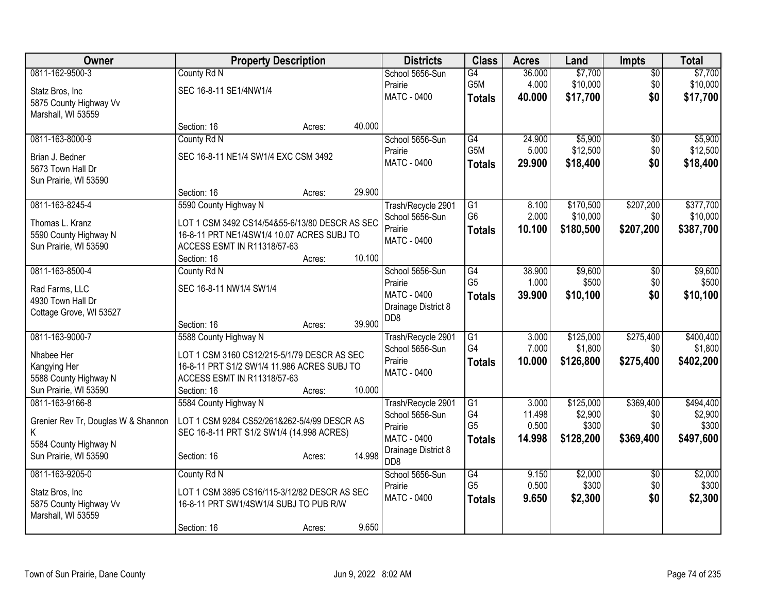| Owner                               | <b>Property Description</b>                    |        |        | <b>Districts</b>                          | <b>Class</b>    | <b>Acres</b> | Land      | <b>Impts</b>    | <b>Total</b> |
|-------------------------------------|------------------------------------------------|--------|--------|-------------------------------------------|-----------------|--------------|-----------|-----------------|--------------|
| 0811-162-9500-3                     | County Rd N                                    |        |        | School 5656-Sun                           | G4              | 36.000       | \$7,700   | $\overline{30}$ | \$7,700      |
| Statz Bros, Inc                     | SEC 16-8-11 SE1/4NW1/4                         |        |        | Prairie                                   | G5M             | 4.000        | \$10,000  | \$0             | \$10,000     |
| 5875 County Highway Vv              |                                                |        |        | MATC - 0400                               | <b>Totals</b>   | 40.000       | \$17,700  | \$0             | \$17,700     |
| Marshall, WI 53559                  |                                                |        |        |                                           |                 |              |           |                 |              |
|                                     | Section: 16                                    | Acres: | 40.000 |                                           |                 |              |           |                 |              |
| 0811-163-8000-9                     | County Rd N                                    |        |        | School 5656-Sun                           | G4              | 24.900       | \$5,900   | \$0             | \$5,900      |
| Brian J. Bedner                     | SEC 16-8-11 NE1/4 SW1/4 EXC CSM 3492           |        |        | Prairie                                   | G5M             | 5.000        | \$12,500  | \$0             | \$12,500     |
| 5673 Town Hall Dr                   |                                                |        |        | <b>MATC - 0400</b>                        | <b>Totals</b>   | 29.900       | \$18,400  | \$0             | \$18,400     |
| Sun Prairie, WI 53590               |                                                |        |        |                                           |                 |              |           |                 |              |
|                                     | Section: 16                                    | Acres: | 29.900 |                                           |                 |              |           |                 |              |
| 0811-163-8245-4                     | 5590 County Highway N                          |        |        | Trash/Recycle 2901                        | $\overline{G1}$ | 8.100        | \$170,500 | \$207,200       | \$377,700    |
| Thomas L. Kranz                     | LOT 1 CSM 3492 CS14/54&55-6/13/80 DESCR AS SEC |        |        | School 5656-Sun                           | G <sub>6</sub>  | 2.000        | \$10,000  | \$0             | \$10,000     |
| 5590 County Highway N               | 16-8-11 PRT NE1/4SW1/4 10.07 ACRES SUBJ TO     |        |        | Prairie                                   | <b>Totals</b>   | 10.100       | \$180,500 | \$207,200       | \$387,700    |
| Sun Prairie, WI 53590               | ACCESS ESMT IN R11318/57-63                    |        |        | MATC - 0400                               |                 |              |           |                 |              |
|                                     | Section: 16                                    | Acres: | 10.100 |                                           |                 |              |           |                 |              |
| 0811-163-8500-4                     | County Rd N                                    |        |        | School 5656-Sun                           | G4              | 38.900       | \$9,600   | \$0             | \$9,600      |
| Rad Farms, LLC                      | SEC 16-8-11 NW1/4 SW1/4                        |        |        | Prairie                                   | G <sub>5</sub>  | 1.000        | \$500     | \$0             | \$500        |
| 4930 Town Hall Dr                   |                                                |        |        | <b>MATC - 0400</b>                        | <b>Totals</b>   | 39.900       | \$10,100  | \$0             | \$10,100     |
| Cottage Grove, WI 53527             |                                                |        |        | Drainage District 8<br>D <sub>D</sub> 8   |                 |              |           |                 |              |
|                                     | Section: 16                                    | Acres: | 39.900 |                                           |                 |              |           |                 |              |
| 0811-163-9000-7                     | 5588 County Highway N                          |        |        | Trash/Recycle 2901                        | $\overline{G1}$ | 3.000        | \$125,000 | \$275,400       | \$400,400    |
| Nhabee Her                          | LOT 1 CSM 3160 CS12/215-5/1/79 DESCR AS SEC    |        |        | School 5656-Sun                           | G4              | 7.000        | \$1,800   | \$0             | \$1,800      |
| Kangying Her                        | 16-8-11 PRT S1/2 SW1/4 11.986 ACRES SUBJ TO    |        |        | Prairie                                   | <b>Totals</b>   | 10.000       | \$126,800 | \$275,400       | \$402,200    |
| 5588 County Highway N               | ACCESS ESMT IN R11318/57-63                    |        |        | MATC - 0400                               |                 |              |           |                 |              |
| Sun Prairie, WI 53590               | Section: 16                                    | Acres: | 10.000 |                                           |                 |              |           |                 |              |
| 0811-163-9166-8                     | 5584 County Highway N                          |        |        | Trash/Recycle 2901                        | $\overline{G1}$ | 3.000        | \$125,000 | \$369,400       | \$494,400    |
| Grenier Rev Tr, Douglas W & Shannon | LOT 1 CSM 9284 CS52/261&262-5/4/99 DESCR AS    |        |        | School 5656-Sun                           | G4              | 11.498       | \$2,900   | \$0             | \$2,900      |
| Κ                                   | SEC 16-8-11 PRT S1/2 SW1/4 (14.998 ACRES)      |        |        | Prairie                                   | G <sub>5</sub>  | 0.500        | \$300     | \$0             | \$300        |
| 5584 County Highway N               |                                                |        |        | <b>MATC - 0400</b><br>Drainage District 8 | <b>Totals</b>   | 14.998       | \$128,200 | \$369,400       | \$497,600    |
| Sun Prairie, WI 53590               | Section: 16                                    | Acres: | 14.998 | D <sub>D</sub> 8                          |                 |              |           |                 |              |
| 0811-163-9205-0                     | County Rd N                                    |        |        | School 5656-Sun                           | $\overline{G4}$ | 9.150        | \$2,000   | \$0             | \$2,000      |
| Statz Bros, Inc                     | LOT 1 CSM 3895 CS16/115-3/12/82 DESCR AS SEC   |        |        | Prairie                                   | G <sub>5</sub>  | 0.500        | \$300     | \$0             | \$300        |
| 5875 County Highway Vv              | 16-8-11 PRT SW1/4SW1/4 SUBJ TO PUB R/W         |        |        | MATC - 0400                               | <b>Totals</b>   | 9.650        | \$2,300   | \$0             | \$2,300      |
| Marshall, WI 53559                  |                                                |        |        |                                           |                 |              |           |                 |              |
|                                     | Section: 16                                    | Acres: | 9.650  |                                           |                 |              |           |                 |              |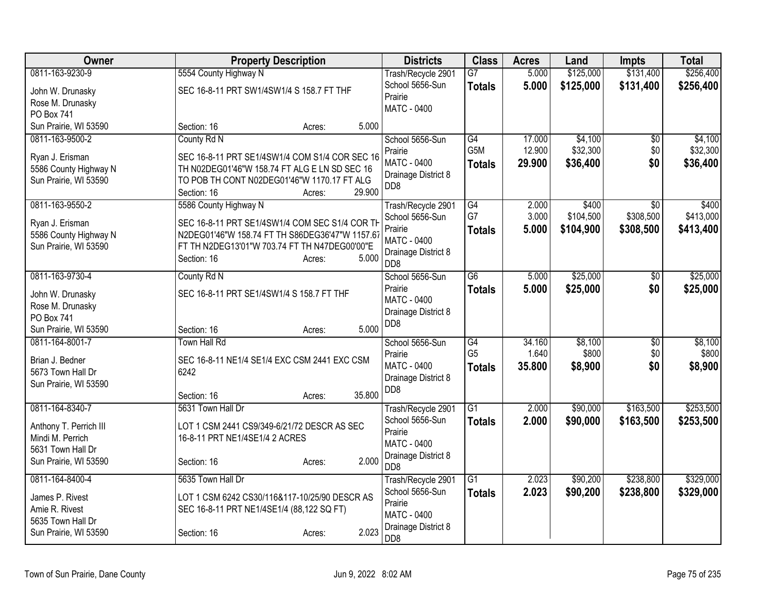| Owner                                    | <b>Property Description</b>                           | <b>Districts</b>                       | <b>Class</b>    | <b>Acres</b> | Land      | <b>Impts</b>    | <b>Total</b> |
|------------------------------------------|-------------------------------------------------------|----------------------------------------|-----------------|--------------|-----------|-----------------|--------------|
| 0811-163-9230-9                          | 5554 County Highway N                                 | Trash/Recycle 2901                     | $\overline{G7}$ | 5.000        | \$125,000 | \$131,400       | \$256,400    |
| John W. Drunasky                         | SEC 16-8-11 PRT SW1/4SW1/4 S 158.7 FT THF             | School 5656-Sun                        | <b>Totals</b>   | 5.000        | \$125,000 | \$131,400       | \$256,400    |
| Rose M. Drunasky                         |                                                       | Prairie                                |                 |              |           |                 |              |
| <b>PO Box 741</b>                        |                                                       | <b>MATC - 0400</b>                     |                 |              |           |                 |              |
| Sun Prairie, WI 53590                    | 5.000<br>Section: 16<br>Acres:                        |                                        |                 |              |           |                 |              |
| 0811-163-9500-2                          | County Rd N                                           | School 5656-Sun                        | G4              | 17.000       | \$4,100   | $\overline{50}$ | \$4,100      |
| Ryan J. Erisman                          | SEC 16-8-11 PRT SE1/4SW1/4 COM S1/4 COR SEC 16        | Prairie                                | G5M             | 12.900       | \$32,300  | \$0             | \$32,300     |
| 5586 County Highway N                    | TH N02DEG01'46"W 158.74 FT ALG E LN SD SEC 16         | <b>MATC - 0400</b>                     | <b>Totals</b>   | 29.900       | \$36,400  | \$0             | \$36,400     |
| Sun Prairie, WI 53590                    | TO POB TH CONT N02DEG01'46"W 1170.17 FT ALG           | Drainage District 8                    |                 |              |           |                 |              |
|                                          | 29.900<br>Section: 16<br>Acres:                       | D <sub>D</sub> 8                       |                 |              |           |                 |              |
| 0811-163-9550-2                          | 5586 County Highway N                                 | Trash/Recycle 2901                     | $\overline{G4}$ | 2.000        | \$400     | \$0             | \$400        |
| Ryan J. Erisman                          | SEC 16-8-11 PRT SE1/4SW1/4 COM SEC S1/4 COR TH        | School 5656-Sun                        | G7              | 3.000        | \$104,500 | \$308,500       | \$413,000    |
| 5586 County Highway N                    | N2DEG01'46"W 158.74 FT TH S86DEG36'47"W 1157.67       | Prairie                                | <b>Totals</b>   | 5.000        | \$104,900 | \$308,500       | \$413,400    |
| Sun Prairie, WI 53590                    | FT TH N2DEG13'01"W 703.74 FT TH N47DEG00'00"E         | MATC - 0400                            |                 |              |           |                 |              |
|                                          | 5.000<br>Section: 16<br>Acres:                        | Drainage District 8<br>DD <sub>8</sub> |                 |              |           |                 |              |
| 0811-163-9730-4                          | County Rd N                                           | School 5656-Sun                        | G6              | 5.000        | \$25,000  | $\overline{50}$ | \$25,000     |
|                                          |                                                       | Prairie                                | <b>Totals</b>   | 5.000        | \$25,000  | \$0             | \$25,000     |
| John W. Drunasky                         | SEC 16-8-11 PRT SE1/4SW1/4 S 158.7 FT THF             | MATC - 0400                            |                 |              |           |                 |              |
| Rose M. Drunasky                         |                                                       | Drainage District 8                    |                 |              |           |                 |              |
| PO Box 741                               |                                                       | DD <sub>8</sub>                        |                 |              |           |                 |              |
| Sun Prairie, WI 53590<br>0811-164-8001-7 | 5.000<br>Section: 16<br>Acres:<br><b>Town Hall Rd</b> | School 5656-Sun                        | G4              | 34.160       | \$8,100   |                 | \$8,100      |
|                                          |                                                       | Prairie                                | G <sub>5</sub>  | 1.640        | \$800     | \$0<br>\$0      | \$800        |
| Brian J. Bedner                          | SEC 16-8-11 NE1/4 SE1/4 EXC CSM 2441 EXC CSM          | MATC - 0400                            | <b>Totals</b>   | 35.800       | \$8,900   | \$0             | \$8,900      |
| 5673 Town Hall Dr                        | 6242                                                  | Drainage District 8                    |                 |              |           |                 |              |
| Sun Prairie, WI 53590                    |                                                       | DD <sub>8</sub>                        |                 |              |           |                 |              |
| 0811-164-8340-7                          | 35.800<br>Section: 16<br>Acres:<br>5631 Town Hall Dr  |                                        | $\overline{G1}$ | 2.000        | \$90,000  | \$163,500       | \$253,500    |
|                                          |                                                       | Trash/Recycle 2901<br>School 5656-Sun  |                 | 2.000        | \$90,000  | \$163,500       |              |
| Anthony T. Perrich III                   | LOT 1 CSM 2441 CS9/349-6/21/72 DESCR AS SEC           | Prairie                                | <b>Totals</b>   |              |           |                 | \$253,500    |
| Mindi M. Perrich                         | 16-8-11 PRT NE1/4SE1/4 2 ACRES                        | MATC - 0400                            |                 |              |           |                 |              |
| 5631 Town Hall Dr                        |                                                       | Drainage District 8                    |                 |              |           |                 |              |
| Sun Prairie, WI 53590                    | 2.000<br>Section: 16<br>Acres:                        | DD <sub>8</sub>                        |                 |              |           |                 |              |
| 0811-164-8400-4                          | 5635 Town Hall Dr                                     | Trash/Recycle 2901                     | $\overline{G1}$ | 2.023        | \$90,200  | \$238,800       | \$329,000    |
| James P. Rivest                          | LOT 1 CSM 6242 CS30/116&117-10/25/90 DESCR AS         | School 5656-Sun                        | <b>Totals</b>   | 2.023        | \$90,200  | \$238,800       | \$329,000    |
| Amie R. Rivest                           | SEC 16-8-11 PRT NE1/4SE1/4 (88,122 SQ FT)             | Prairie                                |                 |              |           |                 |              |
| 5635 Town Hall Dr                        |                                                       | <b>MATC - 0400</b>                     |                 |              |           |                 |              |
| Sun Prairie, WI 53590                    | 2.023<br>Section: 16<br>Acres:                        | Drainage District 8                    |                 |              |           |                 |              |
|                                          |                                                       | DD <sub>8</sub>                        |                 |              |           |                 |              |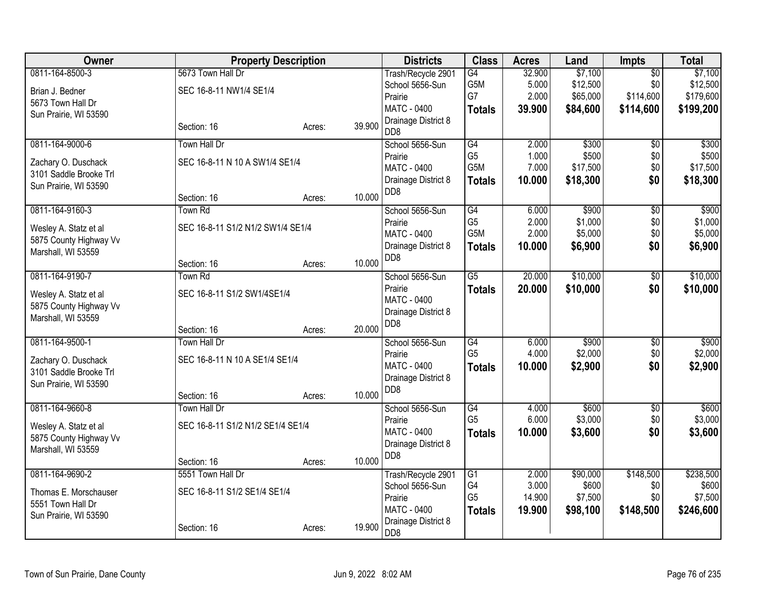| Owner                                           |                                   | <b>Property Description</b> |        | <b>Districts</b>                          | <b>Class</b>                      | <b>Acres</b>   | Land              | <b>Impts</b>           | <b>Total</b>       |
|-------------------------------------------------|-----------------------------------|-----------------------------|--------|-------------------------------------------|-----------------------------------|----------------|-------------------|------------------------|--------------------|
| 0811-164-8500-3                                 | 5673 Town Hall Dr                 |                             |        | Trash/Recycle 2901                        | $\overline{G4}$                   | 32.900         | \$7,100           | $\overline{50}$        | \$7,100            |
| Brian J. Bedner                                 | SEC 16-8-11 NW1/4 SE1/4           |                             |        | School 5656-Sun                           | G5M                               | 5.000          | \$12,500          | \$0                    | \$12,500           |
| 5673 Town Hall Dr                               |                                   |                             |        | Prairie<br><b>MATC - 0400</b>             | G7                                | 2.000          | \$65,000          | \$114,600              | \$179,600          |
| Sun Prairie, WI 53590                           |                                   |                             |        | Drainage District 8                       | <b>Totals</b>                     | 39.900         | \$84,600          | \$114,600              | \$199,200          |
|                                                 | Section: 16                       | Acres:                      | 39.900 | DD8                                       |                                   |                |                   |                        |                    |
| 0811-164-9000-6                                 | <b>Town Hall Dr</b>               |                             |        | School 5656-Sun                           | G4                                | 2.000          | \$300             | $\overline{50}$        | \$300              |
| Zachary O. Duschack                             | SEC 16-8-11 N 10 A SW1/4 SE1/4    |                             |        | Prairie                                   | G <sub>5</sub><br>G5M             | 1.000<br>7.000 | \$500<br>\$17,500 | \$0<br>\$0             | \$500<br>\$17,500  |
| 3101 Saddle Brooke Trl                          |                                   |                             |        | <b>MATC - 0400</b><br>Drainage District 8 | <b>Totals</b>                     | 10.000         | \$18,300          | \$0                    | \$18,300           |
| Sun Prairie, WI 53590                           |                                   |                             |        | DD <sub>8</sub>                           |                                   |                |                   |                        |                    |
|                                                 | Section: 16                       | Acres:                      | 10.000 |                                           |                                   |                |                   |                        |                    |
| 0811-164-9160-3                                 | Town Rd                           |                             |        | School 5656-Sun                           | G4<br>G <sub>5</sub>              | 6.000<br>2.000 | \$900<br>\$1,000  | $\overline{50}$<br>\$0 | \$900<br>\$1,000   |
| Wesley A. Statz et al                           | SEC 16-8-11 S1/2 N1/2 SW1/4 SE1/4 |                             |        | Prairie<br>MATC - 0400                    | G5M                               | 2.000          | \$5,000           | \$0                    | \$5,000            |
| 5875 County Highway Vv                          |                                   |                             |        | Drainage District 8                       | <b>Totals</b>                     | 10.000         | \$6,900           | \$0                    | \$6,900            |
| Marshall, WI 53559                              | Section: 16                       | Acres:                      | 10.000 | D <sub>D</sub> 8                          |                                   |                |                   |                        |                    |
| 0811-164-9190-7                                 | Town Rd                           |                             |        | School 5656-Sun                           | $\overline{G5}$                   | 20.000         | \$10,000          | $\overline{30}$        | \$10,000           |
|                                                 |                                   |                             |        | Prairie                                   | <b>Totals</b>                     | 20.000         | \$10,000          | \$0                    | \$10,000           |
| Wesley A. Statz et al<br>5875 County Highway Vv | SEC 16-8-11 S1/2 SW1/4SE1/4       |                             |        | MATC - 0400                               |                                   |                |                   |                        |                    |
| Marshall, WI 53559                              |                                   |                             |        | Drainage District 8                       |                                   |                |                   |                        |                    |
|                                                 | Section: 16                       | Acres:                      | 20.000 | D <sub>D</sub> 8                          |                                   |                |                   |                        |                    |
| 0811-164-9500-1                                 | Town Hall Dr                      |                             |        | School 5656-Sun                           | G4                                | 6.000          | \$900             | \$0                    | \$900              |
| Zachary O. Duschack                             | SEC 16-8-11 N 10 A SE1/4 SE1/4    |                             |        | Prairie                                   | G <sub>5</sub>                    | 4.000          | \$2,000           | \$0                    | \$2,000            |
| 3101 Saddle Brooke Trl                          |                                   |                             |        | <b>MATC - 0400</b>                        | <b>Totals</b>                     | 10.000         | \$2,900           | \$0                    | \$2,900            |
| Sun Prairie, WI 53590                           |                                   |                             |        | Drainage District 8<br>DD <sub>8</sub>    |                                   |                |                   |                        |                    |
|                                                 | Section: 16                       | Acres:                      | 10.000 |                                           |                                   |                |                   |                        |                    |
| 0811-164-9660-8                                 | Town Hall Dr                      |                             |        | School 5656-Sun                           | G4                                | 4.000          | \$600             | $\overline{50}$        | \$600              |
| Wesley A. Statz et al                           | SEC 16-8-11 S1/2 N1/2 SE1/4 SE1/4 |                             |        | Prairie<br>MATC - 0400                    | G <sub>5</sub>                    | 6.000          | \$3,000           | \$0<br>\$0             | \$3,000            |
| 5875 County Highway Vv                          |                                   |                             |        | Drainage District 8                       | <b>Totals</b>                     | 10.000         | \$3,600           |                        | \$3,600            |
| Marshall, WI 53559                              |                                   |                             |        | DD8                                       |                                   |                |                   |                        |                    |
|                                                 | Section: 16                       | Acres:                      | 10.000 |                                           |                                   |                |                   |                        |                    |
| 0811-164-9690-2                                 | 5551 Town Hall Dr                 |                             |        | Trash/Recycle 2901<br>School 5656-Sun     | $\overline{G1}$<br>G <sub>4</sub> | 2.000<br>3.000 | \$90,000<br>\$600 | \$148,500<br>\$0       | \$238,500<br>\$600 |
| Thomas E. Morschauser                           | SEC 16-8-11 S1/2 SE1/4 SE1/4      |                             |        | Prairie                                   | G <sub>5</sub>                    | 14.900         | \$7,500           | \$0                    | \$7,500            |
| 5551 Town Hall Dr                               |                                   |                             |        | <b>MATC - 0400</b>                        | <b>Totals</b>                     | 19.900         | \$98,100          | \$148,500              | \$246,600          |
| Sun Prairie, WI 53590                           |                                   |                             | 19.900 | Drainage District 8                       |                                   |                |                   |                        |                    |
|                                                 | Section: 16                       | Acres:                      |        | D <sub>D</sub> 8                          |                                   |                |                   |                        |                    |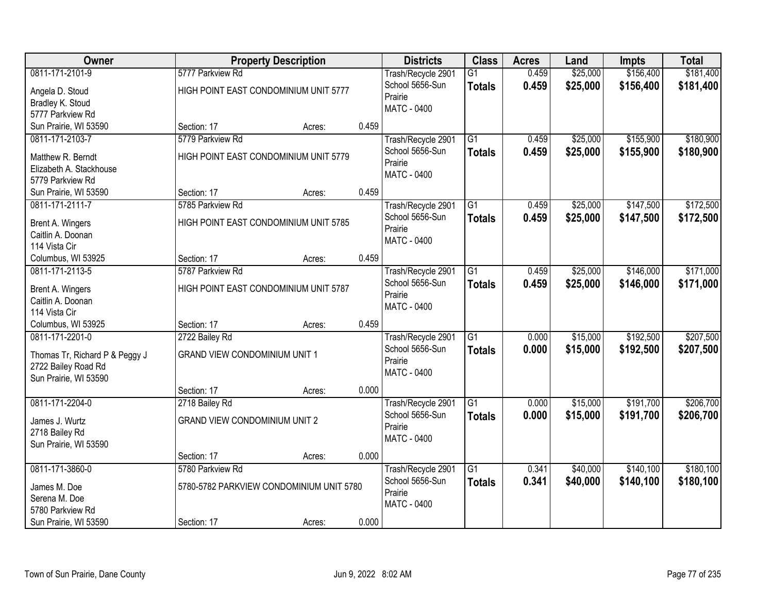| Owner                                 |                                          | <b>Property Description</b> |       | <b>Districts</b>                      | <b>Class</b>    | <b>Acres</b> | Land     | <b>Impts</b> | <b>Total</b> |
|---------------------------------------|------------------------------------------|-----------------------------|-------|---------------------------------------|-----------------|--------------|----------|--------------|--------------|
| 0811-171-2101-9                       | 5777 Parkview Rd                         |                             |       | Trash/Recycle 2901                    | $\overline{G1}$ | 0.459        | \$25,000 | \$156,400    | \$181,400    |
| Angela D. Stoud                       | HIGH POINT EAST CONDOMINIUM UNIT 5777    |                             |       | School 5656-Sun                       | <b>Totals</b>   | 0.459        | \$25,000 | \$156,400    | \$181,400    |
| Bradley K. Stoud                      |                                          |                             |       | Prairie                               |                 |              |          |              |              |
| 5777 Parkview Rd                      |                                          |                             |       | <b>MATC - 0400</b>                    |                 |              |          |              |              |
| Sun Prairie, WI 53590                 | Section: 17                              | Acres:                      | 0.459 |                                       |                 |              |          |              |              |
| 0811-171-2103-7                       | 5779 Parkview Rd                         |                             |       | Trash/Recycle 2901                    | $\overline{G1}$ | 0.459        | \$25,000 | \$155,900    | \$180,900    |
| Matthew R. Berndt                     | HIGH POINT EAST CONDOMINIUM UNIT 5779    |                             |       | School 5656-Sun                       | <b>Totals</b>   | 0.459        | \$25,000 | \$155,900    | \$180,900    |
| Elizabeth A. Stackhouse               |                                          |                             |       | Prairie                               |                 |              |          |              |              |
| 5779 Parkview Rd                      |                                          |                             |       | <b>MATC - 0400</b>                    |                 |              |          |              |              |
| Sun Prairie, WI 53590                 | Section: 17                              | Acres:                      | 0.459 |                                       |                 |              |          |              |              |
| 0811-171-2111-7                       | 5785 Parkview Rd                         |                             |       | Trash/Recycle 2901                    | G1              | 0.459        | \$25,000 | \$147,500    | \$172,500    |
| Brent A. Wingers                      | HIGH POINT EAST CONDOMINIUM UNIT 5785    |                             |       | School 5656-Sun                       | <b>Totals</b>   | 0.459        | \$25,000 | \$147,500    | \$172,500    |
| Caitlin A. Doonan                     |                                          |                             |       | Prairie                               |                 |              |          |              |              |
| 114 Vista Cir                         |                                          |                             |       | <b>MATC - 0400</b>                    |                 |              |          |              |              |
| Columbus, WI 53925                    | Section: 17                              | Acres:                      | 0.459 |                                       |                 |              |          |              |              |
| 0811-171-2113-5                       | 5787 Parkview Rd                         |                             |       | Trash/Recycle 2901                    | $\overline{G1}$ | 0.459        | \$25,000 | \$146,000    | \$171,000    |
|                                       |                                          |                             |       | School 5656-Sun                       | <b>Totals</b>   | 0.459        | \$25,000 | \$146,000    | \$171,000    |
| Brent A. Wingers<br>Caitlin A. Doonan | HIGH POINT EAST CONDOMINIUM UNIT 5787    |                             |       | Prairie                               |                 |              |          |              |              |
| 114 Vista Cir                         |                                          |                             |       | MATC - 0400                           |                 |              |          |              |              |
| Columbus, WI 53925                    | Section: 17                              | Acres:                      | 0.459 |                                       |                 |              |          |              |              |
| 0811-171-2201-0                       | 2722 Bailey Rd                           |                             |       | Trash/Recycle 2901                    | $\overline{G1}$ | 0.000        | \$15,000 | \$192,500    | \$207,500    |
|                                       |                                          |                             |       | School 5656-Sun                       | <b>Totals</b>   | 0.000        | \$15,000 | \$192,500    | \$207,500    |
| Thomas Tr, Richard P & Peggy J        | <b>GRAND VIEW CONDOMINIUM UNIT 1</b>     |                             |       | Prairie                               |                 |              |          |              |              |
| 2722 Bailey Road Rd                   |                                          |                             |       | <b>MATC - 0400</b>                    |                 |              |          |              |              |
| Sun Prairie, WI 53590                 |                                          |                             |       |                                       |                 |              |          |              |              |
| 0811-171-2204-0                       | Section: 17                              | Acres:                      | 0.000 |                                       | $\overline{G1}$ | 0.000        | \$15,000 | \$191,700    | \$206,700    |
|                                       | 2718 Bailey Rd                           |                             |       | Trash/Recycle 2901<br>School 5656-Sun |                 | 0.000        | \$15,000 |              |              |
| James J. Wurtz                        | <b>GRAND VIEW CONDOMINIUM UNIT 2</b>     |                             |       | Prairie                               | <b>Totals</b>   |              |          | \$191,700    | \$206,700    |
| 2718 Bailey Rd                        |                                          |                             |       | MATC - 0400                           |                 |              |          |              |              |
| Sun Prairie, WI 53590                 |                                          |                             |       |                                       |                 |              |          |              |              |
|                                       | Section: 17                              | Acres:                      | 0.000 |                                       |                 |              |          |              |              |
| 0811-171-3860-0                       | 5780 Parkview Rd                         |                             |       | Trash/Recycle 2901                    | $\overline{G1}$ | 0.341        | \$40,000 | \$140,100    | \$180,100    |
| James M. Doe                          | 5780-5782 PARKVIEW CONDOMINIUM UNIT 5780 |                             |       | School 5656-Sun                       | <b>Totals</b>   | 0.341        | \$40,000 | \$140,100    | \$180,100    |
| Serena M. Doe                         |                                          |                             |       | Prairie                               |                 |              |          |              |              |
| 5780 Parkview Rd                      |                                          |                             |       | <b>MATC - 0400</b>                    |                 |              |          |              |              |
| Sun Prairie, WI 53590                 | Section: 17                              | Acres:                      | 0.000 |                                       |                 |              |          |              |              |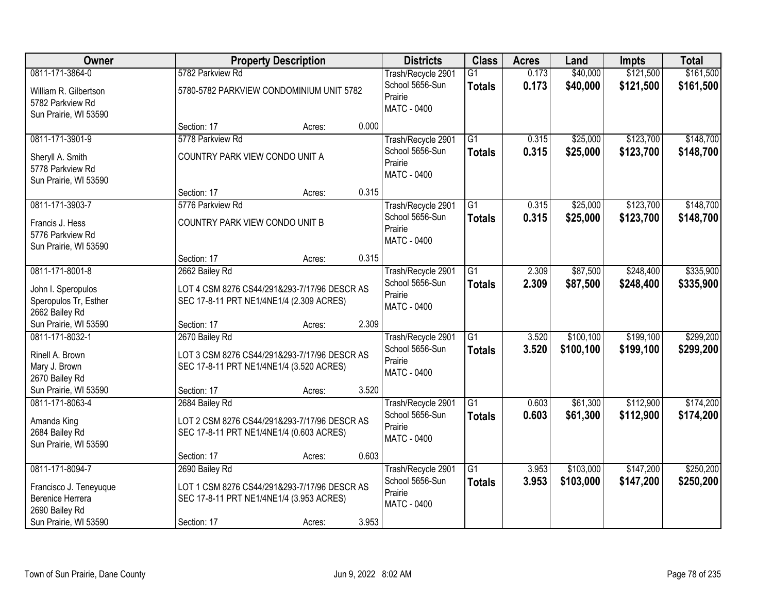| Owner                                    |                                              | <b>Property Description</b> |       | <b>Districts</b>                      | <b>Class</b>    | <b>Acres</b> | Land      | <b>Impts</b> | <b>Total</b> |
|------------------------------------------|----------------------------------------------|-----------------------------|-------|---------------------------------------|-----------------|--------------|-----------|--------------|--------------|
| 0811-171-3864-0                          | 5782 Parkview Rd                             |                             |       | Trash/Recycle 2901                    | $\overline{G1}$ | 0.173        | \$40,000  | \$121,500    | \$161,500    |
| William R. Gilbertson                    | 5780-5782 PARKVIEW CONDOMINIUM UNIT 5782     |                             |       | School 5656-Sun                       | <b>Totals</b>   | 0.173        | \$40,000  | \$121,500    | \$161,500    |
| 5782 Parkview Rd                         |                                              |                             |       | Prairie                               |                 |              |           |              |              |
| Sun Prairie, WI 53590                    |                                              |                             |       | <b>MATC - 0400</b>                    |                 |              |           |              |              |
|                                          | Section: 17                                  | Acres:                      | 0.000 |                                       |                 |              |           |              |              |
| 0811-171-3901-9                          | 5778 Parkview Rd                             |                             |       | Trash/Recycle 2901                    | $\overline{G1}$ | 0.315        | \$25,000  | \$123,700    | \$148,700    |
| Sheryll A. Smith                         | COUNTRY PARK VIEW CONDO UNIT A               |                             |       | School 5656-Sun                       | <b>Totals</b>   | 0.315        | \$25,000  | \$123,700    | \$148,700    |
| 5778 Parkview Rd                         |                                              |                             |       | Prairie                               |                 |              |           |              |              |
| Sun Prairie, WI 53590                    |                                              |                             |       | <b>MATC - 0400</b>                    |                 |              |           |              |              |
|                                          | Section: 17                                  | Acres:                      | 0.315 |                                       |                 |              |           |              |              |
| 0811-171-3903-7                          | 5776 Parkview Rd                             |                             |       | Trash/Recycle 2901                    | G1              | 0.315        | \$25,000  | \$123,700    | \$148,700    |
| Francis J. Hess                          | COUNTRY PARK VIEW CONDO UNIT B               |                             |       | School 5656-Sun                       | <b>Totals</b>   | 0.315        | \$25,000  | \$123,700    | \$148,700    |
| 5776 Parkview Rd                         |                                              |                             |       | Prairie                               |                 |              |           |              |              |
| Sun Prairie, WI 53590                    |                                              |                             |       | <b>MATC - 0400</b>                    |                 |              |           |              |              |
|                                          | Section: 17                                  | Acres:                      | 0.315 |                                       |                 |              |           |              |              |
| 0811-171-8001-8                          | 2662 Bailey Rd                               |                             |       | Trash/Recycle 2901                    | $\overline{G1}$ | 2.309        | \$87,500  | \$248,400    | \$335,900    |
| John I. Speropulos                       | LOT 4 CSM 8276 CS44/291&293-7/17/96 DESCR AS |                             |       | School 5656-Sun                       | <b>Totals</b>   | 2.309        | \$87,500  | \$248,400    | \$335,900    |
| Speropulos Tr, Esther                    | SEC 17-8-11 PRT NE1/4NE1/4 (2.309 ACRES)     |                             |       | Prairie                               |                 |              |           |              |              |
| 2662 Bailey Rd                           |                                              |                             |       | <b>MATC - 0400</b>                    |                 |              |           |              |              |
| Sun Prairie, WI 53590                    | Section: 17                                  | Acres:                      | 2.309 |                                       |                 |              |           |              |              |
| 0811-171-8032-1                          | 2670 Bailey Rd                               |                             |       | Trash/Recycle 2901                    | $\overline{G1}$ | 3.520        | \$100,100 | \$199,100    | \$299,200    |
|                                          |                                              |                             |       | School 5656-Sun                       | <b>Totals</b>   | 3.520        | \$100,100 | \$199,100    | \$299,200    |
| Rinell A. Brown                          | LOT 3 CSM 8276 CS44/291&293-7/17/96 DESCR AS |                             |       | Prairie                               |                 |              |           |              |              |
| Mary J. Brown                            | SEC 17-8-11 PRT NE1/4NE1/4 (3.520 ACRES)     |                             |       | MATC - 0400                           |                 |              |           |              |              |
| 2670 Bailey Rd                           |                                              |                             |       |                                       |                 |              |           |              |              |
| Sun Prairie, WI 53590<br>0811-171-8063-4 | Section: 17                                  | Acres:                      | 3.520 |                                       | $\overline{G1}$ | 0.603        | \$61,300  | \$112,900    | \$174,200    |
|                                          | 2684 Bailey Rd                               |                             |       | Trash/Recycle 2901<br>School 5656-Sun |                 | 0.603        | \$61,300  | \$112,900    |              |
| Amanda King                              | LOT 2 CSM 8276 CS44/291&293-7/17/96 DESCR AS |                             |       | Prairie                               | <b>Totals</b>   |              |           |              | \$174,200    |
| 2684 Bailey Rd                           | SEC 17-8-11 PRT NE1/4NE1/4 (0.603 ACRES)     |                             |       | MATC - 0400                           |                 |              |           |              |              |
| Sun Prairie, WI 53590                    |                                              |                             |       |                                       |                 |              |           |              |              |
|                                          | Section: 17                                  | Acres:                      | 0.603 |                                       |                 |              |           |              |              |
| 0811-171-8094-7                          | 2690 Bailey Rd                               |                             |       | Trash/Recycle 2901                    | $\overline{G1}$ | 3.953        | \$103,000 | \$147,200    | \$250,200    |
| Francisco J. Teneyuque                   | LOT 1 CSM 8276 CS44/291&293-7/17/96 DESCR AS |                             |       | School 5656-Sun                       | <b>Totals</b>   | 3.953        | \$103,000 | \$147,200    | \$250,200    |
| <b>Berenice Herrera</b>                  | SEC 17-8-11 PRT NE1/4NE1/4 (3.953 ACRES)     |                             |       | Prairie                               |                 |              |           |              |              |
| 2690 Bailey Rd                           |                                              |                             |       | <b>MATC - 0400</b>                    |                 |              |           |              |              |
| Sun Prairie, WI 53590                    | Section: 17                                  | Acres:                      | 3.953 |                                       |                 |              |           |              |              |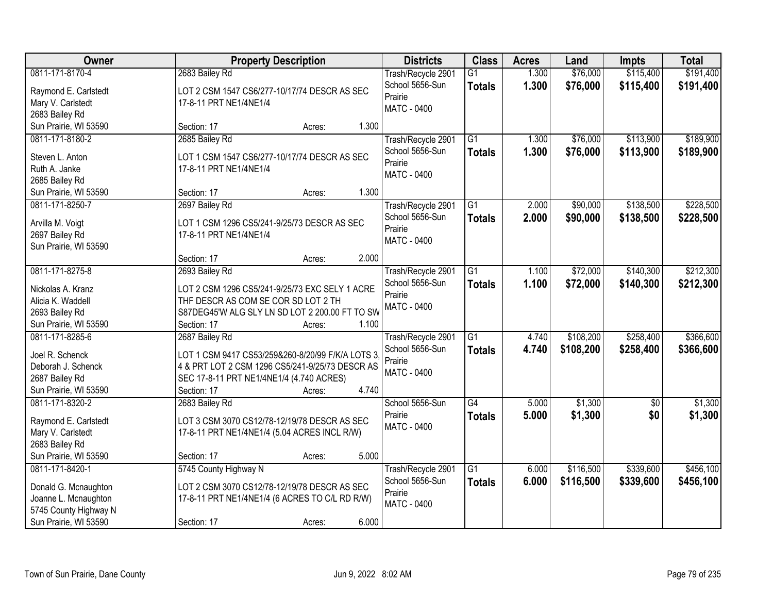| <b>Owner</b>          | <b>Property Description</b>                      | <b>Districts</b>           | <b>Class</b>    | <b>Acres</b> | Land      | <b>Impts</b> | <b>Total</b> |
|-----------------------|--------------------------------------------------|----------------------------|-----------------|--------------|-----------|--------------|--------------|
| 0811-171-8170-4       | 2683 Bailey Rd                                   | Trash/Recycle 2901         | $\overline{G1}$ | 1.300        | \$76,000  | \$115,400    | \$191,400    |
| Raymond E. Carlstedt  | LOT 2 CSM 1547 CS6/277-10/17/74 DESCR AS SEC     | School 5656-Sun<br>Prairie | <b>Totals</b>   | 1.300        | \$76,000  | \$115,400    | \$191,400    |
| Mary V. Carlstedt     | 17-8-11 PRT NE1/4NE1/4                           | <b>MATC - 0400</b>         |                 |              |           |              |              |
| 2683 Bailey Rd        |                                                  |                            |                 |              |           |              |              |
| Sun Prairie, WI 53590 | 1.300<br>Section: 17<br>Acres:                   |                            |                 |              |           |              |              |
| 0811-171-8180-2       | 2685 Bailey Rd                                   | Trash/Recycle 2901         | $\overline{G1}$ | 1.300        | \$76,000  | \$113,900    | \$189,900    |
| Steven L. Anton       | LOT 1 CSM 1547 CS6/277-10/17/74 DESCR AS SEC     | School 5656-Sun            | <b>Totals</b>   | 1.300        | \$76,000  | \$113,900    | \$189,900    |
| Ruth A. Janke         | 17-8-11 PRT NE1/4NE1/4                           | Prairie                    |                 |              |           |              |              |
| 2685 Bailey Rd        |                                                  | MATC - 0400                |                 |              |           |              |              |
| Sun Prairie, WI 53590 | 1.300<br>Section: 17<br>Acres:                   |                            |                 |              |           |              |              |
| 0811-171-8250-7       | 2697 Bailey Rd                                   | Trash/Recycle 2901         | G1              | 2.000        | \$90,000  | \$138,500    | \$228,500    |
|                       |                                                  | School 5656-Sun            | <b>Totals</b>   | 2.000        | \$90,000  | \$138,500    | \$228,500    |
| Arvilla M. Voigt      | LOT 1 CSM 1296 CS5/241-9/25/73 DESCR AS SEC      | Prairie                    |                 |              |           |              |              |
| 2697 Bailey Rd        | 17-8-11 PRT NE1/4NE1/4                           | <b>MATC - 0400</b>         |                 |              |           |              |              |
| Sun Prairie, WI 53590 |                                                  |                            |                 |              |           |              |              |
|                       | 2.000<br>Section: 17<br>Acres:                   |                            |                 |              |           |              |              |
| 0811-171-8275-8       | 2693 Bailey Rd                                   | Trash/Recycle 2901         | G1              | 1.100        | \$72,000  | \$140,300    | \$212,300    |
| Nickolas A. Kranz     | LOT 2 CSM 1296 CS5/241-9/25/73 EXC SELY 1 ACRE   | School 5656-Sun            | <b>Totals</b>   | 1.100        | \$72,000  | \$140,300    | \$212,300    |
| Alicia K. Waddell     | THF DESCR AS COM SE COR SD LOT 2 TH              | Prairie                    |                 |              |           |              |              |
| 2693 Bailey Rd        | S87DEG45'W ALG SLY LN SD LOT 2 200.00 FT TO SW   | <b>MATC - 0400</b>         |                 |              |           |              |              |
| Sun Prairie, WI 53590 | 1.100<br>Section: 17<br>Acres:                   |                            |                 |              |           |              |              |
| 0811-171-8285-6       | 2687 Bailey Rd                                   | Trash/Recycle 2901         | $\overline{G1}$ | 4.740        | \$108,200 | \$258,400    | \$366,600    |
|                       |                                                  | School 5656-Sun            | <b>Totals</b>   | 4.740        | \$108,200 | \$258,400    | \$366,600    |
| Joel R. Schenck       | LOT 1 CSM 9417 CS53/259&260-8/20/99 F/K/A LOTS 3 | Prairie                    |                 |              |           |              |              |
| Deborah J. Schenck    | 4 & PRT LOT 2 CSM 1296 CS5/241-9/25/73 DESCR AS  | <b>MATC - 0400</b>         |                 |              |           |              |              |
| 2687 Bailey Rd        | SEC 17-8-11 PRT NE1/4NE1/4 (4.740 ACRES)         |                            |                 |              |           |              |              |
| Sun Prairie, WI 53590 | 4.740<br>Section: 17<br>Acres:                   |                            |                 |              |           |              |              |
| 0811-171-8320-2       | 2683 Bailey Rd                                   | School 5656-Sun            | G4              | 5.000        | \$1,300   | $\sqrt{6}$   | \$1,300      |
| Raymond E. Carlstedt  | LOT 3 CSM 3070 CS12/78-12/19/78 DESCR AS SEC     | Prairie                    | <b>Totals</b>   | 5.000        | \$1,300   | \$0          | \$1,300      |
| Mary V. Carlstedt     | 17-8-11 PRT NE1/4NE1/4 (5.04 ACRES INCL R/W)     | <b>MATC - 0400</b>         |                 |              |           |              |              |
| 2683 Bailey Rd        |                                                  |                            |                 |              |           |              |              |
| Sun Prairie, WI 53590 | 5.000<br>Section: 17<br>Acres:                   |                            |                 |              |           |              |              |
| 0811-171-8420-1       | 5745 County Highway N                            | Trash/Recycle 2901         | $\overline{G1}$ | 6.000        | \$116,500 | \$339,600    | \$456,100    |
|                       |                                                  | School 5656-Sun            | <b>Totals</b>   | 6.000        | \$116,500 | \$339,600    | \$456,100    |
| Donald G. Mcnaughton  | LOT 2 CSM 3070 CS12/78-12/19/78 DESCR AS SEC     | Prairie                    |                 |              |           |              |              |
| Joanne L. Mcnaughton  | 17-8-11 PRT NE1/4NE1/4 (6 ACRES TO C/L RD R/W)   | <b>MATC - 0400</b>         |                 |              |           |              |              |
| 5745 County Highway N |                                                  |                            |                 |              |           |              |              |
| Sun Prairie, WI 53590 | 6.000<br>Section: 17<br>Acres:                   |                            |                 |              |           |              |              |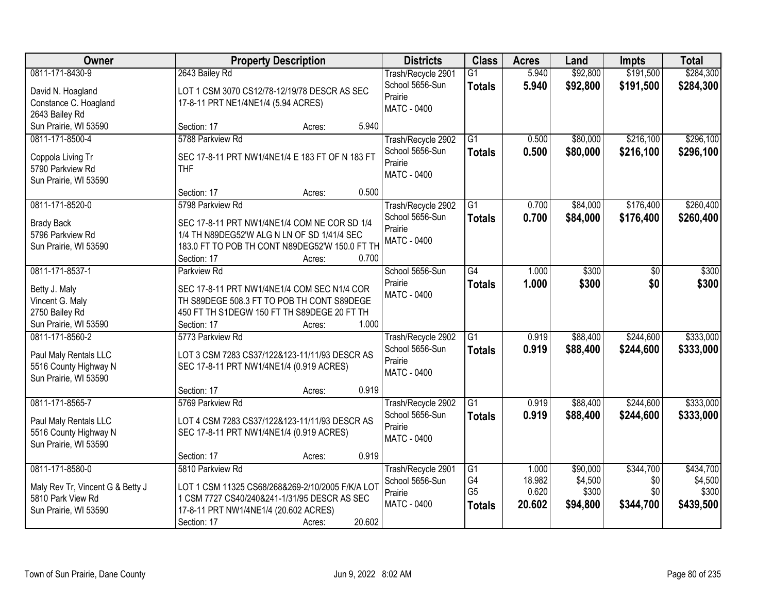| <b>Owner</b>                            | <b>Property Description</b>                                   |        | <b>Districts</b>                      | <b>Class</b>    | <b>Acres</b> | Land     | <b>Impts</b> | <b>Total</b> |
|-----------------------------------------|---------------------------------------------------------------|--------|---------------------------------------|-----------------|--------------|----------|--------------|--------------|
| 0811-171-8430-9                         | 2643 Bailey Rd                                                |        | Trash/Recycle 2901                    | $\overline{G1}$ | 5.940        | \$92,800 | \$191,500    | \$284,300    |
| David N. Hoagland                       | LOT 1 CSM 3070 CS12/78-12/19/78 DESCR AS SEC                  |        | School 5656-Sun                       | <b>Totals</b>   | 5.940        | \$92,800 | \$191,500    | \$284,300    |
| Constance C. Hoagland                   | 17-8-11 PRT NE1/4NE1/4 (5.94 ACRES)                           |        | Prairie                               |                 |              |          |              |              |
| 2643 Bailey Rd                          |                                                               |        | MATC - 0400                           |                 |              |          |              |              |
| Sun Prairie, WI 53590                   | Section: 17<br>Acres:                                         | 5.940  |                                       |                 |              |          |              |              |
| 0811-171-8500-4                         | 5788 Parkview Rd                                              |        | Trash/Recycle 2902                    | $\overline{G1}$ | 0.500        | \$80,000 | \$216,100    | \$296,100    |
|                                         |                                                               |        | School 5656-Sun                       | <b>Totals</b>   | 0.500        | \$80,000 | \$216,100    | \$296,100    |
| Coppola Living Tr<br>5790 Parkview Rd   | SEC 17-8-11 PRT NW1/4NE1/4 E 183 FT OF N 183 FT<br><b>THF</b> |        | Prairie                               |                 |              |          |              |              |
| Sun Prairie, WI 53590                   |                                                               |        | <b>MATC - 0400</b>                    |                 |              |          |              |              |
|                                         | Section: 17<br>Acres:                                         | 0.500  |                                       |                 |              |          |              |              |
| 0811-171-8520-0                         | 5798 Parkview Rd                                              |        | Trash/Recycle 2902                    | G1              | 0.700        | \$84,000 | \$176,400    | \$260,400    |
|                                         | SEC 17-8-11 PRT NW1/4NE1/4 COM NE COR SD 1/4                  |        | School 5656-Sun                       | <b>Totals</b>   | 0.700        | \$84,000 | \$176,400    | \$260,400    |
| <b>Brady Back</b><br>5796 Parkview Rd   | 1/4 TH N89DEG52'W ALG N LN OF SD 1/41/4 SEC                   |        | Prairie                               |                 |              |          |              |              |
| Sun Prairie, WI 53590                   | 183.0 FT TO POB TH CONT N89DEG52'W 150.0 FT TH                |        | MATC - 0400                           |                 |              |          |              |              |
|                                         | Section: 17<br>Acres:                                         | 0.700  |                                       |                 |              |          |              |              |
| 0811-171-8537-1                         | Parkview Rd                                                   |        | School 5656-Sun                       | G4              | 1.000        | \$300    | $\sqrt[6]{}$ | \$300        |
|                                         |                                                               |        | Prairie                               | <b>Totals</b>   | 1.000        | \$300    | \$0          | \$300        |
| Betty J. Maly                           | SEC 17-8-11 PRT NW1/4NE1/4 COM SEC N1/4 COR                   |        | <b>MATC - 0400</b>                    |                 |              |          |              |              |
| Vincent G. Maly                         | TH S89DEGE 508.3 FT TO POB TH CONT S89DEGE                    |        |                                       |                 |              |          |              |              |
| 2750 Bailey Rd<br>Sun Prairie, WI 53590 | 450 FT TH S1DEGW 150 FT TH S89DEGE 20 FT TH                   | 1.000  |                                       |                 |              |          |              |              |
| 0811-171-8560-2                         | Section: 17<br>Acres:<br>5773 Parkview Rd                     |        |                                       | $\overline{G1}$ | 0.919        | \$88,400 | \$244,600    | \$333,000    |
|                                         |                                                               |        | Trash/Recycle 2902<br>School 5656-Sun |                 | 0.919        | \$88,400 | \$244,600    |              |
| Paul Maly Rentals LLC                   | LOT 3 CSM 7283 CS37/122&123-11/11/93 DESCR AS                 |        | Prairie                               | <b>Totals</b>   |              |          |              | \$333,000    |
| 5516 County Highway N                   | SEC 17-8-11 PRT NW1/4NE1/4 (0.919 ACRES)                      |        | MATC - 0400                           |                 |              |          |              |              |
| Sun Prairie, WI 53590                   |                                                               |        |                                       |                 |              |          |              |              |
|                                         | Section: 17<br>Acres:                                         | 0.919  |                                       |                 |              |          |              |              |
| 0811-171-8565-7                         | 5769 Parkview Rd                                              |        | Trash/Recycle 2902                    | $\overline{G1}$ | 0.919        | \$88,400 | \$244,600    | \$333,000    |
| Paul Maly Rentals LLC                   | LOT 4 CSM 7283 CS37/122&123-11/11/93 DESCR AS                 |        | School 5656-Sun                       | <b>Totals</b>   | 0.919        | \$88,400 | \$244,600    | \$333,000    |
| 5516 County Highway N                   | SEC 17-8-11 PRT NW1/4NE1/4 (0.919 ACRES)                      |        | Prairie<br>MATC - 0400                |                 |              |          |              |              |
| Sun Prairie, WI 53590                   |                                                               |        |                                       |                 |              |          |              |              |
|                                         | Section: 17<br>Acres:                                         | 0.919  |                                       |                 |              |          |              |              |
| 0811-171-8580-0                         | 5810 Parkview Rd                                              |        | Trash/Recycle 2901                    | G1              | 1.000        | \$90,000 | \$344,700    | \$434,700    |
| Maly Rev Tr, Vincent G & Betty J        | LOT 1 CSM 11325 CS68/268&269-2/10/2005 F/K/A LOT              |        | School 5656-Sun                       | G4              | 18.982       | \$4,500  | \$0          | \$4,500      |
| 5810 Park View Rd                       | 1 CSM 7727 CS40/240&241-1/31/95 DESCR AS SEC                  |        | Prairie                               | G <sub>5</sub>  | 0.620        | \$300    | \$0          | \$300        |
| Sun Prairie, WI 53590                   | 17-8-11 PRT NW1/4NE1/4 (20.602 ACRES)                         |        | MATC - 0400                           | <b>Totals</b>   | 20.602       | \$94,800 | \$344,700    | \$439,500    |
|                                         | Section: 17<br>Acres:                                         | 20.602 |                                       |                 |              |          |              |              |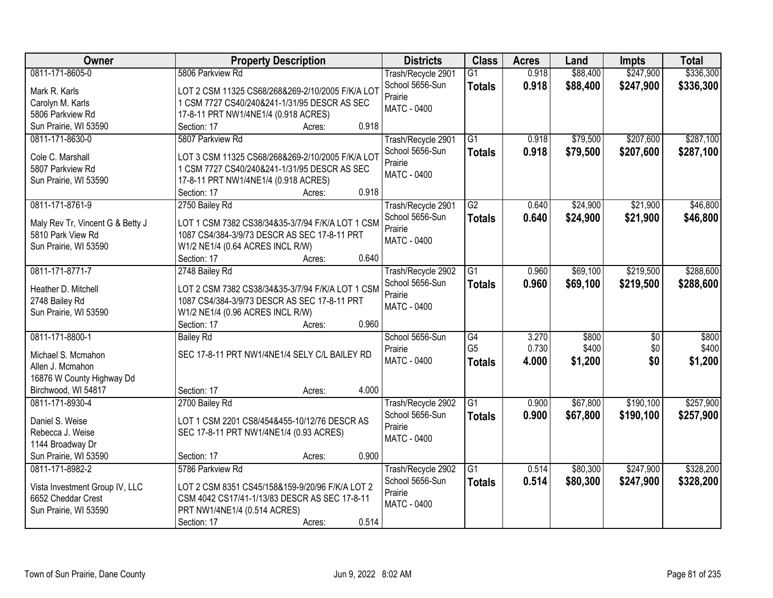| <b>Owner</b>                                         | <b>Property Description</b>                                                                      | <b>Districts</b>           | <b>Class</b>    | <b>Acres</b> | Land     | <b>Impts</b> | <b>Total</b> |
|------------------------------------------------------|--------------------------------------------------------------------------------------------------|----------------------------|-----------------|--------------|----------|--------------|--------------|
| 0811-171-8605-0                                      | 5806 Parkview Rd                                                                                 | Trash/Recycle 2901         | G1              | 0.918        | \$88,400 | \$247,900    | \$336,300    |
| Mark R. Karls                                        | LOT 2 CSM 11325 CS68/268&269-2/10/2005 F/K/A LOT                                                 | School 5656-Sun            | <b>Totals</b>   | 0.918        | \$88,400 | \$247,900    | \$336,300    |
| Carolyn M. Karls                                     | 1 CSM 7727 CS40/240&241-1/31/95 DESCR AS SEC                                                     | Prairie                    |                 |              |          |              |              |
| 5806 Parkview Rd                                     | 17-8-11 PRT NW1/4NE1/4 (0.918 ACRES)                                                             | MATC - 0400                |                 |              |          |              |              |
| Sun Prairie, WI 53590                                | 0.918<br>Section: 17<br>Acres:                                                                   |                            |                 |              |          |              |              |
| 0811-171-8630-0                                      | 5807 Parkview Rd                                                                                 | Trash/Recycle 2901         | $\overline{G1}$ | 0.918        | \$79,500 | \$207,600    | \$287,100    |
|                                                      |                                                                                                  | School 5656-Sun            | <b>Totals</b>   | 0.918        | \$79,500 | \$207,600    | \$287,100    |
| Cole C. Marshall                                     | LOT 3 CSM 11325 CS68/268&269-2/10/2005 F/K/A LOT                                                 | Prairie                    |                 |              |          |              |              |
| 5807 Parkview Rd                                     | 1 CSM 7727 CS40/240&241-1/31/95 DESCR AS SEC                                                     | MATC - 0400                |                 |              |          |              |              |
| Sun Prairie, WI 53590                                | 17-8-11 PRT NW1/4NE1/4 (0.918 ACRES)<br>0.918                                                    |                            |                 |              |          |              |              |
| 0811-171-8761-9                                      | Section: 17<br>Acres:                                                                            |                            | $\overline{G2}$ | 0.640        |          |              | \$46,800     |
|                                                      | 2750 Bailey Rd                                                                                   | Trash/Recycle 2901         |                 |              | \$24,900 | \$21,900     |              |
| Maly Rev Tr, Vincent G & Betty J                     | LOT 1 CSM 7382 CS38/34&35-3/7/94 F/K/A LOT 1 CSM                                                 | School 5656-Sun<br>Prairie | <b>Totals</b>   | 0.640        | \$24,900 | \$21,900     | \$46,800     |
| 5810 Park View Rd                                    | 1087 CS4/384-3/9/73 DESCR AS SEC 17-8-11 PRT                                                     | MATC - 0400                |                 |              |          |              |              |
| Sun Prairie, WI 53590                                | W1/2 NE1/4 (0.64 ACRES INCL R/W)                                                                 |                            |                 |              |          |              |              |
|                                                      | 0.640<br>Section: 17<br>Acres:                                                                   |                            |                 |              |          |              |              |
| 0811-171-8771-7                                      | 2748 Bailey Rd                                                                                   | Trash/Recycle 2902         | G <sub>1</sub>  | 0.960        | \$69,100 | \$219,500    | \$288,600    |
| Heather D. Mitchell                                  | LOT 2 CSM 7382 CS38/34&35-3/7/94 F/K/A LOT 1 CSM                                                 | School 5656-Sun            | <b>Totals</b>   | 0.960        | \$69,100 | \$219,500    | \$288,600    |
| 2748 Bailey Rd                                       | 1087 CS4/384-3/9/73 DESCR AS SEC 17-8-11 PRT                                                     | Prairie                    |                 |              |          |              |              |
| Sun Prairie, WI 53590                                | W1/2 NE1/4 (0.96 ACRES INCL R/W)                                                                 | <b>MATC - 0400</b>         |                 |              |          |              |              |
|                                                      | 0.960<br>Section: 17<br>Acres:                                                                   |                            |                 |              |          |              |              |
| 0811-171-8800-1                                      | <b>Bailey Rd</b>                                                                                 | School 5656-Sun            | G4              | 3.270        | \$800    | \$0          | \$800        |
|                                                      |                                                                                                  | Prairie                    | G <sub>5</sub>  | 0.730        | \$400    | \$0          | \$400        |
| Michael S. Mcmahon                                   | SEC 17-8-11 PRT NW1/4NE1/4 SELY C/L BAILEY RD                                                    | MATC - 0400                | <b>Totals</b>   | 4.000        | \$1,200  | \$0          | \$1,200      |
| Allen J. Mcmahon                                     |                                                                                                  |                            |                 |              |          |              |              |
| 16876 W County Highway Dd                            |                                                                                                  |                            |                 |              |          |              |              |
| Birchwood, WI 54817                                  | 4.000<br>Section: 17<br>Acres:                                                                   |                            |                 |              |          |              |              |
| 0811-171-8930-4                                      | 2700 Bailey Rd                                                                                   | Trash/Recycle 2902         | $\overline{G1}$ | 0.900        | \$67,800 | \$190,100    | \$257,900    |
| Daniel S. Weise                                      | LOT 1 CSM 2201 CS8/454&455-10/12/76 DESCR AS                                                     | School 5656-Sun            | <b>Totals</b>   | 0.900        | \$67,800 | \$190,100    | \$257,900    |
| Rebecca J. Weise                                     | SEC 17-8-11 PRT NW1/4NE1/4 (0.93 ACRES)                                                          | Prairie                    |                 |              |          |              |              |
| 1144 Broadway Dr                                     |                                                                                                  | <b>MATC - 0400</b>         |                 |              |          |              |              |
| Sun Prairie, WI 53590                                | 0.900<br>Section: 17<br>Acres:                                                                   |                            |                 |              |          |              |              |
| 0811-171-8982-2                                      | 5786 Parkview Rd                                                                                 | Trash/Recycle 2902         | G1              | 0.514        | \$80,300 | \$247,900    | \$328,200    |
|                                                      |                                                                                                  | School 5656-Sun            | <b>Totals</b>   | 0.514        | \$80,300 | \$247,900    | \$328,200    |
| Vista Investment Group IV, LLC<br>6652 Cheddar Crest | LOT 2 CSM 8351 CS45/158&159-9/20/96 F/K/A LOT 2<br>CSM 4042 CS17/41-1/13/83 DESCR AS SEC 17-8-11 | Prairie                    |                 |              |          |              |              |
| Sun Prairie, WI 53590                                | PRT NW1/4NE1/4 (0.514 ACRES)                                                                     | <b>MATC - 0400</b>         |                 |              |          |              |              |
|                                                      | 0.514<br>Section: 17<br>Acres:                                                                   |                            |                 |              |          |              |              |
|                                                      |                                                                                                  |                            |                 |              |          |              |              |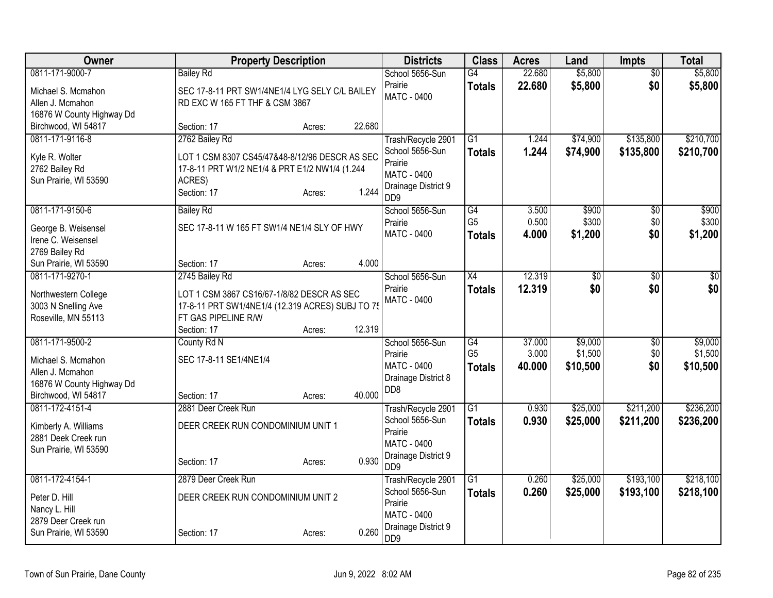| Owner                     | <b>Property Description</b>                      |        |        | <b>Districts</b>                                   | <b>Class</b>    | <b>Acres</b> | Land            | <b>Impts</b>    | <b>Total</b> |
|---------------------------|--------------------------------------------------|--------|--------|----------------------------------------------------|-----------------|--------------|-----------------|-----------------|--------------|
| 0811-171-9000-7           | <b>Bailey Rd</b>                                 |        |        | School 5656-Sun                                    | G4              | 22.680       | \$5,800         | $\overline{30}$ | \$5,800      |
| Michael S. Mcmahon        | SEC 17-8-11 PRT SW1/4NE1/4 LYG SELY C/L BAILEY   |        |        | Prairie                                            | <b>Totals</b>   | 22.680       | \$5,800         | \$0             | \$5,800      |
| Allen J. Mcmahon          | RD EXC W 165 FT THF & CSM 3867                   |        |        | MATC - 0400                                        |                 |              |                 |                 |              |
| 16876 W County Highway Dd |                                                  |        |        |                                                    |                 |              |                 |                 |              |
| Birchwood, WI 54817       | Section: 17                                      | Acres: | 22.680 |                                                    |                 |              |                 |                 |              |
| 0811-171-9116-8           | 2762 Bailey Rd                                   |        |        | Trash/Recycle 2901                                 | $\overline{G1}$ | 1.244        | \$74,900        | \$135,800       | \$210,700    |
| Kyle R. Wolter            | LOT 1 CSM 8307 CS45/47&48-8/12/96 DESCR AS SEC   |        |        | School 5656-Sun                                    | <b>Totals</b>   | 1.244        | \$74,900        | \$135,800       | \$210,700    |
| 2762 Bailey Rd            | 17-8-11 PRT W1/2 NE1/4 & PRT E1/2 NW1/4 (1.244   |        |        | Prairie                                            |                 |              |                 |                 |              |
| Sun Prairie, WI 53590     | ACRES)                                           |        |        | <b>MATC - 0400</b>                                 |                 |              |                 |                 |              |
|                           | Section: 17                                      | Acres: | 1.244  | Drainage District 9<br>D <sub>D</sub> <sub>9</sub> |                 |              |                 |                 |              |
| 0811-171-9150-6           | <b>Bailey Rd</b>                                 |        |        | School 5656-Sun                                    | G4              | 3.500        | \$900           | $\overline{50}$ | \$900        |
| George B. Weisensel       | SEC 17-8-11 W 165 FT SW1/4 NE1/4 SLY OF HWY      |        |        | Prairie                                            | G <sub>5</sub>  | 0.500        | \$300           | \$0             | \$300        |
| Irene C. Weisensel        |                                                  |        |        | <b>MATC - 0400</b>                                 | <b>Totals</b>   | 4.000        | \$1,200         | \$0             | \$1,200      |
| 2769 Bailey Rd            |                                                  |        |        |                                                    |                 |              |                 |                 |              |
| Sun Prairie, WI 53590     | Section: 17                                      | Acres: | 4.000  |                                                    |                 |              |                 |                 |              |
| 0811-171-9270-1           | 2745 Bailey Rd                                   |        |        | School 5656-Sun                                    | X4              | 12.319       | $\overline{50}$ | $\overline{50}$ | $\sqrt{50}$  |
| Northwestern College      | LOT 1 CSM 3867 CS16/67-1/8/82 DESCR AS SEC       |        |        | Prairie                                            | <b>Totals</b>   | 12.319       | \$0             | \$0             | \$0          |
| 3003 N Snelling Ave       | 17-8-11 PRT SW1/4NE1/4 (12.319 ACRES) SUBJ TO 75 |        |        | MATC - 0400                                        |                 |              |                 |                 |              |
| Roseville, MN 55113       | FT GAS PIPELINE R/W                              |        |        |                                                    |                 |              |                 |                 |              |
|                           | Section: 17                                      | Acres: | 12.319 |                                                    |                 |              |                 |                 |              |
| 0811-171-9500-2           | County Rd N                                      |        |        | School 5656-Sun                                    | G4              | 37.000       | \$9,000         | \$0             | \$9,000      |
| Michael S. Mcmahon        | SEC 17-8-11 SE1/4NE1/4                           |        |        | Prairie                                            | G <sub>5</sub>  | 3.000        | \$1,500         | \$0             | \$1,500      |
| Allen J. Mcmahon          |                                                  |        |        | MATC - 0400                                        | <b>Totals</b>   | 40.000       | \$10,500        | \$0             | \$10,500     |
| 16876 W County Highway Dd |                                                  |        |        | Drainage District 8                                |                 |              |                 |                 |              |
| Birchwood, WI 54817       | Section: 17                                      | Acres: | 40.000 | D <sub>D</sub> 8                                   |                 |              |                 |                 |              |
| 0811-172-4151-4           | 2881 Deer Creek Run                              |        |        | Trash/Recycle 2901                                 | $\overline{G1}$ | 0.930        | \$25,000        | \$211,200       | \$236,200    |
| Kimberly A. Williams      | DEER CREEK RUN CONDOMINIUM UNIT 1                |        |        | School 5656-Sun                                    | <b>Totals</b>   | 0.930        | \$25,000        | \$211,200       | \$236,200    |
| 2881 Deek Creek run       |                                                  |        |        | Prairie                                            |                 |              |                 |                 |              |
| Sun Prairie, WI 53590     |                                                  |        |        | <b>MATC - 0400</b>                                 |                 |              |                 |                 |              |
|                           | Section: 17                                      | Acres: | 0.930  | Drainage District 9<br>D <sub>D</sub> <sub>9</sub> |                 |              |                 |                 |              |
| 0811-172-4154-1           | 2879 Deer Creek Run                              |        |        | Trash/Recycle 2901                                 | $\overline{G1}$ | 0.260        | \$25,000        | \$193,100       | \$218,100    |
| Peter D. Hill             | DEER CREEK RUN CONDOMINIUM UNIT 2                |        |        | School 5656-Sun                                    | <b>Totals</b>   | 0.260        | \$25,000        | \$193,100       | \$218,100    |
| Nancy L. Hill             |                                                  |        |        | Prairie                                            |                 |              |                 |                 |              |
| 2879 Deer Creek run       |                                                  |        |        | <b>MATC - 0400</b>                                 |                 |              |                 |                 |              |
| Sun Prairie, WI 53590     | Section: 17                                      | Acres: | 0.260  | Drainage District 9<br>DD <sub>9</sub>             |                 |              |                 |                 |              |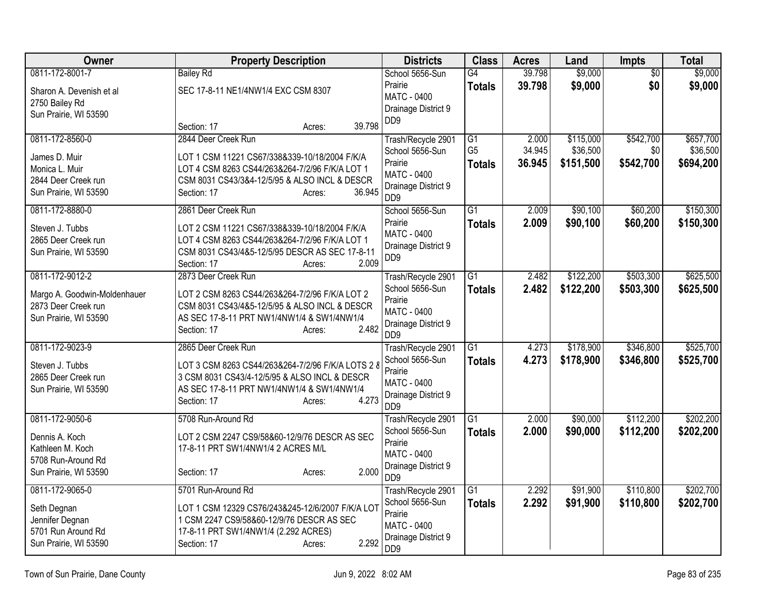| <b>Owner</b>                 | <b>Property Description</b>                       | <b>Districts</b>                                   | <b>Class</b>    | <b>Acres</b>   | Land      | Impts           | <b>Total</b> |
|------------------------------|---------------------------------------------------|----------------------------------------------------|-----------------|----------------|-----------|-----------------|--------------|
| 0811-172-8001-7              | <b>Bailey Rd</b>                                  | School 5656-Sun                                    | G4              | 39.798         | \$9,000   | $\overline{50}$ | \$9,000      |
| Sharon A. Devenish et al     | SEC 17-8-11 NE1/4NW1/4 EXC CSM 8307               | Prairie                                            | <b>Totals</b>   | 39.798         | \$9,000   | \$0             | \$9,000      |
| 2750 Bailey Rd               |                                                   | MATC - 0400                                        |                 |                |           |                 |              |
| Sun Prairie, WI 53590        |                                                   | Drainage District 9                                |                 |                |           |                 |              |
|                              | 39.798<br>Section: 17<br>Acres:                   | DD <sub>9</sub>                                    |                 |                |           |                 |              |
| 0811-172-8560-0              | 2844 Deer Creek Run                               | Trash/Recycle 2901                                 | G1              | 2.000          | \$115,000 | \$542,700       | \$657,700    |
| James D. Muir                | LOT 1 CSM 11221 CS67/338&339-10/18/2004 F/K/A     | School 5656-Sun                                    | G <sub>5</sub>  | 34.945         | \$36,500  | \$0             | \$36,500     |
| Monica L. Muir               | LOT 4 CSM 8263 CS44/263&264-7/2/96 F/K/A LOT 1    | Prairie                                            | <b>Totals</b>   | 36.945         | \$151,500 | \$542,700       | \$694,200    |
| 2844 Deer Creek run          | CSM 8031 CS43/3&4-12/5/95 & ALSO INCL & DESCR     | <b>MATC - 0400</b>                                 |                 |                |           |                 |              |
| Sun Prairie, WI 53590        | 36.945<br>Section: 17<br>Acres:                   | Drainage District 9<br>D <sub>D</sub> <sub>9</sub> |                 |                |           |                 |              |
| 0811-172-8880-0              | 2861 Deer Creek Run                               | School 5656-Sun                                    | $\overline{G1}$ | 2.009          | \$90,100  | \$60,200        | \$150,300    |
| Steven J. Tubbs              | LOT 2 CSM 11221 CS67/338&339-10/18/2004 F/K/A     | Prairie                                            | <b>Totals</b>   | 2.009          | \$90,100  | \$60,200        | \$150,300    |
| 2865 Deer Creek run          | LOT 4 CSM 8263 CS44/263&264-7/2/96 F/K/A LOT 1    | <b>MATC - 0400</b>                                 |                 |                |           |                 |              |
| Sun Prairie, WI 53590        | CSM 8031 CS43/4&5-12/5/95 DESCR AS SEC 17-8-11    | Drainage District 9                                |                 |                |           |                 |              |
|                              | 2.009<br>Section: 17<br>Acres:                    | DD <sub>9</sub>                                    |                 |                |           |                 |              |
| 0811-172-9012-2              | 2873 Deer Creek Run                               | Trash/Recycle 2901                                 | G1              | 2.482          | \$122,200 | \$503,300       | \$625,500    |
| Margo A. Goodwin-Moldenhauer | LOT 2 CSM 8263 CS44/263&264-7/2/96 F/K/A LOT 2    | School 5656-Sun                                    | <b>Totals</b>   | 2.482          | \$122,200 | \$503,300       | \$625,500    |
| 2873 Deer Creek run          | CSM 8031 CS43/4&5-12/5/95 & ALSO INCL & DESCR     | Prairie                                            |                 |                |           |                 |              |
| Sun Prairie, WI 53590        | AS SEC 17-8-11 PRT NW1/4NW1/4 & SW1/4NW1/4        | MATC - 0400                                        |                 |                |           |                 |              |
|                              | 2.482<br>Section: 17<br>Acres:                    | Drainage District 9                                |                 |                |           |                 |              |
|                              |                                                   | D <sub>D</sub> <sub>9</sub>                        |                 |                | \$178,900 | \$346,800       | \$525,700    |
| 0811-172-9023-9              | 2865 Deer Creek Run                               | Trash/Recycle 2901<br>School 5656-Sun              | G1              | 4.273<br>4.273 |           |                 |              |
| Steven J. Tubbs              | LOT 3 CSM 8263 CS44/263&264-7/2/96 F/K/A LOTS 2 8 | Prairie                                            | <b>Totals</b>   |                | \$178,900 | \$346,800       | \$525,700    |
| 2865 Deer Creek run          | 3 CSM 8031 CS43/4-12/5/95 & ALSO INCL & DESCR     | <b>MATC - 0400</b>                                 |                 |                |           |                 |              |
| Sun Prairie, WI 53590        | AS SEC 17-8-11 PRT NW1/4NW1/4 & SW1/4NW1/4        | Drainage District 9                                |                 |                |           |                 |              |
|                              | 4.273<br>Section: 17<br>Acres:                    | D <sub>D</sub> <sub>9</sub>                        |                 |                |           |                 |              |
| 0811-172-9050-6              | 5708 Run-Around Rd                                | Trash/Recycle 2901                                 | $\overline{G1}$ | 2.000          | \$90,000  | \$112,200       | \$202,200    |
| Dennis A. Koch               | LOT 2 CSM 2247 CS9/58&60-12/9/76 DESCR AS SEC     | School 5656-Sun                                    | <b>Totals</b>   | 2.000          | \$90,000  | \$112,200       | \$202,200    |
| Kathleen M. Koch             | 17-8-11 PRT SW1/4NW1/4 2 ACRES M/L                | Prairie                                            |                 |                |           |                 |              |
| 5708 Run-Around Rd           |                                                   | MATC - 0400                                        |                 |                |           |                 |              |
| Sun Prairie, WI 53590        | 2.000<br>Section: 17<br>Acres:                    | Drainage District 9<br>D <sub>D</sub> <sub>9</sub> |                 |                |           |                 |              |
| 0811-172-9065-0              | 5701 Run-Around Rd                                | Trash/Recycle 2901                                 | G1              | 2.292          | \$91,900  | \$110,800       | \$202,700    |
|                              |                                                   | School 5656-Sun                                    | <b>Totals</b>   | 2.292          | \$91,900  | \$110,800       | \$202,700    |
| Seth Degnan                  | LOT 1 CSM 12329 CS76/243&245-12/6/2007 F/K/A LOT  | Prairie                                            |                 |                |           |                 |              |
| Jennifer Degnan              | 1 CSM 2247 CS9/58&60-12/9/76 DESCR AS SEC         | <b>MATC - 0400</b>                                 |                 |                |           |                 |              |
| 5701 Run Around Rd           | 17-8-11 PRT SW1/4NW1/4 (2.292 ACRES)              | Drainage District 9                                |                 |                |           |                 |              |
| Sun Prairie, WI 53590        | 2.292<br>Section: 17<br>Acres:                    | DD <sub>9</sub>                                    |                 |                |           |                 |              |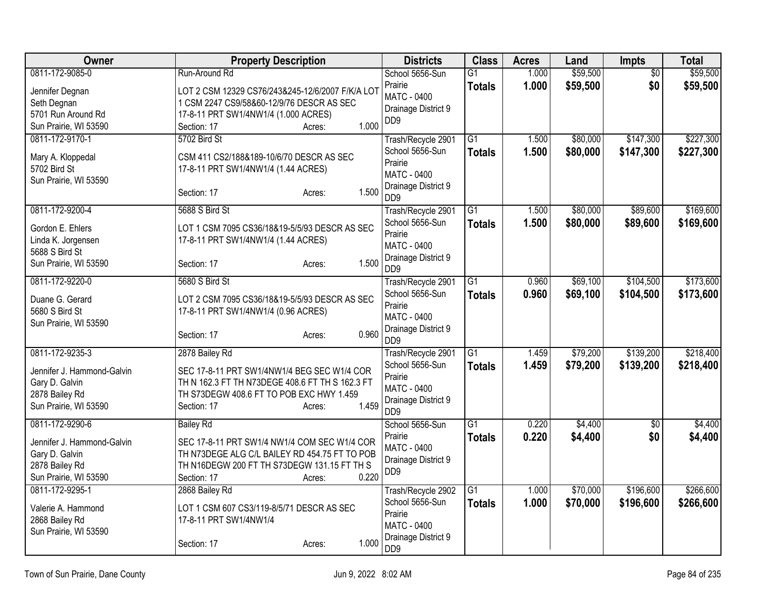| Owner                                                                                                      | <b>Property Description</b>                                                                                                                                                                        | <b>Districts</b>                                                                                                             | <b>Class</b>                     | <b>Acres</b>   | Land                 | Impts                  | <b>Total</b>           |
|------------------------------------------------------------------------------------------------------------|----------------------------------------------------------------------------------------------------------------------------------------------------------------------------------------------------|------------------------------------------------------------------------------------------------------------------------------|----------------------------------|----------------|----------------------|------------------------|------------------------|
| 0811-172-9085-0<br>Jennifer Degnan<br>Seth Degnan<br>5701 Run Around Rd<br>Sun Prairie, WI 53590           | Run-Around Rd<br>LOT 2 CSM 12329 CS76/243&245-12/6/2007 F/K/A LOT<br>1 CSM 2247 CS9/58&60-12/9/76 DESCR AS SEC<br>17-8-11 PRT SW1/4NW1/4 (1.000 ACRES)<br>1.000<br>Section: 17<br>Acres:           | School 5656-Sun<br>Prairie<br><b>MATC - 0400</b><br>Drainage District 9<br>DD <sub>9</sub>                                   | $\overline{G1}$<br><b>Totals</b> | 1.000<br>1.000 | \$59,500<br>\$59,500 | \$0<br>\$0             | \$59,500<br>\$59,500   |
| 0811-172-9170-1<br>Mary A. Kloppedal<br>5702 Bird St<br>Sun Prairie, WI 53590                              | 5702 Bird St<br>CSM 411 CS2/188&189-10/6/70 DESCR AS SEC<br>17-8-11 PRT SW1/4NW1/4 (1.44 ACRES)<br>1.500<br>Section: 17<br>Acres:                                                                  | Trash/Recycle 2901<br>School 5656-Sun<br>Prairie<br><b>MATC - 0400</b><br>Drainage District 9<br>D <sub>D</sub> <sub>9</sub> | $\overline{G1}$<br><b>Totals</b> | 1.500<br>1.500 | \$80,000<br>\$80,000 | \$147,300<br>\$147,300 | \$227,300<br>\$227,300 |
| 0811-172-9200-4<br>Gordon E. Ehlers<br>Linda K. Jorgensen<br>5688 S Bird St<br>Sun Prairie, WI 53590       | 5688 S Bird St<br>LOT 1 CSM 7095 CS36/18&19-5/5/93 DESCR AS SEC<br>17-8-11 PRT SW1/4NW1/4 (1.44 ACRES)<br>1.500<br>Section: 17<br>Acres:                                                           | Trash/Recycle 2901<br>School 5656-Sun<br>Prairie<br><b>MATC - 0400</b><br>Drainage District 9<br>D <sub>D</sub> <sub>9</sub> | $\overline{G1}$<br><b>Totals</b> | 1.500<br>1.500 | \$80,000<br>\$80,000 | \$89,600<br>\$89,600   | \$169,600<br>\$169,600 |
| 0811-172-9220-0<br>Duane G. Gerard<br>5680 S Bird St<br>Sun Prairie, WI 53590                              | 5680 S Bird St<br>LOT 2 CSM 7095 CS36/18&19-5/5/93 DESCR AS SEC<br>17-8-11 PRT SW1/4NW1/4 (0.96 ACRES)<br>0.960<br>Section: 17<br>Acres:                                                           | Trash/Recycle 2901<br>School 5656-Sun<br>Prairie<br><b>MATC - 0400</b><br>Drainage District 9<br>D <sub>D</sub> <sub>9</sub> | G1<br><b>Totals</b>              | 0.960<br>0.960 | \$69,100<br>\$69,100 | \$104,500<br>\$104,500 | \$173,600<br>\$173,600 |
| 0811-172-9235-3<br>Jennifer J. Hammond-Galvin<br>Gary D. Galvin<br>2878 Bailey Rd<br>Sun Prairie, WI 53590 | 2878 Bailey Rd<br>SEC 17-8-11 PRT SW1/4NW1/4 BEG SEC W1/4 COR<br>TH N 162.3 FT TH N73DEGE 408.6 FT TH S 162.3 FT<br>TH S73DEGW 408.6 FT TO POB EXC HWY 1.459<br>1.459<br>Section: 17<br>Acres:     | Trash/Recycle 2901<br>School 5656-Sun<br>Prairie<br><b>MATC - 0400</b><br>Drainage District 9<br>D <sub>D</sub> <sub>9</sub> | $\overline{G1}$<br><b>Totals</b> | 1.459<br>1.459 | \$79,200<br>\$79,200 | \$139,200<br>\$139,200 | \$218,400<br>\$218,400 |
| 0811-172-9290-6<br>Jennifer J. Hammond-Galvin<br>Gary D. Galvin<br>2878 Bailey Rd<br>Sun Prairie, WI 53590 | <b>Bailey Rd</b><br>SEC 17-8-11 PRT SW1/4 NW1/4 COM SEC W1/4 COR<br>TH N73DEGE ALG C/L BAILEY RD 454.75 FT TO POB<br>TH N16DEGW 200 FT TH S73DEGW 131.15 FT TH S<br>0.220<br>Section: 17<br>Acres: | School 5656-Sun<br>Prairie<br><b>MATC - 0400</b><br>Drainage District 9<br>D <sub>D</sub> <sub>9</sub>                       | $\overline{G1}$<br><b>Totals</b> | 0.220<br>0.220 | \$4,400<br>\$4,400   | $\overline{30}$<br>\$0 | \$4,400<br>\$4,400     |
| 0811-172-9295-1<br>Valerie A. Hammond<br>2868 Bailey Rd<br>Sun Prairie, WI 53590                           | 2868 Bailey Rd<br>LOT 1 CSM 607 CS3/119-8/5/71 DESCR AS SEC<br>17-8-11 PRT SW1/4NW1/4<br>1.000<br>Section: 17<br>Acres:                                                                            | Trash/Recycle 2902<br>School 5656-Sun<br>Prairie<br><b>MATC - 0400</b><br>Drainage District 9<br>DD <sub>9</sub>             | $\overline{G1}$<br><b>Totals</b> | 1.000<br>1.000 | \$70,000<br>\$70,000 | \$196,600<br>\$196,600 | \$266,600<br>\$266,600 |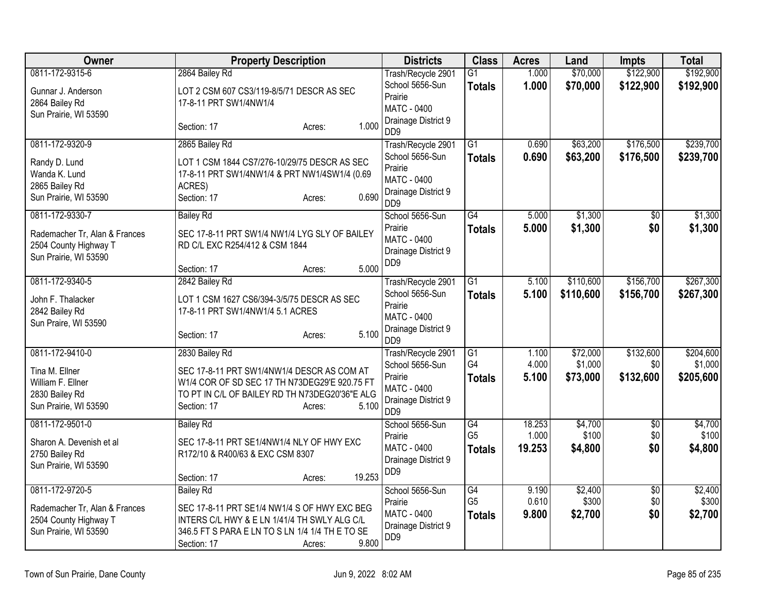| Owner                                                                                              | <b>Property Description</b>                                                                                                                                                                           | <b>Districts</b>                                                                                                             | <b>Class</b>                                       | <b>Acres</b>              | Land                            | <b>Impts</b>                  | <b>Total</b>                      |
|----------------------------------------------------------------------------------------------------|-------------------------------------------------------------------------------------------------------------------------------------------------------------------------------------------------------|------------------------------------------------------------------------------------------------------------------------------|----------------------------------------------------|---------------------------|---------------------------------|-------------------------------|-----------------------------------|
| 0811-172-9315-6<br>Gunnar J. Anderson<br>2864 Bailey Rd<br>Sun Prairie, WI 53590                   | 2864 Bailey Rd<br>LOT 2 CSM 607 CS3/119-8/5/71 DESCR AS SEC<br>17-8-11 PRT SW1/4NW1/4                                                                                                                 | Trash/Recycle 2901<br>School 5656-Sun<br>Prairie<br>MATC - 0400                                                              | $\overline{G1}$<br><b>Totals</b>                   | 1.000<br>1.000            | \$70,000<br>\$70,000            | \$122,900<br>\$122,900        | \$192,900<br>\$192,900            |
|                                                                                                    | 1.000<br>Section: 17<br>Acres:                                                                                                                                                                        | Drainage District 9<br>D <sub>D</sub> <sub>9</sub>                                                                           |                                                    |                           |                                 |                               |                                   |
| 0811-172-9320-9<br>Randy D. Lund<br>Wanda K. Lund<br>2865 Bailey Rd<br>Sun Prairie, WI 53590       | 2865 Bailey Rd<br>LOT 1 CSM 1844 CS7/276-10/29/75 DESCR AS SEC<br>17-8-11 PRT SW1/4NW1/4 & PRT NW1/4SW1/4 (0.69<br>ACRES)<br>0.690<br>Section: 17<br>Acres:                                           | Trash/Recycle 2901<br>School 5656-Sun<br>Prairie<br><b>MATC - 0400</b><br>Drainage District 9<br>D <sub>D</sub> <sub>9</sub> | $\overline{G1}$<br><b>Totals</b>                   | 0.690<br>0.690            | \$63,200<br>\$63,200            | \$176,500<br>\$176,500        | \$239,700<br>\$239,700            |
| 0811-172-9330-7<br>Rademacher Tr, Alan & Frances<br>2504 County Highway T<br>Sun Prairie, WI 53590 | <b>Bailey Rd</b><br>SEC 17-8-11 PRT SW1/4 NW1/4 LYG SLY OF BAILEY<br>RD C/L EXC R254/412 & CSM 1844<br>5.000<br>Section: 17<br>Acres:                                                                 | School 5656-Sun<br>Prairie<br>MATC - 0400<br>Drainage District 9<br>D <sub>D</sub> <sub>9</sub>                              | $\overline{G4}$<br><b>Totals</b>                   | 5.000<br>5.000            | \$1,300<br>\$1,300              | \$0<br>\$0                    | \$1,300<br>\$1,300                |
| 0811-172-9340-5<br>John F. Thalacker<br>2842 Bailey Rd<br>Sun Praire, WI 53590                     | 2842 Bailey Rd<br>LOT 1 CSM 1627 CS6/394-3/5/75 DESCR AS SEC<br>17-8-11 PRT SW1/4NW1/4 5.1 ACRES<br>5.100<br>Section: 17<br>Acres:                                                                    | Trash/Recycle 2901<br>School 5656-Sun<br>Prairie<br>MATC - 0400<br>Drainage District 9<br>DD <sub>9</sub>                    | $\overline{G1}$<br><b>Totals</b>                   | 5.100<br>5.100            | \$110,600<br>\$110,600          | \$156,700<br>\$156,700        | \$267,300<br>\$267,300            |
| 0811-172-9410-0<br>Tina M. Ellner<br>William F. Ellner<br>2830 Bailey Rd<br>Sun Prairie, WI 53590  | 2830 Bailey Rd<br>SEC 17-8-11 PRT SW1/4NW1/4 DESCR AS COM AT<br>W1/4 COR OF SD SEC 17 TH N73DEG29'E 920.75 FT<br>TO PT IN C/L OF BAILEY RD TH N73DEG20'36"E ALG<br>5.100<br>Section: 17<br>Acres:     | Trash/Recycle 2901<br>School 5656-Sun<br>Prairie<br><b>MATC - 0400</b><br>Drainage District 9<br>D <sub>D</sub> <sub>9</sub> | G1<br>G4<br><b>Totals</b>                          | 1.100<br>4.000<br>5.100   | \$72,000<br>\$1,000<br>\$73,000 | \$132,600<br>\$0<br>\$132,600 | \$204,600<br>\$1,000<br>\$205,600 |
| 0811-172-9501-0<br>Sharon A. Devenish et al<br>2750 Bailey Rd<br>Sun Prairie, WI 53590             | <b>Bailey Rd</b><br>SEC 17-8-11 PRT SE1/4NW1/4 NLY OF HWY EXC<br>R172/10 & R400/63 & EXC CSM 8307<br>19.253<br>Section: 17<br>Acres:                                                                  | School 5656-Sun<br>Prairie<br>MATC - 0400<br>Drainage District 9<br>D <sub>D</sub> <sub>9</sub>                              | G4<br>G <sub>5</sub><br><b>Totals</b>              | 18.253<br>1.000<br>19.253 | \$4,700<br>\$100<br>\$4,800     | $\overline{50}$<br>\$0<br>\$0 | \$4,700<br>\$100<br>\$4,800       |
| 0811-172-9720-5<br>Rademacher Tr, Alan & Frances<br>2504 County Highway T<br>Sun Prairie, WI 53590 | <b>Bailey Rd</b><br>SEC 17-8-11 PRT SE1/4 NW1/4 S OF HWY EXC BEG<br>INTERS C/L HWY & E LN 1/41/4 TH SWLY ALG C/L<br>346.5 FT S PARA E LN TO S LN 1/4 1/4 TH E TO SE<br>9.800<br>Section: 17<br>Acres: | School 5656-Sun<br>Prairie<br><b>MATC - 0400</b><br>Drainage District 9<br>D <sub>D</sub> <sub>9</sub>                       | $\overline{G4}$<br>G <sub>5</sub><br><b>Totals</b> | 9.190<br>0.610<br>9.800   | \$2,400<br>\$300<br>\$2,700     | $\overline{50}$<br>\$0<br>\$0 | \$2,400<br>\$300<br>\$2,700       |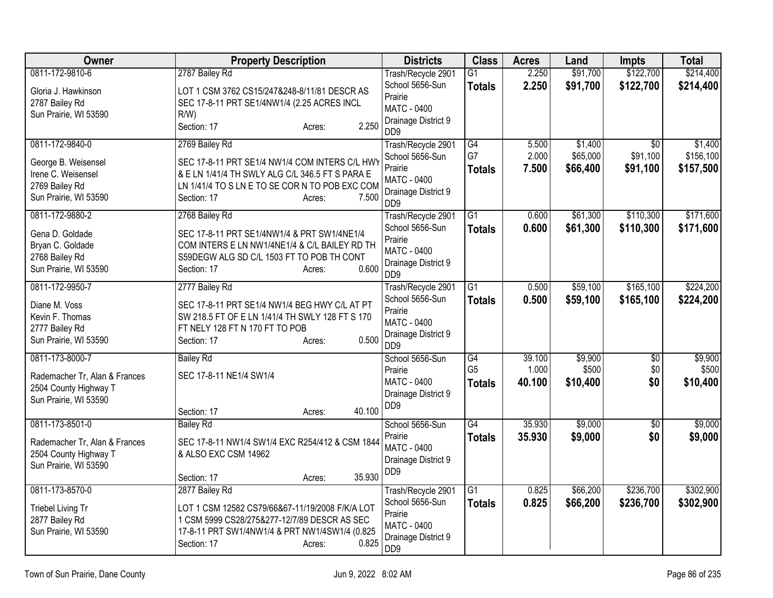| <b>Owner</b>                  | <b>Property Description</b>                     | <b>Districts</b>                          | <b>Class</b>    | <b>Acres</b> | Land     | <b>Impts</b>    | <b>Total</b> |
|-------------------------------|-------------------------------------------------|-------------------------------------------|-----------------|--------------|----------|-----------------|--------------|
| 0811-172-9810-6               | 2787 Bailey Rd                                  | Trash/Recycle 2901                        | $\overline{G1}$ | 2.250        | \$91,700 | \$122,700       | \$214,400    |
| Gloria J. Hawkinson           | LOT 1 CSM 3762 CS15/247&248-8/11/81 DESCR AS    | School 5656-Sun                           | <b>Totals</b>   | 2.250        | \$91,700 | \$122,700       | \$214,400    |
| 2787 Bailey Rd                | SEC 17-8-11 PRT SE1/4NW1/4 (2.25 ACRES INCL     | Prairie                                   |                 |              |          |                 |              |
| Sun Prairie, WI 53590         | $R/W$ )                                         | <b>MATC - 0400</b><br>Drainage District 9 |                 |              |          |                 |              |
|                               | 2.250<br>Section: 17<br>Acres:                  | D <sub>D</sub> <sub>9</sub>               |                 |              |          |                 |              |
| 0811-172-9840-0               | 2769 Bailey Rd                                  | Trash/Recycle 2901                        | $\overline{G4}$ | 5.500        | \$1,400  | $\overline{50}$ | \$1,400      |
| George B. Weisensel           | SEC 17-8-11 PRT SE1/4 NW1/4 COM INTERS C/L HWY  | School 5656-Sun                           | G7              | 2.000        | \$65,000 | \$91,100        | \$156,100    |
| Irene C. Weisensel            | & E LN 1/41/4 TH SWLY ALG C/L 346.5 FT S PARA E | Prairie<br><b>MATC - 0400</b>             | <b>Totals</b>   | 7.500        | \$66,400 | \$91,100        | \$157,500    |
| 2769 Bailey Rd                | LN 1/41/4 TO S LN E TO SE COR N TO POB EXC COM  | Drainage District 9                       |                 |              |          |                 |              |
| Sun Prairie, WI 53590         | 7.500<br>Section: 17<br>Acres:                  | D <sub>D</sub> <sub>9</sub>               |                 |              |          |                 |              |
| 0811-172-9880-2               | 2768 Bailey Rd                                  | Trash/Recycle 2901                        | G1              | 0.600        | \$61,300 | \$110,300       | \$171,600    |
| Gena D. Goldade               | SEC 17-8-11 PRT SE1/4NW1/4 & PRT SW1/4NE1/4     | School 5656-Sun                           | <b>Totals</b>   | 0.600        | \$61,300 | \$110,300       | \$171,600    |
| Bryan C. Goldade              | COM INTERS E LN NW1/4NE1/4 & C/L BAILEY RD TH   | Prairie<br><b>MATC - 0400</b>             |                 |              |          |                 |              |
| 2768 Bailey Rd                | S59DEGW ALG SD C/L 1503 FT TO POB TH CONT       | Drainage District 9                       |                 |              |          |                 |              |
| Sun Prairie, WI 53590         | 0.600<br>Section: 17<br>Acres:                  | DD <sub>9</sub>                           |                 |              |          |                 |              |
| 0811-172-9950-7               | 2777 Bailey Rd                                  | Trash/Recycle 2901                        | G1              | 0.500        | \$59,100 | \$165,100       | \$224,200    |
| Diane M. Voss                 | SEC 17-8-11 PRT SE1/4 NW1/4 BEG HWY C/L AT PT   | School 5656-Sun                           | <b>Totals</b>   | 0.500        | \$59,100 | \$165,100       | \$224,200    |
| Kevin F. Thomas               | SW 218.5 FT OF E LN 1/41/4 TH SWLY 128 FT S 170 | Prairie<br><b>MATC - 0400</b>             |                 |              |          |                 |              |
| 2777 Bailey Rd                | FT NELY 128 FT N 170 FT TO POB                  | Drainage District 9                       |                 |              |          |                 |              |
| Sun Prairie, WI 53590         | 0.500<br>Section: 17<br>Acres:                  | D <sub>D</sub> <sub>9</sub>               |                 |              |          |                 |              |
| 0811-173-8000-7               | <b>Bailey Rd</b>                                | School 5656-Sun                           | G4              | 39.100       | \$9,900  | $\overline{50}$ | \$9,900      |
| Rademacher Tr, Alan & Frances | SEC 17-8-11 NE1/4 SW1/4                         | Prairie<br><b>MATC - 0400</b>             | G <sub>5</sub>  | 1.000        | \$500    | \$0             | \$500        |
| 2504 County Highway T         |                                                 | Drainage District 9                       | <b>Totals</b>   | 40.100       | \$10,400 | \$0             | \$10,400     |
| Sun Prairie, WI 53590         |                                                 | D <sub>D</sub> <sub>9</sub>               |                 |              |          |                 |              |
|                               | 40.100<br>Section: 17<br>Acres:                 |                                           |                 |              |          |                 |              |
| 0811-173-8501-0               | <b>Bailey Rd</b>                                | School 5656-Sun                           | $\overline{G4}$ | 35.930       | \$9,000  | $\overline{50}$ | \$9,000      |
| Rademacher Tr, Alan & Frances | SEC 17-8-11 NW1/4 SW1/4 EXC R254/412 & CSM 1844 | Prairie<br><b>MATC - 0400</b>             | <b>Totals</b>   | 35.930       | \$9,000  | \$0             | \$9,000      |
| 2504 County Highway T         | & ALSO EXC CSM 14962                            | Drainage District 9                       |                 |              |          |                 |              |
| Sun Prairie, WI 53590         |                                                 | DD <sub>9</sub>                           |                 |              |          |                 |              |
|                               | 35.930<br>Section: 17<br>Acres:                 |                                           |                 |              |          |                 |              |
| 0811-173-8570-0               | 2877 Bailey Rd                                  | Trash/Recycle 2901                        | G1              | 0.825        | \$66,200 | \$236,700       | \$302,900    |
| Triebel Living Tr             | LOT 1 CSM 12582 CS79/66&67-11/19/2008 F/K/A LOT | School 5656-Sun<br>Prairie                | <b>Totals</b>   | 0.825        | \$66,200 | \$236,700       | \$302,900    |
| 2877 Bailey Rd                | 1 CSM 5999 CS28/275&277-12/7/89 DESCR AS SEC    | <b>MATC - 0400</b>                        |                 |              |          |                 |              |
| Sun Prairie, WI 53590         | 17-8-11 PRT SW1/4NW1/4 & PRT NW1/4SW1/4 (0.825  | Drainage District 9                       |                 |              |          |                 |              |
|                               | 0.825<br>Section: 17<br>Acres:                  | DD <sub>9</sub>                           |                 |              |          |                 |              |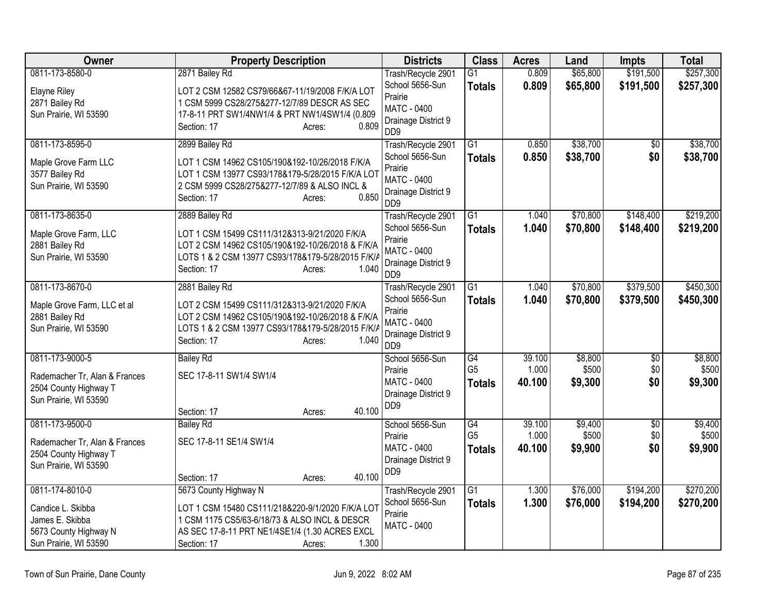| Owner                         | <b>Property Description</b>                       | <b>Districts</b>                          | <b>Class</b>                      | <b>Acres</b>    | Land             | <b>Impts</b>           | <b>Total</b>     |
|-------------------------------|---------------------------------------------------|-------------------------------------------|-----------------------------------|-----------------|------------------|------------------------|------------------|
| 0811-173-8580-0               | 2871 Bailey Rd                                    | Trash/Recycle 2901                        | $\overline{G1}$                   | 0.809           | \$65,800         | \$191,500              | \$257,300        |
| <b>Elayne Riley</b>           | LOT 2 CSM 12582 CS79/66&67-11/19/2008 F/K/A LOT   | School 5656-Sun                           | <b>Totals</b>                     | 0.809           | \$65,800         | \$191,500              | \$257,300        |
| 2871 Bailey Rd                | 1 CSM 5999 CS28/275&277-12/7/89 DESCR AS SEC      | Prairie                                   |                                   |                 |                  |                        |                  |
| Sun Prairie, WI 53590         | 17-8-11 PRT SW1/4NW1/4 & PRT NW1/4SW1/4 (0.809    | MATC - 0400<br>Drainage District 9        |                                   |                 |                  |                        |                  |
|                               | 0.809<br>Section: 17<br>Acres:                    | D <sub>D</sub> <sub>9</sub>               |                                   |                 |                  |                        |                  |
| 0811-173-8595-0               | 2899 Bailey Rd                                    | Trash/Recycle 2901                        | $\overline{G1}$                   | 0.850           | \$38,700         | $\sqrt{6}$             | \$38,700         |
| Maple Grove Farm LLC          | LOT 1 CSM 14962 CS105/190&192-10/26/2018 F/K/A    | School 5656-Sun                           | <b>Totals</b>                     | 0.850           | \$38,700         | \$0                    | \$38,700         |
| 3577 Bailey Rd                | LOT 1 CSM 13977 CS93/178&179-5/28/2015 F/K/A LOT  | Prairie                                   |                                   |                 |                  |                        |                  |
| Sun Prairie, WI 53590         | 2 CSM 5999 CS28/275&277-12/7/89 & ALSO INCL &     | <b>MATC - 0400</b><br>Drainage District 9 |                                   |                 |                  |                        |                  |
|                               | 0.850<br>Section: 17<br>Acres:                    | D <sub>D</sub> <sub>9</sub>               |                                   |                 |                  |                        |                  |
| 0811-173-8635-0               | 2889 Bailey Rd                                    | Trash/Recycle 2901                        | G1                                | 1.040           | \$70,800         | \$148,400              | \$219,200        |
| Maple Grove Farm, LLC         | LOT 1 CSM 15499 CS111/312&313-9/21/2020 F/K/A     | School 5656-Sun                           | <b>Totals</b>                     | 1.040           | \$70,800         | \$148,400              | \$219,200        |
| 2881 Bailey Rd                | LOT 2 CSM 14962 CS105/190&192-10/26/2018 & F/K/A  | Prairie<br><b>MATC - 0400</b>             |                                   |                 |                  |                        |                  |
| Sun Prairie, WI 53590         | LOTS 1 & 2 CSM 13977 CS93/178&179-5/28/2015 F/K/A | Drainage District 9                       |                                   |                 |                  |                        |                  |
|                               | 1.040<br>Section: 17<br>Acres:                    | D <sub>D</sub> <sub>9</sub>               |                                   |                 |                  |                        |                  |
| 0811-173-8670-0               | 2881 Bailey Rd                                    | Trash/Recycle 2901                        | $\overline{G1}$                   | 1.040           | \$70,800         | \$379,500              | \$450,300        |
| Maple Grove Farm, LLC et al   | LOT 2 CSM 15499 CS111/312&313-9/21/2020 F/K/A     | School 5656-Sun                           | <b>Totals</b>                     | 1.040           | \$70,800         | \$379,500              | \$450,300        |
| 2881 Bailey Rd                | LOT 2 CSM 14962 CS105/190&192-10/26/2018 & F/K/A  | Prairie                                   |                                   |                 |                  |                        |                  |
| Sun Prairie, WI 53590         | LOTS 1 & 2 CSM 13977 CS93/178&179-5/28/2015 F/K/A | <b>MATC - 0400</b><br>Drainage District 9 |                                   |                 |                  |                        |                  |
|                               | 1.040<br>Section: 17<br>Acres:                    | D <sub>D</sub> <sub>9</sub>               |                                   |                 |                  |                        |                  |
| 0811-173-9000-5               | <b>Bailey Rd</b>                                  | School 5656-Sun                           | $\overline{G4}$                   | 39.100          | \$8,800          | $\overline{50}$        | \$8,800          |
| Rademacher Tr, Alan & Frances | SEC 17-8-11 SW1/4 SW1/4                           | Prairie                                   | G <sub>5</sub>                    | 1.000           | \$500            | \$0                    | \$500            |
| 2504 County Highway T         |                                                   | <b>MATC - 0400</b>                        | <b>Totals</b>                     | 40.100          | \$9,300          | \$0                    | \$9,300          |
| Sun Prairie, WI 53590         |                                                   | Drainage District 9<br>DD <sub>9</sub>    |                                   |                 |                  |                        |                  |
|                               | 40.100<br>Section: 17<br>Acres:                   |                                           |                                   |                 |                  |                        |                  |
| 0811-173-9500-0               | <b>Bailey Rd</b>                                  | School 5656-Sun                           | $\overline{G4}$<br>G <sub>5</sub> | 39.100<br>1.000 | \$9,400<br>\$500 | $\overline{50}$<br>\$0 | \$9,400<br>\$500 |
| Rademacher Tr, Alan & Frances | SEC 17-8-11 SE1/4 SW1/4                           | Prairie<br><b>MATC - 0400</b>             |                                   | 40.100          | \$9,900          | \$0                    | \$9,900          |
| 2504 County Highway T         |                                                   | Drainage District 9                       | <b>Totals</b>                     |                 |                  |                        |                  |
| Sun Prairie, WI 53590         |                                                   | DD <sub>9</sub>                           |                                   |                 |                  |                        |                  |
|                               | 40.100<br>Section: 17<br>Acres:                   |                                           |                                   |                 |                  |                        |                  |
| 0811-174-8010-0               | 5673 County Highway N                             | Trash/Recycle 2901                        | $\overline{G1}$                   | 1.300           | \$76,000         | \$194,200              | \$270,200        |
| Candice L. Skibba             | LOT 1 CSM 15480 CS111/218&220-9/1/2020 F/K/A LOT  | School 5656-Sun<br>Prairie                | <b>Totals</b>                     | 1.300           | \$76,000         | \$194,200              | \$270,200        |
| James E. Skibba               | 1 CSM 1175 CS5/63-6/18/73 & ALSO INCL & DESCR     | <b>MATC - 0400</b>                        |                                   |                 |                  |                        |                  |
| 5673 County Highway N         | AS SEC 17-8-11 PRT NE1/4SE1/4 (1.30 ACRES EXCL    |                                           |                                   |                 |                  |                        |                  |
| Sun Prairie, WI 53590         | 1.300<br>Section: 17<br>Acres:                    |                                           |                                   |                 |                  |                        |                  |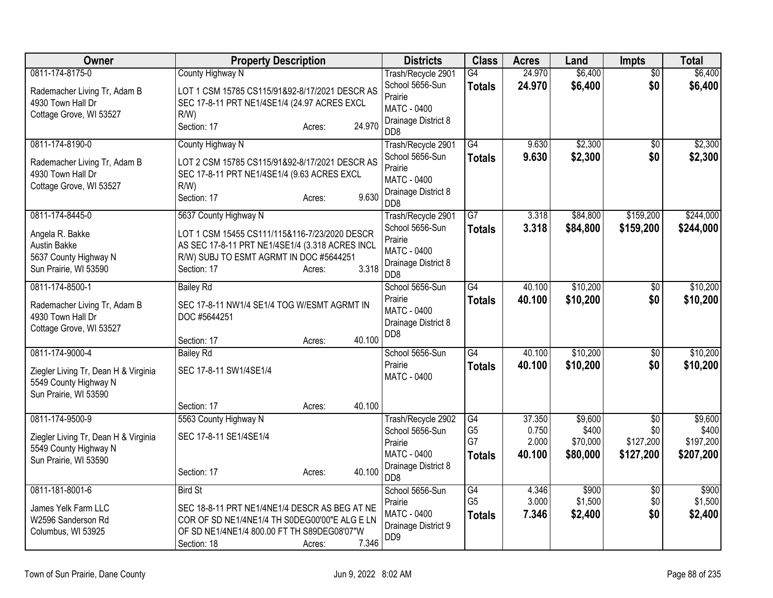| Owner                                                                                                     | <b>Property Description</b>                                                                                                                                                                            | <b>Districts</b>                                                                                                  | <b>Class</b>                                       | <b>Acres</b>                       | Land                                     | Impts                                            | <b>Total</b>                               |
|-----------------------------------------------------------------------------------------------------------|--------------------------------------------------------------------------------------------------------------------------------------------------------------------------------------------------------|-------------------------------------------------------------------------------------------------------------------|----------------------------------------------------|------------------------------------|------------------------------------------|--------------------------------------------------|--------------------------------------------|
| 0811-174-8175-0<br>Rademacher Living Tr, Adam B<br>4930 Town Hall Dr<br>Cottage Grove, WI 53527           | County Highway N<br>LOT 1 CSM 15785 CS115/91&92-8/17/2021 DESCR AS<br>SEC 17-8-11 PRT NE1/4SE1/4 (24.97 ACRES EXCL<br>$R/W$ )<br>24.970<br>Section: 17<br>Acres:                                       | Trash/Recycle 2901<br>School 5656-Sun<br>Prairie<br>MATC - 0400<br>Drainage District 8<br>D <sub>D</sub> 8        | G4<br><b>Totals</b>                                | 24.970<br>24.970                   | \$6,400<br>\$6,400                       | \$0<br>\$0                                       | \$6,400<br>\$6,400                         |
| 0811-174-8190-0<br>Rademacher Living Tr, Adam B<br>4930 Town Hall Dr<br>Cottage Grove, WI 53527           | County Highway N<br>LOT 2 CSM 15785 CS115/91&92-8/17/2021 DESCR AS<br>SEC 17-8-11 PRT NE1/4SE1/4 (9.63 ACRES EXCL<br>$R/W$ )<br>9.630<br>Section: 17<br>Acres:                                         | Trash/Recycle 2901<br>School 5656-Sun<br>Prairie<br><b>MATC - 0400</b><br>Drainage District 8<br>D <sub>D</sub> 8 | G4<br><b>Totals</b>                                | 9.630<br>9.630                     | \$2,300<br>\$2,300                       | $\sqrt{6}$<br>\$0                                | \$2,300<br>\$2,300                         |
| 0811-174-8445-0<br>Angela R. Bakke<br>Austin Bakke<br>5637 County Highway N<br>Sun Prairie, WI 53590      | 5637 County Highway N<br>LOT 1 CSM 15455 CS111/115&116-7/23/2020 DESCR<br>AS SEC 17-8-11 PRT NE1/4SE1/4 (3.318 ACRES INCL<br>R/W) SUBJ TO ESMT AGRMT IN DOC #5644251<br>3.318<br>Section: 17<br>Acres: | Trash/Recycle 2901<br>School 5656-Sun<br>Prairie<br>MATC - 0400<br>Drainage District 8<br>D <sub>D</sub> 8        | $\overline{G7}$<br><b>Totals</b>                   | 3.318<br>3.318                     | \$84,800<br>\$84,800                     | \$159,200<br>\$159,200                           | \$244,000<br>\$244,000                     |
| 0811-174-8500-1<br>Rademacher Living Tr, Adam B<br>4930 Town Hall Dr<br>Cottage Grove, WI 53527           | <b>Bailey Rd</b><br>SEC 17-8-11 NW1/4 SE1/4 TOG W/ESMT AGRMT IN<br>DOC #5644251<br>40.100<br>Section: 17<br>Acres:                                                                                     | School 5656-Sun<br>Prairie<br>MATC - 0400<br>Drainage District 8<br>DD <sub>8</sub>                               | G4<br><b>Totals</b>                                | 40.100<br>40.100                   | \$10,200<br>\$10,200                     | \$0<br>\$0                                       | \$10,200<br>\$10,200                       |
| 0811-174-9000-4<br>Ziegler Living Tr, Dean H & Virginia<br>5549 County Highway N<br>Sun Prairie, WI 53590 | <b>Bailey Rd</b><br>SEC 17-8-11 SW1/4SE1/4<br>40.100<br>Section: 17<br>Acres:                                                                                                                          | School 5656-Sun<br>Prairie<br>MATC - 0400                                                                         | G4<br><b>Totals</b>                                | 40.100<br>40.100                   | \$10,200<br>\$10,200                     | $\overline{50}$<br>\$0                           | \$10,200<br>\$10,200                       |
| 0811-174-9500-9<br>Ziegler Living Tr, Dean H & Virginia<br>5549 County Highway N<br>Sun Prairie, WI 53590 | 5563 County Highway N<br>SEC 17-8-11 SE1/4SE1/4<br>40.100<br>Section: 17<br>Acres:                                                                                                                     | Trash/Recycle 2902<br>School 5656-Sun<br>Prairie<br><b>MATC - 0400</b><br>Drainage District 8<br>DD <sub>8</sub>  | G4<br>G <sub>5</sub><br>G7<br><b>Totals</b>        | 37.350<br>0.750<br>2.000<br>40.100 | \$9,600<br>\$400<br>\$70,000<br>\$80,000 | $\overline{50}$<br>\$0<br>\$127,200<br>\$127,200 | \$9,600<br>\$400<br>\$197,200<br>\$207,200 |
| 0811-181-8001-6<br>James Yelk Farm LLC<br>W2596 Sanderson Rd<br>Columbus, WI 53925                        | <b>Bird St</b><br>SEC 18-8-11 PRT NE1/4NE1/4 DESCR AS BEG AT NE<br>COR OF SD NE1/4NE1/4 TH S0DEG00'00"E ALG E LN<br>OF SD NE1/4NE1/4 800.00 FT TH S89DEG08'07"W<br>7.346<br>Section: 18<br>Acres:      | School 5656-Sun<br>Prairie<br><b>MATC - 0400</b><br>Drainage District 9<br>D <sub>D</sub> <sub>9</sub>            | $\overline{G4}$<br>G <sub>5</sub><br><b>Totals</b> | 4.346<br>3.000<br>7.346            | \$900<br>\$1,500<br>\$2,400              | $\overline{50}$<br>\$0<br>\$0                    | \$900<br>\$1,500<br>\$2,400                |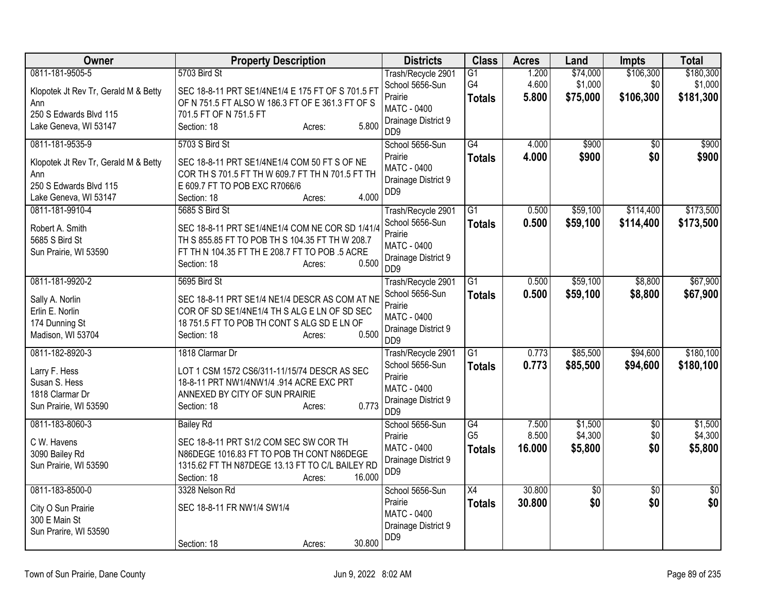| Owner                                                                                                                                      | <b>Property Description</b>                                                                                                                                                                                             | <b>Districts</b>                                                                                                             | <b>Class</b>                          | <b>Acres</b>             | Land                            | <b>Impts</b>                  | <b>Total</b>                      |
|--------------------------------------------------------------------------------------------------------------------------------------------|-------------------------------------------------------------------------------------------------------------------------------------------------------------------------------------------------------------------------|------------------------------------------------------------------------------------------------------------------------------|---------------------------------------|--------------------------|---------------------------------|-------------------------------|-----------------------------------|
| 0811-181-9505-5<br>Klopotek Jt Rev Tr, Gerald M & Betty<br>Ann<br>250 S Edwards Blvd 115                                                   | 5703 Bird St<br>SEC 18-8-11 PRT SE1/4NE1/4 E 175 FT OF S 701.5 FT<br>OF N 751.5 FT ALSO W 186.3 FT OF E 361.3 FT OF S<br>701.5 FT OF N 751.5 FT                                                                         | Trash/Recycle 2901<br>School 5656-Sun<br>Prairie<br><b>MATC - 0400</b><br>Drainage District 9                                | G1<br>G4<br><b>Totals</b>             | 1.200<br>4.600<br>5.800  | \$74,000<br>\$1,000<br>\$75,000 | \$106,300<br>\$0<br>\$106,300 | \$180,300<br>\$1,000<br>\$181,300 |
| Lake Geneva, WI 53147<br>0811-181-9535-9<br>Klopotek Jt Rev Tr, Gerald M & Betty<br>Ann<br>250 S Edwards Blvd 115<br>Lake Geneva, WI 53147 | 5.800<br>Section: 18<br>Acres:<br>5703 S Bird St<br>SEC 18-8-11 PRT SE1/4NE1/4 COM 50 FT S OF NE<br>COR TH S 701.5 FT TH W 609.7 FT TH N 701.5 FT TH<br>E 609.7 FT TO POB EXC R7066/6<br>4.000<br>Section: 18<br>Acres: | DD <sub>9</sub><br>School 5656-Sun<br>Prairie<br>MATC - 0400<br>Drainage District 9<br>D <sub>D</sub> <sub>9</sub>           | $\overline{G4}$<br><b>Totals</b>      | 4.000<br>4.000           | \$900<br>\$900                  | $\overline{50}$<br>\$0        | \$900<br>\$900                    |
| 0811-181-9910-4<br>Robert A. Smith<br>5685 S Bird St<br>Sun Prairie, WI 53590                                                              | 5685 S Bird St<br>SEC 18-8-11 PRT SE1/4NE1/4 COM NE COR SD 1/41/4<br>TH S 855.85 FT TO POB TH S 104.35 FT TH W 208.7<br>FT TH N 104.35 FT TH E 208.7 FT TO POB .5 ACRE<br>0.500<br>Section: 18<br>Acres:                | Trash/Recycle 2901<br>School 5656-Sun<br>Prairie<br>MATC - 0400<br>Drainage District 9<br>D <sub>D</sub> <sub>9</sub>        | $\overline{G1}$<br><b>Totals</b>      | 0.500<br>0.500           | \$59,100<br>\$59,100            | \$114,400<br>\$114,400        | \$173,500<br>\$173,500            |
| 0811-181-9920-2<br>Sally A. Norlin<br>Erlin E. Norlin<br>174 Dunning St<br>Madison, WI 53704                                               | 5695 Bird St<br>SEC 18-8-11 PRT SE1/4 NE1/4 DESCR AS COM AT NE<br>COR OF SD SE1/4NE1/4 TH S ALG E LN OF SD SEC<br>18 751.5 FT TO POB TH CONT S ALG SD E LN OF<br>0.500<br>Section: 18<br>Acres:                         | Trash/Recycle 2901<br>School 5656-Sun<br>Prairie<br><b>MATC - 0400</b><br>Drainage District 9<br>D <sub>D</sub> <sub>9</sub> | $\overline{G1}$<br><b>Totals</b>      | 0.500<br>0.500           | \$59,100<br>\$59,100            | \$8,800<br>\$8,800            | \$67,900<br>\$67,900              |
| 0811-182-8920-3<br>Larry F. Hess<br>Susan S. Hess<br>1818 Clarmar Dr<br>Sun Prairie, WI 53590                                              | 1818 Clarmar Dr<br>LOT 1 CSM 1572 CS6/311-11/15/74 DESCR AS SEC<br>18-8-11 PRT NW1/4NW1/4 .914 ACRE EXC PRT<br>ANNEXED BY CITY OF SUN PRAIRIE<br>0.773<br>Section: 18<br>Acres:                                         | Trash/Recycle 2901<br>School 5656-Sun<br>Prairie<br>MATC - 0400<br>Drainage District 9<br>D <sub>D</sub> <sub>9</sub>        | $\overline{G1}$<br><b>Totals</b>      | 0.773<br>0.773           | \$85,500<br>\$85,500            | \$94,600<br>\$94,600          | \$180,100<br>\$180,100            |
| 0811-183-8060-3<br>C W. Havens<br>3090 Bailey Rd<br>Sun Prairie, WI 53590                                                                  | <b>Bailey Rd</b><br>SEC 18-8-11 PRT S1/2 COM SEC SW COR TH<br>N86DEGE 1016.83 FT TO POB TH CONT N86DEGE<br>1315.62 FT TH N87DEGE 13.13 FT TO C/L BAILEY RD<br>16.000<br>Section: 18<br>Acres:                           | School 5656-Sun<br>Prairie<br>MATC - 0400<br>Drainage District 9<br>DD <sub>9</sub>                                          | G4<br>G <sub>5</sub><br><b>Totals</b> | 7.500<br>8.500<br>16.000 | \$1,500<br>\$4,300<br>\$5,800   | $\overline{50}$<br>\$0<br>\$0 | \$1,500<br>\$4,300<br>\$5,800     |
| 0811-183-8500-0<br>City O Sun Prairie<br>300 E Main St<br>Sun Prarire, WI 53590                                                            | 3328 Nelson Rd<br>SEC 18-8-11 FR NW1/4 SW1/4<br>30.800<br>Section: 18<br>Acres:                                                                                                                                         | School 5656-Sun<br>Prairie<br><b>MATC - 0400</b><br>Drainage District 9<br>D <sub>D</sub> <sub>9</sub>                       | $\overline{X4}$<br><b>Totals</b>      | 30.800<br>30.800         | \$0<br>\$0                      | $\overline{50}$<br>\$0        | \$0<br>\$0                        |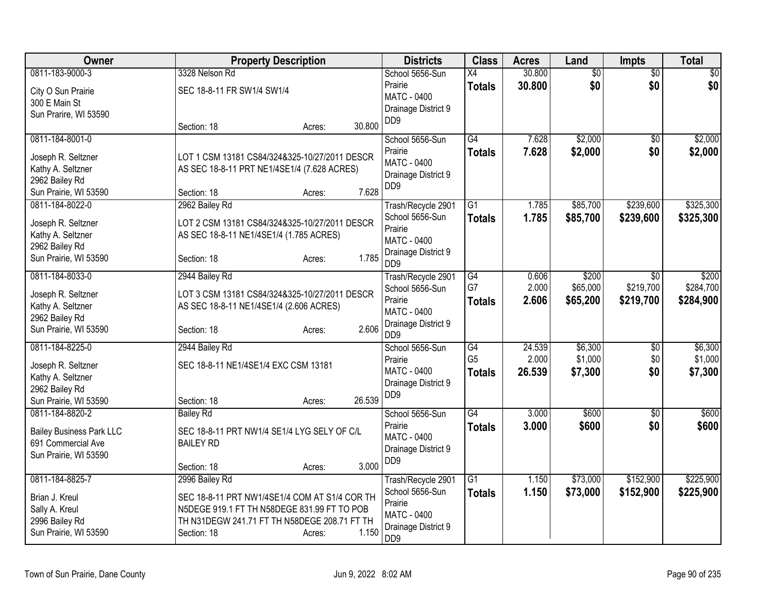| 0811-183-9000-3<br>30.800<br>$\overline{50}$<br>$\overline{50}$<br>3328 Nelson Rd<br>School 5656-Sun<br>$\overline{X4}$<br>$\overline{50}$<br>\$0 <br>Prairie<br>30.800<br>\$0<br>\$0<br><b>Totals</b><br>SEC 18-8-11 FR SW1/4 SW1/4<br>City O Sun Prairie<br>MATC - 0400<br>300 E Main St<br>Drainage District 9<br>Sun Prarire, WI 53590<br>D <sub>D</sub> <sub>9</sub><br>30.800<br>Section: 18<br>Acres:<br>G4<br>\$2,000<br>\$2,000<br>0811-184-8001-0<br>School 5656-Sun<br>7.628<br>$\sqrt{6}$<br>7.628<br>\$2,000<br>\$0<br>Prairie<br>\$2,000<br><b>Totals</b> |
|-------------------------------------------------------------------------------------------------------------------------------------------------------------------------------------------------------------------------------------------------------------------------------------------------------------------------------------------------------------------------------------------------------------------------------------------------------------------------------------------------------------------------------------------------------------------------|
|                                                                                                                                                                                                                                                                                                                                                                                                                                                                                                                                                                         |
|                                                                                                                                                                                                                                                                                                                                                                                                                                                                                                                                                                         |
|                                                                                                                                                                                                                                                                                                                                                                                                                                                                                                                                                                         |
|                                                                                                                                                                                                                                                                                                                                                                                                                                                                                                                                                                         |
|                                                                                                                                                                                                                                                                                                                                                                                                                                                                                                                                                                         |
|                                                                                                                                                                                                                                                                                                                                                                                                                                                                                                                                                                         |
| Joseph R. Seltzner<br>LOT 1 CSM 13181 CS84/324&325-10/27/2011 DESCR                                                                                                                                                                                                                                                                                                                                                                                                                                                                                                     |
| MATC - 0400<br>Kathy A. Seltzner<br>AS SEC 18-8-11 PRT NE1/4SE1/4 (7.628 ACRES)                                                                                                                                                                                                                                                                                                                                                                                                                                                                                         |
| Drainage District 9<br>2962 Bailey Rd                                                                                                                                                                                                                                                                                                                                                                                                                                                                                                                                   |
| D <sub>D</sub> <sub>9</sub><br>7.628<br>Sun Prairie, WI 53590<br>Section: 18<br>Acres:                                                                                                                                                                                                                                                                                                                                                                                                                                                                                  |
| 2962 Bailey Rd<br>\$239,600<br>\$325,300<br>0811-184-8022-0<br>$\overline{G1}$<br>1.785<br>\$85,700<br>Trash/Recycle 2901                                                                                                                                                                                                                                                                                                                                                                                                                                               |
| School 5656-Sun<br>1.785<br>\$85,700<br>\$239,600<br>\$325,300<br><b>Totals</b>                                                                                                                                                                                                                                                                                                                                                                                                                                                                                         |
| Joseph R. Seltzner<br>LOT 2 CSM 13181 CS84/324&325-10/27/2011 DESCR<br>Prairie                                                                                                                                                                                                                                                                                                                                                                                                                                                                                          |
| Kathy A. Seltzner<br>AS SEC 18-8-11 NE1/4SE1/4 (1.785 ACRES)<br><b>MATC - 0400</b>                                                                                                                                                                                                                                                                                                                                                                                                                                                                                      |
| 2962 Bailey Rd<br>Drainage District 9<br>1.785                                                                                                                                                                                                                                                                                                                                                                                                                                                                                                                          |
| Sun Prairie, WI 53590<br>Section: 18<br>Acres:<br>DD <sub>9</sub>                                                                                                                                                                                                                                                                                                                                                                                                                                                                                                       |
| 0811-184-8033-0<br>G4<br>\$200<br>\$200<br>2944 Bailey Rd<br>0.606<br>$\overline{50}$<br>Trash/Recycle 2901                                                                                                                                                                                                                                                                                                                                                                                                                                                             |
| G7<br>\$219,700<br>2.000<br>\$65,000<br>\$284,700<br>School 5656-Sun<br>LOT 3 CSM 13181 CS84/324&325-10/27/2011 DESCR<br>Joseph R. Seltzner                                                                                                                                                                                                                                                                                                                                                                                                                             |
| Prairie<br>2.606<br>\$65,200<br>\$219,700<br>\$284,900<br><b>Totals</b><br>Kathy A. Seltzner<br>AS SEC 18-8-11 NE1/4SE1/4 (2.606 ACRES)                                                                                                                                                                                                                                                                                                                                                                                                                                 |
| MATC - 0400<br>2962 Bailey Rd                                                                                                                                                                                                                                                                                                                                                                                                                                                                                                                                           |
| Drainage District 9<br>2.606<br>Sun Prairie, WI 53590<br>Section: 18<br>Acres:                                                                                                                                                                                                                                                                                                                                                                                                                                                                                          |
| D <sub>D</sub> <sub>9</sub>                                                                                                                                                                                                                                                                                                                                                                                                                                                                                                                                             |
| $\overline{G4}$<br>24.539<br>\$6,300<br>\$6,300<br>0811-184-8225-0<br>2944 Bailey Rd<br>School 5656-Sun<br>$\overline{50}$                                                                                                                                                                                                                                                                                                                                                                                                                                              |
| G <sub>5</sub><br>2.000<br>\$1,000<br>\$0<br>\$1,000<br>Prairie<br>SEC 18-8-11 NE1/4SE1/4 EXC CSM 13181<br>Joseph R. Seltzner                                                                                                                                                                                                                                                                                                                                                                                                                                           |
| MATC - 0400<br>26.539<br>\$7,300<br><b>Totals</b><br>\$7,300<br>\$0<br>Kathy A. Seltzner                                                                                                                                                                                                                                                                                                                                                                                                                                                                                |
| Drainage District 9<br>2962 Bailey Rd                                                                                                                                                                                                                                                                                                                                                                                                                                                                                                                                   |
| DD <sub>9</sub><br>26.539<br>Sun Prairie, WI 53590<br>Section: 18<br>Acres:                                                                                                                                                                                                                                                                                                                                                                                                                                                                                             |
| $\overline{G4}$<br>3.000<br>0811-184-8820-2<br>School 5656-Sun<br>\$600<br>\$600<br><b>Bailey Rd</b><br>$\overline{50}$                                                                                                                                                                                                                                                                                                                                                                                                                                                 |
| 3.000<br>\$600<br>Prairie<br>\$600<br>\$0<br><b>Totals</b><br><b>Bailey Business Park LLC</b><br>SEC 18-8-11 PRT NW1/4 SE1/4 LYG SELY OF C/L                                                                                                                                                                                                                                                                                                                                                                                                                            |
| MATC - 0400<br>691 Commercial Ave<br><b>BAILEY RD</b>                                                                                                                                                                                                                                                                                                                                                                                                                                                                                                                   |
| Drainage District 9                                                                                                                                                                                                                                                                                                                                                                                                                                                                                                                                                     |
| Sun Prairie, WI 53590<br>DD <sub>9</sub><br>3.000<br>Section: 18                                                                                                                                                                                                                                                                                                                                                                                                                                                                                                        |
| Acres:<br>$\overline{G1}$<br>\$152,900<br>\$225,900<br>0811-184-8825-7<br>Trash/Recycle 2901<br>1.150<br>\$73,000<br>2996 Bailey Rd                                                                                                                                                                                                                                                                                                                                                                                                                                     |
| School 5656-Sun<br><b>Totals</b><br>1.150<br>\$73,000<br>\$152,900<br>\$225,900                                                                                                                                                                                                                                                                                                                                                                                                                                                                                         |
| Brian J. Kreul<br>SEC 18-8-11 PRT NW1/4SE1/4 COM AT S1/4 COR TH<br>Prairie                                                                                                                                                                                                                                                                                                                                                                                                                                                                                              |
| Sally A. Kreul<br>N5DEGE 919.1 FT TH N58DEGE 831.99 FT TO POB<br><b>MATC - 0400</b>                                                                                                                                                                                                                                                                                                                                                                                                                                                                                     |
| TH N31DEGW 241.71 FT TH N58DEGE 208.71 FT TH<br>2996 Bailey Rd<br>Drainage District 9                                                                                                                                                                                                                                                                                                                                                                                                                                                                                   |
| Sun Prairie, WI 53590<br>1.150<br>Section: 18<br>Acres:<br>DD <sub>9</sub>                                                                                                                                                                                                                                                                                                                                                                                                                                                                                              |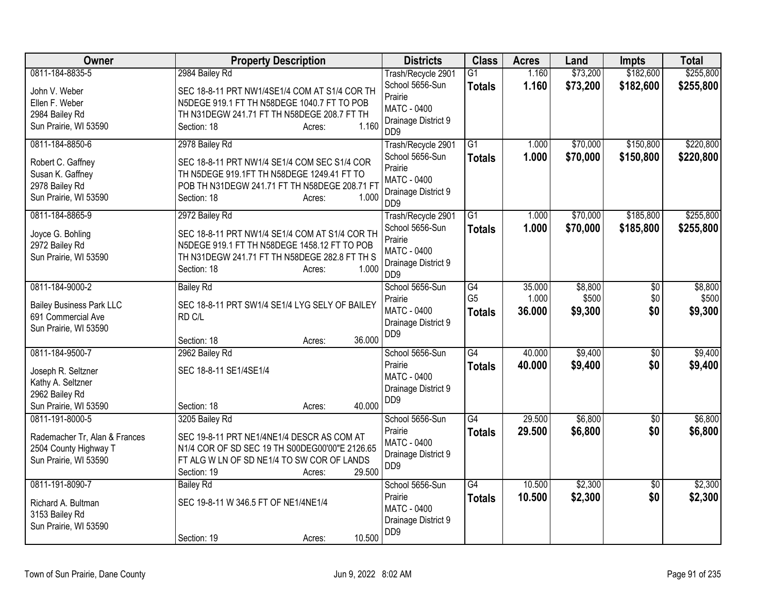| \$182,600<br>\$255,800<br>0811-184-8835-5<br>\$73,200<br>2984 Bailey Rd<br>$\overline{G1}$<br>1.160<br>Trash/Recycle 2901<br>School 5656-Sun<br>1.160<br>\$73,200<br>\$182,600<br>\$255,800<br><b>Totals</b><br>John V. Weber<br>SEC 18-8-11 PRT NW1/4SE1/4 COM AT S1/4 COR TH<br>Prairie<br>Ellen F. Weber<br>N5DEGE 919.1 FT TH N58DEGE 1040.7 FT TO POB<br><b>MATC - 0400</b><br>2984 Bailey Rd<br>TH N31DEGW 241.71 FT TH N58DEGE 208.7 FT TH<br>Drainage District 9<br>1.160<br>Sun Prairie, WI 53590<br>Section: 18<br>Acres:<br>D <sub>D</sub> <sub>9</sub><br>0811-184-8850-6<br>\$70,000<br>\$150,800<br>2978 Bailey Rd<br>$\overline{G1}$<br>1.000<br>Trash/Recycle 2901<br>School 5656-Sun<br>\$70,000<br>\$150,800<br>1.000<br>\$220,800<br><b>Totals</b><br>SEC 18-8-11 PRT NW1/4 SE1/4 COM SEC S1/4 COR<br>Robert C. Gaffney<br>Prairie<br>TH N5DEGE 919.1FT TH N58DEGE 1249.41 FT TO<br>Susan K. Gaffney<br><b>MATC - 0400</b><br>2978 Bailey Rd<br>POB TH N31DEGW 241.71 FT TH N58DEGE 208.71 FT<br>Drainage District 9<br>Sun Prairie, WI 53590<br>1.000<br>Section: 18<br>Acres:<br>D <sub>D</sub> <sub>9</sub><br>G1<br>\$70,000<br>\$185,800<br>0811-184-8865-9<br>2972 Bailey Rd<br>Trash/Recycle 2901<br>1.000<br>School 5656-Sun<br>1.000<br><b>Totals</b><br>\$70,000<br>\$185,800<br>\$255,800<br>SEC 18-8-11 PRT NW1/4 SE1/4 COM AT S1/4 COR TH<br>Joyce G. Bohling<br>Prairie<br>2972 Bailey Rd<br>N5DEGE 919.1 FT TH N58DEGE 1458.12 FT TO POB<br><b>MATC - 0400</b><br>Sun Prairie, WI 53590<br>TH N31DEGW 241.71 FT TH N58DEGE 282.8 FT TH S<br>Drainage District 9<br>1.000<br>Section: 18<br>Acres:<br>D <sub>D</sub> <sub>9</sub><br>\$8,800<br>0811-184-9000-2<br><b>Bailey Rd</b><br>School 5656-Sun<br>$\overline{G4}$<br>35.000<br>$\overline{50}$<br>G <sub>5</sub><br>1.000<br>\$500<br>\$0<br>Prairie<br>SEC 18-8-11 PRT SW1/4 SE1/4 LYG SELY OF BAILEY<br><b>Bailey Business Park LLC</b><br><b>MATC - 0400</b><br>36.000<br>\$0<br>\$9,300<br>\$9,300<br><b>Totals</b><br>691 Commercial Ave<br>RD C/L<br>Drainage District 9<br>Sun Prairie, WI 53590<br>DD <sub>9</sub><br>36.000<br>Section: 18<br>Acres:<br>0811-184-9500-7<br>G4<br>40.000<br>\$9,400<br>2962 Bailey Rd<br>School 5656-Sun<br>$\overline{50}$<br>Prairie<br>40.000<br>\$9,400<br>\$0<br>\$9,400<br><b>Totals</b><br>SEC 18-8-11 SE1/4SE1/4<br>Joseph R. Seltzner<br>MATC - 0400<br>Kathy A. Seltzner<br>Drainage District 9<br>2962 Bailey Rd<br>DD <sub>9</sub><br>40.000<br>Sun Prairie, WI 53590<br>Section: 18<br>Acres:<br>G4<br>29.500<br>\$6,800<br>0811-191-8000-5<br>3205 Bailey Rd<br>School 5656-Sun<br>$\overline{50}$<br>Prairie<br>29.500<br>\$6,800<br>\$0<br>\$6,800<br><b>Totals</b><br>Rademacher Tr, Alan & Frances<br>SEC 19-8-11 PRT NE1/4NE1/4 DESCR AS COM AT<br><b>MATC - 0400</b><br>2504 County Highway T<br>N1/4 COR OF SD SEC 19 TH S00DEG00'00"E 2126.65<br>Drainage District 9<br>Sun Prairie, WI 53590<br>FT ALG W LN OF SD NE1/4 TO SW COR OF LANDS<br>D <sub>D</sub> <sub>9</sub><br>29.500<br>Section: 19<br>Acres:<br>0811-191-8090-7<br>G4<br>10.500<br>\$2,300<br>School 5656-Sun<br>$\overline{50}$<br><b>Bailey Rd</b><br>Prairie<br>\$2,300<br>\$0<br>10.500<br>\$2,300<br><b>Totals</b><br>SEC 19-8-11 W 346.5 FT OF NE1/4NE1/4<br>Richard A. Bultman<br><b>MATC - 0400</b><br>3153 Bailey Rd<br>Drainage District 9<br>Sun Prairie, WI 53590<br>D <sub>D</sub> <sub>9</sub> | <b>Owner</b> | <b>Property Description</b>     | <b>Districts</b> | <b>Class</b> | <b>Acres</b> | Land | <b>Impts</b> | <b>Total</b> |
|--------------------------------------------------------------------------------------------------------------------------------------------------------------------------------------------------------------------------------------------------------------------------------------------------------------------------------------------------------------------------------------------------------------------------------------------------------------------------------------------------------------------------------------------------------------------------------------------------------------------------------------------------------------------------------------------------------------------------------------------------------------------------------------------------------------------------------------------------------------------------------------------------------------------------------------------------------------------------------------------------------------------------------------------------------------------------------------------------------------------------------------------------------------------------------------------------------------------------------------------------------------------------------------------------------------------------------------------------------------------------------------------------------------------------------------------------------------------------------------------------------------------------------------------------------------------------------------------------------------------------------------------------------------------------------------------------------------------------------------------------------------------------------------------------------------------------------------------------------------------------------------------------------------------------------------------------------------------------------------------------------------------------------------------------------------------------------------------------------------------------------------------------------------------------------------------------------------------------------------------------------------------------------------------------------------------------------------------------------------------------------------------------------------------------------------------------------------------------------------------------------------------------------------------------------------------------------------------------------------------------------------------------------------------------------------------------------------------------------------------------------------------------------------------------------------------------------------------------------------------------------------------------------------------------------------------------------------------------------------------------------------------------------------------------------------------------------------------------------------------------------------------------------------------------------------------------------------------------------------------------------------------------------------------------------------------------------------------------------------------------------------------------------------------------------------|--------------|---------------------------------|------------------|--------------|--------------|------|--------------|--------------|
|                                                                                                                                                                                                                                                                                                                                                                                                                                                                                                                                                                                                                                                                                                                                                                                                                                                                                                                                                                                                                                                                                                                                                                                                                                                                                                                                                                                                                                                                                                                                                                                                                                                                                                                                                                                                                                                                                                                                                                                                                                                                                                                                                                                                                                                                                                                                                                                                                                                                                                                                                                                                                                                                                                                                                                                                                                                                                                                                                                                                                                                                                                                                                                                                                                                                                                                                                                                                                                      |              |                                 |                  |              |              |      |              |              |
|                                                                                                                                                                                                                                                                                                                                                                                                                                                                                                                                                                                                                                                                                                                                                                                                                                                                                                                                                                                                                                                                                                                                                                                                                                                                                                                                                                                                                                                                                                                                                                                                                                                                                                                                                                                                                                                                                                                                                                                                                                                                                                                                                                                                                                                                                                                                                                                                                                                                                                                                                                                                                                                                                                                                                                                                                                                                                                                                                                                                                                                                                                                                                                                                                                                                                                                                                                                                                                      |              |                                 |                  |              |              |      |              |              |
| \$220,800<br>\$255,800<br>\$8,800<br>\$500<br>\$9,400<br>\$6,800<br>\$2,300                                                                                                                                                                                                                                                                                                                                                                                                                                                                                                                                                                                                                                                                                                                                                                                                                                                                                                                                                                                                                                                                                                                                                                                                                                                                                                                                                                                                                                                                                                                                                                                                                                                                                                                                                                                                                                                                                                                                                                                                                                                                                                                                                                                                                                                                                                                                                                                                                                                                                                                                                                                                                                                                                                                                                                                                                                                                                                                                                                                                                                                                                                                                                                                                                                                                                                                                                          |              |                                 |                  |              |              |      |              |              |
|                                                                                                                                                                                                                                                                                                                                                                                                                                                                                                                                                                                                                                                                                                                                                                                                                                                                                                                                                                                                                                                                                                                                                                                                                                                                                                                                                                                                                                                                                                                                                                                                                                                                                                                                                                                                                                                                                                                                                                                                                                                                                                                                                                                                                                                                                                                                                                                                                                                                                                                                                                                                                                                                                                                                                                                                                                                                                                                                                                                                                                                                                                                                                                                                                                                                                                                                                                                                                                      |              |                                 |                  |              |              |      |              |              |
|                                                                                                                                                                                                                                                                                                                                                                                                                                                                                                                                                                                                                                                                                                                                                                                                                                                                                                                                                                                                                                                                                                                                                                                                                                                                                                                                                                                                                                                                                                                                                                                                                                                                                                                                                                                                                                                                                                                                                                                                                                                                                                                                                                                                                                                                                                                                                                                                                                                                                                                                                                                                                                                                                                                                                                                                                                                                                                                                                                                                                                                                                                                                                                                                                                                                                                                                                                                                                                      |              |                                 |                  |              |              |      |              |              |
|                                                                                                                                                                                                                                                                                                                                                                                                                                                                                                                                                                                                                                                                                                                                                                                                                                                                                                                                                                                                                                                                                                                                                                                                                                                                                                                                                                                                                                                                                                                                                                                                                                                                                                                                                                                                                                                                                                                                                                                                                                                                                                                                                                                                                                                                                                                                                                                                                                                                                                                                                                                                                                                                                                                                                                                                                                                                                                                                                                                                                                                                                                                                                                                                                                                                                                                                                                                                                                      |              |                                 |                  |              |              |      |              |              |
|                                                                                                                                                                                                                                                                                                                                                                                                                                                                                                                                                                                                                                                                                                                                                                                                                                                                                                                                                                                                                                                                                                                                                                                                                                                                                                                                                                                                                                                                                                                                                                                                                                                                                                                                                                                                                                                                                                                                                                                                                                                                                                                                                                                                                                                                                                                                                                                                                                                                                                                                                                                                                                                                                                                                                                                                                                                                                                                                                                                                                                                                                                                                                                                                                                                                                                                                                                                                                                      |              |                                 |                  |              |              |      |              |              |
|                                                                                                                                                                                                                                                                                                                                                                                                                                                                                                                                                                                                                                                                                                                                                                                                                                                                                                                                                                                                                                                                                                                                                                                                                                                                                                                                                                                                                                                                                                                                                                                                                                                                                                                                                                                                                                                                                                                                                                                                                                                                                                                                                                                                                                                                                                                                                                                                                                                                                                                                                                                                                                                                                                                                                                                                                                                                                                                                                                                                                                                                                                                                                                                                                                                                                                                                                                                                                                      |              |                                 |                  |              |              |      |              |              |
|                                                                                                                                                                                                                                                                                                                                                                                                                                                                                                                                                                                                                                                                                                                                                                                                                                                                                                                                                                                                                                                                                                                                                                                                                                                                                                                                                                                                                                                                                                                                                                                                                                                                                                                                                                                                                                                                                                                                                                                                                                                                                                                                                                                                                                                                                                                                                                                                                                                                                                                                                                                                                                                                                                                                                                                                                                                                                                                                                                                                                                                                                                                                                                                                                                                                                                                                                                                                                                      |              |                                 |                  |              |              |      |              |              |
|                                                                                                                                                                                                                                                                                                                                                                                                                                                                                                                                                                                                                                                                                                                                                                                                                                                                                                                                                                                                                                                                                                                                                                                                                                                                                                                                                                                                                                                                                                                                                                                                                                                                                                                                                                                                                                                                                                                                                                                                                                                                                                                                                                                                                                                                                                                                                                                                                                                                                                                                                                                                                                                                                                                                                                                                                                                                                                                                                                                                                                                                                                                                                                                                                                                                                                                                                                                                                                      |              |                                 |                  |              |              |      |              |              |
|                                                                                                                                                                                                                                                                                                                                                                                                                                                                                                                                                                                                                                                                                                                                                                                                                                                                                                                                                                                                                                                                                                                                                                                                                                                                                                                                                                                                                                                                                                                                                                                                                                                                                                                                                                                                                                                                                                                                                                                                                                                                                                                                                                                                                                                                                                                                                                                                                                                                                                                                                                                                                                                                                                                                                                                                                                                                                                                                                                                                                                                                                                                                                                                                                                                                                                                                                                                                                                      |              |                                 |                  |              |              |      |              |              |
|                                                                                                                                                                                                                                                                                                                                                                                                                                                                                                                                                                                                                                                                                                                                                                                                                                                                                                                                                                                                                                                                                                                                                                                                                                                                                                                                                                                                                                                                                                                                                                                                                                                                                                                                                                                                                                                                                                                                                                                                                                                                                                                                                                                                                                                                                                                                                                                                                                                                                                                                                                                                                                                                                                                                                                                                                                                                                                                                                                                                                                                                                                                                                                                                                                                                                                                                                                                                                                      |              |                                 |                  |              |              |      |              |              |
|                                                                                                                                                                                                                                                                                                                                                                                                                                                                                                                                                                                                                                                                                                                                                                                                                                                                                                                                                                                                                                                                                                                                                                                                                                                                                                                                                                                                                                                                                                                                                                                                                                                                                                                                                                                                                                                                                                                                                                                                                                                                                                                                                                                                                                                                                                                                                                                                                                                                                                                                                                                                                                                                                                                                                                                                                                                                                                                                                                                                                                                                                                                                                                                                                                                                                                                                                                                                                                      |              |                                 |                  |              |              |      |              |              |
|                                                                                                                                                                                                                                                                                                                                                                                                                                                                                                                                                                                                                                                                                                                                                                                                                                                                                                                                                                                                                                                                                                                                                                                                                                                                                                                                                                                                                                                                                                                                                                                                                                                                                                                                                                                                                                                                                                                                                                                                                                                                                                                                                                                                                                                                                                                                                                                                                                                                                                                                                                                                                                                                                                                                                                                                                                                                                                                                                                                                                                                                                                                                                                                                                                                                                                                                                                                                                                      |              |                                 |                  |              |              |      |              |              |
|                                                                                                                                                                                                                                                                                                                                                                                                                                                                                                                                                                                                                                                                                                                                                                                                                                                                                                                                                                                                                                                                                                                                                                                                                                                                                                                                                                                                                                                                                                                                                                                                                                                                                                                                                                                                                                                                                                                                                                                                                                                                                                                                                                                                                                                                                                                                                                                                                                                                                                                                                                                                                                                                                                                                                                                                                                                                                                                                                                                                                                                                                                                                                                                                                                                                                                                                                                                                                                      |              |                                 |                  |              |              |      |              |              |
|                                                                                                                                                                                                                                                                                                                                                                                                                                                                                                                                                                                                                                                                                                                                                                                                                                                                                                                                                                                                                                                                                                                                                                                                                                                                                                                                                                                                                                                                                                                                                                                                                                                                                                                                                                                                                                                                                                                                                                                                                                                                                                                                                                                                                                                                                                                                                                                                                                                                                                                                                                                                                                                                                                                                                                                                                                                                                                                                                                                                                                                                                                                                                                                                                                                                                                                                                                                                                                      |              |                                 |                  |              |              |      |              |              |
|                                                                                                                                                                                                                                                                                                                                                                                                                                                                                                                                                                                                                                                                                                                                                                                                                                                                                                                                                                                                                                                                                                                                                                                                                                                                                                                                                                                                                                                                                                                                                                                                                                                                                                                                                                                                                                                                                                                                                                                                                                                                                                                                                                                                                                                                                                                                                                                                                                                                                                                                                                                                                                                                                                                                                                                                                                                                                                                                                                                                                                                                                                                                                                                                                                                                                                                                                                                                                                      |              |                                 |                  |              |              |      |              |              |
|                                                                                                                                                                                                                                                                                                                                                                                                                                                                                                                                                                                                                                                                                                                                                                                                                                                                                                                                                                                                                                                                                                                                                                                                                                                                                                                                                                                                                                                                                                                                                                                                                                                                                                                                                                                                                                                                                                                                                                                                                                                                                                                                                                                                                                                                                                                                                                                                                                                                                                                                                                                                                                                                                                                                                                                                                                                                                                                                                                                                                                                                                                                                                                                                                                                                                                                                                                                                                                      |              |                                 |                  |              |              |      |              |              |
|                                                                                                                                                                                                                                                                                                                                                                                                                                                                                                                                                                                                                                                                                                                                                                                                                                                                                                                                                                                                                                                                                                                                                                                                                                                                                                                                                                                                                                                                                                                                                                                                                                                                                                                                                                                                                                                                                                                                                                                                                                                                                                                                                                                                                                                                                                                                                                                                                                                                                                                                                                                                                                                                                                                                                                                                                                                                                                                                                                                                                                                                                                                                                                                                                                                                                                                                                                                                                                      |              |                                 |                  |              |              |      |              |              |
|                                                                                                                                                                                                                                                                                                                                                                                                                                                                                                                                                                                                                                                                                                                                                                                                                                                                                                                                                                                                                                                                                                                                                                                                                                                                                                                                                                                                                                                                                                                                                                                                                                                                                                                                                                                                                                                                                                                                                                                                                                                                                                                                                                                                                                                                                                                                                                                                                                                                                                                                                                                                                                                                                                                                                                                                                                                                                                                                                                                                                                                                                                                                                                                                                                                                                                                                                                                                                                      |              |                                 |                  |              |              |      |              |              |
|                                                                                                                                                                                                                                                                                                                                                                                                                                                                                                                                                                                                                                                                                                                                                                                                                                                                                                                                                                                                                                                                                                                                                                                                                                                                                                                                                                                                                                                                                                                                                                                                                                                                                                                                                                                                                                                                                                                                                                                                                                                                                                                                                                                                                                                                                                                                                                                                                                                                                                                                                                                                                                                                                                                                                                                                                                                                                                                                                                                                                                                                                                                                                                                                                                                                                                                                                                                                                                      |              |                                 |                  |              |              |      |              |              |
|                                                                                                                                                                                                                                                                                                                                                                                                                                                                                                                                                                                                                                                                                                                                                                                                                                                                                                                                                                                                                                                                                                                                                                                                                                                                                                                                                                                                                                                                                                                                                                                                                                                                                                                                                                                                                                                                                                                                                                                                                                                                                                                                                                                                                                                                                                                                                                                                                                                                                                                                                                                                                                                                                                                                                                                                                                                                                                                                                                                                                                                                                                                                                                                                                                                                                                                                                                                                                                      |              |                                 |                  |              |              |      |              |              |
|                                                                                                                                                                                                                                                                                                                                                                                                                                                                                                                                                                                                                                                                                                                                                                                                                                                                                                                                                                                                                                                                                                                                                                                                                                                                                                                                                                                                                                                                                                                                                                                                                                                                                                                                                                                                                                                                                                                                                                                                                                                                                                                                                                                                                                                                                                                                                                                                                                                                                                                                                                                                                                                                                                                                                                                                                                                                                                                                                                                                                                                                                                                                                                                                                                                                                                                                                                                                                                      |              |                                 |                  |              |              |      |              |              |
|                                                                                                                                                                                                                                                                                                                                                                                                                                                                                                                                                                                                                                                                                                                                                                                                                                                                                                                                                                                                                                                                                                                                                                                                                                                                                                                                                                                                                                                                                                                                                                                                                                                                                                                                                                                                                                                                                                                                                                                                                                                                                                                                                                                                                                                                                                                                                                                                                                                                                                                                                                                                                                                                                                                                                                                                                                                                                                                                                                                                                                                                                                                                                                                                                                                                                                                                                                                                                                      |              |                                 |                  |              |              |      |              |              |
|                                                                                                                                                                                                                                                                                                                                                                                                                                                                                                                                                                                                                                                                                                                                                                                                                                                                                                                                                                                                                                                                                                                                                                                                                                                                                                                                                                                                                                                                                                                                                                                                                                                                                                                                                                                                                                                                                                                                                                                                                                                                                                                                                                                                                                                                                                                                                                                                                                                                                                                                                                                                                                                                                                                                                                                                                                                                                                                                                                                                                                                                                                                                                                                                                                                                                                                                                                                                                                      |              |                                 |                  |              |              |      |              |              |
|                                                                                                                                                                                                                                                                                                                                                                                                                                                                                                                                                                                                                                                                                                                                                                                                                                                                                                                                                                                                                                                                                                                                                                                                                                                                                                                                                                                                                                                                                                                                                                                                                                                                                                                                                                                                                                                                                                                                                                                                                                                                                                                                                                                                                                                                                                                                                                                                                                                                                                                                                                                                                                                                                                                                                                                                                                                                                                                                                                                                                                                                                                                                                                                                                                                                                                                                                                                                                                      |              |                                 |                  |              |              |      |              |              |
|                                                                                                                                                                                                                                                                                                                                                                                                                                                                                                                                                                                                                                                                                                                                                                                                                                                                                                                                                                                                                                                                                                                                                                                                                                                                                                                                                                                                                                                                                                                                                                                                                                                                                                                                                                                                                                                                                                                                                                                                                                                                                                                                                                                                                                                                                                                                                                                                                                                                                                                                                                                                                                                                                                                                                                                                                                                                                                                                                                                                                                                                                                                                                                                                                                                                                                                                                                                                                                      |              |                                 |                  |              |              |      |              |              |
|                                                                                                                                                                                                                                                                                                                                                                                                                                                                                                                                                                                                                                                                                                                                                                                                                                                                                                                                                                                                                                                                                                                                                                                                                                                                                                                                                                                                                                                                                                                                                                                                                                                                                                                                                                                                                                                                                                                                                                                                                                                                                                                                                                                                                                                                                                                                                                                                                                                                                                                                                                                                                                                                                                                                                                                                                                                                                                                                                                                                                                                                                                                                                                                                                                                                                                                                                                                                                                      |              |                                 |                  |              |              |      |              |              |
|                                                                                                                                                                                                                                                                                                                                                                                                                                                                                                                                                                                                                                                                                                                                                                                                                                                                                                                                                                                                                                                                                                                                                                                                                                                                                                                                                                                                                                                                                                                                                                                                                                                                                                                                                                                                                                                                                                                                                                                                                                                                                                                                                                                                                                                                                                                                                                                                                                                                                                                                                                                                                                                                                                                                                                                                                                                                                                                                                                                                                                                                                                                                                                                                                                                                                                                                                                                                                                      |              |                                 |                  |              |              |      |              |              |
|                                                                                                                                                                                                                                                                                                                                                                                                                                                                                                                                                                                                                                                                                                                                                                                                                                                                                                                                                                                                                                                                                                                                                                                                                                                                                                                                                                                                                                                                                                                                                                                                                                                                                                                                                                                                                                                                                                                                                                                                                                                                                                                                                                                                                                                                                                                                                                                                                                                                                                                                                                                                                                                                                                                                                                                                                                                                                                                                                                                                                                                                                                                                                                                                                                                                                                                                                                                                                                      |              |                                 |                  |              |              |      |              |              |
|                                                                                                                                                                                                                                                                                                                                                                                                                                                                                                                                                                                                                                                                                                                                                                                                                                                                                                                                                                                                                                                                                                                                                                                                                                                                                                                                                                                                                                                                                                                                                                                                                                                                                                                                                                                                                                                                                                                                                                                                                                                                                                                                                                                                                                                                                                                                                                                                                                                                                                                                                                                                                                                                                                                                                                                                                                                                                                                                                                                                                                                                                                                                                                                                                                                                                                                                                                                                                                      |              |                                 |                  |              |              |      |              |              |
|                                                                                                                                                                                                                                                                                                                                                                                                                                                                                                                                                                                                                                                                                                                                                                                                                                                                                                                                                                                                                                                                                                                                                                                                                                                                                                                                                                                                                                                                                                                                                                                                                                                                                                                                                                                                                                                                                                                                                                                                                                                                                                                                                                                                                                                                                                                                                                                                                                                                                                                                                                                                                                                                                                                                                                                                                                                                                                                                                                                                                                                                                                                                                                                                                                                                                                                                                                                                                                      |              |                                 |                  |              |              |      |              |              |
|                                                                                                                                                                                                                                                                                                                                                                                                                                                                                                                                                                                                                                                                                                                                                                                                                                                                                                                                                                                                                                                                                                                                                                                                                                                                                                                                                                                                                                                                                                                                                                                                                                                                                                                                                                                                                                                                                                                                                                                                                                                                                                                                                                                                                                                                                                                                                                                                                                                                                                                                                                                                                                                                                                                                                                                                                                                                                                                                                                                                                                                                                                                                                                                                                                                                                                                                                                                                                                      |              |                                 |                  |              |              |      |              |              |
|                                                                                                                                                                                                                                                                                                                                                                                                                                                                                                                                                                                                                                                                                                                                                                                                                                                                                                                                                                                                                                                                                                                                                                                                                                                                                                                                                                                                                                                                                                                                                                                                                                                                                                                                                                                                                                                                                                                                                                                                                                                                                                                                                                                                                                                                                                                                                                                                                                                                                                                                                                                                                                                                                                                                                                                                                                                                                                                                                                                                                                                                                                                                                                                                                                                                                                                                                                                                                                      |              |                                 |                  |              |              |      |              |              |
|                                                                                                                                                                                                                                                                                                                                                                                                                                                                                                                                                                                                                                                                                                                                                                                                                                                                                                                                                                                                                                                                                                                                                                                                                                                                                                                                                                                                                                                                                                                                                                                                                                                                                                                                                                                                                                                                                                                                                                                                                                                                                                                                                                                                                                                                                                                                                                                                                                                                                                                                                                                                                                                                                                                                                                                                                                                                                                                                                                                                                                                                                                                                                                                                                                                                                                                                                                                                                                      |              |                                 |                  |              |              |      |              |              |
|                                                                                                                                                                                                                                                                                                                                                                                                                                                                                                                                                                                                                                                                                                                                                                                                                                                                                                                                                                                                                                                                                                                                                                                                                                                                                                                                                                                                                                                                                                                                                                                                                                                                                                                                                                                                                                                                                                                                                                                                                                                                                                                                                                                                                                                                                                                                                                                                                                                                                                                                                                                                                                                                                                                                                                                                                                                                                                                                                                                                                                                                                                                                                                                                                                                                                                                                                                                                                                      |              | 10.500<br>Section: 19<br>Acres: |                  |              |              |      |              |              |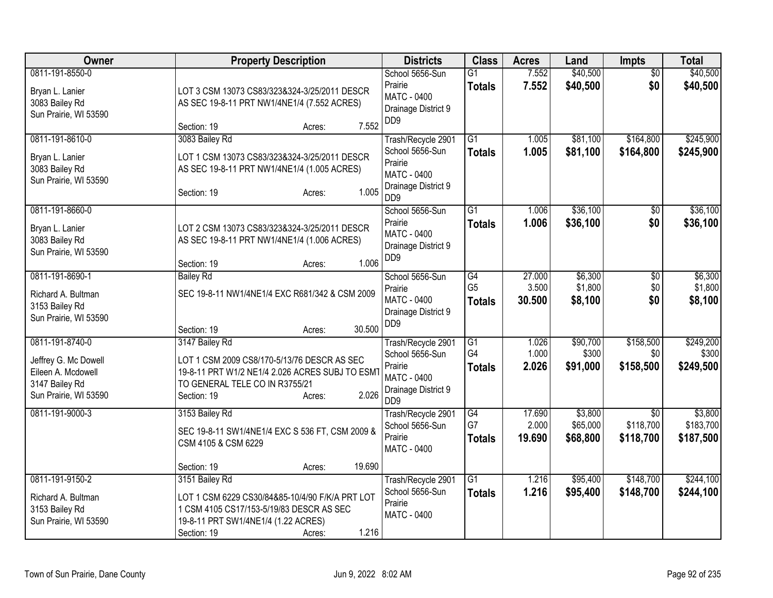| Owner                                                                                                    | <b>Property Description</b>                                                                                                                                                            | <b>Districts</b>                                                                                                             | <b>Class</b>                                       | <b>Acres</b>              | Land                            | <b>Impts</b>                              | <b>Total</b>                      |
|----------------------------------------------------------------------------------------------------------|----------------------------------------------------------------------------------------------------------------------------------------------------------------------------------------|------------------------------------------------------------------------------------------------------------------------------|----------------------------------------------------|---------------------------|---------------------------------|-------------------------------------------|-----------------------------------|
| 0811-191-8550-0<br>Bryan L. Lanier<br>3083 Bailey Rd<br>Sun Prairie, WI 53590                            | LOT 3 CSM 13073 CS83/323&324-3/25/2011 DESCR<br>AS SEC 19-8-11 PRT NW1/4NE1/4 (7.552 ACRES)<br>7.552<br>Section: 19<br>Acres:                                                          | School 5656-Sun<br>Prairie<br>MATC - 0400<br>Drainage District 9<br>DD <sub>9</sub>                                          | $\overline{G1}$<br><b>Totals</b>                   | 7.552<br>7.552            | \$40,500<br>\$40,500            | $\overline{50}$<br>\$0                    | \$40,500<br>\$40,500              |
| 0811-191-8610-0<br>Bryan L. Lanier<br>3083 Bailey Rd<br>Sun Prairie, WI 53590                            | 3083 Bailey Rd<br>LOT 1 CSM 13073 CS83/323&324-3/25/2011 DESCR<br>AS SEC 19-8-11 PRT NW1/4NE1/4 (1.005 ACRES)<br>1.005<br>Section: 19<br>Acres:                                        | Trash/Recycle 2901<br>School 5656-Sun<br>Prairie<br><b>MATC - 0400</b><br>Drainage District 9<br>D <sub>D</sub> <sub>9</sub> | $\overline{G1}$<br><b>Totals</b>                   | 1.005<br>1.005            | \$81,100<br>\$81,100            | \$164,800<br>\$164,800                    | \$245,900<br>\$245,900            |
| 0811-191-8660-0<br>Bryan L. Lanier<br>3083 Bailey Rd<br>Sun Prairie, WI 53590                            | LOT 2 CSM 13073 CS83/323&324-3/25/2011 DESCR<br>AS SEC 19-8-11 PRT NW1/4NE1/4 (1.006 ACRES)<br>1.006<br>Section: 19<br>Acres:                                                          | School 5656-Sun<br>Prairie<br>MATC - 0400<br>Drainage District 9<br>DD <sub>9</sub>                                          | $\overline{G1}$<br><b>Totals</b>                   | 1.006<br>1.006            | \$36,100<br>\$36,100            | $\overline{30}$<br>\$0                    | \$36,100<br>\$36,100              |
| 0811-191-8690-1<br>Richard A. Bultman<br>3153 Bailey Rd<br>Sun Prairie, WI 53590                         | <b>Bailey Rd</b><br>SEC 19-8-11 NW1/4NE1/4 EXC R681/342 & CSM 2009<br>30.500<br>Section: 19<br>Acres:                                                                                  | School 5656-Sun<br>Prairie<br><b>MATC - 0400</b><br>Drainage District 9<br>DD <sub>9</sub>                                   | $\overline{G4}$<br>G <sub>5</sub><br><b>Totals</b> | 27.000<br>3.500<br>30.500 | \$6,300<br>\$1,800<br>\$8,100   | $\overline{50}$<br>\$0<br>\$0             | \$6,300<br>\$1,800<br>\$8,100     |
| 0811-191-8740-0<br>Jeffrey G. Mc Dowell<br>Eileen A. Mcdowell<br>3147 Bailey Rd<br>Sun Prairie, WI 53590 | 3147 Bailey Rd<br>LOT 1 CSM 2009 CS8/170-5/13/76 DESCR AS SEC<br>19-8-11 PRT W1/2 NE1/4 2.026 ACRES SUBJ TO ESM1<br>TO GENERAL TELE CO IN R3755/21<br>2.026<br>Section: 19<br>Acres:   | Trash/Recycle 2901<br>School 5656-Sun<br>Prairie<br>MATC - 0400<br>Drainage District 9<br>D <sub>D</sub> <sub>9</sub>        | G1<br>G4<br><b>Totals</b>                          | 1.026<br>1.000<br>2.026   | \$90,700<br>\$300<br>\$91,000   | \$158,500<br>\$0<br>\$158,500             | \$249,200<br>\$300<br>\$249,500   |
| 0811-191-9000-3                                                                                          | 3153 Bailey Rd<br>SEC 19-8-11 SW1/4NE1/4 EXC S 536 FT, CSM 2009 &<br>CSM 4105 & CSM 6229<br>19.690<br>Section: 19<br>Acres:                                                            | Trash/Recycle 2901<br>School 5656-Sun<br>Prairie<br>MATC - 0400                                                              | $\overline{G4}$<br>G7<br><b>Totals</b>             | 17.690<br>2.000<br>19.690 | \$3,800<br>\$65,000<br>\$68,800 | $\overline{30}$<br>\$118,700<br>\$118,700 | \$3,800<br>\$183,700<br>\$187,500 |
| 0811-191-9150-2<br>Richard A. Bultman<br>3153 Bailey Rd<br>Sun Prairie, WI 53590                         | 3151 Bailey Rd<br>LOT 1 CSM 6229 CS30/84&85-10/4/90 F/K/A PRT LOT<br>1 CSM 4105 CS17/153-5/19/83 DESCR AS SEC<br>19-8-11 PRT SW1/4NE1/4 (1.22 ACRES)<br>1.216<br>Section: 19<br>Acres: | Trash/Recycle 2901<br>School 5656-Sun<br>Prairie<br>MATC - 0400                                                              | $\overline{G1}$<br><b>Totals</b>                   | 1.216<br>1.216            | \$95,400<br>\$95,400            | \$148,700<br>\$148,700                    | \$244,100<br>\$244,100            |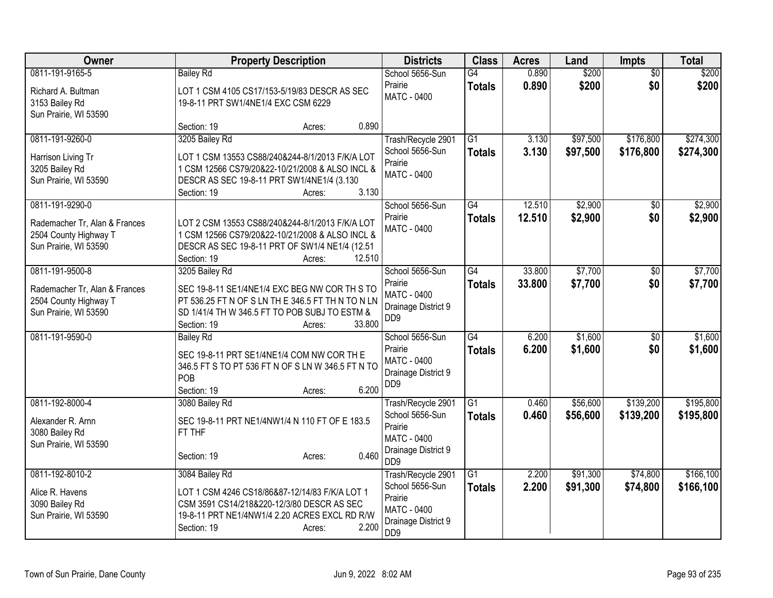| <b>Owner</b>                                                                                       | <b>Property Description</b>                                                                                                                                                                              | <b>Districts</b>                                                                                                             | <b>Class</b>                     | <b>Acres</b>     | Land                 | <b>Impts</b>           | <b>Total</b>            |
|----------------------------------------------------------------------------------------------------|----------------------------------------------------------------------------------------------------------------------------------------------------------------------------------------------------------|------------------------------------------------------------------------------------------------------------------------------|----------------------------------|------------------|----------------------|------------------------|-------------------------|
| 0811-191-9165-5<br>Richard A. Bultman<br>3153 Bailey Rd<br>Sun Prairie, WI 53590                   | <b>Bailey Rd</b><br>LOT 1 CSM 4105 CS17/153-5/19/83 DESCR AS SEC<br>19-8-11 PRT SW1/4NE1/4 EXC CSM 6229<br>0.890<br>Section: 19<br>Acres:                                                                | School 5656-Sun<br>Prairie<br><b>MATC - 0400</b>                                                                             | G4<br><b>Totals</b>              | 0.890<br>0.890   | \$200<br>\$200       | $\overline{50}$<br>\$0 | \$200<br>\$200          |
| 0811-191-9260-0<br>Harrison Living Tr<br>3205 Bailey Rd<br>Sun Prairie, WI 53590                   | 3205 Bailey Rd<br>LOT 1 CSM 13553 CS88/240&244-8/1/2013 F/K/A LOT<br>1 CSM 12566 CS79/20&22-10/21/2008 & ALSO INCL &<br>DESCR AS SEC 19-8-11 PRT SW1/4NE1/4 (3.130<br>3.130<br>Section: 19<br>Acres:     | Trash/Recycle 2901<br>School 5656-Sun<br>Prairie<br><b>MATC - 0400</b>                                                       | $\overline{G1}$<br><b>Totals</b> | 3.130<br>3.130   | \$97,500<br>\$97,500 | \$176,800<br>\$176,800 | \$274,300<br>\$274,300  |
| 0811-191-9290-0<br>Rademacher Tr, Alan & Frances<br>2504 County Highway T<br>Sun Prairie, WI 53590 | LOT 2 CSM 13553 CS88/240&244-8/1/2013 F/K/A LOT<br>1 CSM 12566 CS79/20&22-10/21/2008 & ALSO INCL &<br>DESCR AS SEC 19-8-11 PRT OF SW1/4 NE1/4 (12.51<br>12.510<br>Section: 19<br>Acres:                  | School 5656-Sun<br>Prairie<br><b>MATC - 0400</b>                                                                             | G4<br><b>Totals</b>              | 12.510<br>12.510 | \$2,900<br>\$2,900   | $\overline{50}$<br>\$0 | \$2,900<br>\$2,900      |
| 0811-191-9500-8<br>Rademacher Tr, Alan & Frances<br>2504 County Highway T<br>Sun Prairie, WI 53590 | 3205 Bailey Rd<br>SEC 19-8-11 SE1/4NE1/4 EXC BEG NW COR TH S TO<br>PT 536.25 FT N OF S LN TH E 346.5 FT TH N TO N LN<br>SD 1/41/4 TH W 346.5 FT TO POB SUBJ TO ESTM &<br>33.800<br>Section: 19<br>Acres: | School 5656-Sun<br>Prairie<br><b>MATC - 0400</b><br>Drainage District 9<br>D <sub>D</sub> <sub>9</sub>                       | $\overline{G4}$<br><b>Totals</b> | 33.800<br>33.800 | \$7,700<br>\$7,700   | \$0<br>\$0             | \$7,700<br>\$7,700      |
| 0811-191-9590-0                                                                                    | <b>Bailey Rd</b><br>SEC 19-8-11 PRT SE1/4NE1/4 COM NW COR TH E<br>346.5 FT S TO PT 536 FT N OF S LN W 346.5 FT N TO<br>POB<br>6.200<br>Section: 19<br>Acres:                                             | School 5656-Sun<br>Prairie<br><b>MATC - 0400</b><br>Drainage District 9<br>DD <sub>9</sub>                                   | $\overline{G4}$<br><b>Totals</b> | 6.200<br>6.200   | \$1,600<br>\$1,600   | $\overline{50}$<br>\$0 | \$1,600<br>\$1,600      |
| 0811-192-8000-4<br>Alexander R. Arnn<br>3080 Bailey Rd<br>Sun Prairie, WI 53590                    | 3080 Bailey Rd<br>SEC 19-8-11 PRT NE1/4NW1/4 N 110 FT OF E 183.5<br>FT THF<br>0.460<br>Section: 19<br>Acres:                                                                                             | Trash/Recycle 2901<br>School 5656-Sun<br>Prairie<br><b>MATC - 0400</b><br>Drainage District 9<br>D <sub>D</sub> <sub>9</sub> | $\overline{G1}$<br><b>Totals</b> | 0.460<br>0.460   | \$56,600<br>\$56,600 | \$139,200<br>\$139,200 | \$195,800<br>\$195,800  |
| 0811-192-8010-2<br>Alice R. Havens<br>3090 Bailey Rd<br>Sun Prairie, WI 53590                      | 3084 Bailey Rd<br>LOT 1 CSM 4246 CS18/86&87-12/14/83 F/K/A LOT 1<br>CSM 3591 CS14/218&220-12/3/80 DESCR AS SEC<br>19-8-11 PRT NE1/4NW1/4 2.20 ACRES EXCL RD R/W<br>2.200<br>Section: 19<br>Acres:        | Trash/Recycle 2901<br>School 5656-Sun<br>Prairie<br><b>MATC - 0400</b><br>Drainage District 9<br>DD <sub>9</sub>             | G1<br><b>Totals</b>              | 2.200<br>2.200   | \$91,300<br>\$91,300 | \$74,800<br>\$74,800   | \$166, 100<br>\$166,100 |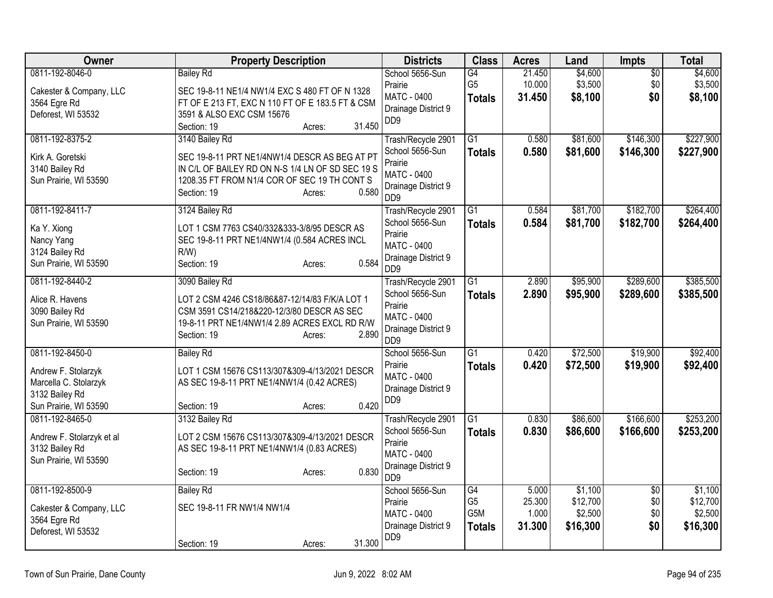| Owner                     | <b>Property Description</b>                      | <b>Districts</b>                       | <b>Class</b>    | <b>Acres</b> | Land     | Impts           | <b>Total</b> |
|---------------------------|--------------------------------------------------|----------------------------------------|-----------------|--------------|----------|-----------------|--------------|
| 0811-192-8046-0           | <b>Bailey Rd</b>                                 | School 5656-Sun                        | G4              | 21.450       | \$4,600  | $\overline{50}$ | \$4,600      |
| Cakester & Company, LLC   | SEC 19-8-11 NE1/4 NW1/4 EXC S 480 FT OF N 1328   | Prairie                                | G <sub>5</sub>  | 10.000       | \$3,500  | \$0             | \$3,500      |
| 3564 Egre Rd              | FT OF E 213 FT, EXC N 110 FT OF E 183.5 FT & CSM | MATC - 0400<br>Drainage District 9     | <b>Totals</b>   | 31.450       | \$8,100  | \$0             | \$8,100      |
| Deforest, WI 53532        | 3591 & ALSO EXC CSM 15676                        | DD <sub>9</sub>                        |                 |              |          |                 |              |
|                           | 31.450<br>Section: 19<br>Acres:                  |                                        |                 |              |          |                 |              |
| 0811-192-8375-2           | 3140 Bailey Rd                                   | Trash/Recycle 2901                     | $\overline{G1}$ | 0.580        | \$81,600 | \$146,300       | \$227,900    |
| Kirk A. Goretski          | SEC 19-8-11 PRT NE1/4NW1/4 DESCR AS BEG AT PT    | School 5656-Sun<br>Prairie             | <b>Totals</b>   | 0.580        | \$81,600 | \$146,300       | \$227,900    |
| 3140 Bailey Rd            | IN C/L OF BAILEY RD ON N-S 1/4 LN OF SD SEC 19 S | <b>MATC - 0400</b>                     |                 |              |          |                 |              |
| Sun Prairie, WI 53590     | 1208.35 FT FROM N1/4 COR OF SEC 19 TH CONT S     | Drainage District 9                    |                 |              |          |                 |              |
|                           | 0.580<br>Section: 19<br>Acres:                   | D <sub>D</sub> <sub>9</sub>            |                 |              |          |                 |              |
| 0811-192-8411-7           | 3124 Bailey Rd                                   | Trash/Recycle 2901                     | $\overline{G1}$ | 0.584        | \$81,700 | \$182,700       | \$264,400    |
| Ka Y. Xiong               | LOT 1 CSM 7763 CS40/332&333-3/8/95 DESCR AS      | School 5656-Sun                        | <b>Totals</b>   | 0.584        | \$81,700 | \$182,700       | \$264,400    |
| Nancy Yang                | SEC 19-8-11 PRT NE1/4NW1/4 (0.584 ACRES INCL     | Prairie<br><b>MATC - 0400</b>          |                 |              |          |                 |              |
| 3124 Bailey Rd            | $R/W$ )                                          | Drainage District 9                    |                 |              |          |                 |              |
| Sun Prairie, WI 53590     | 0.584<br>Section: 19<br>Acres:                   | D <sub>D</sub> <sub>9</sub>            |                 |              |          |                 |              |
| 0811-192-8440-2           | 3090 Bailey Rd                                   | Trash/Recycle 2901                     | G1              | 2.890        | \$95,900 | \$289,600       | \$385,500    |
| Alice R. Havens           | LOT 2 CSM 4246 CS18/86&87-12/14/83 F/K/A LOT 1   | School 5656-Sun                        | <b>Totals</b>   | 2.890        | \$95,900 | \$289,600       | \$385,500    |
| 3090 Bailey Rd            | CSM 3591 CS14/218&220-12/3/80 DESCR AS SEC       | Prairie                                |                 |              |          |                 |              |
| Sun Prairie, WI 53590     | 19-8-11 PRT NE1/4NW1/4 2.89 ACRES EXCL RD R/W    | MATC - 0400<br>Drainage District 9     |                 |              |          |                 |              |
|                           | Section: 19<br>2.890<br>Acres:                   | D <sub>D</sub> <sub>9</sub>            |                 |              |          |                 |              |
| 0811-192-8450-0           | <b>Bailey Rd</b>                                 | School 5656-Sun                        | $\overline{G1}$ | 0.420        | \$72,500 | \$19,900        | \$92,400     |
| Andrew F. Stolarzyk       | LOT 1 CSM 15676 CS113/307&309-4/13/2021 DESCR    | Prairie                                | <b>Totals</b>   | 0.420        | \$72,500 | \$19,900        | \$92,400     |
| Marcella C. Stolarzyk     | AS SEC 19-8-11 PRT NE1/4NW1/4 (0.42 ACRES)       | MATC - 0400                            |                 |              |          |                 |              |
| 3132 Bailey Rd            |                                                  | Drainage District 9<br>DD <sub>9</sub> |                 |              |          |                 |              |
| Sun Prairie, WI 53590     | 0.420<br>Section: 19<br>Acres:                   |                                        |                 |              |          |                 |              |
| 0811-192-8465-0           | 3132 Bailey Rd                                   | Trash/Recycle 2901                     | $\overline{G1}$ | 0.830        | \$86,600 | \$166,600       | \$253,200    |
| Andrew F. Stolarzyk et al | LOT 2 CSM 15676 CS113/307&309-4/13/2021 DESCR    | School 5656-Sun                        | <b>Totals</b>   | 0.830        | \$86,600 | \$166,600       | \$253,200    |
| 3132 Bailey Rd            | AS SEC 19-8-11 PRT NE1/4NW1/4 (0.83 ACRES)       | Prairie<br><b>MATC - 0400</b>          |                 |              |          |                 |              |
| Sun Prairie, WI 53590     |                                                  | Drainage District 9                    |                 |              |          |                 |              |
|                           | 0.830<br>Section: 19<br>Acres:                   | D <sub>D</sub> <sub>9</sub>            |                 |              |          |                 |              |
| 0811-192-8500-9           | <b>Bailey Rd</b>                                 | School 5656-Sun                        | $\overline{G4}$ | 5.000        | \$1,100  | $\overline{50}$ | \$1,100      |
| Cakester & Company, LLC   | SEC 19-8-11 FR NW1/4 NW1/4                       | Prairie                                | G <sub>5</sub>  | 25.300       | \$12,700 | \$0             | \$12,700     |
| 3564 Egre Rd              |                                                  | <b>MATC - 0400</b>                     | G5M             | 1.000        | \$2,500  | \$0             | \$2,500      |
| Deforest, WI 53532        |                                                  | Drainage District 9<br>DD <sub>9</sub> | <b>Totals</b>   | 31.300       | \$16,300 | \$0             | \$16,300     |
|                           | 31.300<br>Section: 19<br>Acres:                  |                                        |                 |              |          |                 |              |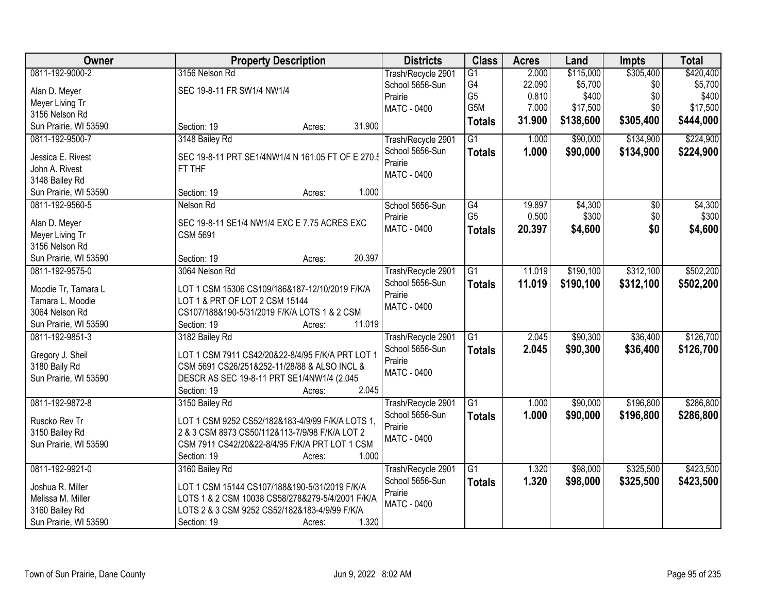| Owner                 | <b>Property Description</b>                       | <b>Districts</b>   | <b>Class</b>    | <b>Acres</b> | Land      | <b>Impts</b>    | <b>Total</b> |
|-----------------------|---------------------------------------------------|--------------------|-----------------|--------------|-----------|-----------------|--------------|
| 0811-192-9000-2       | 3156 Nelson Rd                                    | Trash/Recycle 2901 | $\overline{G1}$ | 2.000        | \$115,000 | \$305,400       | \$420,400    |
| Alan D. Meyer         | SEC 19-8-11 FR SW1/4 NW1/4                        | School 5656-Sun    | G4              | 22.090       | \$5,700   | \$0             | \$5,700      |
| Meyer Living Tr       |                                                   | Prairie            | G <sub>5</sub>  | 0.810        | \$400     | \$0             | \$400        |
| 3156 Nelson Rd        |                                                   | <b>MATC - 0400</b> | G5M             | 7.000        | \$17,500  | \$0             | \$17,500     |
| Sun Prairie, WI 53590 | 31.900<br>Section: 19<br>Acres:                   |                    | <b>Totals</b>   | 31.900       | \$138,600 | \$305,400       | \$444,000    |
| 0811-192-9500-7       | 3148 Bailey Rd                                    | Trash/Recycle 2901 | $\overline{G1}$ | 1.000        | \$90,000  | \$134,900       | \$224,900    |
|                       |                                                   | School 5656-Sun    | <b>Totals</b>   | 1.000        | \$90,000  | \$134,900       | \$224,900    |
| Jessica E. Rivest     | SEC 19-8-11 PRT SE1/4NW1/4 N 161.05 FT OF E 270.5 | Prairie            |                 |              |           |                 |              |
| John A. Rivest        | FT THF                                            | <b>MATC - 0400</b> |                 |              |           |                 |              |
| 3148 Bailey Rd        |                                                   |                    |                 |              |           |                 |              |
| Sun Prairie, WI 53590 | 1.000<br>Section: 19<br>Acres:                    |                    |                 |              |           |                 |              |
| 0811-192-9560-5       | Nelson Rd                                         | School 5656-Sun    | $\overline{G4}$ | 19.897       | \$4,300   | $\overline{50}$ | \$4,300      |
| Alan D. Meyer         | SEC 19-8-11 SE1/4 NW1/4 EXC E 7.75 ACRES EXC      | Prairie            | G <sub>5</sub>  | 0.500        | \$300     | \$0             | \$300        |
| Meyer Living Tr       | <b>CSM 5691</b>                                   | MATC - 0400        | <b>Totals</b>   | 20.397       | \$4,600   | \$0             | \$4,600      |
| 3156 Nelson Rd        |                                                   |                    |                 |              |           |                 |              |
| Sun Prairie, WI 53590 | 20.397<br>Section: 19<br>Acres:                   |                    |                 |              |           |                 |              |
| 0811-192-9575-0       | 3064 Nelson Rd                                    | Trash/Recycle 2901 | G1              | 11.019       | \$190,100 | \$312,100       | \$502,200    |
|                       |                                                   | School 5656-Sun    | <b>Totals</b>   | 11.019       | \$190,100 | \$312,100       | \$502,200    |
| Moodie Tr, Tamara L   | LOT 1 CSM 15306 CS109/186&187-12/10/2019 F/K/A    | Prairie            |                 |              |           |                 |              |
| Tamara L. Moodie      | LOT 1 & PRT OF LOT 2 CSM 15144                    | MATC - 0400        |                 |              |           |                 |              |
| 3064 Nelson Rd        | CS107/188&190-5/31/2019 F/K/A LOTS 1 & 2 CSM      |                    |                 |              |           |                 |              |
| Sun Prairie, WI 53590 | 11.019<br>Section: 19<br>Acres:                   |                    |                 |              |           |                 |              |
| 0811-192-9851-3       | 3182 Bailey Rd                                    | Trash/Recycle 2901 | $\overline{G1}$ | 2.045        | \$90,300  | \$36,400        | \$126,700    |
| Gregory J. Sheil      | LOT 1 CSM 7911 CS42/20&22-8/4/95 F/K/A PRT LOT 1  | School 5656-Sun    | <b>Totals</b>   | 2.045        | \$90,300  | \$36,400        | \$126,700    |
| 3180 Baily Rd         | CSM 5691 CS26/251&252-11/28/88 & ALSO INCL &      | Prairie            |                 |              |           |                 |              |
| Sun Prairie, WI 53590 | DESCR AS SEC 19-8-11 PRT SE1/4NW1/4 (2.045        | <b>MATC - 0400</b> |                 |              |           |                 |              |
|                       | 2.045<br>Section: 19<br>Acres:                    |                    |                 |              |           |                 |              |
| 0811-192-9872-8       | 3150 Bailey Rd                                    | Trash/Recycle 2901 | $\overline{G1}$ | 1.000        | \$90,000  | \$196,800       | \$286,800    |
| Ruscko Rev Tr         | LOT 1 CSM 9252 CS52/182&183-4/9/99 F/K/A LOTS 1,  | School 5656-Sun    | <b>Totals</b>   | 1.000        | \$90,000  | \$196,800       | \$286,800    |
| 3150 Bailey Rd        | 2 & 3 CSM 8973 CS50/112&113-7/9/98 F/K/A LOT 2    | Prairie            |                 |              |           |                 |              |
| Sun Prairie, WI 53590 | CSM 7911 CS42/20&22-8/4/95 F/K/A PRT LOT 1 CSM    | MATC - 0400        |                 |              |           |                 |              |
|                       | 1.000<br>Section: 19<br>Acres:                    |                    |                 |              |           |                 |              |
| 0811-192-9921-0       | 3160 Bailey Rd                                    | Trash/Recycle 2901 | $\overline{G1}$ | 1.320        | \$98,000  | \$325,500       | \$423,500    |
|                       |                                                   | School 5656-Sun    | <b>Totals</b>   | 1.320        | \$98,000  | \$325,500       | \$423,500    |
| Joshua R. Miller      | LOT 1 CSM 15144 CS107/188&190-5/31/2019 F/K/A     | Prairie            |                 |              |           |                 |              |
| Melissa M. Miller     | LOTS 1 & 2 CSM 10038 CS58/278&279-5/4/2001 F/K/A  | <b>MATC - 0400</b> |                 |              |           |                 |              |
| 3160 Bailey Rd        | LOTS 2 & 3 CSM 9252 CS52/182&183-4/9/99 F/K/A     |                    |                 |              |           |                 |              |
| Sun Prairie, WI 53590 | 1.320<br>Section: 19<br>Acres:                    |                    |                 |              |           |                 |              |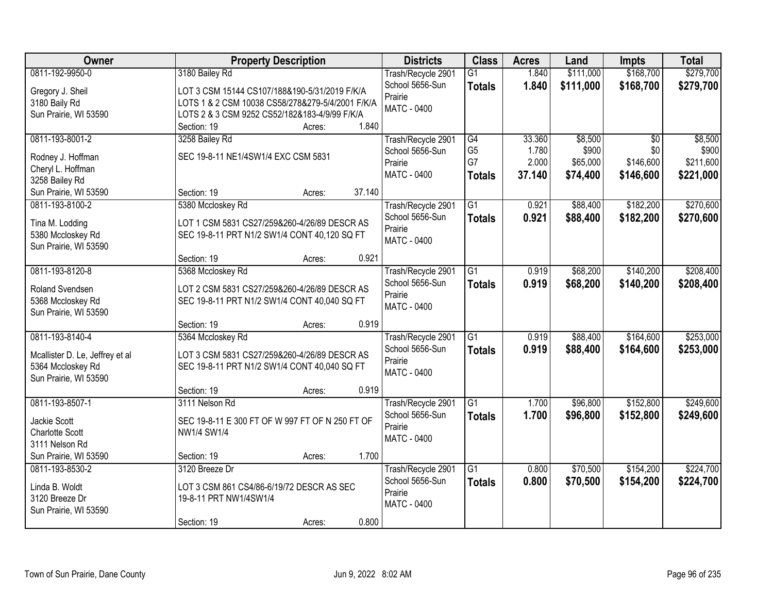| Owner                           | <b>Property Description</b>                      | <b>Districts</b>   | <b>Class</b>    | <b>Acres</b> | Land      | <b>Impts</b> | <b>Total</b> |
|---------------------------------|--------------------------------------------------|--------------------|-----------------|--------------|-----------|--------------|--------------|
| 0811-192-9950-0                 | 3180 Bailey Rd                                   | Trash/Recycle 2901 | $\overline{G1}$ | 1.840        | \$111,000 | \$168,700    | \$279,700    |
| Gregory J. Sheil                | LOT 3 CSM 15144 CS107/188&190-5/31/2019 F/K/A    | School 5656-Sun    | <b>Totals</b>   | 1.840        | \$111,000 | \$168,700    | \$279,700    |
| 3180 Baily Rd                   | LOTS 1 & 2 CSM 10038 CS58/278&279-5/4/2001 F/K/A | Prairie            |                 |              |           |              |              |
| Sun Prairie, WI 53590           | LOTS 2 & 3 CSM 9252 CS52/182&183-4/9/99 F/K/A    | <b>MATC - 0400</b> |                 |              |           |              |              |
|                                 | 1.840<br>Section: 19<br>Acres:                   |                    |                 |              |           |              |              |
| 0811-193-8001-2                 | 3258 Bailey Rd                                   | Trash/Recycle 2901 | G4              | 33.360       | \$8,500   | \$0          | \$8,500      |
| Rodney J. Hoffman               | SEC 19-8-11 NE1/4SW1/4 EXC CSM 5831              | School 5656-Sun    | G <sub>5</sub>  | 1.780        | \$900     | \$0          | \$900        |
| Cheryl L. Hoffman               |                                                  | Prairie            | G7              | 2.000        | \$65,000  | \$146,600    | \$211,600    |
| 3258 Bailey Rd                  |                                                  | <b>MATC - 0400</b> | <b>Totals</b>   | 37.140       | \$74,400  | \$146,600    | \$221,000    |
| Sun Prairie, WI 53590           | 37.140<br>Section: 19<br>Acres:                  |                    |                 |              |           |              |              |
| 0811-193-8100-2                 | 5380 Mccloskey Rd                                | Trash/Recycle 2901 | G1              | 0.921        | \$88,400  | \$182,200    | \$270,600    |
| Tina M. Lodding                 | LOT 1 CSM 5831 CS27/259&260-4/26/89 DESCR AS     | School 5656-Sun    | <b>Totals</b>   | 0.921        | \$88,400  | \$182,200    | \$270,600    |
| 5380 Mccloskey Rd               | SEC 19-8-11 PRT N1/2 SW1/4 CONT 40,120 SQ FT     | Prairie            |                 |              |           |              |              |
| Sun Prairie, WI 53590           |                                                  | <b>MATC - 0400</b> |                 |              |           |              |              |
|                                 | 0.921<br>Section: 19<br>Acres:                   |                    |                 |              |           |              |              |
| 0811-193-8120-8                 | 5368 Mccloskey Rd                                | Trash/Recycle 2901 | G1              | 0.919        | \$68,200  | \$140,200    | \$208,400    |
| Roland Svendsen                 | LOT 2 CSM 5831 CS27/259&260-4/26/89 DESCR AS     | School 5656-Sun    | <b>Totals</b>   | 0.919        | \$68,200  | \$140,200    | \$208,400    |
| 5368 Mccloskey Rd               | SEC 19-8-11 PRT N1/2 SW1/4 CONT 40,040 SQ FT     | Prairie            |                 |              |           |              |              |
| Sun Prairie, WI 53590           |                                                  | MATC - 0400        |                 |              |           |              |              |
|                                 | 0.919<br>Section: 19<br>Acres:                   |                    |                 |              |           |              |              |
| 0811-193-8140-4                 | 5364 Mccloskey Rd                                | Trash/Recycle 2901 | $\overline{G1}$ | 0.919        | \$88,400  | \$164,600    | \$253,000    |
| Mcallister D. Le, Jeffrey et al | LOT 3 CSM 5831 CS27/259&260-4/26/89 DESCR AS     | School 5656-Sun    | <b>Totals</b>   | 0.919        | \$88,400  | \$164,600    | \$253,000    |
| 5364 Mccloskey Rd               | SEC 19-8-11 PRT N1/2 SW1/4 CONT 40,040 SQ FT     | Prairie            |                 |              |           |              |              |
| Sun Prairie, WI 53590           |                                                  | <b>MATC - 0400</b> |                 |              |           |              |              |
|                                 | 0.919<br>Section: 19<br>Acres:                   |                    |                 |              |           |              |              |
| 0811-193-8507-1                 | 3111 Nelson Rd                                   | Trash/Recycle 2901 | G1              | 1.700        | \$96,800  | \$152,800    | \$249,600    |
| Jackie Scott                    | SEC 19-8-11 E 300 FT OF W 997 FT OF N 250 FT OF  | School 5656-Sun    | <b>Totals</b>   | 1.700        | \$96,800  | \$152,800    | \$249,600    |
| <b>Charlotte Scott</b>          | NW1/4 SW1/4                                      | Prairie            |                 |              |           |              |              |
| 3111 Nelson Rd                  |                                                  | MATC - 0400        |                 |              |           |              |              |
| Sun Prairie, WI 53590           | 1.700<br>Section: 19<br>Acres:                   |                    |                 |              |           |              |              |
| 0811-193-8530-2                 | 3120 Breeze Dr                                   | Trash/Recycle 2901 | $\overline{G1}$ | 0.800        | \$70,500  | \$154,200    | \$224,700    |
| Linda B. Woldt                  | LOT 3 CSM 861 CS4/86-6/19/72 DESCR AS SEC        | School 5656-Sun    | <b>Totals</b>   | 0.800        | \$70,500  | \$154,200    | \$224,700    |
| 3120 Breeze Dr                  | 19-8-11 PRT NW1/4SW1/4                           | Prairie            |                 |              |           |              |              |
| Sun Prairie, WI 53590           |                                                  | <b>MATC - 0400</b> |                 |              |           |              |              |
|                                 | 0.800<br>Section: 19<br>Acres:                   |                    |                 |              |           |              |              |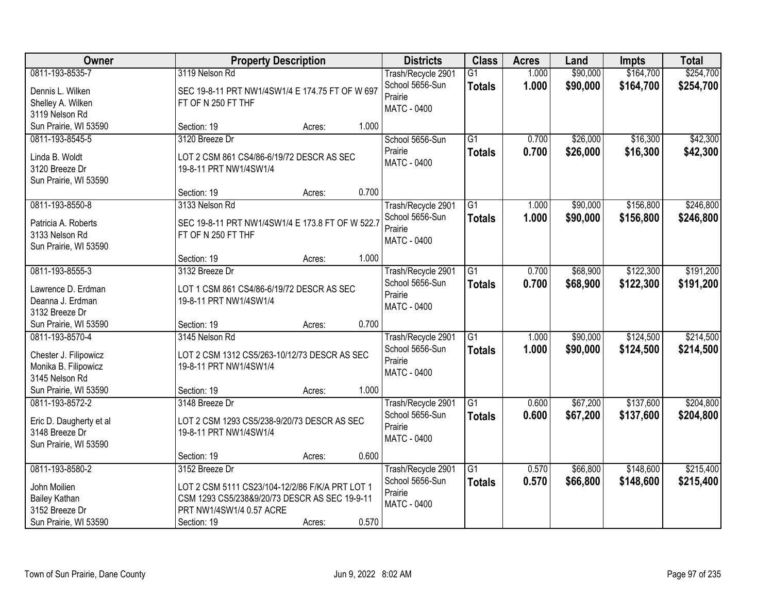| Owner                                                                                              |                                                                                                                                                               | <b>Property Description</b> |       | <b>Districts</b>                                                       | <b>Class</b>                     | <b>Acres</b>   | Land                 | <b>Impts</b>           | <b>Total</b>           |
|----------------------------------------------------------------------------------------------------|---------------------------------------------------------------------------------------------------------------------------------------------------------------|-----------------------------|-------|------------------------------------------------------------------------|----------------------------------|----------------|----------------------|------------------------|------------------------|
| 0811-193-8535-7<br>Dennis L. Wilken<br>Shelley A. Wilken<br>3119 Nelson Rd                         | 3119 Nelson Rd<br>SEC 19-8-11 PRT NW1/4SW1/4 E 174.75 FT OF W 697<br>FT OF N 250 FT THF                                                                       |                             |       | Trash/Recycle 2901<br>School 5656-Sun<br>Prairie<br>MATC - 0400        | $\overline{G1}$<br><b>Totals</b> | 1.000<br>1.000 | \$90,000<br>\$90,000 | \$164,700<br>\$164,700 | \$254,700<br>\$254,700 |
| Sun Prairie, WI 53590                                                                              | Section: 19                                                                                                                                                   | Acres:                      | 1.000 |                                                                        |                                  |                |                      |                        |                        |
| 0811-193-8545-5<br>Linda B. Woldt<br>3120 Breeze Dr<br>Sun Prairie, WI 53590                       | 3120 Breeze Dr<br>LOT 2 CSM 861 CS4/86-6/19/72 DESCR AS SEC<br>19-8-11 PRT NW1/4SW1/4                                                                         |                             |       | School 5656-Sun<br>Prairie<br><b>MATC - 0400</b>                       | $\overline{G1}$<br><b>Totals</b> | 0.700<br>0.700 | \$26,000<br>\$26,000 | \$16,300<br>\$16,300   | \$42,300<br>\$42,300   |
|                                                                                                    | Section: 19                                                                                                                                                   | Acres:                      | 0.700 |                                                                        |                                  |                |                      |                        |                        |
| 0811-193-8550-8<br>Patricia A. Roberts<br>3133 Nelson Rd<br>Sun Prairie, WI 53590                  | 3133 Nelson Rd<br>SEC 19-8-11 PRT NW1/4SW1/4 E 173.8 FT OF W 522.7<br>FT OF N 250 FT THF                                                                      |                             |       | Trash/Recycle 2901<br>School 5656-Sun<br>Prairie<br>MATC - 0400        | $\overline{G1}$<br><b>Totals</b> | 1.000<br>1.000 | \$90,000<br>\$90,000 | \$156,800<br>\$156,800 | \$246,800<br>\$246,800 |
|                                                                                                    | Section: 19                                                                                                                                                   | Acres:                      | 1.000 |                                                                        |                                  |                |                      |                        |                        |
| 0811-193-8555-3<br>Lawrence D. Erdman<br>Deanna J. Erdman<br>3132 Breeze Dr                        | 3132 Breeze Dr<br>LOT 1 CSM 861 CS4/86-6/19/72 DESCR AS SEC<br>19-8-11 PRT NW1/4SW1/4                                                                         |                             |       | Trash/Recycle 2901<br>School 5656-Sun<br>Prairie<br><b>MATC - 0400</b> | $\overline{G1}$<br><b>Totals</b> | 0.700<br>0.700 | \$68,900<br>\$68,900 | \$122,300<br>\$122,300 | \$191,200<br>\$191,200 |
| Sun Prairie, WI 53590                                                                              | Section: 19                                                                                                                                                   | Acres:                      | 0.700 |                                                                        |                                  |                |                      |                        |                        |
| 0811-193-8570-4<br>Chester J. Filipowicz<br>Monika B. Filipowicz<br>3145 Nelson Rd                 | 3145 Nelson Rd<br>LOT 2 CSM 1312 CS5/263-10/12/73 DESCR AS SEC<br>19-8-11 PRT NW1/4SW1/4                                                                      |                             |       | Trash/Recycle 2901<br>School 5656-Sun<br>Prairie<br><b>MATC - 0400</b> | $\overline{G1}$<br>Totals        | 1.000<br>1.000 | \$90,000<br>\$90,000 | \$124,500<br>\$124,500 | \$214,500<br>\$214,500 |
| Sun Prairie, WI 53590                                                                              | Section: 19                                                                                                                                                   | Acres:                      | 1.000 |                                                                        |                                  |                |                      |                        |                        |
| 0811-193-8572-2<br>Eric D. Daugherty et al<br>3148 Breeze Dr<br>Sun Prairie, WI 53590              | 3148 Breeze Dr<br>LOT 2 CSM 1293 CS5/238-9/20/73 DESCR AS SEC<br>19-8-11 PRT NW1/4SW1/4                                                                       |                             |       | Trash/Recycle 2901<br>School 5656-Sun<br>Prairie<br><b>MATC - 0400</b> | $\overline{G1}$<br><b>Totals</b> | 0.600<br>0.600 | \$67,200<br>\$67,200 | \$137,600<br>\$137,600 | \$204,800<br>\$204,800 |
|                                                                                                    | Section: 19                                                                                                                                                   | Acres:                      | 0.600 |                                                                        |                                  |                |                      |                        |                        |
| 0811-193-8580-2<br>John Moilien<br><b>Bailey Kathan</b><br>3152 Breeze Dr<br>Sun Prairie, WI 53590 | 3152 Breeze Dr<br>LOT 2 CSM 5111 CS23/104-12/2/86 F/K/A PRT LOT 1<br>CSM 1293 CS5/238&9/20/73 DESCR AS SEC 19-9-11<br>PRT NW1/4SW1/4 0.57 ACRE<br>Section: 19 | Acres:                      | 0.570 | Trash/Recycle 2901<br>School 5656-Sun<br>Prairie<br>MATC - 0400        | $\overline{G1}$<br><b>Totals</b> | 0.570<br>0.570 | \$66,800<br>\$66,800 | \$148,600<br>\$148,600 | \$215,400<br>\$215,400 |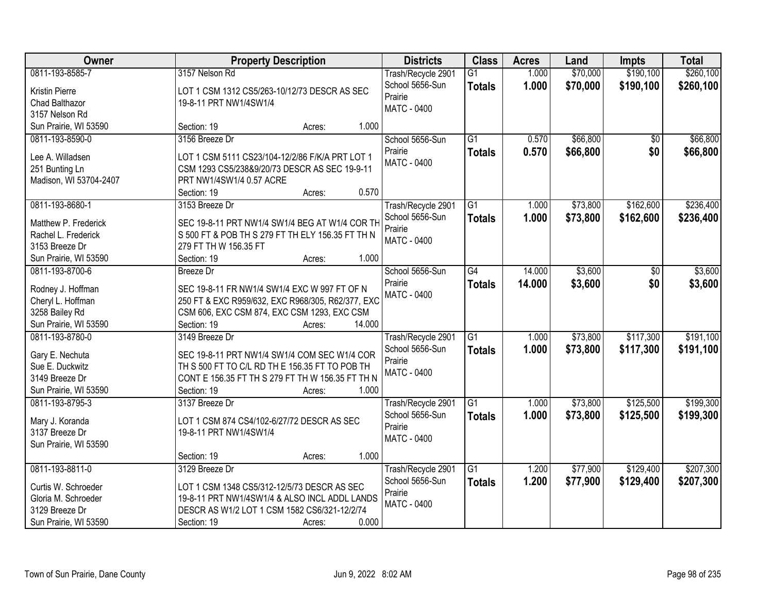| Owner                                                                                                    |                                                           | <b>Property Description</b>                                                                                                                                  |        | <b>Districts</b>                                                       | <b>Class</b>                     | <b>Acres</b>   | Land                 | <b>Impts</b>           | <b>Total</b>           |
|----------------------------------------------------------------------------------------------------------|-----------------------------------------------------------|--------------------------------------------------------------------------------------------------------------------------------------------------------------|--------|------------------------------------------------------------------------|----------------------------------|----------------|----------------------|------------------------|------------------------|
| 0811-193-8585-7<br>Kristin Pierre<br>Chad Balthazor<br>3157 Nelson Rd                                    | 3157 Nelson Rd<br>19-8-11 PRT NW1/4SW1/4                  | LOT 1 CSM 1312 CS5/263-10/12/73 DESCR AS SEC                                                                                                                 |        | Trash/Recycle 2901<br>School 5656-Sun<br>Prairie<br>MATC - 0400        | $\overline{G1}$<br><b>Totals</b> | 1.000<br>1.000 | \$70,000<br>\$70,000 | \$190,100<br>\$190,100 | \$260,100<br>\$260,100 |
| Sun Prairie, WI 53590                                                                                    | Section: 19                                               | Acres:                                                                                                                                                       | 1.000  |                                                                        |                                  |                |                      |                        |                        |
| 0811-193-8590-0<br>Lee A. Willadsen<br>251 Bunting Ln<br>Madison, WI 53704-2407                          | 3156 Breeze Dr<br>PRT NW1/4SW1/4 0.57 ACRE<br>Section: 19 | LOT 1 CSM 5111 CS23/104-12/2/86 F/K/A PRT LOT 1<br>CSM 1293 CS5/238&9/20/73 DESCR AS SEC 19-9-11<br>Acres:                                                   | 0.570  | School 5656-Sun<br>Prairie<br>MATC - 0400                              | $\overline{G1}$<br><b>Totals</b> | 0.570<br>0.570 | \$66,800<br>\$66,800 | $\overline{50}$<br>\$0 | \$66,800<br>\$66,800   |
| 0811-193-8680-1                                                                                          | 3153 Breeze Dr                                            |                                                                                                                                                              |        | Trash/Recycle 2901                                                     | G1                               | 1.000          | \$73,800             | \$162,600              | \$236,400              |
| Matthew P. Frederick<br>Rachel L. Frederick<br>3153 Breeze Dr<br>Sun Prairie, WI 53590                   | 279 FT TH W 156.35 FT<br>Section: 19                      | SEC 19-8-11 PRT NW1/4 SW1/4 BEG AT W1/4 COR TH<br>S 500 FT & POB TH S 279 FT TH ELY 156.35 FT TH N<br>Acres:                                                 | 1.000  | School 5656-Sun<br>Prairie<br>MATC - 0400                              | <b>Totals</b>                    | 1.000          | \$73,800             | \$162,600              | \$236,400              |
| 0811-193-8700-6                                                                                          | <b>Breeze</b> Dr                                          |                                                                                                                                                              |        | School 5656-Sun                                                        | $\overline{G4}$                  | 14.000         | \$3,600              | \$0                    | \$3,600                |
| Rodney J. Hoffman<br>Cheryl L. Hoffman<br>3258 Bailey Rd<br>Sun Prairie, WI 53590                        | Section: 19                                               | SEC 19-8-11 FR NW1/4 SW1/4 EXC W 997 FT OF N<br>250 FT & EXC R959/632, EXC R968/305, R62/377, EXC<br>CSM 606, EXC CSM 874, EXC CSM 1293, EXC CSM<br>Acres:   | 14.000 | Prairie<br>MATC - 0400                                                 | <b>Totals</b>                    | 14.000         | \$3,600              | \$0                    | \$3,600                |
| 0811-193-8780-0<br>Gary E. Nechuta<br>Sue E. Duckwitz<br>3149 Breeze Dr<br>Sun Prairie, WI 53590         | 3149 Breeze Dr<br>Section: 19                             | SEC 19-8-11 PRT NW1/4 SW1/4 COM SEC W1/4 COR<br>TH S 500 FT TO C/L RD TH E 156.35 FT TO POB TH<br>CONT E 156.35 FT TH S 279 FT TH W 156.35 FT TH N<br>Acres: | 1.000  | Trash/Recycle 2901<br>School 5656-Sun<br>Prairie<br><b>MATC - 0400</b> | $\overline{G1}$<br><b>Totals</b> | 1.000<br>1.000 | \$73,800<br>\$73,800 | \$117,300<br>\$117,300 | \$191,100<br>\$191,100 |
| 0811-193-8795-3<br>Mary J. Koranda<br>3137 Breeze Dr<br>Sun Prairie, WI 53590                            | 3137 Breeze Dr<br>19-8-11 PRT NW1/4SW1/4<br>Section: 19   | LOT 1 CSM 874 CS4/102-6/27/72 DESCR AS SEC<br>Acres:                                                                                                         | 1.000  | Trash/Recycle 2901<br>School 5656-Sun<br>Prairie<br><b>MATC - 0400</b> | $\overline{G1}$<br>Totals        | 1.000<br>1.000 | \$73,800<br>\$73,800 | \$125,500<br>\$125,500 | \$199,300<br>\$199,300 |
| 0811-193-8811-0<br>Curtis W. Schroeder<br>Gloria M. Schroeder<br>3129 Breeze Dr<br>Sun Prairie, WI 53590 | 3129 Breeze Dr<br>Section: 19                             | LOT 1 CSM 1348 CS5/312-12/5/73 DESCR AS SEC<br>19-8-11 PRT NW1/4SW1/4 & ALSO INCL ADDL LANDS<br>DESCR AS W1/2 LOT 1 CSM 1582 CS6/321-12/2/74<br>Acres:       | 0.000  | Trash/Recycle 2901<br>School 5656-Sun<br>Prairie<br><b>MATC - 0400</b> | $\overline{G1}$<br><b>Totals</b> | 1.200<br>1.200 | \$77,900<br>\$77,900 | \$129,400<br>\$129,400 | \$207,300<br>\$207,300 |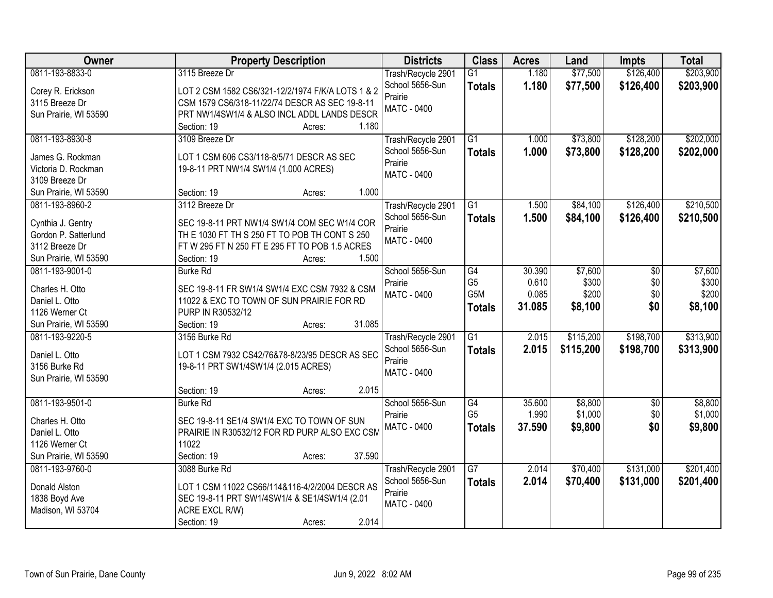| Owner                 | <b>Property Description</b>                       | <b>Districts</b>   | <b>Class</b>    | <b>Acres</b> | Land      | <b>Impts</b>    | <b>Total</b> |
|-----------------------|---------------------------------------------------|--------------------|-----------------|--------------|-----------|-----------------|--------------|
| 0811-193-8833-0       | 3115 Breeze Dr                                    | Trash/Recycle 2901 | $\overline{G1}$ | 1.180        | \$77,500  | \$126,400       | \$203,900    |
| Corey R. Erickson     | LOT 2 CSM 1582 CS6/321-12/2/1974 F/K/A LOTS 1 & 2 | School 5656-Sun    | <b>Totals</b>   | 1.180        | \$77,500  | \$126,400       | \$203,900    |
| 3115 Breeze Dr        | CSM 1579 CS6/318-11/22/74 DESCR AS SEC 19-8-11    | Prairie            |                 |              |           |                 |              |
| Sun Prairie, WI 53590 | PRT NW1/4SW1/4 & ALSO INCL ADDL LANDS DESCR       | <b>MATC - 0400</b> |                 |              |           |                 |              |
|                       | 1.180<br>Section: 19<br>Acres:                    |                    |                 |              |           |                 |              |
| 0811-193-8930-8       | 3109 Breeze Dr                                    | Trash/Recycle 2901 | $\overline{G1}$ | 1.000        | \$73,800  | \$128,200       | \$202,000    |
|                       |                                                   | School 5656-Sun    | <b>Totals</b>   | 1.000        | \$73,800  | \$128,200       | \$202,000    |
| James G. Rockman      | LOT 1 CSM 606 CS3/118-8/5/71 DESCR AS SEC         | Prairie            |                 |              |           |                 |              |
| Victoria D. Rockman   | 19-8-11 PRT NW1/4 SW1/4 (1.000 ACRES)             | <b>MATC - 0400</b> |                 |              |           |                 |              |
| 3109 Breeze Dr        |                                                   |                    |                 |              |           |                 |              |
| Sun Prairie, WI 53590 | 1.000<br>Section: 19<br>Acres:                    |                    |                 |              |           |                 |              |
| 0811-193-8960-2       | 3112 Breeze Dr                                    | Trash/Recycle 2901 | G1              | 1.500        | \$84,100  | \$126,400       | \$210,500    |
| Cynthia J. Gentry     | SEC 19-8-11 PRT NW1/4 SW1/4 COM SEC W1/4 COR      | School 5656-Sun    | <b>Totals</b>   | 1.500        | \$84,100  | \$126,400       | \$210,500    |
| Gordon P. Satterlund  | TH E 1030 FT TH S 250 FT TO POB TH CONT S 250     | Prairie            |                 |              |           |                 |              |
| 3112 Breeze Dr        | FT W 295 FT N 250 FT E 295 FT TO POB 1.5 ACRES    | <b>MATC - 0400</b> |                 |              |           |                 |              |
| Sun Prairie, WI 53590 | Section: 19<br>1.500<br>Acres:                    |                    |                 |              |           |                 |              |
| 0811-193-9001-0       | <b>Burke Rd</b>                                   | School 5656-Sun    | G4              | 30.390       | \$7,600   | \$0             | \$7,600      |
|                       |                                                   | Prairie            | G <sub>5</sub>  | 0.610        | \$300     | \$0             | \$300        |
| Charles H. Otto       | SEC 19-8-11 FR SW1/4 SW1/4 EXC CSM 7932 & CSM     | <b>MATC - 0400</b> | G5M             | 0.085        | \$200     | \$0             | \$200        |
| Daniel L. Otto        | 11022 & EXC TO TOWN OF SUN PRAIRIE FOR RD         |                    | <b>Totals</b>   | 31.085       | \$8,100   | \$0             | \$8,100      |
| 1126 Werner Ct        | PURP IN R30532/12                                 |                    |                 |              |           |                 |              |
| Sun Prairie, WI 53590 | 31.085<br>Section: 19<br>Acres:                   |                    |                 |              |           |                 |              |
| 0811-193-9220-5       | 3156 Burke Rd                                     | Trash/Recycle 2901 | $\overline{G1}$ | 2.015        | \$115,200 | \$198,700       | \$313,900    |
| Daniel L. Otto        | LOT 1 CSM 7932 CS42/76&78-8/23/95 DESCR AS SEC    | School 5656-Sun    | <b>Totals</b>   | 2.015        | \$115,200 | \$198,700       | \$313,900    |
| 3156 Burke Rd         | 19-8-11 PRT SW1/4SW1/4 (2.015 ACRES)              | Prairie            |                 |              |           |                 |              |
| Sun Prairie, WI 53590 |                                                   | <b>MATC - 0400</b> |                 |              |           |                 |              |
|                       | 2.015<br>Section: 19<br>Acres:                    |                    |                 |              |           |                 |              |
| 0811-193-9501-0       | <b>Burke Rd</b>                                   | School 5656-Sun    | G4              | 35.600       | \$8,800   | $\overline{50}$ | \$8,800      |
|                       |                                                   | Prairie            | G <sub>5</sub>  | 1.990        | \$1,000   | \$0             | \$1,000      |
| Charles H. Otto       | SEC 19-8-11 SE1/4 SW1/4 EXC TO TOWN OF SUN        | <b>MATC - 0400</b> | <b>Totals</b>   | 37.590       | \$9,800   | \$0             | \$9,800      |
| Daniel L. Otto        | PRAIRIE IN R30532/12 FOR RD PURP ALSO EXC CSM     |                    |                 |              |           |                 |              |
| 1126 Werner Ct        | 11022                                             |                    |                 |              |           |                 |              |
| Sun Prairie, WI 53590 | 37.590<br>Section: 19<br>Acres:                   |                    |                 |              |           |                 |              |
| 0811-193-9760-0       | 3088 Burke Rd                                     | Trash/Recycle 2901 | $\overline{G7}$ | 2.014        | \$70,400  | \$131,000       | \$201,400    |
| Donald Alston         | LOT 1 CSM 11022 CS66/114&116-4/2/2004 DESCR AS    | School 5656-Sun    | <b>Totals</b>   | 2.014        | \$70,400  | \$131,000       | \$201,400    |
| 1838 Boyd Ave         | SEC 19-8-11 PRT SW1/4SW1/4 & SE1/4SW1/4 (2.01     | Prairie            |                 |              |           |                 |              |
| Madison, WI 53704     | ACRE EXCL R/W)                                    | <b>MATC - 0400</b> |                 |              |           |                 |              |
|                       | 2.014<br>Section: 19<br>Acres:                    |                    |                 |              |           |                 |              |
|                       |                                                   |                    |                 |              |           |                 |              |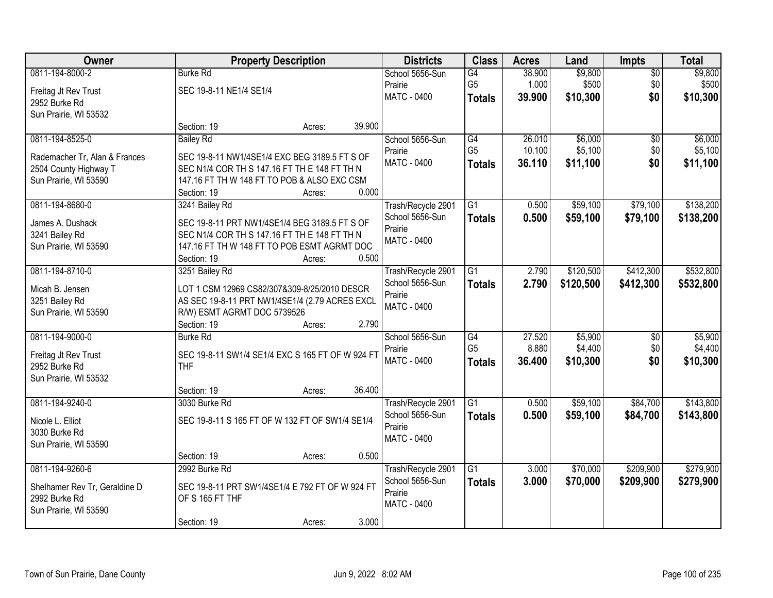| Owner                                          | <b>Property Description</b>                                                                   |                  | <b>Districts</b>   | <b>Class</b>    | <b>Acres</b> | Land      | <b>Impts</b>    | <b>Total</b> |
|------------------------------------------------|-----------------------------------------------------------------------------------------------|------------------|--------------------|-----------------|--------------|-----------|-----------------|--------------|
| 0811-194-8000-2                                | <b>Burke Rd</b>                                                                               |                  | School 5656-Sun    | G4              | 38.900       | \$9,800   | $\overline{50}$ | \$9,800      |
| Freitag Jt Rev Trust                           | SEC 19-8-11 NE1/4 SE1/4                                                                       |                  | Prairie            | G <sub>5</sub>  | 1.000        | \$500     | \$0             | \$500        |
| 2952 Burke Rd                                  |                                                                                               |                  | <b>MATC - 0400</b> | <b>Totals</b>   | 39.900       | \$10,300  | \$0             | \$10,300     |
| Sun Prairie, WI 53532                          |                                                                                               |                  |                    |                 |              |           |                 |              |
|                                                | Section: 19                                                                                   | 39.900<br>Acres: |                    |                 |              |           |                 |              |
| 0811-194-8525-0                                | <b>Bailey Rd</b>                                                                              |                  | School 5656-Sun    | G4              | 26.010       | \$6,000   | \$0             | \$6,000      |
| Rademacher Tr, Alan & Frances                  | SEC 19-8-11 NW1/4SE1/4 EXC BEG 3189.5 FT S OF                                                 |                  | Prairie            | G <sub>5</sub>  | 10.100       | \$5,100   | \$0             | \$5,100      |
| 2504 County Highway T                          | SEC N1/4 COR TH S 147.16 FT TH E 148 FT TH N                                                  |                  | MATC - 0400        | <b>Totals</b>   | 36.110       | \$11,100  | \$0             | \$11,100     |
| Sun Prairie, WI 53590                          | 147.16 FT TH W 148 FT TO POB & ALSO EXC CSM                                                   |                  |                    |                 |              |           |                 |              |
|                                                | Section: 19                                                                                   | 0.000<br>Acres:  |                    |                 |              |           |                 |              |
| 0811-194-8680-0                                | 3241 Bailey Rd                                                                                |                  | Trash/Recycle 2901 | G1              | 0.500        | \$59,100  | \$79,100        | \$138,200    |
|                                                |                                                                                               |                  | School 5656-Sun    | <b>Totals</b>   | 0.500        | \$59,100  | \$79,100        | \$138,200    |
| James A. Dushack                               | SEC 19-8-11 PRT NW1/4SE1/4 BEG 3189.5 FT S OF<br>SEC N1/4 COR TH S 147.16 FT TH E 148 FT TH N |                  | Prairie            |                 |              |           |                 |              |
| 3241 Bailey Rd<br>Sun Prairie, WI 53590        | 147.16 FT TH W 148 FT TO POB ESMT AGRMT DOC                                                   |                  | <b>MATC - 0400</b> |                 |              |           |                 |              |
|                                                | Section: 19                                                                                   | 0.500<br>Acres:  |                    |                 |              |           |                 |              |
| 0811-194-8710-0                                | 3251 Bailey Rd                                                                                |                  | Trash/Recycle 2901 | G1              | 2.790        | \$120,500 | \$412,300       | \$532,800    |
|                                                |                                                                                               |                  | School 5656-Sun    | <b>Totals</b>   | 2.790        | \$120,500 | \$412,300       | \$532,800    |
| Micah B. Jensen                                | LOT 1 CSM 12969 CS82/307&309-8/25/2010 DESCR                                                  |                  | Prairie            |                 |              |           |                 |              |
| 3251 Bailey Rd                                 | AS SEC 19-8-11 PRT NW1/4SE1/4 (2.79 ACRES EXCL                                                |                  | <b>MATC - 0400</b> |                 |              |           |                 |              |
| Sun Prairie, WI 53590                          | R/W) ESMT AGRMT DOC 5739526                                                                   |                  |                    |                 |              |           |                 |              |
|                                                | Section: 19                                                                                   | 2.790<br>Acres:  |                    |                 |              |           |                 |              |
| 0811-194-9000-0                                | <b>Burke Rd</b>                                                                               |                  | School 5656-Sun    | $\overline{G4}$ | 27.520       | \$5,900   | $\overline{60}$ | \$5,900      |
| Freitag Jt Rev Trust                           | SEC 19-8-11 SW1/4 SE1/4 EXC S 165 FT OF W 924 FT                                              |                  | Prairie            | G <sub>5</sub>  | 8.880        | \$4,400   | \$0             | \$4,400      |
| 2952 Burke Rd                                  | <b>THF</b>                                                                                    |                  | MATC - 0400        | <b>Totals</b>   | 36.400       | \$10,300  | \$0             | \$10,300     |
| Sun Prairie, WI 53532                          |                                                                                               |                  |                    |                 |              |           |                 |              |
|                                                | Section: 19                                                                                   | 36.400<br>Acres: |                    |                 |              |           |                 |              |
| 0811-194-9240-0                                | 3030 Burke Rd                                                                                 |                  | Trash/Recycle 2901 | G1              | 0.500        | \$59,100  | \$84,700        | \$143,800    |
| Nicole L. Elliot                               | SEC 19-8-11 S 165 FT OF W 132 FT OF SW1/4 SE1/4                                               |                  | School 5656-Sun    | <b>Totals</b>   | 0.500        | \$59,100  | \$84,700        | \$143,800    |
| 3030 Burke Rd                                  |                                                                                               |                  | Prairie            |                 |              |           |                 |              |
| Sun Prairie, WI 53590                          |                                                                                               |                  | MATC - 0400        |                 |              |           |                 |              |
|                                                | Section: 19                                                                                   | 0.500<br>Acres:  |                    |                 |              |           |                 |              |
| 0811-194-9260-6                                | 2992 Burke Rd                                                                                 |                  | Trash/Recycle 2901 | $\overline{G1}$ | 3.000        | \$70,000  | \$209,900       | \$279,900    |
|                                                |                                                                                               |                  | School 5656-Sun    | <b>Totals</b>   | 3.000        | \$70,000  | \$209,900       | \$279,900    |
| Shelhamer Rev Tr, Geraldine D<br>2992 Burke Rd | SEC 19-8-11 PRT SW1/4SE1/4 E 792 FT OF W 924 FT<br>OF S 165 FT THF                            |                  | Prairie            |                 |              |           |                 |              |
| Sun Prairie, WI 53590                          |                                                                                               |                  | MATC - 0400        |                 |              |           |                 |              |
|                                                | Section: 19                                                                                   | 3.000<br>Acres:  |                    |                 |              |           |                 |              |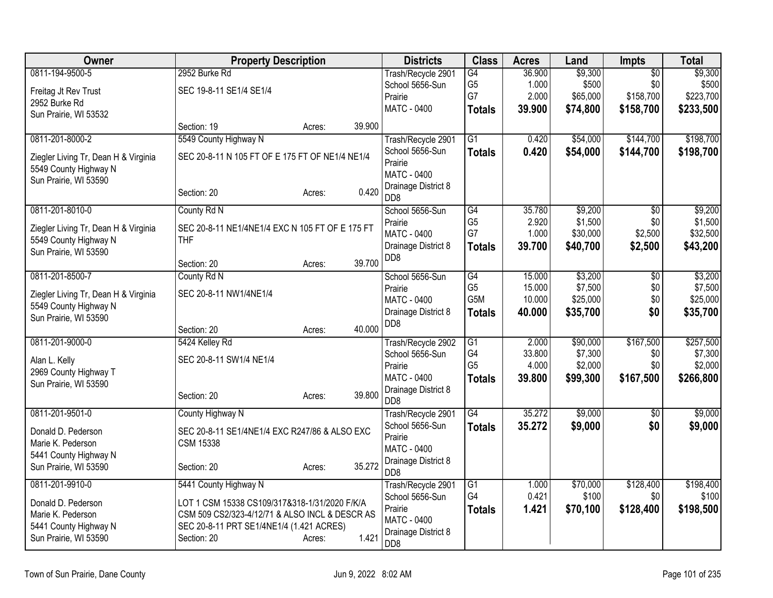| Owner                                | <b>Property Description</b>                     |        |        | <b>Districts</b>                          | <b>Class</b>          | <b>Acres</b>     | Land                | <b>Impts</b>    | <b>Total</b>        |
|--------------------------------------|-------------------------------------------------|--------|--------|-------------------------------------------|-----------------------|------------------|---------------------|-----------------|---------------------|
| 0811-194-9500-5                      | 2952 Burke Rd                                   |        |        | Trash/Recycle 2901                        | G4                    | 36.900           | \$9,300             | $\overline{50}$ | \$9,300             |
| Freitag Jt Rev Trust                 | SEC 19-8-11 SE1/4 SE1/4                         |        |        | School 5656-Sun                           | G <sub>5</sub><br>G7  | 1.000            | \$500               | \$0             | \$500               |
| 2952 Burke Rd                        |                                                 |        |        | Prairie<br><b>MATC - 0400</b>             |                       | 2.000            | \$65,000            | \$158,700       | \$223,700           |
| Sun Prairie, WI 53532                |                                                 |        |        |                                           | <b>Totals</b>         | 39.900           | \$74,800            | \$158,700       | \$233,500           |
|                                      | Section: 19                                     | Acres: | 39.900 |                                           |                       |                  |                     |                 |                     |
| 0811-201-8000-2                      | 5549 County Highway N                           |        |        | Trash/Recycle 2901                        | G1                    | 0.420            | \$54,000            | \$144,700       | \$198,700           |
| Ziegler Living Tr, Dean H & Virginia | SEC 20-8-11 N 105 FT OF E 175 FT OF NE1/4 NE1/4 |        |        | School 5656-Sun<br>Prairie                | <b>Totals</b>         | 0.420            | \$54,000            | \$144,700       | \$198,700           |
| 5549 County Highway N                |                                                 |        |        | MATC - 0400                               |                       |                  |                     |                 |                     |
| Sun Prairie, WI 53590                |                                                 |        |        | Drainage District 8                       |                       |                  |                     |                 |                     |
|                                      | Section: 20                                     | Acres: | 0.420  | DD <sub>8</sub>                           |                       |                  |                     |                 |                     |
| 0811-201-8010-0                      | County Rd N                                     |        |        | School 5656-Sun                           | G4                    | 35.780           | \$9,200             | $\overline{50}$ | \$9,200             |
| Ziegler Living Tr, Dean H & Virginia | SEC 20-8-11 NE1/4NE1/4 EXC N 105 FT OF E 175 FT |        |        | Prairie                                   | G <sub>5</sub>        | 2.920            | \$1,500             | \$0             | \$1,500             |
| 5549 County Highway N                | <b>THF</b>                                      |        |        | <b>MATC - 0400</b>                        | G7                    | 1.000            | \$30,000            | \$2,500         | \$32,500            |
| Sun Prairie, WI 53590                |                                                 |        |        | Drainage District 8<br>DD <sub>8</sub>    | <b>Totals</b>         | 39.700           | \$40,700            | \$2,500         | \$43,200            |
|                                      | Section: 20                                     | Acres: | 39.700 |                                           |                       |                  |                     |                 |                     |
| 0811-201-8500-7                      | County Rd N                                     |        |        | School 5656-Sun                           | G4                    | 15.000           | \$3,200             | $\overline{50}$ | \$3,200             |
| Ziegler Living Tr, Dean H & Virginia | SEC 20-8-11 NW1/4NE1/4                          |        |        | Prairie                                   | G <sub>5</sub><br>G5M | 15.000<br>10.000 | \$7,500<br>\$25,000 | \$0<br>\$0      | \$7,500<br>\$25,000 |
| 5549 County Highway N                |                                                 |        |        | <b>MATC - 0400</b><br>Drainage District 8 |                       | 40.000           | \$35,700            | \$0             | \$35,700            |
| Sun Prairie, WI 53590                |                                                 |        |        | D <sub>D</sub> 8                          | <b>Totals</b>         |                  |                     |                 |                     |
|                                      | Section: 20                                     | Acres: | 40.000 |                                           |                       |                  |                     |                 |                     |
| 0811-201-9000-0                      | 5424 Kelley Rd                                  |        |        | Trash/Recycle 2902                        | $\overline{G1}$       | 2.000            | \$90,000            | \$167,500       | \$257,500           |
| Alan L. Kelly                        | SEC 20-8-11 SW1/4 NE1/4                         |        |        | School 5656-Sun<br>Prairie                | G4<br>G <sub>5</sub>  | 33.800<br>4.000  | \$7,300<br>\$2,000  | \$0<br>\$0      | \$7,300<br>\$2,000  |
| 2969 County Highway T                |                                                 |        |        | MATC - 0400                               | <b>Totals</b>         | 39.800           | \$99,300            | \$167,500       | \$266,800           |
| Sun Prairie, WI 53590                |                                                 |        |        | Drainage District 8                       |                       |                  |                     |                 |                     |
|                                      | Section: 20                                     | Acres: | 39.800 | D <sub>D</sub> 8                          |                       |                  |                     |                 |                     |
| 0811-201-9501-0                      | County Highway N                                |        |        | Trash/Recycle 2901                        | $\overline{G4}$       | 35.272           | \$9,000             | $\overline{50}$ | \$9,000             |
| Donald D. Pederson                   | SEC 20-8-11 SE1/4NE1/4 EXC R247/86 & ALSO EXC   |        |        | School 5656-Sun                           | <b>Totals</b>         | 35.272           | \$9,000             | \$0             | \$9,000             |
| Marie K. Pederson                    | <b>CSM 15338</b>                                |        |        | Prairie                                   |                       |                  |                     |                 |                     |
| 5441 County Highway N                |                                                 |        |        | <b>MATC - 0400</b><br>Drainage District 8 |                       |                  |                     |                 |                     |
| Sun Prairie, WI 53590                | Section: 20                                     | Acres: | 35.272 | DD <sub>8</sub>                           |                       |                  |                     |                 |                     |
| 0811-201-9910-0                      | 5441 County Highway N                           |        |        | Trash/Recycle 2901                        | G <sub>1</sub>        | 1.000            | \$70,000            | \$128,400       | \$198,400           |
| Donald D. Pederson                   | LOT 1 CSM 15338 CS109/317&318-1/31/2020 F/K/A   |        |        | School 5656-Sun                           | G <sub>4</sub>        | 0.421            | \$100               | \$0             | \$100               |
| Marie K. Pederson                    | CSM 509 CS2/323-4/12/71 & ALSO INCL & DESCR AS  |        |        | Prairie                                   | <b>Totals</b>         | 1.421            | \$70,100            | \$128,400       | \$198,500           |
| 5441 County Highway N                | SEC 20-8-11 PRT SE1/4NE1/4 (1.421 ACRES)        |        |        | <b>MATC - 0400</b>                        |                       |                  |                     |                 |                     |
| Sun Prairie, WI 53590                | Section: 20                                     | Acres: | 1.421  | Drainage District 8<br>DD <sub>8</sub>    |                       |                  |                     |                 |                     |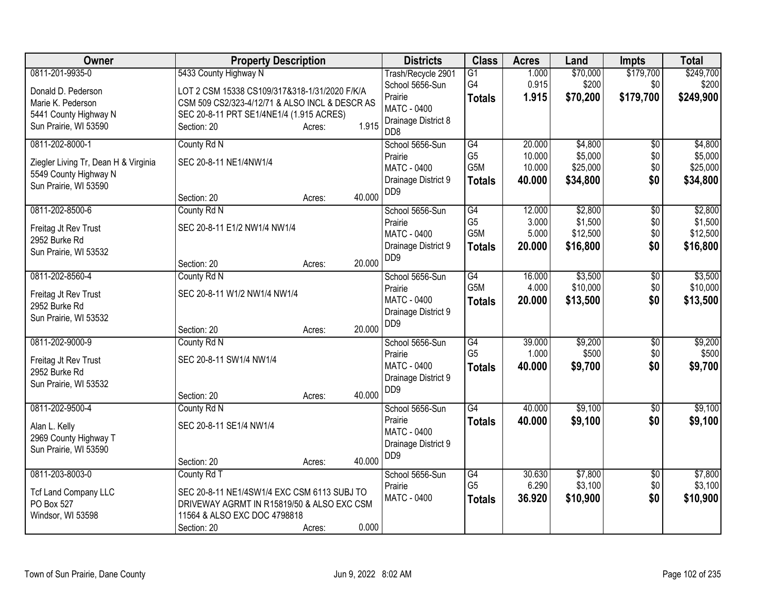| Owner                                | <b>Property Description</b>                    |                  | <b>Districts</b>                                   | <b>Class</b>     | <b>Acres</b> | Land     | Impts           | <b>Total</b> |
|--------------------------------------|------------------------------------------------|------------------|----------------------------------------------------|------------------|--------------|----------|-----------------|--------------|
| 0811-201-9935-0                      | 5433 County Highway N                          |                  | Trash/Recycle 2901                                 | $\overline{G1}$  | 1.000        | \$70,000 | \$179,700       | \$249,700    |
| Donald D. Pederson                   | LOT 2 CSM 15338 CS109/317&318-1/31/2020 F/K/A  |                  | School 5656-Sun                                    | G4               | 0.915        | \$200    | \$0             | \$200        |
| Marie K. Pederson                    | CSM 509 CS2/323-4/12/71 & ALSO INCL & DESCR AS |                  | Prairie<br>MATC - 0400                             | <b>Totals</b>    | 1.915        | \$70,200 | \$179,700       | \$249,900    |
| 5441 County Highway N                | SEC 20-8-11 PRT SE1/4NE1/4 (1.915 ACRES)       |                  | Drainage District 8                                |                  |              |          |                 |              |
| Sun Prairie, WI 53590                | Section: 20                                    | 1.915<br>Acres:  | D <sub>D</sub> 8                                   |                  |              |          |                 |              |
| 0811-202-8000-1                      | County Rd N                                    |                  | School 5656-Sun                                    | $\overline{G4}$  | 20.000       | \$4,800  | \$0             | \$4,800      |
| Ziegler Living Tr, Dean H & Virginia | SEC 20-8-11 NE1/4NW1/4                         |                  | Prairie                                            | G <sub>5</sub>   | 10.000       | \$5,000  | \$0             | \$5,000      |
| 5549 County Highway N                |                                                |                  | MATC - 0400                                        | G5M              | 10.000       | \$25,000 | \$0             | \$25,000     |
| Sun Prairie, WI 53590                |                                                |                  | Drainage District 9<br>D <sub>D</sub> <sub>9</sub> | <b>Totals</b>    | 40.000       | \$34,800 | \$0             | \$34,800     |
|                                      | Section: 20                                    | 40.000<br>Acres: |                                                    |                  |              |          |                 |              |
| 0811-202-8500-6                      | County Rd N                                    |                  | School 5656-Sun                                    | G4               | 12.000       | \$2,800  | $\overline{50}$ | \$2,800      |
| Freitag Jt Rev Trust                 | SEC 20-8-11 E1/2 NW1/4 NW1/4                   |                  | Prairie                                            | G <sub>5</sub>   | 3.000        | \$1,500  | \$0             | \$1,500      |
| 2952 Burke Rd                        |                                                |                  | MATC - 0400                                        | G5M              | 5.000        | \$12,500 | \$0             | \$12,500     |
| Sun Prairie, WI 53532                |                                                |                  | Drainage District 9<br>DD <sub>9</sub>             | <b>Totals</b>    | 20.000       | \$16,800 | \$0             | \$16,800     |
|                                      | Section: 20                                    | 20.000<br>Acres: |                                                    |                  |              |          |                 |              |
| 0811-202-8560-4                      | County Rd N                                    |                  | School 5656-Sun                                    | G4               | 16.000       | \$3,500  | $\overline{50}$ | \$3,500      |
| Freitag Jt Rev Trust                 | SEC 20-8-11 W1/2 NW1/4 NW1/4                   |                  | Prairie                                            | G <sub>5</sub> M | 4.000        | \$10,000 | \$0             | \$10,000     |
| 2952 Burke Rd                        |                                                |                  | MATC - 0400                                        | <b>Totals</b>    | 20.000       | \$13,500 | \$0             | \$13,500     |
| Sun Prairie, WI 53532                |                                                |                  | Drainage District 9<br>DD <sub>9</sub>             |                  |              |          |                 |              |
|                                      | Section: 20                                    | 20.000<br>Acres: |                                                    |                  |              |          |                 |              |
| 0811-202-9000-9                      | County Rd N                                    |                  | School 5656-Sun                                    | G4               | 39.000       | \$9,200  | \$0             | \$9,200      |
| Freitag Jt Rev Trust                 | SEC 20-8-11 SW1/4 NW1/4                        |                  | Prairie                                            | G <sub>5</sub>   | 1.000        | \$500    | \$0             | \$500        |
| 2952 Burke Rd                        |                                                |                  | MATC - 0400                                        | <b>Totals</b>    | 40.000       | \$9,700  | \$0             | \$9,700      |
| Sun Prairie, WI 53532                |                                                |                  | Drainage District 9<br>D <sub>D</sub> <sub>9</sub> |                  |              |          |                 |              |
|                                      | Section: 20                                    | 40.000<br>Acres: |                                                    |                  |              |          |                 |              |
| 0811-202-9500-4                      | County Rd N                                    |                  | School 5656-Sun                                    | $\overline{G4}$  | 40.000       | \$9,100  | \$0             | \$9,100      |
| Alan L. Kelly                        | SEC 20-8-11 SE1/4 NW1/4                        |                  | Prairie                                            | <b>Totals</b>    | 40.000       | \$9,100  | \$0             | \$9,100      |
| 2969 County Highway T                |                                                |                  | <b>MATC - 0400</b>                                 |                  |              |          |                 |              |
| Sun Prairie, WI 53590                |                                                |                  | Drainage District 9<br>D <sub>D</sub> <sub>9</sub> |                  |              |          |                 |              |
|                                      | Section: 20                                    | 40.000<br>Acres: |                                                    |                  |              |          |                 |              |
| 0811-203-8003-0                      | County Rd T                                    |                  | School 5656-Sun                                    | G4               | 30.630       | \$7,800  | \$0             | \$7,800      |
| <b>Tcf Land Company LLC</b>          | SEC 20-8-11 NE1/4SW1/4 EXC CSM 6113 SUBJ TO    |                  | Prairie                                            | G <sub>5</sub>   | 6.290        | \$3,100  | \$0             | \$3,100      |
| PO Box 527                           | DRIVEWAY AGRMT IN R15819/50 & ALSO EXC CSM     |                  | MATC - 0400                                        | <b>Totals</b>    | 36.920       | \$10,900 | \$0             | \$10,900     |
| Windsor, WI 53598                    | 11564 & ALSO EXC DOC 4798818                   |                  |                                                    |                  |              |          |                 |              |
|                                      | Section: 20                                    | 0.000<br>Acres:  |                                                    |                  |              |          |                 |              |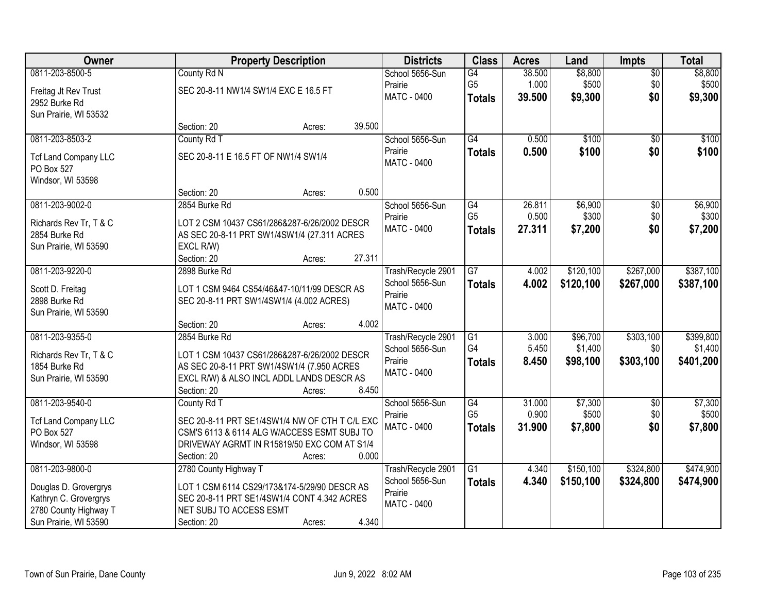| <b>Owner</b>                |                                                | <b>Property Description</b> |        | <b>Districts</b>              | <b>Class</b>    | <b>Acres</b> | Land      | <b>Impts</b>    | <b>Total</b> |
|-----------------------------|------------------------------------------------|-----------------------------|--------|-------------------------------|-----------------|--------------|-----------|-----------------|--------------|
| 0811-203-8500-5             | County Rd N                                    |                             |        | School 5656-Sun               | G4              | 38.500       | \$8,800   | $\overline{50}$ | \$8,800      |
| Freitag Jt Rev Trust        | SEC 20-8-11 NW1/4 SW1/4 EXC E 16.5 FT          |                             |        | Prairie                       | G <sub>5</sub>  | 1.000        | \$500     | \$0             | \$500        |
| 2952 Burke Rd               |                                                |                             |        | <b>MATC - 0400</b>            | <b>Totals</b>   | 39.500       | \$9,300   | \$0             | \$9,300      |
| Sun Prairie, WI 53532       |                                                |                             |        |                               |                 |              |           |                 |              |
|                             | Section: 20                                    | Acres:                      | 39.500 |                               |                 |              |           |                 |              |
| 0811-203-8503-2             | County Rd T                                    |                             |        | School 5656-Sun               | G4              | 0.500        | \$100     | $\overline{50}$ | \$100        |
| <b>Tcf Land Company LLC</b> | SEC 20-8-11 E 16.5 FT OF NW1/4 SW1/4           |                             |        | Prairie                       | <b>Totals</b>   | 0.500        | \$100     | \$0             | \$100        |
| PO Box 527                  |                                                |                             |        | <b>MATC - 0400</b>            |                 |              |           |                 |              |
| Windsor, WI 53598           |                                                |                             |        |                               |                 |              |           |                 |              |
|                             | Section: 20                                    | Acres:                      | 0.500  |                               |                 |              |           |                 |              |
| 0811-203-9002-0             | 2854 Burke Rd                                  |                             |        | School 5656-Sun               | G4              | 26.811       | \$6,900   | \$0             | \$6,900      |
| Richards Rev Tr, T & C      | LOT 2 CSM 10437 CS61/286&287-6/26/2002 DESCR   |                             |        | Prairie                       | G <sub>5</sub>  | 0.500        | \$300     | \$0             | \$300        |
| 2854 Burke Rd               | AS SEC 20-8-11 PRT SW1/4SW1/4 (27.311 ACRES    |                             |        | MATC - 0400                   | <b>Totals</b>   | 27.311       | \$7,200   | \$0             | \$7,200      |
| Sun Prairie, WI 53590       | EXCL R/W)                                      |                             |        |                               |                 |              |           |                 |              |
|                             | Section: 20                                    | Acres:                      | 27.311 |                               |                 |              |           |                 |              |
| 0811-203-9220-0             | 2898 Burke Rd                                  |                             |        | Trash/Recycle 2901            | $\overline{G7}$ | 4.002        | \$120,100 | \$267,000       | \$387,100    |
| Scott D. Freitag            | LOT 1 CSM 9464 CS54/46&47-10/11/99 DESCR AS    |                             |        | School 5656-Sun               | <b>Totals</b>   | 4.002        | \$120,100 | \$267,000       | \$387,100    |
| 2898 Burke Rd               | SEC 20-8-11 PRT SW1/4SW1/4 (4.002 ACRES)       |                             |        | Prairie<br><b>MATC - 0400</b> |                 |              |           |                 |              |
| Sun Prairie, WI 53590       |                                                |                             |        |                               |                 |              |           |                 |              |
|                             | Section: 20                                    | Acres:                      | 4.002  |                               |                 |              |           |                 |              |
| 0811-203-9355-0             | 2854 Burke Rd                                  |                             |        | Trash/Recycle 2901            | G1              | 3.000        | \$96,700  | \$303,100       | \$399,800    |
| Richards Rev Tr, T & C      | LOT 1 CSM 10437 CS61/286&287-6/26/2002 DESCR   |                             |        | School 5656-Sun               | G4              | 5.450        | \$1,400   | \$0             | \$1,400      |
| 1854 Burke Rd               | AS SEC 20-8-11 PRT SW1/4SW1/4 (7.950 ACRES     |                             |        | Prairie<br>MATC - 0400        | <b>Totals</b>   | 8.450        | \$98,100  | \$303,100       | \$401,200    |
| Sun Prairie, WI 53590       | EXCL R/W) & ALSO INCL ADDL LANDS DESCR AS      |                             |        |                               |                 |              |           |                 |              |
|                             | Section: 20                                    | Acres:                      | 8.450  |                               |                 |              |           |                 |              |
| 0811-203-9540-0             | County Rd T                                    |                             |        | School 5656-Sun               | $\overline{G4}$ | 31.000       | \$7,300   | $\sqrt{6}$      | \$7,300      |
| <b>Tcf Land Company LLC</b> | SEC 20-8-11 PRT SE1/4SW1/4 NW OF CTH T C/L EXC |                             |        | Prairie<br><b>MATC - 0400</b> | G <sub>5</sub>  | 0.900        | \$500     | \$0             | \$500        |
| PO Box 527                  | CSM'S 6113 & 6114 ALG W/ACCESS ESMT SUBJ TO    |                             |        |                               | <b>Totals</b>   | 31,900       | \$7,800   | \$0             | \$7,800      |
| Windsor, WI 53598           | DRIVEWAY AGRMT IN R15819/50 EXC COM AT S1/4    |                             |        |                               |                 |              |           |                 |              |
|                             | Section: 20                                    | Acres:                      | 0.000  |                               |                 |              |           |                 |              |
| 0811-203-9800-0             | 2780 County Highway T                          |                             |        | Trash/Recycle 2901            | $\overline{G1}$ | 4.340        | \$150,100 | \$324,800       | \$474,900    |
| Douglas D. Grovergrys       | LOT 1 CSM 6114 CS29/173&174-5/29/90 DESCR AS   |                             |        | School 5656-Sun<br>Prairie    | <b>Totals</b>   | 4.340        | \$150,100 | \$324,800       | \$474,900    |
| Kathryn C. Grovergrys       | SEC 20-8-11 PRT SE1/4SW1/4 CONT 4.342 ACRES    |                             |        | <b>MATC - 0400</b>            |                 |              |           |                 |              |
| 2780 County Highway T       | NET SUBJ TO ACCESS ESMT                        |                             |        |                               |                 |              |           |                 |              |
| Sun Prairie, WI 53590       | Section: 20                                    | Acres:                      | 4.340  |                               |                 |              |           |                 |              |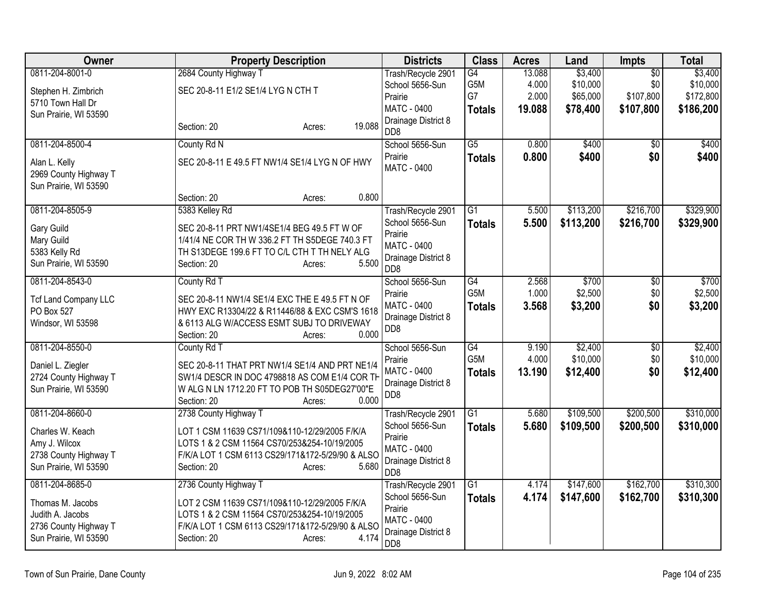| Owner                                                           | <b>Property Description</b>                      | <b>Districts</b>                        | <b>Class</b>     | <b>Acres</b> | Land      | <b>Impts</b>    | <b>Total</b> |
|-----------------------------------------------------------------|--------------------------------------------------|-----------------------------------------|------------------|--------------|-----------|-----------------|--------------|
| 0811-204-8001-0                                                 | 2684 County Highway T                            | Trash/Recycle 2901                      | G4               | 13.088       | \$3,400   | $\overline{50}$ | \$3,400      |
| Stephen H. Zimbrich                                             | SEC 20-8-11 E1/2 SE1/4 LYG N CTH T               | School 5656-Sun                         | G5M              | 4.000        | \$10,000  | \$0             | \$10,000     |
| 5710 Town Hall Dr                                               |                                                  | Prairie                                 | G7               | 2.000        | \$65,000  | \$107,800       | \$172,800    |
| Sun Prairie, WI 53590                                           |                                                  | <b>MATC - 0400</b>                      | <b>Totals</b>    | 19.088       | \$78,400  | \$107,800       | \$186,200    |
|                                                                 | 19.088<br>Section: 20<br>Acres:                  | Drainage District 8<br>D <sub>D</sub> 8 |                  |              |           |                 |              |
| 0811-204-8500-4                                                 | County Rd N                                      | School 5656-Sun                         | $\overline{G5}$  | 0.800        | \$400     | $\sqrt{6}$      | \$400        |
| Alan L. Kelly<br>2969 County Highway T<br>Sun Prairie, WI 53590 | SEC 20-8-11 E 49.5 FT NW1/4 SE1/4 LYG N OF HWY   | Prairie<br>MATC - 0400                  | <b>Totals</b>    | 0.800        | \$400     | \$0             | \$400        |
|                                                                 | 0.800<br>Section: 20<br>Acres:                   |                                         |                  |              |           |                 |              |
| 0811-204-8505-9                                                 | 5383 Kelley Rd                                   | Trash/Recycle 2901                      | $\overline{G1}$  | 5.500        | \$113,200 | \$216,700       | \$329,900    |
| <b>Gary Guild</b>                                               | SEC 20-8-11 PRT NW1/4SE1/4 BEG 49.5 FT W OF      | School 5656-Sun                         | <b>Totals</b>    | 5.500        | \$113,200 | \$216,700       | \$329,900    |
| Mary Guild                                                      | 1/41/4 NE COR TH W 336.2 FT TH S5DEGE 740.3 FT   | Prairie                                 |                  |              |           |                 |              |
| 5383 Kelly Rd                                                   | TH S13DEGE 199.6 FT TO C/L CTH T TH NELY ALG     | <b>MATC - 0400</b>                      |                  |              |           |                 |              |
| Sun Prairie, WI 53590                                           | 5.500<br>Section: 20<br>Acres:                   | Drainage District 8<br>DD <sub>8</sub>  |                  |              |           |                 |              |
| 0811-204-8543-0                                                 | County Rd T                                      | School 5656-Sun                         | $\overline{G4}$  | 2.568        | \$700     | $\overline{50}$ | \$700        |
| <b>Tcf Land Company LLC</b>                                     | SEC 20-8-11 NW1/4 SE1/4 EXC THE E 49.5 FT N OF   | Prairie                                 | G <sub>5</sub> M | 1.000        | \$2,500   | \$0             | \$2,500      |
| PO Box 527                                                      | HWY EXC R13304/22 & R11446/88 & EXC CSM'S 1618   | <b>MATC - 0400</b>                      | <b>Totals</b>    | 3.568        | \$3,200   | \$0             | \$3,200      |
| Windsor, WI 53598                                               | & 6113 ALG W/ACCESS ESMT SUBJ TO DRIVEWAY        | Drainage District 8                     |                  |              |           |                 |              |
|                                                                 | 0.000<br>Section: 20<br>Acres:                   | DD <sub>8</sub>                         |                  |              |           |                 |              |
| 0811-204-8550-0                                                 | County Rd T                                      | School 5656-Sun                         | $\overline{G4}$  | 9.190        | \$2,400   | $\overline{50}$ | \$2,400      |
| Daniel L. Ziegler                                               | SEC 20-8-11 THAT PRT NW1/4 SE1/4 AND PRT NE1/4   | Prairie                                 | G5M              | 4.000        | \$10,000  | \$0             | \$10,000     |
| 2724 County Highway T                                           | SW1/4 DESCR IN DOC 4798818 AS COM E1/4 COR TH    | <b>MATC - 0400</b>                      | <b>Totals</b>    | 13.190       | \$12,400  | \$0             | \$12,400     |
| Sun Prairie, WI 53590                                           | W ALG N LN 1712.20 FT TO POB TH S05DEG27'00"E    | Drainage District 8                     |                  |              |           |                 |              |
|                                                                 | Section: 20<br>0.000<br>Acres:                   | DD <sub>8</sub>                         |                  |              |           |                 |              |
| 0811-204-8660-0                                                 | 2738 County Highway T                            | Trash/Recycle 2901                      | $\overline{G1}$  | 5.680        | \$109,500 | \$200,500       | \$310,000    |
| Charles W. Keach                                                | LOT 1 CSM 11639 CS71/109&110-12/29/2005 F/K/A    | School 5656-Sun                         | <b>Totals</b>    | 5.680        | \$109,500 | \$200,500       | \$310,000    |
| Amy J. Wilcox                                                   | LOTS 1 & 2 CSM 11564 CS70/253&254-10/19/2005     | Prairie                                 |                  |              |           |                 |              |
| 2738 County Highway T                                           | F/K/A LOT 1 CSM 6113 CS29/171&172-5/29/90 & ALSO | <b>MATC - 0400</b>                      |                  |              |           |                 |              |
| Sun Prairie, WI 53590                                           | Section: 20<br>5.680<br>Acres:                   | Drainage District 8<br>D <sub>D</sub> 8 |                  |              |           |                 |              |
| 0811-204-8685-0                                                 | 2736 County Highway T                            | Trash/Recycle 2901                      | G1               | 4.174        | \$147,600 | \$162,700       | \$310,300    |
| Thomas M. Jacobs                                                | LOT 2 CSM 11639 CS71/109&110-12/29/2005 F/K/A    | School 5656-Sun                         | <b>Totals</b>    | 4.174        | \$147,600 | \$162,700       | \$310,300    |
| Judith A. Jacobs                                                | LOTS 1 & 2 CSM 11564 CS70/253&254-10/19/2005     | Prairie                                 |                  |              |           |                 |              |
| 2736 County Highway T                                           | F/K/A LOT 1 CSM 6113 CS29/171&172-5/29/90 & ALSO | <b>MATC - 0400</b>                      |                  |              |           |                 |              |
| Sun Prairie, WI 53590                                           | 4.174<br>Section: 20<br>Acres:                   | Drainage District 8<br>DD <sub>8</sub>  |                  |              |           |                 |              |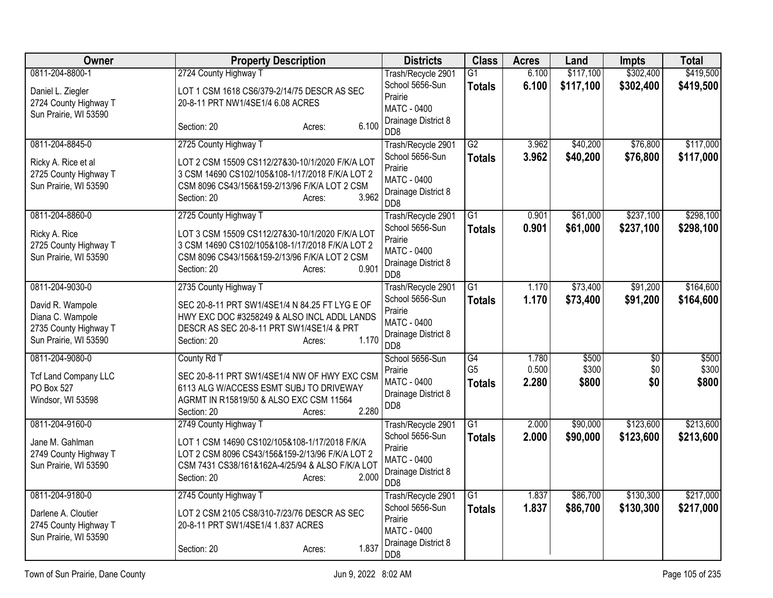| <b>Owner</b>                | <b>Property Description</b>                              | <b>Districts</b>                        | <b>Class</b>    | <b>Acres</b> | Land      | <b>Impts</b>    | <b>Total</b> |
|-----------------------------|----------------------------------------------------------|-----------------------------------------|-----------------|--------------|-----------|-----------------|--------------|
| 0811-204-8800-1             | 2724 County Highway T                                    | Trash/Recycle 2901                      | $\overline{G1}$ | 6.100        | \$117,100 | \$302,400       | \$419,500    |
| Daniel L. Ziegler           | LOT 1 CSM 1618 CS6/379-2/14/75 DESCR AS SEC              | School 5656-Sun<br>Prairie              | <b>Totals</b>   | 6.100        | \$117,100 | \$302,400       | \$419,500    |
| 2724 County Highway T       | 20-8-11 PRT NW1/4SE1/4 6.08 ACRES                        | <b>MATC - 0400</b>                      |                 |              |           |                 |              |
| Sun Prairie, WI 53590       |                                                          | Drainage District 8                     |                 |              |           |                 |              |
|                             | 6.100<br>Section: 20<br>Acres:                           | D <sub>D</sub> 8                        |                 |              |           |                 |              |
| 0811-204-8845-0             | 2725 County Highway T                                    | Trash/Recycle 2901                      | $\overline{G2}$ | 3.962        | \$40,200  | \$76,800        | \$117,000    |
| Ricky A. Rice et al         | LOT 2 CSM 15509 CS112/27&30-10/1/2020 F/K/A LOT          | School 5656-Sun                         | <b>Totals</b>   | 3.962        | \$40,200  | \$76,800        | \$117,000    |
| 2725 County Highway T       | 3 CSM 14690 CS102/105&108-1/17/2018 F/K/A LOT 2          | Prairie<br>MATC - 0400                  |                 |              |           |                 |              |
| Sun Prairie, WI 53590       | CSM 8096 CS43/156&159-2/13/96 F/K/A LOT 2 CSM            | Drainage District 8                     |                 |              |           |                 |              |
|                             | 3.962<br>Section: 20<br>Acres:                           | D <sub>D</sub> 8                        |                 |              |           |                 |              |
| 0811-204-8860-0             | 2725 County Highway T                                    | Trash/Recycle 2901                      | $\overline{G1}$ | 0.901        | \$61,000  | \$237,100       | \$298,100    |
| Ricky A. Rice               | LOT 3 CSM 15509 CS112/27&30-10/1/2020 F/K/A LOT          | School 5656-Sun                         | <b>Totals</b>   | 0.901        | \$61,000  | \$237,100       | \$298,100    |
| 2725 County Highway T       | 3 CSM 14690 CS102/105&108-1/17/2018 F/K/A LOT 2          | Prairie<br>MATC - 0400                  |                 |              |           |                 |              |
| Sun Prairie, WI 53590       | CSM 8096 CS43/156&159-2/13/96 F/K/A LOT 2 CSM            | Drainage District 8                     |                 |              |           |                 |              |
|                             | 0.901<br>Section: 20<br>Acres:                           | D <sub>D</sub> 8                        |                 |              |           |                 |              |
| 0811-204-9030-0             | 2735 County Highway T                                    | Trash/Recycle 2901                      | $\overline{G1}$ | 1.170        | \$73,400  | \$91,200        | \$164,600    |
| David R. Wampole            | SEC 20-8-11 PRT SW1/4SE1/4 N 84.25 FT LYG E OF           | School 5656-Sun                         | <b>Totals</b>   | 1.170        | \$73,400  | \$91,200        | \$164,600    |
| Diana C. Wampole            | HWY EXC DOC #3258249 & ALSO INCL ADDL LANDS              | Prairie<br><b>MATC - 0400</b>           |                 |              |           |                 |              |
| 2735 County Highway T       | DESCR AS SEC 20-8-11 PRT SW1/4SE1/4 & PRT                | Drainage District 8                     |                 |              |           |                 |              |
| Sun Prairie, WI 53590       | 1.170<br>Section: 20<br>Acres:                           | D <sub>D</sub> 8                        |                 |              |           |                 |              |
| 0811-204-9080-0             | County Rd T                                              | School 5656-Sun                         | G4              | 1.780        | \$500     | $\overline{50}$ | \$500        |
| <b>Tcf Land Company LLC</b> | SEC 20-8-11 PRT SW1/4SE1/4 NW OF HWY EXC CSM             | Prairie                                 | G <sub>5</sub>  | 0.500        | \$300     | \$0             | \$300        |
| PO Box 527                  | 6113 ALG W/ACCESS ESMT SUBJ TO DRIVEWAY                  | <b>MATC - 0400</b>                      | <b>Totals</b>   | 2.280        | \$800     | \$0             | \$800        |
| Windsor, WI 53598           | AGRMT IN R15819/50 & ALSO EXC CSM 11564                  | Drainage District 8<br>D <sub>D</sub> 8 |                 |              |           |                 |              |
|                             | 2.280<br>Section: 20<br>Acres:                           |                                         |                 |              |           |                 |              |
| 0811-204-9160-0             | 2749 County Highway T                                    | Trash/Recycle 2901<br>School 5656-Sun   | $\overline{G1}$ | 2.000        | \$90,000  | \$123,600       | \$213,600    |
| Jane M. Gahlman             | LOT 1 CSM 14690 CS102/105&108-1/17/2018 F/K/A            | Prairie                                 | <b>Totals</b>   | 2.000        | \$90,000  | \$123,600       | \$213,600    |
| 2749 County Highway T       | LOT 2 CSM 8096 CS43/156&159-2/13/96 F/K/A LOT 2          | <b>MATC - 0400</b>                      |                 |              |           |                 |              |
| Sun Prairie, WI 53590       | CSM 7431 CS38/161&162A-4/25/94 & ALSO F/K/A LOT<br>2.000 | Drainage District 8                     |                 |              |           |                 |              |
|                             | Section: 20<br>Acres:                                    | D <sub>D</sub> 8                        |                 |              |           |                 |              |
| 0811-204-9180-0             | 2745 County Highway T                                    | Trash/Recycle 2901                      | $\overline{G1}$ | 1.837        | \$86,700  | \$130,300       | \$217,000    |
| Darlene A. Cloutier         | LOT 2 CSM 2105 CS8/310-7/23/76 DESCR AS SEC              | School 5656-Sun<br>Prairie              | <b>Totals</b>   | 1.837        | \$86,700  | \$130,300       | \$217,000    |
| 2745 County Highway T       | 20-8-11 PRT SW1/4SE1/4 1.837 ACRES                       | <b>MATC - 0400</b>                      |                 |              |           |                 |              |
| Sun Prairie, WI 53590       |                                                          | Drainage District 8                     |                 |              |           |                 |              |
|                             | 1.837<br>Section: 20<br>Acres:                           | DD <sub>8</sub>                         |                 |              |           |                 |              |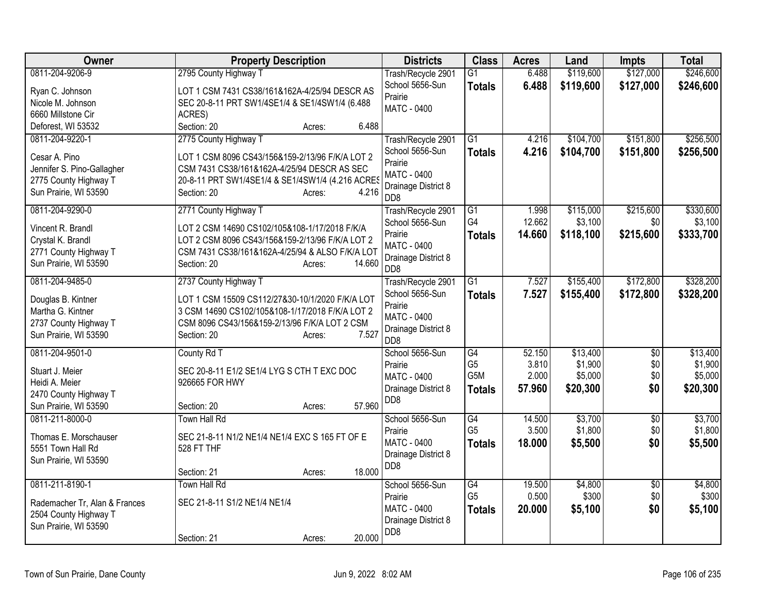| Owner                                          | <b>Property Description</b>                      | <b>Districts</b>                        | <b>Class</b>    | <b>Acres</b> | Land      | <b>Impts</b>    | <b>Total</b> |
|------------------------------------------------|--------------------------------------------------|-----------------------------------------|-----------------|--------------|-----------|-----------------|--------------|
| 0811-204-9206-9                                | 2795 County Highway T                            | Trash/Recycle 2901                      | $\overline{G1}$ | 6.488        | \$119,600 | \$127,000       | \$246,600    |
| Ryan C. Johnson                                | LOT 1 CSM 7431 CS38/161&162A-4/25/94 DESCR AS    | School 5656-Sun                         | <b>Totals</b>   | 6.488        | \$119,600 | \$127,000       | \$246,600    |
| Nicole M. Johnson                              | SEC 20-8-11 PRT SW1/4SE1/4 & SE1/4SW1/4 (6.488   | Prairie                                 |                 |              |           |                 |              |
| 6660 Millstone Cir                             | ACRES)                                           | <b>MATC - 0400</b>                      |                 |              |           |                 |              |
| Deforest, WI 53532                             | 6.488<br>Section: 20<br>Acres:                   |                                         |                 |              |           |                 |              |
| 0811-204-9220-1                                | 2775 County Highway T                            | Trash/Recycle 2901                      | $\overline{G1}$ | 4.216        | \$104,700 | \$151,800       | \$256,500    |
| Cesar A. Pino                                  | LOT 1 CSM 8096 CS43/156&159-2/13/96 F/K/A LOT 2  | School 5656-Sun                         | <b>Totals</b>   | 4.216        | \$104,700 | \$151,800       | \$256,500    |
| Jennifer S. Pino-Gallagher                     | CSM 7431 CS38/161&162A-4/25/94 DESCR AS SEC      | Prairie                                 |                 |              |           |                 |              |
| 2775 County Highway T                          | 20-8-11 PRT SW1/4SE1/4 & SE1/4SW1/4 (4.216 ACRES | MATC - 0400                             |                 |              |           |                 |              |
| Sun Prairie, WI 53590                          | 4.216<br>Section: 20<br>Acres:                   | Drainage District 8<br>D <sub>D</sub> 8 |                 |              |           |                 |              |
| 0811-204-9290-0                                | 2771 County Highway T                            | Trash/Recycle 2901                      | G1              | 1.998        | \$115,000 | \$215,600       | \$330,600    |
| Vincent R. Brandl                              | LOT 2 CSM 14690 CS102/105&108-1/17/2018 F/K/A    | School 5656-Sun                         | G4              | 12.662       | \$3,100   | \$0             | \$3,100      |
| Crystal K. Brandl                              | LOT 2 CSM 8096 CS43/156&159-2/13/96 F/K/A LOT 2  | Prairie                                 | <b>Totals</b>   | 14.660       | \$118,100 | \$215,600       | \$333,700    |
| 2771 County Highway T                          | CSM 7431 CS38/161&162A-4/25/94 & ALSO F/K/A LOT  | <b>MATC - 0400</b>                      |                 |              |           |                 |              |
| Sun Prairie, WI 53590                          | 14.660<br>Section: 20<br>Acres:                  | Drainage District 8<br>D <sub>D</sub> 8 |                 |              |           |                 |              |
| 0811-204-9485-0                                | 2737 County Highway T                            | Trash/Recycle 2901                      | $\overline{G1}$ | 7.527        | \$155,400 | \$172,800       | \$328,200    |
| Douglas B. Kintner                             | LOT 1 CSM 15509 CS112/27&30-10/1/2020 F/K/A LOT  | School 5656-Sun                         | Totals          | 7.527        | \$155,400 | \$172,800       | \$328,200    |
| Martha G. Kintner                              | 3 CSM 14690 CS102/105&108-1/17/2018 F/K/A LOT 2  | Prairie                                 |                 |              |           |                 |              |
| 2737 County Highway T                          | CSM 8096 CS43/156&159-2/13/96 F/K/A LOT 2 CSM    | MATC - 0400                             |                 |              |           |                 |              |
| Sun Prairie, WI 53590                          | 7.527<br>Section: 20<br>Acres:                   | Drainage District 8<br>D <sub>D</sub> 8 |                 |              |           |                 |              |
| 0811-204-9501-0                                | County Rd T                                      | School 5656-Sun                         | G4              | 52.150       | \$13,400  | $\overline{50}$ | \$13,400     |
|                                                |                                                  | Prairie                                 | G <sub>5</sub>  | 3.810        | \$1,900   | \$0             | \$1,900      |
| Stuart J. Meier                                | SEC 20-8-11 E1/2 SE1/4 LYG S CTH T EXC DOC       | <b>MATC - 0400</b>                      | G5M             | 2.000        | \$5,000   | \$0             | \$5,000      |
| Heidi A. Meier                                 | 926665 FOR HWY                                   | Drainage District 8                     | <b>Totals</b>   | 57.960       | \$20,300  | \$0             | \$20,300     |
| 2470 County Highway T<br>Sun Prairie, WI 53590 | 57.960<br>Section: 20<br>Acres:                  | DD <sub>8</sub>                         |                 |              |           |                 |              |
| 0811-211-8000-0                                | Town Hall Rd                                     | School 5656-Sun                         | $\overline{G4}$ | 14.500       | \$3,700   | \$0             | \$3,700      |
|                                                |                                                  | Prairie                                 | G <sub>5</sub>  | 3.500        | \$1,800   | \$0             | \$1,800      |
| Thomas E. Morschauser                          | SEC 21-8-11 N1/2 NE1/4 NE1/4 EXC S 165 FT OF E   | MATC - 0400                             | <b>Totals</b>   | 18.000       | \$5,500   | \$0             | \$5,500      |
| 5551 Town Hall Rd                              | 528 FT THF                                       | Drainage District 8                     |                 |              |           |                 |              |
| Sun Prairie, WI 53590                          | 18.000                                           | D <sub>D</sub> 8                        |                 |              |           |                 |              |
| 0811-211-8190-1                                | Section: 21<br>Acres:<br>Town Hall Rd            | School 5656-Sun                         | G4              | 19.500       | \$4,800   | \$0             | \$4,800      |
|                                                |                                                  | Prairie                                 | G <sub>5</sub>  | 0.500        | \$300     | \$0             | \$300        |
| Rademacher Tr, Alan & Frances                  | SEC 21-8-11 S1/2 NE1/4 NE1/4                     | MATC - 0400                             | <b>Totals</b>   | 20.000       | \$5,100   | \$0             | \$5,100      |
| 2504 County Highway T                          |                                                  | Drainage District 8                     |                 |              |           |                 |              |
| Sun Prairie, WI 53590                          |                                                  | D <sub>D</sub> 8                        |                 |              |           |                 |              |
|                                                | 20.000<br>Section: 21<br>Acres:                  |                                         |                 |              |           |                 |              |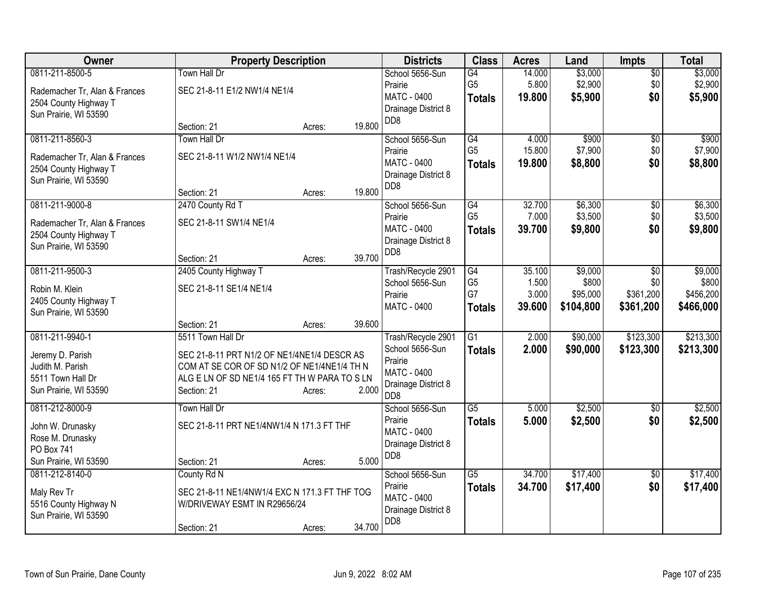| 0811-211-8500-5<br>\$3,000<br><b>Town Hall Dr</b><br>School 5656-Sun<br>G4<br>14.000<br>$\overline{50}$<br>G <sub>5</sub><br>\$2,900<br>\$2,900<br>5.800<br>\$0<br>Prairie<br>SEC 21-8-11 E1/2 NW1/4 NE1/4<br>Rademacher Tr, Alan & Frances<br><b>MATC - 0400</b><br>\$5,900<br>\$0<br><b>Totals</b><br>19.800<br>2504 County Highway T<br>Drainage District 8<br>Sun Prairie, WI 53590<br>D <sub>D</sub> 8<br>19.800<br>Section: 21<br>Acres:<br>0811-211-8560-3<br>Town Hall Dr<br>\$900<br>\$900<br>School 5656-Sun<br>G4<br>4.000<br>\$0<br>G <sub>5</sub><br>\$7,900<br>15.800<br>\$0<br>Prairie<br>SEC 21-8-11 W1/2 NW1/4 NE1/4<br>Rademacher Tr, Alan & Frances<br>\$0<br>MATC - 0400<br>19.800<br>\$8,800<br>\$8,800<br><b>Totals</b><br>2504 County Highway T<br>Drainage District 8<br>Sun Prairie, WI 53590<br>D <sub>D</sub> 8<br>19.800<br>Section: 21<br>Acres:<br>\$6,300<br>0811-211-9000-8<br>2470 County Rd T<br>School 5656-Sun<br>32.700<br>G4<br>\$0<br>G <sub>5</sub><br>7.000<br>\$3,500<br>\$0<br>Prairie<br>SEC 21-8-11 SW1/4 NE1/4<br>Rademacher Tr, Alan & Frances<br>MATC - 0400<br>39.700<br>\$9,800<br>\$0<br><b>Totals</b><br>2504 County Highway T<br>Drainage District 8<br>Sun Prairie, WI 53590<br>D <sub>D</sub> 8<br>39.700<br>Section: 21<br>Acres:<br>0811-211-9500-3<br>\$9,000<br>2405 County Highway T<br>Trash/Recycle 2901<br>G4<br>35.100<br>\$0<br>G <sub>5</sub><br>School 5656-Sun<br>1.500<br>\$800<br>\$0<br>SEC 21-8-11 SE1/4 NE1/4<br>Robin M. Klein<br>G7<br>Prairie<br>3.000<br>\$95,000<br>\$361,200<br>2405 County Highway T<br><b>MATC - 0400</b><br>39.600<br>\$104,800<br>\$361,200<br>\$466,000<br><b>Totals</b><br>Sun Prairie, WI 53590<br>39.600<br>Section: 21<br>Acres:<br>\$90,000<br>0811-211-9940-1<br>5511 Town Hall Dr<br>2.000<br>\$123,300<br>G1<br>Trash/Recycle 2901<br>School 5656-Sun<br>2.000<br>\$90,000<br>\$123,300<br><b>Totals</b><br>Jeremy D. Parish<br>SEC 21-8-11 PRT N1/2 OF NE1/4NE1/4 DESCR AS<br>Prairie<br>Judith M. Parish<br>COM AT SE COR OF SD N1/2 OF NE1/4NE1/4 TH N<br>MATC - 0400<br>ALG E LN OF SD NE1/4 165 FT TH W PARA TO S LN<br>5511 Town Hall Dr<br>Drainage District 8<br>2.000<br>Sun Prairie, WI 53590<br>Section: 21<br>Acres:<br>D <sub>D</sub> 8<br>0811-212-8000-9<br>School 5656-Sun<br>$\overline{G5}$<br>\$2,500<br><b>Town Hall Dr</b><br>5.000<br>\$0<br>Prairie<br>\$0<br>5.000<br>\$2,500<br>\$2,500<br><b>Totals</b><br>SEC 21-8-11 PRT NE1/4NW1/4 N 171.3 FT THF<br>John W. Drunasky<br>MATC - 0400<br>Rose M. Drunasky<br>Drainage District 8<br>PO Box 741<br>DD <sub>8</sub><br>5.000<br>Sun Prairie, WI 53590<br>Section: 21<br>Acres:<br>0811-212-8140-0<br>$\overline{G5}$<br>34.700<br>\$17,400<br>County Rd N<br>School 5656-Sun<br>\$0<br>Prairie<br>34.700<br>\$17,400<br>\$0<br><b>Totals</b><br>SEC 21-8-11 NE1/4NW1/4 EXC N 171.3 FT THF TOG<br>Maly Rev Tr | Owner | <b>Property Description</b> | <b>Districts</b>   | <b>Class</b> | <b>Acres</b> | Land | <b>Impts</b> | <b>Total</b> |
|----------------------------------------------------------------------------------------------------------------------------------------------------------------------------------------------------------------------------------------------------------------------------------------------------------------------------------------------------------------------------------------------------------------------------------------------------------------------------------------------------------------------------------------------------------------------------------------------------------------------------------------------------------------------------------------------------------------------------------------------------------------------------------------------------------------------------------------------------------------------------------------------------------------------------------------------------------------------------------------------------------------------------------------------------------------------------------------------------------------------------------------------------------------------------------------------------------------------------------------------------------------------------------------------------------------------------------------------------------------------------------------------------------------------------------------------------------------------------------------------------------------------------------------------------------------------------------------------------------------------------------------------------------------------------------------------------------------------------------------------------------------------------------------------------------------------------------------------------------------------------------------------------------------------------------------------------------------------------------------------------------------------------------------------------------------------------------------------------------------------------------------------------------------------------------------------------------------------------------------------------------------------------------------------------------------------------------------------------------------------------------------------------------------------------------------------------------------------------------------------------------------------------------------------------------------------------------------------------------------------------------------------------------------------------------------------------------------------------------------------------------------------------------------------------------------------------------------------------------------------------------------------------|-------|-----------------------------|--------------------|--------------|--------------|------|--------------|--------------|
| \$5,900                                                                                                                                                                                                                                                                                                                                                                                                                                                                                                                                                                                                                                                                                                                                                                                                                                                                                                                                                                                                                                                                                                                                                                                                                                                                                                                                                                                                                                                                                                                                                                                                                                                                                                                                                                                                                                                                                                                                                                                                                                                                                                                                                                                                                                                                                                                                                                                                                                                                                                                                                                                                                                                                                                                                                                                                                                                                                            |       |                             |                    |              |              |      |              | \$3,000      |
| \$7,900<br>\$6,300<br>\$3,500<br>\$9,800                                                                                                                                                                                                                                                                                                                                                                                                                                                                                                                                                                                                                                                                                                                                                                                                                                                                                                                                                                                                                                                                                                                                                                                                                                                                                                                                                                                                                                                                                                                                                                                                                                                                                                                                                                                                                                                                                                                                                                                                                                                                                                                                                                                                                                                                                                                                                                                                                                                                                                                                                                                                                                                                                                                                                                                                                                                           |       |                             |                    |              |              |      |              |              |
|                                                                                                                                                                                                                                                                                                                                                                                                                                                                                                                                                                                                                                                                                                                                                                                                                                                                                                                                                                                                                                                                                                                                                                                                                                                                                                                                                                                                                                                                                                                                                                                                                                                                                                                                                                                                                                                                                                                                                                                                                                                                                                                                                                                                                                                                                                                                                                                                                                                                                                                                                                                                                                                                                                                                                                                                                                                                                                    |       |                             |                    |              |              |      |              |              |
|                                                                                                                                                                                                                                                                                                                                                                                                                                                                                                                                                                                                                                                                                                                                                                                                                                                                                                                                                                                                                                                                                                                                                                                                                                                                                                                                                                                                                                                                                                                                                                                                                                                                                                                                                                                                                                                                                                                                                                                                                                                                                                                                                                                                                                                                                                                                                                                                                                                                                                                                                                                                                                                                                                                                                                                                                                                                                                    |       |                             |                    |              |              |      |              |              |
|                                                                                                                                                                                                                                                                                                                                                                                                                                                                                                                                                                                                                                                                                                                                                                                                                                                                                                                                                                                                                                                                                                                                                                                                                                                                                                                                                                                                                                                                                                                                                                                                                                                                                                                                                                                                                                                                                                                                                                                                                                                                                                                                                                                                                                                                                                                                                                                                                                                                                                                                                                                                                                                                                                                                                                                                                                                                                                    |       |                             |                    |              |              |      |              |              |
|                                                                                                                                                                                                                                                                                                                                                                                                                                                                                                                                                                                                                                                                                                                                                                                                                                                                                                                                                                                                                                                                                                                                                                                                                                                                                                                                                                                                                                                                                                                                                                                                                                                                                                                                                                                                                                                                                                                                                                                                                                                                                                                                                                                                                                                                                                                                                                                                                                                                                                                                                                                                                                                                                                                                                                                                                                                                                                    |       |                             |                    |              |              |      |              |              |
|                                                                                                                                                                                                                                                                                                                                                                                                                                                                                                                                                                                                                                                                                                                                                                                                                                                                                                                                                                                                                                                                                                                                                                                                                                                                                                                                                                                                                                                                                                                                                                                                                                                                                                                                                                                                                                                                                                                                                                                                                                                                                                                                                                                                                                                                                                                                                                                                                                                                                                                                                                                                                                                                                                                                                                                                                                                                                                    |       |                             |                    |              |              |      |              |              |
|                                                                                                                                                                                                                                                                                                                                                                                                                                                                                                                                                                                                                                                                                                                                                                                                                                                                                                                                                                                                                                                                                                                                                                                                                                                                                                                                                                                                                                                                                                                                                                                                                                                                                                                                                                                                                                                                                                                                                                                                                                                                                                                                                                                                                                                                                                                                                                                                                                                                                                                                                                                                                                                                                                                                                                                                                                                                                                    |       |                             |                    |              |              |      |              |              |
|                                                                                                                                                                                                                                                                                                                                                                                                                                                                                                                                                                                                                                                                                                                                                                                                                                                                                                                                                                                                                                                                                                                                                                                                                                                                                                                                                                                                                                                                                                                                                                                                                                                                                                                                                                                                                                                                                                                                                                                                                                                                                                                                                                                                                                                                                                                                                                                                                                                                                                                                                                                                                                                                                                                                                                                                                                                                                                    |       |                             |                    |              |              |      |              |              |
|                                                                                                                                                                                                                                                                                                                                                                                                                                                                                                                                                                                                                                                                                                                                                                                                                                                                                                                                                                                                                                                                                                                                                                                                                                                                                                                                                                                                                                                                                                                                                                                                                                                                                                                                                                                                                                                                                                                                                                                                                                                                                                                                                                                                                                                                                                                                                                                                                                                                                                                                                                                                                                                                                                                                                                                                                                                                                                    |       |                             |                    |              |              |      |              |              |
|                                                                                                                                                                                                                                                                                                                                                                                                                                                                                                                                                                                                                                                                                                                                                                                                                                                                                                                                                                                                                                                                                                                                                                                                                                                                                                                                                                                                                                                                                                                                                                                                                                                                                                                                                                                                                                                                                                                                                                                                                                                                                                                                                                                                                                                                                                                                                                                                                                                                                                                                                                                                                                                                                                                                                                                                                                                                                                    |       |                             |                    |              |              |      |              |              |
|                                                                                                                                                                                                                                                                                                                                                                                                                                                                                                                                                                                                                                                                                                                                                                                                                                                                                                                                                                                                                                                                                                                                                                                                                                                                                                                                                                                                                                                                                                                                                                                                                                                                                                                                                                                                                                                                                                                                                                                                                                                                                                                                                                                                                                                                                                                                                                                                                                                                                                                                                                                                                                                                                                                                                                                                                                                                                                    |       |                             |                    |              |              |      |              |              |
|                                                                                                                                                                                                                                                                                                                                                                                                                                                                                                                                                                                                                                                                                                                                                                                                                                                                                                                                                                                                                                                                                                                                                                                                                                                                                                                                                                                                                                                                                                                                                                                                                                                                                                                                                                                                                                                                                                                                                                                                                                                                                                                                                                                                                                                                                                                                                                                                                                                                                                                                                                                                                                                                                                                                                                                                                                                                                                    |       |                             |                    |              |              |      |              |              |
|                                                                                                                                                                                                                                                                                                                                                                                                                                                                                                                                                                                                                                                                                                                                                                                                                                                                                                                                                                                                                                                                                                                                                                                                                                                                                                                                                                                                                                                                                                                                                                                                                                                                                                                                                                                                                                                                                                                                                                                                                                                                                                                                                                                                                                                                                                                                                                                                                                                                                                                                                                                                                                                                                                                                                                                                                                                                                                    |       |                             |                    |              |              |      |              |              |
| \$9,000<br>\$800<br>\$456,200<br>\$213,300<br>\$213,300<br>\$2,500<br>\$17,400<br>\$17,400                                                                                                                                                                                                                                                                                                                                                                                                                                                                                                                                                                                                                                                                                                                                                                                                                                                                                                                                                                                                                                                                                                                                                                                                                                                                                                                                                                                                                                                                                                                                                                                                                                                                                                                                                                                                                                                                                                                                                                                                                                                                                                                                                                                                                                                                                                                                                                                                                                                                                                                                                                                                                                                                                                                                                                                                         |       |                             |                    |              |              |      |              |              |
|                                                                                                                                                                                                                                                                                                                                                                                                                                                                                                                                                                                                                                                                                                                                                                                                                                                                                                                                                                                                                                                                                                                                                                                                                                                                                                                                                                                                                                                                                                                                                                                                                                                                                                                                                                                                                                                                                                                                                                                                                                                                                                                                                                                                                                                                                                                                                                                                                                                                                                                                                                                                                                                                                                                                                                                                                                                                                                    |       |                             |                    |              |              |      |              |              |
|                                                                                                                                                                                                                                                                                                                                                                                                                                                                                                                                                                                                                                                                                                                                                                                                                                                                                                                                                                                                                                                                                                                                                                                                                                                                                                                                                                                                                                                                                                                                                                                                                                                                                                                                                                                                                                                                                                                                                                                                                                                                                                                                                                                                                                                                                                                                                                                                                                                                                                                                                                                                                                                                                                                                                                                                                                                                                                    |       |                             |                    |              |              |      |              |              |
|                                                                                                                                                                                                                                                                                                                                                                                                                                                                                                                                                                                                                                                                                                                                                                                                                                                                                                                                                                                                                                                                                                                                                                                                                                                                                                                                                                                                                                                                                                                                                                                                                                                                                                                                                                                                                                                                                                                                                                                                                                                                                                                                                                                                                                                                                                                                                                                                                                                                                                                                                                                                                                                                                                                                                                                                                                                                                                    |       |                             |                    |              |              |      |              |              |
|                                                                                                                                                                                                                                                                                                                                                                                                                                                                                                                                                                                                                                                                                                                                                                                                                                                                                                                                                                                                                                                                                                                                                                                                                                                                                                                                                                                                                                                                                                                                                                                                                                                                                                                                                                                                                                                                                                                                                                                                                                                                                                                                                                                                                                                                                                                                                                                                                                                                                                                                                                                                                                                                                                                                                                                                                                                                                                    |       |                             |                    |              |              |      |              |              |
|                                                                                                                                                                                                                                                                                                                                                                                                                                                                                                                                                                                                                                                                                                                                                                                                                                                                                                                                                                                                                                                                                                                                                                                                                                                                                                                                                                                                                                                                                                                                                                                                                                                                                                                                                                                                                                                                                                                                                                                                                                                                                                                                                                                                                                                                                                                                                                                                                                                                                                                                                                                                                                                                                                                                                                                                                                                                                                    |       |                             |                    |              |              |      |              |              |
|                                                                                                                                                                                                                                                                                                                                                                                                                                                                                                                                                                                                                                                                                                                                                                                                                                                                                                                                                                                                                                                                                                                                                                                                                                                                                                                                                                                                                                                                                                                                                                                                                                                                                                                                                                                                                                                                                                                                                                                                                                                                                                                                                                                                                                                                                                                                                                                                                                                                                                                                                                                                                                                                                                                                                                                                                                                                                                    |       |                             |                    |              |              |      |              |              |
|                                                                                                                                                                                                                                                                                                                                                                                                                                                                                                                                                                                                                                                                                                                                                                                                                                                                                                                                                                                                                                                                                                                                                                                                                                                                                                                                                                                                                                                                                                                                                                                                                                                                                                                                                                                                                                                                                                                                                                                                                                                                                                                                                                                                                                                                                                                                                                                                                                                                                                                                                                                                                                                                                                                                                                                                                                                                                                    |       |                             |                    |              |              |      |              |              |
|                                                                                                                                                                                                                                                                                                                                                                                                                                                                                                                                                                                                                                                                                                                                                                                                                                                                                                                                                                                                                                                                                                                                                                                                                                                                                                                                                                                                                                                                                                                                                                                                                                                                                                                                                                                                                                                                                                                                                                                                                                                                                                                                                                                                                                                                                                                                                                                                                                                                                                                                                                                                                                                                                                                                                                                                                                                                                                    |       |                             |                    |              |              |      |              |              |
|                                                                                                                                                                                                                                                                                                                                                                                                                                                                                                                                                                                                                                                                                                                                                                                                                                                                                                                                                                                                                                                                                                                                                                                                                                                                                                                                                                                                                                                                                                                                                                                                                                                                                                                                                                                                                                                                                                                                                                                                                                                                                                                                                                                                                                                                                                                                                                                                                                                                                                                                                                                                                                                                                                                                                                                                                                                                                                    |       |                             |                    |              |              |      |              |              |
|                                                                                                                                                                                                                                                                                                                                                                                                                                                                                                                                                                                                                                                                                                                                                                                                                                                                                                                                                                                                                                                                                                                                                                                                                                                                                                                                                                                                                                                                                                                                                                                                                                                                                                                                                                                                                                                                                                                                                                                                                                                                                                                                                                                                                                                                                                                                                                                                                                                                                                                                                                                                                                                                                                                                                                                                                                                                                                    |       |                             |                    |              |              |      |              |              |
|                                                                                                                                                                                                                                                                                                                                                                                                                                                                                                                                                                                                                                                                                                                                                                                                                                                                                                                                                                                                                                                                                                                                                                                                                                                                                                                                                                                                                                                                                                                                                                                                                                                                                                                                                                                                                                                                                                                                                                                                                                                                                                                                                                                                                                                                                                                                                                                                                                                                                                                                                                                                                                                                                                                                                                                                                                                                                                    |       |                             |                    |              |              |      |              |              |
|                                                                                                                                                                                                                                                                                                                                                                                                                                                                                                                                                                                                                                                                                                                                                                                                                                                                                                                                                                                                                                                                                                                                                                                                                                                                                                                                                                                                                                                                                                                                                                                                                                                                                                                                                                                                                                                                                                                                                                                                                                                                                                                                                                                                                                                                                                                                                                                                                                                                                                                                                                                                                                                                                                                                                                                                                                                                                                    |       |                             |                    |              |              |      |              |              |
|                                                                                                                                                                                                                                                                                                                                                                                                                                                                                                                                                                                                                                                                                                                                                                                                                                                                                                                                                                                                                                                                                                                                                                                                                                                                                                                                                                                                                                                                                                                                                                                                                                                                                                                                                                                                                                                                                                                                                                                                                                                                                                                                                                                                                                                                                                                                                                                                                                                                                                                                                                                                                                                                                                                                                                                                                                                                                                    |       |                             |                    |              |              |      |              |              |
|                                                                                                                                                                                                                                                                                                                                                                                                                                                                                                                                                                                                                                                                                                                                                                                                                                                                                                                                                                                                                                                                                                                                                                                                                                                                                                                                                                                                                                                                                                                                                                                                                                                                                                                                                                                                                                                                                                                                                                                                                                                                                                                                                                                                                                                                                                                                                                                                                                                                                                                                                                                                                                                                                                                                                                                                                                                                                                    |       |                             |                    |              |              |      |              |              |
|                                                                                                                                                                                                                                                                                                                                                                                                                                                                                                                                                                                                                                                                                                                                                                                                                                                                                                                                                                                                                                                                                                                                                                                                                                                                                                                                                                                                                                                                                                                                                                                                                                                                                                                                                                                                                                                                                                                                                                                                                                                                                                                                                                                                                                                                                                                                                                                                                                                                                                                                                                                                                                                                                                                                                                                                                                                                                                    |       |                             |                    |              |              |      |              |              |
|                                                                                                                                                                                                                                                                                                                                                                                                                                                                                                                                                                                                                                                                                                                                                                                                                                                                                                                                                                                                                                                                                                                                                                                                                                                                                                                                                                                                                                                                                                                                                                                                                                                                                                                                                                                                                                                                                                                                                                                                                                                                                                                                                                                                                                                                                                                                                                                                                                                                                                                                                                                                                                                                                                                                                                                                                                                                                                    |       |                             |                    |              |              |      |              |              |
|                                                                                                                                                                                                                                                                                                                                                                                                                                                                                                                                                                                                                                                                                                                                                                                                                                                                                                                                                                                                                                                                                                                                                                                                                                                                                                                                                                                                                                                                                                                                                                                                                                                                                                                                                                                                                                                                                                                                                                                                                                                                                                                                                                                                                                                                                                                                                                                                                                                                                                                                                                                                                                                                                                                                                                                                                                                                                                    |       |                             |                    |              |              |      |              |              |
|                                                                                                                                                                                                                                                                                                                                                                                                                                                                                                                                                                                                                                                                                                                                                                                                                                                                                                                                                                                                                                                                                                                                                                                                                                                                                                                                                                                                                                                                                                                                                                                                                                                                                                                                                                                                                                                                                                                                                                                                                                                                                                                                                                                                                                                                                                                                                                                                                                                                                                                                                                                                                                                                                                                                                                                                                                                                                                    |       |                             | <b>MATC - 0400</b> |              |              |      |              |              |
| 5516 County Highway N<br>W/DRIVEWAY ESMT IN R29656/24<br>Drainage District 8                                                                                                                                                                                                                                                                                                                                                                                                                                                                                                                                                                                                                                                                                                                                                                                                                                                                                                                                                                                                                                                                                                                                                                                                                                                                                                                                                                                                                                                                                                                                                                                                                                                                                                                                                                                                                                                                                                                                                                                                                                                                                                                                                                                                                                                                                                                                                                                                                                                                                                                                                                                                                                                                                                                                                                                                                       |       |                             |                    |              |              |      |              |              |
| Sun Prairie, WI 53590<br>DD <sub>8</sub><br>34.700<br>Section: 21<br>Acres:                                                                                                                                                                                                                                                                                                                                                                                                                                                                                                                                                                                                                                                                                                                                                                                                                                                                                                                                                                                                                                                                                                                                                                                                                                                                                                                                                                                                                                                                                                                                                                                                                                                                                                                                                                                                                                                                                                                                                                                                                                                                                                                                                                                                                                                                                                                                                                                                                                                                                                                                                                                                                                                                                                                                                                                                                        |       |                             |                    |              |              |      |              |              |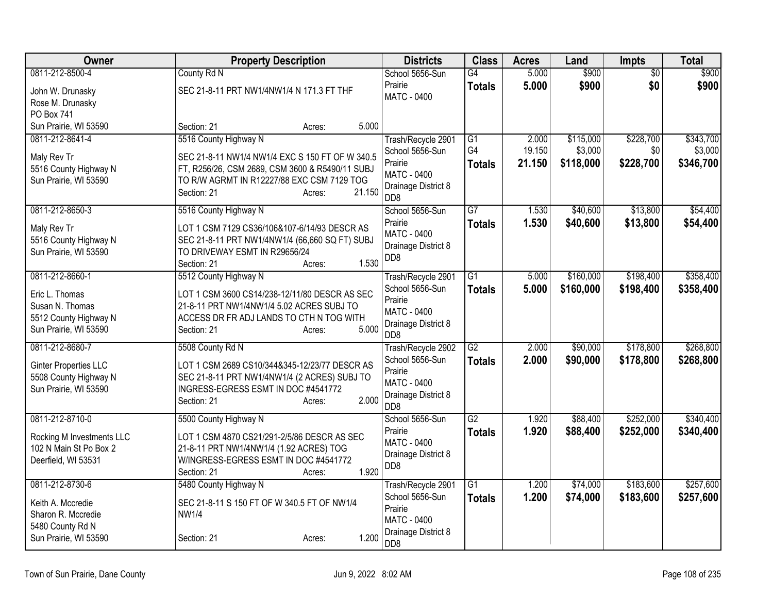| Owner                                                                                                   | <b>Property Description</b>                                                                                                                                                                                  | <b>Districts</b>                                                                                                  | <b>Class</b>                     | <b>Acres</b>              | Land                              | <b>Impts</b>                  | <b>Total</b>                      |
|---------------------------------------------------------------------------------------------------------|--------------------------------------------------------------------------------------------------------------------------------------------------------------------------------------------------------------|-------------------------------------------------------------------------------------------------------------------|----------------------------------|---------------------------|-----------------------------------|-------------------------------|-----------------------------------|
| 0811-212-8500-4<br>John W. Drunasky<br>Rose M. Drunasky<br>PO Box 741                                   | County Rd N<br>SEC 21-8-11 PRT NW1/4NW1/4 N 171.3 FT THF                                                                                                                                                     | School 5656-Sun<br>Prairie<br><b>MATC - 0400</b>                                                                  | G4<br><b>Totals</b>              | 5.000<br>5.000            | \$900<br>\$900                    | $\overline{50}$<br>\$0        | \$900<br>\$900                    |
| Sun Prairie, WI 53590                                                                                   | 5.000<br>Section: 21<br>Acres:                                                                                                                                                                               |                                                                                                                   |                                  |                           |                                   |                               |                                   |
| 0811-212-8641-4<br>Maly Rev Tr<br>5516 County Highway N<br>Sun Prairie, WI 53590                        | 5516 County Highway N<br>SEC 21-8-11 NW1/4 NW1/4 EXC S 150 FT OF W 340.5<br>FT, R256/26, CSM 2689, CSM 3600 & R5490/11 SUBJ<br>TO R/W AGRMT IN R12227/88 EXC CSM 7129 TOG<br>21.150<br>Section: 21<br>Acres: | Trash/Recycle 2901<br>School 5656-Sun<br>Prairie<br><b>MATC - 0400</b><br>Drainage District 8<br>D <sub>D</sub> 8 | G1<br>G4<br><b>Totals</b>        | 2.000<br>19.150<br>21.150 | \$115,000<br>\$3,000<br>\$118,000 | \$228,700<br>\$0<br>\$228,700 | \$343,700<br>\$3,000<br>\$346,700 |
| 0811-212-8650-3<br>Maly Rev Tr<br>5516 County Highway N<br>Sun Prairie, WI 53590                        | 5516 County Highway N<br>LOT 1 CSM 7129 CS36/106&107-6/14/93 DESCR AS<br>SEC 21-8-11 PRT NW1/4NW1/4 (66,660 SQ FT) SUBJ<br>TO DRIVEWAY ESMT IN R29656/24<br>1.530<br>Section: 21<br>Acres:                   | School 5656-Sun<br>Prairie<br><b>MATC - 0400</b><br>Drainage District 8<br>DD <sub>8</sub>                        | $\overline{G7}$<br><b>Totals</b> | 1.530<br>1.530            | \$40,600<br>\$40,600              | \$13,800<br>\$13,800          | \$54,400<br>\$54,400              |
| 0811-212-8660-1<br>Eric L. Thomas<br>Susan N. Thomas<br>5512 County Highway N<br>Sun Prairie, WI 53590  | 5512 County Highway N<br>LOT 1 CSM 3600 CS14/238-12/11/80 DESCR AS SEC<br>21-8-11 PRT NW1/4NW1/4 5.02 ACRES SUBJ TO<br>ACCESS DR FR ADJ LANDS TO CTH N TOG WITH<br>5.000<br>Section: 21<br>Acres:            | Trash/Recycle 2901<br>School 5656-Sun<br>Prairie<br>MATC - 0400<br>Drainage District 8<br>D <sub>D</sub> 8        | $\overline{G1}$<br><b>Totals</b> | 5.000<br>5.000            | \$160,000<br>\$160,000            | \$198,400<br>\$198,400        | \$358,400<br>\$358,400            |
| 0811-212-8680-7<br><b>Ginter Properties LLC</b><br>5508 County Highway N<br>Sun Prairie, WI 53590       | 5508 County Rd N<br>LOT 1 CSM 2689 CS10/344&345-12/23/77 DESCR AS<br>SEC 21-8-11 PRT NW1/4NW1/4 (2 ACRES) SUBJ TO<br>INGRESS-EGRESS ESMT IN DOC #4541772<br>2.000<br>Section: 21<br>Acres:                   | Trash/Recycle 2902<br>School 5656-Sun<br>Prairie<br><b>MATC - 0400</b><br>Drainage District 8<br>D <sub>D</sub> 8 | G2<br><b>Totals</b>              | 2.000<br>2.000            | \$90,000<br>\$90,000              | \$178,800<br>\$178,800        | \$268,800<br>\$268,800            |
| 0811-212-8710-0<br>Rocking M Investments LLC<br>102 N Main St Po Box 2<br>Deerfield, WI 53531           | 5500 County Highway N<br>LOT 1 CSM 4870 CS21/291-2/5/86 DESCR AS SEC<br>21-8-11 PRT NW1/4NW1/4 (1.92 ACRES) TOG<br>W/INGRESS-EGRESS ESMT IN DOC #4541772<br>1.920<br>Section: 21<br>Acres:                   | School 5656-Sun<br>Prairie<br>MATC - 0400<br>Drainage District 8<br>DD <sub>8</sub>                               | G2<br><b>Totals</b>              | 1.920<br>1.920            | \$88,400<br>\$88,400              | \$252,000<br>\$252,000        | \$340,400<br>\$340,400            |
| 0811-212-8730-6<br>Keith A. Mccredie<br>Sharon R. Mccredie<br>5480 County Rd N<br>Sun Prairie, WI 53590 | 5480 County Highway N<br>SEC 21-8-11 S 150 FT OF W 340.5 FT OF NW1/4<br><b>NW1/4</b><br>1.200<br>Section: 21<br>Acres:                                                                                       | Trash/Recycle 2901<br>School 5656-Sun<br>Prairie<br><b>MATC - 0400</b><br>Drainage District 8<br>D <sub>D</sub> 8 | $\overline{G1}$<br><b>Totals</b> | 1.200<br>1.200            | \$74,000<br>\$74,000              | \$183,600<br>\$183,600        | \$257,600<br>\$257,600            |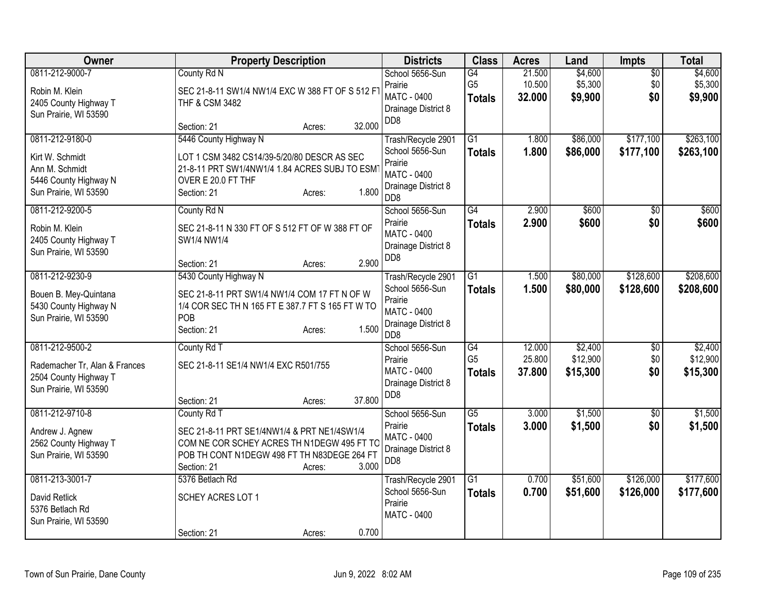| Owner                                                                                                  | <b>Property Description</b>                                                                                                                                                                                      | <b>Districts</b>                                                                                                  | <b>Class</b>                                       | <b>Acres</b>               | Land                            | <b>Impts</b>                  | <b>Total</b>                    |
|--------------------------------------------------------------------------------------------------------|------------------------------------------------------------------------------------------------------------------------------------------------------------------------------------------------------------------|-------------------------------------------------------------------------------------------------------------------|----------------------------------------------------|----------------------------|---------------------------------|-------------------------------|---------------------------------|
| 0811-212-9000-7<br>Robin M. Klein<br>2405 County Highway T<br>Sun Prairie, WI 53590                    | County Rd N<br>SEC 21-8-11 SW1/4 NW1/4 EXC W 388 FT OF S 512 FT<br>THF & CSM 3482                                                                                                                                | School 5656-Sun<br>Prairie<br><b>MATC - 0400</b><br>Drainage District 8<br>D <sub>D</sub> 8                       | G4<br>G <sub>5</sub><br><b>Totals</b>              | 21.500<br>10.500<br>32.000 | \$4,600<br>\$5,300<br>\$9,900   | $\overline{50}$<br>\$0<br>\$0 | \$4,600<br>\$5,300<br>\$9,900   |
| 0811-212-9180-0<br>Kirt W. Schmidt<br>Ann M. Schmidt<br>5446 County Highway N<br>Sun Prairie, WI 53590 | 32.000<br>Section: 21<br>Acres:<br>5446 County Highway N<br>LOT 1 CSM 3482 CS14/39-5/20/80 DESCR AS SEC<br>21-8-11 PRT SW1/4NW1/4 1.84 ACRES SUBJ TO ESM<br>OVER E 20.0 FT THF<br>1.800<br>Section: 21<br>Acres: | Trash/Recycle 2901<br>School 5656-Sun<br>Prairie<br><b>MATC - 0400</b><br>Drainage District 8<br>D <sub>D</sub> 8 | $\overline{G1}$<br><b>Totals</b>                   | 1.800<br>1.800             | \$86,000<br>\$86,000            | \$177,100<br>\$177,100        | \$263,100<br>\$263,100          |
| 0811-212-9200-5<br>Robin M. Klein<br>2405 County Highway T<br>Sun Prairie, WI 53590                    | County Rd N<br>SEC 21-8-11 N 330 FT OF S 512 FT OF W 388 FT OF<br>SW1/4 NW1/4<br>2.900<br>Section: 21<br>Acres:                                                                                                  | School 5656-Sun<br>Prairie<br>MATC - 0400<br>Drainage District 8<br>DD <sub>8</sub>                               | G4<br><b>Totals</b>                                | 2.900<br>2.900             | \$600<br>\$600                  | $\overline{50}$<br>\$0        | \$600<br>\$600                  |
| 0811-212-9230-9<br>Bouen B. Mey-Quintana<br>5430 County Highway N<br>Sun Prairie, WI 53590             | 5430 County Highway N<br>SEC 21-8-11 PRT SW1/4 NW1/4 COM 17 FT N OF W<br>1/4 COR SEC TH N 165 FT E 387.7 FT S 165 FT W TO<br>POB<br>1.500<br>Section: 21<br>Acres:                                               | Trash/Recycle 2901<br>School 5656-Sun<br>Prairie<br><b>MATC - 0400</b><br>Drainage District 8<br>D <sub>D</sub> 8 | $\overline{G1}$<br><b>Totals</b>                   | 1.500<br>1.500             | \$80,000<br>\$80,000            | \$128,600<br>\$128,600        | \$208,600<br>\$208,600          |
| 0811-212-9500-2<br>Rademacher Tr, Alan & Frances<br>2504 County Highway T<br>Sun Prairie, WI 53590     | County Rd T<br>SEC 21-8-11 SE1/4 NW1/4 EXC R501/755<br>37.800<br>Section: 21<br>Acres:                                                                                                                           | School 5656-Sun<br>Prairie<br><b>MATC - 0400</b><br>Drainage District 8<br>DD <sub>8</sub>                        | $\overline{G4}$<br>G <sub>5</sub><br><b>Totals</b> | 12.000<br>25.800<br>37.800 | \$2,400<br>\$12,900<br>\$15,300 | $\sqrt{6}$<br>\$0<br>\$0      | \$2,400<br>\$12,900<br>\$15,300 |
| 0811-212-9710-8<br>Andrew J. Agnew<br>2562 County Highway T<br>Sun Prairie, WI 53590                   | County Rd T<br>SEC 21-8-11 PRT SE1/4NW1/4 & PRT NE1/4SW1/4<br>COM NE COR SCHEY ACRES TH N1DEGW 495 FT TC<br>POB TH CONT N1DEGW 498 FT TH N83DEGE 264 FT<br>3.000<br>Section: 21<br>Acres:                        | School 5656-Sun<br>Prairie<br><b>MATC - 0400</b><br>Drainage District 8<br>D <sub>D</sub> 8                       | $\overline{G5}$<br><b>Totals</b>                   | 3.000<br>3.000             | \$1,500<br>\$1,500              | $\overline{30}$<br>\$0        | \$1,500<br>\$1,500              |
| 0811-213-3001-7<br>David Retlick<br>5376 Betlach Rd<br>Sun Prairie, WI 53590                           | 5376 Betlach Rd<br>SCHEY ACRES LOT 1<br>0.700<br>Section: 21<br>Acres:                                                                                                                                           | Trash/Recycle 2901<br>School 5656-Sun<br>Prairie<br><b>MATC - 0400</b>                                            | $\overline{G1}$<br><b>Totals</b>                   | 0.700<br>0.700             | \$51,600<br>\$51,600            | \$126,000<br>\$126,000        | \$177,600<br>\$177,600          |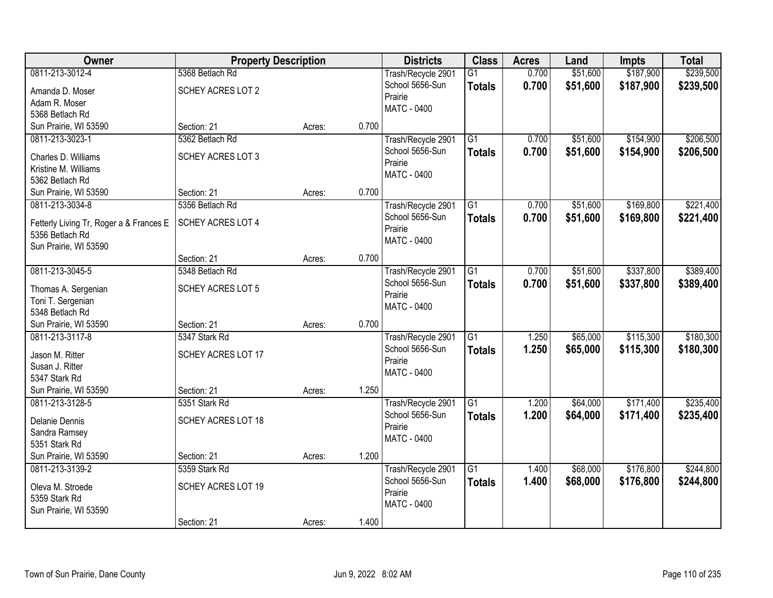| Owner                                    | <b>Property Description</b> |        |       | <b>Districts</b>                      | <b>Class</b>    | <b>Acres</b> | Land     | <b>Impts</b> | <b>Total</b> |
|------------------------------------------|-----------------------------|--------|-------|---------------------------------------|-----------------|--------------|----------|--------------|--------------|
| 0811-213-3012-4                          | 5368 Betlach Rd             |        |       | Trash/Recycle 2901                    | $\overline{G1}$ | 0.700        | \$51,600 | \$187,900    | \$239,500    |
| Amanda D. Moser                          | SCHEY ACRES LOT 2           |        |       | School 5656-Sun                       | <b>Totals</b>   | 0.700        | \$51,600 | \$187,900    | \$239,500    |
| Adam R. Moser                            |                             |        |       | Prairie                               |                 |              |          |              |              |
| 5368 Betlach Rd                          |                             |        |       | <b>MATC - 0400</b>                    |                 |              |          |              |              |
| Sun Prairie, WI 53590                    | Section: 21                 | Acres: | 0.700 |                                       |                 |              |          |              |              |
| 0811-213-3023-1                          | 5362 Betlach Rd             |        |       | Trash/Recycle 2901                    | $\overline{G1}$ | 0.700        | \$51,600 | \$154,900    | \$206,500    |
| Charles D. Williams                      | SCHEY ACRES LOT 3           |        |       | School 5656-Sun                       | <b>Totals</b>   | 0.700        | \$51,600 | \$154,900    | \$206,500    |
| Kristine M. Williams                     |                             |        |       | Prairie                               |                 |              |          |              |              |
| 5362 Betlach Rd                          |                             |        |       | <b>MATC - 0400</b>                    |                 |              |          |              |              |
| Sun Prairie, WI 53590                    | Section: 21                 | Acres: | 0.700 |                                       |                 |              |          |              |              |
| 0811-213-3034-8                          | 5356 Betlach Rd             |        |       | Trash/Recycle 2901                    | G1              | 0.700        | \$51,600 | \$169,800    | \$221,400    |
| Fetterly Living Tr, Roger a & Frances E  | SCHEY ACRES LOT 4           |        |       | School 5656-Sun                       | <b>Totals</b>   | 0.700        | \$51,600 | \$169,800    | \$221,400    |
| 5356 Betlach Rd                          |                             |        |       | Prairie                               |                 |              |          |              |              |
| Sun Prairie, WI 53590                    |                             |        |       | MATC - 0400                           |                 |              |          |              |              |
|                                          | Section: 21                 | Acres: | 0.700 |                                       |                 |              |          |              |              |
| 0811-213-3045-5                          | 5348 Betlach Rd             |        |       | Trash/Recycle 2901                    | G1              | 0.700        | \$51,600 | \$337,800    | \$389,400    |
|                                          |                             |        |       | School 5656-Sun                       | <b>Totals</b>   | 0.700        | \$51,600 | \$337,800    | \$389,400    |
| Thomas A. Sergenian                      | SCHEY ACRES LOT 5           |        |       | Prairie                               |                 |              |          |              |              |
| Toni T. Sergenian<br>5348 Betlach Rd     |                             |        |       | MATC - 0400                           |                 |              |          |              |              |
| Sun Prairie, WI 53590                    | Section: 21                 | Acres: | 0.700 |                                       |                 |              |          |              |              |
| 0811-213-3117-8                          | 5347 Stark Rd               |        |       | Trash/Recycle 2901                    | $\overline{G1}$ | 1.250        | \$65,000 | \$115,300    | \$180,300    |
|                                          |                             |        |       | School 5656-Sun                       | <b>Totals</b>   | 1.250        | \$65,000 | \$115,300    | \$180,300    |
| Jason M. Ritter                          | SCHEY ACRES LOT 17          |        |       | Prairie                               |                 |              |          |              |              |
| Susan J. Ritter                          |                             |        |       | MATC - 0400                           |                 |              |          |              |              |
| 5347 Stark Rd                            | Section: 21                 |        | 1.250 |                                       |                 |              |          |              |              |
| Sun Prairie, WI 53590<br>0811-213-3128-5 | 5351 Stark Rd               | Acres: |       |                                       | $\overline{G1}$ | 1.200        | \$64,000 | \$171,400    | \$235,400    |
|                                          |                             |        |       | Trash/Recycle 2901<br>School 5656-Sun | <b>Totals</b>   | 1.200        | \$64,000 | \$171,400    | \$235,400    |
| Delanie Dennis                           | SCHEY ACRES LOT 18          |        |       | Prairie                               |                 |              |          |              |              |
| Sandra Ramsey                            |                             |        |       | <b>MATC - 0400</b>                    |                 |              |          |              |              |
| 5351 Stark Rd                            |                             |        |       |                                       |                 |              |          |              |              |
| Sun Prairie, WI 53590                    | Section: 21                 | Acres: | 1.200 |                                       |                 |              |          |              |              |
| 0811-213-3139-2                          | 5359 Stark Rd               |        |       | Trash/Recycle 2901                    | $\overline{G1}$ | 1.400        | \$68,000 | \$176,800    | \$244,800    |
| Oleva M. Stroede                         | SCHEY ACRES LOT 19          |        |       | School 5656-Sun                       | <b>Totals</b>   | 1.400        | \$68,000 | \$176,800    | \$244,800    |
| 5359 Stark Rd                            |                             |        |       | Prairie<br>MATC - 0400                |                 |              |          |              |              |
| Sun Prairie, WI 53590                    |                             |        |       |                                       |                 |              |          |              |              |
|                                          | Section: 21                 | Acres: | 1.400 |                                       |                 |              |          |              |              |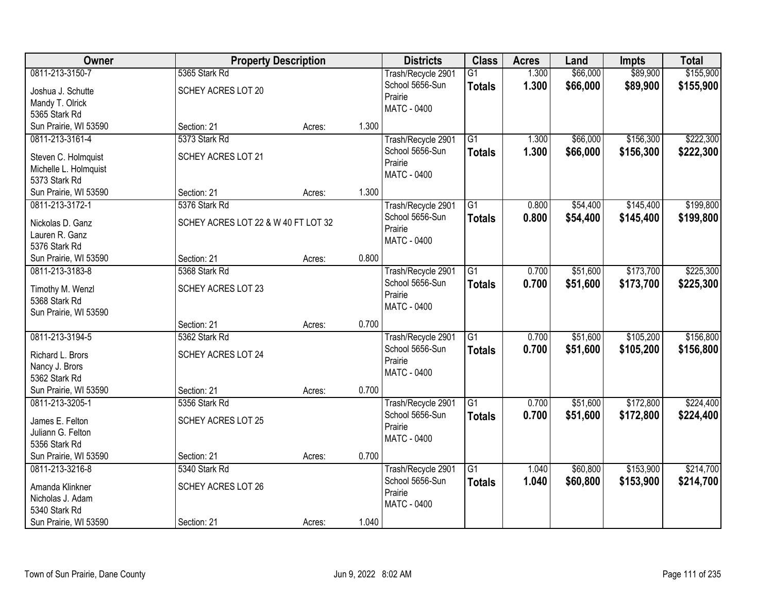| Owner                 | <b>Property Description</b>         |        |       | <b>Districts</b>                      | <b>Class</b>    | <b>Acres</b> | Land     | <b>Impts</b> | <b>Total</b> |
|-----------------------|-------------------------------------|--------|-------|---------------------------------------|-----------------|--------------|----------|--------------|--------------|
| 0811-213-3150-7       | 5365 Stark Rd                       |        |       | Trash/Recycle 2901                    | $\overline{G1}$ | 1.300        | \$66,000 | \$89,900     | \$155,900    |
| Joshua J. Schutte     | SCHEY ACRES LOT 20                  |        |       | School 5656-Sun                       | <b>Totals</b>   | 1.300        | \$66,000 | \$89,900     | \$155,900    |
| Mandy T. Olrick       |                                     |        |       | Prairie                               |                 |              |          |              |              |
| 5365 Stark Rd         |                                     |        |       | <b>MATC - 0400</b>                    |                 |              |          |              |              |
| Sun Prairie, WI 53590 | Section: 21                         | Acres: | 1.300 |                                       |                 |              |          |              |              |
| 0811-213-3161-4       | 5373 Stark Rd                       |        |       | Trash/Recycle 2901                    | $\overline{G1}$ | 1.300        | \$66,000 | \$156,300    | \$222,300    |
| Steven C. Holmquist   | SCHEY ACRES LOT 21                  |        |       | School 5656-Sun                       | <b>Totals</b>   | 1.300        | \$66,000 | \$156,300    | \$222,300    |
| Michelle L. Holmquist |                                     |        |       | Prairie                               |                 |              |          |              |              |
| 5373 Stark Rd         |                                     |        |       | <b>MATC - 0400</b>                    |                 |              |          |              |              |
| Sun Prairie, WI 53590 | Section: 21                         | Acres: | 1.300 |                                       |                 |              |          |              |              |
| 0811-213-3172-1       | 5376 Stark Rd                       |        |       | Trash/Recycle 2901                    | G1              | 0.800        | \$54,400 | \$145,400    | \$199,800    |
| Nickolas D. Ganz      | SCHEY ACRES LOT 22 & W 40 FT LOT 32 |        |       | School 5656-Sun                       | <b>Totals</b>   | 0.800        | \$54,400 | \$145,400    | \$199,800    |
| Lauren R. Ganz        |                                     |        |       | Prairie                               |                 |              |          |              |              |
| 5376 Stark Rd         |                                     |        |       | MATC - 0400                           |                 |              |          |              |              |
| Sun Prairie, WI 53590 | Section: 21                         | Acres: | 0.800 |                                       |                 |              |          |              |              |
| 0811-213-3183-8       | 5368 Stark Rd                       |        |       | Trash/Recycle 2901                    | G1              | 0.700        | \$51,600 | \$173,700    | \$225,300    |
|                       |                                     |        |       | School 5656-Sun                       | <b>Totals</b>   | 0.700        | \$51,600 | \$173,700    | \$225,300    |
| Timothy M. Wenzl      | SCHEY ACRES LOT 23                  |        |       | Prairie                               |                 |              |          |              |              |
| 5368 Stark Rd         |                                     |        |       | MATC - 0400                           |                 |              |          |              |              |
| Sun Prairie, WI 53590 |                                     |        | 0.700 |                                       |                 |              |          |              |              |
| 0811-213-3194-5       | Section: 21<br>5362 Stark Rd        | Acres: |       |                                       | $\overline{G1}$ | 0.700        | \$51,600 | \$105,200    | \$156,800    |
|                       |                                     |        |       | Trash/Recycle 2901<br>School 5656-Sun |                 |              |          |              |              |
| Richard L. Brors      | SCHEY ACRES LOT 24                  |        |       | Prairie                               | <b>Totals</b>   | 0.700        | \$51,600 | \$105,200    | \$156,800    |
| Nancy J. Brors        |                                     |        |       | MATC - 0400                           |                 |              |          |              |              |
| 5362 Stark Rd         |                                     |        |       |                                       |                 |              |          |              |              |
| Sun Prairie, WI 53590 | Section: 21                         | Acres: | 0.700 |                                       |                 |              |          |              |              |
| 0811-213-3205-1       | 5356 Stark Rd                       |        |       | Trash/Recycle 2901                    | $\overline{G1}$ | 0.700        | \$51,600 | \$172,800    | \$224,400    |
| James E. Felton       | SCHEY ACRES LOT 25                  |        |       | School 5656-Sun                       | <b>Totals</b>   | 0.700        | \$51,600 | \$172,800    | \$224,400    |
| Juliann G. Felton     |                                     |        |       | Prairie                               |                 |              |          |              |              |
| 5356 Stark Rd         |                                     |        |       | MATC - 0400                           |                 |              |          |              |              |
| Sun Prairie, WI 53590 | Section: 21                         | Acres: | 0.700 |                                       |                 |              |          |              |              |
| 0811-213-3216-8       | 5340 Stark Rd                       |        |       | Trash/Recycle 2901                    | $\overline{G1}$ | 1.040        | \$60,800 | \$153,900    | \$214,700    |
| Amanda Klinkner       | SCHEY ACRES LOT 26                  |        |       | School 5656-Sun                       | <b>Totals</b>   | 1.040        | \$60,800 | \$153,900    | \$214,700    |
| Nicholas J. Adam      |                                     |        |       | Prairie                               |                 |              |          |              |              |
| 5340 Stark Rd         |                                     |        |       | MATC - 0400                           |                 |              |          |              |              |
| Sun Prairie, WI 53590 | Section: 21                         | Acres: | 1.040 |                                       |                 |              |          |              |              |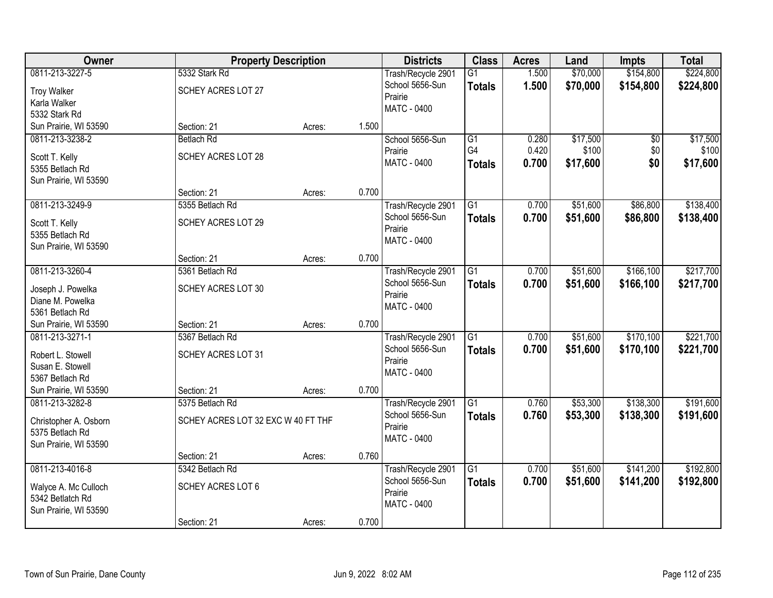| Owner                             | <b>Property Description</b>        |                 | <b>Districts</b>   | <b>Class</b>    | <b>Acres</b> | Land     | <b>Impts</b>    | <b>Total</b> |
|-----------------------------------|------------------------------------|-----------------|--------------------|-----------------|--------------|----------|-----------------|--------------|
| 0811-213-3227-5                   | 5332 Stark Rd                      |                 | Trash/Recycle 2901 | $\overline{G1}$ | 1.500        | \$70,000 | \$154,800       | \$224,800    |
| <b>Troy Walker</b>                | SCHEY ACRES LOT 27                 |                 | School 5656-Sun    | <b>Totals</b>   | 1.500        | \$70,000 | \$154,800       | \$224,800    |
| Karla Walker                      |                                    |                 | Prairie            |                 |              |          |                 |              |
| 5332 Stark Rd                     |                                    |                 | <b>MATC - 0400</b> |                 |              |          |                 |              |
| Sun Prairie, WI 53590             | Section: 21                        | 1.500<br>Acres: |                    |                 |              |          |                 |              |
| 0811-213-3238-2                   | <b>Betlach Rd</b>                  |                 | School 5656-Sun    | G1              | 0.280        | \$17,500 | $\overline{50}$ | \$17,500     |
|                                   | SCHEY ACRES LOT 28                 |                 | Prairie            | G4              | 0.420        | \$100    | \$0             | \$100        |
| Scott T. Kelly<br>5355 Betlach Rd |                                    |                 | MATC - 0400        | <b>Totals</b>   | 0.700        | \$17,600 | \$0             | \$17,600     |
| Sun Prairie, WI 53590             |                                    |                 |                    |                 |              |          |                 |              |
|                                   | Section: 21                        | 0.700<br>Acres: |                    |                 |              |          |                 |              |
| 0811-213-3249-9                   | 5355 Betlach Rd                    |                 | Trash/Recycle 2901 | G1              | 0.700        | \$51,600 | \$86,800        | \$138,400    |
|                                   |                                    |                 | School 5656-Sun    | <b>Totals</b>   | 0.700        | \$51,600 | \$86,800        | \$138,400    |
| Scott T. Kelly                    | SCHEY ACRES LOT 29                 |                 | Prairie            |                 |              |          |                 |              |
| 5355 Betlach Rd                   |                                    |                 | MATC - 0400        |                 |              |          |                 |              |
| Sun Prairie, WI 53590             | Section: 21                        | 0.700<br>Acres: |                    |                 |              |          |                 |              |
| 0811-213-3260-4                   | 5361 Betlach Rd                    |                 | Trash/Recycle 2901 | G1              | 0.700        | \$51,600 | \$166,100       | \$217,700    |
|                                   |                                    |                 | School 5656-Sun    |                 |              |          |                 |              |
| Joseph J. Powelka                 | SCHEY ACRES LOT 30                 |                 | Prairie            | <b>Totals</b>   | 0.700        | \$51,600 | \$166,100       | \$217,700    |
| Diane M. Powelka                  |                                    |                 | <b>MATC - 0400</b> |                 |              |          |                 |              |
| 5361 Betlach Rd                   |                                    |                 |                    |                 |              |          |                 |              |
| Sun Prairie, WI 53590             | Section: 21                        | 0.700<br>Acres: |                    |                 |              |          |                 |              |
| 0811-213-3271-1                   | 5367 Betlach Rd                    |                 | Trash/Recycle 2901 | G1              | 0.700        | \$51,600 | \$170,100       | \$221,700    |
| Robert L. Stowell                 | SCHEY ACRES LOT 31                 |                 | School 5656-Sun    | <b>Totals</b>   | 0.700        | \$51,600 | \$170,100       | \$221,700    |
| Susan E. Stowell                  |                                    |                 | Prairie            |                 |              |          |                 |              |
| 5367 Betlach Rd                   |                                    |                 | MATC - 0400        |                 |              |          |                 |              |
| Sun Prairie, WI 53590             | Section: 21                        | 0.700<br>Acres: |                    |                 |              |          |                 |              |
| 0811-213-3282-8                   | 5375 Betlach Rd                    |                 | Trash/Recycle 2901 | $\overline{G1}$ | 0.760        | \$53,300 | \$138,300       | \$191,600    |
| Christopher A. Osborn             | SCHEY ACRES LOT 32 EXC W 40 FT THF |                 | School 5656-Sun    | <b>Totals</b>   | 0.760        | \$53,300 | \$138,300       | \$191,600    |
| 5375 Betlach Rd                   |                                    |                 | Prairie            |                 |              |          |                 |              |
| Sun Prairie, WI 53590             |                                    |                 | MATC - 0400        |                 |              |          |                 |              |
|                                   | Section: 21                        | 0.760<br>Acres: |                    |                 |              |          |                 |              |
| 0811-213-4016-8                   | 5342 Betlach Rd                    |                 | Trash/Recycle 2901 | $\overline{G1}$ | 0.700        | \$51,600 | \$141,200       | \$192,800    |
|                                   |                                    |                 | School 5656-Sun    | <b>Totals</b>   | 0.700        | \$51,600 | \$141,200       | \$192,800    |
| Walyce A. Mc Culloch              | SCHEY ACRES LOT 6                  |                 | Prairie            |                 |              |          |                 |              |
| 5342 Betlatch Rd                  |                                    |                 | MATC - 0400        |                 |              |          |                 |              |
| Sun Prairie, WI 53590             |                                    |                 |                    |                 |              |          |                 |              |
|                                   | Section: 21                        | 0.700<br>Acres: |                    |                 |              |          |                 |              |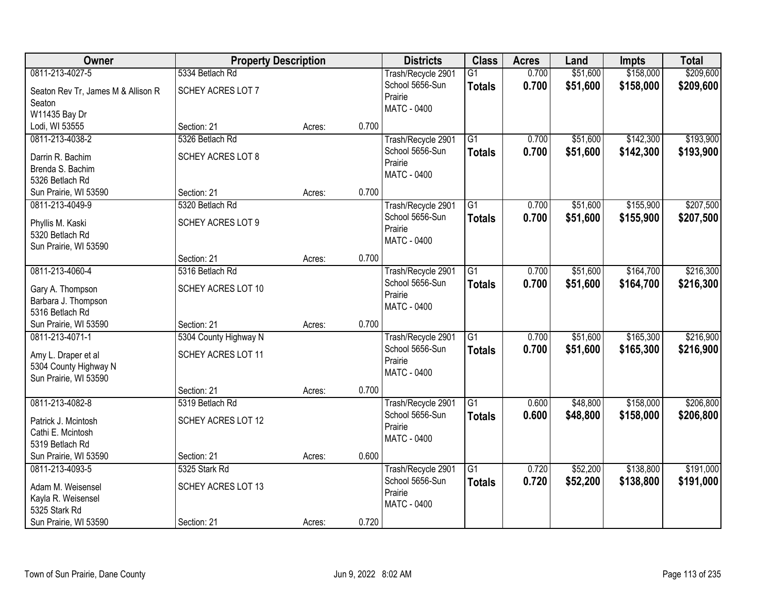| Owner                                        | <b>Property Description</b> |        |       | <b>Districts</b>   | <b>Class</b>    | <b>Acres</b> | Land     | <b>Impts</b> | <b>Total</b> |
|----------------------------------------------|-----------------------------|--------|-------|--------------------|-----------------|--------------|----------|--------------|--------------|
| 0811-213-4027-5                              | 5334 Betlach Rd             |        |       | Trash/Recycle 2901 | $\overline{G1}$ | 0.700        | \$51,600 | \$158,000    | \$209,600    |
| Seaton Rev Tr, James M & Allison R           | SCHEY ACRES LOT 7           |        |       | School 5656-Sun    | <b>Totals</b>   | 0.700        | \$51,600 | \$158,000    | \$209,600    |
| Seaton                                       |                             |        |       | Prairie            |                 |              |          |              |              |
| W11435 Bay Dr                                |                             |        |       | MATC - 0400        |                 |              |          |              |              |
| Lodi, WI 53555                               | Section: 21                 | Acres: | 0.700 |                    |                 |              |          |              |              |
| 0811-213-4038-2                              | 5326 Betlach Rd             |        |       | Trash/Recycle 2901 | $\overline{G1}$ | 0.700        | \$51,600 | \$142,300    | \$193,900    |
| Darrin R. Bachim                             | SCHEY ACRES LOT 8           |        |       | School 5656-Sun    | <b>Totals</b>   | 0.700        | \$51,600 | \$142,300    | \$193,900    |
| Brenda S. Bachim                             |                             |        |       | Prairie            |                 |              |          |              |              |
| 5326 Betlach Rd                              |                             |        |       | <b>MATC - 0400</b> |                 |              |          |              |              |
| Sun Prairie, WI 53590                        | Section: 21                 | Acres: | 0.700 |                    |                 |              |          |              |              |
| 0811-213-4049-9                              | 5320 Betlach Rd             |        |       | Trash/Recycle 2901 | G1              | 0.700        | \$51,600 | \$155,900    | \$207,500    |
| Phyllis M. Kaski                             | SCHEY ACRES LOT 9           |        |       | School 5656-Sun    | <b>Totals</b>   | 0.700        | \$51,600 | \$155,900    | \$207,500    |
| 5320 Betlach Rd                              |                             |        |       | Prairie            |                 |              |          |              |              |
| Sun Prairie, WI 53590                        |                             |        |       | MATC - 0400        |                 |              |          |              |              |
|                                              | Section: 21                 | Acres: | 0.700 |                    |                 |              |          |              |              |
| 0811-213-4060-4                              | 5316 Betlach Rd             |        |       | Trash/Recycle 2901 | $\overline{G1}$ | 0.700        | \$51,600 | \$164,700    | \$216,300    |
| Gary A. Thompson                             | SCHEY ACRES LOT 10          |        |       | School 5656-Sun    | <b>Totals</b>   | 0.700        | \$51,600 | \$164,700    | \$216,300    |
| Barbara J. Thompson                          |                             |        |       | Prairie            |                 |              |          |              |              |
| 5316 Betlach Rd                              |                             |        |       | <b>MATC - 0400</b> |                 |              |          |              |              |
| Sun Prairie, WI 53590                        | Section: 21                 | Acres: | 0.700 |                    |                 |              |          |              |              |
| 0811-213-4071-1                              | 5304 County Highway N       |        |       | Trash/Recycle 2901 | $\overline{G1}$ | 0.700        | \$51,600 | \$165,300    | \$216,900    |
|                                              |                             |        |       | School 5656-Sun    | <b>Totals</b>   | 0.700        | \$51,600 | \$165,300    | \$216,900    |
| Amy L. Draper et al<br>5304 County Highway N | SCHEY ACRES LOT 11          |        |       | Prairie            |                 |              |          |              |              |
| Sun Prairie, WI 53590                        |                             |        |       | MATC - 0400        |                 |              |          |              |              |
|                                              | Section: 21                 | Acres: | 0.700 |                    |                 |              |          |              |              |
| 0811-213-4082-8                              | 5319 Betlach Rd             |        |       | Trash/Recycle 2901 | $\overline{G1}$ | 0.600        | \$48,800 | \$158,000    | \$206,800    |
|                                              | SCHEY ACRES LOT 12          |        |       | School 5656-Sun    | <b>Totals</b>   | 0.600        | \$48,800 | \$158,000    | \$206,800    |
| Patrick J. Mcintosh<br>Cathi E. Mcintosh     |                             |        |       | Prairie            |                 |              |          |              |              |
| 5319 Betlach Rd                              |                             |        |       | <b>MATC - 0400</b> |                 |              |          |              |              |
| Sun Prairie, WI 53590                        | Section: 21                 | Acres: | 0.600 |                    |                 |              |          |              |              |
| 0811-213-4093-5                              | 5325 Stark Rd               |        |       | Trash/Recycle 2901 | G1              | 0.720        | \$52,200 | \$138,800    | \$191,000    |
|                                              |                             |        |       | School 5656-Sun    | <b>Totals</b>   | 0.720        | \$52,200 | \$138,800    | \$191,000    |
| Adam M. Weisensel                            | SCHEY ACRES LOT 13          |        |       | Prairie            |                 |              |          |              |              |
| Kayla R. Weisensel<br>5325 Stark Rd          |                             |        |       | MATC - 0400        |                 |              |          |              |              |
| Sun Prairie, WI 53590                        | Section: 21                 | Acres: | 0.720 |                    |                 |              |          |              |              |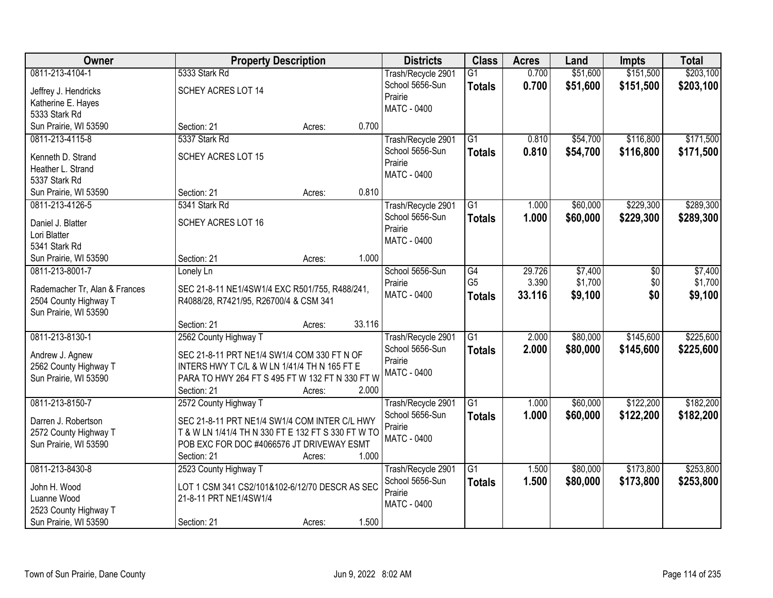| Owner                                    | <b>Property Description</b>                        |        |        | <b>Districts</b>   | <b>Class</b>    | <b>Acres</b> | Land     | <b>Impts</b> | <b>Total</b> |
|------------------------------------------|----------------------------------------------------|--------|--------|--------------------|-----------------|--------------|----------|--------------|--------------|
| 0811-213-4104-1                          | 5333 Stark Rd                                      |        |        | Trash/Recycle 2901 | $\overline{G1}$ | 0.700        | \$51,600 | \$151,500    | \$203,100    |
| Jeffrey J. Hendricks                     | SCHEY ACRES LOT 14                                 |        |        | School 5656-Sun    | <b>Totals</b>   | 0.700        | \$51,600 | \$151,500    | \$203,100    |
| Katherine E. Hayes                       |                                                    |        |        | Prairie            |                 |              |          |              |              |
| 5333 Stark Rd                            |                                                    |        |        | MATC - 0400        |                 |              |          |              |              |
| Sun Prairie, WI 53590                    | Section: 21                                        | Acres: | 0.700  |                    |                 |              |          |              |              |
| 0811-213-4115-8                          | 5337 Stark Rd                                      |        |        | Trash/Recycle 2901 | $\overline{G1}$ | 0.810        | \$54,700 | \$116,800    | \$171,500    |
| Kenneth D. Strand                        | <b>SCHEY ACRES LOT 15</b>                          |        |        | School 5656-Sun    | <b>Totals</b>   | 0.810        | \$54,700 | \$116,800    | \$171,500    |
| Heather L. Strand                        |                                                    |        |        | Prairie            |                 |              |          |              |              |
| 5337 Stark Rd                            |                                                    |        |        | <b>MATC - 0400</b> |                 |              |          |              |              |
| Sun Prairie, WI 53590                    | Section: 21                                        | Acres: | 0.810  |                    |                 |              |          |              |              |
| 0811-213-4126-5                          | 5341 Stark Rd                                      |        |        | Trash/Recycle 2901 | $\overline{G1}$ | 1.000        | \$60,000 | \$229,300    | \$289,300    |
|                                          |                                                    |        |        | School 5656-Sun    | <b>Totals</b>   | 1.000        | \$60,000 | \$229,300    | \$289,300    |
| Daniel J. Blatter                        | SCHEY ACRES LOT 16                                 |        |        | Prairie            |                 |              |          |              |              |
| Lori Blatter<br>5341 Stark Rd            |                                                    |        |        | MATC - 0400        |                 |              |          |              |              |
|                                          | Section: 21                                        |        | 1.000  |                    |                 |              |          |              |              |
| Sun Prairie, WI 53590<br>0811-213-8001-7 |                                                    | Acres: |        | School 5656-Sun    | G4              | 29.726       | \$7,400  |              | \$7,400      |
|                                          | Lonely Ln                                          |        |        | Prairie            | G <sub>5</sub>  | 3.390        | \$1,700  | \$0<br>\$0   | \$1,700      |
| Rademacher Tr, Alan & Frances            | SEC 21-8-11 NE1/4SW1/4 EXC R501/755, R488/241,     |        |        | <b>MATC - 0400</b> |                 | 33.116       | \$9,100  | \$0          | \$9,100      |
| 2504 County Highway T                    | R4088/28, R7421/95, R26700/4 & CSM 341             |        |        |                    | <b>Totals</b>   |              |          |              |              |
| Sun Prairie, WI 53590                    |                                                    |        |        |                    |                 |              |          |              |              |
|                                          | Section: 21                                        | Acres: | 33.116 |                    |                 |              |          |              |              |
| 0811-213-8130-1                          | 2562 County Highway T                              |        |        | Trash/Recycle 2901 | $\overline{G1}$ | 2.000        | \$80,000 | \$145,600    | \$225,600    |
| Andrew J. Agnew                          | SEC 21-8-11 PRT NE1/4 SW1/4 COM 330 FT N OF        |        |        | School 5656-Sun    | <b>Totals</b>   | 2.000        | \$80,000 | \$145,600    | \$225,600    |
| 2562 County Highway T                    | INTERS HWY T C/L & W LN 1/41/4 TH N 165 FT E       |        |        | Prairie            |                 |              |          |              |              |
| Sun Prairie, WI 53590                    | PARA TO HWY 264 FT S 495 FT W 132 FT N 330 FT W    |        |        | <b>MATC - 0400</b> |                 |              |          |              |              |
|                                          | Section: 21                                        | Acres: | 2.000  |                    |                 |              |          |              |              |
| 0811-213-8150-7                          | 2572 County Highway T                              |        |        | Trash/Recycle 2901 | $\overline{G1}$ | 1.000        | \$60,000 | \$122,200    | \$182,200    |
| Darren J. Robertson                      | SEC 21-8-11 PRT NE1/4 SW1/4 COM INTER C/L HWY      |        |        | School 5656-Sun    | <b>Totals</b>   | 1.000        | \$60,000 | \$122,200    | \$182,200    |
| 2572 County Highway T                    | T & W LN 1/41/4 TH N 330 FT E 132 FT S 330 FT W TO |        |        | Prairie            |                 |              |          |              |              |
| Sun Prairie, WI 53590                    | POB EXC FOR DOC #4066576 JT DRIVEWAY ESMT          |        |        | MATC - 0400        |                 |              |          |              |              |
|                                          | Section: 21                                        | Acres: | 1.000  |                    |                 |              |          |              |              |
| 0811-213-8430-8                          | 2523 County Highway T                              |        |        | Trash/Recycle 2901 | $\overline{G1}$ | 1.500        | \$80,000 | \$173,800    | \$253,800    |
|                                          |                                                    |        |        | School 5656-Sun    | <b>Totals</b>   | 1.500        | \$80,000 | \$173,800    | \$253,800    |
| John H. Wood                             | LOT 1 CSM 341 CS2/101&102-6/12/70 DESCR AS SEC     |        |        | Prairie            |                 |              |          |              |              |
| Luanne Wood                              | 21-8-11 PRT NE1/4SW1/4                             |        |        | MATC - 0400        |                 |              |          |              |              |
| 2523 County Highway T                    |                                                    |        |        |                    |                 |              |          |              |              |
| Sun Prairie, WI 53590                    | Section: 21                                        | Acres: | 1.500  |                    |                 |              |          |              |              |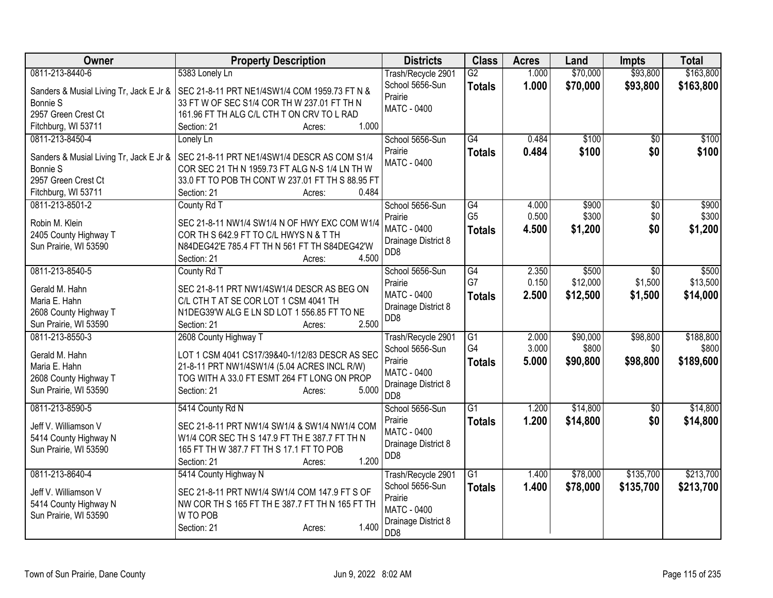| <b>Owner</b>                            | <b>Property Description</b>                      | <b>Districts</b>           | <b>Class</b>    | <b>Acres</b> | Land     | <b>Impts</b>    | <b>Total</b> |
|-----------------------------------------|--------------------------------------------------|----------------------------|-----------------|--------------|----------|-----------------|--------------|
| 0811-213-8440-6                         | 5383 Lonely Ln                                   | Trash/Recycle 2901         | $\overline{G2}$ | 1.000        | \$70,000 | \$93,800        | \$163,800    |
| Sanders & Musial Living Tr, Jack E Jr & | SEC 21-8-11 PRT NE1/4SW1/4 COM 1959.73 FT N &    | School 5656-Sun            | <b>Totals</b>   | 1.000        | \$70,000 | \$93,800        | \$163,800    |
| Bonnie S                                | 33 FT W OF SEC S1/4 COR TH W 237.01 FT TH N      | Prairie                    |                 |              |          |                 |              |
| 2957 Green Crest Ct                     | 161.96 FT TH ALG C/L CTH T ON CRV TO L RAD       | <b>MATC - 0400</b>         |                 |              |          |                 |              |
| Fitchburg, WI 53711                     | 1.000<br>Section: 21<br>Acres:                   |                            |                 |              |          |                 |              |
| 0811-213-8450-4                         | Lonely Ln                                        | School 5656-Sun            | $\overline{G4}$ | 0.484        | \$100    | \$0             | \$100        |
| Sanders & Musial Living Tr, Jack E Jr & | SEC 21-8-11 PRT NE1/4SW1/4 DESCR AS COM S1/4     | Prairie                    | <b>Totals</b>   | 0.484        | \$100    | \$0             | \$100        |
| Bonnie S                                | COR SEC 21 TH N 1959.73 FT ALG N-S 1/4 LN TH W   | <b>MATC - 0400</b>         |                 |              |          |                 |              |
| 2957 Green Crest Ct                     | 33.0 FT TO POB TH CONT W 237.01 FT TH S 88.95 FT |                            |                 |              |          |                 |              |
| Fitchburg, WI 53711                     | 0.484<br>Section: 21<br>Acres:                   |                            |                 |              |          |                 |              |
| 0811-213-8501-2                         | County Rd T                                      | School 5656-Sun            | G4              | 4.000        | \$900    | \$0             | \$900        |
| Robin M. Klein                          | SEC 21-8-11 NW1/4 SW1/4 N OF HWY EXC COM W1/4    | Prairie                    | G <sub>5</sub>  | 0.500        | \$300    | \$0             | \$300        |
| 2405 County Highway T                   | COR TH S 642.9 FT TO C/L HWYS N & T TH           | <b>MATC - 0400</b>         | <b>Totals</b>   | 4.500        | \$1,200  | \$0             | \$1,200      |
| Sun Prairie, WI 53590                   | N84DEG42'E 785.4 FT TH N 561 FT TH S84DEG42'W    | Drainage District 8        |                 |              |          |                 |              |
|                                         | 4.500<br>Section: 21<br>Acres:                   | D <sub>D</sub> 8           |                 |              |          |                 |              |
| 0811-213-8540-5                         | County Rd T                                      | School 5656-Sun            | $\overline{G4}$ | 2.350        | \$500    | \$0             | \$500        |
| Gerald M. Hahn                          | SEC 21-8-11 PRT NW1/4SW1/4 DESCR AS BEG ON       | Prairie                    | G7              | 0.150        | \$12,000 | \$1,500         | \$13,500     |
| Maria E. Hahn                           | C/L CTH T AT SE COR LOT 1 CSM 4041 TH            | MATC - 0400                | <b>Totals</b>   | 2.500        | \$12,500 | \$1,500         | \$14,000     |
| 2608 County Highway T                   | N1DEG39'W ALG E LN SD LOT 1 556.85 FT TO NE      | Drainage District 8        |                 |              |          |                 |              |
| Sun Prairie, WI 53590                   | 2.500<br>Section: 21<br>Acres:                   | D <sub>D</sub> 8           |                 |              |          |                 |              |
| 0811-213-8550-3                         | 2608 County Highway T                            | Trash/Recycle 2901         | $\overline{G1}$ | 2.000        | \$90,000 | \$98,800        | \$188,800    |
| Gerald M. Hahn                          | LOT 1 CSM 4041 CS17/39&40-1/12/83 DESCR AS SEC   | School 5656-Sun            | G4              | 3.000        | \$800    | \$0             | \$800        |
| Maria E. Hahn                           | 21-8-11 PRT NW1/4SW1/4 (5.04 ACRES INCL R/W)     | Prairie                    | <b>Totals</b>   | 5.000        | \$90,800 | \$98,800        | \$189,600    |
| 2608 County Highway T                   | TOG WITH A 33.0 FT ESMT 264 FT LONG ON PROP      | <b>MATC - 0400</b>         |                 |              |          |                 |              |
| Sun Prairie, WI 53590                   | 5.000<br>Section: 21<br>Acres:                   | Drainage District 8        |                 |              |          |                 |              |
|                                         |                                                  | DD <sub>8</sub>            | $\overline{G1}$ |              | \$14,800 |                 | \$14,800     |
| 0811-213-8590-5                         | 5414 County Rd N                                 | School 5656-Sun<br>Prairie |                 | 1.200        |          | $\overline{50}$ |              |
| Jeff V. Williamson V                    | SEC 21-8-11 PRT NW1/4 SW1/4 & SW1/4 NW1/4 COM    | MATC - 0400                | <b>Totals</b>   | 1.200        | \$14,800 | \$0             | \$14,800     |
| 5414 County Highway N                   | W1/4 COR SEC TH S 147.9 FT TH E 387.7 FT TH N    | Drainage District 8        |                 |              |          |                 |              |
| Sun Prairie, WI 53590                   | 165 FT TH W 387.7 FT TH S 17.1 FT TO POB         | D <sub>D</sub> 8           |                 |              |          |                 |              |
|                                         | 1.200<br>Section: 21<br>Acres:                   |                            |                 |              |          |                 |              |
| 0811-213-8640-4                         | 5414 County Highway N                            | Trash/Recycle 2901         | G1              | 1.400        | \$78,000 | \$135,700       | \$213,700    |
| Jeff V. Williamson V                    | SEC 21-8-11 PRT NW1/4 SW1/4 COM 147.9 FT S OF    | School 5656-Sun<br>Prairie | <b>Totals</b>   | 1.400        | \$78,000 | \$135,700       | \$213,700    |
| 5414 County Highway N                   | NW COR TH S 165 FT TH E 387.7 FT TH N 165 FT TH  | MATC - 0400                |                 |              |          |                 |              |
| Sun Prairie, WI 53590                   | W TO POB                                         | Drainage District 8        |                 |              |          |                 |              |
|                                         | 1.400<br>Section: 21<br>Acres:                   | D <sub>D</sub> 8           |                 |              |          |                 |              |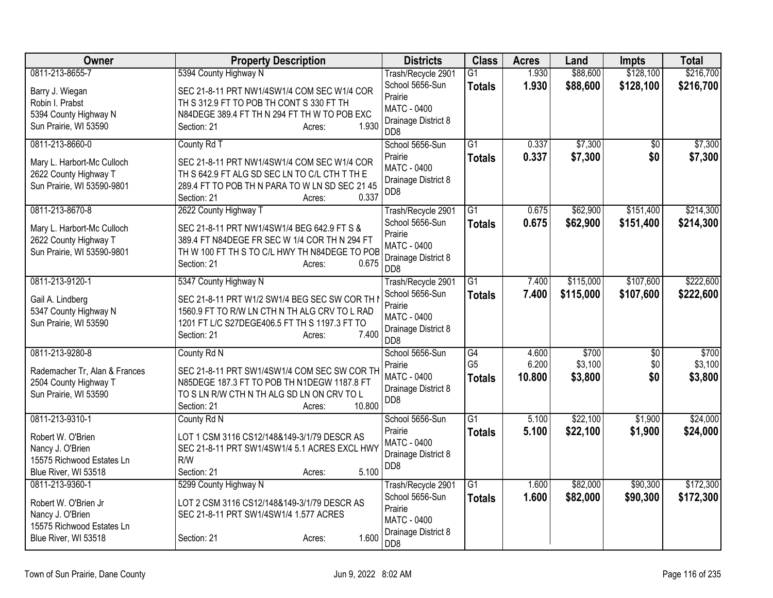| Owner                         | <b>Property Description</b>                    | <b>Districts</b>                          | <b>Class</b>    | <b>Acres</b>   | Land                 | <b>Impts</b>    | <b>Total</b> |
|-------------------------------|------------------------------------------------|-------------------------------------------|-----------------|----------------|----------------------|-----------------|--------------|
| 0811-213-8655-7               | 5394 County Highway N                          | Trash/Recycle 2901                        | $\overline{G1}$ | 1.930          | \$88,600             | \$128,100       | \$216,700    |
| Barry J. Wiegan               | SEC 21-8-11 PRT NW1/4SW1/4 COM SEC W1/4 COR    | School 5656-Sun                           | <b>Totals</b>   | 1.930          | \$88,600             | \$128,100       | \$216,700    |
| Robin I. Prabst               | TH S 312.9 FT TO POB TH CONT S 330 FT TH       | Prairie<br><b>MATC - 0400</b>             |                 |                |                      |                 |              |
| 5394 County Highway N         | N84DEGE 389.4 FT TH N 294 FT TH W TO POB EXC   | Drainage District 8                       |                 |                |                      |                 |              |
| Sun Prairie, WI 53590         | 1.930<br>Section: 21<br>Acres:                 | DD <sub>8</sub>                           |                 |                |                      |                 |              |
| 0811-213-8660-0               | County Rd T                                    | School 5656-Sun                           | $\overline{G1}$ | 0.337          | \$7,300              | $\overline{30}$ | \$7,300      |
| Mary L. Harbort-Mc Culloch    | SEC 21-8-11 PRT NW1/4SW1/4 COM SEC W1/4 COR    | Prairie<br><b>MATC - 0400</b>             | <b>Totals</b>   | 0.337          | \$7,300              | \$0             | \$7,300      |
| 2622 County Highway T         | TH S 642.9 FT ALG SD SEC LN TO C/L CTH T TH E  | Drainage District 8                       |                 |                |                      |                 |              |
| Sun Prairie, WI 53590-9801    | 289.4 FT TO POB TH N PARA TO W LN SD SEC 21 45 | D <sub>D</sub> 8                          |                 |                |                      |                 |              |
|                               | 0.337<br>Section: 21<br>Acres:                 |                                           |                 |                |                      |                 |              |
| 0811-213-8670-8               | 2622 County Highway T                          | Trash/Recycle 2901                        | $\overline{G1}$ | 0.675          | \$62,900             | \$151,400       | \$214,300    |
| Mary L. Harbort-Mc Culloch    | SEC 21-8-11 PRT NW1/4SW1/4 BEG 642.9 FT S &    | School 5656-Sun<br>Prairie                | <b>Totals</b>   | 0.675          | \$62,900             | \$151,400       | \$214,300    |
| 2622 County Highway T         | 389.4 FT N84DEGE FR SEC W 1/4 COR TH N 294 FT  | MATC - 0400                               |                 |                |                      |                 |              |
| Sun Prairie, WI 53590-9801    | TH W 100 FT TH S TO C/L HWY TH N84DEGE TO POB  | Drainage District 8                       |                 |                |                      |                 |              |
|                               | 0.675<br>Section: 21<br>Acres:                 | D <sub>D</sub> 8                          |                 |                |                      |                 |              |
| 0811-213-9120-1               | 5347 County Highway N                          | Trash/Recycle 2901                        | G1              | 7.400          | \$115,000            | \$107,600       | \$222,600    |
| Gail A. Lindberg              | SEC 21-8-11 PRT W1/2 SW1/4 BEG SEC SW COR TH I | School 5656-Sun                           | <b>Totals</b>   | 7.400          | \$115,000            | \$107,600       | \$222,600    |
| 5347 County Highway N         | 1560.9 FT TO R/W LN CTH N TH ALG CRV TO L RAD  | Prairie                                   |                 |                |                      |                 |              |
| Sun Prairie, WI 53590         | 1201 FT L/C S27DEGE406.5 FT TH S 1197.3 FT TO  | <b>MATC - 0400</b><br>Drainage District 8 |                 |                |                      |                 |              |
|                               | Section: 21<br>7.400<br>Acres:                 | D <sub>D</sub> 8                          |                 |                |                      |                 |              |
| 0811-213-9280-8               | County Rd N                                    | School 5656-Sun                           | G4              | 4.600          | \$700                | \$0             | \$700        |
| Rademacher Tr, Alan & Frances | SEC 21-8-11 PRT SW1/4SW1/4 COM SEC SW COR TH   | Prairie                                   | G <sub>5</sub>  | 6.200          | \$3,100              | \$0             | \$3,100      |
| 2504 County Highway T         | N85DEGE 187.3 FT TO POB TH N1DEGW 1187.8 FT    | <b>MATC - 0400</b><br>Drainage District 8 | <b>Totals</b>   | 10.800         | \$3,800              | \$0             | \$3,800      |
| Sun Prairie, WI 53590         | TO S LN R/W CTH N TH ALG SD LN ON CRV TO L     | D <sub>D</sub> 8                          |                 |                |                      |                 |              |
|                               | 10.800<br>Section: 21<br>Acres:                |                                           |                 |                |                      |                 |              |
| 0811-213-9310-1               | County Rd N                                    | School 5656-Sun                           | $\overline{G1}$ | 5.100          | \$22,100             | \$1,900         | \$24,000     |
| Robert W. O'Brien             | LOT 1 CSM 3116 CS12/148&149-3/1/79 DESCR AS    | Prairie<br><b>MATC - 0400</b>             | <b>Totals</b>   | 5.100          | \$22,100             | \$1,900         | \$24,000     |
| Nancy J. O'Brien              | SEC 21-8-11 PRT SW1/4SW1/4 5.1 ACRES EXCL HWY  | Drainage District 8                       |                 |                |                      |                 |              |
| 15575 Richwood Estates Ln     | R/W                                            | DD <sub>8</sub>                           |                 |                |                      |                 |              |
| Blue River, WI 53518          | 5.100<br>Section: 21<br>Acres:                 |                                           | $\overline{G1}$ |                |                      |                 |              |
| 0811-213-9360-1               | 5299 County Highway N                          | Trash/Recycle 2901<br>School 5656-Sun     |                 | 1.600<br>1.600 | \$82,000<br>\$82,000 | \$90,300        | \$172,300    |
| Robert W. O'Brien Jr          | LOT 2 CSM 3116 CS12/148&149-3/1/79 DESCR AS    | Prairie                                   | <b>Totals</b>   |                |                      | \$90,300        | \$172,300    |
| Nancy J. O'Brien              | SEC 21-8-11 PRT SW1/4SW1/4 1.577 ACRES         | <b>MATC - 0400</b>                        |                 |                |                      |                 |              |
| 15575 Richwood Estates Ln     |                                                | Drainage District 8                       |                 |                |                      |                 |              |
| Blue River, WI 53518          | 1.600<br>Section: 21<br>Acres:                 | D <sub>D</sub> 8                          |                 |                |                      |                 |              |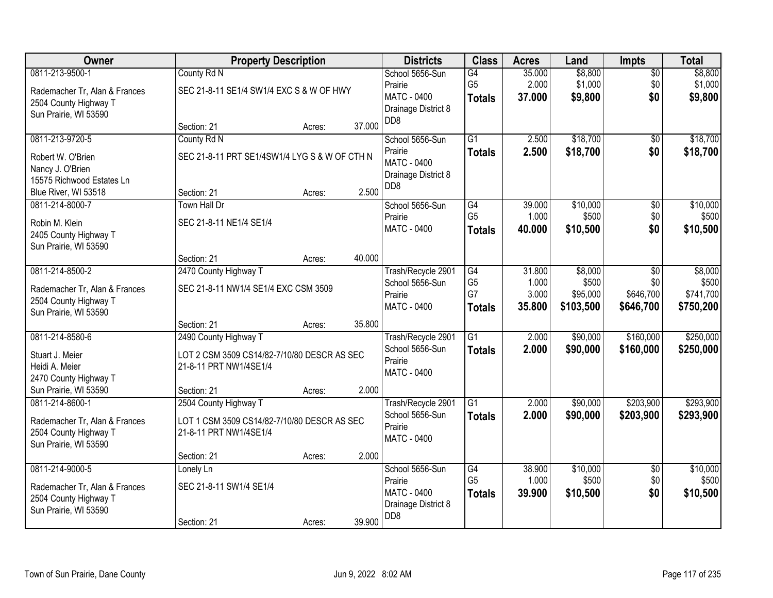| Owner                                                  | <b>Property Description</b>                   |        |        | <b>Districts</b>                       | <b>Class</b>         | <b>Acres</b>    | Land                 | Impts                  | <b>Total</b>         |
|--------------------------------------------------------|-----------------------------------------------|--------|--------|----------------------------------------|----------------------|-----------------|----------------------|------------------------|----------------------|
| 0811-213-9500-1                                        | County Rd N                                   |        |        | School 5656-Sun<br>Prairie             | G4<br>G <sub>5</sub> | 35.000<br>2.000 | \$8,800<br>\$1,000   | $\overline{50}$<br>\$0 | \$8,800<br>\$1,000   |
| Rademacher Tr, Alan & Frances<br>2504 County Highway T | SEC 21-8-11 SE1/4 SW1/4 EXC S & W OF HWY      |        |        | <b>MATC - 0400</b>                     | <b>Totals</b>        | 37.000          | \$9,800              | \$0                    | \$9,800              |
| Sun Prairie, WI 53590                                  |                                               |        |        | Drainage District 8<br>DD <sub>8</sub> |                      |                 |                      |                        |                      |
|                                                        | Section: 21                                   | Acres: | 37.000 |                                        |                      |                 |                      |                        |                      |
| 0811-213-9720-5                                        | County Rd N                                   |        |        | School 5656-Sun<br>Prairie             | $\overline{G1}$      | 2.500<br>2.500  | \$18,700<br>\$18,700 | $\overline{50}$<br>\$0 | \$18,700<br>\$18,700 |
| Robert W. O'Brien                                      | SEC 21-8-11 PRT SE1/4SW1/4 LYG S & W OF CTH N |        |        | <b>MATC - 0400</b>                     | <b>Totals</b>        |                 |                      |                        |                      |
| Nancy J. O'Brien<br>15575 Richwood Estates Ln          |                                               |        |        | Drainage District 8                    |                      |                 |                      |                        |                      |
| Blue River, WI 53518                                   | Section: 21                                   | Acres: | 2.500  | DD <sub>8</sub>                        |                      |                 |                      |                        |                      |
| 0811-214-8000-7                                        | <b>Town Hall Dr</b>                           |        |        | School 5656-Sun                        | $\overline{G4}$      | 39.000          | \$10,000             | $\overline{50}$        | \$10,000             |
| Robin M. Klein                                         | SEC 21-8-11 NE1/4 SE1/4                       |        |        | Prairie                                | G <sub>5</sub>       | 1.000           | \$500                | \$0                    | \$500                |
| 2405 County Highway T                                  |                                               |        |        | <b>MATC - 0400</b>                     | <b>Totals</b>        | 40.000          | \$10,500             | \$0                    | \$10,500             |
| Sun Prairie, WI 53590                                  |                                               |        |        |                                        |                      |                 |                      |                        |                      |
|                                                        | Section: 21                                   | Acres: | 40.000 |                                        |                      |                 |                      |                        |                      |
| 0811-214-8500-2                                        | 2470 County Highway T                         |        |        | Trash/Recycle 2901<br>School 5656-Sun  | G4<br>G <sub>5</sub> | 31.800<br>1.000 | \$8,000<br>\$500     | \$0<br>\$0             | \$8,000<br>\$500     |
| Rademacher Tr, Alan & Frances                          | SEC 21-8-11 NW1/4 SE1/4 EXC CSM 3509          |        |        | Prairie                                | G7                   | 3.000           | \$95,000             | \$646,700              | \$741,700            |
| 2504 County Highway T<br>Sun Prairie, WI 53590         |                                               |        |        | MATC - 0400                            | <b>Totals</b>        | 35.800          | \$103,500            | \$646,700              | \$750,200            |
|                                                        | Section: 21                                   | Acres: | 35.800 |                                        |                      |                 |                      |                        |                      |
| 0811-214-8580-6                                        | 2490 County Highway T                         |        |        | Trash/Recycle 2901                     | $\overline{G1}$      | 2.000           | \$90,000             | \$160,000              | \$250,000            |
| Stuart J. Meier                                        | LOT 2 CSM 3509 CS14/82-7/10/80 DESCR AS SEC   |        |        | School 5656-Sun                        | <b>Totals</b>        | 2.000           | \$90,000             | \$160,000              | \$250,000            |
| Heidi A. Meier                                         | 21-8-11 PRT NW1/4SE1/4                        |        |        | Prairie<br><b>MATC - 0400</b>          |                      |                 |                      |                        |                      |
| 2470 County Highway T                                  |                                               |        |        |                                        |                      |                 |                      |                        |                      |
| Sun Prairie, WI 53590<br>0811-214-8600-1               | Section: 21<br>2504 County Highway T          | Acres: | 2.000  |                                        | $\overline{G1}$      | 2.000           | \$90,000             | \$203,900              | \$293,900            |
|                                                        |                                               |        |        | Trash/Recycle 2901<br>School 5656-Sun  | <b>Totals</b>        | 2.000           | \$90,000             | \$203,900              | \$293,900            |
| Rademacher Tr, Alan & Frances                          | LOT 1 CSM 3509 CS14/82-7/10/80 DESCR AS SEC   |        |        | Prairie                                |                      |                 |                      |                        |                      |
| 2504 County Highway T<br>Sun Prairie, WI 53590         | 21-8-11 PRT NW1/4SE1/4                        |        |        | MATC - 0400                            |                      |                 |                      |                        |                      |
|                                                        | Section: 21                                   | Acres: | 2.000  |                                        |                      |                 |                      |                        |                      |
| 0811-214-9000-5                                        | Lonely Ln                                     |        |        | School 5656-Sun                        | $\overline{G4}$      | 38.900          | \$10,000             | $\overline{50}$        | \$10,000             |
| Rademacher Tr, Alan & Frances                          | SEC 21-8-11 SW1/4 SE1/4                       |        |        | Prairie                                | G <sub>5</sub>       | 1.000           | \$500                | \$0                    | \$500                |
| 2504 County Highway T                                  |                                               |        |        | MATC - 0400<br>Drainage District 8     | <b>Totals</b>        | 39.900          | \$10,500             | \$0                    | \$10,500             |
| Sun Prairie, WI 53590                                  |                                               |        |        | D <sub>D</sub> 8                       |                      |                 |                      |                        |                      |
|                                                        | Section: 21                                   | Acres: | 39.900 |                                        |                      |                 |                      |                        |                      |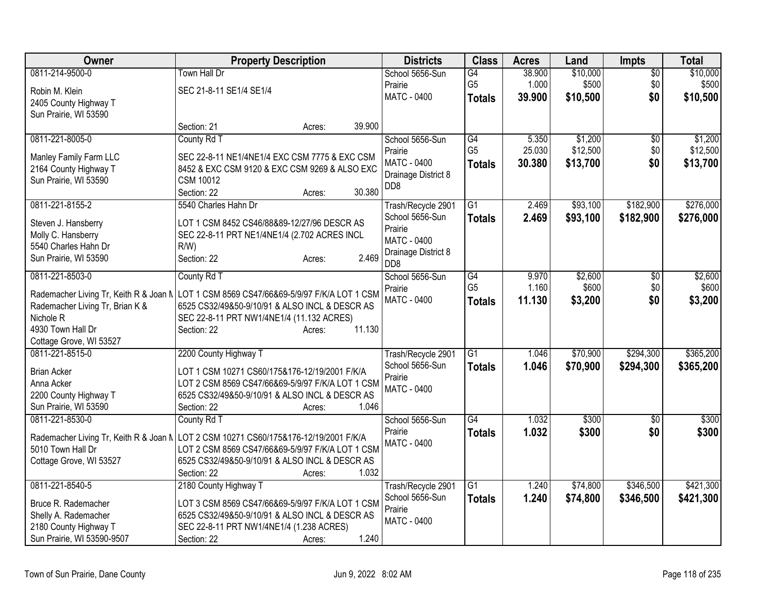| Owner                                  | <b>Property Description</b>                                                                       | <b>Districts</b>    | <b>Class</b>    | <b>Acres</b> | Land     | <b>Impts</b>    | <b>Total</b> |
|----------------------------------------|---------------------------------------------------------------------------------------------------|---------------------|-----------------|--------------|----------|-----------------|--------------|
| 0811-214-9500-0                        | <b>Town Hall Dr</b>                                                                               | School 5656-Sun     | G4              | 38.900       | \$10,000 | $\overline{30}$ | \$10,000     |
| Robin M. Klein                         | SEC 21-8-11 SE1/4 SE1/4                                                                           | Prairie             | G <sub>5</sub>  | 1.000        | \$500    | \$0             | \$500        |
| 2405 County Highway T                  |                                                                                                   | <b>MATC - 0400</b>  | <b>Totals</b>   | 39.900       | \$10,500 | \$0             | \$10,500     |
| Sun Prairie, WI 53590                  |                                                                                                   |                     |                 |              |          |                 |              |
|                                        | 39.900<br>Section: 21<br>Acres:                                                                   |                     |                 |              |          |                 |              |
| 0811-221-8005-0                        | County Rd T                                                                                       | School 5656-Sun     | G4              | 5.350        | \$1,200  | $\sqrt{6}$      | \$1,200      |
| Manley Family Farm LLC                 | SEC 22-8-11 NE1/4NE1/4 EXC CSM 7775 & EXC CSM                                                     | Prairie             | G <sub>5</sub>  | 25.030       | \$12,500 | \$0             | \$12,500     |
| 2164 County Highway T                  | 8452 & EXC CSM 9120 & EXC CSM 9269 & ALSO EXC                                                     | <b>MATC - 0400</b>  | <b>Totals</b>   | 30.380       | \$13,700 | \$0             | \$13,700     |
| Sun Prairie, WI 53590                  | <b>CSM 10012</b>                                                                                  | Drainage District 8 |                 |              |          |                 |              |
|                                        | 30.380<br>Section: 22<br>Acres:                                                                   | D <sub>D</sub> 8    |                 |              |          |                 |              |
| 0811-221-8155-2                        | 5540 Charles Hahn Dr                                                                              | Trash/Recycle 2901  | $\overline{G1}$ | 2.469        | \$93,100 | \$182,900       | \$276,000    |
|                                        |                                                                                                   | School 5656-Sun     | <b>Totals</b>   | 2.469        | \$93,100 | \$182,900       | \$276,000    |
| Steven J. Hansberry                    | LOT 1 CSM 8452 CS46/88&89-12/27/96 DESCR AS                                                       | Prairie             |                 |              |          |                 |              |
| Molly C. Hansberry                     | SEC 22-8-11 PRT NE1/4NE1/4 (2.702 ACRES INCL                                                      | <b>MATC - 0400</b>  |                 |              |          |                 |              |
| 5540 Charles Hahn Dr                   | R/W                                                                                               | Drainage District 8 |                 |              |          |                 |              |
| Sun Prairie, WI 53590                  | 2.469<br>Section: 22<br>Acres:                                                                    | D <sub>D</sub> 8    |                 |              |          |                 |              |
| 0811-221-8503-0                        | County Rd T                                                                                       | School 5656-Sun     | G4              | 9.970        | \$2,600  | $\overline{50}$ | \$2,600      |
| Rademacher Living Tr, Keith R & Joan N | LOT 1 CSM 8569 CS47/66&69-5/9/97 F/K/A LOT 1 CSM                                                  | Prairie             | G <sub>5</sub>  | 1.160        | \$600    | \$0             | \$600        |
| Rademacher Living Tr, Brian K &        | 6525 CS32/49&50-9/10/91 & ALSO INCL & DESCR AS                                                    | <b>MATC - 0400</b>  | <b>Totals</b>   | 11.130       | \$3,200  | \$0             | \$3,200      |
| Nichole <sub>R</sub>                   | SEC 22-8-11 PRT NW1/4NE1/4 (11.132 ACRES)                                                         |                     |                 |              |          |                 |              |
| 4930 Town Hall Dr                      | 11.130<br>Section: 22<br>Acres:                                                                   |                     |                 |              |          |                 |              |
| Cottage Grove, WI 53527                |                                                                                                   |                     |                 |              |          |                 |              |
| 0811-221-8515-0                        | 2200 County Highway T                                                                             | Trash/Recycle 2901  | G1              | 1.046        | \$70,900 | \$294,300       | \$365,200    |
|                                        |                                                                                                   | School 5656-Sun     | <b>Totals</b>   | 1.046        | \$70,900 | \$294,300       | \$365,200    |
| <b>Brian Acker</b><br>Anna Acker       | LOT 1 CSM 10271 CS60/175&176-12/19/2001 F/K/A<br>LOT 2 CSM 8569 CS47/66&69-5/9/97 F/K/A LOT 1 CSM | Prairie             |                 |              |          |                 |              |
| 2200 County Highway T                  | 6525 CS32/49&50-9/10/91 & ALSO INCL & DESCR AS                                                    | <b>MATC - 0400</b>  |                 |              |          |                 |              |
| Sun Prairie, WI 53590                  | 1.046<br>Section: 22<br>Acres:                                                                    |                     |                 |              |          |                 |              |
| 0811-221-8530-0                        | County Rd T                                                                                       | School 5656-Sun     | $\overline{G4}$ | 1.032        | \$300    | $\overline{50}$ | \$300        |
|                                        |                                                                                                   | Prairie             | <b>Totals</b>   | 1.032        | \$300    | \$0             | \$300        |
|                                        | Rademacher Living Tr, Keith R & Joan N LOT 2 CSM 10271 CS60/175&176-12/19/2001 F/K/A              | <b>MATC - 0400</b>  |                 |              |          |                 |              |
| 5010 Town Hall Dr                      | LOT 2 CSM 8569 CS47/66&69-5/9/97 F/K/A LOT 1 CSM                                                  |                     |                 |              |          |                 |              |
| Cottage Grove, WI 53527                | 6525 CS32/49&50-9/10/91 & ALSO INCL & DESCR AS                                                    |                     |                 |              |          |                 |              |
|                                        | 1.032<br>Section: 22<br>Acres:                                                                    |                     |                 |              |          |                 |              |
| 0811-221-8540-5                        | 2180 County Highway T                                                                             | Trash/Recycle 2901  | $\overline{G1}$ | 1.240        | \$74,800 | \$346,500       | \$421,300    |
| Bruce R. Rademacher                    | LOT 3 CSM 8569 CS47/66&69-5/9/97 F/K/A LOT 1 CSM                                                  | School 5656-Sun     | <b>Totals</b>   | 1.240        | \$74,800 | \$346,500       | \$421,300    |
| Shelly A. Rademacher                   | 6525 CS32/49&50-9/10/91 & ALSO INCL & DESCR AS                                                    | Prairie             |                 |              |          |                 |              |
| 2180 County Highway T                  | SEC 22-8-11 PRT NW1/4NE1/4 (1.238 ACRES)                                                          | MATC - 0400         |                 |              |          |                 |              |
| Sun Prairie, WI 53590-9507             | 1.240<br>Section: 22<br>Acres:                                                                    |                     |                 |              |          |                 |              |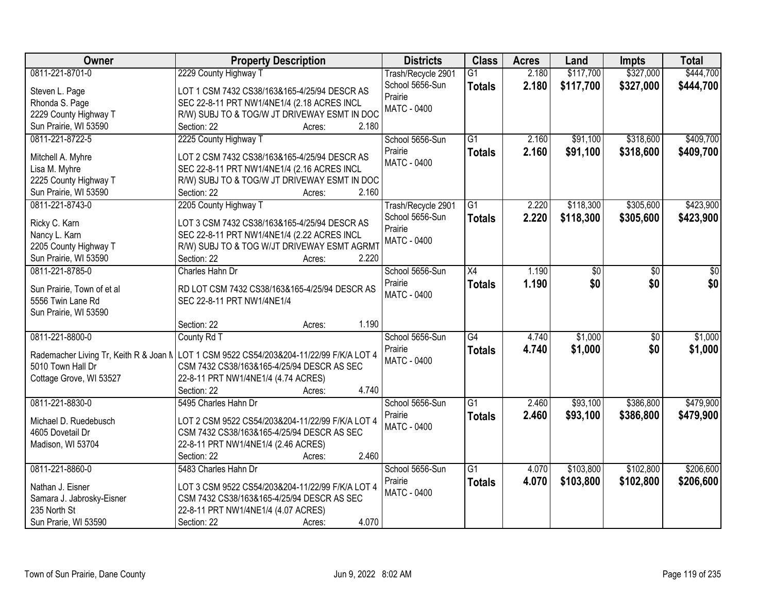| Owner                      | <b>Property Description</b>                                                               | <b>Districts</b>   | <b>Class</b>    | <b>Acres</b> | Land      | <b>Impts</b>    | <b>Total</b> |
|----------------------------|-------------------------------------------------------------------------------------------|--------------------|-----------------|--------------|-----------|-----------------|--------------|
| 0811-221-8701-0            | 2229 County Highway T                                                                     | Trash/Recycle 2901 | $\overline{G1}$ | 2.180        | \$117,700 | \$327,000       | \$444,700    |
| Steven L. Page             | LOT 1 CSM 7432 CS38/163&165-4/25/94 DESCR AS                                              | School 5656-Sun    | <b>Totals</b>   | 2.180        | \$117,700 | \$327,000       | \$444,700    |
| Rhonda S. Page             | SEC 22-8-11 PRT NW1/4NE1/4 (2.18 ACRES INCL                                               | Prairie            |                 |              |           |                 |              |
| 2229 County Highway T      | R/W) SUBJ TO & TOG/W JT DRIVEWAY ESMT IN DOC                                              | <b>MATC - 0400</b> |                 |              |           |                 |              |
| Sun Prairie, WI 53590      | Section: 22<br>2.180<br>Acres:                                                            |                    |                 |              |           |                 |              |
| 0811-221-8722-5            | 2225 County Highway T                                                                     | School 5656-Sun    | $\overline{G1}$ | 2.160        | \$91,100  | \$318,600       | \$409,700    |
|                            |                                                                                           | Prairie            | <b>Totals</b>   | 2.160        | \$91,100  | \$318,600       | \$409,700    |
| Mitchell A. Myhre          | LOT 2 CSM 7432 CS38/163&165-4/25/94 DESCR AS                                              | <b>MATC - 0400</b> |                 |              |           |                 |              |
| Lisa M. Myhre              | SEC 22-8-11 PRT NW1/4NE1/4 (2.16 ACRES INCL                                               |                    |                 |              |           |                 |              |
| 2225 County Highway T      | R/W) SUBJ TO & TOG/W JT DRIVEWAY ESMT IN DOC                                              |                    |                 |              |           |                 |              |
| Sun Prairie, WI 53590      | 2.160<br>Section: 22<br>Acres:                                                            |                    |                 |              |           |                 |              |
| 0811-221-8743-0            | 2205 County Highway T                                                                     | Trash/Recycle 2901 | $\overline{G1}$ | 2.220        | \$118,300 | \$305,600       | \$423,900    |
| Ricky C. Karn              | LOT 3 CSM 7432 CS38/163&165-4/25/94 DESCR AS                                              | School 5656-Sun    | <b>Totals</b>   | 2.220        | \$118,300 | \$305,600       | \$423,900    |
| Nancy L. Karn              | SEC 22-8-11 PRT NW1/4NE1/4 (2.22 ACRES INCL                                               | Prairie            |                 |              |           |                 |              |
| 2205 County Highway T      | R/W) SUBJ TO & TOG W/JT DRIVEWAY ESMT AGRMT                                               | <b>MATC - 0400</b> |                 |              |           |                 |              |
| Sun Prairie, WI 53590      | Section: 22<br>2.220<br>Acres:                                                            |                    |                 |              |           |                 |              |
| 0811-221-8785-0            | Charles Hahn Dr                                                                           | School 5656-Sun    | X4              | 1.190        | \$0       | \$0             | \$0          |
|                            |                                                                                           | Prairie            | <b>Totals</b>   | 1.190        | \$0       | \$0             | \$0          |
| Sun Prairie, Town of et al | RD LOT CSM 7432 CS38/163&165-4/25/94 DESCR AS                                             | <b>MATC - 0400</b> |                 |              |           |                 |              |
| 5556 Twin Lane Rd          | SEC 22-8-11 PRT NW1/4NE1/4                                                                |                    |                 |              |           |                 |              |
| Sun Prairie, WI 53590      |                                                                                           |                    |                 |              |           |                 |              |
|                            | 1.190<br>Section: 22<br>Acres:                                                            |                    |                 |              |           |                 |              |
| 0811-221-8800-0            | County Rd T                                                                               | School 5656-Sun    | $\overline{G4}$ | 4.740        | \$1,000   | $\overline{50}$ | \$1,000      |
|                            | Rademacher Living Tr, Keith R & Joan N   LOT 1 CSM 9522 CS54/203&204-11/22/99 F/K/A LOT 4 | Prairie            | <b>Totals</b>   | 4.740        | \$1,000   | \$0             | \$1,000      |
| 5010 Town Hall Dr          | CSM 7432 CS38/163&165-4/25/94 DESCR AS SEC                                                | MATC - 0400        |                 |              |           |                 |              |
| Cottage Grove, WI 53527    | 22-8-11 PRT NW1/4NE1/4 (4.74 ACRES)                                                       |                    |                 |              |           |                 |              |
|                            | 4.740<br>Section: 22<br>Acres:                                                            |                    |                 |              |           |                 |              |
| 0811-221-8830-0            | 5495 Charles Hahn Dr                                                                      | School 5656-Sun    | $\overline{G1}$ | 2.460        | \$93,100  | \$386,800       | \$479,900    |
|                            |                                                                                           | Prairie            | <b>Totals</b>   | 2.460        | \$93,100  | \$386,800       | \$479,900    |
| Michael D. Ruedebusch      | LOT 2 CSM 9522 CS54/203&204-11/22/99 F/K/A LOT 4                                          | MATC - 0400        |                 |              |           |                 |              |
| 4605 Dovetail Dr           | CSM 7432 CS38/163&165-4/25/94 DESCR AS SEC                                                |                    |                 |              |           |                 |              |
| Madison, WI 53704          | 22-8-11 PRT NW1/4NE1/4 (2.46 ACRES)                                                       |                    |                 |              |           |                 |              |
|                            | 2.460<br>Section: 22<br>Acres:                                                            |                    |                 |              |           |                 |              |
| 0811-221-8860-0            | 5483 Charles Hahn Dr                                                                      | School 5656-Sun    | $\overline{G1}$ | 4.070        | \$103,800 | \$102,800       | \$206,600    |
| Nathan J. Eisner           | LOT 3 CSM 9522 CS54/203&204-11/22/99 F/K/A LOT 4                                          | Prairie            | <b>Totals</b>   | 4.070        | \$103,800 | \$102,800       | \$206,600    |
| Samara J. Jabrosky-Eisner  | CSM 7432 CS38/163&165-4/25/94 DESCR AS SEC                                                | <b>MATC - 0400</b> |                 |              |           |                 |              |
| 235 North St               | 22-8-11 PRT NW1/4NE1/4 (4.07 ACRES)                                                       |                    |                 |              |           |                 |              |
| Sun Prarie, WI 53590       | 4.070<br>Section: 22<br>Acres:                                                            |                    |                 |              |           |                 |              |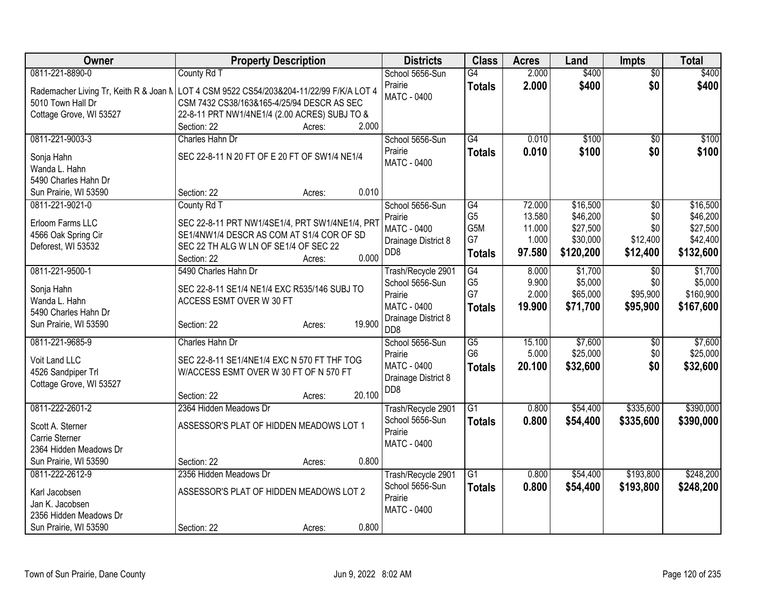| Owner                       | <b>Property Description</b>                                                               | <b>Districts</b>                        | <b>Class</b>    | <b>Acres</b> | Land      | <b>Impts</b>    | <b>Total</b> |
|-----------------------------|-------------------------------------------------------------------------------------------|-----------------------------------------|-----------------|--------------|-----------|-----------------|--------------|
| 0811-221-8890-0             | County Rd T                                                                               | School 5656-Sun                         | $\overline{G4}$ | 2.000        | \$400     | $\overline{50}$ | \$400        |
|                             | Rademacher Living Tr, Keith R & Joan N   LOT 4 CSM 9522 CS54/203&204-11/22/99 F/K/A LOT 4 | Prairie                                 | <b>Totals</b>   | 2.000        | \$400     | \$0             | \$400        |
| 5010 Town Hall Dr           | CSM 7432 CS38/163&165-4/25/94 DESCR AS SEC                                                | MATC - 0400                             |                 |              |           |                 |              |
| Cottage Grove, WI 53527     | 22-8-11 PRT NW1/4NE1/4 (2.00 ACRES) SUBJ TO &                                             |                                         |                 |              |           |                 |              |
|                             | 2.000<br>Section: 22<br>Acres:                                                            |                                         |                 |              |           |                 |              |
| 0811-221-9003-3             | Charles Hahn Dr                                                                           | School 5656-Sun                         | G4              | 0.010        | \$100     | $\overline{50}$ | \$100        |
| Sonja Hahn                  | SEC 22-8-11 N 20 FT OF E 20 FT OF SW1/4 NE1/4                                             | Prairie                                 | <b>Totals</b>   | 0.010        | \$100     | \$0             | \$100        |
| Wanda L. Hahn               |                                                                                           | MATC - 0400                             |                 |              |           |                 |              |
| 5490 Charles Hahn Dr        |                                                                                           |                                         |                 |              |           |                 |              |
| Sun Prairie, WI 53590       | 0.010<br>Section: 22<br>Acres:                                                            |                                         |                 |              |           |                 |              |
| 0811-221-9021-0             | County Rd T                                                                               | School 5656-Sun                         | $\overline{G4}$ | 72.000       | \$16,500  | $\overline{30}$ | \$16,500     |
| Erloom Farms LLC            | SEC 22-8-11 PRT NW1/4SE1/4, PRT SW1/4NE1/4, PRT                                           | Prairie                                 | G <sub>5</sub>  | 13.580       | \$46,200  | \$0             | \$46,200     |
| 4566 Oak Spring Cir         | SE1/4NW1/4 DESCR AS COM AT S1/4 COR OF SD                                                 | MATC - 0400                             | G5M             | 11.000       | \$27,500  | \$0             | \$27,500     |
| Deforest, WI 53532          | SEC 22 TH ALG W LN OF SE1/4 OF SEC 22                                                     | Drainage District 8                     | G7              | 1.000        | \$30,000  | \$12,400        | \$42,400     |
|                             | 0.000<br>Section: 22<br>Acres:                                                            | D <sub>D</sub> 8                        | <b>Totals</b>   | 97.580       | \$120,200 | \$12,400        | \$132,600    |
| 0811-221-9500-1             | 5490 Charles Hahn Dr                                                                      | Trash/Recycle 2901                      | G4              | 8.000        | \$1,700   | \$0             | \$1,700      |
|                             |                                                                                           | School 5656-Sun                         | G <sub>5</sub>  | 9.900        | \$5,000   | \$0             | \$5,000      |
| Sonja Hahn<br>Wanda L. Hahn | SEC 22-8-11 SE1/4 NE1/4 EXC R535/146 SUBJ TO<br>ACCESS ESMT OVER W 30 FT                  | Prairie                                 | G7              | 2.000        | \$65,000  | \$95,900        | \$160,900    |
| 5490 Charles Hahn Dr        |                                                                                           | <b>MATC - 0400</b>                      | <b>Totals</b>   | 19.900       | \$71,700  | \$95,900        | \$167,600    |
| Sun Prairie, WI 53590       | 19.900<br>Section: 22<br>Acres:                                                           | Drainage District 8                     |                 |              |           |                 |              |
|                             |                                                                                           | D <sub>D</sub> 8                        |                 |              |           |                 |              |
| 0811-221-9685-9             | Charles Hahn Dr                                                                           | School 5656-Sun                         | $\overline{G5}$ | 15.100       | \$7,600   | \$0             | \$7,600      |
| Voit Land LLC               | SEC 22-8-11 SE1/4NE1/4 EXC N 570 FT THF TOG                                               | Prairie                                 | G <sub>6</sub>  | 5.000        | \$25,000  | \$0             | \$25,000     |
| 4526 Sandpiper Trl          | W/ACCESS ESMT OVER W 30 FT OF N 570 FT                                                    | MATC - 0400                             | <b>Totals</b>   | 20.100       | \$32,600  | \$0             | \$32,600     |
| Cottage Grove, WI 53527     |                                                                                           | Drainage District 8<br>D <sub>D</sub> 8 |                 |              |           |                 |              |
|                             | 20.100<br>Section: 22<br>Acres:                                                           |                                         |                 |              |           |                 |              |
| 0811-222-2601-2             | 2364 Hidden Meadows Dr                                                                    | Trash/Recycle 2901                      | $\overline{G1}$ | 0.800        | \$54,400  | \$335,600       | \$390,000    |
| Scott A. Sterner            | ASSESSOR'S PLAT OF HIDDEN MEADOWS LOT 1                                                   | School 5656-Sun                         | <b>Totals</b>   | 0.800        | \$54,400  | \$335,600       | \$390,000    |
| Carrie Sterner              |                                                                                           | Prairie                                 |                 |              |           |                 |              |
| 2364 Hidden Meadows Dr      |                                                                                           | <b>MATC - 0400</b>                      |                 |              |           |                 |              |
| Sun Prairie, WI 53590       | 0.800<br>Section: 22<br>Acres:                                                            |                                         |                 |              |           |                 |              |
| 0811-222-2612-9             | 2356 Hidden Meadows Dr                                                                    | Trash/Recycle 2901                      | G1              | 0.800        | \$54,400  | \$193,800       | \$248,200    |
| Karl Jacobsen               | ASSESSOR'S PLAT OF HIDDEN MEADOWS LOT 2                                                   | School 5656-Sun                         | <b>Totals</b>   | 0.800        | \$54,400  | \$193,800       | \$248,200    |
| Jan K. Jacobsen             |                                                                                           | Prairie                                 |                 |              |           |                 |              |
| 2356 Hidden Meadows Dr      |                                                                                           | MATC - 0400                             |                 |              |           |                 |              |
| Sun Prairie, WI 53590       | 0.800<br>Section: 22<br>Acres:                                                            |                                         |                 |              |           |                 |              |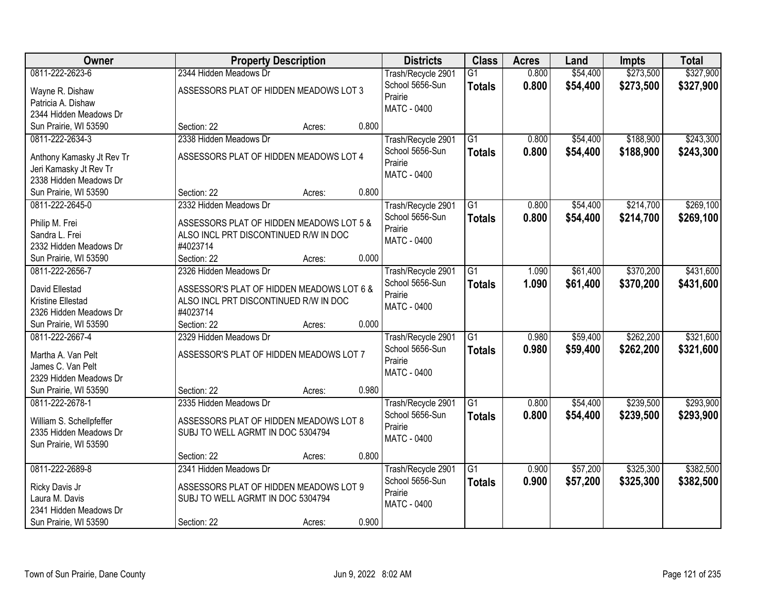| Owner                                            | <b>Property Description</b>               | <b>Districts</b>                      | <b>Class</b>    | <b>Acres</b> | Land     | <b>Impts</b> | <b>Total</b> |
|--------------------------------------------------|-------------------------------------------|---------------------------------------|-----------------|--------------|----------|--------------|--------------|
| 0811-222-2623-6                                  | 2344 Hidden Meadows Dr                    | Trash/Recycle 2901                    | $\overline{G1}$ | 0.800        | \$54,400 | \$273,500    | \$327,900    |
| Wayne R. Dishaw                                  | ASSESSORS PLAT OF HIDDEN MEADOWS LOT 3    | School 5656-Sun                       | <b>Totals</b>   | 0.800        | \$54,400 | \$273,500    | \$327,900    |
| Patricia A. Dishaw                               |                                           | Prairie                               |                 |              |          |              |              |
| 2344 Hidden Meadows Dr                           |                                           | <b>MATC - 0400</b>                    |                 |              |          |              |              |
| Sun Prairie, WI 53590                            | 0.800<br>Section: 22<br>Acres:            |                                       |                 |              |          |              |              |
| 0811-222-2634-3                                  | 2338 Hidden Meadows Dr                    | Trash/Recycle 2901                    | $\overline{G1}$ | 0.800        | \$54,400 | \$188,900    | \$243,300    |
|                                                  |                                           | School 5656-Sun                       | <b>Totals</b>   | 0.800        | \$54,400 | \$188,900    | \$243,300    |
| Anthony Kamasky Jt Rev Tr                        | ASSESSORS PLAT OF HIDDEN MEADOWS LOT 4    | Prairie                               |                 |              |          |              |              |
| Jeri Kamasky Jt Rev Tr<br>2338 Hidden Meadows Dr |                                           | <b>MATC - 0400</b>                    |                 |              |          |              |              |
| Sun Prairie, WI 53590                            | 0.800<br>Section: 22<br>Acres:            |                                       |                 |              |          |              |              |
| 0811-222-2645-0                                  | 2332 Hidden Meadows Dr                    |                                       | G1              | 0.800        | \$54,400 | \$214,700    | \$269,100    |
|                                                  |                                           | Trash/Recycle 2901<br>School 5656-Sun |                 |              |          |              |              |
| Philip M. Frei                                   | ASSESSORS PLAT OF HIDDEN MEADOWS LOT 5 &  | Prairie                               | <b>Totals</b>   | 0.800        | \$54,400 | \$214,700    | \$269,100    |
| Sandra L. Frei                                   | ALSO INCL PRT DISCONTINUED R/W IN DOC     | MATC - 0400                           |                 |              |          |              |              |
| 2332 Hidden Meadows Dr                           | #4023714                                  |                                       |                 |              |          |              |              |
| Sun Prairie, WI 53590                            | 0.000<br>Section: 22<br>Acres:            |                                       |                 |              |          |              |              |
| 0811-222-2656-7                                  | 2326 Hidden Meadows Dr                    | Trash/Recycle 2901                    | G1              | 1.090        | \$61,400 | \$370,200    | \$431,600    |
| David Ellestad                                   | ASSESSOR'S PLAT OF HIDDEN MEADOWS LOT 6 & | School 5656-Sun                       | <b>Totals</b>   | 1.090        | \$61,400 | \$370,200    | \$431,600    |
| Kristine Ellestad                                | ALSO INCL PRT DISCONTINUED R/W IN DOC     | Prairie                               |                 |              |          |              |              |
| 2326 Hidden Meadows Dr                           | #4023714                                  | MATC - 0400                           |                 |              |          |              |              |
| Sun Prairie, WI 53590                            | 0.000<br>Section: 22<br>Acres:            |                                       |                 |              |          |              |              |
| 0811-222-2667-4                                  | 2329 Hidden Meadows Dr                    | Trash/Recycle 2901                    | $\overline{G1}$ | 0.980        | \$59,400 | \$262,200    | \$321,600    |
|                                                  |                                           | School 5656-Sun                       | <b>Totals</b>   | 0.980        | \$59,400 | \$262,200    | \$321,600    |
| Martha A. Van Pelt                               | ASSESSOR'S PLAT OF HIDDEN MEADOWS LOT 7   | Prairie                               |                 |              |          |              |              |
| James C. Van Pelt                                |                                           | MATC - 0400                           |                 |              |          |              |              |
| 2329 Hidden Meadows Dr                           |                                           |                                       |                 |              |          |              |              |
| Sun Prairie, WI 53590                            | 0.980<br>Section: 22<br>Acres:            |                                       |                 |              |          |              |              |
| 0811-222-2678-1                                  | 2335 Hidden Meadows Dr                    | Trash/Recycle 2901                    | $\overline{G1}$ | 0.800        | \$54,400 | \$239,500    | \$293,900    |
| William S. Schellpfeffer                         | ASSESSORS PLAT OF HIDDEN MEADOWS LOT 8    | School 5656-Sun                       | <b>Totals</b>   | 0.800        | \$54,400 | \$239,500    | \$293,900    |
| 2335 Hidden Meadows Dr                           | SUBJ TO WELL AGRMT IN DOC 5304794         | Prairie                               |                 |              |          |              |              |
| Sun Prairie, WI 53590                            |                                           | <b>MATC - 0400</b>                    |                 |              |          |              |              |
|                                                  | 0.800<br>Section: 22<br>Acres:            |                                       |                 |              |          |              |              |
| 0811-222-2689-8                                  | 2341 Hidden Meadows Dr                    | Trash/Recycle 2901                    | $\overline{G1}$ | 0.900        | \$57,200 | \$325,300    | \$382,500    |
|                                                  |                                           | School 5656-Sun                       | <b>Totals</b>   | 0.900        | \$57,200 | \$325,300    | \$382,500    |
| Ricky Davis Jr                                   | ASSESSORS PLAT OF HIDDEN MEADOWS LOT 9    | Prairie                               |                 |              |          |              |              |
| Laura M. Davis<br>2341 Hidden Meadows Dr         | SUBJ TO WELL AGRMT IN DOC 5304794         | MATC - 0400                           |                 |              |          |              |              |
|                                                  | 0.900                                     |                                       |                 |              |          |              |              |
| Sun Prairie, WI 53590                            | Section: 22<br>Acres:                     |                                       |                 |              |          |              |              |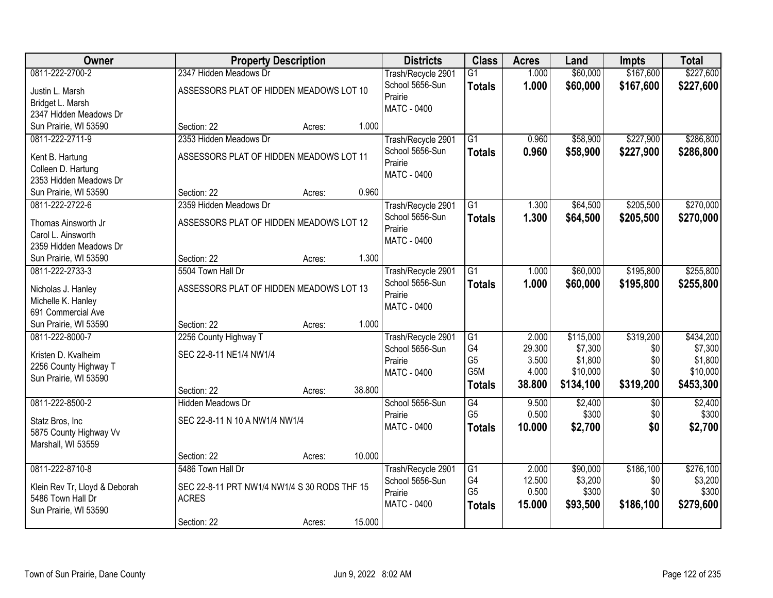| Owner                         | <b>Property Description</b>                  |        |        | <b>Districts</b>   | <b>Class</b>    | <b>Acres</b> | Land      | <b>Impts</b>    | <b>Total</b> |
|-------------------------------|----------------------------------------------|--------|--------|--------------------|-----------------|--------------|-----------|-----------------|--------------|
| 0811-222-2700-2               | 2347 Hidden Meadows Dr                       |        |        | Trash/Recycle 2901 | $\overline{G1}$ | 1.000        | \$60,000  | \$167,600       | \$227,600    |
| Justin L. Marsh               | ASSESSORS PLAT OF HIDDEN MEADOWS LOT 10      |        |        | School 5656-Sun    | <b>Totals</b>   | 1.000        | \$60,000  | \$167,600       | \$227,600    |
| Bridget L. Marsh              |                                              |        |        | Prairie            |                 |              |           |                 |              |
| 2347 Hidden Meadows Dr        |                                              |        |        | <b>MATC - 0400</b> |                 |              |           |                 |              |
| Sun Prairie, WI 53590         | Section: 22                                  | Acres: | 1.000  |                    |                 |              |           |                 |              |
| 0811-222-2711-9               | 2353 Hidden Meadows Dr                       |        |        | Trash/Recycle 2901 | $\overline{G1}$ | 0.960        | \$58,900  | \$227,900       | \$286,800    |
| Kent B. Hartung               | ASSESSORS PLAT OF HIDDEN MEADOWS LOT 11      |        |        | School 5656-Sun    | <b>Totals</b>   | 0.960        | \$58,900  | \$227,900       | \$286,800    |
| Colleen D. Hartung            |                                              |        |        | Prairie            |                 |              |           |                 |              |
| 2353 Hidden Meadows Dr        |                                              |        |        | MATC - 0400        |                 |              |           |                 |              |
| Sun Prairie, WI 53590         | Section: 22                                  | Acres: | 0.960  |                    |                 |              |           |                 |              |
| 0811-222-2722-6               | 2359 Hidden Meadows Dr                       |        |        | Trash/Recycle 2901 | $\overline{G1}$ | 1.300        | \$64,500  | \$205,500       | \$270,000    |
| Thomas Ainsworth Jr           | ASSESSORS PLAT OF HIDDEN MEADOWS LOT 12      |        |        | School 5656-Sun    | <b>Totals</b>   | 1.300        | \$64,500  | \$205,500       | \$270,000    |
| Carol L. Ainsworth            |                                              |        |        | Prairie            |                 |              |           |                 |              |
| 2359 Hidden Meadows Dr        |                                              |        |        | MATC - 0400        |                 |              |           |                 |              |
| Sun Prairie, WI 53590         | Section: 22                                  | Acres: | 1.300  |                    |                 |              |           |                 |              |
| 0811-222-2733-3               | 5504 Town Hall Dr                            |        |        | Trash/Recycle 2901 | $\overline{G1}$ | 1.000        | \$60,000  | \$195,800       | \$255,800    |
| Nicholas J. Hanley            | ASSESSORS PLAT OF HIDDEN MEADOWS LOT 13      |        |        | School 5656-Sun    | <b>Totals</b>   | 1.000        | \$60,000  | \$195,800       | \$255,800    |
| Michelle K. Hanley            |                                              |        |        | Prairie            |                 |              |           |                 |              |
| 691 Commercial Ave            |                                              |        |        | MATC - 0400        |                 |              |           |                 |              |
| Sun Prairie, WI 53590         | Section: 22                                  | Acres: | 1.000  |                    |                 |              |           |                 |              |
| 0811-222-8000-7               | 2256 County Highway T                        |        |        | Trash/Recycle 2901 | G1              | 2.000        | \$115,000 | \$319,200       | \$434,200    |
| Kristen D. Kvalheim           | SEC 22-8-11 NE1/4 NW1/4                      |        |        | School 5656-Sun    | G4              | 29.300       | \$7,300   | \$0             | \$7,300      |
| 2256 County Highway T         |                                              |        |        | Prairie            | G <sub>5</sub>  | 3.500        | \$1,800   | \$0             | \$1,800      |
| Sun Prairie, WI 53590         |                                              |        |        | <b>MATC - 0400</b> | G5M             | 4.000        | \$10,000  | \$0             | \$10,000     |
|                               | Section: 22                                  | Acres: | 38.800 |                    | <b>Totals</b>   | 38.800       | \$134,100 | \$319,200       | \$453,300    |
| 0811-222-8500-2               | <b>Hidden Meadows Dr</b>                     |        |        | School 5656-Sun    | $\overline{G4}$ | 9.500        | \$2,400   | $\overline{50}$ | \$2,400      |
| Statz Bros, Inc               | SEC 22-8-11 N 10 A NW1/4 NW1/4               |        |        | Prairie            | G <sub>5</sub>  | 0.500        | \$300     | \$0             | \$300        |
| 5875 County Highway Vv        |                                              |        |        | MATC - 0400        | <b>Totals</b>   | 10.000       | \$2,700   | \$0             | \$2,700      |
| Marshall, WI 53559            |                                              |        |        |                    |                 |              |           |                 |              |
|                               | Section: 22                                  | Acres: | 10.000 |                    |                 |              |           |                 |              |
| 0811-222-8710-8               | 5486 Town Hall Dr                            |        |        | Trash/Recycle 2901 | G1              | 2.000        | \$90,000  | \$186,100       | \$276,100    |
| Klein Rev Tr, Lloyd & Deborah | SEC 22-8-11 PRT NW1/4 NW1/4 S 30 RODS THF 15 |        |        | School 5656-Sun    | G4              | 12.500       | \$3,200   | \$0             | \$3,200      |
| 5486 Town Hall Dr             | <b>ACRES</b>                                 |        |        | Prairie            | G <sub>5</sub>  | 0.500        | \$300     | \$0             | \$300        |
| Sun Prairie, WI 53590         |                                              |        |        | <b>MATC - 0400</b> | <b>Totals</b>   | 15.000       | \$93,500  | \$186,100       | \$279,600    |
|                               | Section: 22                                  | Acres: | 15.000 |                    |                 |              |           |                 |              |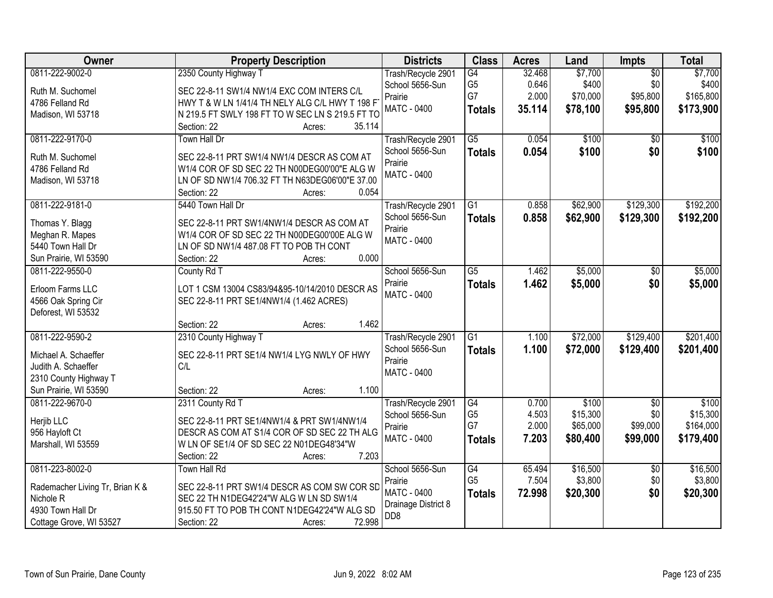| Owner                                     | <b>Property Description</b>                      | <b>Districts</b>           | <b>Class</b>         | <b>Acres</b>   | Land              | Impts                  | <b>Total</b>      |
|-------------------------------------------|--------------------------------------------------|----------------------------|----------------------|----------------|-------------------|------------------------|-------------------|
| 0811-222-9002-0                           | 2350 County Highway T                            | Trash/Recycle 2901         | G4                   | 32.468         | \$7,700           | $\overline{50}$        | \$7,700           |
| Ruth M. Suchomel                          | SEC 22-8-11 SW1/4 NW1/4 EXC COM INTERS C/L       | School 5656-Sun            | G <sub>5</sub>       | 0.646          | \$400             | \$0                    | \$400             |
| 4786 Felland Rd                           | HWY T & W LN 1/41/4 TH NELY ALG C/L HWY T 198 F  | Prairie                    | G7                   | 2.000          | \$70,000          | \$95,800               | \$165,800         |
| Madison, WI 53718                         | N 219.5 FT SWLY 198 FT TO W SEC LN S 219.5 FT TO | <b>MATC - 0400</b>         | <b>Totals</b>        | 35.114         | \$78,100          | \$95,800               | \$173,900         |
|                                           | Section: 22<br>35.114<br>Acres:                  |                            |                      |                |                   |                        |                   |
| 0811-222-9170-0                           | Town Hall Dr                                     | Trash/Recycle 2901         | $\overline{G5}$      | 0.054          | \$100             | \$0                    | \$100             |
| Ruth M. Suchomel                          | SEC 22-8-11 PRT SW1/4 NW1/4 DESCR AS COM AT      | School 5656-Sun            | <b>Totals</b>        | 0.054          | \$100             | \$0                    | \$100             |
| 4786 Felland Rd                           | W1/4 COR OF SD SEC 22 TH N00DEG00'00"E ALG W     | Prairie                    |                      |                |                   |                        |                   |
| Madison, WI 53718                         | LN OF SD NW1/4 706.32 FT TH N63DEG06'00"E 37.00  | <b>MATC - 0400</b>         |                      |                |                   |                        |                   |
|                                           | 0.054<br>Section: 22<br>Acres:                   |                            |                      |                |                   |                        |                   |
| 0811-222-9181-0                           | 5440 Town Hall Dr                                | Trash/Recycle 2901         | $\overline{G1}$      | 0.858          | \$62,900          | \$129,300              | \$192,200         |
| Thomas Y. Blagg                           | SEC 22-8-11 PRT SW1/4NW1/4 DESCR AS COM AT       | School 5656-Sun            | <b>Totals</b>        | 0.858          | \$62,900          | \$129,300              | \$192,200         |
| Meghan R. Mapes                           | W1/4 COR OF SD SEC 22 TH N00DEG00'00E ALG W      | Prairie                    |                      |                |                   |                        |                   |
| 5440 Town Hall Dr                         | LN OF SD NW1/4 487.08 FT TO POB TH CONT          | <b>MATC - 0400</b>         |                      |                |                   |                        |                   |
| Sun Prairie, WI 53590                     | 0.000<br>Section: 22<br>Acres:                   |                            |                      |                |                   |                        |                   |
| 0811-222-9550-0                           | County Rd T                                      | School 5656-Sun            | $\overline{G5}$      | 1.462          | \$5,000           | \$0                    | \$5,000           |
|                                           |                                                  | Prairie                    | <b>Totals</b>        | 1.462          | \$5,000           | \$0                    | \$5,000           |
| Erloom Farms LLC                          | LOT 1 CSM 13004 CS83/94&95-10/14/2010 DESCR AS   | MATC - 0400                |                      |                |                   |                        |                   |
| 4566 Oak Spring Cir<br>Deforest, WI 53532 | SEC 22-8-11 PRT SE1/4NW1/4 (1.462 ACRES)         |                            |                      |                |                   |                        |                   |
|                                           | 1.462<br>Section: 22<br>Acres:                   |                            |                      |                |                   |                        |                   |
| 0811-222-9590-2                           | 2310 County Highway T                            | Trash/Recycle 2901         | $\overline{G1}$      | 1.100          | \$72,000          | \$129,400              | \$201,400         |
|                                           |                                                  | School 5656-Sun            | <b>Totals</b>        | 1.100          | \$72,000          | \$129,400              | \$201,400         |
| Michael A. Schaeffer                      | SEC 22-8-11 PRT SE1/4 NW1/4 LYG NWLY OF HWY      | Prairie                    |                      |                |                   |                        |                   |
| Judith A. Schaeffer                       | C/L                                              | <b>MATC - 0400</b>         |                      |                |                   |                        |                   |
| 2310 County Highway T                     |                                                  |                            |                      |                |                   |                        |                   |
| Sun Prairie, WI 53590                     | 1.100<br>Section: 22<br>Acres:                   |                            |                      |                |                   |                        |                   |
| 0811-222-9670-0                           | 2311 County Rd T                                 | Trash/Recycle 2901         | G4<br>G <sub>5</sub> | 0.700<br>4.503 | \$100<br>\$15,300 | $\overline{50}$<br>\$0 | \$100<br>\$15,300 |
| Herjib LLC                                | SEC 22-8-11 PRT SE1/4NW1/4 & PRT SW1/4NW1/4      | School 5656-Sun<br>Prairie | G7                   | 2.000          | \$65,000          | \$99,000               | \$164,000         |
| 956 Hayloft Ct                            | DESCR AS COM AT S1/4 COR OF SD SEC 22 TH ALG     | <b>MATC - 0400</b>         | <b>Totals</b>        | 7.203          | \$80,400          | \$99,000               | \$179,400         |
| Marshall, WI 53559                        | W LN OF SE1/4 OF SD SEC 22 N01DEG48'34"W         |                            |                      |                |                   |                        |                   |
|                                           | Section: 22<br>7.203<br>Acres:                   |                            |                      |                |                   |                        |                   |
| 0811-223-8002-0                           | <b>Town Hall Rd</b>                              | School 5656-Sun            | G4                   | 65.494         | \$16,500          | $\overline{30}$        | \$16,500          |
| Rademacher Living Tr, Brian K &           | SEC 22-8-11 PRT SW1/4 DESCR AS COM SW COR SD     | Prairie                    | G <sub>5</sub>       | 7.504          | \$3,800           | \$0                    | \$3,800           |
| Nichole <sub>R</sub>                      | SEC 22 TH N1DEG42'24"W ALG W LN SD SW1/4         | MATC - 0400                | <b>Totals</b>        | 72.998         | \$20,300          | \$0                    | \$20,300          |
| 4930 Town Hall Dr                         | 915.50 FT TO POB TH CONT N1DEG42'24"W ALG SD     | Drainage District 8        |                      |                |                   |                        |                   |
| Cottage Grove, WI 53527                   | 72.998<br>Section: 22<br>Acres:                  | D <sub>D</sub> 8           |                      |                |                   |                        |                   |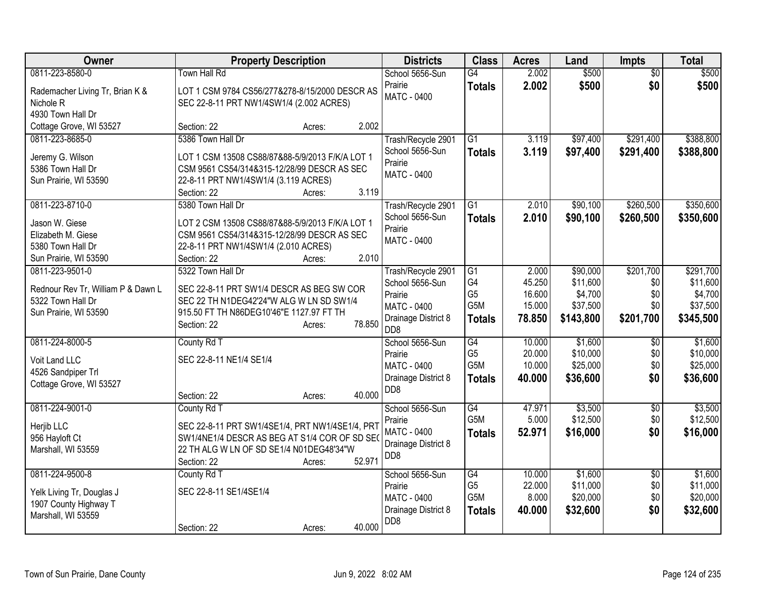| Owner                                                   | <b>Property Description</b>                                                          | <b>Districts</b>    | <b>Class</b>     | <b>Acres</b> | Land      | <b>Impts</b>    | <b>Total</b> |
|---------------------------------------------------------|--------------------------------------------------------------------------------------|---------------------|------------------|--------------|-----------|-----------------|--------------|
| 0811-223-8580-0                                         | <b>Town Hall Rd</b>                                                                  | School 5656-Sun     | G4               | 2.002        | \$500     | $\overline{50}$ | \$500        |
| Rademacher Living Tr, Brian K &                         | LOT 1 CSM 9784 CS56/277&278-8/15/2000 DESCR AS                                       | Prairie             | <b>Totals</b>    | 2.002        | \$500     | \$0             | \$500        |
| Nichole <sub>R</sub>                                    | SEC 22-8-11 PRT NW1/4SW1/4 (2.002 ACRES)                                             | <b>MATC - 0400</b>  |                  |              |           |                 |              |
| 4930 Town Hall Dr                                       |                                                                                      |                     |                  |              |           |                 |              |
| Cottage Grove, WI 53527                                 | 2.002<br>Section: 22<br>Acres:                                                       |                     |                  |              |           |                 |              |
| 0811-223-8685-0                                         | 5386 Town Hall Dr                                                                    | Trash/Recycle 2901  | G1               | 3.119        | \$97,400  | \$291,400       | \$388,800    |
| Jeremy G. Wilson                                        | LOT 1 CSM 13508 CS88/87&88-5/9/2013 F/K/A LOT 1                                      | School 5656-Sun     | <b>Totals</b>    | 3.119        | \$97,400  | \$291,400       | \$388,800    |
| 5386 Town Hall Dr                                       | CSM 9561 CS54/314&315-12/28/99 DESCR AS SEC                                          | Prairie             |                  |              |           |                 |              |
| Sun Prairie, WI 53590                                   | 22-8-11 PRT NW1/4SW1/4 (3.119 ACRES)                                                 | MATC - 0400         |                  |              |           |                 |              |
|                                                         | 3.119<br>Section: 22<br>Acres:                                                       |                     |                  |              |           |                 |              |
| 0811-223-8710-0                                         | 5380 Town Hall Dr                                                                    | Trash/Recycle 2901  | $\overline{G1}$  | 2.010        | \$90,100  | \$260,500       | \$350,600    |
| Jason W. Giese                                          | LOT 2 CSM 13508 CS88/87&88-5/9/2013 F/K/A LOT 1                                      | School 5656-Sun     | <b>Totals</b>    | 2.010        | \$90,100  | \$260,500       | \$350,600    |
| Elizabeth M. Giese                                      | CSM 9561 CS54/314&315-12/28/99 DESCR AS SEC                                          | Prairie             |                  |              |           |                 |              |
| 5380 Town Hall Dr                                       | 22-8-11 PRT NW1/4SW1/4 (2.010 ACRES)                                                 | <b>MATC - 0400</b>  |                  |              |           |                 |              |
| Sun Prairie, WI 53590                                   | 2.010<br>Section: 22<br>Acres:                                                       |                     |                  |              |           |                 |              |
| 0811-223-9501-0                                         | 5322 Town Hall Dr                                                                    | Trash/Recycle 2901  | G1               | 2.000        | \$90,000  | \$201,700       | \$291,700    |
|                                                         |                                                                                      | School 5656-Sun     | G4               | 45.250       | \$11,600  | \$0             | \$11,600     |
| Rednour Rev Tr, William P & Dawn L<br>5322 Town Hall Dr | SEC 22-8-11 PRT SW1/4 DESCR AS BEG SW COR                                            | Prairie             | G <sub>5</sub>   | 16.600       | \$4,700   | \$0             | \$4,700      |
|                                                         | SEC 22 TH N1DEG42'24"W ALG W LN SD SW1/4<br>915.50 FT TH N86DEG10'46"E 1127.97 FT TH | MATC - 0400         | G5M              | 15.000       | \$37,500  | \$0             | \$37,500     |
| Sun Prairie, WI 53590                                   | 78.850<br>Section: 22                                                                | Drainage District 8 | <b>Totals</b>    | 78.850       | \$143,800 | \$201,700       | \$345,500    |
|                                                         | Acres:                                                                               | D <sub>D</sub> 8    |                  |              |           |                 |              |
| 0811-224-8000-5                                         | County Rd T                                                                          | School 5656-Sun     | G4               | 10.000       | \$1,600   | $\overline{60}$ | \$1,600      |
| Voit Land LLC                                           | SEC 22-8-11 NE1/4 SE1/4                                                              | Prairie             | G <sub>5</sub>   | 20.000       | \$10,000  | \$0             | \$10,000     |
| 4526 Sandpiper Trl                                      |                                                                                      | <b>MATC - 0400</b>  | G <sub>5</sub> M | 10.000       | \$25,000  | \$0             | \$25,000     |
| Cottage Grove, WI 53527                                 |                                                                                      | Drainage District 8 | <b>Totals</b>    | 40,000       | \$36,600  | \$0             | \$36,600     |
|                                                         | 40.000<br>Section: 22<br>Acres:                                                      | D <sub>D</sub> 8    |                  |              |           |                 |              |
| 0811-224-9001-0                                         | County Rd T                                                                          | School 5656-Sun     | G4               | 47.971       | \$3,500   | $\sqrt[6]{}$    | \$3,500      |
| Herjib LLC                                              | SEC 22-8-11 PRT SW1/4SE1/4, PRT NW1/4SE1/4, PRT                                      | Prairie             | G <sub>5</sub> M | 5.000        | \$12,500  | \$0             | \$12,500     |
| 956 Hayloft Ct                                          | SW1/4NE1/4 DESCR AS BEG AT S1/4 COR OF SD SEO                                        | <b>MATC - 0400</b>  | <b>Totals</b>    | 52.971       | \$16,000  | \$0             | \$16,000     |
| Marshall, WI 53559                                      | 22 TH ALG W LN OF SD SE1/4 N01DEG48'34"W                                             | Drainage District 8 |                  |              |           |                 |              |
|                                                         | 52.971<br>Section: 22<br>Acres:                                                      | D <sub>D</sub> 8    |                  |              |           |                 |              |
| 0811-224-9500-8                                         | County Rd T                                                                          | School 5656-Sun     | G4               | 10.000       | \$1,600   | \$0             | \$1,600      |
|                                                         |                                                                                      | Prairie             | G <sub>5</sub>   | 22.000       | \$11,000  | \$0             | \$11,000     |
| Yelk Living Tr, Douglas J                               | SEC 22-8-11 SE1/4SE1/4                                                               | MATC - 0400         | G5M              | 8.000        | \$20,000  | \$0             | \$20,000     |
| 1907 County Highway T                                   |                                                                                      | Drainage District 8 | <b>Totals</b>    | 40.000       | \$32,600  | \$0             | \$32,600     |
| Marshall, WI 53559                                      | 40.000                                                                               | DD <sub>8</sub>     |                  |              |           |                 |              |
|                                                         | Section: 22<br>Acres:                                                                |                     |                  |              |           |                 |              |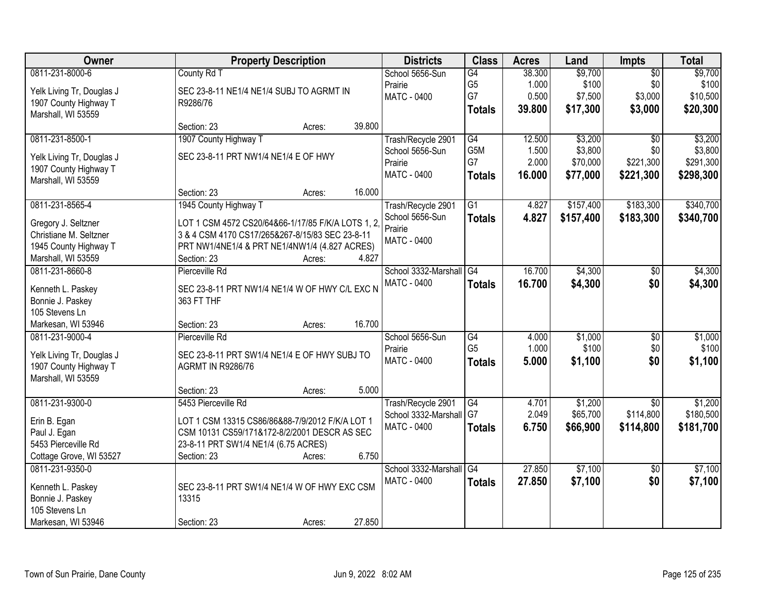| Owner                                 | <b>Property Description</b>                       | <b>Districts</b>           | <b>Class</b>     | <b>Acres</b> | Land      | Impts           | <b>Total</b> |
|---------------------------------------|---------------------------------------------------|----------------------------|------------------|--------------|-----------|-----------------|--------------|
| 0811-231-8000-6                       | County Rd T                                       | School 5656-Sun            | G4               | 38.300       | \$9,700   | $\overline{50}$ | \$9,700      |
| Yelk Living Tr, Douglas J             | SEC 23-8-11 NE1/4 NE1/4 SUBJ TO AGRMT IN          | Prairie                    | G <sub>5</sub>   | 1.000        | \$100     | \$0             | \$100        |
| 1907 County Highway T                 | R9286/76                                          | <b>MATC - 0400</b>         | G7               | 0.500        | \$7,500   | \$3,000         | \$10,500     |
| Marshall, WI 53559                    |                                                   |                            | <b>Totals</b>    | 39.800       | \$17,300  | \$3,000         | \$20,300     |
|                                       | 39.800<br>Section: 23<br>Acres:                   |                            |                  |              |           |                 |              |
| 0811-231-8500-1                       | 1907 County Highway T                             | Trash/Recycle 2901         | G4               | 12.500       | \$3,200   | $\overline{50}$ | \$3,200      |
|                                       |                                                   | School 5656-Sun            | G <sub>5</sub> M | 1.500        | \$3,800   | \$0             | \$3,800      |
| Yelk Living Tr, Douglas J             | SEC 23-8-11 PRT NW1/4 NE1/4 E OF HWY              | Prairie                    | G7               | 2.000        | \$70,000  | \$221,300       | \$291,300    |
| 1907 County Highway T                 |                                                   | MATC - 0400                | <b>Totals</b>    | 16.000       | \$77,000  | \$221,300       | \$298,300    |
| Marshall, WI 53559                    | 16.000                                            |                            |                  |              |           |                 |              |
| 0811-231-8565-4                       | Section: 23<br>Acres:                             |                            |                  | 4.827        | \$157,400 | \$183,300       | \$340,700    |
|                                       | 1945 County Highway T                             | Trash/Recycle 2901         | G1               |              |           |                 |              |
| Gregory J. Seltzner                   | LOT 1 CSM 4572 CS20/64&66-1/17/85 F/K/A LOTS 1, 2 | School 5656-Sun<br>Prairie | <b>Totals</b>    | 4.827        | \$157,400 | \$183,300       | \$340,700    |
| Christiane M. Seltzner                | 3 & 4 CSM 4170 CS17/265&267-8/15/83 SEC 23-8-11   |                            |                  |              |           |                 |              |
| 1945 County Highway T                 | PRT NW1/4NE1/4 & PRT NE1/4NW1/4 (4.827 ACRES)     | <b>MATC - 0400</b>         |                  |              |           |                 |              |
| Marshall, WI 53559                    | Section: 23<br>4.827<br>Acres:                    |                            |                  |              |           |                 |              |
| 0811-231-8660-8                       | Pierceville Rd                                    | School 3332-Marshall       | G4               | 16.700       | \$4,300   | $\sqrt[6]{3}$   | \$4,300      |
|                                       | SEC 23-8-11 PRT NW1/4 NE1/4 W OF HWY C/L EXC N    | <b>MATC - 0400</b>         | <b>Totals</b>    | 16.700       | \$4,300   | \$0             | \$4,300      |
| Kenneth L. Paskey<br>Bonnie J. Paskey | 363 FT THF                                        |                            |                  |              |           |                 |              |
| 105 Stevens Ln                        |                                                   |                            |                  |              |           |                 |              |
| Markesan, WI 53946                    | 16.700<br>Section: 23<br>Acres:                   |                            |                  |              |           |                 |              |
| 0811-231-9000-4                       | Pierceville Rd                                    | School 5656-Sun            | $\overline{G4}$  | 4.000        | \$1,000   | $\overline{50}$ | \$1,000      |
|                                       |                                                   | Prairie                    | G <sub>5</sub>   | 1.000        | \$100     | \$0             | \$100        |
| Yelk Living Tr, Douglas J             | SEC 23-8-11 PRT SW1/4 NE1/4 E OF HWY SUBJ TO      | MATC - 0400                | <b>Totals</b>    | 5.000        | \$1,100   | \$0             | \$1,100      |
| 1907 County Highway T                 | <b>AGRMT IN R9286/76</b>                          |                            |                  |              |           |                 |              |
| Marshall, WI 53559                    |                                                   |                            |                  |              |           |                 |              |
|                                       | 5.000<br>Section: 23<br>Acres:                    |                            |                  |              |           |                 |              |
| 0811-231-9300-0                       | 5453 Pierceville Rd                               | Trash/Recycle 2901         | G4               | 4.701        | \$1,200   | $\overline{50}$ | \$1,200      |
| Erin B. Egan                          | LOT 1 CSM 13315 CS86/86&88-7/9/2012 F/K/A LOT 1   | School 3332-Marshall       | G7               | 2.049        | \$65,700  | \$114,800       | \$180,500    |
| Paul J. Egan                          | CSM 10131 CS59/171&172-8/2/2001 DESCR AS SEC      | MATC - 0400                | <b>Totals</b>    | 6.750        | \$66,900  | \$114,800       | \$181,700    |
| 5453 Pierceville Rd                   | 23-8-11 PRT SW1/4 NE1/4 (6.75 ACRES)              |                            |                  |              |           |                 |              |
| Cottage Grove, WI 53527               | 6.750<br>Section: 23<br>Acres:                    |                            |                  |              |           |                 |              |
| 0811-231-9350-0                       |                                                   | School 3332-Marshall G4    |                  | 27.850       | \$7,100   | $\overline{50}$ | \$7,100      |
|                                       |                                                   | <b>MATC - 0400</b>         | <b>Totals</b>    | 27.850       | \$7,100   | \$0             | \$7,100      |
| Kenneth L. Paskey                     | SEC 23-8-11 PRT SW1/4 NE1/4 W OF HWY EXC CSM      |                            |                  |              |           |                 |              |
| Bonnie J. Paskey                      | 13315                                             |                            |                  |              |           |                 |              |
| 105 Stevens Ln                        |                                                   |                            |                  |              |           |                 |              |
| Markesan, WI 53946                    | 27.850<br>Section: 23<br>Acres:                   |                            |                  |              |           |                 |              |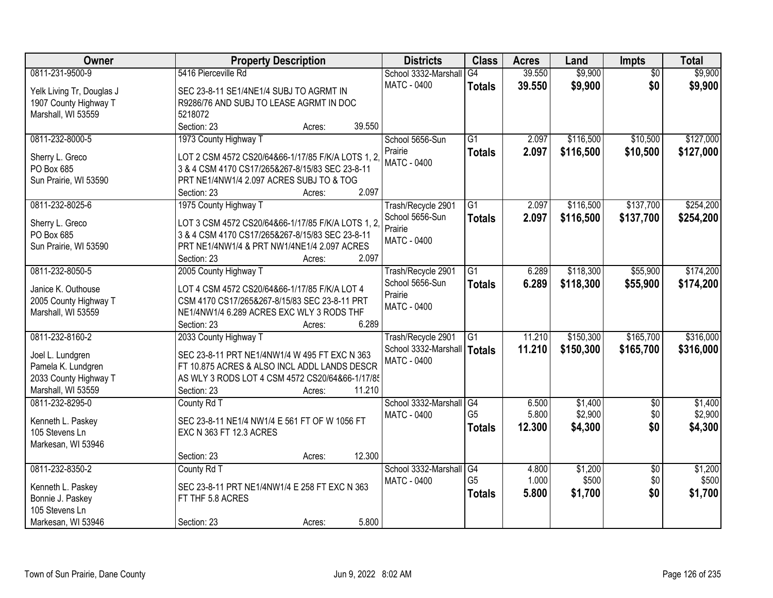| Owner                                       | <b>Property Description</b>                       | <b>Districts</b>                                    | <b>Class</b>    | <b>Acres</b> | Land      | Impts           | <b>Total</b> |
|---------------------------------------------|---------------------------------------------------|-----------------------------------------------------|-----------------|--------------|-----------|-----------------|--------------|
| 0811-231-9500-9                             | 5416 Pierceville Rd                               | School 3332-Marshall                                | G4              | 39.550       | \$9,900   | $\overline{50}$ | \$9,900      |
| Yelk Living Tr, Douglas J                   | SEC 23-8-11 SE1/4NE1/4 SUBJ TO AGRMT IN           | <b>MATC - 0400</b>                                  | <b>Totals</b>   | 39.550       | \$9,900   | \$0             | \$9,900      |
| 1907 County Highway T                       | R9286/76 AND SUBJ TO LEASE AGRMT IN DOC           |                                                     |                 |              |           |                 |              |
| Marshall, WI 53559                          | 5218072                                           |                                                     |                 |              |           |                 |              |
|                                             | Section: 23<br>39.550<br>Acres:                   |                                                     |                 |              |           |                 |              |
| 0811-232-8000-5                             | 1973 County Highway T                             | School 5656-Sun                                     | $\overline{G1}$ | 2.097        | \$116,500 | \$10,500        | \$127,000    |
|                                             |                                                   | Prairie                                             | <b>Totals</b>   | 2.097        | \$116,500 | \$10,500        | \$127,000    |
| Sherry L. Greco                             | LOT 2 CSM 4572 CS20/64&66-1/17/85 F/K/A LOTS 1, 2 | <b>MATC - 0400</b>                                  |                 |              |           |                 |              |
| PO Box 685                                  | 3 & 4 CSM 4170 CS17/265&267-8/15/83 SEC 23-8-11   |                                                     |                 |              |           |                 |              |
| Sun Prairie, WI 53590                       | PRT NE1/4NW1/4 2.097 ACRES SUBJ TO & TOG<br>2.097 |                                                     |                 |              |           |                 |              |
|                                             | Section: 23<br>Acres:                             |                                                     |                 |              |           |                 |              |
| 0811-232-8025-6                             | 1975 County Highway T                             | Trash/Recycle 2901<br>School 5656-Sun               | G1              | 2.097        | \$116,500 | \$137,700       | \$254,200    |
| Sherry L. Greco                             | LOT 3 CSM 4572 CS20/64&66-1/17/85 F/K/A LOTS 1, 2 | Prairie                                             | <b>Totals</b>   | 2.097        | \$116,500 | \$137,700       | \$254,200    |
| PO Box 685                                  | 3 & 4 CSM 4170 CS17/265&267-8/15/83 SEC 23-8-11   | MATC - 0400                                         |                 |              |           |                 |              |
| Sun Prairie, WI 53590                       | PRT NE1/4NW1/4 & PRT NW1/4NE1/4 2.097 ACRES       |                                                     |                 |              |           |                 |              |
|                                             | 2.097<br>Section: 23<br>Acres:                    |                                                     |                 |              |           |                 |              |
| 0811-232-8050-5                             | 2005 County Highway T                             | Trash/Recycle 2901                                  | $\overline{G1}$ | 6.289        | \$118,300 | \$55,900        | \$174,200    |
| Janice K. Outhouse                          | LOT 4 CSM 4572 CS20/64&66-1/17/85 F/K/A LOT 4     | School 5656-Sun                                     | <b>Totals</b>   | 6.289        | \$118,300 | \$55,900        | \$174,200    |
|                                             | CSM 4170 CS17/265&267-8/15/83 SEC 23-8-11 PRT     | Prairie                                             |                 |              |           |                 |              |
| 2005 County Highway T<br>Marshall, WI 53559 | NE1/4NW1/4 6.289 ACRES EXC WLY 3 RODS THF         | <b>MATC - 0400</b>                                  |                 |              |           |                 |              |
|                                             | 6.289<br>Section: 23                              |                                                     |                 |              |           |                 |              |
| 0811-232-8160-2                             | Acres:<br>2033 County Highway T                   |                                                     | $\overline{G1}$ | 11.210       | \$150,300 | \$165,700       | \$316,000    |
|                                             |                                                   | Trash/Recycle 2901                                  |                 |              |           |                 |              |
| Joel L. Lundgren                            | SEC 23-8-11 PRT NE1/4NW1/4 W 495 FT EXC N 363     | School 3332-Marshall   Totals<br><b>MATC - 0400</b> |                 | 11.210       | \$150,300 | \$165,700       | \$316,000    |
| Pamela K. Lundgren                          | FT 10.875 ACRES & ALSO INCL ADDL LANDS DESCR      |                                                     |                 |              |           |                 |              |
| 2033 County Highway T                       | AS WLY 3 RODS LOT 4 CSM 4572 CS20/64&66-1/17/85   |                                                     |                 |              |           |                 |              |
| Marshall, WI 53559                          | 11.210<br>Section: 23<br>Acres:                   |                                                     |                 |              |           |                 |              |
| 0811-232-8295-0                             | County Rd T                                       | School 3332-Marshall G4                             |                 | 6.500        | \$1,400   | $\overline{60}$ | \$1,400      |
| Kenneth L. Paskey                           | SEC 23-8-11 NE1/4 NW1/4 E 561 FT OF W 1056 FT     | MATC - 0400                                         | G <sub>5</sub>  | 5.800        | \$2,900   | \$0             | \$2,900      |
| 105 Stevens Ln                              | EXC N 363 FT 12.3 ACRES                           |                                                     | <b>Totals</b>   | 12.300       | \$4,300   | \$0             | \$4,300      |
| Markesan, WI 53946                          |                                                   |                                                     |                 |              |           |                 |              |
|                                             | 12.300<br>Section: 23<br>Acres:                   |                                                     |                 |              |           |                 |              |
| 0811-232-8350-2                             | County Rd T                                       | School 3332-Marshall                                | G4              | 4.800        | \$1,200   | $\overline{30}$ | \$1,200      |
|                                             |                                                   | <b>MATC - 0400</b>                                  | G <sub>5</sub>  | 1.000        | \$500     | \$0             | \$500        |
| Kenneth L. Paskey                           | SEC 23-8-11 PRT NE1/4NW1/4 E 258 FT EXC N 363     |                                                     | <b>Totals</b>   | 5.800        | \$1,700   | \$0             | \$1,700      |
| Bonnie J. Paskey                            | FT THF 5.8 ACRES                                  |                                                     |                 |              |           |                 |              |
| 105 Stevens Ln                              |                                                   |                                                     |                 |              |           |                 |              |
| Markesan, WI 53946                          | 5.800<br>Section: 23<br>Acres:                    |                                                     |                 |              |           |                 |              |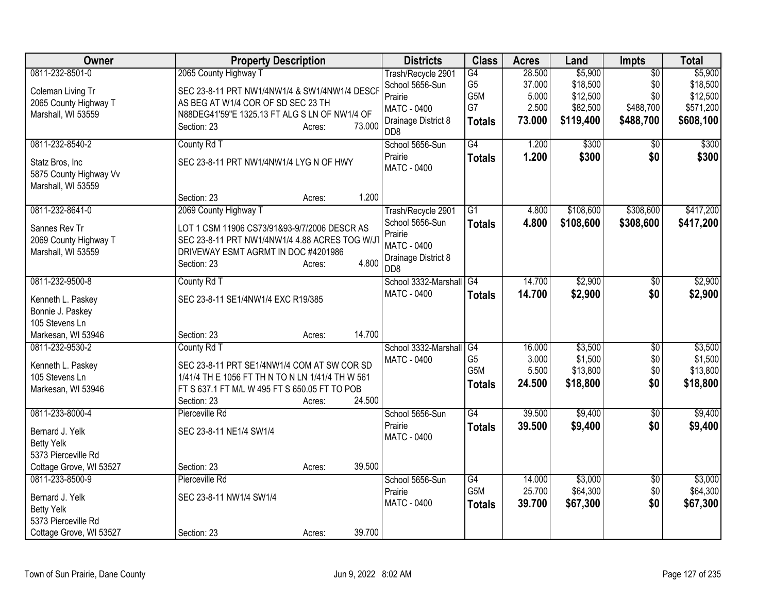| Owner                                                                                                     | <b>Property Description</b>                                                                                                                                                                        | <b>Districts</b>                                                                                                  | <b>Class</b>                                        | <b>Acres</b>                                 | Land                                                     | Impts                                                   | <b>Total</b>                                              |
|-----------------------------------------------------------------------------------------------------------|----------------------------------------------------------------------------------------------------------------------------------------------------------------------------------------------------|-------------------------------------------------------------------------------------------------------------------|-----------------------------------------------------|----------------------------------------------|----------------------------------------------------------|---------------------------------------------------------|-----------------------------------------------------------|
| 0811-232-8501-0<br>Coleman Living Tr<br>2065 County Highway T<br>Marshall, WI 53559                       | 2065 County Highway T<br>SEC 23-8-11 PRT NW1/4NW1/4 & SW1/4NW1/4 DESCF<br>AS BEG AT W1/4 COR OF SD SEC 23 TH<br>N88DEG41'59"E 1325.13 FT ALG S LN OF NW1/4 OF<br>73.000<br>Section: 23<br>Acres:   | Trash/Recycle 2901<br>School 5656-Sun<br>Prairie<br><b>MATC - 0400</b><br>Drainage District 8<br>DD <sub>8</sub>  | G4<br>G <sub>5</sub><br>G5M<br>G7<br><b>Totals</b>  | 28.500<br>37.000<br>5.000<br>2.500<br>73.000 | \$5,900<br>\$18,500<br>\$12,500<br>\$82,500<br>\$119,400 | $\overline{50}$<br>\$0<br>\$0<br>\$488,700<br>\$488,700 | \$5,900<br>\$18,500<br>\$12,500<br>\$571,200<br>\$608,100 |
| 0811-232-8540-2<br>Statz Bros, Inc<br>5875 County Highway Vv<br>Marshall, WI 53559                        | County Rd T<br>SEC 23-8-11 PRT NW1/4NW1/4 LYG N OF HWY<br>1.200<br>Section: 23<br>Acres:                                                                                                           | School 5656-Sun<br>Prairie<br><b>MATC - 0400</b>                                                                  | G4<br><b>Totals</b>                                 | 1.200<br>1.200                               | \$300<br>\$300                                           | $\overline{50}$<br>\$0                                  | \$300<br>\$300                                            |
| 0811-232-8641-0<br>Sannes Rev Tr<br>2069 County Highway T<br>Marshall, WI 53559                           | 2069 County Highway T<br>LOT 1 CSM 11906 CS73/91&93-9/7/2006 DESCR AS<br>SEC 23-8-11 PRT NW1/4NW1/4 4.88 ACRES TOG W/J<br>DRIVEWAY ESMT AGRMT IN DOC #4201986<br>4.800<br>Section: 23<br>Acres:    | Trash/Recycle 2901<br>School 5656-Sun<br>Prairie<br><b>MATC - 0400</b><br>Drainage District 8<br>D <sub>D</sub> 8 | $\overline{G1}$<br><b>Totals</b>                    | 4.800<br>4.800                               | \$108,600<br>\$108,600                                   | \$308,600<br>\$308,600                                  | \$417,200<br>\$417,200                                    |
| 0811-232-9500-8<br>Kenneth L. Paskey<br>Bonnie J. Paskey<br>105 Stevens Ln<br>Markesan, WI 53946          | County Rd T<br>SEC 23-8-11 SE1/4NW1/4 EXC R19/385<br>14.700<br>Section: 23<br>Acres:                                                                                                               | School 3332-Marshall G4<br><b>MATC - 0400</b>                                                                     | <b>Totals</b>                                       | 14.700<br>14.700                             | \$2,900<br>\$2,900                                       | $\overline{50}$<br>\$0                                  | \$2,900<br>\$2,900                                        |
| 0811-232-9530-2<br>Kenneth L. Paskey<br>105 Stevens Ln<br>Markesan, WI 53946                              | County Rd T<br>SEC 23-8-11 PRT SE1/4NW1/4 COM AT SW COR SD<br>1/41/4 TH E 1056 FT TH N TO N LN 1/41/4 TH W 561<br>FT S 637.1 FT M/L W 495 FT S 650.05 FT TO POB<br>24.500<br>Section: 23<br>Acres: | School 3332-Marshall G4<br>MATC - 0400                                                                            | G <sub>5</sub><br>G <sub>5</sub> M<br><b>Totals</b> | 16.000<br>3.000<br>5.500<br>24.500           | \$3,500<br>\$1,500<br>\$13,800<br>\$18,800               | $\overline{50}$<br>\$0<br>\$0<br>\$0                    | \$3,500<br>\$1,500<br>\$13,800<br>\$18,800                |
| 0811-233-8000-4<br>Bernard J. Yelk<br><b>Betty Yelk</b><br>5373 Pierceville Rd<br>Cottage Grove, WI 53527 | Pierceville Rd<br>SEC 23-8-11 NE1/4 SW1/4<br>39.500<br>Section: 23<br>Acres:                                                                                                                       | School 5656-Sun<br>Prairie<br>MATC - 0400                                                                         | $\overline{G4}$<br><b>Totals</b>                    | 39.500<br>39.500                             | \$9,400<br>\$9,400                                       | $\overline{50}$<br>\$0                                  | \$9,400<br>\$9,400                                        |
| 0811-233-8500-9<br>Bernard J. Yelk<br><b>Betty Yelk</b><br>5373 Pierceville Rd<br>Cottage Grove, WI 53527 | Pierceville Rd<br>SEC 23-8-11 NW1/4 SW1/4<br>39.700<br>Section: 23<br>Acres:                                                                                                                       | School 5656-Sun<br>Prairie<br><b>MATC - 0400</b>                                                                  | G4<br>G5M<br><b>Totals</b>                          | 14.000<br>25.700<br>39.700                   | \$3,000<br>\$64,300<br>\$67,300                          | $\overline{30}$<br>\$0<br>\$0                           | \$3,000<br>\$64,300<br>\$67,300                           |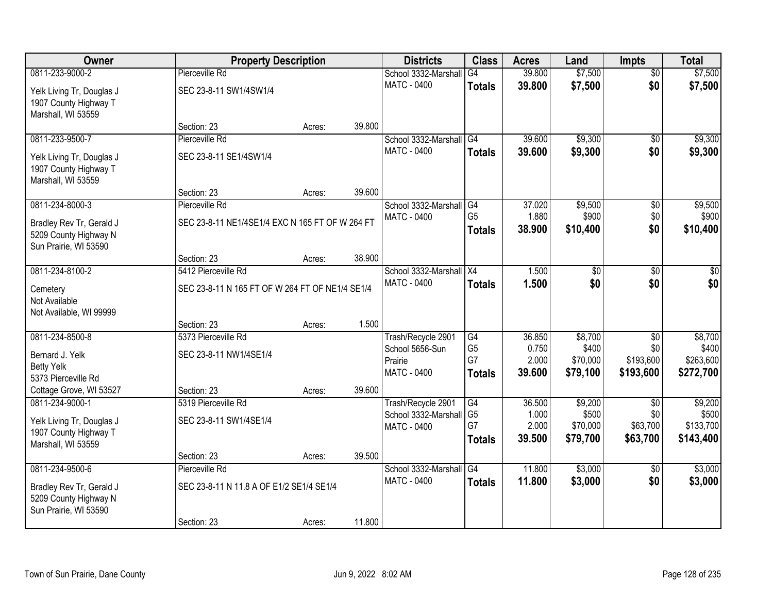| Owner                                    | <b>Property Description</b>                     |        |        | <b>Districts</b>                           | <b>Class</b>         | <b>Acres</b>    | Land             | <b>Impts</b>    | <b>Total</b>     |
|------------------------------------------|-------------------------------------------------|--------|--------|--------------------------------------------|----------------------|-----------------|------------------|-----------------|------------------|
| 0811-233-9000-2                          | Pierceville Rd                                  |        |        | School 3332-Marshall                       | G4                   | 39.800          | \$7,500          | $\overline{50}$ | \$7,500          |
| Yelk Living Tr, Douglas J                | SEC 23-8-11 SW1/4SW1/4                          |        |        | <b>MATC - 0400</b>                         | <b>Totals</b>        | 39.800          | \$7,500          | \$0             | \$7,500          |
| 1907 County Highway T                    |                                                 |        |        |                                            |                      |                 |                  |                 |                  |
| Marshall, WI 53559                       |                                                 |        |        |                                            |                      |                 |                  |                 |                  |
|                                          | Section: 23                                     | Acres: | 39.800 |                                            |                      |                 |                  |                 |                  |
| 0811-233-9500-7                          | Pierceville Rd                                  |        |        | School 3332-Marshall                       | G4                   | 39.600          | \$9,300          | $\overline{50}$ | \$9,300          |
| Yelk Living Tr, Douglas J                | SEC 23-8-11 SE1/4SW1/4                          |        |        | <b>MATC - 0400</b>                         | <b>Totals</b>        | 39.600          | \$9,300          | \$0             | \$9,300          |
| 1907 County Highway T                    |                                                 |        |        |                                            |                      |                 |                  |                 |                  |
| Marshall, WI 53559                       |                                                 |        |        |                                            |                      |                 |                  |                 |                  |
|                                          | Section: 23                                     | Acres: | 39.600 |                                            |                      |                 |                  |                 |                  |
| 0811-234-8000-3                          | Pierceville Rd                                  |        |        | School 3332-Marshall<br><b>MATC - 0400</b> | G4<br>G <sub>5</sub> | 37.020<br>1.880 | \$9,500<br>\$900 | \$0<br>\$0      | \$9,500<br>\$900 |
| Bradley Rev Tr, Gerald J                 | SEC 23-8-11 NE1/4SE1/4 EXC N 165 FT OF W 264 FT |        |        |                                            | <b>Totals</b>        | 38.900          | \$10,400         | \$0             | \$10,400         |
| 5209 County Highway N                    |                                                 |        |        |                                            |                      |                 |                  |                 |                  |
| Sun Prairie, WI 53590                    | Section: 23                                     | Acres: | 38.900 |                                            |                      |                 |                  |                 |                  |
| 0811-234-8100-2                          | 5412 Pierceville Rd                             |        |        | School 3332-Marshall                       | X4                   | 1.500           | $\overline{50}$  | \$0             | $\sqrt{50}$      |
|                                          |                                                 |        |        | <b>MATC - 0400</b>                         | <b>Totals</b>        | 1.500           | \$0              | \$0             | \$0              |
| Cemetery                                 | SEC 23-8-11 N 165 FT OF W 264 FT OF NE1/4 SE1/4 |        |        |                                            |                      |                 |                  |                 |                  |
| Not Available<br>Not Available, WI 99999 |                                                 |        |        |                                            |                      |                 |                  |                 |                  |
|                                          | Section: 23                                     | Acres: | 1.500  |                                            |                      |                 |                  |                 |                  |
| 0811-234-8500-8                          | 5373 Pierceville Rd                             |        |        | Trash/Recycle 2901                         | G4                   | 36.850          | \$8,700          | $\overline{50}$ | \$8,700          |
| Bernard J. Yelk                          | SEC 23-8-11 NW1/4SE1/4                          |        |        | School 5656-Sun                            | G <sub>5</sub>       | 0.750           | \$400            | \$0             | \$400            |
| <b>Betty Yelk</b>                        |                                                 |        |        | Prairie                                    | G7                   | 2.000           | \$70,000         | \$193,600       | \$263,600        |
| 5373 Pierceville Rd                      |                                                 |        |        | <b>MATC - 0400</b>                         | <b>Totals</b>        | 39.600          | \$79,100         | \$193,600       | \$272,700        |
| Cottage Grove, WI 53527                  | Section: 23                                     | Acres: | 39.600 |                                            |                      |                 |                  |                 |                  |
| 0811-234-9000-1                          | 5319 Pierceville Rd                             |        |        | Trash/Recycle 2901                         | G4                   | 36.500          | \$9,200          | $\overline{50}$ | \$9,200          |
| Yelk Living Tr, Douglas J                | SEC 23-8-11 SW1/4SE1/4                          |        |        | School 3332-Marshall                       | G <sub>5</sub>       | 1.000           | \$500            | \$0             | \$500            |
| 1907 County Highway T                    |                                                 |        |        | <b>MATC - 0400</b>                         | G7                   | 2.000           | \$70,000         | \$63,700        | \$133,700        |
| Marshall, WI 53559                       |                                                 |        |        |                                            | <b>Totals</b>        | 39.500          | \$79,700         | \$63,700        | \$143,400        |
|                                          | Section: 23                                     | Acres: | 39.500 |                                            |                      |                 |                  |                 |                  |
| 0811-234-9500-6                          | Pierceville Rd                                  |        |        | School 3332-Marshall                       | G4                   | 11.800          | \$3,000          | $\overline{60}$ | \$3,000          |
| Bradley Rev Tr, Gerald J                 | SEC 23-8-11 N 11.8 A OF E1/2 SE1/4 SE1/4        |        |        | <b>MATC - 0400</b>                         | <b>Totals</b>        | 11.800          | \$3,000          | \$0             | \$3,000          |
| 5209 County Highway N                    |                                                 |        |        |                                            |                      |                 |                  |                 |                  |
| Sun Prairie, WI 53590                    |                                                 |        |        |                                            |                      |                 |                  |                 |                  |
|                                          | Section: 23                                     | Acres: | 11.800 |                                            |                      |                 |                  |                 |                  |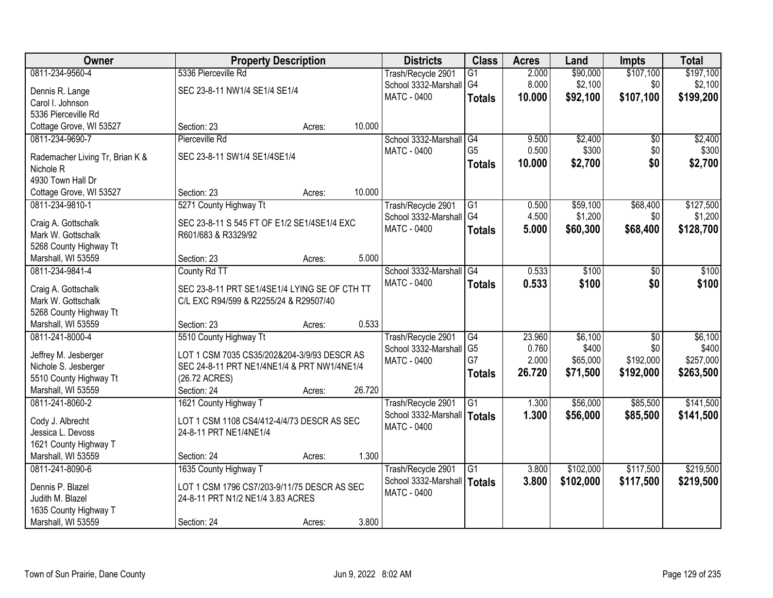| <b>Owner</b>                                 | <b>Property Description</b>                                                                |        |        | <b>Districts</b>        | <b>Class</b>    | <b>Acres</b> | Land      | <b>Impts</b> | <b>Total</b> |
|----------------------------------------------|--------------------------------------------------------------------------------------------|--------|--------|-------------------------|-----------------|--------------|-----------|--------------|--------------|
| 0811-234-9560-4                              | 5336 Pierceville Rd                                                                        |        |        | Trash/Recycle 2901      | $\overline{G1}$ | 2.000        | \$90,000  | \$107,100    | \$197,100    |
| Dennis R. Lange                              | SEC 23-8-11 NW1/4 SE1/4 SE1/4                                                              |        |        | School 3332-Marshall    | G <sub>4</sub>  | 8.000        | \$2,100   | \$0          | \$2,100      |
| Carol I. Johnson                             |                                                                                            |        |        | MATC - 0400             | <b>Totals</b>   | 10,000       | \$92,100  | \$107,100    | \$199,200    |
| 5336 Pierceville Rd                          |                                                                                            |        |        |                         |                 |              |           |              |              |
| Cottage Grove, WI 53527                      | Section: 23                                                                                | Acres: | 10.000 |                         |                 |              |           |              |              |
| 0811-234-9690-7                              | Pierceville Rd                                                                             |        |        | School 3332-Marshall    | G4              | 9.500        | \$2,400   | \$0          | \$2,400      |
|                                              |                                                                                            |        |        | <b>MATC - 0400</b>      | G <sub>5</sub>  | 0.500        | \$300     | \$0          | \$300        |
| Rademacher Living Tr, Brian K &              | SEC 23-8-11 SW1/4 SE1/4SE1/4                                                               |        |        |                         | <b>Totals</b>   | 10.000       | \$2,700   | \$0          | \$2,700      |
| Nichole <sub>R</sub><br>4930 Town Hall Dr    |                                                                                            |        |        |                         |                 |              |           |              |              |
| Cottage Grove, WI 53527                      | Section: 23                                                                                | Acres: | 10.000 |                         |                 |              |           |              |              |
| 0811-234-9810-1                              | 5271 County Highway Tt                                                                     |        |        | Trash/Recycle 2901      | G1              | 0.500        | \$59,100  | \$68,400     | \$127,500    |
|                                              |                                                                                            |        |        | School 3332-Marshall G4 |                 | 4.500        | \$1,200   | \$0          | \$1,200      |
| Craig A. Gottschalk                          | SEC 23-8-11 S 545 FT OF E1/2 SE1/4SE1/4 EXC                                                |        |        | MATC - 0400             | <b>Totals</b>   | 5.000        | \$60,300  | \$68,400     | \$128,700    |
| Mark W. Gottschalk                           | R601/683 & R3329/92                                                                        |        |        |                         |                 |              |           |              |              |
| 5268 County Highway Tt                       |                                                                                            |        |        |                         |                 |              |           |              |              |
| Marshall, WI 53559                           | Section: 23                                                                                | Acres: | 5.000  |                         |                 |              |           |              |              |
| 0811-234-9841-4                              | County Rd TT                                                                               |        |        | School 3332-Marshall    | $\overline{G4}$ | 0.533        | \$100     | \$0          | \$100        |
| Craig A. Gottschalk                          | SEC 23-8-11 PRT SE1/4SE1/4 LYING SE OF CTH TT                                              |        |        | MATC - 0400             | <b>Totals</b>   | 0.533        | \$100     | \$0          | \$100        |
| Mark W. Gottschalk                           | C/L EXC R94/599 & R2255/24 & R29507/40                                                     |        |        |                         |                 |              |           |              |              |
| 5268 County Highway Tt                       |                                                                                            |        |        |                         |                 |              |           |              |              |
| Marshall, WI 53559                           | Section: 23                                                                                | Acres: | 0.533  |                         |                 |              |           |              |              |
| 0811-241-8000-4                              | 5510 County Highway Tt                                                                     |        |        | Trash/Recycle 2901      | G4              | 23.960       | \$6,100   | \$0          | \$6,100      |
|                                              |                                                                                            |        |        | School 3332-Marshall    | G <sub>5</sub>  | 0.760        | \$400     | \$0          | \$400        |
| Jeffrey M. Jesberger<br>Nichole S. Jesberger | LOT 1 CSM 7035 CS35/202&204-3/9/93 DESCR AS<br>SEC 24-8-11 PRT NE1/4NE1/4 & PRT NW1/4NE1/4 |        |        | MATC - 0400             | G7              | 2.000        | \$65,000  | \$192,000    | \$257,000    |
| 5510 County Highway Tt                       | (26.72 ACRES)                                                                              |        |        |                         | <b>Totals</b>   | 26.720       | \$71,500  | \$192,000    | \$263,500    |
| Marshall, WI 53559                           | Section: 24                                                                                | Acres: | 26.720 |                         |                 |              |           |              |              |
| 0811-241-8060-2                              | 1621 County Highway T                                                                      |        |        | Trash/Recycle 2901      | $\overline{G1}$ | 1.300        | \$56,000  | \$85,500     | \$141,500    |
|                                              |                                                                                            |        |        | School 3332-Marshall    | <b>Totals</b>   | 1.300        | \$56,000  | \$85,500     | \$141,500    |
| Cody J. Albrecht                             | LOT 1 CSM 1108 CS4/412-4/4/73 DESCR AS SEC                                                 |        |        | <b>MATC - 0400</b>      |                 |              |           |              |              |
| Jessica L. Devoss                            | 24-8-11 PRT NE1/4NE1/4                                                                     |        |        |                         |                 |              |           |              |              |
| 1621 County Highway T                        |                                                                                            |        |        |                         |                 |              |           |              |              |
| Marshall, WI 53559                           | Section: 24                                                                                | Acres: | 1.300  |                         |                 |              |           |              |              |
| 0811-241-8090-6                              | 1635 County Highway T                                                                      |        |        | Trash/Recycle 2901      | $\overline{G1}$ | 3.800        | \$102,000 | \$117,500    | \$219,500    |
| Dennis P. Blazel                             | LOT 1 CSM 1796 CS7/203-9/11/75 DESCR AS SEC                                                |        |        | School 3332-Marshall    | Totals          | 3.800        | \$102,000 | \$117,500    | \$219,500    |
| Judith M. Blazel                             | 24-8-11 PRT N1/2 NE1/4 3.83 ACRES                                                          |        |        | <b>MATC - 0400</b>      |                 |              |           |              |              |
| 1635 County Highway T                        |                                                                                            |        |        |                         |                 |              |           |              |              |
| Marshall, WI 53559                           | Section: 24                                                                                | Acres: | 3.800  |                         |                 |              |           |              |              |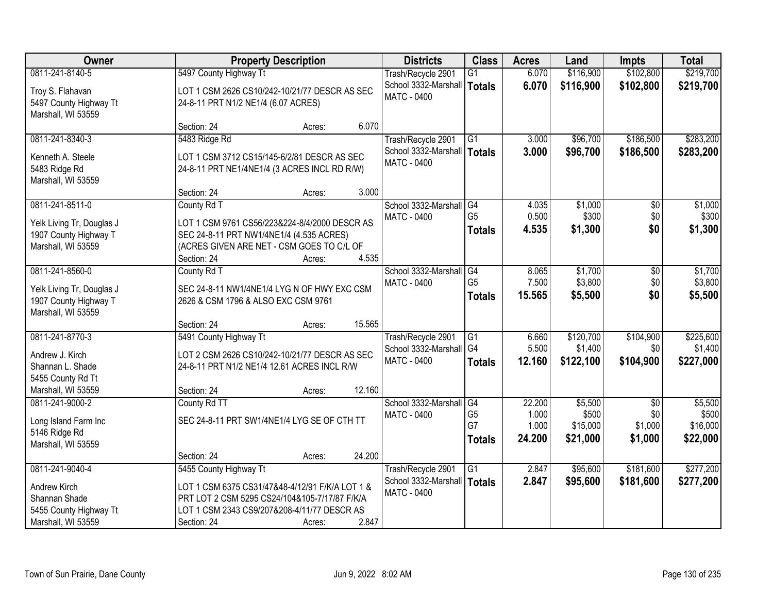| <b>Owner</b>              |                                                 | <b>Property Description</b> |        | <b>Districts</b>     | <b>Class</b>    | <b>Acres</b> | Land      | <b>Impts</b>    | <b>Total</b> |
|---------------------------|-------------------------------------------------|-----------------------------|--------|----------------------|-----------------|--------------|-----------|-----------------|--------------|
| 0811-241-8140-5           | 5497 County Highway Tt                          |                             |        | Trash/Recycle 2901   | G1              | 6.070        | \$116,900 | \$102,800       | \$219,700    |
| Troy S. Flahavan          | LOT 1 CSM 2626 CS10/242-10/21/77 DESCR AS SEC   |                             |        | School 3332-Marshall | Totals          | 6.070        | \$116,900 | \$102,800       | \$219,700    |
| 5497 County Highway Tt    | 24-8-11 PRT N1/2 NE1/4 (6.07 ACRES)             |                             |        | <b>MATC - 0400</b>   |                 |              |           |                 |              |
| Marshall, WI 53559        |                                                 |                             |        |                      |                 |              |           |                 |              |
|                           | Section: 24                                     | Acres:                      | 6.070  |                      |                 |              |           |                 |              |
| 0811-241-8340-3           | 5483 Ridge Rd                                   |                             |        | Trash/Recycle 2901   | G1              | 3.000        | \$96,700  | \$186,500       | \$283,200    |
| Kenneth A. Steele         | LOT 1 CSM 3712 CS15/145-6/2/81 DESCR AS SEC     |                             |        | School 3332-Marshall | Totals          | 3.000        | \$96,700  | \$186,500       | \$283,200    |
| 5483 Ridge Rd             | 24-8-11 PRT NE1/4NE1/4 (3 ACRES INCL RD R/W)    |                             |        | <b>MATC - 0400</b>   |                 |              |           |                 |              |
| Marshall, WI 53559        |                                                 |                             |        |                      |                 |              |           |                 |              |
|                           | Section: 24                                     | Acres:                      | 3.000  |                      |                 |              |           |                 |              |
| 0811-241-8511-0           | County Rd T                                     |                             |        | School 3332-Marshall | G4              | 4.035        | \$1,000   | \$0             | \$1,000      |
| Yelk Living Tr, Douglas J | LOT 1 CSM 9761 CS56/223&224-8/4/2000 DESCR AS   |                             |        | <b>MATC - 0400</b>   | G <sub>5</sub>  | 0.500        | \$300     | \$0             | \$300        |
| 1907 County Highway T     | SEC 24-8-11 PRT NW1/4NE1/4 (4.535 ACRES)        |                             |        |                      | <b>Totals</b>   | 4.535        | \$1,300   | \$0             | \$1,300      |
| Marshall, WI 53559        | (ACRES GIVEN ARE NET - CSM GOES TO C/L OF       |                             |        |                      |                 |              |           |                 |              |
|                           | Section: 24                                     | Acres:                      | 4.535  |                      |                 |              |           |                 |              |
| 0811-241-8560-0           | County Rd T                                     |                             |        | School 3332-Marshall | G4              | 8.065        | \$1,700   | \$0             | \$1,700      |
| Yelk Living Tr, Douglas J | SEC 24-8-11 NW1/4NE1/4 LYG N OF HWY EXC CSM     |                             |        | <b>MATC - 0400</b>   | G <sub>5</sub>  | 7.500        | \$3,800   | \$0             | \$3,800      |
| 1907 County Highway T     | 2626 & CSM 1796 & ALSO EXC CSM 9761             |                             |        |                      | <b>Totals</b>   | 15.565       | \$5,500   | \$0             | \$5,500      |
| Marshall, WI 53559        |                                                 |                             |        |                      |                 |              |           |                 |              |
|                           | Section: 24                                     | Acres:                      | 15.565 |                      |                 |              |           |                 |              |
| 0811-241-8770-3           | 5491 County Highway Tt                          |                             |        | Trash/Recycle 2901   | $\overline{G1}$ | 6.660        | \$120,700 | \$104,900       | \$225,600    |
| Andrew J. Kirch           | LOT 2 CSM 2626 CS10/242-10/21/77 DESCR AS SEC   |                             |        | School 3332-Marshall | G <sub>4</sub>  | 5.500        | \$1,400   | \$0             | \$1,400      |
| Shannan L. Shade          | 24-8-11 PRT N1/2 NE1/4 12.61 ACRES INCL R/W     |                             |        | MATC - 0400          | <b>Totals</b>   | 12.160       | \$122,100 | \$104,900       | \$227,000    |
| 5455 County Rd Tt         |                                                 |                             |        |                      |                 |              |           |                 |              |
| Marshall, WI 53559        | Section: 24                                     | Acres:                      | 12.160 |                      |                 |              |           |                 |              |
| 0811-241-9000-2           | County Rd TT                                    |                             |        | School 3332-Marshall | G4              | 22.200       | \$5,500   | $\overline{50}$ | \$5,500      |
| Long Island Farm Inc      | SEC 24-8-11 PRT SW1/4NE1/4 LYG SE OF CTH TT     |                             |        | MATC - 0400          | G <sub>5</sub>  | 1.000        | \$500     | \$0             | \$500        |
| 5146 Ridge Rd             |                                                 |                             |        |                      | G7              | 1.000        | \$15,000  | \$1,000         | \$16,000     |
| Marshall, WI 53559        |                                                 |                             |        |                      | <b>Totals</b>   | 24.200       | \$21,000  | \$1,000         | \$22,000     |
|                           | Section: 24                                     | Acres:                      | 24.200 |                      |                 |              |           |                 |              |
| 0811-241-9040-4           | 5455 County Highway Tt                          |                             |        | Trash/Recycle 2901   | $\overline{G1}$ | 2.847        | \$95,600  | \$181,600       | \$277,200    |
| Andrew Kirch              | LOT 1 CSM 6375 CS31/47&48-4/12/91 F/K/A LOT 1 & |                             |        | School 3332-Marshall | <b>Totals</b>   | 2.847        | \$95,600  | \$181,600       | \$277,200    |
| Shannan Shade             | PRT LOT 2 CSM 5295 CS24/104&105-7/17/87 F/K/A   |                             |        | MATC - 0400          |                 |              |           |                 |              |
| 5455 County Highway Tt    | LOT 1 CSM 2343 CS9/207&208-4/11/77 DESCR AS     |                             |        |                      |                 |              |           |                 |              |
| Marshall, WI 53559        | Section: 24                                     | Acres:                      | 2.847  |                      |                 |              |           |                 |              |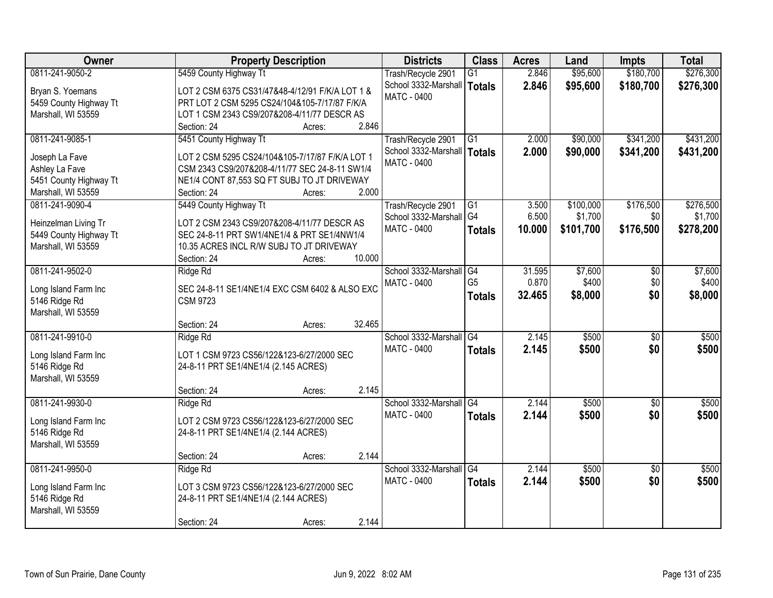| Owner                                        | <b>Property Description</b>                                                             | <b>Districts</b>        | <b>Class</b>    | <b>Acres</b> | Land      | <b>Impts</b>    | <b>Total</b> |
|----------------------------------------------|-----------------------------------------------------------------------------------------|-------------------------|-----------------|--------------|-----------|-----------------|--------------|
| 0811-241-9050-2                              | 5459 County Highway Tt                                                                  | Trash/Recycle 2901      | $\overline{G1}$ | 2.846        | \$95,600  | \$180,700       | \$276,300    |
| Bryan S. Yoemans                             | LOT 2 CSM 6375 CS31/47&48-4/12/91 F/K/A LOT 1 &                                         | School 3332-Marshall    | Totals          | 2.846        | \$95,600  | \$180,700       | \$276,300    |
| 5459 County Highway Tt                       | PRT LOT 2 CSM 5295 CS24/104&105-7/17/87 F/K/A                                           | <b>MATC - 0400</b>      |                 |              |           |                 |              |
| Marshall, WI 53559                           | LOT 1 CSM 2343 CS9/207&208-4/11/77 DESCR AS                                             |                         |                 |              |           |                 |              |
|                                              | 2.846<br>Section: 24<br>Acres:                                                          |                         |                 |              |           |                 |              |
| 0811-241-9085-1                              | 5451 County Highway Tt                                                                  | Trash/Recycle 2901      | $\overline{G1}$ | 2.000        | \$90,000  | \$341,200       | \$431,200    |
| Joseph La Fave                               | LOT 2 CSM 5295 CS24/104&105-7/17/87 F/K/A LOT 1                                         | School 3332-Marshall    | <b>Totals</b>   | 2.000        | \$90,000  | \$341,200       | \$431,200    |
| Ashley La Fave                               | CSM 2343 CS9/207&208-4/11/77 SEC 24-8-11 SW1/4                                          | <b>MATC - 0400</b>      |                 |              |           |                 |              |
| 5451 County Highway Tt                       | NE1/4 CONT 87,553 SQ FT SUBJ TO JT DRIVEWAY                                             |                         |                 |              |           |                 |              |
| Marshall, WI 53559                           | 2.000<br>Section: 24<br>Acres:                                                          |                         |                 |              |           |                 |              |
| 0811-241-9090-4                              | 5449 County Highway Tt                                                                  | Trash/Recycle 2901      | G1              | 3.500        | \$100,000 | \$176,500       | \$276,500    |
|                                              |                                                                                         | School 3332-Marshall G4 |                 | 6.500        | \$1,700   | \$0             | \$1,700      |
| Heinzelman Living Tr                         | LOT 2 CSM 2343 CS9/207&208-4/11/77 DESCR AS                                             | MATC - 0400             | <b>Totals</b>   | 10.000       | \$101,700 | \$176,500       | \$278,200    |
| 5449 County Highway Tt<br>Marshall, WI 53559 | SEC 24-8-11 PRT SW1/4NE1/4 & PRT SE1/4NW1/4<br>10.35 ACRES INCL R/W SUBJ TO JT DRIVEWAY |                         |                 |              |           |                 |              |
|                                              | 10.000<br>Section: 24<br>Acres:                                                         |                         |                 |              |           |                 |              |
| 0811-241-9502-0                              | Ridge Rd                                                                                | School 3332-Marshall    | G4              | 31.595       | \$7,600   | \$0             | \$7,600      |
|                                              |                                                                                         | <b>MATC - 0400</b>      | G <sub>5</sub>  | 0.870        | \$400     | \$0             | \$400        |
| Long Island Farm Inc                         | SEC 24-8-11 SE1/4NE1/4 EXC CSM 6402 & ALSO EXC                                          |                         | <b>Totals</b>   | 32.465       | \$8,000   | \$0             | \$8,000      |
| 5146 Ridge Rd                                | <b>CSM 9723</b>                                                                         |                         |                 |              |           |                 |              |
| Marshall, WI 53559                           |                                                                                         |                         |                 |              |           |                 |              |
|                                              | 32.465<br>Section: 24<br>Acres:                                                         |                         |                 |              |           |                 |              |
| 0811-241-9910-0                              | Ridge Rd                                                                                | School 3332-Marshall    | G4              | 2.145        | \$500     | $\overline{30}$ | \$500        |
| Long Island Farm Inc                         | LOT 1 CSM 9723 CS56/122&123-6/27/2000 SEC                                               | MATC - 0400             | <b>Totals</b>   | 2.145        | \$500     | \$0             | \$500        |
| 5146 Ridge Rd                                | 24-8-11 PRT SE1/4NE1/4 (2.145 ACRES)                                                    |                         |                 |              |           |                 |              |
| Marshall, WI 53559                           |                                                                                         |                         |                 |              |           |                 |              |
|                                              | 2.145<br>Section: 24<br>Acres:                                                          |                         |                 |              |           |                 |              |
| 0811-241-9930-0                              | Ridge Rd                                                                                | School 3332-Marshall G4 |                 | 2.144        | \$500     | $\overline{50}$ | \$500        |
| Long Island Farm Inc                         | LOT 2 CSM 9723 CS56/122&123-6/27/2000 SEC                                               | <b>MATC - 0400</b>      | <b>Totals</b>   | 2.144        | \$500     | \$0             | \$500        |
| 5146 Ridge Rd                                | 24-8-11 PRT SE1/4NE1/4 (2.144 ACRES)                                                    |                         |                 |              |           |                 |              |
| Marshall, WI 53559                           |                                                                                         |                         |                 |              |           |                 |              |
|                                              | 2.144<br>Section: 24<br>Acres:                                                          |                         |                 |              |           |                 |              |
| 0811-241-9950-0                              | Ridge Rd                                                                                | School 3332-Marshall    | $\overline{G4}$ | 2.144        | \$500     | $\overline{30}$ | \$500        |
| Long Island Farm Inc                         | LOT 3 CSM 9723 CS56/122&123-6/27/2000 SEC                                               | <b>MATC - 0400</b>      | <b>Totals</b>   | 2.144        | \$500     | \$0             | \$500        |
| 5146 Ridge Rd                                | 24-8-11 PRT SE1/4NE1/4 (2.144 ACRES)                                                    |                         |                 |              |           |                 |              |
| Marshall, WI 53559                           |                                                                                         |                         |                 |              |           |                 |              |
|                                              | 2.144<br>Section: 24<br>Acres:                                                          |                         |                 |              |           |                 |              |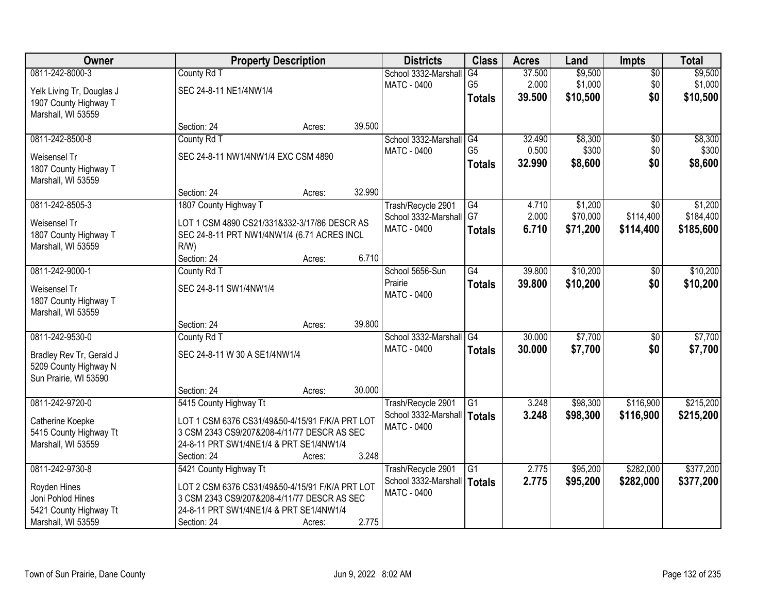| Owner                     | <b>Property Description</b>                     |        |        | <b>Districts</b>                    | <b>Class</b>    | <b>Acres</b> | Land     | <b>Impts</b>  | <b>Total</b> |
|---------------------------|-------------------------------------------------|--------|--------|-------------------------------------|-----------------|--------------|----------|---------------|--------------|
| 0811-242-8000-3           | County Rd T                                     |        |        | School 3332-Marshall                | G4              | 37.500       | \$9,500  | $\sqrt{$0}$   | \$9,500      |
| Yelk Living Tr, Douglas J | SEC 24-8-11 NE1/4NW1/4                          |        |        | <b>MATC - 0400</b>                  | G <sub>5</sub>  | 2.000        | \$1,000  | \$0           | \$1,000      |
| 1907 County Highway T     |                                                 |        |        |                                     | <b>Totals</b>   | 39.500       | \$10,500 | \$0           | \$10,500     |
| Marshall, WI 53559        |                                                 |        |        |                                     |                 |              |          |               |              |
|                           | Section: 24                                     | Acres: | 39.500 |                                     |                 |              |          |               |              |
| 0811-242-8500-8           | County Rd T                                     |        |        | School 3332-Marshall                | G4              | 32.490       | \$8,300  | \$0           | \$8,300      |
| Weisensel Tr              | SEC 24-8-11 NW1/4NW1/4 EXC CSM 4890             |        |        | <b>MATC - 0400</b>                  | G <sub>5</sub>  | 0.500        | \$300    | \$0           | \$300        |
| 1807 County Highway T     |                                                 |        |        |                                     | <b>Totals</b>   | 32.990       | \$8,600  | \$0           | \$8,600      |
| Marshall, WI 53559        |                                                 |        |        |                                     |                 |              |          |               |              |
|                           | Section: 24                                     | Acres: | 32.990 |                                     |                 |              |          |               |              |
| 0811-242-8505-3           | 1807 County Highway T                           |        |        | Trash/Recycle 2901                  | $\overline{G4}$ | 4.710        | \$1,200  | \$0           | \$1,200      |
| Weisensel Tr              | LOT 1 CSM 4890 CS21/331&332-3/17/86 DESCR AS    |        |        | School 3332-Marshall                | G7              | 2.000        | \$70,000 | \$114,400     | \$184,400    |
| 1807 County Highway T     | SEC 24-8-11 PRT NW1/4NW1/4 (6.71 ACRES INCL     |        |        | <b>MATC - 0400</b>                  | <b>Totals</b>   | 6.710        | \$71,200 | \$114,400     | \$185,600    |
| Marshall, WI 53559        | $R/W$ )                                         |        |        |                                     |                 |              |          |               |              |
|                           | Section: 24                                     | Acres: | 6.710  |                                     |                 |              |          |               |              |
| 0811-242-9000-1           | County Rd T                                     |        |        | School 5656-Sun                     | G4              | 39.800       | \$10,200 | $\sqrt[6]{3}$ | \$10,200     |
| Weisensel Tr              | SEC 24-8-11 SW1/4NW1/4                          |        |        | Prairie                             | <b>Totals</b>   | 39.800       | \$10,200 | \$0           | \$10,200     |
| 1807 County Highway T     |                                                 |        |        | <b>MATC - 0400</b>                  |                 |              |          |               |              |
| Marshall, WI 53559        |                                                 |        |        |                                     |                 |              |          |               |              |
|                           | Section: 24                                     | Acres: | 39.800 |                                     |                 |              |          |               |              |
| 0811-242-9530-0           | County Rd T                                     |        |        | School 3332-Marshall                | G4              | 30.000       | \$7,700  | \$0           | \$7,700      |
|                           |                                                 |        |        | <b>MATC - 0400</b>                  | <b>Totals</b>   | 30,000       | \$7,700  | \$0           | \$7,700      |
| Bradley Rev Tr, Gerald J  | SEC 24-8-11 W 30 A SE1/4NW1/4                   |        |        |                                     |                 |              |          |               |              |
| 5209 County Highway N     |                                                 |        |        |                                     |                 |              |          |               |              |
| Sun Prairie, WI 53590     | Section: 24                                     | Acres: | 30.000 |                                     |                 |              |          |               |              |
| 0811-242-9720-0           | 5415 County Highway Tt                          |        |        | Trash/Recycle 2901                  | G1              | 3.248        | \$98,300 | \$116,900     | \$215,200    |
|                           |                                                 |        |        | School 3332-Marshall                | Totals          | 3.248        | \$98,300 | \$116,900     | \$215,200    |
| Catherine Koepke          | LOT 1 CSM 6376 CS31/49&50-4/15/91 F/K/A PRT LOT |        |        | MATC - 0400                         |                 |              |          |               |              |
| 5415 County Highway Tt    | 3 CSM 2343 CS9/207&208-4/11/77 DESCR AS SEC     |        |        |                                     |                 |              |          |               |              |
| Marshall, WI 53559        | 24-8-11 PRT SW1/4NE1/4 & PRT SE1/4NW1/4         |        |        |                                     |                 |              |          |               |              |
|                           | Section: 24                                     | Acres: | 3.248  |                                     |                 |              |          |               |              |
| 0811-242-9730-8           | 5421 County Highway Tt                          |        |        | Trash/Recycle 2901                  | G1              | 2.775        | \$95,200 | \$282,000     | \$377,200    |
| Royden Hines              | LOT 2 CSM 6376 CS31/49&50-4/15/91 F/K/A PRT LOT |        |        | School 3332-Marshall<br>MATC - 0400 | Totals          | 2.775        | \$95,200 | \$282,000     | \$377,200    |
| Joni Pohlod Hines         | 3 CSM 2343 CS9/207&208-4/11/77 DESCR AS SEC     |        |        |                                     |                 |              |          |               |              |
| 5421 County Highway Tt    | 24-8-11 PRT SW1/4NE1/4 & PRT SE1/4NW1/4         |        |        |                                     |                 |              |          |               |              |
| Marshall, WI 53559        | Section: 24                                     | Acres: | 2.775  |                                     |                 |              |          |               |              |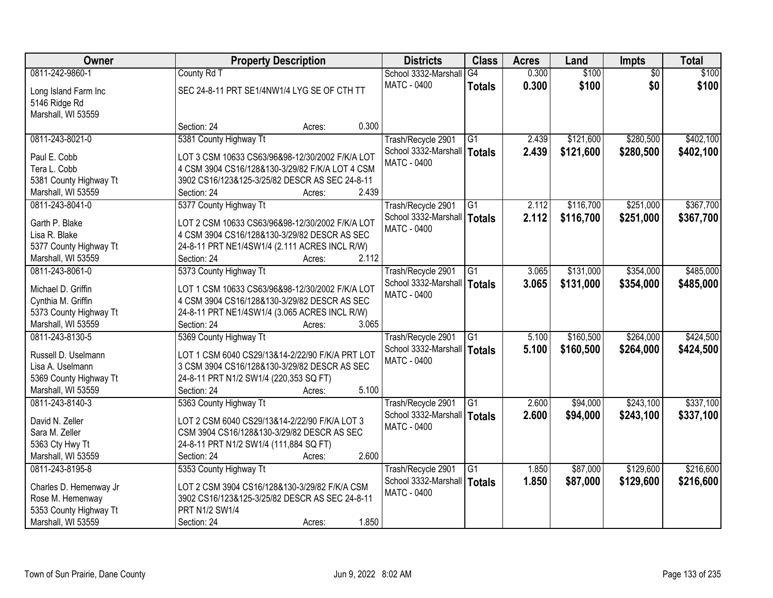| Owner                  | <b>Property Description</b>                     | <b>Districts</b>              | <b>Class</b>    | <b>Acres</b> | Land      | Impts           | <b>Total</b> |
|------------------------|-------------------------------------------------|-------------------------------|-----------------|--------------|-----------|-----------------|--------------|
| 0811-242-9860-1        | County Rd T                                     | School 3332-Marshall          | G4              | 0.300        | \$100     | $\overline{50}$ | \$100        |
| Long Island Farm Inc   | SEC 24-8-11 PRT SE1/4NW1/4 LYG SE OF CTH TT     | <b>MATC - 0400</b>            | <b>Totals</b>   | 0.300        | \$100     | \$0             | \$100        |
| 5146 Ridge Rd          |                                                 |                               |                 |              |           |                 |              |
| Marshall, WI 53559     |                                                 |                               |                 |              |           |                 |              |
|                        | 0.300<br>Section: 24<br>Acres:                  |                               |                 |              |           |                 |              |
| 0811-243-8021-0        | 5381 County Highway Tt                          | Trash/Recycle 2901            | G1              | 2.439        | \$121,600 | \$280,500       | \$402,100    |
|                        |                                                 | School 3332-Marshall          | <b>Totals</b>   | 2.439        | \$121,600 | \$280,500       | \$402,100    |
| Paul E. Cobb           | LOT 3 CSM 10633 CS63/96&98-12/30/2002 F/K/A LOT | <b>MATC - 0400</b>            |                 |              |           |                 |              |
| Tera L. Cobb           | 4 CSM 3904 CS16/128&130-3/29/82 F/K/A LOT 4 CSM |                               |                 |              |           |                 |              |
| 5381 County Highway Tt | 3902 CS16/123&125-3/25/82 DESCR AS SEC 24-8-11  |                               |                 |              |           |                 |              |
| Marshall, WI 53559     | 2.439<br>Section: 24<br>Acres:                  |                               |                 |              |           |                 |              |
| 0811-243-8041-0        | 5377 County Highway Tt                          | Trash/Recycle 2901            | G1              | 2.112        | \$116,700 | \$251,000       | \$367,700    |
| Garth P. Blake         | LOT 2 CSM 10633 CS63/96&98-12/30/2002 F/K/A LOT | School 3332-Marshall   Totals |                 | 2.112        | \$116,700 | \$251,000       | \$367,700    |
| Lisa R. Blake          | 4 CSM 3904 CS16/128&130-3/29/82 DESCR AS SEC    | MATC - 0400                   |                 |              |           |                 |              |
| 5377 County Highway Tt | 24-8-11 PRT NE1/4SW1/4 (2.111 ACRES INCL R/W)   |                               |                 |              |           |                 |              |
| Marshall, WI 53559     | 2.112<br>Section: 24<br>Acres:                  |                               |                 |              |           |                 |              |
| 0811-243-8061-0        | 5373 County Highway Tt                          | Trash/Recycle 2901            | G1              | 3.065        | \$131,000 | \$354,000       | \$485,000    |
|                        |                                                 | School 3332-Marshall          | <b>Totals</b>   | 3.065        | \$131,000 | \$354,000       | \$485,000    |
| Michael D. Griffin     | LOT 1 CSM 10633 CS63/96&98-12/30/2002 F/K/A LOT | MATC - 0400                   |                 |              |           |                 |              |
| Cynthia M. Griffin     | 4 CSM 3904 CS16/128&130-3/29/82 DESCR AS SEC    |                               |                 |              |           |                 |              |
| 5373 County Highway Tt | 24-8-11 PRT NE1/4SW1/4 (3.065 ACRES INCL R/W)   |                               |                 |              |           |                 |              |
| Marshall, WI 53559     | 3.065<br>Section: 24<br>Acres:                  |                               |                 |              |           |                 |              |
| 0811-243-8130-5        | 5369 County Highway Tt                          | Trash/Recycle 2901            | G1              | 5.100        | \$160,500 | \$264,000       | \$424,500    |
|                        |                                                 | School 3332-Marshall   Totals |                 | 5.100        | \$160,500 | \$264,000       | \$424,500    |
| Russell D. Uselmann    | LOT 1 CSM 6040 CS29/13&14-2/22/90 F/K/A PRT LOT | <b>MATC - 0400</b>            |                 |              |           |                 |              |
| Lisa A. Uselmann       | 3 CSM 3904 CS16/128&130-3/29/82 DESCR AS SEC    |                               |                 |              |           |                 |              |
| 5369 County Highway Tt | 24-8-11 PRT N1/2 SW1/4 (220,353 SQ FT)          |                               |                 |              |           |                 |              |
| Marshall, WI 53559     | Section: 24<br>5.100<br>Acres:                  |                               |                 |              |           |                 |              |
| 0811-243-8140-3        | 5363 County Highway Tt                          | Trash/Recycle 2901            | $\overline{G1}$ | 2.600        | \$94,000  | \$243,100       | \$337,100    |
| David N. Zeller        | LOT 2 CSM 6040 CS29/13&14-2/22/90 F/K/A LOT 3   | School 3332-Marshall   Totals |                 | 2.600        | \$94,000  | \$243,100       | \$337,100    |
| Sara M. Zeller         | CSM 3904 CS16/128&130-3/29/82 DESCR AS SEC      | <b>MATC - 0400</b>            |                 |              |           |                 |              |
| 5363 Cty Hwy Tt        | 24-8-11 PRT N1/2 SW1/4 (111,884 SQ FT)          |                               |                 |              |           |                 |              |
| Marshall, WI 53559     | 2.600<br>Section: 24<br>Acres:                  |                               |                 |              |           |                 |              |
| 0811-243-8195-8        | 5353 County Highway Tt                          | Trash/Recycle 2901            | $\overline{G1}$ | 1.850        | \$87,000  | \$129,600       | \$216,600    |
|                        |                                                 | School 3332-Marshall          | <b>Totals</b>   | 1.850        | \$87,000  | \$129,600       | \$216,600    |
| Charles D. Hemenway Jr | LOT 2 CSM 3904 CS16/128&130-3/29/82 F/K/A CSM   | <b>MATC - 0400</b>            |                 |              |           |                 |              |
| Rose M. Hemenway       | 3902 CS16/123&125-3/25/82 DESCR AS SEC 24-8-11  |                               |                 |              |           |                 |              |
| 5353 County Highway Tt | PRT N1/2 SW1/4                                  |                               |                 |              |           |                 |              |
| Marshall, WI 53559     | 1.850<br>Section: 24<br>Acres:                  |                               |                 |              |           |                 |              |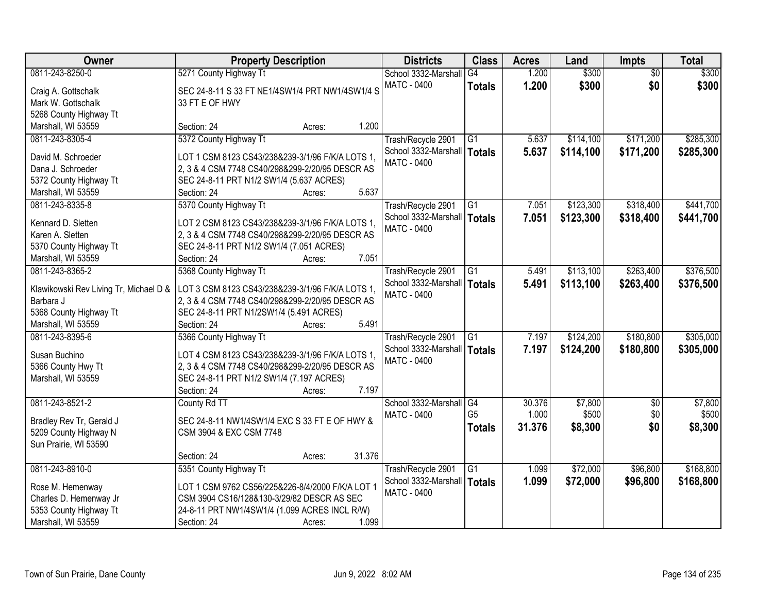| Owner                                  | <b>Property Description</b>                      |                 | <b>Districts</b>     | <b>Class</b>           | <b>Acres</b> | Land      | <b>Impts</b>    | <b>Total</b> |
|----------------------------------------|--------------------------------------------------|-----------------|----------------------|------------------------|--------------|-----------|-----------------|--------------|
| 0811-243-8250-0                        | 5271 County Highway Tt                           |                 | School 3332-Marshall | G4                     | 1.200        | \$300     | $\overline{30}$ | \$300        |
| Craig A. Gottschalk                    | SEC 24-8-11 S 33 FT NE1/4SW1/4 PRT NW1/4SW1/4 S  |                 | <b>MATC - 0400</b>   | <b>Totals</b>          | 1.200        | \$300     | \$0             | \$300        |
| Mark W. Gottschalk                     | 33 FT E OF HWY                                   |                 |                      |                        |              |           |                 |              |
| 5268 County Highway Tt                 |                                                  |                 |                      |                        |              |           |                 |              |
| Marshall, WI 53559                     | Section: 24                                      | 1.200<br>Acres: |                      |                        |              |           |                 |              |
| 0811-243-8305-4                        | 5372 County Highway Tt                           |                 | Trash/Recycle 2901   | G1                     | 5.637        | \$114,100 | \$171,200       | \$285,300    |
|                                        |                                                  |                 | School 3332-Marshall | Totals                 | 5.637        | \$114,100 | \$171,200       | \$285,300    |
| David M. Schroeder                     | LOT 1 CSM 8123 CS43/238&239-3/1/96 F/K/A LOTS 1, |                 | <b>MATC - 0400</b>   |                        |              |           |                 |              |
| Dana J. Schroeder                      | 2, 3 & 4 CSM 7748 CS40/298&299-2/20/95 DESCR AS  |                 |                      |                        |              |           |                 |              |
| 5372 County Highway Tt                 | SEC 24-8-11 PRT N1/2 SW1/4 (5.637 ACRES)         |                 |                      |                        |              |           |                 |              |
| Marshall, WI 53559                     | Section: 24                                      | 5.637<br>Acres: |                      |                        |              |           |                 |              |
| 0811-243-8335-8                        | 5370 County Highway Tt                           |                 | Trash/Recycle 2901   | G <sub>1</sub>         | 7.051        | \$123,300 | \$318,400       | \$441,700    |
| Kennard D. Sletten                     | LOT 2 CSM 8123 CS43/238&239-3/1/96 F/K/A LOTS 1, |                 | School 3332-Marshall | Totals                 | 7.051        | \$123,300 | \$318,400       | \$441,700    |
| Karen A. Sletten                       | 2, 3 & 4 CSM 7748 CS40/298&299-2/20/95 DESCR AS  |                 | <b>MATC - 0400</b>   |                        |              |           |                 |              |
| 5370 County Highway Tt                 | SEC 24-8-11 PRT N1/2 SW1/4 (7.051 ACRES)         |                 |                      |                        |              |           |                 |              |
| Marshall, WI 53559                     | Section: 24                                      | 7.051<br>Acres: |                      |                        |              |           |                 |              |
| 0811-243-8365-2                        | 5368 County Highway Tt                           |                 | Trash/Recycle 2901   | G1                     | 5.491        | \$113,100 | \$263,400       | \$376,500    |
|                                        |                                                  |                 | School 3332-Marshall | <b>Totals</b>          | 5.491        | \$113,100 | \$263,400       | \$376,500    |
| Klawikowski Rev Living Tr, Michael D & | LOT 3 CSM 8123 CS43/238&239-3/1/96 F/K/A LOTS 1, |                 | <b>MATC - 0400</b>   |                        |              |           |                 |              |
| Barbara J                              | 2, 3 & 4 CSM 7748 CS40/298&299-2/20/95 DESCR AS  |                 |                      |                        |              |           |                 |              |
| 5368 County Highway Tt                 | SEC 24-8-11 PRT N1/2SW1/4 (5.491 ACRES)          |                 |                      |                        |              |           |                 |              |
| Marshall, WI 53559                     | Section: 24                                      | 5.491<br>Acres: |                      |                        |              |           |                 |              |
| 0811-243-8395-6                        | 5366 County Highway Tt                           |                 | Trash/Recycle 2901   | $\overline{G1}$        | 7.197        | \$124,200 | \$180,800       | \$305,000    |
| Susan Buchino                          | LOT 4 CSM 8123 CS43/238&239-3/1/96 F/K/A LOTS 1, |                 | School 3332-Marshall | Totals                 | 7.197        | \$124,200 | \$180,800       | \$305,000    |
| 5366 County Hwy Tt                     | 2, 3 & 4 CSM 7748 CS40/298&299-2/20/95 DESCR AS  |                 | MATC - 0400          |                        |              |           |                 |              |
| Marshall, WI 53559                     | SEC 24-8-11 PRT N1/2 SW1/4 (7.197 ACRES)         |                 |                      |                        |              |           |                 |              |
|                                        | Section: 24                                      | 7.197<br>Acres: |                      |                        |              |           |                 |              |
| 0811-243-8521-2                        | County Rd TT                                     |                 | School 3332-Marshall | $\overline{\text{G4}}$ | 30.376       | \$7,800   | \$0             | \$7,800      |
|                                        |                                                  |                 | <b>MATC - 0400</b>   | G <sub>5</sub>         | 1.000        | \$500     | \$0             | \$500        |
| Bradley Rev Tr, Gerald J               | SEC 24-8-11 NW1/4SW1/4 EXC S 33 FT E OF HWY &    |                 |                      | <b>Totals</b>          | 31.376       | \$8,300   | \$0             | \$8,300      |
| 5209 County Highway N                  | CSM 3904 & EXC CSM 7748                          |                 |                      |                        |              |           |                 |              |
| Sun Prairie, WI 53590                  |                                                  | 31.376          |                      |                        |              |           |                 |              |
| 0811-243-8910-0                        | Section: 24                                      | Acres:          |                      | G1                     | 1.099        | \$72,000  | \$96,800        | \$168,800    |
|                                        | 5351 County Highway Tt                           |                 | Trash/Recycle 2901   |                        |              |           |                 |              |
| Rose M. Hemenway                       | LOT 1 CSM 9762 CS56/225&226-8/4/2000 F/K/A LOT 1 |                 | School 3332-Marshall | Totals                 | 1.099        | \$72,000  | \$96,800        | \$168,800    |
| Charles D. Hemenway Jr                 | CSM 3904 CS16/128&130-3/29/82 DESCR AS SEC       |                 | <b>MATC - 0400</b>   |                        |              |           |                 |              |
| 5353 County Highway Tt                 | 24-8-11 PRT NW1/4SW1/4 (1.099 ACRES INCL R/W)    |                 |                      |                        |              |           |                 |              |
| Marshall, WI 53559                     | Section: 24                                      | 1.099<br>Acres: |                      |                        |              |           |                 |              |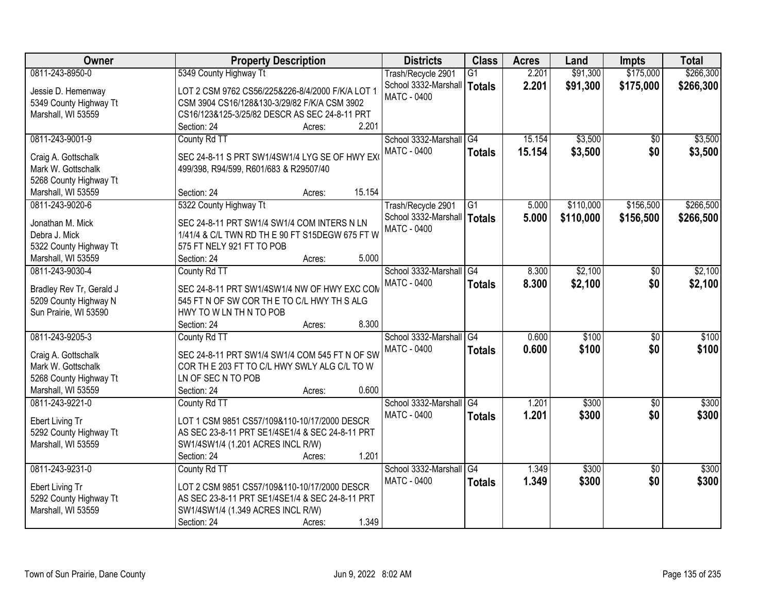| Owner                    | <b>Property Description</b>                      | <b>Districts</b>              | <b>Class</b>    | <b>Acres</b> | Land      | <b>Impts</b>    | <b>Total</b> |
|--------------------------|--------------------------------------------------|-------------------------------|-----------------|--------------|-----------|-----------------|--------------|
| 0811-243-8950-0          | 5349 County Highway Tt                           | Trash/Recycle 2901            | $\overline{G1}$ | 2.201        | \$91,300  | \$175,000       | \$266,300    |
| Jessie D. Hemenway       | LOT 2 CSM 9762 CS56/225&226-8/4/2000 F/K/A LOT 1 | School 3332-Marshall          | <b>Totals</b>   | 2.201        | \$91,300  | \$175,000       | \$266,300    |
| 5349 County Highway Tt   | CSM 3904 CS16/128&130-3/29/82 F/K/A CSM 3902     | <b>MATC - 0400</b>            |                 |              |           |                 |              |
| Marshall, WI 53559       | CS16/123&125-3/25/82 DESCR AS SEC 24-8-11 PRT    |                               |                 |              |           |                 |              |
|                          | 2.201<br>Section: 24<br>Acres:                   |                               |                 |              |           |                 |              |
| 0811-243-9001-9          | County Rd TT                                     | School 3332-Marshall G4       |                 | 15.154       | \$3,500   | \$0             | \$3,500      |
|                          |                                                  | <b>MATC - 0400</b>            | <b>Totals</b>   | 15.154       | \$3,500   | \$0             | \$3,500      |
| Craig A. Gottschalk      | SEC 24-8-11 S PRT SW1/4SW1/4 LYG SE OF HWY EX    |                               |                 |              |           |                 |              |
| Mark W. Gottschalk       | 499/398, R94/599, R601/683 & R29507/40           |                               |                 |              |           |                 |              |
| 5268 County Highway Tt   | 15.154                                           |                               |                 |              |           |                 |              |
| Marshall, WI 53559       | Section: 24<br>Acres:                            |                               |                 |              |           |                 |              |
| 0811-243-9020-6          | 5322 County Highway Tt                           | Trash/Recycle 2901            | $\overline{G1}$ | 5.000        | \$110,000 | \$156,500       | \$266,500    |
| Jonathan M. Mick         | SEC 24-8-11 PRT SW1/4 SW1/4 COM INTERS N LN      | School 3332-Marshall   Totals |                 | 5.000        | \$110,000 | \$156,500       | \$266,500    |
| Debra J. Mick            | 1/41/4 & C/L TWN RD TH E 90 FT S15DEGW 675 FT W  | <b>MATC - 0400</b>            |                 |              |           |                 |              |
| 5322 County Highway Tt   | 575 FT NELY 921 FT TO POB                        |                               |                 |              |           |                 |              |
| Marshall, WI 53559       | 5.000<br>Section: 24<br>Acres:                   |                               |                 |              |           |                 |              |
| 0811-243-9030-4          | County Rd TT                                     | School 3332-Marshall          | G4              | 8.300        | \$2,100   | $\sqrt[6]{}$    | \$2,100      |
|                          |                                                  | <b>MATC - 0400</b>            | <b>Totals</b>   | 8.300        | \$2,100   | \$0             | \$2,100      |
| Bradley Rev Tr, Gerald J | SEC 24-8-11 PRT SW1/4SW1/4 NW OF HWY EXC COM     |                               |                 |              |           |                 |              |
| 5209 County Highway N    | 545 FT N OF SW COR THE TO C/L HWY TH S ALG       |                               |                 |              |           |                 |              |
| Sun Prairie, WI 53590    | HWY TO W LN TH N TO POB                          |                               |                 |              |           |                 |              |
|                          | 8.300<br>Section: 24<br>Acres:                   |                               |                 |              |           |                 |              |
| 0811-243-9205-3          | County Rd TT                                     | School 3332-Marshall          | G4              | 0.600        | \$100     | $\overline{50}$ | \$100        |
| Craig A. Gottschalk      | SEC 24-8-11 PRT SW1/4 SW1/4 COM 545 FT N OF SW   | MATC - 0400                   | <b>Totals</b>   | 0.600        | \$100     | \$0             | \$100        |
| Mark W. Gottschalk       | COR THE 203 FT TO C/L HWY SWLY ALG C/L TO W      |                               |                 |              |           |                 |              |
| 5268 County Highway Tt   | LN OF SEC N TO POB                               |                               |                 |              |           |                 |              |
| Marshall, WI 53559       | 0.600<br>Section: 24<br>Acres:                   |                               |                 |              |           |                 |              |
| 0811-243-9221-0          | County Rd TT                                     | School 3332-Marshall G4       |                 | 1.201        | \$300     | $\sqrt{6}$      | \$300        |
|                          | LOT 1 CSM 9851 CS57/109&110-10/17/2000 DESCR     | <b>MATC - 0400</b>            | <b>Totals</b>   | 1.201        | \$300     | \$0             | \$300        |
| Ebert Living Tr          | AS SEC 23-8-11 PRT SE1/4SE1/4 & SEC 24-8-11 PRT  |                               |                 |              |           |                 |              |
| 5292 County Highway Tt   |                                                  |                               |                 |              |           |                 |              |
| Marshall, WI 53559       | SW1/4SW1/4 (1.201 ACRES INCL R/W)<br>1.201       |                               |                 |              |           |                 |              |
|                          | Section: 24<br>Acres:                            |                               |                 |              |           |                 |              |
| 0811-243-9231-0          | County Rd TT                                     | School 3332-Marshall          | G4              | 1.349        | \$300     | $\overline{50}$ | \$300        |
| Ebert Living Tr          | LOT 2 CSM 9851 CS57/109&110-10/17/2000 DESCR     | <b>MATC - 0400</b>            | <b>Totals</b>   | 1.349        | \$300     | \$0             | \$300        |
| 5292 County Highway Tt   | AS SEC 23-8-11 PRT SE1/4SE1/4 & SEC 24-8-11 PRT  |                               |                 |              |           |                 |              |
| Marshall, WI 53559       | SW1/4SW1/4 (1.349 ACRES INCL R/W)                |                               |                 |              |           |                 |              |
|                          | 1.349<br>Section: 24<br>Acres:                   |                               |                 |              |           |                 |              |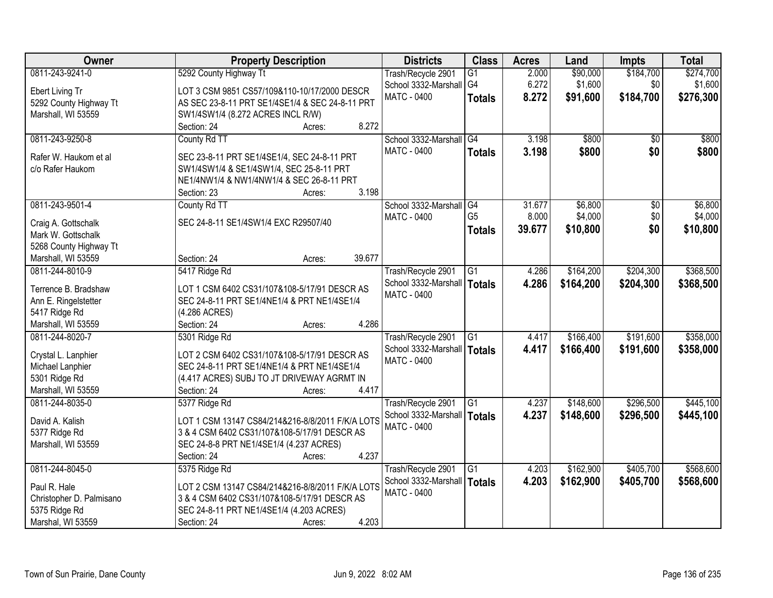| Owner                    | <b>Property Description</b>                      | <b>Districts</b>              | <b>Class</b>    | <b>Acres</b> | Land      | <b>Impts</b>    | <b>Total</b> |
|--------------------------|--------------------------------------------------|-------------------------------|-----------------|--------------|-----------|-----------------|--------------|
| 0811-243-9241-0          | 5292 County Highway Tt                           | Trash/Recycle 2901            | $\overline{G1}$ | 2.000        | \$90,000  | \$184,700       | \$274,700    |
| Ebert Living Tr          | LOT 3 CSM 9851 CS57/109&110-10/17/2000 DESCR     | School 3332-Marshall   G4     |                 | 6.272        | \$1,600   | \$0             | \$1,600      |
| 5292 County Highway Tt   | AS SEC 23-8-11 PRT SE1/4SE1/4 & SEC 24-8-11 PRT  | <b>MATC - 0400</b>            | <b>Totals</b>   | 8.272        | \$91,600  | \$184,700       | \$276,300    |
| Marshall, WI 53559       | SW1/4SW1/4 (8.272 ACRES INCL R/W)                |                               |                 |              |           |                 |              |
|                          | 8.272<br>Section: 24<br>Acres:                   |                               |                 |              |           |                 |              |
| 0811-243-9250-8          | County Rd TT                                     | School 3332-Marshall          | G4              | 3.198        | \$800     | $\overline{30}$ | \$800        |
|                          |                                                  | <b>MATC - 0400</b>            | <b>Totals</b>   | 3.198        | \$800     | \$0             | \$800        |
| Rafer W. Haukom et al    | SEC 23-8-11 PRT SE1/4SE1/4, SEC 24-8-11 PRT      |                               |                 |              |           |                 |              |
| c/o Rafer Haukom         | SW1/4SW1/4 & SE1/4SW1/4, SEC 25-8-11 PRT         |                               |                 |              |           |                 |              |
|                          | NE1/4NW1/4 & NW1/4NW1/4 & SEC 26-8-11 PRT        |                               |                 |              |           |                 |              |
|                          | 3.198<br>Section: 23<br>Acres:                   |                               |                 |              |           |                 |              |
| 0811-243-9501-4          | County Rd TT                                     | School 3332-Marshall G4       |                 | 31.677       | \$6,800   | $\overline{50}$ | \$6,800      |
| Craig A. Gottschalk      | SEC 24-8-11 SE1/4SW1/4 EXC R29507/40             | MATC - 0400                   | G <sub>5</sub>  | 8.000        | \$4,000   | \$0             | \$4,000      |
| Mark W. Gottschalk       |                                                  |                               | <b>Totals</b>   | 39.677       | \$10,800  | \$0             | \$10,800     |
| 5268 County Highway Tt   |                                                  |                               |                 |              |           |                 |              |
| Marshall, WI 53559       | 39.677<br>Section: 24<br>Acres:                  |                               |                 |              |           |                 |              |
| 0811-244-8010-9          | 5417 Ridge Rd                                    | Trash/Recycle 2901            | $\overline{G1}$ | 4.286        | \$164,200 | \$204,300       | \$368,500    |
|                          |                                                  | School 3332-Marshall          | <b>Totals</b>   | 4.286        | \$164,200 | \$204,300       | \$368,500    |
| Terrence B. Bradshaw     | LOT 1 CSM 6402 CS31/107&108-5/17/91 DESCR AS     | MATC - 0400                   |                 |              |           |                 |              |
| Ann E. Ringelstetter     | SEC 24-8-11 PRT SE1/4NE1/4 & PRT NE1/4SE1/4      |                               |                 |              |           |                 |              |
| 5417 Ridge Rd            | (4.286 ACRES)                                    |                               |                 |              |           |                 |              |
| Marshall, WI 53559       | 4.286<br>Section: 24<br>Acres:                   |                               |                 |              |           |                 |              |
| 0811-244-8020-7          | 5301 Ridge Rd                                    | Trash/Recycle 2901            | $\overline{G1}$ | 4.417        | \$166,400 | \$191,600       | \$358,000    |
| Crystal L. Lanphier      | LOT 2 CSM 6402 CS31/107&108-5/17/91 DESCR AS     | School 3332-Marshall   Totals |                 | 4.417        | \$166,400 | \$191,600       | \$358,000    |
| Michael Lanphier         | SEC 24-8-11 PRT SE1/4NE1/4 & PRT NE1/4SE1/4      | MATC - 0400                   |                 |              |           |                 |              |
| 5301 Ridge Rd            | (4.417 ACRES) SUBJ TO JT DRIVEWAY AGRMT IN       |                               |                 |              |           |                 |              |
| Marshall, WI 53559       | 4.417                                            |                               |                 |              |           |                 |              |
|                          | Section: 24<br>Acres:                            |                               |                 |              |           | \$296,500       |              |
| 0811-244-8035-0          | 5377 Ridge Rd                                    | Trash/Recycle 2901            | $\overline{G1}$ | 4.237        | \$148,600 |                 | \$445,100    |
| David A. Kalish          | LOT 1 CSM 13147 CS84/214&216-8/8/2011 F/K/A LOTS | School 3332-Marshall          | Totals          | 4.237        | \$148,600 | \$296,500       | \$445,100    |
| 5377 Ridge Rd            | 3 & 4 CSM 6402 CS31/107&108-5/17/91 DESCR AS     | <b>MATC - 0400</b>            |                 |              |           |                 |              |
| Marshall, WI 53559       | SEC 24-8-8 PRT NE1/4SE1/4 (4.237 ACRES)          |                               |                 |              |           |                 |              |
|                          | 4.237<br>Section: 24<br>Acres:                   |                               |                 |              |           |                 |              |
| 0811-244-8045-0          | 5375 Ridge Rd                                    | Trash/Recycle 2901            | $\overline{G1}$ | 4.203        | \$162,900 | \$405,700       | \$568,600    |
|                          |                                                  | School 3332-Marshall          | Totals          | 4.203        | \$162,900 | \$405,700       | \$568,600    |
| Paul R. Hale             | LOT 2 CSM 13147 CS84/214&216-8/8/2011 F/K/A LOTS | <b>MATC - 0400</b>            |                 |              |           |                 |              |
| Christopher D. Palmisano | 3 & 4 CSM 6402 CS31/107&108-5/17/91 DESCR AS     |                               |                 |              |           |                 |              |
| 5375 Ridge Rd            | SEC 24-8-11 PRT NE1/4SE1/4 (4.203 ACRES)         |                               |                 |              |           |                 |              |
| Marshal, WI 53559        | 4.203<br>Section: 24<br>Acres:                   |                               |                 |              |           |                 |              |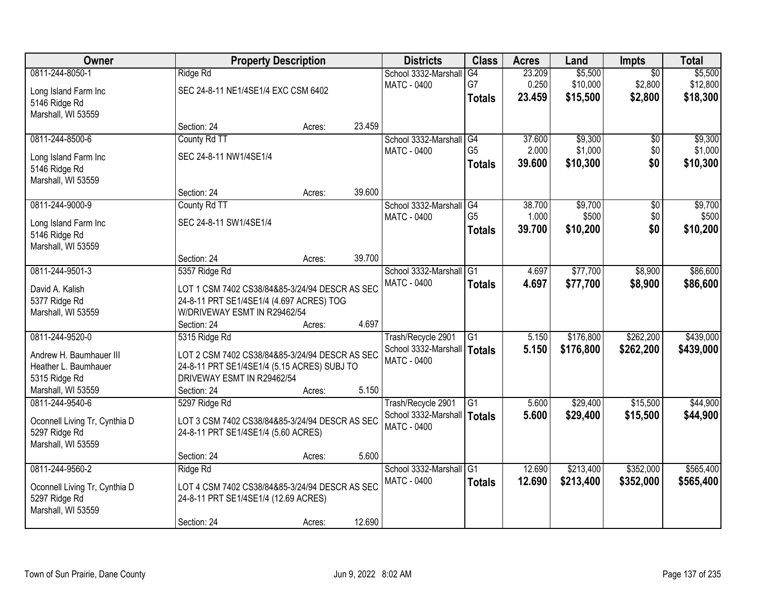| Owner                               |                                                | <b>Property Description</b> |        | <b>Districts</b>     | <b>Class</b>    | <b>Acres</b> | Land      | <b>Impts</b>    | <b>Total</b> |
|-------------------------------------|------------------------------------------------|-----------------------------|--------|----------------------|-----------------|--------------|-----------|-----------------|--------------|
| 0811-244-8050-1                     | Ridge Rd                                       |                             |        | School 3332-Marshall | G4              | 23.209       | \$5,500   | $\overline{30}$ | \$5,500      |
| Long Island Farm Inc                | SEC 24-8-11 NE1/4SE1/4 EXC CSM 6402            |                             |        | MATC - 0400          | G7              | 0.250        | \$10,000  | \$2,800         | \$12,800     |
| 5146 Ridge Rd                       |                                                |                             |        |                      | <b>Totals</b>   | 23.459       | \$15,500  | \$2,800         | \$18,300     |
| Marshall, WI 53559                  |                                                |                             |        |                      |                 |              |           |                 |              |
|                                     | Section: 24                                    | Acres:                      | 23.459 |                      |                 |              |           |                 |              |
| 0811-244-8500-6                     | County Rd TT                                   |                             |        | School 3332-Marshall | G4              | 37.600       | \$9,300   | $\overline{50}$ | \$9,300      |
|                                     |                                                |                             |        | <b>MATC - 0400</b>   | G <sub>5</sub>  | 2.000        | \$1,000   | \$0             | \$1,000      |
| Long Island Farm Inc                | SEC 24-8-11 NW1/4SE1/4                         |                             |        |                      | <b>Totals</b>   | 39.600       | \$10,300  | \$0             | \$10,300     |
| 5146 Ridge Rd                       |                                                |                             |        |                      |                 |              |           |                 |              |
| Marshall, WI 53559                  |                                                |                             |        |                      |                 |              |           |                 |              |
|                                     | Section: 24                                    | Acres:                      | 39.600 |                      |                 |              |           |                 |              |
| 0811-244-9000-9                     | County Rd TT                                   |                             |        | School 3332-Marshall | G4              | 38.700       | \$9,700   | $\sqrt[6]{30}$  | \$9,700      |
| Long Island Farm Inc                | SEC 24-8-11 SW1/4SE1/4                         |                             |        | MATC - 0400          | G <sub>5</sub>  | 1.000        | \$500     | \$0             | \$500        |
| 5146 Ridge Rd                       |                                                |                             |        |                      | <b>Totals</b>   | 39.700       | \$10,200  | \$0             | \$10,200     |
| Marshall, WI 53559                  |                                                |                             |        |                      |                 |              |           |                 |              |
|                                     | Section: 24                                    | Acres:                      | 39.700 |                      |                 |              |           |                 |              |
| 0811-244-9501-3                     | 5357 Ridge Rd                                  |                             |        | School 3332-Marshall | G1              | 4.697        | \$77,700  | \$8,900         | \$86,600     |
|                                     |                                                |                             |        | <b>MATC - 0400</b>   | <b>Totals</b>   | 4.697        | \$77,700  | \$8,900         | \$86,600     |
| David A. Kalish                     | LOT 1 CSM 7402 CS38/84&85-3/24/94 DESCR AS SEC |                             |        |                      |                 |              |           |                 |              |
| 5377 Ridge Rd                       | 24-8-11 PRT SE1/4SE1/4 (4.697 ACRES) TOG       |                             |        |                      |                 |              |           |                 |              |
| Marshall, WI 53559                  | W/DRIVEWAY ESMT IN R29462/54                   |                             | 4.697  |                      |                 |              |           |                 |              |
|                                     | Section: 24                                    | Acres:                      |        |                      |                 |              |           |                 |              |
| 0811-244-9520-0                     | 5315 Ridge Rd                                  |                             |        | Trash/Recycle 2901   | $\overline{G1}$ | 5.150        | \$176,800 | \$262,200       | \$439,000    |
| Andrew H. Baumhauer III             | LOT 2 CSM 7402 CS38/84&85-3/24/94 DESCR AS SEC |                             |        | School 3332-Marshall | <b>Totals</b>   | 5.150        | \$176,800 | \$262,200       | \$439,000    |
| Heather L. Baumhauer                | 24-8-11 PRT SE1/4SE1/4 (5.15 ACRES) SUBJ TO    |                             |        | MATC - 0400          |                 |              |           |                 |              |
| 5315 Ridge Rd                       | DRIVEWAY ESMT IN R29462/54                     |                             |        |                      |                 |              |           |                 |              |
| Marshall, WI 53559                  | Section: 24                                    | Acres:                      | 5.150  |                      |                 |              |           |                 |              |
| 0811-244-9540-6                     | 5297 Ridge Rd                                  |                             |        | Trash/Recycle 2901   | G <sub>1</sub>  | 5.600        | \$29,400  | \$15,500        | \$44,900     |
|                                     | LOT 3 CSM 7402 CS38/84&85-3/24/94 DESCR AS SEC |                             |        | School 3332-Marshall | Totals          | 5.600        | \$29,400  | \$15,500        | \$44,900     |
| Oconnell Living Tr, Cynthia D       |                                                |                             |        | MATC - 0400          |                 |              |           |                 |              |
| 5297 Ridge Rd<br>Marshall, WI 53559 | 24-8-11 PRT SE1/4SE1/4 (5.60 ACRES)            |                             |        |                      |                 |              |           |                 |              |
|                                     | Section: 24                                    | Acres:                      | 5.600  |                      |                 |              |           |                 |              |
| 0811-244-9560-2                     |                                                |                             |        | School 3332-Marshall | IG1             | 12.690       | \$213,400 | \$352,000       | \$565,400    |
|                                     | Ridge Rd                                       |                             |        | <b>MATC - 0400</b>   |                 |              |           |                 |              |
| Oconnell Living Tr, Cynthia D       | LOT 4 CSM 7402 CS38/84&85-3/24/94 DESCR AS SEC |                             |        |                      | <b>Totals</b>   | 12.690       | \$213,400 | \$352,000       | \$565,400    |
| 5297 Ridge Rd                       | 24-8-11 PRT SE1/4SE1/4 (12.69 ACRES)           |                             |        |                      |                 |              |           |                 |              |
| Marshall, WI 53559                  |                                                |                             |        |                      |                 |              |           |                 |              |
|                                     | Section: 24                                    | Acres:                      | 12.690 |                      |                 |              |           |                 |              |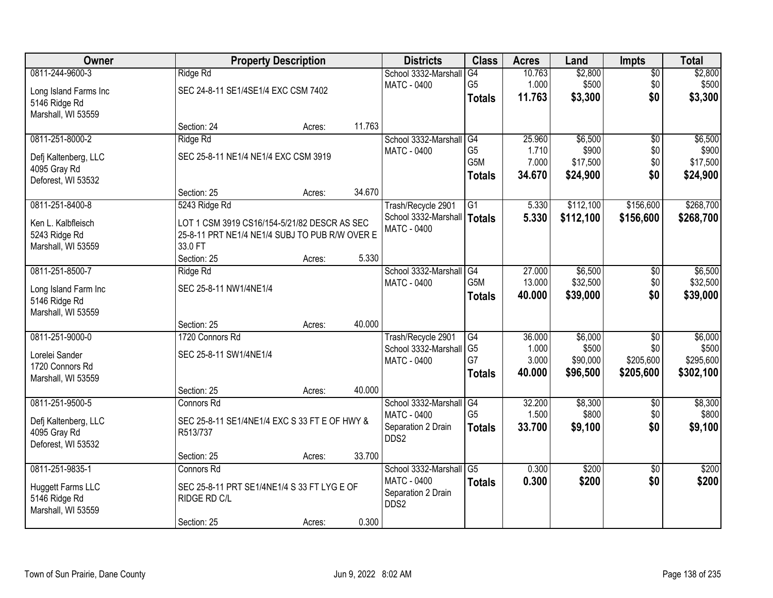| Owner                 |                                                | <b>Property Description</b> |        | <b>Districts</b>              | <b>Class</b>    | <b>Acres</b> | Land      | <b>Impts</b>    | <b>Total</b> |
|-----------------------|------------------------------------------------|-----------------------------|--------|-------------------------------|-----------------|--------------|-----------|-----------------|--------------|
| 0811-244-9600-3       | Ridge Rd                                       |                             |        | School 3332-Marshall          | G4              | 10.763       | \$2,800   | $\overline{50}$ | \$2,800      |
| Long Island Farms Inc | SEC 24-8-11 SE1/4SE1/4 EXC CSM 7402            |                             |        | MATC - 0400                   | G <sub>5</sub>  | 1.000        | \$500     | \$0             | \$500        |
| 5146 Ridge Rd         |                                                |                             |        |                               | <b>Totals</b>   | 11.763       | \$3,300   | \$0             | \$3,300      |
| Marshall, WI 53559    |                                                |                             |        |                               |                 |              |           |                 |              |
|                       | Section: 24                                    | Acres:                      | 11.763 |                               |                 |              |           |                 |              |
| 0811-251-8000-2       | Ridge Rd                                       |                             |        | School 3332-Marshall          | G4              | 25.960       | \$6,500   | $\overline{50}$ | \$6,500      |
| Defj Kaltenberg, LLC  | SEC 25-8-11 NE1/4 NE1/4 EXC CSM 3919           |                             |        | MATC - 0400                   | G <sub>5</sub>  | 1.710        | \$900     | \$0             | \$900        |
| 4095 Gray Rd          |                                                |                             |        |                               | G5M             | 7.000        | \$17,500  | \$0             | \$17,500     |
| Deforest, WI 53532    |                                                |                             |        |                               | <b>Totals</b>   | 34.670       | \$24,900  | \$0             | \$24,900     |
|                       | Section: 25                                    | Acres:                      | 34.670 |                               |                 |              |           |                 |              |
| 0811-251-8400-8       | 5243 Ridge Rd                                  |                             |        | Trash/Recycle 2901            | G1              | 5.330        | \$112,100 | \$156,600       | \$268,700    |
| Ken L. Kalbfleisch    | LOT 1 CSM 3919 CS16/154-5/21/82 DESCR AS SEC   |                             |        | School 3332-Marshall   Totals |                 | 5.330        | \$112,100 | \$156,600       | \$268,700    |
| 5243 Ridge Rd         | 25-8-11 PRT NE1/4 NE1/4 SUBJ TO PUB R/W OVER E |                             |        | <b>MATC - 0400</b>            |                 |              |           |                 |              |
| Marshall, WI 53559    | 33.0 FT                                        |                             |        |                               |                 |              |           |                 |              |
|                       | Section: 25                                    | Acres:                      | 5.330  |                               |                 |              |           |                 |              |
| 0811-251-8500-7       | Ridge Rd                                       |                             |        | School 3332-Marshall          | G4              | 27.000       | \$6,500   | \$0             | \$6,500      |
| Long Island Farm Inc  | SEC 25-8-11 NW1/4NE1/4                         |                             |        | <b>MATC - 0400</b>            | G5M             | 13.000       | \$32,500  | \$0             | \$32,500     |
| 5146 Ridge Rd         |                                                |                             |        |                               | <b>Totals</b>   | 40.000       | \$39,000  | \$0             | \$39,000     |
| Marshall, WI 53559    |                                                |                             |        |                               |                 |              |           |                 |              |
|                       | Section: 25                                    | Acres:                      | 40.000 |                               |                 |              |           |                 |              |
| 0811-251-9000-0       | 1720 Connors Rd                                |                             |        | Trash/Recycle 2901            | $\overline{G4}$ | 36.000       | \$6,000   | $\overline{30}$ | \$6,000      |
| Lorelei Sander        | SEC 25-8-11 SW1/4NE1/4                         |                             |        | School 3332-Marshall          | G <sub>5</sub>  | 1.000        | \$500     | \$0             | \$500        |
| 1720 Connors Rd       |                                                |                             |        | MATC - 0400                   | G7              | 3.000        | \$90,000  | \$205,600       | \$295,600    |
| Marshall, WI 53559    |                                                |                             |        |                               | <b>Totals</b>   | 40.000       | \$96,500  | \$205,600       | \$302,100    |
|                       | Section: 25                                    | Acres:                      | 40.000 |                               |                 |              |           |                 |              |
| 0811-251-9500-5       | <b>Connors Rd</b>                              |                             |        | School 3332-Marshall          | $\overline{G4}$ | 32.200       | \$8,300   | $\sqrt{6}$      | \$8,300      |
| Defj Kaltenberg, LLC  | SEC 25-8-11 SE1/4NE1/4 EXC S 33 FT E OF HWY &  |                             |        | MATC - 0400                   | G <sub>5</sub>  | 1.500        | \$800     | \$0             | \$800        |
| 4095 Gray Rd          | R513/737                                       |                             |        | Separation 2 Drain            | <b>Totals</b>   | 33.700       | \$9,100   | \$0             | \$9,100      |
| Deforest, WI 53532    |                                                |                             |        | DDS2                          |                 |              |           |                 |              |
|                       | Section: 25                                    | Acres:                      | 33.700 |                               |                 |              |           |                 |              |
| 0811-251-9835-1       | Connors Rd                                     |                             |        | School 3332-Marshall          | $\overline{G5}$ | 0.300        | \$200     | $\overline{30}$ | \$200        |
| Huggett Farms LLC     | SEC 25-8-11 PRT SE1/4NE1/4 S 33 FT LYG E OF    |                             |        | <b>MATC - 0400</b>            | <b>Totals</b>   | 0.300        | \$200     | \$0             | \$200        |
| 5146 Ridge Rd         | RIDGE RD C/L                                   |                             |        | Separation 2 Drain            |                 |              |           |                 |              |
| Marshall, WI 53559    |                                                |                             |        | DDS2                          |                 |              |           |                 |              |
|                       | Section: 25                                    | Acres:                      | 0.300  |                               |                 |              |           |                 |              |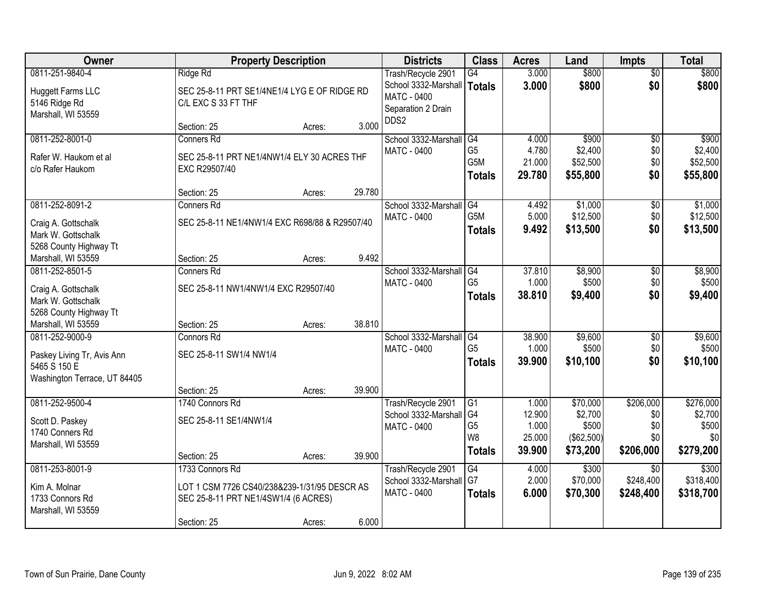| Owner                                        |                                                | <b>Property Description</b> |        | <b>Districts</b>                           | <b>Class</b>     | <b>Acres</b>   | Land              | <b>Impts</b>                 | <b>Total</b>       |
|----------------------------------------------|------------------------------------------------|-----------------------------|--------|--------------------------------------------|------------------|----------------|-------------------|------------------------------|--------------------|
| 0811-251-9840-4                              | Ridge Rd                                       |                             |        | Trash/Recycle 2901                         | G4               | 3.000          | \$800             | $\overline{50}$              | \$800              |
| <b>Huggett Farms LLC</b>                     | SEC 25-8-11 PRT SE1/4NE1/4 LYG E OF RIDGE RD   |                             |        | School 3332-Marshall                       | Totals           | 3.000          | \$800             | \$0                          | \$800              |
| 5146 Ridge Rd                                | C/L EXC S 33 FT THF                            |                             |        | MATC - 0400                                |                  |                |                   |                              |                    |
| Marshall, WI 53559                           |                                                |                             |        | Separation 2 Drain                         |                  |                |                   |                              |                    |
|                                              | Section: 25                                    | Acres:                      | 3.000  | DDS2                                       |                  |                |                   |                              |                    |
| 0811-252-8001-0                              | <b>Conners Rd</b>                              |                             |        | School 3332-Marshall                       | G4               | 4.000          | \$900             | \$0                          | \$900              |
| Rafer W. Haukom et al.                       | SEC 25-8-11 PRT NE1/4NW1/4 ELY 30 ACRES THF    |                             |        | <b>MATC - 0400</b>                         | G <sub>5</sub>   | 4.780          | \$2,400           | \$0                          | \$2,400            |
| c/o Rafer Haukom                             | EXC R29507/40                                  |                             |        |                                            | G5M              | 21.000         | \$52,500          | \$0                          | \$52,500           |
|                                              |                                                |                             |        |                                            | <b>Totals</b>    | 29.780         | \$55,800          | \$0                          | \$55,800           |
|                                              | Section: 25                                    | Acres:                      | 29.780 |                                            |                  |                |                   |                              |                    |
| 0811-252-8091-2                              | <b>Conners Rd</b>                              |                             |        | School 3332-Marshall                       | G4               | 4.492          | \$1,000           | \$0                          | \$1,000            |
| Craig A. Gottschalk                          | SEC 25-8-11 NE1/4NW1/4 EXC R698/88 & R29507/40 |                             |        | <b>MATC - 0400</b>                         | G <sub>5</sub> M | 5.000          | \$12,500          | \$0                          | \$12,500           |
| Mark W. Gottschalk                           |                                                |                             |        |                                            | <b>Totals</b>    | 9.492          | \$13,500          | \$0                          | \$13,500           |
| 5268 County Highway Tt                       |                                                |                             |        |                                            |                  |                |                   |                              |                    |
| Marshall, WI 53559                           | Section: 25                                    | Acres:                      | 9.492  |                                            |                  |                |                   |                              |                    |
| 0811-252-8501-5                              | <b>Conners Rd</b>                              |                             |        | School 3332-Marshall                       | G4               | 37.810         | \$8,900           | \$0                          | \$8,900            |
| Craig A. Gottschalk                          | SEC 25-8-11 NW1/4NW1/4 EXC R29507/40           |                             |        | <b>MATC - 0400</b>                         | G <sub>5</sub>   | 1.000          | \$500             | \$0                          | \$500              |
| Mark W. Gottschalk                           |                                                |                             |        |                                            | <b>Totals</b>    | 38.810         | \$9,400           | \$0                          | \$9,400            |
| 5268 County Highway Tt                       |                                                |                             |        |                                            |                  |                |                   |                              |                    |
| Marshall, WI 53559                           | Section: 25                                    | Acres:                      | 38.810 |                                            |                  |                |                   |                              |                    |
| 0811-252-9000-9                              | Connors Rd                                     |                             |        | School 3332-Marshall                       | G4               | 38.900         | \$9,600           | $\overline{50}$              | \$9,600            |
|                                              |                                                |                             |        | <b>MATC - 0400</b>                         | G <sub>5</sub>   | 1.000          | \$500             | \$0                          | \$500              |
| Paskey Living Tr, Avis Ann                   | SEC 25-8-11 SW1/4 NW1/4                        |                             |        |                                            | <b>Totals</b>    | 39.900         | \$10,100          | \$0                          | \$10,100           |
| 5465 S 150 E<br>Washington Terrace, UT 84405 |                                                |                             |        |                                            |                  |                |                   |                              |                    |
|                                              | Section: 25                                    | Acres:                      | 39.900 |                                            |                  |                |                   |                              |                    |
| 0811-252-9500-4                              | 1740 Connors Rd                                |                             |        | Trash/Recycle 2901                         | G1               | 1.000          | \$70,000          | \$206,000                    | \$276,000          |
|                                              |                                                |                             |        | School 3332-Marshall                       | G4               | 12.900         | \$2,700           | \$0                          | \$2,700            |
| Scott D. Paskey                              | SEC 25-8-11 SE1/4NW1/4                         |                             |        | MATC - 0400                                | G <sub>5</sub>   | 1.000          | \$500             | \$0                          | \$500              |
| 1740 Conners Rd                              |                                                |                             |        |                                            | W <sub>8</sub>   | 25.000         | (\$62,500)        | \$0                          | \$0                |
| Marshall, WI 53559                           |                                                |                             |        |                                            | <b>Totals</b>    | 39.900         | \$73,200          | \$206,000                    | \$279,200          |
|                                              | Section: 25                                    | Acres:                      | 39.900 |                                            |                  |                |                   |                              |                    |
| 0811-253-8001-9                              | 1733 Connors Rd                                |                             |        | Trash/Recycle 2901                         | G4<br>G7         | 4.000<br>2.000 | \$300<br>\$70,000 | $\overline{30}$<br>\$248,400 | \$300<br>\$318,400 |
| Kim A. Molnar                                | LOT 1 CSM 7726 CS40/238&239-1/31/95 DESCR AS   |                             |        | School 3332-Marshall<br><b>MATC - 0400</b> |                  |                |                   |                              |                    |
| 1733 Connors Rd                              | SEC 25-8-11 PRT NE1/4SW1/4 (6 ACRES)           |                             |        |                                            | <b>Totals</b>    | 6.000          | \$70,300          | \$248,400                    | \$318,700          |
| Marshall, WI 53559                           |                                                |                             |        |                                            |                  |                |                   |                              |                    |
|                                              | Section: 25                                    | Acres:                      | 6.000  |                                            |                  |                |                   |                              |                    |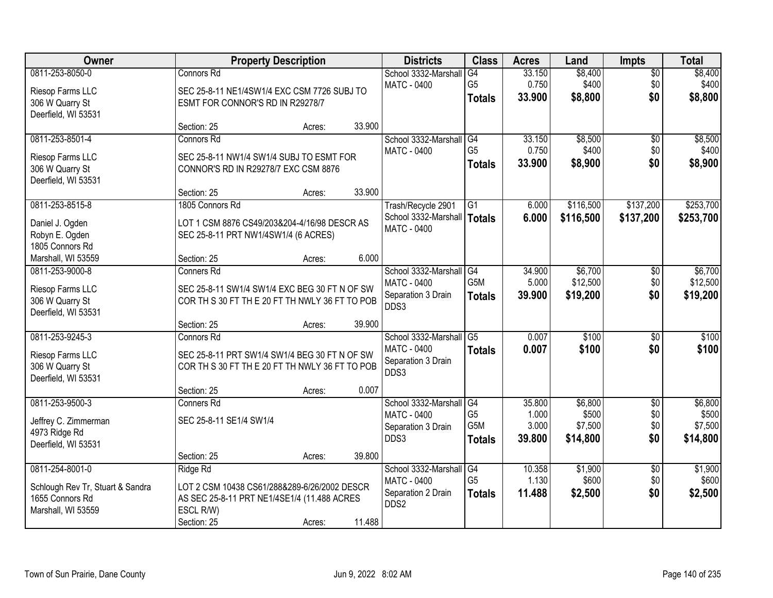| Owner                            |                                                | <b>Property Description</b> |        | <b>Districts</b>     | <b>Class</b>     | <b>Acres</b> | Land      | <b>Impts</b>    | <b>Total</b> |
|----------------------------------|------------------------------------------------|-----------------------------|--------|----------------------|------------------|--------------|-----------|-----------------|--------------|
| 0811-253-8050-0                  | Connors Rd                                     |                             |        | School 3332-Marshall | G4               | 33.150       | \$8,400   | $\sqrt{$0}$     | \$8,400      |
| Riesop Farms LLC                 | SEC 25-8-11 NE1/4SW1/4 EXC CSM 7726 SUBJ TO    |                             |        | MATC - 0400          | G <sub>5</sub>   | 0.750        | \$400     | \$0             | \$400        |
| 306 W Quarry St                  | ESMT FOR CONNOR'S RD IN R29278/7               |                             |        |                      | <b>Totals</b>    | 33.900       | \$8,800   | \$0             | \$8,800      |
| Deerfield, WI 53531              |                                                |                             |        |                      |                  |              |           |                 |              |
|                                  | Section: 25                                    | Acres:                      | 33.900 |                      |                  |              |           |                 |              |
| 0811-253-8501-4                  | Connors Rd                                     |                             |        | School 3332-Marshall | G4               | 33.150       | \$8,500   | $\overline{50}$ | \$8,500      |
| Riesop Farms LLC                 | SEC 25-8-11 NW1/4 SW1/4 SUBJ TO ESMT FOR       |                             |        | MATC - 0400          | G <sub>5</sub>   | 0.750        | \$400     | \$0             | \$400        |
| 306 W Quarry St                  | CONNOR'S RD IN R29278/7 EXC CSM 8876           |                             |        |                      | <b>Totals</b>    | 33.900       | \$8,900   | \$0             | \$8,900      |
| Deerfield, WI 53531              |                                                |                             |        |                      |                  |              |           |                 |              |
|                                  | Section: 25                                    | Acres:                      | 33.900 |                      |                  |              |           |                 |              |
| 0811-253-8515-8                  | 1805 Connors Rd                                |                             |        | Trash/Recycle 2901   | G1               | 6.000        | \$116,500 | \$137,200       | \$253,700    |
| Daniel J. Ogden                  | LOT 1 CSM 8876 CS49/203&204-4/16/98 DESCR AS   |                             |        | School 3332-Marshall | Totals           | 6.000        | \$116,500 | \$137,200       | \$253,700    |
| Robyn E. Ogden                   | SEC 25-8-11 PRT NW1/4SW1/4 (6 ACRES)           |                             |        | <b>MATC - 0400</b>   |                  |              |           |                 |              |
| 1805 Connors Rd                  |                                                |                             |        |                      |                  |              |           |                 |              |
| Marshall, WI 53559               | Section: 25                                    | Acres:                      | 6.000  |                      |                  |              |           |                 |              |
| 0811-253-9000-8                  | <b>Conners Rd</b>                              |                             |        | School 3332-Marshall | G4               | 34.900       | \$6,700   | $\sqrt[6]{3}$   | \$6,700      |
| Riesop Farms LLC                 | SEC 25-8-11 SW1/4 SW1/4 EXC BEG 30 FT N OF SW  |                             |        | <b>MATC - 0400</b>   | G5M              | 5.000        | \$12,500  | \$0             | \$12,500     |
| 306 W Quarry St                  | COR TH S 30 FT TH E 20 FT TH NWLY 36 FT TO POB |                             |        | Separation 3 Drain   | <b>Totals</b>    | 39.900       | \$19,200  | \$0             | \$19,200     |
| Deerfield, WI 53531              |                                                |                             |        | DDS3                 |                  |              |           |                 |              |
|                                  | Section: 25                                    | Acres:                      | 39.900 |                      |                  |              |           |                 |              |
| 0811-253-9245-3                  | <b>Connors Rd</b>                              |                             |        | School 3332-Marshall | $\overline{G5}$  | 0.007        | \$100     | \$0             | \$100        |
| Riesop Farms LLC                 | SEC 25-8-11 PRT SW1/4 SW1/4 BEG 30 FT N OF SW  |                             |        | MATC - 0400          | <b>Totals</b>    | 0.007        | \$100     | \$0             | \$100        |
| 306 W Quarry St                  | COR TH S 30 FT TH E 20 FT TH NWLY 36 FT TO POB |                             |        | Separation 3 Drain   |                  |              |           |                 |              |
| Deerfield, WI 53531              |                                                |                             |        | DDS3                 |                  |              |           |                 |              |
|                                  | Section: 25                                    | Acres:                      | 0.007  |                      |                  |              |           |                 |              |
| 0811-253-9500-3                  | Conners Rd                                     |                             |        | School 3332-Marshall | $\overline{G4}$  | 35.800       | \$6,800   | $\overline{50}$ | \$6,800      |
| Jeffrey C. Zimmerman             | SEC 25-8-11 SE1/4 SW1/4                        |                             |        | MATC - 0400          | G <sub>5</sub>   | 1.000        | \$500     | \$0             | \$500        |
| 4973 Ridge Rd                    |                                                |                             |        | Separation 3 Drain   | G <sub>5</sub> M | 3.000        | \$7,500   | \$0             | \$7,500      |
| Deerfield, WI 53531              |                                                |                             |        | DDS3                 | <b>Totals</b>    | 39.800       | \$14,800  | \$0             | \$14,800     |
|                                  | Section: 25                                    | Acres:                      | 39.800 |                      |                  |              |           |                 |              |
| 0811-254-8001-0                  | Ridge Rd                                       |                             |        | School 3332-Marshall | G4               | 10.358       | \$1,900   | $\overline{60}$ | \$1,900      |
| Schlough Rev Tr, Stuart & Sandra | LOT 2 CSM 10438 CS61/288&289-6/26/2002 DESCR   |                             |        | MATC - 0400          | G <sub>5</sub>   | 1.130        | \$600     | \$0             | \$600        |
| 1655 Connors Rd                  | AS SEC 25-8-11 PRT NE1/4SE1/4 (11.488 ACRES    |                             |        | Separation 2 Drain   | <b>Totals</b>    | 11.488       | \$2,500   | \$0             | \$2,500      |
| Marshall, WI 53559               | ESCL R/W)                                      |                             |        | DDS2                 |                  |              |           |                 |              |
|                                  | Section: 25                                    | Acres:                      | 11.488 |                      |                  |              |           |                 |              |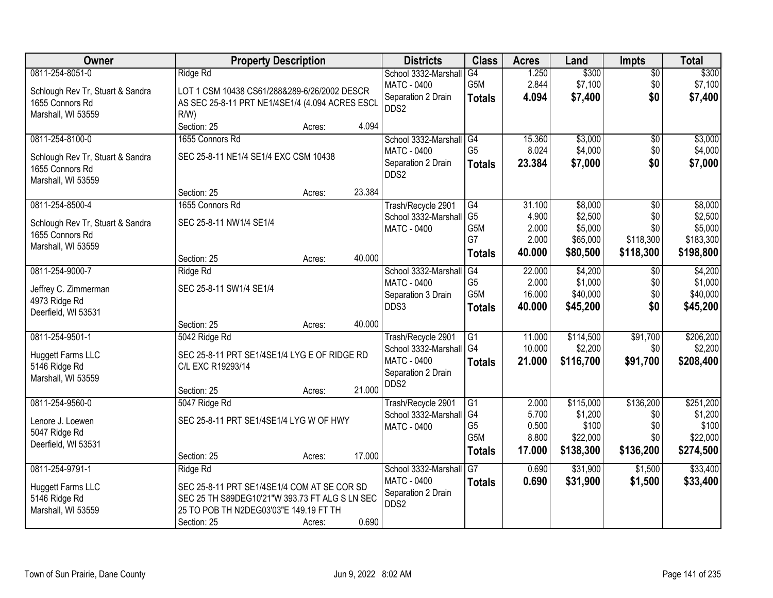| Owner                            | <b>Property Description</b>                     |        |        | <b>Districts</b>     | <b>Class</b>     | <b>Acres</b> | Land      | <b>Impts</b>  | <b>Total</b> |
|----------------------------------|-------------------------------------------------|--------|--------|----------------------|------------------|--------------|-----------|---------------|--------------|
| 0811-254-8051-0                  | Ridge Rd                                        |        |        | School 3332-Marshall | G4               | 1.250        | \$300     | $\sqrt{$0}$   | \$300        |
| Schlough Rev Tr, Stuart & Sandra | LOT 1 CSM 10438 CS61/288&289-6/26/2002 DESCR    |        |        | <b>MATC - 0400</b>   | G5M              | 2.844        | \$7,100   | \$0           | \$7,100      |
| 1655 Connors Rd                  | AS SEC 25-8-11 PRT NE1/4SE1/4 (4.094 ACRES ESCL |        |        | Separation 2 Drain   | <b>Totals</b>    | 4.094        | \$7,400   | \$0           | \$7,400      |
| Marshall, WI 53559               | $R/W$ )                                         |        |        | DDS2                 |                  |              |           |               |              |
|                                  | Section: 25                                     | Acres: | 4.094  |                      |                  |              |           |               |              |
| 0811-254-8100-0                  | 1655 Connors Rd                                 |        |        | School 3332-Marshall | G4               | 15.360       | \$3,000   | \$0           | \$3,000      |
| Schlough Rev Tr, Stuart & Sandra | SEC 25-8-11 NE1/4 SE1/4 EXC CSM 10438           |        |        | MATC - 0400          | G <sub>5</sub>   | 8.024        | \$4,000   | \$0           | \$4,000      |
| 1655 Connors Rd                  |                                                 |        |        | Separation 2 Drain   | <b>Totals</b>    | 23.384       | \$7,000   | \$0           | \$7,000      |
| Marshall, WI 53559               |                                                 |        |        | DDS2                 |                  |              |           |               |              |
|                                  | Section: 25                                     | Acres: | 23.384 |                      |                  |              |           |               |              |
| 0811-254-8500-4                  | 1655 Connors Rd                                 |        |        | Trash/Recycle 2901   | $\overline{G4}$  | 31.100       | \$8,000   | \$0           | \$8,000      |
| Schlough Rev Tr, Stuart & Sandra | SEC 25-8-11 NW1/4 SE1/4                         |        |        | School 3332-Marshall | G <sub>5</sub>   | 4.900        | \$2,500   | \$0           | \$2,500      |
| 1655 Connors Rd                  |                                                 |        |        | <b>MATC - 0400</b>   | G5M              | 2.000        | \$5,000   | \$0           | \$5,000      |
| Marshall, WI 53559               |                                                 |        |        |                      | G7               | 2.000        | \$65,000  | \$118,300     | \$183,300    |
|                                  | Section: 25                                     | Acres: | 40.000 |                      | <b>Totals</b>    | 40.000       | \$80,500  | \$118,300     | \$198,800    |
| 0811-254-9000-7                  | Ridge Rd                                        |        |        | School 3332-Marshall | G4               | 22.000       | \$4,200   | $\sqrt[6]{3}$ | \$4,200      |
| Jeffrey C. Zimmerman             | SEC 25-8-11 SW1/4 SE1/4                         |        |        | <b>MATC - 0400</b>   | G <sub>5</sub>   | 2.000        | \$1,000   | \$0           | \$1,000      |
| 4973 Ridge Rd                    |                                                 |        |        | Separation 3 Drain   | G5M              | 16.000       | \$40,000  | \$0           | \$40,000     |
| Deerfield, WI 53531              |                                                 |        |        | DDS3                 | <b>Totals</b>    | 40.000       | \$45,200  | \$0           | \$45,200     |
|                                  | Section: 25                                     | Acres: | 40.000 |                      |                  |              |           |               |              |
| 0811-254-9501-1                  | 5042 Ridge Rd                                   |        |        | Trash/Recycle 2901   | $\overline{G1}$  | 11.000       | \$114,500 | \$91,700      | \$206,200    |
| Huggett Farms LLC                | SEC 25-8-11 PRT SE1/4SE1/4 LYG E OF RIDGE RD    |        |        | School 3332-Marshall | G <sub>4</sub>   | 10.000       | \$2,200   | \$0           | \$2,200      |
| 5146 Ridge Rd                    | C/L EXC R19293/14                               |        |        | <b>MATC - 0400</b>   | <b>Totals</b>    | 21.000       | \$116,700 | \$91,700      | \$208,400    |
| Marshall, WI 53559               |                                                 |        |        | Separation 2 Drain   |                  |              |           |               |              |
|                                  | Section: 25                                     | Acres: | 21.000 | DDS2                 |                  |              |           |               |              |
| 0811-254-9560-0                  | 5047 Ridge Rd                                   |        |        | Trash/Recycle 2901   | G1               | 2.000        | \$115,000 | \$136,200     | \$251,200    |
| Lenore J. Loewen                 | SEC 25-8-11 PRT SE1/4SE1/4 LYG W OF HWY         |        |        | School 3332-Marshall | G4               | 5.700        | \$1,200   | \$0           | \$1,200      |
| 5047 Ridge Rd                    |                                                 |        |        | <b>MATC - 0400</b>   | G <sub>5</sub>   | 0.500        | \$100     | \$0           | \$100        |
| Deerfield, WI 53531              |                                                 |        |        |                      | G <sub>5</sub> M | 8.800        | \$22,000  | \$0           | \$22,000     |
|                                  | Section: 25                                     | Acres: | 17.000 |                      | <b>Totals</b>    | 17.000       | \$138,300 | \$136,200     | \$274,500    |
| 0811-254-9791-1                  | Ridge Rd                                        |        |        | School 3332-Marshall | G7               | 0.690        | \$31,900  | \$1,500       | \$33,400     |
| Huggett Farms LLC                | SEC 25-8-11 PRT SE1/4SE1/4 COM AT SE COR SD     |        |        | MATC - 0400          | <b>Totals</b>    | 0.690        | \$31,900  | \$1,500       | \$33,400     |
| 5146 Ridge Rd                    | SEC 25 TH S89DEG10'21"W 393.73 FT ALG S LN SEC  |        |        | Separation 2 Drain   |                  |              |           |               |              |
| Marshall, WI 53559               | 25 TO POB TH N2DEG03'03"E 149.19 FT TH          |        |        | DDS2                 |                  |              |           |               |              |
|                                  | Section: 25                                     | Acres: | 0.690  |                      |                  |              |           |               |              |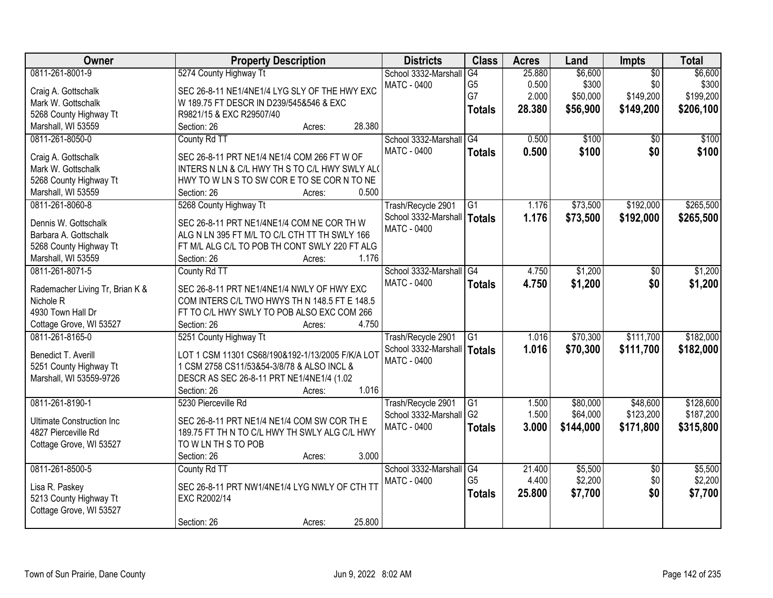| Owner                            | <b>Property Description</b>                      | <b>Districts</b>     | <b>Class</b>    | <b>Acres</b> | Land      | Impts           | <b>Total</b> |
|----------------------------------|--------------------------------------------------|----------------------|-----------------|--------------|-----------|-----------------|--------------|
| 0811-261-8001-9                  | 5274 County Highway Tt                           | School 3332-Marshall | $\overline{G4}$ | 25.880       | \$6,600   | $\overline{50}$ | \$6,600      |
| Craig A. Gottschalk              | SEC 26-8-11 NE1/4NE1/4 LYG SLY OF THE HWY EXC    | <b>MATC - 0400</b>   | G <sub>5</sub>  | 0.500        | \$300     | \$0             | \$300        |
| Mark W. Gottschalk               | W 189.75 FT DESCR IN D239/545&546 & EXC          |                      | G7              | 2.000        | \$50,000  | \$149,200       | \$199,200    |
| 5268 County Highway Tt           | R9821/15 & EXC R29507/40                         |                      | <b>Totals</b>   | 28.380       | \$56,900  | \$149,200       | \$206,100    |
| Marshall, WI 53559               | 28.380<br>Section: 26<br>Acres:                  |                      |                 |              |           |                 |              |
| 0811-261-8050-0                  | County Rd TT                                     | School 3332-Marshall | G4              | 0.500        | \$100     | $\overline{30}$ | \$100        |
|                                  |                                                  | MATC - 0400          | <b>Totals</b>   | 0.500        | \$100     | \$0             | \$100        |
| Craig A. Gottschalk              | SEC 26-8-11 PRT NE1/4 NE1/4 COM 266 FT W OF      |                      |                 |              |           |                 |              |
| Mark W. Gottschalk               | INTERS N LN & C/L HWY TH S TO C/L HWY SWLY ALO   |                      |                 |              |           |                 |              |
| 5268 County Highway Tt           | HWY TO W LN S TO SW COR E TO SE COR N TO NE      |                      |                 |              |           |                 |              |
| Marshall, WI 53559               | 0.500<br>Section: 26<br>Acres:                   |                      |                 |              |           |                 |              |
| 0811-261-8060-8                  | 5268 County Highway Tt                           | Trash/Recycle 2901   | G1              | 1.176        | \$73,500  | \$192,000       | \$265,500    |
| Dennis W. Gottschalk             | SEC 26-8-11 PRT NE1/4NE1/4 COM NE COR TH W       | School 3332-Marshall | Totals          | 1.176        | \$73,500  | \$192,000       | \$265,500    |
| Barbara A. Gottschalk            | ALG N LN 395 FT M/L TO C/L CTH TT TH SWLY 166    | MATC - 0400          |                 |              |           |                 |              |
| 5268 County Highway Tt           | FT M/L ALG C/L TO POB TH CONT SWLY 220 FT ALG    |                      |                 |              |           |                 |              |
| Marshall, WI 53559               | 1.176<br>Section: 26<br>Acres:                   |                      |                 |              |           |                 |              |
| 0811-261-8071-5                  | County Rd TT                                     | School 3332-Marshall | G4              | 4.750        | \$1,200   | \$0             | \$1,200      |
|                                  |                                                  | <b>MATC - 0400</b>   | <b>Totals</b>   | 4.750        | \$1,200   | \$0             | \$1,200      |
| Rademacher Living Tr, Brian K &  | SEC 26-8-11 PRT NE1/4NE1/4 NWLY OF HWY EXC       |                      |                 |              |           |                 |              |
| Nichole R                        | COM INTERS C/L TWO HWYS TH N 148.5 FT E 148.5    |                      |                 |              |           |                 |              |
| 4930 Town Hall Dr                | FT TO C/L HWY SWLY TO POB ALSO EXC COM 266       |                      |                 |              |           |                 |              |
| Cottage Grove, WI 53527          | 4.750<br>Section: 26<br>Acres:                   |                      |                 |              |           |                 |              |
| 0811-261-8165-0                  | 5251 County Highway Tt                           | Trash/Recycle 2901   | $\overline{G1}$ | 1.016        | \$70,300  | \$111,700       | \$182,000    |
| Benedict T. Averill              | LOT 1 CSM 11301 CS68/190&192-1/13/2005 F/K/A LOT | School 3332-Marshall | Totals          | 1.016        | \$70,300  | \$111,700       | \$182,000    |
| 5251 County Highway Tt           | 1 CSM 2758 CS11/53&54-3/8/78 & ALSO INCL &       | <b>MATC - 0400</b>   |                 |              |           |                 |              |
| Marshall, WI 53559-9726          | DESCR AS SEC 26-8-11 PRT NE1/4NE1/4 (1.02        |                      |                 |              |           |                 |              |
|                                  | Section: 26<br>1.016<br>Acres:                   |                      |                 |              |           |                 |              |
| 0811-261-8190-1                  | 5230 Pierceville Rd                              | Trash/Recycle 2901   | G1              | 1.500        | \$80,000  | \$48,600        | \$128,600    |
|                                  |                                                  | School 3332-Marshall | G <sub>2</sub>  | 1.500        | \$64,000  | \$123,200       | \$187,200    |
| <b>Ultimate Construction Inc</b> | SEC 26-8-11 PRT NE1/4 NE1/4 COM SW COR TH E      | MATC - 0400          | <b>Totals</b>   | 3.000        | \$144,000 | \$171,800       | \$315,800    |
| 4827 Pierceville Rd              | 189.75 FT TH N TO C/L HWY TH SWLY ALG C/L HWY    |                      |                 |              |           |                 |              |
| Cottage Grove, WI 53527          | TO W LN TH S TO POB                              |                      |                 |              |           |                 |              |
|                                  | 3.000<br>Section: 26<br>Acres:                   |                      |                 |              |           |                 |              |
| 0811-261-8500-5                  | County Rd TT                                     | School 3332-Marshall | G4              | 21.400       | \$5,500   | $\overline{50}$ | \$5,500      |
| Lisa R. Paskey                   | SEC 26-8-11 PRT NW1/4NE1/4 LYG NWLY OF CTH TT    | <b>MATC - 0400</b>   | G <sub>5</sub>  | 4.400        | \$2,200   | \$0             | \$2,200      |
| 5213 County Highway Tt           | EXC R2002/14                                     |                      | <b>Totals</b>   | 25.800       | \$7,700   | \$0             | \$7,700      |
| Cottage Grove, WI 53527          |                                                  |                      |                 |              |           |                 |              |
|                                  | 25.800<br>Section: 26<br>Acres:                  |                      |                 |              |           |                 |              |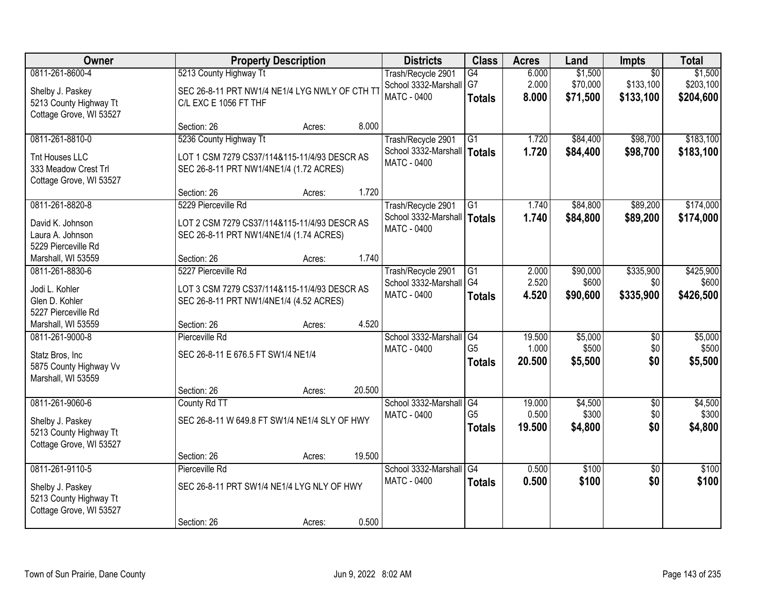| Owner                   |                                                | <b>Property Description</b> |        | <b>Districts</b>              | <b>Class</b>    | <b>Acres</b> | Land     | <b>Impts</b>    | <b>Total</b> |
|-------------------------|------------------------------------------------|-----------------------------|--------|-------------------------------|-----------------|--------------|----------|-----------------|--------------|
| 0811-261-8600-4         | 5213 County Highway Tt                         |                             |        | Trash/Recycle 2901            | G4              | 6.000        | \$1,500  | $\overline{50}$ | \$1,500      |
| Shelby J. Paskey        | SEC 26-8-11 PRT NW1/4 NE1/4 LYG NWLY OF CTH TT |                             |        | School 3332-Marshall          | l G7            | 2.000        | \$70,000 | \$133,100       | \$203,100    |
| 5213 County Highway Tt  | C/L EXC E 1056 FT THF                          |                             |        | <b>MATC - 0400</b>            | <b>Totals</b>   | 8.000        | \$71,500 | \$133,100       | \$204,600    |
| Cottage Grove, WI 53527 |                                                |                             |        |                               |                 |              |          |                 |              |
|                         | Section: 26                                    | Acres:                      | 8.000  |                               |                 |              |          |                 |              |
| 0811-261-8810-0         | 5236 County Highway Tt                         |                             |        | Trash/Recycle 2901            | $\overline{G1}$ | 1.720        | \$84,400 | \$98,700        | \$183,100    |
| Tnt Houses LLC          | LOT 1 CSM 7279 CS37/114&115-11/4/93 DESCR AS   |                             |        | School 3332-Marshall   Totals |                 | 1.720        | \$84,400 | \$98,700        | \$183,100    |
| 333 Meadow Crest Trl    | SEC 26-8-11 PRT NW1/4NE1/4 (1.72 ACRES)        |                             |        | <b>MATC - 0400</b>            |                 |              |          |                 |              |
| Cottage Grove, WI 53527 |                                                |                             |        |                               |                 |              |          |                 |              |
|                         | Section: 26                                    | Acres:                      | 1.720  |                               |                 |              |          |                 |              |
| 0811-261-8820-8         | 5229 Pierceville Rd                            |                             |        | Trash/Recycle 2901            | G1              | 1.740        | \$84,800 | \$89,200        | \$174,000    |
| David K. Johnson        | LOT 2 CSM 7279 CS37/114&115-11/4/93 DESCR AS   |                             |        | School 3332-Marshall   Totals |                 | 1.740        | \$84,800 | \$89,200        | \$174,000    |
| Laura A. Johnson        | SEC 26-8-11 PRT NW1/4NE1/4 (1.74 ACRES)        |                             |        | <b>MATC - 0400</b>            |                 |              |          |                 |              |
| 5229 Pierceville Rd     |                                                |                             |        |                               |                 |              |          |                 |              |
| Marshall, WI 53559      | Section: 26                                    | Acres:                      | 1.740  |                               |                 |              |          |                 |              |
| 0811-261-8830-6         | 5227 Pierceville Rd                            |                             |        | Trash/Recycle 2901            | G1              | 2.000        | \$90,000 | \$335,900       | \$425,900    |
| Jodi L. Kohler          | LOT 3 CSM 7279 CS37/114&115-11/4/93 DESCR AS   |                             |        | School 3332-Marshall G4       |                 | 2.520        | \$600    | \$0             | \$600        |
| Glen D. Kohler          | SEC 26-8-11 PRT NW1/4NE1/4 (4.52 ACRES)        |                             |        | <b>MATC - 0400</b>            | <b>Totals</b>   | 4.520        | \$90,600 | \$335,900       | \$426,500    |
| 5227 Pierceville Rd     |                                                |                             |        |                               |                 |              |          |                 |              |
| Marshall, WI 53559      | Section: 26                                    | Acres:                      | 4.520  |                               |                 |              |          |                 |              |
| 0811-261-9000-8         | Pierceville Rd                                 |                             |        | School 3332-Marshall G4       |                 | 19.500       | \$5,000  | \$0             | \$5,000      |
| Statz Bros, Inc         | SEC 26-8-11 E 676.5 FT SW1/4 NE1/4             |                             |        | MATC - 0400                   | G <sub>5</sub>  | 1.000        | \$500    | \$0             | \$500        |
| 5875 County Highway Vv  |                                                |                             |        |                               | <b>Totals</b>   | 20.500       | \$5,500  | \$0             | \$5,500      |
| Marshall, WI 53559      |                                                |                             |        |                               |                 |              |          |                 |              |
|                         | Section: 26                                    | Acres:                      | 20.500 |                               |                 |              |          |                 |              |
| 0811-261-9060-6         | County Rd TT                                   |                             |        | School 3332-Marshall G4       |                 | 19.000       | \$4,500  | \$0             | \$4,500      |
| Shelby J. Paskey        | SEC 26-8-11 W 649.8 FT SW1/4 NE1/4 SLY OF HWY  |                             |        | MATC - 0400                   | G <sub>5</sub>  | 0.500        | \$300    | \$0             | \$300        |
| 5213 County Highway Tt  |                                                |                             |        |                               | <b>Totals</b>   | 19.500       | \$4,800  | \$0             | \$4,800      |
| Cottage Grove, WI 53527 |                                                |                             |        |                               |                 |              |          |                 |              |
|                         | Section: 26                                    | Acres:                      | 19.500 |                               |                 |              |          |                 |              |
| 0811-261-9110-5         | Pierceville Rd                                 |                             |        | School 3332-Marshall          | $\overline{G4}$ | 0.500        | \$100    | $\overline{50}$ | \$100        |
| Shelby J. Paskey        | SEC 26-8-11 PRT SW1/4 NE1/4 LYG NLY OF HWY     |                             |        | <b>MATC - 0400</b>            | <b>Totals</b>   | 0.500        | \$100    | \$0             | \$100        |
| 5213 County Highway Tt  |                                                |                             |        |                               |                 |              |          |                 |              |
| Cottage Grove, WI 53527 |                                                |                             |        |                               |                 |              |          |                 |              |
|                         | Section: 26                                    | Acres:                      | 0.500  |                               |                 |              |          |                 |              |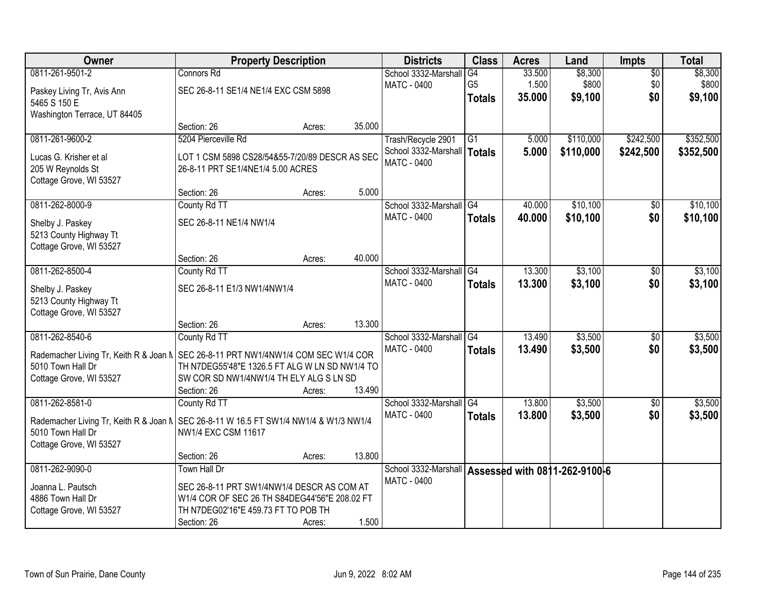| 0811-261-9501-2<br>\$8,300<br>\$8,300<br>Connors Rd<br>School 3332-Marshall<br>G4<br>33.500<br>$\overline{50}$<br>G <sub>5</sub><br>1.500<br>\$800<br>\$0<br>\$800<br><b>MATC - 0400</b><br>SEC 26-8-11 SE1/4 NE1/4 EXC CSM 5898<br>Paskey Living Tr, Avis Ann<br>\$0<br>\$9,100<br>35,000<br>\$9,100<br><b>Totals</b><br>5465 S 150 E<br>Washington Terrace, UT 84405<br>35.000<br>Section: 26<br>Acres:<br>0811-261-9600-2<br>5204 Pierceville Rd<br>\$110,000<br>\$242,500<br>Trash/Recycle 2901<br>G1<br>5.000<br>\$110,000<br>School 3332-Marshall<br>5.000<br>\$242,500<br>\$352,500<br><b>Totals</b><br>LOT 1 CSM 5898 CS28/54&55-7/20/89 DESCR AS SEC<br>Lucas G. Krisher et al<br><b>MATC - 0400</b><br>205 W Reynolds St<br>26-8-11 PRT SE1/4NE1/4 5.00 ACRES<br>Cottage Grove, WI 53527<br>5.000<br>Section: 26<br>Acres:<br>\$10,100<br>0811-262-8000-9<br>School 3332-Marshall G4<br>County Rd TT<br>40.000<br>\$0<br>MATC - 0400<br>\$10,100<br>\$0<br>40.000<br><b>Totals</b><br>SEC 26-8-11 NE1/4 NW1/4<br>Shelby J. Paskey<br>5213 County Highway Tt<br>Cottage Grove, WI 53527<br>40.000<br>Section: 26<br>Acres:<br>0811-262-8500-4<br>13.300<br>\$3,100<br>School 3332-Marshall<br>G4<br>County Rd TT<br>\$0<br>MATC - 0400<br>13.300<br>\$3,100<br>\$0<br>\$3,100<br><b>Totals</b><br>SEC 26-8-11 E1/3 NW1/4NW1/4<br>Shelby J. Paskey<br>5213 County Highway Tt<br>Cottage Grove, WI 53527<br>13.300<br>Section: 26<br>Acres:<br>0811-262-8540-6<br>13.490<br>\$3,500<br>County Rd TT<br>School 3332-Marshall<br>$\overline{G4}$<br>$\overline{50}$<br>13.490<br>\$3,500<br>\$0<br><b>MATC - 0400</b><br>\$3,500<br><b>Totals</b><br>Rademacher Living Tr, Keith R & Joan N   SEC 26-8-11 PRT NW1/4NW1/4 COM SEC W1/4 COR<br>5010 Town Hall Dr<br>TH N7DEG55'48"E 1326.5 FT ALG W LN SD NW1/4 TO<br>Cottage Grove, WI 53527<br>SW COR SD NW1/4NW1/4 TH ELY ALG S LN SD<br>13.490<br>Section: 26<br>Acres:<br>\$3,500<br>0811-262-8581-0<br>School 3332-Marshall G4<br>13.800<br>County Rd TT<br>$\sqrt{6}$<br><b>MATC - 0400</b><br>13.800<br>\$0<br>\$3,500<br>\$3,500<br><b>Totals</b><br>SEC 26-8-11 W 16.5 FT SW1/4 NW1/4 & W1/3 NW1/4<br>Rademacher Living Tr, Keith R & Joan N<br>5010 Town Hall Dr<br>NW1/4 EXC CSM 11617<br>Cottage Grove, WI 53527<br>13.800<br>Section: 26<br>Acres:<br>0811-262-9090-0<br><b>Town Hall Dr</b><br>School 3332-Marshall<br>Assessed with 0811-262-9100-6<br>MATC - 0400<br>Joanna L. Pautsch<br>SEC 26-8-11 PRT SW1/4NW1/4 DESCR AS COM AT<br>4886 Town Hall Dr<br>W1/4 COR OF SEC 26 TH S84DEG44'56"E 208.02 FT<br>TH N7DEG02'16"E 459.73 FT TO POB TH<br>Cottage Grove, WI 53527 | <b>Owner</b> | <b>Property Description</b> |        |       | <b>Districts</b> | <b>Class</b> | <b>Acres</b> | Land | <b>Impts</b> | <b>Total</b> |
|--------------------------------------------------------------------------------------------------------------------------------------------------------------------------------------------------------------------------------------------------------------------------------------------------------------------------------------------------------------------------------------------------------------------------------------------------------------------------------------------------------------------------------------------------------------------------------------------------------------------------------------------------------------------------------------------------------------------------------------------------------------------------------------------------------------------------------------------------------------------------------------------------------------------------------------------------------------------------------------------------------------------------------------------------------------------------------------------------------------------------------------------------------------------------------------------------------------------------------------------------------------------------------------------------------------------------------------------------------------------------------------------------------------------------------------------------------------------------------------------------------------------------------------------------------------------------------------------------------------------------------------------------------------------------------------------------------------------------------------------------------------------------------------------------------------------------------------------------------------------------------------------------------------------------------------------------------------------------------------------------------------------------------------------------------------------------------------------------------------------------------------------------------------------------------------------------------------------------------------------------------------------------------------------------------------------------------------------------------------------------------------------------------------------------------------------------------------------------------------------------------------------------------------------------------------------------------------------------------------------------------------------------|--------------|-----------------------------|--------|-------|------------------|--------------|--------------|------|--------------|--------------|
|                                                                                                                                                                                                                                                                                                                                                                                                                                                                                                                                                                                                                                                                                                                                                                                                                                                                                                                                                                                                                                                                                                                                                                                                                                                                                                                                                                                                                                                                                                                                                                                                                                                                                                                                                                                                                                                                                                                                                                                                                                                                                                                                                                                                                                                                                                                                                                                                                                                                                                                                                                                                                                                  |              |                             |        |       |                  |              |              |      |              |              |
|                                                                                                                                                                                                                                                                                                                                                                                                                                                                                                                                                                                                                                                                                                                                                                                                                                                                                                                                                                                                                                                                                                                                                                                                                                                                                                                                                                                                                                                                                                                                                                                                                                                                                                                                                                                                                                                                                                                                                                                                                                                                                                                                                                                                                                                                                                                                                                                                                                                                                                                                                                                                                                                  |              |                             |        |       |                  |              |              |      |              |              |
| \$352,500                                                                                                                                                                                                                                                                                                                                                                                                                                                                                                                                                                                                                                                                                                                                                                                                                                                                                                                                                                                                                                                                                                                                                                                                                                                                                                                                                                                                                                                                                                                                                                                                                                                                                                                                                                                                                                                                                                                                                                                                                                                                                                                                                                                                                                                                                                                                                                                                                                                                                                                                                                                                                                        |              |                             |        |       |                  |              |              |      |              |              |
|                                                                                                                                                                                                                                                                                                                                                                                                                                                                                                                                                                                                                                                                                                                                                                                                                                                                                                                                                                                                                                                                                                                                                                                                                                                                                                                                                                                                                                                                                                                                                                                                                                                                                                                                                                                                                                                                                                                                                                                                                                                                                                                                                                                                                                                                                                                                                                                                                                                                                                                                                                                                                                                  |              |                             |        |       |                  |              |              |      |              |              |
| \$10,100<br>\$10,100<br>\$3,100<br>\$3,500<br>\$3,500                                                                                                                                                                                                                                                                                                                                                                                                                                                                                                                                                                                                                                                                                                                                                                                                                                                                                                                                                                                                                                                                                                                                                                                                                                                                                                                                                                                                                                                                                                                                                                                                                                                                                                                                                                                                                                                                                                                                                                                                                                                                                                                                                                                                                                                                                                                                                                                                                                                                                                                                                                                            |              |                             |        |       |                  |              |              |      |              |              |
|                                                                                                                                                                                                                                                                                                                                                                                                                                                                                                                                                                                                                                                                                                                                                                                                                                                                                                                                                                                                                                                                                                                                                                                                                                                                                                                                                                                                                                                                                                                                                                                                                                                                                                                                                                                                                                                                                                                                                                                                                                                                                                                                                                                                                                                                                                                                                                                                                                                                                                                                                                                                                                                  |              |                             |        |       |                  |              |              |      |              |              |
|                                                                                                                                                                                                                                                                                                                                                                                                                                                                                                                                                                                                                                                                                                                                                                                                                                                                                                                                                                                                                                                                                                                                                                                                                                                                                                                                                                                                                                                                                                                                                                                                                                                                                                                                                                                                                                                                                                                                                                                                                                                                                                                                                                                                                                                                                                                                                                                                                                                                                                                                                                                                                                                  |              |                             |        |       |                  |              |              |      |              |              |
|                                                                                                                                                                                                                                                                                                                                                                                                                                                                                                                                                                                                                                                                                                                                                                                                                                                                                                                                                                                                                                                                                                                                                                                                                                                                                                                                                                                                                                                                                                                                                                                                                                                                                                                                                                                                                                                                                                                                                                                                                                                                                                                                                                                                                                                                                                                                                                                                                                                                                                                                                                                                                                                  |              |                             |        |       |                  |              |              |      |              |              |
|                                                                                                                                                                                                                                                                                                                                                                                                                                                                                                                                                                                                                                                                                                                                                                                                                                                                                                                                                                                                                                                                                                                                                                                                                                                                                                                                                                                                                                                                                                                                                                                                                                                                                                                                                                                                                                                                                                                                                                                                                                                                                                                                                                                                                                                                                                                                                                                                                                                                                                                                                                                                                                                  |              |                             |        |       |                  |              |              |      |              |              |
|                                                                                                                                                                                                                                                                                                                                                                                                                                                                                                                                                                                                                                                                                                                                                                                                                                                                                                                                                                                                                                                                                                                                                                                                                                                                                                                                                                                                                                                                                                                                                                                                                                                                                                                                                                                                                                                                                                                                                                                                                                                                                                                                                                                                                                                                                                                                                                                                                                                                                                                                                                                                                                                  |              |                             |        |       |                  |              |              |      |              |              |
|                                                                                                                                                                                                                                                                                                                                                                                                                                                                                                                                                                                                                                                                                                                                                                                                                                                                                                                                                                                                                                                                                                                                                                                                                                                                                                                                                                                                                                                                                                                                                                                                                                                                                                                                                                                                                                                                                                                                                                                                                                                                                                                                                                                                                                                                                                                                                                                                                                                                                                                                                                                                                                                  |              |                             |        |       |                  |              |              |      |              |              |
|                                                                                                                                                                                                                                                                                                                                                                                                                                                                                                                                                                                                                                                                                                                                                                                                                                                                                                                                                                                                                                                                                                                                                                                                                                                                                                                                                                                                                                                                                                                                                                                                                                                                                                                                                                                                                                                                                                                                                                                                                                                                                                                                                                                                                                                                                                                                                                                                                                                                                                                                                                                                                                                  |              |                             |        |       |                  |              |              |      |              |              |
|                                                                                                                                                                                                                                                                                                                                                                                                                                                                                                                                                                                                                                                                                                                                                                                                                                                                                                                                                                                                                                                                                                                                                                                                                                                                                                                                                                                                                                                                                                                                                                                                                                                                                                                                                                                                                                                                                                                                                                                                                                                                                                                                                                                                                                                                                                                                                                                                                                                                                                                                                                                                                                                  |              |                             |        |       |                  |              |              |      |              |              |
|                                                                                                                                                                                                                                                                                                                                                                                                                                                                                                                                                                                                                                                                                                                                                                                                                                                                                                                                                                                                                                                                                                                                                                                                                                                                                                                                                                                                                                                                                                                                                                                                                                                                                                                                                                                                                                                                                                                                                                                                                                                                                                                                                                                                                                                                                                                                                                                                                                                                                                                                                                                                                                                  |              |                             |        |       |                  |              |              |      |              |              |
|                                                                                                                                                                                                                                                                                                                                                                                                                                                                                                                                                                                                                                                                                                                                                                                                                                                                                                                                                                                                                                                                                                                                                                                                                                                                                                                                                                                                                                                                                                                                                                                                                                                                                                                                                                                                                                                                                                                                                                                                                                                                                                                                                                                                                                                                                                                                                                                                                                                                                                                                                                                                                                                  |              |                             |        |       |                  |              |              |      |              |              |
|                                                                                                                                                                                                                                                                                                                                                                                                                                                                                                                                                                                                                                                                                                                                                                                                                                                                                                                                                                                                                                                                                                                                                                                                                                                                                                                                                                                                                                                                                                                                                                                                                                                                                                                                                                                                                                                                                                                                                                                                                                                                                                                                                                                                                                                                                                                                                                                                                                                                                                                                                                                                                                                  |              |                             |        |       |                  |              |              |      |              |              |
|                                                                                                                                                                                                                                                                                                                                                                                                                                                                                                                                                                                                                                                                                                                                                                                                                                                                                                                                                                                                                                                                                                                                                                                                                                                                                                                                                                                                                                                                                                                                                                                                                                                                                                                                                                                                                                                                                                                                                                                                                                                                                                                                                                                                                                                                                                                                                                                                                                                                                                                                                                                                                                                  |              |                             |        |       |                  |              |              |      |              |              |
|                                                                                                                                                                                                                                                                                                                                                                                                                                                                                                                                                                                                                                                                                                                                                                                                                                                                                                                                                                                                                                                                                                                                                                                                                                                                                                                                                                                                                                                                                                                                                                                                                                                                                                                                                                                                                                                                                                                                                                                                                                                                                                                                                                                                                                                                                                                                                                                                                                                                                                                                                                                                                                                  |              |                             |        |       |                  |              |              |      |              |              |
|                                                                                                                                                                                                                                                                                                                                                                                                                                                                                                                                                                                                                                                                                                                                                                                                                                                                                                                                                                                                                                                                                                                                                                                                                                                                                                                                                                                                                                                                                                                                                                                                                                                                                                                                                                                                                                                                                                                                                                                                                                                                                                                                                                                                                                                                                                                                                                                                                                                                                                                                                                                                                                                  |              |                             |        |       |                  |              |              |      |              |              |
|                                                                                                                                                                                                                                                                                                                                                                                                                                                                                                                                                                                                                                                                                                                                                                                                                                                                                                                                                                                                                                                                                                                                                                                                                                                                                                                                                                                                                                                                                                                                                                                                                                                                                                                                                                                                                                                                                                                                                                                                                                                                                                                                                                                                                                                                                                                                                                                                                                                                                                                                                                                                                                                  |              |                             |        |       |                  |              |              |      |              |              |
|                                                                                                                                                                                                                                                                                                                                                                                                                                                                                                                                                                                                                                                                                                                                                                                                                                                                                                                                                                                                                                                                                                                                                                                                                                                                                                                                                                                                                                                                                                                                                                                                                                                                                                                                                                                                                                                                                                                                                                                                                                                                                                                                                                                                                                                                                                                                                                                                                                                                                                                                                                                                                                                  |              |                             |        |       |                  |              |              |      |              |              |
|                                                                                                                                                                                                                                                                                                                                                                                                                                                                                                                                                                                                                                                                                                                                                                                                                                                                                                                                                                                                                                                                                                                                                                                                                                                                                                                                                                                                                                                                                                                                                                                                                                                                                                                                                                                                                                                                                                                                                                                                                                                                                                                                                                                                                                                                                                                                                                                                                                                                                                                                                                                                                                                  |              |                             |        |       |                  |              |              |      |              |              |
|                                                                                                                                                                                                                                                                                                                                                                                                                                                                                                                                                                                                                                                                                                                                                                                                                                                                                                                                                                                                                                                                                                                                                                                                                                                                                                                                                                                                                                                                                                                                                                                                                                                                                                                                                                                                                                                                                                                                                                                                                                                                                                                                                                                                                                                                                                                                                                                                                                                                                                                                                                                                                                                  |              |                             |        |       |                  |              |              |      |              |              |
|                                                                                                                                                                                                                                                                                                                                                                                                                                                                                                                                                                                                                                                                                                                                                                                                                                                                                                                                                                                                                                                                                                                                                                                                                                                                                                                                                                                                                                                                                                                                                                                                                                                                                                                                                                                                                                                                                                                                                                                                                                                                                                                                                                                                                                                                                                                                                                                                                                                                                                                                                                                                                                                  |              |                             |        |       |                  |              |              |      |              |              |
|                                                                                                                                                                                                                                                                                                                                                                                                                                                                                                                                                                                                                                                                                                                                                                                                                                                                                                                                                                                                                                                                                                                                                                                                                                                                                                                                                                                                                                                                                                                                                                                                                                                                                                                                                                                                                                                                                                                                                                                                                                                                                                                                                                                                                                                                                                                                                                                                                                                                                                                                                                                                                                                  |              |                             |        |       |                  |              |              |      |              |              |
|                                                                                                                                                                                                                                                                                                                                                                                                                                                                                                                                                                                                                                                                                                                                                                                                                                                                                                                                                                                                                                                                                                                                                                                                                                                                                                                                                                                                                                                                                                                                                                                                                                                                                                                                                                                                                                                                                                                                                                                                                                                                                                                                                                                                                                                                                                                                                                                                                                                                                                                                                                                                                                                  |              |                             |        |       |                  |              |              |      |              |              |
|                                                                                                                                                                                                                                                                                                                                                                                                                                                                                                                                                                                                                                                                                                                                                                                                                                                                                                                                                                                                                                                                                                                                                                                                                                                                                                                                                                                                                                                                                                                                                                                                                                                                                                                                                                                                                                                                                                                                                                                                                                                                                                                                                                                                                                                                                                                                                                                                                                                                                                                                                                                                                                                  |              |                             |        |       |                  |              |              |      |              |              |
|                                                                                                                                                                                                                                                                                                                                                                                                                                                                                                                                                                                                                                                                                                                                                                                                                                                                                                                                                                                                                                                                                                                                                                                                                                                                                                                                                                                                                                                                                                                                                                                                                                                                                                                                                                                                                                                                                                                                                                                                                                                                                                                                                                                                                                                                                                                                                                                                                                                                                                                                                                                                                                                  |              |                             |        |       |                  |              |              |      |              |              |
|                                                                                                                                                                                                                                                                                                                                                                                                                                                                                                                                                                                                                                                                                                                                                                                                                                                                                                                                                                                                                                                                                                                                                                                                                                                                                                                                                                                                                                                                                                                                                                                                                                                                                                                                                                                                                                                                                                                                                                                                                                                                                                                                                                                                                                                                                                                                                                                                                                                                                                                                                                                                                                                  |              |                             |        |       |                  |              |              |      |              |              |
|                                                                                                                                                                                                                                                                                                                                                                                                                                                                                                                                                                                                                                                                                                                                                                                                                                                                                                                                                                                                                                                                                                                                                                                                                                                                                                                                                                                                                                                                                                                                                                                                                                                                                                                                                                                                                                                                                                                                                                                                                                                                                                                                                                                                                                                                                                                                                                                                                                                                                                                                                                                                                                                  |              |                             |        |       |                  |              |              |      |              |              |
|                                                                                                                                                                                                                                                                                                                                                                                                                                                                                                                                                                                                                                                                                                                                                                                                                                                                                                                                                                                                                                                                                                                                                                                                                                                                                                                                                                                                                                                                                                                                                                                                                                                                                                                                                                                                                                                                                                                                                                                                                                                                                                                                                                                                                                                                                                                                                                                                                                                                                                                                                                                                                                                  |              |                             |        |       |                  |              |              |      |              |              |
|                                                                                                                                                                                                                                                                                                                                                                                                                                                                                                                                                                                                                                                                                                                                                                                                                                                                                                                                                                                                                                                                                                                                                                                                                                                                                                                                                                                                                                                                                                                                                                                                                                                                                                                                                                                                                                                                                                                                                                                                                                                                                                                                                                                                                                                                                                                                                                                                                                                                                                                                                                                                                                                  |              |                             |        |       |                  |              |              |      |              |              |
|                                                                                                                                                                                                                                                                                                                                                                                                                                                                                                                                                                                                                                                                                                                                                                                                                                                                                                                                                                                                                                                                                                                                                                                                                                                                                                                                                                                                                                                                                                                                                                                                                                                                                                                                                                                                                                                                                                                                                                                                                                                                                                                                                                                                                                                                                                                                                                                                                                                                                                                                                                                                                                                  |              |                             |        |       |                  |              |              |      |              |              |
|                                                                                                                                                                                                                                                                                                                                                                                                                                                                                                                                                                                                                                                                                                                                                                                                                                                                                                                                                                                                                                                                                                                                                                                                                                                                                                                                                                                                                                                                                                                                                                                                                                                                                                                                                                                                                                                                                                                                                                                                                                                                                                                                                                                                                                                                                                                                                                                                                                                                                                                                                                                                                                                  |              | Section: 26                 | Acres: | 1.500 |                  |              |              |      |              |              |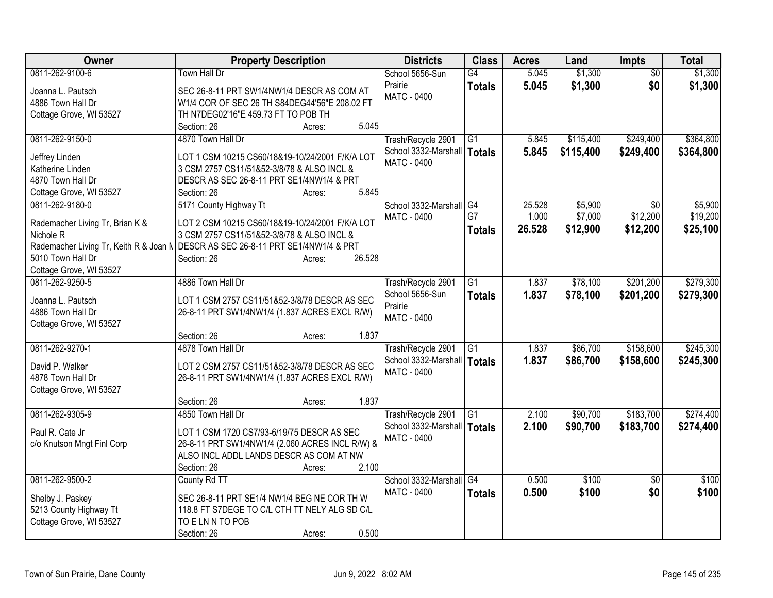| Owner                                  | <b>Property Description</b>                                                                | <b>Districts</b>     | <b>Class</b>    | <b>Acres</b> | Land      | <b>Impts</b>    | <b>Total</b> |
|----------------------------------------|--------------------------------------------------------------------------------------------|----------------------|-----------------|--------------|-----------|-----------------|--------------|
| 0811-262-9100-6                        | Town Hall Dr                                                                               | School 5656-Sun      | $\overline{G4}$ | 5.045        | \$1,300   | $\overline{50}$ | \$1,300      |
| Joanna L. Pautsch                      | SEC 26-8-11 PRT SW1/4NW1/4 DESCR AS COM AT                                                 | Prairie              | <b>Totals</b>   | 5.045        | \$1,300   | \$0             | \$1,300      |
| 4886 Town Hall Dr                      | W1/4 COR OF SEC 26 TH S84DEG44'56"E 208.02 FT                                              | <b>MATC - 0400</b>   |                 |              |           |                 |              |
| Cottage Grove, WI 53527                | TH N7DEG02'16"E 459.73 FT TO POB TH                                                        |                      |                 |              |           |                 |              |
|                                        | 5.045<br>Section: 26<br>Acres:                                                             |                      |                 |              |           |                 |              |
| 0811-262-9150-0                        | 4870 Town Hall Dr                                                                          | Trash/Recycle 2901   | G1              | 5.845        | \$115,400 | \$249,400       | \$364,800    |
|                                        |                                                                                            | School 3332-Marshall | Totals          | 5.845        | \$115,400 | \$249,400       | \$364,800    |
| Jeffrey Linden                         | LOT 1 CSM 10215 CS60/18&19-10/24/2001 F/K/A LOT                                            | <b>MATC - 0400</b>   |                 |              |           |                 |              |
| Katherine Linden                       | 3 CSM 2757 CS11/51&52-3/8/78 & ALSO INCL &                                                 |                      |                 |              |           |                 |              |
| 4870 Town Hall Dr                      | DESCR AS SEC 26-8-11 PRT SE1/4NW1/4 & PRT                                                  |                      |                 |              |           |                 |              |
| Cottage Grove, WI 53527                | 5.845<br>Section: 26<br>Acres:                                                             |                      |                 |              |           |                 |              |
| 0811-262-9180-0                        | 5171 County Highway Tt                                                                     | School 3332-Marshall | G4              | 25.528       | \$5,900   | \$0             | \$5,900      |
| Rademacher Living Tr, Brian K &        | LOT 2 CSM 10215 CS60/18&19-10/24/2001 F/K/A LOT                                            | <b>MATC - 0400</b>   | G7              | 1.000        | \$7,000   | \$12,200        | \$19,200     |
| Nichole <sub>R</sub>                   | 3 CSM 2757 CS11/51&52-3/8/78 & ALSO INCL &                                                 |                      | <b>Totals</b>   | 26.528       | \$12,900  | \$12,200        | \$25,100     |
| Rademacher Living Tr, Keith R & Joan N | DESCR AS SEC 26-8-11 PRT SE1/4NW1/4 & PRT                                                  |                      |                 |              |           |                 |              |
| 5010 Town Hall Dr                      | 26.528<br>Section: 26<br>Acres:                                                            |                      |                 |              |           |                 |              |
| Cottage Grove, WI 53527                |                                                                                            |                      |                 |              |           |                 |              |
| 0811-262-9250-5                        | 4886 Town Hall Dr                                                                          | Trash/Recycle 2901   | G1              | 1.837        | \$78,100  | \$201,200       | \$279,300    |
|                                        |                                                                                            | School 5656-Sun      | <b>Totals</b>   | 1.837        | \$78,100  | \$201,200       | \$279,300    |
| Joanna L. Pautsch                      | LOT 1 CSM 2757 CS11/51&52-3/8/78 DESCR AS SEC                                              | Prairie              |                 |              |           |                 |              |
| 4886 Town Hall Dr                      | 26-8-11 PRT SW1/4NW1/4 (1.837 ACRES EXCL R/W)                                              | <b>MATC - 0400</b>   |                 |              |           |                 |              |
| Cottage Grove, WI 53527                | 1.837                                                                                      |                      |                 |              |           |                 |              |
| 0811-262-9270-1                        | Section: 26<br>Acres:<br>4878 Town Hall Dr                                                 |                      |                 |              |           |                 |              |
|                                        |                                                                                            | Trash/Recycle 2901   | G1              | 1.837        | \$86,700  | \$158,600       | \$245,300    |
| David P. Walker                        | LOT 2 CSM 2757 CS11/51&52-3/8/78 DESCR AS SEC                                              | School 3332-Marshall | <b>Totals</b>   | 1.837        | \$86,700  | \$158,600       | \$245,300    |
| 4878 Town Hall Dr                      | 26-8-11 PRT SW1/4NW1/4 (1.837 ACRES EXCL R/W)                                              | <b>MATC - 0400</b>   |                 |              |           |                 |              |
| Cottage Grove, WI 53527                |                                                                                            |                      |                 |              |           |                 |              |
|                                        | 1.837<br>Section: 26<br>Acres:                                                             |                      |                 |              |           |                 |              |
| 0811-262-9305-9                        | 4850 Town Hall Dr                                                                          | Trash/Recycle 2901   | $\overline{G1}$ | 2.100        | \$90,700  | \$183,700       | \$274,400    |
|                                        |                                                                                            | School 3332-Marshall | <b>Totals</b>   | 2.100        | \$90,700  | \$183,700       | \$274,400    |
| Paul R. Cate Jr                        | LOT 1 CSM 1720 CS7/93-6/19/75 DESCR AS SEC                                                 | <b>MATC - 0400</b>   |                 |              |           |                 |              |
| c/o Knutson Mngt Finl Corp             | 26-8-11 PRT SW1/4NW1/4 (2.060 ACRES INCL R/W) &<br>ALSO INCL ADDL LANDS DESCR AS COM AT NW |                      |                 |              |           |                 |              |
|                                        | 2.100                                                                                      |                      |                 |              |           |                 |              |
| 0811-262-9500-2                        | Section: 26<br>Acres:<br>County Rd TT                                                      | School 3332-Marshall | $\overline{G4}$ | 0.500        | \$100     | $\overline{30}$ | \$100        |
|                                        |                                                                                            | MATC - 0400          |                 |              |           |                 |              |
| Shelby J. Paskey                       | SEC 26-8-11 PRT SE1/4 NW1/4 BEG NE COR THW                                                 |                      | <b>Totals</b>   | 0.500        | \$100     | \$0             | \$100        |
| 5213 County Highway Tt                 | 118.8 FT S7DEGE TO C/L CTH TT NELY ALG SD C/L                                              |                      |                 |              |           |                 |              |
| Cottage Grove, WI 53527                | TO E LN N TO POB                                                                           |                      |                 |              |           |                 |              |
|                                        | 0.500<br>Section: 26<br>Acres:                                                             |                      |                 |              |           |                 |              |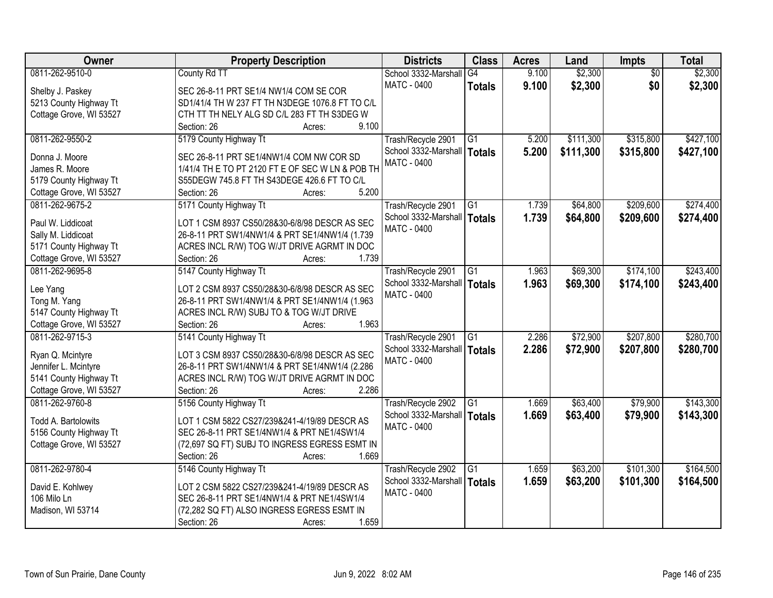| Owner                                  | <b>Property Description</b>                                                                     | <b>Districts</b>                           | <b>Class</b>    | <b>Acres</b> | Land      | <b>Impts</b>    | <b>Total</b> |
|----------------------------------------|-------------------------------------------------------------------------------------------------|--------------------------------------------|-----------------|--------------|-----------|-----------------|--------------|
| 0811-262-9510-0                        | County Rd TT                                                                                    | School 3332-Marshall                       | G4              | 9.100        | \$2,300   | $\overline{50}$ | \$2,300      |
| Shelby J. Paskey                       | SEC 26-8-11 PRT SE1/4 NW1/4 COM SE COR                                                          | MATC - 0400                                | <b>Totals</b>   | 9.100        | \$2,300   | \$0             | \$2,300      |
| 5213 County Highway Tt                 | SD1/41/4 TH W 237 FT TH N3DEGE 1076.8 FT TO C/L                                                 |                                            |                 |              |           |                 |              |
| Cottage Grove, WI 53527                | CTH TT TH NELY ALG SD C/L 283 FT TH S3DEG W                                                     |                                            |                 |              |           |                 |              |
|                                        | 9.100<br>Section: 26<br>Acres:                                                                  |                                            |                 |              |           |                 |              |
| 0811-262-9550-2                        | 5179 County Highway Tt                                                                          | Trash/Recycle 2901                         | G1              | 5.200        | \$111,300 | \$315,800       | \$427,100    |
|                                        |                                                                                                 | School 3332-Marshall                       | <b>Totals</b>   | 5.200        | \$111,300 | \$315,800       | \$427,100    |
| Donna J. Moore                         | SEC 26-8-11 PRT SE1/4NW1/4 COM NW COR SD                                                        | <b>MATC - 0400</b>                         |                 |              |           |                 |              |
| James R. Moore                         | 1/41/4 TH E TO PT 2120 FT E OF SEC W LN & POB TH                                                |                                            |                 |              |           |                 |              |
| 5179 County Highway Tt                 | S55DEGW 745.8 FT TH S43DEGE 426.6 FT TO C/L                                                     |                                            |                 |              |           |                 |              |
| Cottage Grove, WI 53527                | 5.200<br>Section: 26<br>Acres:                                                                  |                                            |                 |              |           |                 |              |
| 0811-262-9675-2                        | 5171 County Highway Tt                                                                          | Trash/Recycle 2901                         | G1              | 1.739        | \$64,800  | \$209,600       | \$274,400    |
| Paul W. Liddicoat                      | LOT 1 CSM 8937 CS50/28&30-6/8/98 DESCR AS SEC                                                   | School 3332-Marshall   Totals              |                 | 1.739        | \$64,800  | \$209,600       | \$274,400    |
| Sally M. Liddicoat                     | 26-8-11 PRT SW1/4NW1/4 & PRT SE1/4NW1/4 (1.739                                                  | <b>MATC - 0400</b>                         |                 |              |           |                 |              |
| 5171 County Highway Tt                 | ACRES INCL R/W) TOG W/JT DRIVE AGRMT IN DOC                                                     |                                            |                 |              |           |                 |              |
| Cottage Grove, WI 53527                | 1.739<br>Section: 26<br>Acres:                                                                  |                                            |                 |              |           |                 |              |
| 0811-262-9695-8                        | 5147 County Highway Tt                                                                          | Trash/Recycle 2901                         | G1              | 1.963        | \$69,300  | \$174,100       | \$243,400    |
|                                        |                                                                                                 | School 3332-Marshall                       | <b>Totals</b>   | 1.963        | \$69,300  | \$174,100       | \$243,400    |
| Lee Yang                               | LOT 2 CSM 8937 CS50/28&30-6/8/98 DESCR AS SEC<br>26-8-11 PRT SW1/4NW1/4 & PRT SE1/4NW1/4 (1.963 | <b>MATC - 0400</b>                         |                 |              |           |                 |              |
| Tong M. Yang<br>5147 County Highway Tt | ACRES INCL R/W) SUBJ TO & TOG W/JT DRIVE                                                        |                                            |                 |              |           |                 |              |
| Cottage Grove, WI 53527                | Section: 26<br>1.963<br>Acres:                                                                  |                                            |                 |              |           |                 |              |
| 0811-262-9715-3                        | 5141 County Highway Tt                                                                          |                                            | $\overline{G1}$ | 2.286        | \$72,900  | \$207,800       | \$280,700    |
|                                        |                                                                                                 | Trash/Recycle 2901<br>School 3332-Marshall |                 |              |           |                 |              |
| Ryan Q. Mcintyre                       | LOT 3 CSM 8937 CS50/28&30-6/8/98 DESCR AS SEC                                                   | <b>MATC - 0400</b>                         | <b>Totals</b>   | 2.286        | \$72,900  | \$207,800       | \$280,700    |
| Jennifer L. Mcintyre                   | 26-8-11 PRT SW1/4NW1/4 & PRT SE1/4NW1/4 (2.286                                                  |                                            |                 |              |           |                 |              |
| 5141 County Highway Tt                 | ACRES INCL R/W) TOG W/JT DRIVE AGRMT IN DOC                                                     |                                            |                 |              |           |                 |              |
| Cottage Grove, WI 53527                | 2.286<br>Section: 26<br>Acres:                                                                  |                                            |                 |              |           |                 |              |
| 0811-262-9760-8                        | 5156 County Highway Tt                                                                          | Trash/Recycle 2902                         | $\overline{G1}$ | 1.669        | \$63,400  | \$79,900        | \$143,300    |
| Todd A. Bartolowits                    | LOT 1 CSM 5822 CS27/239&241-4/19/89 DESCR AS                                                    | School 3332-Marshall   Totals              |                 | 1.669        | \$63,400  | \$79,900        | \$143,300    |
| 5156 County Highway Tt                 | SEC 26-8-11 PRT SE1/4NW1/4 & PRT NE1/4SW1/4                                                     | MATC - 0400                                |                 |              |           |                 |              |
| Cottage Grove, WI 53527                | (72,697 SQ FT) SUBJ TO INGRESS EGRESS ESMT IN                                                   |                                            |                 |              |           |                 |              |
|                                        | 1.669<br>Section: 26<br>Acres:                                                                  |                                            |                 |              |           |                 |              |
| 0811-262-9780-4                        | 5146 County Highway Tt                                                                          | Trash/Recycle 2902                         | G1              | 1.659        | \$63,200  | \$101,300       | \$164,500    |
|                                        |                                                                                                 | School 3332-Marshall                       | <b>Totals</b>   | 1.659        | \$63,200  | \$101,300       | \$164,500    |
| David E. Kohlwey                       | LOT 2 CSM 5822 CS27/239&241-4/19/89 DESCR AS                                                    | <b>MATC - 0400</b>                         |                 |              |           |                 |              |
| 106 Milo Ln                            | SEC 26-8-11 PRT SE1/4NW1/4 & PRT NE1/4SW1/4                                                     |                                            |                 |              |           |                 |              |
| Madison, WI 53714                      | (72,282 SQ FT) ALSO INGRESS EGRESS ESMT IN                                                      |                                            |                 |              |           |                 |              |
|                                        | 1.659<br>Section: 26<br>Acres:                                                                  |                                            |                 |              |           |                 |              |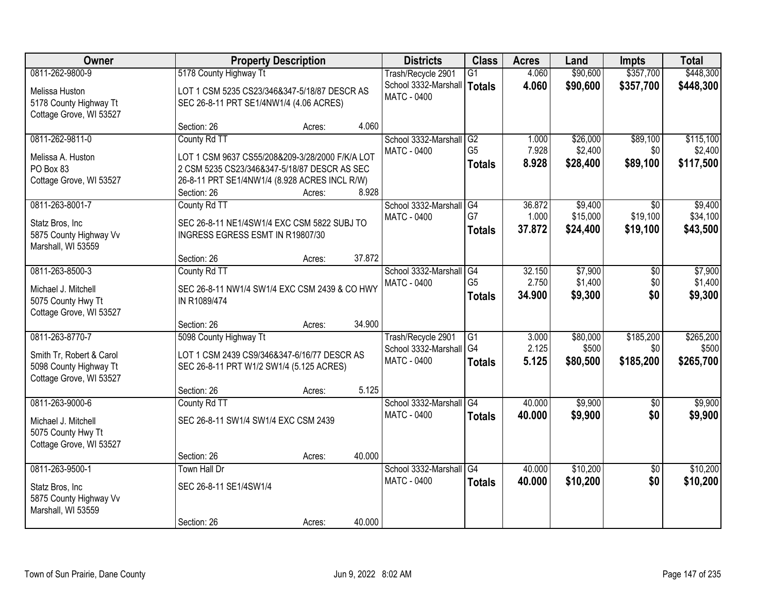| Owner                    |                                                 | <b>Property Description</b> |        | <b>Districts</b>                           | <b>Class</b>                      | <b>Acres</b>   | Land              | <b>Impts</b>           | <b>Total</b>       |
|--------------------------|-------------------------------------------------|-----------------------------|--------|--------------------------------------------|-----------------------------------|----------------|-------------------|------------------------|--------------------|
| 0811-262-9800-9          | 5178 County Highway Tt                          |                             |        | Trash/Recycle 2901                         | $\overline{G1}$                   | 4.060          | \$90,600          | \$357,700              | \$448,300          |
| Melissa Huston           | LOT 1 CSM 5235 CS23/346&347-5/18/87 DESCR AS    |                             |        | School 3332-Marshall                       | <b>Totals</b>                     | 4.060          | \$90,600          | \$357,700              | \$448,300          |
| 5178 County Highway Tt   | SEC 26-8-11 PRT SE1/4NW1/4 (4.06 ACRES)         |                             |        | <b>MATC - 0400</b>                         |                                   |                |                   |                        |                    |
| Cottage Grove, WI 53527  |                                                 |                             |        |                                            |                                   |                |                   |                        |                    |
|                          | Section: 26                                     | Acres:                      | 4.060  |                                            |                                   |                |                   |                        |                    |
| 0811-262-9811-0          | County Rd TT                                    |                             |        | School 3332-Marshall                       | G2                                | 1.000          | \$26,000          | \$89,100               | \$115,100          |
| Melissa A. Huston        | LOT 1 CSM 9637 CS55/208&209-3/28/2000 F/K/A LOT |                             |        | <b>MATC - 0400</b>                         | G <sub>5</sub>                    | 7.928          | \$2,400           | \$0                    | \$2,400            |
| PO Box 83                | 2 CSM 5235 CS23/346&347-5/18/87 DESCR AS SEC    |                             |        |                                            | <b>Totals</b>                     | 8.928          | \$28,400          | \$89,100               | \$117,500          |
| Cottage Grove, WI 53527  | 26-8-11 PRT SE1/4NW1/4 (8.928 ACRES INCL R/W)   |                             |        |                                            |                                   |                |                   |                        |                    |
|                          | Section: 26                                     | Acres:                      | 8.928  |                                            |                                   |                |                   |                        |                    |
| 0811-263-8001-7          | County Rd TT                                    |                             |        | School 3332-Marshall G4                    |                                   | 36.872         | \$9,400           | $\overline{50}$        | \$9,400            |
| Statz Bros, Inc.         | SEC 26-8-11 NE1/4SW1/4 EXC CSM 5822 SUBJ TO     |                             |        | <b>MATC - 0400</b>                         | G7                                | 1.000          | \$15,000          | \$19,100               | \$34,100           |
| 5875 County Highway Vv   | INGRESS EGRESS ESMT IN R19807/30                |                             |        |                                            | <b>Totals</b>                     | 37.872         | \$24,400          | \$19,100               | \$43,500           |
| Marshall, WI 53559       |                                                 |                             |        |                                            |                                   |                |                   |                        |                    |
|                          | Section: 26                                     | Acres:                      | 37.872 |                                            |                                   |                |                   |                        |                    |
| 0811-263-8500-3          | County Rd TT                                    |                             |        | School 3332-Marshall                       | G4                                | 32.150         | \$7,900           | \$0                    | \$7,900            |
| Michael J. Mitchell      | SEC 26-8-11 NW1/4 SW1/4 EXC CSM 2439 & CO HWY   |                             |        | <b>MATC - 0400</b>                         | G <sub>5</sub>                    | 2.750          | \$1,400           | \$0<br>\$0             | \$1,400            |
| 5075 County Hwy Tt       | IN R1089/474                                    |                             |        |                                            | <b>Totals</b>                     | 34.900         | \$9,300           |                        | \$9,300            |
| Cottage Grove, WI 53527  |                                                 |                             |        |                                            |                                   |                |                   |                        |                    |
|                          | Section: 26                                     | Acres:                      | 34.900 |                                            |                                   |                |                   |                        |                    |
| 0811-263-8770-7          | 5098 County Highway Tt                          |                             |        | Trash/Recycle 2901                         | $\overline{G1}$<br>G <sub>4</sub> | 3.000<br>2.125 | \$80,000<br>\$500 | \$185,200              | \$265,200<br>\$500 |
| Smith Tr, Robert & Carol | LOT 1 CSM 2439 CS9/346&347-6/16/77 DESCR AS     |                             |        | School 3332-Marshall<br><b>MATC - 0400</b> |                                   | 5.125          | \$80,500          | \$0<br>\$185,200       | \$265,700          |
| 5098 County Highway Tt   | SEC 26-8-11 PRT W1/2 SW1/4 (5.125 ACRES)        |                             |        |                                            | <b>Totals</b>                     |                |                   |                        |                    |
| Cottage Grove, WI 53527  |                                                 |                             |        |                                            |                                   |                |                   |                        |                    |
|                          | Section: 26                                     | Acres:                      | 5.125  |                                            |                                   |                |                   |                        |                    |
| 0811-263-9000-6          | County Rd TT                                    |                             |        | School 3332-Marshall G4                    |                                   | 40.000         | \$9,900           | \$0                    | \$9,900            |
| Michael J. Mitchell      | SEC 26-8-11 SW1/4 SW1/4 EXC CSM 2439            |                             |        | MATC - 0400                                | <b>Totals</b>                     | 40.000         | \$9,900           | \$0                    | \$9,900            |
| 5075 County Hwy Tt       |                                                 |                             |        |                                            |                                   |                |                   |                        |                    |
| Cottage Grove, WI 53527  |                                                 |                             |        |                                            |                                   |                |                   |                        |                    |
|                          | Section: 26                                     | Acres:                      | 40.000 |                                            |                                   |                |                   |                        |                    |
| 0811-263-9500-1          | <b>Town Hall Dr</b>                             |                             |        | School 3332-Marshall<br>MATC - 0400        | G4                                | 40.000         | \$10,200          | $\overline{50}$<br>\$0 | \$10,200           |
| Statz Bros, Inc.         | SEC 26-8-11 SE1/4SW1/4                          |                             |        |                                            | <b>Totals</b>                     | 40.000         | \$10,200          |                        | \$10,200           |
| 5875 County Highway Vv   |                                                 |                             |        |                                            |                                   |                |                   |                        |                    |
| Marshall, WI 53559       |                                                 |                             |        |                                            |                                   |                |                   |                        |                    |
|                          | Section: 26                                     | Acres:                      | 40.000 |                                            |                                   |                |                   |                        |                    |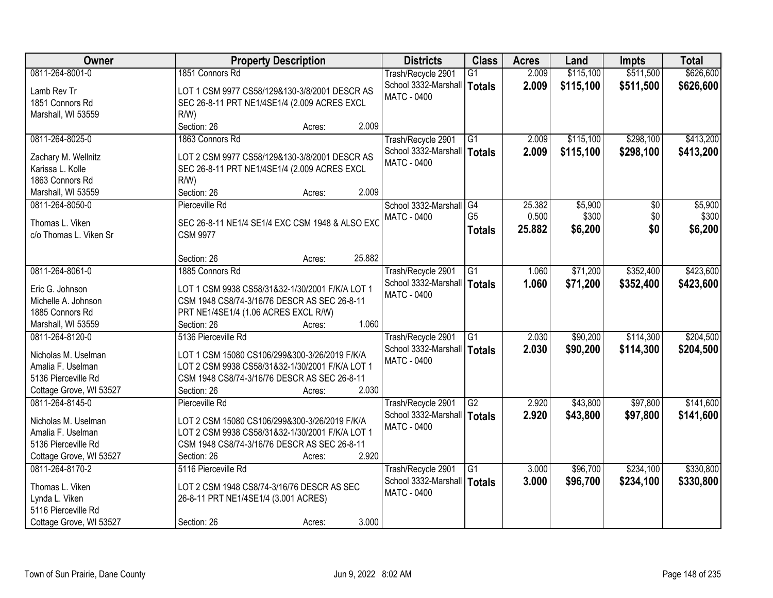| Owner                                   | <b>Property Description</b>                     | <b>Districts</b>              | <b>Class</b>    | <b>Acres</b> | Land      | Impts     | <b>Total</b> |
|-----------------------------------------|-------------------------------------------------|-------------------------------|-----------------|--------------|-----------|-----------|--------------|
| 0811-264-8001-0                         | 1851 Connors Rd                                 | Trash/Recycle 2901            | G1              | 2.009        | \$115,100 | \$511,500 | \$626,600    |
| Lamb Rev Tr                             | LOT 1 CSM 9977 CS58/129&130-3/8/2001 DESCR AS   | School 3332-Marshall   Totals |                 | 2.009        | \$115,100 | \$511,500 | \$626,600    |
| 1851 Connors Rd                         | SEC 26-8-11 PRT NE1/4SE1/4 (2.009 ACRES EXCL    | <b>MATC - 0400</b>            |                 |              |           |           |              |
| Marshall, WI 53559                      | $R/W$ )                                         |                               |                 |              |           |           |              |
|                                         | 2.009<br>Section: 26<br>Acres:                  |                               |                 |              |           |           |              |
| 0811-264-8025-0                         | 1863 Connors Rd                                 | Trash/Recycle 2901            | G1              | 2.009        | \$115,100 | \$298,100 | \$413,200    |
|                                         | LOT 2 CSM 9977 CS58/129&130-3/8/2001 DESCR AS   | School 3332-Marshall   Totals |                 | 2.009        | \$115,100 | \$298,100 | \$413,200    |
| Zachary M. Wellnitz<br>Karissa L. Kolle |                                                 | <b>MATC - 0400</b>            |                 |              |           |           |              |
| 1863 Connors Rd                         | SEC 26-8-11 PRT NE1/4SE1/4 (2.009 ACRES EXCL    |                               |                 |              |           |           |              |
|                                         | R/W<br>Section: 26<br>2.009                     |                               |                 |              |           |           |              |
| Marshall, WI 53559                      | Acres:                                          |                               |                 |              |           |           |              |
| 0811-264-8050-0                         | Pierceville Rd                                  | School 3332-Marshall G4       |                 | 25.382       | \$5,900   | \$0       | \$5,900      |
| Thomas L. Viken                         | SEC 26-8-11 NE1/4 SE1/4 EXC CSM 1948 & ALSO EXC | <b>MATC - 0400</b>            | G <sub>5</sub>  | 0.500        | \$300     | \$0       | \$300        |
| c/o Thomas L. Viken Sr                  | <b>CSM 9977</b>                                 |                               | <b>Totals</b>   | 25.882       | \$6,200   | \$0       | \$6,200      |
|                                         |                                                 |                               |                 |              |           |           |              |
|                                         | 25.882<br>Section: 26<br>Acres:                 |                               |                 |              |           |           |              |
| 0811-264-8061-0                         | 1885 Connors Rd                                 | Trash/Recycle 2901            | G1              | 1.060        | \$71,200  | \$352,400 | \$423,600    |
| Eric G. Johnson                         | LOT 1 CSM 9938 CS58/31&32-1/30/2001 F/K/A LOT 1 | School 3332-Marshall   Totals |                 | 1.060        | \$71,200  | \$352,400 | \$423,600    |
| Michelle A. Johnson                     | CSM 1948 CS8/74-3/16/76 DESCR AS SEC 26-8-11    | MATC - 0400                   |                 |              |           |           |              |
| 1885 Connors Rd                         | PRT NE1/4SE1/4 (1.06 ACRES EXCL R/W)            |                               |                 |              |           |           |              |
| Marshall, WI 53559                      | 1.060<br>Section: 26                            |                               |                 |              |           |           |              |
| 0811-264-8120-0                         | Acres:<br>5136 Pierceville Rd                   |                               | $\overline{G1}$ | 2.030        | \$90,200  | \$114,300 | \$204,500    |
|                                         |                                                 | Trash/Recycle 2901            |                 |              |           |           |              |
| Nicholas M. Uselman                     | LOT 1 CSM 15080 CS106/299&300-3/26/2019 F/K/A   | School 3332-Marshall   Totals |                 | 2.030        | \$90,200  | \$114,300 | \$204,500    |
| Amalia F. Uselman                       | LOT 2 CSM 9938 CS58/31&32-1/30/2001 F/K/A LOT 1 | <b>MATC - 0400</b>            |                 |              |           |           |              |
| 5136 Pierceville Rd                     | CSM 1948 CS8/74-3/16/76 DESCR AS SEC 26-8-11    |                               |                 |              |           |           |              |
| Cottage Grove, WI 53527                 | 2.030<br>Section: 26<br>Acres:                  |                               |                 |              |           |           |              |
| 0811-264-8145-0                         | Pierceville Rd                                  | Trash/Recycle 2901            | G2              | 2.920        | \$43,800  | \$97,800  | \$141,600    |
| Nicholas M. Uselman                     | LOT 2 CSM 15080 CS106/299&300-3/26/2019 F/K/A   | School 3332-Marshall   Totals |                 | 2.920        | \$43,800  | \$97,800  | \$141,600    |
| Amalia F. Uselman                       | LOT 2 CSM 9938 CS58/31&32-1/30/2001 F/K/A LOT 1 | MATC - 0400                   |                 |              |           |           |              |
| 5136 Pierceville Rd                     | CSM 1948 CS8/74-3/16/76 DESCR AS SEC 26-8-11    |                               |                 |              |           |           |              |
| Cottage Grove, WI 53527                 | 2.920<br>Section: 26<br>Acres:                  |                               |                 |              |           |           |              |
| 0811-264-8170-2                         | 5116 Pierceville Rd                             | Trash/Recycle 2901            | G1              | 3.000        | \$96,700  | \$234,100 | \$330,800    |
|                                         |                                                 | School 3332-Marshall   Totals |                 | 3.000        | \$96,700  | \$234,100 | \$330,800    |
| Thomas L. Viken                         | LOT 2 CSM 1948 CS8/74-3/16/76 DESCR AS SEC      | <b>MATC - 0400</b>            |                 |              |           |           |              |
| Lynda L. Viken                          | 26-8-11 PRT NE1/4SE1/4 (3.001 ACRES)            |                               |                 |              |           |           |              |
| 5116 Pierceville Rd                     |                                                 |                               |                 |              |           |           |              |
| Cottage Grove, WI 53527                 | 3.000<br>Section: 26<br>Acres:                  |                               |                 |              |           |           |              |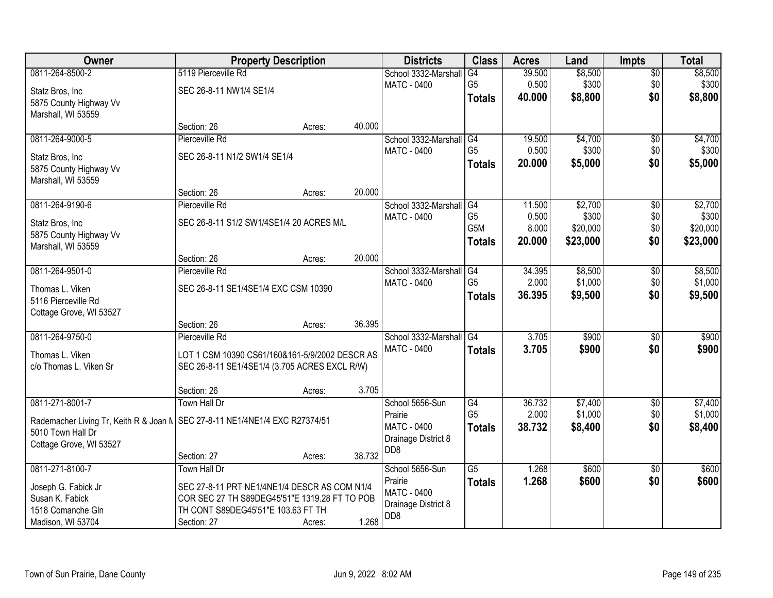| <b>Owner</b>                                                                  |                                                | <b>Property Description</b> |        | <b>Districts</b>           | <b>Class</b>                       | <b>Acres</b>    | Land               | <b>Impts</b>    | <b>Total</b> |
|-------------------------------------------------------------------------------|------------------------------------------------|-----------------------------|--------|----------------------------|------------------------------------|-----------------|--------------------|-----------------|--------------|
| 0811-264-8500-2                                                               | 5119 Pierceville Rd                            |                             |        | School 3332-Marshall       | G4                                 | 39.500          | \$8,500            | $\sqrt{$0}$     | \$8,500      |
| Statz Bros, Inc                                                               | SEC 26-8-11 NW1/4 SE1/4                        |                             |        | MATC - 0400                | G <sub>5</sub>                     | 0.500           | \$300              | \$0             | \$300        |
| 5875 County Highway Vv                                                        |                                                |                             |        |                            | <b>Totals</b>                      | 40.000          | \$8,800            | \$0             | \$8,800      |
| Marshall, WI 53559                                                            |                                                |                             |        |                            |                                    |                 |                    |                 |              |
|                                                                               | Section: 26                                    | Acres:                      | 40.000 |                            |                                    |                 |                    |                 |              |
| 0811-264-9000-5                                                               | Pierceville Rd                                 |                             |        | School 3332-Marshall       | G4                                 | 19.500          | \$4,700            | $\overline{50}$ | \$4,700      |
| Statz Bros, Inc                                                               | SEC 26-8-11 N1/2 SW1/4 SE1/4                   |                             |        | <b>MATC - 0400</b>         | G <sub>5</sub>                     | 0.500           | \$300              | \$0             | \$300        |
| 5875 County Highway Vv                                                        |                                                |                             |        |                            | <b>Totals</b>                      | 20.000          | \$5,000            | \$0             | \$5,000      |
| Marshall, WI 53559                                                            |                                                |                             |        |                            |                                    |                 |                    |                 |              |
|                                                                               | Section: 26                                    | Acres:                      | 20.000 |                            |                                    |                 |                    |                 |              |
| 0811-264-9190-6                                                               | Pierceville Rd                                 |                             |        | School 3332-Marshall       | G4                                 | 11.500          | \$2,700            | $\overline{50}$ | \$2,700      |
| Statz Bros, Inc                                                               | SEC 26-8-11 S1/2 SW1/4SE1/4 20 ACRES M/L       |                             |        | MATC - 0400                | G <sub>5</sub><br>G <sub>5</sub> M | 0.500           | \$300              | \$0             | \$300        |
| 5875 County Highway Vv                                                        |                                                |                             |        |                            |                                    | 8.000<br>20.000 | \$20,000           | \$0<br>\$0      | \$20,000     |
| Marshall, WI 53559                                                            |                                                |                             |        |                            | <b>Totals</b>                      |                 | \$23,000           |                 | \$23,000     |
|                                                                               | Section: 26                                    | Acres:                      | 20.000 |                            |                                    |                 |                    |                 |              |
| 0811-264-9501-0                                                               | Pierceville Rd                                 |                             |        | School 3332-Marshall       | G4                                 | 34.395          | \$8,500            | \$0             | \$8,500      |
| Thomas L. Viken                                                               | SEC 26-8-11 SE1/4SE1/4 EXC CSM 10390           |                             |        | MATC - 0400                | G <sub>5</sub>                     | 2.000           | \$1,000            | \$0             | \$1,000      |
| 5116 Pierceville Rd                                                           |                                                |                             |        |                            | <b>Totals</b>                      | 36.395          | \$9,500            | \$0             | \$9,500      |
| Cottage Grove, WI 53527                                                       |                                                |                             |        |                            |                                    |                 |                    |                 |              |
|                                                                               | Section: 26                                    | Acres:                      | 36.395 |                            |                                    |                 |                    |                 |              |
| 0811-264-9750-0                                                               | Pierceville Rd                                 |                             |        | School 3332-Marshall       | G4                                 | 3.705           | \$900              | \$0             | \$900        |
| Thomas L. Viken                                                               | LOT 1 CSM 10390 CS61/160&161-5/9/2002 DESCR AS |                             |        | <b>MATC - 0400</b>         | <b>Totals</b>                      | 3.705           | \$900              | \$0             | \$900        |
| c/o Thomas L. Viken Sr                                                        | SEC 26-8-11 SE1/4SE1/4 (3.705 ACRES EXCL R/W)  |                             |        |                            |                                    |                 |                    |                 |              |
|                                                                               |                                                |                             |        |                            |                                    |                 |                    |                 |              |
|                                                                               | Section: 26                                    | Acres:                      | 3.705  |                            |                                    |                 |                    |                 |              |
| 0811-271-8001-7                                                               | <b>Town Hall Dr</b>                            |                             |        | School 5656-Sun            | G4<br>G <sub>5</sub>               | 36.732          | \$7,400            | $\overline{$0}$ | \$7,400      |
| Rademacher Living Tr, Keith R & Joan N   SEC 27-8-11 NE1/4NE1/4 EXC R27374/51 |                                                |                             |        | Prairie<br>MATC - 0400     |                                    | 2.000<br>38.732 | \$1,000<br>\$8,400 | \$0<br>\$0      | \$1,000      |
| 5010 Town Hall Dr                                                             |                                                |                             |        | Drainage District 8        | <b>Totals</b>                      |                 |                    |                 | \$8,400      |
| Cottage Grove, WI 53527                                                       |                                                |                             |        | DD <sub>8</sub>            |                                    |                 |                    |                 |              |
|                                                                               | Section: 27                                    | Acres:                      | 38.732 |                            |                                    |                 |                    |                 |              |
| 0811-271-8100-7                                                               | Town Hall Dr                                   |                             |        | School 5656-Sun<br>Prairie | $\overline{G5}$                    | 1.268           | \$600              | $\overline{30}$ | \$600        |
| Joseph G. Fabick Jr                                                           | SEC 27-8-11 PRT NE1/4NE1/4 DESCR AS COM N1/4   |                             |        | MATC - 0400                | <b>Totals</b>                      | 1.268           | \$600              | \$0             | \$600        |
| Susan K. Fabick                                                               | COR SEC 27 TH S89DEG45'51"E 1319.28 FT TO POB  |                             |        | Drainage District 8        |                                    |                 |                    |                 |              |
| 1518 Comanche Gln                                                             | TH CONT S89DEG45'51"E 103.63 FT TH             |                             |        | D <sub>D</sub> 8           |                                    |                 |                    |                 |              |
| Madison, WI 53704                                                             | Section: 27                                    | Acres:                      | 1.268  |                            |                                    |                 |                    |                 |              |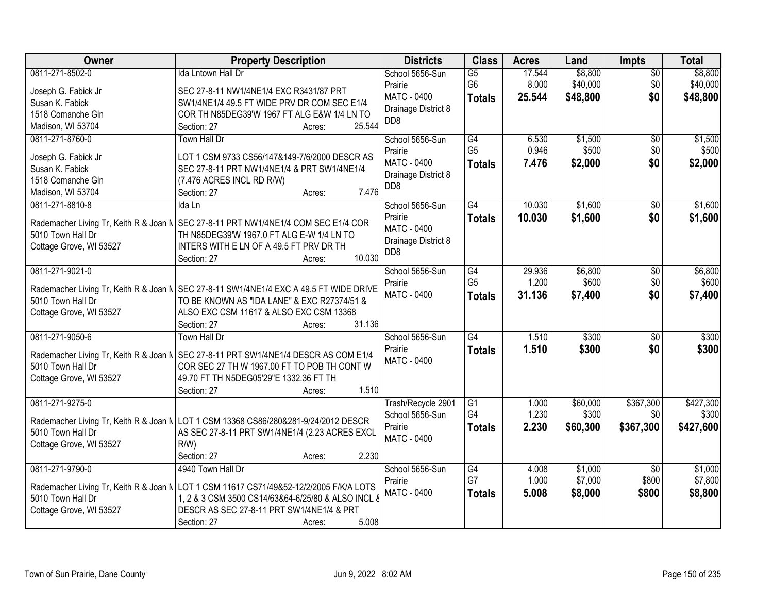| Owner                                  | <b>Property Description</b>                                                            | <b>Districts</b>    | <b>Class</b>    | <b>Acres</b> | Land     | Impts           | <b>Total</b> |
|----------------------------------------|----------------------------------------------------------------------------------------|---------------------|-----------------|--------------|----------|-----------------|--------------|
| 0811-271-8502-0                        | <b>Ida Lntown Hall Dr</b>                                                              | School 5656-Sun     | $\overline{G5}$ | 17.544       | \$8,800  | $\overline{50}$ | \$8,800      |
| Joseph G. Fabick Jr                    | SEC 27-8-11 NW1/4NE1/4 EXC R3431/87 PRT                                                | Prairie             | G <sub>6</sub>  | 8.000        | \$40,000 | \$0             | \$40,000     |
| Susan K. Fabick                        | SW1/4NE1/4 49.5 FT WIDE PRV DR COM SEC E1/4                                            | <b>MATC - 0400</b>  | <b>Totals</b>   | 25.544       | \$48,800 | \$0             | \$48,800     |
| 1518 Comanche Gln                      | COR TH N85DEG39'W 1967 FT ALG E&W 1/4 LN TO                                            | Drainage District 8 |                 |              |          |                 |              |
| Madison, WI 53704                      | 25.544<br>Section: 27<br>Acres:                                                        | D <sub>D</sub> 8    |                 |              |          |                 |              |
| 0811-271-8760-0                        | Town Hall Dr                                                                           | School 5656-Sun     | G4              | 6.530        | \$1,500  | \$0             | \$1,500      |
|                                        |                                                                                        | Prairie             | G <sub>5</sub>  | 0.946        | \$500    | \$0             | \$500        |
| Joseph G. Fabick Jr                    | LOT 1 CSM 9733 CS56/147&149-7/6/2000 DESCR AS                                          | MATC - 0400         | <b>Totals</b>   | 7.476        | \$2,000  | \$0             | \$2,000      |
| Susan K. Fabick                        | SEC 27-8-11 PRT NW1/4NE1/4 & PRT SW1/4NE1/4                                            | Drainage District 8 |                 |              |          |                 |              |
| 1518 Comanche Gln                      | (7.476 ACRES INCL RD R/W)                                                              | DD <sub>8</sub>     |                 |              |          |                 |              |
| Madison, WI 53704                      | 7.476<br>Section: 27<br>Acres:                                                         |                     |                 |              |          |                 |              |
| 0811-271-8810-8                        | Ida Ln                                                                                 | School 5656-Sun     | $\overline{G4}$ | 10.030       | \$1,600  | \$0             | \$1,600      |
| Rademacher Living Tr, Keith R & Joan N | SEC 27-8-11 PRT NW1/4NE1/4 COM SEC E1/4 COR                                            | Prairie             | <b>Totals</b>   | 10.030       | \$1,600  | \$0             | \$1,600      |
| 5010 Town Hall Dr                      | TH N85DEG39'W 1967.0 FT ALG E-W 1/4 LN TO                                              | <b>MATC - 0400</b>  |                 |              |          |                 |              |
| Cottage Grove, WI 53527                | INTERS WITH E LN OF A 49.5 FT PRV DR TH                                                | Drainage District 8 |                 |              |          |                 |              |
|                                        | 10.030<br>Section: 27<br>Acres:                                                        | DD <sub>8</sub>     |                 |              |          |                 |              |
| 0811-271-9021-0                        |                                                                                        | School 5656-Sun     | G4              | 29.936       | \$6,800  | $\sqrt[6]{3}$   | \$6,800      |
|                                        |                                                                                        | Prairie             | G <sub>5</sub>  | 1.200        | \$600    | \$0             | \$600        |
|                                        | Rademacher Living Tr, Keith R & Joan N SEC 27-8-11 SW1/4NE1/4 EXC A 49.5 FT WIDE DRIVE | <b>MATC - 0400</b>  | <b>Totals</b>   | 31.136       | \$7,400  | \$0             | \$7,400      |
| 5010 Town Hall Dr                      | TO BE KNOWN AS "IDA LANE" & EXC R27374/51 &                                            |                     |                 |              |          |                 |              |
| Cottage Grove, WI 53527                | ALSO EXC CSM 11617 & ALSO EXC CSM 13368                                                |                     |                 |              |          |                 |              |
|                                        | 31.136<br>Section: 27<br>Acres:                                                        |                     |                 |              |          |                 |              |
| 0811-271-9050-6                        | Town Hall Dr                                                                           | School 5656-Sun     | G4              | 1.510        | \$300    | $\overline{50}$ | \$300        |
|                                        | Rademacher Living Tr, Keith R & Joan N   SEC 27-8-11 PRT SW1/4NE1/4 DESCR AS COM E1/4  | Prairie             | <b>Totals</b>   | 1.510        | \$300    | \$0             | \$300        |
| 5010 Town Hall Dr                      | COR SEC 27 TH W 1967.00 FT TO POB TH CONT W                                            | <b>MATC - 0400</b>  |                 |              |          |                 |              |
| Cottage Grove, WI 53527                | 49.70 FT TH N5DEG05'29"E 1332.36 FT TH                                                 |                     |                 |              |          |                 |              |
|                                        | 1.510<br>Section: 27<br>Acres:                                                         |                     |                 |              |          |                 |              |
| 0811-271-9275-0                        |                                                                                        | Trash/Recycle 2901  | G1              | 1.000        | \$60,000 | \$367,300       | \$427,300    |
|                                        |                                                                                        | School 5656-Sun     | G4              | 1.230        | \$300    | \$0             | \$300        |
|                                        | Rademacher Living Tr, Keith R & Joan N LOT 1 CSM 13368 CS86/280&281-9/24/2012 DESCR    | Prairie             | <b>Totals</b>   | 2.230        | \$60,300 | \$367,300       | \$427,600    |
| 5010 Town Hall Dr                      | AS SEC 27-8-11 PRT SW1/4NE1/4 (2.23 ACRES EXCL                                         | <b>MATC - 0400</b>  |                 |              |          |                 |              |
| Cottage Grove, WI 53527                | $R/W$ )                                                                                |                     |                 |              |          |                 |              |
|                                        | 2.230<br>Section: 27<br>Acres:                                                         |                     |                 |              |          |                 |              |
| 0811-271-9790-0                        | 4940 Town Hall Dr                                                                      | School 5656-Sun     | G4              | 4.008        | \$1,000  | $\overline{50}$ | \$1,000      |
|                                        | Rademacher Living Tr, Keith R & Joan N LOT 1 CSM 11617 CS71/49&52-12/2/2005 F/K/A LOTS | Prairie             | G7              | 1.000        | \$7,000  | \$800           | \$7,800      |
| 5010 Town Hall Dr                      | 1, 2 & 3 CSM 3500 CS14/63&64-6/25/80 & ALSO INCL 8                                     | MATC - 0400         | <b>Totals</b>   | 5.008        | \$8,000  | \$800           | \$8,800      |
| Cottage Grove, WI 53527                | DESCR AS SEC 27-8-11 PRT SW1/4NE1/4 & PRT                                              |                     |                 |              |          |                 |              |
|                                        | 5.008<br>Section: 27<br>Acres:                                                         |                     |                 |              |          |                 |              |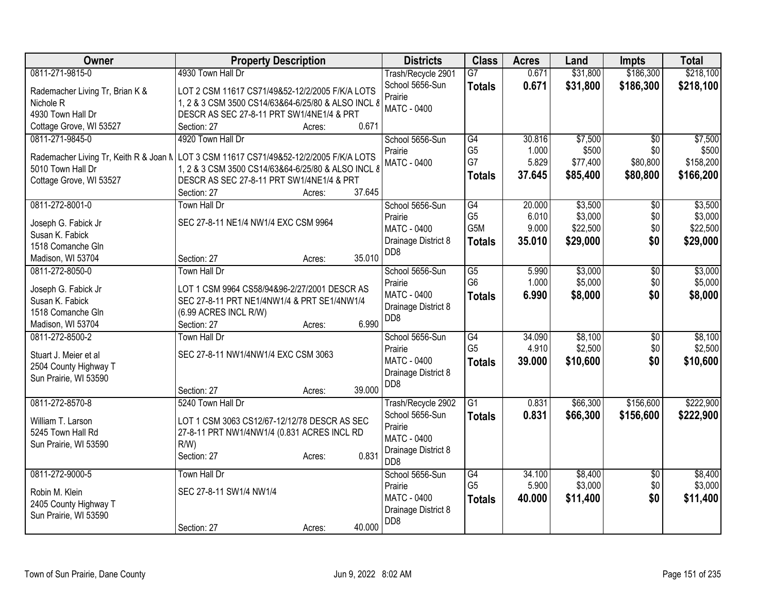| Owner                           | <b>Property Description</b>                                                            | <b>Districts</b>                      | <b>Class</b>     | <b>Acres</b> | Land     | Impts           | <b>Total</b> |
|---------------------------------|----------------------------------------------------------------------------------------|---------------------------------------|------------------|--------------|----------|-----------------|--------------|
| 0811-271-9815-0                 | 4930 Town Hall Dr                                                                      | Trash/Recycle 2901                    | $\overline{G7}$  | 0.671        | \$31,800 | \$186,300       | \$218,100    |
| Rademacher Living Tr, Brian K & | LOT 2 CSM 11617 CS71/49&52-12/2/2005 F/K/A LOTS                                        | School 5656-Sun                       | <b>Totals</b>    | 0.671        | \$31,800 | \$186,300       | \$218,100    |
| Nichole R                       | 1, 2 & 3 CSM 3500 CS14/63&64-6/25/80 & ALSO INCL 8                                     | Prairie                               |                  |              |          |                 |              |
| 4930 Town Hall Dr               | DESCR AS SEC 27-8-11 PRT SW1/4NE1/4 & PRT                                              | <b>MATC - 0400</b>                    |                  |              |          |                 |              |
| Cottage Grove, WI 53527         | 0.671<br>Section: 27<br>Acres:                                                         |                                       |                  |              |          |                 |              |
| 0811-271-9845-0                 | 4920 Town Hall Dr                                                                      | School 5656-Sun                       | G4               | 30.816       | \$7,500  | $\overline{30}$ | \$7,500      |
|                                 |                                                                                        | Prairie                               | G <sub>5</sub>   | 1.000        | \$500    | \$0             | \$500        |
|                                 | Rademacher Living Tr, Keith R & Joan N LOT 3 CSM 11617 CS71/49&52-12/2/2005 F/K/A LOTS | <b>MATC - 0400</b>                    | G7               | 5.829        | \$77,400 | \$80,800        | \$158,200    |
| 5010 Town Hall Dr               | 1, 2 & 3 CSM 3500 CS14/63&64-6/25/80 & ALSO INCL &                                     |                                       | <b>Totals</b>    | 37.645       | \$85,400 | \$80,800        | \$166,200    |
| Cottage Grove, WI 53527         | DESCR AS SEC 27-8-11 PRT SW1/4NE1/4 & PRT<br>37.645                                    |                                       |                  |              |          |                 |              |
| 0811-272-8001-0                 | Section: 27<br>Acres:<br><b>Town Hall Dr</b>                                           | School 5656-Sun                       | G4               | 20.000       | \$3,500  | \$0             | \$3,500      |
|                                 |                                                                                        | Prairie                               | G <sub>5</sub>   | 6.010        | \$3,000  | \$0             | \$3,000      |
| Joseph G. Fabick Jr             | SEC 27-8-11 NE1/4 NW1/4 EXC CSM 9964                                                   | <b>MATC - 0400</b>                    | G <sub>5</sub> M | 9.000        | \$22,500 | \$0             | \$22,500     |
| Susan K. Fabick                 |                                                                                        | Drainage District 8                   |                  | 35.010       | \$29,000 | \$0             | \$29,000     |
| 1518 Comanche Gln               |                                                                                        | D <sub>D</sub> 8                      | <b>Totals</b>    |              |          |                 |              |
| Madison, WI 53704               | 35.010<br>Section: 27<br>Acres:                                                        |                                       |                  |              |          |                 |              |
| 0811-272-8050-0                 | <b>Town Hall Dr</b>                                                                    | School 5656-Sun                       | G5               | 5.990        | \$3,000  | \$0             | \$3,000      |
| Joseph G. Fabick Jr             | LOT 1 CSM 9964 CS58/94&96-2/27/2001 DESCR AS                                           | Prairie                               | G <sub>6</sub>   | 1.000        | \$5,000  | \$0             | \$5,000      |
| Susan K. Fabick                 | SEC 27-8-11 PRT NE1/4NW1/4 & PRT SE1/4NW1/4                                            | MATC - 0400                           | <b>Totals</b>    | 6.990        | \$8,000  | \$0             | \$8,000      |
| 1518 Comanche Gln               | (6.99 ACRES INCL R/W)                                                                  | Drainage District 8                   |                  |              |          |                 |              |
| Madison, WI 53704               | 6.990<br>Section: 27<br>Acres:                                                         | D <sub>D</sub> 8                      |                  |              |          |                 |              |
| 0811-272-8500-2                 | <b>Town Hall Dr</b>                                                                    | School 5656-Sun                       | G4               | 34.090       | \$8,100  | \$0             | \$8,100      |
|                                 |                                                                                        | Prairie                               | G <sub>5</sub>   | 4.910        | \$2,500  | \$0             | \$2,500      |
| Stuart J. Meier et al           | SEC 27-8-11 NW1/4NW1/4 EXC CSM 3063                                                    | MATC - 0400                           | <b>Totals</b>    | 39.000       | \$10,600 | \$0             | \$10,600     |
| 2504 County Highway T           |                                                                                        | Drainage District 8                   |                  |              |          |                 |              |
| Sun Prairie, WI 53590           | 39.000                                                                                 | DD <sub>8</sub>                       |                  |              |          |                 |              |
| 0811-272-8570-8                 | Section: 27<br>Acres:<br>5240 Town Hall Dr                                             |                                       | $\overline{G1}$  | 0.831        | \$66,300 | \$156,600       | \$222,900    |
|                                 |                                                                                        | Trash/Recycle 2902<br>School 5656-Sun |                  | 0.831        |          |                 |              |
| William T. Larson               | LOT 1 CSM 3063 CS12/67-12/12/78 DESCR AS SEC                                           | Prairie                               | <b>Totals</b>    |              | \$66,300 | \$156,600       | \$222,900    |
| 5245 Town Hall Rd               | 27-8-11 PRT NW1/4NW1/4 (0.831 ACRES INCL RD                                            | <b>MATC - 0400</b>                    |                  |              |          |                 |              |
| Sun Prairie, WI 53590           | $R/W$ )                                                                                | Drainage District 8                   |                  |              |          |                 |              |
|                                 | 0.831<br>Section: 27<br>Acres:                                                         | D <sub>D</sub> 8                      |                  |              |          |                 |              |
| 0811-272-9000-5                 | <b>Town Hall Dr</b>                                                                    | School 5656-Sun                       | G4               | 34.100       | \$8,400  | \$0             | \$8,400      |
|                                 |                                                                                        | Prairie                               | G <sub>5</sub>   | 5.900        | \$3,000  | \$0             | \$3,000      |
| Robin M. Klein                  | SEC 27-8-11 SW1/4 NW1/4                                                                | MATC - 0400                           | <b>Totals</b>    | 40.000       | \$11,400 | \$0             | \$11,400     |
| 2405 County Highway T           |                                                                                        | Drainage District 8                   |                  |              |          |                 |              |
| Sun Prairie, WI 53590           | 40.000<br>Section: 27                                                                  | D <sub>D</sub> 8                      |                  |              |          |                 |              |
|                                 | Acres:                                                                                 |                                       |                  |              |          |                 |              |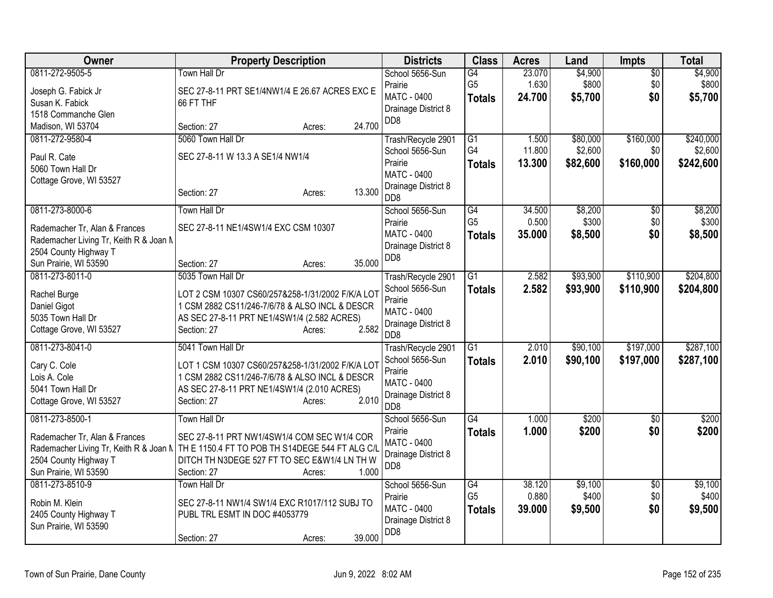| Owner                                                                                                                                        | <b>Property Description</b>                                                                                                                                                                              | <b>Districts</b>                                                                                                  | <b>Class</b>                          | <b>Acres</b>              | Land                            | <b>Impts</b>                  | <b>Total</b>                      |
|----------------------------------------------------------------------------------------------------------------------------------------------|----------------------------------------------------------------------------------------------------------------------------------------------------------------------------------------------------------|-------------------------------------------------------------------------------------------------------------------|---------------------------------------|---------------------------|---------------------------------|-------------------------------|-----------------------------------|
| 0811-272-9505-5<br>Joseph G. Fabick Jr<br>Susan K. Fabick<br>1518 Commanche Glen                                                             | <b>Town Hall Dr</b><br>SEC 27-8-11 PRT SE1/4NW1/4 E 26.67 ACRES EXC E<br>66 FT THF                                                                                                                       | School 5656-Sun<br>Prairie<br>MATC - 0400<br>Drainage District 8<br>D <sub>D</sub> 8                              | G4<br>G <sub>5</sub><br><b>Totals</b> | 23.070<br>1.630<br>24.700 | \$4,900<br>\$800<br>\$5,700     | $\overline{30}$<br>\$0<br>\$0 | \$4,900<br>\$800<br>\$5,700       |
| Madison, WI 53704                                                                                                                            | 24.700<br>Section: 27<br>Acres:                                                                                                                                                                          |                                                                                                                   |                                       |                           |                                 |                               |                                   |
| 0811-272-9580-4<br>Paul R. Cate<br>5060 Town Hall Dr<br>Cottage Grove, WI 53527                                                              | 5060 Town Hall Dr<br>SEC 27-8-11 W 13.3 A SE1/4 NW1/4<br>13.300<br>Section: 27<br>Acres:                                                                                                                 | Trash/Recycle 2901<br>School 5656-Sun<br>Prairie<br><b>MATC - 0400</b><br>Drainage District 8<br>D <sub>D</sub> 8 | G1<br>G4<br><b>Totals</b>             | 1.500<br>11.800<br>13.300 | \$80,000<br>\$2,600<br>\$82,600 | \$160,000<br>\$0<br>\$160,000 | \$240,000<br>\$2,600<br>\$242,600 |
| 0811-273-8000-6<br>Rademacher Tr, Alan & Frances<br>Rademacher Living Tr, Keith R & Joan M<br>2504 County Highway T<br>Sun Prairie, WI 53590 | <b>Town Hall Dr</b><br>SEC 27-8-11 NE1/4SW1/4 EXC CSM 10307<br>35.000<br>Section: 27<br>Acres:                                                                                                           | School 5656-Sun<br>Prairie<br><b>MATC - 0400</b><br>Drainage District 8<br>D <sub>D</sub> 8                       | G4<br>G <sub>5</sub><br><b>Totals</b> | 34.500<br>0.500<br>35.000 | \$8,200<br>\$300<br>\$8,500     | $\overline{50}$<br>\$0<br>\$0 | \$8,200<br>\$300<br>\$8,500       |
| 0811-273-8011-0<br>Rachel Burge<br>Daniel Gigot<br>5035 Town Hall Dr<br>Cottage Grove, WI 53527                                              | 5035 Town Hall Dr<br>LOT 2 CSM 10307 CS60/257&258-1/31/2002 F/K/A LOT<br>1 CSM 2882 CS11/246-7/6/78 & ALSO INCL & DESCR<br>AS SEC 27-8-11 PRT NE1/4SW1/4 (2.582 ACRES)<br>2.582<br>Section: 27<br>Acres: | Trash/Recycle 2901<br>School 5656-Sun<br>Prairie<br><b>MATC - 0400</b><br>Drainage District 8<br>D <sub>D</sub> 8 | $\overline{G1}$<br><b>Totals</b>      | 2.582<br>2.582            | \$93,900<br>\$93,900            | \$110,900<br>\$110,900        | \$204,800<br>\$204,800            |
| 0811-273-8041-0<br>Cary C. Cole<br>Lois A. Cole<br>5041 Town Hall Dr<br>Cottage Grove, WI 53527                                              | 5041 Town Hall Dr<br>LOT 1 CSM 10307 CS60/257&258-1/31/2002 F/K/A LOT<br>1 CSM 2882 CS11/246-7/6/78 & ALSO INCL & DESCR<br>AS SEC 27-8-11 PRT NE1/4SW1/4 (2.010 ACRES)<br>Section: 27<br>2.010<br>Acres: | Trash/Recycle 2901<br>School 5656-Sun<br>Prairie<br>MATC - 0400<br>Drainage District 8<br>DD <sub>8</sub>         | $\overline{G1}$<br>Totals             | 2.010<br>2.010            | \$90,100<br>\$90,100            | \$197,000<br>\$197,000        | \$287,100<br>\$287,100            |
| 0811-273-8500-1<br>Rademacher Tr, Alan & Frances<br>Rademacher Living Tr, Keith R & Joan N<br>2504 County Highway T<br>Sun Prairie, WI 53590 | Town Hall Dr<br>SEC 27-8-11 PRT NW1/4SW1/4 COM SEC W1/4 COR<br>TH E 1150.4 FT TO POB TH S14DEGE 544 FT ALG C/L<br>DITCH TH N3DEGE 527 FT TO SEC E&W1/4 LN TH W<br>1.000<br>Section: 27<br>Acres:         | School 5656-Sun<br>Prairie<br><b>MATC - 0400</b><br>Drainage District 8<br>D <sub>D</sub> 8                       | G4<br><b>Totals</b>                   | 1.000<br>1.000            | \$200<br>\$200                  | $\overline{50}$<br>\$0        | \$200<br>\$200                    |
| 0811-273-8510-9<br>Robin M. Klein<br>2405 County Highway T<br>Sun Prairie, WI 53590                                                          | Town Hall Dr<br>SEC 27-8-11 NW1/4 SW1/4 EXC R1017/112 SUBJ TO<br>PUBL TRL ESMT IN DOC #4053779<br>39.000<br>Section: 27<br>Acres:                                                                        | School 5656-Sun<br>Prairie<br><b>MATC - 0400</b><br>Drainage District 8<br>D <sub>D</sub> 8                       | G4<br>G <sub>5</sub><br><b>Totals</b> | 38.120<br>0.880<br>39.000 | \$9,100<br>\$400<br>\$9,500     | $\overline{50}$<br>\$0<br>\$0 | \$9,100<br>\$400<br>\$9,500       |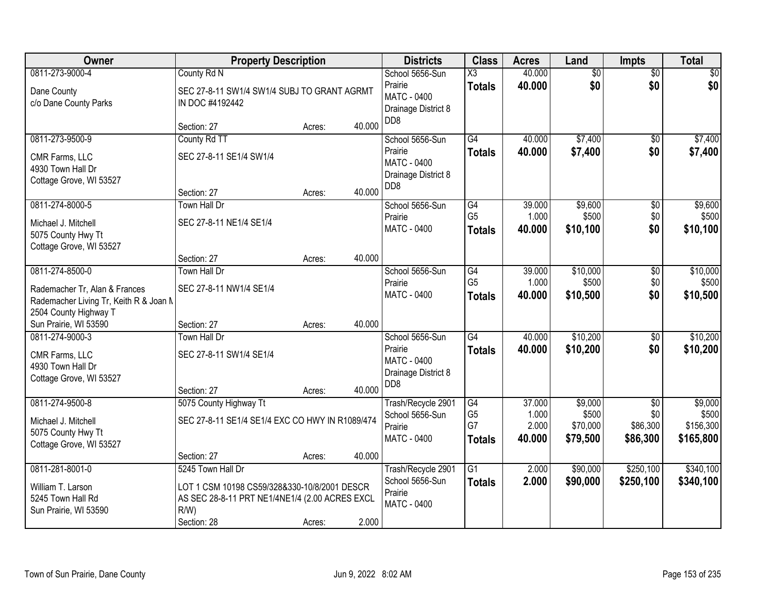| Owner                                                                                                               | <b>Property Description</b>                                                                                                               |                  |                  | <b>Districts</b>                                                                            | <b>Class</b>                                | <b>Acres</b>                       | Land                                     | <b>Impts</b>                                   | <b>Total</b>                               |
|---------------------------------------------------------------------------------------------------------------------|-------------------------------------------------------------------------------------------------------------------------------------------|------------------|------------------|---------------------------------------------------------------------------------------------|---------------------------------------------|------------------------------------|------------------------------------------|------------------------------------------------|--------------------------------------------|
| 0811-273-9000-4<br>Dane County<br>c/o Dane County Parks                                                             | County Rd N<br>SEC 27-8-11 SW1/4 SW1/4 SUBJ TO GRANT AGRMT<br>IN DOC #4192442                                                             |                  |                  | School 5656-Sun<br>Prairie<br><b>MATC - 0400</b><br>Drainage District 8                     | $\overline{\text{X3}}$<br><b>Totals</b>     | 40.000<br>40.000                   | $\overline{50}$<br>\$0                   | $\overline{50}$<br>\$0                         | \$0<br>\$0                                 |
|                                                                                                                     | Section: 27                                                                                                                               | Acres:           | 40.000           | DD <sub>8</sub>                                                                             |                                             |                                    |                                          |                                                |                                            |
| 0811-273-9500-9<br>CMR Farms, LLC<br>4930 Town Hall Dr<br>Cottage Grove, WI 53527                                   | County Rd TT<br>SEC 27-8-11 SE1/4 SW1/4<br>Section: 27                                                                                    | Acres:           | 40.000           | School 5656-Sun<br>Prairie<br><b>MATC - 0400</b><br>Drainage District 8<br>D <sub>D</sub> 8 | G4<br><b>Totals</b>                         | 40.000<br>40.000                   | \$7,400<br>\$7,400                       | \$0<br>\$0                                     | \$7,400<br>\$7,400                         |
| 0811-274-8000-5<br>Michael J. Mitchell<br>5075 County Hwy Tt<br>Cottage Grove, WI 53527                             | <b>Town Hall Dr</b><br>SEC 27-8-11 NE1/4 SE1/4<br>Section: 27                                                                             | Acres:           | 40.000           | School 5656-Sun<br>Prairie<br>MATC - 0400                                                   | G4<br>G <sub>5</sub><br><b>Totals</b>       | 39.000<br>1.000<br>40.000          | \$9,600<br>\$500<br>\$10,100             | \$0<br>\$0<br>\$0                              | \$9,600<br>\$500<br>\$10,100               |
| 0811-274-8500-0<br>Rademacher Tr, Alan & Frances<br>Rademacher Living Tr, Keith R & Joan N<br>2504 County Highway T | <b>Town Hall Dr</b><br>SEC 27-8-11 NW1/4 SE1/4                                                                                            |                  |                  | School 5656-Sun<br>Prairie<br><b>MATC - 0400</b>                                            | G4<br>G <sub>5</sub><br><b>Totals</b>       | 39.000<br>1.000<br>40.000          | \$10,000<br>\$500<br>\$10,500            | \$0<br>\$0<br>\$0                              | \$10,000<br>\$500<br>\$10,500              |
| Sun Prairie, WI 53590<br>0811-274-9000-3<br>CMR Farms, LLC<br>4930 Town Hall Dr<br>Cottage Grove, WI 53527          | Section: 27<br>Town Hall Dr<br>SEC 27-8-11 SW1/4 SE1/4<br>Section: 27                                                                     | Acres:<br>Acres: | 40.000<br>40.000 | School 5656-Sun<br>Prairie<br>MATC - 0400<br>Drainage District 8<br>DD <sub>8</sub>         | $\overline{G4}$<br><b>Totals</b>            | 40.000<br>40.000                   | \$10,200<br>\$10,200                     | \$0<br>\$0                                     | \$10,200<br>\$10,200                       |
| 0811-274-9500-8<br>Michael J. Mitchell<br>5075 County Hwy Tt<br>Cottage Grove, WI 53527                             | 5075 County Highway Tt<br>SEC 27-8-11 SE1/4 SE1/4 EXC CO HWY IN R1089/474<br>Section: 27                                                  | Acres:           | 40.000           | Trash/Recycle 2901<br>School 5656-Sun<br>Prairie<br><b>MATC - 0400</b>                      | G4<br>G <sub>5</sub><br>G7<br><b>Totals</b> | 37.000<br>1.000<br>2.000<br>40.000 | \$9,000<br>\$500<br>\$70,000<br>\$79,500 | $\overline{50}$<br>\$0<br>\$86,300<br>\$86,300 | \$9,000<br>\$500<br>\$156,300<br>\$165,800 |
| 0811-281-8001-0<br>William T. Larson<br>5245 Town Hall Rd<br>Sun Prairie, WI 53590                                  | 5245 Town Hall Dr<br>LOT 1 CSM 10198 CS59/328&330-10/8/2001 DESCR<br>AS SEC 28-8-11 PRT NE1/4NE1/4 (2.00 ACRES EXCL<br>R/W<br>Section: 28 | Acres:           | 2.000            | Trash/Recycle 2901<br>School 5656-Sun<br>Prairie<br>MATC - 0400                             | $\overline{G1}$<br><b>Totals</b>            | 2.000<br>2.000                     | \$90,000<br>\$90,000                     | \$250,100<br>\$250,100                         | \$340,100<br>\$340,100                     |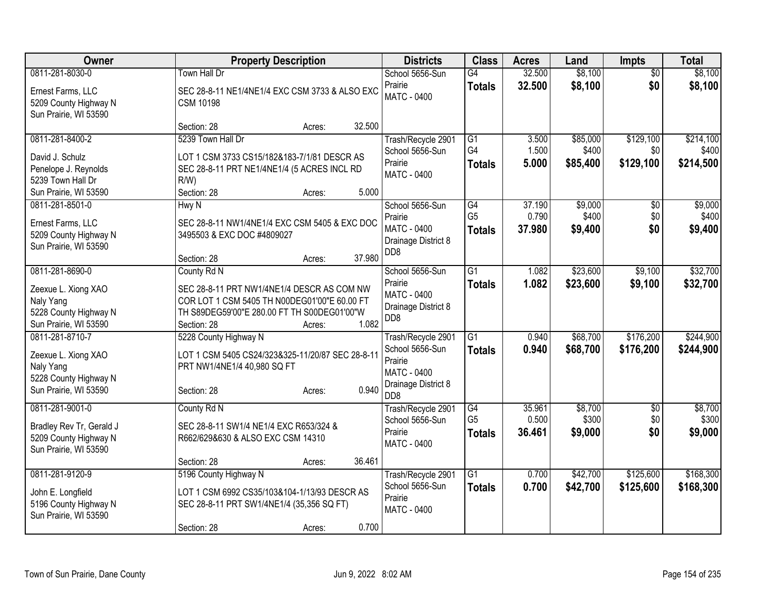| <b>Owner</b>                                                                                                                                                              | <b>Property Description</b>                                                                                                                                                                                                                                                             | <b>Districts</b>                                                                                                    | <b>Class</b>                                                                                             | <b>Acres</b>                                         | Land                                                         | <b>Impts</b>                                              | <b>Total</b>                                                   |
|---------------------------------------------------------------------------------------------------------------------------------------------------------------------------|-----------------------------------------------------------------------------------------------------------------------------------------------------------------------------------------------------------------------------------------------------------------------------------------|---------------------------------------------------------------------------------------------------------------------|----------------------------------------------------------------------------------------------------------|------------------------------------------------------|--------------------------------------------------------------|-----------------------------------------------------------|----------------------------------------------------------------|
| 0811-281-8030-0<br>Ernest Farms, LLC<br>5209 County Highway N<br>Sun Prairie, WI 53590                                                                                    | Town Hall Dr<br>SEC 28-8-11 NE1/4NE1/4 EXC CSM 3733 & ALSO EXC<br><b>CSM 10198</b>                                                                                                                                                                                                      | School 5656-Sun<br>Prairie<br><b>MATC - 0400</b>                                                                    | G4<br><b>Totals</b>                                                                                      | 32.500<br>32.500                                     | \$8,100<br>\$8,100                                           | $\overline{30}$<br>\$0                                    | \$8,100<br>\$8,100                                             |
| 0811-281-8400-2<br>David J. Schulz<br>Penelope J. Reynolds<br>5239 Town Hall Dr<br>Sun Prairie, WI 53590<br>0811-281-8501-0<br>Ernest Farms, LLC<br>5209 County Highway N | 32.500<br>Section: 28<br>Acres:<br>5239 Town Hall Dr<br>LOT 1 CSM 3733 CS15/182&183-7/1/81 DESCR AS<br>SEC 28-8-11 PRT NE1/4NE1/4 (5 ACRES INCL RD<br>$R/W$ )<br>5.000<br>Section: 28<br>Acres:<br>Hwy N<br>SEC 28-8-11 NW1/4NE1/4 EXC CSM 5405 & EXC DOC<br>3495503 & EXC DOC #4809027 | Trash/Recycle 2901<br>School 5656-Sun<br>Prairie<br>MATC - 0400<br>School 5656-Sun<br>Prairie<br><b>MATC - 0400</b> | $\overline{G1}$<br>G <sub>4</sub><br><b>Totals</b><br>$\overline{G4}$<br>G <sub>5</sub><br><b>Totals</b> | 3.500<br>1.500<br>5.000<br>37.190<br>0.790<br>37.980 | \$85,000<br>\$400<br>\$85,400<br>\$9,000<br>\$400<br>\$9,400 | \$129,100<br>\$0<br>\$129,100<br>$\sqrt{6}$<br>\$0<br>\$0 | \$214,100<br>\$400<br>\$214,500<br>\$9,000<br>\$400<br>\$9,400 |
| Sun Prairie, WI 53590<br>0811-281-8690-0                                                                                                                                  | 37.980<br>Section: 28<br>Acres:<br>County Rd N                                                                                                                                                                                                                                          | Drainage District 8<br>D <sub>D</sub> 8<br>School 5656-Sun                                                          | $\overline{G1}$                                                                                          | 1.082                                                | \$23,600                                                     | \$9,100                                                   | \$32,700                                                       |
| Zeexue L. Xiong XAO<br>Naly Yang<br>5228 County Highway N<br>Sun Prairie, WI 53590                                                                                        | SEC 28-8-11 PRT NW1/4NE1/4 DESCR AS COM NW<br>COR LOT 1 CSM 5405 TH N00DEG01'00"E 60.00 FT<br>TH S89DEG59'00"E 280.00 FT TH S00DEG01'00"W<br>1.082<br>Section: 28<br>Acres:                                                                                                             | Prairie<br>MATC - 0400<br>Drainage District 8<br>D <sub>D</sub> 8                                                   | <b>Totals</b>                                                                                            | 1.082                                                | \$23,600                                                     | \$9,100                                                   | \$32,700                                                       |
| 0811-281-8710-7<br>Zeexue L. Xiong XAO<br>Naly Yang<br>5228 County Highway N<br>Sun Prairie, WI 53590                                                                     | 5228 County Highway N<br>LOT 1 CSM 5405 CS24/323&325-11/20/87 SEC 28-8-11<br>PRT NW1/4NE1/4 40,980 SQ FT<br>0.940<br>Section: 28<br>Acres:                                                                                                                                              | Trash/Recycle 2901<br>School 5656-Sun<br>Prairie<br>MATC - 0400<br>Drainage District 8<br>D <sub>D</sub> 8          | $\overline{G1}$<br><b>Totals</b>                                                                         | 0.940<br>0.940                                       | \$68,700<br>\$68,700                                         | \$176,200<br>\$176,200                                    | \$244,900<br>\$244,900                                         |
| 0811-281-9001-0<br>Bradley Rev Tr, Gerald J<br>5209 County Highway N<br>Sun Prairie, WI 53590                                                                             | County Rd N<br>SEC 28-8-11 SW1/4 NE1/4 EXC R653/324 &<br>R662/629&630 & ALSO EXC CSM 14310<br>36.461<br>Section: 28<br>Acres:                                                                                                                                                           | Trash/Recycle 2901<br>School 5656-Sun<br>Prairie<br>MATC - 0400                                                     | G4<br>G <sub>5</sub><br><b>Totals</b>                                                                    | 35.961<br>0.500<br>36.461                            | \$8,700<br>\$300<br>\$9,000                                  | $\overline{50}$<br>\$0<br>\$0                             | \$8,700<br>\$300<br>\$9,000                                    |
| 0811-281-9120-9<br>John E. Longfield<br>5196 County Highway N<br>Sun Prairie, WI 53590                                                                                    | 5196 County Highway N<br>LOT 1 CSM 6992 CS35/103&104-1/13/93 DESCR AS<br>SEC 28-8-11 PRT SW1/4NE1/4 (35,356 SQ FT)<br>0.700<br>Section: 28<br>Acres:                                                                                                                                    | Trash/Recycle 2901<br>School 5656-Sun<br>Prairie<br>MATC - 0400                                                     | $\overline{G1}$<br><b>Totals</b>                                                                         | 0.700<br>0.700                                       | \$42,700<br>\$42,700                                         | \$125,600<br>\$125,600                                    | \$168,300<br>\$168,300                                         |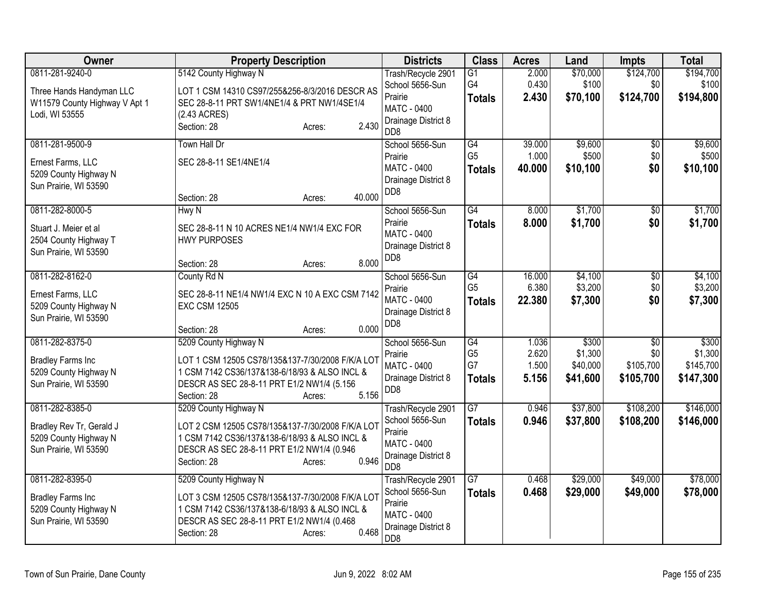| Owner                                                                                          | <b>Property Description</b>                                                                                                                                                                                | <b>Districts</b>                                                                                                 | <b>Class</b>                                | <b>Acres</b>                     | Land                                     | <b>Impts</b>                                     | <b>Total</b>                               |
|------------------------------------------------------------------------------------------------|------------------------------------------------------------------------------------------------------------------------------------------------------------------------------------------------------------|------------------------------------------------------------------------------------------------------------------|---------------------------------------------|----------------------------------|------------------------------------------|--------------------------------------------------|--------------------------------------------|
| 0811-281-9240-0<br>Three Hands Handyman LLC<br>W11579 County Highway V Apt 1<br>Lodi, WI 53555 | 5142 County Highway N<br>LOT 1 CSM 14310 CS97/255&256-8/3/2016 DESCR AS<br>SEC 28-8-11 PRT SW1/4NE1/4 & PRT NW1/4SE1/4<br>(2.43 ACRES)<br>2.430<br>Section: 28<br>Acres:                                   | Trash/Recycle 2901<br>School 5656-Sun<br>Prairie<br><b>MATC - 0400</b><br>Drainage District 8<br>DD <sub>8</sub> | $\overline{G1}$<br>G4<br><b>Totals</b>      | 2.000<br>0.430<br>2.430          | \$70,000<br>\$100<br>\$70,100            | \$124,700<br>\$0<br>\$124,700                    | \$194,700<br>\$100<br>\$194,800            |
| 0811-281-9500-9<br>Ernest Farms, LLC<br>5209 County Highway N<br>Sun Prairie, WI 53590         | <b>Town Hall Dr</b><br>SEC 28-8-11 SE1/4NE1/4<br>40.000<br>Section: 28<br>Acres:                                                                                                                           | School 5656-Sun<br>Prairie<br>MATC - 0400<br>Drainage District 8<br>DD <sub>8</sub>                              | G4<br>G <sub>5</sub><br><b>Totals</b>       | 39.000<br>1.000<br>40.000        | \$9,600<br>\$500<br>\$10,100             | $\sqrt{6}$<br>\$0<br>\$0                         | \$9,600<br>\$500<br>\$10,100               |
| 0811-282-8000-5<br>Stuart J. Meier et al<br>2504 County Highway T<br>Sun Prairie, WI 53590     | Hwy N<br>SEC 28-8-11 N 10 ACRES NE1/4 NW1/4 EXC FOR<br><b>HWY PURPOSES</b><br>8.000<br>Section: 28<br>Acres:                                                                                               | School 5656-Sun<br>Prairie<br>MATC - 0400<br>Drainage District 8<br>DD <sub>8</sub>                              | G4<br><b>Totals</b>                         | 8.000<br>8.000                   | \$1,700<br>\$1,700                       | $\overline{50}$<br>\$0                           | \$1,700<br>\$1,700                         |
| 0811-282-8162-0<br>Ernest Farms, LLC<br>5209 County Highway N<br>Sun Prairie, WI 53590         | County Rd N<br>SEC 28-8-11 NE1/4 NW1/4 EXC N 10 A EXC CSM 7142<br><b>EXC CSM 12505</b><br>0.000<br>Section: 28<br>Acres:                                                                                   | School 5656-Sun<br>Prairie<br>MATC - 0400<br>Drainage District 8<br>DD <sub>8</sub>                              | G4<br>G <sub>5</sub><br><b>Totals</b>       | 16.000<br>6.380<br>22,380        | \$4,100<br>\$3,200<br>\$7,300            | $\overline{50}$<br>\$0<br>\$0                    | \$4,100<br>\$3,200<br>\$7,300              |
| 0811-282-8375-0<br><b>Bradley Farms Inc</b><br>5209 County Highway N<br>Sun Prairie, WI 53590  | 5209 County Highway N<br>LOT 1 CSM 12505 CS78/135&137-7/30/2008 F/K/A LOT<br>1 CSM 7142 CS36/137&138-6/18/93 & ALSO INCL &<br>DESCR AS SEC 28-8-11 PRT E1/2 NW1/4 (5.156<br>5.156<br>Section: 28<br>Acres: | School 5656-Sun<br>Prairie<br>MATC - 0400<br>Drainage District 8<br>DD <sub>8</sub>                              | G4<br>G <sub>5</sub><br>G7<br><b>Totals</b> | 1.036<br>2.620<br>1.500<br>5.156 | \$300<br>\$1,300<br>\$40,000<br>\$41,600 | $\overline{50}$<br>\$0<br>\$105,700<br>\$105,700 | \$300<br>\$1,300<br>\$145,700<br>\$147,300 |
| 0811-282-8385-0<br>Bradley Rev Tr, Gerald J<br>5209 County Highway N<br>Sun Prairie, WI 53590  | 5209 County Highway N<br>LOT 2 CSM 12505 CS78/135&137-7/30/2008 F/K/A LOT<br>1 CSM 7142 CS36/137&138-6/18/93 & ALSO INCL &<br>DESCR AS SEC 28-8-11 PRT E1/2 NW1/4 (0.946<br>0.946<br>Section: 28<br>Acres: | Trash/Recycle 2901<br>School 5656-Sun<br>Prairie<br>MATC - 0400<br>Drainage District 8<br>D <sub>D</sub> 8       | $\overline{G7}$<br><b>Totals</b>            | 0.946<br>0.946                   | \$37,800<br>\$37,800                     | \$108,200<br>\$108,200                           | \$146,000<br>\$146,000                     |
| 0811-282-8395-0<br><b>Bradley Farms Inc</b><br>5209 County Highway N<br>Sun Prairie, WI 53590  | 5209 County Highway N<br>LOT 3 CSM 12505 CS78/135&137-7/30/2008 F/K/A LOT<br>1 CSM 7142 CS36/137&138-6/18/93 & ALSO INCL &<br>DESCR AS SEC 28-8-11 PRT E1/2 NW1/4 (0.468<br>0.468<br>Section: 28<br>Acres: | Trash/Recycle 2901<br>School 5656-Sun<br>Prairie<br><b>MATC - 0400</b><br>Drainage District 8<br>DD <sub>8</sub> | $\overline{G7}$<br><b>Totals</b>            | 0.468<br>0.468                   | \$29,000<br>\$29,000                     | \$49,000<br>\$49,000                             | \$78,000<br>\$78,000                       |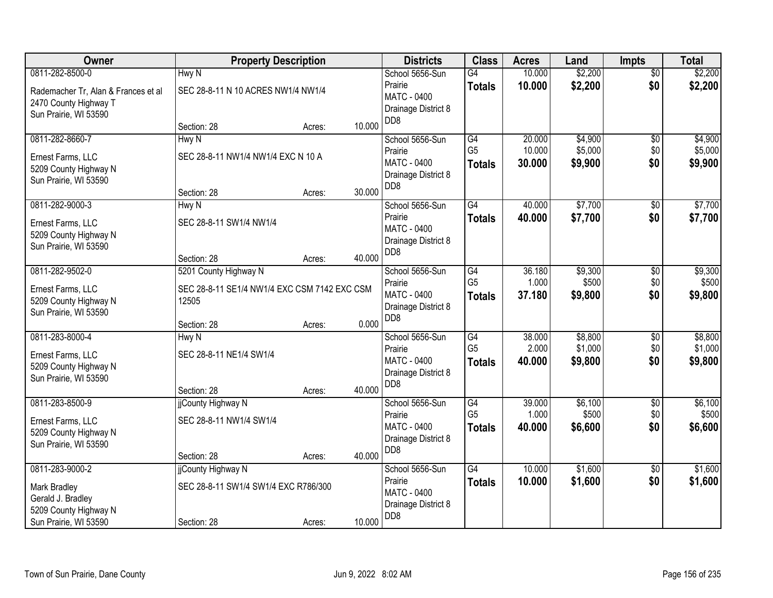| Owner                                          |                                              | <b>Property Description</b> |        | <b>Districts</b>                        | <b>Class</b>         | <b>Acres</b>     | Land               | <b>Impts</b>          | <b>Total</b>       |
|------------------------------------------------|----------------------------------------------|-----------------------------|--------|-----------------------------------------|----------------------|------------------|--------------------|-----------------------|--------------------|
| 0811-282-8500-0                                | Hwy N                                        |                             |        | School 5656-Sun                         | $\overline{G4}$      | 10.000           | \$2,200            | $\overline{50}$       | \$2,200            |
| Rademacher Tr, Alan & Frances et al            | SEC 28-8-11 N 10 ACRES NW1/4 NW1/4           |                             |        | Prairie                                 | <b>Totals</b>        | 10.000           | \$2,200            | \$0                   | \$2,200            |
| 2470 County Highway T                          |                                              |                             |        | MATC - 0400<br>Drainage District 8      |                      |                  |                    |                       |                    |
| Sun Prairie, WI 53590                          |                                              |                             |        | D <sub>D</sub> 8                        |                      |                  |                    |                       |                    |
|                                                | Section: 28                                  | Acres:                      | 10.000 |                                         |                      |                  |                    |                       |                    |
| 0811-282-8660-7                                | Hwy N                                        |                             |        | School 5656-Sun                         | G4<br>G <sub>5</sub> | 20.000           | \$4,900            | $\overline{50}$       | \$4,900            |
| Ernest Farms, LLC                              | SEC 28-8-11 NW1/4 NW1/4 EXC N 10 A           |                             |        | Prairie<br><b>MATC - 0400</b>           |                      | 10.000<br>30.000 | \$5,000<br>\$9,900 | \$0<br>\$0            | \$5,000<br>\$9,900 |
| 5209 County Highway N                          |                                              |                             |        | Drainage District 8                     | <b>Totals</b>        |                  |                    |                       |                    |
| Sun Prairie, WI 53590                          |                                              |                             |        | D <sub>D</sub> 8                        |                      |                  |                    |                       |                    |
|                                                | Section: 28                                  | Acres:                      | 30.000 |                                         |                      |                  | \$7,700            |                       | \$7,700            |
| 0811-282-9000-3                                | Hwy N                                        |                             |        | School 5656-Sun<br>Prairie              | G4<br><b>Totals</b>  | 40.000<br>40.000 | \$7,700            | $\sqrt[6]{30}$<br>\$0 | \$7,700            |
| Ernest Farms, LLC                              | SEC 28-8-11 SW1/4 NW1/4                      |                             |        | MATC - 0400                             |                      |                  |                    |                       |                    |
| 5209 County Highway N                          |                                              |                             |        | Drainage District 8                     |                      |                  |                    |                       |                    |
| Sun Prairie, WI 53590                          | Section: 28                                  | Acres:                      | 40.000 | DD <sub>8</sub>                         |                      |                  |                    |                       |                    |
| 0811-282-9502-0                                | 5201 County Highway N                        |                             |        | School 5656-Sun                         | $\overline{G4}$      | 36.180           | \$9,300            | \$0                   | \$9,300            |
|                                                |                                              |                             |        | Prairie                                 | G <sub>5</sub>       | 1.000            | \$500              | \$0                   | \$500              |
| Ernest Farms, LLC                              | SEC 28-8-11 SE1/4 NW1/4 EXC CSM 7142 EXC CSM |                             |        | MATC - 0400                             | <b>Totals</b>        | 37.180           | \$9,800            | \$0                   | \$9,800            |
| 5209 County Highway N<br>Sun Prairie, WI 53590 | 12505                                        |                             |        | Drainage District 8                     |                      |                  |                    |                       |                    |
|                                                | Section: 28                                  | Acres:                      | 0.000  | D <sub>D</sub> 8                        |                      |                  |                    |                       |                    |
| 0811-283-8000-4                                | Hwy N                                        |                             |        | School 5656-Sun                         | G4                   | 38.000           | \$8,800            | \$0                   | \$8,800            |
| Ernest Farms, LLC                              | SEC 28-8-11 NE1/4 SW1/4                      |                             |        | Prairie                                 | G <sub>5</sub>       | 2.000            | \$1,000            | \$0                   | \$1,000            |
| 5209 County Highway N                          |                                              |                             |        | MATC - 0400                             | <b>Totals</b>        | 40.000           | \$9,800            | \$0                   | \$9,800            |
| Sun Prairie, WI 53590                          |                                              |                             |        | Drainage District 8                     |                      |                  |                    |                       |                    |
|                                                | Section: 28                                  | Acres:                      | 40.000 | DD <sub>8</sub>                         |                      |                  |                    |                       |                    |
| 0811-283-8500-9                                | jjCounty Highway N                           |                             |        | School 5656-Sun                         | G4                   | 39.000           | \$6,100            | $\overline{60}$       | \$6,100            |
| Ernest Farms, LLC                              | SEC 28-8-11 NW1/4 SW1/4                      |                             |        | Prairie                                 | G <sub>5</sub>       | 1.000            | \$500              | \$0                   | \$500              |
| 5209 County Highway N                          |                                              |                             |        | <b>MATC - 0400</b>                      | <b>Totals</b>        | 40.000           | \$6,600            | \$0                   | \$6,600            |
| Sun Prairie, WI 53590                          |                                              |                             |        | Drainage District 8<br>D <sub>D</sub> 8 |                      |                  |                    |                       |                    |
|                                                | Section: 28                                  | Acres:                      | 40.000 |                                         |                      |                  |                    |                       |                    |
| 0811-283-9000-2                                | jjCounty Highway N                           |                             |        | School 5656-Sun                         | G4                   | 10.000           | \$1,600            | $\overline{30}$       | \$1,600            |
| Mark Bradley                                   | SEC 28-8-11 SW1/4 SW1/4 EXC R786/300         |                             |        | Prairie                                 | <b>Totals</b>        | 10.000           | \$1,600            | \$0                   | \$1,600            |
| Gerald J. Bradley                              |                                              |                             |        | MATC - 0400<br>Drainage District 8      |                      |                  |                    |                       |                    |
| 5209 County Highway N                          |                                              |                             |        | D <sub>D</sub> 8                        |                      |                  |                    |                       |                    |
| Sun Prairie, WI 53590                          | Section: 28                                  | Acres:                      | 10.000 |                                         |                      |                  |                    |                       |                    |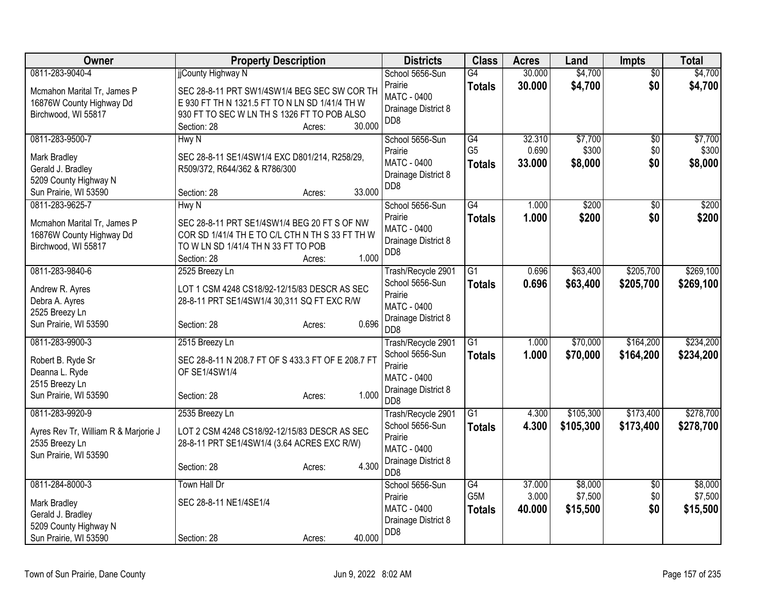| Owner                                                                                                  | <b>Property Description</b>                                                                                                                                                       | <b>Districts</b>                                                                                                      | <b>Class</b>                          | <b>Acres</b>              | Land                           | <b>Impts</b>           | <b>Total</b>                   |
|--------------------------------------------------------------------------------------------------------|-----------------------------------------------------------------------------------------------------------------------------------------------------------------------------------|-----------------------------------------------------------------------------------------------------------------------|---------------------------------------|---------------------------|--------------------------------|------------------------|--------------------------------|
| 0811-283-9040-4<br>Mcmahon Marital Tr, James P<br>16876W County Highway Dd<br>Birchwood, WI 55817      | jjCounty Highway N<br>SEC 28-8-11 PRT SW1/4SW1/4 BEG SEC SW COR TH<br>E 930 FT TH N 1321.5 FT TO N LN SD 1/41/4 TH W<br>930 FT TO SEC W LN TH S 1326 FT TO POB ALSO<br>30.000     | School 5656-Sun<br>Prairie<br>MATC - 0400<br>Drainage District 8<br>D <sub>D</sub> 8                                  | G4<br><b>Totals</b>                   | 30.000<br>30.000          | \$4,700<br>\$4,700             | $\overline{50}$<br>\$0 | \$4,700<br>\$4,700             |
| 0811-283-9500-7<br>Mark Bradley<br>Gerald J. Bradley<br>5209 County Highway N<br>Sun Prairie, WI 53590 | Section: 28<br>Acres:<br>Hwy N<br>SEC 28-8-11 SE1/4SW1/4 EXC D801/214, R258/29,<br>R509/372, R644/362 & R786/300<br>33.000<br>Section: 28<br>Acres:                               | School 5656-Sun<br>Prairie<br>MATC - 0400<br>Drainage District 8<br>DD <sub>8</sub>                                   | G4<br>G <sub>5</sub><br><b>Totals</b> | 32.310<br>0.690<br>33.000 | \$7,700<br>\$300<br>\$8,000    | \$0<br>\$0<br>\$0      | \$7,700<br>\$300<br>\$8,000    |
| 0811-283-9625-7<br>Mcmahon Marital Tr, James P<br>16876W County Highway Dd<br>Birchwood, WI 55817      | Hwy N<br>SEC 28-8-11 PRT SE1/4SW1/4 BEG 20 FT S OF NW<br>COR SD 1/41/4 TH E TO C/L CTH N TH S 33 FT TH W<br>TO W LN SD 1/41/4 TH N 33 FT TO POB<br>1.000<br>Section: 28<br>Acres: | School 5656-Sun<br>Prairie<br>MATC - 0400<br>Drainage District 8<br>D <sub>D</sub> 8                                  | G4<br><b>Totals</b>                   | 1.000<br>1.000            | \$200<br>\$200                 | \$0<br>\$0             | \$200<br>\$200                 |
| 0811-283-9840-6<br>Andrew R. Ayres<br>Debra A. Ayres<br>2525 Breezy Ln<br>Sun Prairie, WI 53590        | 2525 Breezy Ln<br>LOT 1 CSM 4248 CS18/92-12/15/83 DESCR AS SEC<br>28-8-11 PRT SE1/4SW1/4 30,311 SQ FT EXC R/W<br>0.696<br>Section: 28<br>Acres:                                   | Trash/Recycle 2901<br>School 5656-Sun<br>Prairie<br>MATC - 0400<br>Drainage District 8<br>D <sub>D</sub> 8            | $\overline{G1}$<br><b>Totals</b>      | 0.696<br>0.696            | \$63,400<br>\$63,400           | \$205,700<br>\$205,700 | \$269,100<br>\$269,100         |
| 0811-283-9900-3<br>Robert B. Ryde Sr<br>Deanna L. Ryde<br>2515 Breezy Ln<br>Sun Prairie, WI 53590      | 2515 Breezy Ln<br>SEC 28-8-11 N 208.7 FT OF S 433.3 FT OF E 208.7 FT<br>OF SE1/4SW1/4<br>1.000<br>Section: 28<br>Acres:                                                           | Trash/Recycle 2901<br>School 5656-Sun<br>Prairie<br><b>MATC - 0400</b><br>Drainage District 8<br>D <sub>D</sub> 8     | $\overline{G1}$<br><b>Totals</b>      | 1.000<br>1.000            | \$70,000<br>\$70,000           | \$164,200<br>\$164,200 | \$234,200<br>\$234,200         |
| 0811-283-9920-9<br>Ayres Rev Tr, William R & Marjorie J<br>2535 Breezy Ln<br>Sun Prairie, WI 53590     | 2535 Breezy Ln<br>LOT 2 CSM 4248 CS18/92-12/15/83 DESCR AS SEC<br>28-8-11 PRT SE1/4SW1/4 (3.64 ACRES EXC R/W)<br>4.300<br>Section: 28<br>Acres:                                   | Trash/Recycle 2901<br>School 5656-Sun<br>Prairie<br>MATC - 0400<br>Drainage District 8<br>D <sub>D</sub> <sub>8</sub> | $\overline{G1}$<br>Totals             | 4.300<br>4.300            | \$105,300<br>\$105,300         | \$173,400<br>\$173,400 | \$278,700<br>\$278,700         |
| 0811-284-8000-3<br>Mark Bradley<br>Gerald J. Bradley<br>5209 County Highway N<br>Sun Prairie, WI 53590 | Town Hall Dr<br>SEC 28-8-11 NE1/4SE1/4<br>40.000<br>Section: 28<br>Acres:                                                                                                         | School 5656-Sun<br>Prairie<br><b>MATC - 0400</b><br>Drainage District 8<br>D <sub>D</sub> 8                           | G4<br>G5M<br><b>Totals</b>            | 37.000<br>3.000<br>40.000 | \$8,000<br>\$7,500<br>\$15,500 | \$0<br>\$0<br>\$0      | \$8,000<br>\$7,500<br>\$15,500 |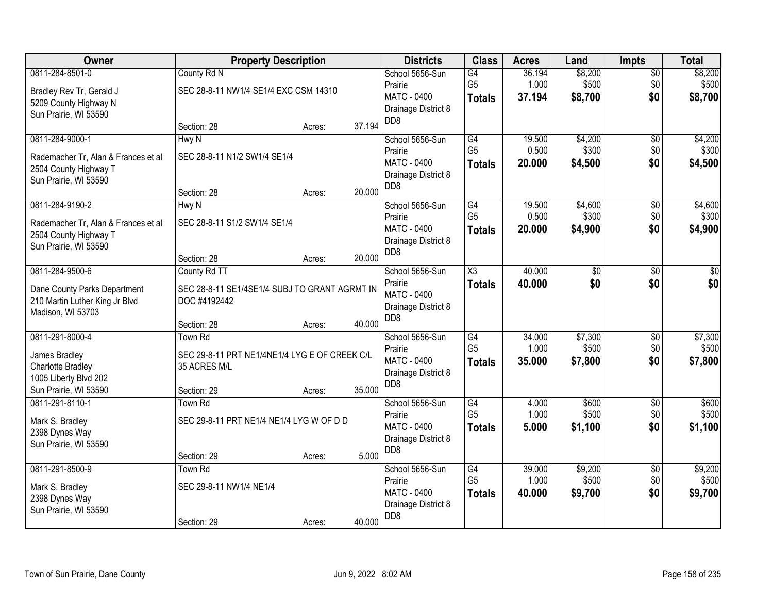| Owner                                                                                                    | <b>Property Description</b>                                                                  |        |        | <b>Districts</b>                                                                            | <b>Class</b>                                       | <b>Acres</b>              | Land                        | <b>Impts</b>                  | <b>Total</b>                |
|----------------------------------------------------------------------------------------------------------|----------------------------------------------------------------------------------------------|--------|--------|---------------------------------------------------------------------------------------------|----------------------------------------------------|---------------------------|-----------------------------|-------------------------------|-----------------------------|
| 0811-284-8501-0<br>Bradley Rev Tr, Gerald J<br>5209 County Highway N<br>Sun Prairie, WI 53590            | County Rd N<br>SEC 28-8-11 NW1/4 SE1/4 EXC CSM 14310                                         |        |        | School 5656-Sun<br>Prairie<br>MATC - 0400<br>Drainage District 8                            | G4<br>G <sub>5</sub><br><b>Totals</b>              | 36.194<br>1.000<br>37.194 | \$8,200<br>\$500<br>\$8,700 | $\overline{50}$<br>\$0<br>\$0 | \$8,200<br>\$500<br>\$8,700 |
|                                                                                                          | Section: 28                                                                                  | Acres: | 37.194 | D <sub>D</sub> 8                                                                            |                                                    |                           |                             |                               |                             |
| 0811-284-9000-1<br>Rademacher Tr, Alan & Frances et al<br>2504 County Highway T<br>Sun Prairie, WI 53590 | Hwy N<br>SEC 28-8-11 N1/2 SW1/4 SE1/4<br>Section: 28                                         | Acres: | 20.000 | School 5656-Sun<br>Prairie<br><b>MATC - 0400</b><br>Drainage District 8<br>D <sub>D</sub> 8 | G4<br>G <sub>5</sub><br><b>Totals</b>              | 19.500<br>0.500<br>20.000 | \$4,200<br>\$300<br>\$4,500 | \$0<br>\$0<br>\$0             | \$4,200<br>\$300<br>\$4,500 |
| 0811-284-9190-2<br>Rademacher Tr, Alan & Frances et al<br>2504 County Highway T<br>Sun Prairie, WI 53590 | Hwy N<br>SEC 28-8-11 S1/2 SW1/4 SE1/4<br>Section: 28                                         | Acres: | 20.000 | School 5656-Sun<br>Prairie<br>MATC - 0400<br>Drainage District 8<br>D <sub>D</sub> 8        | G4<br>G <sub>5</sub><br><b>Totals</b>              | 19.500<br>0.500<br>20,000 | \$4,600<br>\$300<br>\$4,900 | \$0<br>\$0<br>\$0             | \$4,600<br>\$300<br>\$4,900 |
| 0811-284-9500-6<br>Dane County Parks Department<br>210 Martin Luther King Jr Blvd<br>Madison, WI 53703   | County Rd TT<br>SEC 28-8-11 SE1/4SE1/4 SUBJ TO GRANT AGRMT IN<br>DOC #4192442<br>Section: 28 | Acres: | 40.000 | School 5656-Sun<br>Prairie<br><b>MATC - 0400</b><br>Drainage District 8<br>D <sub>D</sub> 8 | $\overline{\chi_3}$<br><b>Totals</b>               | 40.000<br>40.000          | \$0<br>\$0                  | \$0<br>\$0                    | \$0<br>\$0                  |
| 0811-291-8000-4<br>James Bradley<br>Charlotte Bradley<br>1005 Liberty Blvd 202<br>Sun Prairie, WI 53590  | Town Rd<br>SEC 29-8-11 PRT NE1/4NE1/4 LYG E OF CREEK C/L<br>35 ACRES M/L<br>Section: 29      | Acres: | 35.000 | School 5656-Sun<br>Prairie<br>MATC - 0400<br>Drainage District 8<br>D <sub>D</sub> 8        | $\overline{G4}$<br>G <sub>5</sub><br><b>Totals</b> | 34.000<br>1.000<br>35.000 | \$7,300<br>\$500<br>\$7,800 | $\overline{50}$<br>\$0<br>\$0 | \$7,300<br>\$500<br>\$7,800 |
| 0811-291-8110-1<br>Mark S. Bradley<br>2398 Dynes Way<br>Sun Prairie, WI 53590                            | Town Rd<br>SEC 29-8-11 PRT NE1/4 NE1/4 LYG W OF D D<br>Section: 29                           | Acres: | 5.000  | School 5656-Sun<br>Prairie<br>MATC - 0400<br>Drainage District 8<br>D <sub>D</sub> 8        | G4<br>G <sub>5</sub><br><b>Totals</b>              | 4.000<br>1.000<br>5.000   | \$600<br>\$500<br>\$1,100   | $\sqrt{6}$<br>\$0<br>\$0      | \$600<br>\$500<br>\$1,100   |
| 0811-291-8500-9<br>Mark S. Bradley<br>2398 Dynes Way<br>Sun Prairie, WI 53590                            | Town Rd<br>SEC 29-8-11 NW1/4 NE1/4<br>Section: 29                                            | Acres: | 40.000 | School 5656-Sun<br>Prairie<br>MATC - 0400<br>Drainage District 8<br>D <sub>D</sub> 8        | G4<br>G <sub>5</sub><br><b>Totals</b>              | 39.000<br>1.000<br>40.000 | \$9,200<br>\$500<br>\$9,700 | $\overline{30}$<br>\$0<br>\$0 | \$9,200<br>\$500<br>\$9,700 |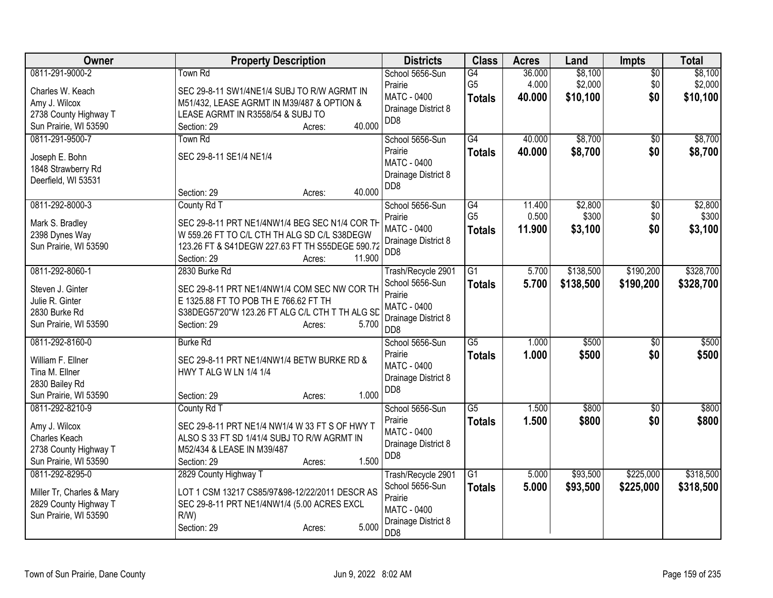| Owner                                              | <b>Property Description</b>                                                              | <b>Districts</b>                       | <b>Class</b>    | <b>Acres</b> | Land      | Impts           | <b>Total</b> |
|----------------------------------------------------|------------------------------------------------------------------------------------------|----------------------------------------|-----------------|--------------|-----------|-----------------|--------------|
| 0811-291-9000-2                                    | Town Rd                                                                                  | School 5656-Sun                        | $\overline{G4}$ | 36.000       | \$8,100   | $\overline{50}$ | \$8,100      |
| Charles W. Keach                                   | SEC 29-8-11 SW1/4NE1/4 SUBJ TO R/W AGRMT IN                                              | Prairie                                | G <sub>5</sub>  | 4.000        | \$2,000   | \$0             | \$2,000      |
| Amy J. Wilcox                                      | M51/432, LEASE AGRMT IN M39/487 & OPTION &                                               | <b>MATC - 0400</b>                     | <b>Totals</b>   | 40.000       | \$10,100  | \$0             | \$10,100     |
| 2738 County Highway T                              | LEASE AGRMT IN R3558/54 & SUBJ TO                                                        | Drainage District 8                    |                 |              |           |                 |              |
| Sun Prairie, WI 53590                              | 40.000<br>Section: 29<br>Acres:                                                          | DD <sub>8</sub>                        |                 |              |           |                 |              |
| 0811-291-9500-7                                    | <b>Town Rd</b>                                                                           | School 5656-Sun                        | G4              | 40.000       | \$8,700   | \$0             | \$8,700      |
|                                                    | SEC 29-8-11 SE1/4 NE1/4                                                                  | Prairie                                | <b>Totals</b>   | 40.000       | \$8,700   | \$0             | \$8,700      |
| Joseph E. Bohn<br>1848 Strawberry Rd               |                                                                                          | <b>MATC - 0400</b>                     |                 |              |           |                 |              |
| Deerfield, WI 53531                                |                                                                                          | Drainage District 8                    |                 |              |           |                 |              |
|                                                    | 40.000<br>Section: 29<br>Acres:                                                          | D <sub>D</sub> 8                       |                 |              |           |                 |              |
| 0811-292-8000-3                                    | County Rd T                                                                              | School 5656-Sun                        | G4              | 11.400       | \$2,800   | \$0             | \$2,800      |
| Mark S. Bradley                                    | SEC 29-8-11 PRT NE1/4NW1/4 BEG SEC N1/4 COR TH                                           | Prairie                                | G <sub>5</sub>  | 0.500        | \$300     | \$0             | \$300        |
| 2398 Dynes Way                                     | W 559.26 FT TO C/L CTH TH ALG SD C/L S38DEGW                                             | <b>MATC - 0400</b>                     | <b>Totals</b>   | 11.900       | \$3,100   | \$0             | \$3,100      |
| Sun Prairie, WI 53590                              | 123.26 FT & S41DEGW 227.63 FT TH S55DEGE 590.72                                          | Drainage District 8                    |                 |              |           |                 |              |
|                                                    | 11.900<br>Section: 29<br>Acres:                                                          | D <sub>D</sub> 8                       |                 |              |           |                 |              |
| 0811-292-8060-1                                    | 2830 Burke Rd                                                                            | Trash/Recycle 2901                     | $\overline{G1}$ | 5.700        | \$138,500 | \$190,200       | \$328,700    |
|                                                    |                                                                                          | School 5656-Sun                        | <b>Totals</b>   | 5.700        | \$138,500 | \$190,200       | \$328,700    |
| Steven J. Ginter                                   | SEC 29-8-11 PRT NE1/4NW1/4 COM SEC NW COR TH                                             | Prairie                                |                 |              |           |                 |              |
| Julie R. Ginter<br>2830 Burke Rd                   | E 1325.88 FT TO POB TH E 766.62 FT TH<br>S38DEG57'20"W 123.26 FT ALG C/L CTH T TH ALG SD | <b>MATC - 0400</b>                     |                 |              |           |                 |              |
| Sun Prairie, WI 53590                              | 5.700<br>Section: 29<br>Acres:                                                           | Drainage District 8                    |                 |              |           |                 |              |
|                                                    |                                                                                          | D <sub>D</sub> 8                       |                 |              |           |                 |              |
| 0811-292-8160-0                                    | <b>Burke Rd</b>                                                                          | School 5656-Sun                        | $\overline{G5}$ | 1.000        | \$500     | $\overline{30}$ | \$500        |
| William F. Ellner                                  | SEC 29-8-11 PRT NE1/4NW1/4 BETW BURKE RD &                                               | Prairie                                | <b>Totals</b>   | 1.000        | \$500     | \$0             | \$500        |
| Tina M. Ellner                                     | HWY T ALG W LN 1/4 1/4                                                                   | MATC - 0400                            |                 |              |           |                 |              |
| 2830 Bailey Rd                                     |                                                                                          | Drainage District 8<br>DD <sub>8</sub> |                 |              |           |                 |              |
| Sun Prairie, WI 53590                              | 1.000<br>Section: 29<br>Acres:                                                           |                                        |                 |              |           |                 |              |
| 0811-292-8210-9                                    | County Rd T                                                                              | School 5656-Sun                        | $\overline{G5}$ | 1.500        | \$800     | $\overline{50}$ | \$800        |
| Amy J. Wilcox                                      | SEC 29-8-11 PRT NE1/4 NW1/4 W 33 FT S OF HWY T                                           | Prairie                                | <b>Totals</b>   | 1.500        | \$800     | \$0             | \$800        |
| Charles Keach                                      | ALSO S 33 FT SD 1/41/4 SUBJ TO R/W AGRMT IN                                              | <b>MATC - 0400</b>                     |                 |              |           |                 |              |
| 2738 County Highway T                              | M52/434 & LEASE IN M39/487                                                               | Drainage District 8                    |                 |              |           |                 |              |
| Sun Prairie, WI 53590                              | 1.500<br>Section: 29<br>Acres:                                                           | DD <sub>8</sub>                        |                 |              |           |                 |              |
| 0811-292-8295-0                                    | 2829 County Highway T                                                                    | Trash/Recycle 2901                     | G1              | 5.000        | \$93,500  | \$225,000       | \$318,500    |
|                                                    |                                                                                          | School 5656-Sun                        | <b>Totals</b>   | 5.000        | \$93,500  | \$225,000       | \$318,500    |
| Miller Tr, Charles & Mary<br>2829 County Highway T | LOT 1 CSM 13217 CS85/97&98-12/22/2011 DESCR AS                                           | Prairie                                |                 |              |           |                 |              |
| Sun Prairie, WI 53590                              | SEC 29-8-11 PRT NE1/4NW1/4 (5.00 ACRES EXCL<br>R/W                                       | <b>MATC - 0400</b>                     |                 |              |           |                 |              |
|                                                    | 5.000<br>Section: 29<br>Acres:                                                           | Drainage District 8                    |                 |              |           |                 |              |
|                                                    |                                                                                          | D <sub>D</sub> 8                       |                 |              |           |                 |              |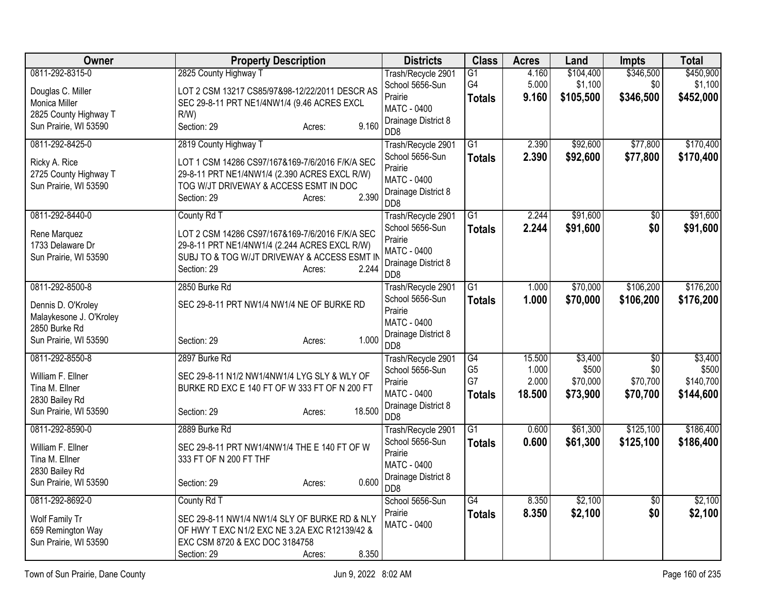| Owner                   | <b>Property Description</b>                     | <b>Districts</b>                        | <b>Class</b>    | <b>Acres</b> | Land      | <b>Impts</b>    | <b>Total</b> |
|-------------------------|-------------------------------------------------|-----------------------------------------|-----------------|--------------|-----------|-----------------|--------------|
| 0811-292-8315-0         | 2825 County Highway T                           | Trash/Recycle 2901                      | G1              | 4.160        | \$104,400 | \$346,500       | \$450,900    |
| Douglas C. Miller       | LOT 2 CSM 13217 CS85/97&98-12/22/2011 DESCR AS  | School 5656-Sun                         | G4              | 5.000        | \$1,100   | \$0             | \$1,100      |
| Monica Miller           | SEC 29-8-11 PRT NE1/4NW1/4 (9.46 ACRES EXCL     | Prairie                                 | <b>Totals</b>   | 9.160        | \$105,500 | \$346,500       | \$452,000    |
| 2825 County Highway T   | R/W                                             | MATC - 0400                             |                 |              |           |                 |              |
| Sun Prairie, WI 53590   | 9.160<br>Section: 29<br>Acres:                  | Drainage District 8<br>D <sub>D</sub> 8 |                 |              |           |                 |              |
| 0811-292-8425-0         | 2819 County Highway T                           | Trash/Recycle 2901                      | $\overline{G1}$ | 2.390        | \$92,600  | \$77,800        | \$170,400    |
| Ricky A. Rice           | LOT 1 CSM 14286 CS97/167&169-7/6/2016 F/K/A SEC | School 5656-Sun                         | <b>Totals</b>   | 2.390        | \$92,600  | \$77,800        | \$170,400    |
| 2725 County Highway T   | 29-8-11 PRT NE1/4NW1/4 (2.390 ACRES EXCL R/W)   | Prairie<br>MATC - 0400                  |                 |              |           |                 |              |
| Sun Prairie, WI 53590   | TOG W/JT DRIVEWAY & ACCESS ESMT IN DOC          | Drainage District 8                     |                 |              |           |                 |              |
|                         | 2.390<br>Section: 29<br>Acres:                  | D <sub>D</sub> 8                        |                 |              |           |                 |              |
| 0811-292-8440-0         | County Rd T                                     | Trash/Recycle 2901                      | $\overline{G1}$ | 2.244        | \$91,600  | $\overline{50}$ | \$91,600     |
| Rene Marquez            | LOT 2 CSM 14286 CS97/167&169-7/6/2016 F/K/A SEC | School 5656-Sun<br>Prairie              | <b>Totals</b>   | 2.244        | \$91,600  | \$0             | \$91,600     |
| 1733 Delaware Dr        | 29-8-11 PRT NE1/4NW1/4 (2.244 ACRES EXCL R/W)   | <b>MATC - 0400</b>                      |                 |              |           |                 |              |
| Sun Prairie, WI 53590   | SUBJ TO & TOG W/JT DRIVEWAY & ACCESS ESMT IN    | Drainage District 8                     |                 |              |           |                 |              |
|                         | 2.244<br>Section: 29<br>Acres:                  | D <sub>D</sub> 8                        |                 |              |           |                 |              |
| 0811-292-8500-8         | 2850 Burke Rd                                   | Trash/Recycle 2901                      | $\overline{G1}$ | 1.000        | \$70,000  | \$106,200       | \$176,200    |
| Dennis D. O'Kroley      | SEC 29-8-11 PRT NW1/4 NW1/4 NE OF BURKE RD      | School 5656-Sun                         | <b>Totals</b>   | 1.000        | \$70,000  | \$106,200       | \$176,200    |
| Malaykesone J. O'Kroley |                                                 | Prairie<br>MATC - 0400                  |                 |              |           |                 |              |
| 2850 Burke Rd           |                                                 | Drainage District 8                     |                 |              |           |                 |              |
| Sun Prairie, WI 53590   | 1.000<br>Section: 29<br>Acres:                  | D <sub>D</sub> 8                        |                 |              |           |                 |              |
| 0811-292-8550-8         | 2897 Burke Rd                                   | Trash/Recycle 2901                      | G4              | 15.500       | \$3,400   | $\overline{50}$ | \$3,400      |
| William F. Ellner       | SEC 29-8-11 N1/2 NW1/4NW1/4 LYG SLY & WLY OF    | School 5656-Sun                         | G <sub>5</sub>  | 1.000        | \$500     | \$0             | \$500        |
| Tina M. Ellner          | BURKE RD EXC E 140 FT OF W 333 FT OF N 200 FT   | Prairie<br>MATC - 0400                  | G7              | 2.000        | \$70,000  | \$70,700        | \$140,700    |
| 2830 Bailey Rd          |                                                 | Drainage District 8                     | <b>Totals</b>   | 18.500       | \$73,900  | \$70,700        | \$144,600    |
| Sun Prairie, WI 53590   | 18.500<br>Section: 29<br>Acres:                 | D <sub>D</sub> 8                        |                 |              |           |                 |              |
| 0811-292-8590-0         | 2889 Burke Rd                                   | Trash/Recycle 2901                      | $\overline{G1}$ | 0.600        | \$61,300  | \$125,100       | \$186,400    |
| William F. Ellner       | SEC 29-8-11 PRT NW1/4NW1/4 THE E 140 FT OF W    | School 5656-Sun                         | <b>Totals</b>   | 0.600        | \$61,300  | \$125,100       | \$186,400    |
| Tina M. Ellner          | 333 FT OF N 200 FT THF                          | Prairie                                 |                 |              |           |                 |              |
| 2830 Bailey Rd          |                                                 | MATC - 0400                             |                 |              |           |                 |              |
| Sun Prairie, WI 53590   | 0.600<br>Section: 29<br>Acres:                  | Drainage District 8<br>DD8              |                 |              |           |                 |              |
| 0811-292-8692-0         | County Rd T                                     | School 5656-Sun                         | G4              | 8.350        | \$2,100   | $\overline{60}$ | \$2,100      |
| Wolf Family Tr          | SEC 29-8-11 NW1/4 NW1/4 SLY OF BURKE RD & NLY   | Prairie                                 | <b>Totals</b>   | 8.350        | \$2,100   | \$0             | \$2,100      |
| 659 Remington Way       | OF HWY T EXC N1/2 EXC NE 3.2A EXC R12139/42 &   | <b>MATC - 0400</b>                      |                 |              |           |                 |              |
| Sun Prairie, WI 53590   | EXC CSM 8720 & EXC DOC 3184758                  |                                         |                 |              |           |                 |              |
|                         | 8.350<br>Section: 29<br>Acres:                  |                                         |                 |              |           |                 |              |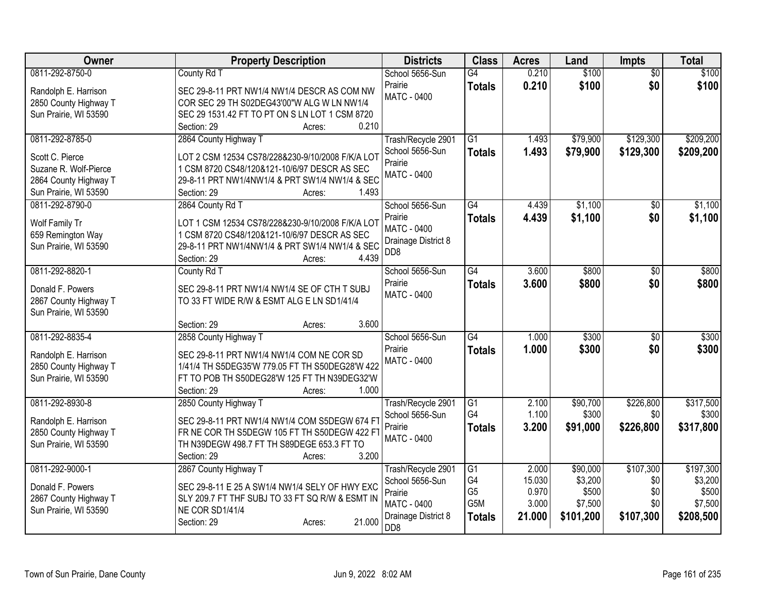| Owner                 | <b>Property Description</b>                      | <b>Districts</b>                        | <b>Class</b>    | <b>Acres</b> | Land      | <b>Impts</b>    | <b>Total</b> |
|-----------------------|--------------------------------------------------|-----------------------------------------|-----------------|--------------|-----------|-----------------|--------------|
| 0811-292-8750-0       | County Rd T                                      | School 5656-Sun                         | G4              | 0.210        | \$100     | $\overline{50}$ | \$100        |
| Randolph E. Harrison  | SEC 29-8-11 PRT NW1/4 NW1/4 DESCR AS COM NW      | Prairie                                 | <b>Totals</b>   | 0.210        | \$100     | \$0             | \$100        |
| 2850 County Highway T | COR SEC 29 TH S02DEG43'00"W ALG W LN NW1/4       | MATC - 0400                             |                 |              |           |                 |              |
| Sun Prairie, WI 53590 | SEC 29 1531.42 FT TO PT ON S LN LOT 1 CSM 8720   |                                         |                 |              |           |                 |              |
|                       | 0.210<br>Section: 29<br>Acres:                   |                                         |                 |              |           |                 |              |
| 0811-292-8785-0       | 2864 County Highway T                            | Trash/Recycle 2901                      | G1              | 1.493        | \$79,900  | \$129,300       | \$209,200    |
| Scott C. Pierce       | LOT 2 CSM 12534 CS78/228&230-9/10/2008 F/K/A LOT | School 5656-Sun                         | <b>Totals</b>   | 1.493        | \$79,900  | \$129,300       | \$209,200    |
| Suzane R. Wolf-Pierce | 1 CSM 8720 CS48/120&121-10/6/97 DESCR AS SEC     | Prairie                                 |                 |              |           |                 |              |
| 2864 County Highway T | 29-8-11 PRT NW1/4NW1/4 & PRT SW1/4 NW1/4 & SEC   | MATC - 0400                             |                 |              |           |                 |              |
| Sun Prairie, WI 53590 | 1.493<br>Section: 29<br>Acres:                   |                                         |                 |              |           |                 |              |
| 0811-292-8790-0       | 2864 County Rd T                                 | School 5656-Sun                         | G4              | 4.439        | \$1,100   | \$0             | \$1,100      |
| Wolf Family Tr        | LOT 1 CSM 12534 CS78/228&230-9/10/2008 F/K/A LOT | Prairie                                 | <b>Totals</b>   | 4.439        | \$1,100   | \$0             | \$1,100      |
| 659 Remington Way     | 1 CSM 8720 CS48/120&121-10/6/97 DESCR AS SEC     | <b>MATC - 0400</b>                      |                 |              |           |                 |              |
| Sun Prairie, WI 53590 | 29-8-11 PRT NW1/4NW1/4 & PRT SW1/4 NW1/4 & SEC   | Drainage District 8                     |                 |              |           |                 |              |
|                       | 4.439<br>Section: 29<br>Acres:                   | D <sub>D</sub> 8                        |                 |              |           |                 |              |
| 0811-292-8820-1       | County Rd T                                      | School 5656-Sun                         | G4              | 3.600        | \$800     | \$0             | \$800        |
| Donald F. Powers      | SEC 29-8-11 PRT NW1/4 NW1/4 SE OF CTH T SUBJ     | Prairie                                 | <b>Totals</b>   | 3.600        | \$800     | \$0             | \$800        |
| 2867 County Highway T | TO 33 FT WIDE R/W & ESMT ALG E LN SD1/41/4       | <b>MATC - 0400</b>                      |                 |              |           |                 |              |
| Sun Prairie, WI 53590 |                                                  |                                         |                 |              |           |                 |              |
|                       | 3.600<br>Section: 29<br>Acres:                   |                                         |                 |              |           |                 |              |
| 0811-292-8835-4       | 2858 County Highway T                            | School 5656-Sun                         | G4              | 1.000        | \$300     | \$0             | \$300        |
| Randolph E. Harrison  | SEC 29-8-11 PRT NW1/4 NW1/4 COM NE COR SD        | Prairie                                 | <b>Totals</b>   | 1.000        | \$300     | \$0             | \$300        |
| 2850 County Highway T | 1/41/4 TH S5DEG35'W 779.05 FT TH S50DEG28'W 422  | <b>MATC - 0400</b>                      |                 |              |           |                 |              |
| Sun Prairie, WI 53590 | FT TO POB TH S50DEG28'W 125 FT TH N39DEG32'W     |                                         |                 |              |           |                 |              |
|                       | Section: 29<br>1.000<br>Acres:                   |                                         |                 |              |           |                 |              |
| 0811-292-8930-8       | 2850 County Highway T                            | Trash/Recycle 2901                      | $\overline{G1}$ | 2.100        | \$90,700  | \$226,800       | \$317,500    |
| Randolph E. Harrison  | SEC 29-8-11 PRT NW1/4 NW1/4 COM S5DEGW 674 F     | School 5656-Sun                         | G4              | 1.100        | \$300     | \$0             | \$300        |
| 2850 County Highway T | FR NE COR TH S5DEGW 105 FT TH S50DEGW 422 FT     | Prairie                                 | <b>Totals</b>   | 3.200        | \$91,000  | \$226,800       | \$317,800    |
| Sun Prairie, WI 53590 | TH N39DEGW 498.7 FT TH S89DEGE 653.3 FT TO       | <b>MATC - 0400</b>                      |                 |              |           |                 |              |
|                       | 3.200<br>Section: 29<br>Acres:                   |                                         |                 |              |           |                 |              |
| 0811-292-9000-1       | 2867 County Highway T                            | Trash/Recycle 2901                      | $\overline{G1}$ | 2.000        | \$90,000  | \$107,300       | \$197,300    |
| Donald F. Powers      | SEC 29-8-11 E 25 A SW1/4 NW1/4 SELY OF HWY EXC   | School 5656-Sun                         | G4              | 15.030       | \$3,200   | \$0             | \$3,200      |
| 2867 County Highway T | SLY 209.7 FT THF SUBJ TO 33 FT SQ R/W & ESMT IN  | Prairie                                 | G <sub>5</sub>  | 0.970        | \$500     | \$0             | \$500        |
| Sun Prairie, WI 53590 | NE COR SD1/41/4                                  | MATC - 0400                             | G5M             | 3.000        | \$7,500   | \$0             | \$7,500      |
|                       | 21.000<br>Section: 29<br>Acres:                  | Drainage District 8<br>D <sub>D</sub> 8 | <b>Totals</b>   | 21.000       | \$101,200 | \$107,300       | \$208,500    |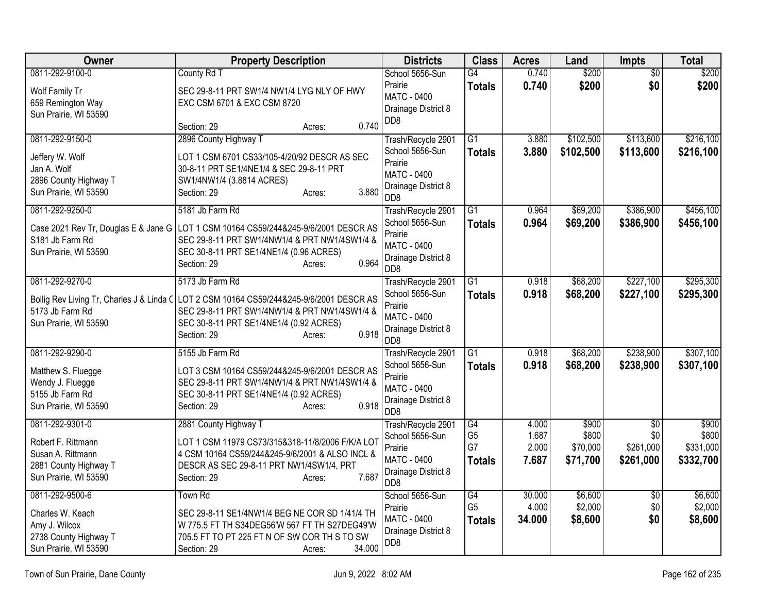| Owner                                                                                                        | <b>Property Description</b>                                                                                                                                                                                                            | <b>Districts</b>                                                                                                  | <b>Class</b>                                       | <b>Acres</b>                     | Land                                   | <b>Impts</b>                                     | <b>Total</b>                             |
|--------------------------------------------------------------------------------------------------------------|----------------------------------------------------------------------------------------------------------------------------------------------------------------------------------------------------------------------------------------|-------------------------------------------------------------------------------------------------------------------|----------------------------------------------------|----------------------------------|----------------------------------------|--------------------------------------------------|------------------------------------------|
| 0811-292-9100-0<br>Wolf Family Tr<br>659 Remington Way<br>Sun Prairie, WI 53590                              | County Rd T<br>SEC 29-8-11 PRT SW1/4 NW1/4 LYG NLY OF HWY<br>EXC CSM 6701 & EXC CSM 8720<br>0.740<br>Section: 29<br>Acres:                                                                                                             | School 5656-Sun<br>Prairie<br>MATC - 0400<br>Drainage District 8<br>DD <sub>8</sub>                               | G4<br><b>Totals</b>                                | 0.740<br>0.740                   | \$200<br>\$200                         | $\overline{50}$<br>\$0                           | \$200<br>\$200                           |
| 0811-292-9150-0<br>Jeffery W. Wolf<br>Jan A. Wolf<br>2896 County Highway T<br>Sun Prairie, WI 53590          | 2896 County Highway T<br>LOT 1 CSM 6701 CS33/105-4/20/92 DESCR AS SEC<br>30-8-11 PRT SE1/4NE1/4 & SEC 29-8-11 PRT<br>SW1/4NW1/4 (3.8814 ACRES)<br>3.880<br>Section: 29<br>Acres:                                                       | Trash/Recycle 2901<br>School 5656-Sun<br>Prairie<br><b>MATC - 0400</b><br>Drainage District 8<br>D <sub>D</sub> 8 | $\overline{G1}$<br><b>Totals</b>                   | 3.880<br>3.880                   | \$102,500<br>\$102,500                 | \$113,600<br>\$113,600                           | \$216,100<br>\$216,100                   |
| 0811-292-9250-0<br>S181 Jb Farm Rd<br>Sun Prairie, WI 53590                                                  | 5181 Jb Farm Rd<br>Case 2021 Rev Tr, Douglas E & Jane G   LOT 1 CSM 10164 CS59/244&245-9/6/2001 DESCR AS<br>SEC 29-8-11 PRT SW1/4NW1/4 & PRT NW1/4SW1/4 &<br>SEC 30-8-11 PRT SE1/4NE1/4 (0.96 ACRES)<br>0.964<br>Section: 29<br>Acres: | Trash/Recycle 2901<br>School 5656-Sun<br>Prairie<br><b>MATC - 0400</b><br>Drainage District 8<br>DD8              | $\overline{G1}$<br><b>Totals</b>                   | 0.964<br>0.964                   | \$69,200<br>\$69,200                   | \$386,900<br>\$386,900                           | \$456,100<br>\$456,100                   |
| 0811-292-9270-0<br>Bollig Rev Living Tr, Charles J & Linda C<br>5173 Jb Farm Rd<br>Sun Prairie, WI 53590     | 5173 Jb Farm Rd<br>LOT 2 CSM 10164 CS59/244&245-9/6/2001 DESCR AS<br>SEC 29-8-11 PRT SW1/4NW1/4 & PRT NW1/4SW1/4 &<br>SEC 30-8-11 PRT SE1/4NE1/4 (0.92 ACRES)<br>0.918<br>Section: 29<br>Acres:                                        | Trash/Recycle 2901<br>School 5656-Sun<br>Prairie<br><b>MATC - 0400</b><br>Drainage District 8<br>D <sub>D</sub> 8 | $\overline{G1}$<br><b>Totals</b>                   | 0.918<br>0.918                   | \$68,200<br>\$68,200                   | \$227,100<br>\$227,100                           | \$295,300<br>\$295,300                   |
| 0811-292-9290-0<br>Matthew S. Fluegge<br>Wendy J. Fluegge<br>5155 Jb Farm Rd<br>Sun Prairie, WI 53590        | 5155 Jb Farm Rd<br>LOT 3 CSM 10164 CS59/244&245-9/6/2001 DESCR AS<br>SEC 29-8-11 PRT SW1/4NW1/4 & PRT NW1/4SW1/4 &<br>SEC 30-8-11 PRT SE1/4NE1/4 (0.92 ACRES)<br>0.918<br>Section: 29<br>Acres:                                        | Trash/Recycle 2901<br>School 5656-Sun<br>Prairie<br><b>MATC - 0400</b><br>Drainage District 8<br>D <sub>D</sub> 8 | $\overline{G1}$<br><b>Totals</b>                   | 0.918<br>0.918                   | \$68,200<br>\$68,200                   | \$238,900<br>\$238,900                           | \$307,100<br>\$307,100                   |
| 0811-292-9301-0<br>Robert F. Rittmann<br>Susan A. Rittmann<br>2881 County Highway T<br>Sun Prairie, WI 53590 | 2881 County Highway T<br>LOT 1 CSM 11979 CS73/315&318-11/8/2006 F/K/A LOT<br>4 CSM 10164 CS59/244&245-9/6/2001 & ALSO INCL &<br>DESCR AS SEC 29-8-11 PRT NW1/4SW1/4, PRT<br>7.687<br>Section: 29<br>Acres:                             | Trash/Recycle 2901<br>School 5656-Sun<br>Prairie<br><b>MATC - 0400</b><br>Drainage District 8<br>D <sub>D</sub> 8 | G4<br>G <sub>5</sub><br>G7<br><b>Totals</b>        | 4.000<br>1.687<br>2.000<br>7.687 | \$900<br>\$800<br>\$70,000<br>\$71,700 | $\overline{30}$<br>\$0<br>\$261,000<br>\$261,000 | \$900<br>\$800<br>\$331,000<br>\$332,700 |
| 0811-292-9500-6<br>Charles W. Keach<br>Amy J. Wilcox<br>2738 County Highway T<br>Sun Prairie, WI 53590       | Town Rd<br>SEC 29-8-11 SE1/4NW1/4 BEG NE COR SD 1/41/4 TH<br>W 775.5 FT TH S34DEG56'W 567 FT TH S27DEG49'W<br>705.5 FT TO PT 225 FT N OF SW COR TH S TO SW<br>34.000<br>Section: 29<br>Acres:                                          | School 5656-Sun<br>Prairie<br><b>MATC - 0400</b><br>Drainage District 8<br>D <sub>D</sub> 8                       | $\overline{G4}$<br>G <sub>5</sub><br><b>Totals</b> | 30.000<br>4.000<br>34.000        | \$6,600<br>\$2,000<br>\$8,600          | \$0<br>\$0<br>\$0                                | \$6,600<br>\$2,000<br>\$8,600            |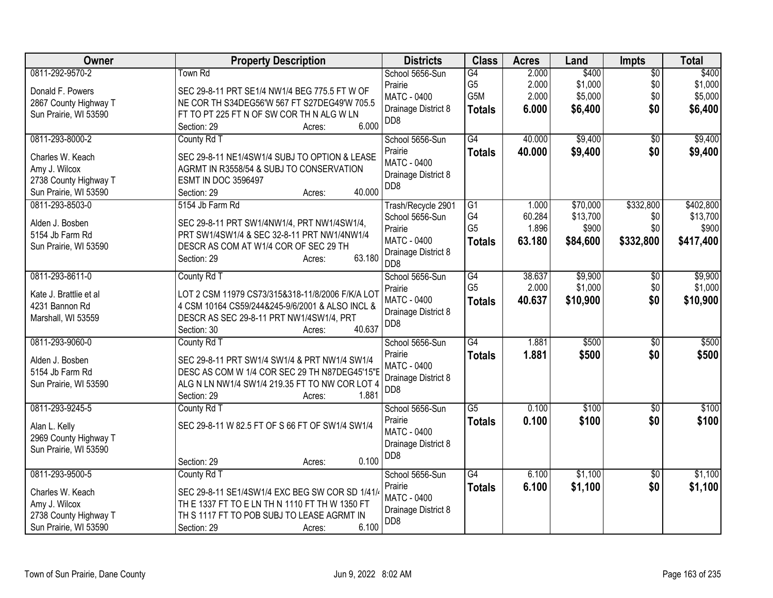| <b>Owner</b>           | <b>Property Description</b>                      | <b>Districts</b>                        | <b>Class</b>         | <b>Acres</b>    | Land               | <b>Impts</b>           | <b>Total</b>       |
|------------------------|--------------------------------------------------|-----------------------------------------|----------------------|-----------------|--------------------|------------------------|--------------------|
| 0811-292-9570-2        | Town Rd                                          | School 5656-Sun                         | G4                   | 2.000           | \$400              | $\overline{50}$        | \$400              |
| Donald F. Powers       | SEC 29-8-11 PRT SE1/4 NW1/4 BEG 775.5 FT W OF    | Prairie                                 | G <sub>5</sub>       | 2.000           | \$1,000            | \$0                    | \$1,000            |
| 2867 County Highway T  | NE COR TH S34DEG56'W 567 FT S27DEG49'W 705.5     | <b>MATC - 0400</b>                      | G5M                  | 2.000           | \$5,000            | \$0                    | \$5,000            |
| Sun Prairie, WI 53590  | FT TO PT 225 FT N OF SW COR TH N ALG W LN        | Drainage District 8                     | <b>Totals</b>        | 6.000           | \$6,400            | \$0                    | \$6,400            |
|                        | 6.000<br>Section: 29<br>Acres:                   | D <sub>D</sub> 8                        |                      |                 |                    |                        |                    |
| 0811-293-8000-2        | County Rd T                                      | School 5656-Sun                         | G4                   | 40.000          | \$9,400            | $\overline{50}$        | \$9,400            |
| Charles W. Keach       | SEC 29-8-11 NE1/4SW1/4 SUBJ TO OPTION & LEASE    | Prairie                                 | <b>Totals</b>        | 40.000          | \$9,400            | \$0                    | \$9,400            |
| Amy J. Wilcox          | AGRMT IN R3558/54 & SUBJ TO CONSERVATION         | <b>MATC - 0400</b>                      |                      |                 |                    |                        |                    |
| 2738 County Highway T  | <b>ESMT IN DOC 3596497</b>                       | Drainage District 8                     |                      |                 |                    |                        |                    |
| Sun Prairie, WI 53590  | 40.000<br>Section: 29<br>Acres:                  | DD <sub>8</sub>                         |                      |                 |                    |                        |                    |
| 0811-293-8503-0        | 5154 Jb Farm Rd                                  | Trash/Recycle 2901                      | G1                   | 1.000           | \$70,000           | \$332,800              | \$402,800          |
| Alden J. Bosben        | SEC 29-8-11 PRT SW1/4NW1/4, PRT NW1/4SW1/4,      | School 5656-Sun                         | G4                   | 60.284          | \$13,700           | \$0                    | \$13,700           |
| 5154 Jb Farm Rd        | PRT SW1/4SW1/4 & SEC 32-8-11 PRT NW1/4NW1/4      | Prairie                                 | G <sub>5</sub>       | 1.896           | \$900              | \$0                    | \$900              |
| Sun Prairie, WI 53590  | DESCR AS COM AT W1/4 COR OF SEC 29 TH            | MATC - 0400                             | <b>Totals</b>        | 63.180          | \$84,600           | \$332,800              | \$417,400          |
|                        | 63.180<br>Section: 29<br>Acres:                  | Drainage District 8                     |                      |                 |                    |                        |                    |
|                        |                                                  | D <sub>D</sub> 8                        |                      |                 |                    |                        |                    |
| 0811-293-8611-0        | County Rd T                                      | School 5656-Sun<br>Prairie              | G4<br>G <sub>5</sub> | 38.637<br>2.000 | \$9,900<br>\$1,000 | $\overline{50}$<br>\$0 | \$9,900<br>\$1,000 |
| Kate J. Brattlie et al | LOT 2 CSM 11979 CS73/315&318-11/8/2006 F/K/A LOT | <b>MATC - 0400</b>                      |                      | 40.637          |                    | \$0                    |                    |
| 4231 Bannon Rd         | 4 CSM 10164 CS59/244&245-9/6/2001 & ALSO INCL &  | Drainage District 8                     | <b>Totals</b>        |                 | \$10,900           |                        | \$10,900           |
| Marshall, WI 53559     | DESCR AS SEC 29-8-11 PRT NW1/4SW1/4, PRT         | D <sub>D</sub> 8                        |                      |                 |                    |                        |                    |
|                        | 40.637<br>Section: 30<br>Acres:                  |                                         |                      |                 |                    |                        |                    |
| 0811-293-9060-0        | County Rd T                                      | School 5656-Sun                         | G4                   | 1.881           | \$500              | $\overline{50}$        | \$500              |
| Alden J. Bosben        | SEC 29-8-11 PRT SW1/4 SW1/4 & PRT NW1/4 SW1/4    | Prairie                                 | <b>Totals</b>        | 1.881           | \$500              | \$0                    | \$500              |
| 5154 Jb Farm Rd        | DESC AS COM W 1/4 COR SEC 29 TH N87DEG45'15"E    | <b>MATC - 0400</b>                      |                      |                 |                    |                        |                    |
| Sun Prairie, WI 53590  | ALG N LN NW1/4 SW1/4 219.35 FT TO NW COR LOT 4   | Drainage District 8<br>D <sub>D</sub> 8 |                      |                 |                    |                        |                    |
|                        | 1.881<br>Section: 29<br>Acres:                   |                                         |                      |                 |                    |                        |                    |
| 0811-293-9245-5        | County Rd T                                      | School 5656-Sun                         | $\overline{G5}$      | 0.100           | \$100              | $\overline{50}$        | \$100              |
| Alan L. Kelly          | SEC 29-8-11 W 82.5 FT OF S 66 FT OF SW1/4 SW1/4  | Prairie                                 | <b>Totals</b>        | 0.100           | \$100              | \$0                    | \$100              |
| 2969 County Highway T  |                                                  | <b>MATC - 0400</b>                      |                      |                 |                    |                        |                    |
| Sun Prairie, WI 53590  |                                                  | Drainage District 8                     |                      |                 |                    |                        |                    |
|                        | 0.100<br>Section: 29<br>Acres:                   | D <sub>D</sub> 8                        |                      |                 |                    |                        |                    |
| 0811-293-9500-5        | County Rd T                                      | School 5656-Sun                         | $\overline{G4}$      | 6.100           | \$1,100            | \$0                    | \$1,100            |
| Charles W. Keach       | SEC 29-8-11 SE1/4SW1/4 EXC BEG SW COR SD 1/41/   | Prairie                                 | <b>Totals</b>        | 6.100           | \$1,100            | \$0                    | \$1,100            |
| Amy J. Wilcox          | TH E 1337 FT TO E LN TH N 1110 FT TH W 1350 FT   | <b>MATC - 0400</b>                      |                      |                 |                    |                        |                    |
| 2738 County Highway T  | TH S 1117 FT TO POB SUBJ TO LEASE AGRMT IN       | Drainage District 8                     |                      |                 |                    |                        |                    |
| Sun Prairie, WI 53590  | 6.100<br>Section: 29<br>Acres:                   | D <sub>D</sub> 8                        |                      |                 |                    |                        |                    |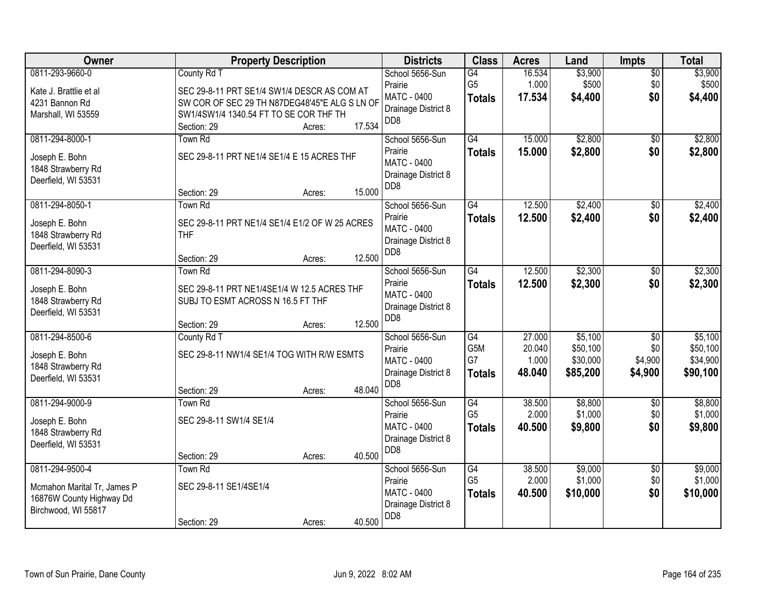| Owner                                                                                             |                                                                                                                                                                      | <b>Property Description</b> |        | <b>Districts</b>                                                                           | <b>Class</b>                                               | <b>Acres</b>                        | Land                                        | <b>Impts</b>                                 | <b>Total</b>                                |
|---------------------------------------------------------------------------------------------------|----------------------------------------------------------------------------------------------------------------------------------------------------------------------|-----------------------------|--------|--------------------------------------------------------------------------------------------|------------------------------------------------------------|-------------------------------------|---------------------------------------------|----------------------------------------------|---------------------------------------------|
| 0811-293-9660-0<br>Kate J. Brattlie et al<br>4231 Bannon Rd<br>Marshall, WI 53559                 | County Rd T<br>SEC 29-8-11 PRT SE1/4 SW1/4 DESCR AS COM AT<br>SW COR OF SEC 29 TH N87DEG48'45"E ALG S LN OF<br>SW1/4SW1/4 1340.54 FT TO SE COR THF TH<br>Section: 29 | Acres:                      | 17.534 | School 5656-Sun<br>Prairie<br><b>MATC - 0400</b><br>Drainage District 8<br>DD <sub>8</sub> | G4<br>G <sub>5</sub><br><b>Totals</b>                      | 16.534<br>1.000<br>17.534           | \$3,900<br>\$500<br>\$4,400                 | $\overline{50}$<br>\$0<br>\$0                | \$3,900<br>\$500<br>\$4,400                 |
| 0811-294-8000-1<br>Joseph E. Bohn<br>1848 Strawberry Rd<br>Deerfield, WI 53531                    | Town Rd<br>SEC 29-8-11 PRT NE1/4 SE1/4 E 15 ACRES THF<br>Section: 29                                                                                                 | Acres:                      | 15.000 | School 5656-Sun<br>Prairie<br>MATC - 0400<br>Drainage District 8<br>D <sub>D</sub> 8       | G4<br><b>Totals</b>                                        | 15.000<br>15.000                    | \$2,800<br>\$2,800                          | \$0<br>\$0                                   | \$2,800<br>\$2,800                          |
| 0811-294-8050-1<br>Joseph E. Bohn<br>1848 Strawberry Rd<br>Deerfield, WI 53531                    | Town Rd<br>SEC 29-8-11 PRT NE1/4 SE1/4 E1/2 OF W 25 ACRES<br><b>THF</b><br>Section: 29                                                                               | Acres:                      | 12.500 | School 5656-Sun<br>Prairie<br><b>MATC - 0400</b><br>Drainage District 8<br>DD <sub>8</sub> | G4<br><b>Totals</b>                                        | 12.500<br>12.500                    | \$2,400<br>\$2,400                          | $\overline{50}$<br>\$0                       | \$2,400<br>\$2,400                          |
| 0811-294-8090-3<br>Joseph E. Bohn<br>1848 Strawberry Rd<br>Deerfield, WI 53531                    | Town Rd<br>SEC 29-8-11 PRT NE1/4SE1/4 W 12.5 ACRES THF<br>SUBJ TO ESMT ACROSS N 16.5 FT THF<br>Section: 29                                                           | Acres:                      | 12.500 | School 5656-Sun<br>Prairie<br>MATC - 0400<br>Drainage District 8<br>D <sub>D</sub> 8       | $\overline{G4}$<br><b>Totals</b>                           | 12.500<br>12.500                    | \$2,300<br>\$2,300                          | \$0<br>\$0                                   | \$2,300<br>\$2,300                          |
| 0811-294-8500-6<br>Joseph E. Bohn<br>1848 Strawberry Rd<br>Deerfield, WI 53531                    | County Rd T<br>SEC 29-8-11 NW1/4 SE1/4 TOG WITH R/W ESMTS<br>Section: 29                                                                                             | Acres:                      | 48.040 | School 5656-Sun<br>Prairie<br>MATC - 0400<br>Drainage District 8<br>D <sub>D</sub> 8       | $\overline{G4}$<br>G <sub>5</sub> M<br>G7<br><b>Totals</b> | 27.000<br>20.040<br>1.000<br>48.040 | \$5,100<br>\$50,100<br>\$30,000<br>\$85,200 | $\overline{50}$<br>\$0<br>\$4,900<br>\$4,900 | \$5,100<br>\$50,100<br>\$34,900<br>\$90,100 |
| 0811-294-9000-9<br>Joseph E. Bohn<br>1848 Strawberry Rd<br>Deerfield, WI 53531                    | Town Rd<br>SEC 29-8-11 SW1/4 SE1/4<br>Section: 29                                                                                                                    | Acres:                      | 40.500 | School 5656-Sun<br>Prairie<br>MATC - 0400<br>Drainage District 8<br>DD <sub>8</sub>        | G4<br>G <sub>5</sub><br><b>Totals</b>                      | 38.500<br>2.000<br>40.500           | \$8,800<br>\$1,000<br>\$9,800               | $\overline{60}$<br>\$0<br>\$0                | \$8,800<br>\$1,000<br>\$9,800               |
| 0811-294-9500-4<br>Mcmahon Marital Tr, James P<br>16876W County Highway Dd<br>Birchwood, WI 55817 | Town Rd<br>SEC 29-8-11 SE1/4SE1/4<br>Section: 29                                                                                                                     | Acres:                      | 40.500 | School 5656-Sun<br>Prairie<br>MATC - 0400<br>Drainage District 8<br>D <sub>D</sub> 8       | G4<br>G <sub>5</sub><br><b>Totals</b>                      | 38.500<br>2.000<br>40.500           | \$9,000<br>\$1,000<br>\$10,000              | $\overline{30}$<br>\$0<br>\$0                | \$9,000<br>\$1,000<br>\$10,000              |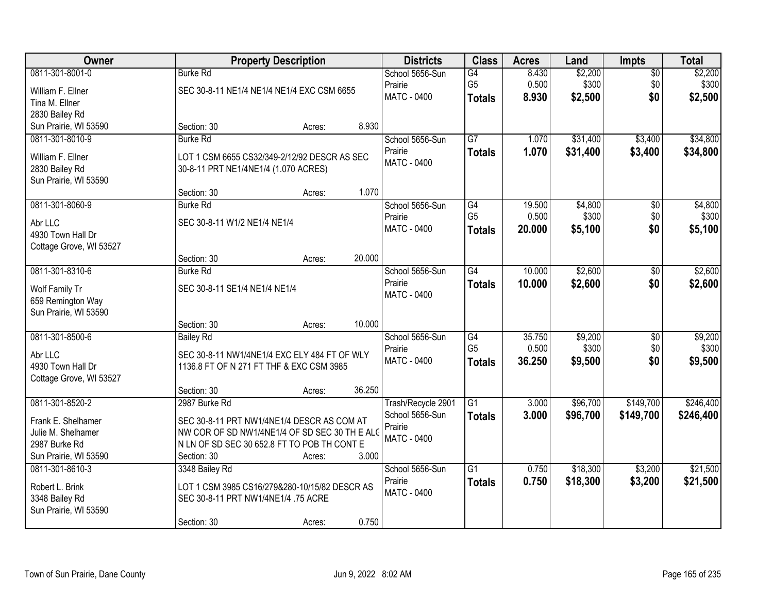| Owner                            |                                                                                      | <b>Property Description</b> |        | <b>Districts</b>                      | <b>Class</b>         | <b>Acres</b>    | Land                 | <b>Impts</b>           | <b>Total</b>     |
|----------------------------------|--------------------------------------------------------------------------------------|-----------------------------|--------|---------------------------------------|----------------------|-----------------|----------------------|------------------------|------------------|
| 0811-301-8001-0                  | <b>Burke Rd</b>                                                                      |                             |        | School 5656-Sun<br>Prairie            | G4<br>G <sub>5</sub> | 8.430<br>0.500  | \$2,200<br>\$300     | $\overline{50}$<br>\$0 | \$2,200<br>\$300 |
| William F. Ellner                | SEC 30-8-11 NE1/4 NE1/4 NE1/4 EXC CSM 6655                                           |                             |        | MATC - 0400                           | <b>Totals</b>        | 8.930           | \$2,500              | \$0                    | \$2,500          |
| Tina M. Ellner<br>2830 Bailey Rd |                                                                                      |                             |        |                                       |                      |                 |                      |                        |                  |
| Sun Prairie, WI 53590            | Section: 30                                                                          | Acres:                      | 8.930  |                                       |                      |                 |                      |                        |                  |
| 0811-301-8010-9                  | <b>Burke Rd</b>                                                                      |                             |        | School 5656-Sun                       | $\overline{G7}$      | 1.070           | \$31,400             | \$3,400                | \$34,800         |
| William F. Ellner                |                                                                                      |                             |        | Prairie                               | <b>Totals</b>        | 1.070           | \$31,400             | \$3,400                | \$34,800         |
| 2830 Bailey Rd                   | LOT 1 CSM 6655 CS32/349-2/12/92 DESCR AS SEC<br>30-8-11 PRT NE1/4NE1/4 (1.070 ACRES) |                             |        | <b>MATC - 0400</b>                    |                      |                 |                      |                        |                  |
| Sun Prairie, WI 53590            |                                                                                      |                             |        |                                       |                      |                 |                      |                        |                  |
|                                  | Section: 30                                                                          | Acres:                      | 1.070  |                                       |                      |                 |                      |                        |                  |
| 0811-301-8060-9                  | <b>Burke Rd</b>                                                                      |                             |        | School 5656-Sun                       | G4                   | 19.500          | \$4,800              | \$0                    | \$4,800          |
| Abr LLC                          | SEC 30-8-11 W1/2 NE1/4 NE1/4                                                         |                             |        | Prairie                               | G <sub>5</sub>       | 0.500           | \$300                | \$0                    | \$300            |
| 4930 Town Hall Dr                |                                                                                      |                             |        | <b>MATC - 0400</b>                    | <b>Totals</b>        | 20.000          | \$5,100              | \$0                    | \$5,100          |
| Cottage Grove, WI 53527          |                                                                                      |                             |        |                                       |                      |                 |                      |                        |                  |
|                                  | Section: 30                                                                          | Acres:                      | 20.000 |                                       |                      |                 |                      |                        |                  |
| 0811-301-8310-6                  | <b>Burke Rd</b>                                                                      |                             |        | School 5656-Sun                       | G4                   | 10.000          | \$2,600              | \$0                    | \$2,600          |
| Wolf Family Tr                   | SEC 30-8-11 SE1/4 NE1/4 NE1/4                                                        |                             |        | Prairie                               | <b>Totals</b>        | 10.000          | \$2,600              | \$0                    | \$2,600          |
| 659 Remington Way                |                                                                                      |                             |        | <b>MATC - 0400</b>                    |                      |                 |                      |                        |                  |
| Sun Prairie, WI 53590            |                                                                                      |                             |        |                                       |                      |                 |                      |                        |                  |
|                                  | Section: 30                                                                          | Acres:                      | 10.000 |                                       |                      |                 |                      |                        |                  |
| 0811-301-8500-6                  | <b>Bailey Rd</b>                                                                     |                             |        | School 5656-Sun                       | $\overline{G4}$      | 35.750          | \$9,200              | $\overline{30}$        | \$9,200          |
| Abr LLC                          | SEC 30-8-11 NW1/4NE1/4 EXC ELY 484 FT OF WLY                                         |                             |        | Prairie<br><b>MATC - 0400</b>         | G <sub>5</sub>       | 0.500<br>36.250 | \$300<br>\$9,500     | \$0<br>\$0             | \$300            |
| 4930 Town Hall Dr                | 1136.8 FT OF N 271 FT THF & EXC CSM 3985                                             |                             |        |                                       | <b>Totals</b>        |                 |                      |                        | \$9,500          |
| Cottage Grove, WI 53527          |                                                                                      |                             |        |                                       |                      |                 |                      |                        |                  |
|                                  | Section: 30                                                                          | Acres:                      | 36.250 |                                       |                      |                 |                      |                        |                  |
| 0811-301-8520-2                  | 2987 Burke Rd                                                                        |                             |        | Trash/Recycle 2901<br>School 5656-Sun | $\overline{G1}$      | 3.000           | \$96,700             | \$149,700              | \$246,400        |
| Frank E. Shelhamer               | SEC 30-8-11 PRT NW1/4NE1/4 DESCR AS COM AT                                           |                             |        | Prairie                               | <b>Totals</b>        | 3.000           | \$96,700             | \$149,700              | \$246,400        |
| Julie M. Shelhamer               | NW COR OF SD NW1/4NE1/4 OF SD SEC 30 TH E ALC                                        |                             |        | <b>MATC - 0400</b>                    |                      |                 |                      |                        |                  |
| 2987 Burke Rd                    | N LN OF SD SEC 30 652.8 FT TO POB TH CONT E                                          |                             |        |                                       |                      |                 |                      |                        |                  |
| Sun Prairie, WI 53590            | Section: 30                                                                          | Acres:                      | 3.000  |                                       |                      |                 |                      |                        | \$21,500         |
| 0811-301-8610-3                  | 3348 Bailey Rd                                                                       |                             |        | School 5656-Sun<br>Prairie            | $\overline{G1}$      | 0.750<br>0.750  | \$18,300<br>\$18,300 | \$3,200                |                  |
| Robert L. Brink                  | LOT 1 CSM 3985 CS16/279&280-10/15/82 DESCR AS                                        |                             |        | <b>MATC - 0400</b>                    | <b>Totals</b>        |                 |                      | \$3,200                | \$21,500         |
| 3348 Bailey Rd                   | SEC 30-8-11 PRT NW1/4NE1/4 .75 ACRE                                                  |                             |        |                                       |                      |                 |                      |                        |                  |
| Sun Prairie, WI 53590            |                                                                                      |                             |        |                                       |                      |                 |                      |                        |                  |
|                                  | Section: 30                                                                          | Acres:                      | 0.750  |                                       |                      |                 |                      |                        |                  |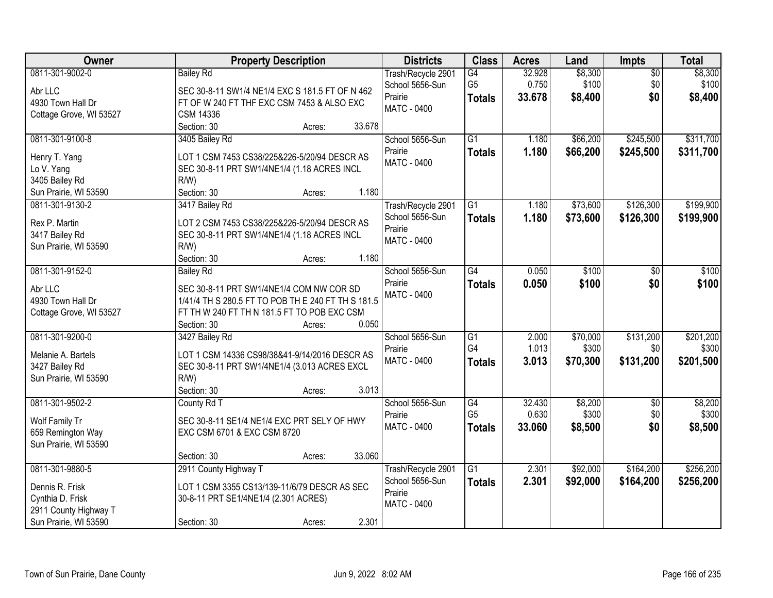| <b>Owner</b>                                                                                             | <b>Property Description</b>                                                                                                                                                                         | <b>Districts</b>                                                       | <b>Class</b>                           | <b>Acres</b>              | Land                          | Impts                         | <b>Total</b>                    |
|----------------------------------------------------------------------------------------------------------|-----------------------------------------------------------------------------------------------------------------------------------------------------------------------------------------------------|------------------------------------------------------------------------|----------------------------------------|---------------------------|-------------------------------|-------------------------------|---------------------------------|
| 0811-301-9002-0<br>Abr LLC<br>4930 Town Hall Dr<br>Cottage Grove, WI 53527                               | <b>Bailey Rd</b><br>SEC 30-8-11 SW1/4 NE1/4 EXC S 181.5 FT OF N 462<br>FT OF W 240 FT THF EXC CSM 7453 & ALSO EXC<br><b>CSM 14336</b>                                                               | Trash/Recycle 2901<br>School 5656-Sun<br>Prairie<br><b>MATC - 0400</b> | G4<br>G <sub>5</sub><br><b>Totals</b>  | 32.928<br>0.750<br>33.678 | \$8,300<br>\$100<br>\$8,400   | $\overline{50}$<br>\$0<br>\$0 | \$8,300<br>\$100<br>\$8,400     |
| 0811-301-9100-8<br>Henry T. Yang<br>Lo V. Yang<br>3405 Bailey Rd                                         | Section: 30<br>33.678<br>Acres:<br>3405 Bailey Rd<br>LOT 1 CSM 7453 CS38/225&226-5/20/94 DESCR AS<br>SEC 30-8-11 PRT SW1/4NE1/4 (1.18 ACRES INCL<br>$R/W$ )                                         | School 5656-Sun<br>Prairie<br><b>MATC - 0400</b>                       | $\overline{G1}$<br><b>Totals</b>       | 1.180<br>1.180            | \$66,200<br>\$66,200          | \$245,500<br>\$245,500        | \$311,700<br>\$311,700          |
| Sun Prairie, WI 53590<br>0811-301-9130-2<br>Rex P. Martin<br>3417 Bailey Rd<br>Sun Prairie, WI 53590     | Section: 30<br>1.180<br>Acres:<br>3417 Bailey Rd<br>LOT 2 CSM 7453 CS38/225&226-5/20/94 DESCR AS<br>SEC 30-8-11 PRT SW1/4NE1/4 (1.18 ACRES INCL<br>R/W<br>1.180<br>Section: 30<br>Acres:            | Trash/Recycle 2901<br>School 5656-Sun<br>Prairie<br>MATC - 0400        | G1<br><b>Totals</b>                    | 1.180<br>1.180            | \$73,600<br>\$73,600          | \$126,300<br>\$126,300        | \$199,900<br>\$199,900          |
| 0811-301-9152-0<br>Abr LLC<br>4930 Town Hall Dr<br>Cottage Grove, WI 53527                               | <b>Bailey Rd</b><br>SEC 30-8-11 PRT SW1/4NE1/4 COM NW COR SD<br>1/41/4 TH S 280.5 FT TO POB TH E 240 FT TH S 181.5<br>FT TH W 240 FT TH N 181.5 FT TO POB EXC CSM<br>0.050<br>Section: 30<br>Acres: | School 5656-Sun<br>Prairie<br><b>MATC - 0400</b>                       | $\overline{G4}$<br><b>Totals</b>       | 0.050<br>0.050            | \$100<br>\$100                | \$0<br>\$0                    | \$100<br>\$100                  |
| 0811-301-9200-0<br>Melanie A. Bartels<br>3427 Bailey Rd<br>Sun Prairie, WI 53590                         | 3427 Bailey Rd<br>LOT 1 CSM 14336 CS98/38&41-9/14/2016 DESCR AS<br>SEC 30-8-11 PRT SW1/4NE1/4 (3.013 ACRES EXCL<br>$R/W$ )<br>3.013<br>Section: 30<br>Acres:                                        | School 5656-Sun<br>Prairie<br>MATC - 0400                              | $\overline{G1}$<br>G4<br><b>Totals</b> | 2.000<br>1.013<br>3.013   | \$70,000<br>\$300<br>\$70,300 | \$131,200<br>\$0<br>\$131,200 | \$201,200<br>\$300<br>\$201,500 |
| 0811-301-9502-2<br>Wolf Family Tr<br>659 Remington Way<br>Sun Prairie, WI 53590                          | County Rd T<br>SEC 30-8-11 SE1/4 NE1/4 EXC PRT SELY OF HWY<br>EXC CSM 6701 & EXC CSM 8720<br>33.060<br>Section: 30<br>Acres:                                                                        | School 5656-Sun<br>Prairie<br><b>MATC - 0400</b>                       | G4<br>G <sub>5</sub><br><b>Totals</b>  | 32.430<br>0.630<br>33.060 | \$8,200<br>\$300<br>\$8,500   | $\sqrt{6}$<br>\$0<br>\$0      | \$8,200<br>\$300<br>\$8,500     |
| 0811-301-9880-5<br>Dennis R. Frisk<br>Cynthia D. Frisk<br>2911 County Highway T<br>Sun Prairie, WI 53590 | 2911 County Highway T<br>LOT 1 CSM 3355 CS13/139-11/6/79 DESCR AS SEC<br>30-8-11 PRT SE1/4NE1/4 (2.301 ACRES)<br>2.301<br>Section: 30<br>Acres:                                                     | Trash/Recycle 2901<br>School 5656-Sun<br>Prairie<br>MATC - 0400        | $\overline{G1}$<br><b>Totals</b>       | 2.301<br>2.301            | \$92,000<br>\$92,000          | \$164,200<br>\$164,200        | \$256,200<br>\$256,200          |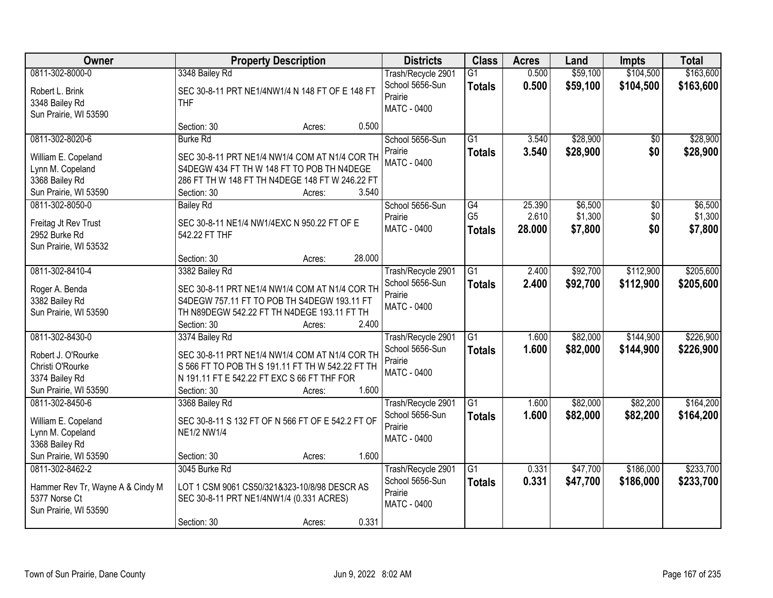| Owner                                                      |                                                                   | <b>Property Description</b> |        | <b>Districts</b>                                 | <b>Class</b>                     | <b>Acres</b>    | Land                 | <b>Impts</b>           | <b>Total</b>         |
|------------------------------------------------------------|-------------------------------------------------------------------|-----------------------------|--------|--------------------------------------------------|----------------------------------|-----------------|----------------------|------------------------|----------------------|
| 0811-302-8000-0                                            | 3348 Bailey Rd                                                    |                             |        | Trash/Recycle 2901                               | $\overline{G1}$                  | 0.500           | \$59,100             | \$104,500              | \$163,600            |
| Robert L. Brink<br>3348 Bailey Rd<br>Sun Prairie, WI 53590 | SEC 30-8-11 PRT NE1/4NW1/4 N 148 FT OF E 148 FT<br><b>THF</b>     |                             |        | School 5656-Sun<br>Prairie<br><b>MATC - 0400</b> | <b>Totals</b>                    | 0.500           | \$59,100             | \$104,500              | \$163,600            |
|                                                            | Section: 30                                                       | Acres:                      | 0.500  |                                                  |                                  |                 |                      |                        |                      |
| 0811-302-8020-6<br>William E. Copeland                     | <b>Burke Rd</b><br>SEC 30-8-11 PRT NE1/4 NW1/4 COM AT N1/4 COR TH |                             |        | School 5656-Sun<br>Prairie<br><b>MATC - 0400</b> | $\overline{G1}$<br><b>Totals</b> | 3.540<br>3.540  | \$28,900<br>\$28,900 | \$0<br>\$0             | \$28,900<br>\$28,900 |
| Lynn M. Copeland                                           | S4DEGW 434 FT TH W 148 FT TO POB TH N4DEGE                        |                             |        |                                                  |                                  |                 |                      |                        |                      |
| 3368 Bailey Rd                                             | 286 FT TH W 148 FT TH N4DEGE 148 FT W 246.22 FT                   |                             |        |                                                  |                                  |                 |                      |                        |                      |
| Sun Prairie, WI 53590                                      | Section: 30                                                       | Acres:                      | 3.540  |                                                  |                                  |                 |                      |                        |                      |
| 0811-302-8050-0                                            | <b>Bailey Rd</b>                                                  |                             |        | School 5656-Sun                                  | G4<br>G <sub>5</sub>             | 25.390<br>2.610 | \$6,500<br>\$1,300   | $\overline{50}$<br>\$0 | \$6,500<br>\$1,300   |
| Freitag Jt Rev Trust                                       | SEC 30-8-11 NE1/4 NW1/4EXC N 950.22 FT OF E                       |                             |        | Prairie<br>MATC - 0400                           |                                  | 28,000          | \$7,800              | \$0                    | \$7,800              |
| 2952 Burke Rd                                              | 542.22 FT THF                                                     |                             |        |                                                  | <b>Totals</b>                    |                 |                      |                        |                      |
| Sun Prairie, WI 53532                                      |                                                                   |                             |        |                                                  |                                  |                 |                      |                        |                      |
|                                                            | Section: 30                                                       | Acres:                      | 28.000 |                                                  |                                  |                 |                      |                        |                      |
| 0811-302-8410-4                                            | 3382 Bailey Rd                                                    |                             |        | Trash/Recycle 2901                               | G1                               | 2.400           | \$92,700             | \$112,900              | \$205,600            |
| Roger A. Benda                                             | SEC 30-8-11 PRT NE1/4 NW1/4 COM AT N1/4 COR TH                    |                             |        | School 5656-Sun<br>Prairie                       | <b>Totals</b>                    | 2.400           | \$92,700             | \$112,900              | \$205,600            |
| 3382 Bailey Rd                                             | S4DEGW 757.11 FT TO POB TH S4DEGW 193.11 FT                       |                             |        | <b>MATC - 0400</b>                               |                                  |                 |                      |                        |                      |
| Sun Prairie, WI 53590                                      | TH N89DEGW 542.22 FT TH N4DEGE 193.11 FT TH                       |                             |        |                                                  |                                  |                 |                      |                        |                      |
|                                                            | Section: 30                                                       | Acres:                      | 2.400  |                                                  |                                  |                 |                      |                        |                      |
| 0811-302-8430-0                                            | 3374 Bailey Rd                                                    |                             |        | Trash/Recycle 2901                               | $\overline{G1}$                  | 1.600           | \$82,000             | \$144,900              | \$226,900            |
| Robert J. O'Rourke                                         | SEC 30-8-11 PRT NE1/4 NW1/4 COM AT N1/4 COR TH                    |                             |        | School 5656-Sun                                  | <b>Totals</b>                    | 1.600           | \$82,000             | \$144,900              | \$226,900            |
| Christi O'Rourke                                           | S 566 FT TO POB TH S 191.11 FT TH W 542.22 FT TH                  |                             |        | Prairie<br><b>MATC - 0400</b>                    |                                  |                 |                      |                        |                      |
| 3374 Bailey Rd                                             | N 191.11 FT E 542.22 FT EXC S 66 FT THF FOR                       |                             |        |                                                  |                                  |                 |                      |                        |                      |
| Sun Prairie, WI 53590                                      | Section: 30                                                       | Acres:                      | 1.600  |                                                  |                                  |                 |                      |                        |                      |
| 0811-302-8450-6                                            | 3368 Bailey Rd                                                    |                             |        | Trash/Recycle 2901                               | G1                               | 1.600           | \$82,000             | \$82,200               | \$164,200            |
| William E. Copeland                                        | SEC 30-8-11 S 132 FT OF N 566 FT OF E 542.2 FT OF                 |                             |        | School 5656-Sun                                  | <b>Totals</b>                    | 1.600           | \$82,000             | \$82,200               | \$164,200            |
| Lynn M. Copeland                                           | <b>NE1/2 NW1/4</b>                                                |                             |        | Prairie<br><b>MATC - 0400</b>                    |                                  |                 |                      |                        |                      |
| 3368 Bailey Rd                                             |                                                                   |                             |        |                                                  |                                  |                 |                      |                        |                      |
| Sun Prairie, WI 53590                                      | Section: 30                                                       | Acres:                      | 1.600  |                                                  |                                  |                 |                      |                        |                      |
| 0811-302-8462-2                                            | 3045 Burke Rd                                                     |                             |        | Trash/Recycle 2901                               | G1                               | 0.331           | \$47,700             | \$186,000              | \$233,700            |
| Hammer Rev Tr, Wayne A & Cindy M                           | LOT 1 CSM 9061 CS50/321&323-10/8/98 DESCR AS                      |                             |        | School 5656-Sun                                  | <b>Totals</b>                    | 0.331           | \$47,700             | \$186,000              | \$233,700            |
| 5377 Norse Ct                                              | SEC 30-8-11 PRT NE1/4NW1/4 (0.331 ACRES)                          |                             |        | Prairie                                          |                                  |                 |                      |                        |                      |
| Sun Prairie, WI 53590                                      |                                                                   |                             |        | MATC - 0400                                      |                                  |                 |                      |                        |                      |
|                                                            | Section: 30                                                       | Acres:                      | 0.331  |                                                  |                                  |                 |                      |                        |                      |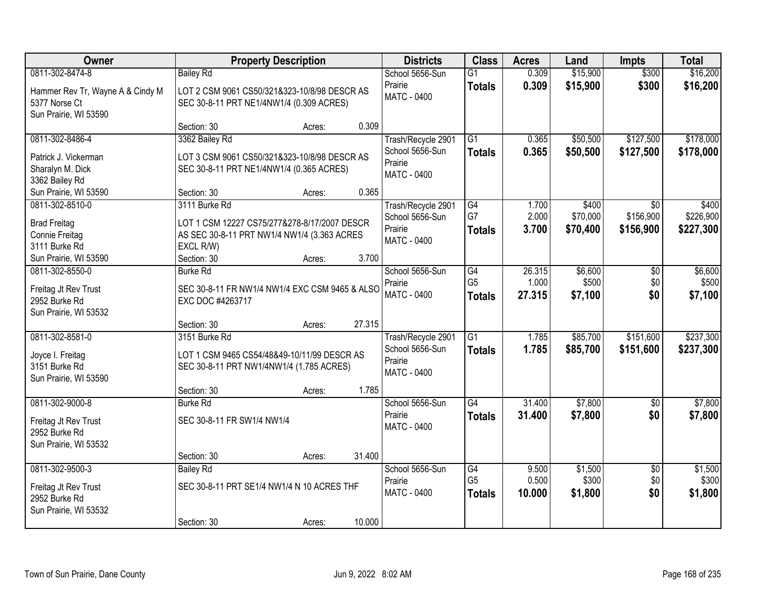| Owner                                 | <b>Property Description</b>                                        |                  | <b>Districts</b>           | <b>Class</b>         | <b>Acres</b>   | Land             | <b>Impts</b>           | <b>Total</b>     |
|---------------------------------------|--------------------------------------------------------------------|------------------|----------------------------|----------------------|----------------|------------------|------------------------|------------------|
| 0811-302-8474-8                       | <b>Bailey Rd</b>                                                   |                  | School 5656-Sun            | $\overline{G1}$      | 0.309          | \$15,900         | \$300                  | \$16,200         |
| Hammer Rev Tr, Wayne A & Cindy M      | LOT 2 CSM 9061 CS50/321&323-10/8/98 DESCR AS                       |                  | Prairie                    | <b>Totals</b>        | 0.309          | \$15,900         | \$300                  | \$16,200         |
| 5377 Norse Ct                         | SEC 30-8-11 PRT NE1/4NW1/4 (0.309 ACRES)                           |                  | <b>MATC - 0400</b>         |                      |                |                  |                        |                  |
| Sun Prairie, WI 53590                 |                                                                    |                  |                            |                      |                |                  |                        |                  |
|                                       | Section: 30                                                        | 0.309<br>Acres:  |                            |                      |                |                  |                        |                  |
| 0811-302-8486-4                       | 3362 Bailey Rd                                                     |                  | Trash/Recycle 2901         | G1                   | 0.365          | \$50,500         | \$127,500              | \$178,000        |
| Patrick J. Vickerman                  | LOT 3 CSM 9061 CS50/321&323-10/8/98 DESCR AS                       |                  | School 5656-Sun            | <b>Totals</b>        | 0.365          | \$50,500         | \$127,500              | \$178,000        |
| Sharalyn M. Dick                      | SEC 30-8-11 PRT NE1/4NW1/4 (0.365 ACRES)                           |                  | Prairie                    |                      |                |                  |                        |                  |
| 3362 Bailey Rd                        |                                                                    |                  | <b>MATC - 0400</b>         |                      |                |                  |                        |                  |
| Sun Prairie, WI 53590                 | Section: 30                                                        | 0.365<br>Acres:  |                            |                      |                |                  |                        |                  |
| 0811-302-8510-0                       | 3111 Burke Rd                                                      |                  | Trash/Recycle 2901         | G4                   | 1.700          | \$400            | \$0                    | \$400            |
| <b>Brad Freitag</b>                   | LOT 1 CSM 12227 CS75/277&278-8/17/2007 DESCR                       |                  | School 5656-Sun            | G7                   | 2.000          | \$70,000         | \$156,900              | \$226,900        |
| Connie Freitag                        | AS SEC 30-8-11 PRT NW1/4 NW1/4 (3.363 ACRES                        |                  | Prairie                    | <b>Totals</b>        | 3.700          | \$70,400         | \$156,900              | \$227,300        |
| 3111 Burke Rd                         | EXCL R/W)                                                          |                  | MATC - 0400                |                      |                |                  |                        |                  |
| Sun Prairie, WI 53590                 | Section: 30                                                        | 3.700<br>Acres:  |                            |                      |                |                  |                        |                  |
| 0811-302-8550-0                       | <b>Burke Rd</b>                                                    |                  | School 5656-Sun            | G4                   | 26.315         | \$6,600          | $\sqrt[6]{}$           | \$6,600          |
|                                       |                                                                    |                  | Prairie                    | G <sub>5</sub>       | 1.000          | \$500            | \$0                    | \$500            |
| Freitag Jt Rev Trust<br>2952 Burke Rd | SEC 30-8-11 FR NW1/4 NW1/4 EXC CSM 9465 & ALSO<br>EXC DOC #4263717 |                  | MATC - 0400                | <b>Totals</b>        | 27.315         | \$7,100          | \$0                    | \$7,100          |
| Sun Prairie, WI 53532                 |                                                                    |                  |                            |                      |                |                  |                        |                  |
|                                       | Section: 30                                                        | 27.315<br>Acres: |                            |                      |                |                  |                        |                  |
| 0811-302-8581-0                       | 3151 Burke Rd                                                      |                  | Trash/Recycle 2901         | $\overline{G1}$      | 1.785          | \$85,700         | \$151,600              | \$237,300        |
|                                       |                                                                    |                  | School 5656-Sun            | <b>Totals</b>        | 1.785          | \$85,700         | \$151,600              | \$237,300        |
| Joyce I. Freitag                      | LOT 1 CSM 9465 CS54/48&49-10/11/99 DESCR AS                        |                  | Prairie                    |                      |                |                  |                        |                  |
| 3151 Burke Rd                         | SEC 30-8-11 PRT NW1/4NW1/4 (1.785 ACRES)                           |                  | MATC - 0400                |                      |                |                  |                        |                  |
| Sun Prairie, WI 53590                 | Section: 30                                                        | 1.785<br>Acres:  |                            |                      |                |                  |                        |                  |
| 0811-302-9000-8                       | <b>Burke Rd</b>                                                    |                  | School 5656-Sun            | $\overline{G4}$      | 31.400         | \$7,800          | $\sqrt{6}$             | \$7,800          |
|                                       |                                                                    |                  | Prairie                    | <b>Totals</b>        | 31.400         | \$7,800          | \$0                    | \$7,800          |
| Freitag Jt Rev Trust                  | SEC 30-8-11 FR SW1/4 NW1/4                                         |                  | MATC - 0400                |                      |                |                  |                        |                  |
| 2952 Burke Rd                         |                                                                    |                  |                            |                      |                |                  |                        |                  |
| Sun Prairie, WI 53532                 |                                                                    |                  |                            |                      |                |                  |                        |                  |
|                                       | Section: 30                                                        | 31.400<br>Acres: |                            |                      |                |                  |                        |                  |
| 0811-302-9500-3                       | <b>Bailey Rd</b>                                                   |                  | School 5656-Sun<br>Prairie | G4<br>G <sub>5</sub> | 9.500<br>0.500 | \$1,500<br>\$300 | $\overline{30}$<br>\$0 | \$1,500<br>\$300 |
| Freitag Jt Rev Trust                  | SEC 30-8-11 PRT SE1/4 NW1/4 N 10 ACRES THF                         |                  | MATC - 0400                |                      | 10.000         | \$1,800          | \$0                    | \$1,800          |
| 2952 Burke Rd                         |                                                                    |                  |                            | <b>Totals</b>        |                |                  |                        |                  |
| Sun Prairie, WI 53532                 |                                                                    |                  |                            |                      |                |                  |                        |                  |
|                                       | Section: 30                                                        | 10.000<br>Acres: |                            |                      |                |                  |                        |                  |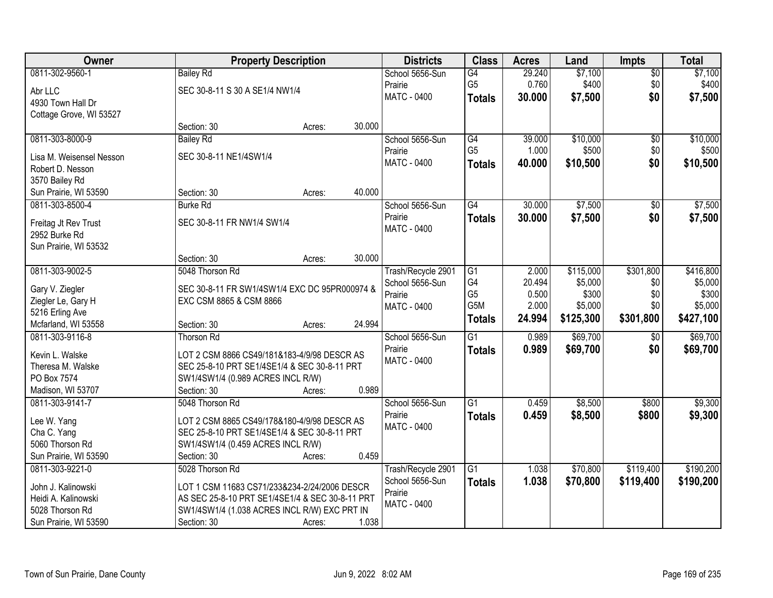| Owner                                  |                                                 | <b>Property Description</b> |        | <b>Districts</b>              | <b>Class</b>    | <b>Acres</b> | Land      | <b>Impts</b>    | <b>Total</b> |
|----------------------------------------|-------------------------------------------------|-----------------------------|--------|-------------------------------|-----------------|--------------|-----------|-----------------|--------------|
| 0811-302-9560-1                        | <b>Bailey Rd</b>                                |                             |        | School 5656-Sun               | G4              | 29.240       | \$7,100   | \$0             | \$7,100      |
| Abr LLC                                | SEC 30-8-11 S 30 A SE1/4 NW1/4                  |                             |        | Prairie                       | G <sub>5</sub>  | 0.760        | \$400     | \$0             | \$400        |
| 4930 Town Hall Dr                      |                                                 |                             |        | <b>MATC - 0400</b>            | <b>Totals</b>   | 30.000       | \$7,500   | \$0             | \$7,500      |
| Cottage Grove, WI 53527                |                                                 |                             |        |                               |                 |              |           |                 |              |
|                                        | Section: 30                                     | Acres:                      | 30.000 |                               |                 |              |           |                 |              |
| 0811-303-8000-9                        | <b>Bailey Rd</b>                                |                             |        | School 5656-Sun               | G4              | 39.000       | \$10,000  | $\overline{50}$ | \$10,000     |
| Lisa M. Weisensel Nesson               | SEC 30-8-11 NE1/4SW1/4                          |                             |        | Prairie                       | G <sub>5</sub>  | 1.000        | \$500     | \$0             | \$500        |
| Robert D. Nesson                       |                                                 |                             |        | <b>MATC - 0400</b>            | <b>Totals</b>   | 40.000       | \$10,500  | \$0             | \$10,500     |
| 3570 Bailey Rd                         |                                                 |                             |        |                               |                 |              |           |                 |              |
| Sun Prairie, WI 53590                  | Section: 30                                     | Acres:                      | 40.000 |                               |                 |              |           |                 |              |
| 0811-303-8500-4                        | <b>Burke Rd</b>                                 |                             |        | School 5656-Sun               | G4              | 30.000       | \$7,500   | $\sqrt[6]{}$    | \$7,500      |
|                                        |                                                 |                             |        | Prairie                       | <b>Totals</b>   | 30.000       | \$7,500   | \$0             | \$7,500      |
| Freitag Jt Rev Trust                   | SEC 30-8-11 FR NW1/4 SW1/4                      |                             |        | <b>MATC - 0400</b>            |                 |              |           |                 |              |
| 2952 Burke Rd<br>Sun Prairie, WI 53532 |                                                 |                             |        |                               |                 |              |           |                 |              |
|                                        | Section: 30                                     | Acres:                      | 30.000 |                               |                 |              |           |                 |              |
| 0811-303-9002-5                        | 5048 Thorson Rd                                 |                             |        | Trash/Recycle 2901            | G1              | 2.000        | \$115,000 | \$301,800       | \$416,800    |
|                                        |                                                 |                             |        | School 5656-Sun               | G4              | 20.494       | \$5,000   | \$0             | \$5,000      |
| Gary V. Ziegler                        | SEC 30-8-11 FR SW1/4SW1/4 EXC DC 95PR000974 &   |                             |        | Prairie                       | G <sub>5</sub>  | 0.500        | \$300     | \$0             | \$300        |
| Ziegler Le, Gary H                     | EXC CSM 8865 & CSM 8866                         |                             |        | MATC - 0400                   | G5M             | 2.000        | \$5,000   | \$0             | \$5,000      |
| 5216 Erling Ave                        |                                                 |                             |        |                               | <b>Totals</b>   | 24.994       | \$125,300 | \$301,800       | \$427,100    |
| Mcfarland, WI 53558                    | Section: 30                                     | Acres:                      | 24.994 |                               |                 |              |           |                 |              |
| 0811-303-9116-8                        | Thorson Rd                                      |                             |        | School 5656-Sun               | $\overline{G1}$ | 0.989        | \$69,700  | $\overline{60}$ | \$69,700     |
| Kevin L. Walske                        | LOT 2 CSM 8866 CS49/181&183-4/9/98 DESCR AS     |                             |        | Prairie<br><b>MATC - 0400</b> | <b>Totals</b>   | 0.989        | \$69,700  | \$0             | \$69,700     |
| Theresa M. Walske                      | SEC 25-8-10 PRT SE1/4SE1/4 & SEC 30-8-11 PRT    |                             |        |                               |                 |              |           |                 |              |
| PO Box 7574                            | SW1/4SW1/4 (0.989 ACRES INCL R/W)               |                             |        |                               |                 |              |           |                 |              |
| Madison, WI 53707                      | Section: 30                                     | Acres:                      | 0.989  |                               |                 |              |           |                 |              |
| 0811-303-9141-7                        | 5048 Thorson Rd                                 |                             |        | School 5656-Sun               | $\overline{G1}$ | 0.459        | \$8,500   | \$800           | \$9,300      |
| Lee W. Yang                            | LOT 2 CSM 8865 CS49/178&180-4/9/98 DESCR AS     |                             |        | Prairie                       | <b>Totals</b>   | 0.459        | \$8,500   | \$800           | \$9,300      |
| Cha C. Yang                            | SEC 25-8-10 PRT SE1/4SE1/4 & SEC 30-8-11 PRT    |                             |        | <b>MATC - 0400</b>            |                 |              |           |                 |              |
| 5060 Thorson Rd                        | SW1/4SW1/4 (0.459 ACRES INCL R/W)               |                             |        |                               |                 |              |           |                 |              |
| Sun Prairie, WI 53590                  | Section: 30                                     | Acres:                      | 0.459  |                               |                 |              |           |                 |              |
| 0811-303-9221-0                        | 5028 Thorson Rd                                 |                             |        | Trash/Recycle 2901            | $\overline{G1}$ | 1.038        | \$70,800  | \$119,400       | \$190,200    |
| John J. Kalinowski                     | LOT 1 CSM 11683 CS71/233&234-2/24/2006 DESCR    |                             |        | School 5656-Sun               | <b>Totals</b>   | 1.038        | \$70,800  | \$119,400       | \$190,200    |
| Heidi A. Kalinowski                    | AS SEC 25-8-10 PRT SE1/4SE1/4 & SEC 30-8-11 PRT |                             |        | Prairie                       |                 |              |           |                 |              |
| 5028 Thorson Rd                        | SW1/4SW1/4 (1.038 ACRES INCL R/W) EXC PRT IN    |                             |        | MATC - 0400                   |                 |              |           |                 |              |
| Sun Prairie, WI 53590                  | Section: 30                                     | Acres:                      | 1.038  |                               |                 |              |           |                 |              |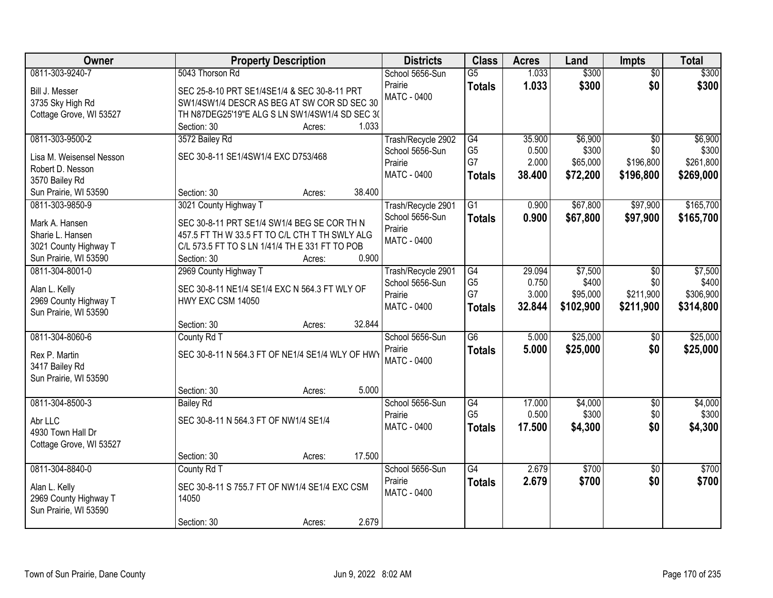| Owner                                    | <b>Property Description</b>                             | <b>Districts</b>                      | <b>Class</b>    | <b>Acres</b> | Land      | <b>Impts</b>      | <b>Total</b> |
|------------------------------------------|---------------------------------------------------------|---------------------------------------|-----------------|--------------|-----------|-------------------|--------------|
| 0811-303-9240-7                          | 5043 Thorson Rd                                         | School 5656-Sun                       | $\overline{G5}$ | 1.033        | \$300     | $\overline{50}$   | \$300        |
| Bill J. Messer                           | SEC 25-8-10 PRT SE1/4SE1/4 & SEC 30-8-11 PRT            | Prairie                               | <b>Totals</b>   | 1.033        | \$300     | \$0               | \$300        |
| 3735 Sky High Rd                         | SW1/4SW1/4 DESCR AS BEG AT SW COR SD SEC 30             | <b>MATC - 0400</b>                    |                 |              |           |                   |              |
| Cottage Grove, WI 53527                  | TH N87DEG25'19"E ALG S LN SW1/4SW1/4 SD SEC 3(          |                                       |                 |              |           |                   |              |
|                                          | 1.033<br>Section: 30<br>Acres:                          |                                       |                 |              |           |                   |              |
| 0811-303-9500-2                          | 3572 Bailey Rd                                          | Trash/Recycle 2902                    | G4              | 35.900       | \$6,900   | $\overline{50}$   | \$6,900      |
| Lisa M. Weisensel Nesson                 | SEC 30-8-11 SE1/4SW1/4 EXC D753/468                     | School 5656-Sun                       | G <sub>5</sub>  | 0.500        | \$300     | \$0               | \$300        |
| Robert D. Nesson                         |                                                         | Prairie                               | G7              | 2.000        | \$65,000  | \$196,800         | \$261,800    |
| 3570 Bailey Rd                           |                                                         | <b>MATC - 0400</b>                    | <b>Totals</b>   | 38.400       | \$72,200  | \$196,800         | \$269,000    |
| Sun Prairie, WI 53590                    | 38.400<br>Section: 30<br>Acres:                         |                                       |                 |              |           |                   |              |
| 0811-303-9850-9                          | 3021 County Highway T                                   | Trash/Recycle 2901                    | $\overline{G1}$ | 0.900        | \$67,800  | \$97,900          | \$165,700    |
|                                          |                                                         | School 5656-Sun                       | <b>Totals</b>   | 0.900        | \$67,800  | \$97,900          | \$165,700    |
| Mark A. Hansen                           | SEC 30-8-11 PRT SE1/4 SW1/4 BEG SE COR TH N             | Prairie                               |                 |              |           |                   |              |
| Sharie L. Hansen                         | 457.5 FT TH W 33.5 FT TO C/L CTH T TH SWLY ALG          | MATC - 0400                           |                 |              |           |                   |              |
| 3021 County Highway T                    | C/L 573.5 FT TO S LN 1/41/4 TH E 331 FT TO POB<br>0.900 |                                       |                 |              |           |                   |              |
| Sun Prairie, WI 53590<br>0811-304-8001-0 | Section: 30<br>Acres:                                   |                                       | G4              | 29.094       | \$7,500   |                   | \$7,500      |
|                                          | 2969 County Highway T                                   | Trash/Recycle 2901<br>School 5656-Sun | G <sub>5</sub>  | 0.750        | \$400     | $\sqrt{6}$<br>\$0 | \$400        |
| Alan L. Kelly                            | SEC 30-8-11 NE1/4 SE1/4 EXC N 564.3 FT WLY OF           | Prairie                               | G7              | 3.000        | \$95,000  | \$211,900         | \$306,900    |
| 2969 County Highway T                    | HWY EXC CSM 14050                                       | MATC - 0400                           | <b>Totals</b>   | 32.844       | \$102,900 | \$211,900         | \$314,800    |
| Sun Prairie, WI 53590                    |                                                         |                                       |                 |              |           |                   |              |
|                                          | 32.844<br>Section: 30<br>Acres:                         |                                       |                 |              |           |                   |              |
| 0811-304-8060-6                          | County Rd T                                             | School 5656-Sun                       | $\overline{G6}$ | 5.000        | \$25,000  | \$0               | \$25,000     |
| Rex P. Martin                            | SEC 30-8-11 N 564.3 FT OF NE1/4 SE1/4 WLY OF HWY        | Prairie                               | <b>Totals</b>   | 5.000        | \$25,000  | \$0               | \$25,000     |
| 3417 Bailey Rd                           |                                                         | <b>MATC - 0400</b>                    |                 |              |           |                   |              |
| Sun Prairie, WI 53590                    |                                                         |                                       |                 |              |           |                   |              |
|                                          | 5.000<br>Section: 30<br>Acres:                          |                                       |                 |              |           |                   |              |
| 0811-304-8500-3                          | <b>Bailey Rd</b>                                        | School 5656-Sun                       | G4              | 17.000       | \$4,000   | $\sqrt{6}$        | \$4,000      |
| Abr LLC                                  | SEC 30-8-11 N 564.3 FT OF NW1/4 SE1/4                   | Prairie                               | G <sub>5</sub>  | 0.500        | \$300     | \$0               | \$300        |
| 4930 Town Hall Dr                        |                                                         | MATC - 0400                           | <b>Totals</b>   | 17.500       | \$4,300   | \$0               | \$4,300      |
| Cottage Grove, WI 53527                  |                                                         |                                       |                 |              |           |                   |              |
|                                          | 17.500<br>Section: 30<br>Acres:                         |                                       |                 |              |           |                   |              |
| 0811-304-8840-0                          | County Rd T                                             | School 5656-Sun                       | $\overline{G4}$ | 2.679        | \$700     | $\overline{50}$   | \$700        |
|                                          |                                                         | Prairie                               | <b>Totals</b>   | 2.679        | \$700     | \$0               | \$700        |
| Alan L. Kelly                            | SEC 30-8-11 S 755.7 FT OF NW1/4 SE1/4 EXC CSM           | MATC - 0400                           |                 |              |           |                   |              |
| 2969 County Highway T                    | 14050                                                   |                                       |                 |              |           |                   |              |
| Sun Prairie, WI 53590                    | 2.679<br>Section: 30                                    |                                       |                 |              |           |                   |              |
|                                          | Acres:                                                  |                                       |                 |              |           |                   |              |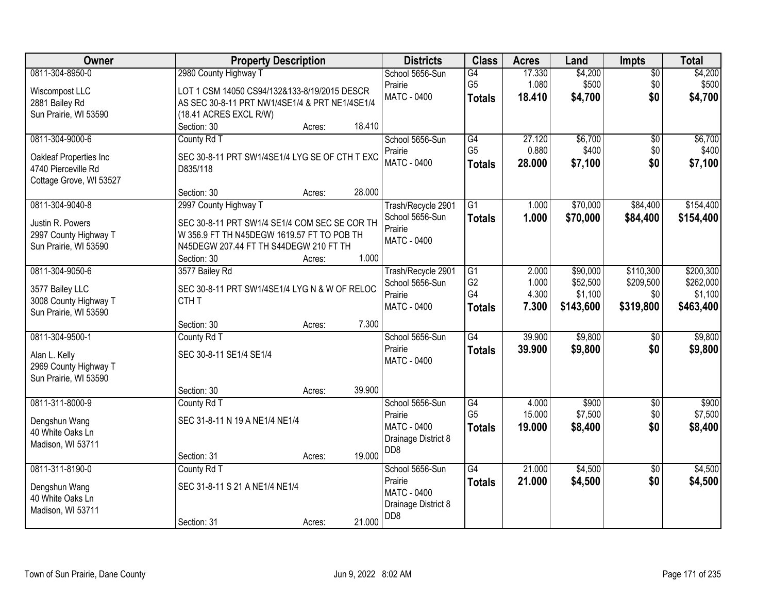| Owner                                          | <b>Property Description</b>                    |                  | <b>Districts</b>                        | <b>Class</b>    | <b>Acres</b> | Land      | <b>Impts</b>    | <b>Total</b> |
|------------------------------------------------|------------------------------------------------|------------------|-----------------------------------------|-----------------|--------------|-----------|-----------------|--------------|
| 0811-304-8950-0                                | 2980 County Highway T                          |                  | School 5656-Sun                         | G4              | 17.330       | \$4,200   | $\overline{50}$ | \$4,200      |
| Wiscompost LLC                                 | LOT 1 CSM 14050 CS94/132&133-8/19/2015 DESCR   |                  | Prairie                                 | G <sub>5</sub>  | 1.080        | \$500     | \$0             | \$500        |
| 2881 Bailey Rd                                 | AS SEC 30-8-11 PRT NW1/4SE1/4 & PRT NE1/4SE1/4 |                  | <b>MATC - 0400</b>                      | <b>Totals</b>   | 18.410       | \$4,700   | \$0             | \$4,700      |
| Sun Prairie, WI 53590                          | (18.41 ACRES EXCL R/W)                         |                  |                                         |                 |              |           |                 |              |
|                                                | Section: 30                                    | 18.410<br>Acres: |                                         |                 |              |           |                 |              |
| 0811-304-9000-6                                | County Rd T                                    |                  | School 5656-Sun                         | G4              | 27.120       | \$6,700   | $\overline{50}$ | \$6,700      |
| Oakleaf Properties Inc                         | SEC 30-8-11 PRT SW1/4SE1/4 LYG SE OF CTH T EXC |                  | Prairie                                 | G <sub>5</sub>  | 0.880        | \$400     | \$0             | \$400        |
| 4740 Pierceville Rd                            | D835/118                                       |                  | <b>MATC - 0400</b>                      | <b>Totals</b>   | 28.000       | \$7,100   | \$0             | \$7,100      |
| Cottage Grove, WI 53527                        |                                                |                  |                                         |                 |              |           |                 |              |
|                                                | Section: 30                                    | 28.000<br>Acres: |                                         |                 |              |           |                 |              |
| 0811-304-9040-8                                | 2997 County Highway T                          |                  | Trash/Recycle 2901                      | G1              | 1.000        | \$70,000  | \$84,400        | \$154,400    |
| Justin R. Powers                               | SEC 30-8-11 PRT SW1/4 SE1/4 COM SEC SE COR TH  |                  | School 5656-Sun                         | <b>Totals</b>   | 1.000        | \$70,000  | \$84,400        | \$154,400    |
| 2997 County Highway T                          | W 356.9 FT TH N45DEGW 1619.57 FT TO POB TH     |                  | Prairie                                 |                 |              |           |                 |              |
| Sun Prairie, WI 53590                          | N45DEGW 207.44 FT TH S44DEGW 210 FT TH         |                  | <b>MATC - 0400</b>                      |                 |              |           |                 |              |
|                                                | Section: 30                                    | 1.000<br>Acres:  |                                         |                 |              |           |                 |              |
| 0811-304-9050-6                                | 3577 Bailey Rd                                 |                  | Trash/Recycle 2901                      | G1              | 2.000        | \$90,000  | \$110,300       | \$200,300    |
|                                                |                                                |                  | School 5656-Sun                         | G <sub>2</sub>  | 1.000        | \$52,500  | \$209,500       | \$262,000    |
| 3577 Bailey LLC                                | SEC 30-8-11 PRT SW1/4SE1/4 LYG N & W OF RELOC  |                  | Prairie                                 | G4              | 4.300        | \$1,100   | \$0             | \$1,100      |
| 3008 County Highway T<br>Sun Prairie, WI 53590 | CTH <sub>T</sub>                               |                  | <b>MATC - 0400</b>                      | <b>Totals</b>   | 7.300        | \$143,600 | \$319,800       | \$463,400    |
|                                                | Section: 30                                    | 7.300<br>Acres:  |                                         |                 |              |           |                 |              |
| 0811-304-9500-1                                | County Rd T                                    |                  | School 5656-Sun                         | G4              | 39.900       | \$9,800   | $\overline{50}$ | \$9,800      |
|                                                |                                                |                  | Prairie                                 | <b>Totals</b>   | 39.900       | \$9,800   | \$0             | \$9,800      |
| Alan L. Kelly                                  | SEC 30-8-11 SE1/4 SE1/4                        |                  | <b>MATC - 0400</b>                      |                 |              |           |                 |              |
| 2969 County Highway T                          |                                                |                  |                                         |                 |              |           |                 |              |
| Sun Prairie, WI 53590                          |                                                | 39.900           |                                         |                 |              |           |                 |              |
| 0811-311-8000-9                                | Section: 30<br>County Rd T                     | Acres:           | School 5656-Sun                         | G4              | 4.000        | \$900     | $\overline{50}$ | \$900        |
|                                                |                                                |                  | Prairie                                 | G <sub>5</sub>  | 15.000       | \$7,500   | \$0             | \$7,500      |
| Dengshun Wang                                  | SEC 31-8-11 N 19 A NE1/4 NE1/4                 |                  | <b>MATC - 0400</b>                      | <b>Totals</b>   | 19.000       | \$8,400   | \$0             | \$8,400      |
| 40 White Oaks Ln                               |                                                |                  | Drainage District 8                     |                 |              |           |                 |              |
| Madison, WI 53711                              |                                                |                  | D <sub>D</sub> 8                        |                 |              |           |                 |              |
|                                                | Section: 31                                    | 19.000<br>Acres: |                                         |                 |              |           |                 |              |
| 0811-311-8190-0                                | County Rd T                                    |                  | School 5656-Sun                         | $\overline{G4}$ | 21.000       | \$4,500   | $\overline{30}$ | \$4,500      |
| Dengshun Wang                                  | SEC 31-8-11 S 21 A NE1/4 NE1/4                 |                  | Prairie                                 | <b>Totals</b>   | 21.000       | \$4,500   | \$0             | \$4,500      |
| 40 White Oaks Ln                               |                                                |                  | <b>MATC - 0400</b>                      |                 |              |           |                 |              |
| Madison, WI 53711                              |                                                |                  | Drainage District 8<br>D <sub>D</sub> 8 |                 |              |           |                 |              |
|                                                | Section: 31                                    | 21.000<br>Acres: |                                         |                 |              |           |                 |              |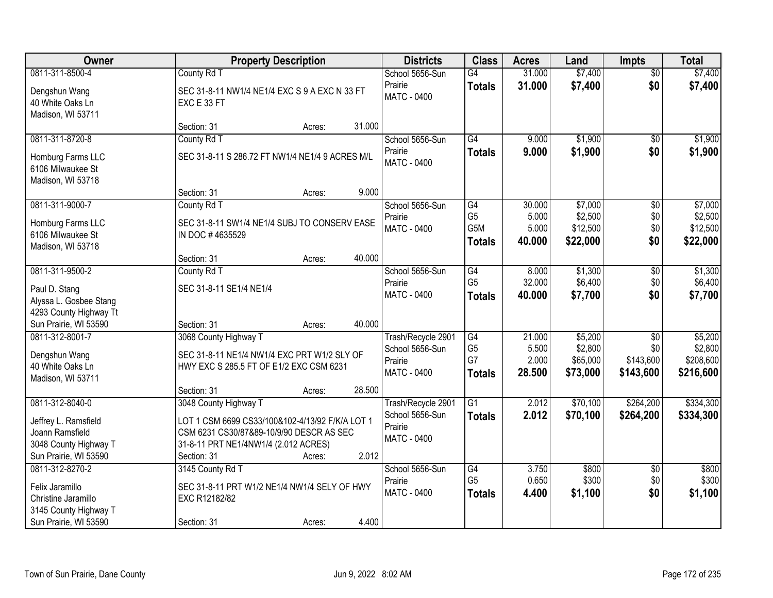| Owner                                                       | <b>Property Description</b>                                  |                  | <b>Districts</b>              | <b>Class</b>          | <b>Acres</b>   | Land                | <b>Impts</b>           | <b>Total</b>         |
|-------------------------------------------------------------|--------------------------------------------------------------|------------------|-------------------------------|-----------------------|----------------|---------------------|------------------------|----------------------|
| 0811-311-8500-4                                             | County Rd T                                                  |                  | School 5656-Sun               | $\overline{G4}$       | 31.000         | \$7,400             | $\overline{50}$        | \$7,400              |
| Dengshun Wang<br>40 White Oaks Ln<br>Madison, WI 53711      | SEC 31-8-11 NW1/4 NE1/4 EXC S 9 A EXC N 33 FT<br>EXC E 33 FT |                  | Prairie<br>MATC - 0400        | <b>Totals</b>         | 31.000         | \$7,400             | \$0                    | \$7,400              |
|                                                             | Section: 31                                                  | 31.000<br>Acres: |                               |                       |                |                     |                        |                      |
| 0811-311-8720-8                                             | County Rd T                                                  |                  | School 5656-Sun<br>Prairie    | G4<br><b>Totals</b>   | 9.000<br>9.000 | \$1,900<br>\$1,900  | $\overline{50}$<br>\$0 | \$1,900<br>\$1,900   |
| Homburg Farms LLC<br>6106 Milwaukee St<br>Madison, WI 53718 | SEC 31-8-11 S 286.72 FT NW1/4 NE1/4 9 ACRES M/L              |                  | <b>MATC - 0400</b>            |                       |                |                     |                        |                      |
|                                                             | Section: 31                                                  | 9.000<br>Acres:  |                               |                       |                |                     |                        |                      |
| 0811-311-9000-7                                             | County Rd T                                                  |                  | School 5656-Sun               | G4                    | 30.000         | \$7,000             | $\overline{50}$        | \$7,000              |
| Homburg Farms LLC                                           | SEC 31-8-11 SW1/4 NE1/4 SUBJ TO CONSERV EASE                 |                  | Prairie<br>MATC - 0400        | G <sub>5</sub><br>G5M | 5.000<br>5.000 | \$2,500<br>\$12,500 | \$0<br>\$0             | \$2,500<br>\$12,500  |
| 6106 Milwaukee St                                           | IN DOC #4635529                                              |                  |                               | <b>Totals</b>         | 40.000         | \$22,000            | \$0                    | \$22,000             |
| Madison, WI 53718                                           |                                                              |                  |                               |                       |                |                     |                        |                      |
|                                                             | Section: 31                                                  | 40.000<br>Acres: |                               |                       |                |                     |                        |                      |
| 0811-311-9500-2                                             | County Rd T                                                  |                  | School 5656-Sun               | G4                    | 8.000          | \$1,300             | \$0                    | \$1,300              |
| Paul D. Stang                                               | SEC 31-8-11 SE1/4 NE1/4                                      |                  | Prairie<br><b>MATC - 0400</b> | G <sub>5</sub>        | 32.000         | \$6,400             | \$0<br>\$0             | \$6,400              |
| Alyssa L. Gosbee Stang                                      |                                                              |                  |                               | <b>Totals</b>         | 40.000         | \$7,700             |                        | \$7,700              |
| 4293 County Highway Tt                                      |                                                              |                  |                               |                       |                |                     |                        |                      |
| Sun Prairie, WI 53590                                       | Section: 31                                                  | 40.000<br>Acres: |                               |                       |                |                     |                        |                      |
| 0811-312-8001-7                                             | 3068 County Highway T                                        |                  | Trash/Recycle 2901            | $\overline{G4}$       | 21.000         | \$5,200             | $\overline{30}$        | \$5,200              |
| Dengshun Wang                                               | SEC 31-8-11 NE1/4 NW1/4 EXC PRT W1/2 SLY OF                  |                  | School 5656-Sun<br>Prairie    | G <sub>5</sub><br>G7  | 5.500<br>2.000 | \$2,800<br>\$65,000 | \$0<br>\$143,600       | \$2,800<br>\$208,600 |
| 40 White Oaks Ln                                            | HWY EXC S 285.5 FT OF E1/2 EXC CSM 6231                      |                  | <b>MATC - 0400</b>            | <b>Totals</b>         | 28.500         | \$73,000            | \$143,600              | \$216,600            |
| Madison, WI 53711                                           |                                                              |                  |                               |                       |                |                     |                        |                      |
|                                                             | Section: 31                                                  | 28.500<br>Acres: |                               |                       |                |                     |                        |                      |
| 0811-312-8040-0                                             | 3048 County Highway T                                        |                  | Trash/Recycle 2901            | $\overline{G1}$       | 2.012          | \$70,100            | \$264,200              | \$334,300            |
| Jeffrey L. Ramsfield                                        | LOT 1 CSM 6699 CS33/100&102-4/13/92 F/K/A LOT 1              |                  | School 5656-Sun<br>Prairie    | <b>Totals</b>         | 2.012          | \$70,100            | \$264,200              | \$334,300            |
| Joann Ramsfield                                             | CSM 6231 CS30/87&89-10/9/90 DESCR AS SEC                     |                  | <b>MATC - 0400</b>            |                       |                |                     |                        |                      |
| 3048 County Highway T                                       | 31-8-11 PRT NE1/4NW1/4 (2.012 ACRES)                         |                  |                               |                       |                |                     |                        |                      |
| Sun Prairie, WI 53590                                       | Section: 31                                                  | 2.012<br>Acres:  |                               |                       |                |                     |                        |                      |
| 0811-312-8270-2                                             | 3145 County Rd T                                             |                  | School 5656-Sun               | G4<br>G <sub>5</sub>  | 3.750          | \$800               | $\overline{30}$        | \$800                |
| Felix Jaramillo                                             | SEC 31-8-11 PRT W1/2 NE1/4 NW1/4 SELY OF HWY                 |                  | Prairie                       |                       | 0.650          | \$300               | \$0                    | \$300                |
| Christine Jaramillo                                         | EXC R12182/82                                                |                  | MATC - 0400                   | <b>Totals</b>         | 4.400          | \$1,100             | \$0                    | \$1,100              |
| 3145 County Highway T                                       |                                                              |                  |                               |                       |                |                     |                        |                      |
| Sun Prairie, WI 53590                                       | Section: 31                                                  | 4.400<br>Acres:  |                               |                       |                |                     |                        |                      |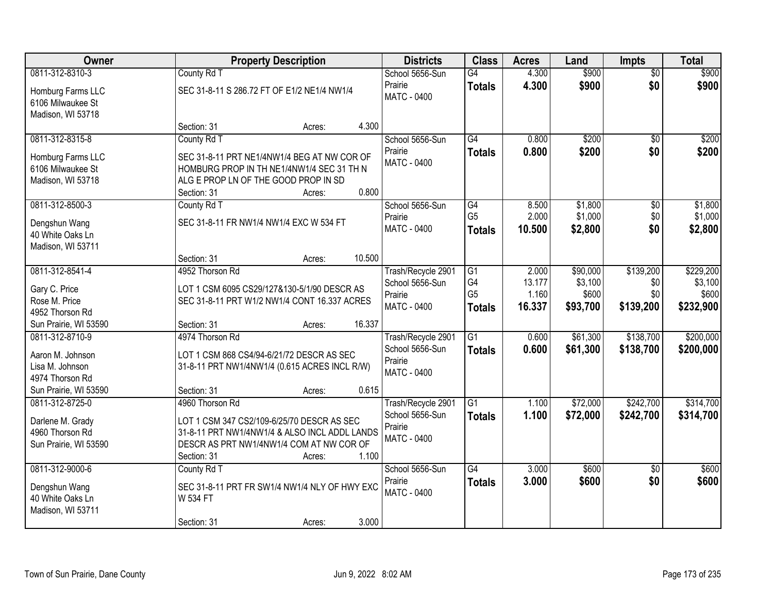| Owner                                                                           | <b>Property Description</b>                                                                                                                                                         | <b>Districts</b>                                                         | <b>Class</b>                                       | <b>Acres</b>                       | Land                                     | <b>Impts</b>                         | <b>Total</b>                               |
|---------------------------------------------------------------------------------|-------------------------------------------------------------------------------------------------------------------------------------------------------------------------------------|--------------------------------------------------------------------------|----------------------------------------------------|------------------------------------|------------------------------------------|--------------------------------------|--------------------------------------------|
| 0811-312-8310-3<br>Homburg Farms LLC<br>6106 Milwaukee St                       | County Rd T<br>SEC 31-8-11 S 286.72 FT OF E1/2 NE1/4 NW1/4                                                                                                                          | School 5656-Sun<br>Prairie<br><b>MATC - 0400</b>                         | G4<br><b>Totals</b>                                | 4.300<br>4.300                     | \$900<br>\$900                           | $\overline{60}$<br>\$0               | \$900<br>\$900                             |
| Madison, WI 53718                                                               | Section: 31<br>Acres:                                                                                                                                                               | 4.300                                                                    |                                                    |                                    |                                          |                                      |                                            |
| 0811-312-8315-8<br>Homburg Farms LLC                                            | County Rd T<br>SEC 31-8-11 PRT NE1/4NW1/4 BEG AT NW COR OF                                                                                                                          | School 5656-Sun<br>Prairie<br><b>MATC - 0400</b>                         | $\overline{G4}$<br><b>Totals</b>                   | 0.800<br>0.800                     | \$200<br>\$200                           | \$0<br>\$0                           | \$200<br>\$200                             |
| 6106 Milwaukee St<br>Madison, WI 53718                                          | HOMBURG PROP IN TH NE1/4NW1/4 SEC 31 TH N<br>ALG E PROP LN OF THE GOOD PROP IN SD<br>Section: 31<br>Acres:                                                                          | 0.800                                                                    |                                                    |                                    |                                          |                                      |                                            |
| 0811-312-8500-3<br>Dengshun Wang<br>40 White Oaks Ln<br>Madison, WI 53711       | County Rd T<br>SEC 31-8-11 FR NW1/4 NW1/4 EXC W 534 FT                                                                                                                              | School 5656-Sun<br>Prairie<br><b>MATC - 0400</b>                         | $\overline{G4}$<br>G <sub>5</sub><br><b>Totals</b> | 8.500<br>2.000<br>10.500           | \$1,800<br>\$1,000<br>\$2,800            | \$0<br>\$0<br>\$0                    | \$1,800<br>\$1,000<br>\$2,800              |
|                                                                                 | Section: 31<br>Acres:                                                                                                                                                               | 10.500                                                                   |                                                    |                                    |                                          |                                      |                                            |
| 0811-312-8541-4<br>Gary C. Price<br>Rose M. Price<br>4952 Thorson Rd            | 4952 Thorson Rd<br>LOT 1 CSM 6095 CS29/127&130-5/1/90 DESCR AS<br>SEC 31-8-11 PRT W1/2 NW1/4 CONT 16.337 ACRES                                                                      | Trash/Recycle 2901<br>School 5656-Sun<br>Prairie<br><b>MATC - 0400</b>   | G1<br>G4<br>G <sub>5</sub><br><b>Totals</b>        | 2.000<br>13.177<br>1.160<br>16.337 | \$90,000<br>\$3,100<br>\$600<br>\$93,700 | \$139,200<br>\$0<br>\$0<br>\$139,200 | \$229,200<br>\$3,100<br>\$600<br>\$232,900 |
| Sun Prairie, WI 53590<br>0811-312-8710-9<br>Aaron M. Johnson                    | Section: 31<br>Acres:<br>4974 Thorson Rd<br>LOT 1 CSM 868 CS4/94-6/21/72 DESCR AS SEC                                                                                               | 16.337<br>Trash/Recycle 2901<br>School 5656-Sun<br>Prairie               | $\overline{G1}$<br><b>Totals</b>                   | 0.600<br>0.600                     | \$61,300<br>\$61,300                     | \$138,700<br>\$138,700               | \$200,000<br>\$200,000                     |
| Lisa M. Johnson<br>4974 Thorson Rd<br>Sun Prairie, WI 53590                     | 31-8-11 PRT NW1/4NW1/4 (0.615 ACRES INCL R/W)<br>Section: 31<br>Acres:                                                                                                              | MATC - 0400<br>0.615                                                     |                                                    |                                    |                                          |                                      |                                            |
| 0811-312-8725-0<br>Darlene M. Grady<br>4960 Thorson Rd<br>Sun Prairie, WI 53590 | 4960 Thorson Rd<br>LOT 1 CSM 347 CS2/109-6/25/70 DESCR AS SEC<br>31-8-11 PRT NW1/4NW1/4 & ALSO INCL ADDL LANDS<br>DESCR AS PRT NW1/4NW1/4 COM AT NW COR OF<br>Section: 31<br>Acres: | Trash/Recycle 2901<br>School 5656-Sun<br>Prairie<br>MATC - 0400<br>1.100 | G1<br><b>Totals</b>                                | 1.100<br>1.100                     | \$72,000<br>\$72,000                     | \$242,700<br>\$242,700               | \$314,700<br>\$314,700                     |
| 0811-312-9000-6<br>Dengshun Wang<br>40 White Oaks Ln<br>Madison, WI 53711       | County Rd T<br>SEC 31-8-11 PRT FR SW1/4 NW1/4 NLY OF HWY EXC<br>W 534 FT<br>Section: 31<br>Acres:                                                                                   | School 5656-Sun<br>Prairie<br><b>MATC - 0400</b><br>3.000                | G4<br><b>Totals</b>                                | 3.000<br>3.000                     | \$600<br>\$600                           | $\overline{30}$<br>\$0               | \$600<br>\$600                             |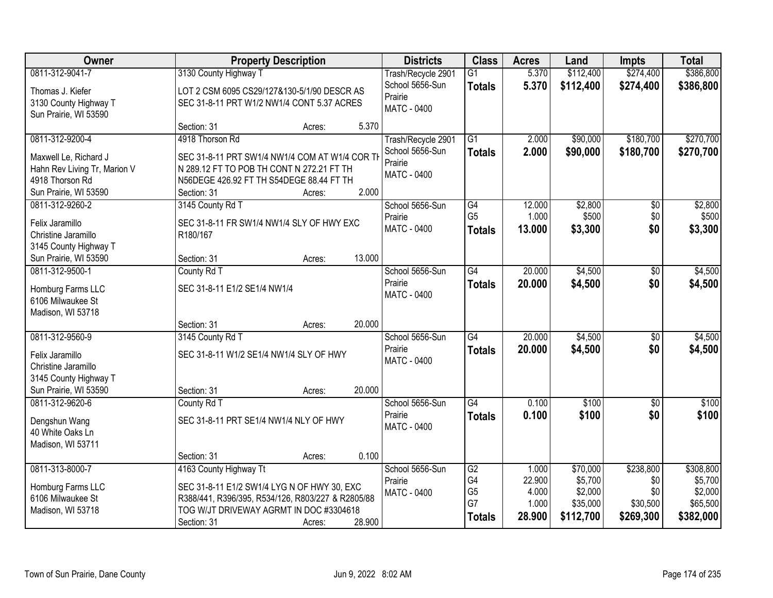| Owner                        |                                                   | <b>Property Description</b> |        | <b>Districts</b>   | <b>Class</b>         | <b>Acres</b>   | Land               | <b>Impts</b>    | <b>Total</b>       |
|------------------------------|---------------------------------------------------|-----------------------------|--------|--------------------|----------------------|----------------|--------------------|-----------------|--------------------|
| 0811-312-9041-7              | 3130 County Highway T                             |                             |        | Trash/Recycle 2901 | G1                   | 5.370          | \$112,400          | \$274,400       | \$386,800          |
| Thomas J. Kiefer             | LOT 2 CSM 6095 CS29/127&130-5/1/90 DESCR AS       |                             |        | School 5656-Sun    | <b>Totals</b>        | 5.370          | \$112,400          | \$274,400       | \$386,800          |
| 3130 County Highway T        | SEC 31-8-11 PRT W1/2 NW1/4 CONT 5.37 ACRES        |                             |        | Prairie            |                      |                |                    |                 |                    |
| Sun Prairie, WI 53590        |                                                   |                             |        | <b>MATC - 0400</b> |                      |                |                    |                 |                    |
|                              | Section: 31                                       | Acres:                      | 5.370  |                    |                      |                |                    |                 |                    |
| 0811-312-9200-4              | 4918 Thorson Rd                                   |                             |        | Trash/Recycle 2901 | $\overline{G1}$      | 2.000          | \$90,000           | \$180,700       | \$270,700          |
| Maxwell Le, Richard J        | SEC 31-8-11 PRT SW1/4 NW1/4 COM AT W1/4 COR TH    |                             |        | School 5656-Sun    | <b>Totals</b>        | 2.000          | \$90,000           | \$180,700       | \$270,700          |
| Hahn Rev Living Tr, Marion V | N 289.12 FT TO POB TH CONT N 272.21 FT TH         |                             |        | Prairie            |                      |                |                    |                 |                    |
| 4918 Thorson Rd              | N56DEGE 426.92 FT TH S54DEGE 88.44 FT TH          |                             |        | MATC - 0400        |                      |                |                    |                 |                    |
| Sun Prairie, WI 53590        | Section: 31                                       | Acres:                      | 2.000  |                    |                      |                |                    |                 |                    |
| 0811-312-9260-2              | 3145 County Rd T                                  |                             |        | School 5656-Sun    | G4                   | 12.000         | \$2,800            | \$0             | \$2,800            |
| Felix Jaramillo              | SEC 31-8-11 FR SW1/4 NW1/4 SLY OF HWY EXC         |                             |        | Prairie            | G <sub>5</sub>       | 1.000          | \$500              | \$0             | \$500              |
| Christine Jaramillo          | R180/167                                          |                             |        | MATC - 0400        | <b>Totals</b>        | 13.000         | \$3,300            | \$0             | \$3,300            |
| 3145 County Highway T        |                                                   |                             |        |                    |                      |                |                    |                 |                    |
| Sun Prairie, WI 53590        | Section: 31                                       | Acres:                      | 13.000 |                    |                      |                |                    |                 |                    |
| 0811-312-9500-1              | County Rd T                                       |                             |        | School 5656-Sun    | G4                   | 20.000         | \$4,500            | $\sqrt[6]{}$    | \$4,500            |
| Homburg Farms LLC            | SEC 31-8-11 E1/2 SE1/4 NW1/4                      |                             |        | Prairie            | <b>Totals</b>        | 20.000         | \$4,500            | \$0             | \$4,500            |
| 6106 Milwaukee St            |                                                   |                             |        | <b>MATC - 0400</b> |                      |                |                    |                 |                    |
| Madison, WI 53718            |                                                   |                             |        |                    |                      |                |                    |                 |                    |
|                              | Section: 31                                       | Acres:                      | 20.000 |                    |                      |                |                    |                 |                    |
| 0811-312-9560-9              | 3145 County Rd T                                  |                             |        | School 5656-Sun    | $\overline{G4}$      | 20.000         | \$4,500            | \$0             | \$4,500            |
| Felix Jaramillo              | SEC 31-8-11 W1/2 SE1/4 NW1/4 SLY OF HWY           |                             |        | Prairie            | <b>Totals</b>        | 20,000         | \$4,500            | \$0             | \$4,500            |
| Christine Jaramillo          |                                                   |                             |        | <b>MATC - 0400</b> |                      |                |                    |                 |                    |
| 3145 County Highway T        |                                                   |                             |        |                    |                      |                |                    |                 |                    |
| Sun Prairie, WI 53590        | Section: 31                                       | Acres:                      | 20.000 |                    |                      |                |                    |                 |                    |
| 0811-312-9620-6              | County Rd T                                       |                             |        | School 5656-Sun    | $\overline{G4}$      | 0.100          | $\overline{$100}$  | $\overline{50}$ | \$100              |
| Dengshun Wang                | SEC 31-8-11 PRT SE1/4 NW1/4 NLY OF HWY            |                             |        | Prairie            | <b>Totals</b>        | 0.100          | \$100              | \$0             | \$100              |
| 40 White Oaks Ln             |                                                   |                             |        | <b>MATC - 0400</b> |                      |                |                    |                 |                    |
| Madison, WI 53711            |                                                   |                             |        |                    |                      |                |                    |                 |                    |
|                              | Section: 31                                       | Acres:                      | 0.100  |                    |                      |                |                    |                 |                    |
| 0811-313-8000-7              | 4163 County Highway Tt                            |                             |        | School 5656-Sun    | G2                   | 1.000          | \$70,000           | \$238,800       | \$308,800          |
| Homburg Farms LLC            | SEC 31-8-11 E1/2 SW1/4 LYG N OF HWY 30, EXC       |                             |        | Prairie            | G4<br>G <sub>5</sub> | 22.900         | \$5,700<br>\$2,000 | \$0<br>\$0      | \$5,700<br>\$2,000 |
| 6106 Milwaukee St            | R388/441, R396/395, R534/126, R803/227 & R2805/88 |                             |        | <b>MATC - 0400</b> | G7                   | 4.000<br>1.000 | \$35,000           | \$30,500        | \$65,500           |
| Madison, WI 53718            | TOG W/JT DRIVEWAY AGRMT IN DOC #3304618           |                             |        |                    | <b>Totals</b>        | 28.900         | \$112,700          | \$269,300       | \$382,000          |
|                              | Section: 31                                       | Acres:                      | 28.900 |                    |                      |                |                    |                 |                    |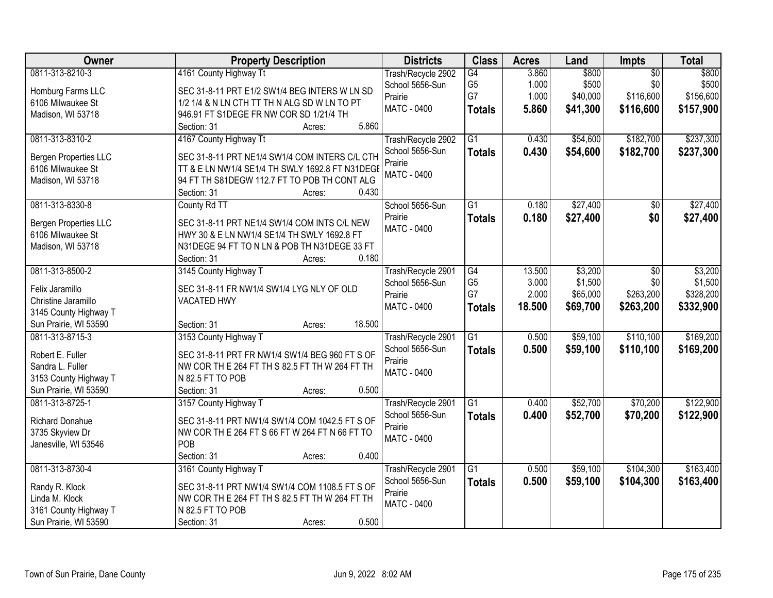| Owner                        | <b>Property Description</b>                                                    | <b>Districts</b>   | <b>Class</b>    | <b>Acres</b> | Land     | <b>Impts</b>    | <b>Total</b> |
|------------------------------|--------------------------------------------------------------------------------|--------------------|-----------------|--------------|----------|-----------------|--------------|
| 0811-313-8210-3              | 4161 County Highway Tt                                                         | Trash/Recycle 2902 | G4              | 3.860        | \$800    | $\overline{50}$ | \$800        |
| Homburg Farms LLC            | SEC 31-8-11 PRT E1/2 SW1/4 BEG INTERS W LN SD                                  | School 5656-Sun    | G <sub>5</sub>  | 1.000        | \$500    | \$0             | \$500        |
| 6106 Milwaukee St            | 1/2 1/4 & N LN CTH TT TH N ALG SD W LN TO PT                                   | Prairie            | G7              | 1.000        | \$40,000 | \$116,600       | \$156,600    |
| Madison, WI 53718            | 946.91 FT S1DEGE FR NW COR SD 1/21/4 TH                                        | <b>MATC - 0400</b> | <b>Totals</b>   | 5.860        | \$41,300 | \$116,600       | \$157,900    |
|                              | 5.860<br>Section: 31<br>Acres:                                                 |                    |                 |              |          |                 |              |
| 0811-313-8310-2              | 4167 County Highway Tt                                                         | Trash/Recycle 2902 | $\overline{G1}$ | 0.430        | \$54,600 | \$182,700       | \$237,300    |
| <b>Bergen Properties LLC</b> | SEC 31-8-11 PRT NE1/4 SW1/4 COM INTERS C/L CTH                                 | School 5656-Sun    | <b>Totals</b>   | 0.430        | \$54,600 | \$182,700       | \$237,300    |
| 6106 Milwaukee St            | TT & E LN NW1/4 SE1/4 TH SWLY 1692.8 FT N31DEGE                                | Prairie            |                 |              |          |                 |              |
| Madison, WI 53718            | 94 FT TH S81DEGW 112.7 FT TO POB TH CONT ALG                                   | <b>MATC - 0400</b> |                 |              |          |                 |              |
|                              | 0.430<br>Section: 31<br>Acres:                                                 |                    |                 |              |          |                 |              |
| 0811-313-8330-8              | County Rd TT                                                                   | School 5656-Sun    | $\overline{G1}$ | 0.180        | \$27,400 | $\overline{50}$ | \$27,400     |
|                              |                                                                                | Prairie            | <b>Totals</b>   | 0.180        | \$27,400 | \$0             | \$27,400     |
| <b>Bergen Properties LLC</b> | SEC 31-8-11 PRT NE1/4 SW1/4 COM INTS C/L NEW                                   | <b>MATC - 0400</b> |                 |              |          |                 |              |
| 6106 Milwaukee St            | HWY 30 & E LN NW1/4 SE1/4 TH SWLY 1692.8 FT                                    |                    |                 |              |          |                 |              |
| Madison, WI 53718            | N31DEGE 94 FT TO N LN & POB TH N31DEGE 33 FT<br>Section: 31<br>0.180<br>Acres: |                    |                 |              |          |                 |              |
| 0811-313-8500-2              | 3145 County Highway T                                                          | Trash/Recycle 2901 | G4              | 13.500       | \$3,200  | \$0             | \$3,200      |
|                              |                                                                                | School 5656-Sun    | G <sub>5</sub>  | 3.000        | \$1,500  | \$0             | \$1,500      |
| Felix Jaramillo              | SEC 31-8-11 FR NW1/4 SW1/4 LYG NLY OF OLD                                      | Prairie            | G7              | 2.000        | \$65,000 | \$263,200       | \$328,200    |
| Christine Jaramillo          | <b>VACATED HWY</b>                                                             | MATC - 0400        | <b>Totals</b>   | 18.500       | \$69,700 | \$263,200       | \$332,900    |
| 3145 County Highway T        |                                                                                |                    |                 |              |          |                 |              |
| Sun Prairie, WI 53590        | 18.500<br>Section: 31<br>Acres:                                                |                    |                 |              |          |                 |              |
| 0811-313-8715-3              | 3153 County Highway T                                                          | Trash/Recycle 2901 | $\overline{G1}$ | 0.500        | \$59,100 | \$110,100       | \$169,200    |
| Robert E. Fuller             | SEC 31-8-11 PRT FR NW1/4 SW1/4 BEG 960 FT S OF                                 | School 5656-Sun    | <b>Totals</b>   | 0.500        | \$59,100 | \$110,100       | \$169,200    |
| Sandra L. Fuller             | NW COR TH E 264 FT TH S 82.5 FT TH W 264 FT TH                                 | Prairie            |                 |              |          |                 |              |
| 3153 County Highway T        | N 82.5 FT TO POB                                                               | <b>MATC - 0400</b> |                 |              |          |                 |              |
| Sun Prairie, WI 53590        | 0.500<br>Section: 31<br>Acres:                                                 |                    |                 |              |          |                 |              |
| 0811-313-8725-1              | 3157 County Highway T                                                          | Trash/Recycle 2901 | $\overline{G1}$ | 0.400        | \$52,700 | \$70,200        | \$122,900    |
| <b>Richard Donahue</b>       | SEC 31-8-11 PRT NW1/4 SW1/4 COM 1042.5 FT S OF                                 | School 5656-Sun    | <b>Totals</b>   | 0.400        | \$52,700 | \$70,200        | \$122,900    |
| 3735 Skyview Dr              | NW COR TH E 264 FT S 66 FT W 264 FT N 66 FT TO                                 | Prairie            |                 |              |          |                 |              |
| Janesville, WI 53546         | POB                                                                            | <b>MATC - 0400</b> |                 |              |          |                 |              |
|                              | 0.400<br>Section: 31<br>Acres:                                                 |                    |                 |              |          |                 |              |
| 0811-313-8730-4              | 3161 County Highway T                                                          | Trash/Recycle 2901 | $\overline{G1}$ | 0.500        | \$59,100 | \$104,300       | \$163,400    |
| Randy R. Klock               | SEC 31-8-11 PRT NW1/4 SW1/4 COM 1108.5 FT S OF                                 | School 5656-Sun    | <b>Totals</b>   | 0.500        | \$59,100 | \$104,300       | \$163,400    |
| Linda M. Klock               | NW COR TH E 264 FT TH S 82.5 FT TH W 264 FT TH                                 | Prairie            |                 |              |          |                 |              |
| 3161 County Highway T        | N 82.5 FT TO POB                                                               | <b>MATC - 0400</b> |                 |              |          |                 |              |
| Sun Prairie, WI 53590        | 0.500<br>Section: 31<br>Acres:                                                 |                    |                 |              |          |                 |              |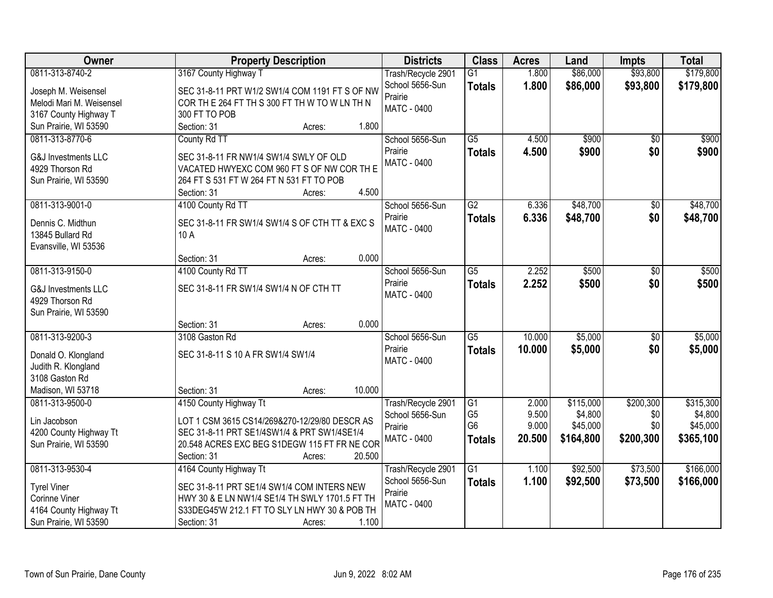| Owner                          | <b>Property Description</b>                       | <b>Districts</b>                      | <b>Class</b>         | <b>Acres</b>   | Land                 | <b>Impts</b>     | <b>Total</b>         |
|--------------------------------|---------------------------------------------------|---------------------------------------|----------------------|----------------|----------------------|------------------|----------------------|
| 0811-313-8740-2                | 3167 County Highway T                             | Trash/Recycle 2901                    | $\overline{G1}$      | 1.800          | \$86,000             | \$93,800         | \$179,800            |
| Joseph M. Weisensel            | SEC 31-8-11 PRT W1/2 SW1/4 COM 1191 FT S OF NW    | School 5656-Sun                       | <b>Totals</b>        | 1.800          | \$86,000             | \$93,800         | \$179,800            |
| Melodi Mari M. Weisensel       | COR THE 264 FT TH S 300 FT TH W TO WLN TH N       | Prairie                               |                      |                |                      |                  |                      |
| 3167 County Highway T          | 300 FT TO POB                                     | <b>MATC - 0400</b>                    |                      |                |                      |                  |                      |
| Sun Prairie, WI 53590          | Section: 31<br>1.800<br>Acres:                    |                                       |                      |                |                      |                  |                      |
| 0811-313-8770-6                | County Rd TT                                      | School 5656-Sun                       | $\overline{G5}$      | 4.500          | \$900                | $\overline{50}$  | \$900                |
|                                |                                                   | Prairie                               | <b>Totals</b>        | 4.500          | \$900                | \$0              | \$900                |
| <b>G&amp;J Investments LLC</b> | SEC 31-8-11 FR NW1/4 SW1/4 SWLY OF OLD            | <b>MATC - 0400</b>                    |                      |                |                      |                  |                      |
| 4929 Thorson Rd                | VACATED HWYEXC COM 960 FT S OF NW COR TH E        |                                       |                      |                |                      |                  |                      |
| Sun Prairie, WI 53590          | 264 FT S 531 FT W 264 FT N 531 FT TO POB<br>4.500 |                                       |                      |                |                      |                  |                      |
|                                | Section: 31<br>Acres:                             |                                       | $\overline{G2}$      |                |                      |                  |                      |
| 0811-313-9001-0                | 4100 County Rd TT                                 | School 5656-Sun                       |                      | 6.336          | \$48,700             | $\overline{50}$  | \$48,700             |
| Dennis C. Midthun              | SEC 31-8-11 FR SW1/4 SW1/4 S OF CTH TT & EXC S    | Prairie<br><b>MATC - 0400</b>         | <b>Totals</b>        | 6.336          | \$48,700             | \$0              | \$48,700             |
| 13845 Bullard Rd               | 10 A                                              |                                       |                      |                |                      |                  |                      |
| Evansville, WI 53536           |                                                   |                                       |                      |                |                      |                  |                      |
|                                | 0.000<br>Section: 31<br>Acres:                    |                                       |                      |                |                      |                  |                      |
| 0811-313-9150-0                | 4100 County Rd TT                                 | School 5656-Sun                       | $\overline{G5}$      | 2.252          | \$500                | \$0              | \$500                |
| G&J Investments LLC            | SEC 31-8-11 FR SW1/4 SW1/4 N OF CTH TT            | Prairie                               | <b>Totals</b>        | 2.252          | \$500                | \$0              | \$500                |
| 4929 Thorson Rd                |                                                   | <b>MATC - 0400</b>                    |                      |                |                      |                  |                      |
| Sun Prairie, WI 53590          |                                                   |                                       |                      |                |                      |                  |                      |
|                                | 0.000<br>Section: 31<br>Acres:                    |                                       |                      |                |                      |                  |                      |
| 0811-313-9200-3                | 3108 Gaston Rd                                    | School 5656-Sun                       | $\overline{G5}$      | 10.000         | \$5,000              | $\overline{50}$  | \$5,000              |
|                                |                                                   | Prairie                               | <b>Totals</b>        | 10.000         | \$5,000              | \$0              | \$5,000              |
| Donald O. Klongland            | SEC 31-8-11 S 10 A FR SW1/4 SW1/4                 | <b>MATC - 0400</b>                    |                      |                |                      |                  |                      |
| Judith R. Klongland            |                                                   |                                       |                      |                |                      |                  |                      |
| 3108 Gaston Rd                 |                                                   |                                       |                      |                |                      |                  |                      |
| Madison, WI 53718              | 10.000<br>Section: 31<br>Acres:                   |                                       |                      |                |                      |                  |                      |
| 0811-313-9500-0                | 4150 County Highway Tt                            | Trash/Recycle 2901<br>School 5656-Sun | G1<br>G <sub>5</sub> | 2.000<br>9.500 | \$115,000<br>\$4,800 | \$200,300<br>\$0 | \$315,300<br>\$4,800 |
| Lin Jacobson                   | LOT 1 CSM 3615 CS14/269&270-12/29/80 DESCR AS     | Prairie                               | G <sub>6</sub>       | 9.000          | \$45,000             | \$0              | \$45,000             |
| 4200 County Highway Tt         | SEC 31-8-11 PRT SE1/4SW1/4 & PRT SW1/4SE1/4       | MATC - 0400                           | <b>Totals</b>        | 20.500         | \$164,800            | \$200,300        | \$365,100            |
| Sun Prairie, WI 53590          | 20.548 ACRES EXC BEG S1DEGW 115 FT FR NE COR      |                                       |                      |                |                      |                  |                      |
|                                | Section: 31<br>20.500<br>Acres:                   |                                       |                      |                |                      |                  |                      |
| 0811-313-9530-4                | 4164 County Highway Tt                            | Trash/Recycle 2901                    | $\overline{G1}$      | 1.100          | \$92,500             | \$73,500         | \$166,000            |
| <b>Tyrel Viner</b>             | SEC 31-8-11 PRT SE1/4 SW1/4 COM INTERS NEW        | School 5656-Sun                       | <b>Totals</b>        | 1.100          | \$92,500             | \$73,500         | \$166,000            |
| Corinne Viner                  | HWY 30 & E LN NW1/4 SE1/4 TH SWLY 1701.5 FT TH    | Prairie                               |                      |                |                      |                  |                      |
| 4164 County Highway Tt         | S33DEG45'W 212.1 FT TO SLY LN HWY 30 & POB TH     | <b>MATC - 0400</b>                    |                      |                |                      |                  |                      |
| Sun Prairie, WI 53590          | 1.100<br>Section: 31<br>Acres:                    |                                       |                      |                |                      |                  |                      |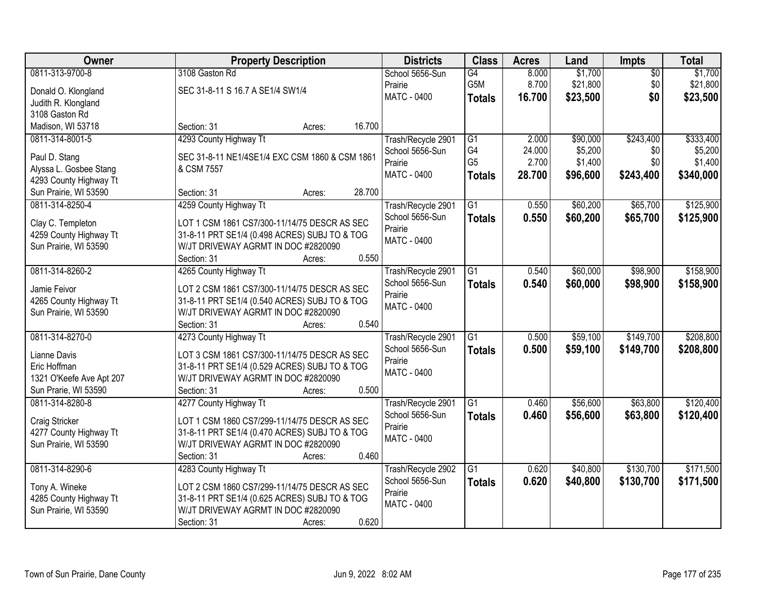| Owner                    | <b>Property Description</b>                    | <b>Districts</b>   | <b>Class</b>    | <b>Acres</b> | Land     | <b>Impts</b>    | <b>Total</b> |
|--------------------------|------------------------------------------------|--------------------|-----------------|--------------|----------|-----------------|--------------|
| 0811-313-9700-8          | 3108 Gaston Rd                                 | School 5656-Sun    | $\overline{G4}$ | 8.000        | \$1,700  | $\overline{50}$ | \$1,700      |
| Donald O. Klongland      | SEC 31-8-11 S 16.7 A SE1/4 SW1/4               | Prairie            | G5M             | 8.700        | \$21,800 | \$0             | \$21,800     |
| Judith R. Klongland      |                                                | MATC - 0400        | <b>Totals</b>   | 16.700       | \$23,500 | \$0             | \$23,500     |
| 3108 Gaston Rd           |                                                |                    |                 |              |          |                 |              |
| Madison, WI 53718        | 16.700<br>Section: 31<br>Acres:                |                    |                 |              |          |                 |              |
| 0811-314-8001-5          | 4293 County Highway Tt                         | Trash/Recycle 2901 | $\overline{G1}$ | 2.000        | \$90,000 | \$243,400       | \$333,400    |
|                          |                                                | School 5656-Sun    | G4              | 24.000       | \$5,200  | \$0             | \$5,200      |
| Paul D. Stang            | SEC 31-8-11 NE1/4SE1/4 EXC CSM 1860 & CSM 1861 | Prairie            | G <sub>5</sub>  | 2.700        | \$1,400  | \$0             | \$1,400      |
| Alyssa L. Gosbee Stang   | & CSM 7557                                     | MATC - 0400        | <b>Totals</b>   | 28.700       | \$96,600 | \$243,400       | \$340,000    |
| 4293 County Highway Tt   | 28.700                                         |                    |                 |              |          |                 |              |
| Sun Prairie, WI 53590    | Section: 31<br>Acres:                          |                    |                 |              |          |                 |              |
| 0811-314-8250-4          | 4259 County Highway Tt                         | Trash/Recycle 2901 | $\overline{G1}$ | 0.550        | \$60,200 | \$65,700        | \$125,900    |
| Clay C. Templeton        | LOT 1 CSM 1861 CS7/300-11/14/75 DESCR AS SEC   | School 5656-Sun    | <b>Totals</b>   | 0.550        | \$60,200 | \$65,700        | \$125,900    |
| 4259 County Highway Tt   | 31-8-11 PRT SE1/4 (0.498 ACRES) SUBJ TO & TOG  | Prairie            |                 |              |          |                 |              |
| Sun Prairie, WI 53590    | W/JT DRIVEWAY AGRMT IN DOC #2820090            | MATC - 0400        |                 |              |          |                 |              |
|                          | 0.550<br>Section: 31<br>Acres:                 |                    |                 |              |          |                 |              |
| 0811-314-8260-2          | 4265 County Highway Tt                         | Trash/Recycle 2901 | G1              | 0.540        | \$60,000 | \$98,900        | \$158,900    |
| Jamie Feivor             | LOT 2 CSM 1861 CS7/300-11/14/75 DESCR AS SEC   | School 5656-Sun    | <b>Totals</b>   | 0.540        | \$60,000 | \$98,900        | \$158,900    |
| 4265 County Highway Tt   | 31-8-11 PRT SE1/4 (0.540 ACRES) SUBJ TO & TOG  | Prairie            |                 |              |          |                 |              |
| Sun Prairie, WI 53590    | W/JT DRIVEWAY AGRMT IN DOC #2820090            | MATC - 0400        |                 |              |          |                 |              |
|                          | 0.540<br>Section: 31<br>Acres:                 |                    |                 |              |          |                 |              |
| 0811-314-8270-0          | 4273 County Highway Tt                         | Trash/Recycle 2901 | $\overline{G1}$ | 0.500        | \$59,100 | \$149,700       | \$208,800    |
|                          |                                                | School 5656-Sun    | <b>Totals</b>   | 0.500        | \$59,100 | \$149,700       | \$208,800    |
| Lianne Davis             | LOT 3 CSM 1861 CS7/300-11/14/75 DESCR AS SEC   | Prairie            |                 |              |          |                 |              |
| Eric Hoffman             | 31-8-11 PRT SE1/4 (0.529 ACRES) SUBJ TO & TOG  | <b>MATC - 0400</b> |                 |              |          |                 |              |
| 1321 O'Keefe Ave Apt 207 | W/JT DRIVEWAY AGRMT IN DOC #2820090            |                    |                 |              |          |                 |              |
| Sun Prarie, WI 53590     | 0.500<br>Section: 31<br>Acres:                 |                    |                 |              |          |                 |              |
| 0811-314-8280-8          | 4277 County Highway Tt                         | Trash/Recycle 2901 | $\overline{G1}$ | 0.460        | \$56,600 | \$63,800        | \$120,400    |
| Craig Stricker           | LOT 1 CSM 1860 CS7/299-11/14/75 DESCR AS SEC   | School 5656-Sun    | <b>Totals</b>   | 0.460        | \$56,600 | \$63,800        | \$120,400    |
| 4277 County Highway Tt   | 31-8-11 PRT SE1/4 (0.470 ACRES) SUBJ TO & TOG  | Prairie            |                 |              |          |                 |              |
| Sun Prairie, WI 53590    | W/JT DRIVEWAY AGRMT IN DOC #2820090            | <b>MATC - 0400</b> |                 |              |          |                 |              |
|                          | 0.460<br>Section: 31<br>Acres:                 |                    |                 |              |          |                 |              |
| 0811-314-8290-6          | 4283 County Highway Tt                         | Trash/Recycle 2902 | $\overline{G1}$ | 0.620        | \$40,800 | \$130,700       | \$171,500    |
|                          |                                                | School 5656-Sun    | <b>Totals</b>   | 0.620        | \$40,800 | \$130,700       | \$171,500    |
| Tony A. Wineke           | LOT 2 CSM 1860 CS7/299-11/14/75 DESCR AS SEC   | Prairie            |                 |              |          |                 |              |
| 4285 County Highway Tt   | 31-8-11 PRT SE1/4 (0.625 ACRES) SUBJ TO & TOG  | <b>MATC - 0400</b> |                 |              |          |                 |              |
| Sun Prairie, WI 53590    | W/JT DRIVEWAY AGRMT IN DOC #2820090            |                    |                 |              |          |                 |              |
|                          | 0.620<br>Section: 31<br>Acres:                 |                    |                 |              |          |                 |              |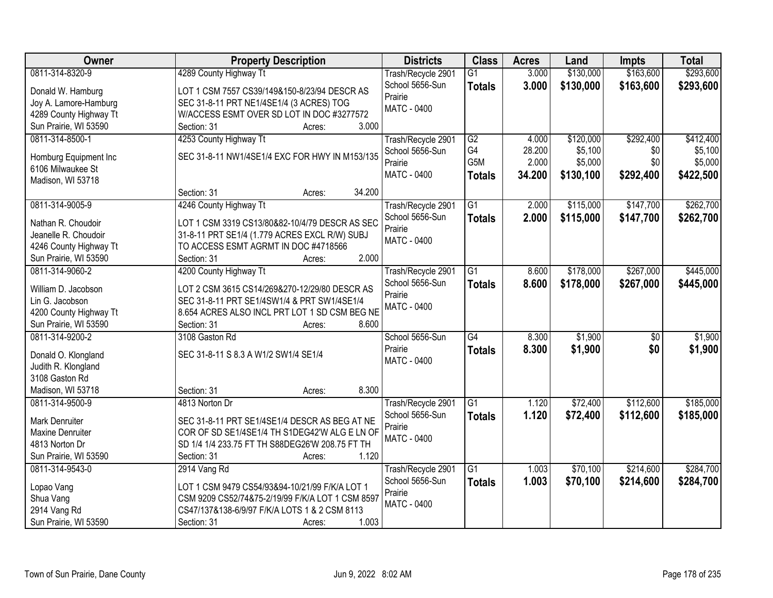| Owner                   | <b>Property Description</b>                      | <b>Districts</b>   | <b>Class</b>    | <b>Acres</b> | Land      | Impts     | <b>Total</b> |
|-------------------------|--------------------------------------------------|--------------------|-----------------|--------------|-----------|-----------|--------------|
| 0811-314-8320-9         | 4289 County Highway Tt                           | Trash/Recycle 2901 | $\overline{G1}$ | 3.000        | \$130,000 | \$163,600 | \$293,600    |
| Donald W. Hamburg       | LOT 1 CSM 7557 CS39/149&150-8/23/94 DESCR AS     | School 5656-Sun    | <b>Totals</b>   | 3.000        | \$130,000 | \$163,600 | \$293,600    |
| Joy A. Lamore-Hamburg   | SEC 31-8-11 PRT NE1/4SE1/4 (3 ACRES) TOG         | Prairie            |                 |              |           |           |              |
| 4289 County Highway Tt  | W/ACCESS ESMT OVER SD LOT IN DOC #3277572        | <b>MATC - 0400</b> |                 |              |           |           |              |
| Sun Prairie, WI 53590   | 3.000<br>Section: 31<br>Acres:                   |                    |                 |              |           |           |              |
| 0811-314-8500-1         | 4253 County Highway Tt                           | Trash/Recycle 2901 | $\overline{G2}$ | 4.000        | \$120,000 | \$292,400 | \$412,400    |
|                         |                                                  | School 5656-Sun    | G4              | 28.200       | \$5,100   | \$0       | \$5,100      |
| Homburg Equipment Inc   | SEC 31-8-11 NW1/4SE1/4 EXC FOR HWY IN M153/135   | Prairie            | G5M             | 2.000        | \$5,000   | \$0       | \$5,000      |
| 6106 Milwaukee St       |                                                  | <b>MATC - 0400</b> |                 | 34.200       |           |           |              |
| Madison, WI 53718       |                                                  |                    | <b>Totals</b>   |              | \$130,100 | \$292,400 | \$422,500    |
|                         | 34.200<br>Section: 31<br>Acres:                  |                    |                 |              |           |           |              |
| 0811-314-9005-9         | 4246 County Highway Tt                           | Trash/Recycle 2901 | $\overline{G1}$ | 2.000        | \$115,000 | \$147,700 | \$262,700    |
| Nathan R. Choudoir      | LOT 1 CSM 3319 CS13/80&82-10/4/79 DESCR AS SEC   | School 5656-Sun    | <b>Totals</b>   | 2.000        | \$115,000 | \$147,700 | \$262,700    |
| Jeanelle R. Choudoir    | 31-8-11 PRT SE1/4 (1.779 ACRES EXCL R/W) SUBJ    | Prairie            |                 |              |           |           |              |
|                         | TO ACCESS ESMT AGRMT IN DOC #4718566             | MATC - 0400        |                 |              |           |           |              |
| 4246 County Highway Tt  | 2.000<br>Section: 31                             |                    |                 |              |           |           |              |
| Sun Prairie, WI 53590   | Acres:                                           |                    |                 |              |           |           |              |
| 0811-314-9060-2         | 4200 County Highway Tt                           | Trash/Recycle 2901 | G1              | 8.600        | \$178,000 | \$267,000 | \$445,000    |
| William D. Jacobson     | LOT 2 CSM 3615 CS14/269&270-12/29/80 DESCR AS    | School 5656-Sun    | <b>Totals</b>   | 8.600        | \$178,000 | \$267,000 | \$445,000    |
| Lin G. Jacobson         | SEC 31-8-11 PRT SE1/4SW1/4 & PRT SW1/4SE1/4      | Prairie            |                 |              |           |           |              |
| 4200 County Highway Tt  | 8.654 ACRES ALSO INCL PRT LOT 1 SD CSM BEG NE    | <b>MATC - 0400</b> |                 |              |           |           |              |
| Sun Prairie, WI 53590   | 8.600<br>Section: 31<br>Acres:                   |                    |                 |              |           |           |              |
| 0811-314-9200-2         | 3108 Gaston Rd                                   | School 5656-Sun    | $\overline{G4}$ | 8.300        | \$1,900   | \$0       | \$1,900      |
|                         |                                                  | Prairie            | <b>Totals</b>   | 8.300        | \$1,900   | \$0       | \$1,900      |
| Donald O. Klongland     | SEC 31-8-11 S 8.3 A W1/2 SW1/4 SE1/4             | MATC - 0400        |                 |              |           |           |              |
| Judith R. Klongland     |                                                  |                    |                 |              |           |           |              |
| 3108 Gaston Rd          |                                                  |                    |                 |              |           |           |              |
| Madison, WI 53718       | 8.300<br>Section: 31<br>Acres:                   |                    |                 |              |           |           |              |
| 0811-314-9500-9         | 4813 Norton Dr                                   | Trash/Recycle 2901 | $\overline{G1}$ | 1.120        | \$72,400  | \$112,600 | \$185,000    |
| Mark Denruiter          | SEC 31-8-11 PRT SE1/4SE1/4 DESCR AS BEG AT NE    | School 5656-Sun    | <b>Totals</b>   | 1.120        | \$72,400  | \$112,600 | \$185,000    |
| <b>Maxine Denruiter</b> | COR OF SD SE1/4SE1/4 TH S1DEG42'W ALG E LN OF    | Prairie            |                 |              |           |           |              |
| 4813 Norton Dr          | SD 1/4 1/4 233.75 FT TH S88DEG26'W 208.75 FT TH  | <b>MATC - 0400</b> |                 |              |           |           |              |
| Sun Prairie, WI 53590   | Section: 31<br>1.120<br>Acres:                   |                    |                 |              |           |           |              |
| 0811-314-9543-0         | 2914 Vang Rd                                     | Trash/Recycle 2901 | G1              | 1.003        | \$70,100  | \$214,600 | \$284,700    |
|                         |                                                  | School 5656-Sun    |                 | 1.003        |           |           |              |
| Lopao Vang              | LOT 1 CSM 9479 CS54/93&94-10/21/99 F/K/A LOT 1   | Prairie            | <b>Totals</b>   |              | \$70,100  | \$214,600 | \$284,700    |
| Shua Vang               | CSM 9209 CS52/74&75-2/19/99 F/K/A LOT 1 CSM 8597 | <b>MATC - 0400</b> |                 |              |           |           |              |
| 2914 Vang Rd            | CS47/137&138-6/9/97 F/K/A LOTS 1 & 2 CSM 8113    |                    |                 |              |           |           |              |
| Sun Prairie, WI 53590   | 1.003<br>Section: 31<br>Acres:                   |                    |                 |              |           |           |              |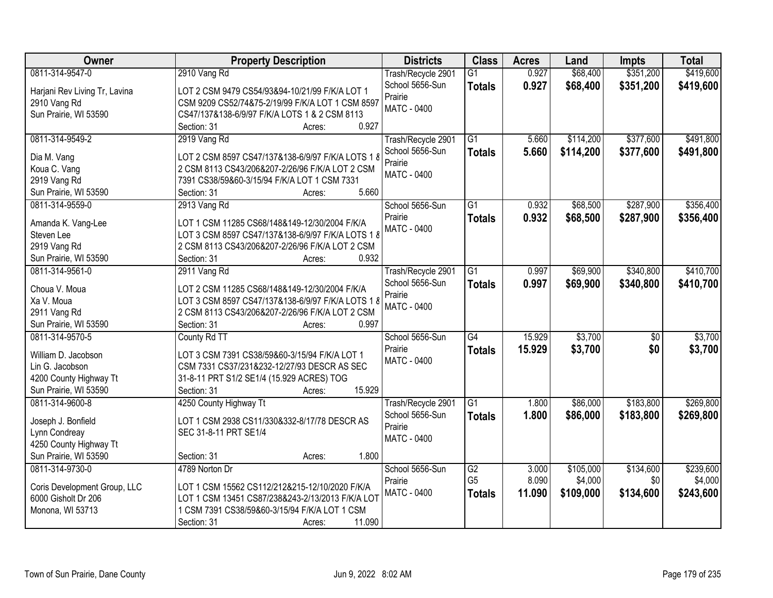| Owner                         | <b>Property Description</b>                       | <b>Districts</b>   | <b>Class</b>    | <b>Acres</b> | Land      | <b>Impts</b>    | <b>Total</b> |
|-------------------------------|---------------------------------------------------|--------------------|-----------------|--------------|-----------|-----------------|--------------|
| 0811-314-9547-0               | 2910 Vang Rd                                      | Trash/Recycle 2901 | $\overline{G1}$ | 0.927        | \$68,400  | \$351,200       | \$419,600    |
| Harjani Rev Living Tr, Lavina | LOT 2 CSM 9479 CS54/93&94-10/21/99 F/K/A LOT 1    | School 5656-Sun    | <b>Totals</b>   | 0.927        | \$68,400  | \$351,200       | \$419,600    |
| 2910 Vang Rd                  | CSM 9209 CS52/74&75-2/19/99 F/K/A LOT 1 CSM 8597  | Prairie            |                 |              |           |                 |              |
| Sun Prairie, WI 53590         | CS47/137&138-6/9/97 F/K/A LOTS 1 & 2 CSM 8113     | <b>MATC - 0400</b> |                 |              |           |                 |              |
|                               | 0.927<br>Section: 31<br>Acres:                    |                    |                 |              |           |                 |              |
| 0811-314-9549-2               | 2919 Vang Rd                                      | Trash/Recycle 2901 | $\overline{G1}$ | 5.660        | \$114,200 | \$377,600       | \$491,800    |
|                               |                                                   | School 5656-Sun    | <b>Totals</b>   | 5.660        | \$114,200 | \$377,600       | \$491,800    |
| Dia M. Vang                   | LOT 2 CSM 8597 CS47/137&138-6/9/97 F/K/A LOTS 1 8 | Prairie            |                 |              |           |                 |              |
| Koua C. Vang                  | 2 CSM 8113 CS43/206&207-2/26/96 F/K/A LOT 2 CSM   | <b>MATC - 0400</b> |                 |              |           |                 |              |
| 2919 Vang Rd                  | 7391 CS38/59&60-3/15/94 F/K/A LOT 1 CSM 7331      |                    |                 |              |           |                 |              |
| Sun Prairie, WI 53590         | 5.660<br>Section: 31<br>Acres:                    |                    |                 |              |           |                 |              |
| 0811-314-9559-0               | 2913 Vang Rd                                      | School 5656-Sun    | $\overline{G1}$ | 0.932        | \$68,500  | \$287,900       | \$356,400    |
| Amanda K. Vang-Lee            | LOT 1 CSM 11285 CS68/148&149-12/30/2004 F/K/A     | Prairie            | <b>Totals</b>   | 0.932        | \$68,500  | \$287,900       | \$356,400    |
| Steven Lee                    | LOT 3 CSM 8597 CS47/137&138-6/9/97 F/K/A LOTS 1 8 | <b>MATC - 0400</b> |                 |              |           |                 |              |
| 2919 Vang Rd                  | 2 CSM 8113 CS43/206&207-2/26/96 F/K/A LOT 2 CSM   |                    |                 |              |           |                 |              |
| Sun Prairie, WI 53590         | 0.932<br>Section: 31<br>Acres:                    |                    |                 |              |           |                 |              |
| 0811-314-9561-0               | 2911 Vang Rd                                      | Trash/Recycle 2901 | $\overline{G1}$ | 0.997        | \$69,900  | \$340,800       | \$410,700    |
|                               |                                                   | School 5656-Sun    | <b>Totals</b>   | 0.997        | \$69,900  | \$340,800       | \$410,700    |
| Choua V. Moua                 | LOT 2 CSM 11285 CS68/148&149-12/30/2004 F/K/A     | Prairie            |                 |              |           |                 |              |
| Xa V. Moua                    | LOT 3 CSM 8597 CS47/137&138-6/9/97 F/K/A LOTS 1 8 | MATC - 0400        |                 |              |           |                 |              |
| 2911 Vang Rd                  | 2 CSM 8113 CS43/206&207-2/26/96 F/K/A LOT 2 CSM   |                    |                 |              |           |                 |              |
| Sun Prairie, WI 53590         | 0.997<br>Section: 31<br>Acres:                    |                    |                 |              |           |                 |              |
| 0811-314-9570-5               | County Rd TT                                      | School 5656-Sun    | $\overline{G4}$ | 15.929       | \$3,700   | $\overline{50}$ | \$3,700      |
| William D. Jacobson           | LOT 3 CSM 7391 CS38/59&60-3/15/94 F/K/A LOT 1     | Prairie            | <b>Totals</b>   | 15.929       | \$3,700   | \$0             | \$3,700      |
| Lin G. Jacobson               | CSM 7331 CS37/231&232-12/27/93 DESCR AS SEC       | MATC - 0400        |                 |              |           |                 |              |
| 4200 County Highway Tt        | 31-8-11 PRT S1/2 SE1/4 (15.929 ACRES) TOG         |                    |                 |              |           |                 |              |
| Sun Prairie, WI 53590         | 15.929<br>Section: 31<br>Acres:                   |                    |                 |              |           |                 |              |
| 0811-314-9600-8               | 4250 County Highway Tt                            | Trash/Recycle 2901 | $\overline{G1}$ | 1.800        | \$86,000  | \$183,800       | \$269,800    |
|                               |                                                   | School 5656-Sun    | <b>Totals</b>   | 1.800        | \$86,000  | \$183,800       | \$269,800    |
| Joseph J. Bonfield            | LOT 1 CSM 2938 CS11/330&332-8/17/78 DESCR AS      | Prairie            |                 |              |           |                 |              |
| Lynn Condreay                 | SEC 31-8-11 PRT SE1/4                             | MATC - 0400        |                 |              |           |                 |              |
| 4250 County Highway Tt        |                                                   |                    |                 |              |           |                 |              |
| Sun Prairie, WI 53590         | 1.800<br>Section: 31<br>Acres:                    |                    |                 |              |           |                 |              |
| 0811-314-9730-0               | 4789 Norton Dr                                    | School 5656-Sun    | G2              | 3.000        | \$105,000 | \$134,600       | \$239,600    |
| Coris Development Group, LLC  | LOT 1 CSM 15562 CS112/212&215-12/10/2020 F/K/A    | Prairie            | G <sub>5</sub>  | 8.090        | \$4,000   | \$0             | \$4,000      |
| 6000 Gisholt Dr 206           | LOT 1 CSM 13451 CS87/238&243-2/13/2013 F/K/A LOT  | <b>MATC - 0400</b> | <b>Totals</b>   | 11.090       | \$109,000 | \$134,600       | \$243,600    |
| Monona, WI 53713              | 1 CSM 7391 CS38/59&60-3/15/94 F/K/A LOT 1 CSM     |                    |                 |              |           |                 |              |
|                               | 11.090<br>Section: 31<br>Acres:                   |                    |                 |              |           |                 |              |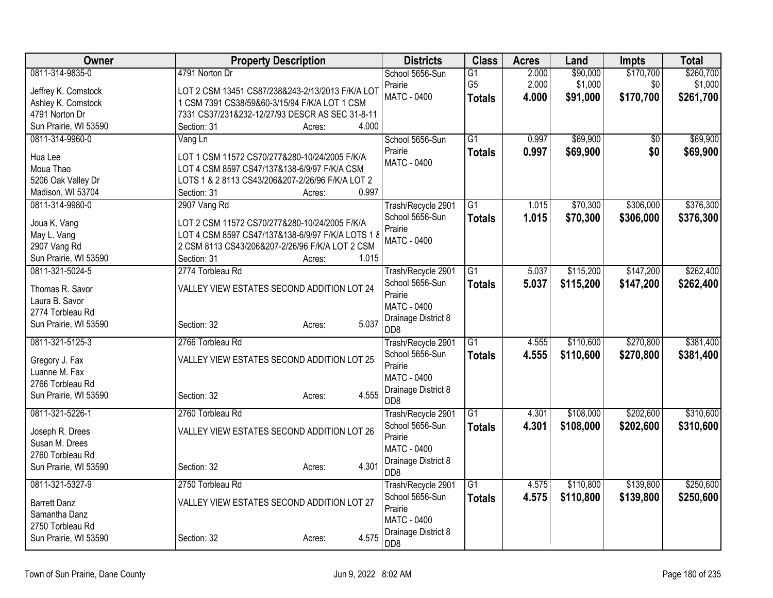| Owner                              | <b>Property Description</b>                       | <b>Districts</b>                        | <b>Class</b>    | <b>Acres</b> | Land      | <b>Impts</b>    | <b>Total</b> |
|------------------------------------|---------------------------------------------------|-----------------------------------------|-----------------|--------------|-----------|-----------------|--------------|
| 0811-314-9835-0                    | 4791 Norton Dr                                    | School 5656-Sun                         | G1              | 2.000        | \$90,000  | \$170,700       | \$260,700    |
| Jeffrey K. Comstock                | LOT 2 CSM 13451 CS87/238&243-2/13/2013 F/K/A LOT  | Prairie                                 | G <sub>5</sub>  | 2.000        | \$1,000   | \$0             | \$1,000      |
| Ashley K. Comstock                 | 1 CSM 7391 CS38/59&60-3/15/94 F/K/A LOT 1 CSM     | <b>MATC - 0400</b>                      | <b>Totals</b>   | 4.000        | \$91,000  | \$170,700       | \$261,700    |
| 4791 Norton Dr                     | 7331 CS37/231&232-12/27/93 DESCR AS SEC 31-8-11   |                                         |                 |              |           |                 |              |
| Sun Prairie, WI 53590              | 4.000<br>Section: 31<br>Acres:                    |                                         |                 |              |           |                 |              |
| 0811-314-9960-0                    | Vang Ln                                           | School 5656-Sun                         | $\overline{G1}$ | 0.997        | \$69,900  | $\overline{50}$ | \$69,900     |
| Hua Lee                            | LOT 1 CSM 11572 CS70/277&280-10/24/2005 F/K/A     | Prairie                                 | <b>Totals</b>   | 0.997        | \$69,900  | \$0             | \$69,900     |
| Moua Thao                          | LOT 4 CSM 8597 CS47/137&138-6/9/97 F/K/A CSM      | <b>MATC - 0400</b>                      |                 |              |           |                 |              |
| 5206 Oak Valley Dr                 | LOTS 1 & 2 8113 CS43/206&207-2/26/96 F/K/A LOT 2  |                                         |                 |              |           |                 |              |
| Madison, WI 53704                  | 0.997<br>Section: 31<br>Acres:                    |                                         |                 |              |           |                 |              |
| 0811-314-9980-0                    | 2907 Vang Rd                                      | Trash/Recycle 2901                      | $\overline{G1}$ | 1.015        | \$70,300  | \$306,000       | \$376,300    |
| Joua K. Vang                       | LOT 2 CSM 11572 CS70/277&280-10/24/2005 F/K/A     | School 5656-Sun                         | <b>Totals</b>   | 1.015        | \$70,300  | \$306,000       | \$376,300    |
| May L. Vang                        | LOT 4 CSM 8597 CS47/137&138-6/9/97 F/K/A LOTS 1 8 | Prairie                                 |                 |              |           |                 |              |
| 2907 Vang Rd                       | 2 CSM 8113 CS43/206&207-2/26/96 F/K/A LOT 2 CSM   | MATC - 0400                             |                 |              |           |                 |              |
| Sun Prairie, WI 53590              | 1.015<br>Section: 31<br>Acres:                    |                                         |                 |              |           |                 |              |
| 0811-321-5024-5                    | 2774 Torbleau Rd                                  | Trash/Recycle 2901                      | $\overline{G1}$ | 5.037        | \$115,200 | \$147,200       | \$262,400    |
|                                    |                                                   | School 5656-Sun                         | <b>Totals</b>   | 5.037        | \$115,200 | \$147,200       | \$262,400    |
| Thomas R. Savor                    | VALLEY VIEW ESTATES SECOND ADDITION LOT 24        | Prairie                                 |                 |              |           |                 |              |
| Laura B. Savor<br>2774 Torbleau Rd |                                                   | <b>MATC - 0400</b>                      |                 |              |           |                 |              |
| Sun Prairie, WI 53590              | 5.037<br>Section: 32<br>Acres:                    | Drainage District 8                     |                 |              |           |                 |              |
|                                    |                                                   | D <sub>D</sub> 8                        |                 |              |           |                 |              |
| 0811-321-5125-3                    | 2766 Torbleau Rd                                  | Trash/Recycle 2901                      | $\overline{G1}$ | 4.555        | \$110,600 | \$270,800       | \$381,400    |
| Gregory J. Fax                     | VALLEY VIEW ESTATES SECOND ADDITION LOT 25        | School 5656-Sun                         | <b>Totals</b>   | 4.555        | \$110,600 | \$270,800       | \$381,400    |
| Luanne M. Fax                      |                                                   | Prairie                                 |                 |              |           |                 |              |
| 2766 Torbleau Rd                   |                                                   | <b>MATC - 0400</b>                      |                 |              |           |                 |              |
| Sun Prairie, WI 53590              | 4.555<br>Section: 32<br>Acres:                    | Drainage District 8<br>D <sub>D</sub> 8 |                 |              |           |                 |              |
| 0811-321-5226-1                    | 2760 Torbleau Rd                                  | Trash/Recycle 2901                      | $\overline{G1}$ | 4.301        | \$108,000 | \$202,600       | \$310,600    |
|                                    |                                                   | School 5656-Sun                         | <b>Totals</b>   | 4.301        | \$108,000 | \$202,600       | \$310,600    |
| Joseph R. Drees                    | VALLEY VIEW ESTATES SECOND ADDITION LOT 26        | Prairie                                 |                 |              |           |                 |              |
| Susan M. Drees                     |                                                   | <b>MATC - 0400</b>                      |                 |              |           |                 |              |
| 2760 Torbleau Rd                   | 4.301                                             | Drainage District 8                     |                 |              |           |                 |              |
| Sun Prairie, WI 53590              | Section: 32<br>Acres:                             | D <sub>D</sub> 8                        |                 |              |           |                 |              |
| 0811-321-5327-9                    | 2750 Torbleau Rd                                  | Trash/Recycle 2901                      | $\overline{G1}$ | 4.575        | \$110,800 | \$139,800       | \$250,600    |
| <b>Barrett Danz</b>                | VALLEY VIEW ESTATES SECOND ADDITION LOT 27        | School 5656-Sun                         | <b>Totals</b>   | 4.575        | \$110,800 | \$139,800       | \$250,600    |
| Samantha Danz                      |                                                   | Prairie                                 |                 |              |           |                 |              |
| 2750 Torbleau Rd                   |                                                   | <b>MATC - 0400</b>                      |                 |              |           |                 |              |
| Sun Prairie, WI 53590              | 4.575<br>Section: 32<br>Acres:                    | Drainage District 8                     |                 |              |           |                 |              |
|                                    |                                                   | DD <sub>8</sub>                         |                 |              |           |                 |              |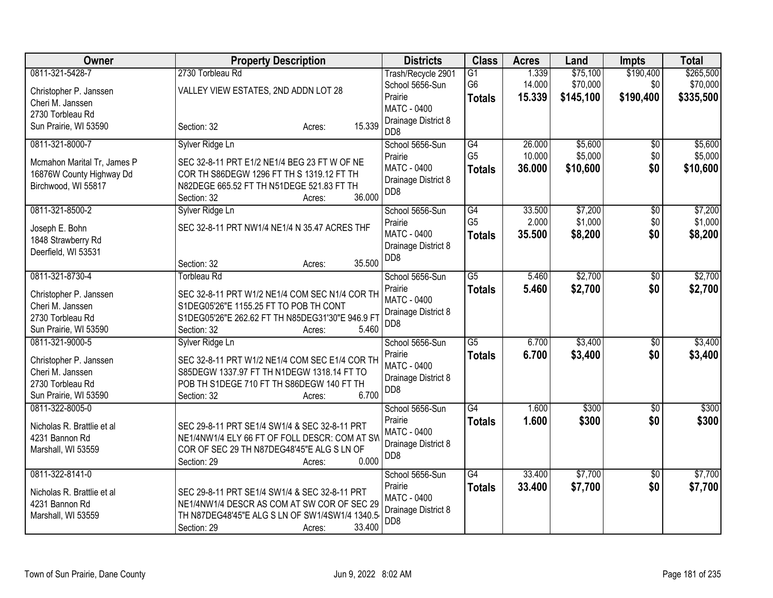| Owner                                                                                                      | <b>Property Description</b>                                                                                                                                                                          | <b>Districts</b>                                                                            | <b>Class</b>                                       | <b>Acres</b>               | Land                              | Impts                         | <b>Total</b>                       |
|------------------------------------------------------------------------------------------------------------|------------------------------------------------------------------------------------------------------------------------------------------------------------------------------------------------------|---------------------------------------------------------------------------------------------|----------------------------------------------------|----------------------------|-----------------------------------|-------------------------------|------------------------------------|
| 0811-321-5428-7<br>Christopher P. Janssen<br>Cheri M. Janssen                                              | 2730 Torbleau Rd<br>VALLEY VIEW ESTATES, 2ND ADDN LOT 28                                                                                                                                             | Trash/Recycle 2901<br>School 5656-Sun<br>Prairie<br><b>MATC - 0400</b>                      | $\overline{G1}$<br>G <sub>6</sub><br><b>Totals</b> | 1.339<br>14.000<br>15.339  | \$75,100<br>\$70,000<br>\$145,100 | \$190,400<br>\$0<br>\$190,400 | \$265,500<br>\$70,000<br>\$335,500 |
| 2730 Torbleau Rd<br>Sun Prairie, WI 53590                                                                  | 15.339<br>Section: 32<br>Acres:                                                                                                                                                                      | Drainage District 8<br>D <sub>D</sub> 8                                                     |                                                    |                            |                                   |                               |                                    |
| 0811-321-8000-7<br>Mcmahon Marital Tr, James P<br>16876W County Highway Dd<br>Birchwood, WI 55817          | Sylver Ridge Ln<br>SEC 32-8-11 PRT E1/2 NE1/4 BEG 23 FT W OF NE<br>COR TH S86DEGW 1296 FT TH S 1319.12 FT TH<br>N82DEGE 665.52 FT TH N51DEGE 521.83 FT TH<br>36.000<br>Section: 32<br>Acres:         | School 5656-Sun<br>Prairie<br>MATC - 0400<br>Drainage District 8<br>DD <sub>8</sub>         | G4<br>G <sub>5</sub><br><b>Totals</b>              | 26.000<br>10.000<br>36.000 | \$5,600<br>\$5,000<br>\$10,600    | $\overline{50}$<br>\$0<br>\$0 | \$5,600<br>\$5,000<br>\$10,600     |
| 0811-321-8500-2<br>Joseph E. Bohn<br>1848 Strawberry Rd<br>Deerfield, WI 53531                             | Sylver Ridge Ln<br>SEC 32-8-11 PRT NW1/4 NE1/4 N 35.47 ACRES THF<br>35.500<br>Section: 32<br>Acres:                                                                                                  | School 5656-Sun<br>Prairie<br><b>MATC - 0400</b><br>Drainage District 8<br>DD <sub>8</sub>  | $\overline{G4}$<br>G <sub>5</sub><br><b>Totals</b> | 33.500<br>2.000<br>35.500  | \$7,200<br>\$1,000<br>\$8,200     | $\overline{50}$<br>\$0<br>\$0 | \$7,200<br>\$1,000<br>\$8,200      |
| 0811-321-8730-4<br>Christopher P. Janssen<br>Cheri M. Janssen<br>2730 Torbleau Rd<br>Sun Prairie, WI 53590 | <b>Torbleau Rd</b><br>SEC 32-8-11 PRT W1/2 NE1/4 COM SEC N1/4 COR TH<br>S1DEG05'26"E 1155.25 FT TO POB TH CONT<br>S1DEG05'26"E 262.62 FT TH N85DEG31'30"E 946.9 F1<br>5.460<br>Section: 32<br>Acres: | School 5656-Sun<br>Prairie<br><b>MATC - 0400</b><br>Drainage District 8<br>DD <sub>8</sub>  | $\overline{G5}$<br><b>Totals</b>                   | 5.460<br>5.460             | \$2,700<br>\$2,700                | $\overline{50}$<br>\$0        | \$2,700<br>\$2,700                 |
| 0811-321-9000-5<br>Christopher P. Janssen<br>Cheri M. Janssen<br>2730 Torbleau Rd<br>Sun Prairie, WI 53590 | Sylver Ridge Ln<br>SEC 32-8-11 PRT W1/2 NE1/4 COM SEC E1/4 COR TH<br>S85DEGW 1337.97 FT TH N1DEGW 1318.14 FT TO<br>POB TH S1DEGE 710 FT TH S86DEGW 140 FT TH<br>6.700<br>Section: 32<br>Acres:       | School 5656-Sun<br>Prairie<br><b>MATC - 0400</b><br>Drainage District 8<br>D <sub>D</sub> 8 | G5<br><b>Totals</b>                                | 6.700<br>6.700             | \$3,400<br>\$3,400                | $\overline{50}$<br>\$0        | \$3,400<br>\$3,400                 |
| 0811-322-8005-0<br>Nicholas R. Brattlie et al<br>4231 Bannon Rd<br>Marshall, WI 53559                      | SEC 29-8-11 PRT SE1/4 SW1/4 & SEC 32-8-11 PRT<br>NE1/4NW1/4 ELY 66 FT OF FOLL DESCR: COM AT SW<br>COR OF SEC 29 TH N87DEG48'45"E ALG S LN OF<br>0.000<br>Section: 29<br>Acres:                       | School 5656-Sun<br>Prairie<br><b>MATC - 0400</b><br>Drainage District 8<br>DD <sub>8</sub>  | $\overline{G4}$<br><b>Totals</b>                   | 1.600<br>1.600             | \$300<br>\$300                    | $\sqrt{6}$<br>\$0             | \$300<br>\$300                     |
| 0811-322-8141-0<br>Nicholas R. Brattlie et al<br>4231 Bannon Rd<br>Marshall, WI 53559                      | SEC 29-8-11 PRT SE1/4 SW1/4 & SEC 32-8-11 PRT<br>NE1/4NW1/4 DESCR AS COM AT SW COR OF SEC 29<br>TH N87DEG48'45"E ALG S LN OF SW1/4SW1/4 1340.5<br>33.400<br>Section: 29<br>Acres:                    | School 5656-Sun<br>Prairie<br><b>MATC - 0400</b><br>Drainage District 8<br>D <sub>D</sub> 8 | G4<br><b>Totals</b>                                | 33.400<br>33.400           | \$7,700<br>\$7,700                | \$0<br>\$0                    | \$7,700<br>\$7,700                 |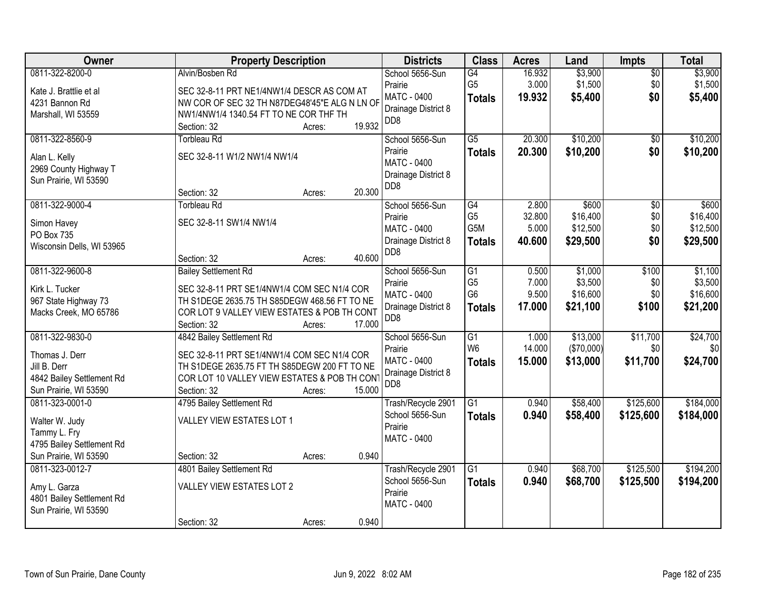| Owner                                    | <b>Property Description</b>                                                                 | <b>Districts</b>                          | <b>Class</b>         | <b>Acres</b>    | Land               | Impts              | <b>Total</b>       |
|------------------------------------------|---------------------------------------------------------------------------------------------|-------------------------------------------|----------------------|-----------------|--------------------|--------------------|--------------------|
| 0811-322-8200-0                          | Alvin/Bosben Rd                                                                             | School 5656-Sun<br>Prairie                | G4<br>G <sub>5</sub> | 16.932<br>3.000 | \$3,900<br>\$1,500 | $\sqrt{$0}$<br>\$0 | \$3,900<br>\$1,500 |
| Kate J. Brattlie et al<br>4231 Bannon Rd | SEC 32-8-11 PRT NE1/4NW1/4 DESCR AS COM AT<br>NW COR OF SEC 32 TH N87DEG48'45"E ALG N LN OF | MATC - 0400                               | <b>Totals</b>        | 19.932          | \$5,400            | \$0                | \$5,400            |
| Marshall, WI 53559                       | NW1/4NW1/4 1340.54 FT TO NE COR THF TH                                                      | Drainage District 8                       |                      |                 |                    |                    |                    |
|                                          | 19.932<br>Section: 32<br>Acres:                                                             | DD8                                       |                      |                 |                    |                    |                    |
| 0811-322-8560-9                          | <b>Torbleau Rd</b>                                                                          | School 5656-Sun                           | $\overline{G5}$      | 20.300          | \$10,200           | \$0                | \$10,200           |
| Alan L. Kelly                            | SEC 32-8-11 W1/2 NW1/4 NW1/4                                                                | Prairie                                   | <b>Totals</b>        | 20.300          | \$10,200           | \$0                | \$10,200           |
| 2969 County Highway T                    |                                                                                             | <b>MATC - 0400</b>                        |                      |                 |                    |                    |                    |
| Sun Prairie, WI 53590                    |                                                                                             | Drainage District 8                       |                      |                 |                    |                    |                    |
|                                          | 20.300<br>Section: 32<br>Acres:                                                             | D <sub>D</sub> 8                          |                      |                 |                    |                    |                    |
| 0811-322-9000-4                          | <b>Torbleau Rd</b>                                                                          | School 5656-Sun                           | $\overline{G4}$      | 2.800           | \$600              | $\overline{50}$    | \$600              |
| Simon Havey                              | SEC 32-8-11 SW1/4 NW1/4                                                                     | Prairie                                   | G <sub>5</sub>       | 32.800          | \$16,400           | $$0$$              | \$16,400           |
| PO Box 735                               |                                                                                             | <b>MATC - 0400</b>                        | G5M                  | 5.000           | \$12,500           | \$0                | \$12,500           |
| Wisconsin Dells, WI 53965                |                                                                                             | Drainage District 8                       | <b>Totals</b>        | 40.600          | \$29,500           | \$0                | \$29,500           |
|                                          | 40.600<br>Section: 32<br>Acres:                                                             | D <sub>D</sub> 8                          |                      |                 |                    |                    |                    |
| 0811-322-9600-8                          | <b>Bailey Settlement Rd</b>                                                                 | School 5656-Sun                           | $\overline{G1}$      | 0.500           | \$1,000            | \$100              | \$1,100            |
| Kirk L. Tucker                           | SEC 32-8-11 PRT SE1/4NW1/4 COM SEC N1/4 COR                                                 | Prairie                                   | G <sub>5</sub>       | 7.000           | \$3,500            | \$0                | \$3,500            |
| 967 State Highway 73                     | TH S1DEGE 2635.75 TH S85DEGW 468.56 FT TO NE                                                | MATC - 0400                               | G <sub>6</sub>       | 9.500           | \$16,600           | \$0                | \$16,600           |
| Macks Creek, MO 65786                    | COR LOT 9 VALLEY VIEW ESTATES & POB TH CONT                                                 | Drainage District 8<br>D <sub>D</sub> 8   | <b>Totals</b>        | 17.000          | \$21,100           | \$100              | \$21,200           |
|                                          | 17.000<br>Section: 32<br>Acres:                                                             |                                           |                      |                 |                    |                    |                    |
| 0811-322-9830-0                          | 4842 Bailey Settlement Rd                                                                   | School 5656-Sun                           | $\overline{G1}$      | 1.000           | \$13,000           | \$11,700           | \$24,700           |
| Thomas J. Derr                           | SEC 32-8-11 PRT SE1/4NW1/4 COM SEC N1/4 COR                                                 | Prairie                                   | W <sub>6</sub>       | 14.000          | (\$70,000)         | \$0                | \$0                |
| Jill B. Derr                             | TH S1DEGE 2635.75 FT TH S85DEGW 200 FT TO NE                                                | <b>MATC - 0400</b><br>Drainage District 8 | <b>Totals</b>        | 15.000          | \$13,000           | \$11,700           | \$24,700           |
| 4842 Bailey Settlement Rd                | COR LOT 10 VALLEY VIEW ESTATES & POB TH CONT                                                | DD <sub>8</sub>                           |                      |                 |                    |                    |                    |
| Sun Prairie, WI 53590                    | 15.000<br>Section: 32<br>Acres:                                                             |                                           |                      |                 |                    |                    |                    |
| 0811-323-0001-0                          | 4795 Bailey Settlement Rd                                                                   | Trash/Recycle 2901                        | $\overline{G1}$      | 0.940           | \$58,400           | \$125,600          | \$184,000          |
| Walter W. Judy                           | VALLEY VIEW ESTATES LOT 1                                                                   | School 5656-Sun<br>Prairie                | <b>Totals</b>        | 0.940           | \$58,400           | \$125,600          | \$184,000          |
| Tammy L. Fry                             |                                                                                             | MATC - 0400                               |                      |                 |                    |                    |                    |
| 4795 Bailey Settlement Rd                |                                                                                             |                                           |                      |                 |                    |                    |                    |
| Sun Prairie, WI 53590                    | 0.940<br>Section: 32<br>Acres:                                                              |                                           |                      |                 |                    |                    |                    |
| 0811-323-0012-7                          | 4801 Bailey Settlement Rd                                                                   | Trash/Recycle 2901                        | $\overline{G1}$      | 0.940           | \$68,700           | \$125,500          | \$194,200          |
| Amy L. Garza                             | <b>VALLEY VIEW ESTATES LOT 2</b>                                                            | School 5656-Sun<br>Prairie                | <b>Totals</b>        | 0.940           | \$68,700           | \$125,500          | \$194,200          |
| 4801 Bailey Settlement Rd                |                                                                                             | MATC - 0400                               |                      |                 |                    |                    |                    |
| Sun Prairie, WI 53590                    |                                                                                             |                                           |                      |                 |                    |                    |                    |
|                                          | 0.940<br>Section: 32<br>Acres:                                                              |                                           |                      |                 |                    |                    |                    |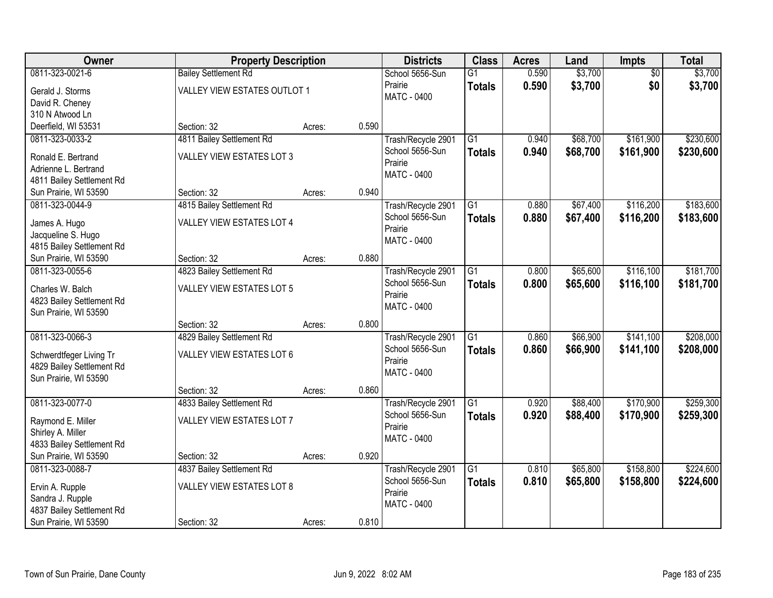| <b>Owner</b>                                                                        | <b>Property Description</b>                                   |        |       | <b>Districts</b>                                                | <b>Class</b>                     | <b>Acres</b>   | Land                 | <b>Impts</b>           | <b>Total</b>           |
|-------------------------------------------------------------------------------------|---------------------------------------------------------------|--------|-------|-----------------------------------------------------------------|----------------------------------|----------------|----------------------|------------------------|------------------------|
| 0811-323-0021-6                                                                     | <b>Bailey Settlement Rd</b>                                   |        |       | School 5656-Sun                                                 | $\overline{G1}$                  | 0.590          | \$3,700              | $\overline{50}$        | \$3,700                |
| Gerald J. Storms<br>David R. Cheney<br>310 N Atwood Ln                              | VALLEY VIEW ESTATES OUTLOT 1                                  |        |       | Prairie<br><b>MATC - 0400</b>                                   | <b>Totals</b>                    | 0.590          | \$3,700              | \$0                    | \$3,700                |
| Deerfield, WI 53531                                                                 | Section: 32                                                   | Acres: | 0.590 |                                                                 |                                  |                |                      |                        |                        |
| 0811-323-0033-2                                                                     | 4811 Bailey Settlement Rd                                     |        |       | Trash/Recycle 2901                                              | $\overline{G1}$                  | 0.940          | \$68,700             | \$161,900              | \$230,600              |
| Ronald E. Bertrand<br>Adrienne L. Bertrand<br>4811 Bailey Settlement Rd             | <b>VALLEY VIEW ESTATES LOT 3</b>                              |        |       | School 5656-Sun<br>Prairie<br><b>MATC - 0400</b>                | <b>Totals</b>                    | 0.940          | \$68,700             | \$161,900              | \$230,600              |
| Sun Prairie, WI 53590                                                               | Section: 32                                                   | Acres: | 0.940 |                                                                 |                                  |                |                      |                        |                        |
| 0811-323-0044-9                                                                     | 4815 Bailey Settlement Rd                                     |        |       | Trash/Recycle 2901                                              | $\overline{G1}$                  | 0.880          | \$67,400             | \$116,200              | \$183,600              |
| James A. Hugo<br>Jacqueline S. Hugo<br>4815 Bailey Settlement Rd                    | VALLEY VIEW ESTATES LOT 4                                     |        |       | School 5656-Sun<br>Prairie<br><b>MATC - 0400</b>                | <b>Totals</b>                    | 0.880          | \$67,400             | \$116,200              | \$183,600              |
| Sun Prairie, WI 53590                                                               | Section: 32                                                   | Acres: | 0.880 |                                                                 |                                  |                |                      |                        |                        |
| 0811-323-0055-6                                                                     | 4823 Bailey Settlement Rd                                     |        |       | Trash/Recycle 2901                                              | $\overline{G1}$                  | 0.800          | \$65,600             | \$116,100              | \$181,700              |
| Charles W. Balch<br>4823 Bailey Settlement Rd<br>Sun Prairie, WI 53590              | <b>VALLEY VIEW ESTATES LOT 5</b>                              |        |       | School 5656-Sun<br>Prairie<br><b>MATC - 0400</b>                | <b>Totals</b>                    | 0.800          | \$65,600             | \$116,100              | \$181,700              |
|                                                                                     | Section: 32                                                   | Acres: | 0.800 |                                                                 |                                  |                |                      |                        |                        |
| 0811-323-0066-3<br>Schwerdtfeger Living Tr<br>4829 Bailey Settlement Rd             | 4829 Bailey Settlement Rd<br>VALLEY VIEW ESTATES LOT 6        |        |       | Trash/Recycle 2901<br>School 5656-Sun<br>Prairie<br>MATC - 0400 | $\overline{G1}$<br><b>Totals</b> | 0.860<br>0.860 | \$66,900<br>\$66,900 | \$141,100<br>\$141,100 | \$208,000<br>\$208,000 |
| Sun Prairie, WI 53590                                                               | Section: 32                                                   | Acres: | 0.860 |                                                                 |                                  |                |                      |                        |                        |
| 0811-323-0077-0                                                                     | 4833 Bailey Settlement Rd                                     |        |       | Trash/Recycle 2901                                              | $\overline{G1}$                  | 0.920          | \$88,400             | \$170,900              | \$259,300              |
| Raymond E. Miller<br>Shirley A. Miller<br>4833 Bailey Settlement Rd                 | VALLEY VIEW ESTATES LOT 7                                     |        |       | School 5656-Sun<br>Prairie<br><b>MATC - 0400</b>                | <b>Totals</b>                    | 0.920          | \$88,400             | \$170,900              | \$259,300              |
| Sun Prairie, WI 53590                                                               | Section: 32                                                   | Acres: | 0.920 |                                                                 |                                  |                |                      |                        |                        |
| 0811-323-0088-7<br>Ervin A. Rupple<br>Sandra J. Rupple<br>4837 Bailey Settlement Rd | 4837 Bailey Settlement Rd<br><b>VALLEY VIEW ESTATES LOT 8</b> |        |       | Trash/Recycle 2901<br>School 5656-Sun<br>Prairie<br>MATC - 0400 | $\overline{G1}$<br><b>Totals</b> | 0.810<br>0.810 | \$65,800<br>\$65,800 | \$158,800<br>\$158,800 | \$224,600<br>\$224,600 |
| Sun Prairie, WI 53590                                                               | Section: 32                                                   | Acres: | 0.810 |                                                                 |                                  |                |                      |                        |                        |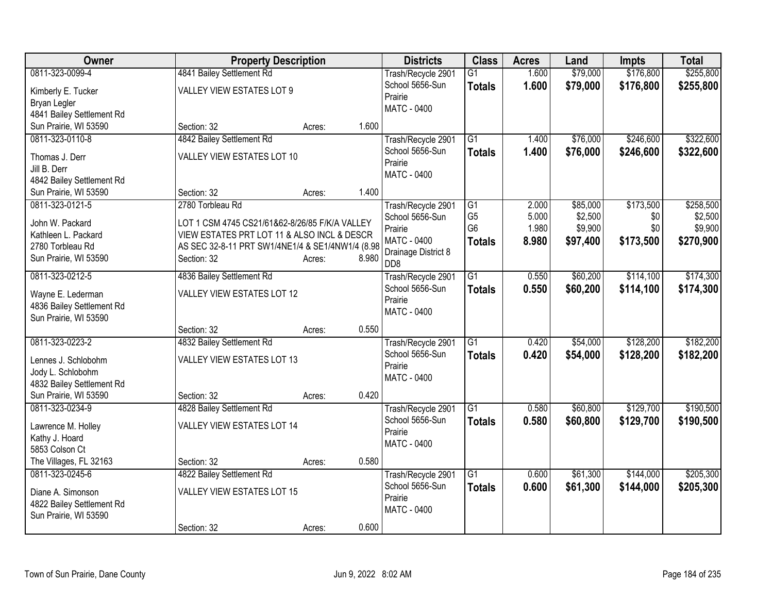| <b>Owner</b>                                   | <b>Property Description</b>                      |                 | <b>Districts</b>                      | <b>Class</b>    | <b>Acres</b> | Land     | <b>Impts</b> | <b>Total</b> |
|------------------------------------------------|--------------------------------------------------|-----------------|---------------------------------------|-----------------|--------------|----------|--------------|--------------|
| 0811-323-0099-4                                | 4841 Bailey Settlement Rd                        |                 | Trash/Recycle 2901                    | $\overline{G1}$ | 1.600        | \$79,000 | \$176,800    | \$255,800    |
| Kimberly E. Tucker                             | <b>VALLEY VIEW ESTATES LOT 9</b>                 |                 | School 5656-Sun                       | <b>Totals</b>   | 1.600        | \$79,000 | \$176,800    | \$255,800    |
| Bryan Legler                                   |                                                  |                 | Prairie                               |                 |              |          |              |              |
| 4841 Bailey Settlement Rd                      |                                                  |                 | MATC - 0400                           |                 |              |          |              |              |
| Sun Prairie, WI 53590                          | Section: 32                                      | 1.600<br>Acres: |                                       |                 |              |          |              |              |
| 0811-323-0110-8                                | 4842 Bailey Settlement Rd                        |                 | Trash/Recycle 2901                    | $\overline{G1}$ | 1.400        | \$76,000 | \$246,600    | \$322,600    |
|                                                | VALLEY VIEW ESTATES LOT 10                       |                 | School 5656-Sun                       | <b>Totals</b>   | 1.400        | \$76,000 | \$246,600    | \$322,600    |
| Thomas J. Derr<br>Jill B. Derr                 |                                                  |                 | Prairie                               |                 |              |          |              |              |
| 4842 Bailey Settlement Rd                      |                                                  |                 | <b>MATC - 0400</b>                    |                 |              |          |              |              |
| Sun Prairie, WI 53590                          | Section: 32                                      | 1.400<br>Acres: |                                       |                 |              |          |              |              |
| 0811-323-0121-5                                | 2780 Torbleau Rd                                 |                 | Trash/Recycle 2901                    | $\overline{G1}$ | 2.000        | \$85,000 | \$173,500    | \$258,500    |
|                                                |                                                  |                 | School 5656-Sun                       | G <sub>5</sub>  | 5.000        | \$2,500  | \$0          | \$2,500      |
| John W. Packard                                | LOT 1 CSM 4745 CS21/61&62-8/26/85 F/K/A VALLEY   |                 | Prairie                               | G <sub>6</sub>  | 1.980        | \$9,900  | \$0          | \$9,900      |
| Kathleen L. Packard                            | VIEW ESTATES PRT LOT 11 & ALSO INCL & DESCR      |                 | <b>MATC - 0400</b>                    | <b>Totals</b>   | 8.980        | \$97,400 | \$173,500    | \$270,900    |
| 2780 Torbleau Rd                               | AS SEC 32-8-11 PRT SW1/4NE1/4 & SE1/4NW1/4 (8.98 |                 | Drainage District 8                   |                 |              |          |              |              |
| Sun Prairie, WI 53590                          | Section: 32                                      | 8.980<br>Acres: | D <sub>D</sub> 8                      |                 |              |          |              |              |
| 0811-323-0212-5                                | 4836 Bailey Settlement Rd                        |                 | Trash/Recycle 2901                    | $\overline{G1}$ | 0.550        | \$60,200 | \$114,100    | \$174,300    |
| Wayne E. Lederman                              | VALLEY VIEW ESTATES LOT 12                       |                 | School 5656-Sun                       | <b>Totals</b>   | 0.550        | \$60,200 | \$114,100    | \$174,300    |
| 4836 Bailey Settlement Rd                      |                                                  |                 | Prairie                               |                 |              |          |              |              |
| Sun Prairie, WI 53590                          |                                                  |                 | MATC - 0400                           |                 |              |          |              |              |
|                                                | Section: 32                                      | 0.550<br>Acres: |                                       |                 |              |          |              |              |
| 0811-323-0223-2                                | 4832 Bailey Settlement Rd                        |                 | Trash/Recycle 2901                    | G1              | 0.420        | \$54,000 | \$128,200    | \$182,200    |
|                                                |                                                  |                 | School 5656-Sun                       | <b>Totals</b>   | 0.420        | \$54,000 | \$128,200    | \$182,200    |
| Lennes J. Schlobohm                            | <b>VALLEY VIEW ESTATES LOT 13</b>                |                 | Prairie                               |                 |              |          |              |              |
| Jody L. Schlobohm<br>4832 Bailey Settlement Rd |                                                  |                 | MATC - 0400                           |                 |              |          |              |              |
| Sun Prairie, WI 53590                          | Section: 32                                      | 0.420<br>Acres: |                                       |                 |              |          |              |              |
| 0811-323-0234-9                                | 4828 Bailey Settlement Rd                        |                 | Trash/Recycle 2901                    | G1              | 0.580        | \$60,800 | \$129,700    | \$190,500    |
|                                                |                                                  |                 | School 5656-Sun                       | <b>Totals</b>   | 0.580        | \$60,800 | \$129,700    | \$190,500    |
| Lawrence M. Holley                             | <b>VALLEY VIEW ESTATES LOT 14</b>                |                 | Prairie                               |                 |              |          |              |              |
| Kathy J. Hoard                                 |                                                  |                 | MATC - 0400                           |                 |              |          |              |              |
| 5853 Colson Ct                                 |                                                  |                 |                                       |                 |              |          |              |              |
| The Villages, FL 32163                         | Section: 32                                      | 0.580<br>Acres: |                                       |                 |              |          |              |              |
| 0811-323-0245-6                                | 4822 Bailey Settlement Rd                        |                 | Trash/Recycle 2901<br>School 5656-Sun | $\overline{G1}$ | 0.600        | \$61,300 | \$144,000    | \$205,300    |
| Diane A. Simonson                              | <b>VALLEY VIEW ESTATES LOT 15</b>                |                 | Prairie                               | <b>Totals</b>   | 0.600        | \$61,300 | \$144,000    | \$205,300    |
| 4822 Bailey Settlement Rd                      |                                                  |                 | <b>MATC - 0400</b>                    |                 |              |          |              |              |
| Sun Prairie, WI 53590                          |                                                  |                 |                                       |                 |              |          |              |              |
|                                                | Section: 32                                      | 0.600<br>Acres: |                                       |                 |              |          |              |              |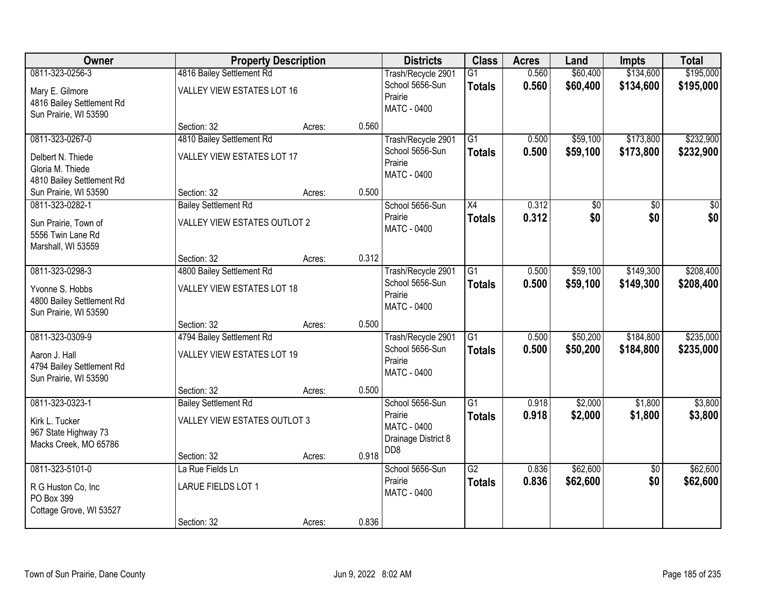| <b>Owner</b>                                 |                                            | <b>Property Description</b> |       | <b>Districts</b>                        | <b>Class</b>    | <b>Acres</b>   | Land     | <b>Impts</b>    | <b>Total</b> |
|----------------------------------------------|--------------------------------------------|-----------------------------|-------|-----------------------------------------|-----------------|----------------|----------|-----------------|--------------|
| 0811-323-0256-3                              | 4816 Bailey Settlement Rd                  |                             |       | Trash/Recycle 2901                      | $\overline{G1}$ | 0.560          | \$60,400 | \$134,600       | \$195,000    |
| Mary E. Gilmore                              | VALLEY VIEW ESTATES LOT 16                 |                             |       | School 5656-Sun<br>Prairie              | <b>Totals</b>   | 0.560          | \$60,400 | \$134,600       | \$195,000    |
| 4816 Bailey Settlement Rd                    |                                            |                             |       | <b>MATC - 0400</b>                      |                 |                |          |                 |              |
| Sun Prairie, WI 53590                        |                                            |                             |       |                                         |                 |                |          |                 |              |
|                                              | Section: 32                                | Acres:                      | 0.560 |                                         |                 |                |          |                 |              |
| 0811-323-0267-0                              | 4810 Bailey Settlement Rd                  |                             |       | Trash/Recycle 2901<br>School 5656-Sun   | $\overline{G1}$ | 0.500<br>0.500 | \$59,100 | \$173,800       | \$232,900    |
| Delbert N. Thiede                            | <b>VALLEY VIEW ESTATES LOT 17</b>          |                             |       | Prairie                                 | <b>Totals</b>   |                | \$59,100 | \$173,800       | \$232,900    |
| Gloria M. Thiede                             |                                            |                             |       | <b>MATC - 0400</b>                      |                 |                |          |                 |              |
| 4810 Bailey Settlement Rd                    |                                            |                             | 0.500 |                                         |                 |                |          |                 |              |
| Sun Prairie, WI 53590<br>0811-323-0282-1     | Section: 32<br><b>Bailey Settlement Rd</b> | Acres:                      |       | School 5656-Sun                         | X4              | 0.312          | \$0      | \$0             | \$0          |
|                                              |                                            |                             |       | Prairie                                 | <b>Totals</b>   | 0.312          | \$0      | \$0             | \$0          |
| Sun Prairie, Town of                         | VALLEY VIEW ESTATES OUTLOT 2               |                             |       | <b>MATC - 0400</b>                      |                 |                |          |                 |              |
| 5556 Twin Lane Rd                            |                                            |                             |       |                                         |                 |                |          |                 |              |
| Marshall, WI 53559                           | Section: 32                                | Acres:                      | 0.312 |                                         |                 |                |          |                 |              |
| 0811-323-0298-3                              | 4800 Bailey Settlement Rd                  |                             |       | Trash/Recycle 2901                      | $\overline{G1}$ | 0.500          | \$59,100 | \$149,300       | \$208,400    |
|                                              |                                            |                             |       | School 5656-Sun                         | <b>Totals</b>   | 0.500          | \$59,100 | \$149,300       | \$208,400    |
| Yvonne S. Hobbs<br>4800 Bailey Settlement Rd | <b>VALLEY VIEW ESTATES LOT 18</b>          |                             |       | Prairie                                 |                 |                |          |                 |              |
| Sun Prairie, WI 53590                        |                                            |                             |       | <b>MATC - 0400</b>                      |                 |                |          |                 |              |
|                                              | Section: 32                                | Acres:                      | 0.500 |                                         |                 |                |          |                 |              |
| 0811-323-0309-9                              | 4794 Bailey Settlement Rd                  |                             |       | Trash/Recycle 2901                      | $\overline{G1}$ | 0.500          | \$50,200 | \$184,800       | \$235,000    |
| Aaron J. Hall                                | <b>VALLEY VIEW ESTATES LOT 19</b>          |                             |       | School 5656-Sun                         | <b>Totals</b>   | 0.500          | \$50,200 | \$184,800       | \$235,000    |
| 4794 Bailey Settlement Rd                    |                                            |                             |       | Prairie                                 |                 |                |          |                 |              |
| Sun Prairie, WI 53590                        |                                            |                             |       | MATC - 0400                             |                 |                |          |                 |              |
|                                              | Section: 32                                | Acres:                      | 0.500 |                                         |                 |                |          |                 |              |
| 0811-323-0323-1                              | <b>Bailey Settlement Rd</b>                |                             |       | School 5656-Sun                         | $\overline{G1}$ | 0.918          | \$2,000  | \$1,800         | \$3,800      |
| Kirk L. Tucker                               | VALLEY VIEW ESTATES OUTLOT 3               |                             |       | Prairie                                 | <b>Totals</b>   | 0.918          | \$2,000  | \$1,800         | \$3,800      |
| 967 State Highway 73                         |                                            |                             |       | <b>MATC - 0400</b>                      |                 |                |          |                 |              |
| Macks Creek, MO 65786                        |                                            |                             |       | Drainage District 8<br>D <sub>D</sub> 8 |                 |                |          |                 |              |
|                                              | Section: 32                                | Acres:                      | 0.918 |                                         |                 |                |          |                 |              |
| 0811-323-5101-0                              | La Rue Fields Ln                           |                             |       | School 5656-Sun                         | $\overline{G2}$ | 0.836          | \$62,600 | $\overline{50}$ | \$62,600     |
| R G Huston Co, Inc.                          | LARUE FIELDS LOT 1                         |                             |       | Prairie<br><b>MATC - 0400</b>           | <b>Totals</b>   | 0.836          | \$62,600 | \$0             | \$62,600     |
| PO Box 399                                   |                                            |                             |       |                                         |                 |                |          |                 |              |
| Cottage Grove, WI 53527                      |                                            |                             |       |                                         |                 |                |          |                 |              |
|                                              | Section: 32                                | Acres:                      | 0.836 |                                         |                 |                |          |                 |              |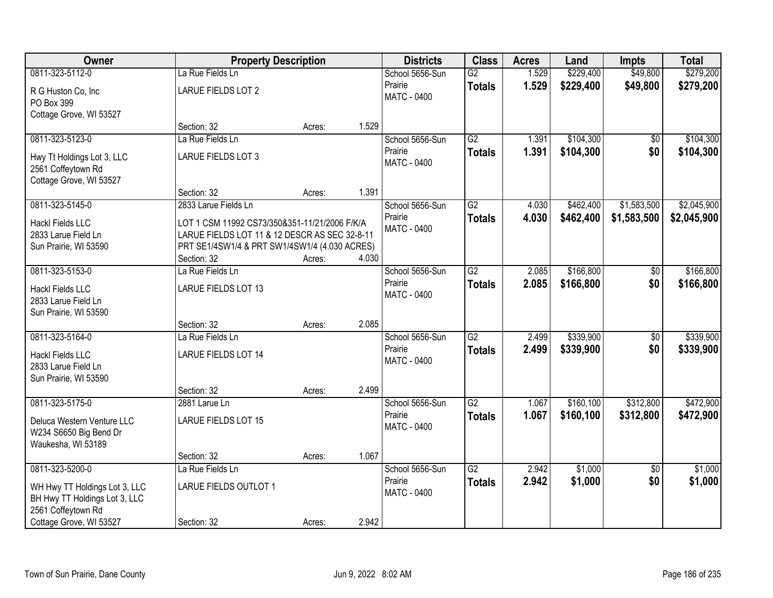| Owner                         | <b>Property Description</b>                   |        |       | <b>Districts</b>   | <b>Class</b>    | <b>Acres</b> | Land       | <b>Impts</b>    | <b>Total</b> |
|-------------------------------|-----------------------------------------------|--------|-------|--------------------|-----------------|--------------|------------|-----------------|--------------|
| 0811-323-5112-0               | La Rue Fields Ln                              |        |       | School 5656-Sun    | $\overline{G2}$ | 1.529        | \$229,400  | \$49,800        | \$279,200    |
| R G Huston Co, Inc            | <b>LARUE FIELDS LOT 2</b>                     |        |       | Prairie            | <b>Totals</b>   | 1.529        | \$229,400  | \$49,800        | \$279,200    |
| PO Box 399                    |                                               |        |       | <b>MATC - 0400</b> |                 |              |            |                 |              |
| Cottage Grove, WI 53527       |                                               |        |       |                    |                 |              |            |                 |              |
|                               | Section: 32                                   | Acres: | 1.529 |                    |                 |              |            |                 |              |
| 0811-323-5123-0               | La Rue Fields Ln                              |        |       | School 5656-Sun    | G2              | 1.391        | \$104,300  | \$0             | \$104,300    |
| Hwy Tt Holdings Lot 3, LLC    | LARUE FIELDS LOT 3                            |        |       | Prairie            | <b>Totals</b>   | 1.391        | \$104,300  | \$0             | \$104,300    |
| 2561 Coffeytown Rd            |                                               |        |       | <b>MATC - 0400</b> |                 |              |            |                 |              |
| Cottage Grove, WI 53527       |                                               |        |       |                    |                 |              |            |                 |              |
|                               | Section: 32                                   | Acres: | 1.391 |                    |                 |              |            |                 |              |
| 0811-323-5145-0               | 2833 Larue Fields Ln                          |        |       | School 5656-Sun    | G2              | 4.030        | \$462,400  | \$1,583,500     | \$2,045,900  |
| <b>Hackl Fields LLC</b>       | LOT 1 CSM 11992 CS73/350&351-11/21/2006 F/K/A |        |       | Prairie            | <b>Totals</b>   | 4.030        | \$462,400  | \$1,583,500     | \$2,045,900  |
| 2833 Larue Field Ln           | LARUE FIELDS LOT 11 & 12 DESCR AS SEC 32-8-11 |        |       | <b>MATC - 0400</b> |                 |              |            |                 |              |
| Sun Prairie, WI 53590         | PRT SE1/4SW1/4 & PRT SW1/4SW1/4 (4.030 ACRES) |        |       |                    |                 |              |            |                 |              |
|                               | Section: 32                                   | Acres: | 4.030 |                    |                 |              |            |                 |              |
| 0811-323-5153-0               | La Rue Fields Ln                              |        |       | School 5656-Sun    | $\overline{G2}$ | 2.085        | \$166,800  | \$0             | \$166,800    |
| <b>Hackl Fields LLC</b>       | LARUE FIELDS LOT 13                           |        |       | Prairie            | <b>Totals</b>   | 2.085        | \$166,800  | \$0             | \$166,800    |
| 2833 Larue Field Ln           |                                               |        |       | MATC - 0400        |                 |              |            |                 |              |
| Sun Prairie, WI 53590         |                                               |        |       |                    |                 |              |            |                 |              |
|                               | Section: 32                                   | Acres: | 2.085 |                    |                 |              |            |                 |              |
| 0811-323-5164-0               | La Rue Fields Ln                              |        |       | School 5656-Sun    | $\overline{G2}$ | 2.499        | \$339,900  | $\overline{50}$ | \$339,900    |
| <b>Hackl Fields LLC</b>       | <b>LARUE FIELDS LOT 14</b>                    |        |       | Prairie            | <b>Totals</b>   | 2.499        | \$339,900  | \$0             | \$339,900    |
| 2833 Larue Field Ln           |                                               |        |       | <b>MATC - 0400</b> |                 |              |            |                 |              |
| Sun Prairie, WI 53590         |                                               |        |       |                    |                 |              |            |                 |              |
|                               | Section: 32                                   | Acres: | 2.499 |                    |                 |              |            |                 |              |
| 0811-323-5175-0               | 2881 Larue Ln                                 |        |       | School 5656-Sun    | $\overline{G2}$ | 1.067        | \$160, 100 | \$312,800       | \$472,900    |
| Deluca Western Venture LLC    | <b>LARUE FIELDS LOT 15</b>                    |        |       | Prairie            | <b>Totals</b>   | 1.067        | \$160,100  | \$312,800       | \$472,900    |
| W234 S6650 Big Bend Dr        |                                               |        |       | <b>MATC - 0400</b> |                 |              |            |                 |              |
| Waukesha, WI 53189            |                                               |        |       |                    |                 |              |            |                 |              |
|                               | Section: 32                                   | Acres: | 1.067 |                    |                 |              |            |                 |              |
| 0811-323-5200-0               | La Rue Fields Ln                              |        |       | School 5656-Sun    | $\overline{G2}$ | 2.942        | \$1,000    | $\overline{50}$ | \$1,000      |
| WH Hwy TT Holdings Lot 3, LLC | LARUE FIELDS OUTLOT 1                         |        |       | Prairie            | <b>Totals</b>   | 2.942        | \$1,000    | \$0             | \$1,000      |
| BH Hwy TT Holdings Lot 3, LLC |                                               |        |       | <b>MATC - 0400</b> |                 |              |            |                 |              |
| 2561 Coffeytown Rd            |                                               |        |       |                    |                 |              |            |                 |              |
| Cottage Grove, WI 53527       | Section: 32                                   | Acres: | 2.942 |                    |                 |              |            |                 |              |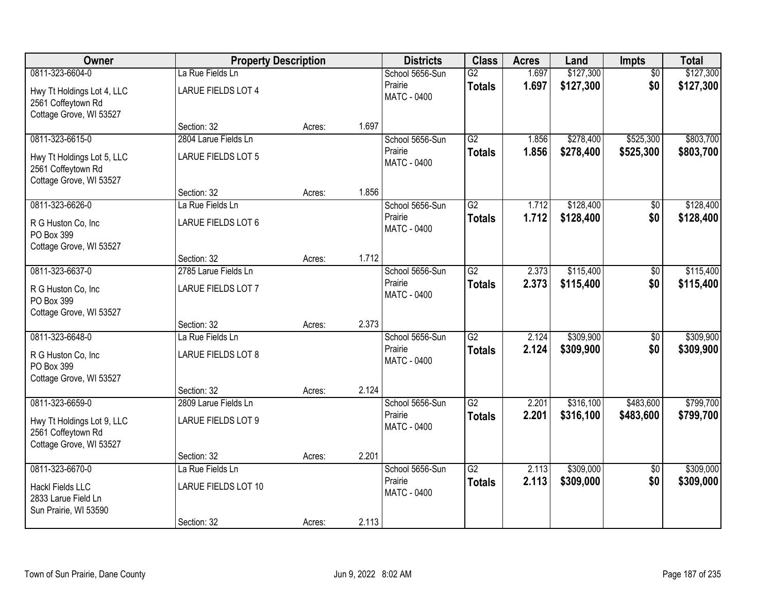| Owner                                            | <b>Property Description</b>         |        |       | <b>Districts</b>              | <b>Class</b>    | <b>Acres</b> | Land      | Impts           | <b>Total</b> |
|--------------------------------------------------|-------------------------------------|--------|-------|-------------------------------|-----------------|--------------|-----------|-----------------|--------------|
| 0811-323-6604-0                                  | La Rue Fields Ln                    |        |       | School 5656-Sun               | $\overline{G2}$ | 1.697        | \$127,300 | $\overline{50}$ | \$127,300    |
| Hwy Tt Holdings Lot 4, LLC<br>2561 Coffeytown Rd | <b>LARUE FIELDS LOT 4</b>           |        |       | Prairie<br><b>MATC - 0400</b> | <b>Totals</b>   | 1.697        | \$127,300 | \$0             | \$127,300    |
| Cottage Grove, WI 53527                          |                                     |        | 1.697 |                               |                 |              |           |                 |              |
| 0811-323-6615-0                                  | Section: 32<br>2804 Larue Fields Ln | Acres: |       | School 5656-Sun               | G2              | 1.856        | \$278,400 | \$525,300       | \$803,700    |
|                                                  |                                     |        |       | Prairie                       |                 | 1.856        | \$278,400 | \$525,300       |              |
| Hwy Tt Holdings Lot 5, LLC<br>2561 Coffeytown Rd | <b>LARUE FIELDS LOT 5</b>           |        |       | MATC - 0400                   | <b>Totals</b>   |              |           |                 | \$803,700    |
| Cottage Grove, WI 53527                          | Section: 32                         |        | 1.856 |                               |                 |              |           |                 |              |
| 0811-323-6626-0                                  | La Rue Fields Ln                    | Acres: |       | School 5656-Sun               | G2              | 1.712        | \$128,400 | \$0             | \$128,400    |
|                                                  |                                     |        |       | Prairie                       | <b>Totals</b>   | 1.712        | \$128,400 | \$0             | \$128,400    |
| R G Huston Co, Inc.<br>PO Box 399                | LARUE FIELDS LOT 6                  |        |       | <b>MATC - 0400</b>            |                 |              |           |                 |              |
| Cottage Grove, WI 53527                          |                                     |        |       |                               |                 |              |           |                 |              |
|                                                  | Section: 32                         | Acres: | 1.712 |                               |                 |              |           |                 |              |
| 0811-323-6637-0                                  | 2785 Larue Fields Ln                |        |       | School 5656-Sun               | $\overline{G2}$ | 2.373        | \$115,400 | \$0             | \$115,400    |
| R G Huston Co, Inc.<br>PO Box 399                | LARUE FIELDS LOT 7                  |        |       | Prairie<br><b>MATC - 0400</b> | <b>Totals</b>   | 2.373        | \$115,400 | \$0             | \$115,400    |
| Cottage Grove, WI 53527                          |                                     |        |       |                               |                 |              |           |                 |              |
|                                                  | Section: 32                         | Acres: | 2.373 |                               |                 |              |           |                 |              |
| 0811-323-6648-0                                  | La Rue Fields Ln                    |        |       | School 5656-Sun               | $\overline{G2}$ | 2.124        | \$309,900 | $\overline{50}$ | \$309,900    |
| R G Huston Co, Inc                               | <b>LARUE FIELDS LOT 8</b>           |        |       | Prairie                       | <b>Totals</b>   | 2.124        | \$309,900 | \$0             | \$309,900    |
| PO Box 399                                       |                                     |        |       | MATC - 0400                   |                 |              |           |                 |              |
| Cottage Grove, WI 53527                          |                                     |        |       |                               |                 |              |           |                 |              |
|                                                  | Section: 32                         | Acres: | 2.124 |                               |                 |              |           |                 |              |
| 0811-323-6659-0                                  | 2809 Larue Fields Ln                |        |       | School 5656-Sun               | $\overline{G2}$ | 2.201        | \$316,100 | \$483,600       | \$799,700    |
| Hwy Tt Holdings Lot 9, LLC<br>2561 Coffeytown Rd | LARUE FIELDS LOT 9                  |        |       | Prairie<br>MATC - 0400        | <b>Totals</b>   | 2.201        | \$316,100 | \$483,600       | \$799,700    |
| Cottage Grove, WI 53527                          |                                     |        |       |                               |                 |              |           |                 |              |
|                                                  | Section: 32                         | Acres: | 2.201 |                               |                 |              |           |                 |              |
| 0811-323-6670-0                                  | La Rue Fields Ln                    |        |       | School 5656-Sun               | $\overline{G2}$ | 2.113        | \$309,000 | $\overline{50}$ | \$309,000    |
| <b>Hackl Fields LLC</b>                          | <b>LARUE FIELDS LOT 10</b>          |        |       | Prairie                       | <b>Totals</b>   | 2.113        | \$309,000 | \$0             | \$309,000    |
| 2833 Larue Field Ln                              |                                     |        |       | <b>MATC - 0400</b>            |                 |              |           |                 |              |
| Sun Prairie, WI 53590                            |                                     |        |       |                               |                 |              |           |                 |              |
|                                                  | Section: 32                         | Acres: | 2.113 |                               |                 |              |           |                 |              |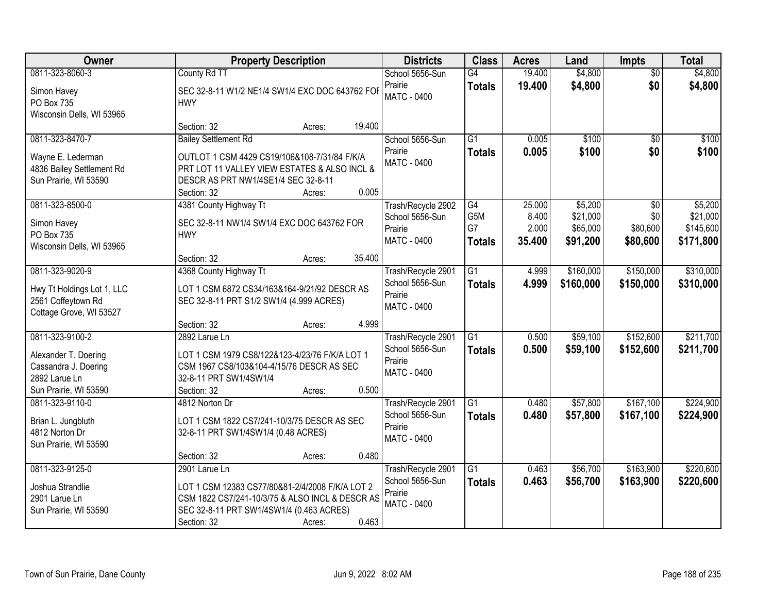| Owner                                                                                                     | <b>Property Description</b>                                                                                                                                                       |        |        | <b>Districts</b>                                                       | <b>Class</b>                     | <b>Acres</b>                       | Land                                        | Impts                                          | <b>Total</b>                                  |
|-----------------------------------------------------------------------------------------------------------|-----------------------------------------------------------------------------------------------------------------------------------------------------------------------------------|--------|--------|------------------------------------------------------------------------|----------------------------------|------------------------------------|---------------------------------------------|------------------------------------------------|-----------------------------------------------|
| 0811-323-8060-3<br>Simon Havey<br>PO Box 735<br>Wisconsin Dells, WI 53965                                 | County Rd TT<br>SEC 32-8-11 W1/2 NE1/4 SW1/4 EXC DOC 643762 FOR<br><b>HWY</b>                                                                                                     |        |        | School 5656-Sun<br>Prairie<br><b>MATC - 0400</b>                       | G4<br><b>Totals</b>              | 19.400<br>19.400                   | \$4,800<br>\$4,800                          | $\overline{50}$<br>\$0                         | \$4,800<br>\$4,800                            |
|                                                                                                           | Section: 32                                                                                                                                                                       | Acres: | 19.400 |                                                                        |                                  |                                    |                                             |                                                |                                               |
| 0811-323-8470-7<br>Wayne E. Lederman<br>4836 Bailey Settlement Rd<br>Sun Prairie, WI 53590                | <b>Bailey Settlement Rd</b><br>OUTLOT 1 CSM 4429 CS19/106&108-7/31/84 F/K/A<br>PRT LOT 11 VALLEY VIEW ESTATES & ALSO INCL &<br>DESCR AS PRT NW1/4SE1/4 SEC 32-8-11<br>Section: 32 | Acres: | 0.005  | School 5656-Sun<br>Prairie<br><b>MATC - 0400</b>                       | $\overline{G1}$<br><b>Totals</b> | 0.005<br>0.005                     | \$100<br>\$100                              | $\overline{50}$<br>\$0                         | \$100<br>\$100                                |
| 0811-323-8500-0<br>Simon Havey<br>PO Box 735<br>Wisconsin Dells, WI 53965                                 | 4381 County Highway Tt<br>SEC 32-8-11 NW1/4 SW1/4 EXC DOC 643762 FOR<br><b>HWY</b><br>Section: 32                                                                                 | Acres: | 35.400 | Trash/Recycle 2902<br>School 5656-Sun<br>Prairie<br>MATC - 0400        | G4<br>G5M<br>G7<br><b>Totals</b> | 25.000<br>8.400<br>2.000<br>35.400 | \$5,200<br>\$21,000<br>\$65,000<br>\$91,200 | $\overline{50}$<br>\$0<br>\$80,600<br>\$80,600 | \$5,200<br>\$21,000<br>\$145,600<br>\$171,800 |
| 0811-323-9020-9<br>Hwy Tt Holdings Lot 1, LLC<br>2561 Coffeytown Rd<br>Cottage Grove, WI 53527            | 4368 County Highway Tt<br>LOT 1 CSM 6872 CS34/163&164-9/21/92 DESCR AS<br>SEC 32-8-11 PRT S1/2 SW1/4 (4.999 ACRES)<br>Section: 32                                                 | Acres: | 4.999  | Trash/Recycle 2901<br>School 5656-Sun<br>Prairie<br><b>MATC - 0400</b> | $\overline{G1}$<br><b>Totals</b> | 4.999<br>4.999                     | \$160,000<br>\$160,000                      | \$150,000<br>\$150,000                         | \$310,000<br>\$310,000                        |
| 0811-323-9100-2<br>Alexander T. Doering<br>Cassandra J. Doering<br>2892 Larue Ln<br>Sun Prairie, WI 53590 | 2892 Larue Ln<br>LOT 1 CSM 1979 CS8/122&123-4/23/76 F/K/A LOT 1<br>CSM 1967 CS8/103&104-4/15/76 DESCR AS SEC<br>32-8-11 PRT SW1/4SW1/4<br>Section: 32                             | Acres: | 0.500  | Trash/Recycle 2901<br>School 5656-Sun<br>Prairie<br><b>MATC - 0400</b> | $\overline{G1}$<br><b>Totals</b> | 0.500<br>0.500                     | \$59,100<br>\$59,100                        | \$152,600<br>\$152,600                         | \$211,700<br>\$211,700                        |
| 0811-323-9110-0<br>Brian L. Jungbluth<br>4812 Norton Dr<br>Sun Prairie, WI 53590                          | 4812 Norton Dr<br>LOT 1 CSM 1822 CS7/241-10/3/75 DESCR AS SEC<br>32-8-11 PRT SW1/4SW1/4 (0.48 ACRES)<br>Section: 32                                                               | Acres: | 0.480  | Trash/Recycle 2901<br>School 5656-Sun<br>Prairie<br>MATC - 0400        | $\overline{G1}$<br><b>Totals</b> | 0.480<br>0.480                     | \$57,800<br>\$57,800                        | \$167,100<br>\$167,100                         | \$224,900<br>\$224,900                        |
| 0811-323-9125-0<br>Joshua Strandlie<br>2901 Larue Ln<br>Sun Prairie, WI 53590                             | 2901 Larue Ln<br>LOT 1 CSM 12383 CS77/80&81-2/4/2008 F/K/A LOT 2<br>CSM 1822 CS7/241-10/3/75 & ALSO INCL & DESCR AS<br>SEC 32-8-11 PRT SW1/4SW1/4 (0.463 ACRES)<br>Section: 32    | Acres: | 0.463  | Trash/Recycle 2901<br>School 5656-Sun<br>Prairie<br><b>MATC - 0400</b> | $\overline{G1}$<br><b>Totals</b> | 0.463<br>0.463                     | \$56,700<br>\$56,700                        | \$163,900<br>\$163,900                         | \$220,600<br>\$220,600                        |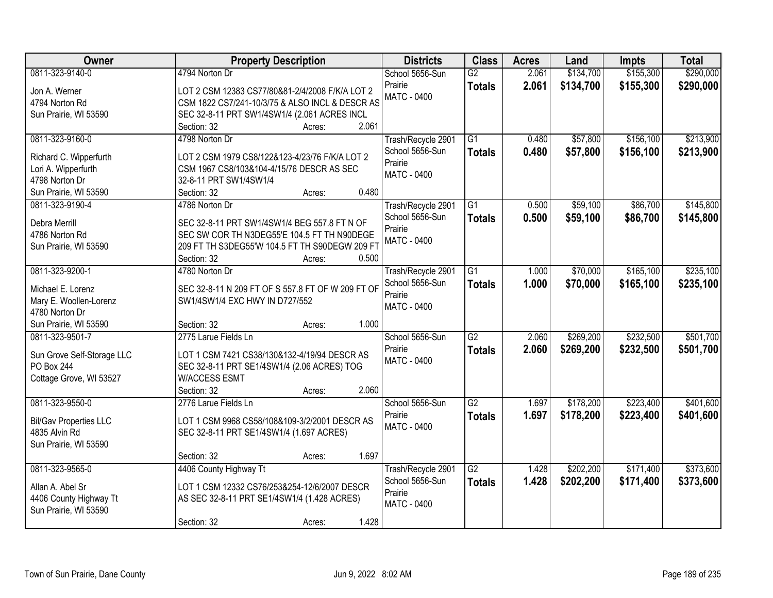| Owner                         | <b>Property Description</b>                       | <b>Districts</b>   | <b>Class</b>    | <b>Acres</b> | Land      | <b>Impts</b> | <b>Total</b> |
|-------------------------------|---------------------------------------------------|--------------------|-----------------|--------------|-----------|--------------|--------------|
| 0811-323-9140-0               | 4794 Norton Dr                                    | School 5656-Sun    | $\overline{G2}$ | 2.061        | \$134,700 | \$155,300    | \$290,000    |
| Jon A. Werner                 | LOT 2 CSM 12383 CS77/80&81-2/4/2008 F/K/A LOT 2   | Prairie            | <b>Totals</b>   | 2.061        | \$134,700 | \$155,300    | \$290,000    |
| 4794 Norton Rd                | CSM 1822 CS7/241-10/3/75 & ALSO INCL & DESCR AS   | <b>MATC - 0400</b> |                 |              |           |              |              |
| Sun Prairie, WI 53590         | SEC 32-8-11 PRT SW1/4SW1/4 (2.061 ACRES INCL      |                    |                 |              |           |              |              |
|                               | 2.061<br>Section: 32<br>Acres:                    |                    |                 |              |           |              |              |
| 0811-323-9160-0               | 4798 Norton Dr                                    | Trash/Recycle 2901 | $\overline{G1}$ | 0.480        | \$57,800  | \$156,100    | \$213,900    |
| Richard C. Wipperfurth        | LOT 2 CSM 1979 CS8/122&123-4/23/76 F/K/A LOT 2    | School 5656-Sun    | <b>Totals</b>   | 0.480        | \$57,800  | \$156,100    | \$213,900    |
| Lori A. Wipperfurth           | CSM 1967 CS8/103&104-4/15/76 DESCR AS SEC         | Prairie            |                 |              |           |              |              |
| 4798 Norton Dr                | 32-8-11 PRT SW1/4SW1/4                            | <b>MATC - 0400</b> |                 |              |           |              |              |
| Sun Prairie, WI 53590         | 0.480<br>Section: 32<br>Acres:                    |                    |                 |              |           |              |              |
| 0811-323-9190-4               | 4786 Norton Dr                                    | Trash/Recycle 2901 | G1              | 0.500        | \$59,100  | \$86,700     | \$145,800    |
|                               |                                                   | School 5656-Sun    | <b>Totals</b>   | 0.500        | \$59,100  | \$86,700     | \$145,800    |
| Debra Merrill                 | SEC 32-8-11 PRT SW1/4SW1/4 BEG 557.8 FT N OF      | Prairie            |                 |              |           |              |              |
| 4786 Norton Rd                | SEC SW COR TH N3DEG55'E 104.5 FT TH N90DEGE       | <b>MATC - 0400</b> |                 |              |           |              |              |
| Sun Prairie, WI 53590         | 209 FT TH S3DEG55'W 104.5 FT TH S90DEGW 209 FT    |                    |                 |              |           |              |              |
|                               | Section: 32<br>0.500<br>Acres:                    |                    |                 |              |           |              |              |
| 0811-323-9200-1               | 4780 Norton Dr                                    | Trash/Recycle 2901 | G1              | 1.000        | \$70,000  | \$165,100    | \$235,100    |
| Michael E. Lorenz             | SEC 32-8-11 N 209 FT OF S 557.8 FT OF W 209 FT OF | School 5656-Sun    | <b>Totals</b>   | 1.000        | \$70,000  | \$165,100    | \$235,100    |
| Mary E. Woollen-Lorenz        | SW1/4SW1/4 EXC HWY IN D727/552                    | Prairie            |                 |              |           |              |              |
| 4780 Norton Dr                |                                                   | MATC - 0400        |                 |              |           |              |              |
| Sun Prairie, WI 53590         | 1.000<br>Section: 32<br>Acres:                    |                    |                 |              |           |              |              |
| 0811-323-9501-7               | 2775 Larue Fields Ln                              | School 5656-Sun    | $\overline{G2}$ | 2.060        | \$269,200 | \$232,500    | \$501,700    |
| Sun Grove Self-Storage LLC    | LOT 1 CSM 7421 CS38/130&132-4/19/94 DESCR AS      | Prairie            | <b>Totals</b>   | 2.060        | \$269,200 | \$232,500    | \$501,700    |
| PO Box 244                    | SEC 32-8-11 PRT SE1/4SW1/4 (2.06 ACRES) TOG       | MATC - 0400        |                 |              |           |              |              |
| Cottage Grove, WI 53527       | <b>W/ACCESS ESMT</b>                              |                    |                 |              |           |              |              |
|                               | Section: 32<br>2.060<br>Acres:                    |                    |                 |              |           |              |              |
| 0811-323-9550-0               | 2776 Larue Fields Ln                              | School 5656-Sun    | $\overline{G2}$ | 1.697        | \$178,200 | \$223,400    | \$401,600    |
|                               |                                                   | Prairie            | <b>Totals</b>   | 1.697        | \$178,200 | \$223,400    | \$401,600    |
| <b>Bil/Gav Properties LLC</b> | LOT 1 CSM 9968 CS58/108&109-3/2/2001 DESCR AS     | MATC - 0400        |                 |              |           |              |              |
| 4835 Alvin Rd                 | SEC 32-8-11 PRT SE1/4SW1/4 (1.697 ACRES)          |                    |                 |              |           |              |              |
| Sun Prairie, WI 53590         | 1.697                                             |                    |                 |              |           |              |              |
| 0811-323-9565-0               | Section: 32<br>Acres:<br>4406 County Highway Tt   | Trash/Recycle 2901 | $\overline{G2}$ | 1.428        | \$202,200 | \$171,400    | \$373,600    |
|                               |                                                   | School 5656-Sun    |                 | 1.428        |           |              |              |
| Allan A. Abel Sr              | LOT 1 CSM 12332 CS76/253&254-12/6/2007 DESCR      | Prairie            | <b>Totals</b>   |              | \$202,200 | \$171,400    | \$373,600    |
| 4406 County Highway Tt        | AS SEC 32-8-11 PRT SE1/4SW1/4 (1.428 ACRES)       | <b>MATC - 0400</b> |                 |              |           |              |              |
| Sun Prairie, WI 53590         |                                                   |                    |                 |              |           |              |              |
|                               | 1.428<br>Section: 32<br>Acres:                    |                    |                 |              |           |              |              |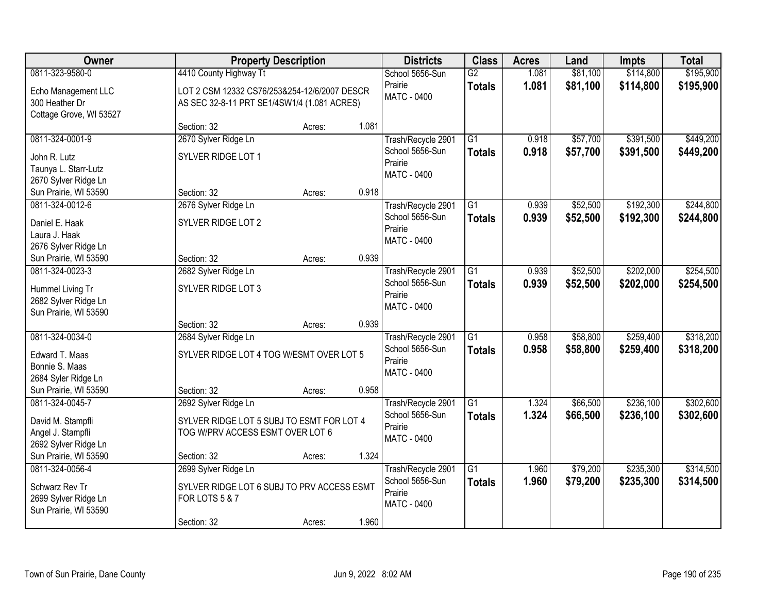| <b>Owner</b>            | <b>Property Description</b>                  |        |       | <b>Districts</b>   | <b>Class</b>    | <b>Acres</b> | Land     | <b>Impts</b> | <b>Total</b> |
|-------------------------|----------------------------------------------|--------|-------|--------------------|-----------------|--------------|----------|--------------|--------------|
| 0811-323-9580-0         | 4410 County Highway Tt                       |        |       | School 5656-Sun    | $\overline{G2}$ | 1.081        | \$81,100 | \$114,800    | \$195,900    |
| Echo Management LLC     | LOT 2 CSM 12332 CS76/253&254-12/6/2007 DESCR |        |       | Prairie            | <b>Totals</b>   | 1.081        | \$81,100 | \$114,800    | \$195,900    |
| 300 Heather Dr          | AS SEC 32-8-11 PRT SE1/4SW1/4 (1.081 ACRES)  |        |       | MATC - 0400        |                 |              |          |              |              |
| Cottage Grove, WI 53527 |                                              |        |       |                    |                 |              |          |              |              |
|                         | Section: 32                                  | Acres: | 1.081 |                    |                 |              |          |              |              |
| 0811-324-0001-9         | 2670 Sylver Ridge Ln                         |        |       | Trash/Recycle 2901 | $\overline{G1}$ | 0.918        | \$57,700 | \$391,500    | \$449,200    |
| John R. Lutz            | SYLVER RIDGE LOT 1                           |        |       | School 5656-Sun    | <b>Totals</b>   | 0.918        | \$57,700 | \$391,500    | \$449,200    |
| Taunya L. Starr-Lutz    |                                              |        |       | Prairie            |                 |              |          |              |              |
| 2670 Sylver Ridge Ln    |                                              |        |       | <b>MATC - 0400</b> |                 |              |          |              |              |
| Sun Prairie, WI 53590   | Section: 32                                  | Acres: | 0.918 |                    |                 |              |          |              |              |
| 0811-324-0012-6         | 2676 Sylver Ridge Ln                         |        |       | Trash/Recycle 2901 | G1              | 0.939        | \$52,500 | \$192,300    | \$244,800    |
| Daniel E. Haak          | SYLVER RIDGE LOT 2                           |        |       | School 5656-Sun    | <b>Totals</b>   | 0.939        | \$52,500 | \$192,300    | \$244,800    |
| Laura J. Haak           |                                              |        |       | Prairie            |                 |              |          |              |              |
| 2676 Sylver Ridge Ln    |                                              |        |       | MATC - 0400        |                 |              |          |              |              |
| Sun Prairie, WI 53590   | Section: 32                                  | Acres: | 0.939 |                    |                 |              |          |              |              |
| 0811-324-0023-3         | 2682 Sylver Ridge Ln                         |        |       | Trash/Recycle 2901 | $\overline{G1}$ | 0.939        | \$52,500 | \$202,000    | \$254,500    |
| Hummel Living Tr        | SYLVER RIDGE LOT 3                           |        |       | School 5656-Sun    | <b>Totals</b>   | 0.939        | \$52,500 | \$202,000    | \$254,500    |
| 2682 Sylver Ridge Ln    |                                              |        |       | Prairie            |                 |              |          |              |              |
| Sun Prairie, WI 53590   |                                              |        |       | <b>MATC - 0400</b> |                 |              |          |              |              |
|                         | Section: 32                                  | Acres: | 0.939 |                    |                 |              |          |              |              |
| 0811-324-0034-0         | 2684 Sylver Ridge Ln                         |        |       | Trash/Recycle 2901 | $\overline{G1}$ | 0.958        | \$58,800 | \$259,400    | \$318,200    |
| Edward T. Maas          | SYLVER RIDGE LOT 4 TOG W/ESMT OVER LOT 5     |        |       | School 5656-Sun    | <b>Totals</b>   | 0.958        | \$58,800 | \$259,400    | \$318,200    |
| Bonnie S. Maas          |                                              |        |       | Prairie            |                 |              |          |              |              |
| 2684 Syler Ridge Ln     |                                              |        |       | <b>MATC - 0400</b> |                 |              |          |              |              |
| Sun Prairie, WI 53590   | Section: 32                                  | Acres: | 0.958 |                    |                 |              |          |              |              |
| 0811-324-0045-7         | 2692 Sylver Ridge Ln                         |        |       | Trash/Recycle 2901 | $\overline{G1}$ | 1.324        | \$66,500 | \$236,100    | \$302,600    |
| David M. Stampfli       | SYLVER RIDGE LOT 5 SUBJ TO ESMT FOR LOT 4    |        |       | School 5656-Sun    | <b>Totals</b>   | 1.324        | \$66,500 | \$236,100    | \$302,600    |
| Angel J. Stampfli       | TOG W/PRV ACCESS ESMT OVER LOT 6             |        |       | Prairie            |                 |              |          |              |              |
| 2692 Sylver Ridge Ln    |                                              |        |       | MATC - 0400        |                 |              |          |              |              |
| Sun Prairie, WI 53590   | Section: 32                                  | Acres: | 1.324 |                    |                 |              |          |              |              |
| 0811-324-0056-4         | 2699 Sylver Ridge Ln                         |        |       | Trash/Recycle 2901 | $\overline{G1}$ | 1.960        | \$79,200 | \$235,300    | \$314,500    |
| Schwarz Rev Tr          | SYLVER RIDGE LOT 6 SUBJ TO PRV ACCESS ESMT   |        |       | School 5656-Sun    | <b>Totals</b>   | 1.960        | \$79,200 | \$235,300    | \$314,500    |
| 2699 Sylver Ridge Ln    | <b>FOR LOTS 5 &amp; 7</b>                    |        |       | Prairie            |                 |              |          |              |              |
| Sun Prairie, WI 53590   |                                              |        |       | <b>MATC - 0400</b> |                 |              |          |              |              |
|                         | Section: 32                                  | Acres: | 1.960 |                    |                 |              |          |              |              |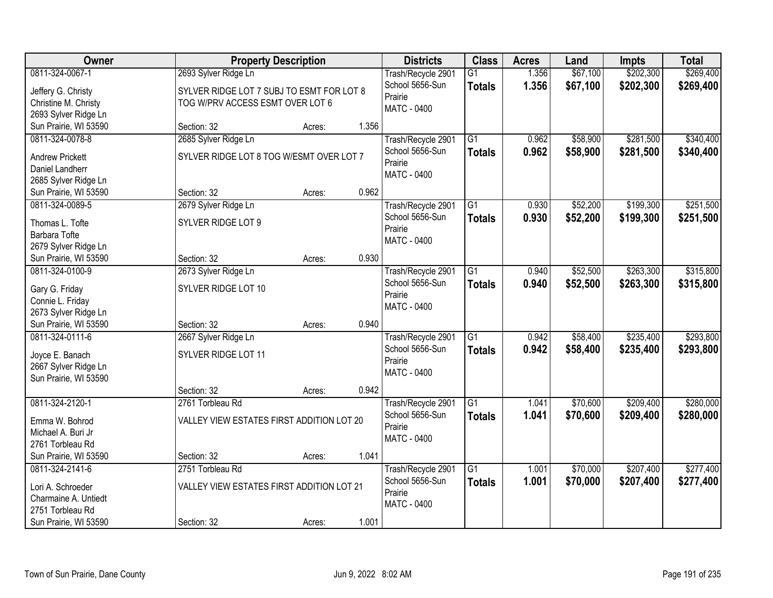| Owner                                  | <b>Property Description</b>               |        |       | <b>Districts</b>                      | <b>Class</b>    | <b>Acres</b> | Land     | <b>Impts</b> | <b>Total</b> |
|----------------------------------------|-------------------------------------------|--------|-------|---------------------------------------|-----------------|--------------|----------|--------------|--------------|
| 0811-324-0067-1                        | 2693 Sylver Ridge Ln                      |        |       | Trash/Recycle 2901                    | $\overline{G1}$ | 1.356        | \$67,100 | \$202,300    | \$269,400    |
| Jeffery G. Christy                     | SYLVER RIDGE LOT 7 SUBJ TO ESMT FOR LOT 8 |        |       | School 5656-Sun                       | <b>Totals</b>   | 1.356        | \$67,100 | \$202,300    | \$269,400    |
| Christine M. Christy                   | TOG W/PRV ACCESS ESMT OVER LOT 6          |        |       | Prairie                               |                 |              |          |              |              |
| 2693 Sylver Ridge Ln                   |                                           |        |       | <b>MATC - 0400</b>                    |                 |              |          |              |              |
| Sun Prairie, WI 53590                  | Section: 32                               | Acres: | 1.356 |                                       |                 |              |          |              |              |
| 0811-324-0078-8                        | 2685 Sylver Ridge Ln                      |        |       | Trash/Recycle 2901                    | $\overline{G1}$ | 0.962        | \$58,900 | \$281,500    | \$340,400    |
| <b>Andrew Prickett</b>                 | SYLVER RIDGE LOT 8 TOG W/ESMT OVER LOT 7  |        |       | School 5656-Sun                       | <b>Totals</b>   | 0.962        | \$58,900 | \$281,500    | \$340,400    |
| Daniel Landherr                        |                                           |        |       | Prairie                               |                 |              |          |              |              |
| 2685 Sylver Ridge Ln                   |                                           |        |       | MATC - 0400                           |                 |              |          |              |              |
| Sun Prairie, WI 53590                  | Section: 32                               | Acres: | 0.962 |                                       |                 |              |          |              |              |
| 0811-324-0089-5                        | 2679 Sylver Ridge Ln                      |        |       | Trash/Recycle 2901                    | G1              | 0.930        | \$52,200 | \$199,300    | \$251,500    |
|                                        |                                           |        |       | School 5656-Sun                       | <b>Totals</b>   | 0.930        | \$52,200 | \$199,300    | \$251,500    |
| Thomas L. Tofte                        | SYLVER RIDGE LOT 9                        |        |       | Prairie                               |                 |              |          |              |              |
| Barbara Tofte                          |                                           |        |       | <b>MATC - 0400</b>                    |                 |              |          |              |              |
| 2679 Sylver Ridge Ln                   |                                           |        |       |                                       |                 |              |          |              |              |
| Sun Prairie, WI 53590                  | Section: 32                               | Acres: | 0.930 |                                       |                 |              |          |              |              |
| 0811-324-0100-9                        | 2673 Sylver Ridge Ln                      |        |       | Trash/Recycle 2901                    | G1              | 0.940        | \$52,500 | \$263,300    | \$315,800    |
| Gary G. Friday                         | SYLVER RIDGE LOT 10                       |        |       | School 5656-Sun                       | <b>Totals</b>   | 0.940        | \$52,500 | \$263,300    | \$315,800    |
| Connie L. Friday                       |                                           |        |       | Prairie                               |                 |              |          |              |              |
| 2673 Sylver Ridge Ln                   |                                           |        |       | MATC - 0400                           |                 |              |          |              |              |
| Sun Prairie, WI 53590                  | Section: 32                               | Acres: | 0.940 |                                       |                 |              |          |              |              |
| 0811-324-0111-6                        | 2667 Sylver Ridge Ln                      |        |       | Trash/Recycle 2901                    | $\overline{G1}$ | 0.942        | \$58,400 | \$235,400    | \$293,800    |
| Joyce E. Banach                        | SYLVER RIDGE LOT 11                       |        |       | School 5656-Sun                       | <b>Totals</b>   | 0.942        | \$58,400 | \$235,400    | \$293,800    |
| 2667 Sylver Ridge Ln                   |                                           |        |       | Prairie                               |                 |              |          |              |              |
| Sun Prairie, WI 53590                  |                                           |        |       | <b>MATC - 0400</b>                    |                 |              |          |              |              |
|                                        | Section: 32                               | Acres: | 0.942 |                                       |                 |              |          |              |              |
| 0811-324-2120-1                        | 2761 Torbleau Rd                          |        |       | Trash/Recycle 2901                    | $\overline{G1}$ | 1.041        | \$70,600 | \$209,400    | \$280,000    |
|                                        |                                           |        |       | School 5656-Sun                       | <b>Totals</b>   | 1.041        | \$70,600 | \$209,400    | \$280,000    |
| Emma W. Bohrod                         | VALLEY VIEW ESTATES FIRST ADDITION LOT 20 |        |       | Prairie                               |                 |              |          |              |              |
| Michael A. Buri Jr<br>2761 Torbleau Rd |                                           |        |       | MATC - 0400                           |                 |              |          |              |              |
| Sun Prairie, WI 53590                  | Section: 32                               |        | 1.041 |                                       |                 |              |          |              |              |
| 0811-324-2141-6                        | 2751 Torbleau Rd                          | Acres: |       |                                       | $\overline{G1}$ |              | \$70,000 | \$207,400    |              |
|                                        |                                           |        |       | Trash/Recycle 2901<br>School 5656-Sun |                 | 1.001        |          |              | \$277,400    |
| Lori A. Schroeder                      | VALLEY VIEW ESTATES FIRST ADDITION LOT 21 |        |       | Prairie                               | <b>Totals</b>   | 1.001        | \$70,000 | \$207,400    | \$277,400    |
| Charmaine A. Untiedt                   |                                           |        |       | MATC - 0400                           |                 |              |          |              |              |
| 2751 Torbleau Rd                       |                                           |        |       |                                       |                 |              |          |              |              |
| Sun Prairie, WI 53590                  | Section: 32                               | Acres: | 1.001 |                                       |                 |              |          |              |              |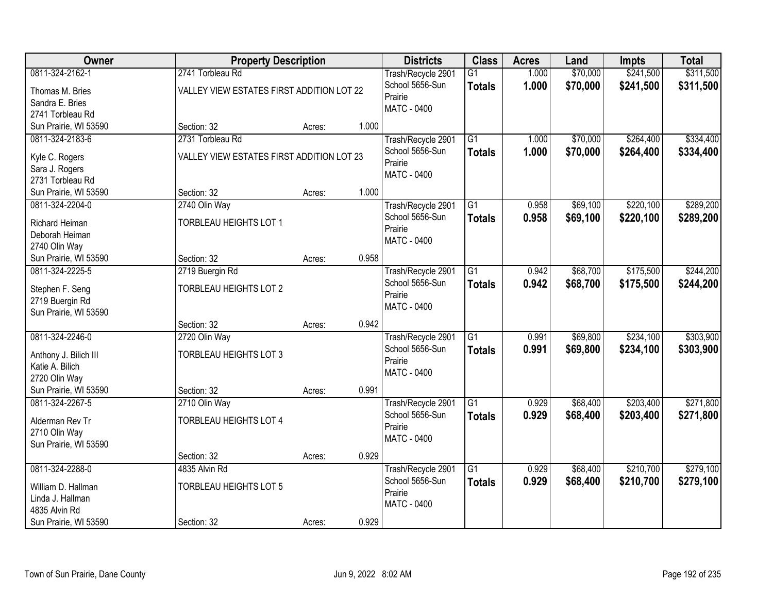| Owner                 | <b>Property Description</b>               |        |       | <b>Districts</b>           | <b>Class</b>    | <b>Acres</b> | Land     | <b>Impts</b> | <b>Total</b> |
|-----------------------|-------------------------------------------|--------|-------|----------------------------|-----------------|--------------|----------|--------------|--------------|
| 0811-324-2162-1       | 2741 Torbleau Rd                          |        |       | Trash/Recycle 2901         | $\overline{G1}$ | 1.000        | \$70,000 | \$241,500    | \$311,500    |
| Thomas M. Bries       | VALLEY VIEW ESTATES FIRST ADDITION LOT 22 |        |       | School 5656-Sun<br>Prairie | <b>Totals</b>   | 1.000        | \$70,000 | \$241,500    | \$311,500    |
| Sandra E. Bries       |                                           |        |       | <b>MATC - 0400</b>         |                 |              |          |              |              |
| 2741 Torbleau Rd      |                                           |        |       |                            |                 |              |          |              |              |
| Sun Prairie, WI 53590 | Section: 32                               | Acres: | 1.000 |                            |                 |              |          |              |              |
| 0811-324-2183-6       | 2731 Torbleau Rd                          |        |       | Trash/Recycle 2901         | $\overline{G1}$ | 1.000        | \$70,000 | \$264,400    | \$334,400    |
| Kyle C. Rogers        | VALLEY VIEW ESTATES FIRST ADDITION LOT 23 |        |       | School 5656-Sun            | <b>Totals</b>   | 1.000        | \$70,000 | \$264,400    | \$334,400    |
| Sara J. Rogers        |                                           |        |       | Prairie                    |                 |              |          |              |              |
| 2731 Torbleau Rd      |                                           |        |       | MATC - 0400                |                 |              |          |              |              |
| Sun Prairie, WI 53590 | Section: 32                               | Acres: | 1.000 |                            |                 |              |          |              |              |
| 0811-324-2204-0       | 2740 Olin Way                             |        |       | Trash/Recycle 2901         | G1              | 0.958        | \$69,100 | \$220,100    | \$289,200    |
| Richard Heiman        | <b>TORBLEAU HEIGHTS LOT 1</b>             |        |       | School 5656-Sun            | <b>Totals</b>   | 0.958        | \$69,100 | \$220,100    | \$289,200    |
| Deborah Heiman        |                                           |        |       | Prairie                    |                 |              |          |              |              |
| 2740 Olin Way         |                                           |        |       | MATC - 0400                |                 |              |          |              |              |
| Sun Prairie, WI 53590 | Section: 32                               | Acres: | 0.958 |                            |                 |              |          |              |              |
| 0811-324-2225-5       | 2719 Buergin Rd                           |        |       | Trash/Recycle 2901         | G1              | 0.942        | \$68,700 | \$175,500    | \$244,200    |
|                       |                                           |        |       | School 5656-Sun            | <b>Totals</b>   | 0.942        | \$68,700 | \$175,500    | \$244,200    |
| Stephen F. Seng       | <b>TORBLEAU HEIGHTS LOT 2</b>             |        |       | Prairie                    |                 |              |          |              |              |
| 2719 Buergin Rd       |                                           |        |       | MATC - 0400                |                 |              |          |              |              |
| Sun Prairie, WI 53590 | Section: 32                               | Acres: | 0.942 |                            |                 |              |          |              |              |
| 0811-324-2246-0       | 2720 Olin Way                             |        |       | Trash/Recycle 2901         | $\overline{G1}$ | 0.991        | \$69,800 | \$234,100    | \$303,900    |
|                       |                                           |        |       | School 5656-Sun            | <b>Totals</b>   | 0.991        | \$69,800 | \$234,100    | \$303,900    |
| Anthony J. Bilich III | <b>TORBLEAU HEIGHTS LOT 3</b>             |        |       | Prairie                    |                 |              |          |              |              |
| Katie A. Bilich       |                                           |        |       | MATC - 0400                |                 |              |          |              |              |
| 2720 Olin Way         |                                           |        |       |                            |                 |              |          |              |              |
| Sun Prairie, WI 53590 | Section: 32                               | Acres: | 0.991 |                            |                 |              |          |              |              |
| 0811-324-2267-5       | 2710 Olin Way                             |        |       | Trash/Recycle 2901         | $\overline{G1}$ | 0.929        | \$68,400 | \$203,400    | \$271,800    |
| Alderman Rev Tr       | <b>TORBLEAU HEIGHTS LOT 4</b>             |        |       | School 5656-Sun<br>Prairie | <b>Totals</b>   | 0.929        | \$68,400 | \$203,400    | \$271,800    |
| 2710 Olin Way         |                                           |        |       | MATC - 0400                |                 |              |          |              |              |
| Sun Prairie, WI 53590 |                                           |        |       |                            |                 |              |          |              |              |
|                       | Section: 32                               | Acres: | 0.929 |                            |                 |              |          |              |              |
| 0811-324-2288-0       | 4835 Alvin Rd                             |        |       | Trash/Recycle 2901         | $\overline{G1}$ | 0.929        | \$68,400 | \$210,700    | \$279,100    |
| William D. Hallman    | <b>TORBLEAU HEIGHTS LOT 5</b>             |        |       | School 5656-Sun            | <b>Totals</b>   | 0.929        | \$68,400 | \$210,700    | \$279,100    |
| Linda J. Hallman      |                                           |        |       | Prairie                    |                 |              |          |              |              |
| 4835 Alvin Rd         |                                           |        |       | MATC - 0400                |                 |              |          |              |              |
| Sun Prairie, WI 53590 | Section: 32                               | Acres: | 0.929 |                            |                 |              |          |              |              |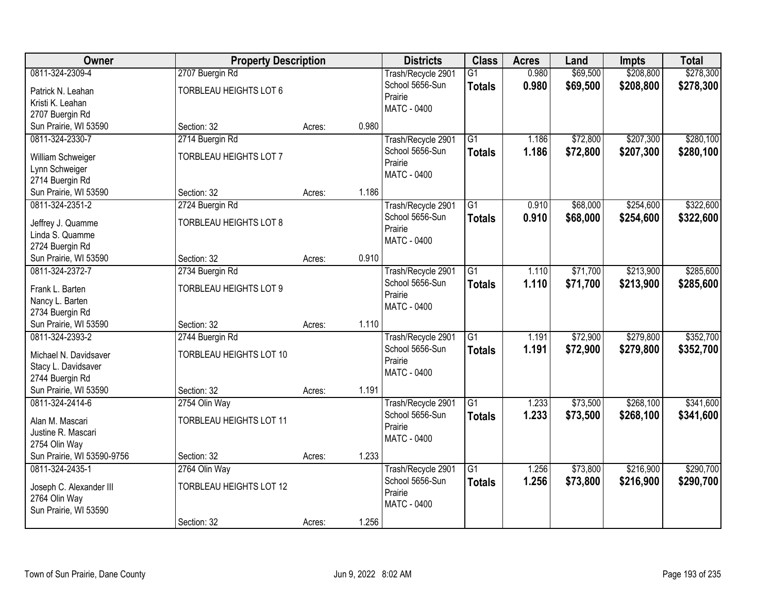| Owner                      | <b>Property Description</b>    |        |       | <b>Districts</b>   | <b>Class</b>    | <b>Acres</b> | Land     | <b>Impts</b> | <b>Total</b> |
|----------------------------|--------------------------------|--------|-------|--------------------|-----------------|--------------|----------|--------------|--------------|
| 0811-324-2309-4            | 2707 Buergin Rd                |        |       | Trash/Recycle 2901 | $\overline{G1}$ | 0.980        | \$69,500 | \$208,800    | \$278,300    |
| Patrick N. Leahan          | <b>TORBLEAU HEIGHTS LOT 6</b>  |        |       | School 5656-Sun    | <b>Totals</b>   | 0.980        | \$69,500 | \$208,800    | \$278,300    |
| Kristi K. Leahan           |                                |        |       | Prairie            |                 |              |          |              |              |
| 2707 Buergin Rd            |                                |        |       | <b>MATC - 0400</b> |                 |              |          |              |              |
| Sun Prairie, WI 53590      | Section: 32                    | Acres: | 0.980 |                    |                 |              |          |              |              |
| 0811-324-2330-7            | 2714 Buergin Rd                |        |       | Trash/Recycle 2901 | $\overline{G1}$ | 1.186        | \$72,800 | \$207,300    | \$280,100    |
| William Schweiger          | <b>TORBLEAU HEIGHTS LOT 7</b>  |        |       | School 5656-Sun    | <b>Totals</b>   | 1.186        | \$72,800 | \$207,300    | \$280,100    |
| Lynn Schweiger             |                                |        |       | Prairie            |                 |              |          |              |              |
| 2714 Buergin Rd            |                                |        |       | <b>MATC - 0400</b> |                 |              |          |              |              |
| Sun Prairie, WI 53590      | Section: 32                    | Acres: | 1.186 |                    |                 |              |          |              |              |
| 0811-324-2351-2            | 2724 Buergin Rd                |        |       | Trash/Recycle 2901 | $\overline{G1}$ | 0.910        | \$68,000 | \$254,600    | \$322,600    |
| Jeffrey J. Quamme          | <b>TORBLEAU HEIGHTS LOT 8</b>  |        |       | School 5656-Sun    | <b>Totals</b>   | 0.910        | \$68,000 | \$254,600    | \$322,600    |
| Linda S. Quamme            |                                |        |       | Prairie            |                 |              |          |              |              |
| 2724 Buergin Rd            |                                |        |       | <b>MATC - 0400</b> |                 |              |          |              |              |
| Sun Prairie, WI 53590      | Section: 32                    | Acres: | 0.910 |                    |                 |              |          |              |              |
| 0811-324-2372-7            | 2734 Buergin Rd                |        |       | Trash/Recycle 2901 | $\overline{G1}$ | 1.110        | \$71,700 | \$213,900    | \$285,600    |
| Frank L. Barten            | <b>TORBLEAU HEIGHTS LOT 9</b>  |        |       | School 5656-Sun    | <b>Totals</b>   | 1.110        | \$71,700 | \$213,900    | \$285,600    |
| Nancy L. Barten            |                                |        |       | Prairie            |                 |              |          |              |              |
| 2734 Buergin Rd            |                                |        |       | <b>MATC - 0400</b> |                 |              |          |              |              |
| Sun Prairie, WI 53590      | Section: 32                    | Acres: | 1.110 |                    |                 |              |          |              |              |
| 0811-324-2393-2            | 2744 Buergin Rd                |        |       | Trash/Recycle 2901 | $\overline{G1}$ | 1.191        | \$72,900 | \$279,800    | \$352,700    |
| Michael N. Davidsaver      | TORBLEAU HEIGHTS LOT 10        |        |       | School 5656-Sun    | <b>Totals</b>   | 1.191        | \$72,900 | \$279,800    | \$352,700    |
| Stacy L. Davidsaver        |                                |        |       | Prairie            |                 |              |          |              |              |
| 2744 Buergin Rd            |                                |        |       | MATC - 0400        |                 |              |          |              |              |
| Sun Prairie, WI 53590      | Section: 32                    | Acres: | 1.191 |                    |                 |              |          |              |              |
| 0811-324-2414-6            | 2754 Olin Way                  |        |       | Trash/Recycle 2901 | $\overline{G1}$ | 1.233        | \$73,500 | \$268,100    | \$341,600    |
| Alan M. Mascari            | TORBLEAU HEIGHTS LOT 11        |        |       | School 5656-Sun    | <b>Totals</b>   | 1.233        | \$73,500 | \$268,100    | \$341,600    |
| Justine R. Mascari         |                                |        |       | Prairie            |                 |              |          |              |              |
| 2754 Olin Way              |                                |        |       | MATC - 0400        |                 |              |          |              |              |
| Sun Prairie, WI 53590-9756 | Section: 32                    | Acres: | 1.233 |                    |                 |              |          |              |              |
| 0811-324-2435-1            | 2764 Olin Way                  |        |       | Trash/Recycle 2901 | $\overline{G1}$ | 1.256        | \$73,800 | \$216,900    | \$290,700    |
| Joseph C. Alexander III    | <b>TORBLEAU HEIGHTS LOT 12</b> |        |       | School 5656-Sun    | <b>Totals</b>   | 1.256        | \$73,800 | \$216,900    | \$290,700    |
| 2764 Olin Way              |                                |        |       | Prairie            |                 |              |          |              |              |
| Sun Prairie, WI 53590      |                                |        |       | <b>MATC - 0400</b> |                 |              |          |              |              |
|                            | Section: 32                    | Acres: | 1.256 |                    |                 |              |          |              |              |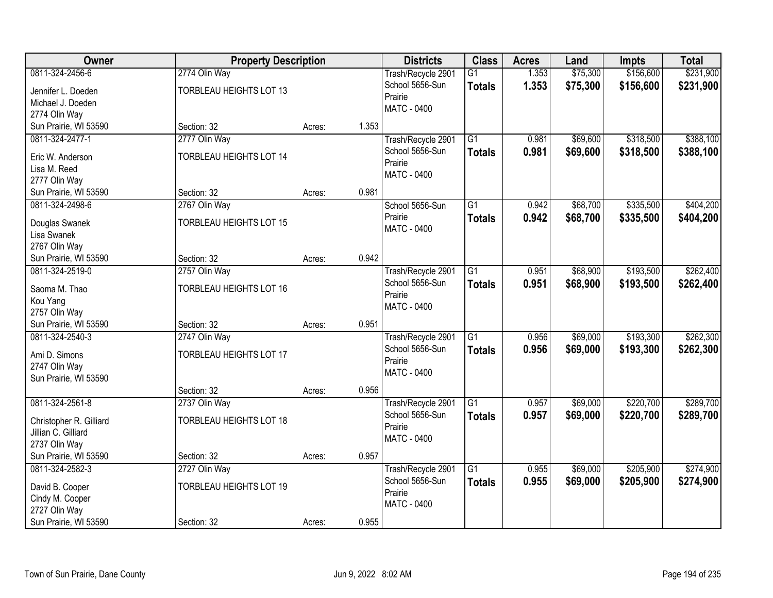| <b>Owner</b>                             | <b>Property Description</b>    |        |       | <b>Districts</b>                      | <b>Class</b>    | <b>Acres</b> | Land     | <b>Impts</b> | <b>Total</b> |
|------------------------------------------|--------------------------------|--------|-------|---------------------------------------|-----------------|--------------|----------|--------------|--------------|
| 0811-324-2456-6                          | 2774 Olin Way                  |        |       | Trash/Recycle 2901                    | $\overline{G1}$ | 1.353        | \$75,300 | \$156,600    | \$231,900    |
| Jennifer L. Doeden                       | TORBLEAU HEIGHTS LOT 13        |        |       | School 5656-Sun                       | <b>Totals</b>   | 1.353        | \$75,300 | \$156,600    | \$231,900    |
| Michael J. Doeden                        |                                |        |       | Prairie                               |                 |              |          |              |              |
| 2774 Olin Way                            |                                |        |       | <b>MATC - 0400</b>                    |                 |              |          |              |              |
| Sun Prairie, WI 53590                    | Section: 32                    | Acres: | 1.353 |                                       |                 |              |          |              |              |
| 0811-324-2477-1                          | 2777 Olin Way                  |        |       | Trash/Recycle 2901                    | $\overline{G1}$ | 0.981        | \$69,600 | \$318,500    | \$388,100    |
| Eric W. Anderson                         | <b>TORBLEAU HEIGHTS LOT 14</b> |        |       | School 5656-Sun                       | <b>Totals</b>   | 0.981        | \$69,600 | \$318,500    | \$388,100    |
| Lisa M. Reed                             |                                |        |       | Prairie                               |                 |              |          |              |              |
| 2777 Olin Way                            |                                |        |       | <b>MATC - 0400</b>                    |                 |              |          |              |              |
| Sun Prairie, WI 53590                    | Section: 32                    | Acres: | 0.981 |                                       |                 |              |          |              |              |
| 0811-324-2498-6                          | 2767 Olin Way                  |        |       | School 5656-Sun                       | G1              | 0.942        | \$68,700 | \$335,500    | \$404,200    |
| Douglas Swanek                           | <b>TORBLEAU HEIGHTS LOT 15</b> |        |       | Prairie                               | <b>Totals</b>   | 0.942        | \$68,700 | \$335,500    | \$404,200    |
| Lisa Swanek                              |                                |        |       | <b>MATC - 0400</b>                    |                 |              |          |              |              |
| 2767 Olin Way                            |                                |        |       |                                       |                 |              |          |              |              |
| Sun Prairie, WI 53590                    | Section: 32                    | Acres: | 0.942 |                                       |                 |              |          |              |              |
| 0811-324-2519-0                          | 2757 Olin Way                  |        |       | Trash/Recycle 2901                    | $\overline{G1}$ | 0.951        | \$68,900 | \$193,500    | \$262,400    |
| Saoma M. Thao                            | <b>TORBLEAU HEIGHTS LOT 16</b> |        |       | School 5656-Sun                       | <b>Totals</b>   | 0.951        | \$68,900 | \$193,500    | \$262,400    |
| Kou Yang                                 |                                |        |       | Prairie                               |                 |              |          |              |              |
| 2757 Olin Way                            |                                |        |       | <b>MATC - 0400</b>                    |                 |              |          |              |              |
| Sun Prairie, WI 53590                    | Section: 32                    | Acres: | 0.951 |                                       |                 |              |          |              |              |
| 0811-324-2540-3                          | 2747 Olin Way                  |        |       | Trash/Recycle 2901                    | $\overline{G1}$ | 0.956        | \$69,000 | \$193,300    | \$262,300    |
|                                          |                                |        |       | School 5656-Sun                       | <b>Totals</b>   | 0.956        | \$69,000 | \$193,300    | \$262,300    |
| Ami D. Simons                            | <b>TORBLEAU HEIGHTS LOT 17</b> |        |       | Prairie                               |                 |              |          |              |              |
| 2747 Olin Way<br>Sun Prairie, WI 53590   |                                |        |       | MATC - 0400                           |                 |              |          |              |              |
|                                          | Section: 32                    | Acres: | 0.956 |                                       |                 |              |          |              |              |
| 0811-324-2561-8                          | 2737 Olin Way                  |        |       | Trash/Recycle 2901                    | $\overline{G1}$ | 0.957        | \$69,000 | \$220,700    | \$289,700    |
|                                          |                                |        |       | School 5656-Sun                       | <b>Totals</b>   | 0.957        | \$69,000 | \$220,700    | \$289,700    |
| Christopher R. Gilliard                  | <b>TORBLEAU HEIGHTS LOT 18</b> |        |       | Prairie                               |                 |              |          |              |              |
| Jillian C. Gilliard                      |                                |        |       | MATC - 0400                           |                 |              |          |              |              |
| 2737 Olin Way                            |                                |        | 0.957 |                                       |                 |              |          |              |              |
| Sun Prairie, WI 53590<br>0811-324-2582-3 | Section: 32                    | Acres: |       |                                       | $\overline{G1}$ | 0.955        | \$69,000 | \$205,900    | \$274,900    |
|                                          | 2727 Olin Way                  |        |       | Trash/Recycle 2901<br>School 5656-Sun |                 |              |          |              |              |
| David B. Cooper                          | <b>TORBLEAU HEIGHTS LOT 19</b> |        |       | Prairie                               | <b>Totals</b>   | 0.955        | \$69,000 | \$205,900    | \$274,900    |
| Cindy M. Cooper                          |                                |        |       | <b>MATC - 0400</b>                    |                 |              |          |              |              |
| 2727 Olin Way                            |                                |        |       |                                       |                 |              |          |              |              |
| Sun Prairie, WI 53590                    | Section: 32                    | Acres: | 0.955 |                                       |                 |              |          |              |              |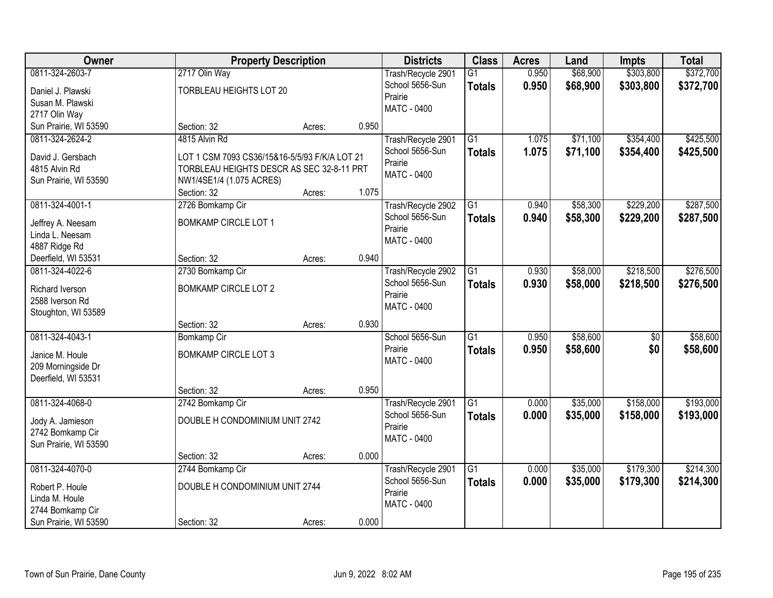| \$303,800<br>0811-324-2603-7<br>2717 Olin Way<br>0.950<br>\$68,900<br>Trash/Recycle 2901<br>$\overline{G1}$<br>School 5656-Sun<br>0.950<br>\$68,900<br>\$303,800<br>\$372,700<br><b>Totals</b><br>TORBLEAU HEIGHTS LOT 20<br>Daniel J. Plawski<br>Prairie<br>Susan M. Plawski<br><b>MATC - 0400</b><br>2717 Olin Way<br>0.950<br>Sun Prairie, WI 53590<br>Section: 32<br>Acres:<br>4815 Alvin Rd<br>$\overline{G1}$<br>\$71,100<br>\$354,400<br>\$425,500<br>0811-324-2624-2<br>Trash/Recycle 2901<br>1.075<br>1.075<br>School 5656-Sun<br>\$71,100<br>\$354,400<br>\$425,500<br><b>Totals</b><br>David J. Gersbach<br>LOT 1 CSM 7093 CS36/15&16-5/5/93 F/K/A LOT 21<br>Prairie<br>4815 Alvin Rd<br>TORBLEAU HEIGHTS DESCR AS SEC 32-8-11 PRT<br>MATC - 0400<br>Sun Prairie, WI 53590<br>NW1/4SE1/4 (1.075 ACRES)<br>1.075<br>Section: 32<br>Acres: | Owner           | <b>Property Description</b> |  | <b>Districts</b>   | <b>Class</b> | <b>Acres</b> | Land     | <b>Impts</b> | <b>Total</b> |
|-----------------------------------------------------------------------------------------------------------------------------------------------------------------------------------------------------------------------------------------------------------------------------------------------------------------------------------------------------------------------------------------------------------------------------------------------------------------------------------------------------------------------------------------------------------------------------------------------------------------------------------------------------------------------------------------------------------------------------------------------------------------------------------------------------------------------------------------------------|-----------------|-----------------------------|--|--------------------|--------------|--------------|----------|--------------|--------------|
|                                                                                                                                                                                                                                                                                                                                                                                                                                                                                                                                                                                                                                                                                                                                                                                                                                                     |                 |                             |  |                    |              |              |          |              | \$372,700    |
|                                                                                                                                                                                                                                                                                                                                                                                                                                                                                                                                                                                                                                                                                                                                                                                                                                                     |                 |                             |  |                    |              |              |          |              |              |
|                                                                                                                                                                                                                                                                                                                                                                                                                                                                                                                                                                                                                                                                                                                                                                                                                                                     |                 |                             |  |                    |              |              |          |              |              |
|                                                                                                                                                                                                                                                                                                                                                                                                                                                                                                                                                                                                                                                                                                                                                                                                                                                     |                 |                             |  |                    |              |              |          |              |              |
|                                                                                                                                                                                                                                                                                                                                                                                                                                                                                                                                                                                                                                                                                                                                                                                                                                                     |                 |                             |  |                    |              |              |          |              |              |
|                                                                                                                                                                                                                                                                                                                                                                                                                                                                                                                                                                                                                                                                                                                                                                                                                                                     |                 |                             |  |                    |              |              |          |              |              |
|                                                                                                                                                                                                                                                                                                                                                                                                                                                                                                                                                                                                                                                                                                                                                                                                                                                     |                 |                             |  |                    |              |              |          |              |              |
|                                                                                                                                                                                                                                                                                                                                                                                                                                                                                                                                                                                                                                                                                                                                                                                                                                                     |                 |                             |  |                    |              |              |          |              |              |
|                                                                                                                                                                                                                                                                                                                                                                                                                                                                                                                                                                                                                                                                                                                                                                                                                                                     |                 |                             |  |                    |              |              |          |              |              |
|                                                                                                                                                                                                                                                                                                                                                                                                                                                                                                                                                                                                                                                                                                                                                                                                                                                     |                 |                             |  |                    |              |              |          |              |              |
|                                                                                                                                                                                                                                                                                                                                                                                                                                                                                                                                                                                                                                                                                                                                                                                                                                                     | 0811-324-4001-1 | 2726 Bomkamp Cir            |  | Trash/Recycle 2902 | G1           | 0.940        | \$58,300 | \$229,200    | \$287,500    |
| School 5656-Sun<br>\$58,300<br>\$229,200<br>0.940<br><b>Totals</b><br><b>BOMKAMP CIRCLE LOT 1</b><br>Jeffrey A. Neesam                                                                                                                                                                                                                                                                                                                                                                                                                                                                                                                                                                                                                                                                                                                              |                 |                             |  |                    |              |              |          |              | \$287,500    |
| Prairie<br>Linda L. Neesam                                                                                                                                                                                                                                                                                                                                                                                                                                                                                                                                                                                                                                                                                                                                                                                                                          |                 |                             |  |                    |              |              |          |              |              |
| MATC - 0400<br>4887 Ridge Rd                                                                                                                                                                                                                                                                                                                                                                                                                                                                                                                                                                                                                                                                                                                                                                                                                        |                 |                             |  |                    |              |              |          |              |              |
| 0.940<br>Deerfield, WI 53531<br>Section: 32<br>Acres:                                                                                                                                                                                                                                                                                                                                                                                                                                                                                                                                                                                                                                                                                                                                                                                               |                 |                             |  |                    |              |              |          |              |              |
| \$58,000<br>\$218,500<br>0811-324-4022-6<br>2730 Bomkamp Cir<br>Trash/Recycle 2902<br>G1<br>0.930                                                                                                                                                                                                                                                                                                                                                                                                                                                                                                                                                                                                                                                                                                                                                   |                 |                             |  |                    |              |              |          |              | \$276,500    |
| School 5656-Sun<br>0.930<br>\$58,000<br>\$218,500<br><b>Totals</b>                                                                                                                                                                                                                                                                                                                                                                                                                                                                                                                                                                                                                                                                                                                                                                                  |                 |                             |  |                    |              |              |          |              | \$276,500    |
| <b>BOMKAMP CIRCLE LOT 2</b><br>Richard Iverson<br>Prairie                                                                                                                                                                                                                                                                                                                                                                                                                                                                                                                                                                                                                                                                                                                                                                                           |                 |                             |  |                    |              |              |          |              |              |
| 2588 Iverson Rd<br><b>MATC - 0400</b>                                                                                                                                                                                                                                                                                                                                                                                                                                                                                                                                                                                                                                                                                                                                                                                                               |                 |                             |  |                    |              |              |          |              |              |
| Stoughton, WI 53589<br>0.930                                                                                                                                                                                                                                                                                                                                                                                                                                                                                                                                                                                                                                                                                                                                                                                                                        |                 |                             |  |                    |              |              |          |              |              |
| Section: 32<br>Acres:<br>\$58,600<br>0811-324-4043-1<br>$\overline{G1}$<br>0.950<br>$\overline{50}$                                                                                                                                                                                                                                                                                                                                                                                                                                                                                                                                                                                                                                                                                                                                                 |                 |                             |  |                    |              |              |          |              | \$58,600     |
| Bomkamp Cir<br>School 5656-Sun<br>Prairie                                                                                                                                                                                                                                                                                                                                                                                                                                                                                                                                                                                                                                                                                                                                                                                                           |                 |                             |  |                    |              |              |          |              |              |
| 0.950<br>\$58,600<br>\$0<br><b>Totals</b><br><b>BOMKAMP CIRCLE LOT 3</b><br>Janice M. Houle<br><b>MATC - 0400</b>                                                                                                                                                                                                                                                                                                                                                                                                                                                                                                                                                                                                                                                                                                                                   |                 |                             |  |                    |              |              |          |              | \$58,600     |
| 209 Morningside Dr                                                                                                                                                                                                                                                                                                                                                                                                                                                                                                                                                                                                                                                                                                                                                                                                                                  |                 |                             |  |                    |              |              |          |              |              |
| Deerfield, WI 53531                                                                                                                                                                                                                                                                                                                                                                                                                                                                                                                                                                                                                                                                                                                                                                                                                                 |                 |                             |  |                    |              |              |          |              |              |
| 0.950<br>Section: 32<br>Acres:                                                                                                                                                                                                                                                                                                                                                                                                                                                                                                                                                                                                                                                                                                                                                                                                                      |                 |                             |  |                    |              |              |          |              |              |
| $\overline{G1}$<br>\$35,000<br>\$158,000<br>0811-324-4068-0<br>2742 Bomkamp Cir<br>0.000<br>Trash/Recycle 2901                                                                                                                                                                                                                                                                                                                                                                                                                                                                                                                                                                                                                                                                                                                                      |                 |                             |  |                    |              |              |          |              | \$193,000    |
| School 5656-Sun<br>0.000<br>\$35,000<br>\$158,000<br><b>Totals</b><br>DOUBLE H CONDOMINIUM UNIT 2742<br>Jody A. Jamieson                                                                                                                                                                                                                                                                                                                                                                                                                                                                                                                                                                                                                                                                                                                            |                 |                             |  |                    |              |              |          |              | \$193,000    |
| Prairie<br>2742 Bomkamp Cir                                                                                                                                                                                                                                                                                                                                                                                                                                                                                                                                                                                                                                                                                                                                                                                                                         |                 |                             |  |                    |              |              |          |              |              |
| MATC - 0400<br>Sun Prairie, WI 53590                                                                                                                                                                                                                                                                                                                                                                                                                                                                                                                                                                                                                                                                                                                                                                                                                |                 |                             |  |                    |              |              |          |              |              |
| 0.000<br>Section: 32<br>Acres:                                                                                                                                                                                                                                                                                                                                                                                                                                                                                                                                                                                                                                                                                                                                                                                                                      |                 |                             |  |                    |              |              |          |              |              |
| \$179,300<br>0811-324-4070-0<br>$\overline{G1}$<br>\$35,000<br>2744 Bomkamp Cir<br>Trash/Recycle 2901<br>0.000                                                                                                                                                                                                                                                                                                                                                                                                                                                                                                                                                                                                                                                                                                                                      |                 |                             |  |                    |              |              |          |              | \$214,300    |
| School 5656-Sun<br>0.000<br>\$35,000<br>\$179,300<br><b>Totals</b><br>DOUBLE H CONDOMINIUM UNIT 2744<br>Robert P. Houle                                                                                                                                                                                                                                                                                                                                                                                                                                                                                                                                                                                                                                                                                                                             |                 |                             |  |                    |              |              |          |              | \$214,300    |
| Prairie<br>Linda M. Houle                                                                                                                                                                                                                                                                                                                                                                                                                                                                                                                                                                                                                                                                                                                                                                                                                           |                 |                             |  |                    |              |              |          |              |              |
| MATC - 0400<br>2744 Bomkamp Cir                                                                                                                                                                                                                                                                                                                                                                                                                                                                                                                                                                                                                                                                                                                                                                                                                     |                 |                             |  |                    |              |              |          |              |              |
| 0.000<br>Sun Prairie, WI 53590<br>Section: 32<br>Acres:                                                                                                                                                                                                                                                                                                                                                                                                                                                                                                                                                                                                                                                                                                                                                                                             |                 |                             |  |                    |              |              |          |              |              |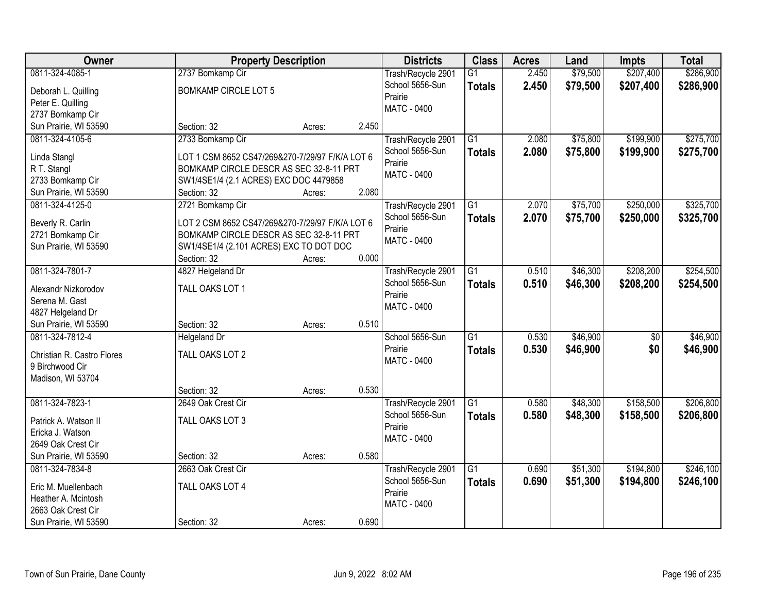| Owner                           |                                                                                            | <b>Property Description</b> |       | <b>Districts</b>   | <b>Class</b>    | <b>Acres</b> | Land     | <b>Impts</b>    | <b>Total</b> |
|---------------------------------|--------------------------------------------------------------------------------------------|-----------------------------|-------|--------------------|-----------------|--------------|----------|-----------------|--------------|
| 0811-324-4085-1                 | 2737 Bomkamp Cir                                                                           |                             |       | Trash/Recycle 2901 | $\overline{G1}$ | 2.450        | \$79,500 | \$207,400       | \$286,900    |
| Deborah L. Quilling             | <b>BOMKAMP CIRCLE LOT 5</b>                                                                |                             |       | School 5656-Sun    | <b>Totals</b>   | 2.450        | \$79,500 | \$207,400       | \$286,900    |
| Peter E. Quilling               |                                                                                            |                             |       | Prairie            |                 |              |          |                 |              |
| 2737 Bomkamp Cir                |                                                                                            |                             |       | <b>MATC - 0400</b> |                 |              |          |                 |              |
| Sun Prairie, WI 53590           | Section: 32                                                                                | Acres:                      | 2.450 |                    |                 |              |          |                 |              |
| 0811-324-4105-6                 | 2733 Bomkamp Cir                                                                           |                             |       | Trash/Recycle 2901 | $\overline{G1}$ | 2.080        | \$75,800 | \$199,900       | \$275,700    |
|                                 |                                                                                            |                             |       | School 5656-Sun    | <b>Totals</b>   | 2.080        | \$75,800 | \$199,900       | \$275,700    |
| Linda Stangl                    | LOT 1 CSM 8652 CS47/269&270-7/29/97 F/K/A LOT 6<br>BOMKAMP CIRCLE DESCR AS SEC 32-8-11 PRT |                             |       | Prairie            |                 |              |          |                 |              |
| R T. Stangl<br>2733 Bomkamp Cir | SW1/4SE1/4 (2.1 ACRES) EXC DOC 4479858                                                     |                             |       | <b>MATC - 0400</b> |                 |              |          |                 |              |
| Sun Prairie, WI 53590           | Section: 32                                                                                | Acres:                      | 2.080 |                    |                 |              |          |                 |              |
| 0811-324-4125-0                 | 2721 Bomkamp Cir                                                                           |                             |       | Trash/Recycle 2901 | G1              | 2.070        | \$75,700 | \$250,000       | \$325,700    |
|                                 |                                                                                            |                             |       | School 5656-Sun    | <b>Totals</b>   | 2.070        | \$75,700 | \$250,000       | \$325,700    |
| Beverly R. Carlin               | LOT 2 CSM 8652 CS47/269&270-7/29/97 F/K/A LOT 6                                            |                             |       | Prairie            |                 |              |          |                 |              |
| 2721 Bomkamp Cir                | BOMKAMP CIRCLE DESCR AS SEC 32-8-11 PRT                                                    |                             |       | <b>MATC - 0400</b> |                 |              |          |                 |              |
| Sun Prairie, WI 53590           | SW1/4SE1/4 (2.101 ACRES) EXC TO DOT DOC                                                    |                             |       |                    |                 |              |          |                 |              |
|                                 | Section: 32                                                                                | Acres:                      | 0.000 |                    |                 |              |          |                 |              |
| 0811-324-7801-7                 | 4827 Helgeland Dr                                                                          |                             |       | Trash/Recycle 2901 | $\overline{G1}$ | 0.510        | \$46,300 | \$208,200       | \$254,500    |
| Alexandr Nizkorodov             | TALL OAKS LOT 1                                                                            |                             |       | School 5656-Sun    | <b>Totals</b>   | 0.510        | \$46,300 | \$208,200       | \$254,500    |
| Serena M. Gast                  |                                                                                            |                             |       | Prairie            |                 |              |          |                 |              |
| 4827 Helgeland Dr               |                                                                                            |                             |       | <b>MATC - 0400</b> |                 |              |          |                 |              |
| Sun Prairie, WI 53590           | Section: 32                                                                                | Acres:                      | 0.510 |                    |                 |              |          |                 |              |
| 0811-324-7812-4                 | <b>Helgeland Dr</b>                                                                        |                             |       | School 5656-Sun    | $\overline{G1}$ | 0.530        | \$46,900 | $\overline{50}$ | \$46,900     |
| Christian R. Castro Flores      | TALL OAKS LOT 2                                                                            |                             |       | Prairie            | <b>Totals</b>   | 0.530        | \$46,900 | \$0             | \$46,900     |
| 9 Birchwood Cir                 |                                                                                            |                             |       | <b>MATC - 0400</b> |                 |              |          |                 |              |
| Madison, WI 53704               |                                                                                            |                             |       |                    |                 |              |          |                 |              |
|                                 | Section: 32                                                                                | Acres:                      | 0.530 |                    |                 |              |          |                 |              |
| 0811-324-7823-1                 | 2649 Oak Crest Cir                                                                         |                             |       | Trash/Recycle 2901 | $\overline{G1}$ | 0.580        | \$48,300 | \$158,500       | \$206,800    |
| Patrick A. Watson II            | TALL OAKS LOT 3                                                                            |                             |       | School 5656-Sun    | <b>Totals</b>   | 0.580        | \$48,300 | \$158,500       | \$206,800    |
| Ericka J. Watson                |                                                                                            |                             |       | Prairie            |                 |              |          |                 |              |
| 2649 Oak Crest Cir              |                                                                                            |                             |       | <b>MATC - 0400</b> |                 |              |          |                 |              |
| Sun Prairie, WI 53590           | Section: 32                                                                                | Acres:                      | 0.580 |                    |                 |              |          |                 |              |
| 0811-324-7834-8                 | 2663 Oak Crest Cir                                                                         |                             |       | Trash/Recycle 2901 | $\overline{G1}$ | 0.690        | \$51,300 | \$194,800       | \$246,100    |
|                                 |                                                                                            |                             |       | School 5656-Sun    | <b>Totals</b>   | 0.690        | \$51,300 | \$194,800       | \$246,100    |
| Eric M. Muellenbach             | TALL OAKS LOT 4                                                                            |                             |       | Prairie            |                 |              |          |                 |              |
| Heather A. Mcintosh             |                                                                                            |                             |       | <b>MATC - 0400</b> |                 |              |          |                 |              |
| 2663 Oak Crest Cir              |                                                                                            |                             |       |                    |                 |              |          |                 |              |
| Sun Prairie, WI 53590           | Section: 32                                                                                | Acres:                      | 0.690 |                    |                 |              |          |                 |              |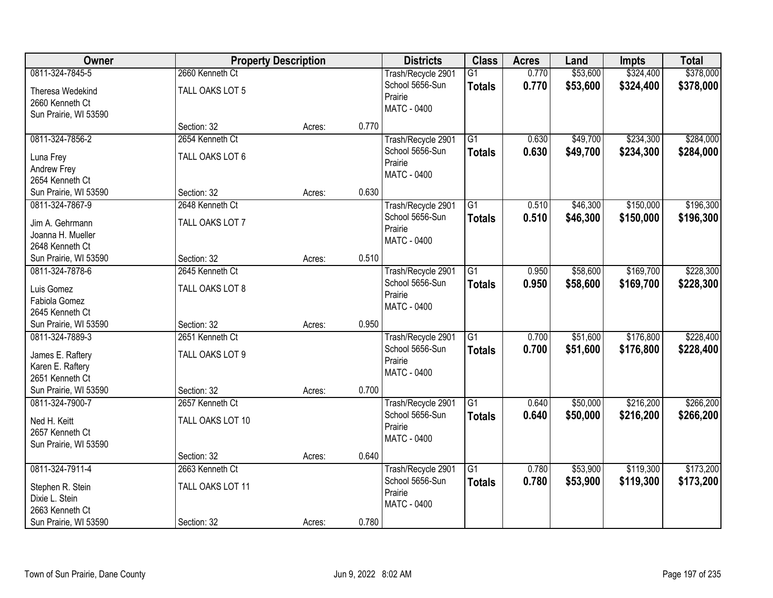| Owner                                    |                  | <b>Property Description</b> |       | <b>Districts</b>                      | <b>Class</b>    | <b>Acres</b> | Land     | <b>Impts</b> | <b>Total</b> |
|------------------------------------------|------------------|-----------------------------|-------|---------------------------------------|-----------------|--------------|----------|--------------|--------------|
| 0811-324-7845-5                          | 2660 Kenneth Ct  |                             |       | Trash/Recycle 2901                    | $\overline{G1}$ | 0.770        | \$53,600 | \$324,400    | \$378,000    |
| Theresa Wedekind                         | TALL OAKS LOT 5  |                             |       | School 5656-Sun                       | <b>Totals</b>   | 0.770        | \$53,600 | \$324,400    | \$378,000    |
| 2660 Kenneth Ct                          |                  |                             |       | Prairie                               |                 |              |          |              |              |
| Sun Prairie, WI 53590                    |                  |                             |       | <b>MATC - 0400</b>                    |                 |              |          |              |              |
|                                          | Section: 32      | Acres:                      | 0.770 |                                       |                 |              |          |              |              |
| 0811-324-7856-2                          | 2654 Kenneth Ct  |                             |       | Trash/Recycle 2901                    | $\overline{G1}$ | 0.630        | \$49,700 | \$234,300    | \$284,000    |
| Luna Frey                                | TALL OAKS LOT 6  |                             |       | School 5656-Sun                       | <b>Totals</b>   | 0.630        | \$49,700 | \$234,300    | \$284,000    |
| Andrew Frey                              |                  |                             |       | Prairie                               |                 |              |          |              |              |
| 2654 Kenneth Ct                          |                  |                             |       | <b>MATC - 0400</b>                    |                 |              |          |              |              |
| Sun Prairie, WI 53590                    | Section: 32      | Acres:                      | 0.630 |                                       |                 |              |          |              |              |
| 0811-324-7867-9                          | 2648 Kenneth Ct  |                             |       | Trash/Recycle 2901                    | G1              | 0.510        | \$46,300 | \$150,000    | \$196,300    |
| Jim A. Gehrmann                          | TALL OAKS LOT 7  |                             |       | School 5656-Sun                       | <b>Totals</b>   | 0.510        | \$46,300 | \$150,000    | \$196,300    |
| Joanna H. Mueller                        |                  |                             |       | Prairie                               |                 |              |          |              |              |
| 2648 Kenneth Ct                          |                  |                             |       | <b>MATC - 0400</b>                    |                 |              |          |              |              |
| Sun Prairie, WI 53590                    | Section: 32      | Acres:                      | 0.510 |                                       |                 |              |          |              |              |
| 0811-324-7878-6                          | 2645 Kenneth Ct  |                             |       | Trash/Recycle 2901                    | $\overline{G1}$ | 0.950        | \$58,600 | \$169,700    | \$228,300    |
| Luis Gomez                               | TALL OAKS LOT 8  |                             |       | School 5656-Sun                       | <b>Totals</b>   | 0.950        | \$58,600 | \$169,700    | \$228,300    |
| Fabiola Gomez                            |                  |                             |       | Prairie                               |                 |              |          |              |              |
| 2645 Kenneth Ct                          |                  |                             |       | <b>MATC - 0400</b>                    |                 |              |          |              |              |
| Sun Prairie, WI 53590                    | Section: 32      | Acres:                      | 0.950 |                                       |                 |              |          |              |              |
| 0811-324-7889-3                          | 2651 Kenneth Ct  |                             |       | Trash/Recycle 2901                    | $\overline{G1}$ | 0.700        | \$51,600 | \$176,800    | \$228,400    |
|                                          |                  |                             |       | School 5656-Sun                       | <b>Totals</b>   | 0.700        | \$51,600 | \$176,800    | \$228,400    |
| James E. Raftery                         | TALL OAKS LOT 9  |                             |       | Prairie                               |                 |              |          |              |              |
| Karen E. Raftery                         |                  |                             |       | <b>MATC - 0400</b>                    |                 |              |          |              |              |
| 2651 Kenneth Ct                          |                  |                             | 0.700 |                                       |                 |              |          |              |              |
| Sun Prairie, WI 53590<br>0811-324-7900-7 | Section: 32      | Acres:                      |       |                                       | $\overline{G1}$ | 0.640        | \$50,000 | \$216,200    | \$266,200    |
|                                          | 2657 Kenneth Ct  |                             |       | Trash/Recycle 2901<br>School 5656-Sun |                 | 0.640        | \$50,000 | \$216,200    |              |
| Ned H. Keitt                             | TALL OAKS LOT 10 |                             |       | Prairie                               | <b>Totals</b>   |              |          |              | \$266,200    |
| 2657 Kenneth Ct                          |                  |                             |       | <b>MATC - 0400</b>                    |                 |              |          |              |              |
| Sun Prairie, WI 53590                    |                  |                             |       |                                       |                 |              |          |              |              |
|                                          | Section: 32      | Acres:                      | 0.640 |                                       |                 |              |          |              |              |
| 0811-324-7911-4                          | 2663 Kenneth Ct  |                             |       | Trash/Recycle 2901                    | G1              | 0.780        | \$53,900 | \$119,300    | \$173,200    |
| Stephen R. Stein                         | TALL OAKS LOT 11 |                             |       | School 5656-Sun                       | <b>Totals</b>   | 0.780        | \$53,900 | \$119,300    | \$173,200    |
| Dixie L. Stein                           |                  |                             |       | Prairie                               |                 |              |          |              |              |
| 2663 Kenneth Ct                          |                  |                             |       | MATC - 0400                           |                 |              |          |              |              |
| Sun Prairie, WI 53590                    | Section: 32      | Acres:                      | 0.780 |                                       |                 |              |          |              |              |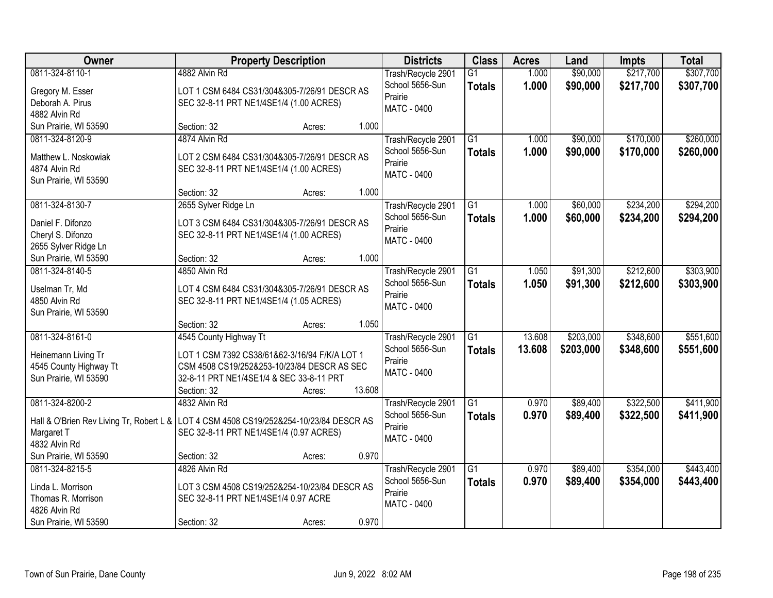| Owner                                                                                    |                                                                                              | <b>Property Description</b> |        | <b>Districts</b>           | <b>Class</b>    | <b>Acres</b> | Land      | <b>Impts</b> | <b>Total</b> |
|------------------------------------------------------------------------------------------|----------------------------------------------------------------------------------------------|-----------------------------|--------|----------------------------|-----------------|--------------|-----------|--------------|--------------|
| 0811-324-8110-1                                                                          | 4882 Alvin Rd                                                                                |                             |        | Trash/Recycle 2901         | $\overline{G1}$ | 1.000        | \$90,000  | \$217,700    | \$307,700    |
| Gregory M. Esser                                                                         | LOT 1 CSM 6484 CS31/304&305-7/26/91 DESCR AS                                                 |                             |        | School 5656-Sun<br>Prairie | <b>Totals</b>   | 1.000        | \$90,000  | \$217,700    | \$307,700    |
| Deborah A. Pirus                                                                         | SEC 32-8-11 PRT NE1/4SE1/4 (1.00 ACRES)                                                      |                             |        | <b>MATC - 0400</b>         |                 |              |           |              |              |
| 4882 Alvin Rd                                                                            |                                                                                              |                             |        |                            |                 |              |           |              |              |
| Sun Prairie, WI 53590                                                                    | Section: 32                                                                                  | Acres:                      | 1.000  |                            |                 |              |           |              |              |
| 0811-324-8120-9                                                                          | 4874 Alvin Rd                                                                                |                             |        | Trash/Recycle 2901         | $\overline{G1}$ | 1.000        | \$90,000  | \$170,000    | \$260,000    |
| Matthew L. Noskowiak                                                                     | LOT 2 CSM 6484 CS31/304&305-7/26/91 DESCR AS                                                 |                             |        | School 5656-Sun            | <b>Totals</b>   | 1.000        | \$90,000  | \$170,000    | \$260,000    |
| 4874 Alvin Rd                                                                            | SEC 32-8-11 PRT NE1/4SE1/4 (1.00 ACRES)                                                      |                             |        | Prairie                    |                 |              |           |              |              |
| Sun Prairie, WI 53590                                                                    |                                                                                              |                             |        | <b>MATC - 0400</b>         |                 |              |           |              |              |
|                                                                                          | Section: 32                                                                                  | Acres:                      | 1.000  |                            |                 |              |           |              |              |
| 0811-324-8130-7                                                                          | 2655 Sylver Ridge Ln                                                                         |                             |        | Trash/Recycle 2901         | G1              | 1.000        | \$60,000  | \$234,200    | \$294,200    |
| Daniel F. Difonzo                                                                        | LOT 3 CSM 6484 CS31/304&305-7/26/91 DESCR AS                                                 |                             |        | School 5656-Sun            | <b>Totals</b>   | 1.000        | \$60,000  | \$234,200    | \$294,200    |
| Cheryl S. Difonzo                                                                        | SEC 32-8-11 PRT NE1/4SE1/4 (1.00 ACRES)                                                      |                             |        | Prairie                    |                 |              |           |              |              |
| 2655 Sylver Ridge Ln                                                                     |                                                                                              |                             |        | <b>MATC - 0400</b>         |                 |              |           |              |              |
| Sun Prairie, WI 53590                                                                    | Section: 32                                                                                  | Acres:                      | 1.000  |                            |                 |              |           |              |              |
| 0811-324-8140-5                                                                          | 4850 Alvin Rd                                                                                |                             |        | Trash/Recycle 2901         | G1              | 1.050        | \$91,300  | \$212,600    | \$303,900    |
|                                                                                          |                                                                                              |                             |        | School 5656-Sun            | <b>Totals</b>   | 1.050        | \$91,300  | \$212,600    | \$303,900    |
| Uselman Tr, Md<br>4850 Alvin Rd                                                          | LOT 4 CSM 6484 CS31/304&305-7/26/91 DESCR AS<br>SEC 32-8-11 PRT NE1/4SE1/4 (1.05 ACRES)      |                             |        | Prairie                    |                 |              |           |              |              |
| Sun Prairie, WI 53590                                                                    |                                                                                              |                             |        | MATC - 0400                |                 |              |           |              |              |
|                                                                                          | Section: 32                                                                                  | Acres:                      | 1.050  |                            |                 |              |           |              |              |
| 0811-324-8161-0                                                                          | 4545 County Highway Tt                                                                       |                             |        | Trash/Recycle 2901         | $\overline{G1}$ | 13.608       | \$203,000 | \$348,600    | \$551,600    |
|                                                                                          |                                                                                              |                             |        | School 5656-Sun            | <b>Totals</b>   | 13.608       | \$203,000 | \$348,600    | \$551,600    |
| Heinemann Living Tr<br>4545 County Highway Tt                                            | LOT 1 CSM 7392 CS38/61&62-3/16/94 F/K/A LOT 1<br>CSM 4508 CS19/252&253-10/23/84 DESCR AS SEC |                             |        | Prairie                    |                 |              |           |              |              |
| Sun Prairie, WI 53590                                                                    | 32-8-11 PRT NE1/4SE1/4 & SEC 33-8-11 PRT                                                     |                             |        | <b>MATC - 0400</b>         |                 |              |           |              |              |
|                                                                                          | Section: 32                                                                                  | Acres:                      | 13.608 |                            |                 |              |           |              |              |
| 0811-324-8200-2                                                                          | 4832 Alvin Rd                                                                                |                             |        | Trash/Recycle 2901         | G1              | 0.970        | \$89,400  | \$322,500    | \$411,900    |
|                                                                                          |                                                                                              |                             |        | School 5656-Sun            | <b>Totals</b>   | 0.970        | \$89,400  | \$322,500    | \$411,900    |
| Hall & O'Brien Rev Living Tr, Robert L &   LOT 4 CSM 4508 CS19/252&254-10/23/84 DESCR AS |                                                                                              |                             |        | Prairie                    |                 |              |           |              |              |
| Margaret T<br>4832 Alvin Rd                                                              | SEC 32-8-11 PRT NE1/4SE1/4 (0.97 ACRES)                                                      |                             |        | MATC - 0400                |                 |              |           |              |              |
| Sun Prairie, WI 53590                                                                    | Section: 32                                                                                  | Acres:                      | 0.970  |                            |                 |              |           |              |              |
| 0811-324-8215-5                                                                          | 4826 Alvin Rd                                                                                |                             |        | Trash/Recycle 2901         | $\overline{G1}$ | 0.970        | \$89,400  | \$354,000    | \$443,400    |
|                                                                                          |                                                                                              |                             |        | School 5656-Sun            | <b>Totals</b>   | 0.970        | \$89,400  | \$354,000    | \$443,400    |
| Linda L. Morrison                                                                        | LOT 3 CSM 4508 CS19/252&254-10/23/84 DESCR AS                                                |                             |        | Prairie                    |                 |              |           |              |              |
| Thomas R. Morrison                                                                       | SEC 32-8-11 PRT NE1/4SE1/4 0.97 ACRE                                                         |                             |        | MATC - 0400                |                 |              |           |              |              |
| 4826 Alvin Rd                                                                            |                                                                                              |                             |        |                            |                 |              |           |              |              |
| Sun Prairie, WI 53590                                                                    | Section: 32                                                                                  | Acres:                      | 0.970  |                            |                 |              |           |              |              |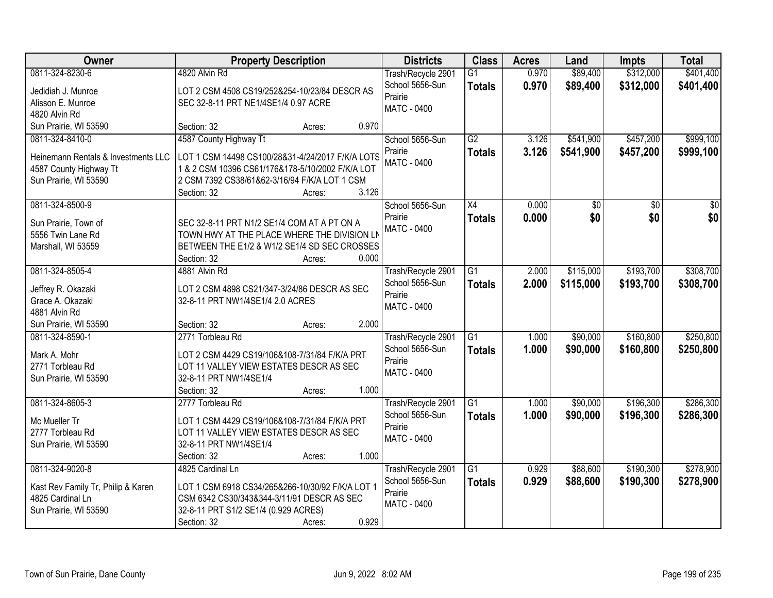| Owner                               | <b>Property Description</b>                                 |                 | <b>Districts</b>   | <b>Class</b>    | <b>Acres</b> | Land            | <b>Impts</b> | <b>Total</b>    |
|-------------------------------------|-------------------------------------------------------------|-----------------|--------------------|-----------------|--------------|-----------------|--------------|-----------------|
| 0811-324-8230-6                     | 4820 Alvin Rd                                               |                 | Trash/Recycle 2901 | $\overline{G1}$ | 0.970        | \$89,400        | \$312,000    | \$401,400       |
| Jedidiah J. Munroe                  | LOT 2 CSM 4508 CS19/252&254-10/23/84 DESCR AS               |                 | School 5656-Sun    | <b>Totals</b>   | 0.970        | \$89,400        | \$312,000    | \$401,400       |
| Alisson E. Munroe                   | SEC 32-8-11 PRT NE1/4SE1/4 0.97 ACRE                        |                 | Prairie            |                 |              |                 |              |                 |
| 4820 Alvin Rd                       |                                                             |                 | <b>MATC - 0400</b> |                 |              |                 |              |                 |
| Sun Prairie, WI 53590               | Section: 32                                                 | 0.970<br>Acres: |                    |                 |              |                 |              |                 |
| 0811-324-8410-0                     | 4587 County Highway Tt                                      |                 | School 5656-Sun    | $\overline{G2}$ | 3.126        | \$541,900       | \$457,200    | \$999,100       |
| Heinemann Rentals & Investments LLC | LOT 1 CSM 14498 CS100/28&31-4/24/2017 F/K/A LOTS            |                 | Prairie            | <b>Totals</b>   | 3.126        | \$541,900       | \$457,200    | \$999,100       |
| 4587 County Highway Tt              | 1 & 2 CSM 10396 CS61/176&178-5/10/2002 F/K/A LOT            |                 | <b>MATC - 0400</b> |                 |              |                 |              |                 |
| Sun Prairie, WI 53590               | 2 CSM 7392 CS38/61&62-3/16/94 F/K/A LOT 1 CSM               |                 |                    |                 |              |                 |              |                 |
|                                     | Section: 32                                                 | 3.126<br>Acres: |                    |                 |              |                 |              |                 |
| 0811-324-8500-9                     |                                                             |                 | School 5656-Sun    | X4              | 0.000        | $\overline{50}$ | \$0          | $\overline{50}$ |
|                                     |                                                             |                 | Prairie            | <b>Totals</b>   | 0.000        | \$0             | \$0          | \$0             |
| Sun Prairie, Town of                | SEC 32-8-11 PRT N1/2 SE1/4 COM AT A PT ON A                 |                 | MATC - 0400        |                 |              |                 |              |                 |
| 5556 Twin Lane Rd                   | TOWN HWY AT THE PLACE WHERE THE DIVISION LN                 |                 |                    |                 |              |                 |              |                 |
| Marshall, WI 53559                  | BETWEEN THE E1/2 & W1/2 SE1/4 SD SEC CROSSES<br>Section: 32 | 0.000           |                    |                 |              |                 |              |                 |
| 0811-324-8505-4                     | 4881 Alvin Rd                                               | Acres:          | Trash/Recycle 2901 | $\overline{G1}$ | 2.000        | \$115,000       | \$193,700    | \$308,700       |
|                                     |                                                             |                 | School 5656-Sun    |                 | 2.000        | \$115,000       |              |                 |
| Jeffrey R. Okazaki                  | LOT 2 CSM 4898 CS21/347-3/24/86 DESCR AS SEC                |                 | Prairie            | <b>Totals</b>   |              |                 | \$193,700    | \$308,700       |
| Grace A. Okazaki                    | 32-8-11 PRT NW1/4SE1/4 2.0 ACRES                            |                 | MATC - 0400        |                 |              |                 |              |                 |
| 4881 Alvin Rd                       |                                                             |                 |                    |                 |              |                 |              |                 |
| Sun Prairie, WI 53590               | Section: 32                                                 | 2.000<br>Acres: |                    |                 |              |                 |              |                 |
| 0811-324-8590-1                     | 2771 Torbleau Rd                                            |                 | Trash/Recycle 2901 | $\overline{G1}$ | 1.000        | \$90,000        | \$160,800    | \$250,800       |
| Mark A. Mohr                        | LOT 2 CSM 4429 CS19/106&108-7/31/84 F/K/A PRT               |                 | School 5656-Sun    | <b>Totals</b>   | 1.000        | \$90,000        | \$160,800    | \$250,800       |
| 2771 Torbleau Rd                    | LOT 11 VALLEY VIEW ESTATES DESCR AS SEC                     |                 | Prairie            |                 |              |                 |              |                 |
| Sun Prairie, WI 53590               | 32-8-11 PRT NW1/4SE1/4                                      |                 | MATC - 0400        |                 |              |                 |              |                 |
|                                     | Section: 32                                                 | 1.000<br>Acres: |                    |                 |              |                 |              |                 |
| 0811-324-8605-3                     | 2777 Torbleau Rd                                            |                 | Trash/Recycle 2901 | $\overline{G1}$ | 1.000        | \$90,000        | \$196,300    | \$286,300       |
| Mc Mueller Tr                       | LOT 1 CSM 4429 CS19/106&108-7/31/84 F/K/A PRT               |                 | School 5656-Sun    | <b>Totals</b>   | 1.000        | \$90,000        | \$196,300    | \$286,300       |
| 2777 Torbleau Rd                    | LOT 11 VALLEY VIEW ESTATES DESCR AS SEC                     |                 | Prairie            |                 |              |                 |              |                 |
| Sun Prairie, WI 53590               | 32-8-11 PRT NW1/4SE1/4                                      |                 | MATC - 0400        |                 |              |                 |              |                 |
|                                     | Section: 32                                                 | 1.000<br>Acres: |                    |                 |              |                 |              |                 |
| 0811-324-9020-8                     | 4825 Cardinal Ln                                            |                 | Trash/Recycle 2901 | G1              | 0.929        | \$88,600        | \$190,300    | \$278,900       |
|                                     |                                                             |                 | School 5656-Sun    | <b>Totals</b>   | 0.929        | \$88,600        | \$190,300    | \$278,900       |
| Kast Rev Family Tr, Philip & Karen  | LOT 1 CSM 6918 CS34/265&266-10/30/92 F/K/A LOT 1            |                 | Prairie            |                 |              |                 |              |                 |
| 4825 Cardinal Ln                    | CSM 6342 CS30/343&344-3/11/91 DESCR AS SEC                  |                 | <b>MATC - 0400</b> |                 |              |                 |              |                 |
| Sun Prairie, WI 53590               | 32-8-11 PRT S1/2 SE1/4 (0.929 ACRES)                        | 0.929           |                    |                 |              |                 |              |                 |
|                                     | Section: 32                                                 | Acres:          |                    |                 |              |                 |              |                 |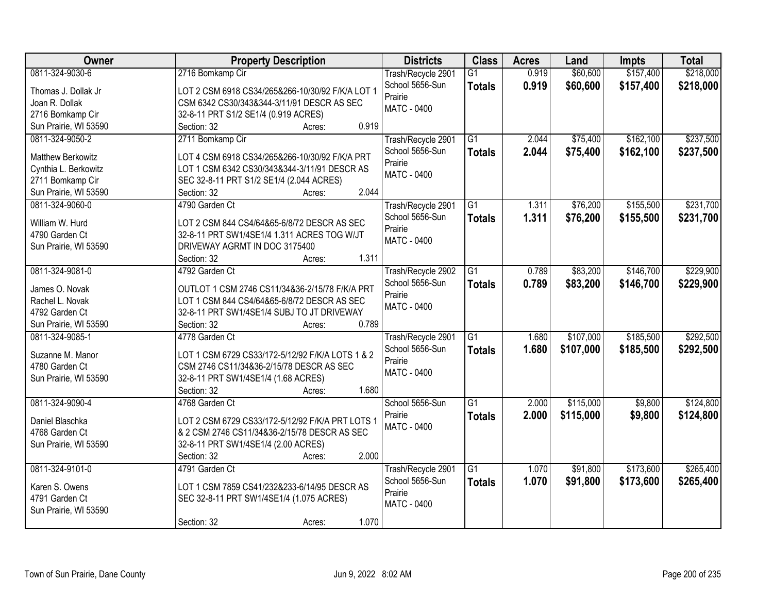| Owner                 | <b>Property Description</b>                         | <b>Districts</b>   | <b>Class</b>    | <b>Acres</b> | Land      | <b>Impts</b> | <b>Total</b> |
|-----------------------|-----------------------------------------------------|--------------------|-----------------|--------------|-----------|--------------|--------------|
| 0811-324-9030-6       | 2716 Bomkamp Cir                                    | Trash/Recycle 2901 | $\overline{G1}$ | 0.919        | \$60,600  | \$157,400    | \$218,000    |
| Thomas J. Dollak Jr   | LOT 2 CSM 6918 CS34/265&266-10/30/92 F/K/A LOT 1    | School 5656-Sun    | <b>Totals</b>   | 0.919        | \$60,600  | \$157,400    | \$218,000    |
| Joan R. Dollak        | CSM 6342 CS30/343&344-3/11/91 DESCR AS SEC          | Prairie            |                 |              |           |              |              |
| 2716 Bomkamp Cir      | 32-8-11 PRT S1/2 SE1/4 (0.919 ACRES)                | <b>MATC - 0400</b> |                 |              |           |              |              |
| Sun Prairie, WI 53590 | 0.919<br>Section: 32<br>Acres:                      |                    |                 |              |           |              |              |
| 0811-324-9050-2       | 2711 Bomkamp Cir                                    | Trash/Recycle 2901 | $\overline{G1}$ | 2.044        | \$75,400  | \$162,100    | \$237,500    |
|                       |                                                     | School 5656-Sun    | <b>Totals</b>   | 2.044        | \$75,400  | \$162,100    | \$237,500    |
| Matthew Berkowitz     | LOT 4 CSM 6918 CS34/265&266-10/30/92 F/K/A PRT      | Prairie            |                 |              |           |              |              |
| Cynthia L. Berkowitz  | LOT 1 CSM 6342 CS30/343&344-3/11/91 DESCR AS        | <b>MATC - 0400</b> |                 |              |           |              |              |
| 2711 Bomkamp Cir      | SEC 32-8-11 PRT S1/2 SE1/4 (2.044 ACRES)            |                    |                 |              |           |              |              |
| Sun Prairie, WI 53590 | 2.044<br>Section: 32<br>Acres:                      |                    |                 |              |           |              |              |
| 0811-324-9060-0       | 4790 Garden Ct                                      | Trash/Recycle 2901 | G1              | 1.311        | \$76,200  | \$155,500    | \$231,700    |
| William W. Hurd       | LOT 2 CSM 844 CS4/64&65-6/8/72 DESCR AS SEC         | School 5656-Sun    | <b>Totals</b>   | 1.311        | \$76,200  | \$155,500    | \$231,700    |
| 4790 Garden Ct        | 32-8-11 PRT SW1/4SE1/4 1.311 ACRES TOG W/JT         | Prairie            |                 |              |           |              |              |
| Sun Prairie, WI 53590 | DRIVEWAY AGRMT IN DOC 3175400                       | MATC - 0400        |                 |              |           |              |              |
|                       | 1.311<br>Section: 32<br>Acres:                      |                    |                 |              |           |              |              |
| 0811-324-9081-0       | 4792 Garden Ct                                      | Trash/Recycle 2902 | G1              | 0.789        | \$83,200  | \$146,700    | \$229,900    |
|                       |                                                     | School 5656-Sun    | <b>Totals</b>   | 0.789        | \$83,200  | \$146,700    | \$229,900    |
| James O. Novak        | OUTLOT 1 CSM 2746 CS11/34&36-2/15/78 F/K/A PRT      | Prairie            |                 |              |           |              |              |
| Rachel L. Novak       | LOT 1 CSM 844 CS4/64&65-6/8/72 DESCR AS SEC         | MATC - 0400        |                 |              |           |              |              |
| 4792 Garden Ct        | 32-8-11 PRT SW1/4SE1/4 SUBJ TO JT DRIVEWAY<br>0.789 |                    |                 |              |           |              |              |
| Sun Prairie, WI 53590 | Section: 32<br>Acres:                               |                    |                 |              |           |              |              |
| 0811-324-9085-1       | 4778 Garden Ct                                      | Trash/Recycle 2901 | $\overline{G1}$ | 1.680        | \$107,000 | \$185,500    | \$292,500    |
| Suzanne M. Manor      | LOT 1 CSM 6729 CS33/172-5/12/92 F/K/A LOTS 1 & 2    | School 5656-Sun    | <b>Totals</b>   | 1.680        | \$107,000 | \$185,500    | \$292,500    |
| 4780 Garden Ct        | CSM 2746 CS11/34&36-2/15/78 DESCR AS SEC            | Prairie            |                 |              |           |              |              |
| Sun Prairie, WI 53590 | 32-8-11 PRT SW1/4SE1/4 (1.68 ACRES)                 | MATC - 0400        |                 |              |           |              |              |
|                       | Section: 32<br>1.680<br>Acres:                      |                    |                 |              |           |              |              |
| 0811-324-9090-4       | 4768 Garden Ct                                      | School 5656-Sun    | $\overline{G1}$ | 2.000        | \$115,000 | \$9,800      | \$124,800    |
| Daniel Blaschka       | LOT 2 CSM 6729 CS33/172-5/12/92 F/K/A PRT LOTS 1    | Prairie            | <b>Totals</b>   | 2.000        | \$115,000 | \$9,800      | \$124,800    |
| 4768 Garden Ct        | & 2 CSM 2746 CS11/34&36-2/15/78 DESCR AS SEC        | MATC - 0400        |                 |              |           |              |              |
| Sun Prairie, WI 53590 | 32-8-11 PRT SW1/4SE1/4 (2.00 ACRES)                 |                    |                 |              |           |              |              |
|                       | 2.000<br>Section: 32                                |                    |                 |              |           |              |              |
| 0811-324-9101-0       | Acres:<br>4791 Garden Ct                            | Trash/Recycle 2901 | $\overline{G1}$ | 1.070        | \$91,800  | \$173,600    | \$265,400    |
|                       |                                                     | School 5656-Sun    |                 | 1.070        |           |              |              |
| Karen S. Owens        | LOT 1 CSM 7859 CS41/232&233-6/14/95 DESCR AS        | Prairie            | <b>Totals</b>   |              | \$91,800  | \$173,600    | \$265,400    |
| 4791 Garden Ct        | SEC 32-8-11 PRT SW1/4SE1/4 (1.075 ACRES)            | MATC - 0400        |                 |              |           |              |              |
| Sun Prairie, WI 53590 |                                                     |                    |                 |              |           |              |              |
|                       | 1.070<br>Section: 32<br>Acres:                      |                    |                 |              |           |              |              |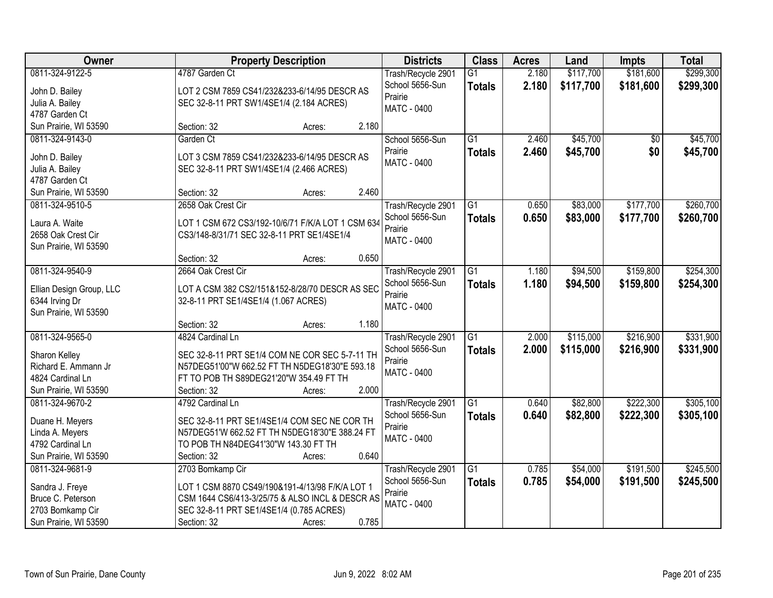| Owner                                                                                                 | <b>Property Description</b>                                                                                                                                                                          | <b>Districts</b>                                                       | <b>Class</b>                     | <b>Acres</b>   | Land                   | <b>Impts</b>           | <b>Total</b>           |
|-------------------------------------------------------------------------------------------------------|------------------------------------------------------------------------------------------------------------------------------------------------------------------------------------------------------|------------------------------------------------------------------------|----------------------------------|----------------|------------------------|------------------------|------------------------|
| 0811-324-9122-5<br>John D. Bailey<br>Julia A. Bailey<br>4787 Garden Ct                                | 4787 Garden Ct<br>LOT 2 CSM 7859 CS41/232&233-6/14/95 DESCR AS<br>SEC 32-8-11 PRT SW1/4SE1/4 (2.184 ACRES)                                                                                           | Trash/Recycle 2901<br>School 5656-Sun<br>Prairie<br><b>MATC - 0400</b> | $\overline{G1}$<br><b>Totals</b> | 2.180<br>2.180 | \$117,700<br>\$117,700 | \$181,600<br>\$181,600 | \$299,300<br>\$299,300 |
| Sun Prairie, WI 53590                                                                                 | 2.180<br>Section: 32<br>Acres:                                                                                                                                                                       |                                                                        |                                  |                |                        |                        |                        |
| 0811-324-9143-0<br>John D. Bailey<br>Julia A. Bailey<br>4787 Garden Ct<br>Sun Prairie, WI 53590       | Garden Ct<br>LOT 3 CSM 7859 CS41/232&233-6/14/95 DESCR AS<br>SEC 32-8-11 PRT SW1/4SE1/4 (2.466 ACRES)<br>2.460<br>Section: 32<br>Acres:                                                              | School 5656-Sun<br>Prairie<br>MATC - 0400                              | $\overline{G1}$<br><b>Totals</b> | 2.460<br>2.460 | \$45,700<br>\$45,700   | \$0<br>\$0             | \$45,700<br>\$45,700   |
| 0811-324-9510-5                                                                                       | 2658 Oak Crest Cir                                                                                                                                                                                   | Trash/Recycle 2901                                                     | G1                               | 0.650          | \$83,000               | \$177,700              | \$260,700              |
| Laura A. Waite<br>2658 Oak Crest Cir<br>Sun Prairie, WI 53590                                         | LOT 1 CSM 672 CS3/192-10/6/71 F/K/A LOT 1 CSM 634<br>CS3/148-8/31/71 SEC 32-8-11 PRT SE1/4SE1/4                                                                                                      | School 5656-Sun<br>Prairie<br><b>MATC - 0400</b>                       | <b>Totals</b>                    | 0.650          | \$83,000               | \$177,700              | \$260,700              |
|                                                                                                       | 0.650<br>Section: 32<br>Acres:                                                                                                                                                                       |                                                                        |                                  |                |                        |                        |                        |
| 0811-324-9540-9<br>Ellian Design Group, LLC<br>6344 Irving Dr<br>Sun Prairie, WI 53590                | 2664 Oak Crest Cir<br>LOT A CSM 382 CS2/151&152-8/28/70 DESCR AS SEC<br>32-8-11 PRT SE1/4SE1/4 (1.067 ACRES)                                                                                         | Trash/Recycle 2901<br>School 5656-Sun<br>Prairie<br>MATC - 0400        | G1<br><b>Totals</b>              | 1.180<br>1.180 | \$94,500<br>\$94,500   | \$159,800<br>\$159,800 | \$254,300<br>\$254,300 |
|                                                                                                       | 1.180<br>Section: 32<br>Acres:                                                                                                                                                                       |                                                                        |                                  |                |                        |                        |                        |
| 0811-324-9565-0<br>Sharon Kelley<br>Richard E. Ammann Jr<br>4824 Cardinal Ln<br>Sun Prairie, WI 53590 | 4824 Cardinal Ln<br>SEC 32-8-11 PRT SE1/4 COM NE COR SEC 5-7-11 TH<br>N57DEG51'00"W 662.52 FT TH N5DEG18'30"E 593.18<br>FT TO POB TH S89DEG21'20"W 354.49 FT TH<br>2.000<br>Section: 32<br>Acres:    | Trash/Recycle 2901<br>School 5656-Sun<br>Prairie<br><b>MATC - 0400</b> | $\overline{G1}$<br><b>Totals</b> | 2.000<br>2.000 | \$115,000<br>\$115,000 | \$216,900<br>\$216,900 | \$331,900<br>\$331,900 |
| 0811-324-9670-2<br>Duane H. Meyers<br>Linda A. Meyers<br>4792 Cardinal Ln<br>Sun Prairie, WI 53590    | 4792 Cardinal Ln<br>SEC 32-8-11 PRT SE1/4SE1/4 COM SEC NE COR TH<br>N57DEG51'W 662.52 FT TH N5DEG18'30"E 388.24 FT<br>TO POB TH N84DEG41'30"W 143.30 FT TH<br>0.640<br>Section: 32<br>Acres:         | Trash/Recycle 2901<br>School 5656-Sun<br>Prairie<br>MATC - 0400        | $\overline{G1}$<br><b>Totals</b> | 0.640<br>0.640 | \$82,800<br>\$82,800   | \$222,300<br>\$222,300 | \$305,100<br>\$305,100 |
| 0811-324-9681-9<br>Sandra J. Freye<br>Bruce C. Peterson<br>2703 Bomkamp Cir<br>Sun Prairie, WI 53590  | 2703 Bomkamp Cir<br>LOT 1 CSM 8870 CS49/190&191-4/13/98 F/K/A LOT 1<br>CSM 1644 CS6/413-3/25/75 & ALSO INCL & DESCR AS<br>SEC 32-8-11 PRT SE1/4SE1/4 (0.785 ACRES)<br>0.785<br>Section: 32<br>Acres: | Trash/Recycle 2901<br>School 5656-Sun<br>Prairie<br><b>MATC - 0400</b> | $\overline{G1}$<br><b>Totals</b> | 0.785<br>0.785 | \$54,000<br>\$54,000   | \$191,500<br>\$191,500 | \$245,500<br>\$245,500 |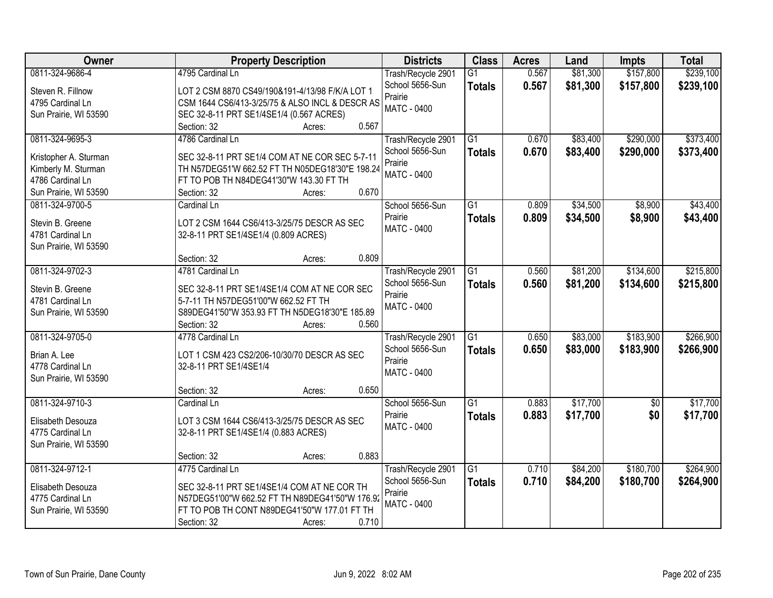| Owner                 | <b>Property Description</b>                     | <b>Districts</b>   | <b>Class</b>    | <b>Acres</b> | Land     | <b>Impts</b>    | <b>Total</b> |
|-----------------------|-------------------------------------------------|--------------------|-----------------|--------------|----------|-----------------|--------------|
| 0811-324-9686-4       | 4795 Cardinal Ln                                | Trash/Recycle 2901 | $\overline{G1}$ | 0.567        | \$81,300 | \$157,800       | \$239,100    |
| Steven R. Fillnow     | LOT 2 CSM 8870 CS49/190&191-4/13/98 F/K/A LOT 1 | School 5656-Sun    | <b>Totals</b>   | 0.567        | \$81,300 | \$157,800       | \$239,100    |
| 4795 Cardinal Ln      | CSM 1644 CS6/413-3/25/75 & ALSO INCL & DESCR AS | Prairie            |                 |              |          |                 |              |
| Sun Prairie, WI 53590 | SEC 32-8-11 PRT SE1/4SE1/4 (0.567 ACRES)        | <b>MATC - 0400</b> |                 |              |          |                 |              |
|                       | 0.567<br>Section: 32<br>Acres:                  |                    |                 |              |          |                 |              |
| 0811-324-9695-3       | 4786 Cardinal Ln                                | Trash/Recycle 2901 | $\overline{G1}$ | 0.670        | \$83,400 | \$290,000       | \$373,400    |
|                       |                                                 | School 5656-Sun    | <b>Totals</b>   | 0.670        | \$83,400 | \$290,000       | \$373,400    |
| Kristopher A. Sturman | SEC 32-8-11 PRT SE1/4 COM AT NE COR SEC 5-7-11  | Prairie            |                 |              |          |                 |              |
| Kimberly M. Sturman   | TH N57DEG51'W 662.52 FT TH N05DEG18'30"E 198.24 | <b>MATC - 0400</b> |                 |              |          |                 |              |
| 4786 Cardinal Ln      | FT TO POB TH N84DEG41'30"W 143.30 FT TH         |                    |                 |              |          |                 |              |
| Sun Prairie, WI 53590 | 0.670<br>Section: 32<br>Acres:                  |                    |                 |              |          |                 |              |
| 0811-324-9700-5       | Cardinal Ln                                     | School 5656-Sun    | $\overline{G1}$ | 0.809        | \$34,500 | \$8,900         | \$43,400     |
| Stevin B. Greene      | LOT 2 CSM 1644 CS6/413-3/25/75 DESCR AS SEC     | Prairie            | <b>Totals</b>   | 0.809        | \$34,500 | \$8,900         | \$43,400     |
| 4781 Cardinal Ln      | 32-8-11 PRT SE1/4SE1/4 (0.809 ACRES)            | <b>MATC - 0400</b> |                 |              |          |                 |              |
| Sun Prairie, WI 53590 |                                                 |                    |                 |              |          |                 |              |
|                       | 0.809<br>Section: 32<br>Acres:                  |                    |                 |              |          |                 |              |
| 0811-324-9702-3       | 4781 Cardinal Ln                                | Trash/Recycle 2901 | G1              | 0.560        | \$81,200 | \$134,600       | \$215,800    |
|                       |                                                 | School 5656-Sun    | <b>Totals</b>   | 0.560        | \$81,200 | \$134,600       | \$215,800    |
| Stevin B. Greene      | SEC 32-8-11 PRT SE1/4SE1/4 COM AT NE COR SEC    | Prairie            |                 |              |          |                 |              |
| 4781 Cardinal Ln      | 5-7-11 TH N57DEG51'00"W 662.52 FT TH            | <b>MATC - 0400</b> |                 |              |          |                 |              |
| Sun Prairie, WI 53590 | S89DEG41'50"W 353.93 FT TH N5DEG18'30"E 185.89  |                    |                 |              |          |                 |              |
|                       | 0.560<br>Section: 32<br>Acres:                  |                    |                 |              |          |                 |              |
| 0811-324-9705-0       | 4778 Cardinal Ln                                | Trash/Recycle 2901 | $\overline{G1}$ | 0.650        | \$83,000 | \$183,900       | \$266,900    |
| Brian A. Lee          | LOT 1 CSM 423 CS2/206-10/30/70 DESCR AS SEC     | School 5656-Sun    | <b>Totals</b>   | 0.650        | \$83,000 | \$183,900       | \$266,900    |
| 4778 Cardinal Ln      | 32-8-11 PRT SE1/4SE1/4                          | Prairie            |                 |              |          |                 |              |
| Sun Prairie, WI 53590 |                                                 | <b>MATC - 0400</b> |                 |              |          |                 |              |
|                       | 0.650<br>Section: 32<br>Acres:                  |                    |                 |              |          |                 |              |
| 0811-324-9710-3       | Cardinal Ln                                     | School 5656-Sun    | G1              | 0.883        | \$17,700 | $\overline{50}$ | \$17,700     |
|                       |                                                 | Prairie            | <b>Totals</b>   | 0.883        | \$17,700 | \$0             | \$17,700     |
| Elisabeth Desouza     | LOT 3 CSM 1644 CS6/413-3/25/75 DESCR AS SEC     | MATC - 0400        |                 |              |          |                 |              |
| 4775 Cardinal Ln      | 32-8-11 PRT SE1/4SE1/4 (0.883 ACRES)            |                    |                 |              |          |                 |              |
| Sun Prairie, WI 53590 |                                                 |                    |                 |              |          |                 |              |
|                       | 0.883<br>Section: 32<br>Acres:                  |                    |                 |              |          |                 |              |
| 0811-324-9712-1       | 4775 Cardinal Ln                                | Trash/Recycle 2901 | $\overline{G1}$ | 0.710        | \$84,200 | \$180,700       | \$264,900    |
| Elisabeth Desouza     | SEC 32-8-11 PRT SE1/4SE1/4 COM AT NE COR TH     | School 5656-Sun    | <b>Totals</b>   | 0.710        | \$84,200 | \$180,700       | \$264,900    |
| 4775 Cardinal Ln      | N57DEG51'00"W 662.52 FT TH N89DEG41'50"W 176.92 | Prairie            |                 |              |          |                 |              |
| Sun Prairie, WI 53590 | FT TO POB TH CONT N89DEG41'50"W 177.01 FT TH    | <b>MATC - 0400</b> |                 |              |          |                 |              |
|                       | 0.710<br>Section: 32<br>Acres:                  |                    |                 |              |          |                 |              |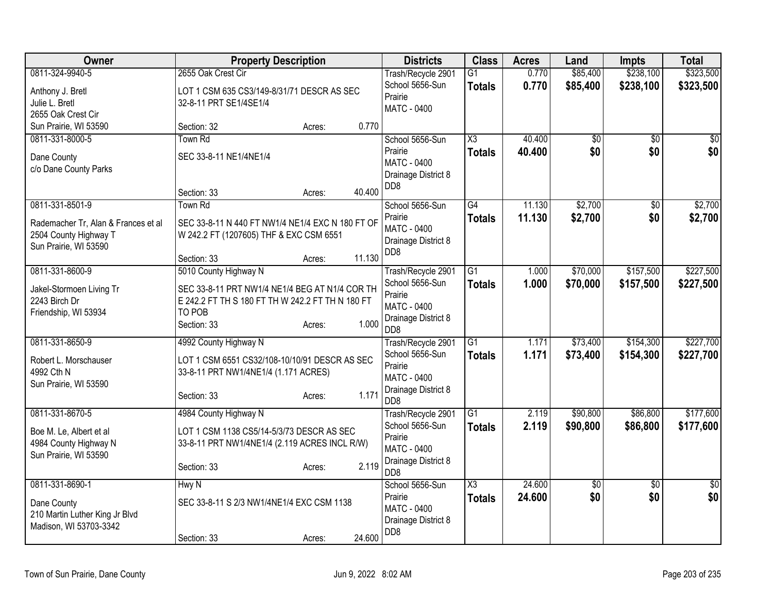| <b>Owner</b>                                             | <b>Property Description</b>                      |                  | <b>Districts</b>           | <b>Class</b>           | <b>Acres</b> | Land            | <b>Impts</b>    | <b>Total</b>    |
|----------------------------------------------------------|--------------------------------------------------|------------------|----------------------------|------------------------|--------------|-----------------|-----------------|-----------------|
| 0811-324-9940-5                                          | 2655 Oak Crest Cir                               |                  | Trash/Recycle 2901         | $\overline{G1}$        | 0.770        | \$85,400        | \$238,100       | \$323,500       |
| Anthony J. Bretl                                         | LOT 1 CSM 635 CS3/149-8/31/71 DESCR AS SEC       |                  | School 5656-Sun            | <b>Totals</b>          | 0.770        | \$85,400        | \$238,100       | \$323,500       |
| Julie L. Bretl                                           | 32-8-11 PRT SE1/4SE1/4                           |                  | Prairie                    |                        |              |                 |                 |                 |
| 2655 Oak Crest Cir                                       |                                                  |                  | <b>MATC - 0400</b>         |                        |              |                 |                 |                 |
| Sun Prairie, WI 53590                                    | Section: 32                                      | 0.770<br>Acres:  |                            |                        |              |                 |                 |                 |
| 0811-331-8000-5                                          | Town Rd                                          |                  | School 5656-Sun            | $\overline{\chi_3}$    | 40.400       | \$0             | \$0             | \$0             |
| Dane County                                              | SEC 33-8-11 NE1/4NE1/4                           |                  | Prairie                    | <b>Totals</b>          | 40.400       | \$0             | \$0             | \$0             |
| c/o Dane County Parks                                    |                                                  |                  | <b>MATC - 0400</b>         |                        |              |                 |                 |                 |
|                                                          |                                                  |                  | Drainage District 8        |                        |              |                 |                 |                 |
|                                                          | Section: 33                                      | 40.400<br>Acres: | DD <sub>8</sub>            |                        |              |                 |                 |                 |
| 0811-331-8501-9                                          | Town Rd                                          |                  | School 5656-Sun            | G4                     | 11.130       | \$2,700         | \$0             | \$2,700         |
|                                                          |                                                  |                  | Prairie                    | <b>Totals</b>          | 11.130       | \$2,700         | \$0             | \$2,700         |
| Rademacher Tr, Alan & Frances et al                      | SEC 33-8-11 N 440 FT NW1/4 NE1/4 EXC N 180 FT OF |                  | <b>MATC - 0400</b>         |                        |              |                 |                 |                 |
| 2504 County Highway T<br>Sun Prairie, WI 53590           | W 242.2 FT (1207605) THF & EXC CSM 6551          |                  | Drainage District 8        |                        |              |                 |                 |                 |
|                                                          | Section: 33                                      | 11.130<br>Acres: | DD <sub>8</sub>            |                        |              |                 |                 |                 |
| 0811-331-8600-9                                          | 5010 County Highway N                            |                  | Trash/Recycle 2901         | $\overline{G1}$        | 1.000        | \$70,000        | \$157,500       | \$227,500       |
|                                                          |                                                  |                  | School 5656-Sun            | <b>Totals</b>          | 1.000        | \$70,000        | \$157,500       | \$227,500       |
| Jakel-Stormoen Living Tr                                 | SEC 33-8-11 PRT NW1/4 NE1/4 BEG AT N1/4 COR TH   |                  | Prairie                    |                        |              |                 |                 |                 |
| 2243 Birch Dr                                            | E 242.2 FT TH S 180 FT TH W 242.2 FT TH N 180 FT |                  | MATC - 0400                |                        |              |                 |                 |                 |
| Friendship, WI 53934                                     | TO POB                                           |                  | Drainage District 8        |                        |              |                 |                 |                 |
|                                                          | Section: 33                                      | 1.000<br>Acres:  | DD <sub>8</sub>            |                        |              |                 |                 |                 |
| 0811-331-8650-9                                          | 4992 County Highway N                            |                  | Trash/Recycle 2901         | G1                     | 1.171        | \$73,400        | \$154,300       | \$227,700       |
| Robert L. Morschauser                                    | LOT 1 CSM 6551 CS32/108-10/10/91 DESCR AS SEC    |                  | School 5656-Sun            | <b>Totals</b>          | 1.171        | \$73,400        | \$154,300       | \$227,700       |
| 4992 Cth N                                               | 33-8-11 PRT NW1/4NE1/4 (1.171 ACRES)             |                  | Prairie                    |                        |              |                 |                 |                 |
| Sun Prairie, WI 53590                                    |                                                  |                  | MATC - 0400                |                        |              |                 |                 |                 |
|                                                          | Section: 33                                      | 1.171<br>Acres:  | Drainage District 8        |                        |              |                 |                 |                 |
|                                                          |                                                  |                  | D <sub>D</sub> 8           |                        |              |                 |                 |                 |
| 0811-331-8670-5                                          | 4984 County Highway N                            |                  | Trash/Recycle 2901         | $\overline{G1}$        | 2.119        | \$90,800        | \$86,800        | \$177,600       |
| Boe M. Le, Albert et al                                  | LOT 1 CSM 1138 CS5/14-5/3/73 DESCR AS SEC        |                  | School 5656-Sun<br>Prairie | <b>Totals</b>          | 2.119        | \$90,800        | \$86,800        | \$177,600       |
| 4984 County Highway N                                    | 33-8-11 PRT NW1/4NE1/4 (2.119 ACRES INCL R/W)    |                  | <b>MATC - 0400</b>         |                        |              |                 |                 |                 |
| Sun Prairie, WI 53590                                    |                                                  |                  | Drainage District 8        |                        |              |                 |                 |                 |
|                                                          | Section: 33                                      | 2.119<br>Acres:  | D <sub>D</sub> 8           |                        |              |                 |                 |                 |
| 0811-331-8690-1                                          | Hwy N                                            |                  | School 5656-Sun            | $\overline{\text{X3}}$ | 24,600       | $\overline{50}$ | $\overline{50}$ | $\overline{50}$ |
|                                                          |                                                  |                  | Prairie                    | <b>Totals</b>          | 24.600       | \$0             | \$0             | \$0             |
| Dane County                                              | SEC 33-8-11 S 2/3 NW1/4NE1/4 EXC CSM 1138        |                  | <b>MATC - 0400</b>         |                        |              |                 |                 |                 |
| 210 Martin Luther King Jr Blvd<br>Madison, WI 53703-3342 |                                                  |                  | Drainage District 8        |                        |              |                 |                 |                 |
|                                                          | Section: 33                                      | 24.600<br>Acres: | DD <sub>8</sub>            |                        |              |                 |                 |                 |
|                                                          |                                                  |                  |                            |                        |              |                 |                 |                 |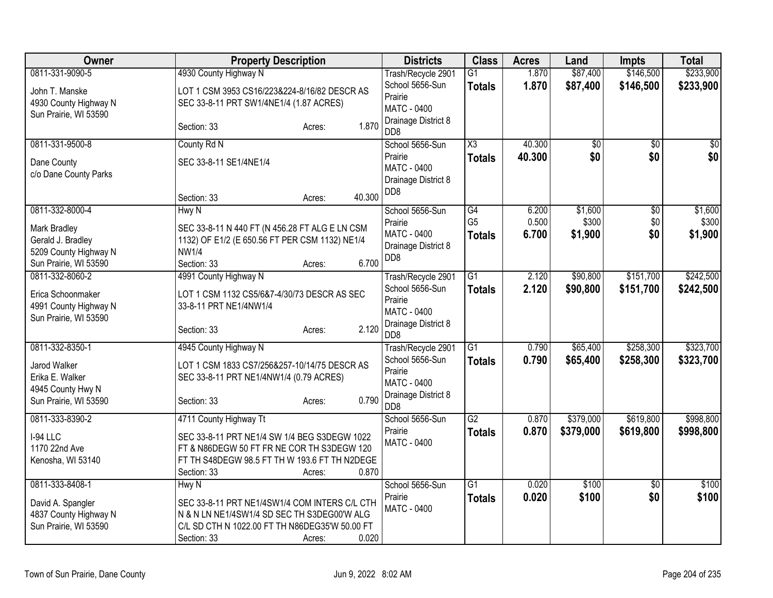| Owner                                                            | <b>Property Description</b>                                                             | <b>Districts</b>                                     | <b>Class</b>           | <b>Acres</b> | Land            | Impts           | <b>Total</b> |
|------------------------------------------------------------------|-----------------------------------------------------------------------------------------|------------------------------------------------------|------------------------|--------------|-----------------|-----------------|--------------|
| 0811-331-9090-5                                                  | 4930 County Highway N                                                                   | Trash/Recycle 2901                                   | $\overline{G1}$        | 1.870        | \$87,400        | \$146,500       | \$233,900    |
| John T. Manske<br>4930 County Highway N<br>Sun Prairie, WI 53590 | LOT 1 CSM 3953 CS16/223&224-8/16/82 DESCR AS<br>SEC 33-8-11 PRT SW1/4NE1/4 (1.87 ACRES) | School 5656-Sun<br>Prairie<br><b>MATC - 0400</b>     | <b>Totals</b>          | 1.870        | \$87,400        | \$146,500       | \$233,900    |
|                                                                  | 1.870<br>Section: 33<br>Acres:                                                          | Drainage District 8<br>D <sub>D</sub> 8              |                        |              |                 |                 |              |
| 0811-331-9500-8                                                  | County Rd N                                                                             | School 5656-Sun                                      | $\overline{\text{X3}}$ | 40.300       | $\overline{50}$ | \$0             | $\sqrt{50}$  |
| Dane County<br>c/o Dane County Parks                             | SEC 33-8-11 SE1/4NE1/4                                                                  | Prairie<br><b>MATC - 0400</b><br>Drainage District 8 | <b>Totals</b>          | 40.300       | \$0             | \$0             | \$0          |
|                                                                  | 40.300<br>Section: 33<br>Acres:                                                         | D <sub>D</sub> 8                                     |                        |              |                 |                 |              |
| 0811-332-8000-4                                                  | Hwy N                                                                                   | School 5656-Sun                                      | G4                     | 6.200        | \$1,600         | $\overline{60}$ | \$1,600      |
| Mark Bradley                                                     | SEC 33-8-11 N 440 FT (N 456.28 FT ALG E LN CSM                                          | Prairie                                              | G <sub>5</sub>         | 0.500        | \$300           | \$0             | \$300        |
| Gerald J. Bradley                                                | 1132) OF E1/2 (E 650.56 FT PER CSM 1132) NE1/4                                          | <b>MATC - 0400</b>                                   | <b>Totals</b>          | 6.700        | \$1,900         | \$0             | \$1,900      |
| 5209 County Highway N                                            | <b>NW1/4</b>                                                                            | Drainage District 8<br>D <sub>D</sub> 8              |                        |              |                 |                 |              |
| Sun Prairie, WI 53590                                            | 6.700<br>Section: 33<br>Acres:                                                          |                                                      |                        |              |                 |                 |              |
| 0811-332-8060-2                                                  | 4991 County Highway N                                                                   | Trash/Recycle 2901                                   | $\overline{G1}$        | 2.120        | \$90,800        | \$151,700       | \$242,500    |
| Erica Schoonmaker                                                | LOT 1 CSM 1132 CS5/6&7-4/30/73 DESCR AS SEC<br>33-8-11 PRT NE1/4NW1/4                   | School 5656-Sun<br>Prairie                           | <b>Totals</b>          | 2.120        | \$90,800        | \$151,700       | \$242,500    |
| 4991 County Highway N<br>Sun Prairie, WI 53590                   |                                                                                         | MATC - 0400                                          |                        |              |                 |                 |              |
|                                                                  | 2.120<br>Section: 33<br>Acres:                                                          | Drainage District 8<br>D <sub>D</sub> 8              |                        |              |                 |                 |              |
| 0811-332-8350-1                                                  | 4945 County Highway N                                                                   | Trash/Recycle 2901                                   | $\overline{G1}$        | 0.790        | \$65,400        | \$258,300       | \$323,700    |
| Jarod Walker                                                     | LOT 1 CSM 1833 CS7/256&257-10/14/75 DESCR AS                                            | School 5656-Sun                                      | Totals                 | 0.790        | \$65,400        | \$258,300       | \$323,700    |
| Erika E. Walker                                                  | SEC 33-8-11 PRT NE1/4NW1/4 (0.79 ACRES)                                                 | Prairie<br><b>MATC - 0400</b>                        |                        |              |                 |                 |              |
| 4945 County Hwy N                                                |                                                                                         | Drainage District 8                                  |                        |              |                 |                 |              |
| Sun Prairie, WI 53590                                            | 0.790<br>Section: 33<br>Acres:                                                          | D <sub>D</sub> 8                                     |                        |              |                 |                 |              |
| 0811-333-8390-2                                                  | 4711 County Highway Tt                                                                  | School 5656-Sun                                      | $\overline{G2}$        | 0.870        | \$379,000       | \$619,800       | \$998,800    |
| I-94 LLC                                                         | SEC 33-8-11 PRT NE1/4 SW 1/4 BEG S3DEGW 1022                                            | Prairie                                              | <b>Totals</b>          | 0.870        | \$379,000       | \$619,800       | \$998,800    |
| 1170 22nd Ave                                                    | FT & N86DEGW 50 FT FR NE COR TH S3DEGW 120                                              | <b>MATC - 0400</b>                                   |                        |              |                 |                 |              |
| Kenosha, WI 53140                                                | FT TH S48DEGW 98.5 FT TH W 193.6 FT TH N2DEGE                                           |                                                      |                        |              |                 |                 |              |
|                                                                  | 0.870<br>Section: 33<br>Acres:                                                          |                                                      |                        |              |                 |                 |              |
| 0811-333-8408-1                                                  | Hwy N                                                                                   | School 5656-Sun                                      | $\overline{G1}$        | 0.020        | \$100           | \$0             | \$100        |
| David A. Spangler                                                | SEC 33-8-11 PRT NE1/4SW1/4 COM INTERS C/L CTH                                           | Prairie                                              | <b>Totals</b>          | 0.020        | \$100           | \$0             | \$100        |
| 4837 County Highway N                                            | N & N LN NE1/4SW1/4 SD SEC TH S3DEG00'W ALG                                             | <b>MATC - 0400</b>                                   |                        |              |                 |                 |              |
| Sun Prairie, WI 53590                                            | C/L SD CTH N 1022.00 FT TH N86DEG35'W 50.00 FT                                          |                                                      |                        |              |                 |                 |              |
|                                                                  | 0.020<br>Section: 33<br>Acres:                                                          |                                                      |                        |              |                 |                 |              |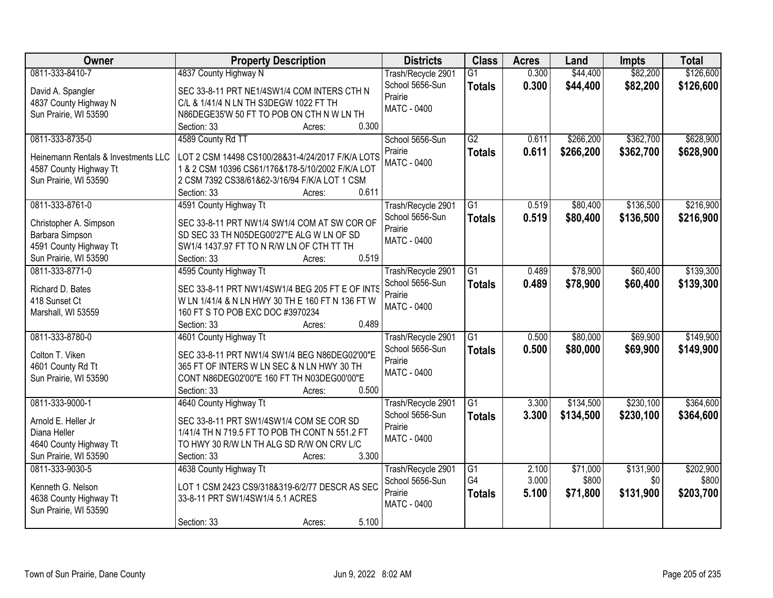| Owner                               | <b>Property Description</b>                      | <b>Districts</b>   | <b>Class</b>          | <b>Acres</b>   | Land      | <b>Impts</b> | <b>Total</b> |
|-------------------------------------|--------------------------------------------------|--------------------|-----------------------|----------------|-----------|--------------|--------------|
| 0811-333-8410-7                     | 4837 County Highway N                            | Trash/Recycle 2901 | $\overline{G1}$       | 0.300          | \$44,400  | \$82,200     | \$126,600    |
| David A. Spangler                   | SEC 33-8-11 PRT NE1/4SW1/4 COM INTERS CTH N      | School 5656-Sun    | <b>Totals</b>         | 0.300          | \$44,400  | \$82,200     | \$126,600    |
| 4837 County Highway N               | C/L & 1/41/4 N LN TH S3DEGW 1022 FT TH           | Prairie            |                       |                |           |              |              |
| Sun Prairie, WI 53590               | N86DEGE35'W 50 FT TO POB ON CTH N W LN TH        | MATC - 0400        |                       |                |           |              |              |
|                                     | 0.300<br>Section: 33<br>Acres:                   |                    |                       |                |           |              |              |
| 0811-333-8735-0                     | 4589 County Rd TT                                | School 5656-Sun    | $\overline{G2}$       | 0.611          | \$266,200 | \$362,700    | \$628,900    |
|                                     |                                                  | Prairie            | <b>Totals</b>         | 0.611          | \$266,200 | \$362,700    | \$628,900    |
| Heinemann Rentals & Investments LLC | LOT 2 CSM 14498 CS100/28&31-4/24/2017 F/K/A LOTS | <b>MATC - 0400</b> |                       |                |           |              |              |
| 4587 County Highway Tt              | 1 & 2 CSM 10396 CS61/176&178-5/10/2002 F/K/A LOT |                    |                       |                |           |              |              |
| Sun Prairie, WI 53590               | 2 CSM 7392 CS38/61&62-3/16/94 F/K/A LOT 1 CSM    |                    |                       |                |           |              |              |
|                                     | 0.611<br>Section: 33<br>Acres:                   |                    |                       |                |           |              |              |
| 0811-333-8761-0                     | 4591 County Highway Tt                           | Trash/Recycle 2901 | $\overline{G1}$       | 0.519          | \$80,400  | \$136,500    | \$216,900    |
| Christopher A. Simpson              | SEC 33-8-11 PRT NW1/4 SW1/4 COM AT SW COR OF     | School 5656-Sun    | <b>Totals</b>         | 0.519          | \$80,400  | \$136,500    | \$216,900    |
| Barbara Simpson                     | SD SEC 33 TH N05DEG00'27"E ALG W LN OF SD        | Prairie            |                       |                |           |              |              |
| 4591 County Highway Tt              | SW1/4 1437.97 FT TO N R/W LN OF CTH TT TH        | MATC - 0400        |                       |                |           |              |              |
| Sun Prairie, WI 53590               | 0.519<br>Section: 33<br>Acres:                   |                    |                       |                |           |              |              |
| 0811-333-8771-0                     | 4595 County Highway Tt                           | Trash/Recycle 2901 | $\overline{G1}$       | 0.489          | \$78,900  | \$60,400     | \$139,300    |
|                                     |                                                  | School 5656-Sun    | <b>Totals</b>         | 0.489          | \$78,900  | \$60,400     | \$139,300    |
| Richard D. Bates                    | SEC 33-8-11 PRT NW1/4SW1/4 BEG 205 FT E OF INTS  | Prairie            |                       |                |           |              |              |
| 418 Sunset Ct                       | W LN 1/41/4 & N LN HWY 30 TH E 160 FT N 136 FT W | <b>MATC - 0400</b> |                       |                |           |              |              |
| Marshall, WI 53559                  | 160 FT S TO POB EXC DOC #3970234                 |                    |                       |                |           |              |              |
|                                     | 0.489<br>Section: 33<br>Acres:                   |                    |                       |                |           |              |              |
| 0811-333-8780-0                     | 4601 County Highway Tt                           | Trash/Recycle 2901 | $\overline{G1}$       | 0.500          | \$80,000  | \$69,900     | \$149,900    |
| Colton T. Viken                     | SEC 33-8-11 PRT NW1/4 SW1/4 BEG N86DEG02'00"E    | School 5656-Sun    | <b>Totals</b>         | 0.500          | \$80,000  | \$69,900     | \$149,900    |
| 4601 County Rd Tt                   | 365 FT OF INTERS W LN SEC & N LN HWY 30 TH       | Prairie            |                       |                |           |              |              |
| Sun Prairie, WI 53590               | CONT N86DEG02'00"E 160 FT TH N03DEG00'00"E       | <b>MATC - 0400</b> |                       |                |           |              |              |
|                                     | 0.500<br>Section: 33<br>Acres:                   |                    |                       |                |           |              |              |
| 0811-333-9000-1                     | 4640 County Highway Tt                           | Trash/Recycle 2901 | $\overline{G1}$       | 3.300          | \$134,500 | \$230,100    | \$364,600    |
|                                     |                                                  | School 5656-Sun    | <b>Totals</b>         | 3.300          | \$134,500 | \$230,100    | \$364,600    |
| Arnold E. Heller Jr                 | SEC 33-8-11 PRT SW1/4SW1/4 COM SE COR SD         | Prairie            |                       |                |           |              |              |
| Diana Heller                        | 1/41/4 TH N 719.5 FT TO POB TH CONT N 551.2 FT   | MATC - 0400        |                       |                |           |              |              |
| 4640 County Highway Tt              | TO HWY 30 R/W LN TH ALG SD R/W ON CRV L/C        |                    |                       |                |           |              |              |
| Sun Prairie, WI 53590               | 3.300<br>Section: 33<br>Acres:                   |                    |                       |                |           |              |              |
| 0811-333-9030-5                     | 4638 County Highway Tt                           | Trash/Recycle 2901 | $\overline{G1}$<br>G4 | 2.100<br>3.000 | \$71,000  | \$131,900    | \$202,900    |
| Kenneth G. Nelson                   | LOT 1 CSM 2423 CS9/318&319-6/2/77 DESCR AS SEC   | School 5656-Sun    |                       |                | \$800     | \$0          | \$800        |
| 4638 County Highway Tt              | 33-8-11 PRT SW1/4SW1/4 5.1 ACRES                 | Prairie            | <b>Totals</b>         | 5.100          | \$71,800  | \$131,900    | \$203,700    |
| Sun Prairie, WI 53590               |                                                  | <b>MATC - 0400</b> |                       |                |           |              |              |
|                                     | 5.100<br>Section: 33<br>Acres:                   |                    |                       |                |           |              |              |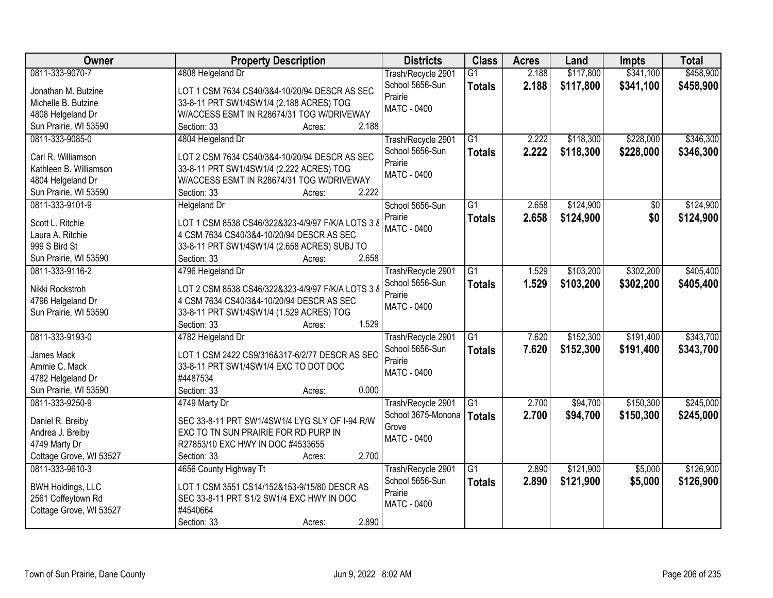| Owner                    | <b>Property Description</b>                       | <b>Districts</b>            | <b>Class</b>    | <b>Acres</b> | Land      | <b>Impts</b> | <b>Total</b> |
|--------------------------|---------------------------------------------------|-----------------------------|-----------------|--------------|-----------|--------------|--------------|
| 0811-333-9070-7          | 4808 Helgeland Dr                                 | Trash/Recycle 2901          | $\overline{G1}$ | 2.188        | \$117,800 | \$341,100    | \$458,900    |
| Jonathan M. Butzine      | LOT 1 CSM 7634 CS40/3&4-10/20/94 DESCR AS SEC     | School 5656-Sun             | <b>Totals</b>   | 2.188        | \$117,800 | \$341,100    | \$458,900    |
| Michelle B. Butzine      | 33-8-11 PRT SW1/4SW1/4 (2.188 ACRES) TOG          | Prairie                     |                 |              |           |              |              |
| 4808 Helgeland Dr        | W/ACCESS ESMT IN R28674/31 TOG W/DRIVEWAY         | <b>MATC - 0400</b>          |                 |              |           |              |              |
| Sun Prairie, WI 53590    | 2.188<br>Section: 33<br>Acres:                    |                             |                 |              |           |              |              |
| 0811-333-9085-0          | 4804 Helgeland Dr                                 | Trash/Recycle 2901          | $\overline{G1}$ | 2.222        | \$118,300 | \$228,000    | \$346,300    |
|                          |                                                   | School 5656-Sun             | <b>Totals</b>   | 2.222        | \$118,300 | \$228,000    | \$346,300    |
| Carl R. Williamson       | LOT 2 CSM 7634 CS40/3&4-10/20/94 DESCR AS SEC     | Prairie                     |                 |              |           |              |              |
| Kathleen B. Williamson   | 33-8-11 PRT SW1/4SW1/4 (2.222 ACRES) TOG          | <b>MATC - 0400</b>          |                 |              |           |              |              |
| 4804 Helgeland Dr        | W/ACCESS ESMT IN R28674/31 TOG W/DRIVEWAY         |                             |                 |              |           |              |              |
| Sun Prairie, WI 53590    | 2.222<br>Section: 33<br>Acres:                    |                             |                 |              |           |              |              |
| 0811-333-9101-9          | Helgeland Dr                                      | School 5656-Sun             | G1              | 2.658        | \$124,900 | \$0          | \$124,900    |
| Scott L. Ritchie         | LOT 1 CSM 8538 CS46/322&323-4/9/97 F/K/A LOTS 3 8 | Prairie                     | <b>Totals</b>   | 2.658        | \$124,900 | \$0          | \$124,900    |
| Laura A. Ritchie         | 4 CSM 7634 CS40/3&4-10/20/94 DESCR AS SEC         | MATC - 0400                 |                 |              |           |              |              |
| 999 S Bird St            | 33-8-11 PRT SW1/4SW1/4 (2.658 ACRES) SUBJ TO      |                             |                 |              |           |              |              |
| Sun Prairie, WI 53590    | 2.658<br>Section: 33<br>Acres:                    |                             |                 |              |           |              |              |
| 0811-333-9116-2          | 4796 Helgeland Dr                                 | Trash/Recycle 2901          | G1              | 1.529        | \$103,200 | \$302,200    | \$405,400    |
|                          |                                                   | School 5656-Sun             | <b>Totals</b>   | 1.529        | \$103,200 | \$302,200    | \$405,400    |
| Nikki Rockstroh          | LOT 2 CSM 8538 CS46/322&323-4/9/97 F/K/A LOTS 3 8 | Prairie                     |                 |              |           |              |              |
| 4796 Helgeland Dr        | 4 CSM 7634 CS40/3&4-10/20/94 DESCR AS SEC         | MATC - 0400                 |                 |              |           |              |              |
| Sun Prairie, WI 53590    | 33-8-11 PRT SW1/4SW1/4 (1.529 ACRES) TOG          |                             |                 |              |           |              |              |
|                          | 1.529<br>Section: 33<br>Acres:                    |                             |                 |              |           |              |              |
| 0811-333-9193-0          | 4782 Helgeland Dr                                 | Trash/Recycle 2901          | $\overline{G1}$ | 7.620        | \$152,300 | \$191,400    | \$343,700    |
| James Mack               | LOT 1 CSM 2422 CS9/316&317-6/2/77 DESCR AS SEC    | School 5656-Sun             | <b>Totals</b>   | 7.620        | \$152,300 | \$191,400    | \$343,700    |
| Ammie C. Mack            | 33-8-11 PRT SW1/4SW1/4 EXC TO DOT DOC             | Prairie                     |                 |              |           |              |              |
| 4782 Helgeland Dr        | #4487534                                          | <b>MATC - 0400</b>          |                 |              |           |              |              |
| Sun Prairie, WI 53590    | Section: 33<br>0.000<br>Acres:                    |                             |                 |              |           |              |              |
| 0811-333-9250-9          | 4749 Marty Dr                                     | Trash/Recycle 2901          | $\overline{G1}$ | 2.700        | \$94,700  | \$150,300    | \$245,000    |
|                          |                                                   |                             |                 |              |           |              |              |
| Daniel R. Breiby         | SEC 33-8-11 PRT SW1/4SW1/4 LYG SLY OF I-94 R/W    | School 3675-Monona          | <b>Totals</b>   | 2.700        | \$94,700  | \$150,300    | \$245,000    |
| Andrea J. Breiby         | EXC TO TN SUN PRAIRIE FOR RD PURP IN              | Grove<br><b>MATC - 0400</b> |                 |              |           |              |              |
| 4749 Marty Dr            | R27853/10 EXC HWY IN DOC #4533655                 |                             |                 |              |           |              |              |
| Cottage Grove, WI 53527  | 2.700<br>Section: 33<br>Acres:                    |                             |                 |              |           |              |              |
| 0811-333-9610-3          | 4656 County Highway Tt                            | Trash/Recycle 2901          | $\overline{G1}$ | 2.890        | \$121,900 | \$5,000      | \$126,900    |
|                          |                                                   | School 5656-Sun             | <b>Totals</b>   | 2.890        | \$121,900 | \$5,000      | \$126,900    |
| <b>BWH Holdings, LLC</b> | LOT 1 CSM 3551 CS14/152&153-9/15/80 DESCR AS      | Prairie                     |                 |              |           |              |              |
| 2561 Coffeytown Rd       | SEC 33-8-11 PRT S1/2 SW1/4 EXC HWY IN DOC         | MATC - 0400                 |                 |              |           |              |              |
| Cottage Grove, WI 53527  | #4540664                                          |                             |                 |              |           |              |              |
|                          | 2.890<br>Section: 33<br>Acres:                    |                             |                 |              |           |              |              |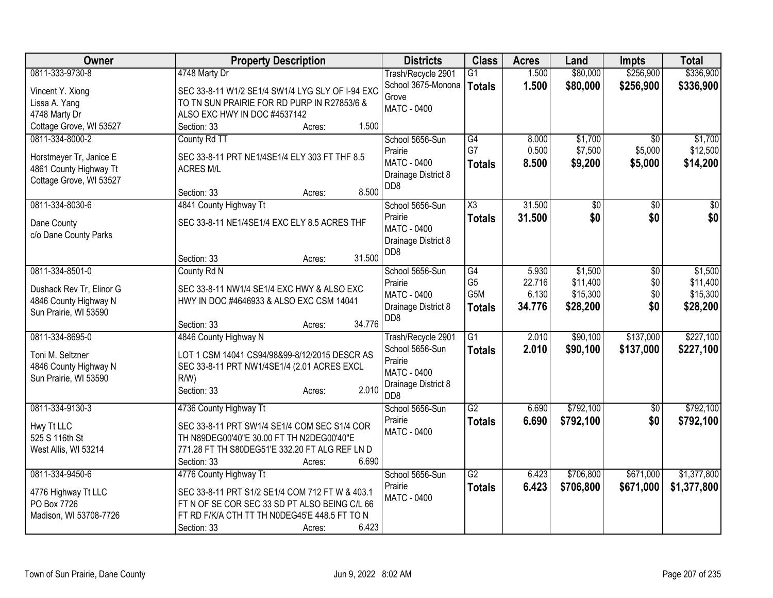| <b>Owner</b>                                      | <b>Property Description</b>                      | <b>Districts</b>    | <b>Class</b>    | <b>Acres</b> | Land      | <b>Impts</b>    | <b>Total</b> |
|---------------------------------------------------|--------------------------------------------------|---------------------|-----------------|--------------|-----------|-----------------|--------------|
| 0811-333-9730-8                                   | 4748 Marty Dr                                    | Trash/Recycle 2901  | $\overline{G1}$ | 1.500        | \$80,000  | \$256,900       | \$336,900    |
| Vincent Y. Xiong                                  | SEC 33-8-11 W1/2 SE1/4 SW1/4 LYG SLY OF I-94 EXC | School 3675-Monona  | <b>Totals</b>   | 1.500        | \$80,000  | \$256,900       | \$336,900    |
| Lissa A. Yang                                     | TO TN SUN PRAIRIE FOR RD PURP IN R27853/6 &      | Grove               |                 |              |           |                 |              |
| 4748 Marty Dr                                     | ALSO EXC HWY IN DOC #4537142                     | <b>MATC - 0400</b>  |                 |              |           |                 |              |
| Cottage Grove, WI 53527                           | 1.500<br>Section: 33<br>Acres:                   |                     |                 |              |           |                 |              |
| 0811-334-8000-2                                   | County Rd TT                                     | School 5656-Sun     | G4              | 8.000        | \$1,700   | $\overline{50}$ | \$1,700      |
|                                                   |                                                  | Prairie             | G7              | 0.500        | \$7,500   | \$5,000         | \$12,500     |
| Horstmeyer Tr, Janice E                           | SEC 33-8-11 PRT NE1/4SE1/4 ELY 303 FT THF 8.5    | <b>MATC - 0400</b>  | <b>Totals</b>   | 8.500        | \$9,200   | \$5,000         | \$14,200     |
| 4861 County Highway Tt<br>Cottage Grove, WI 53527 | <b>ACRES M/L</b>                                 | Drainage District 8 |                 |              |           |                 |              |
|                                                   | 8.500<br>Section: 33<br>Acres:                   | D <sub>D</sub> 8    |                 |              |           |                 |              |
| 0811-334-8030-6                                   | 4841 County Highway Tt                           | School 5656-Sun     | X3              | 31.500       | \$0       | $\sqrt{6}$      | \$0          |
| Dane County                                       | SEC 33-8-11 NE1/4SE1/4 EXC ELY 8.5 ACRES THF     | Prairie             | <b>Totals</b>   | 31.500       | \$0       | \$0             | \$0          |
| c/o Dane County Parks                             |                                                  | <b>MATC - 0400</b>  |                 |              |           |                 |              |
|                                                   |                                                  | Drainage District 8 |                 |              |           |                 |              |
|                                                   | 31.500<br>Section: 33<br>Acres:                  | DD <sub>8</sub>     |                 |              |           |                 |              |
| 0811-334-8501-0                                   | County Rd N                                      | School 5656-Sun     | G4              | 5.930        | \$1,500   | \$0             | \$1,500      |
| Dushack Rev Tr, Elinor G                          | SEC 33-8-11 NW1/4 SE1/4 EXC HWY & ALSO EXC       | Prairie             | G <sub>5</sub>  | 22.716       | \$11,400  | \$0             | \$11,400     |
| 4846 County Highway N                             | HWY IN DOC #4646933 & ALSO EXC CSM 14041         | MATC - 0400         | G5M             | 6.130        | \$15,300  | \$0             | \$15,300     |
| Sun Prairie, WI 53590                             |                                                  | Drainage District 8 | <b>Totals</b>   | 34.776       | \$28,200  | \$0             | \$28,200     |
|                                                   | 34.776<br>Section: 33<br>Acres:                  | D <sub>D</sub> 8    |                 |              |           |                 |              |
| 0811-334-8695-0                                   | 4846 County Highway N                            | Trash/Recycle 2901  | G1              | 2.010        | \$90,100  | \$137,000       | \$227,100    |
| Toni M. Seltzner                                  | LOT 1 CSM 14041 CS94/98&99-8/12/2015 DESCR AS    | School 5656-Sun     | <b>Totals</b>   | 2.010        | \$90,100  | \$137,000       | \$227,100    |
| 4846 County Highway N                             | SEC 33-8-11 PRT NW1/4SE1/4 (2.01 ACRES EXCL      | Prairie             |                 |              |           |                 |              |
| Sun Prairie, WI 53590                             | R/W                                              | <b>MATC - 0400</b>  |                 |              |           |                 |              |
|                                                   | 2.010<br>Section: 33<br>Acres:                   | Drainage District 8 |                 |              |           |                 |              |
|                                                   |                                                  | D <sub>D</sub> 8    |                 |              |           |                 |              |
| 0811-334-9130-3                                   | 4736 County Highway Tt                           | School 5656-Sun     | $\overline{G2}$ | 6.690        | \$792,100 | $\sqrt[6]{}$    | \$792,100    |
| Hwy Tt LLC                                        | SEC 33-8-11 PRT SW1/4 SE1/4 COM SEC S1/4 COR     | Prairie             | <b>Totals</b>   | 6.690        | \$792,100 | \$0             | \$792,100    |
| 525 S 116th St                                    | TH N89DEG00'40"E 30.00 FT TH N2DEG00'40"E        | <b>MATC - 0400</b>  |                 |              |           |                 |              |
| West Allis, WI 53214                              | 771.28 FT TH S80DEG51'E 332.20 FT ALG REF LN D   |                     |                 |              |           |                 |              |
|                                                   | 6.690<br>Section: 33<br>Acres:                   |                     |                 |              |           |                 |              |
| 0811-334-9450-6                                   | 4776 County Highway Tt                           | School 5656-Sun     | $\overline{G2}$ | 6.423        | \$706,800 | \$671,000       | \$1,377,800  |
| 4776 Highway Tt LLC                               | SEC 33-8-11 PRT S1/2 SE1/4 COM 712 FT W & 403.1  | Prairie             | <b>Totals</b>   | 6.423        | \$706,800 | \$671,000       | \$1,377,800  |
| PO Box 7726                                       | FT N OF SE COR SEC 33 SD PT ALSO BEING C/L 66    | <b>MATC - 0400</b>  |                 |              |           |                 |              |
| Madison, WI 53708-7726                            | FT RD F/K/A CTH TT TH N0DEG45'E 448.5 FT TO N    |                     |                 |              |           |                 |              |
|                                                   | 6.423<br>Section: 33<br>Acres:                   |                     |                 |              |           |                 |              |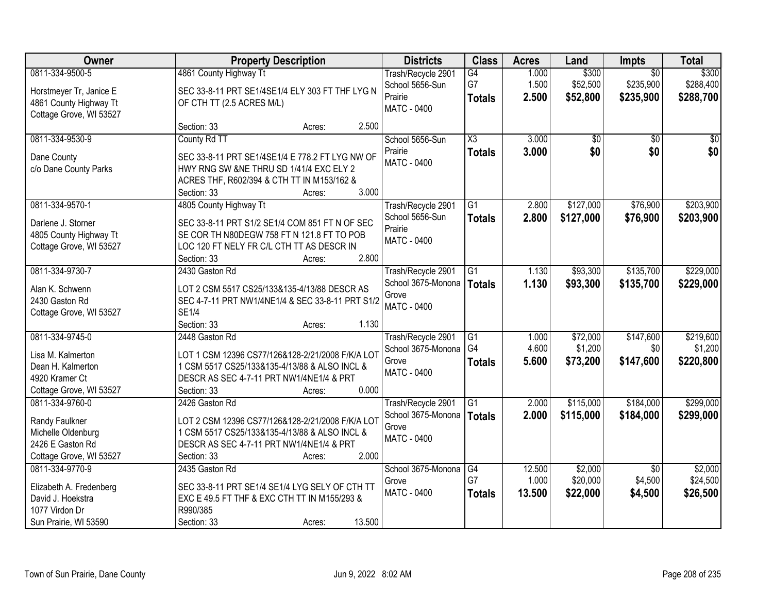| Owner                                                                                           |                                                                                                                                                                         | <b>Property Description</b> |        | <b>Districts</b>                                                       | <b>Class</b>                            | <b>Acres</b>            | Land                          | <b>Impts</b>                              | <b>Total</b>                    |
|-------------------------------------------------------------------------------------------------|-------------------------------------------------------------------------------------------------------------------------------------------------------------------------|-----------------------------|--------|------------------------------------------------------------------------|-----------------------------------------|-------------------------|-------------------------------|-------------------------------------------|---------------------------------|
| 0811-334-9500-5<br>Horstmeyer Tr, Janice E<br>4861 County Highway Tt<br>Cottage Grove, WI 53527 | 4861 County Highway Tt<br>SEC 33-8-11 PRT SE1/4SE1/4 ELY 303 FT THF LYG N<br>OF CTH TT (2.5 ACRES M/L)                                                                  |                             |        | Trash/Recycle 2901<br>School 5656-Sun<br>Prairie<br><b>MATC - 0400</b> | G4<br>G7<br><b>Totals</b>               | 1.000<br>1.500<br>2.500 | \$300<br>\$52,500<br>\$52,800 | $\overline{30}$<br>\$235,900<br>\$235,900 | \$300<br>\$288,400<br>\$288,700 |
|                                                                                                 | Section: 33                                                                                                                                                             | Acres:                      | 2.500  |                                                                        |                                         |                         |                               |                                           |                                 |
| 0811-334-9530-9<br>Dane County<br>c/o Dane County Parks                                         | County Rd TT<br>SEC 33-8-11 PRT SE1/4SE1/4 E 778.2 FT LYG NW OF<br>HWY RNG SW &NE THRU SD 1/41/4 EXC ELY 2<br>ACRES THF, R602/394 & CTH TT IN M153/162 &<br>Section: 33 | Acres:                      | 3.000  | School 5656-Sun<br>Prairie<br><b>MATC - 0400</b>                       | $\overline{\text{X3}}$<br><b>Totals</b> | 3.000<br>3.000          | $\overline{50}$<br>\$0        | $\overline{50}$<br>\$0                    | $\sqrt{50}$<br>\$0              |
| 0811-334-9570-1                                                                                 | 4805 County Highway Tt                                                                                                                                                  |                             |        | Trash/Recycle 2901                                                     | G1                                      | 2.800                   | \$127,000                     | \$76,900                                  | \$203,900                       |
| Darlene J. Storner<br>4805 County Highway Tt<br>Cottage Grove, WI 53527                         | SEC 33-8-11 PRT S1/2 SE1/4 COM 851 FT N OF SEC<br>SE COR TH N80DEGW 758 FT N 121.8 FT TO POB<br>LOC 120 FT NELY FR C/L CTH TT AS DESCR IN<br>Section: 33                | Acres:                      | 2.800  | School 5656-Sun<br>Prairie<br><b>MATC - 0400</b>                       | <b>Totals</b>                           | 2.800                   | \$127,000                     | \$76,900                                  | \$203,900                       |
| 0811-334-9730-7                                                                                 | 2430 Gaston Rd                                                                                                                                                          |                             |        | Trash/Recycle 2901                                                     | G1                                      | 1.130                   | \$93,300                      | \$135,700                                 | \$229,000                       |
| Alan K. Schwenn<br>2430 Gaston Rd<br>Cottage Grove, WI 53527                                    | LOT 2 CSM 5517 CS25/133&135-4/13/88 DESCR AS<br>SEC 4-7-11 PRT NW1/4NE1/4 & SEC 33-8-11 PRT S1/2<br><b>SE1/4</b><br>Section: 33                                         | Acres:                      | 1.130  | School 3675-Monona<br>Grove<br>MATC - 0400                             | <b>Totals</b>                           | 1.130                   | \$93,300                      | \$135,700                                 | \$229,000                       |
| 0811-334-9745-0                                                                                 | 2448 Gaston Rd                                                                                                                                                          |                             |        | Trash/Recycle 2901                                                     | G1                                      | 1.000                   | \$72,000                      | \$147,600                                 | \$219,600                       |
| Lisa M. Kalmerton<br>Dean H. Kalmerton<br>4920 Kramer Ct<br>Cottage Grove, WI 53527             | LOT 1 CSM 12396 CS77/126&128-2/21/2008 F/K/A LOT<br>1 CSM 5517 CS25/133&135-4/13/88 & ALSO INCL &<br>DESCR AS SEC 4-7-11 PRT NW1/4NE1/4 & PRT<br>Section: 33            | Acres:                      | 0.000  | School 3675-Monona<br>Grove<br><b>MATC - 0400</b>                      | G4<br><b>Totals</b>                     | 4.600<br>5.600          | \$1,200<br>\$73,200           | \$0<br>\$147,600                          | \$1,200<br>\$220,800            |
| 0811-334-9760-0                                                                                 | 2426 Gaston Rd                                                                                                                                                          |                             |        | Trash/Recycle 2901                                                     | G1                                      | 2.000                   | \$115,000                     | \$184,000                                 | \$299,000                       |
| Randy Faulkner<br>Michelle Oldenburg<br>2426 E Gaston Rd<br>Cottage Grove, WI 53527             | LOT 2 CSM 12396 CS77/126&128-2/21/2008 F/K/A LOT<br>1 CSM 5517 CS25/133&135-4/13/88 & ALSO INCL &<br>DESCR AS SEC 4-7-11 PRT NW1/4NE1/4 & PRT<br>Section: 33            | Acres:                      | 2.000  | School 3675-Monona<br>Grove<br><b>MATC - 0400</b>                      | <b>Totals</b>                           | 2.000                   | \$115,000                     | \$184,000                                 | \$299,000                       |
| 0811-334-9770-9                                                                                 | 2435 Gaston Rd                                                                                                                                                          |                             |        | School 3675-Monona                                                     | G4                                      | 12.500                  | \$2,000                       | $\overline{30}$                           | \$2,000                         |
| Elizabeth A. Fredenberg<br>David J. Hoekstra<br>1077 Virdon Dr<br>Sun Prairie, WI 53590         | SEC 33-8-11 PRT SE1/4 SE1/4 LYG SELY OF CTH TT<br>EXC E 49.5 FT THF & EXC CTH TT IN M155/293 &<br>R990/385<br>Section: 33                                               | Acres:                      | 13.500 | Grove<br><b>MATC - 0400</b>                                            | G7<br><b>Totals</b>                     | 1.000<br>13.500         | \$20,000<br>\$22,000          | \$4,500<br>\$4,500                        | \$24,500<br>\$26,500            |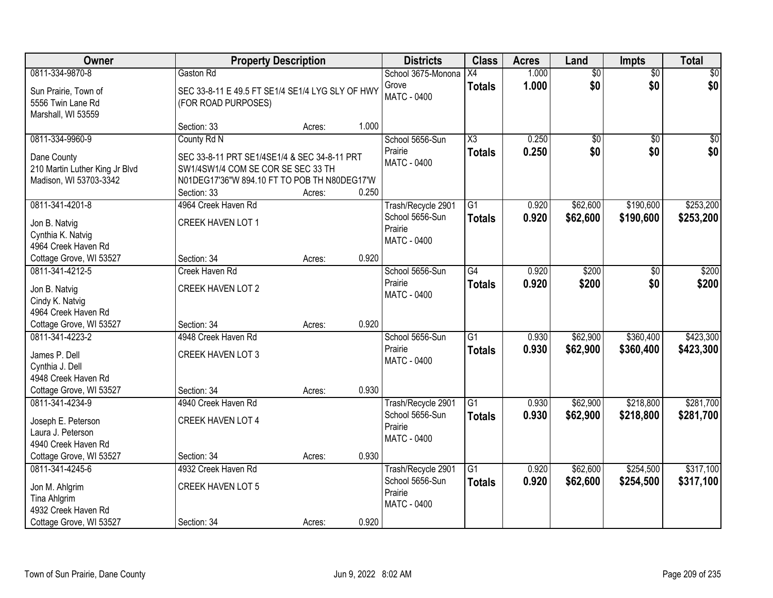| Owner                                  |                                                  | <b>Property Description</b> |       | <b>Districts</b>   | <b>Class</b>           | <b>Acres</b> | Land            | <b>Impts</b>    | <b>Total</b> |
|----------------------------------------|--------------------------------------------------|-----------------------------|-------|--------------------|------------------------|--------------|-----------------|-----------------|--------------|
| 0811-334-9870-8                        | Gaston Rd                                        |                             |       | School 3675-Monona | X4                     | 1.000        | $\overline{50}$ | $\overline{50}$ | $\sqrt{50}$  |
| Sun Prairie, Town of                   | SEC 33-8-11 E 49.5 FT SE1/4 SE1/4 LYG SLY OF HWY |                             |       | Grove              | <b>Totals</b>          | 1.000        | \$0             | \$0             | \$0          |
| 5556 Twin Lane Rd                      | (FOR ROAD PURPOSES)                              |                             |       | <b>MATC - 0400</b> |                        |              |                 |                 |              |
| Marshall, WI 53559                     |                                                  |                             |       |                    |                        |              |                 |                 |              |
|                                        | Section: 33                                      | Acres:                      | 1.000 |                    |                        |              |                 |                 |              |
| 0811-334-9960-9                        | County Rd N                                      |                             |       | School 5656-Sun    | $\overline{\text{X3}}$ | 0.250        | $\overline{50}$ | $\overline{50}$ | \$0          |
| Dane County                            | SEC 33-8-11 PRT SE1/4SE1/4 & SEC 34-8-11 PRT     |                             |       | Prairie            | <b>Totals</b>          | 0.250        | \$0             | \$0             | \$0          |
| 210 Martin Luther King Jr Blvd         | SW1/4SW1/4 COM SE COR SE SEC 33 TH               |                             |       | MATC - 0400        |                        |              |                 |                 |              |
| Madison, WI 53703-3342                 | N01DEG17'36"W 894.10 FT TO POB TH N80DEG17'W     |                             |       |                    |                        |              |                 |                 |              |
|                                        | Section: 33                                      | Acres:                      | 0.250 |                    |                        |              |                 |                 |              |
| 0811-341-4201-8                        | 4964 Creek Haven Rd                              |                             |       | Trash/Recycle 2901 | $\overline{G1}$        | 0.920        | \$62,600        | \$190,600       | \$253,200    |
| Jon B. Natvig                          | <b>CREEK HAVEN LOT 1</b>                         |                             |       | School 5656-Sun    | <b>Totals</b>          | 0.920        | \$62,600        | \$190,600       | \$253,200    |
| Cynthia K. Natvig                      |                                                  |                             |       | Prairie            |                        |              |                 |                 |              |
| 4964 Creek Haven Rd                    |                                                  |                             |       | MATC - 0400        |                        |              |                 |                 |              |
| Cottage Grove, WI 53527                | Section: 34                                      | Acres:                      | 0.920 |                    |                        |              |                 |                 |              |
| 0811-341-4212-5                        | Creek Haven Rd                                   |                             |       | School 5656-Sun    | $\overline{G4}$        | 0.920        | \$200           | \$0             | \$200        |
|                                        |                                                  |                             |       | Prairie            | <b>Totals</b>          | 0.920        | \$200           | \$0             | \$200        |
| Jon B. Natvig                          | <b>CREEK HAVEN LOT 2</b>                         |                             |       | <b>MATC - 0400</b> |                        |              |                 |                 |              |
| Cindy K. Natvig<br>4964 Creek Haven Rd |                                                  |                             |       |                    |                        |              |                 |                 |              |
| Cottage Grove, WI 53527                | Section: 34                                      | Acres:                      | 0.920 |                    |                        |              |                 |                 |              |
| 0811-341-4223-2                        | 4948 Creek Haven Rd                              |                             |       | School 5656-Sun    | $\overline{G1}$        | 0.930        | \$62,900        | \$360,400       | \$423,300    |
|                                        |                                                  |                             |       | Prairie            | <b>Totals</b>          | 0.930        | \$62,900        | \$360,400       | \$423,300    |
| James P. Dell                          | CREEK HAVEN LOT 3                                |                             |       | MATC - 0400        |                        |              |                 |                 |              |
| Cynthia J. Dell                        |                                                  |                             |       |                    |                        |              |                 |                 |              |
| 4948 Creek Haven Rd                    |                                                  |                             |       |                    |                        |              |                 |                 |              |
| Cottage Grove, WI 53527                | Section: 34                                      | Acres:                      | 0.930 |                    |                        |              |                 |                 |              |
| 0811-341-4234-9                        | 4940 Creek Haven Rd                              |                             |       | Trash/Recycle 2901 | $\overline{G1}$        | 0.930        | \$62,900        | \$218,800       | \$281,700    |
| Joseph E. Peterson                     | <b>CREEK HAVEN LOT 4</b>                         |                             |       | School 5656-Sun    | <b>Totals</b>          | 0.930        | \$62,900        | \$218,800       | \$281,700    |
| Laura J. Peterson                      |                                                  |                             |       | Prairie            |                        |              |                 |                 |              |
| 4940 Creek Haven Rd                    |                                                  |                             |       | MATC - 0400        |                        |              |                 |                 |              |
| Cottage Grove, WI 53527                | Section: 34                                      | Acres:                      | 0.930 |                    |                        |              |                 |                 |              |
| 0811-341-4245-6                        | 4932 Creek Haven Rd                              |                             |       | Trash/Recycle 2901 | $\overline{G1}$        | 0.920        | \$62,600        | \$254,500       | \$317,100    |
| Jon M. Ahlgrim                         | <b>CREEK HAVEN LOT 5</b>                         |                             |       | School 5656-Sun    | <b>Totals</b>          | 0.920        | \$62,600        | \$254,500       | \$317,100    |
| Tina Ahlgrim                           |                                                  |                             |       | Prairie            |                        |              |                 |                 |              |
| 4932 Creek Haven Rd                    |                                                  |                             |       | <b>MATC - 0400</b> |                        |              |                 |                 |              |
| Cottage Grove, WI 53527                | Section: 34                                      | Acres:                      | 0.920 |                    |                        |              |                 |                 |              |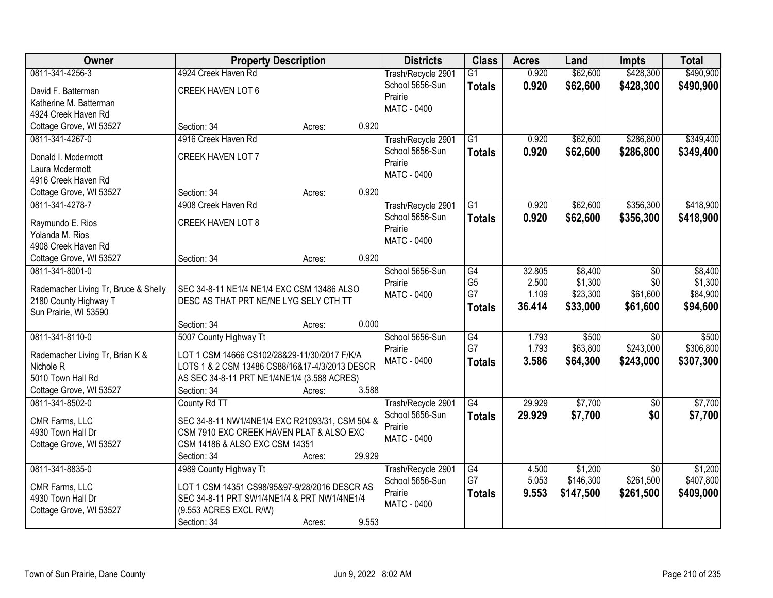| Owner                                      | <b>Property Description</b>                     |        |        | <b>Districts</b>   | <b>Class</b>    | <b>Acres</b> | Land      | <b>Impts</b>    | <b>Total</b> |
|--------------------------------------------|-------------------------------------------------|--------|--------|--------------------|-----------------|--------------|-----------|-----------------|--------------|
| 0811-341-4256-3                            | 4924 Creek Haven Rd                             |        |        | Trash/Recycle 2901 | $\overline{G1}$ | 0.920        | \$62,600  | \$428,300       | \$490,900    |
| David F. Batterman                         | CREEK HAVEN LOT 6                               |        |        | School 5656-Sun    | <b>Totals</b>   | 0.920        | \$62,600  | \$428,300       | \$490,900    |
| Katherine M. Batterman                     |                                                 |        |        | Prairie            |                 |              |           |                 |              |
| 4924 Creek Haven Rd                        |                                                 |        |        | MATC - 0400        |                 |              |           |                 |              |
| Cottage Grove, WI 53527                    | Section: 34                                     | Acres: | 0.920  |                    |                 |              |           |                 |              |
| 0811-341-4267-0                            | 4916 Creek Haven Rd                             |        |        | Trash/Recycle 2901 | $\overline{G1}$ | 0.920        | \$62,600  | \$286,800       | \$349,400    |
| Donald I. Mcdermott                        | <b>CREEK HAVEN LOT 7</b>                        |        |        | School 5656-Sun    | <b>Totals</b>   | 0.920        | \$62,600  | \$286,800       | \$349,400    |
| Laura Mcdermott                            |                                                 |        |        | Prairie            |                 |              |           |                 |              |
| 4916 Creek Haven Rd                        |                                                 |        |        | <b>MATC - 0400</b> |                 |              |           |                 |              |
| Cottage Grove, WI 53527                    | Section: 34                                     | Acres: | 0.920  |                    |                 |              |           |                 |              |
| 0811-341-4278-7                            | 4908 Creek Haven Rd                             |        |        | Trash/Recycle 2901 | $\overline{G1}$ | 0.920        | \$62,600  | \$356,300       | \$418,900    |
|                                            |                                                 |        |        | School 5656-Sun    | <b>Totals</b>   | 0.920        | \$62,600  | \$356,300       | \$418,900    |
| Raymundo E. Rios                           | CREEK HAVEN LOT 8                               |        |        | Prairie            |                 |              |           |                 |              |
| Yolanda M. Rios<br>4908 Creek Haven Rd     |                                                 |        |        | MATC - 0400        |                 |              |           |                 |              |
|                                            | Section: 34                                     |        | 0.920  |                    |                 |              |           |                 |              |
| Cottage Grove, WI 53527<br>0811-341-8001-0 |                                                 | Acres: |        | School 5656-Sun    | G4              | 32.805       | \$8,400   | $\sqrt[6]{}$    | \$8,400      |
|                                            |                                                 |        |        | Prairie            | G <sub>5</sub>  | 2.500        | \$1,300   | \$0             | \$1,300      |
| Rademacher Living Tr, Bruce & Shelly       | SEC 34-8-11 NE1/4 NE1/4 EXC CSM 13486 ALSO      |        |        | <b>MATC - 0400</b> | G7              | 1.109        | \$23,300  | \$61,600        | \$84,900     |
| 2180 County Highway T                      | DESC AS THAT PRT NE/NE LYG SELY CTH TT          |        |        |                    | <b>Totals</b>   | 36.414       | \$33,000  | \$61,600        | \$94,600     |
| Sun Prairie, WI 53590                      |                                                 |        |        |                    |                 |              |           |                 |              |
|                                            | Section: 34                                     | Acres: | 0.000  |                    |                 |              |           |                 |              |
| 0811-341-8110-0                            | 5007 County Highway Tt                          |        |        | School 5656-Sun    | G4              | 1.793        | \$500     | $\overline{30}$ | \$500        |
| Rademacher Living Tr, Brian K &            | LOT 1 CSM 14666 CS102/28&29-11/30/2017 F/K/A    |        |        | Prairie            | G7              | 1.793        | \$63,800  | \$243,000       | \$306,800    |
| Nichole R                                  | LOTS 1 & 2 CSM 13486 CS88/16&17-4/3/2013 DESCR  |        |        | <b>MATC - 0400</b> | <b>Totals</b>   | 3.586        | \$64,300  | \$243,000       | \$307,300    |
| 5010 Town Hall Rd                          | AS SEC 34-8-11 PRT NE1/4NE1/4 (3.588 ACRES)     |        |        |                    |                 |              |           |                 |              |
| Cottage Grove, WI 53527                    | Section: 34                                     | Acres: | 3.588  |                    |                 |              |           |                 |              |
| 0811-341-8502-0                            | County Rd TT                                    |        |        | Trash/Recycle 2901 | G4              | 29.929       | \$7,700   | $\sqrt{6}$      | \$7,700      |
| CMR Farms, LLC                             | SEC 34-8-11 NW1/4NE1/4 EXC R21093/31, CSM 504 & |        |        | School 5656-Sun    | <b>Totals</b>   | 29.929       | \$7,700   | \$0             | \$7,700      |
| 4930 Town Hall Dr                          | CSM 7910 EXC CREEK HAVEN PLAT & ALSO EXC        |        |        | Prairie            |                 |              |           |                 |              |
| Cottage Grove, WI 53527                    | CSM 14186 & ALSO EXC CSM 14351                  |        |        | MATC - 0400        |                 |              |           |                 |              |
|                                            | Section: 34                                     | Acres: | 29.929 |                    |                 |              |           |                 |              |
| 0811-341-8835-0                            | 4989 County Highway Tt                          |        |        | Trash/Recycle 2901 | G4              | 4.500        | \$1,200   | $\overline{50}$ | \$1,200      |
|                                            |                                                 |        |        | School 5656-Sun    | G7              | 5.053        | \$146,300 | \$261,500       | \$407,800    |
| CMR Farms, LLC                             | LOT 1 CSM 14351 CS98/95&97-9/28/2016 DESCR AS   |        |        | Prairie            | <b>Totals</b>   | 9.553        | \$147,500 | \$261,500       | \$409,000    |
| 4930 Town Hall Dr                          | SEC 34-8-11 PRT SW1/4NE1/4 & PRT NW1/4NE1/4     |        |        | MATC - 0400        |                 |              |           |                 |              |
| Cottage Grove, WI 53527                    | (9.553 ACRES EXCL R/W)                          |        |        |                    |                 |              |           |                 |              |
|                                            | Section: 34                                     | Acres: | 9.553  |                    |                 |              |           |                 |              |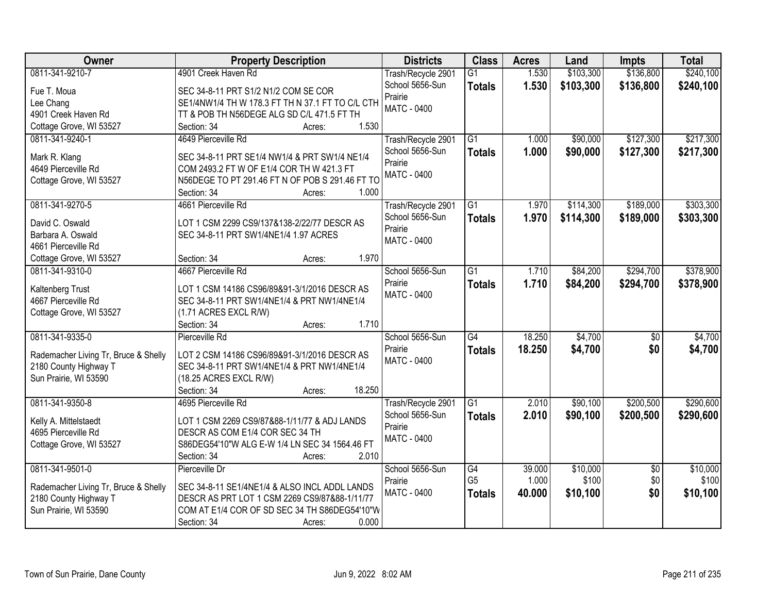| Owner                                        | <b>Property Description</b>                                                       | <b>Districts</b>   | <b>Class</b>         | <b>Acres</b>    | Land      | <b>Impts</b>    | <b>Total</b> |
|----------------------------------------------|-----------------------------------------------------------------------------------|--------------------|----------------------|-----------------|-----------|-----------------|--------------|
| 0811-341-9210-7                              | 4901 Creek Haven Rd                                                               | Trash/Recycle 2901 | $\overline{G1}$      | 1.530           | \$103,300 | \$136,800       | \$240,100    |
| Fue T. Moua                                  | SEC 34-8-11 PRT S1/2 N1/2 COM SE COR                                              | School 5656-Sun    | <b>Totals</b>        | 1.530           | \$103,300 | \$136,800       | \$240,100    |
| Lee Chang                                    | SE1/4NW1/4 TH W 178.3 FT TH N 37.1 FT TO C/L CTH                                  | Prairie            |                      |                 |           |                 |              |
| 4901 Creek Haven Rd                          | TT & POB TH N56DEGE ALG SD C/L 471.5 FT TH                                        | <b>MATC - 0400</b> |                      |                 |           |                 |              |
| Cottage Grove, WI 53527                      | 1.530<br>Section: 34<br>Acres:                                                    |                    |                      |                 |           |                 |              |
| 0811-341-9240-1                              | 4649 Pierceville Rd                                                               | Trash/Recycle 2901 | G1                   | 1.000           | \$90,000  | \$127,300       | \$217,300    |
|                                              |                                                                                   | School 5656-Sun    | <b>Totals</b>        | 1.000           | \$90,000  | \$127,300       | \$217,300    |
| Mark R. Klang                                | SEC 34-8-11 PRT SE1/4 NW1/4 & PRT SW1/4 NE1/4                                     | Prairie            |                      |                 |           |                 |              |
| 4649 Pierceville Rd                          | COM 2493.2 FT W OF E1/4 COR TH W 421.3 FT                                         | <b>MATC - 0400</b> |                      |                 |           |                 |              |
| Cottage Grove, WI 53527                      | N56DEGE TO PT 291.46 FT N OF POB S 291.46 FT TO                                   |                    |                      |                 |           |                 |              |
|                                              | 1.000<br>Section: 34<br>Acres:                                                    |                    |                      |                 |           |                 |              |
| 0811-341-9270-5                              | 4661 Pierceville Rd                                                               | Trash/Recycle 2901 | $\overline{G1}$      | 1.970           | \$114,300 | \$189,000       | \$303,300    |
| David C. Oswald                              | LOT 1 CSM 2299 CS9/137&138-2/22/77 DESCR AS                                       | School 5656-Sun    | <b>Totals</b>        | 1.970           | \$114,300 | \$189,000       | \$303,300    |
| Barbara A. Oswald                            | SEC 34-8-11 PRT SW1/4NE1/4 1.97 ACRES                                             | Prairie            |                      |                 |           |                 |              |
| 4661 Pierceville Rd                          |                                                                                   | MATC - 0400        |                      |                 |           |                 |              |
| Cottage Grove, WI 53527                      | 1.970<br>Section: 34<br>Acres:                                                    |                    |                      |                 |           |                 |              |
| 0811-341-9310-0                              | 4667 Pierceville Rd                                                               | School 5656-Sun    | G1                   | 1.710           | \$84,200  | \$294,700       | \$378,900    |
|                                              |                                                                                   | Prairie            | <b>Totals</b>        | 1.710           | \$84,200  | \$294,700       | \$378,900    |
| Kaltenberg Trust                             | LOT 1 CSM 14186 CS96/89&91-3/1/2016 DESCR AS                                      | <b>MATC - 0400</b> |                      |                 |           |                 |              |
| 4667 Pierceville Rd                          | SEC 34-8-11 PRT SW1/4NE1/4 & PRT NW1/4NE1/4                                       |                    |                      |                 |           |                 |              |
| Cottage Grove, WI 53527                      | (1.71 ACRES EXCL R/W)                                                             |                    |                      |                 |           |                 |              |
|                                              | 1.710<br>Section: 34<br>Acres:                                                    |                    |                      |                 |           |                 |              |
| 0811-341-9335-0                              | Pierceville Rd                                                                    | School 5656-Sun    | $\overline{G4}$      | 18.250          | \$4,700   | $\overline{50}$ | \$4,700      |
| Rademacher Living Tr, Bruce & Shelly         | LOT 2 CSM 14186 CS96/89&91-3/1/2016 DESCR AS                                      | Prairie            | <b>Totals</b>        | 18.250          | \$4,700   | \$0             | \$4,700      |
| 2180 County Highway T                        | SEC 34-8-11 PRT SW1/4NE1/4 & PRT NW1/4NE1/4                                       | MATC - 0400        |                      |                 |           |                 |              |
| Sun Prairie, WI 53590                        | (18.25 ACRES EXCL R/W)                                                            |                    |                      |                 |           |                 |              |
|                                              | 18.250<br>Section: 34<br>Acres:                                                   |                    |                      |                 |           |                 |              |
| 0811-341-9350-8                              | 4695 Pierceville Rd                                                               | Trash/Recycle 2901 | $\overline{G1}$      | 2.010           | \$90,100  | \$200,500       | \$290,600    |
|                                              |                                                                                   | School 5656-Sun    | <b>Totals</b>        | 2.010           | \$90,100  | \$200,500       | \$290,600    |
| Kelly A. Mittelstaedt<br>4695 Pierceville Rd | LOT 1 CSM 2269 CS9/87&88-1/11/77 & ADJ LANDS                                      | Prairie            |                      |                 |           |                 |              |
|                                              | DESCR AS COM E1/4 COR SEC 34 TH<br>S86DEG54'10"W ALG E-W 1/4 LN SEC 34 1564.46 FT | MATC - 0400        |                      |                 |           |                 |              |
| Cottage Grove, WI 53527                      | 2.010                                                                             |                    |                      |                 |           |                 |              |
|                                              | Section: 34<br>Acres:                                                             |                    |                      |                 |           |                 |              |
| 0811-341-9501-0                              | Pierceville Dr                                                                    | School 5656-Sun    | G4<br>G <sub>5</sub> | 39.000<br>1.000 | \$10,000  | $\overline{50}$ | \$10,000     |
| Rademacher Living Tr, Bruce & Shelly         | SEC 34-8-11 SE1/4NE1/4 & ALSO INCL ADDL LANDS                                     | Prairie            |                      |                 | \$100     | \$0             | \$100        |
| 2180 County Highway T                        | DESCR AS PRT LOT 1 CSM 2269 CS9/87&88-1/11/77                                     | MATC - 0400        | <b>Totals</b>        | 40.000          | \$10,100  | \$0             | \$10,100     |
| Sun Prairie, WI 53590                        | COM AT E1/4 COR OF SD SEC 34 TH S86DEG54'10"W                                     |                    |                      |                 |           |                 |              |
|                                              | 0.000<br>Section: 34<br>Acres:                                                    |                    |                      |                 |           |                 |              |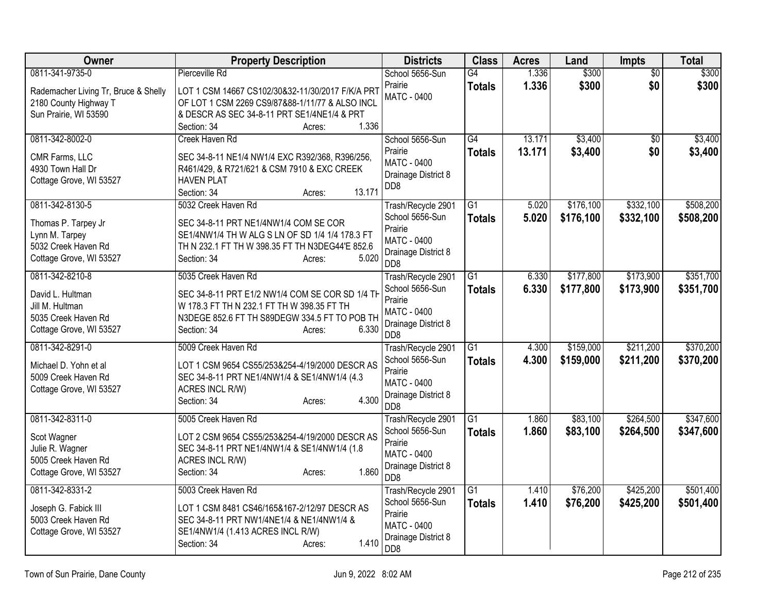| Owner                                                                                                      | <b>Property Description</b>                                                                                                                                                                             | <b>Districts</b>                                                                                                  | <b>Class</b>                     | <b>Acres</b>     | Land                   | Impts                  | <b>Total</b>           |
|------------------------------------------------------------------------------------------------------------|---------------------------------------------------------------------------------------------------------------------------------------------------------------------------------------------------------|-------------------------------------------------------------------------------------------------------------------|----------------------------------|------------------|------------------------|------------------------|------------------------|
| 0811-341-9735-0<br>Rademacher Living Tr, Bruce & Shelly<br>2180 County Highway T<br>Sun Prairie, WI 53590  | Pierceville Rd<br>LOT 1 CSM 14667 CS102/30&32-11/30/2017 F/K/A PRT<br>OF LOT 1 CSM 2269 CS9/87&88-1/11/77 & ALSO INCL<br>& DESCR AS SEC 34-8-11 PRT SE1/4NE1/4 & PRT<br>1.336<br>Section: 34<br>Acres:  | School 5656-Sun<br>Prairie<br><b>MATC - 0400</b>                                                                  | G4<br><b>Totals</b>              | 1.336<br>1.336   | \$300<br>\$300         | $\overline{50}$<br>\$0 | \$300<br>\$300         |
| 0811-342-8002-0<br>CMR Farms, LLC<br>4930 Town Hall Dr<br>Cottage Grove, WI 53527                          | Creek Haven Rd<br>SEC 34-8-11 NE1/4 NW1/4 EXC R392/368, R396/256,<br>R461/429, & R721/621 & CSM 7910 & EXC CREEK<br><b>HAVEN PLAT</b><br>13.171<br>Section: 34<br>Acres:                                | School 5656-Sun<br>Prairie<br><b>MATC - 0400</b><br>Drainage District 8<br>DD <sub>8</sub>                        | G4<br><b>Totals</b>              | 13.171<br>13.171 | \$3,400<br>\$3,400     | $\overline{50}$<br>\$0 | \$3,400<br>\$3,400     |
| 0811-342-8130-5<br>Thomas P. Tarpey Jr<br>Lynn M. Tarpey<br>5032 Creek Haven Rd<br>Cottage Grove, WI 53527 | 5032 Creek Haven Rd<br>SEC 34-8-11 PRT NE1/4NW1/4 COM SE COR<br>SE1/4NW1/4 TH W ALG S LN OF SD 1/4 1/4 178.3 FT<br>TH N 232.1 FT TH W 398.35 FT TH N3DEG44'E 852.6<br>5.020<br>Section: 34<br>Acres:    | Trash/Recycle 2901<br>School 5656-Sun<br>Prairie<br><b>MATC - 0400</b><br>Drainage District 8<br>D <sub>D</sub> 8 | $\overline{G1}$<br><b>Totals</b> | 5.020<br>5.020   | \$176,100<br>\$176,100 | \$332,100<br>\$332,100 | \$508,200<br>\$508,200 |
| 0811-342-8210-8<br>David L. Hultman<br>Jill M. Hultman<br>5035 Creek Haven Rd<br>Cottage Grove, WI 53527   | 5035 Creek Haven Rd<br>SEC 34-8-11 PRT E1/2 NW1/4 COM SE COR SD 1/4 TH<br>W 178.3 FT TH N 232.1 FT TH W 398.35 FT TH<br>N3DEGE 852.6 FT TH S89DEGW 334.5 FT TO POB TH<br>6.330<br>Section: 34<br>Acres: | Trash/Recycle 2901<br>School 5656-Sun<br>Prairie<br><b>MATC - 0400</b><br>Drainage District 8<br>D <sub>D</sub> 8 | $\overline{G1}$<br><b>Totals</b> | 6.330<br>6.330   | \$177,800<br>\$177,800 | \$173,900<br>\$173,900 | \$351,700<br>\$351,700 |
| 0811-342-8291-0<br>Michael D. Yohn et al<br>5009 Creek Haven Rd<br>Cottage Grove, WI 53527                 | 5009 Creek Haven Rd<br>LOT 1 CSM 9654 CS55/253&254-4/19/2000 DESCR AS<br>SEC 34-8-11 PRT NE1/4NW1/4 & SE1/4NW1/4 (4.3<br><b>ACRES INCL R/W)</b><br>4.300<br>Section: 34<br>Acres:                       | Trash/Recycle 2901<br>School 5656-Sun<br>Prairie<br><b>MATC - 0400</b><br>Drainage District 8<br>D <sub>D</sub> 8 | G1<br><b>Totals</b>              | 4.300<br>4.300   | \$159,000<br>\$159,000 | \$211,200<br>\$211,200 | \$370,200<br>\$370,200 |
| 0811-342-8311-0<br>Scot Wagner<br>Julie R. Wagner<br>5005 Creek Haven Rd<br>Cottage Grove, WI 53527        | 5005 Creek Haven Rd<br>LOT 2 CSM 9654 CS55/253&254-4/19/2000 DESCR AS<br>SEC 34-8-11 PRT NE1/4NW1/4 & SE1/4NW1/4 (1.8<br>ACRES INCL R/W)<br>1.860<br>Section: 34<br>Acres:                              | Trash/Recycle 2901<br>School 5656-Sun<br>Prairie<br><b>MATC - 0400</b><br>Drainage District 8<br>D <sub>D</sub> 8 | $\overline{G1}$<br><b>Totals</b> | 1.860<br>1.860   | \$83,100<br>\$83,100   | \$264,500<br>\$264,500 | \$347,600<br>\$347,600 |
| 0811-342-8331-2<br>Joseph G. Fabick III<br>5003 Creek Haven Rd<br>Cottage Grove, WI 53527                  | 5003 Creek Haven Rd<br>LOT 1 CSM 8481 CS46/165&167-2/12/97 DESCR AS<br>SEC 34-8-11 PRT NW1/4NE1/4 & NE1/4NW1/4 &<br>SE1/4NW1/4 (1.413 ACRES INCL R/W)<br>1.410<br>Section: 34<br>Acres:                 | Trash/Recycle 2901<br>School 5656-Sun<br>Prairie<br><b>MATC - 0400</b><br>Drainage District 8<br>DD <sub>8</sub>  | G1<br><b>Totals</b>              | 1.410<br>1.410   | \$76,200<br>\$76,200   | \$425,200<br>\$425,200 | \$501,400<br>\$501,400 |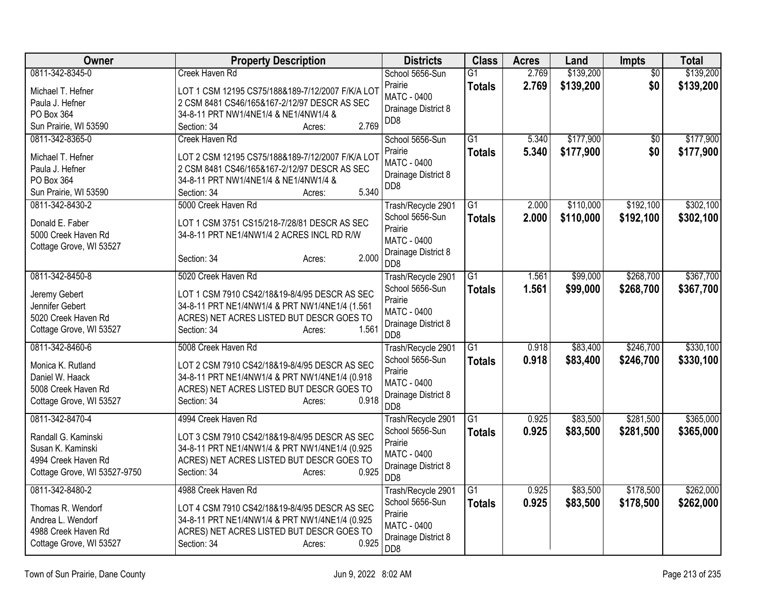| <b>Owner</b>                 | <b>Property Description</b>                      | <b>Districts</b>                       | <b>Class</b>    | <b>Acres</b> | Land      | Impts           | <b>Total</b> |
|------------------------------|--------------------------------------------------|----------------------------------------|-----------------|--------------|-----------|-----------------|--------------|
| 0811-342-8345-0              | Creek Haven Rd                                   | School 5656-Sun                        | $\overline{G1}$ | 2.769        | \$139,200 | $\overline{50}$ | \$139,200    |
| Michael T. Hefner            | LOT 1 CSM 12195 CS75/188&189-7/12/2007 F/K/A LOT | Prairie                                | <b>Totals</b>   | 2.769        | \$139,200 | \$0             | \$139,200    |
| Paula J. Hefner              | 2 CSM 8481 CS46/165&167-2/12/97 DESCR AS SEC     | <b>MATC - 0400</b>                     |                 |              |           |                 |              |
| PO Box 364                   | 34-8-11 PRT NW1/4NE1/4 & NE1/4NW1/4 &            | Drainage District 8<br>DD <sub>8</sub> |                 |              |           |                 |              |
| Sun Prairie, WI 53590        | 2.769<br>Section: 34<br>Acres:                   |                                        |                 |              |           |                 |              |
| 0811-342-8365-0              | <b>Creek Haven Rd</b>                            | School 5656-Sun                        | $\overline{G1}$ | 5.340        | \$177,900 | $\overline{50}$ | \$177,900    |
| Michael T. Hefner            | LOT 2 CSM 12195 CS75/188&189-7/12/2007 F/K/A LOT | Prairie                                | <b>Totals</b>   | 5.340        | \$177,900 | \$0             | \$177,900    |
| Paula J. Hefner              | 2 CSM 8481 CS46/165&167-2/12/97 DESCR AS SEC     | <b>MATC - 0400</b>                     |                 |              |           |                 |              |
| PO Box 364                   | 34-8-11 PRT NW1/4NE1/4 & NE1/4NW1/4 &            | Drainage District 8                    |                 |              |           |                 |              |
| Sun Prairie, WI 53590        | 5.340<br>Section: 34<br>Acres:                   | DD <sub>8</sub>                        |                 |              |           |                 |              |
| 0811-342-8430-2              | 5000 Creek Haven Rd                              | Trash/Recycle 2901                     | G1              | 2.000        | \$110,000 | \$192,100       | \$302,100    |
| Donald E. Faber              | LOT 1 CSM 3751 CS15/218-7/28/81 DESCR AS SEC     | School 5656-Sun                        | <b>Totals</b>   | 2.000        | \$110,000 | \$192,100       | \$302,100    |
| 5000 Creek Haven Rd          | 34-8-11 PRT NE1/4NW1/4 2 ACRES INCL RD R/W       | Prairie                                |                 |              |           |                 |              |
| Cottage Grove, WI 53527      |                                                  | <b>MATC - 0400</b>                     |                 |              |           |                 |              |
|                              | 2.000<br>Section: 34<br>Acres:                   | Drainage District 8                    |                 |              |           |                 |              |
| 0811-342-8450-8              | 5020 Creek Haven Rd                              | D <sub>D</sub> 8                       | $\overline{G1}$ | 1.561        | \$99,000  | \$268,700       | \$367,700    |
|                              |                                                  | Trash/Recycle 2901<br>School 5656-Sun  |                 | 1.561        |           |                 |              |
| Jeremy Gebert                | LOT 1 CSM 7910 CS42/18&19-8/4/95 DESCR AS SEC    | Prairie                                | <b>Totals</b>   |              | \$99,000  | \$268,700       | \$367,700    |
| Jennifer Gebert              | 34-8-11 PRT NE1/4NW1/4 & PRT NW1/4NE1/4 (1.561   | <b>MATC - 0400</b>                     |                 |              |           |                 |              |
| 5020 Creek Haven Rd          | ACRES) NET ACRES LISTED BUT DESCR GOES TO        | Drainage District 8                    |                 |              |           |                 |              |
| Cottage Grove, WI 53527      | 1.561<br>Section: 34<br>Acres:                   | DD <sub>8</sub>                        |                 |              |           |                 |              |
| 0811-342-8460-6              | 5008 Creek Haven Rd                              | Trash/Recycle 2901                     | G1              | 0.918        | \$83,400  | \$246,700       | \$330,100    |
| Monica K. Rutland            | LOT 2 CSM 7910 CS42/18&19-8/4/95 DESCR AS SEC    | School 5656-Sun                        | <b>Totals</b>   | 0.918        | \$83,400  | \$246,700       | \$330,100    |
| Daniel W. Haack              | 34-8-11 PRT NE1/4NW1/4 & PRT NW1/4NE1/4 (0.918   | Prairie                                |                 |              |           |                 |              |
| 5008 Creek Haven Rd          | ACRES) NET ACRES LISTED BUT DESCR GOES TO        | <b>MATC - 0400</b>                     |                 |              |           |                 |              |
| Cottage Grove, WI 53527      | 0.918<br>Section: 34<br>Acres:                   | Drainage District 8                    |                 |              |           |                 |              |
| 0811-342-8470-4              | 4994 Creek Haven Rd                              | DD <sub>8</sub><br>Trash/Recycle 2901  | G1              | 0.925        | \$83,500  | \$281,500       | \$365,000    |
|                              |                                                  | School 5656-Sun                        | <b>Totals</b>   | 0.925        | \$83,500  | \$281,500       | \$365,000    |
| Randall G. Kaminski          | LOT 3 CSM 7910 CS42/18&19-8/4/95 DESCR AS SEC    | Prairie                                |                 |              |           |                 |              |
| Susan K. Kaminski            | 34-8-11 PRT NE1/4NW1/4 & PRT NW1/4NE1/4 (0.925   | <b>MATC - 0400</b>                     |                 |              |           |                 |              |
| 4994 Creek Haven Rd          | ACRES) NET ACRES LISTED BUT DESCR GOES TO        | Drainage District 8                    |                 |              |           |                 |              |
| Cottage Grove, WI 53527-9750 | 0.925<br>Section: 34<br>Acres:                   | DD <sub>8</sub>                        |                 |              |           |                 |              |
| 0811-342-8480-2              | 4988 Creek Haven Rd                              | Trash/Recycle 2901                     | $\overline{G1}$ | 0.925        | \$83,500  | \$178,500       | \$262,000    |
| Thomas R. Wendorf            | LOT 4 CSM 7910 CS42/18&19-8/4/95 DESCR AS SEC    | School 5656-Sun                        | <b>Totals</b>   | 0.925        | \$83,500  | \$178,500       | \$262,000    |
| Andrea L. Wendorf            | 34-8-11 PRT NE1/4NW1/4 & PRT NW1/4NE1/4 (0.925   | Prairie                                |                 |              |           |                 |              |
| 4988 Creek Haven Rd          | ACRES) NET ACRES LISTED BUT DESCR GOES TO        | <b>MATC - 0400</b>                     |                 |              |           |                 |              |
| Cottage Grove, WI 53527      | 0.925<br>Section: 34<br>Acres:                   | Drainage District 8                    |                 |              |           |                 |              |
|                              |                                                  | DD <sub>8</sub>                        |                 |              |           |                 |              |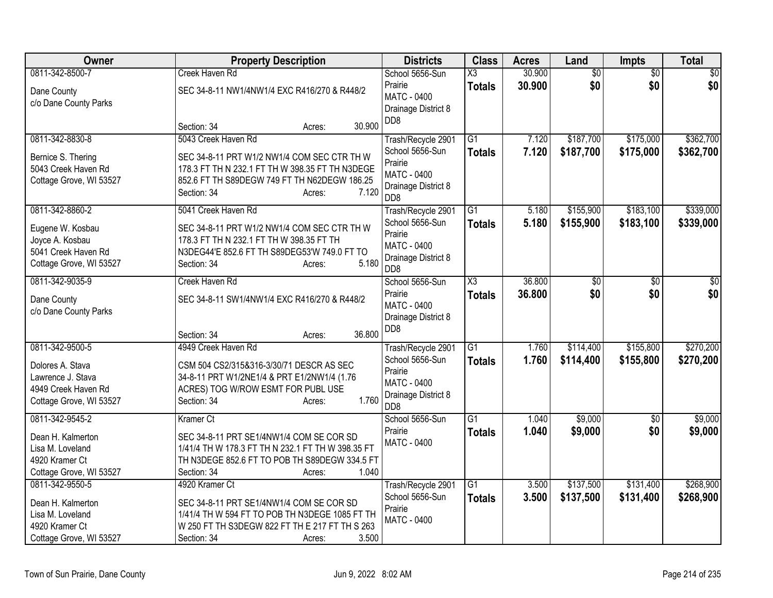| Owner                   | <b>Property Description</b>                       | <b>Districts</b>                        | <b>Class</b>        | <b>Acres</b> | Land            | Impts           | <b>Total</b>    |
|-------------------------|---------------------------------------------------|-----------------------------------------|---------------------|--------------|-----------------|-----------------|-----------------|
| 0811-342-8500-7         | Creek Haven Rd                                    | School 5656-Sun                         | X3                  | 30.900       | $\overline{50}$ | $\overline{50}$ | $\overline{50}$ |
| Dane County             | SEC 34-8-11 NW1/4NW1/4 EXC R416/270 & R448/2      | Prairie                                 | <b>Totals</b>       | 30.900       | \$0             | \$0             | \$0             |
| c/o Dane County Parks   |                                                   | <b>MATC - 0400</b>                      |                     |              |                 |                 |                 |
|                         |                                                   | Drainage District 8<br>D <sub>D</sub> 8 |                     |              |                 |                 |                 |
|                         | 30.900<br>Section: 34<br>Acres:                   |                                         |                     |              |                 |                 |                 |
| 0811-342-8830-8         | 5043 Creek Haven Rd                               | Trash/Recycle 2901                      | G1                  | 7.120        | \$187,700       | \$175,000       | \$362,700       |
| Bernice S. Thering      | SEC 34-8-11 PRT W1/2 NW1/4 COM SEC CTR TH W       | School 5656-Sun                         | <b>Totals</b>       | 7.120        | \$187,700       | \$175,000       | \$362,700       |
| 5043 Creek Haven Rd     | 178.3 FT TH N 232.1 FT TH W 398.35 FT TH N3DEGE   | Prairie                                 |                     |              |                 |                 |                 |
| Cottage Grove, WI 53527 | 852.6 FT TH S89DEGW 749 FT TH N62DEGW 186.25      | <b>MATC - 0400</b>                      |                     |              |                 |                 |                 |
|                         | 7.120<br>Section: 34<br>Acres:                    | Drainage District 8<br>D <sub>D</sub> 8 |                     |              |                 |                 |                 |
| 0811-342-8860-2         | 5041 Creek Haven Rd                               | Trash/Recycle 2901                      | $\overline{G1}$     | 5.180        | \$155,900       | \$183,100       | \$339,000       |
| Eugene W. Kosbau        | SEC 34-8-11 PRT W1/2 NW1/4 COM SEC CTR TH W       | School 5656-Sun                         | <b>Totals</b>       | 5.180        | \$155,900       | \$183,100       | \$339,000       |
| Joyce A. Kosbau         | 178.3 FT TH N 232.1 FT TH W 398.35 FT TH          | Prairie                                 |                     |              |                 |                 |                 |
| 5041 Creek Haven Rd     | N3DEG44'E 852.6 FT TH S89DEG53'W 749.0 FT TO      | <b>MATC - 0400</b>                      |                     |              |                 |                 |                 |
| Cottage Grove, WI 53527 | 5.180<br>Section: 34<br>Acres:                    | Drainage District 8<br>D <sub>D</sub> 8 |                     |              |                 |                 |                 |
| 0811-342-9035-9         | Creek Haven Rd                                    | School 5656-Sun                         | $\overline{\chi_3}$ | 36.800       | \$0             | $\overline{50}$ | \$0             |
| Dane County             | SEC 34-8-11 SW1/4NW1/4 EXC R416/270 & R448/2      | Prairie                                 | <b>Totals</b>       | 36,800       | \$0             | \$0             | \$0             |
| c/o Dane County Parks   |                                                   | <b>MATC - 0400</b>                      |                     |              |                 |                 |                 |
|                         |                                                   | Drainage District 8                     |                     |              |                 |                 |                 |
|                         | 36.800<br>Section: 34<br>Acres:                   | DD <sub>8</sub>                         |                     |              |                 |                 |                 |
| 0811-342-9500-5         | 4949 Creek Haven Rd                               | Trash/Recycle 2901                      | $\overline{G1}$     | 1.760        | \$114,400       | \$155,800       | \$270,200       |
| Dolores A. Stava        | CSM 504 CS2/315&316-3/30/71 DESCR AS SEC          | School 5656-Sun                         | <b>Totals</b>       | 1.760        | \$114,400       | \$155,800       | \$270,200       |
| Lawrence J. Stava       | 34-8-11 PRT W1/2NE1/4 & PRT E1/2NW1/4 (1.76       | Prairie                                 |                     |              |                 |                 |                 |
| 4949 Creek Haven Rd     | ACRES) TOG W/ROW ESMT FOR PUBL USE                | MATC - 0400                             |                     |              |                 |                 |                 |
| Cottage Grove, WI 53527 | 1.760<br>Section: 34<br>Acres:                    | Drainage District 8<br>D <sub>D</sub> 8 |                     |              |                 |                 |                 |
| 0811-342-9545-2         | <b>Kramer Ct</b>                                  | School 5656-Sun                         | $\overline{G1}$     | 1.040        | \$9,000         | $\overline{50}$ | \$9,000         |
| Dean H. Kalmerton       | SEC 34-8-11 PRT SE1/4NW1/4 COM SE COR SD          | Prairie                                 | <b>Totals</b>       | 1.040        | \$9,000         | \$0             | \$9,000         |
| Lisa M. Loveland        | 1/41/4 TH W 178.3 FT TH N 232.1 FT TH W 398.35 FT | <b>MATC - 0400</b>                      |                     |              |                 |                 |                 |
| 4920 Kramer Ct          | TH N3DEGE 852.6 FT TO POB TH S89DEGW 334.5 FT     |                                         |                     |              |                 |                 |                 |
| Cottage Grove, WI 53527 | 1.040<br>Section: 34<br>Acres:                    |                                         |                     |              |                 |                 |                 |
| 0811-342-9550-5         | 4920 Kramer Ct                                    | Trash/Recycle 2901                      | $\overline{G1}$     | 3.500        | \$137,500       | \$131,400       | \$268,900       |
| Dean H. Kalmerton       | SEC 34-8-11 PRT SE1/4NW1/4 COM SE COR SD          | School 5656-Sun                         | <b>Totals</b>       | 3.500        | \$137,500       | \$131,400       | \$268,900       |
| Lisa M. Loveland        | 1/41/4 TH W 594 FT TO POB TH N3DEGE 1085 FT TH    | Prairie                                 |                     |              |                 |                 |                 |
| 4920 Kramer Ct          | W 250 FT TH S3DEGW 822 FT TH E 217 FT TH S 263    | <b>MATC - 0400</b>                      |                     |              |                 |                 |                 |
| Cottage Grove, WI 53527 | 3.500<br>Section: 34<br>Acres:                    |                                         |                     |              |                 |                 |                 |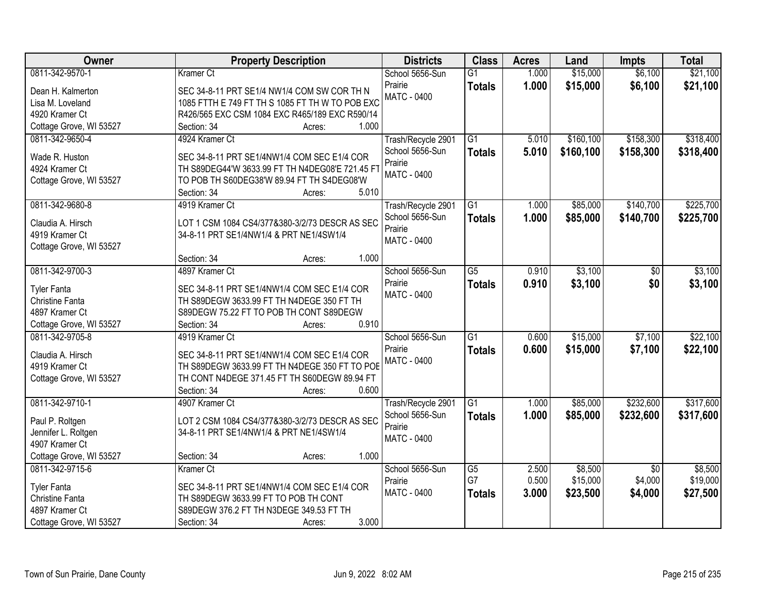| Owner                   | <b>Property Description</b>                     | <b>Districts</b>   | <b>Class</b>    | <b>Acres</b> | Land       | <b>Impts</b>    | <b>Total</b> |
|-------------------------|-------------------------------------------------|--------------------|-----------------|--------------|------------|-----------------|--------------|
| 0811-342-9570-1         | <b>Kramer Ct</b>                                | School 5656-Sun    | $\overline{G1}$ | 1.000        | \$15,000   | \$6,100         | \$21,100     |
| Dean H. Kalmerton       | SEC 34-8-11 PRT SE1/4 NW1/4 COM SW COR TH N     | Prairie            | <b>Totals</b>   | 1.000        | \$15,000   | \$6,100         | \$21,100     |
| Lisa M. Loveland        | 1085 FTTH E 749 FT TH S 1085 FT TH W TO POB EXC | <b>MATC - 0400</b> |                 |              |            |                 |              |
| 4920 Kramer Ct          | R426/565 EXC CSM 1084 EXC R465/189 EXC R590/14  |                    |                 |              |            |                 |              |
| Cottage Grove, WI 53527 | 1.000<br>Section: 34<br>Acres:                  |                    |                 |              |            |                 |              |
| 0811-342-9650-4         | 4924 Kramer Ct                                  | Trash/Recycle 2901 | $\overline{G1}$ | 5.010        | \$160, 100 | \$158,300       | \$318,400    |
|                         |                                                 | School 5656-Sun    | <b>Totals</b>   | 5.010        | \$160,100  | \$158,300       | \$318,400    |
| Wade R. Huston          | SEC 34-8-11 PRT SE1/4NW1/4 COM SEC E1/4 COR     | Prairie            |                 |              |            |                 |              |
| 4924 Kramer Ct          | TH S89DEG44'W 3633.99 FT TH N4DEG08'E 721.45 FT | <b>MATC - 0400</b> |                 |              |            |                 |              |
| Cottage Grove, WI 53527 | TO POB TH S60DEG38'W 89.94 FT TH S4DEG08'W      |                    |                 |              |            |                 |              |
|                         | 5.010<br>Section: 34<br>Acres:                  |                    |                 |              |            |                 |              |
| 0811-342-9680-8         | 4919 Kramer Ct                                  | Trash/Recycle 2901 | G1              | 1.000        | \$85,000   | \$140,700       | \$225,700    |
| Claudia A. Hirsch       | LOT 1 CSM 1084 CS4/377&380-3/2/73 DESCR AS SEC  | School 5656-Sun    | <b>Totals</b>   | 1.000        | \$85,000   | \$140,700       | \$225,700    |
| 4919 Kramer Ct          | 34-8-11 PRT SE1/4NW1/4 & PRT NE1/4SW1/4         | Prairie            |                 |              |            |                 |              |
| Cottage Grove, WI 53527 |                                                 | <b>MATC - 0400</b> |                 |              |            |                 |              |
|                         | 1.000<br>Section: 34<br>Acres:                  |                    |                 |              |            |                 |              |
| 0811-342-9700-3         | 4897 Kramer Ct                                  | School 5656-Sun    | $\overline{G5}$ | 0.910        | \$3,100    | \$0             | \$3,100      |
|                         |                                                 | Prairie            | <b>Totals</b>   | 0.910        | \$3,100    | \$0             | \$3,100      |
| <b>Tyler Fanta</b>      | SEC 34-8-11 PRT SE1/4NW1/4 COM SEC E1/4 COR     | <b>MATC - 0400</b> |                 |              |            |                 |              |
| Christine Fanta         | TH S89DEGW 3633.99 FT TH N4DEGE 350 FT TH       |                    |                 |              |            |                 |              |
| 4897 Kramer Ct          | S89DEGW 75.22 FT TO POB TH CONT S89DEGW         |                    |                 |              |            |                 |              |
| Cottage Grove, WI 53527 | 0.910<br>Section: 34<br>Acres:                  |                    |                 |              |            |                 |              |
| 0811-342-9705-8         | 4919 Kramer Ct                                  | School 5656-Sun    | $\overline{G1}$ | 0.600        | \$15,000   | \$7,100         | \$22,100     |
| Claudia A. Hirsch       | SEC 34-8-11 PRT SE1/4NW1/4 COM SEC E1/4 COR     | Prairie            | <b>Totals</b>   | 0.600        | \$15,000   | \$7,100         | \$22,100     |
| 4919 Kramer Ct          | TH S89DEGW 3633.99 FT TH N4DEGE 350 FT TO POE   | <b>MATC - 0400</b> |                 |              |            |                 |              |
| Cottage Grove, WI 53527 | TH CONT N4DEGE 371.45 FT TH S60DEGW 89.94 FT    |                    |                 |              |            |                 |              |
|                         | 0.600<br>Section: 34<br>Acres:                  |                    |                 |              |            |                 |              |
| 0811-342-9710-1         | 4907 Kramer Ct                                  | Trash/Recycle 2901 | G1              | 1.000        | \$85,000   | \$232,600       | \$317,600    |
|                         |                                                 | School 5656-Sun    | <b>Totals</b>   | 1.000        | \$85,000   | \$232,600       | \$317,600    |
| Paul P. Roltgen         | LOT 2 CSM 1084 CS4/377&380-3/2/73 DESCR AS SEC  | Prairie            |                 |              |            |                 |              |
| Jennifer L. Roltgen     | 34-8-11 PRT SE1/4NW1/4 & PRT NE1/4SW1/4         | <b>MATC - 0400</b> |                 |              |            |                 |              |
| 4907 Kramer Ct          |                                                 |                    |                 |              |            |                 |              |
| Cottage Grove, WI 53527 | 1.000<br>Section: 34<br>Acres:                  |                    |                 |              |            |                 |              |
| 0811-342-9715-6         | Kramer Ct                                       | School 5656-Sun    | $\overline{G5}$ | 2.500        | \$8,500    | $\overline{50}$ | \$8,500      |
| <b>Tyler Fanta</b>      | SEC 34-8-11 PRT SE1/4NW1/4 COM SEC E1/4 COR     | Prairie            | G7              | 0.500        | \$15,000   | \$4,000         | \$19,000     |
| Christine Fanta         | TH S89DEGW 3633.99 FT TO POB TH CONT            | <b>MATC - 0400</b> | <b>Totals</b>   | 3.000        | \$23,500   | \$4,000         | \$27,500     |
| 4897 Kramer Ct          | S89DEGW 376.2 FT TH N3DEGE 349.53 FT TH         |                    |                 |              |            |                 |              |
| Cottage Grove, WI 53527 | 3.000<br>Section: 34<br>Acres:                  |                    |                 |              |            |                 |              |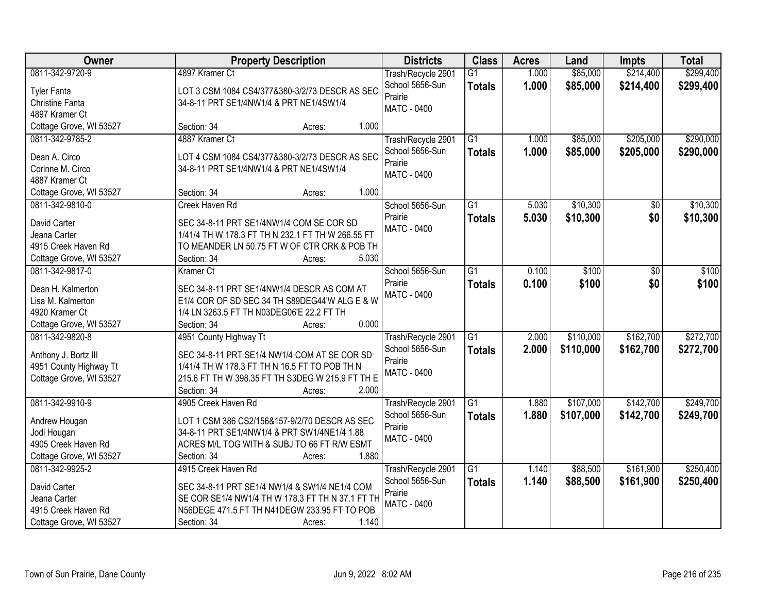| Owner                   | <b>Property Description</b>                       | <b>Districts</b>   | <b>Class</b>    | <b>Acres</b> | Land      | <b>Impts</b>    | <b>Total</b> |
|-------------------------|---------------------------------------------------|--------------------|-----------------|--------------|-----------|-----------------|--------------|
| 0811-342-9720-9         | 4897 Kramer Ct                                    | Trash/Recycle 2901 | $\overline{G1}$ | 1.000        | \$85,000  | \$214,400       | \$299,400    |
| <b>Tyler Fanta</b>      | LOT 3 CSM 1084 CS4/377&380-3/2/73 DESCR AS SEC    | School 5656-Sun    | <b>Totals</b>   | 1.000        | \$85,000  | \$214,400       | \$299,400    |
| Christine Fanta         | 34-8-11 PRT SE1/4NW1/4 & PRT NE1/4SW1/4           | Prairie            |                 |              |           |                 |              |
| 4897 Kramer Ct          |                                                   | <b>MATC - 0400</b> |                 |              |           |                 |              |
| Cottage Grove, WI 53527 | 1.000<br>Section: 34<br>Acres:                    |                    |                 |              |           |                 |              |
| 0811-342-9785-2         | 4887 Kramer Ct                                    | Trash/Recycle 2901 | $\overline{G1}$ | 1.000        | \$85,000  | \$205,000       | \$290,000    |
|                         |                                                   | School 5656-Sun    | <b>Totals</b>   | 1.000        | \$85,000  | \$205,000       | \$290,000    |
| Dean A. Circo           | LOT 4 CSM 1084 CS4/377&380-3/2/73 DESCR AS SEC    | Prairie            |                 |              |           |                 |              |
| Corinne M. Circo        | 34-8-11 PRT SE1/4NW1/4 & PRT NE1/4SW1/4           | <b>MATC - 0400</b> |                 |              |           |                 |              |
| 4887 Kramer Ct          |                                                   |                    |                 |              |           |                 |              |
| Cottage Grove, WI 53527 | 1.000<br>Section: 34<br>Acres:                    |                    |                 |              |           |                 |              |
| 0811-342-9810-0         | Creek Haven Rd                                    | School 5656-Sun    | $\overline{G1}$ | 5.030        | \$10,300  | $\overline{50}$ | \$10,300     |
| David Carter            | SEC 34-8-11 PRT SE1/4NW1/4 COM SE COR SD          | Prairie            | <b>Totals</b>   | 5.030        | \$10,300  | \$0             | \$10,300     |
| Jeana Carter            | 1/41/4 TH W 178.3 FT TH N 232.1 FT TH W 266.55 FT | <b>MATC - 0400</b> |                 |              |           |                 |              |
| 4915 Creek Haven Rd     | TO MEANDER LN 50.75 FT W OF CTR CRK & POB TH      |                    |                 |              |           |                 |              |
| Cottage Grove, WI 53527 | Section: 34<br>5.030<br>Acres:                    |                    |                 |              |           |                 |              |
| 0811-342-9817-0         | <b>Kramer Ct</b>                                  | School 5656-Sun    | $\overline{G1}$ | 0.100        | \$100     | \$0             | \$100        |
|                         |                                                   | Prairie            | <b>Totals</b>   | 0.100        | \$100     | \$0             | \$100        |
| Dean H. Kalmerton       | SEC 34-8-11 PRT SE1/4NW1/4 DESCR AS COM AT        | <b>MATC - 0400</b> |                 |              |           |                 |              |
| Lisa M. Kalmerton       | E1/4 COR OF SD SEC 34 TH S89DEG44'W ALG E & W     |                    |                 |              |           |                 |              |
| 4920 Kramer Ct          | 1/4 LN 3263.5 FT TH N03DEG06'E 22.2 FT TH         |                    |                 |              |           |                 |              |
| Cottage Grove, WI 53527 | 0.000<br>Section: 34<br>Acres:                    |                    |                 |              |           |                 |              |
| 0811-342-9820-8         | 4951 County Highway Tt                            | Trash/Recycle 2901 | $\overline{G1}$ | 2.000        | \$110,000 | \$162,700       | \$272,700    |
| Anthony J. Bortz III    | SEC 34-8-11 PRT SE1/4 NW1/4 COM AT SE COR SD      | School 5656-Sun    | <b>Totals</b>   | 2.000        | \$110,000 | \$162,700       | \$272,700    |
| 4951 County Highway Tt  | 1/41/4 TH W 178.3 FT TH N 16.5 FT TO POB TH N     | Prairie            |                 |              |           |                 |              |
| Cottage Grove, WI 53527 | 215.6 FT TH W 398.35 FT TH S3DEG W 215.9 FT TH E  | <b>MATC - 0400</b> |                 |              |           |                 |              |
|                         | Section: 34<br>2.000<br>Acres:                    |                    |                 |              |           |                 |              |
| 0811-342-9910-9         | 4905 Creek Haven Rd                               | Trash/Recycle 2901 | G1              | 1.880        | \$107,000 | \$142,700       | \$249,700    |
| Andrew Hougan           | LOT 1 CSM 386 CS2/156&157-9/2/70 DESCR AS SEC     | School 5656-Sun    | <b>Totals</b>   | 1.880        | \$107,000 | \$142,700       | \$249,700    |
| Jodi Hougan             | 34-8-11 PRT SE1/4NW1/4 & PRT SW1/4NE1/4 1.88      | Prairie            |                 |              |           |                 |              |
| 4905 Creek Haven Rd     | ACRES M/L TOG WITH & SUBJ TO 66 FT R/W ESMT       | <b>MATC - 0400</b> |                 |              |           |                 |              |
| Cottage Grove, WI 53527 | 1.880<br>Section: 34<br>Acres:                    |                    |                 |              |           |                 |              |
| 0811-342-9925-2         | 4915 Creek Haven Rd                               | Trash/Recycle 2901 | $\overline{G1}$ | 1.140        | \$88,500  | \$161,900       | \$250,400    |
|                         |                                                   | School 5656-Sun    | <b>Totals</b>   | 1.140        | \$88,500  | \$161,900       | \$250,400    |
| David Carter            | SEC 34-8-11 PRT SE1/4 NW1/4 & SW1/4 NE1/4 COM     | Prairie            |                 |              |           |                 |              |
| Jeana Carter            | SE COR SE1/4 NW1/4 TH W 178.3 FT TH N 37.1 FT TH  | <b>MATC - 0400</b> |                 |              |           |                 |              |
| 4915 Creek Haven Rd     | N56DEGE 471.5 FT TH N41DEGW 233.95 FT TO POB      |                    |                 |              |           |                 |              |
| Cottage Grove, WI 53527 | 1.140<br>Section: 34<br>Acres:                    |                    |                 |              |           |                 |              |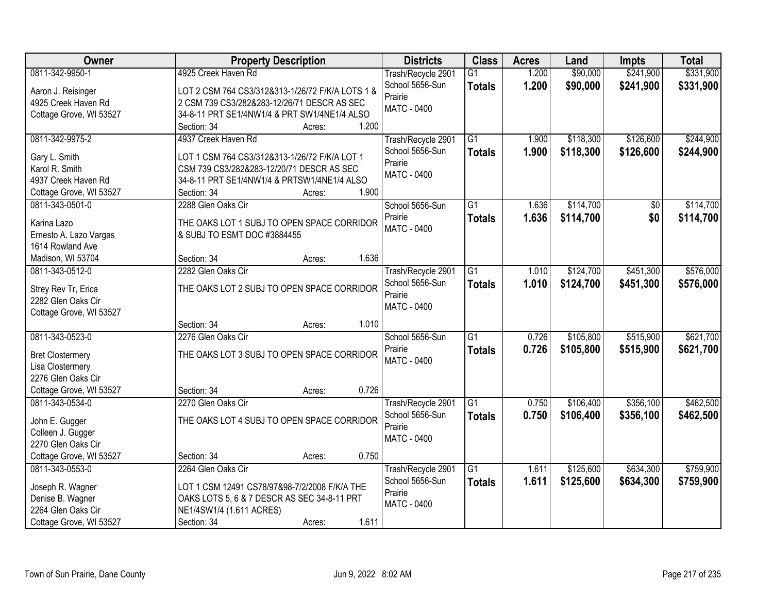| Owner                                      | <b>Property Description</b>                                                              | <b>Districts</b>   | <b>Class</b>    | <b>Acres</b> | Land      | <b>Impts</b>    | <b>Total</b> |
|--------------------------------------------|------------------------------------------------------------------------------------------|--------------------|-----------------|--------------|-----------|-----------------|--------------|
| 0811-342-9950-1                            | 4925 Creek Haven Rd                                                                      | Trash/Recycle 2901 | $\overline{G1}$ | 1.200        | \$90,000  | \$241,900       | \$331,900    |
| Aaron J. Reisinger                         | LOT 2 CSM 764 CS3/312&313-1/26/72 F/K/A LOTS 1 &                                         | School 5656-Sun    | <b>Totals</b>   | 1.200        | \$90,000  | \$241,900       | \$331,900    |
| 4925 Creek Haven Rd                        | 2 CSM 739 CS3/282&283-12/26/71 DESCR AS SEC                                              | Prairie            |                 |              |           |                 |              |
| Cottage Grove, WI 53527                    | 34-8-11 PRT SE1/4NW1/4 & PRT SW1/4NE1/4 ALSO                                             | <b>MATC - 0400</b> |                 |              |           |                 |              |
|                                            | 1.200<br>Section: 34<br>Acres:                                                           |                    |                 |              |           |                 |              |
| 0811-342-9975-2                            | 4937 Creek Haven Rd                                                                      | Trash/Recycle 2901 | $\overline{G1}$ | 1.900        | \$118,300 | \$126,600       | \$244,900    |
|                                            |                                                                                          | School 5656-Sun    | <b>Totals</b>   | 1.900        | \$118,300 | \$126,600       | \$244,900    |
| Gary L. Smith                              | LOT 1 CSM 764 CS3/312&313-1/26/72 F/K/A LOT 1                                            | Prairie            |                 |              |           |                 |              |
| Karol R. Smith<br>4937 Creek Haven Rd      | CSM 739 CS3/282&283-12/20/71 DESCR AS SEC<br>34-8-11 PRT SE1/4NW1/4 & PRTSW1/4NE1/4 ALSO | <b>MATC - 0400</b> |                 |              |           |                 |              |
|                                            | 1.900<br>Section: 34                                                                     |                    |                 |              |           |                 |              |
| Cottage Grove, WI 53527<br>0811-343-0501-0 | Acres:<br>2288 Glen Oaks Cir                                                             | School 5656-Sun    | $\overline{G1}$ | 1.636        | \$114,700 | $\overline{50}$ | \$114,700    |
|                                            |                                                                                          | Prairie            |                 |              |           |                 |              |
| Karina Lazo                                | THE OAKS LOT 1 SUBJ TO OPEN SPACE CORRIDOR                                               | <b>MATC - 0400</b> | <b>Totals</b>   | 1.636        | \$114,700 | \$0             | \$114,700    |
| Ernesto A. Lazo Vargas                     | & SUBJ TO ESMT DOC #3884455                                                              |                    |                 |              |           |                 |              |
| 1614 Rowland Ave                           |                                                                                          |                    |                 |              |           |                 |              |
| Madison, WI 53704                          | 1.636<br>Section: 34<br>Acres:                                                           |                    |                 |              |           |                 |              |
| 0811-343-0512-0                            | 2282 Glen Oaks Cir                                                                       | Trash/Recycle 2901 | G1              | 1.010        | \$124,700 | \$451,300       | \$576,000    |
| Strey Rev Tr, Erica                        | THE OAKS LOT 2 SUBJ TO OPEN SPACE CORRIDOR                                               | School 5656-Sun    | <b>Totals</b>   | 1.010        | \$124,700 | \$451,300       | \$576,000    |
| 2282 Glen Oaks Cir                         |                                                                                          | Prairie            |                 |              |           |                 |              |
| Cottage Grove, WI 53527                    |                                                                                          | MATC - 0400        |                 |              |           |                 |              |
|                                            | 1.010<br>Section: 34<br>Acres:                                                           |                    |                 |              |           |                 |              |
| 0811-343-0523-0                            | 2276 Glen Oaks Cir                                                                       | School 5656-Sun    | $\overline{G1}$ | 0.726        | \$105,800 | \$515,900       | \$621,700    |
|                                            |                                                                                          | Prairie            | <b>Totals</b>   | 0.726        | \$105,800 | \$515,900       | \$621,700    |
| <b>Bret Clostermery</b>                    | THE OAKS LOT 3 SUBJ TO OPEN SPACE CORRIDOR                                               | MATC - 0400        |                 |              |           |                 |              |
| Lisa Clostermery                           |                                                                                          |                    |                 |              |           |                 |              |
| 2276 Glen Oaks Cir                         |                                                                                          |                    |                 |              |           |                 |              |
| Cottage Grove, WI 53527                    | 0.726<br>Section: 34<br>Acres:                                                           |                    |                 |              |           |                 |              |
| 0811-343-0534-0                            | 2270 Glen Oaks Cir                                                                       | Trash/Recycle 2901 | G1              | 0.750        | \$106,400 | \$356,100       | \$462,500    |
| John E. Gugger                             | THE OAKS LOT 4 SUBJ TO OPEN SPACE CORRIDOR                                               | School 5656-Sun    | <b>Totals</b>   | 0.750        | \$106,400 | \$356,100       | \$462,500    |
| Colleen J. Gugger                          |                                                                                          | Prairie            |                 |              |           |                 |              |
| 2270 Glen Oaks Cir                         |                                                                                          | MATC - 0400        |                 |              |           |                 |              |
| Cottage Grove, WI 53527                    | 0.750<br>Section: 34<br>Acres:                                                           |                    |                 |              |           |                 |              |
| 0811-343-0553-0                            | 2264 Glen Oaks Cir                                                                       | Trash/Recycle 2901 | $\overline{G1}$ | 1.611        | \$125,600 | \$634,300       | \$759,900    |
|                                            |                                                                                          | School 5656-Sun    | <b>Totals</b>   | 1.611        | \$125,600 | \$634,300       | \$759,900    |
| Joseph R. Wagner                           | LOT 1 CSM 12491 CS78/97&98-7/2/2008 F/K/A THE                                            | Prairie            |                 |              |           |                 |              |
| Denise B. Wagner                           | OAKS LOTS 5, 6 & 7 DESCR AS SEC 34-8-11 PRT                                              | MATC - 0400        |                 |              |           |                 |              |
| 2264 Glen Oaks Cir                         | NE1/4SW1/4 (1.611 ACRES)                                                                 |                    |                 |              |           |                 |              |
| Cottage Grove, WI 53527                    | 1.611<br>Section: 34<br>Acres:                                                           |                    |                 |              |           |                 |              |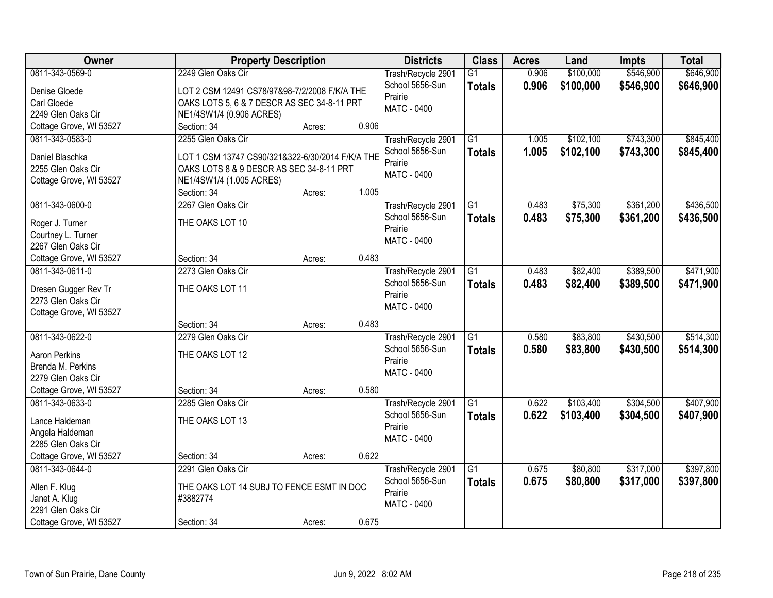| Owner                   |                                                  | <b>Property Description</b> |       | <b>Districts</b>                      | <b>Class</b>    | <b>Acres</b> | Land      | Impts     | <b>Total</b> |
|-------------------------|--------------------------------------------------|-----------------------------|-------|---------------------------------------|-----------------|--------------|-----------|-----------|--------------|
| 0811-343-0569-0         | 2249 Glen Oaks Cir                               |                             |       | Trash/Recycle 2901                    | $\overline{G1}$ | 0.906        | \$100,000 | \$546,900 | \$646,900    |
| Denise Gloede           | LOT 2 CSM 12491 CS78/97&98-7/2/2008 F/K/A THE    |                             |       | School 5656-Sun                       | <b>Totals</b>   | 0.906        | \$100,000 | \$546,900 | \$646,900    |
| Carl Gloede             | OAKS LOTS 5, 6 & 7 DESCR AS SEC 34-8-11 PRT      |                             |       | Prairie                               |                 |              |           |           |              |
| 2249 Glen Oaks Cir      | NE1/4SW1/4 (0.906 ACRES)                         |                             |       | <b>MATC - 0400</b>                    |                 |              |           |           |              |
| Cottage Grove, WI 53527 | Section: 34                                      | Acres:                      | 0.906 |                                       |                 |              |           |           |              |
| 0811-343-0583-0         | 2255 Glen Oaks Cir                               |                             |       | Trash/Recycle 2901                    | $\overline{G1}$ | 1.005        | \$102,100 | \$743,300 | \$845,400    |
|                         |                                                  |                             |       | School 5656-Sun                       | <b>Totals</b>   | 1.005        | \$102,100 | \$743,300 | \$845,400    |
| Daniel Blaschka         | LOT 1 CSM 13747 CS90/321&322-6/30/2014 F/K/A THE |                             |       | Prairie                               |                 |              |           |           |              |
| 2255 Glen Oaks Cir      | OAKS LOTS 8 & 9 DESCR AS SEC 34-8-11 PRT         |                             |       | <b>MATC - 0400</b>                    |                 |              |           |           |              |
| Cottage Grove, WI 53527 | NE1/4SW1/4 (1.005 ACRES)                         |                             |       |                                       |                 |              |           |           |              |
|                         | Section: 34                                      | Acres:                      | 1.005 |                                       |                 |              |           |           |              |
| 0811-343-0600-0         | 2267 Glen Oaks Cir                               |                             |       | Trash/Recycle 2901                    | G1              | 0.483        | \$75,300  | \$361,200 | \$436,500    |
| Roger J. Turner         | THE OAKS LOT 10                                  |                             |       | School 5656-Sun                       | Totals          | 0.483        | \$75,300  | \$361,200 | \$436,500    |
| Courtney L. Turner      |                                                  |                             |       | Prairie                               |                 |              |           |           |              |
| 2267 Glen Oaks Cir      |                                                  |                             |       | MATC - 0400                           |                 |              |           |           |              |
| Cottage Grove, WI 53527 | Section: 34                                      | Acres:                      | 0.483 |                                       |                 |              |           |           |              |
| 0811-343-0611-0         | 2273 Glen Oaks Cir                               |                             |       | Trash/Recycle 2901                    | $\overline{G1}$ | 0.483        | \$82,400  | \$389,500 | \$471,900    |
|                         |                                                  |                             |       | School 5656-Sun                       | <b>Totals</b>   | 0.483        | \$82,400  | \$389,500 | \$471,900    |
| Dresen Gugger Rev Tr    | THE OAKS LOT 11                                  |                             |       | Prairie                               |                 |              |           |           |              |
| 2273 Glen Oaks Cir      |                                                  |                             |       | <b>MATC - 0400</b>                    |                 |              |           |           |              |
| Cottage Grove, WI 53527 | Section: 34                                      | Acres:                      | 0.483 |                                       |                 |              |           |           |              |
| 0811-343-0622-0         | 2279 Glen Oaks Cir                               |                             |       |                                       | $\overline{G1}$ | 0.580        | \$83,800  | \$430,500 | \$514,300    |
|                         |                                                  |                             |       | Trash/Recycle 2901<br>School 5656-Sun |                 |              |           |           |              |
| <b>Aaron Perkins</b>    | THE OAKS LOT 12                                  |                             |       | Prairie                               | Totals          | 0.580        | \$83,800  | \$430,500 | \$514,300    |
| Brenda M. Perkins       |                                                  |                             |       | MATC - 0400                           |                 |              |           |           |              |
| 2279 Glen Oaks Cir      |                                                  |                             |       |                                       |                 |              |           |           |              |
| Cottage Grove, WI 53527 | Section: 34                                      | Acres:                      | 0.580 |                                       |                 |              |           |           |              |
| 0811-343-0633-0         | 2285 Glen Oaks Cir                               |                             |       | Trash/Recycle 2901                    | $\overline{G1}$ | 0.622        | \$103,400 | \$304,500 | \$407,900    |
| Lance Haldeman          | THE OAKS LOT 13                                  |                             |       | School 5656-Sun                       | <b>Totals</b>   | 0.622        | \$103,400 | \$304,500 | \$407,900    |
| Angela Haldeman         |                                                  |                             |       | Prairie                               |                 |              |           |           |              |
| 2285 Glen Oaks Cir      |                                                  |                             |       | <b>MATC - 0400</b>                    |                 |              |           |           |              |
| Cottage Grove, WI 53527 | Section: 34                                      | Acres:                      | 0.622 |                                       |                 |              |           |           |              |
| 0811-343-0644-0         | 2291 Glen Oaks Cir                               |                             |       | Trash/Recycle 2901                    | $\overline{G1}$ | 0.675        | \$80,800  | \$317,000 | \$397,800    |
|                         |                                                  |                             |       | School 5656-Sun                       | <b>Totals</b>   | 0.675        | \$80,800  | \$317,000 | \$397,800    |
| Allen F. Klug           | THE OAKS LOT 14 SUBJ TO FENCE ESMT IN DOC        |                             |       | Prairie                               |                 |              |           |           |              |
| Janet A. Klug           | #3882774                                         |                             |       | MATC - 0400                           |                 |              |           |           |              |
| 2291 Glen Oaks Cir      |                                                  |                             |       |                                       |                 |              |           |           |              |
| Cottage Grove, WI 53527 | Section: 34                                      | Acres:                      | 0.675 |                                       |                 |              |           |           |              |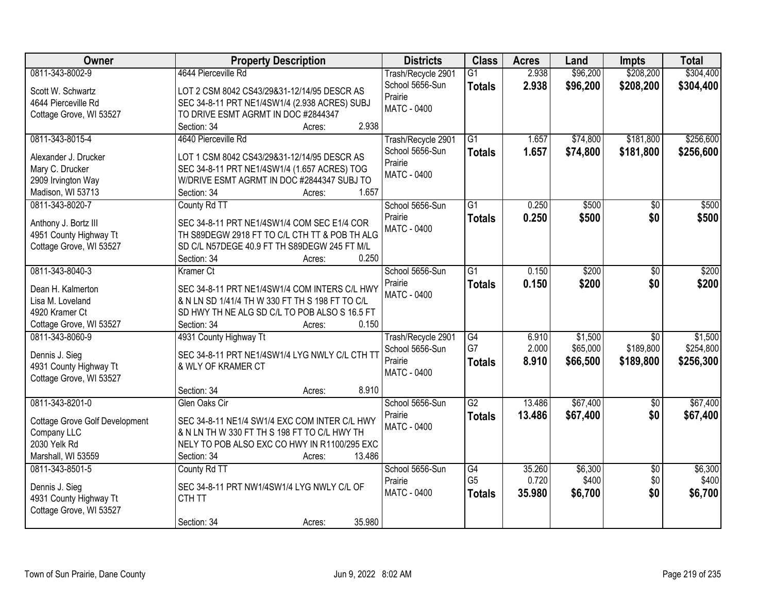| <b>Owner</b>                            | <b>Property Description</b>                                                                      | <b>Districts</b>   | <b>Class</b>    | <b>Acres</b>   | Land     | <b>Impts</b>    | <b>Total</b> |
|-----------------------------------------|--------------------------------------------------------------------------------------------------|--------------------|-----------------|----------------|----------|-----------------|--------------|
| 0811-343-8002-9                         | 4644 Pierceville Rd                                                                              | Trash/Recycle 2901 | $\overline{G1}$ | 2.938          | \$96,200 | \$208,200       | \$304,400    |
| Scott W. Schwartz                       | LOT 2 CSM 8042 CS43/29&31-12/14/95 DESCR AS                                                      | School 5656-Sun    | <b>Totals</b>   | 2.938          | \$96,200 | \$208,200       | \$304,400    |
| 4644 Pierceville Rd                     | SEC 34-8-11 PRT NE1/4SW1/4 (2.938 ACRES) SUBJ                                                    | Prairie            |                 |                |          |                 |              |
| Cottage Grove, WI 53527                 | TO DRIVE ESMT AGRMT IN DOC #2844347                                                              | MATC - 0400        |                 |                |          |                 |              |
|                                         | 2.938<br>Section: 34<br>Acres:                                                                   |                    |                 |                |          |                 |              |
| 0811-343-8015-4                         | 4640 Pierceville Rd                                                                              | Trash/Recycle 2901 | $\overline{G1}$ | 1.657          | \$74,800 | \$181,800       | \$256,600    |
|                                         | LOT 1 CSM 8042 CS43/29&31-12/14/95 DESCR AS                                                      | School 5656-Sun    | <b>Totals</b>   | 1.657          | \$74,800 | \$181,800       | \$256,600    |
| Alexander J. Drucker<br>Mary C. Drucker |                                                                                                  | Prairie            |                 |                |          |                 |              |
| 2909 Irvington Way                      | SEC 34-8-11 PRT NE1/4SW1/4 (1.657 ACRES) TOG<br>W/DRIVE ESMT AGRMT IN DOC #2844347 SUBJ TO       | <b>MATC - 0400</b> |                 |                |          |                 |              |
| Madison, WI 53713                       | 1.657<br>Section: 34<br>Acres:                                                                   |                    |                 |                |          |                 |              |
| 0811-343-8020-7                         |                                                                                                  | School 5656-Sun    | $\overline{G1}$ | 0.250          | \$500    | $\overline{50}$ | \$500        |
|                                         | County Rd TT                                                                                     |                    |                 |                |          |                 |              |
| Anthony J. Bortz III                    | SEC 34-8-11 PRT NE1/4SW1/4 COM SEC E1/4 COR                                                      | Prairie            | <b>Totals</b>   | 0.250          | \$500    | \$0             | \$500        |
| 4951 County Highway Tt                  | TH S89DEGW 2918 FT TO C/L CTH TT & POB TH ALG                                                    | <b>MATC - 0400</b> |                 |                |          |                 |              |
| Cottage Grove, WI 53527                 | SD C/L N57DEGE 40.9 FT TH S89DEGW 245 FT M/L                                                     |                    |                 |                |          |                 |              |
|                                         | 0.250<br>Section: 34<br>Acres:                                                                   |                    |                 |                |          |                 |              |
| 0811-343-8040-3                         | Kramer Ct                                                                                        | School 5656-Sun    | $\overline{G1}$ | 0.150          | \$200    | \$0             | \$200        |
|                                         |                                                                                                  | Prairie            | <b>Totals</b>   | 0.150          | \$200    | \$0             | \$200        |
| Dean H. Kalmerton<br>Lisa M. Loveland   | SEC 34-8-11 PRT NE1/4SW1/4 COM INTERS C/L HWY<br>& N LN SD 1/41/4 TH W 330 FT TH S 198 FT TO C/L | <b>MATC - 0400</b> |                 |                |          |                 |              |
| 4920 Kramer Ct                          | SD HWY TH NE ALG SD C/L TO POB ALSO S 16.5 FT                                                    |                    |                 |                |          |                 |              |
|                                         | Section: 34<br>0.150                                                                             |                    |                 |                |          |                 |              |
| Cottage Grove, WI 53527                 | Acres:                                                                                           |                    |                 |                |          |                 |              |
| 0811-343-8060-9                         | 4931 County Highway Tt                                                                           | Trash/Recycle 2901 | G4<br>G7        | 6.910<br>2.000 | \$1,500  | $\overline{50}$ | \$1,500      |
| Dennis J. Sieg                          | SEC 34-8-11 PRT NE1/4SW1/4 LYG NWLY C/L CTH TT                                                   | School 5656-Sun    |                 |                | \$65,000 | \$189,800       | \$254,800    |
| 4931 County Highway Tt                  | & WLY OF KRAMER CT                                                                               | Prairie            | <b>Totals</b>   | 8.910          | \$66,500 | \$189,800       | \$256,300    |
| Cottage Grove, WI 53527                 |                                                                                                  | <b>MATC - 0400</b> |                 |                |          |                 |              |
|                                         | 8.910<br>Section: 34<br>Acres:                                                                   |                    |                 |                |          |                 |              |
| 0811-343-8201-0                         | Glen Oaks Cir                                                                                    | School 5656-Sun    | $\overline{G2}$ | 13.486         | \$67,400 | $\overline{50}$ | \$67,400     |
| <b>Cottage Grove Golf Development</b>   | SEC 34-8-11 NE1/4 SW1/4 EXC COM INTER C/L HWY                                                    | Prairie            | <b>Totals</b>   | 13.486         | \$67,400 | \$0             | \$67,400     |
| Company LLC                             | & N LN TH W 330 FT TH S 198 FT TO C/L HWY TH                                                     | <b>MATC - 0400</b> |                 |                |          |                 |              |
| 2030 Yelk Rd                            | NELY TO POB ALSO EXC CO HWY IN R1100/295 EXC                                                     |                    |                 |                |          |                 |              |
| Marshall, WI 53559                      | 13.486<br>Section: 34<br>Acres:                                                                  |                    |                 |                |          |                 |              |
| 0811-343-8501-5                         | County Rd TT                                                                                     | School 5656-Sun    | G4              | 35.260         | \$6,300  | $\overline{50}$ | \$6,300      |
|                                         |                                                                                                  | Prairie            | G <sub>5</sub>  | 0.720          | \$400    | \$0             | \$400        |
| Dennis J. Sieg                          | SEC 34-8-11 PRT NW1/4SW1/4 LYG NWLY C/L OF                                                       | <b>MATC - 0400</b> | <b>Totals</b>   | 35,980         | \$6,700  | \$0             | \$6,700      |
| 4931 County Highway Tt                  | CTH TT                                                                                           |                    |                 |                |          |                 |              |
| Cottage Grove, WI 53527                 |                                                                                                  |                    |                 |                |          |                 |              |
|                                         | 35.980<br>Section: 34<br>Acres:                                                                  |                    |                 |                |          |                 |              |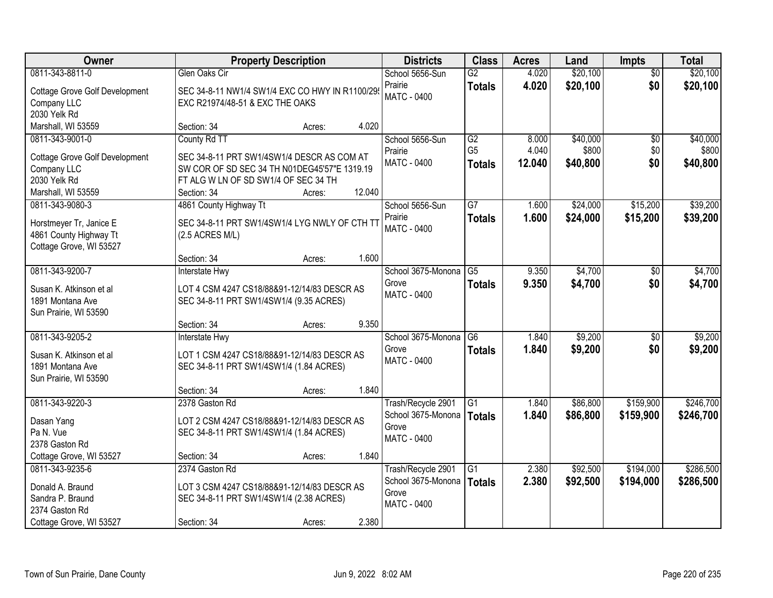| <b>Owner</b>                          | <b>Property Description</b>                    |        |        | <b>Districts</b>              | <b>Class</b>    | <b>Acres</b> | Land     | <b>Impts</b>    | <b>Total</b> |
|---------------------------------------|------------------------------------------------|--------|--------|-------------------------------|-----------------|--------------|----------|-----------------|--------------|
| 0811-343-8811-0                       | Glen Oaks Cir                                  |        |        | School 5656-Sun               | $\overline{G2}$ | 4.020        | \$20,100 | $\overline{30}$ | \$20,100     |
| Cottage Grove Golf Development        | SEC 34-8-11 NW1/4 SW1/4 EXC CO HWY IN R1100/29 |        |        | Prairie<br><b>MATC - 0400</b> | <b>Totals</b>   | 4.020        | \$20,100 | \$0             | \$20,100     |
| Company LLC                           | EXC R21974/48-51 & EXC THE OAKS                |        |        |                               |                 |              |          |                 |              |
| 2030 Yelk Rd                          |                                                |        |        |                               |                 |              |          |                 |              |
| Marshall, WI 53559                    | Section: 34                                    | Acres: | 4.020  |                               |                 |              |          |                 |              |
| 0811-343-9001-0                       | County Rd TT                                   |        |        | School 5656-Sun               | G2              | 8.000        | \$40,000 | $\overline{50}$ | \$40,000     |
| <b>Cottage Grove Golf Development</b> | SEC 34-8-11 PRT SW1/4SW1/4 DESCR AS COM AT     |        |        | Prairie                       | G <sub>5</sub>  | 4.040        | \$800    | \$0             | \$800        |
| Company LLC                           | SW COR OF SD SEC 34 TH N01DEG45'57"E 1319.19   |        |        | <b>MATC - 0400</b>            | <b>Totals</b>   | 12.040       | \$40,800 | \$0             | \$40,800     |
| 2030 Yelk Rd                          | FT ALG W LN OF SD SW1/4 OF SEC 34 TH           |        |        |                               |                 |              |          |                 |              |
| Marshall, WI 53559                    | Section: 34                                    | Acres: | 12.040 |                               |                 |              |          |                 |              |
| 0811-343-9080-3                       | 4861 County Highway Tt                         |        |        | School 5656-Sun               | $\overline{G7}$ | 1.600        | \$24,000 | \$15,200        | \$39,200     |
| Horstmeyer Tr, Janice E               | SEC 34-8-11 PRT SW1/4SW1/4 LYG NWLY OF CTH TT  |        |        | Prairie                       | <b>Totals</b>   | 1.600        | \$24,000 | \$15,200        | \$39,200     |
| 4861 County Highway Tt                | (2.5 ACRES M/L)                                |        |        | MATC - 0400                   |                 |              |          |                 |              |
| Cottage Grove, WI 53527               |                                                |        |        |                               |                 |              |          |                 |              |
|                                       | Section: 34                                    | Acres: | 1.600  |                               |                 |              |          |                 |              |
| 0811-343-9200-7                       | <b>Interstate Hwy</b>                          |        |        | School 3675-Monona            | $\overline{G5}$ | 9.350        | \$4,700  | $\sqrt{6}$      | \$4,700      |
| Susan K. Atkinson et al               | LOT 4 CSM 4247 CS18/88&91-12/14/83 DESCR AS    |        |        | Grove                         | <b>Totals</b>   | 9.350        | \$4,700  | \$0             | \$4,700      |
| 1891 Montana Ave                      | SEC 34-8-11 PRT SW1/4SW1/4 (9.35 ACRES)        |        |        | <b>MATC - 0400</b>            |                 |              |          |                 |              |
| Sun Prairie, WI 53590                 |                                                |        |        |                               |                 |              |          |                 |              |
|                                       | Section: 34                                    | Acres: | 9.350  |                               |                 |              |          |                 |              |
| 0811-343-9205-2                       | <b>Interstate Hwy</b>                          |        |        | School 3675-Monona            | $\overline{G6}$ | 1.840        | \$9,200  | $\overline{50}$ | \$9,200      |
| Susan K. Atkinson et al               | LOT 1 CSM 4247 CS18/88&91-12/14/83 DESCR AS    |        |        | Grove                         | <b>Totals</b>   | 1.840        | \$9,200  | \$0             | \$9,200      |
| 1891 Montana Ave                      | SEC 34-8-11 PRT SW1/4SW1/4 (1.84 ACRES)        |        |        | MATC - 0400                   |                 |              |          |                 |              |
| Sun Prairie, WI 53590                 |                                                |        |        |                               |                 |              |          |                 |              |
|                                       | Section: 34                                    | Acres: | 1.840  |                               |                 |              |          |                 |              |
| 0811-343-9220-3                       | 2378 Gaston Rd                                 |        |        | Trash/Recycle 2901            | $\overline{G1}$ | 1.840        | \$86,800 | \$159,900       | \$246,700    |
| Dasan Yang                            | LOT 2 CSM 4247 CS18/88&91-12/14/83 DESCR AS    |        |        | School 3675-Monona            | <b>Totals</b>   | 1.840        | \$86,800 | \$159,900       | \$246,700    |
| Pa N. Vue                             | SEC 34-8-11 PRT SW1/4SW1/4 (1.84 ACRES)        |        |        | Grove                         |                 |              |          |                 |              |
| 2378 Gaston Rd                        |                                                |        |        | MATC - 0400                   |                 |              |          |                 |              |
| Cottage Grove, WI 53527               | Section: 34                                    | Acres: | 1.840  |                               |                 |              |          |                 |              |
| 0811-343-9235-6                       | 2374 Gaston Rd                                 |        |        | Trash/Recycle 2901            | $\overline{G1}$ | 2.380        | \$92,500 | \$194,000       | \$286,500    |
| Donald A. Braund                      | LOT 3 CSM 4247 CS18/88&91-12/14/83 DESCR AS    |        |        | School 3675-Monona            | <b>Totals</b>   | 2.380        | \$92,500 | \$194,000       | \$286,500    |
| Sandra P. Braund                      | SEC 34-8-11 PRT SW1/4SW1/4 (2.38 ACRES)        |        |        | Grove                         |                 |              |          |                 |              |
| 2374 Gaston Rd                        |                                                |        |        | <b>MATC - 0400</b>            |                 |              |          |                 |              |
| Cottage Grove, WI 53527               | Section: 34                                    | Acres: | 2.380  |                               |                 |              |          |                 |              |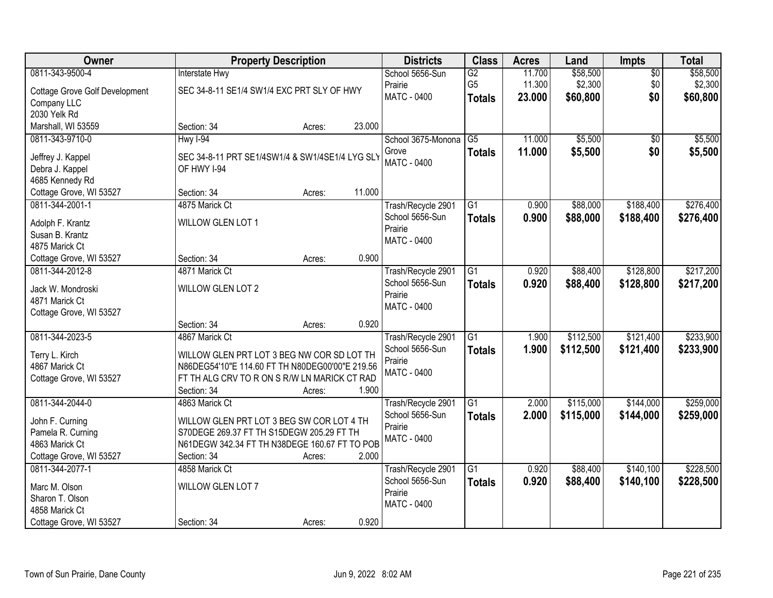| Owner                                      |                                                 | <b>Property Description</b> |        | <b>Districts</b>                      | <b>Class</b>    | <b>Acres</b> | Land      | Impts           | <b>Total</b> |
|--------------------------------------------|-------------------------------------------------|-----------------------------|--------|---------------------------------------|-----------------|--------------|-----------|-----------------|--------------|
| 0811-343-9500-4                            | <b>Interstate Hwy</b>                           |                             |        | School 5656-Sun                       | G2              | 11.700       | \$58,500  | $\overline{50}$ | \$58,500     |
| <b>Cottage Grove Golf Development</b>      | SEC 34-8-11 SE1/4 SW1/4 EXC PRT SLY OF HWY      |                             |        | Prairie                               | G <sub>5</sub>  | 11.300       | \$2,300   | \$0             | \$2,300      |
| Company LLC                                |                                                 |                             |        | MATC - 0400                           | <b>Totals</b>   | 23.000       | \$60,800  | \$0             | \$60,800     |
| 2030 Yelk Rd                               |                                                 |                             |        |                                       |                 |              |           |                 |              |
| Marshall, WI 53559                         | Section: 34                                     | Acres:                      | 23.000 |                                       |                 |              |           |                 |              |
| 0811-343-9710-0                            | $HwyI-94$                                       |                             |        | School 3675-Monona                    | $\overline{G5}$ | 11.000       | \$5,500   | \$0             | \$5,500      |
|                                            |                                                 |                             |        | Grove                                 | <b>Totals</b>   | 11.000       | \$5,500   | \$0             | \$5,500      |
| Jeffrey J. Kappel                          | SEC 34-8-11 PRT SE1/4SW1/4 & SW1/4SE1/4 LYG SLY |                             |        | <b>MATC - 0400</b>                    |                 |              |           |                 |              |
| Debra J. Kappel<br>4685 Kennedy Rd         | OF HWY I-94                                     |                             |        |                                       |                 |              |           |                 |              |
|                                            | Section: 34                                     |                             | 11.000 |                                       |                 |              |           |                 |              |
| Cottage Grove, WI 53527<br>0811-344-2001-1 | 4875 Marick Ct                                  | Acres:                      |        |                                       | G1              | 0.900        | \$88,000  | \$188,400       | \$276,400    |
|                                            |                                                 |                             |        | Trash/Recycle 2901<br>School 5656-Sun |                 |              |           |                 |              |
| Adolph F. Krantz                           | WILLOW GLEN LOT 1                               |                             |        | Prairie                               | <b>Totals</b>   | 0.900        | \$88,000  | \$188,400       | \$276,400    |
| Susan B. Krantz                            |                                                 |                             |        | MATC - 0400                           |                 |              |           |                 |              |
| 4875 Marick Ct                             |                                                 |                             |        |                                       |                 |              |           |                 |              |
| Cottage Grove, WI 53527                    | Section: 34                                     | Acres:                      | 0.900  |                                       |                 |              |           |                 |              |
| 0811-344-2012-8                            | 4871 Marick Ct                                  |                             |        | Trash/Recycle 2901                    | G1              | 0.920        | \$88,400  | \$128,800       | \$217,200    |
| Jack W. Mondroski                          | WILLOW GLEN LOT 2                               |                             |        | School 5656-Sun                       | <b>Totals</b>   | 0.920        | \$88,400  | \$128,800       | \$217,200    |
| 4871 Marick Ct                             |                                                 |                             |        | Prairie                               |                 |              |           |                 |              |
| Cottage Grove, WI 53527                    |                                                 |                             |        | <b>MATC - 0400</b>                    |                 |              |           |                 |              |
|                                            | Section: 34                                     | Acres:                      | 0.920  |                                       |                 |              |           |                 |              |
| 0811-344-2023-5                            | 4867 Marick Ct                                  |                             |        | Trash/Recycle 2901                    | $\overline{G1}$ | 1.900        | \$112,500 | \$121,400       | \$233,900    |
|                                            |                                                 |                             |        | School 5656-Sun                       | <b>Totals</b>   | 1.900        | \$112,500 | \$121,400       | \$233,900    |
| Terry L. Kirch                             | WILLOW GLEN PRT LOT 3 BEG NW COR SD LOT TH      |                             |        | Prairie                               |                 |              |           |                 |              |
| 4867 Marick Ct                             | N86DEG54'10"E 114.60 FT TH N80DEG00'00"E 219.56 |                             |        | <b>MATC - 0400</b>                    |                 |              |           |                 |              |
| Cottage Grove, WI 53527                    | FT TH ALG CRV TO R ON S R/W LN MARICK CT RAD    |                             |        |                                       |                 |              |           |                 |              |
|                                            | Section: 34                                     | Acres:                      | 1.900  |                                       |                 |              |           |                 |              |
| 0811-344-2044-0                            | 4863 Marick Ct                                  |                             |        | Trash/Recycle 2901                    | $\overline{G1}$ | 2.000        | \$115,000 | \$144,000       | \$259,000    |
| John F. Curning                            | WILLOW GLEN PRT LOT 3 BEG SW COR LOT 4 TH       |                             |        | School 5656-Sun                       | <b>Totals</b>   | 2.000        | \$115,000 | \$144,000       | \$259,000    |
| Pamela R. Curning                          | S70DEGE 269.37 FT TH S15DEGW 205.29 FT TH       |                             |        | Prairie                               |                 |              |           |                 |              |
| 4863 Marick Ct                             | N61DEGW 342.34 FT TH N38DEGE 160.67 FT TO POB   |                             |        | <b>MATC - 0400</b>                    |                 |              |           |                 |              |
| Cottage Grove, WI 53527                    | Section: 34                                     | Acres:                      | 2.000  |                                       |                 |              |           |                 |              |
| 0811-344-2077-1                            | 4858 Marick Ct                                  |                             |        | Trash/Recycle 2901                    | $\overline{G1}$ | 0.920        | \$88,400  | \$140,100       | \$228,500    |
|                                            |                                                 |                             |        | School 5656-Sun                       | <b>Totals</b>   | 0.920        | \$88,400  | \$140,100       | \$228,500    |
| Marc M. Olson                              | WILLOW GLEN LOT 7                               |                             |        | Prairie                               |                 |              |           |                 |              |
| Sharon T. Olson                            |                                                 |                             |        | MATC - 0400                           |                 |              |           |                 |              |
| 4858 Marick Ct                             |                                                 |                             |        |                                       |                 |              |           |                 |              |
| Cottage Grove, WI 53527                    | Section: 34                                     | Acres:                      | 0.920  |                                       |                 |              |           |                 |              |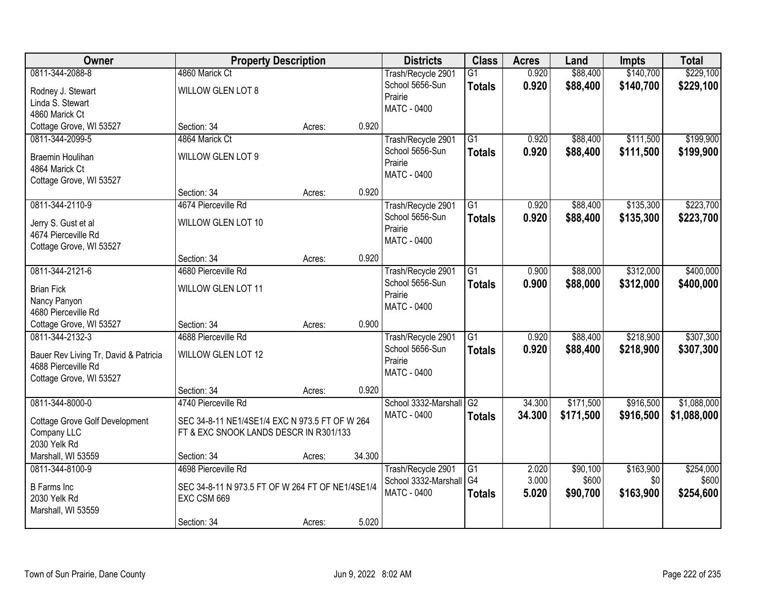| <b>Owner</b>                          | <b>Property Description</b>                      |        |        | <b>Districts</b>        | <b>Class</b>    | <b>Acres</b> | Land      | <b>Impts</b> | <b>Total</b> |
|---------------------------------------|--------------------------------------------------|--------|--------|-------------------------|-----------------|--------------|-----------|--------------|--------------|
| 0811-344-2088-8                       | 4860 Marick Ct                                   |        |        | Trash/Recycle 2901      | $\overline{G1}$ | 0.920        | \$88,400  | \$140,700    | \$229,100    |
| Rodney J. Stewart                     | WILLOW GLEN LOT 8                                |        |        | School 5656-Sun         | <b>Totals</b>   | 0.920        | \$88,400  | \$140,700    | \$229,100    |
| Linda S. Stewart                      |                                                  |        |        | Prairie                 |                 |              |           |              |              |
| 4860 Marick Ct                        |                                                  |        |        | <b>MATC - 0400</b>      |                 |              |           |              |              |
| Cottage Grove, WI 53527               | Section: 34                                      | Acres: | 0.920  |                         |                 |              |           |              |              |
| 0811-344-2099-5                       | 4864 Marick Ct                                   |        |        | Trash/Recycle 2901      | $\overline{G1}$ | 0.920        | \$88,400  | \$111,500    | \$199,900    |
| <b>Braemin Houlihan</b>               | WILLOW GLEN LOT 9                                |        |        | School 5656-Sun         | <b>Totals</b>   | 0.920        | \$88,400  | \$111,500    | \$199,900    |
| 4864 Marick Ct                        |                                                  |        |        | Prairie                 |                 |              |           |              |              |
| Cottage Grove, WI 53527               |                                                  |        |        | <b>MATC - 0400</b>      |                 |              |           |              |              |
|                                       | Section: 34                                      | Acres: | 0.920  |                         |                 |              |           |              |              |
| 0811-344-2110-9                       | 4674 Pierceville Rd                              |        |        | Trash/Recycle 2901      | G1              | 0.920        | \$88,400  | \$135,300    | \$223,700    |
| Jerry S. Gust et al                   | WILLOW GLEN LOT 10                               |        |        | School 5656-Sun         | <b>Totals</b>   | 0.920        | \$88,400  | \$135,300    | \$223,700    |
| 4674 Pierceville Rd                   |                                                  |        |        | Prairie                 |                 |              |           |              |              |
| Cottage Grove, WI 53527               |                                                  |        |        | <b>MATC - 0400</b>      |                 |              |           |              |              |
|                                       | Section: 34                                      | Acres: | 0.920  |                         |                 |              |           |              |              |
| 0811-344-2121-6                       | 4680 Pierceville Rd                              |        |        | Trash/Recycle 2901      | $\overline{G1}$ | 0.900        | \$88,000  | \$312,000    | \$400,000    |
| <b>Brian Fick</b>                     | WILLOW GLEN LOT 11                               |        |        | School 5656-Sun         | <b>Totals</b>   | 0.900        | \$88,000  | \$312,000    | \$400,000    |
| Nancy Panyon                          |                                                  |        |        | Prairie                 |                 |              |           |              |              |
| 4680 Pierceville Rd                   |                                                  |        |        | <b>MATC - 0400</b>      |                 |              |           |              |              |
| Cottage Grove, WI 53527               | Section: 34                                      | Acres: | 0.900  |                         |                 |              |           |              |              |
| 0811-344-2132-3                       | 4688 Pierceville Rd                              |        |        | Trash/Recycle 2901      | $\overline{G1}$ | 0.920        | \$88,400  | \$218,900    | \$307,300    |
| Bauer Rev Living Tr, David & Patricia | WILLOW GLEN LOT 12                               |        |        | School 5656-Sun         | <b>Totals</b>   | 0.920        | \$88,400  | \$218,900    | \$307,300    |
| 4688 Pierceville Rd                   |                                                  |        |        | Prairie                 |                 |              |           |              |              |
| Cottage Grove, WI 53527               |                                                  |        |        | <b>MATC - 0400</b>      |                 |              |           |              |              |
|                                       | Section: 34                                      | Acres: | 0.920  |                         |                 |              |           |              |              |
| 0811-344-8000-0                       | 4740 Pierceville Rd                              |        |        | School 3332-Marshall G2 |                 | 34.300       | \$171,500 | \$916,500    | \$1,088,000  |
| <b>Cottage Grove Golf Development</b> | SEC 34-8-11 NE1/4SE1/4 EXC N 973.5 FT OF W 264   |        |        | MATC - 0400             | <b>Totals</b>   | 34.300       | \$171,500 | \$916,500    | \$1,088,000  |
| Company LLC                           | FT & EXC SNOOK LANDS DESCR IN R301/133           |        |        |                         |                 |              |           |              |              |
| 2030 Yelk Rd                          |                                                  |        |        |                         |                 |              |           |              |              |
| Marshall, WI 53559                    | Section: 34                                      | Acres: | 34.300 |                         |                 |              |           |              |              |
| 0811-344-8100-9                       | 4698 Pierceville Rd                              |        |        | Trash/Recycle 2901      | G1              | 2.020        | \$90,100  | \$163,900    | \$254,000    |
| <b>B</b> Farms Inc                    | SEC 34-8-11 N 973.5 FT OF W 264 FT OF NE1/4SE1/4 |        |        | School 3332-Marshall    | G <sub>4</sub>  | 3.000        | \$600     | \$0          | \$600        |
| 2030 Yelk Rd                          | EXC CSM 669                                      |        |        | <b>MATC - 0400</b>      | <b>Totals</b>   | 5.020        | \$90,700  | \$163,900    | \$254,600    |
| Marshall, WI 53559                    |                                                  |        |        |                         |                 |              |           |              |              |
|                                       | Section: 34                                      | Acres: | 5.020  |                         |                 |              |           |              |              |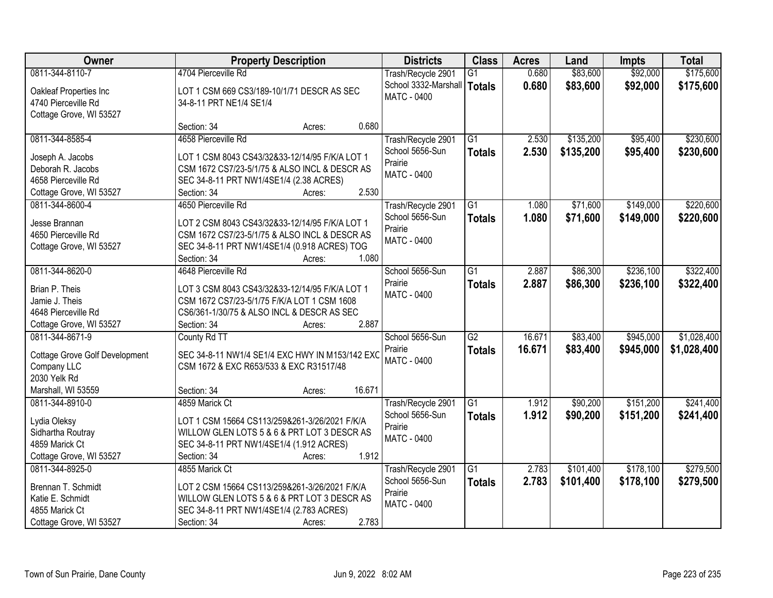| Owner                                 | <b>Property Description</b>                                                                     | <b>Districts</b>     | <b>Class</b>    | <b>Acres</b> | Land      | <b>Impts</b> | <b>Total</b> |
|---------------------------------------|-------------------------------------------------------------------------------------------------|----------------------|-----------------|--------------|-----------|--------------|--------------|
| 0811-344-8110-7                       | 4704 Pierceville Rd                                                                             | Trash/Recycle 2901   | $\overline{G1}$ | 0.680        | \$83,600  | \$92,000     | \$175,600    |
| Oakleaf Properties Inc                | LOT 1 CSM 669 CS3/189-10/1/71 DESCR AS SEC                                                      | School 3332-Marshall | <b>Totals</b>   | 0.680        | \$83,600  | \$92,000     | \$175,600    |
| 4740 Pierceville Rd                   | 34-8-11 PRT NE1/4 SE1/4                                                                         | <b>MATC - 0400</b>   |                 |              |           |              |              |
| Cottage Grove, WI 53527               |                                                                                                 |                      |                 |              |           |              |              |
|                                       | Section: 34<br>Acres:                                                                           | 0.680                |                 |              |           |              |              |
| 0811-344-8585-4                       | 4658 Pierceville Rd                                                                             | Trash/Recycle 2901   | $\overline{G1}$ | 2.530        | \$135,200 | \$95,400     | \$230,600    |
|                                       |                                                                                                 | School 5656-Sun      | <b>Totals</b>   | 2.530        | \$135,200 | \$95,400     | \$230,600    |
| Joseph A. Jacobs<br>Deborah R. Jacobs | LOT 1 CSM 8043 CS43/32&33-12/14/95 F/K/A LOT 1<br>CSM 1672 CS7/23-5/1/75 & ALSO INCL & DESCR AS | Prairie              |                 |              |           |              |              |
| 4658 Pierceville Rd                   | SEC 34-8-11 PRT NW1/4SE1/4 (2.38 ACRES)                                                         | MATC - 0400          |                 |              |           |              |              |
| Cottage Grove, WI 53527               | Section: 34<br>Acres:                                                                           | 2.530                |                 |              |           |              |              |
| 0811-344-8600-4                       | 4650 Pierceville Rd                                                                             | Trash/Recycle 2901   | $\overline{G1}$ | 1.080        | \$71,600  | \$149,000    | \$220,600    |
|                                       |                                                                                                 | School 5656-Sun      |                 | 1.080        |           | \$149,000    |              |
| Jesse Brannan                         | LOT 2 CSM 8043 CS43/32&33-12/14/95 F/K/A LOT 1                                                  | Prairie              | <b>Totals</b>   |              | \$71,600  |              | \$220,600    |
| 4650 Pierceville Rd                   | CSM 1672 CS7/23-5/1/75 & ALSO INCL & DESCR AS                                                   | MATC - 0400          |                 |              |           |              |              |
| Cottage Grove, WI 53527               | SEC 34-8-11 PRT NW1/4SE1/4 (0.918 ACRES) TOG                                                    |                      |                 |              |           |              |              |
|                                       | Section: 34<br>Acres:                                                                           | 1.080                |                 |              |           |              |              |
| 0811-344-8620-0                       | 4648 Pierceville Rd                                                                             | School 5656-Sun      | $\overline{G1}$ | 2.887        | \$86,300  | \$236,100    | \$322,400    |
| Brian P. Theis                        | LOT 3 CSM 8043 CS43/32&33-12/14/95 F/K/A LOT 1                                                  | Prairie              | <b>Totals</b>   | 2.887        | \$86,300  | \$236,100    | \$322,400    |
| Jamie J. Theis                        | CSM 1672 CS7/23-5/1/75 F/K/A LOT 1 CSM 1608                                                     | <b>MATC - 0400</b>   |                 |              |           |              |              |
| 4648 Pierceville Rd                   | CS6/361-1/30/75 & ALSO INCL & DESCR AS SEC                                                      |                      |                 |              |           |              |              |
| Cottage Grove, WI 53527               | Section: 34<br>Acres:                                                                           | 2.887                |                 |              |           |              |              |
| 0811-344-8671-9                       | County Rd TT                                                                                    | School 5656-Sun      | $\overline{G2}$ | 16.671       | \$83,400  | \$945,000    | \$1,028,400  |
|                                       |                                                                                                 | Prairie              | <b>Totals</b>   | 16.671       | \$83,400  | \$945,000    | \$1,028,400  |
| Cottage Grove Golf Development        | SEC 34-8-11 NW1/4 SE1/4 EXC HWY IN M153/142 EXC                                                 | MATC - 0400          |                 |              |           |              |              |
| Company LLC                           | CSM 1672 & EXC R653/533 & EXC R31517/48                                                         |                      |                 |              |           |              |              |
| 2030 Yelk Rd                          |                                                                                                 |                      |                 |              |           |              |              |
| Marshall, WI 53559                    | 16.671<br>Section: 34<br>Acres:                                                                 |                      |                 |              |           |              |              |
| 0811-344-8910-0                       | 4859 Marick Ct                                                                                  | Trash/Recycle 2901   | $\overline{G1}$ | 1.912        | \$90,200  | \$151,200    | \$241,400    |
| Lydia Oleksy                          | LOT 1 CSM 15664 CS113/259&261-3/26/2021 F/K/A                                                   | School 5656-Sun      | <b>Totals</b>   | 1.912        | \$90,200  | \$151,200    | \$241,400    |
| Sidhartha Routray                     | WILLOW GLEN LOTS 5 & 6 & PRT LOT 3 DESCR AS                                                     | Prairie              |                 |              |           |              |              |
| 4859 Marick Ct                        | SEC 34-8-11 PRT NW1/4SE1/4 (1.912 ACRES)                                                        | MATC - 0400          |                 |              |           |              |              |
| Cottage Grove, WI 53527               | Section: 34<br>Acres:                                                                           | 1.912                |                 |              |           |              |              |
| 0811-344-8925-0                       | 4855 Marick Ct                                                                                  | Trash/Recycle 2901   | $\overline{G1}$ | 2.783        | \$101,400 | \$178,100    | \$279,500    |
|                                       |                                                                                                 | School 5656-Sun      | <b>Totals</b>   | 2.783        | \$101,400 | \$178,100    | \$279,500    |
| Brennan T. Schmidt                    | LOT 2 CSM 15664 CS113/259&261-3/26/2021 F/K/A                                                   | Prairie              |                 |              |           |              |              |
| Katie E. Schmidt                      | WILLOW GLEN LOTS 5 & 6 & PRT LOT 3 DESCR AS                                                     | MATC - 0400          |                 |              |           |              |              |
| 4855 Marick Ct                        | SEC 34-8-11 PRT NW1/4SE1/4 (2.783 ACRES)                                                        |                      |                 |              |           |              |              |
| Cottage Grove, WI 53527               | Section: 34<br>Acres:                                                                           | 2.783                |                 |              |           |              |              |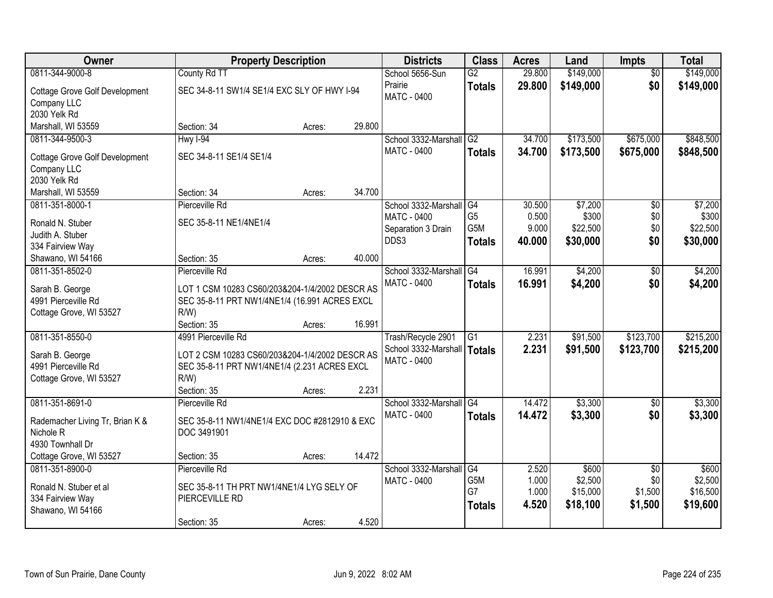| Owner                                 | <b>Property Description</b>                    |        |        | <b>Districts</b>     | <b>Class</b>     | <b>Acres</b> | Land      | <b>Impts</b>    | <b>Total</b> |
|---------------------------------------|------------------------------------------------|--------|--------|----------------------|------------------|--------------|-----------|-----------------|--------------|
| 0811-344-9000-8                       | County Rd TT                                   |        |        | School 5656-Sun      | $\overline{G2}$  | 29.800       | \$149,000 | $\overline{50}$ | \$149,000    |
| <b>Cottage Grove Golf Development</b> | SEC 34-8-11 SW1/4 SE1/4 EXC SLY OF HWY I-94    |        |        | Prairie              | <b>Totals</b>    | 29.800       | \$149,000 | \$0             | \$149,000    |
| Company LLC                           |                                                |        |        | <b>MATC - 0400</b>   |                  |              |           |                 |              |
| 2030 Yelk Rd                          |                                                |        |        |                      |                  |              |           |                 |              |
| Marshall, WI 53559                    | Section: 34                                    | Acres: | 29.800 |                      |                  |              |           |                 |              |
| 0811-344-9500-3                       | <b>Hwy I-94</b>                                |        |        | School 3332-Marshall | G2               | 34.700       | \$173,500 | \$675,000       | \$848,500    |
|                                       | SEC 34-8-11 SE1/4 SE1/4                        |        |        | <b>MATC - 0400</b>   | <b>Totals</b>    | 34.700       | \$173,500 | \$675,000       | \$848,500    |
| <b>Cottage Grove Golf Development</b> |                                                |        |        |                      |                  |              |           |                 |              |
| Company LLC<br>2030 Yelk Rd           |                                                |        |        |                      |                  |              |           |                 |              |
| Marshall, WI 53559                    | Section: 34                                    | Acres: | 34.700 |                      |                  |              |           |                 |              |
| 0811-351-8000-1                       | Pierceville Rd                                 |        |        | School 3332-Marshall | G4               | 30.500       | \$7,200   | \$0             | \$7,200      |
|                                       |                                                |        |        | MATC - 0400          | G <sub>5</sub>   | 0.500        | \$300     | \$0             | \$300        |
| Ronald N. Stuber                      | SEC 35-8-11 NE1/4NE1/4                         |        |        | Separation 3 Drain   | G <sub>5</sub> M | 9.000        | \$22,500  | \$0             | \$22,500     |
| Judith A. Stuber                      |                                                |        |        | DDS3                 | <b>Totals</b>    | 40.000       | \$30,000  | \$0             | \$30,000     |
| 334 Fairview Way                      |                                                |        |        |                      |                  |              |           |                 |              |
| Shawano, WI 54166                     | Section: 35                                    | Acres: | 40.000 |                      |                  |              |           |                 |              |
| 0811-351-8502-0                       | Pierceville Rd                                 |        |        | School 3332-Marshall | G4               | 16.991       | \$4,200   | \$0             | \$4,200      |
| Sarah B. George                       | LOT 1 CSM 10283 CS60/203&204-1/4/2002 DESCR AS |        |        | <b>MATC - 0400</b>   | <b>Totals</b>    | 16.991       | \$4,200   | \$0             | \$4,200      |
| 4991 Pierceville Rd                   | SEC 35-8-11 PRT NW1/4NE1/4 (16.991 ACRES EXCL  |        |        |                      |                  |              |           |                 |              |
| Cottage Grove, WI 53527               | $R/W$ )                                        |        |        |                      |                  |              |           |                 |              |
|                                       | Section: 35                                    | Acres: | 16.991 |                      |                  |              |           |                 |              |
| 0811-351-8550-0                       | 4991 Pierceville Rd                            |        |        | Trash/Recycle 2901   | $\overline{G1}$  | 2.231        | \$91,500  | \$123,700       | \$215,200    |
|                                       |                                                |        |        | School 3332-Marshall | Totals           | 2.231        | \$91,500  | \$123,700       | \$215,200    |
| Sarah B. George                       | LOT 2 CSM 10283 CS60/203&204-1/4/2002 DESCR AS |        |        | <b>MATC - 0400</b>   |                  |              |           |                 |              |
| 4991 Pierceville Rd                   | SEC 35-8-11 PRT NW1/4NE1/4 (2.231 ACRES EXCL   |        |        |                      |                  |              |           |                 |              |
| Cottage Grove, WI 53527               | $R/W$ )                                        |        |        |                      |                  |              |           |                 |              |
|                                       | Section: 35                                    | Acres: | 2.231  |                      |                  |              |           |                 |              |
| 0811-351-8691-0                       | Pierceville Rd                                 |        |        | School 3332-Marshall | $\overline{G4}$  | 14.472       | \$3,300   | \$0             | \$3,300      |
| Rademacher Living Tr, Brian K &       | SEC 35-8-11 NW1/4NE1/4 EXC DOC #2812910 & EXC  |        |        | <b>MATC - 0400</b>   | <b>Totals</b>    | 14.472       | \$3,300   | \$0             | \$3,300      |
| Nichole <sub>R</sub>                  | DOC 3491901                                    |        |        |                      |                  |              |           |                 |              |
| 4930 Townhall Dr                      |                                                |        |        |                      |                  |              |           |                 |              |
| Cottage Grove, WI 53527               | Section: 35                                    | Acres: | 14.472 |                      |                  |              |           |                 |              |
| 0811-351-8900-0                       | Pierceville Rd                                 |        |        | School 3332-Marshall | G4               | 2.520        | \$600     | $\overline{50}$ | \$600        |
| Ronald N. Stuber et al                | SEC 35-8-11 TH PRT NW1/4NE1/4 LYG SELY OF      |        |        | <b>MATC - 0400</b>   | G5M              | 1.000        | \$2,500   | \$0             | \$2,500      |
| 334 Fairview Way                      | PIERCEVILLE RD                                 |        |        |                      | G7               | 1.000        | \$15,000  | \$1,500         | \$16,500     |
| Shawano, WI 54166                     |                                                |        |        |                      | <b>Totals</b>    | 4.520        | \$18,100  | \$1,500         | \$19,600     |
|                                       | Section: 35                                    | Acres: | 4.520  |                      |                  |              |           |                 |              |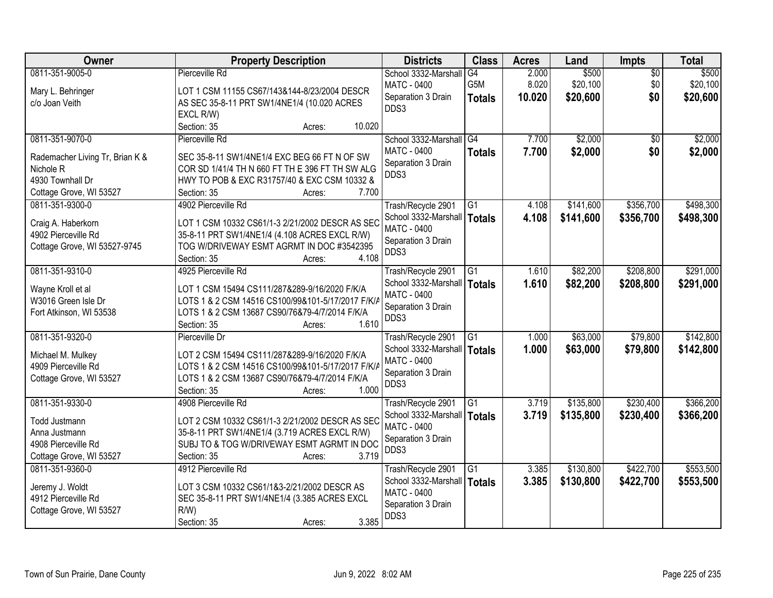| Owner                                      | <b>Property Description</b>                                          | <b>Districts</b>                                    | <b>Class</b>    | <b>Acres</b> | Land      | Impts           | <b>Total</b> |
|--------------------------------------------|----------------------------------------------------------------------|-----------------------------------------------------|-----------------|--------------|-----------|-----------------|--------------|
| 0811-351-9005-0                            | Pierceville Rd                                                       | School 3332-Marshall                                | G4              | 2.000        | \$500     | $\overline{50}$ | \$500        |
| Mary L. Behringer                          | LOT 1 CSM 11155 CS67/143&144-8/23/2004 DESCR                         | <b>MATC - 0400</b>                                  | G5M             | 8.020        | \$20,100  | \$0             | \$20,100     |
| c/o Joan Veith                             | AS SEC 35-8-11 PRT SW1/4NE1/4 (10.020 ACRES                          | Separation 3 Drain                                  | <b>Totals</b>   | 10.020       | \$20,600  | \$0             | \$20,600     |
|                                            | EXCL R/W)                                                            | DDS3                                                |                 |              |           |                 |              |
|                                            | Section: 35<br>10.020<br>Acres:                                      |                                                     |                 |              |           |                 |              |
| 0811-351-9070-0                            | Pierceville Rd                                                       | School 3332-Marshall                                | $\overline{G4}$ | 7.700        | \$2,000   | $\overline{30}$ | \$2,000      |
|                                            |                                                                      | MATC - 0400                                         | <b>Totals</b>   | 7.700        | \$2,000   | \$0             | \$2,000      |
| Rademacher Living Tr, Brian K &            | SEC 35-8-11 SW1/4NE1/4 EXC BEG 66 FT N OF SW                         | Separation 3 Drain                                  |                 |              |           |                 |              |
| Nichole <sub>R</sub><br>4930 Townhall Dr   | COR SD 1/41/4 TH N 660 FT TH E 396 FT TH SW ALG                      | DDS3                                                |                 |              |           |                 |              |
|                                            | HWY TO POB & EXC R31757/40 & EXC CSM 10332 &<br>7.700<br>Section: 35 |                                                     |                 |              |           |                 |              |
| Cottage Grove, WI 53527<br>0811-351-9300-0 | Acres:<br>4902 Pierceville Rd                                        |                                                     |                 | 4.108        | \$141,600 | \$356,700       | \$498,300    |
|                                            |                                                                      | Trash/Recycle 2901                                  | G1              |              |           |                 |              |
| Craig A. Haberkorn                         | LOT 1 CSM 10332 CS61/1-3 2/21/2002 DESCR AS SEC                      | School 3332-Marshall   Totals<br><b>MATC - 0400</b> |                 | 4.108        | \$141,600 | \$356,700       | \$498,300    |
| 4902 Pierceville Rd                        | 35-8-11 PRT SW1/4NE1/4 (4.108 ACRES EXCL R/W)                        |                                                     |                 |              |           |                 |              |
| Cottage Grove, WI 53527-9745               | TOG W/DRIVEWAY ESMT AGRMT IN DOC #3542395                            | Separation 3 Drain<br>DDS3                          |                 |              |           |                 |              |
|                                            | 4.108<br>Section: 35<br>Acres:                                       |                                                     |                 |              |           |                 |              |
| 0811-351-9310-0                            | 4925 Pierceville Rd                                                  | Trash/Recycle 2901                                  | G1              | 1.610        | \$82,200  | \$208,800       | \$291,000    |
|                                            | LOT 1 CSM 15494 CS111/287&289-9/16/2020 F/K/A                        | School 3332-Marshall                                | <b>Totals</b>   | 1.610        | \$82,200  | \$208,800       | \$291,000    |
| Wayne Kroll et al<br>W3016 Green Isle Dr   | LOTS 1 & 2 CSM 14516 CS100/99&101-5/17/2017 F/K/A                    | <b>MATC - 0400</b>                                  |                 |              |           |                 |              |
| Fort Atkinson, WI 53538                    | LOTS 1 & 2 CSM 13687 CS90/76&79-4/7/2014 F/K/A                       | Separation 3 Drain                                  |                 |              |           |                 |              |
|                                            | 1.610<br>Section: 35<br>Acres:                                       | DDS3                                                |                 |              |           |                 |              |
| 0811-351-9320-0                            | Pierceville Dr                                                       | Trash/Recycle 2901                                  | $\overline{G1}$ | 1.000        | \$63,000  | \$79,800        | \$142,800    |
|                                            |                                                                      |                                                     |                 | 1.000        |           |                 |              |
| Michael M. Mulkey                          | LOT 2 CSM 15494 CS111/287&289-9/16/2020 F/K/A                        | School 3332-Marshall   Totals<br><b>MATC - 0400</b> |                 |              | \$63,000  | \$79,800        | \$142,800    |
| 4909 Pierceville Rd                        | LOTS 1 & 2 CSM 14516 CS100/99&101-5/17/2017 F/K/A                    | Separation 3 Drain                                  |                 |              |           |                 |              |
| Cottage Grove, WI 53527                    | LOTS 1 & 2 CSM 13687 CS90/76&79-4/7/2014 F/K/A                       | DDS3                                                |                 |              |           |                 |              |
|                                            | 1.000<br>Section: 35<br>Acres:                                       |                                                     |                 |              |           |                 |              |
| 0811-351-9330-0                            | 4908 Pierceville Rd                                                  | Trash/Recycle 2901                                  | $\overline{G1}$ | 3.719        | \$135,800 | \$230,400       | \$366,200    |
| Todd Justmann                              | LOT 2 CSM 10332 CS61/1-3 2/21/2002 DESCR AS SEC                      | School 3332-Marshall   Totals                       |                 | 3.719        | \$135,800 | \$230,400       | \$366,200    |
| Anna Justmann                              | 35-8-11 PRT SW1/4NE1/4 (3.719 ACRES EXCL R/W)                        | <b>MATC - 0400</b>                                  |                 |              |           |                 |              |
| 4908 Pierceville Rd                        | SUBJ TO & TOG W/DRIVEWAY ESMT AGRMT IN DOC                           | Separation 3 Drain                                  |                 |              |           |                 |              |
| Cottage Grove, WI 53527                    | 3.719<br>Section: 35<br>Acres:                                       | DDS3                                                |                 |              |           |                 |              |
| 0811-351-9360-0                            | 4912 Pierceville Rd                                                  | Trash/Recycle 2901                                  | $\overline{G1}$ | 3.385        | \$130,800 | \$422,700       | \$553,500    |
|                                            |                                                                      | School 3332-Marshall                                | Totals          | 3.385        | \$130,800 | \$422,700       | \$553,500    |
| Jeremy J. Woldt                            | LOT 3 CSM 10332 CS61/1&3-2/21/2002 DESCR AS                          | <b>MATC - 0400</b>                                  |                 |              |           |                 |              |
| 4912 Pierceville Rd                        | SEC 35-8-11 PRT SW1/4NE1/4 (3.385 ACRES EXCL                         | Separation 3 Drain                                  |                 |              |           |                 |              |
| Cottage Grove, WI 53527                    | $R/W$ )                                                              | DDS3                                                |                 |              |           |                 |              |
|                                            | 3.385<br>Section: 35<br>Acres:                                       |                                                     |                 |              |           |                 |              |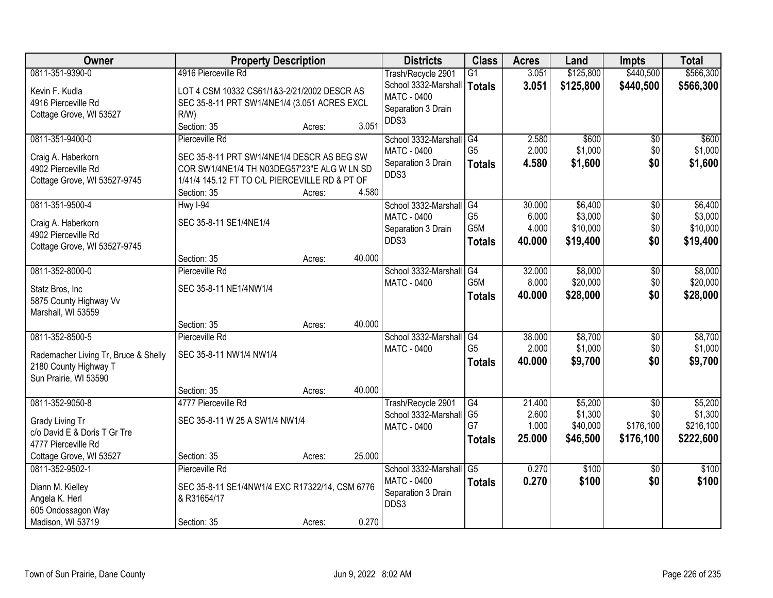| Owner                                     | <b>Property Description</b>                                                               |        |        | <b>Districts</b>              | <b>Class</b>     | <b>Acres</b> | Land      | <b>Impts</b>    | <b>Total</b> |
|-------------------------------------------|-------------------------------------------------------------------------------------------|--------|--------|-------------------------------|------------------|--------------|-----------|-----------------|--------------|
| 0811-351-9390-0                           | 4916 Pierceville Rd                                                                       |        |        | Trash/Recycle 2901            | $\overline{G1}$  | 3.051        | \$125,800 | \$440,500       | \$566,300    |
| Kevin F. Kudla                            | LOT 4 CSM 10332 CS61/1&3-2/21/2002 DESCR AS                                               |        |        | School 3332-Marshall   Totals |                  | 3.051        | \$125,800 | \$440,500       | \$566,300    |
| 4916 Pierceville Rd                       | SEC 35-8-11 PRT SW1/4NE1/4 (3.051 ACRES EXCL                                              |        |        | <b>MATC - 0400</b>            |                  |              |           |                 |              |
| Cottage Grove, WI 53527                   | $R/W$ )                                                                                   |        |        | Separation 3 Drain            |                  |              |           |                 |              |
|                                           | Section: 35                                                                               | Acres: | 3.051  | DDS3                          |                  |              |           |                 |              |
| 0811-351-9400-0                           | Pierceville Rd                                                                            |        |        | School 3332-Marshall          | G4               | 2.580        | \$600     | \$0             | \$600        |
|                                           |                                                                                           |        |        | MATC - 0400                   | G <sub>5</sub>   | 2.000        | \$1,000   | \$0             | \$1,000      |
| Craig A. Haberkorn<br>4902 Pierceville Rd | SEC 35-8-11 PRT SW1/4NE1/4 DESCR AS BEG SW<br>COR SW1/4NE1/4 TH N03DEG57'23"E ALG W LN SD |        |        | Separation 3 Drain            | <b>Totals</b>    | 4.580        | \$1,600   | \$0             | \$1,600      |
| Cottage Grove, WI 53527-9745              | 1/41/4 145.12 FT TO C/L PIERCEVILLE RD & PT OF                                            |        |        | DDS3                          |                  |              |           |                 |              |
|                                           | Section: 35                                                                               | Acres: | 4.580  |                               |                  |              |           |                 |              |
| 0811-351-9500-4                           | $HwyI-94$                                                                                 |        |        | School 3332-Marshall G4       |                  | 30.000       | \$6,400   | $\overline{50}$ | \$6,400      |
|                                           |                                                                                           |        |        | <b>MATC - 0400</b>            | G <sub>5</sub>   | 6.000        | \$3,000   | \$0             | \$3,000      |
| Craig A. Haberkorn                        | SEC 35-8-11 SE1/4NE1/4                                                                    |        |        | Separation 3 Drain            | G <sub>5</sub> M | 4.000        | \$10,000  | \$0             | \$10,000     |
| 4902 Pierceville Rd                       |                                                                                           |        |        | DDS3                          | <b>Totals</b>    | 40.000       | \$19,400  | \$0             | \$19,400     |
| Cottage Grove, WI 53527-9745              | Section: 35                                                                               |        | 40.000 |                               |                  |              |           |                 |              |
| 0811-352-8000-0                           | Pierceville Rd                                                                            | Acres: |        | School 3332-Marshall          | G4               | 32.000       | \$8,000   | \$0             | \$8,000      |
|                                           |                                                                                           |        |        | <b>MATC - 0400</b>            | G5M              | 8.000        | \$20,000  | \$0             | \$20,000     |
| Statz Bros, Inc                           | SEC 35-8-11 NE1/4NW1/4                                                                    |        |        |                               |                  | 40.000       | \$28,000  | \$0             | \$28,000     |
| 5875 County Highway Vv                    |                                                                                           |        |        |                               | <b>Totals</b>    |              |           |                 |              |
| Marshall, WI 53559                        |                                                                                           |        |        |                               |                  |              |           |                 |              |
|                                           | Section: 35                                                                               | Acres: | 40.000 |                               |                  |              |           |                 |              |
| 0811-352-8500-5                           | Pierceville Rd                                                                            |        |        | School 3332-Marshall          | G4               | 38.000       | \$8,700   | \$0             | \$8,700      |
| Rademacher Living Tr, Bruce & Shelly      | SEC 35-8-11 NW1/4 NW1/4                                                                   |        |        | <b>MATC - 0400</b>            | G <sub>5</sub>   | 2.000        | \$1,000   | \$0             | \$1,000      |
| 2180 County Highway T                     |                                                                                           |        |        |                               | <b>Totals</b>    | 40.000       | \$9,700   | \$0             | \$9,700      |
| Sun Prairie, WI 53590                     |                                                                                           |        |        |                               |                  |              |           |                 |              |
|                                           | Section: 35                                                                               | Acres: | 40.000 |                               |                  |              |           |                 |              |
| 0811-352-9050-8                           | 4777 Pierceville Rd                                                                       |        |        | Trash/Recycle 2901            | G4               | 21.400       | \$5,200   | $\overline{30}$ | \$5,200      |
| Grady Living Tr                           | SEC 35-8-11 W 25 A SW1/4 NW1/4                                                            |        |        | School 3332-Marshall          | G <sub>5</sub>   | 2.600        | \$1,300   | \$0             | \$1,300      |
| c/o David E & Doris T Gr Tre              |                                                                                           |        |        | MATC - 0400                   | G7               | 1.000        | \$40,000  | \$176,100       | \$216,100    |
| 4777 Pierceville Rd                       |                                                                                           |        |        |                               | <b>Totals</b>    | 25.000       | \$46,500  | \$176,100       | \$222,600    |
| Cottage Grove, WI 53527                   | Section: 35                                                                               | Acres: | 25.000 |                               |                  |              |           |                 |              |
| 0811-352-9502-1                           | Pierceville Rd                                                                            |        |        | School 3332-Marshall          | G <sub>5</sub>   | 0.270        | \$100     | $\overline{30}$ | \$100        |
| Diann M. Kielley                          | SEC 35-8-11 SE1/4NW1/4 EXC R17322/14, CSM 6776                                            |        |        | <b>MATC - 0400</b>            | <b>Totals</b>    | 0.270        | \$100     | \$0             | \$100        |
| Angela K. Herl                            | & R31654/17                                                                               |        |        | Separation 3 Drain            |                  |              |           |                 |              |
| 605 Ondossagon Way                        |                                                                                           |        |        | DDS3                          |                  |              |           |                 |              |
| Madison, WI 53719                         | Section: 35                                                                               | Acres: | 0.270  |                               |                  |              |           |                 |              |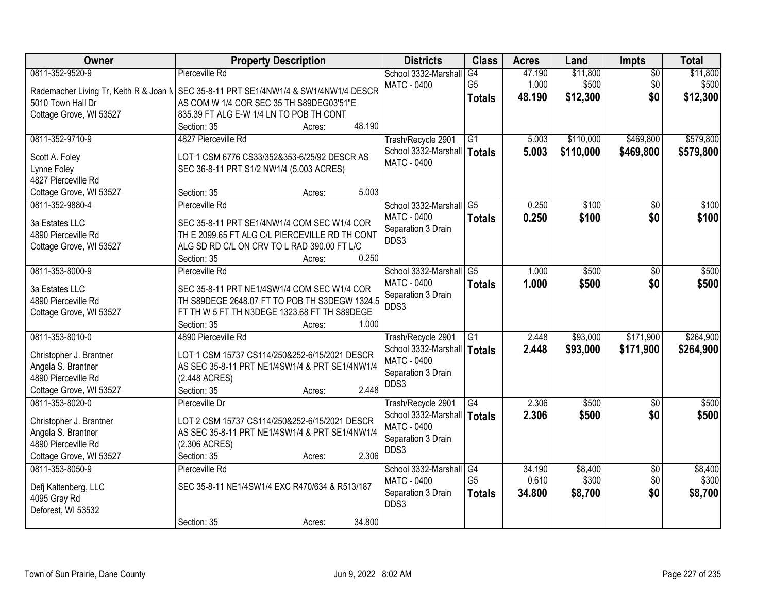| Owner                                         | <b>Property Description</b>                                                                     | <b>Districts</b>              | <b>Class</b>    | <b>Acres</b> | Land      | <b>Impts</b>    | <b>Total</b> |
|-----------------------------------------------|-------------------------------------------------------------------------------------------------|-------------------------------|-----------------|--------------|-----------|-----------------|--------------|
| 0811-352-9520-9                               | Pierceville Rd                                                                                  | School 3332-Marshall          | G4              | 47.190       | \$11,800  | $\overline{30}$ | \$11,800     |
|                                               | Rademacher Living Tr, Keith R & Joan N   SEC 35-8-11 PRT SE1/4NW1/4 & SW1/4NW1/4 DESCR          | <b>MATC - 0400</b>            | G <sub>5</sub>  | 1.000        | \$500     | \$0             | \$500        |
| 5010 Town Hall Dr                             | AS COM W 1/4 COR SEC 35 TH S89DEG03'51"E                                                        |                               | <b>Totals</b>   | 48.190       | \$12,300  | \$0             | \$12,300     |
| Cottage Grove, WI 53527                       | 835.39 FT ALG E-W 1/4 LN TO POB TH CONT                                                         |                               |                 |              |           |                 |              |
|                                               | 48.190<br>Section: 35<br>Acres:                                                                 |                               |                 |              |           |                 |              |
| 0811-352-9710-9                               | 4827 Pierceville Rd                                                                             | Trash/Recycle 2901            | $\overline{G1}$ | 5.003        | \$110,000 | \$469,800       | \$579,800    |
|                                               |                                                                                                 | School 3332-Marshall          | <b>Totals</b>   | 5.003        | \$110,000 | \$469,800       | \$579,800    |
| Scott A. Foley                                | LOT 1 CSM 6776 CS33/352&353-6/25/92 DESCR AS                                                    | <b>MATC - 0400</b>            |                 |              |           |                 |              |
| Lynne Foley<br>4827 Pierceville Rd            | SEC 36-8-11 PRT S1/2 NW1/4 (5.003 ACRES)                                                        |                               |                 |              |           |                 |              |
| Cottage Grove, WI 53527                       | 5.003<br>Section: 35<br>Acres:                                                                  |                               |                 |              |           |                 |              |
| 0811-352-9880-4                               | Pierceville Rd                                                                                  | School 3332-Marshall          | G5              | 0.250        | \$100     | \$0             | \$100        |
|                                               |                                                                                                 | <b>MATC - 0400</b>            | <b>Totals</b>   | 0.250        | \$100     | \$0             | \$100        |
| 3a Estates LLC                                | SEC 35-8-11 PRT SE1/4NW1/4 COM SEC W1/4 COR                                                     | Separation 3 Drain            |                 |              |           |                 |              |
| 4890 Pierceville Rd                           | TH E 2099.65 FT ALG C/L PIERCEVILLE RD TH CONT                                                  | DDS3                          |                 |              |           |                 |              |
| Cottage Grove, WI 53527                       | ALG SD RD C/L ON CRV TO L RAD 390.00 FT L/C                                                     |                               |                 |              |           |                 |              |
|                                               | 0.250<br>Section: 35<br>Acres:                                                                  |                               |                 |              |           |                 |              |
| 0811-353-8000-9                               | Pierceville Rd                                                                                  | School 3332-Marshall          | $\overline{G5}$ | 1.000        | \$500     | \$0             | \$500        |
| 3a Estates LLC                                | SEC 35-8-11 PRT NE1/4SW1/4 COM SEC W1/4 COR                                                     | <b>MATC - 0400</b>            | <b>Totals</b>   | 1.000        | \$500     | \$0             | \$500        |
| 4890 Pierceville Rd                           | TH S89DEGE 2648.07 FT TO POB TH S3DEGW 1324.5                                                   | Separation 3 Drain            |                 |              |           |                 |              |
| Cottage Grove, WI 53527                       | FT TH W 5 FT TH N3DEGE 1323.68 FT TH S89DEGE                                                    | DDS3                          |                 |              |           |                 |              |
|                                               | 1.000<br>Section: 35<br>Acres:                                                                  |                               |                 |              |           |                 |              |
| 0811-353-8010-0                               | 4890 Pierceville Rd                                                                             | Trash/Recycle 2901            | $\overline{G1}$ | 2.448        | \$93,000  | \$171,900       | \$264,900    |
|                                               |                                                                                                 | School 3332-Marshall          | Totals          | 2.448        | \$93,000  | \$171,900       | \$264,900    |
| Christopher J. Brantner<br>Angela S. Brantner | LOT 1 CSM 15737 CS114/250&252-6/15/2021 DESCR<br>AS SEC 35-8-11 PRT NE1/4SW1/4 & PRT SE1/4NW1/4 | <b>MATC - 0400</b>            |                 |              |           |                 |              |
| 4890 Pierceville Rd                           | (2.448 ACRES)                                                                                   | Separation 3 Drain            |                 |              |           |                 |              |
| Cottage Grove, WI 53527                       | 2.448<br>Section: 35<br>Acres:                                                                  | DDS3                          |                 |              |           |                 |              |
| 0811-353-8020-0                               | Pierceville Dr                                                                                  | Trash/Recycle 2901            | G4              | 2.306        | \$500     | \$0             | \$500        |
|                                               |                                                                                                 | School 3332-Marshall   Totals |                 | 2.306        | \$500     | \$0             | \$500        |
| Christopher J. Brantner                       | LOT 2 CSM 15737 CS114/250&252-6/15/2021 DESCR                                                   | <b>MATC - 0400</b>            |                 |              |           |                 |              |
| Angela S. Brantner                            | AS SEC 35-8-11 PRT NE1/4SW1/4 & PRT SE1/4NW1/4                                                  | Separation 3 Drain            |                 |              |           |                 |              |
| 4890 Pierceville Rd                           | (2.306 ACRES)                                                                                   | DDS3                          |                 |              |           |                 |              |
| Cottage Grove, WI 53527                       | 2.306<br>Section: 35<br>Acres:                                                                  |                               |                 |              |           |                 |              |
| 0811-353-8050-9                               | Pierceville Rd                                                                                  | School 3332-Marshall          | $\overline{G4}$ | 34.190       | \$8,400   | $\overline{30}$ | \$8,400      |
| Defj Kaltenberg, LLC                          | SEC 35-8-11 NE1/4SW1/4 EXC R470/634 & R513/187                                                  | <b>MATC - 0400</b>            | G <sub>5</sub>  | 0.610        | \$300     | \$0             | \$300        |
| 4095 Gray Rd                                  |                                                                                                 | Separation 3 Drain            | <b>Totals</b>   | 34.800       | \$8,700   | \$0             | \$8,700      |
| Deforest, WI 53532                            |                                                                                                 | DDS3                          |                 |              |           |                 |              |
|                                               | 34.800<br>Section: 35<br>Acres:                                                                 |                               |                 |              |           |                 |              |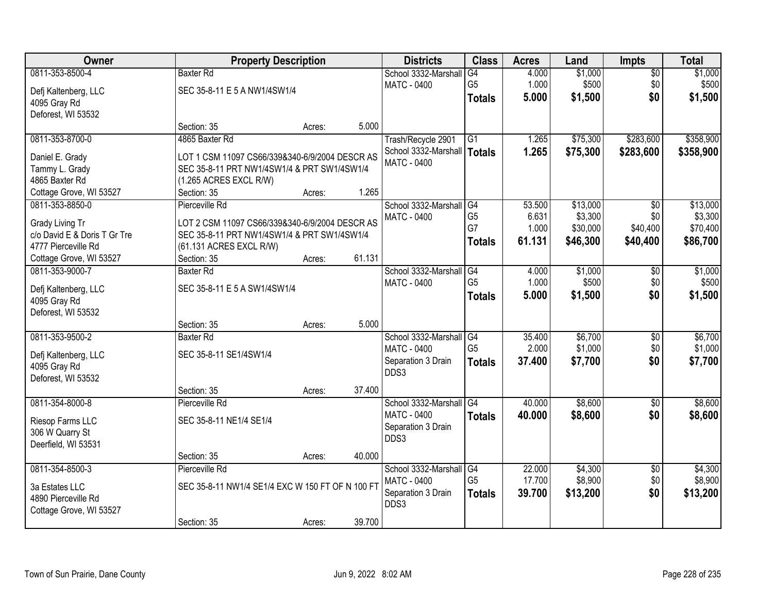| \$1,000<br>0811-353-8500-4<br>\$1,000<br><b>Baxter Rd</b><br>School 3332-Marshall<br>G4<br>4.000<br>$\overline{50}$<br>\$500<br>G <sub>5</sub><br>1.000<br>\$500<br>\$0<br><b>MATC - 0400</b><br>SEC 35-8-11 E 5 A NW1/4SW1/4<br>Defj Kaltenberg, LLC<br>\$0<br>5.000<br>\$1,500<br>\$1,500<br><b>Totals</b><br>4095 Gray Rd<br>Deforest, WI 53532<br>5.000<br>Section: 35<br>Acres:<br>4865 Baxter Rd<br>\$75,300<br>\$283,600<br>0811-353-8700-0<br>Trash/Recycle 2901<br>$\overline{G1}$<br>1.265<br>School 3332-Marshall<br>1.265<br>\$75,300<br>\$283,600<br>\$358,900<br>Totals<br>Daniel E. Grady<br>LOT 1 CSM 11097 CS66/339&340-6/9/2004 DESCR AS<br><b>MATC - 0400</b><br>Tammy L. Grady<br>SEC 35-8-11 PRT NW1/4SW1/4 & PRT SW1/4SW1/4<br>4865 Baxter Rd<br>(1.265 ACRES EXCL R/W)<br>1.265<br>Cottage Grove, WI 53527<br>Section: 35<br>Acres:<br>\$13,000<br>0811-353-8850-0<br>School 3332-Marshall<br>53.500<br>Pierceville Rd<br>G4<br>\$0<br>G <sub>5</sub><br>\$3,300<br>6.631<br>\$0<br><b>MATC - 0400</b><br>LOT 2 CSM 11097 CS66/339&340-6/9/2004 DESCR AS<br>Grady Living Tr<br>G7<br>\$30,000<br>\$40,400<br>1.000<br>c/o David E & Doris T Gr Tre<br>SEC 35-8-11 PRT NW1/4SW1/4 & PRT SW1/4SW1/4<br>61.131<br>\$46,300<br>\$86,700<br>\$40,400<br>Totals<br>4777 Pierceville Rd<br>(61.131 ACRES EXCL R/W)<br>61.131<br>Cottage Grove, WI 53527<br>Section: 35<br>Acres:<br>\$1,000<br>0811-353-9000-7<br>School 3332-Marshall<br><b>Baxter Rd</b><br>G4<br>4.000<br>\$0<br>G <sub>5</sub><br>1.000<br>\$500<br>\$0<br><b>MATC - 0400</b><br>SEC 35-8-11 E 5 A SW1/4SW1/4<br>Defj Kaltenberg, LLC<br>\$0<br>5.000<br>\$1,500<br>\$1,500<br><b>Totals</b><br>4095 Gray Rd<br>Deforest, WI 53532<br>5.000<br>Section: 35<br>Acres:<br>0811-353-9500-2<br>35.400<br>\$6,700<br><b>Baxter Rd</b><br>School 3332-Marshall<br>G4<br>$\overline{30}$<br>G <sub>5</sub><br>2.000<br>\$1,000<br>\$0<br>MATC - 0400<br>SEC 35-8-11 SE1/4SW1/4<br>Defj Kaltenberg, LLC<br>37.400<br>\$7,700<br>\$0<br>\$7,700<br>Separation 3 Drain<br><b>Totals</b><br>4095 Gray Rd<br>DDS3<br>Deforest, WI 53532<br>37.400<br>Section: 35<br>Acres:<br>\$8,600<br>40.000<br>0811-354-8000-8<br>Pierceville Rd<br>School 3332-Marshall G4<br>$\overline{50}$<br>MATC - 0400<br>40.000<br>\$8,600<br>\$0<br><b>Totals</b><br>SEC 35-8-11 NE1/4 SE1/4<br>Riesop Farms LLC<br>Separation 3 Drain<br>306 W Quarry St<br>DDS3<br>Deerfield, WI 53531 | Owner | <b>Property Description</b> |        |        | <b>Districts</b> | <b>Class</b> | <b>Acres</b> | Land | <b>Impts</b> | <b>Total</b> |
|-----------------------------------------------------------------------------------------------------------------------------------------------------------------------------------------------------------------------------------------------------------------------------------------------------------------------------------------------------------------------------------------------------------------------------------------------------------------------------------------------------------------------------------------------------------------------------------------------------------------------------------------------------------------------------------------------------------------------------------------------------------------------------------------------------------------------------------------------------------------------------------------------------------------------------------------------------------------------------------------------------------------------------------------------------------------------------------------------------------------------------------------------------------------------------------------------------------------------------------------------------------------------------------------------------------------------------------------------------------------------------------------------------------------------------------------------------------------------------------------------------------------------------------------------------------------------------------------------------------------------------------------------------------------------------------------------------------------------------------------------------------------------------------------------------------------------------------------------------------------------------------------------------------------------------------------------------------------------------------------------------------------------------------------------------------------------------------------------------------------------------------------------------------------------------------------------------------------------------------------------------------------------------------------------------------------------------------------------------------------------------------------------------------------------------------------------|-------|-----------------------------|--------|--------|------------------|--------------|--------------|------|--------------|--------------|
|                                                                                                                                                                                                                                                                                                                                                                                                                                                                                                                                                                                                                                                                                                                                                                                                                                                                                                                                                                                                                                                                                                                                                                                                                                                                                                                                                                                                                                                                                                                                                                                                                                                                                                                                                                                                                                                                                                                                                                                                                                                                                                                                                                                                                                                                                                                                                                                                                                               |       |                             |        |        |                  |              |              |      |              |              |
| \$358,900<br>\$13,000<br>\$3,300<br>\$70,400<br>\$1,000<br>\$500                                                                                                                                                                                                                                                                                                                                                                                                                                                                                                                                                                                                                                                                                                                                                                                                                                                                                                                                                                                                                                                                                                                                                                                                                                                                                                                                                                                                                                                                                                                                                                                                                                                                                                                                                                                                                                                                                                                                                                                                                                                                                                                                                                                                                                                                                                                                                                              |       |                             |        |        |                  |              |              |      |              |              |
|                                                                                                                                                                                                                                                                                                                                                                                                                                                                                                                                                                                                                                                                                                                                                                                                                                                                                                                                                                                                                                                                                                                                                                                                                                                                                                                                                                                                                                                                                                                                                                                                                                                                                                                                                                                                                                                                                                                                                                                                                                                                                                                                                                                                                                                                                                                                                                                                                                               |       |                             |        |        |                  |              |              |      |              |              |
|                                                                                                                                                                                                                                                                                                                                                                                                                                                                                                                                                                                                                                                                                                                                                                                                                                                                                                                                                                                                                                                                                                                                                                                                                                                                                                                                                                                                                                                                                                                                                                                                                                                                                                                                                                                                                                                                                                                                                                                                                                                                                                                                                                                                                                                                                                                                                                                                                                               |       |                             |        |        |                  |              |              |      |              |              |
|                                                                                                                                                                                                                                                                                                                                                                                                                                                                                                                                                                                                                                                                                                                                                                                                                                                                                                                                                                                                                                                                                                                                                                                                                                                                                                                                                                                                                                                                                                                                                                                                                                                                                                                                                                                                                                                                                                                                                                                                                                                                                                                                                                                                                                                                                                                                                                                                                                               |       |                             |        |        |                  |              |              |      |              |              |
|                                                                                                                                                                                                                                                                                                                                                                                                                                                                                                                                                                                                                                                                                                                                                                                                                                                                                                                                                                                                                                                                                                                                                                                                                                                                                                                                                                                                                                                                                                                                                                                                                                                                                                                                                                                                                                                                                                                                                                                                                                                                                                                                                                                                                                                                                                                                                                                                                                               |       |                             |        |        |                  |              |              |      |              |              |
|                                                                                                                                                                                                                                                                                                                                                                                                                                                                                                                                                                                                                                                                                                                                                                                                                                                                                                                                                                                                                                                                                                                                                                                                                                                                                                                                                                                                                                                                                                                                                                                                                                                                                                                                                                                                                                                                                                                                                                                                                                                                                                                                                                                                                                                                                                                                                                                                                                               |       |                             |        |        |                  |              |              |      |              |              |
|                                                                                                                                                                                                                                                                                                                                                                                                                                                                                                                                                                                                                                                                                                                                                                                                                                                                                                                                                                                                                                                                                                                                                                                                                                                                                                                                                                                                                                                                                                                                                                                                                                                                                                                                                                                                                                                                                                                                                                                                                                                                                                                                                                                                                                                                                                                                                                                                                                               |       |                             |        |        |                  |              |              |      |              |              |
|                                                                                                                                                                                                                                                                                                                                                                                                                                                                                                                                                                                                                                                                                                                                                                                                                                                                                                                                                                                                                                                                                                                                                                                                                                                                                                                                                                                                                                                                                                                                                                                                                                                                                                                                                                                                                                                                                                                                                                                                                                                                                                                                                                                                                                                                                                                                                                                                                                               |       |                             |        |        |                  |              |              |      |              |              |
|                                                                                                                                                                                                                                                                                                                                                                                                                                                                                                                                                                                                                                                                                                                                                                                                                                                                                                                                                                                                                                                                                                                                                                                                                                                                                                                                                                                                                                                                                                                                                                                                                                                                                                                                                                                                                                                                                                                                                                                                                                                                                                                                                                                                                                                                                                                                                                                                                                               |       |                             |        |        |                  |              |              |      |              |              |
|                                                                                                                                                                                                                                                                                                                                                                                                                                                                                                                                                                                                                                                                                                                                                                                                                                                                                                                                                                                                                                                                                                                                                                                                                                                                                                                                                                                                                                                                                                                                                                                                                                                                                                                                                                                                                                                                                                                                                                                                                                                                                                                                                                                                                                                                                                                                                                                                                                               |       |                             |        |        |                  |              |              |      |              |              |
|                                                                                                                                                                                                                                                                                                                                                                                                                                                                                                                                                                                                                                                                                                                                                                                                                                                                                                                                                                                                                                                                                                                                                                                                                                                                                                                                                                                                                                                                                                                                                                                                                                                                                                                                                                                                                                                                                                                                                                                                                                                                                                                                                                                                                                                                                                                                                                                                                                               |       |                             |        |        |                  |              |              |      |              |              |
|                                                                                                                                                                                                                                                                                                                                                                                                                                                                                                                                                                                                                                                                                                                                                                                                                                                                                                                                                                                                                                                                                                                                                                                                                                                                                                                                                                                                                                                                                                                                                                                                                                                                                                                                                                                                                                                                                                                                                                                                                                                                                                                                                                                                                                                                                                                                                                                                                                               |       |                             |        |        |                  |              |              |      |              |              |
|                                                                                                                                                                                                                                                                                                                                                                                                                                                                                                                                                                                                                                                                                                                                                                                                                                                                                                                                                                                                                                                                                                                                                                                                                                                                                                                                                                                                                                                                                                                                                                                                                                                                                                                                                                                                                                                                                                                                                                                                                                                                                                                                                                                                                                                                                                                                                                                                                                               |       |                             |        |        |                  |              |              |      |              |              |
|                                                                                                                                                                                                                                                                                                                                                                                                                                                                                                                                                                                                                                                                                                                                                                                                                                                                                                                                                                                                                                                                                                                                                                                                                                                                                                                                                                                                                                                                                                                                                                                                                                                                                                                                                                                                                                                                                                                                                                                                                                                                                                                                                                                                                                                                                                                                                                                                                                               |       |                             |        |        |                  |              |              |      |              |              |
|                                                                                                                                                                                                                                                                                                                                                                                                                                                                                                                                                                                                                                                                                                                                                                                                                                                                                                                                                                                                                                                                                                                                                                                                                                                                                                                                                                                                                                                                                                                                                                                                                                                                                                                                                                                                                                                                                                                                                                                                                                                                                                                                                                                                                                                                                                                                                                                                                                               |       |                             |        |        |                  |              |              |      |              |              |
|                                                                                                                                                                                                                                                                                                                                                                                                                                                                                                                                                                                                                                                                                                                                                                                                                                                                                                                                                                                                                                                                                                                                                                                                                                                                                                                                                                                                                                                                                                                                                                                                                                                                                                                                                                                                                                                                                                                                                                                                                                                                                                                                                                                                                                                                                                                                                                                                                                               |       |                             |        |        |                  |              |              |      |              |              |
|                                                                                                                                                                                                                                                                                                                                                                                                                                                                                                                                                                                                                                                                                                                                                                                                                                                                                                                                                                                                                                                                                                                                                                                                                                                                                                                                                                                                                                                                                                                                                                                                                                                                                                                                                                                                                                                                                                                                                                                                                                                                                                                                                                                                                                                                                                                                                                                                                                               |       |                             |        |        |                  |              |              |      |              |              |
|                                                                                                                                                                                                                                                                                                                                                                                                                                                                                                                                                                                                                                                                                                                                                                                                                                                                                                                                                                                                                                                                                                                                                                                                                                                                                                                                                                                                                                                                                                                                                                                                                                                                                                                                                                                                                                                                                                                                                                                                                                                                                                                                                                                                                                                                                                                                                                                                                                               |       |                             |        |        |                  |              |              |      |              |              |
| \$6,700<br>\$1,000<br>\$8,600<br>\$8,600                                                                                                                                                                                                                                                                                                                                                                                                                                                                                                                                                                                                                                                                                                                                                                                                                                                                                                                                                                                                                                                                                                                                                                                                                                                                                                                                                                                                                                                                                                                                                                                                                                                                                                                                                                                                                                                                                                                                                                                                                                                                                                                                                                                                                                                                                                                                                                                                      |       |                             |        |        |                  |              |              |      |              |              |
|                                                                                                                                                                                                                                                                                                                                                                                                                                                                                                                                                                                                                                                                                                                                                                                                                                                                                                                                                                                                                                                                                                                                                                                                                                                                                                                                                                                                                                                                                                                                                                                                                                                                                                                                                                                                                                                                                                                                                                                                                                                                                                                                                                                                                                                                                                                                                                                                                                               |       |                             |        |        |                  |              |              |      |              |              |
|                                                                                                                                                                                                                                                                                                                                                                                                                                                                                                                                                                                                                                                                                                                                                                                                                                                                                                                                                                                                                                                                                                                                                                                                                                                                                                                                                                                                                                                                                                                                                                                                                                                                                                                                                                                                                                                                                                                                                                                                                                                                                                                                                                                                                                                                                                                                                                                                                                               |       |                             |        |        |                  |              |              |      |              |              |
|                                                                                                                                                                                                                                                                                                                                                                                                                                                                                                                                                                                                                                                                                                                                                                                                                                                                                                                                                                                                                                                                                                                                                                                                                                                                                                                                                                                                                                                                                                                                                                                                                                                                                                                                                                                                                                                                                                                                                                                                                                                                                                                                                                                                                                                                                                                                                                                                                                               |       |                             |        |        |                  |              |              |      |              |              |
|                                                                                                                                                                                                                                                                                                                                                                                                                                                                                                                                                                                                                                                                                                                                                                                                                                                                                                                                                                                                                                                                                                                                                                                                                                                                                                                                                                                                                                                                                                                                                                                                                                                                                                                                                                                                                                                                                                                                                                                                                                                                                                                                                                                                                                                                                                                                                                                                                                               |       |                             |        |        |                  |              |              |      |              |              |
|                                                                                                                                                                                                                                                                                                                                                                                                                                                                                                                                                                                                                                                                                                                                                                                                                                                                                                                                                                                                                                                                                                                                                                                                                                                                                                                                                                                                                                                                                                                                                                                                                                                                                                                                                                                                                                                                                                                                                                                                                                                                                                                                                                                                                                                                                                                                                                                                                                               |       |                             |        |        |                  |              |              |      |              |              |
|                                                                                                                                                                                                                                                                                                                                                                                                                                                                                                                                                                                                                                                                                                                                                                                                                                                                                                                                                                                                                                                                                                                                                                                                                                                                                                                                                                                                                                                                                                                                                                                                                                                                                                                                                                                                                                                                                                                                                                                                                                                                                                                                                                                                                                                                                                                                                                                                                                               |       |                             |        |        |                  |              |              |      |              |              |
|                                                                                                                                                                                                                                                                                                                                                                                                                                                                                                                                                                                                                                                                                                                                                                                                                                                                                                                                                                                                                                                                                                                                                                                                                                                                                                                                                                                                                                                                                                                                                                                                                                                                                                                                                                                                                                                                                                                                                                                                                                                                                                                                                                                                                                                                                                                                                                                                                                               |       |                             |        |        |                  |              |              |      |              |              |
|                                                                                                                                                                                                                                                                                                                                                                                                                                                                                                                                                                                                                                                                                                                                                                                                                                                                                                                                                                                                                                                                                                                                                                                                                                                                                                                                                                                                                                                                                                                                                                                                                                                                                                                                                                                                                                                                                                                                                                                                                                                                                                                                                                                                                                                                                                                                                                                                                                               |       |                             |        |        |                  |              |              |      |              |              |
|                                                                                                                                                                                                                                                                                                                                                                                                                                                                                                                                                                                                                                                                                                                                                                                                                                                                                                                                                                                                                                                                                                                                                                                                                                                                                                                                                                                                                                                                                                                                                                                                                                                                                                                                                                                                                                                                                                                                                                                                                                                                                                                                                                                                                                                                                                                                                                                                                                               |       |                             |        |        |                  |              |              |      |              |              |
|                                                                                                                                                                                                                                                                                                                                                                                                                                                                                                                                                                                                                                                                                                                                                                                                                                                                                                                                                                                                                                                                                                                                                                                                                                                                                                                                                                                                                                                                                                                                                                                                                                                                                                                                                                                                                                                                                                                                                                                                                                                                                                                                                                                                                                                                                                                                                                                                                                               |       |                             |        |        |                  |              |              |      |              |              |
|                                                                                                                                                                                                                                                                                                                                                                                                                                                                                                                                                                                                                                                                                                                                                                                                                                                                                                                                                                                                                                                                                                                                                                                                                                                                                                                                                                                                                                                                                                                                                                                                                                                                                                                                                                                                                                                                                                                                                                                                                                                                                                                                                                                                                                                                                                                                                                                                                                               |       | Section: 35                 | Acres: | 40.000 |                  |              |              |      |              |              |
| 0811-354-8500-3<br>22,000<br>\$4,300<br>\$4,300<br>Pierceville Rd<br>School 3332-Marshall<br>$\overline{G4}$<br>$\overline{50}$                                                                                                                                                                                                                                                                                                                                                                                                                                                                                                                                                                                                                                                                                                                                                                                                                                                                                                                                                                                                                                                                                                                                                                                                                                                                                                                                                                                                                                                                                                                                                                                                                                                                                                                                                                                                                                                                                                                                                                                                                                                                                                                                                                                                                                                                                                               |       |                             |        |        |                  |              |              |      |              |              |
| G <sub>5</sub><br>\$8,900<br>\$0<br>\$8,900<br>17.700<br>MATC - 0400                                                                                                                                                                                                                                                                                                                                                                                                                                                                                                                                                                                                                                                                                                                                                                                                                                                                                                                                                                                                                                                                                                                                                                                                                                                                                                                                                                                                                                                                                                                                                                                                                                                                                                                                                                                                                                                                                                                                                                                                                                                                                                                                                                                                                                                                                                                                                                          |       |                             |        |        |                  |              |              |      |              |              |
| SEC 35-8-11 NW1/4 SE1/4 EXC W 150 FT OF N 100 FT<br>3a Estates LLC<br>\$0<br>\$13,200<br>\$13,200<br>Separation 3 Drain<br>39.700<br><b>Totals</b><br>4890 Pierceville Rd                                                                                                                                                                                                                                                                                                                                                                                                                                                                                                                                                                                                                                                                                                                                                                                                                                                                                                                                                                                                                                                                                                                                                                                                                                                                                                                                                                                                                                                                                                                                                                                                                                                                                                                                                                                                                                                                                                                                                                                                                                                                                                                                                                                                                                                                     |       |                             |        |        |                  |              |              |      |              |              |
| DDS3<br>Cottage Grove, WI 53527                                                                                                                                                                                                                                                                                                                                                                                                                                                                                                                                                                                                                                                                                                                                                                                                                                                                                                                                                                                                                                                                                                                                                                                                                                                                                                                                                                                                                                                                                                                                                                                                                                                                                                                                                                                                                                                                                                                                                                                                                                                                                                                                                                                                                                                                                                                                                                                                               |       |                             |        |        |                  |              |              |      |              |              |
| 39.700<br>Section: 35<br>Acres:                                                                                                                                                                                                                                                                                                                                                                                                                                                                                                                                                                                                                                                                                                                                                                                                                                                                                                                                                                                                                                                                                                                                                                                                                                                                                                                                                                                                                                                                                                                                                                                                                                                                                                                                                                                                                                                                                                                                                                                                                                                                                                                                                                                                                                                                                                                                                                                                               |       |                             |        |        |                  |              |              |      |              |              |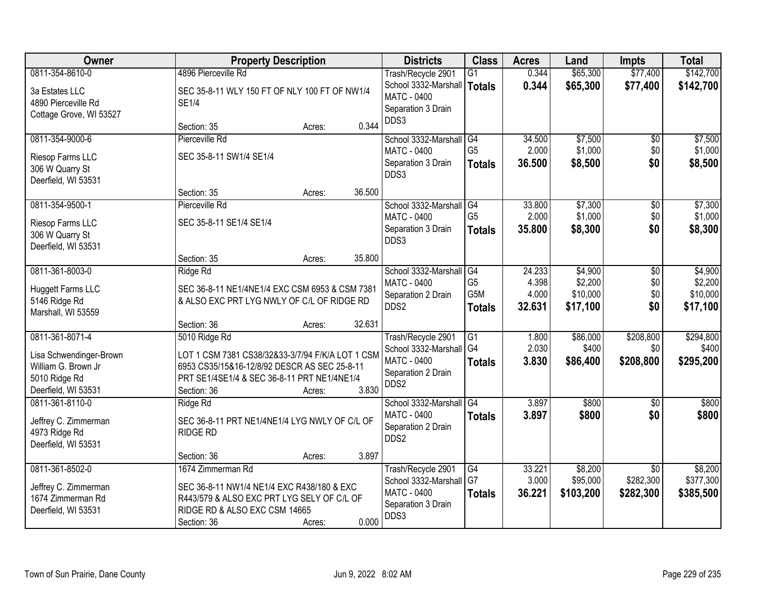| <b>Owner</b>                        | <b>Property Description</b>                      |        | <b>Districts</b>           | <b>Class</b>    | <b>Acres</b> | Land      | <b>Impts</b>    | <b>Total</b> |
|-------------------------------------|--------------------------------------------------|--------|----------------------------|-----------------|--------------|-----------|-----------------|--------------|
| 0811-354-8610-0                     | 4896 Pierceville Rd                              |        | Trash/Recycle 2901         | $\overline{G1}$ | 0.344        | \$65,300  | \$77,400        | \$142,700    |
| 3a Estates LLC                      | SEC 35-8-11 WLY 150 FT OF NLY 100 FT OF NW1/4    |        | School 3332-Marshall       | Totals          | 0.344        | \$65,300  | \$77,400        | \$142,700    |
| 4890 Pierceville Rd                 | <b>SE1/4</b>                                     |        | <b>MATC - 0400</b>         |                 |              |           |                 |              |
| Cottage Grove, WI 53527             |                                                  |        | Separation 3 Drain         |                 |              |           |                 |              |
|                                     | Section: 35<br>Acres:                            | 0.344  | DDS3                       |                 |              |           |                 |              |
| 0811-354-9000-6                     | Pierceville Rd                                   |        | School 3332-Marshall       | G4              | 34.500       | \$7,500   | $\overline{50}$ | \$7,500      |
| Riesop Farms LLC                    | SEC 35-8-11 SW1/4 SE1/4                          |        | <b>MATC - 0400</b>         | G <sub>5</sub>  | 2.000        | \$1,000   | \$0             | \$1,000      |
| 306 W Quarry St                     |                                                  |        | Separation 3 Drain         | <b>Totals</b>   | 36.500       | \$8,500   | \$0             | \$8,500      |
| Deerfield, WI 53531                 |                                                  |        | DDS3                       |                 |              |           |                 |              |
|                                     | Section: 35<br>Acres:                            | 36.500 |                            |                 |              |           |                 |              |
| 0811-354-9500-1                     | Pierceville Rd                                   |        | School 3332-Marshall       | l G4            | 33.800       | \$7,300   | \$0             | \$7,300      |
| Riesop Farms LLC                    | SEC 35-8-11 SE1/4 SE1/4                          |        | <b>MATC - 0400</b>         | G <sub>5</sub>  | 2.000        | \$1,000   | \$0             | \$1,000      |
| 306 W Quarry St                     |                                                  |        | Separation 3 Drain         | <b>Totals</b>   | 35.800       | \$8,300   | \$0             | \$8,300      |
| Deerfield, WI 53531                 |                                                  |        | DDS3                       |                 |              |           |                 |              |
|                                     | Section: 35<br>Acres:                            | 35.800 |                            |                 |              |           |                 |              |
| 0811-361-8003-0                     | Ridge Rd                                         |        | School 3332-Marshall       | G4              | 24.233       | \$4,900   | \$0             | \$4,900      |
|                                     |                                                  |        | <b>MATC - 0400</b>         | G <sub>5</sub>  | 4.398        | \$2,200   | \$0             | \$2,200      |
| Huggett Farms LLC                   | SEC 36-8-11 NE1/4NE1/4 EXC CSM 6953 & CSM 7381   |        | Separation 2 Drain         | G5M             | 4.000        | \$10,000  | \$0             | \$10,000     |
| 5146 Ridge Rd<br>Marshall, WI 53559 | & ALSO EXC PRT LYG NWLY OF C/L OF RIDGE RD       |        | DDS2                       | <b>Totals</b>   | 32.631       | \$17,100  | \$0             | \$17,100     |
|                                     | Section: 36<br>Acres:                            | 32.631 |                            |                 |              |           |                 |              |
| 0811-361-8071-4                     | 5010 Ridge Rd                                    |        | Trash/Recycle 2901         | $\overline{G1}$ | 1.800        | \$86,000  | \$208,800       | \$294,800    |
|                                     |                                                  |        | School 3332-Marshall       | G4              | 2.030        | \$400     | \$0             | \$400        |
| Lisa Schwendinger-Brown             | LOT 1 CSM 7381 CS38/32&33-3/7/94 F/K/A LOT 1 CSM |        | MATC - 0400                | <b>Totals</b>   | 3.830        | \$86,400  | \$208,800       | \$295,200    |
| William G. Brown Jr                 | 6953 CS35/15&16-12/8/92 DESCR AS SEC 25-8-11     |        | Separation 2 Drain         |                 |              |           |                 |              |
| 5010 Ridge Rd                       | PRT SE1/4SE1/4 & SEC 36-8-11 PRT NE1/4NE1/4      |        | DDS2                       |                 |              |           |                 |              |
| Deerfield, WI 53531                 | Section: 36<br>Acres:                            | 3.830  |                            |                 |              |           |                 |              |
| 0811-361-8110-0                     | Ridge Rd                                         |        | School 3332-Marshall       | $\overline{G4}$ | 3.897        | \$800     | \$0             | \$800        |
| Jeffrey C. Zimmerman                | SEC 36-8-11 PRT NE1/4NE1/4 LYG NWLY OF C/L OF    |        | <b>MATC - 0400</b>         | <b>Totals</b>   | 3.897        | \$800     | \$0             | \$800        |
| 4973 Ridge Rd                       | <b>RIDGE RD</b>                                  |        | Separation 2 Drain<br>DDS2 |                 |              |           |                 |              |
| Deerfield, WI 53531                 |                                                  |        |                            |                 |              |           |                 |              |
|                                     | Section: 36<br>Acres:                            | 3.897  |                            |                 |              |           |                 |              |
| 0811-361-8502-0                     | 1674 Zimmerman Rd                                |        | Trash/Recycle 2901         | G4              | 33.221       | \$8,200   | $\overline{30}$ | \$8,200      |
| Jeffrey C. Zimmerman                | SEC 36-8-11 NW1/4 NE1/4 EXC R438/180 & EXC       |        | School 3332-Marshall       | l G7            | 3.000        | \$95,000  | \$282,300       | \$377,300    |
| 1674 Zimmerman Rd                   | R443/579 & ALSO EXC PRT LYG SELY OF C/L OF       |        | MATC - 0400                | <b>Totals</b>   | 36.221       | \$103,200 | \$282,300       | \$385,500    |
| Deerfield, WI 53531                 | RIDGE RD & ALSO EXC CSM 14665                    |        | Separation 3 Drain         |                 |              |           |                 |              |
|                                     | Section: 36<br>Acres:                            | 0.000  | DDS3                       |                 |              |           |                 |              |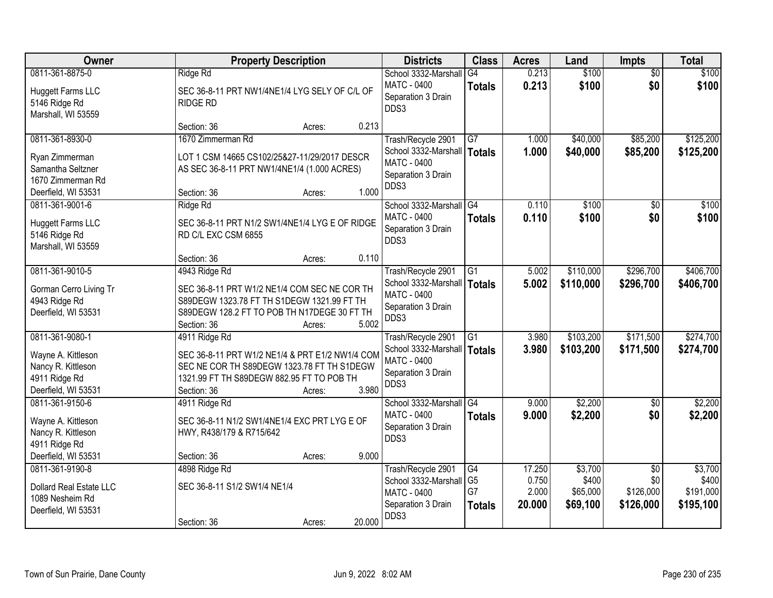| Owner                                                                                               | <b>Property Description</b>                                                                                                                                                                   | <b>Districts</b>                                                                                        | <b>Class</b>                                | <b>Acres</b>                       | Land                                     | <b>Impts</b>                                     | <b>Total</b>                               |
|-----------------------------------------------------------------------------------------------------|-----------------------------------------------------------------------------------------------------------------------------------------------------------------------------------------------|---------------------------------------------------------------------------------------------------------|---------------------------------------------|------------------------------------|------------------------------------------|--------------------------------------------------|--------------------------------------------|
| 0811-361-8875-0<br><b>Huggett Farms LLC</b><br>5146 Ridge Rd<br>Marshall, WI 53559                  | Ridge Rd<br>SEC 36-8-11 PRT NW1/4NE1/4 LYG SELY OF C/L OF<br><b>RIDGE RD</b>                                                                                                                  | School 3332-Marshall<br>MATC - 0400<br>Separation 3 Drain<br>DDS3                                       | G4<br><b>Totals</b>                         | 0.213<br>0.213                     | \$100<br>\$100                           | $\overline{50}$<br>\$0                           | \$100<br>\$100                             |
|                                                                                                     | 0.213<br>Section: 36<br>Acres:                                                                                                                                                                |                                                                                                         |                                             |                                    |                                          |                                                  |                                            |
| 0811-361-8930-0<br>Ryan Zimmerman<br>Samantha Seltzner<br>1670 Zimmerman Rd<br>Deerfield, WI 53531  | 1670 Zimmerman Rd<br>LOT 1 CSM 14665 CS102/25&27-11/29/2017 DESCR<br>AS SEC 36-8-11 PRT NW1/4NE1/4 (1.000 ACRES)<br>1.000<br>Section: 36<br>Acres:                                            | Trash/Recycle 2901<br>School 3332-Marshall<br><b>MATC - 0400</b><br>Separation 3 Drain<br>DDS3          | $\overline{G7}$<br><b>Totals</b>            | 1.000<br>1.000                     | \$40,000<br>\$40,000                     | \$85,200<br>\$85,200                             | \$125,200<br>\$125,200                     |
| 0811-361-9001-6<br><b>Huggett Farms LLC</b><br>5146 Ridge Rd<br>Marshall, WI 53559                  | Ridge Rd<br>SEC 36-8-11 PRT N1/2 SW1/4NE1/4 LYG E OF RIDGE<br>RD C/L EXC CSM 6855<br>0.110<br>Section: 36<br>Acres:                                                                           | School 3332-Marshall<br><b>MATC - 0400</b><br>Separation 3 Drain<br>DDS3                                | $\overline{G4}$<br><b>Totals</b>            | 0.110<br>0.110                     | \$100<br>\$100                           | \$0<br>\$0                                       | \$100<br>\$100                             |
| 0811-361-9010-5<br>Gorman Cerro Living Tr<br>4943 Ridge Rd<br>Deerfield, WI 53531                   | 4943 Ridge Rd<br>SEC 36-8-11 PRT W1/2 NE1/4 COM SEC NE COR TH<br>S89DEGW 1323.78 FT TH S1DEGW 1321.99 FT TH<br>S89DEGW 128.2 FT TO POB TH N17DEGE 30 FT TH<br>5.002<br>Section: 36<br>Acres:  | Trash/Recycle 2901<br>School 3332-Marshall<br>MATC - 0400<br>Separation 3 Drain<br>DDS3                 | G1<br>Totals                                | 5.002<br>5.002                     | \$110,000<br>\$110,000                   | \$296,700<br>\$296,700                           | \$406,700<br>\$406,700                     |
| 0811-361-9080-1<br>Wayne A. Kittleson<br>Nancy R. Kittleson<br>4911 Ridge Rd<br>Deerfield, WI 53531 | 4911 Ridge Rd<br>SEC 36-8-11 PRT W1/2 NE1/4 & PRT E1/2 NW1/4 COM<br>SEC NE COR TH S89DEGW 1323.78 FT TH S1DEGW<br>1321.99 FT TH S89DEGW 882.95 FT TO POB TH<br>3.980<br>Section: 36<br>Acres: | Trash/Recycle 2901<br>School 3332-Marshall   Totals<br><b>MATC - 0400</b><br>Separation 3 Drain<br>DDS3 | $\overline{G1}$                             | 3.980<br>3.980                     | \$103,200<br>\$103,200                   | \$171,500<br>\$171,500                           | \$274,700<br>\$274,700                     |
| 0811-361-9150-6<br>Wayne A. Kittleson<br>Nancy R. Kittleson<br>4911 Ridge Rd<br>Deerfield, WI 53531 | 4911 Ridge Rd<br>SEC 36-8-11 N1/2 SW1/4NE1/4 EXC PRT LYG E OF<br>HWY, R438/179 & R715/642<br>9.000<br>Section: 36<br>Acres:                                                                   | School 3332-Marshall G4<br>MATC - 0400<br>Separation 3 Drain<br>DDS3                                    | <b>Totals</b>                               | 9.000<br>9.000                     | \$2,200<br>\$2,200                       | \$0<br>\$0                                       | \$2,200<br>\$2,200                         |
| 0811-361-9190-8<br>Dollard Real Estate LLC<br>1089 Nesheim Rd<br>Deerfield, WI 53531                | 4898 Ridge Rd<br>SEC 36-8-11 S1/2 SW1/4 NE1/4<br>20.000<br>Section: 36<br>Acres:                                                                                                              | Trash/Recycle 2901<br>School 3332-Marshall<br>MATC - 0400<br>Separation 3 Drain<br>DDS3                 | G4<br>G <sub>5</sub><br>G7<br><b>Totals</b> | 17.250<br>0.750<br>2.000<br>20.000 | \$3,700<br>\$400<br>\$65,000<br>\$69,100 | $\overline{30}$<br>\$0<br>\$126,000<br>\$126,000 | \$3,700<br>\$400<br>\$191,000<br>\$195,100 |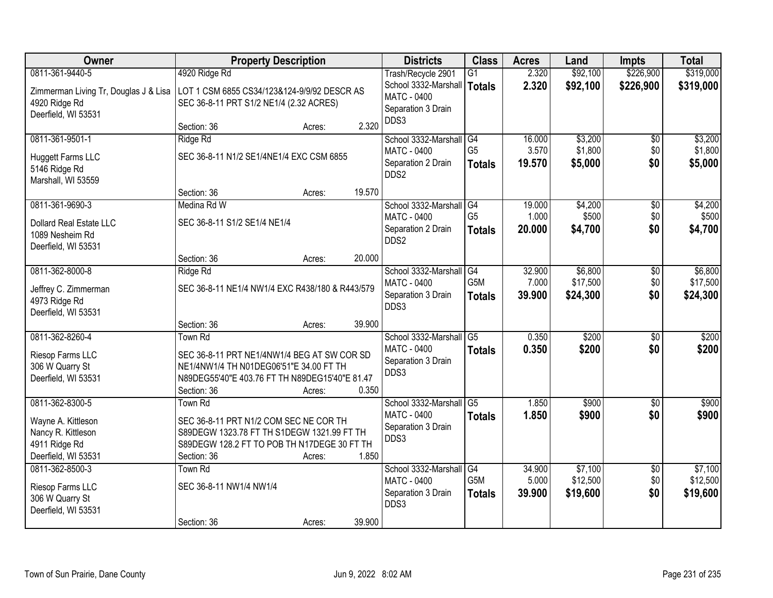| <b>Owner</b>                          | <b>Property Description</b>                     | <b>Districts</b>           | <b>Class</b>    | <b>Acres</b> | Land     | <b>Impts</b>    | <b>Total</b> |
|---------------------------------------|-------------------------------------------------|----------------------------|-----------------|--------------|----------|-----------------|--------------|
| 0811-361-9440-5                       | 4920 Ridge Rd                                   | Trash/Recycle 2901         | $\overline{G1}$ | 2.320        | \$92,100 | \$226,900       | \$319,000    |
| Zimmerman Living Tr, Douglas J & Lisa | LOT 1 CSM 6855 CS34/123&124-9/9/92 DESCR AS     | School 3332-Marshall       | Totals          | 2.320        | \$92,100 | \$226,900       | \$319,000    |
| 4920 Ridge Rd                         | SEC 36-8-11 PRT S1/2 NE1/4 (2.32 ACRES)         | MATC - 0400                |                 |              |          |                 |              |
| Deerfield, WI 53531                   |                                                 | Separation 3 Drain<br>DDS3 |                 |              |          |                 |              |
|                                       | 2.320<br>Section: 36<br>Acres:                  |                            |                 |              |          |                 |              |
| 0811-361-9501-1                       | Ridge Rd                                        | School 3332-Marshall       | G4              | 16.000       | \$3,200  | $\overline{50}$ | \$3,200      |
| <b>Huggett Farms LLC</b>              | SEC 36-8-11 N1/2 SE1/4NE1/4 EXC CSM 6855        | MATC - 0400                | G <sub>5</sub>  | 3.570        | \$1,800  | \$0             | \$1,800      |
| 5146 Ridge Rd                         |                                                 | Separation 2 Drain<br>DDS2 | <b>Totals</b>   | 19.570       | \$5,000  | \$0             | \$5,000      |
| Marshall, WI 53559                    |                                                 |                            |                 |              |          |                 |              |
|                                       | 19.570<br>Section: 36<br>Acres:                 |                            |                 |              |          |                 |              |
| 0811-361-9690-3                       | Medina Rd W                                     | School 3332-Marshall       | G4              | 19.000       | \$4,200  | \$0             | \$4,200      |
| Dollard Real Estate LLC               | SEC 36-8-11 S1/2 SE1/4 NE1/4                    | <b>MATC - 0400</b>         | G <sub>5</sub>  | 1.000        | \$500    | \$0             | \$500        |
| 1089 Nesheim Rd                       |                                                 | Separation 2 Drain<br>DDS2 | <b>Totals</b>   | 20,000       | \$4,700  | \$0             | \$4,700      |
| Deerfield, WI 53531                   |                                                 |                            |                 |              |          |                 |              |
|                                       | 20.000<br>Section: 36<br>Acres:                 |                            |                 |              |          |                 |              |
| 0811-362-8000-8                       | Ridge Rd                                        | School 3332-Marshall       | G4              | 32.900       | \$6,800  | \$0             | \$6,800      |
| Jeffrey C. Zimmerman                  | SEC 36-8-11 NE1/4 NW1/4 EXC R438/180 & R443/579 | <b>MATC - 0400</b>         | G5M             | 7.000        | \$17,500 | \$0             | \$17,500     |
| 4973 Ridge Rd                         |                                                 | Separation 3 Drain<br>DDS3 | <b>Totals</b>   | 39.900       | \$24,300 | \$0             | \$24,300     |
| Deerfield, WI 53531                   |                                                 |                            |                 |              |          |                 |              |
|                                       | 39.900<br>Section: 36<br>Acres:                 |                            |                 |              |          |                 |              |
| 0811-362-8260-4                       | Town Rd                                         | School 3332-Marshall       | $\overline{G5}$ | 0.350        | \$200    | $\overline{30}$ | \$200        |
| Riesop Farms LLC                      | SEC 36-8-11 PRT NE1/4NW1/4 BEG AT SW COR SD     | MATC - 0400                | <b>Totals</b>   | 0.350        | \$200    | \$0             | \$200        |
| 306 W Quarry St                       | NE1/4NW1/4 TH N01DEG06'51"E 34.00 FT TH         | Separation 3 Drain<br>DDS3 |                 |              |          |                 |              |
| Deerfield, WI 53531                   | N89DEG55'40"E 403.76 FT TH N89DEG15'40"E 81.47  |                            |                 |              |          |                 |              |
|                                       | 0.350<br>Section: 36<br>Acres:                  |                            |                 |              |          |                 |              |
| 0811-362-8300-5                       | Town Rd                                         | School 3332-Marshall       | G <sub>5</sub>  | 1.850        | \$900    | $\overline{50}$ | \$900        |
| Wayne A. Kittleson                    | SEC 36-8-11 PRT N1/2 COM SEC NE COR TH          | MATC - 0400                | <b>Totals</b>   | 1.850        | \$900    | \$0             | \$900        |
| Nancy R. Kittleson                    | S89DEGW 1323.78 FT TH S1DEGW 1321.99 FT TH      | Separation 3 Drain<br>DDS3 |                 |              |          |                 |              |
| 4911 Ridge Rd                         | S89DEGW 128.2 FT TO POB TH N17DEGE 30 FT TH     |                            |                 |              |          |                 |              |
| Deerfield, WI 53531                   | 1.850<br>Section: 36<br>Acres:                  |                            |                 |              |          |                 |              |
| 0811-362-8500-3                       | <b>Town Rd</b>                                  | School 3332-Marshall       | G4              | 34.900       | \$7,100  | $\overline{50}$ | \$7,100      |
| Riesop Farms LLC                      | SEC 36-8-11 NW1/4 NW1/4                         | MATC - 0400                | G5M             | 5.000        | \$12,500 | \$0             | \$12,500     |
| 306 W Quarry St                       |                                                 | Separation 3 Drain<br>DDS3 | <b>Totals</b>   | 39.900       | \$19,600 | \$0             | \$19,600     |
| Deerfield, WI 53531                   |                                                 |                            |                 |              |          |                 |              |
|                                       | 39.900<br>Section: 36<br>Acres:                 |                            |                 |              |          |                 |              |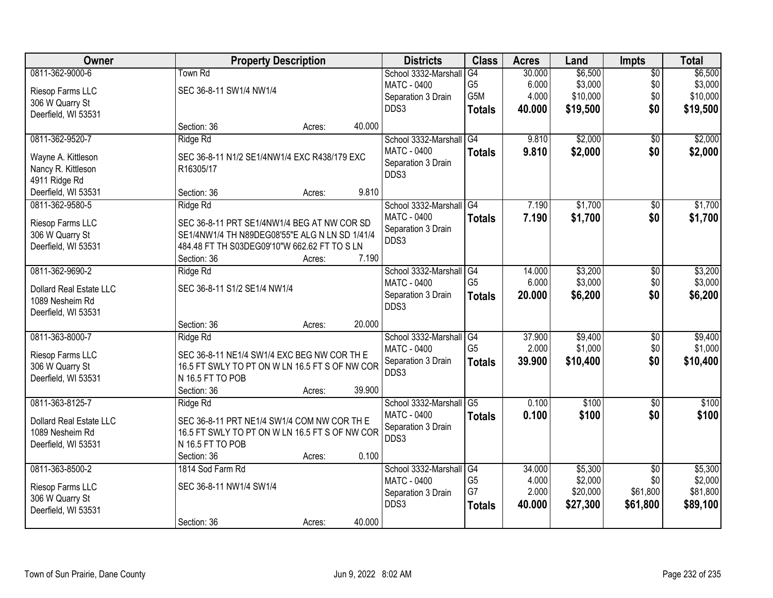| Owner                                      | <b>Property Description</b>                    |        |        | <b>Districts</b>                              | <b>Class</b>   | <b>Acres</b> | Land     | <b>Impts</b>    | <b>Total</b> |
|--------------------------------------------|------------------------------------------------|--------|--------|-----------------------------------------------|----------------|--------------|----------|-----------------|--------------|
| 0811-362-9000-6                            | Town Rd                                        |        |        | School 3332-Marshall                          | G4             | 30.000       | \$6,500  | $\overline{50}$ | \$6,500      |
| Riesop Farms LLC                           | SEC 36-8-11 SW1/4 NW1/4                        |        |        | <b>MATC - 0400</b>                            | G <sub>5</sub> | 6.000        | \$3,000  | \$0             | \$3,000      |
| 306 W Quarry St                            |                                                |        |        | Separation 3 Drain                            | G5M            | 4.000        | \$10,000 | \$0             | \$10,000     |
| Deerfield, WI 53531                        |                                                |        |        | DDS3                                          | <b>Totals</b>  | 40.000       | \$19,500 | \$0             | \$19,500     |
|                                            | Section: 36                                    | Acres: | 40.000 |                                               |                |              |          |                 |              |
| 0811-362-9520-7                            | Ridge Rd                                       |        |        | School 3332-Marshall                          | G4             | 9.810        | \$2,000  | \$0             | \$2,000      |
| Wayne A. Kittleson                         | SEC 36-8-11 N1/2 SE1/4NW1/4 EXC R438/179 EXC   |        |        | MATC - 0400                                   | <b>Totals</b>  | 9.810        | \$2,000  | \$0             | \$2,000      |
| Nancy R. Kittleson                         | R16305/17                                      |        |        | Separation 3 Drain                            |                |              |          |                 |              |
| 4911 Ridge Rd                              |                                                |        |        | DDS3                                          |                |              |          |                 |              |
| Deerfield, WI 53531                        | Section: 36                                    | Acres: | 9.810  |                                               |                |              |          |                 |              |
| 0811-362-9580-5                            | Ridge Rd                                       |        |        | School 3332-Marshall G4                       |                | 7.190        | \$1,700  | $\overline{50}$ | \$1,700      |
| Riesop Farms LLC                           | SEC 36-8-11 PRT SE1/4NW1/4 BEG AT NW COR SD    |        |        | MATC - 0400                                   | <b>Totals</b>  | 7.190        | \$1,700  | \$0             | \$1,700      |
| 306 W Quarry St                            | SE1/4NW1/4 TH N89DEG08'55"E ALG N LN SD 1/41/4 |        |        | Separation 3 Drain                            |                |              |          |                 |              |
| Deerfield, WI 53531                        | 484.48 FT TH S03DEG09'10"W 662.62 FT TO S LN   |        |        | DDS3                                          |                |              |          |                 |              |
|                                            | Section: 36                                    | Acres: | 7.190  |                                               |                |              |          |                 |              |
| 0811-362-9690-2                            | Ridge Rd                                       |        |        | School 3332-Marshall                          | G4             | 14.000       | \$3,200  | \$0             | \$3,200      |
|                                            |                                                |        |        | <b>MATC - 0400</b>                            | G <sub>5</sub> | 6.000        | \$3,000  | \$0             | \$3,000      |
| Dollard Real Estate LLC<br>1089 Nesheim Rd | SEC 36-8-11 S1/2 SE1/4 NW1/4                   |        |        | Separation 3 Drain                            | <b>Totals</b>  | 20.000       | \$6,200  | \$0             | \$6,200      |
| Deerfield, WI 53531                        |                                                |        |        | DDS3                                          |                |              |          |                 |              |
|                                            | Section: 36                                    | Acres: | 20.000 |                                               |                |              |          |                 |              |
| 0811-363-8000-7                            | Ridge Rd                                       |        |        | School 3332-Marshall                          | G4             | 37.900       | \$9,400  | $\overline{50}$ | \$9,400      |
|                                            |                                                |        |        | <b>MATC - 0400</b>                            | G <sub>5</sub> | 2.000        | \$1,000  | \$0             | \$1,000      |
| Riesop Farms LLC                           | SEC 36-8-11 NE1/4 SW1/4 EXC BEG NW COR TH E    |        |        | Separation 3 Drain                            | <b>Totals</b>  | 39.900       | \$10,400 | \$0             | \$10,400     |
| 306 W Quarry St                            | 16.5 FT SWLY TO PT ON W LN 16.5 FT S OF NW COR |        |        | DDS3                                          |                |              |          |                 |              |
| Deerfield, WI 53531                        | N 16.5 FT TO POB                               |        |        |                                               |                |              |          |                 |              |
|                                            | Section: 36                                    | Acres: | 39.900 |                                               |                |              |          |                 |              |
| 0811-363-8125-7                            | Ridge Rd                                       |        |        | School 3332-Marshall G5<br><b>MATC - 0400</b> |                | 0.100        | \$100    | $\overline{50}$ | \$100        |
| Dollard Real Estate LLC                    | SEC 36-8-11 PRT NE1/4 SW1/4 COM NW COR THE     |        |        |                                               | <b>Totals</b>  | 0.100        | \$100    | \$0             | \$100        |
| 1089 Nesheim Rd                            | 16.5 FT SWLY TO PT ON W LN 16.5 FT S OF NW COR |        |        | Separation 3 Drain<br>DDS3                    |                |              |          |                 |              |
| Deerfield, WI 53531                        | N 16.5 FT TO POB                               |        |        |                                               |                |              |          |                 |              |
|                                            | Section: 36                                    | Acres: | 0.100  |                                               |                |              |          |                 |              |
| 0811-363-8500-2                            | 1814 Sod Farm Rd                               |        |        | School 3332-Marshall G4                       |                | 34.000       | \$5,300  | $\overline{50}$ | \$5,300      |
| Riesop Farms LLC                           | SEC 36-8-11 NW1/4 SW1/4                        |        |        | <b>MATC - 0400</b>                            | G <sub>5</sub> | 4.000        | \$2,000  | \$0             | \$2,000      |
| 306 W Quarry St                            |                                                |        |        | Separation 3 Drain                            | G7             | 2.000        | \$20,000 | \$61,800        | \$81,800     |
| Deerfield, WI 53531                        |                                                |        |        | DDS3                                          | <b>Totals</b>  | 40.000       | \$27,300 | \$61,800        | \$89,100     |
|                                            | Section: 36                                    | Acres: | 40.000 |                                               |                |              |          |                 |              |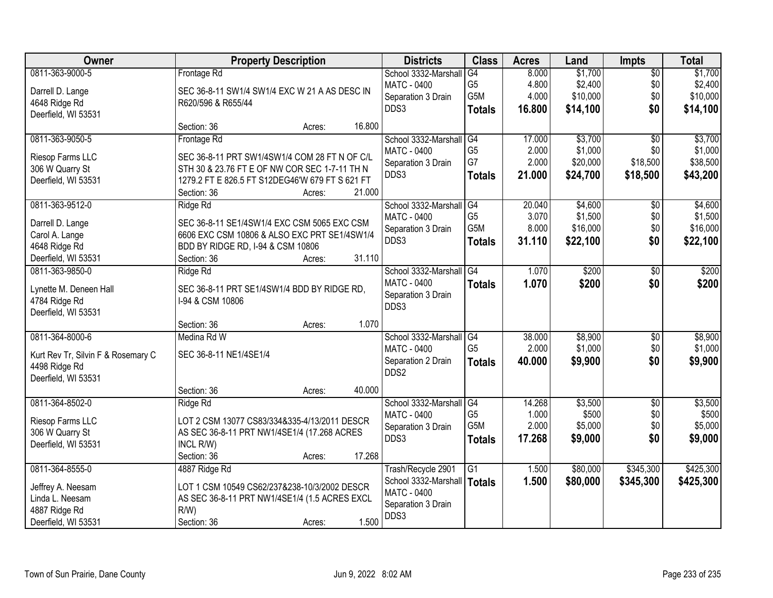| Owner                              | <b>Property Description</b>                     | <b>Districts</b>           | <b>Class</b>                      | <b>Acres</b>    | Land             | <b>Impts</b>           | <b>Total</b>     |
|------------------------------------|-------------------------------------------------|----------------------------|-----------------------------------|-----------------|------------------|------------------------|------------------|
| 0811-363-9000-5                    | Frontage Rd                                     | School 3332-Marshall       | G4                                | 8.000           | \$1,700          | $\overline{50}$        | \$1,700          |
| Darrell D. Lange                   | SEC 36-8-11 SW1/4 SW1/4 EXC W 21 A AS DESC IN   | <b>MATC - 0400</b>         | G <sub>5</sub>                    | 4.800           | \$2,400          | \$0                    | \$2,400          |
| 4648 Ridge Rd                      | R620/596 & R655/44                              | Separation 3 Drain         | G5M                               | 4.000           | \$10,000         | \$0                    | \$10,000         |
| Deerfield, WI 53531                |                                                 | DDS3                       | <b>Totals</b>                     | 16.800          | \$14,100         | \$0                    | \$14,100         |
|                                    | 16.800<br>Section: 36<br>Acres:                 |                            |                                   |                 |                  |                        |                  |
| 0811-363-9050-5                    | Frontage Rd                                     | School 3332-Marshall       | G4                                | 17.000          | \$3,700          | $\overline{50}$        | \$3,700          |
| Riesop Farms LLC                   | SEC 36-8-11 PRT SW1/4SW1/4 COM 28 FT N OF C/L   | MATC - 0400                | G <sub>5</sub>                    | 2.000           | \$1,000          | \$0                    | \$1,000          |
| 306 W Quarry St                    | STH 30 & 23.76 FT E OF NW COR SEC 1-7-11 TH N   | Separation 3 Drain         | G7                                | 2.000           | \$20,000         | \$18,500               | \$38,500         |
| Deerfield, WI 53531                | 1279.2 FT E 826.5 FT S12DEG46'W 679 FT S 621 FT | DDS3                       | <b>Totals</b>                     | 21.000          | \$24,700         | \$18,500               | \$43,200         |
|                                    | 21.000<br>Section: 36<br>Acres:                 |                            |                                   |                 |                  |                        |                  |
| 0811-363-9512-0                    | Ridge Rd                                        | School 3332-Marshall       | $\overline{G4}$                   | 20.040          | \$4,600          | $\sqrt[6]{}$           | \$4,600          |
|                                    |                                                 | MATC - 0400                | G <sub>5</sub>                    | 3.070           | \$1,500          | \$0                    | \$1,500          |
| Darrell D. Lange                   | SEC 36-8-11 SE1/4SW1/4 EXC CSM 5065 EXC CSM     | Separation 3 Drain         | G <sub>5</sub> M                  | 8.000           | \$16,000         | \$0                    | \$16,000         |
| Carol A. Lange                     | 6606 EXC CSM 10806 & ALSO EXC PRT SE1/4SW1/4    | DDS3                       | <b>Totals</b>                     | 31.110          | \$22,100         | \$0                    | \$22,100         |
| 4648 Ridge Rd                      | BDD BY RIDGE RD, I-94 & CSM 10806               |                            |                                   |                 |                  |                        |                  |
| Deerfield, WI 53531                | 31.110<br>Section: 36<br>Acres:                 |                            |                                   |                 |                  |                        |                  |
| 0811-363-9850-0                    | Ridge Rd                                        | School 3332-Marshall       | G4                                | 1.070           | \$200            | \$0                    | \$200            |
| Lynette M. Deneen Hall             | SEC 36-8-11 PRT SE1/4SW1/4 BDD BY RIDGE RD,     | <b>MATC - 0400</b>         | <b>Totals</b>                     | 1.070           | \$200            | \$0                    | \$200            |
| 4784 Ridge Rd                      | I-94 & CSM 10806                                | Separation 3 Drain         |                                   |                 |                  |                        |                  |
| Deerfield, WI 53531                |                                                 | DDS3                       |                                   |                 |                  |                        |                  |
|                                    | 1.070<br>Section: 36<br>Acres:                  |                            |                                   |                 |                  |                        |                  |
| 0811-364-8000-6                    | Medina Rd W                                     | School 3332-Marshall       | G4                                | 38.000          | \$8,900          | \$0                    | \$8,900          |
|                                    |                                                 | MATC - 0400                | G <sub>5</sub>                    | 2.000           | \$1,000          | \$0                    | \$1,000          |
| Kurt Rev Tr, Silvin F & Rosemary C | SEC 36-8-11 NE1/4SE1/4                          | Separation 2 Drain         | <b>Totals</b>                     | 40.000          | \$9,900          | \$0                    | \$9,900          |
| 4498 Ridge Rd                      |                                                 | DDS2                       |                                   |                 |                  |                        |                  |
| Deerfield, WI 53531                | 40.000                                          |                            |                                   |                 |                  |                        |                  |
|                                    | Section: 36<br>Acres:                           |                            |                                   |                 |                  |                        |                  |
| 0811-364-8502-0                    | Ridge Rd                                        | School 3332-Marshall       | $\overline{G4}$<br>G <sub>5</sub> | 14.268<br>1.000 | \$3,500<br>\$500 | $\overline{50}$<br>\$0 | \$3,500<br>\$500 |
| Riesop Farms LLC                   | LOT 2 CSM 13077 CS83/334&335-4/13/2011 DESCR    | MATC - 0400                | G <sub>5</sub> M                  | 2.000           | \$5,000          | \$0                    | \$5,000          |
| 306 W Quarry St                    | AS SEC 36-8-11 PRT NW1/4SE1/4 (17.268 ACRES     | Separation 3 Drain<br>DDS3 |                                   | 17.268          | \$9,000          | \$0                    |                  |
| Deerfield, WI 53531                | INCL R/W)                                       |                            | <b>Totals</b>                     |                 |                  |                        | \$9,000          |
|                                    | 17.268<br>Section: 36<br>Acres:                 |                            |                                   |                 |                  |                        |                  |
| 0811-364-8555-0                    | 4887 Ridge Rd                                   | Trash/Recycle 2901         | G1                                | 1.500           | \$80,000         | \$345,300              | \$425,300        |
| Jeffrey A. Neesam                  | LOT 1 CSM 10549 CS62/237&238-10/3/2002 DESCR    | School 3332-Marshall       | Totals                            | 1.500           | \$80,000         | \$345,300              | \$425,300        |
| Linda L. Neesam                    | AS SEC 36-8-11 PRT NW1/4SE1/4 (1.5 ACRES EXCL   | <b>MATC - 0400</b>         |                                   |                 |                  |                        |                  |
| 4887 Ridge Rd                      | $R/W$ )                                         | Separation 3 Drain         |                                   |                 |                  |                        |                  |
| Deerfield, WI 53531                | 1.500<br>Section: 36<br>Acres:                  | DDS3                       |                                   |                 |                  |                        |                  |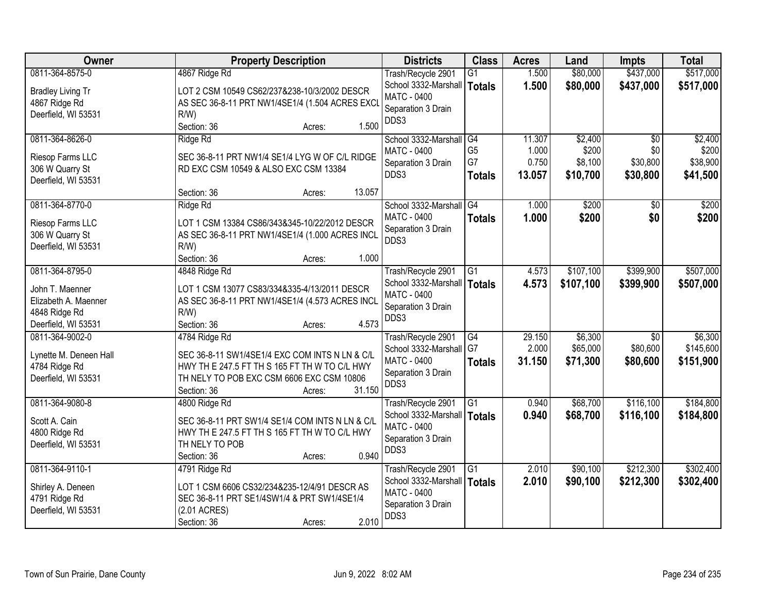| Owner                                                                               | <b>Property Description</b>                                                                                                                                                                      | <b>Districts</b>                                                                                 | <b>Class</b>                                | <b>Acres</b>                       | Land                                    | <b>Impts</b>                                   | <b>Total</b>                             |
|-------------------------------------------------------------------------------------|--------------------------------------------------------------------------------------------------------------------------------------------------------------------------------------------------|--------------------------------------------------------------------------------------------------|---------------------------------------------|------------------------------------|-----------------------------------------|------------------------------------------------|------------------------------------------|
| 0811-364-8575-0<br><b>Bradley Living Tr</b><br>4867 Ridge Rd<br>Deerfield, WI 53531 | 4867 Ridge Rd<br>LOT 2 CSM 10549 CS62/237&238-10/3/2002 DESCR<br>AS SEC 36-8-11 PRT NW1/4SE1/4 (1.504 ACRES EXCI<br>$R/W$ )                                                                      | Trash/Recycle 2901<br>School 3332-Marshall   Totals<br><b>MATC - 0400</b><br>Separation 3 Drain  | G1                                          | 1.500<br>1.500                     | \$80,000<br>\$80,000                    | \$437,000<br>\$437,000                         | \$517,000<br>\$517,000                   |
|                                                                                     | 1.500<br>Section: 36<br>Acres:                                                                                                                                                                   | DDS3                                                                                             |                                             |                                    |                                         |                                                |                                          |
| 0811-364-8626-0<br>Riesop Farms LLC<br>306 W Quarry St<br>Deerfield, WI 53531       | Ridge Rd<br>SEC 36-8-11 PRT NW1/4 SE1/4 LYG W OF C/L RIDGE<br>RD EXC CSM 10549 & ALSO EXC CSM 13384<br>13.057<br>Section: 36<br>Acres:                                                           | School 3332-Marshall<br>MATC - 0400<br>Separation 3 Drain<br>DDS3                                | G4<br>G <sub>5</sub><br>G7<br><b>Totals</b> | 11.307<br>1.000<br>0.750<br>13.057 | \$2,400<br>\$200<br>\$8,100<br>\$10,700 | $\overline{50}$<br>\$0<br>\$30,800<br>\$30,800 | \$2,400<br>\$200<br>\$38,900<br>\$41,500 |
| 0811-364-8770-0                                                                     | Ridge Rd                                                                                                                                                                                         | School 3332-Marshall                                                                             | G4                                          | 1.000                              | \$200                                   | \$0                                            | \$200                                    |
| Riesop Farms LLC<br>306 W Quarry St<br>Deerfield, WI 53531                          | LOT 1 CSM 13384 CS86/343&345-10/22/2012 DESCR<br>AS SEC 36-8-11 PRT NW1/4SE1/4 (1.000 ACRES INCL<br>$R/W$ )<br>Section: 36<br>1.000<br>Acres:                                                    | <b>MATC - 0400</b><br>Separation 3 Drain<br>DDS3                                                 | <b>Totals</b>                               | 1.000                              | \$200                                   | \$0                                            | \$200                                    |
| 0811-364-8795-0                                                                     | 4848 Ridge Rd                                                                                                                                                                                    | Trash/Recycle 2901                                                                               | G1                                          | 4.573                              | \$107,100                               | \$399,900                                      | \$507,000                                |
| John T. Maenner<br>Elizabeth A. Maenner<br>4848 Ridge Rd<br>Deerfield, WI 53531     | LOT 1 CSM 13077 CS83/334&335-4/13/2011 DESCR<br>AS SEC 36-8-11 PRT NW1/4SE1/4 (4.573 ACRES INCL<br>$R/W$ )<br>4.573<br>Section: 36<br>Acres:                                                     | School 3332-Marshall<br><b>MATC - 0400</b><br>Separation 3 Drain<br>DDS3                         | Totals                                      | 4.573                              | \$107,100                               | \$399,900                                      | \$507,000                                |
| 0811-364-9002-0<br>Lynette M. Deneen Hall<br>4784 Ridge Rd<br>Deerfield, WI 53531   | 4784 Ridge Rd<br>SEC 36-8-11 SW1/4SE1/4 EXC COM INTS N LN & C/L<br>HWY TH E 247.5 FT TH S 165 FT TH W TO C/L HWY<br>TH NELY TO POB EXC CSM 6606 EXC CSM 10806<br>31.150<br>Section: 36<br>Acres: | Trash/Recycle 2901<br>School 3332-Marshall<br>MATC - 0400<br>Separation 3 Drain<br>DDS3          | $\overline{G4}$<br>G7<br><b>Totals</b>      | 29.150<br>2.000<br>31.150          | \$6,300<br>\$65,000<br>\$71,300         | $\overline{50}$<br>\$80,600<br>\$80,600        | \$6,300<br>\$145,600<br>\$151,900        |
| 0811-364-9080-8<br>Scott A. Cain<br>4800 Ridge Rd<br>Deerfield, WI 53531            | 4800 Ridge Rd<br>SEC 36-8-11 PRT SW1/4 SE1/4 COM INTS N LN & C/L<br>HWY TH E 247.5 FT TH S 165 FT TH W TO C/L HWY<br>TH NELY TO POB<br>0.940<br>Section: 36<br>Acres:                            | Trash/Recycle 2901<br>School 3332-Marshall   Totals<br>MATC - 0400<br>Separation 3 Drain<br>DDS3 | $\overline{G1}$                             | 0.940<br>0.940                     | \$68,700<br>\$68,700                    | \$116,100<br>\$116,100                         | \$184,800<br>\$184,800                   |
| 0811-364-9110-1<br>Shirley A. Deneen<br>4791 Ridge Rd<br>Deerfield, WI 53531        | 4791 Ridge Rd<br>LOT 1 CSM 6606 CS32/234&235-12/4/91 DESCR AS<br>SEC 36-8-11 PRT SE1/4SW1/4 & PRT SW1/4SE1/4<br>(2.01 ACRES)<br>2.010<br>Section: 36<br>Acres:                                   | Trash/Recycle 2901<br>School 3332-Marshall<br>MATC - 0400<br>Separation 3 Drain<br>DDS3          | G1<br>Totals                                | 2.010<br>2.010                     | \$90,100<br>\$90,100                    | \$212,300<br>\$212,300                         | \$302,400<br>\$302,400                   |